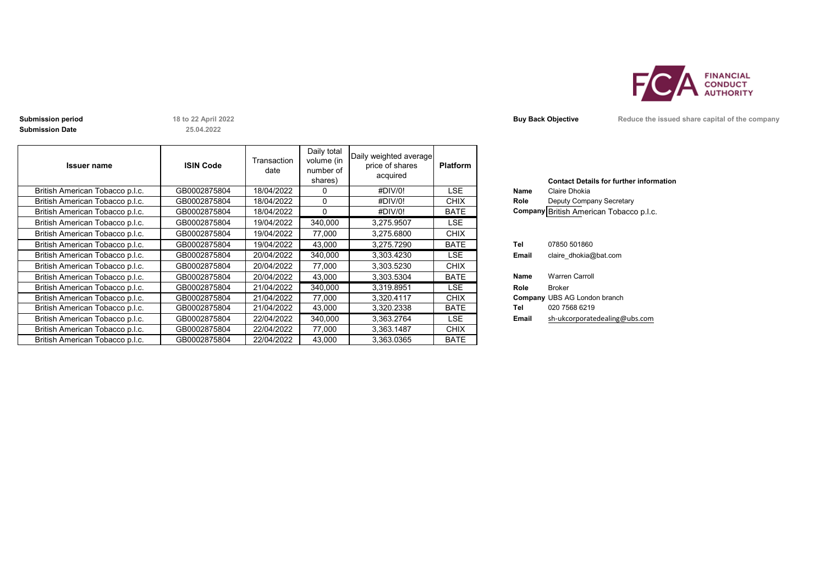

**Submission Date**

**25.04.2022**

| <b>Issuer name</b>              | <b>ISIN Code</b> | Transaction<br>date | Daily total<br>volume (in<br>number of<br>shares) | Daily weighted average<br>price of shares<br>acquired | <b>Platform</b> |       | <b>Contact Details for further inforn</b> |
|---------------------------------|------------------|---------------------|---------------------------------------------------|-------------------------------------------------------|-----------------|-------|-------------------------------------------|
| British American Tobacco p.l.c. | GB0002875804     | 18/04/2022          | $\Omega$                                          | #DIV/0!                                               | LSE.            | Name  | Claire Dhokia                             |
| British American Tobacco p.l.c. | GB0002875804     | 18/04/2022          | $\Omega$                                          | #DIV/0!                                               | <b>CHIX</b>     | Role  | Deputy Company Secretary                  |
| British American Tobacco p.l.c. | GB0002875804     | 18/04/2022          | $\Omega$                                          | #DIV/0!                                               | <b>BATE</b>     |       | Company British American Tobacco p.l.c.   |
| British American Tobacco p.l.c. | GB0002875804     | 19/04/2022          | 340,000                                           | 3,275.9507                                            | LSE             |       |                                           |
| British American Tobacco p.l.c. | GB0002875804     | 19/04/2022          | 77,000                                            | 3,275.6800                                            | <b>CHIX</b>     |       |                                           |
| British American Tobacco p.l.c. | GB0002875804     | 19/04/2022          | 43,000                                            | 3,275.7290                                            | <b>BATE</b>     | Tel   | 07850 501860                              |
| British American Tobacco p.l.c. | GB0002875804     | 20/04/2022          | 340,000                                           | 3,303.4230                                            | LSE.            | Email | claire dhokia@bat.com                     |
| British American Tobacco p.l.c. | GB0002875804     | 20/04/2022          | 77,000                                            | 3,303.5230                                            | <b>CHIX</b>     |       |                                           |
| British American Tobacco p.l.c. | GB0002875804     | 20/04/2022          | 43,000                                            | 3.303.5304                                            | <b>BATE</b>     | Name  | <b>Warren Carroll</b>                     |
| British American Tobacco p.l.c. | GB0002875804     | 21/04/2022          | 340,000                                           | 3,319.8951                                            | LSE.            | Role  | <b>Broker</b>                             |
| British American Tobacco p.l.c. | GB0002875804     | 21/04/2022          | 77,000                                            | 3,320.4117                                            | <b>CHIX</b>     |       | <b>Company UBS AG London branch</b>       |
| British American Tobacco p.l.c. | GB0002875804     | 21/04/2022          | 43,000                                            | 3,320.2338                                            | <b>BATE</b>     | Tel   | 020 7568 6219                             |
| British American Tobacco p.l.c. | GB0002875804     | 22/04/2022          | 340,000                                           | 3,363.2764                                            | <b>LSE</b>      | Email | sh-ukcorporatedealing@ubs.com             |
| British American Tobacco p.l.c. | GB0002875804     | 22/04/2022          | 77,000                                            | 3,363.1487                                            | <b>CHIX</b>     |       |                                           |
| British American Tobacco p.l.c. | GB0002875804     | 22/04/2022          | 43.000                                            | 3,363.0365                                            | <b>BATE</b>     |       |                                           |

|             | <b>Contact Details for further information</b> |
|-------------|------------------------------------------------|
| <b>Name</b> | Claire Dhokia                                  |
| Role        | Deputy Company Secretary                       |
|             | Company British American Tobacco p.l.c.        |
|             |                                                |
|             |                                                |
| Tel         | 07850 501860                                   |
| Email       | claire dhokia@bat.com                          |
|             |                                                |
| <b>Name</b> | <b>Warren Carroll</b>                          |
| Role        | Broker                                         |
|             | <b>Company UBS AG London branch</b>            |
| Tel         | 020 7568 6219                                  |
| Email       | sh-ukcorporatedealing@ubs.com                  |
|             |                                                |

**Submission period 18 to 22 April 2022 Buy Back Objective Reduce the issued share capital of the company**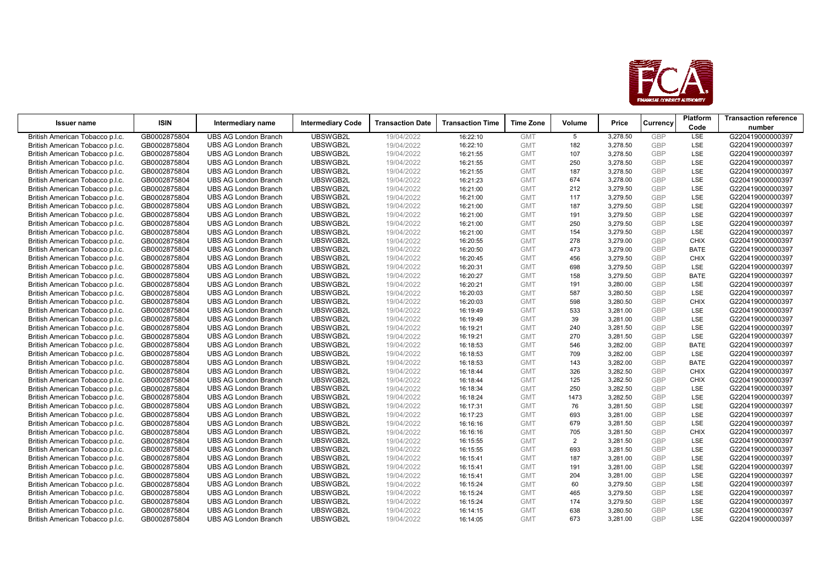

| <b>Issuer name</b>                                                 | <b>ISIN</b>                  | Intermediary name                                          | <b>Intermediary Code</b> | <b>Transaction Date</b>  | <b>Transaction Time</b> | <b>Time Zone</b>         | Volume          | Price                |                   | Platform    | <b>Transaction reference</b>         |
|--------------------------------------------------------------------|------------------------------|------------------------------------------------------------|--------------------------|--------------------------|-------------------------|--------------------------|-----------------|----------------------|-------------------|-------------|--------------------------------------|
|                                                                    |                              |                                                            |                          |                          |                         |                          |                 |                      | Currency          | Code        | number                               |
| British American Tobacco p.l.c.                                    | GB0002875804                 | <b>UBS AG London Branch</b>                                | <b>UBSWGB2L</b>          | 19/04/2022               | 16:22:10                | <b>GMT</b>               | $5\overline{5}$ | 3,278.50             | GBP               | LSE         | G220419000000397                     |
| British American Tobacco p.l.c.                                    | GB0002875804                 | <b>UBS AG London Branch</b>                                | UBSWGB2L                 | 19/04/2022               | 16:22:10                | <b>GMT</b>               | 182             | 3,278.50             | GBP               | LSE         | G220419000000397                     |
| British American Tobacco p.l.c.                                    | GB0002875804                 | <b>UBS AG London Branch</b>                                | UBSWGB2L                 | 19/04/2022               | 16:21:55                | <b>GMT</b>               | 107             | 3,278.50             | <b>GBP</b>        | LSE         | G220419000000397                     |
| British American Tobacco p.l.c.                                    | GB0002875804                 | <b>UBS AG London Branch</b>                                | UBSWGB2L                 | 19/04/2022               | 16:21:55                | <b>GMT</b>               | 250             | 3,278.50             | GBP               | LSE         | G220419000000397                     |
| British American Tobacco p.l.c.                                    | GB0002875804                 | <b>UBS AG London Branch</b>                                | UBSWGB2L                 | 19/04/2022               | 16:21:55                | <b>GMT</b>               | 187             | 3,278.50             | GBP               | LSE         | G220419000000397                     |
| British American Tobacco p.l.c.                                    | GB0002875804                 | <b>UBS AG London Branch</b>                                | UBSWGB2L                 | 19/04/2022               | 16:21:23                | <b>GMT</b>               | 674             | 3,278.00             | GBP               | LSE         | G220419000000397                     |
| British American Tobacco p.l.c.                                    | GB0002875804                 | <b>UBS AG London Branch</b>                                | UBSWGB2L                 | 19/04/2022               | 16:21:00                | <b>GMT</b>               | 212             | 3,279.50             | GBP               | <b>LSE</b>  | G220419000000397                     |
| British American Tobacco p.l.c.                                    | GB0002875804                 | <b>UBS AG London Branch</b>                                | UBSWGB2L                 | 19/04/2022               | 16:21:00                | <b>GMT</b>               | 117             | 3,279.50             | GBP               | LSE         | G220419000000397                     |
| British American Tobacco p.l.c.                                    | GB0002875804                 | <b>UBS AG London Branch</b>                                | UBSWGB2L                 | 19/04/2022               | 16:21:00                | <b>GMT</b>               | 187             | 3,279.50             | <b>GBP</b>        | LSE         | G220419000000397                     |
| British American Tobacco p.l.c.                                    | GB0002875804                 | <b>UBS AG London Branch</b>                                | UBSWGB2L                 | 19/04/2022               | 16:21:00                | <b>GMT</b>               | 191             | 3,279.50             | GBP               | LSE         | G220419000000397                     |
| British American Tobacco p.l.c.                                    | GB0002875804                 | <b>UBS AG London Branch</b>                                | UBSWGB2L                 | 19/04/2022               | 16:21:00                | <b>GMT</b>               | 250             | 3,279.50             | GBP               | LSE         | G220419000000397                     |
| British American Tobacco p.l.c.                                    | GB0002875804                 | <b>UBS AG London Branch</b>                                | UBSWGB2L                 | 19/04/2022               | 16:21:00                | <b>GMT</b>               | 154             | 3,279.50             | GBP               | LSE         | G220419000000397                     |
| British American Tobacco p.l.c.                                    | GB0002875804                 | <b>UBS AG London Branch</b>                                | UBSWGB2L                 | 19/04/2022               | 16:20:55                | <b>GMT</b>               | 278             | 3,279.00             | GBP               | <b>CHIX</b> | G220419000000397                     |
| British American Tobacco p.l.c.                                    | GB0002875804                 | <b>UBS AG London Branch</b>                                | UBSWGB2L                 | 19/04/2022               | 16:20:50                | <b>GMT</b>               | 473             | 3,279.00             | GBP               | <b>BATE</b> | G220419000000397                     |
| British American Tobacco p.l.c.                                    | GB0002875804                 | <b>UBS AG London Branch</b>                                | UBSWGB2L                 | 19/04/2022               | 16:20:45                | <b>GMT</b>               | 456             | 3,279.50             | <b>GBP</b>        | <b>CHIX</b> | G220419000000397                     |
| British American Tobacco p.l.c.                                    | GB0002875804                 | <b>UBS AG London Branch</b>                                | UBSWGB2L                 | 19/04/2022               | 16:20:31                | <b>GMT</b>               | 698             | 3,279.50             | GBP               | LSE         | G220419000000397                     |
| British American Tobacco p.l.c.                                    | GB0002875804                 | <b>UBS AG London Branch</b>                                | UBSWGB2L                 | 19/04/2022               | 16:20:27                | <b>GMT</b>               | 158             | 3,279.50             | GBP               | <b>BATE</b> | G220419000000397                     |
| British American Tobacco p.l.c.                                    | GB0002875804                 | <b>UBS AG London Branch</b>                                | UBSWGB2L                 | 19/04/2022               | 16:20:21                | <b>GMT</b>               | 191             | 3,280.00             | <b>GBP</b>        | <b>LSE</b>  | G220419000000397                     |
| British American Tobacco p.l.c.                                    | GB0002875804                 | <b>UBS AG London Branch</b>                                | UBSWGB2L                 | 19/04/2022               | 16:20:03                | <b>GMT</b>               | 587             | 3,280.50             | GBP               | LSE         | G220419000000397                     |
| British American Tobacco p.l.c.                                    | GB0002875804                 | <b>UBS AG London Branch</b>                                | UBSWGB2L                 | 19/04/2022               | 16:20:03                | <b>GMT</b>               | 598             | 3,280.50             | GBP               | <b>CHIX</b> | G220419000000397                     |
| British American Tobacco p.l.c.                                    | GB0002875804                 | <b>UBS AG London Branch</b>                                | UBSWGB2L                 | 19/04/2022               | 16:19:49                | <b>GMT</b>               | 533             | 3,281.00             | <b>GBP</b>        | LSE         | G220419000000397                     |
| British American Tobacco p.l.c.                                    | GB0002875804                 | <b>UBS AG London Branch</b>                                | UBSWGB2L                 | 19/04/2022               | 16:19:49                | <b>GMT</b>               | 39              | 3,281.00             | GBP               | <b>LSE</b>  | G220419000000397                     |
| British American Tobacco p.l.c.                                    | GB0002875804                 | <b>UBS AG London Branch</b>                                | UBSWGB2L                 | 19/04/2022               | 16:19:21                | <b>GMT</b>               | 240             | 3,281.50             | <b>GBP</b>        | LSE         | G220419000000397                     |
| British American Tobacco p.l.c.                                    | GB0002875804                 | <b>UBS AG London Branch</b>                                | UBSWGB2L                 | 19/04/2022               | 16:19:21                | <b>GMT</b>               | 270             | 3,281.50             | GBP               | LSE         | G220419000000397                     |
| British American Tobacco p.l.c.                                    | GB0002875804                 | <b>UBS AG London Branch</b>                                | UBSWGB2L                 | 19/04/2022               | 16:18:53                | <b>GMT</b>               | 546             | 3,282.00             | GBP               | <b>BATE</b> | G220419000000397                     |
| British American Tobacco p.l.c.                                    | GB0002875804                 | <b>UBS AG London Branch</b>                                | UBSWGB2L                 | 19/04/2022               | 16:18:53                | <b>GMT</b>               | 709             | 3,282.00             | <b>GBP</b>        | <b>LSE</b>  | G220419000000397                     |
| British American Tobacco p.l.c.                                    | GB0002875804                 | <b>UBS AG London Branch</b>                                | UBSWGB2L                 | 19/04/2022               | 16:18:53                | <b>GMT</b>               | 143             | 3,282.00             | <b>GBP</b>        | <b>BATE</b> | G220419000000397                     |
| British American Tobacco p.l.c.                                    | GB0002875804                 | <b>UBS AG London Branch</b>                                | UBSWGB2L                 | 19/04/2022               | 16:18:44                | <b>GMT</b>               | 326             | 3,282.50             | GBP               | <b>CHIX</b> | G220419000000397                     |
| British American Tobacco p.l.c.                                    | GB0002875804                 | <b>UBS AG London Branch</b>                                | UBSWGB2L                 | 19/04/2022               | 16:18:44                | <b>GMT</b>               | 125             | 3,282.50             | <b>GBP</b>        | <b>CHIX</b> | G220419000000397                     |
| British American Tobacco p.l.c.                                    | GB0002875804                 | <b>UBS AG London Branch</b>                                | UBSWGB2L                 | 19/04/2022               | 16:18:34                | <b>GMT</b>               | 250             | 3,282.50             | <b>GBP</b>        | <b>LSE</b>  | G220419000000397                     |
| British American Tobacco p.l.c.                                    | GB0002875804                 | <b>UBS AG London Branch</b>                                | UBSWGB2L                 | 19/04/2022               | 16:18:24                | <b>GMT</b>               | 1473            | 3,282.50             | GBP               | LSE         | G220419000000397                     |
| British American Tobacco p.l.c.                                    | GB0002875804                 | <b>UBS AG London Branch</b>                                | UBSWGB2L                 | 19/04/2022               | 16:17:31                | <b>GMT</b>               | 76              | 3,281.50             | GBP               | LSE         | G220419000000397                     |
| British American Tobacco p.l.c.                                    | GB0002875804                 | <b>UBS AG London Branch</b>                                | UBSWGB2L                 | 19/04/2022               | 16:17:23                | <b>GMT</b>               | 693             | 3,281.00             | GBP               | LSE         | G220419000000397                     |
| British American Tobacco p.l.c.                                    | GB0002875804                 | <b>UBS AG London Branch</b>                                | UBSWGB2L                 | 19/04/2022               | 16:16:16                | <b>GMT</b>               | 679             | 3,281.50             | GBP               | LSE         | G220419000000397                     |
| British American Tobacco p.l.c.                                    | GB0002875804                 | <b>UBS AG London Branch</b>                                | UBSWGB2L                 | 19/04/2022               | 16:16:16                | <b>GMT</b>               | 705             | 3,281.50             | <b>GBP</b>        | <b>CHIX</b> | G220419000000397                     |
| British American Tobacco p.l.c.                                    | GB0002875804<br>GB0002875804 | <b>UBS AG London Branch</b>                                | UBSWGB2L<br>UBSWGB2L     | 19/04/2022               | 16:15:55                | <b>GMT</b><br><b>GMT</b> | $\overline{2}$  | 3,281.50             | GBP<br><b>GBP</b> | LSE         | G220419000000397                     |
| British American Tobacco p.l.c.                                    | GB0002875804                 | <b>UBS AG London Branch</b>                                | UBSWGB2L                 | 19/04/2022               | 16:15:55                |                          | 693             | 3,281.50             | <b>GBP</b>        | LSE<br>LSE  | G220419000000397                     |
| British American Tobacco p.l.c.                                    |                              | <b>UBS AG London Branch</b>                                | UBSWGB2L                 | 19/04/2022               | 16:15:41                | <b>GMT</b>               | 187             | 3,281.00             |                   | LSE         | G220419000000397                     |
| British American Tobacco p.l.c.                                    | GB0002875804<br>GB0002875804 | <b>UBS AG London Branch</b><br><b>UBS AG London Branch</b> | UBSWGB2L                 | 19/04/2022<br>19/04/2022 | 16:15:41                | <b>GMT</b><br><b>GMT</b> | 191             | 3,281.00             | <b>GBP</b><br>GBP | LSE         | G220419000000397<br>G220419000000397 |
| British American Tobacco p.l.c.                                    |                              | <b>UBS AG London Branch</b>                                | UBSWGB2L                 |                          | 16:15:41                | <b>GMT</b>               | 204<br>60       | 3,281.00<br>3,279.50 | <b>GBP</b>        | LSE         | G220419000000397                     |
| British American Tobacco p.l.c.<br>British American Tobacco p.l.c. | GB0002875804<br>GB0002875804 | <b>UBS AG London Branch</b>                                | UBSWGB2L                 | 19/04/2022<br>19/04/2022 | 16:15:24<br>16:15:24    | <b>GMT</b>               | 465             | 3,279.50             | <b>GBP</b>        | LSE         | G220419000000397                     |
| British American Tobacco p.l.c.                                    | GB0002875804                 | <b>UBS AG London Branch</b>                                | UBSWGB2L                 | 19/04/2022               | 16:15:24                | <b>GMT</b>               | 174             | 3,279.50             | GBP               | LSE         | G220419000000397                     |
| British American Tobacco p.l.c.                                    | GB0002875804                 | <b>UBS AG London Branch</b>                                | UBSWGB2L                 | 19/04/2022               | 16:14:15                | <b>GMT</b>               | 638             | 3,280.50             | GBP               | LSE         | G220419000000397                     |
| British American Tobacco p.l.c.                                    | GB0002875804                 | <b>UBS AG London Branch</b>                                | UBSWGB2L                 | 19/04/2022               | 16:14:05                | <b>GMT</b>               | 673             | 3,281.00             | GBP               | <b>LSE</b>  | G220419000000397                     |
|                                                                    |                              |                                                            |                          |                          |                         |                          |                 |                      |                   |             |                                      |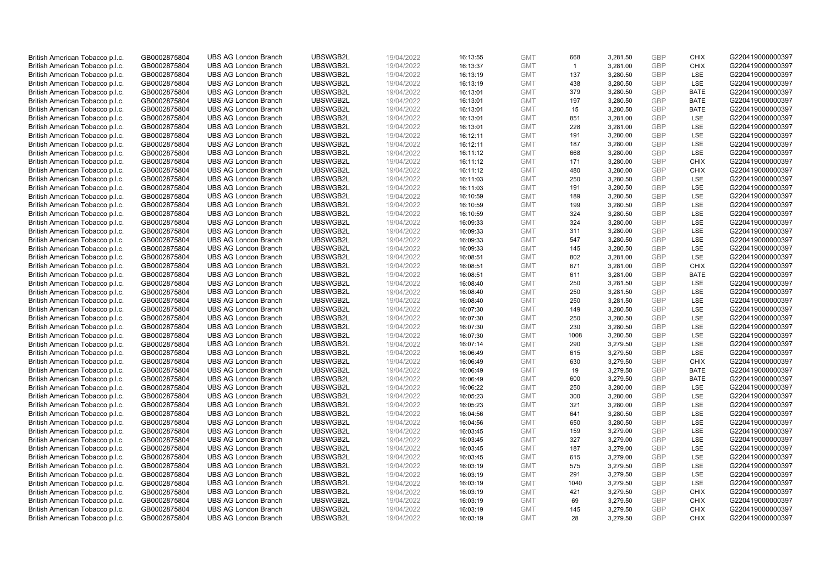| British American Tobacco p.l.c.<br>GB0002875804<br>UBSWGB2L<br>19/04/2022<br><b>GMT</b><br><b>UBS AG London Branch</b><br>16:13:55<br>668<br>British American Tobacco p.l.c.<br>GB0002875804<br><b>UBS AG London Branch</b><br>UBSWGB2L<br>19/04/2022<br><b>GMT</b><br>$\mathbf{1}$<br>16:13:37<br>UBSWGB2L<br>British American Tobacco p.l.c.<br>GB0002875804<br><b>UBS AG London Branch</b><br>19/04/2022<br>16:13:19<br><b>GMT</b><br>137<br>UBSWGB2L<br>19/04/2022<br>British American Tobacco p.l.c.<br>GB0002875804<br><b>UBS AG London Branch</b><br>16:13:19<br><b>GMT</b><br>438<br>3,280.50 | <b>GBP</b><br>3,281.50<br><b>GBP</b><br>3,281.00<br><b>GBP</b><br>3,280.50<br><b>GBP</b> | <b>CHIX</b><br><b>CHIX</b><br>LSE | G220419000000397<br>G220419000000397<br>G220419000000397 |
|-------------------------------------------------------------------------------------------------------------------------------------------------------------------------------------------------------------------------------------------------------------------------------------------------------------------------------------------------------------------------------------------------------------------------------------------------------------------------------------------------------------------------------------------------------------------------------------------------------|------------------------------------------------------------------------------------------|-----------------------------------|----------------------------------------------------------|
|                                                                                                                                                                                                                                                                                                                                                                                                                                                                                                                                                                                                       |                                                                                          |                                   |                                                          |
|                                                                                                                                                                                                                                                                                                                                                                                                                                                                                                                                                                                                       |                                                                                          |                                   |                                                          |
|                                                                                                                                                                                                                                                                                                                                                                                                                                                                                                                                                                                                       |                                                                                          | LSE                               | G220419000000397                                         |
| British American Tobacco p.l.c.<br>GB0002875804<br><b>UBS AG London Branch</b><br>UBSWGB2L<br>19/04/2022<br><b>GMT</b><br>379<br>16:13:01                                                                                                                                                                                                                                                                                                                                                                                                                                                             | <b>GBP</b><br>3,280.50                                                                   | <b>BATE</b>                       | G220419000000397                                         |
| British American Tobacco p.l.c.<br><b>UBS AG London Branch</b><br>UBSWGB2L<br>197<br>GB0002875804<br>19/04/2022<br>16:13:01<br><b>GMT</b>                                                                                                                                                                                                                                                                                                                                                                                                                                                             | <b>GBP</b><br>3,280.50                                                                   | BATE                              | G220419000000397                                         |
| British American Tobacco p.l.c.<br>GB0002875804<br><b>UBS AG London Branch</b><br>UBSWGB2L<br>19/04/2022<br><b>GMT</b><br>15<br>16:13:01                                                                                                                                                                                                                                                                                                                                                                                                                                                              | <b>GBP</b><br>3,280.50                                                                   | <b>BATE</b>                       | G220419000000397                                         |
| British American Tobacco p.l.c.<br>851<br>GB0002875804<br><b>UBS AG London Branch</b><br>UBSWGB2L<br>19/04/2022<br>16:13:01<br><b>GMT</b>                                                                                                                                                                                                                                                                                                                                                                                                                                                             | 3,281.00<br><b>GBP</b>                                                                   | LSE                               | G220419000000397                                         |
| <b>UBS AG London Branch</b><br>UBSWGB2L<br>19/04/2022<br>16:13:01<br>228<br>British American Tobacco p.l.c.<br>GB0002875804<br><b>GMT</b>                                                                                                                                                                                                                                                                                                                                                                                                                                                             | <b>GBP</b><br>3,281.00                                                                   | LSE                               | G220419000000397                                         |
| British American Tobacco p.l.c.<br>GB0002875804<br><b>UBS AG London Branch</b><br>UBSWGB2L<br>19/04/2022<br><b>GMT</b><br>191<br>16:12:11                                                                                                                                                                                                                                                                                                                                                                                                                                                             | <b>GBP</b><br>3,280.00                                                                   | LSE                               | G220419000000397                                         |
| UBSWGB2L<br>British American Tobacco p.l.c.<br>GB0002875804<br><b>UBS AG London Branch</b><br>19/04/2022<br><b>GMT</b><br>187<br>16:12:11                                                                                                                                                                                                                                                                                                                                                                                                                                                             | <b>GBP</b><br>3,280.00                                                                   | LSE                               | G220419000000397                                         |
| British American Tobacco p.l.c.<br>GB0002875804<br><b>UBS AG London Branch</b><br>UBSWGB2L<br>19/04/2022<br><b>GMT</b><br>668<br>16:11:12                                                                                                                                                                                                                                                                                                                                                                                                                                                             | 3,280.00<br><b>GBP</b>                                                                   | LSE                               | G220419000000397                                         |
| <b>UBS AG London Branch</b><br>UBSWGB2L<br>19/04/2022<br>171<br>British American Tobacco p.l.c.<br>GB0002875804<br>16:11:12<br><b>GMT</b>                                                                                                                                                                                                                                                                                                                                                                                                                                                             | <b>GBP</b><br>3,280.00                                                                   | <b>CHIX</b>                       | G220419000000397                                         |
| GB0002875804<br><b>UBS AG London Branch</b><br>UBSWGB2L<br>British American Tobacco p.l.c.<br>19/04/2022<br>16:11:12<br><b>GMT</b><br>480                                                                                                                                                                                                                                                                                                                                                                                                                                                             | <b>GBP</b><br>3,280.00                                                                   | <b>CHIX</b>                       | G220419000000397                                         |
| 250<br>British American Tobacco p.l.c.<br><b>UBS AG London Branch</b><br>UBSWGB2L<br>19/04/2022<br><b>GMT</b><br>GB0002875804<br>16:11:03                                                                                                                                                                                                                                                                                                                                                                                                                                                             | <b>GBP</b><br>3,280.50                                                                   | LSE                               | G220419000000397                                         |
| UBSWGB2L<br><b>UBS AG London Branch</b><br><b>GMT</b><br>191                                                                                                                                                                                                                                                                                                                                                                                                                                                                                                                                          | <b>GBP</b><br>3,280.50                                                                   | LSE                               | G220419000000397                                         |
| British American Tobacco p.l.c.<br>GB0002875804<br>19/04/2022<br>16:11:03<br>UBSWGB2L<br><b>UBS AG London Branch</b><br><b>GMT</b>                                                                                                                                                                                                                                                                                                                                                                                                                                                                    | <b>GBP</b>                                                                               |                                   |                                                          |
| GB0002875804<br>19/04/2022<br>16:10:59<br>189<br>British American Tobacco p.l.c.                                                                                                                                                                                                                                                                                                                                                                                                                                                                                                                      | 3,280.50                                                                                 | LSE<br>LSE                        | G220419000000397                                         |
| British American Tobacco p.l.c.<br>GB0002875804<br><b>UBS AG London Branch</b><br>UBSWGB2L<br>19/04/2022<br><b>GMT</b><br>199<br>16:10:59                                                                                                                                                                                                                                                                                                                                                                                                                                                             | 3,280.50<br><b>GBP</b>                                                                   |                                   | G220419000000397                                         |
| <b>UBS AG London Branch</b><br>UBSWGB2L<br>324<br>British American Tobacco p.l.c.<br>GB0002875804<br>19/04/2022<br>16:10:59<br><b>GMT</b>                                                                                                                                                                                                                                                                                                                                                                                                                                                             | <b>GBP</b><br>3,280.50                                                                   | <b>LSE</b>                        | G220419000000397                                         |
| British American Tobacco p.l.c.<br>GB0002875804<br><b>UBS AG London Branch</b><br>UBSWGB2L<br>19/04/2022<br><b>GMT</b><br>324<br>16:09:33                                                                                                                                                                                                                                                                                                                                                                                                                                                             | <b>GBP</b><br>3,280.00                                                                   | LSE                               | G220419000000397                                         |
| 311<br>British American Tobacco p.l.c.<br>GB0002875804<br><b>UBS AG London Branch</b><br>UBSWGB2L<br>19/04/2022<br>16:09:33<br><b>GMT</b>                                                                                                                                                                                                                                                                                                                                                                                                                                                             | 3,280.00<br><b>GBP</b>                                                                   | LSE                               | G220419000000397                                         |
| UBSWGB2L<br>19/04/2022<br>547<br>British American Tobacco p.l.c.<br>GB0002875804<br><b>UBS AG London Branch</b><br>16:09:33<br><b>GMT</b>                                                                                                                                                                                                                                                                                                                                                                                                                                                             | <b>GBP</b><br>3,280.50                                                                   | LSE                               | G220419000000397                                         |
| British American Tobacco p.l.c.<br>GB0002875804<br><b>UBS AG London Branch</b><br>UBSWGB2L<br>19/04/2022<br><b>GMT</b><br>145<br>16:09:33                                                                                                                                                                                                                                                                                                                                                                                                                                                             | <b>GBP</b><br>3,280.50                                                                   | LSE                               | G220419000000397                                         |
| British American Tobacco p.l.c.<br>GB0002875804<br><b>UBS AG London Branch</b><br>UBSWGB2L<br>19/04/2022<br><b>GMT</b><br>802<br>16:08:51                                                                                                                                                                                                                                                                                                                                                                                                                                                             | <b>GBP</b><br>3,281.00                                                                   | <b>LSE</b>                        | G220419000000397                                         |
| British American Tobacco p.l.c.<br>GB0002875804<br><b>UBS AG London Branch</b><br>UBSWGB2L<br>19/04/2022<br><b>GMT</b><br>671<br>16:08:51                                                                                                                                                                                                                                                                                                                                                                                                                                                             | <b>GBP</b><br>3,281.00                                                                   | <b>CHIX</b>                       | G220419000000397                                         |
| UBSWGB2L<br>611<br>British American Tobacco p.l.c.<br>GB0002875804<br><b>UBS AG London Branch</b><br>19/04/2022<br>16:08:51<br><b>GMT</b>                                                                                                                                                                                                                                                                                                                                                                                                                                                             | <b>GBP</b><br>3,281.00                                                                   | <b>BATE</b>                       | G220419000000397                                         |
| UBSWGB2L<br>British American Tobacco p.l.c.<br>GB0002875804<br><b>UBS AG London Branch</b><br>19/04/2022<br>16:08:40<br><b>GMT</b><br>250                                                                                                                                                                                                                                                                                                                                                                                                                                                             | <b>GBP</b><br>3,281.50                                                                   | LSE                               | G220419000000397                                         |
| 250<br>British American Tobacco p.l.c.<br><b>UBS AG London Branch</b><br>UBSWGB2L<br>19/04/2022<br><b>GMT</b><br>GB0002875804<br>16:08:40                                                                                                                                                                                                                                                                                                                                                                                                                                                             | <b>GBP</b><br>3,281.50                                                                   | <b>LSE</b>                        | G220419000000397                                         |
| UBSWGB2L<br>British American Tobacco p.l.c.<br>GB0002875804<br><b>UBS AG London Branch</b><br>19/04/2022<br>16:08:40<br><b>GMT</b><br>250                                                                                                                                                                                                                                                                                                                                                                                                                                                             | 3,281.50<br><b>GBP</b>                                                                   | LSE                               | G220419000000397                                         |
| UBSWGB2L<br>GB0002875804<br><b>UBS AG London Branch</b><br>19/04/2022<br>16:07:30<br><b>GMT</b><br>149<br>British American Tobacco p.l.c.                                                                                                                                                                                                                                                                                                                                                                                                                                                             | <b>GBP</b><br>3,280.50                                                                   | LSE                               | G220419000000397                                         |
| British American Tobacco p.l.c.<br>GB0002875804<br><b>UBS AG London Branch</b><br>UBSWGB2L<br>19/04/2022<br><b>GMT</b><br>250<br>16:07:30                                                                                                                                                                                                                                                                                                                                                                                                                                                             | 3,280.50<br><b>GBP</b>                                                                   | LSE                               | G220419000000397                                         |
| <b>UBS AG London Branch</b><br>UBSWGB2L<br>230<br>British American Tobacco p.l.c.<br>GB0002875804<br>19/04/2022<br>16:07:30<br><b>GMT</b>                                                                                                                                                                                                                                                                                                                                                                                                                                                             | 3,280.50<br><b>GBP</b>                                                                   | <b>LSE</b>                        | G220419000000397                                         |
| British American Tobacco p.l.c.<br>GB0002875804<br><b>UBS AG London Branch</b><br>UBSWGB2L<br>19/04/2022<br><b>GMT</b><br>1008<br>16:07:30                                                                                                                                                                                                                                                                                                                                                                                                                                                            | <b>GBP</b><br>3,280.50                                                                   | LSE                               | G220419000000397                                         |
| British American Tobacco p.l.c.<br>GB0002875804<br><b>UBS AG London Branch</b><br>UBSWGB2L<br>19/04/2022<br>16:07:14<br><b>GMT</b><br>290                                                                                                                                                                                                                                                                                                                                                                                                                                                             | 3,279.50<br><b>GBP</b>                                                                   | LSE                               | G220419000000397                                         |
| UBSWGB2L<br>British American Tobacco p.l.c.<br>GB0002875804<br><b>UBS AG London Branch</b><br>19/04/2022<br>16:06:49<br><b>GMT</b><br>615                                                                                                                                                                                                                                                                                                                                                                                                                                                             | <b>GBP</b><br>3,279.50                                                                   | LSE                               | G220419000000397                                         |
| British American Tobacco p.l.c.<br>GB0002875804<br><b>UBS AG London Branch</b><br>UBSWGB2L<br>19/04/2022<br><b>GMT</b><br>630<br>16:06:49                                                                                                                                                                                                                                                                                                                                                                                                                                                             | <b>GBP</b><br>3,279.50                                                                   | <b>CHIX</b>                       | G220419000000397                                         |
| British American Tobacco p.l.c.<br>GB0002875804<br><b>UBS AG London Branch</b><br>UBSWGB2L<br>19/04/2022<br><b>GMT</b><br>19<br>16:06:49                                                                                                                                                                                                                                                                                                                                                                                                                                                              | <b>GBP</b><br>3,279.50                                                                   | <b>BATE</b>                       | G220419000000397                                         |
| British American Tobacco p.l.c.<br>GB0002875804<br><b>UBS AG London Branch</b><br>UBSWGB2L<br>600<br>19/04/2022<br>16:06:49<br><b>GMT</b>                                                                                                                                                                                                                                                                                                                                                                                                                                                             | 3,279.50<br><b>GBP</b>                                                                   | <b>BATE</b>                       | G220419000000397                                         |
| UBSWGB2L<br>250<br>British American Tobacco p.l.c.<br>GB0002875804<br><b>UBS AG London Branch</b><br>19/04/2022<br>16:06:22<br><b>GMT</b>                                                                                                                                                                                                                                                                                                                                                                                                                                                             | 3,280.00<br><b>GBP</b>                                                                   | LSE                               | G220419000000397                                         |
| British American Tobacco p.l.c.<br>GB0002875804<br><b>UBS AG London Branch</b><br>UBSWGB2L<br>19/04/2022<br>16:05:23<br><b>GMT</b><br>300                                                                                                                                                                                                                                                                                                                                                                                                                                                             | <b>GBP</b><br>3,280.00                                                                   | LSE                               | G220419000000397                                         |
| British American Tobacco p.l.c.<br><b>UBS AG London Branch</b><br>UBSWGB2L<br>19/04/2022<br><b>GMT</b><br>321<br>GB0002875804<br>16:05:23                                                                                                                                                                                                                                                                                                                                                                                                                                                             | <b>GBP</b><br>3,280.00                                                                   | <b>LSE</b>                        | G220419000000397                                         |
| British American Tobacco p.l.c.<br>GB0002875804<br><b>UBS AG London Branch</b><br>UBSWGB2L<br>19/04/2022<br>16:04:56<br><b>GMT</b><br>641                                                                                                                                                                                                                                                                                                                                                                                                                                                             | 3,280.50<br><b>GBP</b>                                                                   | LSE                               | G220419000000397                                         |
| GB0002875804<br><b>UBS AG London Branch</b><br>UBSWGB2L<br>19/04/2022<br><b>GMT</b><br>650<br>British American Tobacco p.l.c.<br>16:04:56                                                                                                                                                                                                                                                                                                                                                                                                                                                             | <b>GBP</b><br>3,280.50                                                                   | LSE                               | G220419000000397                                         |
| British American Tobacco p.l.c.<br>GB0002875804<br><b>UBS AG London Branch</b><br>UBSWGB2L<br>19/04/2022<br><b>GMT</b><br>159<br>16:03:45                                                                                                                                                                                                                                                                                                                                                                                                                                                             | 3,279.00<br><b>GBP</b>                                                                   | LSE                               | G220419000000397                                         |
| UBSWGB2L<br>327<br>British American Tobacco p.l.c.<br>GB0002875804<br><b>UBS AG London Branch</b><br>19/04/2022<br>16:03:45<br><b>GMT</b>                                                                                                                                                                                                                                                                                                                                                                                                                                                             | 3,279.00<br><b>GBP</b>                                                                   | <b>LSE</b>                        | G220419000000397                                         |
| <b>UBS AG London Branch</b><br>UBSWGB2L<br>19/04/2022<br><b>GMT</b><br>187<br>British American Tobacco p.l.c.<br>GB0002875804<br>16:03:45                                                                                                                                                                                                                                                                                                                                                                                                                                                             | <b>GBP</b><br>3,279.00                                                                   | LSE                               | G220419000000397                                         |
| British American Tobacco p.l.c.<br>GB0002875804<br><b>UBS AG London Branch</b><br>UBSWGB2L<br>19/04/2022<br>16:03:45<br><b>GMT</b><br>615                                                                                                                                                                                                                                                                                                                                                                                                                                                             | 3,279.00<br><b>GBP</b>                                                                   | LSE                               | G220419000000397                                         |
| UBSWGB2L<br>575<br>British American Tobacco p.l.c.<br>GB0002875804<br><b>UBS AG London Branch</b><br>19/04/2022<br>16:03:19<br><b>GMT</b>                                                                                                                                                                                                                                                                                                                                                                                                                                                             | <b>GBP</b><br>3,279.50                                                                   | LSE                               | G220419000000397                                         |
| British American Tobacco p.l.c.<br>GB0002875804<br><b>UBS AG London Branch</b><br>UBSWGB2L<br>19/04/2022<br><b>GMT</b><br>291<br>16:03:19                                                                                                                                                                                                                                                                                                                                                                                                                                                             | <b>GBP</b><br>3,279.50                                                                   | LSE                               | G220419000000397                                         |
| British American Tobacco p.l.c.<br>UBSWGB2L<br>19/04/2022<br>GB0002875804<br><b>UBS AG London Branch</b><br>16:03:19<br><b>GMT</b><br>1040                                                                                                                                                                                                                                                                                                                                                                                                                                                            | <b>GBP</b><br>3,279.50                                                                   | <b>LSE</b>                        | G220419000000397                                         |
|                                                                                                                                                                                                                                                                                                                                                                                                                                                                                                                                                                                                       | <b>GBP</b><br>3,279.50                                                                   | <b>CHIX</b>                       | G220419000000397                                         |
| UBSWGB2L<br>421<br>GB0002875804<br><b>UBS AG London Branch</b><br>19/04/2022<br>16:03:19<br><b>GMT</b>                                                                                                                                                                                                                                                                                                                                                                                                                                                                                                |                                                                                          |                                   |                                                          |
| British American Tobacco p.l.c.<br>UBSWGB2L<br>British American Tobacco p.l.c.<br><b>UBS AG London Branch</b><br>19/04/2022<br>16:03:19<br>69<br>GB0002875804<br><b>GMT</b>                                                                                                                                                                                                                                                                                                                                                                                                                           | 3,279.50<br><b>GBP</b>                                                                   | <b>CHIX</b>                       | G220419000000397                                         |
| British American Tobacco p.l.c.<br>GB0002875804<br><b>UBS AG London Branch</b><br>UBSWGB2L<br>19/04/2022<br>16:03:19<br><b>GMT</b><br>145                                                                                                                                                                                                                                                                                                                                                                                                                                                             | <b>GBP</b><br>3,279.50                                                                   | <b>CHIX</b>                       | G220419000000397                                         |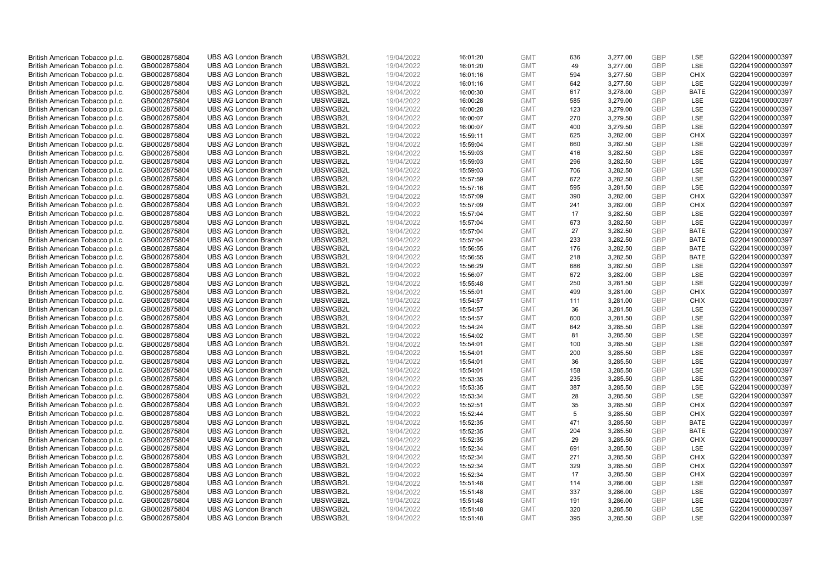| British American Tobacco p.l.c. | GB0002875804 | <b>UBS AG London Branch</b> | UBSWGB2L | 19/04/2022 | 16:01:20 | <b>GMT</b> | 636 | 3,277.00 | <b>GBP</b>               | LSE         | G220419000000397 |
|---------------------------------|--------------|-----------------------------|----------|------------|----------|------------|-----|----------|--------------------------|-------------|------------------|
| British American Tobacco p.l.c. | GB0002875804 | <b>UBS AG London Branch</b> | UBSWGB2L | 19/04/2022 | 16:01:20 | <b>GMT</b> | 49  | 3,277.00 | <b>GBP</b>               | <b>LSE</b>  | G220419000000397 |
| British American Tobacco p.l.c. | GB0002875804 | <b>UBS AG London Branch</b> | UBSWGB2L | 19/04/2022 | 16:01:16 | <b>GMT</b> | 594 | 3,277.50 | <b>GBP</b>               | <b>CHIX</b> | G220419000000397 |
| British American Tobacco p.l.c. | GB0002875804 | <b>UBS AG London Branch</b> | UBSWGB2L | 19/04/2022 | 16:01:16 | <b>GMT</b> | 642 | 3,277.50 | <b>GBP</b>               | LSE         | G220419000000397 |
| British American Tobacco p.l.c. | GB0002875804 | <b>UBS AG London Branch</b> | UBSWGB2L | 19/04/2022 | 16:00:30 | <b>GMT</b> | 617 | 3,278.00 | <b>GBP</b>               | <b>BATE</b> | G220419000000397 |
|                                 |              | <b>UBS AG London Branch</b> | UBSWGB2L |            |          |            | 585 |          |                          | LSE         |                  |
| British American Tobacco p.l.c. | GB0002875804 |                             |          | 19/04/2022 | 16:00:28 | <b>GMT</b> |     | 3,279.00 | <b>GBP</b><br><b>GBP</b> |             | G220419000000397 |
| British American Tobacco p.l.c. | GB0002875804 | <b>UBS AG London Branch</b> | UBSWGB2L | 19/04/2022 | 16:00:28 | <b>GMT</b> | 123 | 3,279.00 |                          | LSE         | G220419000000397 |
| British American Tobacco p.l.c. | GB0002875804 | <b>UBS AG London Branch</b> | UBSWGB2L | 19/04/2022 | 16:00:07 | <b>GMT</b> | 270 | 3,279.50 | <b>GBP</b>               | LSE         | G220419000000397 |
| British American Tobacco p.l.c. | GB0002875804 | <b>UBS AG London Branch</b> | UBSWGB2L | 19/04/2022 | 16:00:07 | <b>GMT</b> | 400 | 3,279.50 | <b>GBP</b>               | LSE         | G220419000000397 |
| British American Tobacco p.l.c. | GB0002875804 | <b>UBS AG London Branch</b> | UBSWGB2L | 19/04/2022 | 15:59:11 | <b>GMT</b> | 625 | 3,282.00 | <b>GBP</b>               | <b>CHIX</b> | G220419000000397 |
| British American Tobacco p.l.c. | GB0002875804 | <b>UBS AG London Branch</b> | UBSWGB2L | 19/04/2022 | 15:59:04 | <b>GMT</b> | 660 | 3,282.50 | <b>GBP</b>               | <b>LSE</b>  | G220419000000397 |
| British American Tobacco p.l.c. | GB0002875804 | <b>UBS AG London Branch</b> | UBSWGB2L | 19/04/2022 | 15:59:03 | <b>GMT</b> | 416 | 3,282.50 | <b>GBP</b>               | LSE         | G220419000000397 |
| British American Tobacco p.l.c. | GB0002875804 | <b>UBS AG London Branch</b> | UBSWGB2L | 19/04/2022 | 15:59:03 | <b>GMT</b> | 296 | 3,282.50 | <b>GBP</b>               | LSE         | G220419000000397 |
| British American Tobacco p.l.c. | GB0002875804 | <b>UBS AG London Branch</b> | UBSWGB2L | 19/04/2022 | 15:59:03 | <b>GMT</b> | 706 | 3,282.50 | <b>GBP</b>               | LSE         | G220419000000397 |
| British American Tobacco p.l.c. | GB0002875804 | <b>UBS AG London Branch</b> | UBSWGB2L | 19/04/2022 | 15:57:59 | <b>GMT</b> | 672 | 3,282.50 | <b>GBP</b>               | <b>LSE</b>  | G220419000000397 |
| British American Tobacco p.l.c. | GB0002875804 | <b>UBS AG London Branch</b> | UBSWGB2L | 19/04/2022 | 15:57:16 | <b>GMT</b> | 595 | 3,281.50 | <b>GBP</b>               | LSE         | G220419000000397 |
| British American Tobacco p.l.c. | GB0002875804 | <b>UBS AG London Branch</b> | UBSWGB2L | 19/04/2022 | 15:57:09 | <b>GMT</b> | 390 | 3,282.00 | <b>GBP</b>               | <b>CHIX</b> | G220419000000397 |
| British American Tobacco p.l.c. | GB0002875804 | <b>UBS AG London Branch</b> | UBSWGB2L | 19/04/2022 | 15:57:09 | <b>GMT</b> | 241 | 3,282.00 | <b>GBP</b>               | <b>CHIX</b> | G220419000000397 |
| British American Tobacco p.l.c. | GB0002875804 | <b>UBS AG London Branch</b> | UBSWGB2L | 19/04/2022 | 15:57:04 | <b>GMT</b> | 17  | 3,282.50 | <b>GBP</b>               | <b>LSE</b>  | G220419000000397 |
| British American Tobacco p.l.c. | GB0002875804 | <b>UBS AG London Branch</b> | UBSWGB2L | 19/04/2022 | 15:57:04 | <b>GMT</b> | 673 | 3,282.50 | <b>GBP</b>               | LSE         | G220419000000397 |
| British American Tobacco p.l.c. | GB0002875804 | <b>UBS AG London Branch</b> | UBSWGB2L | 19/04/2022 | 15:57:04 | <b>GMT</b> | 27  | 3,282.50 | <b>GBP</b>               | <b>BATE</b> | G220419000000397 |
| British American Tobacco p.l.c. | GB0002875804 | <b>UBS AG London Branch</b> | UBSWGB2L | 19/04/2022 | 15:57:04 | <b>GMT</b> | 233 | 3,282.50 | <b>GBP</b>               | <b>BATE</b> | G220419000000397 |
| British American Tobacco p.l.c. | GB0002875804 | <b>UBS AG London Branch</b> | UBSWGB2L | 19/04/2022 | 15:56:55 | <b>GMT</b> | 176 | 3,282.50 | <b>GBP</b>               | <b>BATE</b> | G220419000000397 |
| British American Tobacco p.l.c. | GB0002875804 | <b>UBS AG London Branch</b> | UBSWGB2L | 19/04/2022 | 15:56:55 | <b>GMT</b> | 218 | 3,282.50 | <b>GBP</b>               | <b>BATE</b> | G220419000000397 |
| British American Tobacco p.l.c. | GB0002875804 | <b>UBS AG London Branch</b> | UBSWGB2L | 19/04/2022 | 15:56:29 | <b>GMT</b> | 686 | 3,282.50 | <b>GBP</b>               | LSE         | G220419000000397 |
| British American Tobacco p.l.c. | GB0002875804 | <b>UBS AG London Branch</b> | UBSWGB2L | 19/04/2022 | 15:56:07 | <b>GMT</b> | 672 | 3,282.00 | <b>GBP</b>               | LSE         | G220419000000397 |
| British American Tobacco p.l.c. | GB0002875804 | <b>UBS AG London Branch</b> | UBSWGB2L | 19/04/2022 | 15:55:48 | <b>GMT</b> | 250 | 3,281.50 | <b>GBP</b>               | LSE         | G220419000000397 |
| British American Tobacco p.l.c. | GB0002875804 | <b>UBS AG London Branch</b> | UBSWGB2L | 19/04/2022 | 15:55:01 | <b>GMT</b> | 499 | 3,281.00 | <b>GBP</b>               | <b>CHIX</b> | G220419000000397 |
| British American Tobacco p.l.c. | GB0002875804 | <b>UBS AG London Branch</b> | UBSWGB2L | 19/04/2022 | 15:54:57 | <b>GMT</b> | 111 | 3,281.00 | <b>GBP</b>               | <b>CHIX</b> | G220419000000397 |
| British American Tobacco p.l.c. | GB0002875804 | <b>UBS AG London Branch</b> | UBSWGB2L | 19/04/2022 | 15:54:57 | <b>GMT</b> | 36  | 3,281.50 | <b>GBP</b>               | LSE         | G220419000000397 |
| British American Tobacco p.l.c. | GB0002875804 | <b>UBS AG London Branch</b> | UBSWGB2L | 19/04/2022 | 15:54:57 | <b>GMT</b> | 600 | 3,281.50 | <b>GBP</b>               | LSE         | G220419000000397 |
| British American Tobacco p.l.c. | GB0002875804 | <b>UBS AG London Branch</b> | UBSWGB2L | 19/04/2022 | 15:54:24 | <b>GMT</b> | 642 | 3,285.50 | <b>GBP</b>               | <b>LSE</b>  | G220419000000397 |
| British American Tobacco p.l.c. | GB0002875804 | <b>UBS AG London Branch</b> | UBSWGB2L | 19/04/2022 | 15:54:02 | <b>GMT</b> | 81  | 3,285.50 | <b>GBP</b>               | LSE         | G220419000000397 |
| British American Tobacco p.l.c. | GB0002875804 | <b>UBS AG London Branch</b> | UBSWGB2L | 19/04/2022 | 15:54:01 | <b>GMT</b> | 100 | 3,285.50 | <b>GBP</b>               | LSE         | G220419000000397 |
| British American Tobacco p.l.c. | GB0002875804 | <b>UBS AG London Branch</b> | UBSWGB2L | 19/04/2022 | 15:54:01 | <b>GMT</b> | 200 | 3,285.50 | <b>GBP</b>               | LSE         | G220419000000397 |
| British American Tobacco p.l.c. | GB0002875804 | <b>UBS AG London Branch</b> | UBSWGB2L | 19/04/2022 | 15:54:01 | <b>GMT</b> | 36  | 3,285.50 | <b>GBP</b>               | LSE         | G220419000000397 |
| British American Tobacco p.l.c. | GB0002875804 | <b>UBS AG London Branch</b> | UBSWGB2L | 19/04/2022 | 15:54:01 | <b>GMT</b> | 158 | 3,285.50 | <b>GBP</b>               | <b>LSE</b>  | G220419000000397 |
| British American Tobacco p.l.c. | GB0002875804 | <b>UBS AG London Branch</b> | UBSWGB2L | 19/04/2022 | 15:53:35 | <b>GMT</b> | 235 | 3,285.50 | <b>GBP</b>               | LSE         | G220419000000397 |
| British American Tobacco p.l.c. | GB0002875804 | <b>UBS AG London Branch</b> | UBSWGB2L | 19/04/2022 | 15:53:35 | <b>GMT</b> | 387 | 3,285.50 | <b>GBP</b>               | LSE         | G220419000000397 |
| British American Tobacco p.l.c. | GB0002875804 | <b>UBS AG London Branch</b> | UBSWGB2L | 19/04/2022 | 15:53:34 | <b>GMT</b> | 28  | 3,285.50 | <b>GBP</b>               | LSE         | G220419000000397 |
| British American Tobacco p.l.c. | GB0002875804 | <b>UBS AG London Branch</b> | UBSWGB2L | 19/04/2022 | 15:52:51 | <b>GMT</b> | 35  | 3,285.50 | <b>GBP</b>               | <b>CHIX</b> | G220419000000397 |
| British American Tobacco p.l.c. | GB0002875804 | <b>UBS AG London Branch</b> | UBSWGB2L | 19/04/2022 | 15:52:44 | <b>GMT</b> | 5   | 3,285.50 | <b>GBP</b>               | <b>CHIX</b> | G220419000000397 |
| British American Tobacco p.l.c. | GB0002875804 | <b>UBS AG London Branch</b> | UBSWGB2L | 19/04/2022 | 15:52:35 | <b>GMT</b> | 471 | 3,285.50 | <b>GBP</b>               | <b>BATE</b> | G220419000000397 |
| British American Tobacco p.l.c. | GB0002875804 | <b>UBS AG London Branch</b> | UBSWGB2L | 19/04/2022 | 15:52:35 | <b>GMT</b> | 204 | 3,285.50 | <b>GBP</b>               | <b>BATE</b> | G220419000000397 |
| British American Tobacco p.l.c. | GB0002875804 | <b>UBS AG London Branch</b> | UBSWGB2L | 19/04/2022 | 15:52:35 | <b>GMT</b> | 29  | 3,285.50 | <b>GBP</b>               | <b>CHIX</b> | G220419000000397 |
| British American Tobacco p.l.c. | GB0002875804 | <b>UBS AG London Branch</b> | UBSWGB2L | 19/04/2022 | 15:52:34 | <b>GMT</b> | 691 | 3,285.50 | <b>GBP</b>               | LSE         | G220419000000397 |
| British American Tobacco p.l.c. | GB0002875804 | <b>UBS AG London Branch</b> | UBSWGB2L | 19/04/2022 | 15:52:34 | <b>GMT</b> | 271 | 3,285.50 | <b>GBP</b>               | <b>CHIX</b> | G220419000000397 |
| British American Tobacco p.l.c. | GB0002875804 | <b>UBS AG London Branch</b> | UBSWGB2L | 19/04/2022 | 15:52:34 | <b>GMT</b> | 329 | 3,285.50 | <b>GBP</b>               | <b>CHIX</b> | G220419000000397 |
| British American Tobacco p.l.c. | GB0002875804 | <b>UBS AG London Branch</b> | UBSWGB2L | 19/04/2022 | 15:52:34 | <b>GMT</b> | 17  | 3,285.50 | <b>GBP</b>               | <b>CHIX</b> | G220419000000397 |
| British American Tobacco p.l.c. | GB0002875804 | <b>UBS AG London Branch</b> | UBSWGB2L | 19/04/2022 | 15:51:48 | <b>GMT</b> | 114 | 3,286.00 | <b>GBP</b>               | <b>LSE</b>  | G220419000000397 |
| British American Tobacco p.l.c. | GB0002875804 | <b>UBS AG London Branch</b> | UBSWGB2L | 19/04/2022 | 15:51:48 | <b>GMT</b> | 337 | 3,286.00 | <b>GBP</b>               | LSE         | G220419000000397 |
| British American Tobacco p.l.c. | GB0002875804 | <b>UBS AG London Branch</b> | UBSWGB2L | 19/04/2022 | 15:51:48 | <b>GMT</b> | 191 | 3,286.00 | <b>GBP</b>               | LSE         | G220419000000397 |
| British American Tobacco p.l.c. | GB0002875804 | <b>UBS AG London Branch</b> | UBSWGB2L | 19/04/2022 | 15:51:48 | <b>GMT</b> | 320 | 3,285.50 | <b>GBP</b>               | LSE         | G220419000000397 |
| British American Tobacco p.l.c. | GB0002875804 | <b>UBS AG London Branch</b> | UBSWGB2L | 19/04/2022 | 15:51:48 | <b>GMT</b> | 395 | 3.285.50 | GBP                      | LSE         | G220419000000397 |
|                                 |              |                             |          |            |          |            |     |          |                          |             |                  |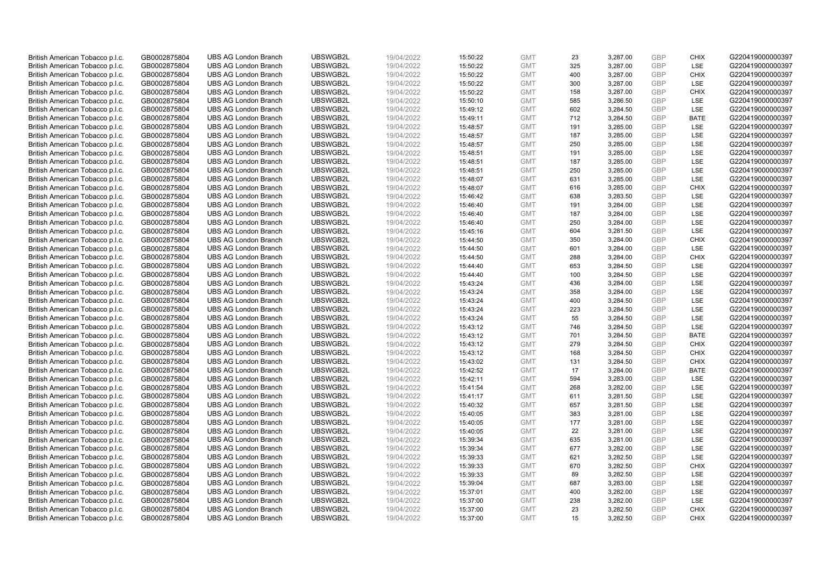| British American Tobacco p.l.c.                                    | GB0002875804                 | <b>UBS AG London Branch</b> | UBSWGB2L | 19/04/2022               | 15:50:22 | <b>GMT</b>               | 23  | 3,287.00 | <b>GBP</b> | <b>CHIX</b> | G220419000000397 |
|--------------------------------------------------------------------|------------------------------|-----------------------------|----------|--------------------------|----------|--------------------------|-----|----------|------------|-------------|------------------|
| British American Tobacco p.l.c.                                    | GB0002875804                 | <b>UBS AG London Branch</b> | UBSWGB2L | 19/04/2022               | 15:50:22 | <b>GMT</b>               | 325 | 3,287.00 | <b>GBP</b> | LSE         | G220419000000397 |
| British American Tobacco p.l.c.                                    | GB0002875804                 | <b>UBS AG London Branch</b> | UBSWGB2L | 19/04/2022               | 15:50:22 | <b>GMT</b>               | 400 | 3,287.00 | <b>GBP</b> | <b>CHIX</b> | G220419000000397 |
| British American Tobacco p.l.c.                                    | GB0002875804                 | <b>UBS AG London Branch</b> | UBSWGB2L | 19/04/2022               | 15:50:22 | <b>GMT</b>               | 300 | 3,287.00 | <b>GBP</b> | LSE         | G220419000000397 |
| British American Tobacco p.l.c.                                    | GB0002875804                 | <b>UBS AG London Branch</b> | UBSWGB2L | 19/04/2022               | 15:50:22 | <b>GMT</b>               | 158 | 3,287.00 | <b>GBP</b> | <b>CHIX</b> | G220419000000397 |
| British American Tobacco p.l.c.                                    | GB0002875804                 | <b>UBS AG London Branch</b> | UBSWGB2L | 19/04/2022               | 15:50:10 | <b>GMT</b>               | 585 | 3,286.50 | <b>GBP</b> | LSE         | G220419000000397 |
| British American Tobacco p.l.c.                                    | GB0002875804                 | <b>UBS AG London Branch</b> | UBSWGB2L | 19/04/2022               | 15:49:12 | <b>GMT</b>               | 602 | 3,284.50 | <b>GBP</b> | LSE         | G220419000000397 |
| British American Tobacco p.l.c.                                    | GB0002875804                 | <b>UBS AG London Branch</b> | UBSWGB2L | 19/04/2022               | 15:49:11 | <b>GMT</b>               | 712 | 3,284.50 | <b>GBP</b> | <b>BATE</b> | G220419000000397 |
| British American Tobacco p.l.c.                                    | GB0002875804                 | <b>UBS AG London Branch</b> | UBSWGB2L | 19/04/2022               | 15:48:57 | <b>GMT</b>               | 191 | 3,285.00 | <b>GBP</b> | LSE         | G220419000000397 |
| British American Tobacco p.l.c.                                    | GB0002875804                 | <b>UBS AG London Branch</b> | UBSWGB2L | 19/04/2022               | 15:48:57 | <b>GMT</b>               | 187 | 3,285.00 | <b>GBP</b> | LSE         | G220419000000397 |
| British American Tobacco p.l.c.                                    | GB0002875804                 | <b>UBS AG London Branch</b> | UBSWGB2L | 19/04/2022               | 15:48:57 | <b>GMT</b>               | 250 | 3,285.00 | <b>GBP</b> | LSE         | G220419000000397 |
| British American Tobacco p.l.c.                                    | GB0002875804                 | <b>UBS AG London Branch</b> | UBSWGB2L | 19/04/2022               | 15:48:51 | <b>GMT</b>               | 191 | 3,285.00 | <b>GBP</b> | LSE         | G220419000000397 |
| British American Tobacco p.l.c.                                    | GB0002875804                 | <b>UBS AG London Branch</b> | UBSWGB2L | 19/04/2022               | 15:48:51 | <b>GMT</b>               | 187 | 3,285.00 | <b>GBP</b> | LSE         | G220419000000397 |
| British American Tobacco p.l.c.                                    | GB0002875804                 | <b>UBS AG London Branch</b> | UBSWGB2L | 19/04/2022               | 15:48:51 | <b>GMT</b>               | 250 | 3,285.00 | <b>GBP</b> | LSE         | G220419000000397 |
| British American Tobacco p.l.c.                                    | GB0002875804                 | <b>UBS AG London Branch</b> | UBSWGB2L | 19/04/2022               | 15:48:07 | <b>GMT</b>               | 631 | 3,285.00 | <b>GBP</b> | LSE         | G220419000000397 |
| British American Tobacco p.l.c.                                    | GB0002875804                 | <b>UBS AG London Branch</b> | UBSWGB2L | 19/04/2022               | 15:48:07 | <b>GMT</b>               | 616 | 3,285.00 | <b>GBP</b> | <b>CHIX</b> | G220419000000397 |
| British American Tobacco p.l.c.                                    | GB0002875804                 | <b>UBS AG London Branch</b> | UBSWGB2L | 19/04/2022               | 15:46:42 | <b>GMT</b>               | 638 | 3,283.50 | <b>GBP</b> | LSE         | G220419000000397 |
| British American Tobacco p.l.c.                                    | GB0002875804                 | <b>UBS AG London Branch</b> | UBSWGB2L | 19/04/2022               | 15:46:40 | <b>GMT</b>               | 191 | 3,284.00 | <b>GBP</b> | LSE         | G220419000000397 |
|                                                                    |                              | <b>UBS AG London Branch</b> | UBSWGB2L |                          |          |                          | 187 |          | <b>GBP</b> | <b>LSE</b>  | G220419000000397 |
| British American Tobacco p.l.c.<br>British American Tobacco p.l.c. | GB0002875804<br>GB0002875804 | <b>UBS AG London Branch</b> | UBSWGB2L | 19/04/2022<br>19/04/2022 | 15:46:40 | <b>GMT</b><br><b>GMT</b> | 250 | 3,284.00 | <b>GBP</b> | LSE         | G220419000000397 |
|                                                                    |                              |                             |          |                          | 15:46:40 |                          |     | 3,284.00 |            |             |                  |
| British American Tobacco p.l.c.                                    | GB0002875804                 | <b>UBS AG London Branch</b> | UBSWGB2L | 19/04/2022               | 15:45:16 | <b>GMT</b>               | 604 | 3,281.50 | <b>GBP</b> | LSE         | G220419000000397 |
| British American Tobacco p.l.c.                                    | GB0002875804                 | <b>UBS AG London Branch</b> | UBSWGB2L | 19/04/2022               | 15:44:50 | <b>GMT</b>               | 350 | 3,284.00 | <b>GBP</b> | <b>CHIX</b> | G220419000000397 |
| British American Tobacco p.l.c.                                    | GB0002875804                 | <b>UBS AG London Branch</b> | UBSWGB2L | 19/04/2022               | 15:44:50 | <b>GMT</b>               | 601 | 3,284.00 | <b>GBP</b> | LSE         | G220419000000397 |
| British American Tobacco p.l.c.                                    | GB0002875804                 | <b>UBS AG London Branch</b> | UBSWGB2L | 19/04/2022               | 15:44:50 | <b>GMT</b>               | 288 | 3,284.00 | <b>GBP</b> | <b>CHIX</b> | G220419000000397 |
| British American Tobacco p.l.c.                                    | GB0002875804                 | <b>UBS AG London Branch</b> | UBSWGB2L | 19/04/2022               | 15:44:40 | <b>GMT</b>               | 653 | 3,284.50 | <b>GBP</b> | LSE         | G220419000000397 |
| British American Tobacco p.l.c.                                    | GB0002875804                 | <b>UBS AG London Branch</b> | UBSWGB2L | 19/04/2022               | 15:44:40 | <b>GMT</b>               | 100 | 3,284.50 | <b>GBP</b> | LSE         | G220419000000397 |
| British American Tobacco p.l.c.                                    | GB0002875804                 | <b>UBS AG London Branch</b> | UBSWGB2L | 19/04/2022               | 15:43:24 | <b>GMT</b>               | 436 | 3,284.00 | <b>GBP</b> | LSE         | G220419000000397 |
| British American Tobacco p.l.c.                                    | GB0002875804                 | <b>UBS AG London Branch</b> | UBSWGB2L | 19/04/2022               | 15:43:24 | <b>GMT</b>               | 358 | 3,284.00 | <b>GBP</b> | <b>LSE</b>  | G220419000000397 |
| British American Tobacco p.l.c.                                    | GB0002875804                 | <b>UBS AG London Branch</b> | UBSWGB2L | 19/04/2022               | 15:43:24 | <b>GMT</b>               | 400 | 3,284.50 | <b>GBP</b> | LSE         | G220419000000397 |
| British American Tobacco p.l.c.                                    | GB0002875804                 | <b>UBS AG London Branch</b> | UBSWGB2L | 19/04/2022               | 15:43:24 | <b>GMT</b>               | 223 | 3,284.50 | <b>GBP</b> | LSE         | G220419000000397 |
| British American Tobacco p.l.c.                                    | GB0002875804                 | <b>UBS AG London Branch</b> | UBSWGB2L | 19/04/2022               | 15:43:24 | <b>GMT</b>               | 55  | 3,284.50 | <b>GBP</b> | LSE         | G220419000000397 |
| British American Tobacco p.l.c.                                    | GB0002875804                 | <b>UBS AG London Branch</b> | UBSWGB2L | 19/04/2022               | 15:43:12 | <b>GMT</b>               | 746 | 3,284.50 | <b>GBP</b> | <b>LSE</b>  | G220419000000397 |
| British American Tobacco p.l.c.                                    | GB0002875804                 | <b>UBS AG London Branch</b> | UBSWGB2L | 19/04/2022               | 15:43:12 | <b>GMT</b>               | 701 | 3,284.50 | <b>GBP</b> | <b>BATE</b> | G220419000000397 |
| British American Tobacco p.l.c.                                    | GB0002875804                 | <b>UBS AG London Branch</b> | UBSWGB2L | 19/04/2022               | 15:43:12 | <b>GMT</b>               | 279 | 3,284.50 | GBP        | <b>CHIX</b> | G220419000000397 |
| British American Tobacco p.l.c.                                    | GB0002875804                 | <b>UBS AG London Branch</b> | UBSWGB2L | 19/04/2022               | 15:43:12 | <b>GMT</b>               | 168 | 3,284.50 | <b>GBP</b> | <b>CHIX</b> | G220419000000397 |
| British American Tobacco p.l.c.                                    | GB0002875804                 | <b>UBS AG London Branch</b> | UBSWGB2L | 19/04/2022               | 15:43:02 | <b>GMT</b>               | 131 | 3,284.50 | <b>GBP</b> | <b>CHIX</b> | G220419000000397 |
| British American Tobacco p.l.c.                                    | GB0002875804                 | <b>UBS AG London Branch</b> | UBSWGB2L | 19/04/2022               | 15:42:52 | <b>GMT</b>               | 17  | 3,284.00 | <b>GBP</b> | <b>BATE</b> | G220419000000397 |
| British American Tobacco p.l.c.                                    | GB0002875804                 | <b>UBS AG London Branch</b> | UBSWGB2L | 19/04/2022               | 15:42:11 | <b>GMT</b>               | 594 | 3,283.00 | <b>GBP</b> | LSE         | G220419000000397 |
| British American Tobacco p.l.c.                                    | GB0002875804                 | <b>UBS AG London Branch</b> | UBSWGB2L | 19/04/2022               | 15:41:54 | <b>GMT</b>               | 268 | 3,282.00 | <b>GBP</b> | LSE         | G220419000000397 |
| British American Tobacco p.l.c.                                    | GB0002875804                 | <b>UBS AG London Branch</b> | UBSWGB2L | 19/04/2022               | 15:41:17 | <b>GMT</b>               | 611 | 3,281.50 | <b>GBP</b> | LSE         | G220419000000397 |
| British American Tobacco p.l.c.                                    | GB0002875804                 | <b>UBS AG London Branch</b> | UBSWGB2L | 19/04/2022               | 15:40:32 | <b>GMT</b>               | 657 | 3,281.50 | <b>GBP</b> | <b>LSE</b>  | G220419000000397 |
| British American Tobacco p.l.c.                                    | GB0002875804                 | <b>UBS AG London Branch</b> | UBSWGB2L | 19/04/2022               | 15:40:05 | <b>GMT</b>               | 383 | 3,281.00 | <b>GBP</b> | LSE         | G220419000000397 |
| British American Tobacco p.l.c.                                    | GB0002875804                 | <b>UBS AG London Branch</b> | UBSWGB2L | 19/04/2022               | 15:40:05 | <b>GMT</b>               | 177 | 3,281.00 | <b>GBP</b> | LSE         | G220419000000397 |
| British American Tobacco p.l.c.                                    | GB0002875804                 | <b>UBS AG London Branch</b> | UBSWGB2L | 19/04/2022               | 15:40:05 | <b>GMT</b>               | 22  | 3,281.00 | <b>GBP</b> | LSE         | G220419000000397 |
| British American Tobacco p.l.c.                                    | GB0002875804                 | <b>UBS AG London Branch</b> | UBSWGB2L | 19/04/2022               | 15:39:34 | <b>GMT</b>               | 635 | 3,281.00 | <b>GBP</b> | <b>LSE</b>  | G220419000000397 |
| British American Tobacco p.l.c.                                    | GB0002875804                 | <b>UBS AG London Branch</b> | UBSWGB2L | 19/04/2022               | 15:39:34 | <b>GMT</b>               | 677 | 3,282.00 | <b>GBP</b> | LSE         | G220419000000397 |
| British American Tobacco p.l.c.                                    | GB0002875804                 | <b>UBS AG London Branch</b> | UBSWGB2L | 19/04/2022               | 15:39:33 | <b>GMT</b>               | 621 | 3,282.50 | <b>GBP</b> | LSE         | G220419000000397 |
| British American Tobacco p.l.c.                                    | GB0002875804                 | <b>UBS AG London Branch</b> | UBSWGB2L | 19/04/2022               | 15:39:33 | <b>GMT</b>               | 670 | 3,282.50 | <b>GBP</b> | <b>CHIX</b> | G220419000000397 |
| British American Tobacco p.l.c.                                    | GB0002875804                 | <b>UBS AG London Branch</b> | UBSWGB2L | 19/04/2022               | 15:39:33 | <b>GMT</b>               | 89  | 3,282.50 | <b>GBP</b> | LSE         | G220419000000397 |
| British American Tobacco p.l.c.                                    | GB0002875804                 | <b>UBS AG London Branch</b> | UBSWGB2L | 19/04/2022               | 15:39:04 | <b>GMT</b>               | 687 | 3,283.00 | <b>GBP</b> | <b>LSE</b>  | G220419000000397 |
| British American Tobacco p.l.c.                                    | GB0002875804                 | <b>UBS AG London Branch</b> | UBSWGB2L | 19/04/2022               | 15:37:01 | <b>GMT</b>               | 400 | 3,282.00 | <b>GBP</b> | LSE         | G220419000000397 |
| British American Tobacco p.l.c.                                    | GB0002875804                 | <b>UBS AG London Branch</b> | UBSWGB2L | 19/04/2022               | 15:37:00 | <b>GMT</b>               | 238 | 3,282.00 | <b>GBP</b> | LSE         | G220419000000397 |
| British American Tobacco p.l.c.                                    | GB0002875804                 | <b>UBS AG London Branch</b> | UBSWGB2L | 19/04/2022               | 15:37:00 | <b>GMT</b>               | 23  | 3,282.50 | <b>GBP</b> | <b>CHIX</b> | G220419000000397 |
| British American Tobacco p.l.c.                                    | GB0002875804                 | <b>UBS AG London Branch</b> | UBSWGB2L | 19/04/2022               | 15:37:00 | <b>GMT</b>               | 15  | 3.282.50 | GBP        | <b>CHIX</b> | G220419000000397 |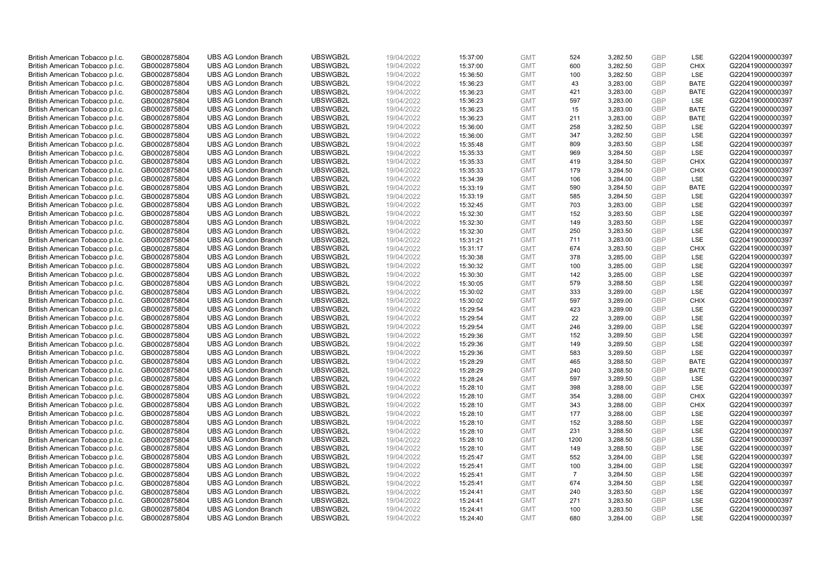| British American Tobacco p.l.c. | GB0002875804 | <b>UBS AG London Branch</b> | UBSWGB2L | 19/04/2022 | 15:37:00 | <b>GMT</b> | 524            | 3,282.50 | <b>GBP</b> | LSE         | G220419000000397 |
|---------------------------------|--------------|-----------------------------|----------|------------|----------|------------|----------------|----------|------------|-------------|------------------|
| British American Tobacco p.l.c. | GB0002875804 | <b>UBS AG London Branch</b> | UBSWGB2L | 19/04/2022 | 15:37:00 | <b>GMT</b> | 600            | 3,282.50 | GBP        | <b>CHIX</b> | G220419000000397 |
| British American Tobacco p.l.c. | GB0002875804 | <b>UBS AG London Branch</b> | UBSWGB2L | 19/04/2022 | 15:36:50 | <b>GMT</b> | 100            | 3,282.50 | GBP        | LSE         | G220419000000397 |
| British American Tobacco p.l.c. | GB0002875804 | <b>UBS AG London Branch</b> | UBSWGB2L | 19/04/2022 | 15:36:23 | <b>GMT</b> | 43             | 3,283.00 | GBP        | <b>BATE</b> | G220419000000397 |
| British American Tobacco p.l.c. | GB0002875804 | <b>UBS AG London Branch</b> | UBSWGB2L | 19/04/2022 | 15:36:23 | <b>GMT</b> | 421            | 3,283.00 | <b>GBP</b> | <b>BATE</b> | G220419000000397 |
| British American Tobacco p.l.c. | GB0002875804 | <b>UBS AG London Branch</b> | UBSWGB2L | 19/04/2022 | 15:36:23 | <b>GMT</b> | 597            | 3,283.00 | <b>GBP</b> | <b>LSE</b>  | G220419000000397 |
| British American Tobacco p.l.c. | GB0002875804 | <b>UBS AG London Branch</b> | UBSWGB2L | 19/04/2022 | 15:36:23 | <b>GMT</b> | 15             | 3,283.00 | GBP        | <b>BATE</b> | G220419000000397 |
| British American Tobacco p.l.c. | GB0002875804 | <b>UBS AG London Branch</b> | UBSWGB2L | 19/04/2022 | 15:36:23 | <b>GMT</b> | 211            | 3,283.00 | GBP        | <b>BATE</b> | G220419000000397 |
| British American Tobacco p.l.c. | GB0002875804 | <b>UBS AG London Branch</b> | UBSWGB2L | 19/04/2022 | 15:36:00 | <b>GMT</b> | 258            | 3,282.50 | GBP        | LSE         | G220419000000397 |
| British American Tobacco p.l.c. | GB0002875804 | <b>UBS AG London Branch</b> | UBSWGB2L | 19/04/2022 | 15:36:00 | <b>GMT</b> | 347            | 3,282.50 | <b>GBP</b> | LSE         | G220419000000397 |
| British American Tobacco p.l.c. | GB0002875804 | <b>UBS AG London Branch</b> | UBSWGB2L | 19/04/2022 | 15:35:48 | <b>GMT</b> | 809            | 3,283.50 | GBP        | LSE         | G220419000000397 |
| British American Tobacco p.l.c. | GB0002875804 | <b>UBS AG London Branch</b> | UBSWGB2L | 19/04/2022 | 15:35:33 | <b>GMT</b> | 969            | 3,284.50 | <b>GBP</b> | LSE         | G220419000000397 |
| British American Tobacco p.l.c. | GB0002875804 | <b>UBS AG London Branch</b> | UBSWGB2L | 19/04/2022 | 15:35:33 | <b>GMT</b> | 419            | 3,284.50 | GBP        | <b>CHIX</b> | G220419000000397 |
| British American Tobacco p.l.c. | GB0002875804 | <b>UBS AG London Branch</b> | UBSWGB2L | 19/04/2022 | 15:35:33 | <b>GMT</b> | 179            | 3,284.50 | <b>GBP</b> | <b>CHIX</b> | G220419000000397 |
| British American Tobacco p.l.c. | GB0002875804 | <b>UBS AG London Branch</b> | UBSWGB2L | 19/04/2022 | 15:34:39 | <b>GMT</b> | 106            | 3,284.00 | <b>GBP</b> | <b>LSE</b>  | G220419000000397 |
| British American Tobacco p.l.c. | GB0002875804 | <b>UBS AG London Branch</b> | UBSWGB2L | 19/04/2022 | 15:33:19 | <b>GMT</b> | 590            | 3,284.50 | GBP        | <b>BATE</b> | G220419000000397 |
| British American Tobacco p.l.c. | GB0002875804 | <b>UBS AG London Branch</b> | UBSWGB2L | 19/04/2022 | 15:33:19 | <b>GMT</b> | 585            | 3,284.50 | GBP        | <b>LSE</b>  | G220419000000397 |
| British American Tobacco p.l.c. | GB0002875804 | <b>UBS AG London Branch</b> | UBSWGB2L | 19/04/2022 | 15:32:45 | <b>GMT</b> | 703            | 3,283.00 | <b>GBP</b> | LSE         | G220419000000397 |
| British American Tobacco p.l.c. | GB0002875804 | <b>UBS AG London Branch</b> | UBSWGB2L | 19/04/2022 | 15:32:30 | <b>GMT</b> | 152            | 3,283.50 | GBP        | <b>LSE</b>  | G220419000000397 |
| British American Tobacco p.l.c. | GB0002875804 | <b>UBS AG London Branch</b> | UBSWGB2L | 19/04/2022 | 15:32:30 | <b>GMT</b> | 149            | 3,283.50 | <b>GBP</b> | LSE         | G220419000000397 |
| British American Tobacco p.l.c. | GB0002875804 | <b>UBS AG London Branch</b> | UBSWGB2L | 19/04/2022 | 15:32:30 | <b>GMT</b> | 250            | 3,283.50 | GBP        | LSE         | G220419000000397 |
| British American Tobacco p.l.c. | GB0002875804 | <b>UBS AG London Branch</b> | UBSWGB2L | 19/04/2022 | 15:31:21 | <b>GMT</b> | 711            | 3,283.00 | GBP        | LSE         | G220419000000397 |
| British American Tobacco p.l.c. | GB0002875804 | <b>UBS AG London Branch</b> | UBSWGB2L | 19/04/2022 | 15:31:17 | <b>GMT</b> | 674            | 3,283.50 | <b>GBP</b> | <b>CHIX</b> | G220419000000397 |
| British American Tobacco p.l.c. | GB0002875804 | <b>UBS AG London Branch</b> | UBSWGB2L | 19/04/2022 | 15:30:38 | <b>GMT</b> | 378            | 3,285.00 | GBP        | <b>LSE</b>  | G220419000000397 |
| British American Tobacco p.l.c. | GB0002875804 | <b>UBS AG London Branch</b> | UBSWGB2L | 19/04/2022 | 15:30:32 | <b>GMT</b> | 100            | 3,285.00 | <b>GBP</b> | LSE         | G220419000000397 |
| British American Tobacco p.l.c. | GB0002875804 | <b>UBS AG London Branch</b> | UBSWGB2L | 19/04/2022 | 15:30:30 | <b>GMT</b> | 142            | 3,285.00 | <b>GBP</b> | <b>LSE</b>  | G220419000000397 |
| British American Tobacco p.l.c. | GB0002875804 | <b>UBS AG London Branch</b> | UBSWGB2L | 19/04/2022 | 15:30:05 | <b>GMT</b> | 579            | 3,288.50 | <b>GBP</b> | LSE         | G220419000000397 |
| British American Tobacco p.l.c. | GB0002875804 | <b>UBS AG London Branch</b> | UBSWGB2L | 19/04/2022 | 15:30:02 | <b>GMT</b> | 333            | 3,289.00 | <b>GBP</b> | <b>LSE</b>  | G220419000000397 |
| British American Tobacco p.l.c. | GB0002875804 | <b>UBS AG London Branch</b> | UBSWGB2L | 19/04/2022 | 15:30:02 | <b>GMT</b> | 597            | 3,289.00 | <b>GBP</b> | <b>CHIX</b> | G220419000000397 |
| British American Tobacco p.l.c. | GB0002875804 | <b>UBS AG London Branch</b> | UBSWGB2L | 19/04/2022 | 15:29:54 | <b>GMT</b> | 423            | 3,289.00 | <b>GBP</b> | LSE         | G220419000000397 |
| British American Tobacco p.l.c. | GB0002875804 | <b>UBS AG London Branch</b> | UBSWGB2L | 19/04/2022 | 15:29:54 | <b>GMT</b> | 22             | 3,289.00 | <b>GBP</b> | LSE         | G220419000000397 |
| British American Tobacco p.l.c. | GB0002875804 | <b>UBS AG London Branch</b> | UBSWGB2L | 19/04/2022 | 15:29:54 | <b>GMT</b> | 246            | 3,289.00 | <b>GBP</b> | <b>LSE</b>  | G220419000000397 |
| British American Tobacco p.l.c. | GB0002875804 | <b>UBS AG London Branch</b> | UBSWGB2L | 19/04/2022 | 15:29:36 | <b>GMT</b> | 152            | 3,289.50 | <b>GBP</b> | LSE         | G220419000000397 |
| British American Tobacco p.l.c. | GB0002875804 | <b>UBS AG London Branch</b> | UBSWGB2L | 19/04/2022 | 15:29:36 | <b>GMT</b> | 149            | 3,289.50 | GBP        | LSE         | G220419000000397 |
| British American Tobacco p.l.c. | GB0002875804 | <b>UBS AG London Branch</b> | UBSWGB2L | 19/04/2022 | 15:29:36 | <b>GMT</b> | 583            | 3,289.50 | <b>GBP</b> | LSE         | G220419000000397 |
| British American Tobacco p.l.c. | GB0002875804 | <b>UBS AG London Branch</b> | UBSWGB2L | 19/04/2022 | 15:28:29 | <b>GMT</b> | 465            | 3,288.50 | <b>GBP</b> | <b>BATE</b> | G220419000000397 |
| British American Tobacco p.l.c. | GB0002875804 | <b>UBS AG London Branch</b> | UBSWGB2L | 19/04/2022 | 15:28:29 | <b>GMT</b> | 240            | 3,288.50 | <b>GBP</b> | <b>BATE</b> | G220419000000397 |
| British American Tobacco p.l.c. | GB0002875804 | <b>UBS AG London Branch</b> | UBSWGB2L | 19/04/2022 | 15:28:24 | <b>GMT</b> | 597            | 3,289.50 | <b>GBP</b> | LSE         | G220419000000397 |
| British American Tobacco p.l.c. | GB0002875804 | <b>UBS AG London Branch</b> | UBSWGB2L | 19/04/2022 | 15:28:10 | <b>GMT</b> | 398            | 3,288.00 | <b>GBP</b> | LSE         | G220419000000397 |
| British American Tobacco p.l.c. | GB0002875804 | <b>UBS AG London Branch</b> | UBSWGB2L | 19/04/2022 | 15:28:10 | <b>GMT</b> | 354            | 3,288.00 | <b>GBP</b> | <b>CHIX</b> | G220419000000397 |
| British American Tobacco p.l.c. | GB0002875804 | <b>UBS AG London Branch</b> | UBSWGB2L | 19/04/2022 | 15:28:10 | <b>GMT</b> | 343            | 3,288.00 | <b>GBP</b> | <b>CHIX</b> | G220419000000397 |
| British American Tobacco p.l.c. | GB0002875804 | <b>UBS AG London Branch</b> | UBSWGB2L | 19/04/2022 | 15:28:10 | <b>GMT</b> | 177            | 3,288.00 | <b>GBP</b> | <b>LSE</b>  | G220419000000397 |
| British American Tobacco p.l.c. | GB0002875804 | <b>UBS AG London Branch</b> | UBSWGB2L | 19/04/2022 | 15:28:10 | <b>GMT</b> | 152            | 3,288.50 | <b>GBP</b> | LSE         | G220419000000397 |
| British American Tobacco p.l.c. | GB0002875804 | <b>UBS AG London Branch</b> | UBSWGB2L | 19/04/2022 | 15:28:10 | <b>GMT</b> | 231            | 3,288.50 | GBP        | LSE         | G220419000000397 |
| British American Tobacco p.l.c. | GB0002875804 | <b>UBS AG London Branch</b> | UBSWGB2L | 19/04/2022 | 15:28:10 | <b>GMT</b> | 1200           | 3,288.50 | <b>GBP</b> | <b>LSE</b>  | G220419000000397 |
| British American Tobacco p.l.c. | GB0002875804 | <b>UBS AG London Branch</b> | UBSWGB2L | 19/04/2022 | 15:28:10 | <b>GMT</b> | 149            | 3,288.50 | <b>GBP</b> | LSE         | G220419000000397 |
| British American Tobacco p.l.c. | GB0002875804 | <b>UBS AG London Branch</b> | UBSWGB2L | 19/04/2022 | 15:25:47 | <b>GMT</b> | 552            | 3,284.00 | <b>GBP</b> | LSE         | G220419000000397 |
| British American Tobacco p.l.c. | GB0002875804 | <b>UBS AG London Branch</b> | UBSWGB2L | 19/04/2022 | 15:25:41 | <b>GMT</b> | 100            | 3,284.00 | <b>GBP</b> | LSE         | G220419000000397 |
| British American Tobacco p.l.c. | GB0002875804 | <b>UBS AG London Branch</b> | UBSWGB2L | 19/04/2022 | 15:25:41 | <b>GMT</b> | $\overline{7}$ | 3,284.50 | <b>GBP</b> | LSE         | G220419000000397 |
| British American Tobacco p.l.c. | GB0002875804 | <b>UBS AG London Branch</b> | UBSWGB2L | 19/04/2022 | 15:25:41 | <b>GMT</b> | 674            | 3,284.50 | <b>GBP</b> | LSE         | G220419000000397 |
| British American Tobacco p.l.c. | GB0002875804 | <b>UBS AG London Branch</b> | UBSWGB2L | 19/04/2022 | 15:24:41 | <b>GMT</b> | 240            | 3,283.50 | <b>GBP</b> | LSE         | G220419000000397 |
| British American Tobacco p.l.c. | GB0002875804 | <b>UBS AG London Branch</b> | UBSWGB2L | 19/04/2022 | 15:24:41 | <b>GMT</b> | 271            | 3,283.50 | <b>GBP</b> | LSE         | G220419000000397 |
| British American Tobacco p.l.c. | GB0002875804 | <b>UBS AG London Branch</b> | UBSWGB2L | 19/04/2022 | 15:24:41 | <b>GMT</b> | 100            | 3,283.50 | GBP        | LSE         | G220419000000397 |
| British American Tobacco p.l.c. | GB0002875804 | <b>UBS AG London Branch</b> | UBSWGB2L | 19/04/2022 | 15:24:40 | <b>GMT</b> | 680            | 3.284.00 | GBP        | <b>LSE</b>  | G220419000000397 |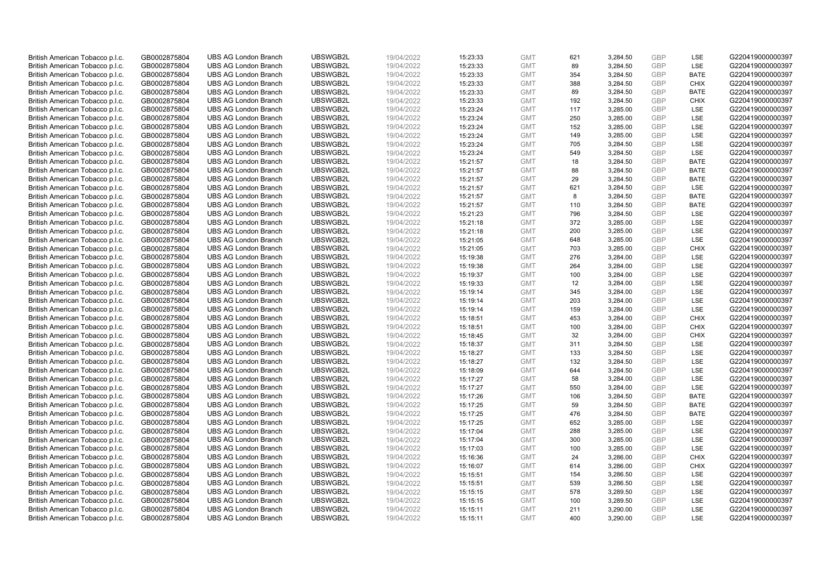| British American Tobacco p.l.c. | GB0002875804 | <b>UBS AG London Branch</b> | UBSWGB2L | 19/04/2022 | 15:23:33 | <b>GMT</b> | 621 | 3,284.50             | <b>GBP</b>        | LSE         | G220419000000397 |
|---------------------------------|--------------|-----------------------------|----------|------------|----------|------------|-----|----------------------|-------------------|-------------|------------------|
| British American Tobacco p.l.c. | GB0002875804 | <b>UBS AG London Branch</b> | UBSWGB2L | 19/04/2022 | 15:23:33 | <b>GMT</b> | 89  | 3,284.50             | <b>GBP</b>        | LSE         | G220419000000397 |
| British American Tobacco p.l.c. | GB0002875804 | <b>UBS AG London Branch</b> | UBSWGB2L | 19/04/2022 | 15:23:33 | <b>GMT</b> | 354 | 3,284.50             | GBP               | <b>BATE</b> | G220419000000397 |
| British American Tobacco p.l.c. | GB0002875804 | <b>UBS AG London Branch</b> | UBSWGB2L | 19/04/2022 | 15:23:33 | <b>GMT</b> | 388 | 3,284.50             | <b>GBP</b>        | <b>CHIX</b> | G220419000000397 |
| British American Tobacco p.l.c. | GB0002875804 | <b>UBS AG London Branch</b> | UBSWGB2L | 19/04/2022 | 15:23:33 | <b>GMT</b> | 89  | 3,284.50             | GBP               | <b>BATE</b> | G220419000000397 |
| British American Tobacco p.l.c. | GB0002875804 | <b>UBS AG London Branch</b> | UBSWGB2L | 19/04/2022 | 15:23:33 | <b>GMT</b> | 192 | 3,284.50             | GBP               | <b>CHIX</b> | G220419000000397 |
| British American Tobacco p.l.c. | GB0002875804 | <b>UBS AG London Branch</b> | UBSWGB2L | 19/04/2022 | 15:23:24 | <b>GMT</b> | 117 | 3,285.00             | <b>GBP</b>        | LSE         | G220419000000397 |
| British American Tobacco p.l.c. | GB0002875804 | <b>UBS AG London Branch</b> | UBSWGB2L | 19/04/2022 | 15:23:24 | <b>GMT</b> | 250 | 3,285.00             | GBP               | LSE         | G220419000000397 |
| British American Tobacco p.l.c. | GB0002875804 | <b>UBS AG London Branch</b> | UBSWGB2L | 19/04/2022 | 15:23:24 | <b>GMT</b> | 152 | 3,285.00             | <b>GBP</b>        | LSE         | G220419000000397 |
| British American Tobacco p.l.c. | GB0002875804 | <b>UBS AG London Branch</b> | UBSWGB2L | 19/04/2022 | 15:23:24 | <b>GMT</b> | 149 | 3,285.00             | GBP               | LSE         | G220419000000397 |
| British American Tobacco p.l.c. | GB0002875804 | <b>UBS AG London Branch</b> | UBSWGB2L | 19/04/2022 | 15:23:24 | <b>GMT</b> | 705 | 3,284.50             | <b>GBP</b>        | LSE         | G220419000000397 |
| British American Tobacco p.l.c. | GB0002875804 | <b>UBS AG London Branch</b> | UBSWGB2L | 19/04/2022 | 15:23:24 | <b>GMT</b> | 549 | 3,284.50             | <b>GBP</b>        | LSE         | G220419000000397 |
| British American Tobacco p.l.c. | GB0002875804 | <b>UBS AG London Branch</b> | UBSWGB2L | 19/04/2022 | 15:21:57 | <b>GMT</b> | 18  | 3,284.50             | <b>GBP</b>        | <b>BATE</b> | G220419000000397 |
| British American Tobacco p.l.c. | GB0002875804 | <b>UBS AG London Branch</b> | UBSWGB2L | 19/04/2022 | 15:21:57 | <b>GMT</b> | 88  | 3,284.50             | <b>GBP</b>        | <b>BATE</b> | G220419000000397 |
| British American Tobacco p.l.c. | GB0002875804 | <b>UBS AG London Branch</b> | UBSWGB2L | 19/04/2022 | 15:21:57 | <b>GMT</b> | 29  | 3,284.50             | <b>GBP</b>        | <b>BATE</b> | G220419000000397 |
| British American Tobacco p.l.c. | GB0002875804 | <b>UBS AG London Branch</b> | UBSWGB2L | 19/04/2022 | 15:21:57 | <b>GMT</b> | 621 | 3,284.50             | <b>GBP</b>        | <b>LSE</b>  | G220419000000397 |
| British American Tobacco p.l.c. | GB0002875804 | <b>UBS AG London Branch</b> | UBSWGB2L | 19/04/2022 | 15:21:57 | <b>GMT</b> | 8   | 3,284.50             | <b>GBP</b>        | <b>BATE</b> | G220419000000397 |
| British American Tobacco p.l.c. | GB0002875804 | <b>UBS AG London Branch</b> | UBSWGB2L | 19/04/2022 | 15:21:57 | <b>GMT</b> | 110 | 3,284.50             | GBP               | <b>BATE</b> | G220419000000397 |
| British American Tobacco p.l.c. | GB0002875804 | <b>UBS AG London Branch</b> | UBSWGB2L | 19/04/2022 | 15:21:23 | <b>GMT</b> | 796 | 3,284.50             | <b>GBP</b>        | <b>LSE</b>  | G220419000000397 |
| British American Tobacco p.l.c. | GB0002875804 | <b>UBS AG London Branch</b> | UBSWGB2L | 19/04/2022 | 15:21:18 | <b>GMT</b> | 372 | 3,285.00             | <b>GBP</b>        | LSE         | G220419000000397 |
| British American Tobacco p.l.c. | GB0002875804 | <b>UBS AG London Branch</b> | UBSWGB2L | 19/04/2022 | 15:21:18 | <b>GMT</b> | 200 | 3,285.00             | <b>GBP</b>        | LSE         | G220419000000397 |
| British American Tobacco p.l.c. | GB0002875804 | <b>UBS AG London Branch</b> | UBSWGB2L | 19/04/2022 | 15:21:05 | <b>GMT</b> | 648 | 3,285.00             | <b>GBP</b>        | LSE         | G220419000000397 |
| British American Tobacco p.l.c. | GB0002875804 | <b>UBS AG London Branch</b> | UBSWGB2L | 19/04/2022 | 15:21:05 | <b>GMT</b> | 703 | 3,285.00             | <b>GBP</b>        | <b>CHIX</b> | G220419000000397 |
| British American Tobacco p.l.c. | GB0002875804 | <b>UBS AG London Branch</b> | UBSWGB2L | 19/04/2022 | 15:19:38 | <b>GMT</b> | 276 | 3,284.00             | <b>GBP</b>        | <b>LSE</b>  | G220419000000397 |
| British American Tobacco p.l.c. | GB0002875804 | <b>UBS AG London Branch</b> | UBSWGB2L | 19/04/2022 | 15:19:38 | <b>GMT</b> | 264 | 3,284.00             | <b>GBP</b>        | LSE         | G220419000000397 |
| British American Tobacco p.l.c. | GB0002875804 | <b>UBS AG London Branch</b> | UBSWGB2L | 19/04/2022 | 15:19:37 | <b>GMT</b> | 100 | 3,284.00             | <b>GBP</b>        | LSE         | G220419000000397 |
| British American Tobacco p.l.c. | GB0002875804 | <b>UBS AG London Branch</b> | UBSWGB2L | 19/04/2022 | 15:19:33 | <b>GMT</b> | 12  | 3,284.00             | <b>GBP</b>        | <b>LSE</b>  | G220419000000397 |
| British American Tobacco p.l.c. | GB0002875804 | <b>UBS AG London Branch</b> | UBSWGB2L | 19/04/2022 | 15:19:14 | <b>GMT</b> | 345 | 3,284.00             | <b>GBP</b>        | LSE         | G220419000000397 |
| British American Tobacco p.l.c. | GB0002875804 | <b>UBS AG London Branch</b> | UBSWGB2L | 19/04/2022 | 15:19:14 | <b>GMT</b> | 203 | 3,284.00             | <b>GBP</b>        | <b>LSE</b>  | G220419000000397 |
| British American Tobacco p.l.c. | GB0002875804 | <b>UBS AG London Branch</b> | UBSWGB2L | 19/04/2022 | 15:19:14 | <b>GMT</b> | 159 | 3,284.00             | <b>GBP</b>        | <b>LSE</b>  | G220419000000397 |
| British American Tobacco p.l.c. | GB0002875804 | <b>UBS AG London Branch</b> | UBSWGB2L | 19/04/2022 | 15:18:51 | <b>GMT</b> | 453 | 3,284.00             | GBP               | <b>CHIX</b> | G220419000000397 |
| British American Tobacco p.l.c. | GB0002875804 | <b>UBS AG London Branch</b> | UBSWGB2L | 19/04/2022 | 15:18:51 | <b>GMT</b> | 100 | 3,284.00             | <b>GBP</b>        | <b>CHIX</b> | G220419000000397 |
| British American Tobacco p.l.c. | GB0002875804 | <b>UBS AG London Branch</b> | UBSWGB2L | 19/04/2022 | 15:18:45 | <b>GMT</b> | 32  | 3,284.00             | GBP               | <b>CHIX</b> | G220419000000397 |
| British American Tobacco p.l.c. | GB0002875804 | <b>UBS AG London Branch</b> | UBSWGB2L | 19/04/2022 | 15:18:37 | <b>GMT</b> | 311 | 3,284.50             | <b>GBP</b>        | <b>LSE</b>  | G220419000000397 |
| British American Tobacco p.l.c. | GB0002875804 | <b>UBS AG London Branch</b> | UBSWGB2L | 19/04/2022 | 15:18:27 | <b>GMT</b> | 133 | 3,284.50             | GBP               | <b>LSE</b>  | G220419000000397 |
| British American Tobacco p.l.c. | GB0002875804 | <b>UBS AG London Branch</b> | UBSWGB2L | 19/04/2022 | 15:18:27 | <b>GMT</b> | 132 | 3,284.50             | <b>GBP</b>        | LSE         | G220419000000397 |
| British American Tobacco p.l.c. | GB0002875804 | <b>UBS AG London Branch</b> | UBSWGB2L | 19/04/2022 | 15:18:09 | <b>GMT</b> | 644 | 3,284.50             | GBP               | <b>LSE</b>  | G220419000000397 |
| British American Tobacco p.l.c. | GB0002875804 | <b>UBS AG London Branch</b> | UBSWGB2L | 19/04/2022 | 15:17:27 | <b>GMT</b> | 58  | 3,284.00             | <b>GBP</b>        | LSE         | G220419000000397 |
| British American Tobacco p.l.c. | GB0002875804 | <b>UBS AG London Branch</b> | UBSWGB2L | 19/04/2022 | 15:17:27 | <b>GMT</b> | 550 | 3,284.00             | <b>GBP</b>        | LSE         | G220419000000397 |
| British American Tobacco p.l.c. | GB0002875804 | <b>UBS AG London Branch</b> | UBSWGB2L | 19/04/2022 | 15:17:26 | <b>GMT</b> | 106 | 3,284.50             | GBP               | <b>BATE</b> | G220419000000397 |
| British American Tobacco p.l.c. | GB0002875804 | <b>UBS AG London Branch</b> | UBSWGB2L | 19/04/2022 | 15:17:25 | <b>GMT</b> | 59  | 3,284.50             | <b>GBP</b>        | <b>BATE</b> | G220419000000397 |
| British American Tobacco p.l.c. | GB0002875804 | <b>UBS AG London Branch</b> | UBSWGB2L | 19/04/2022 | 15:17:25 | <b>GMT</b> | 476 | 3,284.50             | GBP               | <b>BATE</b> | G220419000000397 |
| British American Tobacco p.l.c. | GB0002875804 | <b>UBS AG London Branch</b> | UBSWGB2L | 19/04/2022 | 15:17:25 | <b>GMT</b> | 652 |                      | GBP               | LSE         | G220419000000397 |
| British American Tobacco p.l.c. | GB0002875804 | <b>UBS AG London Branch</b> | UBSWGB2L | 19/04/2022 | 15:17:04 | <b>GMT</b> | 288 | 3,285.00<br>3,285.00 | <b>GBP</b>        | LSE         | G220419000000397 |
|                                 |              |                             |          |            |          |            |     |                      |                   | <b>LSE</b>  |                  |
| British American Tobacco p.l.c. | GB0002875804 | <b>UBS AG London Branch</b> | UBSWGB2L | 19/04/2022 | 15:17:04 | <b>GMT</b> | 300 | 3,285.00             | <b>GBP</b><br>GBP |             | G220419000000397 |
| British American Tobacco p.l.c. | GB0002875804 | <b>UBS AG London Branch</b> | UBSWGB2L | 19/04/2022 | 15:17:03 | <b>GMT</b> | 100 | 3,285.00             |                   | <b>LSE</b>  | G220419000000397 |
| British American Tobacco p.l.c. | GB0002875804 | <b>UBS AG London Branch</b> | UBSWGB2L | 19/04/2022 | 15:16:36 | <b>GMT</b> | 24  | 3,286.00             | <b>GBP</b>        | <b>CHIX</b> | G220419000000397 |
| British American Tobacco p.l.c. | GB0002875804 | <b>UBS AG London Branch</b> | UBSWGB2L | 19/04/2022 | 15:16:07 | <b>GMT</b> | 614 | 3,286.00             | <b>GBP</b>        | <b>CHIX</b> | G220419000000397 |
| British American Tobacco p.l.c. | GB0002875804 | <b>UBS AG London Branch</b> | UBSWGB2L | 19/04/2022 | 15:15:51 | <b>GMT</b> | 154 | 3,286.50             | GBP               | <b>LSE</b>  | G220419000000397 |
| British American Tobacco p.l.c. | GB0002875804 | <b>UBS AG London Branch</b> | UBSWGB2L | 19/04/2022 | 15:15:51 | <b>GMT</b> | 539 | 3,286.50             | <b>GBP</b>        | <b>LSE</b>  | G220419000000397 |
| British American Tobacco p.l.c. | GB0002875804 | <b>UBS AG London Branch</b> | UBSWGB2L | 19/04/2022 | 15:15:15 | <b>GMT</b> | 578 | 3,289.50             | <b>GBP</b>        | <b>LSE</b>  | G220419000000397 |
| British American Tobacco p.l.c. | GB0002875804 | <b>UBS AG London Branch</b> | UBSWGB2L | 19/04/2022 | 15:15:15 | <b>GMT</b> | 100 | 3,289.50             | <b>GBP</b>        | LSE         | G220419000000397 |
| British American Tobacco p.l.c. | GB0002875804 | <b>UBS AG London Branch</b> | UBSWGB2L | 19/04/2022 | 15:15:11 | <b>GMT</b> | 211 | 3,290.00             | GBP               | LSE         | G220419000000397 |
| British American Tobacco p.l.c. | GB0002875804 | <b>UBS AG London Branch</b> | UBSWGB2L | 19/04/2022 | 15:15:11 | <b>GMT</b> | 400 | 3,290.00             | GBP               | <b>LSE</b>  | G220419000000397 |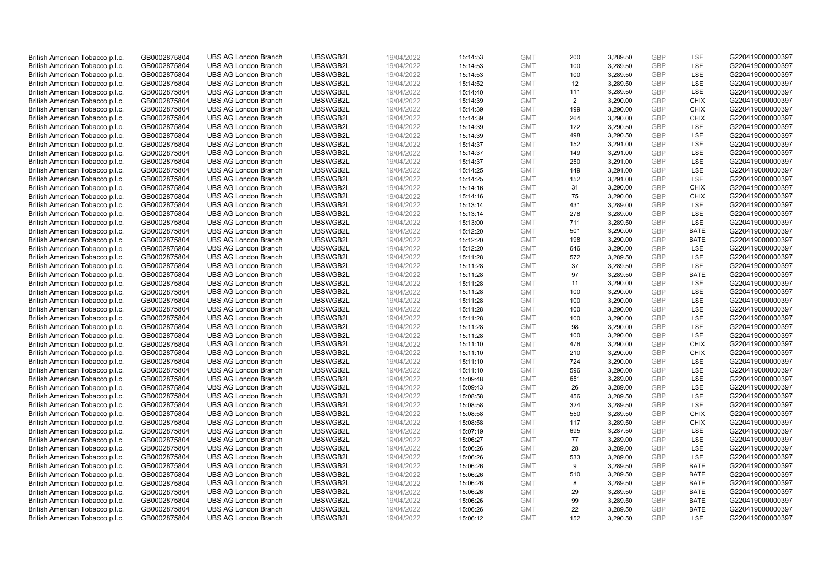| British American Tobacco p.l.c. | GB0002875804                 | <b>UBS AG London Branch</b> | UBSWGB2L | 19/04/2022 | 15:14:53 | <b>GMT</b> | 200            | 3,289.50 | <b>GBP</b> | LSE         | G220419000000397 |
|---------------------------------|------------------------------|-----------------------------|----------|------------|----------|------------|----------------|----------|------------|-------------|------------------|
| British American Tobacco p.l.c. | GB0002875804                 | <b>UBS AG London Branch</b> | UBSWGB2L | 19/04/2022 | 15:14:53 | <b>GMT</b> | 100            | 3,289.50 | GBP        | <b>LSE</b>  | G220419000000397 |
| British American Tobacco p.l.c. | GB0002875804                 | <b>UBS AG London Branch</b> | UBSWGB2L | 19/04/2022 | 15:14:53 | <b>GMT</b> | 100            | 3,289.50 | <b>GBP</b> | LSE         | G220419000000397 |
| British American Tobacco p.l.c. | GB0002875804                 | <b>UBS AG London Branch</b> | UBSWGB2L | 19/04/2022 | 15:14:52 | <b>GMT</b> | 12             | 3,289.50 | <b>GBP</b> | LSE         | G220419000000397 |
| British American Tobacco p.l.c. | GB0002875804                 | <b>UBS AG London Branch</b> | UBSWGB2L | 19/04/2022 | 15:14:40 | <b>GMT</b> | 111            | 3,289.50 | <b>GBP</b> | LSE         | G220419000000397 |
| British American Tobacco p.l.c. | GB0002875804                 | <b>UBS AG London Branch</b> | UBSWGB2L | 19/04/2022 | 15:14:39 | <b>GMT</b> | $\overline{2}$ | 3,290.00 | <b>GBP</b> | <b>CHIX</b> | G220419000000397 |
| British American Tobacco p.l.c. | GB0002875804                 | <b>UBS AG London Branch</b> | UBSWGB2L | 19/04/2022 | 15:14:39 | <b>GMT</b> | 199            | 3,290.00 | <b>GBP</b> | <b>CHIX</b> | G220419000000397 |
| British American Tobacco p.l.c. | GB0002875804                 | <b>UBS AG London Branch</b> | UBSWGB2L | 19/04/2022 | 15:14:39 | <b>GMT</b> | 264            | 3,290.00 | <b>GBP</b> | <b>CHIX</b> | G220419000000397 |
| British American Tobacco p.l.c. | GB0002875804                 | <b>UBS AG London Branch</b> | UBSWGB2L | 19/04/2022 | 15:14:39 | <b>GMT</b> | 122            | 3,290.50 | <b>GBP</b> | LSE         | G220419000000397 |
| British American Tobacco p.l.c. | GB0002875804                 | <b>UBS AG London Branch</b> | UBSWGB2L | 19/04/2022 | 15:14:39 | <b>GMT</b> | 498            | 3,290.50 | <b>GBP</b> | LSE         | G220419000000397 |
| British American Tobacco p.l.c. | GB0002875804                 | <b>UBS AG London Branch</b> | UBSWGB2L | 19/04/2022 | 15:14:37 | <b>GMT</b> | 152            | 3,291.00 | <b>GBP</b> | LSE         | G220419000000397 |
| British American Tobacco p.l.c. | GB0002875804                 | <b>UBS AG London Branch</b> | UBSWGB2L | 19/04/2022 | 15:14:37 | <b>GMT</b> | 149            | 3,291.00 | <b>GBP</b> | LSE         | G220419000000397 |
| British American Tobacco p.l.c. | GB0002875804                 | <b>UBS AG London Branch</b> | UBSWGB2L | 19/04/2022 | 15:14:37 | <b>GMT</b> | 250            | 3,291.00 | <b>GBP</b> | LSE         | G220419000000397 |
| British American Tobacco p.l.c. | GB0002875804                 | <b>UBS AG London Branch</b> | UBSWGB2L | 19/04/2022 | 15:14:25 | <b>GMT</b> | 149            | 3,291.00 | <b>GBP</b> | LSE         | G220419000000397 |
| British American Tobacco p.l.c. | GB0002875804                 | <b>UBS AG London Branch</b> | UBSWGB2L | 19/04/2022 | 15:14:25 | <b>GMT</b> | 152            | 3,291.00 | <b>GBP</b> | <b>LSE</b>  | G220419000000397 |
| British American Tobacco p.l.c. | GB0002875804                 | <b>UBS AG London Branch</b> | UBSWGB2L | 19/04/2022 | 15:14:16 | <b>GMT</b> | 31             | 3,290.00 | <b>GBP</b> | <b>CHIX</b> | G220419000000397 |
| British American Tobacco p.l.c. | GB0002875804                 | <b>UBS AG London Branch</b> | UBSWGB2L | 19/04/2022 | 15:14:16 | <b>GMT</b> | 75             | 3,290.00 | <b>GBP</b> | <b>CHIX</b> | G220419000000397 |
| British American Tobacco p.l.c. | GB0002875804                 | <b>UBS AG London Branch</b> | UBSWGB2L | 19/04/2022 | 15:13:14 | <b>GMT</b> | 431            | 3,289.00 | <b>GBP</b> | LSE         | G220419000000397 |
|                                 |                              | <b>UBS AG London Branch</b> | UBSWGB2L | 19/04/2022 | 15:13:14 | <b>GMT</b> | 278            | 3,289.00 | <b>GBP</b> | <b>LSE</b>  | G220419000000397 |
| British American Tobacco p.l.c. | GB0002875804<br>GB0002875804 | <b>UBS AG London Branch</b> | UBSWGB2L | 19/04/2022 | 15:13:00 | <b>GMT</b> | 711            | 3,289.50 | <b>GBP</b> | LSE         | G220419000000397 |
| British American Tobacco p.l.c. |                              |                             |          |            |          |            |                |          |            |             |                  |
| British American Tobacco p.l.c. | GB0002875804                 | <b>UBS AG London Branch</b> | UBSWGB2L | 19/04/2022 | 15:12:20 | <b>GMT</b> | 501            | 3,290.00 | <b>GBP</b> | <b>BATE</b> | G220419000000397 |
| British American Tobacco p.l.c. | GB0002875804                 | <b>UBS AG London Branch</b> | UBSWGB2L | 19/04/2022 | 15:12:20 | <b>GMT</b> | 198            | 3,290.00 | <b>GBP</b> | <b>BATE</b> | G220419000000397 |
| British American Tobacco p.l.c. | GB0002875804                 | <b>UBS AG London Branch</b> | UBSWGB2L | 19/04/2022 | 15:12:20 | <b>GMT</b> | 646            | 3,290.00 | <b>GBP</b> | LSE         | G220419000000397 |
| British American Tobacco p.l.c. | GB0002875804                 | <b>UBS AG London Branch</b> | UBSWGB2L | 19/04/2022 | 15:11:28 | <b>GMT</b> | 572            | 3,289.50 | <b>GBP</b> | <b>LSE</b>  | G220419000000397 |
| British American Tobacco p.l.c. | GB0002875804                 | <b>UBS AG London Branch</b> | UBSWGB2L | 19/04/2022 | 15:11:28 | <b>GMT</b> | 37             | 3,289.50 | <b>GBP</b> | LSE         | G220419000000397 |
| British American Tobacco p.l.c. | GB0002875804                 | <b>UBS AG London Branch</b> | UBSWGB2L | 19/04/2022 | 15:11:28 | <b>GMT</b> | 97             | 3,289.50 | <b>GBP</b> | <b>BATE</b> | G220419000000397 |
| British American Tobacco p.l.c. | GB0002875804                 | <b>UBS AG London Branch</b> | UBSWGB2L | 19/04/2022 | 15:11:28 | <b>GMT</b> | 11             | 3,290.00 | <b>GBP</b> | LSE         | G220419000000397 |
| British American Tobacco p.l.c. | GB0002875804                 | <b>UBS AG London Branch</b> | UBSWGB2L | 19/04/2022 | 15:11:28 | <b>GMT</b> | 100            | 3,290.00 | <b>GBP</b> | <b>LSE</b>  | G220419000000397 |
| British American Tobacco p.l.c. | GB0002875804                 | <b>UBS AG London Branch</b> | UBSWGB2L | 19/04/2022 | 15:11:28 | <b>GMT</b> | 100            | 3,290.00 | <b>GBP</b> | LSE         | G220419000000397 |
| British American Tobacco p.l.c. | GB0002875804                 | <b>UBS AG London Branch</b> | UBSWGB2L | 19/04/2022 | 15:11:28 | <b>GMT</b> | 100            | 3,290.00 | <b>GBP</b> | LSE         | G220419000000397 |
| British American Tobacco p.l.c. | GB0002875804                 | <b>UBS AG London Branch</b> | UBSWGB2L | 19/04/2022 | 15:11:28 | <b>GMT</b> | 100            | 3,290.00 | <b>GBP</b> | LSE         | G220419000000397 |
| British American Tobacco p.l.c. | GB0002875804                 | <b>UBS AG London Branch</b> | UBSWGB2L | 19/04/2022 | 15:11:28 | <b>GMT</b> | 98             | 3,290.00 | <b>GBP</b> | <b>LSE</b>  | G220419000000397 |
| British American Tobacco p.l.c. | GB0002875804                 | <b>UBS AG London Branch</b> | UBSWGB2L | 19/04/2022 | 15:11:28 | <b>GMT</b> | 100            | 3,290.00 | <b>GBP</b> | LSE         | G220419000000397 |
| British American Tobacco p.l.c. | GB0002875804                 | <b>UBS AG London Branch</b> | UBSWGB2L | 19/04/2022 | 15:11:10 | <b>GMT</b> | 476            | 3,290.00 | <b>GBP</b> | <b>CHIX</b> | G220419000000397 |
| British American Tobacco p.l.c. | GB0002875804                 | <b>UBS AG London Branch</b> | UBSWGB2L | 19/04/2022 | 15:11:10 | <b>GMT</b> | 210            | 3,290.00 | <b>GBP</b> | <b>CHIX</b> | G220419000000397 |
| British American Tobacco p.l.c. | GB0002875804                 | <b>UBS AG London Branch</b> | UBSWGB2L | 19/04/2022 | 15:11:10 | <b>GMT</b> | 724            | 3,290.00 | <b>GBP</b> | LSE         | G220419000000397 |
| British American Tobacco p.l.c. | GB0002875804                 | <b>UBS AG London Branch</b> | UBSWGB2L | 19/04/2022 | 15:11:10 | <b>GMT</b> | 596            | 3,290.00 | <b>GBP</b> | <b>LSE</b>  | G220419000000397 |
| British American Tobacco p.l.c. | GB0002875804                 | <b>UBS AG London Branch</b> | UBSWGB2L | 19/04/2022 | 15:09:48 | <b>GMT</b> | 651            | 3,289.00 | <b>GBP</b> | LSE         | G220419000000397 |
| British American Tobacco p.l.c. | GB0002875804                 | <b>UBS AG London Branch</b> | UBSWGB2L | 19/04/2022 | 15:09:43 | <b>GMT</b> | 26             | 3,289.00 | <b>GBP</b> | LSE         | G220419000000397 |
| British American Tobacco p.l.c. | GB0002875804                 | <b>UBS AG London Branch</b> | UBSWGB2L | 19/04/2022 | 15:08:58 | <b>GMT</b> | 456            | 3,289.50 | <b>GBP</b> | LSE         | G220419000000397 |
| British American Tobacco p.l.c. | GB0002875804                 | <b>UBS AG London Branch</b> | UBSWGB2L | 19/04/2022 | 15:08:58 | <b>GMT</b> | 324            | 3,289.50 | <b>GBP</b> | LSE         | G220419000000397 |
| British American Tobacco p.l.c. | GB0002875804                 | <b>UBS AG London Branch</b> | UBSWGB2L | 19/04/2022 | 15:08:58 | <b>GMT</b> | 550            | 3,289.50 | <b>GBP</b> | <b>CHIX</b> | G220419000000397 |
| British American Tobacco p.l.c. | GB0002875804                 | <b>UBS AG London Branch</b> | UBSWGB2L | 19/04/2022 | 15:08:58 | <b>GMT</b> | 117            | 3,289.50 | <b>GBP</b> | <b>CHIX</b> | G220419000000397 |
| British American Tobacco p.l.c. | GB0002875804                 | <b>UBS AG London Branch</b> | UBSWGB2L | 19/04/2022 | 15:07:19 | <b>GMT</b> | 695            | 3,287.50 | <b>GBP</b> | LSE         | G220419000000397 |
| British American Tobacco p.l.c. | GB0002875804                 | <b>UBS AG London Branch</b> | UBSWGB2L | 19/04/2022 | 15:06:27 | <b>GMT</b> | 77             | 3,289.00 | <b>GBP</b> | <b>LSE</b>  | G220419000000397 |
| British American Tobacco p.l.c. | GB0002875804                 | <b>UBS AG London Branch</b> | UBSWGB2L | 19/04/2022 | 15:06:26 | <b>GMT</b> | 28             | 3,289.00 | <b>GBP</b> | LSE         | G220419000000397 |
| British American Tobacco p.l.c. | GB0002875804                 | <b>UBS AG London Branch</b> | UBSWGB2L | 19/04/2022 | 15:06:26 | <b>GMT</b> | 533            | 3,289.00 | <b>GBP</b> | LSE         | G220419000000397 |
| British American Tobacco p.l.c. | GB0002875804                 | <b>UBS AG London Branch</b> | UBSWGB2L | 19/04/2022 | 15:06:26 | <b>GMT</b> | 9              | 3,289.50 | <b>GBP</b> | <b>BATE</b> | G220419000000397 |
| British American Tobacco p.l.c. | GB0002875804                 | <b>UBS AG London Branch</b> | UBSWGB2L | 19/04/2022 | 15:06:26 | <b>GMT</b> | 510            | 3,289.50 | <b>GBP</b> | <b>BATE</b> | G220419000000397 |
| British American Tobacco p.l.c. | GB0002875804                 | <b>UBS AG London Branch</b> | UBSWGB2L | 19/04/2022 | 15:06:26 | <b>GMT</b> | 8              | 3,289.50 | <b>GBP</b> | <b>BATE</b> | G220419000000397 |
| British American Tobacco p.l.c. | GB0002875804                 | <b>UBS AG London Branch</b> | UBSWGB2L | 19/04/2022 | 15:06:26 | <b>GMT</b> | 29             | 3,289.50 | <b>GBP</b> | <b>BATE</b> | G220419000000397 |
| British American Tobacco p.l.c. | GB0002875804                 | <b>UBS AG London Branch</b> | UBSWGB2L | 19/04/2022 | 15:06:26 | <b>GMT</b> | 99             | 3,289.50 | <b>GBP</b> | <b>BATE</b> | G220419000000397 |
| British American Tobacco p.l.c. | GB0002875804                 | <b>UBS AG London Branch</b> | UBSWGB2L | 19/04/2022 | 15:06:26 | <b>GMT</b> | 22             | 3,289.50 | <b>GBP</b> | <b>BATE</b> | G220419000000397 |
| British American Tobacco p.l.c. | GB0002875804                 | <b>UBS AG London Branch</b> | UBSWGB2L | 19/04/2022 | 15:06:12 | <b>GMT</b> | 152            | 3.290.50 | GBP        | <b>LSE</b>  | G220419000000397 |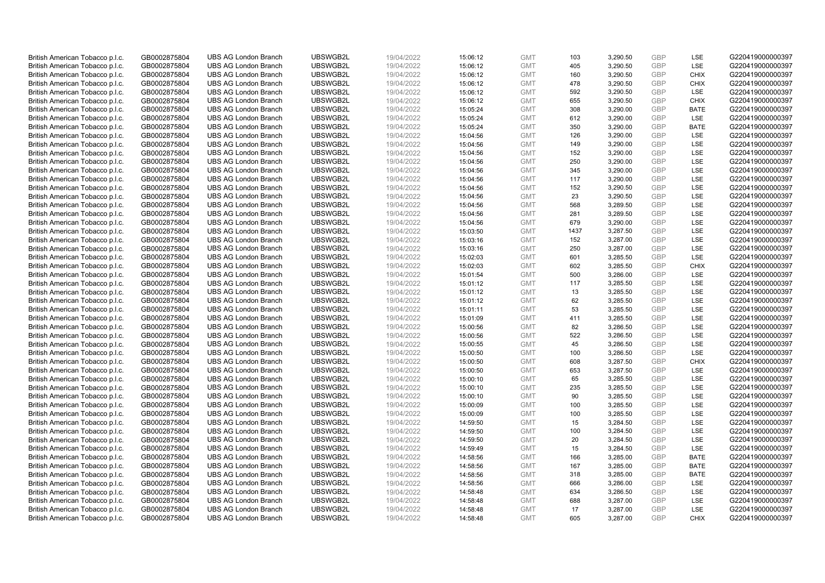| British American Tobacco p.l.c. | GB0002875804 | <b>UBS AG London Branch</b> | UBSWGB2L | 19/04/2022 | 15:06:12 | <b>GMT</b> | 103  | 3,290.50 | <b>GBP</b> | LSE         | G220419000000397 |
|---------------------------------|--------------|-----------------------------|----------|------------|----------|------------|------|----------|------------|-------------|------------------|
| British American Tobacco p.l.c. | GB0002875804 | <b>UBS AG London Branch</b> | UBSWGB2L | 19/04/2022 | 15:06:12 | <b>GMT</b> | 405  | 3,290.50 | <b>GBP</b> | LSE         | G220419000000397 |
| British American Tobacco p.l.c. | GB0002875804 | <b>UBS AG London Branch</b> | UBSWGB2L | 19/04/2022 | 15:06:12 | <b>GMT</b> | 160  | 3,290.50 | <b>GBP</b> | <b>CHIX</b> | G220419000000397 |
| British American Tobacco p.l.c. | GB0002875804 | <b>UBS AG London Branch</b> | UBSWGB2L | 19/04/2022 | 15:06:12 | <b>GMT</b> | 478  | 3,290.50 | <b>GBP</b> | <b>CHIX</b> | G220419000000397 |
| British American Tobacco p.l.c. | GB0002875804 | <b>UBS AG London Branch</b> | UBSWGB2L | 19/04/2022 | 15:06:12 | <b>GMT</b> | 592  | 3,290.50 | <b>GBP</b> | LSE         | G220419000000397 |
| British American Tobacco p.l.c. | GB0002875804 | <b>UBS AG London Branch</b> | UBSWGB2L | 19/04/2022 | 15:06:12 | <b>GMT</b> | 655  | 3,290.50 | <b>GBP</b> | <b>CHIX</b> | G220419000000397 |
| British American Tobacco p.l.c. | GB0002875804 | <b>UBS AG London Branch</b> | UBSWGB2L | 19/04/2022 | 15:05:24 | <b>GMT</b> | 308  | 3,290.00 | <b>GBP</b> | <b>BATE</b> | G220419000000397 |
| British American Tobacco p.l.c. | GB0002875804 | <b>UBS AG London Branch</b> | UBSWGB2L | 19/04/2022 | 15:05:24 | <b>GMT</b> | 612  | 3,290.00 | <b>GBP</b> | LSE         | G220419000000397 |
| British American Tobacco p.l.c. | GB0002875804 | <b>UBS AG London Branch</b> | UBSWGB2L | 19/04/2022 | 15:05:24 | <b>GMT</b> | 350  | 3,290.00 | <b>GBP</b> | <b>BATE</b> | G220419000000397 |
| British American Tobacco p.l.c. | GB0002875804 | <b>UBS AG London Branch</b> | UBSWGB2L | 19/04/2022 | 15:04:56 | <b>GMT</b> | 126  | 3,290.00 | <b>GBP</b> | LSE         | G220419000000397 |
| British American Tobacco p.l.c. | GB0002875804 | <b>UBS AG London Branch</b> | UBSWGB2L | 19/04/2022 | 15:04:56 | <b>GMT</b> | 149  | 3,290.00 | <b>GBP</b> | <b>LSE</b>  | G220419000000397 |
| British American Tobacco p.l.c. | GB0002875804 | <b>UBS AG London Branch</b> | UBSWGB2L | 19/04/2022 | 15:04:56 | <b>GMT</b> | 152  | 3,290.00 | <b>GBP</b> | LSE         | G220419000000397 |
| British American Tobacco p.l.c. | GB0002875804 | <b>UBS AG London Branch</b> | UBSWGB2L | 19/04/2022 | 15:04:56 | <b>GMT</b> | 250  | 3,290.00 | <b>GBP</b> | LSE         | G220419000000397 |
| British American Tobacco p.l.c. | GB0002875804 | <b>UBS AG London Branch</b> | UBSWGB2L | 19/04/2022 | 15:04:56 | <b>GMT</b> | 345  | 3,290.00 | <b>GBP</b> | LSE         | G220419000000397 |
| British American Tobacco p.l.c. | GB0002875804 | <b>UBS AG London Branch</b> | UBSWGB2L | 19/04/2022 | 15:04:56 | <b>GMT</b> | 117  | 3,290.00 | GBP        | <b>LSE</b>  | G220419000000397 |
|                                 |              | <b>UBS AG London Branch</b> | UBSWGB2L |            |          | <b>GMT</b> | 152  | 3,290.50 | <b>GBP</b> | LSE         | G220419000000397 |
| British American Tobacco p.l.c. | GB0002875804 | <b>UBS AG London Branch</b> | UBSWGB2L | 19/04/2022 | 15:04:56 | <b>GMT</b> |      |          | <b>GBP</b> |             |                  |
| British American Tobacco p.l.c. | GB0002875804 |                             |          | 19/04/2022 | 15:04:56 |            | 23   | 3,290.50 |            | LSE<br>LSE  | G220419000000397 |
| British American Tobacco p.l.c. | GB0002875804 | <b>UBS AG London Branch</b> | UBSWGB2L | 19/04/2022 | 15:04:56 | <b>GMT</b> | 568  | 3,289.50 | <b>GBP</b> |             | G220419000000397 |
| British American Tobacco p.l.c. | GB0002875804 | <b>UBS AG London Branch</b> | UBSWGB2L | 19/04/2022 | 15:04:56 | <b>GMT</b> | 281  | 3,289.50 | <b>GBP</b> | <b>LSE</b>  | G220419000000397 |
| British American Tobacco p.l.c. | GB0002875804 | <b>UBS AG London Branch</b> | UBSWGB2L | 19/04/2022 | 15:04:56 | <b>GMT</b> | 679  | 3,290.00 | <b>GBP</b> | LSE         | G220419000000397 |
| British American Tobacco p.l.c. | GB0002875804 | <b>UBS AG London Branch</b> | UBSWGB2L | 19/04/2022 | 15:03:50 | <b>GMT</b> | 1437 | 3,287.50 | <b>GBP</b> | LSE         | G220419000000397 |
| British American Tobacco p.l.c. | GB0002875804 | <b>UBS AG London Branch</b> | UBSWGB2L | 19/04/2022 | 15:03:16 | <b>GMT</b> | 152  | 3,287.00 | <b>GBP</b> | LSE         | G220419000000397 |
| British American Tobacco p.l.c. | GB0002875804 | <b>UBS AG London Branch</b> | UBSWGB2L | 19/04/2022 | 15:03:16 | <b>GMT</b> | 250  | 3,287.00 | <b>GBP</b> | LSE         | G220419000000397 |
| British American Tobacco p.l.c. | GB0002875804 | <b>UBS AG London Branch</b> | UBSWGB2L | 19/04/2022 | 15:02:03 | <b>GMT</b> | 601  | 3,285.50 | <b>GBP</b> | <b>LSE</b>  | G220419000000397 |
| British American Tobacco p.l.c. | GB0002875804 | <b>UBS AG London Branch</b> | UBSWGB2L | 19/04/2022 | 15:02:03 | <b>GMT</b> | 602  | 3,285.50 | <b>GBP</b> | <b>CHIX</b> | G220419000000397 |
| British American Tobacco p.l.c. | GB0002875804 | <b>UBS AG London Branch</b> | UBSWGB2L | 19/04/2022 | 15:01:54 | <b>GMT</b> | 500  | 3,286.00 | <b>GBP</b> | LSE         | G220419000000397 |
| British American Tobacco p.l.c. | GB0002875804 | <b>UBS AG London Branch</b> | UBSWGB2L | 19/04/2022 | 15:01:12 | <b>GMT</b> | 117  | 3,285.50 | <b>GBP</b> | LSE         | G220419000000397 |
| British American Tobacco p.l.c. | GB0002875804 | <b>UBS AG London Branch</b> | UBSWGB2L | 19/04/2022 | 15:01:12 | <b>GMT</b> | 13   | 3,285.50 | <b>GBP</b> | <b>LSE</b>  | G220419000000397 |
| British American Tobacco p.l.c. | GB0002875804 | <b>UBS AG London Branch</b> | UBSWGB2L | 19/04/2022 | 15:01:12 | <b>GMT</b> | 62   | 3,285.50 | <b>GBP</b> | LSE         | G220419000000397 |
| British American Tobacco p.l.c. | GB0002875804 | <b>UBS AG London Branch</b> | UBSWGB2L | 19/04/2022 | 15:01:11 | <b>GMT</b> | 53   | 3,285.50 | <b>GBP</b> | LSE         | G220419000000397 |
| British American Tobacco p.l.c. | GB0002875804 | <b>UBS AG London Branch</b> | UBSWGB2L | 19/04/2022 | 15:01:09 | <b>GMT</b> | 411  | 3,285.50 | <b>GBP</b> | LSE         | G220419000000397 |
| British American Tobacco p.l.c. | GB0002875804 | <b>UBS AG London Branch</b> | UBSWGB2L | 19/04/2022 | 15:00:56 | <b>GMT</b> | 82   | 3,286.50 | <b>GBP</b> | <b>LSE</b>  | G220419000000397 |
| British American Tobacco p.l.c. | GB0002875804 | <b>UBS AG London Branch</b> | UBSWGB2L | 19/04/2022 | 15:00:56 | <b>GMT</b> | 522  | 3,286.50 | <b>GBP</b> | LSE         | G220419000000397 |
| British American Tobacco p.l.c. | GB0002875804 | <b>UBS AG London Branch</b> | UBSWGB2L | 19/04/2022 | 15:00:55 | <b>GMT</b> | 45   | 3,286.50 | <b>GBP</b> | LSE         | G220419000000397 |
| British American Tobacco p.l.c. | GB0002875804 | <b>UBS AG London Branch</b> | UBSWGB2L | 19/04/2022 | 15:00:50 | <b>GMT</b> | 100  | 3,286.50 | <b>GBP</b> | LSE         | G220419000000397 |
| British American Tobacco p.l.c. | GB0002875804 | <b>UBS AG London Branch</b> | UBSWGB2L | 19/04/2022 | 15:00:50 | <b>GMT</b> | 608  | 3,287.50 | <b>GBP</b> | <b>CHIX</b> | G220419000000397 |
| British American Tobacco p.l.c. | GB0002875804 | <b>UBS AG London Branch</b> | UBSWGB2L | 19/04/2022 | 15:00:50 | <b>GMT</b> | 653  | 3,287.50 | <b>GBP</b> | <b>LSE</b>  | G220419000000397 |
| British American Tobacco p.l.c. | GB0002875804 | <b>UBS AG London Branch</b> | UBSWGB2L | 19/04/2022 | 15:00:10 | <b>GMT</b> | 65   | 3,285.50 | <b>GBP</b> | LSE         | G220419000000397 |
| British American Tobacco p.l.c. | GB0002875804 | <b>UBS AG London Branch</b> | UBSWGB2L | 19/04/2022 | 15:00:10 | <b>GMT</b> | 235  | 3,285.50 | <b>GBP</b> | LSE         | G220419000000397 |
| British American Tobacco p.l.c. | GB0002875804 | <b>UBS AG London Branch</b> | UBSWGB2L | 19/04/2022 | 15:00:10 | <b>GMT</b> | 90   | 3,285.50 | <b>GBP</b> | LSE         | G220419000000397 |
| British American Tobacco p.l.c. | GB0002875804 | <b>UBS AG London Branch</b> | UBSWGB2L | 19/04/2022 | 15:00:09 | <b>GMT</b> | 100  | 3,285.50 | <b>GBP</b> | <b>LSE</b>  | G220419000000397 |
| British American Tobacco p.l.c. | GB0002875804 | <b>UBS AG London Branch</b> | UBSWGB2L | 19/04/2022 | 15:00:09 | <b>GMT</b> | 100  | 3,285.50 | <b>GBP</b> | LSE         | G220419000000397 |
| British American Tobacco p.l.c. | GB0002875804 | <b>UBS AG London Branch</b> | UBSWGB2L | 19/04/2022 | 14:59:50 | <b>GMT</b> | 15   | 3,284.50 | <b>GBP</b> | LSE         | G220419000000397 |
| British American Tobacco p.l.c. | GB0002875804 | <b>UBS AG London Branch</b> | UBSWGB2L | 19/04/2022 | 14:59:50 | <b>GMT</b> | 100  | 3,284.50 | <b>GBP</b> | LSE         | G220419000000397 |
| British American Tobacco p.l.c. | GB0002875804 | <b>UBS AG London Branch</b> | UBSWGB2L | 19/04/2022 | 14:59:50 | <b>GMT</b> | 20   | 3,284.50 | <b>GBP</b> | <b>LSE</b>  | G220419000000397 |
| British American Tobacco p.l.c. | GB0002875804 | <b>UBS AG London Branch</b> | UBSWGB2L | 19/04/2022 | 14:59:49 | <b>GMT</b> | 15   | 3,284.50 | <b>GBP</b> | LSE         | G220419000000397 |
| British American Tobacco p.l.c. | GB0002875804 | <b>UBS AG London Branch</b> | UBSWGB2L | 19/04/2022 | 14:58:56 | <b>GMT</b> | 166  | 3,285.00 | <b>GBP</b> | <b>BATE</b> | G220419000000397 |
| British American Tobacco p.l.c. | GB0002875804 | <b>UBS AG London Branch</b> | UBSWGB2L | 19/04/2022 | 14:58:56 | <b>GMT</b> | 167  | 3,285.00 | <b>GBP</b> | <b>BATE</b> | G220419000000397 |
| British American Tobacco p.l.c. | GB0002875804 | <b>UBS AG London Branch</b> | UBSWGB2L | 19/04/2022 | 14:58:56 | <b>GMT</b> | 318  | 3,285.00 | <b>GBP</b> | <b>BATE</b> | G220419000000397 |
| British American Tobacco p.l.c. | GB0002875804 | <b>UBS AG London Branch</b> | UBSWGB2L | 19/04/2022 | 14:58:56 | <b>GMT</b> | 666  | 3,286.00 | <b>GBP</b> | <b>LSE</b>  | G220419000000397 |
| British American Tobacco p.l.c. | GB0002875804 | <b>UBS AG London Branch</b> | UBSWGB2L | 19/04/2022 | 14:58:48 | <b>GMT</b> | 634  | 3,286.50 | <b>GBP</b> | LSE         | G220419000000397 |
| British American Tobacco p.l.c. | GB0002875804 | <b>UBS AG London Branch</b> | UBSWGB2L | 19/04/2022 | 14:58:48 | <b>GMT</b> | 688  | 3,287.00 | <b>GBP</b> | LSE         | G220419000000397 |
| British American Tobacco p.l.c. | GB0002875804 | <b>UBS AG London Branch</b> | UBSWGB2L | 19/04/2022 | 14:58:48 | <b>GMT</b> | 17   | 3,287.00 | <b>GBP</b> | LSE         | G220419000000397 |
| British American Tobacco p.l.c. | GB0002875804 | <b>UBS AG London Branch</b> | UBSWGB2L | 19/04/2022 | 14:58:48 | <b>GMT</b> | 605  | 3.287.00 | GBP        | <b>CHIX</b> | G220419000000397 |
|                                 |              |                             |          |            |          |            |      |          |            |             |                  |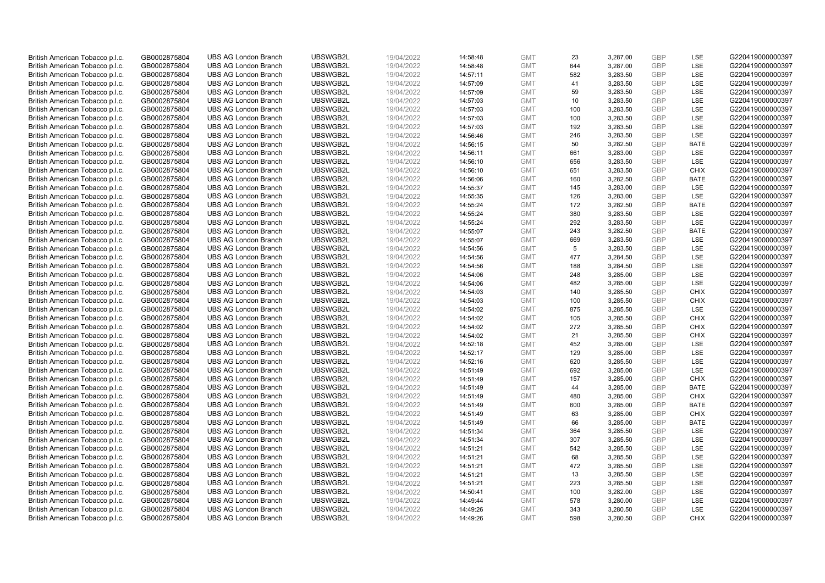| British American Tobacco p.l.c. | GB0002875804 | <b>UBS AG London Branch</b> | UBSWGB2L | 19/04/2022 | 14:58:48 | <b>GMT</b> | 23  | 3,287.00 | <b>GBP</b> | <b>LSE</b>  | G220419000000397 |
|---------------------------------|--------------|-----------------------------|----------|------------|----------|------------|-----|----------|------------|-------------|------------------|
| British American Tobacco p.l.c. | GB0002875804 | <b>UBS AG London Branch</b> | UBSWGB2L | 19/04/2022 | 14:58:48 | <b>GMT</b> | 644 | 3,287.00 | <b>GBP</b> | LSE         | G220419000000397 |
| British American Tobacco p.l.c. | GB0002875804 | <b>UBS AG London Branch</b> | UBSWGB2L | 19/04/2022 | 14:57:11 | <b>GMT</b> | 582 | 3,283.50 | <b>GBP</b> | LSE         | G220419000000397 |
| British American Tobacco p.l.c. | GB0002875804 | <b>UBS AG London Branch</b> | UBSWGB2L | 19/04/2022 | 14:57:09 | <b>GMT</b> | 41  | 3,283.50 | <b>GBP</b> | LSE         | G220419000000397 |
| British American Tobacco p.l.c. | GB0002875804 | <b>UBS AG London Branch</b> | UBSWGB2L | 19/04/2022 | 14:57:09 | <b>GMT</b> | 59  | 3,283.50 | <b>GBP</b> | LSE         | G220419000000397 |
| British American Tobacco p.l.c. | GB0002875804 | <b>UBS AG London Branch</b> | UBSWGB2L | 19/04/2022 | 14:57:03 | <b>GMT</b> | 10  | 3,283.50 | GBP        | <b>LSE</b>  | G220419000000397 |
| British American Tobacco p.l.c. | GB0002875804 | <b>UBS AG London Branch</b> | UBSWGB2L | 19/04/2022 | 14:57:03 | <b>GMT</b> | 100 | 3,283.50 | <b>GBP</b> | LSE         | G220419000000397 |
| British American Tobacco p.l.c. | GB0002875804 | <b>UBS AG London Branch</b> | UBSWGB2L | 19/04/2022 | 14:57:03 | <b>GMT</b> | 100 | 3,283.50 | <b>GBP</b> | LSE         | G220419000000397 |
| British American Tobacco p.l.c. | GB0002875804 | <b>UBS AG London Branch</b> | UBSWGB2L | 19/04/2022 | 14:57:03 | <b>GMT</b> | 192 | 3,283.50 | <b>GBP</b> | LSE         | G220419000000397 |
| British American Tobacco p.l.c. | GB0002875804 | <b>UBS AG London Branch</b> | UBSWGB2L | 19/04/2022 | 14:56:46 | <b>GMT</b> | 246 | 3,283.50 | <b>GBP</b> | <b>LSE</b>  | G220419000000397 |
| British American Tobacco p.l.c. | GB0002875804 | <b>UBS AG London Branch</b> | UBSWGB2L | 19/04/2022 | 14:56:15 | <b>GMT</b> | 50  | 3,282.50 | <b>GBP</b> | <b>BATE</b> | G220419000000397 |
| British American Tobacco p.l.c. | GB0002875804 | <b>UBS AG London Branch</b> | UBSWGB2L | 19/04/2022 | 14:56:11 | <b>GMT</b> | 661 | 3,283.00 | <b>GBP</b> | LSE         | G220419000000397 |
| British American Tobacco p.l.c. | GB0002875804 | <b>UBS AG London Branch</b> | UBSWGB2L | 19/04/2022 | 14:56:10 | <b>GMT</b> | 656 | 3,283.50 | <b>GBP</b> | LSE         | G220419000000397 |
| British American Tobacco p.l.c. | GB0002875804 | <b>UBS AG London Branch</b> | UBSWGB2L | 19/04/2022 | 14:56:10 | <b>GMT</b> | 651 | 3,283.50 | <b>GBP</b> | <b>CHIX</b> | G220419000000397 |
| British American Tobacco p.l.c. | GB0002875804 | <b>UBS AG London Branch</b> | UBSWGB2L | 19/04/2022 | 14:56:06 | <b>GMT</b> | 160 | 3,282.50 | <b>GBP</b> | <b>BATE</b> | G220419000000397 |
| British American Tobacco p.l.c. | GB0002875804 | <b>UBS AG London Branch</b> | UBSWGB2L | 19/04/2022 | 14:55:37 | <b>GMT</b> | 145 | 3,283.00 | <b>GBP</b> | LSE         | G220419000000397 |
| British American Tobacco p.l.c. | GB0002875804 | <b>UBS AG London Branch</b> | UBSWGB2L | 19/04/2022 | 14:55:35 | <b>GMT</b> | 126 | 3,283.00 | <b>GBP</b> | LSE         | G220419000000397 |
| British American Tobacco p.l.c. | GB0002875804 | <b>UBS AG London Branch</b> | UBSWGB2L | 19/04/2022 | 14:55:24 | <b>GMT</b> | 172 | 3,282.50 | <b>GBP</b> | <b>BATE</b> | G220419000000397 |
| British American Tobacco p.l.c. | GB0002875804 | <b>UBS AG London Branch</b> | UBSWGB2L | 19/04/2022 | 14:55:24 | <b>GMT</b> | 380 | 3,283.50 | <b>GBP</b> | LSE         | G220419000000397 |
| British American Tobacco p.l.c. | GB0002875804 | <b>UBS AG London Branch</b> | UBSWGB2L | 19/04/2022 | 14:55:24 | <b>GMT</b> | 292 | 3,283.50 | <b>GBP</b> | LSE         | G220419000000397 |
| British American Tobacco p.l.c. | GB0002875804 | <b>UBS AG London Branch</b> | UBSWGB2L | 19/04/2022 | 14:55:07 | <b>GMT</b> | 243 | 3,282.50 | <b>GBP</b> | <b>BATE</b> | G220419000000397 |
| British American Tobacco p.l.c. | GB0002875804 | <b>UBS AG London Branch</b> | UBSWGB2L | 19/04/2022 | 14:55:07 | <b>GMT</b> | 669 | 3,283.50 | <b>GBP</b> | LSE         | G220419000000397 |
| British American Tobacco p.l.c. | GB0002875804 | <b>UBS AG London Branch</b> | UBSWGB2L | 19/04/2022 | 14:54:56 | <b>GMT</b> | 5   | 3,283.50 | <b>GBP</b> | LSE         | G220419000000397 |
| British American Tobacco p.l.c. | GB0002875804 | <b>UBS AG London Branch</b> | UBSWGB2L | 19/04/2022 | 14:54:56 | <b>GMT</b> | 477 | 3,284.50 | <b>GBP</b> | <b>LSE</b>  | G220419000000397 |
| British American Tobacco p.l.c. | GB0002875804 | <b>UBS AG London Branch</b> | UBSWGB2L | 19/04/2022 | 14:54:56 | <b>GMT</b> | 188 | 3,284.50 | <b>GBP</b> | LSE         | G220419000000397 |
| British American Tobacco p.l.c. | GB0002875804 | <b>UBS AG London Branch</b> | UBSWGB2L | 19/04/2022 | 14:54:06 | <b>GMT</b> | 248 | 3,285.00 | <b>GBP</b> | LSE         | G220419000000397 |
| British American Tobacco p.l.c. | GB0002875804 | <b>UBS AG London Branch</b> | UBSWGB2L | 19/04/2022 | 14:54:06 | <b>GMT</b> | 482 | 3,285.00 | <b>GBP</b> | LSE         | G220419000000397 |
| British American Tobacco p.l.c. | GB0002875804 | <b>UBS AG London Branch</b> | UBSWGB2L | 19/04/2022 | 14:54:03 | <b>GMT</b> | 140 | 3,285.50 | <b>GBP</b> | <b>CHIX</b> | G220419000000397 |
| British American Tobacco p.l.c. | GB0002875804 | <b>UBS AG London Branch</b> | UBSWGB2L | 19/04/2022 | 14:54:03 | <b>GMT</b> | 100 | 3,285.50 | <b>GBP</b> | <b>CHIX</b> | G220419000000397 |
| British American Tobacco p.l.c. | GB0002875804 | <b>UBS AG London Branch</b> | UBSWGB2L | 19/04/2022 | 14:54:02 | <b>GMT</b> | 875 | 3,285.50 | <b>GBP</b> | LSE         | G220419000000397 |
| British American Tobacco p.l.c. | GB0002875804 | <b>UBS AG London Branch</b> | UBSWGB2L | 19/04/2022 | 14:54:02 | <b>GMT</b> | 105 | 3,285.50 | <b>GBP</b> | <b>CHIX</b> | G220419000000397 |
| British American Tobacco p.l.c. | GB0002875804 | <b>UBS AG London Branch</b> | UBSWGB2L | 19/04/2022 | 14:54:02 | <b>GMT</b> | 272 | 3,285.50 | <b>GBP</b> | <b>CHIX</b> | G220419000000397 |
| British American Tobacco p.l.c. | GB0002875804 | <b>UBS AG London Branch</b> | UBSWGB2L | 19/04/2022 | 14:54:02 | <b>GMT</b> | 21  | 3,285.50 | <b>GBP</b> | <b>CHIX</b> | G220419000000397 |
| British American Tobacco p.l.c. | GB0002875804 | <b>UBS AG London Branch</b> | UBSWGB2L | 19/04/2022 | 14:52:18 | <b>GMT</b> | 452 | 3,285.00 | <b>GBP</b> | LSE         | G220419000000397 |
| British American Tobacco p.l.c. | GB0002875804 | <b>UBS AG London Branch</b> | UBSWGB2L | 19/04/2022 | 14:52:17 | <b>GMT</b> | 129 | 3,285.00 | <b>GBP</b> | LSE         | G220419000000397 |
| British American Tobacco p.l.c. | GB0002875804 | <b>UBS AG London Branch</b> | UBSWGB2L | 19/04/2022 | 14:52:16 | <b>GMT</b> | 620 | 3,285.50 | <b>GBP</b> | LSE         | G220419000000397 |
| British American Tobacco p.l.c. | GB0002875804 | <b>UBS AG London Branch</b> | UBSWGB2L | 19/04/2022 | 14:51:49 | <b>GMT</b> | 692 | 3,285.00 | <b>GBP</b> | LSE         | G220419000000397 |
| British American Tobacco p.l.c. | GB0002875804 | <b>UBS AG London Branch</b> | UBSWGB2L | 19/04/2022 | 14:51:49 | <b>GMT</b> | 157 | 3,285.00 | <b>GBP</b> | <b>CHIX</b> | G220419000000397 |
| British American Tobacco p.l.c. | GB0002875804 | <b>UBS AG London Branch</b> | UBSWGB2L | 19/04/2022 | 14:51:49 | <b>GMT</b> | 44  | 3,285.00 | <b>GBP</b> | <b>BATE</b> | G220419000000397 |
| British American Tobacco p.l.c. | GB0002875804 | <b>UBS AG London Branch</b> | UBSWGB2L | 19/04/2022 | 14:51:49 | <b>GMT</b> | 480 | 3,285.00 | <b>GBP</b> | <b>CHIX</b> | G220419000000397 |
| British American Tobacco p.l.c. | GB0002875804 | <b>UBS AG London Branch</b> | UBSWGB2L | 19/04/2022 | 14:51:49 | <b>GMT</b> | 600 | 3,285.00 | <b>GBP</b> | <b>BATE</b> | G220419000000397 |
| British American Tobacco p.l.c. | GB0002875804 | <b>UBS AG London Branch</b> | UBSWGB2L | 19/04/2022 | 14:51:49 | <b>GMT</b> | 63  | 3,285.00 | <b>GBP</b> | <b>CHIX</b> | G220419000000397 |
| British American Tobacco p.l.c. | GB0002875804 | <b>UBS AG London Branch</b> | UBSWGB2L | 19/04/2022 | 14:51:49 | <b>GMT</b> | 66  | 3,285.00 | <b>GBP</b> | <b>BATE</b> | G220419000000397 |
| British American Tobacco p.l.c. | GB0002875804 | <b>UBS AG London Branch</b> | UBSWGB2L | 19/04/2022 | 14:51:34 | <b>GMT</b> | 364 | 3,285.50 | <b>GBP</b> | LSE         | G220419000000397 |
| British American Tobacco p.l.c. | GB0002875804 | <b>UBS AG London Branch</b> | UBSWGB2L | 19/04/2022 | 14:51:34 | <b>GMT</b> | 307 | 3,285.50 | <b>GBP</b> | LSE         | G220419000000397 |
| British American Tobacco p.l.c. | GB0002875804 | <b>UBS AG London Branch</b> | UBSWGB2L | 19/04/2022 | 14:51:21 | <b>GMT</b> | 542 | 3,285.50 | <b>GBP</b> | LSE         | G220419000000397 |
| British American Tobacco p.l.c. | GB0002875804 | <b>UBS AG London Branch</b> | UBSWGB2L | 19/04/2022 | 14:51:21 | <b>GMT</b> | 68  | 3,285.50 | <b>GBP</b> | LSE         | G220419000000397 |
| British American Tobacco p.l.c. | GB0002875804 | <b>UBS AG London Branch</b> | UBSWGB2L | 19/04/2022 | 14:51:21 | <b>GMT</b> | 472 | 3,285.50 | <b>GBP</b> | LSE         | G220419000000397 |
| British American Tobacco p.l.c. | GB0002875804 | <b>UBS AG London Branch</b> | UBSWGB2L | 19/04/2022 | 14:51:21 | <b>GMT</b> | 13  | 3,285.50 | <b>GBP</b> | LSE         | G220419000000397 |
| British American Tobacco p.l.c. | GB0002875804 | <b>UBS AG London Branch</b> | UBSWGB2L | 19/04/2022 | 14:51:21 | <b>GMT</b> | 223 | 3,285.50 | <b>GBP</b> | LSE         | G220419000000397 |
| British American Tobacco p.l.c. | GB0002875804 | <b>UBS AG London Branch</b> | UBSWGB2L | 19/04/2022 | 14:50:41 | <b>GMT</b> | 100 | 3,282.00 | <b>GBP</b> | LSE         | G220419000000397 |
| British American Tobacco p.l.c. | GB0002875804 | <b>UBS AG London Branch</b> | UBSWGB2L | 19/04/2022 | 14:49:44 | <b>GMT</b> | 578 | 3,280.00 | <b>GBP</b> | LSE         | G220419000000397 |
| British American Tobacco p.l.c. | GB0002875804 | <b>UBS AG London Branch</b> | UBSWGB2L | 19/04/2022 | 14:49:26 | <b>GMT</b> | 343 | 3,280.50 | <b>GBP</b> | LSE         | G220419000000397 |
| British American Tobacco p.l.c. | GB0002875804 | <b>UBS AG London Branch</b> | UBSWGB2L | 19/04/2022 | 14:49:26 | <b>GMT</b> | 598 | 3,280.50 | GBP        | <b>CHIX</b> | G220419000000397 |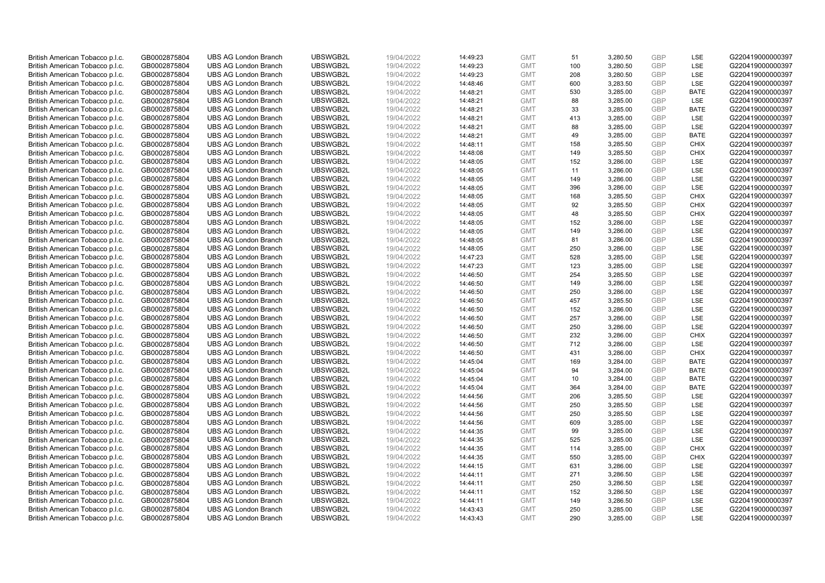| British American Tobacco p.l.c. | GB0002875804 | <b>UBS AG London Branch</b> | UBSWGB2L | 19/04/2022 | 14:49:23 | <b>GMT</b> | 51         | 3,280.50 | <b>GBP</b>               | LSE         | G220419000000397 |
|---------------------------------|--------------|-----------------------------|----------|------------|----------|------------|------------|----------|--------------------------|-------------|------------------|
| British American Tobacco p.l.c. | GB0002875804 | <b>UBS AG London Branch</b> | UBSWGB2L | 19/04/2022 | 14:49:23 | <b>GMT</b> | 100        | 3,280.50 | GBP                      | LSE         | G220419000000397 |
| British American Tobacco p.l.c. | GB0002875804 | <b>UBS AG London Branch</b> | UBSWGB2L | 19/04/2022 | 14:49:23 | <b>GMT</b> | 208        | 3,280.50 | <b>GBP</b>               | LSE         | G220419000000397 |
|                                 |              |                             | UBSWGB2L | 19/04/2022 |          |            |            |          | <b>GBP</b>               | LSE         |                  |
| British American Tobacco p.l.c. | GB0002875804 | <b>UBS AG London Branch</b> |          |            | 14:48:46 | <b>GMT</b> | 600        | 3,283.50 |                          |             | G220419000000397 |
| British American Tobacco p.l.c. | GB0002875804 | <b>UBS AG London Branch</b> | UBSWGB2L | 19/04/2022 | 14:48:21 | <b>GMT</b> | 530        | 3,285.00 | <b>GBP</b>               | <b>BATE</b> | G220419000000397 |
| British American Tobacco p.l.c. | GB0002875804 | <b>UBS AG London Branch</b> | UBSWGB2L | 19/04/2022 | 14:48:21 | <b>GMT</b> | 88         | 3,285.00 | <b>GBP</b>               | LSE         | G220419000000397 |
| British American Tobacco p.l.c. | GB0002875804 | <b>UBS AG London Branch</b> | UBSWGB2L | 19/04/2022 | 14:48:21 | <b>GMT</b> | 33         | 3,285.00 | <b>GBP</b>               | <b>BATE</b> | G220419000000397 |
| British American Tobacco p.l.c. | GB0002875804 | <b>UBS AG London Branch</b> | UBSWGB2L | 19/04/2022 | 14:48:21 | <b>GMT</b> | 413        | 3,285.00 | <b>GBP</b>               | LSE         | G220419000000397 |
| British American Tobacco p.l.c. | GB0002875804 | <b>UBS AG London Branch</b> | UBSWGB2L | 19/04/2022 | 14:48:21 | <b>GMT</b> | 88         | 3,285.00 | <b>GBP</b>               | LSE         | G220419000000397 |
| British American Tobacco p.l.c. | GB0002875804 | <b>UBS AG London Branch</b> | UBSWGB2L | 19/04/2022 | 14:48:21 | <b>GMT</b> | 49         | 3,285.00 | <b>GBP</b>               | <b>BATE</b> | G220419000000397 |
| British American Tobacco p.l.c. | GB0002875804 | <b>UBS AG London Branch</b> | UBSWGB2L | 19/04/2022 | 14:48:11 | <b>GMT</b> | 158        | 3,285.50 | <b>GBP</b>               | <b>CHIX</b> | G220419000000397 |
| British American Tobacco p.l.c. | GB0002875804 | <b>UBS AG London Branch</b> | UBSWGB2L | 19/04/2022 | 14:48:08 | <b>GMT</b> | 149        | 3,285.50 | <b>GBP</b>               | <b>CHIX</b> | G220419000000397 |
| British American Tobacco p.l.c. | GB0002875804 | <b>UBS AG London Branch</b> | UBSWGB2L | 19/04/2022 | 14:48:05 | <b>GMT</b> | 152        | 3,286.00 | <b>GBP</b>               | LSE         | G220419000000397 |
| British American Tobacco p.l.c. | GB0002875804 | <b>UBS AG London Branch</b> | UBSWGB2L | 19/04/2022 | 14:48:05 | <b>GMT</b> | 11         | 3,286.00 | <b>GBP</b>               | LSE         | G220419000000397 |
| British American Tobacco p.l.c. | GB0002875804 | <b>UBS AG London Branch</b> | UBSWGB2L | 19/04/2022 | 14:48:05 | <b>GMT</b> | 149        | 3,286.00 | <b>GBP</b>               | LSE         | G220419000000397 |
| British American Tobacco p.l.c. | GB0002875804 | <b>UBS AG London Branch</b> | UBSWGB2L | 19/04/2022 | 14:48:05 | <b>GMT</b> | 396        | 3,286.00 | <b>GBP</b>               | LSE         | G220419000000397 |
| British American Tobacco p.l.c. | GB0002875804 | <b>UBS AG London Branch</b> | UBSWGB2L | 19/04/2022 | 14:48:05 | <b>GMT</b> | 168        | 3,285.50 | <b>GBP</b>               | <b>CHIX</b> | G220419000000397 |
| British American Tobacco p.l.c. | GB0002875804 | <b>UBS AG London Branch</b> | UBSWGB2L | 19/04/2022 | 14:48:05 | <b>GMT</b> | 92         | 3,285.50 | <b>GBP</b>               | <b>CHIX</b> | G220419000000397 |
| British American Tobacco p.l.c. | GB0002875804 | <b>UBS AG London Branch</b> | UBSWGB2L | 19/04/2022 | 14:48:05 | <b>GMT</b> | 48         | 3,285.50 | <b>GBP</b>               | <b>CHIX</b> | G220419000000397 |
| British American Tobacco p.l.c. | GB0002875804 | <b>UBS AG London Branch</b> | UBSWGB2L | 19/04/2022 | 14:48:05 | <b>GMT</b> | 152        | 3,286.00 | <b>GBP</b>               | LSE         | G220419000000397 |
| British American Tobacco p.l.c. | GB0002875804 | <b>UBS AG London Branch</b> | UBSWGB2L | 19/04/2022 | 14:48:05 | <b>GMT</b> | 149        | 3,286.00 | <b>GBP</b>               | LSE         | G220419000000397 |
| British American Tobacco p.l.c. | GB0002875804 | <b>UBS AG London Branch</b> | UBSWGB2L | 19/04/2022 | 14:48:05 | <b>GMT</b> | 81         | 3,286.00 | <b>GBP</b>               | LSE         | G220419000000397 |
| British American Tobacco p.l.c. | GB0002875804 | <b>UBS AG London Branch</b> | UBSWGB2L | 19/04/2022 | 14:48:05 | <b>GMT</b> | 250        | 3,286.00 | <b>GBP</b>               | LSE         | G220419000000397 |
| British American Tobacco p.l.c. | GB0002875804 | <b>UBS AG London Branch</b> | UBSWGB2L | 19/04/2022 | 14:47:23 | <b>GMT</b> | 528        | 3,285.00 | <b>GBP</b>               | LSE         | G220419000000397 |
| British American Tobacco p.l.c. | GB0002875804 | <b>UBS AG London Branch</b> | UBSWGB2L | 19/04/2022 | 14:47:23 | <b>GMT</b> | 123        | 3,285.00 | <b>GBP</b>               | LSE         | G220419000000397 |
| British American Tobacco p.l.c. | GB0002875804 | <b>UBS AG London Branch</b> | UBSWGB2L | 19/04/2022 | 14:46:50 | <b>GMT</b> | 254        | 3,285.50 | <b>GBP</b>               | LSE         | G220419000000397 |
| British American Tobacco p.l.c. | GB0002875804 | <b>UBS AG London Branch</b> | UBSWGB2L | 19/04/2022 | 14:46:50 | <b>GMT</b> | 149        | 3,286.00 | <b>GBP</b>               | LSE         | G220419000000397 |
| British American Tobacco p.l.c. | GB0002875804 | <b>UBS AG London Branch</b> | UBSWGB2L | 19/04/2022 | 14:46:50 | <b>GMT</b> | 250        | 3,286.00 | <b>GBP</b>               | LSE         | G220419000000397 |
| British American Tobacco p.l.c. | GB0002875804 | <b>UBS AG London Branch</b> | UBSWGB2L | 19/04/2022 | 14:46:50 | <b>GMT</b> | 457        | 3,285.50 | <b>GBP</b>               | LSE         | G220419000000397 |
| British American Tobacco p.l.c. | GB0002875804 | <b>UBS AG London Branch</b> | UBSWGB2L | 19/04/2022 | 14:46:50 | <b>GMT</b> | 152        | 3,286.00 | <b>GBP</b>               | LSE         | G220419000000397 |
| British American Tobacco p.l.c. | GB0002875804 | <b>UBS AG London Branch</b> | UBSWGB2L | 19/04/2022 | 14:46:50 | <b>GMT</b> | 257        | 3,286.00 | <b>GBP</b>               | LSE         | G220419000000397 |
| British American Tobacco p.l.c. | GB0002875804 | <b>UBS AG London Branch</b> | UBSWGB2L | 19/04/2022 | 14:46:50 | <b>GMT</b> | 250        | 3,286.00 | <b>GBP</b>               | LSE         | G220419000000397 |
| British American Tobacco p.l.c. | GB0002875804 | <b>UBS AG London Branch</b> | UBSWGB2L | 19/04/2022 | 14:46:50 | <b>GMT</b> | 232        | 3,286.00 | <b>GBP</b>               | <b>CHIX</b> | G220419000000397 |
| British American Tobacco p.l.c. | GB0002875804 | <b>UBS AG London Branch</b> | UBSWGB2L | 19/04/2022 | 14:46:50 | <b>GMT</b> | 712        | 3,286.00 | <b>GBP</b>               | LSE         | G220419000000397 |
| British American Tobacco p.l.c. | GB0002875804 | <b>UBS AG London Branch</b> | UBSWGB2L | 19/04/2022 | 14:46:50 | <b>GMT</b> | 431        | 3,286.00 | <b>GBP</b>               | <b>CHIX</b> | G220419000000397 |
| British American Tobacco p.l.c. | GB0002875804 | <b>UBS AG London Branch</b> | UBSWGB2L | 19/04/2022 | 14:45:04 | <b>GMT</b> | 169        | 3,284.00 | <b>GBP</b>               | <b>BATE</b> | G220419000000397 |
| British American Tobacco p.l.c. | GB0002875804 | <b>UBS AG London Branch</b> | UBSWGB2L | 19/04/2022 | 14:45:04 | <b>GMT</b> | 94         | 3,284.00 | <b>GBP</b>               | <b>BATE</b> | G220419000000397 |
| British American Tobacco p.l.c. | GB0002875804 | <b>UBS AG London Branch</b> | UBSWGB2L | 19/04/2022 | 14:45:04 | <b>GMT</b> | 10         | 3,284.00 | <b>GBP</b>               | <b>BATE</b> | G220419000000397 |
|                                 |              | <b>UBS AG London Branch</b> | UBSWGB2L |            |          | <b>GMT</b> | 364        |          | <b>GBP</b>               | <b>BATE</b> | G220419000000397 |
| British American Tobacco p.l.c. | GB0002875804 |                             |          | 19/04/2022 | 14:45:04 |            |            | 3,284.00 |                          |             |                  |
| British American Tobacco p.l.c. | GB0002875804 | <b>UBS AG London Branch</b> | UBSWGB2L | 19/04/2022 | 14:44:56 | <b>GMT</b> | 206<br>250 | 3,285.50 | <b>GBP</b><br><b>GBP</b> | LSE<br>LSE  | G220419000000397 |
| British American Tobacco p.l.c. | GB0002875804 | <b>UBS AG London Branch</b> | UBSWGB2L | 19/04/2022 | 14:44:56 | <b>GMT</b> |            | 3,285.50 |                          |             | G220419000000397 |
| British American Tobacco p.l.c. | GB0002875804 | <b>UBS AG London Branch</b> | UBSWGB2L | 19/04/2022 | 14:44:56 | <b>GMT</b> | 250        | 3,285.50 | <b>GBP</b>               | LSE         | G220419000000397 |
| British American Tobacco p.l.c. | GB0002875804 | <b>UBS AG London Branch</b> | UBSWGB2L | 19/04/2022 | 14:44:56 | <b>GMT</b> | 609        | 3,285.00 | <b>GBP</b>               | LSE         | G220419000000397 |
| British American Tobacco p.l.c. | GB0002875804 | <b>UBS AG London Branch</b> | UBSWGB2L | 19/04/2022 | 14:44:35 | <b>GMT</b> | 99         | 3,285.00 | <b>GBP</b>               | LSE         | G220419000000397 |
| British American Tobacco p.l.c. | GB0002875804 | <b>UBS AG London Branch</b> | UBSWGB2L | 19/04/2022 | 14:44:35 | <b>GMT</b> | 525        | 3,285.00 | <b>GBP</b>               | LSE         | G220419000000397 |
| British American Tobacco p.l.c. | GB0002875804 | <b>UBS AG London Branch</b> | UBSWGB2L | 19/04/2022 | 14:44:35 | <b>GMT</b> | 114        | 3,285.00 | <b>GBP</b>               | <b>CHIX</b> | G220419000000397 |
| British American Tobacco p.l.c. | GB0002875804 | <b>UBS AG London Branch</b> | UBSWGB2L | 19/04/2022 | 14:44:35 | <b>GMT</b> | 550        | 3,285.00 | <b>GBP</b>               | <b>CHIX</b> | G220419000000397 |
| British American Tobacco p.l.c. | GB0002875804 | <b>UBS AG London Branch</b> | UBSWGB2L | 19/04/2022 | 14:44:15 | <b>GMT</b> | 631        | 3,286.00 | <b>GBP</b>               | LSE         | G220419000000397 |
| British American Tobacco p.l.c. | GB0002875804 | <b>UBS AG London Branch</b> | UBSWGB2L | 19/04/2022 | 14:44:11 | <b>GMT</b> | 271        | 3,286.50 | <b>GBP</b>               | LSE         | G220419000000397 |
| British American Tobacco p.l.c. | GB0002875804 | <b>UBS AG London Branch</b> | UBSWGB2L | 19/04/2022 | 14:44:11 | <b>GMT</b> | 250        | 3,286.50 | <b>GBP</b>               | LSE         | G220419000000397 |
| British American Tobacco p.l.c. | GB0002875804 | <b>UBS AG London Branch</b> | UBSWGB2L | 19/04/2022 | 14:44:11 | <b>GMT</b> | 152        | 3,286.50 | <b>GBP</b>               | LSE         | G220419000000397 |
| British American Tobacco p.l.c. | GB0002875804 | <b>UBS AG London Branch</b> | UBSWGB2L | 19/04/2022 | 14:44:11 | <b>GMT</b> | 149        | 3,286.50 | <b>GBP</b>               | LSE         | G220419000000397 |
| British American Tobacco p.l.c. | GB0002875804 | <b>UBS AG London Branch</b> | UBSWGB2L | 19/04/2022 | 14:43:43 | <b>GMT</b> | 250        | 3,285.00 | <b>GBP</b>               | LSE         | G220419000000397 |
| British American Tobacco p.l.c. | GB0002875804 | <b>UBS AG London Branch</b> | UBSWGB2L | 19/04/2022 | 14:43:43 | <b>GMT</b> | 290        | 3.285.00 | GBP                      | LSE         | G220419000000397 |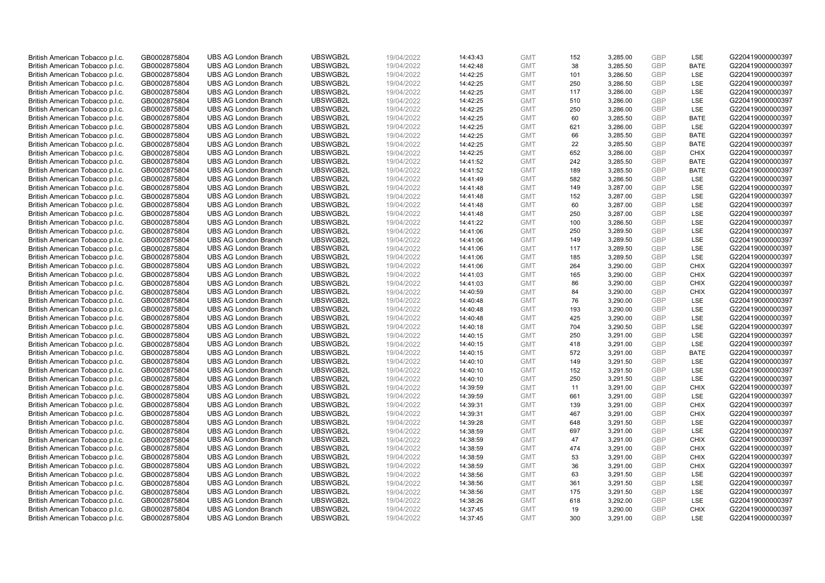| British American Tobacco p.l.c. | GB0002875804                 | <b>UBS AG London Branch</b> | UBSWGB2L | 19/04/2022               | 14:43:43 | <b>GMT</b>               | 152 | 3,285.00 | <b>GBP</b> | LSE         | G220419000000397 |
|---------------------------------|------------------------------|-----------------------------|----------|--------------------------|----------|--------------------------|-----|----------|------------|-------------|------------------|
| British American Tobacco p.l.c. | GB0002875804                 | <b>UBS AG London Branch</b> | UBSWGB2L | 19/04/2022               | 14:42:48 | <b>GMT</b>               | 38  | 3,285.50 | <b>GBP</b> | <b>BATE</b> | G220419000000397 |
| British American Tobacco p.l.c. | GB0002875804                 | <b>UBS AG London Branch</b> | UBSWGB2L | 19/04/2022               | 14:42:25 | <b>GMT</b>               | 101 | 3,286.50 | <b>GBP</b> | LSE         | G220419000000397 |
| British American Tobacco p.l.c. | GB0002875804                 | <b>UBS AG London Branch</b> | UBSWGB2L | 19/04/2022               | 14:42:25 | <b>GMT</b>               | 250 | 3,286.50 | <b>GBP</b> | LSE         | G220419000000397 |
| British American Tobacco p.l.c. | GB0002875804                 | <b>UBS AG London Branch</b> | UBSWGB2L | 19/04/2022               | 14:42:25 | <b>GMT</b>               | 117 | 3,286.00 | <b>GBP</b> | LSE         | G220419000000397 |
| British American Tobacco p.l.c. | GB0002875804                 | <b>UBS AG London Branch</b> | UBSWGB2L | 19/04/2022               | 14:42:25 | <b>GMT</b>               | 510 | 3,286.00 | <b>GBP</b> | LSE         | G220419000000397 |
| British American Tobacco p.l.c. | GB0002875804                 | <b>UBS AG London Branch</b> | UBSWGB2L | 19/04/2022               | 14:42:25 | <b>GMT</b>               | 250 | 3,286.00 | <b>GBP</b> | LSE         | G220419000000397 |
| British American Tobacco p.l.c. | GB0002875804                 | <b>UBS AG London Branch</b> | UBSWGB2L | 19/04/2022               | 14:42:25 | <b>GMT</b>               | 60  | 3,285.50 | <b>GBP</b> | <b>BATE</b> | G220419000000397 |
| British American Tobacco p.l.c. | GB0002875804                 | <b>UBS AG London Branch</b> | UBSWGB2L | 19/04/2022               | 14:42:25 | <b>GMT</b>               | 621 | 3,286.00 | <b>GBP</b> | LSE         | G220419000000397 |
| British American Tobacco p.l.c. | GB0002875804                 | <b>UBS AG London Branch</b> | UBSWGB2L | 19/04/2022               | 14:42:25 | <b>GMT</b>               | 66  | 3,285.50 | <b>GBP</b> | <b>BATE</b> | G220419000000397 |
| British American Tobacco p.l.c. | GB0002875804                 | <b>UBS AG London Branch</b> | UBSWGB2L | 19/04/2022               | 14:42:25 | <b>GMT</b>               | 22  | 3,285.50 | <b>GBP</b> | <b>BATE</b> | G220419000000397 |
| British American Tobacco p.l.c. | GB0002875804                 | <b>UBS AG London Branch</b> | UBSWGB2L | 19/04/2022               | 14:42:25 | <b>GMT</b>               | 652 | 3,286.00 | <b>GBP</b> | <b>CHIX</b> | G220419000000397 |
| British American Tobacco p.l.c. | GB0002875804                 | <b>UBS AG London Branch</b> | UBSWGB2L | 19/04/2022               | 14:41:52 | <b>GMT</b>               | 242 | 3,285.50 | <b>GBP</b> | <b>BATE</b> | G220419000000397 |
| British American Tobacco p.l.c. | GB0002875804                 | <b>UBS AG London Branch</b> | UBSWGB2L | 19/04/2022               | 14:41:52 | <b>GMT</b>               | 189 | 3,285.50 | <b>GBP</b> | <b>BATE</b> | G220419000000397 |
| British American Tobacco p.l.c. | GB0002875804                 | <b>UBS AG London Branch</b> | UBSWGB2L | 19/04/2022               | 14:41:49 | <b>GMT</b>               | 582 | 3,286.50 | <b>GBP</b> | LSE         | G220419000000397 |
| British American Tobacco p.l.c. | GB0002875804                 | <b>UBS AG London Branch</b> | UBSWGB2L | 19/04/2022               | 14:41:48 | <b>GMT</b>               | 149 | 3,287.00 | <b>GBP</b> | LSE         | G220419000000397 |
| British American Tobacco p.l.c. | GB0002875804                 | <b>UBS AG London Branch</b> | UBSWGB2L | 19/04/2022               | 14:41:48 | <b>GMT</b>               | 152 | 3,287.00 | <b>GBP</b> | LSE         | G220419000000397 |
| British American Tobacco p.l.c. | GB0002875804                 | <b>UBS AG London Branch</b> | UBSWGB2L | 19/04/2022               | 14:41:48 | <b>GMT</b>               | 60  | 3,287.00 | <b>GBP</b> | LSE         | G220419000000397 |
|                                 |                              | <b>UBS AG London Branch</b> | UBSWGB2L |                          |          |                          | 250 |          | <b>GBP</b> | <b>LSE</b>  | G220419000000397 |
| British American Tobacco p.l.c. | GB0002875804<br>GB0002875804 | <b>UBS AG London Branch</b> | UBSWGB2L | 19/04/2022<br>19/04/2022 | 14:41:48 | <b>GMT</b><br><b>GMT</b> | 100 | 3,287.00 | <b>GBP</b> | LSE         | G220419000000397 |
| British American Tobacco p.l.c. |                              |                             |          |                          | 14:41:22 |                          |     | 3,286.50 |            |             |                  |
| British American Tobacco p.l.c. | GB0002875804                 | <b>UBS AG London Branch</b> | UBSWGB2L | 19/04/2022               | 14:41:06 | <b>GMT</b>               | 250 | 3,289.50 | <b>GBP</b> | LSE         | G220419000000397 |
| British American Tobacco p.l.c. | GB0002875804                 | <b>UBS AG London Branch</b> | UBSWGB2L | 19/04/2022               | 14:41:06 | <b>GMT</b>               | 149 | 3,289.50 | <b>GBP</b> | LSE         | G220419000000397 |
| British American Tobacco p.l.c. | GB0002875804                 | <b>UBS AG London Branch</b> | UBSWGB2L | 19/04/2022               | 14:41:06 | <b>GMT</b>               | 117 | 3,289.50 | <b>GBP</b> | LSE         | G220419000000397 |
| British American Tobacco p.l.c. | GB0002875804                 | <b>UBS AG London Branch</b> | UBSWGB2L | 19/04/2022               | 14:41:06 | <b>GMT</b>               | 185 | 3,289.50 | <b>GBP</b> | LSE         | G220419000000397 |
| British American Tobacco p.l.c. | GB0002875804                 | <b>UBS AG London Branch</b> | UBSWGB2L | 19/04/2022               | 14:41:06 | <b>GMT</b>               | 264 | 3,290.00 | <b>GBP</b> | <b>CHIX</b> | G220419000000397 |
| British American Tobacco p.l.c. | GB0002875804                 | <b>UBS AG London Branch</b> | UBSWGB2L | 19/04/2022               | 14:41:03 | <b>GMT</b>               | 165 | 3,290.00 | <b>GBP</b> | <b>CHIX</b> | G220419000000397 |
| British American Tobacco p.l.c. | GB0002875804                 | <b>UBS AG London Branch</b> | UBSWGB2L | 19/04/2022               | 14:41:03 | <b>GMT</b>               | 86  | 3,290.00 | <b>GBP</b> | <b>CHIX</b> | G220419000000397 |
| British American Tobacco p.l.c. | GB0002875804                 | <b>UBS AG London Branch</b> | UBSWGB2L | 19/04/2022               | 14:40:59 | <b>GMT</b>               | 84  | 3,290.00 | <b>GBP</b> | <b>CHIX</b> | G220419000000397 |
| British American Tobacco p.l.c. | GB0002875804                 | <b>UBS AG London Branch</b> | UBSWGB2L | 19/04/2022               | 14:40:48 | <b>GMT</b>               | 76  | 3,290.00 | <b>GBP</b> | LSE         | G220419000000397 |
| British American Tobacco p.l.c. | GB0002875804                 | <b>UBS AG London Branch</b> | UBSWGB2L | 19/04/2022               | 14:40:48 | <b>GMT</b>               | 193 | 3,290.00 | <b>GBP</b> | LSE         | G220419000000397 |
| British American Tobacco p.l.c. | GB0002875804                 | <b>UBS AG London Branch</b> | UBSWGB2L | 19/04/2022               | 14:40:48 | <b>GMT</b>               | 425 | 3,290.00 | <b>GBP</b> | LSE         | G220419000000397 |
| British American Tobacco p.l.c. | GB0002875804                 | <b>UBS AG London Branch</b> | UBSWGB2L | 19/04/2022               | 14:40:18 | <b>GMT</b>               | 704 | 3,290.50 | <b>GBP</b> | LSE         | G220419000000397 |
| British American Tobacco p.l.c. | GB0002875804                 | <b>UBS AG London Branch</b> | UBSWGB2L | 19/04/2022               | 14:40:15 | <b>GMT</b>               | 250 | 3,291.00 | <b>GBP</b> | LSE         | G220419000000397 |
| British American Tobacco p.l.c. | GB0002875804                 | <b>UBS AG London Branch</b> | UBSWGB2L | 19/04/2022               | 14:40:15 | <b>GMT</b>               | 418 | 3,291.00 | <b>GBP</b> | LSE         | G220419000000397 |
| British American Tobacco p.l.c. | GB0002875804                 | <b>UBS AG London Branch</b> | UBSWGB2L | 19/04/2022               | 14:40:15 | <b>GMT</b>               | 572 | 3,291.00 | <b>GBP</b> | <b>BATE</b> | G220419000000397 |
| British American Tobacco p.l.c. | GB0002875804                 | <b>UBS AG London Branch</b> | UBSWGB2L | 19/04/2022               | 14:40:10 | <b>GMT</b>               | 149 | 3,291.50 | <b>GBP</b> | LSE         | G220419000000397 |
| British American Tobacco p.l.c. | GB0002875804                 | <b>UBS AG London Branch</b> | UBSWGB2L | 19/04/2022               | 14:40:10 | <b>GMT</b>               | 152 | 3,291.50 | <b>GBP</b> | LSE         | G220419000000397 |
| British American Tobacco p.l.c. | GB0002875804                 | <b>UBS AG London Branch</b> | UBSWGB2L | 19/04/2022               | 14:40:10 | <b>GMT</b>               | 250 | 3,291.50 | <b>GBP</b> | LSE         | G220419000000397 |
| British American Tobacco p.l.c. | GB0002875804                 | <b>UBS AG London Branch</b> | UBSWGB2L | 19/04/2022               | 14:39:59 | <b>GMT</b>               | 11  | 3,291.00 | <b>GBP</b> | <b>CHIX</b> | G220419000000397 |
| British American Tobacco p.l.c. | GB0002875804                 | <b>UBS AG London Branch</b> | UBSWGB2L | 19/04/2022               | 14:39:59 | <b>GMT</b>               | 661 | 3,291.00 | <b>GBP</b> | <b>LSE</b>  | G220419000000397 |
| British American Tobacco p.l.c. | GB0002875804                 | <b>UBS AG London Branch</b> | UBSWGB2L | 19/04/2022               | 14:39:31 | <b>GMT</b>               | 139 | 3,291.00 | <b>GBP</b> | <b>CHIX</b> | G220419000000397 |
| British American Tobacco p.l.c. | GB0002875804                 | <b>UBS AG London Branch</b> | UBSWGB2L | 19/04/2022               | 14:39:31 | <b>GMT</b>               | 467 | 3,291.00 | <b>GBP</b> | <b>CHIX</b> | G220419000000397 |
| British American Tobacco p.l.c. | GB0002875804                 | <b>UBS AG London Branch</b> | UBSWGB2L | 19/04/2022               | 14:39:28 | <b>GMT</b>               | 648 | 3,291.50 | <b>GBP</b> | LSE         | G220419000000397 |
| British American Tobacco p.l.c. | GB0002875804                 | <b>UBS AG London Branch</b> | UBSWGB2L | 19/04/2022               | 14:38:59 | <b>GMT</b>               | 697 | 3,291.00 | <b>GBP</b> | LSE         | G220419000000397 |
| British American Tobacco p.l.c. | GB0002875804                 | <b>UBS AG London Branch</b> | UBSWGB2L | 19/04/2022               | 14:38:59 | <b>GMT</b>               | 47  | 3,291.00 | <b>GBP</b> | <b>CHIX</b> | G220419000000397 |
| British American Tobacco p.l.c. | GB0002875804                 | <b>UBS AG London Branch</b> | UBSWGB2L | 19/04/2022               | 14:38:59 | <b>GMT</b>               | 474 | 3,291.00 | <b>GBP</b> | <b>CHIX</b> | G220419000000397 |
| British American Tobacco p.l.c. | GB0002875804                 | <b>UBS AG London Branch</b> | UBSWGB2L | 19/04/2022               | 14:38:59 | <b>GMT</b>               | 53  | 3,291.00 | <b>GBP</b> | <b>CHIX</b> | G220419000000397 |
| British American Tobacco p.l.c. | GB0002875804                 | <b>UBS AG London Branch</b> | UBSWGB2L | 19/04/2022               | 14:38:59 | <b>GMT</b>               | 36  | 3,291.00 | <b>GBP</b> | <b>CHIX</b> | G220419000000397 |
| British American Tobacco p.l.c. | GB0002875804                 | <b>UBS AG London Branch</b> | UBSWGB2L | 19/04/2022               | 14:38:56 | <b>GMT</b>               | 63  | 3,291.50 | <b>GBP</b> | LSE         | G220419000000397 |
| British American Tobacco p.l.c. | GB0002875804                 | <b>UBS AG London Branch</b> | UBSWGB2L | 19/04/2022               | 14:38:56 | <b>GMT</b>               | 361 | 3,291.50 | <b>GBP</b> | LSE         | G220419000000397 |
| British American Tobacco p.l.c. | GB0002875804                 | <b>UBS AG London Branch</b> | UBSWGB2L | 19/04/2022               | 14:38:56 | <b>GMT</b>               | 175 | 3,291.50 | <b>GBP</b> | LSE         | G220419000000397 |
| British American Tobacco p.l.c. | GB0002875804                 | <b>UBS AG London Branch</b> | UBSWGB2L | 19/04/2022               | 14:38:26 | <b>GMT</b>               | 618 | 3,292.00 | <b>GBP</b> | LSE         | G220419000000397 |
| British American Tobacco p.l.c. | GB0002875804                 | <b>UBS AG London Branch</b> | UBSWGB2L | 19/04/2022               | 14:37:45 | <b>GMT</b>               | 19  | 3,290.00 | <b>GBP</b> | <b>CHIX</b> | G220419000000397 |
| British American Tobacco p.l.c. | GB0002875804                 | <b>UBS AG London Branch</b> | UBSWGB2L | 19/04/2022               | 14:37:45 | <b>GMT</b>               | 300 | 3.291.00 | GBP        | LSE         | G220419000000397 |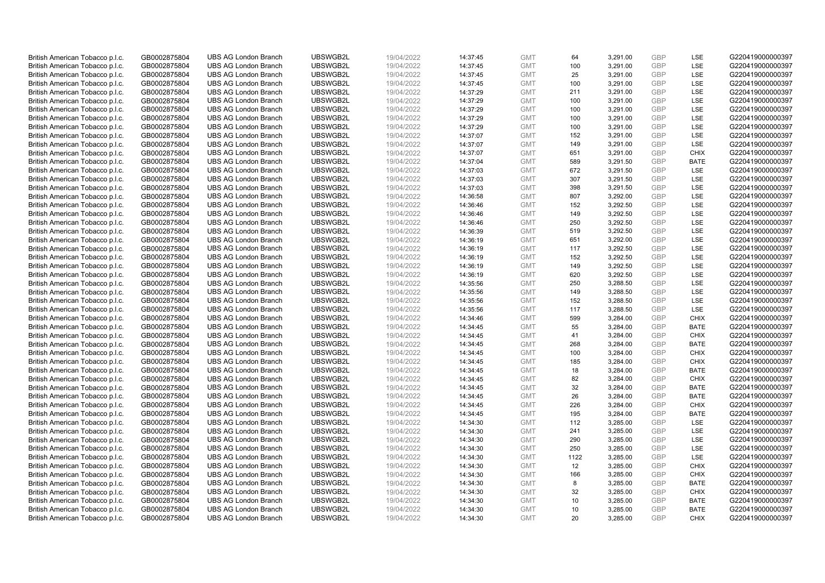| British American Tobacco p.l.c. | GB0002875804 | <b>UBS AG London Branch</b> | UBSWGB2L | 19/04/2022 |          | <b>GMT</b> | 64   | 3,291.00 | <b>GBP</b>               | LSE         | G220419000000397 |
|---------------------------------|--------------|-----------------------------|----------|------------|----------|------------|------|----------|--------------------------|-------------|------------------|
|                                 | GB0002875804 | <b>UBS AG London Branch</b> | UBSWGB2L | 19/04/2022 | 14:37:45 | <b>GMT</b> | 100  | 3,291.00 | GBP                      | LSE         | G220419000000397 |
| British American Tobacco p.l.c. |              | <b>UBS AG London Branch</b> | UBSWGB2L |            | 14:37:45 | <b>GMT</b> | 25   | 3,291.00 | <b>GBP</b>               | LSE         | G220419000000397 |
| British American Tobacco p.l.c. | GB0002875804 | <b>UBS AG London Branch</b> | UBSWGB2L | 19/04/2022 | 14:37:45 | <b>GMT</b> | 100  |          | <b>GBP</b>               |             | G220419000000397 |
| British American Tobacco p.l.c. | GB0002875804 |                             |          | 19/04/2022 | 14:37:45 |            |      | 3,291.00 |                          | LSE         |                  |
| British American Tobacco p.l.c. | GB0002875804 | <b>UBS AG London Branch</b> | UBSWGB2L | 19/04/2022 | 14:37:29 | <b>GMT</b> | 211  | 3,291.00 | <b>GBP</b>               | LSE         | G220419000000397 |
| British American Tobacco p.l.c. | GB0002875804 | <b>UBS AG London Branch</b> | UBSWGB2L | 19/04/2022 | 14:37:29 | <b>GMT</b> | 100  | 3,291.00 | <b>GBP</b>               | LSE         | G220419000000397 |
| British American Tobacco p.l.c. | GB0002875804 | <b>UBS AG London Branch</b> | UBSWGB2L | 19/04/2022 | 14:37:29 | <b>GMT</b> | 100  | 3,291.00 | <b>GBP</b>               | LSE         | G220419000000397 |
| British American Tobacco p.l.c. | GB0002875804 | <b>UBS AG London Branch</b> | UBSWGB2L | 19/04/2022 | 14:37:29 | <b>GMT</b> | 100  | 3,291.00 | <b>GBP</b>               | LSE         | G220419000000397 |
| British American Tobacco p.l.c. | GB0002875804 | <b>UBS AG London Branch</b> | UBSWGB2L | 19/04/2022 | 14:37:29 | <b>GMT</b> | 100  | 3,291.00 | <b>GBP</b>               | LSE         | G220419000000397 |
| British American Tobacco p.l.c. | GB0002875804 | <b>UBS AG London Branch</b> | UBSWGB2L | 19/04/2022 | 14:37:07 | <b>GMT</b> | 152  | 3,291.00 | <b>GBP</b>               | LSE         | G220419000000397 |
| British American Tobacco p.l.c. | GB0002875804 | <b>UBS AG London Branch</b> | UBSWGB2L | 19/04/2022 | 14:37:07 | <b>GMT</b> | 149  | 3,291.00 | <b>GBP</b>               | LSE         | G220419000000397 |
| British American Tobacco p.l.c. | GB0002875804 | <b>UBS AG London Branch</b> | UBSWGB2L | 19/04/2022 | 14:37:07 | <b>GMT</b> | 651  | 3,291.00 | <b>GBP</b>               | <b>CHIX</b> | G220419000000397 |
| British American Tobacco p.l.c. | GB0002875804 | <b>UBS AG London Branch</b> | UBSWGB2L | 19/04/2022 | 14:37:04 | <b>GMT</b> | 589  | 3,291.50 | <b>GBP</b>               | <b>BATE</b> | G220419000000397 |
| British American Tobacco p.l.c. | GB0002875804 | <b>UBS AG London Branch</b> | UBSWGB2L | 19/04/2022 | 14:37:03 | <b>GMT</b> | 672  | 3,291.50 | <b>GBP</b>               | LSE         | G220419000000397 |
| British American Tobacco p.l.c. | GB0002875804 | <b>UBS AG London Branch</b> | UBSWGB2L | 19/04/2022 | 14:37:03 | <b>GMT</b> | 307  | 3,291.50 | <b>GBP</b>               | LSE         | G220419000000397 |
| British American Tobacco p.l.c. | GB0002875804 | <b>UBS AG London Branch</b> | UBSWGB2L | 19/04/2022 | 14:37:03 | <b>GMT</b> | 398  | 3,291.50 | <b>GBP</b>               | LSE         | G220419000000397 |
| British American Tobacco p.l.c. | GB0002875804 | <b>UBS AG London Branch</b> | UBSWGB2L | 19/04/2022 | 14:36:58 | <b>GMT</b> | 807  | 3,292.00 | <b>GBP</b>               | LSE         | G220419000000397 |
| British American Tobacco p.l.c. | GB0002875804 | <b>UBS AG London Branch</b> | UBSWGB2L | 19/04/2022 | 14:36:46 | <b>GMT</b> | 152  | 3,292.50 | <b>GBP</b>               | LSE         | G220419000000397 |
| British American Tobacco p.l.c. | GB0002875804 | <b>UBS AG London Branch</b> | UBSWGB2L | 19/04/2022 | 14:36:46 | <b>GMT</b> | 149  | 3,292.50 | <b>GBP</b>               | LSE         | G220419000000397 |
| British American Tobacco p.l.c. | GB0002875804 | <b>UBS AG London Branch</b> | UBSWGB2L | 19/04/2022 | 14:36:46 | <b>GMT</b> | 250  | 3,292.50 | <b>GBP</b>               | LSE         | G220419000000397 |
| British American Tobacco p.l.c. | GB0002875804 | <b>UBS AG London Branch</b> | UBSWGB2L | 19/04/2022 | 14:36:39 | <b>GMT</b> | 519  | 3,292.50 | <b>GBP</b>               | LSE         | G220419000000397 |
| British American Tobacco p.l.c. | GB0002875804 | <b>UBS AG London Branch</b> | UBSWGB2L | 19/04/2022 | 14:36:19 | <b>GMT</b> | 651  | 3,292.00 | <b>GBP</b>               | LSE         | G220419000000397 |
| British American Tobacco p.l.c. | GB0002875804 | <b>UBS AG London Branch</b> | UBSWGB2L | 19/04/2022 | 14:36:19 | <b>GMT</b> | 117  | 3,292.50 | <b>GBP</b>               | LSE         | G220419000000397 |
| British American Tobacco p.l.c. | GB0002875804 | <b>UBS AG London Branch</b> | UBSWGB2L | 19/04/2022 | 14:36:19 | <b>GMT</b> | 152  | 3,292.50 | <b>GBP</b>               | LSE         | G220419000000397 |
| British American Tobacco p.l.c. | GB0002875804 | <b>UBS AG London Branch</b> | UBSWGB2L | 19/04/2022 | 14:36:19 | <b>GMT</b> | 149  | 3,292.50 | <b>GBP</b>               | LSE         | G220419000000397 |
| British American Tobacco p.l.c. | GB0002875804 | <b>UBS AG London Branch</b> | UBSWGB2L | 19/04/2022 | 14:36:19 | <b>GMT</b> | 620  | 3,292.50 | <b>GBP</b>               | LSE         | G220419000000397 |
| British American Tobacco p.l.c. | GB0002875804 | <b>UBS AG London Branch</b> | UBSWGB2L | 19/04/2022 | 14:35:56 | <b>GMT</b> | 250  | 3,288.50 | <b>GBP</b>               | LSE         | G220419000000397 |
| British American Tobacco p.l.c. | GB0002875804 | <b>UBS AG London Branch</b> | UBSWGB2L | 19/04/2022 | 14:35:56 | <b>GMT</b> | 149  | 3,288.50 | <b>GBP</b>               | LSE         | G220419000000397 |
| British American Tobacco p.l.c. | GB0002875804 | <b>UBS AG London Branch</b> | UBSWGB2L | 19/04/2022 | 14:35:56 | <b>GMT</b> | 152  | 3,288.50 | <b>GBP</b>               | LSE         | G220419000000397 |
| British American Tobacco p.l.c. | GB0002875804 | <b>UBS AG London Branch</b> | UBSWGB2L | 19/04/2022 | 14:35:56 | <b>GMT</b> | 117  | 3,288.50 | <b>GBP</b>               | LSE         | G220419000000397 |
| British American Tobacco p.l.c. | GB0002875804 | <b>UBS AG London Branch</b> | UBSWGB2L | 19/04/2022 | 14:34:46 | <b>GMT</b> | 599  | 3,284.00 | <b>GBP</b>               | <b>CHIX</b> | G220419000000397 |
| British American Tobacco p.l.c. | GB0002875804 | <b>UBS AG London Branch</b> | UBSWGB2L | 19/04/2022 | 14:34:45 | <b>GMT</b> | 55   | 3,284.00 | <b>GBP</b>               | <b>BATE</b> | G220419000000397 |
| British American Tobacco p.l.c. | GB0002875804 | <b>UBS AG London Branch</b> | UBSWGB2L | 19/04/2022 | 14:34:45 | <b>GMT</b> | 41   | 3,284.00 | <b>GBP</b>               | <b>CHIX</b> | G220419000000397 |
| British American Tobacco p.l.c. | GB0002875804 | <b>UBS AG London Branch</b> | UBSWGB2L | 19/04/2022 | 14:34:45 | <b>GMT</b> | 268  | 3,284.00 | <b>GBP</b>               | <b>BATE</b> | G220419000000397 |
| British American Tobacco p.l.c. | GB0002875804 | UBS AG London Branch        | UBSWGB2L | 19/04/2022 | 14:34:45 | <b>GMT</b> | 100  | 3,284.00 | <b>GBP</b>               | <b>CHIX</b> | G220419000000397 |
| British American Tobacco p.l.c. | GB0002875804 | <b>UBS AG London Branch</b> | UBSWGB2L | 19/04/2022 | 14:34:45 | <b>GMT</b> | 185  | 3,284.00 | <b>GBP</b>               | <b>CHIX</b> | G220419000000397 |
| British American Tobacco p.l.c. | GB0002875804 | <b>UBS AG London Branch</b> | UBSWGB2L | 19/04/2022 | 14:34:45 | <b>GMT</b> | 18   | 3,284.00 | <b>GBP</b>               | <b>BATE</b> | G220419000000397 |
| British American Tobacco p.l.c. | GB0002875804 | <b>UBS AG London Branch</b> | UBSWGB2L | 19/04/2022 | 14:34:45 | <b>GMT</b> | 82   | 3,284.00 | <b>GBP</b>               | <b>CHIX</b> | G220419000000397 |
| British American Tobacco p.l.c. | GB0002875804 | <b>UBS AG London Branch</b> | UBSWGB2L | 19/04/2022 | 14:34:45 | <b>GMT</b> | 32   | 3,284.00 | <b>GBP</b>               | <b>BATE</b> | G220419000000397 |
| British American Tobacco p.l.c. | GB0002875804 | <b>UBS AG London Branch</b> | UBSWGB2L | 19/04/2022 | 14:34:45 | <b>GMT</b> | 26   | 3,284.00 | <b>GBP</b>               | <b>BATE</b> | G220419000000397 |
| British American Tobacco p.l.c. | GB0002875804 | <b>UBS AG London Branch</b> | UBSWGB2L | 19/04/2022 | 14:34:45 | <b>GMT</b> | 226  | 3,284.00 | <b>GBP</b>               | <b>CHIX</b> | G220419000000397 |
| British American Tobacco p.l.c. | GB0002875804 | <b>UBS AG London Branch</b> | UBSWGB2L | 19/04/2022 | 14:34:45 | <b>GMT</b> | 195  | 3,284.00 | <b>GBP</b>               | <b>BATE</b> | G220419000000397 |
| British American Tobacco p.l.c. | GB0002875804 | <b>UBS AG London Branch</b> | UBSWGB2L | 19/04/2022 | 14:34:30 | <b>GMT</b> | 112  | 3,285.00 | <b>GBP</b>               | LSE         | G220419000000397 |
| British American Tobacco p.l.c. | GB0002875804 | <b>UBS AG London Branch</b> | UBSWGB2L | 19/04/2022 | 14:34:30 | <b>GMT</b> | 241  | 3,285.00 | <b>GBP</b>               | LSE         | G220419000000397 |
|                                 |              |                             |          |            |          |            |      |          |                          |             |                  |
| British American Tobacco p.l.c. | GB0002875804 | <b>UBS AG London Branch</b> | UBSWGB2L | 19/04/2022 | 14:34:30 | <b>GMT</b> | 290  | 3,285.00 | <b>GBP</b><br><b>GBP</b> | LSE         | G220419000000397 |
| British American Tobacco p.l.c. | GB0002875804 | <b>UBS AG London Branch</b> | UBSWGB2L | 19/04/2022 | 14:34:30 | <b>GMT</b> | 250  | 3,285.00 |                          | LSE         | G220419000000397 |
| British American Tobacco p.l.c. | GB0002875804 | <b>UBS AG London Branch</b> | UBSWGB2L | 19/04/2022 | 14:34:30 | <b>GMT</b> | 1122 | 3,285.00 | <b>GBP</b>               | LSE         | G220419000000397 |
| British American Tobacco p.l.c. | GB0002875804 | <b>UBS AG London Branch</b> | UBSWGB2L | 19/04/2022 | 14:34:30 | <b>GMT</b> | 12   | 3,285.00 | <b>GBP</b>               | <b>CHIX</b> | G220419000000397 |
| British American Tobacco p.l.c. | GB0002875804 | <b>UBS AG London Branch</b> | UBSWGB2L | 19/04/2022 | 14:34:30 | <b>GMT</b> | 166  | 3,285.00 | <b>GBP</b>               | <b>CHIX</b> | G220419000000397 |
| British American Tobacco p.l.c. | GB0002875804 | <b>UBS AG London Branch</b> | UBSWGB2L | 19/04/2022 | 14:34:30 | <b>GMT</b> | 8    | 3,285.00 | <b>GBP</b>               | <b>BATE</b> | G220419000000397 |
| British American Tobacco p.l.c. | GB0002875804 | <b>UBS AG London Branch</b> | UBSWGB2L | 19/04/2022 | 14:34:30 | <b>GMT</b> | 32   | 3,285.00 | <b>GBP</b>               | <b>CHIX</b> | G220419000000397 |
| British American Tobacco p.l.c. | GB0002875804 | <b>UBS AG London Branch</b> | UBSWGB2L | 19/04/2022 | 14:34:30 | <b>GMT</b> | 10   | 3,285.00 | <b>GBP</b>               | <b>BATE</b> | G220419000000397 |
| British American Tobacco p.l.c. | GB0002875804 | <b>UBS AG London Branch</b> | UBSWGB2L | 19/04/2022 | 14:34:30 | <b>GMT</b> | 10   | 3,285.00 | <b>GBP</b>               | <b>BATE</b> | G220419000000397 |
| British American Tobacco p.l.c. | GB0002875804 | <b>UBS AG London Branch</b> | UBSWGB2L | 19/04/2022 | 14:34:30 | <b>GMT</b> | 20   | 3.285.00 | GBP                      | <b>CHIX</b> | G220419000000397 |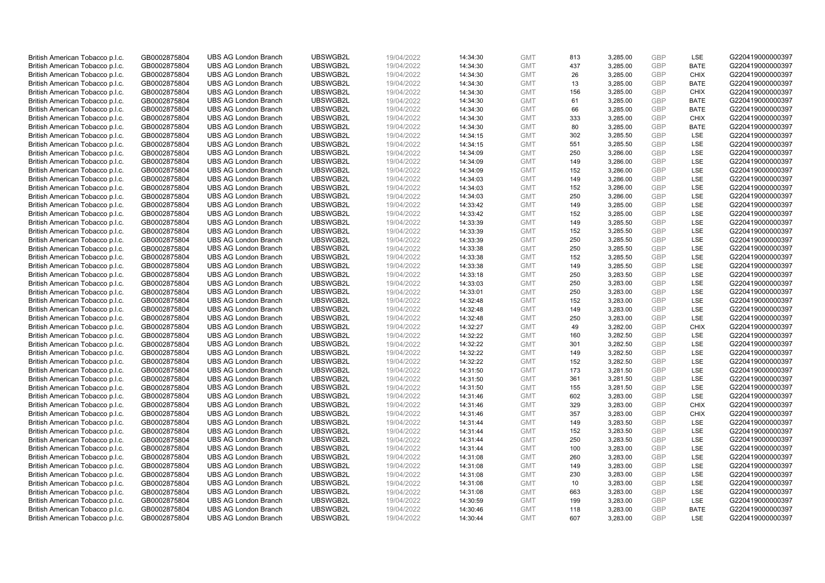| British American Tobacco p.l.c.<br>GB0002875804<br>UBSWGB2L<br><b>UBS AG London Branch</b> | 19/04/2022 | 14:34:30 | <b>GMT</b> | 813 | 3,285.00 | <b>GBP</b> | LSE         | G220419000000397 |
|--------------------------------------------------------------------------------------------|------------|----------|------------|-----|----------|------------|-------------|------------------|
| British American Tobacco p.l.c.<br>GB0002875804<br><b>UBS AG London Branch</b><br>UBSWGB2L | 19/04/2022 | 14:34:30 | <b>GMT</b> | 437 | 3,285.00 | <b>GBP</b> | <b>BATE</b> | G220419000000397 |
| UBSWGB2L<br>British American Tobacco p.l.c.<br>GB0002875804<br><b>UBS AG London Branch</b> | 19/04/2022 | 14:34:30 | <b>GMT</b> | 26  | 3,285.00 | <b>GBP</b> | <b>CHIX</b> | G220419000000397 |
| UBSWGB2L<br>British American Tobacco p.l.c.<br>GB0002875804<br><b>UBS AG London Branch</b> | 19/04/2022 | 14:34:30 | <b>GMT</b> | 13  | 3,285.00 | <b>GBP</b> | <b>BATE</b> | G220419000000397 |
| British American Tobacco p.l.c.<br>GB0002875804<br><b>UBS AG London Branch</b><br>UBSWGB2L | 19/04/2022 | 14:34:30 | <b>GMT</b> | 156 | 3,285.00 | <b>GBP</b> | <b>CHIX</b> | G220419000000397 |
| British American Tobacco p.l.c.<br><b>UBS AG London Branch</b><br>UBSWGB2L<br>GB0002875804 | 19/04/2022 | 14:34:30 | <b>GMT</b> | 61  | 3,285.00 | <b>GBP</b> | <b>BATE</b> | G220419000000397 |
| British American Tobacco p.l.c.<br>GB0002875804<br><b>UBS AG London Branch</b><br>UBSWGB2L | 19/04/2022 | 14:34:30 | <b>GMT</b> | 66  | 3,285.00 | <b>GBP</b> | <b>BATE</b> | G220419000000397 |
| British American Tobacco p.l.c.<br>GB0002875804<br><b>UBS AG London Branch</b><br>UBSWGB2L | 19/04/2022 | 14:34:30 | <b>GMT</b> | 333 | 3,285.00 | <b>GBP</b> | <b>CHIX</b> | G220419000000397 |
| <b>UBS AG London Branch</b><br>UBSWGB2L<br>British American Tobacco p.l.c.<br>GB0002875804 | 19/04/2022 | 14:34:30 | <b>GMT</b> | 80  | 3,285.00 | <b>GBP</b> | <b>BATE</b> | G220419000000397 |
| British American Tobacco p.l.c.<br>GB0002875804<br><b>UBS AG London Branch</b><br>UBSWGB2L | 19/04/2022 | 14:34:15 | <b>GMT</b> | 302 | 3,285.50 | <b>GBP</b> | LSE         | G220419000000397 |
| UBSWGB2L<br>British American Tobacco p.l.c.<br>GB0002875804<br><b>UBS AG London Branch</b> | 19/04/2022 | 14:34:15 | <b>GMT</b> | 551 | 3,285.50 | <b>GBP</b> | LSE         | G220419000000397 |
| British American Tobacco p.l.c.<br>GB0002875804<br><b>UBS AG London Branch</b><br>UBSWGB2L | 19/04/2022 | 14:34:09 | <b>GMT</b> | 250 | 3,286.00 | <b>GBP</b> | LSE         | G220419000000397 |
| <b>UBS AG London Branch</b><br>UBSWGB2L<br>British American Tobacco p.l.c.<br>GB0002875804 | 19/04/2022 | 14:34:09 | <b>GMT</b> | 149 | 3,286.00 | <b>GBP</b> | LSE         | G220419000000397 |
| GB0002875804<br><b>UBS AG London Branch</b><br>UBSWGB2L<br>British American Tobacco p.l.c. | 19/04/2022 | 14:34:09 | <b>GMT</b> | 152 | 3,286.00 | <b>GBP</b> | LSE         | G220419000000397 |
| British American Tobacco p.l.c.<br><b>UBS AG London Branch</b><br>UBSWGB2L<br>GB0002875804 | 19/04/2022 | 14:34:03 | <b>GMT</b> | 149 | 3,286.00 | <b>GBP</b> | <b>LSE</b>  | G220419000000397 |
| UBSWGB2L<br><b>UBS AG London Branch</b>                                                    |            |          | <b>GMT</b> | 152 | 3,286.00 | <b>GBP</b> | LSE         | G220419000000397 |
| British American Tobacco p.l.c.<br>GB0002875804<br>UBSWGB2L<br><b>UBS AG London Branch</b> | 19/04/2022 | 14:34:03 | <b>GMT</b> |     |          | <b>GBP</b> |             |                  |
| GB0002875804<br>British American Tobacco p.l.c.                                            | 19/04/2022 | 14:34:03 |            | 250 | 3,286.00 |            | LSE<br>LSE  | G220419000000397 |
| British American Tobacco p.l.c.<br>GB0002875804<br><b>UBS AG London Branch</b><br>UBSWGB2L | 19/04/2022 | 14:33:42 | <b>GMT</b> | 149 | 3,285.00 | <b>GBP</b> |             | G220419000000397 |
| <b>UBS AG London Branch</b><br>UBSWGB2L<br>British American Tobacco p.l.c.<br>GB0002875804 | 19/04/2022 | 14:33:42 | <b>GMT</b> | 152 | 3,285.00 | <b>GBP</b> | <b>LSE</b>  | G220419000000397 |
| British American Tobacco p.l.c.<br>GB0002875804<br><b>UBS AG London Branch</b><br>UBSWGB2L | 19/04/2022 | 14:33:39 | <b>GMT</b> | 149 | 3,285.50 | <b>GBP</b> | LSE         | G220419000000397 |
| British American Tobacco p.l.c.<br>GB0002875804<br><b>UBS AG London Branch</b><br>UBSWGB2L | 19/04/2022 | 14:33:39 | <b>GMT</b> | 152 | 3,285.50 | <b>GBP</b> | LSE         | G220419000000397 |
| UBSWGB2L<br>British American Tobacco p.l.c.<br>GB0002875804<br><b>UBS AG London Branch</b> | 19/04/2022 | 14:33:39 | <b>GMT</b> | 250 | 3,285.50 | <b>GBP</b> | LSE         | G220419000000397 |
| British American Tobacco p.l.c.<br>GB0002875804<br><b>UBS AG London Branch</b><br>UBSWGB2L | 19/04/2022 | 14:33:38 | <b>GMT</b> | 250 | 3,285.50 | <b>GBP</b> | LSE         | G220419000000397 |
| British American Tobacco p.l.c.<br>GB0002875804<br><b>UBS AG London Branch</b><br>UBSWGB2L | 19/04/2022 | 14:33:38 | <b>GMT</b> | 152 | 3,285.50 | <b>GBP</b> | <b>LSE</b>  | G220419000000397 |
| British American Tobacco p.l.c.<br>GB0002875804<br><b>UBS AG London Branch</b><br>UBSWGB2L | 19/04/2022 | 14:33:38 | <b>GMT</b> | 149 | 3,285.50 | <b>GBP</b> | LSE         | G220419000000397 |
| UBSWGB2L<br>British American Tobacco p.l.c.<br>GB0002875804<br><b>UBS AG London Branch</b> | 19/04/2022 | 14:33:18 | <b>GMT</b> | 250 | 3,283.50 | <b>GBP</b> | LSE         | G220419000000397 |
| UBSWGB2L<br>British American Tobacco p.l.c.<br>GB0002875804<br><b>UBS AG London Branch</b> | 19/04/2022 | 14:33:03 | <b>GMT</b> | 250 | 3,283.00 | <b>GBP</b> | LSE         | G220419000000397 |
| British American Tobacco p.l.c.<br><b>UBS AG London Branch</b><br>UBSWGB2L<br>GB0002875804 | 19/04/2022 | 14:33:01 | <b>GMT</b> | 250 | 3,283.00 | <b>GBP</b> | <b>LSE</b>  | G220419000000397 |
| UBSWGB2L<br>British American Tobacco p.l.c.<br>GB0002875804<br><b>UBS AG London Branch</b> | 19/04/2022 | 14:32:48 | <b>GMT</b> | 152 | 3,283.00 | <b>GBP</b> | LSE         | G220419000000397 |
| UBSWGB2L<br>GB0002875804<br><b>UBS AG London Branch</b><br>British American Tobacco p.l.c. | 19/04/2022 | 14:32:48 | <b>GMT</b> | 149 | 3,283.00 | <b>GBP</b> | LSE         | G220419000000397 |
| British American Tobacco p.l.c.<br>GB0002875804<br><b>UBS AG London Branch</b><br>UBSWGB2L | 19/04/2022 | 14:32:48 | <b>GMT</b> | 250 | 3,283.00 | <b>GBP</b> | LSE         | G220419000000397 |
| <b>UBS AG London Branch</b><br>UBSWGB2L<br>British American Tobacco p.l.c.<br>GB0002875804 | 19/04/2022 | 14:32:27 | <b>GMT</b> | 49  | 3,282.00 | <b>GBP</b> | <b>CHIX</b> | G220419000000397 |
| British American Tobacco p.l.c.<br>GB0002875804<br><b>UBS AG London Branch</b><br>UBSWGB2L | 19/04/2022 | 14:32:22 | <b>GMT</b> | 160 | 3,282.50 | <b>GBP</b> | LSE         | G220419000000397 |
| British American Tobacco p.l.c.<br>GB0002875804<br><b>UBS AG London Branch</b><br>UBSWGB2L | 19/04/2022 | 14:32:22 | <b>GMT</b> | 301 | 3,282.50 | <b>GBP</b> | LSE         | G220419000000397 |
| UBSWGB2L<br>British American Tobacco p.l.c.<br>GB0002875804<br><b>UBS AG London Branch</b> | 19/04/2022 | 14:32:22 | <b>GMT</b> | 149 | 3,282.50 | <b>GBP</b> | LSE         | G220419000000397 |
| British American Tobacco p.l.c.<br>GB0002875804<br><b>UBS AG London Branch</b><br>UBSWGB2L | 19/04/2022 | 14:32:22 | <b>GMT</b> | 152 | 3,282.50 | <b>GBP</b> | LSE         | G220419000000397 |
| British American Tobacco p.l.c.<br>GB0002875804<br><b>UBS AG London Branch</b><br>UBSWGB2L | 19/04/2022 | 14:31:50 | <b>GMT</b> | 173 | 3,281.50 | <b>GBP</b> | <b>LSE</b>  | G220419000000397 |
| British American Tobacco p.l.c.<br>GB0002875804<br><b>UBS AG London Branch</b><br>UBSWGB2L | 19/04/2022 | 14:31:50 | <b>GMT</b> | 361 | 3,281.50 | <b>GBP</b> | LSE         | G220419000000397 |
| UBSWGB2L<br>British American Tobacco p.l.c.<br>GB0002875804<br><b>UBS AG London Branch</b> | 19/04/2022 | 14:31:50 | <b>GMT</b> | 155 | 3,281.50 | <b>GBP</b> | LSE         | G220419000000397 |
| British American Tobacco p.l.c.<br>GB0002875804<br><b>UBS AG London Branch</b><br>UBSWGB2L | 19/04/2022 | 14:31:46 | <b>GMT</b> | 602 | 3,283.00 | <b>GBP</b> | LSE         | G220419000000397 |
| British American Tobacco p.l.c.<br><b>UBS AG London Branch</b><br>UBSWGB2L<br>GB0002875804 | 19/04/2022 | 14:31:46 | <b>GMT</b> | 329 | 3,283.00 | <b>GBP</b> | <b>CHIX</b> | G220419000000397 |
| British American Tobacco p.l.c.<br>GB0002875804<br><b>UBS AG London Branch</b><br>UBSWGB2L | 19/04/2022 | 14:31:46 | <b>GMT</b> | 357 | 3,283.00 | <b>GBP</b> | <b>CHIX</b> | G220419000000397 |
| GB0002875804<br><b>UBS AG London Branch</b><br>UBSWGB2L<br>British American Tobacco p.l.c. | 19/04/2022 | 14:31:44 | <b>GMT</b> | 149 | 3,283.50 | <b>GBP</b> | LSE         | G220419000000397 |
| British American Tobacco p.l.c.<br>GB0002875804<br><b>UBS AG London Branch</b><br>UBSWGB2L | 19/04/2022 | 14:31:44 | <b>GMT</b> | 152 | 3,283.50 | <b>GBP</b> | LSE         | G220419000000397 |
| UBSWGB2L<br>British American Tobacco p.l.c.<br>GB0002875804<br><b>UBS AG London Branch</b> | 19/04/2022 | 14:31:44 | <b>GMT</b> | 250 | 3,283.50 | <b>GBP</b> | <b>LSE</b>  | G220419000000397 |
| <b>UBS AG London Branch</b><br>UBSWGB2L<br>British American Tobacco p.l.c.<br>GB0002875804 | 19/04/2022 | 14:31:44 | <b>GMT</b> | 100 | 3,283.00 | <b>GBP</b> | LSE         | G220419000000397 |
| British American Tobacco p.l.c.<br>GB0002875804<br><b>UBS AG London Branch</b><br>UBSWGB2L | 19/04/2022 | 14:31:08 | <b>GMT</b> | 260 | 3,283.00 | <b>GBP</b> | LSE         | G220419000000397 |
| UBSWGB2L<br>British American Tobacco p.l.c.<br>GB0002875804<br><b>UBS AG London Branch</b> | 19/04/2022 | 14:31:08 | <b>GMT</b> | 149 | 3,283.00 | <b>GBP</b> | LSE         | G220419000000397 |
| British American Tobacco p.l.c.<br>GB0002875804<br><b>UBS AG London Branch</b><br>UBSWGB2L | 19/04/2022 | 14:31:08 | <b>GMT</b> | 230 | 3,283.00 | <b>GBP</b> | LSE         | G220419000000397 |
| British American Tobacco p.l.c.<br>UBSWGB2L<br>GB0002875804<br><b>UBS AG London Branch</b> | 19/04/2022 | 14:31:08 | <b>GMT</b> | 10  | 3,283.00 | <b>GBP</b> | <b>LSE</b>  | G220419000000397 |
| British American Tobacco p.l.c.<br>UBSWGB2L<br>GB0002875804<br><b>UBS AG London Branch</b> | 19/04/2022 | 14:31:08 | <b>GMT</b> | 663 | 3,283.00 | <b>GBP</b> | LSE         | G220419000000397 |
| UBSWGB2L<br>British American Tobacco p.l.c.<br><b>UBS AG London Branch</b><br>GB0002875804 | 19/04/2022 | 14:30:59 | <b>GMT</b> | 199 | 3,283.00 | <b>GBP</b> | LSE         | G220419000000397 |
|                                                                                            |            |          |            |     |          |            |             |                  |
| British American Tobacco p.l.c.<br>GB0002875804<br><b>UBS AG London Branch</b><br>UBSWGB2L | 19/04/2022 | 14:30:46 | <b>GMT</b> | 118 | 3,283.00 | <b>GBP</b> | <b>BATE</b> | G220419000000397 |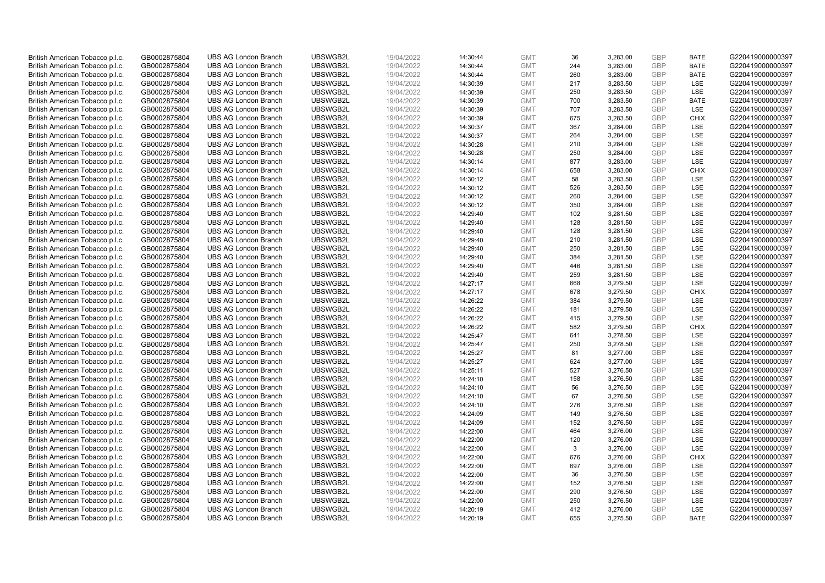| British American Tobacco p.l.c.                                    | GB0002875804                 | <b>UBS AG London Branch</b> | UBSWGB2L             | 19/04/2022 | 14:30:44 | <b>GMT</b> | 36  | 3,283.00 | <b>GBP</b>               | <b>BATE</b> | G220419000000397                     |
|--------------------------------------------------------------------|------------------------------|-----------------------------|----------------------|------------|----------|------------|-----|----------|--------------------------|-------------|--------------------------------------|
| British American Tobacco p.l.c.                                    | GB0002875804                 | <b>UBS AG London Branch</b> | UBSWGB2L             | 19/04/2022 | 14:30:44 | <b>GMT</b> | 244 | 3,283.00 | <b>GBP</b>               | <b>BATE</b> | G220419000000397                     |
| British American Tobacco p.l.c.                                    | GB0002875804                 | <b>UBS AG London Branch</b> | UBSWGB2L             | 19/04/2022 | 14:30:44 | <b>GMT</b> | 260 | 3,283.00 | <b>GBP</b>               | <b>BATE</b> | G220419000000397                     |
| British American Tobacco p.l.c.                                    | GB0002875804                 | <b>UBS AG London Branch</b> | UBSWGB2L             | 19/04/2022 | 14:30:39 | <b>GMT</b> | 217 | 3,283.50 | <b>GBP</b>               | LSE         | G220419000000397                     |
| British American Tobacco p.l.c.                                    | GB0002875804                 | <b>UBS AG London Branch</b> | UBSWGB2L             | 19/04/2022 | 14:30:39 | <b>GMT</b> | 250 | 3,283.50 | <b>GBP</b>               | LSE         | G220419000000397                     |
| British American Tobacco p.l.c.                                    | GB0002875804                 | <b>UBS AG London Branch</b> | UBSWGB2L             | 19/04/2022 | 14:30:39 | <b>GMT</b> | 700 | 3,283.50 | <b>GBP</b>               | <b>BATE</b> | G220419000000397                     |
| British American Tobacco p.l.c.                                    | GB0002875804                 | <b>UBS AG London Branch</b> | UBSWGB2L             | 19/04/2022 | 14:30:39 | <b>GMT</b> | 707 | 3,283.50 | <b>GBP</b>               | LSE         | G220419000000397                     |
| British American Tobacco p.l.c.                                    | GB0002875804                 | <b>UBS AG London Branch</b> | UBSWGB2L             | 19/04/2022 | 14:30:39 | <b>GMT</b> | 675 | 3,283.50 | <b>GBP</b>               | <b>CHIX</b> | G220419000000397                     |
| British American Tobacco p.l.c.                                    | GB0002875804                 | <b>UBS AG London Branch</b> | UBSWGB2L             | 19/04/2022 | 14:30:37 | <b>GMT</b> | 367 | 3,284.00 | <b>GBP</b>               | LSE         | G220419000000397                     |
| British American Tobacco p.l.c.                                    | GB0002875804                 | <b>UBS AG London Branch</b> | UBSWGB2L             | 19/04/2022 | 14:30:37 | <b>GMT</b> | 264 | 3,284.00 | <b>GBP</b>               | LSE         | G220419000000397                     |
| British American Tobacco p.l.c.                                    | GB0002875804                 | <b>UBS AG London Branch</b> | UBSWGB2L             | 19/04/2022 | 14:30:28 | <b>GMT</b> | 210 | 3,284.00 | <b>GBP</b>               | LSE         | G220419000000397                     |
| British American Tobacco p.l.c.                                    | GB0002875804                 | <b>UBS AG London Branch</b> | UBSWGB2L             | 19/04/2022 | 14:30:28 | <b>GMT</b> | 250 | 3,284.00 | <b>GBP</b>               | LSE         | G220419000000397                     |
| British American Tobacco p.l.c.                                    | GB0002875804                 | <b>UBS AG London Branch</b> | UBSWGB2L             | 19/04/2022 | 14:30:14 | <b>GMT</b> | 877 | 3,283.00 | <b>GBP</b>               | LSE         | G220419000000397                     |
| British American Tobacco p.l.c.                                    | GB0002875804                 | <b>UBS AG London Branch</b> | UBSWGB2L             | 19/04/2022 | 14:30:14 | <b>GMT</b> | 658 | 3,283.00 | <b>GBP</b>               | <b>CHIX</b> | G220419000000397                     |
| British American Tobacco p.l.c.                                    | GB0002875804                 | <b>UBS AG London Branch</b> | UBSWGB2L             | 19/04/2022 | 14:30:12 | <b>GMT</b> | 58  | 3,283.50 | <b>GBP</b>               | <b>LSE</b>  | G220419000000397                     |
| British American Tobacco p.l.c.                                    | GB0002875804                 | <b>UBS AG London Branch</b> | UBSWGB2L             | 19/04/2022 | 14:30:12 | <b>GMT</b> | 526 | 3,283.50 | <b>GBP</b>               | LSE         | G220419000000397                     |
| British American Tobacco p.l.c.                                    | GB0002875804                 | <b>UBS AG London Branch</b> | UBSWGB2L             | 19/04/2022 | 14:30:12 | <b>GMT</b> | 260 | 3,284.00 | <b>GBP</b>               | LSE         | G220419000000397                     |
| British American Tobacco p.l.c.                                    | GB0002875804                 | <b>UBS AG London Branch</b> | UBSWGB2L             | 19/04/2022 | 14:30:12 | <b>GMT</b> | 350 | 3,284.00 | <b>GBP</b>               | LSE         | G220419000000397                     |
|                                                                    |                              | <b>UBS AG London Branch</b> | UBSWGB2L             | 19/04/2022 | 14:29:40 | <b>GMT</b> | 102 | 3,281.50 | <b>GBP</b>               | <b>LSE</b>  | G220419000000397                     |
| British American Tobacco p.l.c.<br>British American Tobacco p.l.c. | GB0002875804<br>GB0002875804 | <b>UBS AG London Branch</b> | UBSWGB2L             | 19/04/2022 | 14:29:40 | <b>GMT</b> | 128 | 3,281.50 | <b>GBP</b>               | LSE         | G220419000000397                     |
|                                                                    |                              |                             |                      |            |          |            |     |          |                          |             |                                      |
| British American Tobacco p.l.c.                                    | GB0002875804                 | <b>UBS AG London Branch</b> | UBSWGB2L<br>UBSWGB2L | 19/04/2022 | 14:29:40 | <b>GMT</b> | 128 | 3,281.50 | <b>GBP</b><br><b>GBP</b> | LSE<br>LSE  | G220419000000397<br>G220419000000397 |
| British American Tobacco p.l.c.                                    | GB0002875804                 | <b>UBS AG London Branch</b> |                      | 19/04/2022 | 14:29:40 | <b>GMT</b> | 210 | 3,281.50 |                          |             |                                      |
| British American Tobacco p.l.c.                                    | GB0002875804                 | <b>UBS AG London Branch</b> | UBSWGB2L             | 19/04/2022 | 14:29:40 | <b>GMT</b> | 250 | 3,281.50 | <b>GBP</b>               | LSE         | G220419000000397                     |
| British American Tobacco p.l.c.                                    | GB0002875804                 | <b>UBS AG London Branch</b> | UBSWGB2L             | 19/04/2022 | 14:29:40 | <b>GMT</b> | 384 | 3,281.50 | <b>GBP</b>               | <b>LSE</b>  | G220419000000397                     |
| British American Tobacco p.l.c.                                    | GB0002875804                 | <b>UBS AG London Branch</b> | UBSWGB2L             | 19/04/2022 | 14:29:40 | <b>GMT</b> | 446 | 3,281.50 | <b>GBP</b>               | LSE         | G220419000000397                     |
| British American Tobacco p.l.c.                                    | GB0002875804                 | <b>UBS AG London Branch</b> | UBSWGB2L             | 19/04/2022 | 14:29:40 | <b>GMT</b> | 259 | 3,281.50 | <b>GBP</b>               | LSE         | G220419000000397                     |
| British American Tobacco p.l.c.                                    | GB0002875804                 | <b>UBS AG London Branch</b> | UBSWGB2L             | 19/04/2022 | 14:27:17 | <b>GMT</b> | 668 | 3,279.50 | <b>GBP</b>               | LSE         | G220419000000397                     |
| British American Tobacco p.l.c.                                    | GB0002875804                 | <b>UBS AG London Branch</b> | UBSWGB2L             | 19/04/2022 | 14:27:17 | <b>GMT</b> | 678 | 3,279.50 | <b>GBP</b>               | <b>CHIX</b> | G220419000000397                     |
| British American Tobacco p.l.c.                                    | GB0002875804                 | <b>UBS AG London Branch</b> | UBSWGB2L             | 19/04/2022 | 14:26:22 | <b>GMT</b> | 384 | 3,279.50 | <b>GBP</b>               | LSE         | G220419000000397                     |
| British American Tobacco p.l.c.                                    | GB0002875804                 | <b>UBS AG London Branch</b> | UBSWGB2L             | 19/04/2022 | 14:26:22 | <b>GMT</b> | 181 | 3,279.50 | <b>GBP</b>               | LSE         | G220419000000397                     |
| British American Tobacco p.l.c.                                    | GB0002875804                 | <b>UBS AG London Branch</b> | UBSWGB2L             | 19/04/2022 | 14:26:22 | <b>GMT</b> | 415 | 3,279.50 | <b>GBP</b>               | LSE         | G220419000000397                     |
| British American Tobacco p.l.c.                                    | GB0002875804                 | <b>UBS AG London Branch</b> | UBSWGB2L             | 19/04/2022 | 14:26:22 | <b>GMT</b> | 582 | 3,279.50 | <b>GBP</b>               | <b>CHIX</b> | G220419000000397                     |
| British American Tobacco p.l.c.                                    | GB0002875804                 | <b>UBS AG London Branch</b> | UBSWGB2L             | 19/04/2022 | 14:25:47 | <b>GMT</b> | 641 | 3,278.50 | <b>GBP</b>               | LSE         | G220419000000397                     |
| British American Tobacco p.l.c.                                    | GB0002875804                 | <b>UBS AG London Branch</b> | UBSWGB2L             | 19/04/2022 | 14:25:47 | <b>GMT</b> | 250 | 3,278.50 | <b>GBP</b>               | LSE         | G220419000000397                     |
| British American Tobacco p.l.c.                                    | GB0002875804                 | <b>UBS AG London Branch</b> | UBSWGB2L             | 19/04/2022 | 14:25:27 | <b>GMT</b> | 81  | 3,277.00 | <b>GBP</b>               | LSE         | G220419000000397                     |
| British American Tobacco p.l.c.                                    | GB0002875804                 | <b>UBS AG London Branch</b> | UBSWGB2L             | 19/04/2022 | 14:25:27 | <b>GMT</b> | 624 | 3,277.00 | <b>GBP</b>               | LSE         | G220419000000397                     |
| British American Tobacco p.l.c.                                    | GB0002875804                 | <b>UBS AG London Branch</b> | UBSWGB2L             | 19/04/2022 | 14:25:11 | <b>GMT</b> | 527 | 3,276.50 | <b>GBP</b>               | LSE         | G220419000000397                     |
| British American Tobacco p.l.c.                                    | GB0002875804                 | <b>UBS AG London Branch</b> | UBSWGB2L             | 19/04/2022 | 14:24:10 | <b>GMT</b> | 158 | 3,276.50 | <b>GBP</b>               | LSE         | G220419000000397                     |
| British American Tobacco p.l.c.                                    | GB0002875804                 | <b>UBS AG London Branch</b> | UBSWGB2L             | 19/04/2022 | 14:24:10 | <b>GMT</b> | 56  | 3,276.50 | <b>GBP</b>               | LSE         | G220419000000397                     |
| British American Tobacco p.l.c.                                    | GB0002875804                 | <b>UBS AG London Branch</b> | UBSWGB2L             | 19/04/2022 | 14:24:10 | <b>GMT</b> | 67  | 3,276.50 | <b>GBP</b>               | LSE         | G220419000000397                     |
| British American Tobacco p.l.c.                                    | GB0002875804                 | <b>UBS AG London Branch</b> | UBSWGB2L             | 19/04/2022 | 14:24:10 | <b>GMT</b> | 276 | 3,276.50 | <b>GBP</b>               | LSE         | G220419000000397                     |
| British American Tobacco p.l.c.                                    | GB0002875804                 | <b>UBS AG London Branch</b> | UBSWGB2L             | 19/04/2022 | 14:24:09 | <b>GMT</b> | 149 | 3,276.50 | <b>GBP</b>               | LSE         | G220419000000397                     |
| British American Tobacco p.l.c.                                    | GB0002875804                 | <b>UBS AG London Branch</b> | UBSWGB2L             | 19/04/2022 | 14:24:09 | <b>GMT</b> | 152 | 3,276.50 | <b>GBP</b>               | LSE         | G220419000000397                     |
| British American Tobacco p.l.c.                                    | GB0002875804                 | <b>UBS AG London Branch</b> | UBSWGB2L             | 19/04/2022 | 14:22:00 | <b>GMT</b> | 464 | 3,276.00 | <b>GBP</b>               | LSE         | G220419000000397                     |
| British American Tobacco p.l.c.                                    | GB0002875804                 | <b>UBS AG London Branch</b> | UBSWGB2L             | 19/04/2022 | 14:22:00 | <b>GMT</b> | 120 | 3,276.00 | <b>GBP</b>               | LSE         | G220419000000397                     |
| British American Tobacco p.l.c.                                    | GB0002875804                 | <b>UBS AG London Branch</b> | UBSWGB2L             | 19/04/2022 | 14:22:00 | <b>GMT</b> | 3   | 3,276.00 | <b>GBP</b>               | LSE         | G220419000000397                     |
| British American Tobacco p.l.c.                                    | GB0002875804                 | <b>UBS AG London Branch</b> | UBSWGB2L             | 19/04/2022 | 14:22:00 | <b>GMT</b> | 676 | 3,276.00 | <b>GBP</b>               | <b>CHIX</b> | G220419000000397                     |
| British American Tobacco p.l.c.                                    | GB0002875804                 | <b>UBS AG London Branch</b> | UBSWGB2L             | 19/04/2022 | 14:22:00 | <b>GMT</b> | 697 | 3,276.00 | <b>GBP</b>               | LSE         | G220419000000397                     |
| British American Tobacco p.l.c.                                    | GB0002875804                 | <b>UBS AG London Branch</b> | UBSWGB2L             | 19/04/2022 | 14:22:00 | <b>GMT</b> | 36  | 3,276.50 | <b>GBP</b>               | LSE         | G220419000000397                     |
| British American Tobacco p.l.c.                                    | GB0002875804                 | <b>UBS AG London Branch</b> | UBSWGB2L             | 19/04/2022 | 14:22:00 | <b>GMT</b> | 152 | 3,276.50 | <b>GBP</b>               | LSE         | G220419000000397                     |
| British American Tobacco p.l.c.                                    | GB0002875804                 | <b>UBS AG London Branch</b> | UBSWGB2L             | 19/04/2022 | 14:22:00 | <b>GMT</b> | 290 | 3,276.50 | <b>GBP</b>               | LSE         | G220419000000397                     |
| British American Tobacco p.l.c.                                    | GB0002875804                 | <b>UBS AG London Branch</b> | UBSWGB2L             | 19/04/2022 | 14:22:00 | <b>GMT</b> | 250 | 3,276.50 | <b>GBP</b>               | LSE         | G220419000000397                     |
| British American Tobacco p.l.c.                                    | GB0002875804                 | <b>UBS AG London Branch</b> | UBSWGB2L             | 19/04/2022 | 14:20:19 | <b>GMT</b> | 412 | 3,276.00 | <b>GBP</b>               | LSE         | G220419000000397                     |
| British American Tobacco p.l.c.                                    | GB0002875804                 | <b>UBS AG London Branch</b> | UBSWGB2L             | 19/04/2022 | 14:20:19 | <b>GMT</b> | 655 | 3.275.50 | GBP                      | <b>BATE</b> | G220419000000397                     |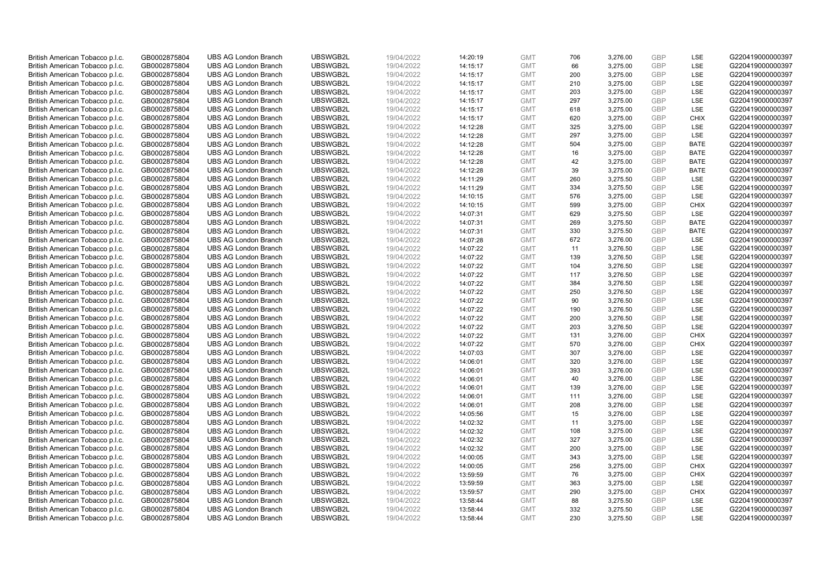| British American Tobacco p.l.c. | GB0002875804 | <b>UBS AG London Branch</b> | UBSWGB2L | 19/04/2022 | 14:20:19 | <b>GMT</b> | 706 | 3,276.00 | <b>GBP</b> | LSE         | G220419000000397 |
|---------------------------------|--------------|-----------------------------|----------|------------|----------|------------|-----|----------|------------|-------------|------------------|
| British American Tobacco p.l.c. | GB0002875804 | <b>UBS AG London Branch</b> | UBSWGB2L | 19/04/2022 | 14:15:17 | <b>GMT</b> | 66  | 3,275.00 | GBP        | LSE         | G220419000000397 |
| British American Tobacco p.l.c. | GB0002875804 | <b>UBS AG London Branch</b> | UBSWGB2L | 19/04/2022 | 14:15:17 | <b>GMT</b> | 200 | 3,275.00 | GBP        | LSE         | G220419000000397 |
| British American Tobacco p.l.c. | GB0002875804 | <b>UBS AG London Branch</b> | UBSWGB2L | 19/04/2022 | 14:15:17 | <b>GMT</b> | 210 | 3,275.00 | GBP        | LSE         | G220419000000397 |
| British American Tobacco p.l.c. | GB0002875804 | <b>UBS AG London Branch</b> | UBSWGB2L | 19/04/2022 | 14:15:17 | <b>GMT</b> | 203 | 3,275.00 | <b>GBP</b> | LSE         | G220419000000397 |
| British American Tobacco p.l.c. | GB0002875804 | <b>UBS AG London Branch</b> | UBSWGB2L | 19/04/2022 | 14:15:17 | <b>GMT</b> | 297 | 3,275.00 | <b>GBP</b> | LSE         | G220419000000397 |
| British American Tobacco p.l.c. | GB0002875804 | <b>UBS AG London Branch</b> | UBSWGB2L | 19/04/2022 | 14:15:17 | <b>GMT</b> | 618 | 3,275.00 | GBP        | LSE         | G220419000000397 |
| British American Tobacco p.l.c. | GB0002875804 | <b>UBS AG London Branch</b> | UBSWGB2L | 19/04/2022 | 14:15:17 | <b>GMT</b> | 620 | 3,275.00 | GBP        | <b>CHIX</b> | G220419000000397 |
| British American Tobacco p.l.c. | GB0002875804 | <b>UBS AG London Branch</b> | UBSWGB2L | 19/04/2022 | 14:12:28 | <b>GMT</b> | 325 | 3,275.00 | GBP        | LSE         | G220419000000397 |
| British American Tobacco p.l.c. | GB0002875804 | <b>UBS AG London Branch</b> | UBSWGB2L | 19/04/2022 | 14:12:28 | <b>GMT</b> | 297 | 3,275.00 | <b>GBP</b> | <b>LSE</b>  | G220419000000397 |
| British American Tobacco p.l.c. | GB0002875804 | <b>UBS AG London Branch</b> | UBSWGB2L | 19/04/2022 | 14:12:28 | <b>GMT</b> | 504 | 3,275.00 | GBP        | <b>BATE</b> | G220419000000397 |
| British American Tobacco p.l.c. | GB0002875804 | <b>UBS AG London Branch</b> | UBSWGB2L | 19/04/2022 | 14:12:28 | <b>GMT</b> | 16  | 3,275.00 | <b>GBP</b> | <b>BATE</b> | G220419000000397 |
| British American Tobacco p.l.c. | GB0002875804 | <b>UBS AG London Branch</b> | UBSWGB2L | 19/04/2022 | 14:12:28 | <b>GMT</b> | 42  | 3,275.00 | <b>GBP</b> | <b>BATE</b> | G220419000000397 |
| British American Tobacco p.l.c. | GB0002875804 | <b>UBS AG London Branch</b> | UBSWGB2L | 19/04/2022 | 14:12:28 | <b>GMT</b> | 39  | 3,275.00 | <b>GBP</b> | <b>BATE</b> | G220419000000397 |
| British American Tobacco p.l.c. | GB0002875804 | <b>UBS AG London Branch</b> | UBSWGB2L | 19/04/2022 | 14:11:29 | <b>GMT</b> | 260 | 3,275.50 | GBP        | <b>LSE</b>  | G220419000000397 |
| British American Tobacco p.l.c. | GB0002875804 | <b>UBS AG London Branch</b> | UBSWGB2L | 19/04/2022 | 14:11:29 | <b>GMT</b> | 334 | 3,275.50 | <b>GBP</b> | LSE         | G220419000000397 |
| British American Tobacco p.l.c. | GB0002875804 | <b>UBS AG London Branch</b> | UBSWGB2L | 19/04/2022 | 14:10:15 | <b>GMT</b> | 576 | 3,275.00 | <b>GBP</b> | <b>LSE</b>  | G220419000000397 |
| British American Tobacco p.l.c. | GB0002875804 | <b>UBS AG London Branch</b> | UBSWGB2L | 19/04/2022 | 14:10:15 | <b>GMT</b> | 599 | 3,275.00 | GBP        | <b>CHIX</b> | G220419000000397 |
| British American Tobacco p.l.c. | GB0002875804 | <b>UBS AG London Branch</b> | UBSWGB2L | 19/04/2022 | 14:07:31 | <b>GMT</b> | 629 | 3,275.50 | <b>GBP</b> | <b>LSE</b>  | G220419000000397 |
| British American Tobacco p.l.c. | GB0002875804 | <b>UBS AG London Branch</b> | UBSWGB2L | 19/04/2022 | 14:07:31 | <b>GMT</b> | 269 | 3,275.50 | <b>GBP</b> | <b>BATE</b> | G220419000000397 |
| British American Tobacco p.l.c. | GB0002875804 | <b>UBS AG London Branch</b> | UBSWGB2L | 19/04/2022 | 14:07:31 | <b>GMT</b> | 330 | 3,275.50 | GBP        | <b>BATE</b> | G220419000000397 |
| British American Tobacco p.l.c. | GB0002875804 | <b>UBS AG London Branch</b> | UBSWGB2L | 19/04/2022 | 14:07:28 | <b>GMT</b> | 672 | 3,276.00 | <b>GBP</b> | LSE         | G220419000000397 |
| British American Tobacco p.l.c. | GB0002875804 | <b>UBS AG London Branch</b> | UBSWGB2L | 19/04/2022 | 14:07:22 | <b>GMT</b> | 11  | 3,276.50 | GBP        | LSE         | G220419000000397 |
| British American Tobacco p.l.c. | GB0002875804 | <b>UBS AG London Branch</b> | UBSWGB2L | 19/04/2022 | 14:07:22 | <b>GMT</b> | 139 | 3,276.50 | <b>GBP</b> | LSE         | G220419000000397 |
| British American Tobacco p.l.c. | GB0002875804 | <b>UBS AG London Branch</b> | UBSWGB2L | 19/04/2022 | 14:07:22 | <b>GMT</b> | 104 | 3,276.50 | <b>GBP</b> | LSE         | G220419000000397 |
| British American Tobacco p.l.c. | GB0002875804 | <b>UBS AG London Branch</b> | UBSWGB2L | 19/04/2022 | 14:07:22 | <b>GMT</b> | 117 | 3,276.50 | <b>GBP</b> | LSE         | G220419000000397 |
| British American Tobacco p.l.c. | GB0002875804 | <b>UBS AG London Branch</b> | UBSWGB2L | 19/04/2022 | 14:07:22 | <b>GMT</b> | 384 | 3,276.50 | <b>GBP</b> | LSE         | G220419000000397 |
| British American Tobacco p.l.c. | GB0002875804 | <b>UBS AG London Branch</b> | UBSWGB2L | 19/04/2022 | 14:07:22 | <b>GMT</b> | 250 | 3,276.50 | <b>GBP</b> | <b>LSE</b>  | G220419000000397 |
| British American Tobacco p.l.c. | GB0002875804 | <b>UBS AG London Branch</b> | UBSWGB2L | 19/04/2022 | 14:07:22 | <b>GMT</b> | 90  | 3,276.50 | <b>GBP</b> | LSE         | G220419000000397 |
| British American Tobacco p.l.c. | GB0002875804 | <b>UBS AG London Branch</b> | UBSWGB2L | 19/04/2022 | 14:07:22 | <b>GMT</b> | 190 | 3,276.50 | <b>GBP</b> | LSE         | G220419000000397 |
| British American Tobacco p.l.c. | GB0002875804 | <b>UBS AG London Branch</b> | UBSWGB2L | 19/04/2022 | 14:07:22 | <b>GMT</b> | 200 | 3,276.50 | <b>GBP</b> | LSE         | G220419000000397 |
| British American Tobacco p.l.c. | GB0002875804 | <b>UBS AG London Branch</b> | UBSWGB2L | 19/04/2022 | 14:07:22 | <b>GMT</b> | 203 | 3,276.50 | <b>GBP</b> | <b>LSE</b>  | G220419000000397 |
| British American Tobacco p.l.c. | GB0002875804 | <b>UBS AG London Branch</b> | UBSWGB2L | 19/04/2022 | 14:07:22 | <b>GMT</b> | 131 | 3,276.00 | <b>GBP</b> | <b>CHIX</b> | G220419000000397 |
| British American Tobacco p.l.c. | GB0002875804 | <b>UBS AG London Branch</b> | UBSWGB2L | 19/04/2022 | 14:07:22 | <b>GMT</b> | 570 | 3,276.00 | GBP        | <b>CHIX</b> | G220419000000397 |
| British American Tobacco p.l.c. | GB0002875804 | <b>UBS AG London Branch</b> | UBSWGB2L | 19/04/2022 | 14:07:03 | <b>GMT</b> | 307 | 3,276.00 | <b>GBP</b> | LSE         | G220419000000397 |
| British American Tobacco p.l.c. | GB0002875804 | <b>UBS AG London Branch</b> | UBSWGB2L | 19/04/2022 | 14:06:01 | <b>GMT</b> | 320 | 3,276.00 | GBP        | LSE         | G220419000000397 |
| British American Tobacco p.l.c. | GB0002875804 | <b>UBS AG London Branch</b> | UBSWGB2L | 19/04/2022 | 14:06:01 | <b>GMT</b> | 393 | 3,276.00 | <b>GBP</b> | LSE         | G220419000000397 |
| British American Tobacco p.l.c. | GB0002875804 | <b>UBS AG London Branch</b> | UBSWGB2L | 19/04/2022 | 14:06:01 | <b>GMT</b> | 40  | 3,276.00 | <b>GBP</b> | LSE         | G220419000000397 |
| British American Tobacco p.l.c. | GB0002875804 | <b>UBS AG London Branch</b> | UBSWGB2L | 19/04/2022 | 14:06:01 | <b>GMT</b> | 139 | 3,276.00 | <b>GBP</b> | LSE         | G220419000000397 |
| British American Tobacco p.l.c. | GB0002875804 | <b>UBS AG London Branch</b> | UBSWGB2L | 19/04/2022 | 14:06:01 | <b>GMT</b> | 111 | 3,276.00 | GBP        | <b>LSE</b>  | G220419000000397 |
| British American Tobacco p.l.c. | GB0002875804 | <b>UBS AG London Branch</b> | UBSWGB2L | 19/04/2022 | 14:06:01 | <b>GMT</b> | 208 | 3,276.00 | <b>GBP</b> | <b>LSE</b>  | G220419000000397 |
| British American Tobacco p.l.c. | GB0002875804 | <b>UBS AG London Branch</b> | UBSWGB2L | 19/04/2022 | 14:05:56 | <b>GMT</b> | 15  | 3,276.00 | <b>GBP</b> | LSE         | G220419000000397 |
| British American Tobacco p.l.c. | GB0002875804 | <b>UBS AG London Branch</b> | UBSWGB2L | 19/04/2022 | 14:02:32 | <b>GMT</b> | 11  | 3,275.00 | <b>GBP</b> | LSE         | G220419000000397 |
| British American Tobacco p.l.c. | GB0002875804 | <b>UBS AG London Branch</b> | UBSWGB2L | 19/04/2022 | 14:02:32 | <b>GMT</b> | 108 | 3,275.00 | GBP        | LSE         | G220419000000397 |
| British American Tobacco p.l.c. | GB0002875804 | <b>UBS AG London Branch</b> | UBSWGB2L | 19/04/2022 | 14:02:32 | <b>GMT</b> | 327 | 3,275.00 | <b>GBP</b> | <b>LSE</b>  | G220419000000397 |
| British American Tobacco p.l.c. | GB0002875804 | <b>UBS AG London Branch</b> | UBSWGB2L | 19/04/2022 | 14:02:32 | <b>GMT</b> | 200 | 3,275.00 | GBP        | LSE         | G220419000000397 |
| British American Tobacco p.l.c. | GB0002875804 | <b>UBS AG London Branch</b> | UBSWGB2L | 19/04/2022 | 14:00:05 | <b>GMT</b> | 343 | 3,275.00 | <b>GBP</b> | LSE         | G220419000000397 |
| British American Tobacco p.l.c. | GB0002875804 | <b>UBS AG London Branch</b> | UBSWGB2L | 19/04/2022 | 14:00:05 | <b>GMT</b> | 256 | 3,275.00 | <b>GBP</b> | <b>CHIX</b> | G220419000000397 |
| British American Tobacco p.l.c. | GB0002875804 | <b>UBS AG London Branch</b> | UBSWGB2L | 19/04/2022 | 13:59:59 | <b>GMT</b> | 76  | 3,275.00 | <b>GBP</b> | <b>CHIX</b> | G220419000000397 |
| British American Tobacco p.l.c. | GB0002875804 | <b>UBS AG London Branch</b> | UBSWGB2L | 19/04/2022 | 13:59:59 | <b>GMT</b> | 363 | 3,275.00 | <b>GBP</b> | <b>LSE</b>  | G220419000000397 |
| British American Tobacco p.l.c. | GB0002875804 | <b>UBS AG London Branch</b> | UBSWGB2L | 19/04/2022 | 13:59:57 | <b>GMT</b> | 290 | 3,275.00 | GBP        | <b>CHIX</b> | G220419000000397 |
| British American Tobacco p.l.c. | GB0002875804 | <b>UBS AG London Branch</b> | UBSWGB2L | 19/04/2022 | 13:58:44 | <b>GMT</b> | 88  | 3,275.50 | <b>GBP</b> | LSE         | G220419000000397 |
| British American Tobacco p.l.c. | GB0002875804 | <b>UBS AG London Branch</b> | UBSWGB2L | 19/04/2022 | 13:58:44 | <b>GMT</b> | 332 | 3,275.50 | GBP        | LSE         | G220419000000397 |
| British American Tobacco p.l.c. | GB0002875804 | <b>UBS AG London Branch</b> | UBSWGB2L | 19/04/2022 | 13:58:44 | <b>GMT</b> | 230 | 3.275.50 | GBP        | <b>LSE</b>  | G220419000000397 |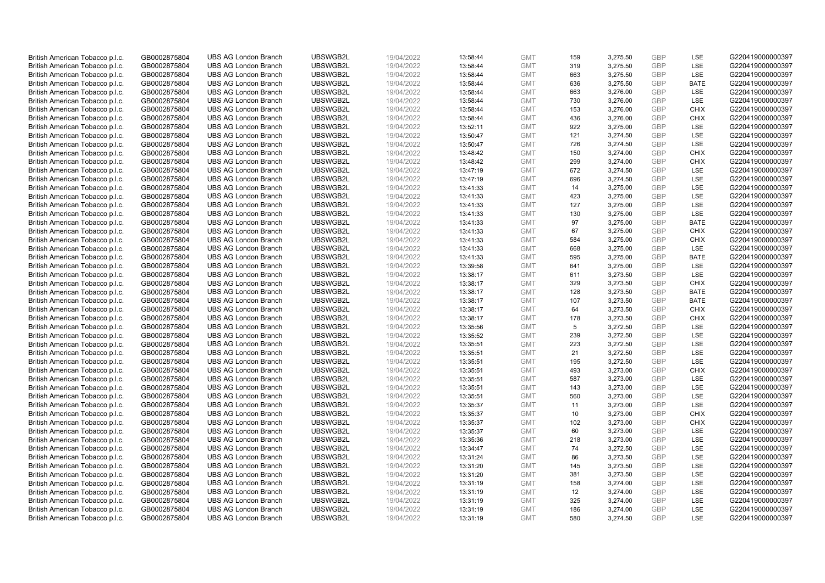| British American Tobacco p.l.c.                                    | GB0002875804 | <b>UBS AG London Branch</b> | UBSWGB2L | 19/04/2022 | 13:58:44 | <b>GMT</b> | 159 | 3,275.50 | <b>GBP</b> | LSE         | G220419000000397 |
|--------------------------------------------------------------------|--------------|-----------------------------|----------|------------|----------|------------|-----|----------|------------|-------------|------------------|
| British American Tobacco p.l.c.                                    | GB0002875804 | <b>UBS AG London Branch</b> | UBSWGB2L | 19/04/2022 | 13:58:44 | <b>GMT</b> | 319 | 3,275.50 | <b>GBP</b> | <b>LSE</b>  | G220419000000397 |
| British American Tobacco p.l.c.                                    | GB0002875804 | <b>UBS AG London Branch</b> | UBSWGB2L | 19/04/2022 | 13:58:44 | <b>GMT</b> | 663 | 3,275.50 | <b>GBP</b> | LSE         | G220419000000397 |
| British American Tobacco p.l.c.                                    | GB0002875804 | <b>UBS AG London Branch</b> | UBSWGB2L | 19/04/2022 | 13:58:44 | <b>GMT</b> | 636 | 3,275.50 | <b>GBP</b> | <b>BATE</b> | G220419000000397 |
| British American Tobacco p.l.c.                                    | GB0002875804 | <b>UBS AG London Branch</b> | UBSWGB2L | 19/04/2022 | 13:58:44 | <b>GMT</b> | 663 | 3,276.00 | <b>GBP</b> | LSE         | G220419000000397 |
| British American Tobacco p.l.c.                                    | GB0002875804 | <b>UBS AG London Branch</b> | UBSWGB2L | 19/04/2022 | 13:58:44 | <b>GMT</b> | 730 | 3,276.00 | <b>GBP</b> | LSE         | G220419000000397 |
| British American Tobacco p.l.c.                                    | GB0002875804 | <b>UBS AG London Branch</b> | UBSWGB2L | 19/04/2022 | 13:58:44 | <b>GMT</b> | 153 | 3,276.00 | <b>GBP</b> | <b>CHIX</b> | G220419000000397 |
| British American Tobacco p.l.c.                                    | GB0002875804 | <b>UBS AG London Branch</b> | UBSWGB2L | 19/04/2022 | 13:58:44 | <b>GMT</b> | 436 | 3,276.00 | <b>GBP</b> | <b>CHIX</b> | G220419000000397 |
| British American Tobacco p.l.c.                                    | GB0002875804 | <b>UBS AG London Branch</b> | UBSWGB2L | 19/04/2022 | 13:52:11 | <b>GMT</b> | 922 | 3,275.00 | <b>GBP</b> | LSE         | G220419000000397 |
| British American Tobacco p.l.c.                                    | GB0002875804 | <b>UBS AG London Branch</b> | UBSWGB2L | 19/04/2022 | 13:50:47 | <b>GMT</b> | 121 | 3,274.50 | <b>GBP</b> | LSE         | G220419000000397 |
| British American Tobacco p.l.c.                                    | GB0002875804 | <b>UBS AG London Branch</b> | UBSWGB2L | 19/04/2022 | 13:50:47 | <b>GMT</b> | 726 | 3,274.50 | <b>GBP</b> | LSE         | G220419000000397 |
| British American Tobacco p.l.c.                                    | GB0002875804 | <b>UBS AG London Branch</b> | UBSWGB2L | 19/04/2022 | 13:48:42 | <b>GMT</b> | 150 | 3,274.00 | <b>GBP</b> | <b>CHIX</b> | G220419000000397 |
| British American Tobacco p.l.c.                                    | GB0002875804 | <b>UBS AG London Branch</b> | UBSWGB2L | 19/04/2022 | 13:48:42 | <b>GMT</b> | 299 | 3,274.00 | <b>GBP</b> | <b>CHIX</b> | G220419000000397 |
|                                                                    | GB0002875804 | <b>UBS AG London Branch</b> | UBSWGB2L | 19/04/2022 |          | <b>GMT</b> | 672 | 3,274.50 | <b>GBP</b> | LSE         | G220419000000397 |
| British American Tobacco p.l.c.<br>British American Tobacco p.l.c. | GB0002875804 | <b>UBS AG London Branch</b> | UBSWGB2L | 19/04/2022 | 13:47:19 | <b>GMT</b> | 696 | 3,274.50 | <b>GBP</b> | <b>LSE</b>  | G220419000000397 |
|                                                                    |              |                             | UBSWGB2L |            | 13:47:19 |            |     |          | <b>GBP</b> | LSE         |                  |
| British American Tobacco p.l.c.                                    | GB0002875804 | <b>UBS AG London Branch</b> | UBSWGB2L | 19/04/2022 | 13:41:33 | <b>GMT</b> | 14  | 3,275.00 | <b>GBP</b> |             | G220419000000397 |
| British American Tobacco p.l.c.                                    | GB0002875804 | <b>UBS AG London Branch</b> |          | 19/04/2022 | 13:41:33 | <b>GMT</b> | 423 | 3,275.00 |            | LSE         | G220419000000397 |
| British American Tobacco p.l.c.                                    | GB0002875804 | <b>UBS AG London Branch</b> | UBSWGB2L | 19/04/2022 | 13:41:33 | <b>GMT</b> | 127 | 3,275.00 | <b>GBP</b> | LSE         | G220419000000397 |
| British American Tobacco p.l.c.                                    | GB0002875804 | <b>UBS AG London Branch</b> | UBSWGB2L | 19/04/2022 | 13:41:33 | <b>GMT</b> | 130 | 3,275.00 | <b>GBP</b> | <b>LSE</b>  | G220419000000397 |
| British American Tobacco p.l.c.                                    | GB0002875804 | <b>UBS AG London Branch</b> | UBSWGB2L | 19/04/2022 | 13:41:33 | <b>GMT</b> | 97  | 3,275.00 | <b>GBP</b> | <b>BATE</b> | G220419000000397 |
| British American Tobacco p.l.c.                                    | GB0002875804 | <b>UBS AG London Branch</b> | UBSWGB2L | 19/04/2022 | 13:41:33 | <b>GMT</b> | 67  | 3,275.00 | <b>GBP</b> | <b>CHIX</b> | G220419000000397 |
| British American Tobacco p.l.c.                                    | GB0002875804 | <b>UBS AG London Branch</b> | UBSWGB2L | 19/04/2022 | 13:41:33 | <b>GMT</b> | 584 | 3,275.00 | <b>GBP</b> | <b>CHIX</b> | G220419000000397 |
| British American Tobacco p.l.c.                                    | GB0002875804 | <b>UBS AG London Branch</b> | UBSWGB2L | 19/04/2022 | 13:41:33 | <b>GMT</b> | 668 | 3,275.00 | <b>GBP</b> | LSE         | G220419000000397 |
| British American Tobacco p.l.c.                                    | GB0002875804 | <b>UBS AG London Branch</b> | UBSWGB2L | 19/04/2022 | 13:41:33 | <b>GMT</b> | 595 | 3,275.00 | <b>GBP</b> | <b>BATE</b> | G220419000000397 |
| British American Tobacco p.l.c.                                    | GB0002875804 | <b>UBS AG London Branch</b> | UBSWGB2L | 19/04/2022 | 13:39:58 | <b>GMT</b> | 641 | 3,275.00 | <b>GBP</b> | LSE         | G220419000000397 |
| British American Tobacco p.l.c.                                    | GB0002875804 | <b>UBS AG London Branch</b> | UBSWGB2L | 19/04/2022 | 13:38:17 | <b>GMT</b> | 611 | 3,273.50 | <b>GBP</b> | LSE         | G220419000000397 |
| British American Tobacco p.l.c.                                    | GB0002875804 | <b>UBS AG London Branch</b> | UBSWGB2L | 19/04/2022 | 13:38:17 | <b>GMT</b> | 329 | 3,273.50 | <b>GBP</b> | <b>CHIX</b> | G220419000000397 |
| British American Tobacco p.l.c.                                    | GB0002875804 | <b>UBS AG London Branch</b> | UBSWGB2L | 19/04/2022 | 13:38:17 | <b>GMT</b> | 128 | 3,273.50 | <b>GBP</b> | <b>BATE</b> | G220419000000397 |
| British American Tobacco p.l.c.                                    | GB0002875804 | <b>UBS AG London Branch</b> | UBSWGB2L | 19/04/2022 | 13:38:17 | <b>GMT</b> | 107 | 3,273.50 | <b>GBP</b> | <b>BATE</b> | G220419000000397 |
| British American Tobacco p.l.c.                                    | GB0002875804 | <b>UBS AG London Branch</b> | UBSWGB2L | 19/04/2022 | 13:38:17 | <b>GMT</b> | 64  | 3,273.50 | <b>GBP</b> | <b>CHIX</b> | G220419000000397 |
| British American Tobacco p.l.c.                                    | GB0002875804 | <b>UBS AG London Branch</b> | UBSWGB2L | 19/04/2022 | 13:38:17 | <b>GMT</b> | 178 | 3,273.50 | <b>GBP</b> | <b>CHIX</b> | G220419000000397 |
| British American Tobacco p.l.c.                                    | GB0002875804 | <b>UBS AG London Branch</b> | UBSWGB2L | 19/04/2022 | 13:35:56 | <b>GMT</b> | 5   | 3,272.50 | <b>GBP</b> | <b>LSE</b>  | G220419000000397 |
| British American Tobacco p.l.c.                                    | GB0002875804 | <b>UBS AG London Branch</b> | UBSWGB2L | 19/04/2022 | 13:35:52 | <b>GMT</b> | 239 | 3,272.50 | <b>GBP</b> | LSE         | G220419000000397 |
| British American Tobacco p.l.c.                                    | GB0002875804 | <b>UBS AG London Branch</b> | UBSWGB2L | 19/04/2022 | 13:35:51 | <b>GMT</b> | 223 | 3,272.50 | <b>GBP</b> | LSE         | G220419000000397 |
| British American Tobacco p.l.c.                                    | GB0002875804 | <b>UBS AG London Branch</b> | UBSWGB2L | 19/04/2022 | 13:35:51 | <b>GMT</b> | 21  | 3,272.50 | <b>GBP</b> | LSE         | G220419000000397 |
| British American Tobacco p.l.c.                                    | GB0002875804 | <b>UBS AG London Branch</b> | UBSWGB2L | 19/04/2022 | 13:35:51 | <b>GMT</b> | 195 | 3,272.50 | <b>GBP</b> | LSE         | G220419000000397 |
| British American Tobacco p.l.c.                                    | GB0002875804 | <b>UBS AG London Branch</b> | UBSWGB2L | 19/04/2022 | 13:35:51 | <b>GMT</b> | 493 | 3,273.00 | <b>GBP</b> | <b>CHIX</b> | G220419000000397 |
| British American Tobacco p.l.c.                                    | GB0002875804 | <b>UBS AG London Branch</b> | UBSWGB2L | 19/04/2022 | 13:35:51 | <b>GMT</b> | 587 | 3,273.00 | <b>GBP</b> | LSE         | G220419000000397 |
| British American Tobacco p.l.c.                                    | GB0002875804 | <b>UBS AG London Branch</b> | UBSWGB2L | 19/04/2022 | 13:35:51 | <b>GMT</b> | 143 | 3,273.00 | <b>GBP</b> | LSE         | G220419000000397 |
| British American Tobacco p.l.c.                                    | GB0002875804 | <b>UBS AG London Branch</b> | UBSWGB2L | 19/04/2022 | 13:35:51 | <b>GMT</b> | 560 | 3,273.00 | <b>GBP</b> | LSE         | G220419000000397 |
| British American Tobacco p.l.c.                                    | GB0002875804 | <b>UBS AG London Branch</b> | UBSWGB2L | 19/04/2022 | 13:35:37 | <b>GMT</b> | 11  | 3,273.00 | <b>GBP</b> | LSE         | G220419000000397 |
| British American Tobacco p.l.c.                                    | GB0002875804 | <b>UBS AG London Branch</b> | UBSWGB2L | 19/04/2022 | 13:35:37 | <b>GMT</b> | 10  | 3,273.00 | <b>GBP</b> | <b>CHIX</b> | G220419000000397 |
| British American Tobacco p.l.c.                                    | GB0002875804 | <b>UBS AG London Branch</b> | UBSWGB2L | 19/04/2022 | 13:35:37 | <b>GMT</b> | 102 | 3,273.00 | <b>GBP</b> | <b>CHIX</b> | G220419000000397 |
| British American Tobacco p.l.c.                                    | GB0002875804 | <b>UBS AG London Branch</b> | UBSWGB2L | 19/04/2022 | 13:35:37 | <b>GMT</b> | 60  | 3,273.00 | <b>GBP</b> | LSE         | G220419000000397 |
| British American Tobacco p.l.c.                                    | GB0002875804 | <b>UBS AG London Branch</b> | UBSWGB2L | 19/04/2022 | 13:35:36 | <b>GMT</b> | 218 | 3,273.00 | <b>GBP</b> | <b>LSE</b>  | G220419000000397 |
| British American Tobacco p.l.c.                                    | GB0002875804 | <b>UBS AG London Branch</b> | UBSWGB2L | 19/04/2022 | 13:34:47 | <b>GMT</b> | 74  | 3,272.50 | <b>GBP</b> | LSE         | G220419000000397 |
| British American Tobacco p.l.c.                                    | GB0002875804 | <b>UBS AG London Branch</b> | UBSWGB2L | 19/04/2022 | 13:31:24 | <b>GMT</b> | 86  | 3,273.50 | <b>GBP</b> | LSE         | G220419000000397 |
| British American Tobacco p.l.c.                                    | GB0002875804 | <b>UBS AG London Branch</b> | UBSWGB2L | 19/04/2022 | 13:31:20 | <b>GMT</b> | 145 | 3,273.50 | <b>GBP</b> | LSE         | G220419000000397 |
| British American Tobacco p.l.c.                                    | GB0002875804 | <b>UBS AG London Branch</b> | UBSWGB2L | 19/04/2022 | 13:31:20 | <b>GMT</b> | 381 | 3,273.50 | <b>GBP</b> | LSE         | G220419000000397 |
| British American Tobacco p.l.c.                                    | GB0002875804 | <b>UBS AG London Branch</b> | UBSWGB2L | 19/04/2022 | 13:31:19 | <b>GMT</b> | 158 | 3,274.00 | <b>GBP</b> | <b>LSE</b>  | G220419000000397 |
| British American Tobacco p.l.c.                                    | GB0002875804 | <b>UBS AG London Branch</b> | UBSWGB2L | 19/04/2022 | 13:31:19 | <b>GMT</b> | 12  | 3,274.00 | <b>GBP</b> | LSE         | G220419000000397 |
| British American Tobacco p.l.c.                                    | GB0002875804 | <b>UBS AG London Branch</b> | UBSWGB2L | 19/04/2022 | 13:31:19 | <b>GMT</b> | 325 | 3,274.00 | <b>GBP</b> | LSE         | G220419000000397 |
| British American Tobacco p.l.c.                                    | GB0002875804 | <b>UBS AG London Branch</b> | UBSWGB2L | 19/04/2022 | 13:31:19 | <b>GMT</b> | 186 | 3,274.00 | <b>GBP</b> | LSE         | G220419000000397 |
| British American Tobacco p.l.c.                                    | GB0002875804 | <b>UBS AG London Branch</b> | UBSWGB2L | 19/04/2022 | 13:31:19 | <b>GMT</b> | 580 | 3.274.50 | GBP        | <b>LSE</b>  | G220419000000397 |
|                                                                    |              |                             |          |            |          |            |     |          |            |             |                  |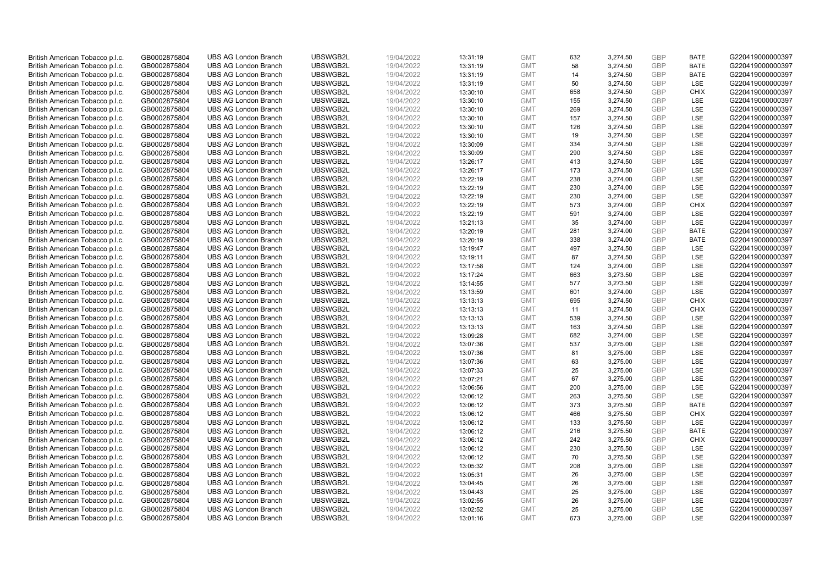| British American Tobacco p.l.c. | GB0002875804 | <b>UBS AG London Branch</b> | UBSWGB2L | 19/04/2022               | 13:31:19 | <b>GMT</b> | 632 | 3,274.50             | <b>GBP</b>        | <b>BATE</b> | G220419000000397 |
|---------------------------------|--------------|-----------------------------|----------|--------------------------|----------|------------|-----|----------------------|-------------------|-------------|------------------|
| British American Tobacco p.l.c. | GB0002875804 | <b>UBS AG London Branch</b> | UBSWGB2L | 19/04/2022               | 13:31:19 | <b>GMT</b> | 58  | 3,274.50             | GBP               | <b>BATE</b> | G220419000000397 |
| British American Tobacco p.l.c. | GB0002875804 | <b>UBS AG London Branch</b> | UBSWGB2L | 19/04/2022               | 13:31:19 | <b>GMT</b> | 14  | 3,274.50             | GBP               | <b>BATE</b> | G220419000000397 |
| British American Tobacco p.l.c. | GB0002875804 | <b>UBS AG London Branch</b> | UBSWGB2L | 19/04/2022               | 13:31:19 | <b>GMT</b> | 50  | 3,274.50             | GBP               | <b>LSE</b>  | G220419000000397 |
| British American Tobacco p.l.c. | GB0002875804 | <b>UBS AG London Branch</b> | UBSWGB2L | 19/04/2022               | 13:30:10 | <b>GMT</b> | 658 | 3,274.50             | <b>GBP</b>        | <b>CHIX</b> | G220419000000397 |
| British American Tobacco p.l.c. | GB0002875804 | <b>UBS AG London Branch</b> | UBSWGB2L | 19/04/2022               | 13:30:10 | <b>GMT</b> | 155 | 3,274.50             | <b>GBP</b>        | <b>LSE</b>  | G220419000000397 |
| British American Tobacco p.l.c. | GB0002875804 | <b>UBS AG London Branch</b> | UBSWGB2L | 19/04/2022               | 13:30:10 | <b>GMT</b> | 269 | 3,274.50             | GBP               | LSE         | G220419000000397 |
| British American Tobacco p.l.c. | GB0002875804 | <b>UBS AG London Branch</b> | UBSWGB2L | 19/04/2022               | 13:30:10 | <b>GMT</b> | 157 | 3,274.50             | GBP               | <b>LSE</b>  | G220419000000397 |
| British American Tobacco p.l.c. | GB0002875804 | <b>UBS AG London Branch</b> | UBSWGB2L | 19/04/2022               | 13:30:10 | <b>GMT</b> | 126 | 3,274.50             | GBP               | LSE         | G220419000000397 |
| British American Tobacco p.l.c. | GB0002875804 | <b>UBS AG London Branch</b> | UBSWGB2L | 19/04/2022               | 13:30:10 | <b>GMT</b> | 19  | 3,274.50             | <b>GBP</b>        | <b>LSE</b>  | G220419000000397 |
| British American Tobacco p.l.c. | GB0002875804 | <b>UBS AG London Branch</b> | UBSWGB2L | 19/04/2022               | 13:30:09 | <b>GMT</b> | 334 | 3,274.50             | GBP               | LSE         | G220419000000397 |
| British American Tobacco p.l.c. | GB0002875804 | <b>UBS AG London Branch</b> | UBSWGB2L | 19/04/2022               | 13:30:09 | <b>GMT</b> | 290 | 3,274.50             | <b>GBP</b>        | LSE         | G220419000000397 |
| British American Tobacco p.l.c. | GB0002875804 | <b>UBS AG London Branch</b> | UBSWGB2L | 19/04/2022               | 13:26:17 | <b>GMT</b> | 413 | 3,274.50             | <b>GBP</b>        | LSE         | G220419000000397 |
| British American Tobacco p.l.c. | GB0002875804 | <b>UBS AG London Branch</b> | UBSWGB2L | 19/04/2022               | 13:26:17 | <b>GMT</b> | 173 | 3,274.50             | <b>GBP</b>        | LSE         | G220419000000397 |
| British American Tobacco p.l.c. | GB0002875804 | <b>UBS AG London Branch</b> | UBSWGB2L | 19/04/2022               | 13:22:19 | <b>GMT</b> | 238 | 3,274.00             | GBP               | <b>LSE</b>  | G220419000000397 |
| British American Tobacco p.l.c. | GB0002875804 | <b>UBS AG London Branch</b> | UBSWGB2L | 19/04/2022               | 13:22:19 | <b>GMT</b> | 230 | 3,274.00             | <b>GBP</b>        | LSE         | G220419000000397 |
| British American Tobacco p.l.c. | GB0002875804 | <b>UBS AG London Branch</b> | UBSWGB2L | 19/04/2022               | 13:22:19 | <b>GMT</b> | 230 | 3,274.00             | <b>GBP</b>        | <b>LSE</b>  | G220419000000397 |
| British American Tobacco p.l.c. | GB0002875804 | <b>UBS AG London Branch</b> | UBSWGB2L | 19/04/2022               | 13:22:19 | <b>GMT</b> | 573 | 3,274.00             | <b>GBP</b>        | <b>CHIX</b> | G220419000000397 |
| British American Tobacco p.l.c. | GB0002875804 | <b>UBS AG London Branch</b> | UBSWGB2L | 19/04/2022               | 13:22:19 | <b>GMT</b> | 591 | 3,274.00             | GBP               | <b>LSE</b>  | G220419000000397 |
| British American Tobacco p.l.c. | GB0002875804 | <b>UBS AG London Branch</b> | UBSWGB2L | 19/04/2022               | 13:21:13 | <b>GMT</b> | 35  | 3,274.00             | <b>GBP</b>        | LSE         | G220419000000397 |
| British American Tobacco p.l.c. | GB0002875804 | <b>UBS AG London Branch</b> | UBSWGB2L | 19/04/2022               | 13:20:19 | <b>GMT</b> | 281 | 3,274.00             | GBP               | <b>BATE</b> | G220419000000397 |
| British American Tobacco p.l.c. | GB0002875804 | <b>UBS AG London Branch</b> | UBSWGB2L | 19/04/2022               | 13:20:19 | <b>GMT</b> | 338 | 3,274.00             | GBP               | <b>BATE</b> | G220419000000397 |
| British American Tobacco p.l.c. | GB0002875804 | <b>UBS AG London Branch</b> | UBSWGB2L | 19/04/2022               | 13:19:47 | <b>GMT</b> | 497 | 3,274.50             | GBP               | LSE         | G220419000000397 |
| British American Tobacco p.l.c. | GB0002875804 | <b>UBS AG London Branch</b> | UBSWGB2L | 19/04/2022               | 13:19:11 | <b>GMT</b> | 87  | 3,274.50             | GBP               | LSE         | G220419000000397 |
| British American Tobacco p.l.c. | GB0002875804 | <b>UBS AG London Branch</b> | UBSWGB2L | 19/04/2022               | 13:17:58 | <b>GMT</b> | 124 | 3,274.00             | <b>GBP</b>        | LSE         | G220419000000397 |
| British American Tobacco p.l.c. | GB0002875804 | <b>UBS AG London Branch</b> | UBSWGB2L | 19/04/2022               | 13:17:24 | <b>GMT</b> | 663 | 3,273.50             | <b>GBP</b>        | LSE         | G220419000000397 |
| British American Tobacco p.l.c. | GB0002875804 | <b>UBS AG London Branch</b> | UBSWGB2L | 19/04/2022               | 13:14:55 | <b>GMT</b> | 577 | 3,273.50             | <b>GBP</b>        | LSE         | G220419000000397 |
| British American Tobacco p.l.c. | GB0002875804 | <b>UBS AG London Branch</b> | UBSWGB2L | 19/04/2022               | 13:13:59 | <b>GMT</b> | 601 | 3,274.00             | <b>GBP</b>        | <b>LSE</b>  | G220419000000397 |
| British American Tobacco p.l.c. | GB0002875804 | <b>UBS AG London Branch</b> | UBSWGB2L | 19/04/2022               | 13:13:13 | <b>GMT</b> | 695 | 3,274.50             | <b>GBP</b>        | <b>CHIX</b> | G220419000000397 |
| British American Tobacco p.l.c. | GB0002875804 | <b>UBS AG London Branch</b> | UBSWGB2L | 19/04/2022               | 13:13:13 | <b>GMT</b> | 11  | 3,274.50             | GBP               | <b>CHIX</b> | G220419000000397 |
| British American Tobacco p.l.c. | GB0002875804 | <b>UBS AG London Branch</b> | UBSWGB2L | 19/04/2022               | 13:13:13 | <b>GMT</b> | 539 | 3,274.50             | <b>GBP</b>        | <b>LSE</b>  | G220419000000397 |
| British American Tobacco p.l.c. | GB0002875804 | <b>UBS AG London Branch</b> | UBSWGB2L | 19/04/2022               | 13:13:13 | <b>GMT</b> | 163 | 3,274.50             | <b>GBP</b>        | <b>LSE</b>  | G220419000000397 |
| British American Tobacco p.l.c. | GB0002875804 | <b>UBS AG London Branch</b> | UBSWGB2L | 19/04/2022               | 13:09:28 | <b>GMT</b> | 682 | 3,274.00             | <b>GBP</b>        | LSE         | G220419000000397 |
| British American Tobacco p.l.c. | GB0002875804 | <b>UBS AG London Branch</b> | UBSWGB2L | 19/04/2022               | 13:07:36 | <b>GMT</b> | 537 | 3,275.00             | GBP               | LSE         | G220419000000397 |
| British American Tobacco p.l.c. | GB0002875804 | <b>UBS AG London Branch</b> | UBSWGB2L | 19/04/2022               | 13:07:36 | <b>GMT</b> | 81  | 3,275.00             | <b>GBP</b>        | LSE         | G220419000000397 |
| British American Tobacco p.l.c. | GB0002875804 | <b>UBS AG London Branch</b> | UBSWGB2L | 19/04/2022               | 13:07:36 | <b>GMT</b> | 63  | 3,275.00             | GBP               | LSE         | G220419000000397 |
| British American Tobacco p.l.c. | GB0002875804 | <b>UBS AG London Branch</b> | UBSWGB2L | 19/04/2022               | 13:07:33 | <b>GMT</b> | 25  | 3,275.00             | GBP               | LSE         | G220419000000397 |
| British American Tobacco p.l.c. | GB0002875804 | <b>UBS AG London Branch</b> | UBSWGB2L | 19/04/2022               | 13:07:21 | <b>GMT</b> | 67  | 3,275.00             | <b>GBP</b>        | LSE         | G220419000000397 |
| British American Tobacco p.l.c. | GB0002875804 | <b>UBS AG London Branch</b> | UBSWGB2L | 19/04/2022               | 13:06:56 | <b>GMT</b> | 200 | 3,275.00             | <b>GBP</b>        | LSE         | G220419000000397 |
|                                 |              | <b>UBS AG London Branch</b> | UBSWGB2L |                          |          | <b>GMT</b> | 263 |                      | GBP               | <b>LSE</b>  |                  |
| British American Tobacco p.l.c. | GB0002875804 |                             | UBSWGB2L | 19/04/2022<br>19/04/2022 | 13:06:12 | <b>GMT</b> | 373 | 3,275.50<br>3,275.50 | GBP               | <b>BATE</b> | G220419000000397 |
| British American Tobacco p.l.c. | GB0002875804 | <b>UBS AG London Branch</b> |          |                          | 13:06:12 |            |     |                      |                   |             | G220419000000397 |
| British American Tobacco p.l.c. | GB0002875804 | <b>UBS AG London Branch</b> | UBSWGB2L | 19/04/2022               | 13:06:12 | <b>GMT</b> | 466 | 3,275.50             | <b>GBP</b><br>GBP | <b>CHIX</b> | G220419000000397 |
| British American Tobacco p.l.c. | GB0002875804 | <b>UBS AG London Branch</b> | UBSWGB2L | 19/04/2022               | 13:06:12 | <b>GMT</b> | 133 | 3,275.50             |                   | LSE         | G220419000000397 |
| British American Tobacco p.l.c. | GB0002875804 | <b>UBS AG London Branch</b> | UBSWGB2L | 19/04/2022               | 13:06:12 | <b>GMT</b> | 216 | 3,275.50             | GBP               | <b>BATE</b> | G220419000000397 |
| British American Tobacco p.l.c. | GB0002875804 | <b>UBS AG London Branch</b> | UBSWGB2L | 19/04/2022               | 13:06:12 | <b>GMT</b> | 242 | 3,275.50             | <b>GBP</b>        | <b>CHIX</b> | G220419000000397 |
| British American Tobacco p.l.c. | GB0002875804 | <b>UBS AG London Branch</b> | UBSWGB2L | 19/04/2022               | 13:06:12 | <b>GMT</b> | 230 | 3,275.50             | <b>GBP</b>        | LSE         | G220419000000397 |
| British American Tobacco p.l.c. | GB0002875804 | <b>UBS AG London Branch</b> | UBSWGB2L | 19/04/2022               | 13:06:12 | <b>GMT</b> | 70  | 3,275.50             | <b>GBP</b>        | LSE         | G220419000000397 |
| British American Tobacco p.l.c. | GB0002875804 | <b>UBS AG London Branch</b> | UBSWGB2L | 19/04/2022               | 13:05:32 | <b>GMT</b> | 208 | 3,275.00             | <b>GBP</b>        | LSE         | G220419000000397 |
| British American Tobacco p.l.c. | GB0002875804 | <b>UBS AG London Branch</b> | UBSWGB2L | 19/04/2022               | 13:05:31 | <b>GMT</b> | 26  | 3,275.00             | <b>GBP</b>        | LSE         | G220419000000397 |
| British American Tobacco p.l.c. | GB0002875804 | <b>UBS AG London Branch</b> | UBSWGB2L | 19/04/2022               | 13:04:45 | <b>GMT</b> | 26  | 3,275.00             | <b>GBP</b>        | LSE         | G220419000000397 |
| British American Tobacco p.l.c. | GB0002875804 | <b>UBS AG London Branch</b> | UBSWGB2L | 19/04/2022               | 13:04:43 | <b>GMT</b> | 25  | 3,275.00             | GBP               | LSE         | G220419000000397 |
| British American Tobacco p.l.c. | GB0002875804 | <b>UBS AG London Branch</b> | UBSWGB2L | 19/04/2022               | 13:02:55 | <b>GMT</b> | 26  | 3,275.00             | <b>GBP</b>        | LSE         | G220419000000397 |
| British American Tobacco p.l.c. | GB0002875804 | <b>UBS AG London Branch</b> | UBSWGB2L | 19/04/2022               | 13:02:52 | <b>GMT</b> | 25  | 3,275.00             | GBP               | LSE         | G220419000000397 |
| British American Tobacco p.l.c. | GB0002875804 | <b>UBS AG London Branch</b> | UBSWGB2L | 19/04/2022               | 13:01:16 | <b>GMT</b> | 673 | 3.275.00             | GBP               | <b>LSE</b>  | G220419000000397 |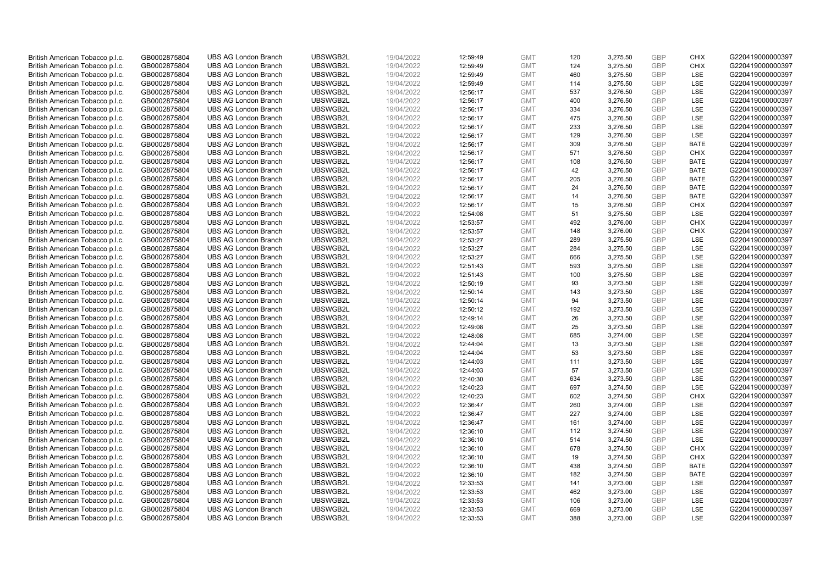| British American Tobacco p.l.c.<br>GB0002875804<br>UBSWGB2L<br>19/04/2022<br><b>GMT</b><br><b>UBS AG London Branch</b><br>12:59:49 | 120 | 3,275.50 | <b>GBP</b> | <b>CHIX</b> | G220419000000397 |
|------------------------------------------------------------------------------------------------------------------------------------|-----|----------|------------|-------------|------------------|
| British American Tobacco p.l.c.<br>GB0002875804<br><b>UBS AG London Branch</b><br>UBSWGB2L<br>19/04/2022<br><b>GMT</b><br>12:59:49 | 124 | 3,275.50 | <b>GBP</b> | <b>CHIX</b> | G220419000000397 |
| UBSWGB2L<br>British American Tobacco p.l.c.<br>GB0002875804<br><b>UBS AG London Branch</b><br>19/04/2022<br>12:59:49<br><b>GMT</b> | 460 | 3,275.50 | <b>GBP</b> | LSE         | G220419000000397 |
| UBSWGB2L<br>19/04/2022<br>British American Tobacco p.l.c.<br>GB0002875804<br><b>UBS AG London Branch</b><br>12:59:49<br><b>GMT</b> | 114 | 3,275.50 | <b>GBP</b> | LSE         | G220419000000397 |
| British American Tobacco p.l.c.<br>GB0002875804<br><b>UBS AG London Branch</b><br>UBSWGB2L<br>19/04/2022<br>12:56:17<br><b>GMT</b> | 537 | 3,276.50 | <b>GBP</b> | LSE         | G220419000000397 |
| British American Tobacco p.l.c.<br><b>UBS AG London Branch</b><br>UBSWGB2L<br>GB0002875804<br>19/04/2022<br>12:56:17<br><b>GMT</b> | 400 | 3,276.50 | <b>GBP</b> | LSE         | G220419000000397 |
| British American Tobacco p.l.c.<br>GB0002875804<br><b>UBS AG London Branch</b><br>UBSWGB2L<br>19/04/2022<br>12:56:17<br><b>GMT</b> | 334 | 3,276.50 | <b>GBP</b> | LSE         | G220419000000397 |
| British American Tobacco p.l.c.<br>GB0002875804<br><b>UBS AG London Branch</b><br>UBSWGB2L<br>19/04/2022<br>12:56:17<br><b>GMT</b> | 475 | 3,276.50 | <b>GBP</b> | LSE         | G220419000000397 |
| <b>UBS AG London Branch</b><br>UBSWGB2L<br>19/04/2022<br>12:56:17<br>British American Tobacco p.l.c.<br>GB0002875804<br><b>GMT</b> | 233 | 3,276.50 | <b>GBP</b> | LSE         | G220419000000397 |
| British American Tobacco p.l.c.<br>GB0002875804<br><b>UBS AG London Branch</b><br>UBSWGB2L<br>19/04/2022<br>12:56:17<br><b>GMT</b> | 129 | 3,276.50 | <b>GBP</b> | LSE         | G220419000000397 |
| UBSWGB2L<br>British American Tobacco p.l.c.<br>GB0002875804<br><b>UBS AG London Branch</b><br>19/04/2022<br><b>GMT</b><br>12:56:17 | 309 | 3,276.50 | <b>GBP</b> | <b>BATE</b> | G220419000000397 |
| British American Tobacco p.l.c.<br>GB0002875804<br><b>UBS AG London Branch</b><br>UBSWGB2L<br>19/04/2022<br><b>GMT</b><br>12:56:17 | 571 | 3,276.50 | <b>GBP</b> | <b>CHIX</b> | G220419000000397 |
| <b>UBS AG London Branch</b><br>UBSWGB2L<br>19/04/2022<br>British American Tobacco p.l.c.<br>GB0002875804<br>12:56:17<br><b>GMT</b> | 108 | 3,276.50 | <b>GBP</b> | <b>BATE</b> | G220419000000397 |
| GB0002875804<br><b>UBS AG London Branch</b><br>UBSWGB2L<br>19/04/2022<br>British American Tobacco p.l.c.<br>12:56:17<br><b>GMT</b> | 42  | 3,276.50 | <b>GBP</b> | <b>BATE</b> | G220419000000397 |
| British American Tobacco p.l.c.<br><b>UBS AG London Branch</b><br>UBSWGB2L<br>19/04/2022<br><b>GMT</b><br>GB0002875804<br>12:56:17 | 205 | 3,276.50 | <b>GBP</b> | <b>BATE</b> | G220419000000397 |
| UBSWGB2L<br>British American Tobacco p.l.c.<br>GB0002875804<br><b>UBS AG London Branch</b><br>19/04/2022<br>12:56:17<br><b>GMT</b> | 24  | 3,276.50 | <b>GBP</b> | <b>BATE</b> | G220419000000397 |
| UBSWGB2L<br><b>UBS AG London Branch</b><br><b>GMT</b>                                                                              | 14  |          | <b>GBP</b> |             | G220419000000397 |
| GB0002875804<br>19/04/2022<br>12:56:17<br>British American Tobacco p.l.c.                                                          |     | 3,276.50 |            | <b>BATE</b> |                  |
| British American Tobacco p.l.c.<br>GB0002875804<br><b>UBS AG London Branch</b><br>UBSWGB2L<br>19/04/2022<br><b>GMT</b><br>12:56:17 | 15  | 3,276.50 | <b>GBP</b> | <b>CHIX</b> | G220419000000397 |
| <b>UBS AG London Branch</b><br>UBSWGB2L<br>British American Tobacco p.l.c.<br>GB0002875804<br>19/04/2022<br>12:54:08<br><b>GMT</b> | 51  | 3,275.50 | <b>GBP</b> | <b>LSE</b>  | G220419000000397 |
| British American Tobacco p.l.c.<br>GB0002875804<br><b>UBS AG London Branch</b><br>UBSWGB2L<br>19/04/2022<br>12:53:57<br><b>GMT</b> | 492 | 3,276.00 | <b>GBP</b> | <b>CHIX</b> | G220419000000397 |
| British American Tobacco p.l.c.<br>GB0002875804<br><b>UBS AG London Branch</b><br>UBSWGB2L<br>19/04/2022<br>12:53:57<br><b>GMT</b> | 148 | 3,276.00 | <b>GBP</b> | <b>CHIX</b> | G220419000000397 |
| UBSWGB2L<br>19/04/2022<br>12:53:27<br>British American Tobacco p.l.c.<br>GB0002875804<br><b>UBS AG London Branch</b><br><b>GMT</b> | 289 | 3,275.50 | <b>GBP</b> | LSE         | G220419000000397 |
| British American Tobacco p.l.c.<br>GB0002875804<br><b>UBS AG London Branch</b><br>UBSWGB2L<br>19/04/2022<br>12:53:27<br><b>GMT</b> | 284 | 3,275.50 | <b>GBP</b> | LSE         | G220419000000397 |
| British American Tobacco p.l.c.<br>GB0002875804<br><b>UBS AG London Branch</b><br>UBSWGB2L<br>19/04/2022<br><b>GMT</b><br>12:53:27 | 666 | 3,275.50 | <b>GBP</b> | <b>LSE</b>  | G220419000000397 |
| British American Tobacco p.l.c.<br>GB0002875804<br><b>UBS AG London Branch</b><br>UBSWGB2L<br>19/04/2022<br><b>GMT</b><br>12:51:43 | 593 | 3,275.50 | <b>GBP</b> | LSE         | G220419000000397 |
| <b>UBS AG London Branch</b><br>UBSWGB2L<br>British American Tobacco p.l.c.<br>GB0002875804<br>19/04/2022<br>12:51:43<br><b>GMT</b> | 100 | 3,275.50 | <b>GBP</b> | LSE         | G220419000000397 |
| UBSWGB2L<br>British American Tobacco p.l.c.<br>GB0002875804<br><b>UBS AG London Branch</b><br>19/04/2022<br>12:50:19<br><b>GMT</b> | 93  | 3,273.50 | <b>GBP</b> | LSE         | G220419000000397 |
| British American Tobacco p.l.c.<br><b>UBS AG London Branch</b><br>UBSWGB2L<br>19/04/2022<br><b>GMT</b><br>GB0002875804<br>12:50:14 | 143 | 3,273.50 | <b>GBP</b> | <b>LSE</b>  | G220419000000397 |
| UBSWGB2L<br>British American Tobacco p.l.c.<br>GB0002875804<br><b>UBS AG London Branch</b><br>19/04/2022<br>12:50:14<br><b>GMT</b> | 94  | 3,273.50 | <b>GBP</b> | LSE         | G220419000000397 |
| UBSWGB2L<br>GB0002875804<br><b>UBS AG London Branch</b><br>19/04/2022<br>12:50:12<br><b>GMT</b><br>British American Tobacco p.l.c. | 192 | 3,273.50 | <b>GBP</b> | LSE         | G220419000000397 |
| British American Tobacco p.l.c.<br>GB0002875804<br><b>UBS AG London Branch</b><br>UBSWGB2L<br>19/04/2022<br><b>GMT</b><br>12:49:14 | 26  | 3,273.50 | <b>GBP</b> | LSE         | G220419000000397 |
| <b>UBS AG London Branch</b><br>UBSWGB2L<br>British American Tobacco p.l.c.<br>GB0002875804<br>19/04/2022<br>12:49:08<br><b>GMT</b> | 25  | 3,273.50 | <b>GBP</b> | <b>LSE</b>  | G220419000000397 |
| British American Tobacco p.l.c.<br>GB0002875804<br><b>UBS AG London Branch</b><br>UBSWGB2L<br>19/04/2022<br><b>GMT</b><br>12:48:08 | 685 | 3,274.00 | <b>GBP</b> | LSE         | G220419000000397 |
| British American Tobacco p.l.c.<br>GB0002875804<br><b>UBS AG London Branch</b><br>UBSWGB2L<br>19/04/2022<br>12:44:04<br><b>GMT</b> | 13  | 3,273.50 | <b>GBP</b> | LSE         | G220419000000397 |
| UBSWGB2L<br>British American Tobacco p.l.c.<br>GB0002875804<br><b>UBS AG London Branch</b><br>19/04/2022<br>12:44:04<br><b>GMT</b> | 53  | 3,273.50 | <b>GBP</b> | LSE         | G220419000000397 |
| British American Tobacco p.l.c.<br>GB0002875804<br><b>UBS AG London Branch</b><br>UBSWGB2L<br>19/04/2022<br>12:44:03<br><b>GMT</b> | 111 | 3,273.50 | <b>GBP</b> | LSE         | G220419000000397 |
| British American Tobacco p.l.c.<br><b>UBS AG London Branch</b><br>UBSWGB2L<br>19/04/2022<br><b>GMT</b><br>GB0002875804<br>12:44:03 | 57  | 3,273.50 | <b>GBP</b> | LSE         | G220419000000397 |
| British American Tobacco p.l.c.<br>GB0002875804<br><b>UBS AG London Branch</b><br>UBSWGB2L<br>19/04/2022<br>12:40:30<br><b>GMT</b> | 634 | 3,273.50 | <b>GBP</b> | LSE         | G220419000000397 |
| UBSWGB2L<br>British American Tobacco p.l.c.<br>GB0002875804<br><b>UBS AG London Branch</b><br>19/04/2022<br>12:40:23<br><b>GMT</b> | 697 | 3,274.50 | <b>GBP</b> | LSE         | G220419000000397 |
| British American Tobacco p.l.c.<br>GB0002875804<br><b>UBS AG London Branch</b><br>UBSWGB2L<br>19/04/2022<br>12:40:23<br><b>GMT</b> | 602 | 3,274.50 | <b>GBP</b> | <b>CHIX</b> | G220419000000397 |
| British American Tobacco p.l.c.<br><b>UBS AG London Branch</b><br>UBSWGB2L<br>19/04/2022<br><b>GMT</b><br>GB0002875804<br>12:36:47 | 260 | 3,274.00 | <b>GBP</b> | LSE         | G220419000000397 |
| British American Tobacco p.l.c.<br>GB0002875804<br><b>UBS AG London Branch</b><br>UBSWGB2L<br>19/04/2022<br>12:36:47<br><b>GMT</b> | 227 | 3,274.00 | <b>GBP</b> | LSE         | G220419000000397 |
| GB0002875804<br><b>UBS AG London Branch</b><br>UBSWGB2L<br>19/04/2022<br>12:36:47<br><b>GMT</b><br>British American Tobacco p.l.c. | 161 | 3,274.00 | <b>GBP</b> | LSE         | G220419000000397 |
| British American Tobacco p.l.c.<br>GB0002875804<br><b>UBS AG London Branch</b><br>UBSWGB2L<br>19/04/2022<br><b>GMT</b><br>12:36:10 | 112 | 3,274.50 | <b>GBP</b> | LSE         | G220419000000397 |
| UBSWGB2L<br>British American Tobacco p.l.c.<br>GB0002875804<br><b>UBS AG London Branch</b><br>19/04/2022<br>12:36:10<br><b>GMT</b> | 514 | 3,274.50 | <b>GBP</b> | LSE         | G220419000000397 |
| <b>UBS AG London Branch</b><br>UBSWGB2L<br>19/04/2022<br><b>GMT</b><br>British American Tobacco p.l.c.<br>GB0002875804<br>12:36:10 | 678 | 3,274.50 | <b>GBP</b> | <b>CHIX</b> | G220419000000397 |
| British American Tobacco p.l.c.<br>GB0002875804<br><b>UBS AG London Branch</b><br>UBSWGB2L<br>19/04/2022<br>12:36:10<br><b>GMT</b> | 19  | 3,274.50 | <b>GBP</b> | <b>CHIX</b> | G220419000000397 |
| UBSWGB2L<br>British American Tobacco p.l.c.<br>GB0002875804<br><b>UBS AG London Branch</b><br>19/04/2022<br>12:36:10<br><b>GMT</b> | 438 | 3,274.50 | <b>GBP</b> | <b>BATE</b> | G220419000000397 |
| British American Tobacco p.l.c.<br>GB0002875804<br><b>UBS AG London Branch</b><br>UBSWGB2L<br>19/04/2022<br><b>GMT</b><br>12:36:10 | 182 | 3,274.50 | <b>GBP</b> | <b>BATE</b> | G220419000000397 |
| British American Tobacco p.l.c.<br>UBSWGB2L<br>19/04/2022<br>GB0002875804<br><b>UBS AG London Branch</b><br>12:33:53<br><b>GMT</b> | 141 | 3,273.00 | <b>GBP</b> | LSE         | G220419000000397 |
| British American Tobacco p.l.c.<br>UBSWGB2L<br>GB0002875804<br><b>UBS AG London Branch</b><br>19/04/2022<br>12:33:53<br><b>GMT</b> | 462 | 3,273.00 | <b>GBP</b> | LSE         | G220419000000397 |
|                                                                                                                                    | 106 | 3,273.00 | <b>GBP</b> | LSE         | G220419000000397 |
| UBSWGB2L<br>British American Tobacco p.l.c.<br><b>UBS AG London Branch</b><br>19/04/2022<br>12:33:53<br>GB0002875804<br><b>GMT</b> |     |          |            |             |                  |
| British American Tobacco p.l.c.<br>GB0002875804<br><b>UBS AG London Branch</b><br>UBSWGB2L<br>19/04/2022<br>12:33:53<br><b>GMT</b> | 669 | 3,273.00 | <b>GBP</b> | LSE         | G220419000000397 |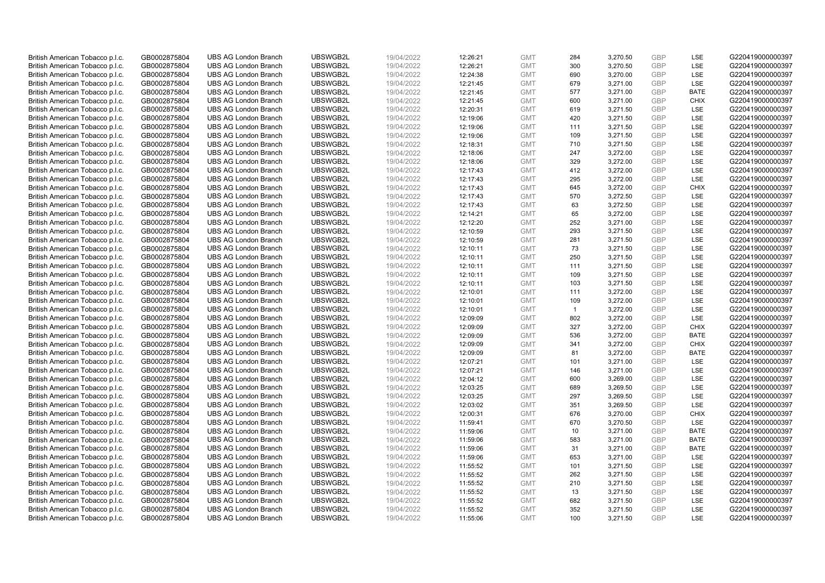| British American Tobacco p.l.c.                                    | GB0002875804 | <b>UBS AG London Branch</b> | UBSWGB2L | 19/04/2022 | 12:26:21 | <b>GMT</b> | 284          | 3,270.50 | <b>GBP</b> | LSE         | G220419000000397 |
|--------------------------------------------------------------------|--------------|-----------------------------|----------|------------|----------|------------|--------------|----------|------------|-------------|------------------|
| British American Tobacco p.l.c.                                    | GB0002875804 | <b>UBS AG London Branch</b> | UBSWGB2L | 19/04/2022 | 12:26:21 | <b>GMT</b> | 300          | 3,270.50 | GBP        | LSE         | G220419000000397 |
| British American Tobacco p.l.c.                                    | GB0002875804 | <b>UBS AG London Branch</b> | UBSWGB2L | 19/04/2022 | 12:24:38 | <b>GMT</b> | 690          | 3,270.00 | <b>GBP</b> | LSE         | G220419000000397 |
| British American Tobacco p.l.c.                                    | GB0002875804 | <b>UBS AG London Branch</b> | UBSWGB2L | 19/04/2022 | 12:21:45 | <b>GMT</b> | 679          | 3,271.00 | <b>GBP</b> | LSE         | G220419000000397 |
| British American Tobacco p.l.c.                                    | GB0002875804 | <b>UBS AG London Branch</b> | UBSWGB2L | 19/04/2022 | 12:21:45 | <b>GMT</b> | 577          | 3,271.00 | <b>GBP</b> | <b>BATE</b> | G220419000000397 |
| British American Tobacco p.l.c.                                    | GB0002875804 | <b>UBS AG London Branch</b> | UBSWGB2L | 19/04/2022 | 12:21:45 | <b>GMT</b> | 600          | 3,271.00 | <b>GBP</b> | <b>CHIX</b> | G220419000000397 |
| British American Tobacco p.l.c.                                    | GB0002875804 | <b>UBS AG London Branch</b> | UBSWGB2L | 19/04/2022 | 12:20:31 | <b>GMT</b> | 619          | 3,271.50 | <b>GBP</b> | LSE         | G220419000000397 |
| British American Tobacco p.l.c.                                    | GB0002875804 | <b>UBS AG London Branch</b> | UBSWGB2L | 19/04/2022 | 12:19:06 | <b>GMT</b> | 420          | 3,271.50 | <b>GBP</b> | LSE         | G220419000000397 |
| British American Tobacco p.l.c.                                    | GB0002875804 | <b>UBS AG London Branch</b> | UBSWGB2L | 19/04/2022 | 12:19:06 | <b>GMT</b> | 111          | 3,271.50 | <b>GBP</b> | LSE         | G220419000000397 |
| British American Tobacco p.l.c.                                    | GB0002875804 | <b>UBS AG London Branch</b> | UBSWGB2L | 19/04/2022 | 12:19:06 | <b>GMT</b> | 109          | 3,271.50 | <b>GBP</b> | LSE         | G220419000000397 |
| British American Tobacco p.l.c.                                    | GB0002875804 | <b>UBS AG London Branch</b> | UBSWGB2L | 19/04/2022 | 12:18:31 | <b>GMT</b> | 710          | 3,271.50 | <b>GBP</b> | LSE         | G220419000000397 |
| British American Tobacco p.l.c.                                    | GB0002875804 | <b>UBS AG London Branch</b> | UBSWGB2L | 19/04/2022 | 12:18:06 | <b>GMT</b> | 247          | 3,272.00 | <b>GBP</b> | LSE         | G220419000000397 |
| British American Tobacco p.l.c.                                    | GB0002875804 | <b>UBS AG London Branch</b> | UBSWGB2L | 19/04/2022 | 12:18:06 | <b>GMT</b> | 329          | 3,272.00 | <b>GBP</b> | LSE         | G220419000000397 |
| British American Tobacco p.l.c.                                    | GB0002875804 | <b>UBS AG London Branch</b> | UBSWGB2L | 19/04/2022 | 12:17:43 | <b>GMT</b> | 412          | 3,272.00 | <b>GBP</b> | LSE         | G220419000000397 |
| British American Tobacco p.l.c.                                    | GB0002875804 | <b>UBS AG London Branch</b> | UBSWGB2L | 19/04/2022 | 12:17:43 | <b>GMT</b> | 295          | 3,272.00 | <b>GBP</b> | LSE         | G220419000000397 |
| British American Tobacco p.l.c.                                    | GB0002875804 | <b>UBS AG London Branch</b> | UBSWGB2L | 19/04/2022 | 12:17:43 | <b>GMT</b> | 645          | 3,272.00 | <b>GBP</b> | <b>CHIX</b> | G220419000000397 |
|                                                                    | GB0002875804 | <b>UBS AG London Branch</b> | UBSWGB2L | 19/04/2022 | 12:17:43 | <b>GMT</b> | 570          | 3,272.50 | <b>GBP</b> | LSE         | G220419000000397 |
| British American Tobacco p.l.c.<br>British American Tobacco p.l.c. | GB0002875804 | <b>UBS AG London Branch</b> | UBSWGB2L | 19/04/2022 |          | <b>GMT</b> | 63           | 3,272.50 | <b>GBP</b> | LSE         | G220419000000397 |
|                                                                    |              |                             | UBSWGB2L |            | 12:17:43 |            | 65           |          |            | <b>LSE</b>  |                  |
| British American Tobacco p.l.c.                                    | GB0002875804 | <b>UBS AG London Branch</b> |          | 19/04/2022 | 12:14:21 | <b>GMT</b> |              | 3,272.00 | <b>GBP</b> |             | G220419000000397 |
| British American Tobacco p.l.c.                                    | GB0002875804 | <b>UBS AG London Branch</b> | UBSWGB2L | 19/04/2022 | 12:12:20 | <b>GMT</b> | 252          | 3,271.00 | <b>GBP</b> | LSE         | G220419000000397 |
| British American Tobacco p.l.c.                                    | GB0002875804 | <b>UBS AG London Branch</b> | UBSWGB2L | 19/04/2022 | 12:10:59 | <b>GMT</b> | 293          | 3,271.50 | <b>GBP</b> | LSE         | G220419000000397 |
| British American Tobacco p.l.c.                                    | GB0002875804 | <b>UBS AG London Branch</b> | UBSWGB2L | 19/04/2022 | 12:10:59 | <b>GMT</b> | 281          | 3,271.50 | <b>GBP</b> | LSE         | G220419000000397 |
| British American Tobacco p.l.c.                                    | GB0002875804 | <b>UBS AG London Branch</b> | UBSWGB2L | 19/04/2022 | 12:10:11 | <b>GMT</b> | 73           | 3,271.50 | <b>GBP</b> | LSE         | G220419000000397 |
| British American Tobacco p.l.c.                                    | GB0002875804 | <b>UBS AG London Branch</b> | UBSWGB2L | 19/04/2022 | 12:10:11 | <b>GMT</b> | 250          | 3,271.50 | <b>GBP</b> | LSE         | G220419000000397 |
| British American Tobacco p.l.c.                                    | GB0002875804 | <b>UBS AG London Branch</b> | UBSWGB2L | 19/04/2022 | 12:10:11 | <b>GMT</b> | 111          | 3,271.50 | <b>GBP</b> | LSE         | G220419000000397 |
| British American Tobacco p.l.c.                                    | GB0002875804 | <b>UBS AG London Branch</b> | UBSWGB2L | 19/04/2022 | 12:10:11 | <b>GMT</b> | 109          | 3,271.50 | <b>GBP</b> | LSE         | G220419000000397 |
| British American Tobacco p.l.c.                                    | GB0002875804 | <b>UBS AG London Branch</b> | UBSWGB2L | 19/04/2022 | 12:10:11 | <b>GMT</b> | 103          | 3,271.50 | <b>GBP</b> | LSE         | G220419000000397 |
| British American Tobacco p.l.c.                                    | GB0002875804 | <b>UBS AG London Branch</b> | UBSWGB2L | 19/04/2022 | 12:10:01 | <b>GMT</b> | 111          | 3,272.00 | <b>GBP</b> | LSE         | G220419000000397 |
| British American Tobacco p.l.c.                                    | GB0002875804 | <b>UBS AG London Branch</b> | UBSWGB2L | 19/04/2022 | 12:10:01 | <b>GMT</b> | 109          | 3,272.00 | <b>GBP</b> | LSE         | G220419000000397 |
| British American Tobacco p.l.c.                                    | GB0002875804 | <b>UBS AG London Branch</b> | UBSWGB2L | 19/04/2022 | 12:10:01 | <b>GMT</b> | $\mathbf{1}$ | 3,272.00 | <b>GBP</b> | LSE         | G220419000000397 |
| British American Tobacco p.l.c.                                    | GB0002875804 | <b>UBS AG London Branch</b> | UBSWGB2L | 19/04/2022 | 12:09:09 | <b>GMT</b> | 802          | 3,272.00 | <b>GBP</b> | LSE         | G220419000000397 |
| British American Tobacco p.l.c.                                    | GB0002875804 | <b>UBS AG London Branch</b> | UBSWGB2L | 19/04/2022 | 12:09:09 | <b>GMT</b> | 327          | 3,272.00 | <b>GBP</b> | <b>CHIX</b> | G220419000000397 |
| British American Tobacco p.l.c.                                    | GB0002875804 | <b>UBS AG London Branch</b> | UBSWGB2L | 19/04/2022 | 12:09:09 | <b>GMT</b> | 536          | 3,272.00 | <b>GBP</b> | <b>BATE</b> | G220419000000397 |
| British American Tobacco p.l.c.                                    | GB0002875804 | <b>UBS AG London Branch</b> | UBSWGB2L | 19/04/2022 | 12:09:09 | <b>GMT</b> | 341          | 3,272.00 | <b>GBP</b> | <b>CHIX</b> | G220419000000397 |
| British American Tobacco p.l.c.                                    | GB0002875804 | <b>UBS AG London Branch</b> | UBSWGB2L | 19/04/2022 | 12:09:09 | <b>GMT</b> | 81           | 3,272.00 | <b>GBP</b> | <b>BATE</b> | G220419000000397 |
| British American Tobacco p.l.c.                                    | GB0002875804 | <b>UBS AG London Branch</b> | UBSWGB2L | 19/04/2022 | 12:07:21 | <b>GMT</b> | 101          | 3,271.00 | <b>GBP</b> | LSE         | G220419000000397 |
| British American Tobacco p.l.c.                                    | GB0002875804 | <b>UBS AG London Branch</b> | UBSWGB2L | 19/04/2022 | 12:07:21 | <b>GMT</b> | 146          | 3,271.00 | <b>GBP</b> | LSE         | G220419000000397 |
| British American Tobacco p.l.c.                                    | GB0002875804 | <b>UBS AG London Branch</b> | UBSWGB2L | 19/04/2022 | 12:04:12 | <b>GMT</b> | 600          | 3,269.00 | <b>GBP</b> | LSE         | G220419000000397 |
| British American Tobacco p.l.c.                                    | GB0002875804 | <b>UBS AG London Branch</b> | UBSWGB2L | 19/04/2022 | 12:03:25 | <b>GMT</b> | 689          | 3,269.50 | <b>GBP</b> | LSE         | G220419000000397 |
| British American Tobacco p.l.c.                                    | GB0002875804 | <b>UBS AG London Branch</b> | UBSWGB2L | 19/04/2022 | 12:03:25 | <b>GMT</b> | 297          | 3,269.50 | <b>GBP</b> | LSE         | G220419000000397 |
| British American Tobacco p.l.c.                                    | GB0002875804 | <b>UBS AG London Branch</b> | UBSWGB2L | 19/04/2022 | 12:03:02 | <b>GMT</b> | 351          | 3,269.50 | <b>GBP</b> | LSE         | G220419000000397 |
| British American Tobacco p.l.c.                                    | GB0002875804 | <b>UBS AG London Branch</b> | UBSWGB2L | 19/04/2022 | 12:00:31 | <b>GMT</b> | 676          | 3,270.00 | <b>GBP</b> | <b>CHIX</b> | G220419000000397 |
| British American Tobacco p.l.c.                                    | GB0002875804 | <b>UBS AG London Branch</b> | UBSWGB2L | 19/04/2022 | 11:59:41 | <b>GMT</b> | 670          | 3,270.50 | <b>GBP</b> | LSE         | G220419000000397 |
| British American Tobacco p.l.c.                                    | GB0002875804 | <b>UBS AG London Branch</b> | UBSWGB2L | 19/04/2022 | 11:59:06 | <b>GMT</b> | 10           | 3,271.00 | <b>GBP</b> | <b>BATE</b> | G220419000000397 |
| British American Tobacco p.l.c.                                    | GB0002875804 | <b>UBS AG London Branch</b> | UBSWGB2L | 19/04/2022 | 11:59:06 | <b>GMT</b> | 583          | 3,271.00 | <b>GBP</b> | <b>BATE</b> | G220419000000397 |
| British American Tobacco p.l.c.                                    | GB0002875804 | <b>UBS AG London Branch</b> | UBSWGB2L | 19/04/2022 | 11:59:06 | <b>GMT</b> | 31           | 3,271.00 | <b>GBP</b> | <b>BATE</b> | G220419000000397 |
| British American Tobacco p.l.c.                                    | GB0002875804 | <b>UBS AG London Branch</b> | UBSWGB2L | 19/04/2022 | 11:59:06 | <b>GMT</b> | 653          | 3,271.00 | <b>GBP</b> | LSE         | G220419000000397 |
| British American Tobacco p.l.c.                                    | GB0002875804 | <b>UBS AG London Branch</b> | UBSWGB2L | 19/04/2022 | 11:55:52 | <b>GMT</b> | 101          | 3,271.50 | <b>GBP</b> | LSE         | G220419000000397 |
| British American Tobacco p.l.c.                                    | GB0002875804 | <b>UBS AG London Branch</b> | UBSWGB2L | 19/04/2022 | 11:55:52 | <b>GMT</b> | 262          | 3,271.50 | <b>GBP</b> | LSE         | G220419000000397 |
| British American Tobacco p.l.c.                                    | GB0002875804 | <b>UBS AG London Branch</b> | UBSWGB2L | 19/04/2022 | 11:55:52 | <b>GMT</b> | 210          | 3,271.50 | <b>GBP</b> | LSE         | G220419000000397 |
| British American Tobacco p.l.c.                                    | GB0002875804 | <b>UBS AG London Branch</b> | UBSWGB2L | 19/04/2022 | 11:55:52 | <b>GMT</b> | 13           | 3,271.50 | <b>GBP</b> | LSE         | G220419000000397 |
|                                                                    |              |                             |          |            |          |            |              |          |            |             |                  |
| British American Tobacco p.l.c.                                    | GB0002875804 | <b>UBS AG London Branch</b> | UBSWGB2L | 19/04/2022 | 11:55:52 | <b>GMT</b> | 682          | 3,271.50 | <b>GBP</b> | LSE         | G220419000000397 |
| British American Tobacco p.l.c.                                    | GB0002875804 | <b>UBS AG London Branch</b> | UBSWGB2L | 19/04/2022 | 11:55:52 | <b>GMT</b> | 352          | 3,271.50 | <b>GBP</b> | LSE         | G220419000000397 |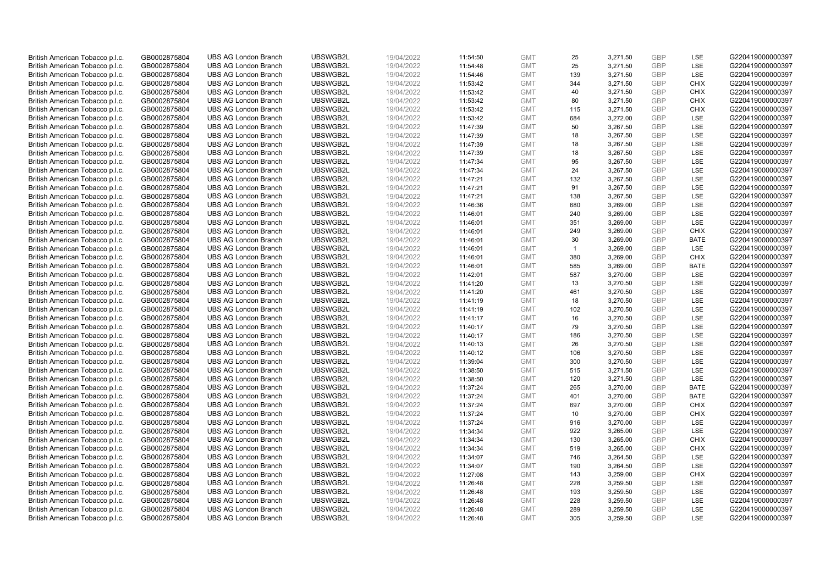| British American Tobacco p.l.c.                                    | GB0002875804                 | <b>UBS AG London Branch</b> | UBSWGB2L             | 19/04/2022               | 11:54:50             | <b>GMT</b>               | 25           | 3,271.50             | <b>GBP</b>               | LSE                        | G220419000000397                     |
|--------------------------------------------------------------------|------------------------------|-----------------------------|----------------------|--------------------------|----------------------|--------------------------|--------------|----------------------|--------------------------|----------------------------|--------------------------------------|
| British American Tobacco p.l.c.                                    | GB0002875804                 | <b>UBS AG London Branch</b> | UBSWGB2L             | 19/04/2022               | 11:54:48             | <b>GMT</b>               | 25           | 3,271.50             | <b>GBP</b>               | <b>LSE</b>                 | G220419000000397                     |
| British American Tobacco p.l.c.                                    | GB0002875804                 | <b>UBS AG London Branch</b> | UBSWGB2L             | 19/04/2022               | 11:54:46             | <b>GMT</b>               | 139          | 3,271.50             | <b>GBP</b>               | LSE                        | G220419000000397                     |
| British American Tobacco p.l.c.                                    | GB0002875804                 | <b>UBS AG London Branch</b> | UBSWGB2L             | 19/04/2022               | 11:53:42             | <b>GMT</b>               | 344          | 3,271.50             | <b>GBP</b>               | <b>CHIX</b>                | G220419000000397                     |
| British American Tobacco p.l.c.                                    | GB0002875804                 | <b>UBS AG London Branch</b> | UBSWGB2L             | 19/04/2022               | 11:53:42             | <b>GMT</b>               | 40           | 3,271.50             | <b>GBP</b>               | <b>CHIX</b>                | G220419000000397                     |
| British American Tobacco p.l.c.                                    | GB0002875804                 | <b>UBS AG London Branch</b> | UBSWGB2L             | 19/04/2022               | 11:53:42             | <b>GMT</b>               | 80           | 3,271.50             | <b>GBP</b>               | <b>CHIX</b>                | G220419000000397                     |
| British American Tobacco p.l.c.                                    | GB0002875804                 | <b>UBS AG London Branch</b> | UBSWGB2L             | 19/04/2022               | 11:53:42             | <b>GMT</b>               | 115          | 3,271.50             | <b>GBP</b>               | <b>CHIX</b>                | G220419000000397                     |
| British American Tobacco p.l.c.                                    | GB0002875804                 | <b>UBS AG London Branch</b> | UBSWGB2L             | 19/04/2022               | 11:53:42             | <b>GMT</b>               | 684          | 3,272.00             | <b>GBP</b>               | LSE                        | G220419000000397                     |
| British American Tobacco p.l.c.                                    | GB0002875804                 | <b>UBS AG London Branch</b> | UBSWGB2L             | 19/04/2022               | 11:47:39             | <b>GMT</b>               | 50           | 3,267.50             | <b>GBP</b>               | LSE                        | G220419000000397                     |
| British American Tobacco p.l.c.                                    | GB0002875804                 | <b>UBS AG London Branch</b> | UBSWGB2L             | 19/04/2022               | 11:47:39             | <b>GMT</b>               | 18           | 3,267.50             | <b>GBP</b>               | LSE                        | G220419000000397                     |
| British American Tobacco p.l.c.                                    | GB0002875804                 | <b>UBS AG London Branch</b> | UBSWGB2L             | 19/04/2022               | 11:47:39             | <b>GMT</b>               | 18           | 3,267.50             | <b>GBP</b>               | LSE                        | G220419000000397                     |
| British American Tobacco p.l.c.                                    | GB0002875804                 | <b>UBS AG London Branch</b> | UBSWGB2L             | 19/04/2022               | 11:47:39             | <b>GMT</b>               | 18           | 3,267.50             | <b>GBP</b>               | LSE                        | G220419000000397                     |
| British American Tobacco p.l.c.                                    | GB0002875804                 | <b>UBS AG London Branch</b> | UBSWGB2L             | 19/04/2022               | 11:47:34             | <b>GMT</b>               | 95           | 3,267.50             | <b>GBP</b>               | LSE                        | G220419000000397                     |
| British American Tobacco p.l.c.                                    | GB0002875804                 | <b>UBS AG London Branch</b> | UBSWGB2L             | 19/04/2022               | 11:47:34             | <b>GMT</b>               | 24           | 3,267.50             | <b>GBP</b>               | LSE                        | G220419000000397                     |
| British American Tobacco p.l.c.                                    | GB0002875804                 | <b>UBS AG London Branch</b> | UBSWGB2L             | 19/04/2022               | 11:47:21             | <b>GMT</b>               | 132          | 3,267.50             | <b>GBP</b>               | <b>LSE</b>                 | G220419000000397                     |
| British American Tobacco p.l.c.                                    | GB0002875804                 | <b>UBS AG London Branch</b> | UBSWGB2L             | 19/04/2022               | 11:47:21             | <b>GMT</b>               | 91           | 3,267.50             | <b>GBP</b>               | LSE                        | G220419000000397                     |
| British American Tobacco p.l.c.                                    | GB0002875804                 | <b>UBS AG London Branch</b> | UBSWGB2L             | 19/04/2022               | 11:47:21             | <b>GMT</b>               | 138          | 3,267.50             | <b>GBP</b>               | LSE                        | G220419000000397                     |
| British American Tobacco p.l.c.                                    | GB0002875804                 | <b>UBS AG London Branch</b> | UBSWGB2L             | 19/04/2022               | 11:46:36             | <b>GMT</b>               | 680          | 3,269.00             | <b>GBP</b>               | LSE                        | G220419000000397                     |
|                                                                    |                              | <b>UBS AG London Branch</b> | UBSWGB2L             |                          |                      |                          | 240          |                      | <b>GBP</b>               | <b>LSE</b>                 | G220419000000397                     |
| British American Tobacco p.l.c.<br>British American Tobacco p.l.c. | GB0002875804<br>GB0002875804 | <b>UBS AG London Branch</b> | UBSWGB2L             | 19/04/2022<br>19/04/2022 | 11:46:01<br>11:46:01 | <b>GMT</b><br><b>GMT</b> | 351          | 3,269.00<br>3,269.00 | <b>GBP</b>               | LSE                        | G220419000000397                     |
|                                                                    |                              |                             |                      |                          |                      |                          |              |                      |                          |                            |                                      |
| British American Tobacco p.l.c.                                    | GB0002875804                 | <b>UBS AG London Branch</b> | UBSWGB2L<br>UBSWGB2L | 19/04/2022               | 11:46:01             | <b>GMT</b>               | 249<br>30    | 3,269.00             | <b>GBP</b><br><b>GBP</b> | <b>CHIX</b><br><b>BATE</b> | G220419000000397<br>G220419000000397 |
| British American Tobacco p.l.c.                                    | GB0002875804                 | <b>UBS AG London Branch</b> |                      | 19/04/2022               | 11:46:01             | <b>GMT</b>               |              | 3,269.00             |                          |                            |                                      |
| British American Tobacco p.l.c.                                    | GB0002875804                 | <b>UBS AG London Branch</b> | UBSWGB2L             | 19/04/2022               | 11:46:01             | <b>GMT</b>               | $\mathbf{1}$ | 3,269.00             | <b>GBP</b>               | LSE                        | G220419000000397                     |
| British American Tobacco p.l.c.                                    | GB0002875804                 | <b>UBS AG London Branch</b> | UBSWGB2L             | 19/04/2022               | 11:46:01             | <b>GMT</b>               | 380          | 3,269.00             | <b>GBP</b>               | <b>CHIX</b>                | G220419000000397                     |
| British American Tobacco p.l.c.                                    | GB0002875804                 | <b>UBS AG London Branch</b> | UBSWGB2L             | 19/04/2022               | 11:46:01             | <b>GMT</b>               | 585          | 3,269.00             | <b>GBP</b>               | <b>BATE</b>                | G220419000000397                     |
| British American Tobacco p.l.c.                                    | GB0002875804                 | <b>UBS AG London Branch</b> | UBSWGB2L             | 19/04/2022               | 11:42:01             | <b>GMT</b>               | 587          | 3,270.00             | <b>GBP</b>               | LSE                        | G220419000000397                     |
| British American Tobacco p.l.c.                                    | GB0002875804                 | <b>UBS AG London Branch</b> | UBSWGB2L             | 19/04/2022               | 11:41:20             | <b>GMT</b>               | 13           | 3,270.50             | <b>GBP</b>               | LSE                        | G220419000000397                     |
| British American Tobacco p.l.c.                                    | GB0002875804                 | <b>UBS AG London Branch</b> | UBSWGB2L             | 19/04/2022               | 11:41:20             | <b>GMT</b>               | 461          | 3,270.50             | <b>GBP</b>               | <b>LSE</b>                 | G220419000000397                     |
| British American Tobacco p.l.c.                                    | GB0002875804                 | <b>UBS AG London Branch</b> | UBSWGB2L             | 19/04/2022               | 11:41:19             | <b>GMT</b>               | 18           | 3,270.50             | <b>GBP</b>               | LSE                        | G220419000000397                     |
| British American Tobacco p.l.c.                                    | GB0002875804                 | <b>UBS AG London Branch</b> | UBSWGB2L             | 19/04/2022               | 11:41:19             | <b>GMT</b>               | 102          | 3,270.50             | <b>GBP</b>               | LSE                        | G220419000000397                     |
| British American Tobacco p.l.c.                                    | GB0002875804                 | <b>UBS AG London Branch</b> | UBSWGB2L             | 19/04/2022               | 11:41:17             | <b>GMT</b>               | 16           | 3,270.50             | <b>GBP</b>               | LSE                        | G220419000000397                     |
| British American Tobacco p.l.c.                                    | GB0002875804                 | <b>UBS AG London Branch</b> | UBSWGB2L             | 19/04/2022               | 11:40:17             | <b>GMT</b>               | 79           | 3,270.50             | <b>GBP</b>               | <b>LSE</b>                 | G220419000000397                     |
| British American Tobacco p.l.c.                                    | GB0002875804                 | <b>UBS AG London Branch</b> | UBSWGB2L             | 19/04/2022               | 11:40:17             | <b>GMT</b>               | 186          | 3,270.50             | <b>GBP</b>               | LSE                        | G220419000000397                     |
| British American Tobacco p.l.c.                                    | GB0002875804                 | <b>UBS AG London Branch</b> | UBSWGB2L             | 19/04/2022               | 11:40:13             | <b>GMT</b>               | 26           | 3,270.50             | <b>GBP</b>               | LSE                        | G220419000000397                     |
| British American Tobacco p.l.c.                                    | GB0002875804                 | <b>UBS AG London Branch</b> | UBSWGB2L             | 19/04/2022               | 11:40:12             | <b>GMT</b>               | 106          | 3,270.50             | <b>GBP</b>               | LSE                        | G220419000000397                     |
| British American Tobacco p.l.c.                                    | GB0002875804                 | <b>UBS AG London Branch</b> | UBSWGB2L             | 19/04/2022               | 11:39:04             | <b>GMT</b>               | 300          | 3,270.50             | <b>GBP</b>               | LSE                        | G220419000000397                     |
| British American Tobacco p.l.c.                                    | GB0002875804                 | <b>UBS AG London Branch</b> | UBSWGB2L             | 19/04/2022               | 11:38:50             | <b>GMT</b>               | 515          | 3,271.50             | <b>GBP</b>               | <b>LSE</b>                 | G220419000000397                     |
| British American Tobacco p.l.c.                                    | GB0002875804                 | <b>UBS AG London Branch</b> | UBSWGB2L             | 19/04/2022               | 11:38:50             | <b>GMT</b>               | 120          | 3,271.50             | <b>GBP</b>               | LSE                        | G220419000000397                     |
| British American Tobacco p.l.c.                                    | GB0002875804                 | <b>UBS AG London Branch</b> | UBSWGB2L             | 19/04/2022               | 11:37:24             | <b>GMT</b>               | 265          | 3,270.00             | <b>GBP</b>               | <b>BATE</b>                | G220419000000397                     |
| British American Tobacco p.l.c.                                    | GB0002875804                 | <b>UBS AG London Branch</b> | UBSWGB2L             | 19/04/2022               | 11:37:24             | <b>GMT</b>               | 401          | 3,270.00             | <b>GBP</b>               | <b>BATE</b>                | G220419000000397                     |
| British American Tobacco p.l.c.                                    | GB0002875804                 | <b>UBS AG London Branch</b> | UBSWGB2L             | 19/04/2022               | 11:37:24             | <b>GMT</b>               | 697          | 3,270.00             | <b>GBP</b>               | <b>CHIX</b>                | G220419000000397                     |
| British American Tobacco p.l.c.                                    | GB0002875804                 | <b>UBS AG London Branch</b> | UBSWGB2L             | 19/04/2022               | 11:37:24             | <b>GMT</b>               | 10           | 3,270.00             | <b>GBP</b>               | <b>CHIX</b>                | G220419000000397                     |
| British American Tobacco p.l.c.                                    | GB0002875804                 | <b>UBS AG London Branch</b> | UBSWGB2L             | 19/04/2022               | 11:37:24             | <b>GMT</b>               | 916          | 3,270.00             | <b>GBP</b>               | LSE                        | G220419000000397                     |
| British American Tobacco p.l.c.                                    | GB0002875804                 | <b>UBS AG London Branch</b> | UBSWGB2L             | 19/04/2022               | 11:34:34             | <b>GMT</b>               | 922          | 3,265.00             | <b>GBP</b>               | LSE                        | G220419000000397                     |
| British American Tobacco p.l.c.                                    | GB0002875804                 | <b>UBS AG London Branch</b> | UBSWGB2L             | 19/04/2022               | 11:34:34             | <b>GMT</b>               | 130          | 3,265.00             | <b>GBP</b>               | <b>CHIX</b>                | G220419000000397                     |
| British American Tobacco p.l.c.                                    | GB0002875804                 | <b>UBS AG London Branch</b> | UBSWGB2L             | 19/04/2022               | 11:34:34             | <b>GMT</b>               | 519          | 3,265.00             | <b>GBP</b>               | <b>CHIX</b>                | G220419000000397                     |
| British American Tobacco p.l.c.                                    | GB0002875804                 | <b>UBS AG London Branch</b> | UBSWGB2L             | 19/04/2022               | 11:34:07             | <b>GMT</b>               | 746          | 3,264.50             | <b>GBP</b>               | LSE                        | G220419000000397                     |
| British American Tobacco p.l.c.                                    | GB0002875804                 | <b>UBS AG London Branch</b> | UBSWGB2L             | 19/04/2022               | 11:34:07             | <b>GMT</b>               | 190          | 3,264.50             | <b>GBP</b>               | LSE                        | G220419000000397                     |
| British American Tobacco p.l.c.                                    | GB0002875804                 | <b>UBS AG London Branch</b> | UBSWGB2L             | 19/04/2022               | 11:27:08             | <b>GMT</b>               | 143          | 3,259.00             | <b>GBP</b>               | <b>CHIX</b>                | G220419000000397                     |
| British American Tobacco p.l.c.                                    | GB0002875804                 | <b>UBS AG London Branch</b> | UBSWGB2L             | 19/04/2022               | 11:26:48             | <b>GMT</b>               | 228          | 3,259.50             | <b>GBP</b>               | <b>LSE</b>                 | G220419000000397                     |
| British American Tobacco p.l.c.                                    | GB0002875804                 | <b>UBS AG London Branch</b> | UBSWGB2L             | 19/04/2022               | 11:26:48             | <b>GMT</b>               | 193          | 3,259.50             | <b>GBP</b>               | LSE                        | G220419000000397                     |
| British American Tobacco p.l.c.                                    | GB0002875804                 | <b>UBS AG London Branch</b> | UBSWGB2L             | 19/04/2022               | 11:26:48             | <b>GMT</b>               | 228          | 3,259.50             | <b>GBP</b>               | LSE                        | G220419000000397                     |
| British American Tobacco p.l.c.                                    | GB0002875804                 | <b>UBS AG London Branch</b> | UBSWGB2L             | 19/04/2022               | 11:26:48             | <b>GMT</b>               | 289          | 3,259.50             | <b>GBP</b>               | LSE                        | G220419000000397                     |
| British American Tobacco p.l.c.                                    | GB0002875804                 | <b>UBS AG London Branch</b> | UBSWGB2L             | 19/04/2022               | 11:26:48             | <b>GMT</b>               | 305          | 3.259.50             | GBP                      | <b>LSE</b>                 | G220419000000397                     |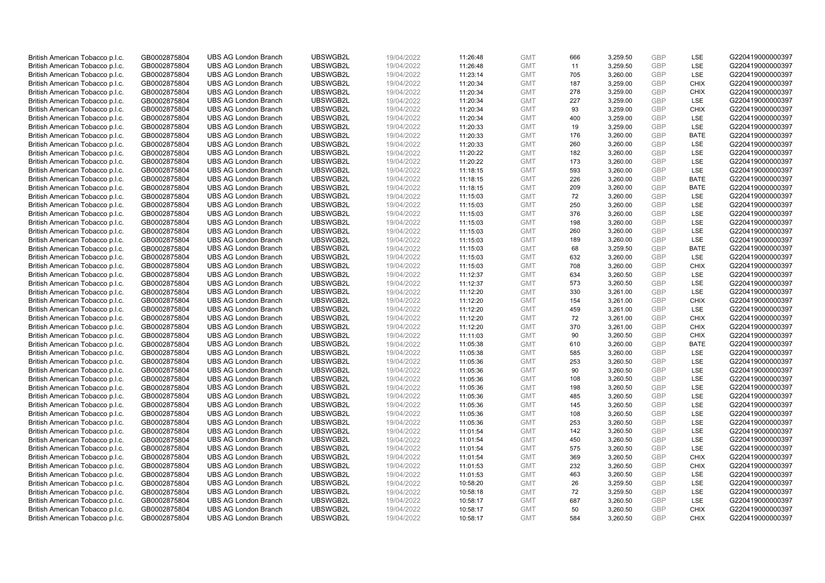| British American Tobacco p.l.c. | GB0002875804                 | <b>UBS AG London Branch</b>                                | UBSWGB2L             | 19/04/2022               | 11:26:48             | <b>GMT</b>               | 666       | 3,259.50             | <b>GBP</b> | LSE                        | G220419000000397                     |
|---------------------------------|------------------------------|------------------------------------------------------------|----------------------|--------------------------|----------------------|--------------------------|-----------|----------------------|------------|----------------------------|--------------------------------------|
| British American Tobacco p.l.c. | GB0002875804                 | <b>UBS AG London Branch</b>                                | UBSWGB2L             | 19/04/2022               | 11:26:48             | <b>GMT</b>               | 11        | 3,259.50             | GBP        | LSE                        | G220419000000397                     |
| British American Tobacco p.l.c. | GB0002875804                 | <b>UBS AG London Branch</b>                                | UBSWGB2L             | 19/04/2022               | 11:23:14             | <b>GMT</b>               | 705       | 3,260.00             | <b>GBP</b> | LSE                        | G220419000000397                     |
| British American Tobacco p.l.c. | GB0002875804                 | <b>UBS AG London Branch</b>                                | UBSWGB2L             | 19/04/2022               | 11:20:34             | <b>GMT</b>               | 187       | 3,259.00             | GBP        | <b>CHIX</b>                | G220419000000397                     |
| British American Tobacco p.l.c. | GB0002875804                 | <b>UBS AG London Branch</b>                                | UBSWGB2L             | 19/04/2022               | 11:20:34             | <b>GMT</b>               | 278       | 3,259.00             | <b>GBP</b> | <b>CHIX</b>                | G220419000000397                     |
| British American Tobacco p.l.c. | GB0002875804                 | <b>UBS AG London Branch</b>                                | UBSWGB2L             | 19/04/2022               | 11:20:34             | <b>GMT</b>               | 227       | 3,259.00             | <b>GBP</b> | <b>LSE</b>                 | G220419000000397                     |
| British American Tobacco p.l.c. | GB0002875804                 | <b>UBS AG London Branch</b>                                | UBSWGB2L             | 19/04/2022               | 11:20:34             | <b>GMT</b>               | 93        | 3,259.00             | <b>GBP</b> | <b>CHIX</b>                | G220419000000397                     |
| British American Tobacco p.l.c. | GB0002875804                 | <b>UBS AG London Branch</b>                                | UBSWGB2L             | 19/04/2022               | 11:20:34             | <b>GMT</b>               | 400       | 3,259.00             | GBP        | <b>LSE</b>                 | G220419000000397                     |
| British American Tobacco p.l.c. | GB0002875804                 | <b>UBS AG London Branch</b>                                | UBSWGB2L             | 19/04/2022               | 11:20:33             | <b>GMT</b>               | 19        | 3,259.00             | <b>GBP</b> | <b>LSE</b>                 | G220419000000397                     |
| British American Tobacco p.l.c. | GB0002875804                 | <b>UBS AG London Branch</b>                                | UBSWGB2L             | 19/04/2022               | 11:20:33             | <b>GMT</b>               | 176       | 3,260.00             | <b>GBP</b> | <b>BATE</b>                | G220419000000397                     |
| British American Tobacco p.l.c. | GB0002875804                 | <b>UBS AG London Branch</b>                                | UBSWGB2L             | 19/04/2022               | 11:20:33             | <b>GMT</b>               | 260       | 3,260.00             | <b>GBP</b> | <b>LSE</b>                 | G220419000000397                     |
| British American Tobacco p.l.c. | GB0002875804                 | <b>UBS AG London Branch</b>                                | UBSWGB2L             | 19/04/2022               | 11:20:22             | <b>GMT</b>               | 182       | 3,260.00             | <b>GBP</b> | LSE                        | G220419000000397                     |
| British American Tobacco p.l.c. | GB0002875804                 | <b>UBS AG London Branch</b>                                | UBSWGB2L             | 19/04/2022               | 11:20:22             | <b>GMT</b>               | 173       | 3,260.00             | <b>GBP</b> | LSE                        | G220419000000397                     |
| British American Tobacco p.l.c. | GB0002875804                 | <b>UBS AG London Branch</b>                                | UBSWGB2L             | 19/04/2022               | 11:18:15             | <b>GMT</b>               | 593       | 3,260.00             | <b>GBP</b> | LSE                        | G220419000000397                     |
| British American Tobacco p.l.c. | GB0002875804                 | <b>UBS AG London Branch</b>                                | UBSWGB2L             | 19/04/2022               | 11:18:15             | <b>GMT</b>               | 226       | 3,260.00             | <b>GBP</b> | <b>BATE</b>                | G220419000000397                     |
| British American Tobacco p.l.c. | GB0002875804                 | <b>UBS AG London Branch</b>                                | UBSWGB2L             | 19/04/2022               | 11:18:15             | <b>GMT</b>               | 209       | 3,260.00             | <b>GBP</b> | <b>BATE</b>                | G220419000000397                     |
| British American Tobacco p.l.c. | GB0002875804                 | <b>UBS AG London Branch</b>                                | UBSWGB2L             | 19/04/2022               | 11:15:03             | <b>GMT</b>               | 72        | 3,260.00             | <b>GBP</b> | LSE                        | G220419000000397                     |
| British American Tobacco p.l.c. | GB0002875804                 | <b>UBS AG London Branch</b>                                | UBSWGB2L             | 19/04/2022               | 11:15:03             | <b>GMT</b>               | 250       | 3,260.00             | <b>GBP</b> | LSE                        | G220419000000397                     |
| British American Tobacco p.l.c. | GB0002875804                 | <b>UBS AG London Branch</b>                                | UBSWGB2L             | 19/04/2022               | 11:15:03             | <b>GMT</b>               | 376       | 3,260.00             | GBP        | <b>LSE</b>                 | G220419000000397                     |
| British American Tobacco p.l.c. | GB0002875804                 | <b>UBS AG London Branch</b>                                | UBSWGB2L             | 19/04/2022               | 11:15:03             | <b>GMT</b>               | 198       | 3,260.00             | <b>GBP</b> | LSE                        | G220419000000397                     |
| British American Tobacco p.l.c. | GB0002875804                 | <b>UBS AG London Branch</b>                                | UBSWGB2L             | 19/04/2022               | 11:15:03             | <b>GMT</b>               | 260       | 3,260.00             | GBP        | LSE                        | G220419000000397                     |
| British American Tobacco p.l.c. | GB0002875804                 | <b>UBS AG London Branch</b>                                | UBSWGB2L             | 19/04/2022               | 11:15:03             | <b>GMT</b>               | 189       | 3,260.00             | <b>GBP</b> | LSE                        | G220419000000397                     |
| British American Tobacco p.l.c. | GB0002875804                 | <b>UBS AG London Branch</b>                                | UBSWGB2L             | 19/04/2022               | 11:15:03             | <b>GMT</b>               | 68        | 3,259.50             | <b>GBP</b> | <b>BATE</b>                | G220419000000397                     |
| British American Tobacco p.l.c. | GB0002875804                 | <b>UBS AG London Branch</b>                                | UBSWGB2L             | 19/04/2022               | 11:15:03             | <b>GMT</b>               | 632       | 3,260.00             | <b>GBP</b> | <b>LSE</b>                 | G220419000000397                     |
| British American Tobacco p.l.c. | GB0002875804                 | <b>UBS AG London Branch</b>                                | UBSWGB2L             | 19/04/2022               | 11:15:03             | <b>GMT</b>               | 708       | 3,260.00             | <b>GBP</b> | <b>CHIX</b>                | G220419000000397                     |
| British American Tobacco p.l.c. | GB0002875804                 | <b>UBS AG London Branch</b>                                | UBSWGB2L             | 19/04/2022               | 11:12:37             | <b>GMT</b>               | 634       | 3,260.50             | <b>GBP</b> | <b>LSE</b>                 | G220419000000397                     |
| British American Tobacco p.l.c. | GB0002875804                 | <b>UBS AG London Branch</b>                                | UBSWGB2L             | 19/04/2022               | 11:12:37             | <b>GMT</b>               | 573       | 3,260.50             | <b>GBP</b> | <b>LSE</b>                 | G220419000000397                     |
| British American Tobacco p.l.c. | GB0002875804                 | <b>UBS AG London Branch</b>                                | UBSWGB2L             | 19/04/2022               | 11:12:20             | <b>GMT</b>               | 330       | 3,261.00             | <b>GBP</b> | <b>LSE</b>                 | G220419000000397                     |
| British American Tobacco p.l.c. | GB0002875804                 | <b>UBS AG London Branch</b>                                | UBSWGB2L             | 19/04/2022               | 11:12:20             | <b>GMT</b>               | 154       | 3,261.00             | <b>GBP</b> | <b>CHIX</b>                | G220419000000397                     |
| British American Tobacco p.l.c. | GB0002875804                 | <b>UBS AG London Branch</b>                                | UBSWGB2L             | 19/04/2022               | 11:12:20             | <b>GMT</b>               | 459       | 3,261.00             | <b>GBP</b> | LSE                        | G220419000000397                     |
| British American Tobacco p.l.c. | GB0002875804                 | <b>UBS AG London Branch</b>                                | UBSWGB2L             | 19/04/2022               | 11:12:20             | <b>GMT</b>               | 72        | 3,261.00             | GBP        | <b>CHIX</b>                | G220419000000397                     |
| British American Tobacco p.l.c. | GB0002875804                 | <b>UBS AG London Branch</b>                                | UBSWGB2L             | 19/04/2022               | 11:12:20             | <b>GMT</b>               | 370       | 3,261.00             | <b>GBP</b> | <b>CHIX</b>                | G220419000000397                     |
| British American Tobacco p.l.c. | GB0002875804                 | <b>UBS AG London Branch</b>                                | UBSWGB2L             | 19/04/2022               | 11:11:03             | <b>GMT</b>               | 90        | 3,260.50             | <b>GBP</b> | <b>CHIX</b>                | G220419000000397                     |
| British American Tobacco p.l.c. | GB0002875804                 | <b>UBS AG London Branch</b>                                | UBSWGB2L             | 19/04/2022               | 11:05:38             | <b>GMT</b>               | 610       | 3,260.00             | GBP        | <b>BATE</b>                | G220419000000397                     |
| British American Tobacco p.l.c. | GB0002875804                 | <b>UBS AG London Branch</b>                                | UBSWGB2L             | 19/04/2022               | 11:05:38             | <b>GMT</b>               | 585       | 3,260.00             | GBP        | LSE                        | G220419000000397                     |
| British American Tobacco p.l.c. | GB0002875804                 | <b>UBS AG London Branch</b>                                | UBSWGB2L             | 19/04/2022               | 11:05:36             | <b>GMT</b>               | 253       | 3,260.50             | GBP        | LSE                        | G220419000000397                     |
| British American Tobacco p.l.c. | GB0002875804                 | <b>UBS AG London Branch</b>                                | UBSWGB2L             | 19/04/2022               | 11:05:36             | <b>GMT</b>               | 90        | 3,260.50             | GBP        | LSE                        | G220419000000397                     |
| British American Tobacco p.l.c. | GB0002875804                 | <b>UBS AG London Branch</b>                                | UBSWGB2L             | 19/04/2022               | 11:05:36             | <b>GMT</b>               | 108       | 3,260.50             | <b>GBP</b> | LSE                        | G220419000000397                     |
| British American Tobacco p.l.c. | GB0002875804                 | <b>UBS AG London Branch</b>                                | UBSWGB2L             | 19/04/2022               | 11:05:36             | <b>GMT</b>               | 198       | 3,260.50             | <b>GBP</b> | <b>LSE</b>                 | G220419000000397                     |
| British American Tobacco p.l.c. | GB0002875804                 | <b>UBS AG London Branch</b>                                | UBSWGB2L             | 19/04/2022               | 11:05:36             | <b>GMT</b>               | 485       | 3,260.50             | GBP        | <b>LSE</b>                 | G220419000000397                     |
| British American Tobacco p.l.c. | GB0002875804                 | <b>UBS AG London Branch</b>                                | UBSWGB2L             | 19/04/2022               | 11:05:36             | <b>GMT</b>               | 145       | 3,260.50             | <b>GBP</b> | <b>LSE</b>                 | G220419000000397                     |
| British American Tobacco p.l.c. | GB0002875804                 | <b>UBS AG London Branch</b>                                | UBSWGB2L             | 19/04/2022               | 11:05:36             | <b>GMT</b>               | 108       | 3,260.50             | <b>GBP</b> | LSE                        | G220419000000397                     |
| British American Tobacco p.l.c. | GB0002875804                 | <b>UBS AG London Branch</b>                                | UBSWGB2L             | 19/04/2022               | 11:05:36             | <b>GMT</b>               | 253       | 3,260.50             | GBP        | LSE                        | G220419000000397                     |
| British American Tobacco p.l.c. | GB0002875804                 | <b>UBS AG London Branch</b>                                | UBSWGB2L             | 19/04/2022               | 11:01:54             | <b>GMT</b>               | 142       | 3,260.50             | GBP        | LSE                        | G220419000000397                     |
| British American Tobacco p.l.c. | GB0002875804                 | <b>UBS AG London Branch</b>                                | UBSWGB2L             | 19/04/2022               | 11:01:54             | <b>GMT</b>               | 450       | 3,260.50             | <b>GBP</b> | <b>LSE</b>                 | G220419000000397                     |
| British American Tobacco p.l.c. | GB0002875804                 | <b>UBS AG London Branch</b>                                | UBSWGB2L             | 19/04/2022               | 11:01:54             | <b>GMT</b>               | 575       | 3,260.50             | <b>GBP</b> | LSE                        | G220419000000397                     |
| British American Tobacco p.l.c. | GB0002875804                 | <b>UBS AG London Branch</b>                                | UBSWGB2L             | 19/04/2022               | 11:01:54             | <b>GMT</b>               | 369       | 3,260.50             | <b>GBP</b> | <b>CHIX</b>                | G220419000000397                     |
| British American Tobacco p.l.c. | GB0002875804                 | <b>UBS AG London Branch</b>                                | UBSWGB2L             | 19/04/2022               | 11:01:53             | <b>GMT</b>               | 232       | 3,260.50             | <b>GBP</b> | <b>CHIX</b>                | G220419000000397                     |
| British American Tobacco p.l.c. | GB0002875804                 | <b>UBS AG London Branch</b>                                | UBSWGB2L             | 19/04/2022               |                      | <b>GMT</b>               | 463       |                      | <b>GBP</b> | LSE                        | G220419000000397                     |
| British American Tobacco p.l.c. | GB0002875804                 | <b>UBS AG London Branch</b>                                | UBSWGB2L             | 19/04/2022               | 11:01:53<br>10:58:20 | <b>GMT</b>               | 26        | 3,260.50<br>3,259.50 | <b>GBP</b> | LSE                        | G220419000000397                     |
|                                 |                              |                                                            | UBSWGB2L             |                          |                      |                          |           |                      | <b>GBP</b> | LSE                        |                                      |
| British American Tobacco p.l.c. | GB0002875804                 | <b>UBS AG London Branch</b><br><b>UBS AG London Branch</b> | UBSWGB2L             | 19/04/2022               | 10:58:18             | <b>GMT</b><br><b>GMT</b> | 72<br>687 | 3,259.50             | <b>GBP</b> | LSE                        | G220419000000397<br>G220419000000397 |
| British American Tobacco p.l.c. | GB0002875804                 |                                                            |                      | 19/04/2022               | 10:58:17             |                          |           | 3,260.50             | GBP        |                            |                                      |
| British American Tobacco p.l.c. | GB0002875804<br>GB0002875804 | <b>UBS AG London Branch</b>                                | UBSWGB2L<br>UBSWGB2L | 19/04/2022<br>19/04/2022 | 10:58:17             | <b>GMT</b><br><b>GMT</b> | 50<br>584 | 3,260.50<br>3.260.50 | GBP        | <b>CHIX</b><br><b>CHIX</b> | G220419000000397                     |
| British American Tobacco p.l.c. |                              | <b>UBS AG London Branch</b>                                |                      |                          | 10:58:17             |                          |           |                      |            |                            | G220419000000397                     |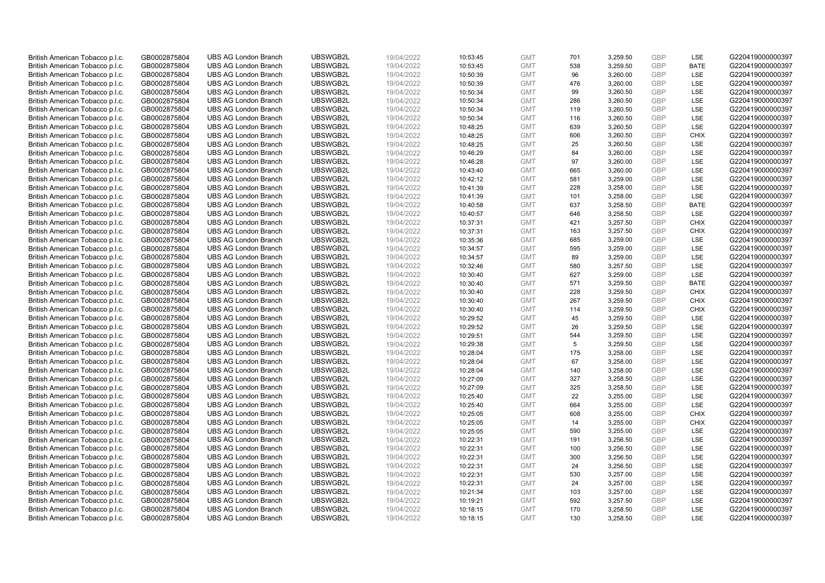| British American Tobacco p.l.c. | GB0002875804 | <b>UBS AG London Branch</b> | UBSWGB2L | 19/04/2022 | 10:53:45 | <b>GMT</b> | 701 | 3,259.50 | <b>GBP</b> | LSE         | G220419000000397 |
|---------------------------------|--------------|-----------------------------|----------|------------|----------|------------|-----|----------|------------|-------------|------------------|
| British American Tobacco p.l.c. | GB0002875804 | <b>UBS AG London Branch</b> | UBSWGB2L | 19/04/2022 | 10:53:45 | <b>GMT</b> | 538 | 3,259.50 | <b>GBP</b> | <b>BATE</b> | G220419000000397 |
| British American Tobacco p.l.c. | GB0002875804 | <b>UBS AG London Branch</b> | UBSWGB2L | 19/04/2022 | 10:50:39 | <b>GMT</b> | 96  | 3,260.00 | <b>GBP</b> | LSE         | G220419000000397 |
| British American Tobacco p.l.c. | GB0002875804 | <b>UBS AG London Branch</b> | UBSWGB2L | 19/04/2022 | 10:50:39 | <b>GMT</b> | 476 | 3,260.00 | <b>GBP</b> | LSE         | G220419000000397 |
| British American Tobacco p.l.c. | GB0002875804 | <b>UBS AG London Branch</b> | UBSWGB2L | 19/04/2022 | 10:50:34 | <b>GMT</b> | 99  | 3,260.50 | <b>GBP</b> | LSE         | G220419000000397 |
| British American Tobacco p.l.c. | GB0002875804 | <b>UBS AG London Branch</b> | UBSWGB2L | 19/04/2022 | 10:50:34 | <b>GMT</b> | 286 | 3,260.50 | <b>GBP</b> | LSE         | G220419000000397 |
| British American Tobacco p.l.c. | GB0002875804 | <b>UBS AG London Branch</b> | UBSWGB2L | 19/04/2022 | 10:50:34 | <b>GMT</b> | 119 | 3,260.50 | <b>GBP</b> | LSE         | G220419000000397 |
| British American Tobacco p.l.c. | GB0002875804 | <b>UBS AG London Branch</b> | UBSWGB2L | 19/04/2022 | 10:50:34 | <b>GMT</b> | 116 | 3,260.50 | <b>GBP</b> | LSE         | G220419000000397 |
| British American Tobacco p.l.c. | GB0002875804 | <b>UBS AG London Branch</b> | UBSWGB2L | 19/04/2022 | 10:48:25 | <b>GMT</b> | 639 | 3,260.50 | <b>GBP</b> | LSE         | G220419000000397 |
| British American Tobacco p.l.c. | GB0002875804 | <b>UBS AG London Branch</b> | UBSWGB2L | 19/04/2022 | 10:48:25 | <b>GMT</b> | 606 | 3,260.50 | <b>GBP</b> | <b>CHIX</b> | G220419000000397 |
| British American Tobacco p.l.c. | GB0002875804 | <b>UBS AG London Branch</b> | UBSWGB2L | 19/04/2022 | 10:48:25 | <b>GMT</b> | 25  | 3,260.50 | <b>GBP</b> | LSE         | G220419000000397 |
| British American Tobacco p.l.c. | GB0002875804 | <b>UBS AG London Branch</b> | UBSWGB2L | 19/04/2022 | 10:46:29 | <b>GMT</b> | 84  | 3,260.00 | <b>GBP</b> | LSE         | G220419000000397 |
| British American Tobacco p.l.c. | GB0002875804 | <b>UBS AG London Branch</b> | UBSWGB2L | 19/04/2022 | 10:46:28 | <b>GMT</b> | 97  | 3,260.00 | <b>GBP</b> | LSE         | G220419000000397 |
| British American Tobacco p.l.c. | GB0002875804 | <b>UBS AG London Branch</b> | UBSWGB2L | 19/04/2022 | 10:43:40 | <b>GMT</b> | 665 | 3,260.00 | <b>GBP</b> | LSE         | G220419000000397 |
| British American Tobacco p.l.c. | GB0002875804 | <b>UBS AG London Branch</b> | UBSWGB2L | 19/04/2022 | 10:42:12 | <b>GMT</b> | 581 | 3,259.00 | GBP        | LSE         | G220419000000397 |
|                                 |              | <b>UBS AG London Branch</b> | UBSWGB2L |            |          | <b>GMT</b> | 228 | 3,258.00 | <b>GBP</b> | LSE         | G220419000000397 |
| British American Tobacco p.l.c. | GB0002875804 | <b>UBS AG London Branch</b> | UBSWGB2L | 19/04/2022 | 10:41:39 | <b>GMT</b> |     |          | <b>GBP</b> |             | G220419000000397 |
| British American Tobacco p.l.c. | GB0002875804 |                             |          | 19/04/2022 | 10:41:39 |            | 101 | 3,258.00 |            | LSE         |                  |
| British American Tobacco p.l.c. | GB0002875804 | <b>UBS AG London Branch</b> | UBSWGB2L | 19/04/2022 | 10:40:58 | <b>GMT</b> | 637 | 3,258.50 | <b>GBP</b> | <b>BATE</b> | G220419000000397 |
| British American Tobacco p.l.c. | GB0002875804 | <b>UBS AG London Branch</b> | UBSWGB2L | 19/04/2022 | 10:40:57 | <b>GMT</b> | 646 | 3,258.50 | <b>GBP</b> | <b>LSE</b>  | G220419000000397 |
| British American Tobacco p.l.c. | GB0002875804 | <b>UBS AG London Branch</b> | UBSWGB2L | 19/04/2022 | 10:37:31 | <b>GMT</b> | 421 | 3,257.50 | <b>GBP</b> | <b>CHIX</b> | G220419000000397 |
| British American Tobacco p.l.c. | GB0002875804 | <b>UBS AG London Branch</b> | UBSWGB2L | 19/04/2022 | 10:37:31 | <b>GMT</b> | 163 | 3,257.50 | <b>GBP</b> | <b>CHIX</b> | G220419000000397 |
| British American Tobacco p.l.c. | GB0002875804 | <b>UBS AG London Branch</b> | UBSWGB2L | 19/04/2022 | 10:35:36 | <b>GMT</b> | 685 | 3,259.00 | <b>GBP</b> | LSE         | G220419000000397 |
| British American Tobacco p.l.c. | GB0002875804 | <b>UBS AG London Branch</b> | UBSWGB2L | 19/04/2022 | 10:34:57 | <b>GMT</b> | 595 | 3,259.00 | <b>GBP</b> | LSE         | G220419000000397 |
| British American Tobacco p.l.c. | GB0002875804 | <b>UBS AG London Branch</b> | UBSWGB2L | 19/04/2022 | 10:34:57 | <b>GMT</b> | 89  | 3,259.00 | <b>GBP</b> | <b>LSE</b>  | G220419000000397 |
| British American Tobacco p.l.c. | GB0002875804 | <b>UBS AG London Branch</b> | UBSWGB2L | 19/04/2022 | 10:32:46 | <b>GMT</b> | 580 | 3,257.50 | <b>GBP</b> | LSE         | G220419000000397 |
| British American Tobacco p.l.c. | GB0002875804 | <b>UBS AG London Branch</b> | UBSWGB2L | 19/04/2022 | 10:30:40 | <b>GMT</b> | 627 | 3,259.00 | <b>GBP</b> | LSE         | G220419000000397 |
| British American Tobacco p.l.c. | GB0002875804 | <b>UBS AG London Branch</b> | UBSWGB2L | 19/04/2022 | 10:30:40 | <b>GMT</b> | 571 | 3,259.50 | <b>GBP</b> | <b>BATE</b> | G220419000000397 |
| British American Tobacco p.l.c. | GB0002875804 | <b>UBS AG London Branch</b> | UBSWGB2L | 19/04/2022 | 10:30:40 | <b>GMT</b> | 228 | 3,259.50 | <b>GBP</b> | <b>CHIX</b> | G220419000000397 |
| British American Tobacco p.l.c. | GB0002875804 | <b>UBS AG London Branch</b> | UBSWGB2L | 19/04/2022 | 10:30:40 | <b>GMT</b> | 267 | 3,259.50 | <b>GBP</b> | <b>CHIX</b> | G220419000000397 |
| British American Tobacco p.l.c. | GB0002875804 | <b>UBS AG London Branch</b> | UBSWGB2L | 19/04/2022 | 10:30:40 | <b>GMT</b> | 114 | 3,259.50 | <b>GBP</b> | <b>CHIX</b> | G220419000000397 |
| British American Tobacco p.l.c. | GB0002875804 | <b>UBS AG London Branch</b> | UBSWGB2L | 19/04/2022 | 10:29:52 | <b>GMT</b> | 45  | 3,259.50 | <b>GBP</b> | LSE         | G220419000000397 |
| British American Tobacco p.l.c. | GB0002875804 | <b>UBS AG London Branch</b> | UBSWGB2L | 19/04/2022 | 10:29:52 | <b>GMT</b> | 26  | 3,259.50 | <b>GBP</b> | <b>LSE</b>  | G220419000000397 |
| British American Tobacco p.l.c. | GB0002875804 | <b>UBS AG London Branch</b> | UBSWGB2L | 19/04/2022 | 10:29:51 | <b>GMT</b> | 544 | 3,259.50 | <b>GBP</b> | LSE         | G220419000000397 |
| British American Tobacco p.l.c. | GB0002875804 | <b>UBS AG London Branch</b> | UBSWGB2L | 19/04/2022 | 10:29:38 | <b>GMT</b> | 5   | 3,259.50 | <b>GBP</b> | LSE         | G220419000000397 |
| British American Tobacco p.l.c. | GB0002875804 | <b>UBS AG London Branch</b> | UBSWGB2L | 19/04/2022 | 10:28:04 | <b>GMT</b> | 175 | 3,258.00 | <b>GBP</b> | LSE         | G220419000000397 |
| British American Tobacco p.l.c. | GB0002875804 | <b>UBS AG London Branch</b> | UBSWGB2L | 19/04/2022 | 10:28:04 | <b>GMT</b> | 67  | 3,258.00 | <b>GBP</b> | LSE         | G220419000000397 |
| British American Tobacco p.l.c. | GB0002875804 | <b>UBS AG London Branch</b> | UBSWGB2L | 19/04/2022 | 10:28:04 | <b>GMT</b> | 140 | 3,258.00 | <b>GBP</b> | <b>LSE</b>  | G220419000000397 |
| British American Tobacco p.l.c. | GB0002875804 | <b>UBS AG London Branch</b> | UBSWGB2L | 19/04/2022 | 10:27:09 | <b>GMT</b> | 327 | 3,258.50 | <b>GBP</b> | LSE         | G220419000000397 |
| British American Tobacco p.l.c. | GB0002875804 | <b>UBS AG London Branch</b> | UBSWGB2L | 19/04/2022 | 10:27:09 | <b>GMT</b> | 325 | 3,258.50 | <b>GBP</b> | LSE         | G220419000000397 |
| British American Tobacco p.l.c. | GB0002875804 | <b>UBS AG London Branch</b> | UBSWGB2L | 19/04/2022 | 10:25:40 | <b>GMT</b> | 22  | 3,255.00 | <b>GBP</b> | LSE         | G220419000000397 |
| British American Tobacco p.l.c. | GB0002875804 | <b>UBS AG London Branch</b> | UBSWGB2L | 19/04/2022 | 10:25:40 | <b>GMT</b> | 664 | 3,255.00 | <b>GBP</b> | LSE         | G220419000000397 |
| British American Tobacco p.l.c. | GB0002875804 | <b>UBS AG London Branch</b> | UBSWGB2L | 19/04/2022 | 10:25:05 | <b>GMT</b> | 608 | 3,255.00 | <b>GBP</b> | <b>CHIX</b> | G220419000000397 |
| British American Tobacco p.l.c. | GB0002875804 | <b>UBS AG London Branch</b> | UBSWGB2L | 19/04/2022 | 10:25:05 | <b>GMT</b> | 14  | 3,255.00 | <b>GBP</b> | <b>CHIX</b> | G220419000000397 |
| British American Tobacco p.l.c. | GB0002875804 | <b>UBS AG London Branch</b> | UBSWGB2L | 19/04/2022 | 10:25:05 | <b>GMT</b> | 590 | 3,255.00 | <b>GBP</b> | LSE         | G220419000000397 |
| British American Tobacco p.l.c. | GB0002875804 | <b>UBS AG London Branch</b> | UBSWGB2L | 19/04/2022 | 10:22:31 | <b>GMT</b> | 191 | 3,256.50 | <b>GBP</b> | <b>LSE</b>  | G220419000000397 |
| British American Tobacco p.l.c. | GB0002875804 | <b>UBS AG London Branch</b> | UBSWGB2L | 19/04/2022 | 10:22:31 | <b>GMT</b> | 100 | 3,256.50 | <b>GBP</b> | LSE         | G220419000000397 |
| British American Tobacco p.l.c. | GB0002875804 | <b>UBS AG London Branch</b> | UBSWGB2L | 19/04/2022 | 10:22:31 | <b>GMT</b> | 300 | 3,256.50 | <b>GBP</b> | LSE         | G220419000000397 |
| British American Tobacco p.l.c. | GB0002875804 | <b>UBS AG London Branch</b> | UBSWGB2L | 19/04/2022 | 10:22:31 | <b>GMT</b> | 24  | 3,256.50 | <b>GBP</b> | LSE         | G220419000000397 |
| British American Tobacco p.l.c. | GB0002875804 | <b>UBS AG London Branch</b> | UBSWGB2L | 19/04/2022 | 10:22:31 | <b>GMT</b> | 530 | 3,257.00 | <b>GBP</b> | LSE         | G220419000000397 |
| British American Tobacco p.l.c. | GB0002875804 | <b>UBS AG London Branch</b> | UBSWGB2L | 19/04/2022 | 10:22:31 | <b>GMT</b> | 24  | 3,257.00 | <b>GBP</b> | <b>LSE</b>  | G220419000000397 |
| British American Tobacco p.l.c. | GB0002875804 | <b>UBS AG London Branch</b> | UBSWGB2L | 19/04/2022 | 10:21:34 | <b>GMT</b> | 103 | 3,257.00 | <b>GBP</b> | LSE         | G220419000000397 |
| British American Tobacco p.l.c. | GB0002875804 | <b>UBS AG London Branch</b> | UBSWGB2L | 19/04/2022 | 10:19:21 | <b>GMT</b> | 592 | 3,257.50 | <b>GBP</b> | LSE         | G220419000000397 |
| British American Tobacco p.l.c. | GB0002875804 | <b>UBS AG London Branch</b> | UBSWGB2L | 19/04/2022 | 10:18:15 | <b>GMT</b> | 170 | 3,258.50 | <b>GBP</b> | LSE         | G220419000000397 |
| British American Tobacco p.l.c. | GB0002875804 | <b>UBS AG London Branch</b> | UBSWGB2L | 19/04/2022 | 10:18:15 | <b>GMT</b> | 130 | 3.258.50 | GBP        | <b>LSE</b>  | G220419000000397 |
|                                 |              |                             |          |            |          |            |     |          |            |             |                  |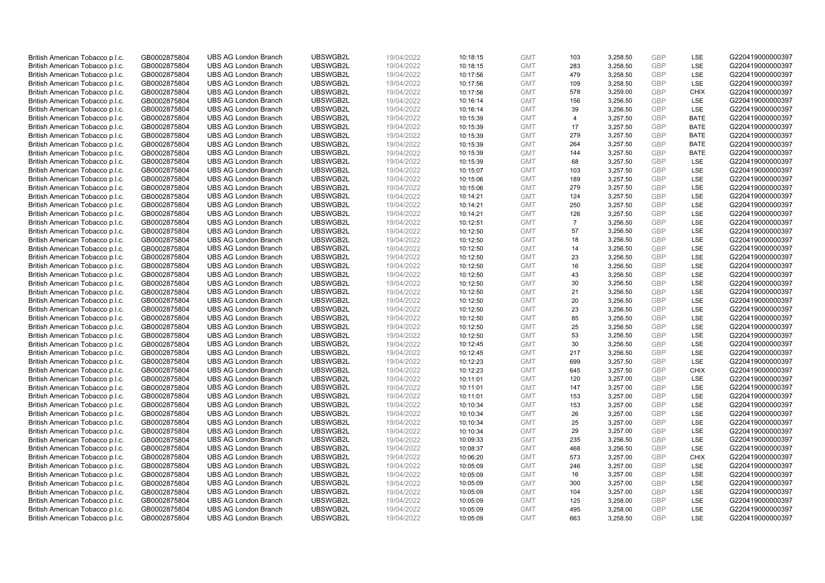| British American Tobacco p.l.c. | GB0002875804 | <b>UBS AG London Branch</b> | UBSWGB2L | 19/04/2022 | 10:18:15             | <b>GMT</b>               | 103            | 3,258.50             | <b>GBP</b>               | LSE         | G220419000000397                     |
|---------------------------------|--------------|-----------------------------|----------|------------|----------------------|--------------------------|----------------|----------------------|--------------------------|-------------|--------------------------------------|
| British American Tobacco p.l.c. | GB0002875804 | <b>UBS AG London Branch</b> | UBSWGB2L | 19/04/2022 | 10:18:15             | <b>GMT</b>               | 283            | 3,258.50             | GBP                      | <b>LSE</b>  | G220419000000397                     |
| British American Tobacco p.l.c. | GB0002875804 | <b>UBS AG London Branch</b> | UBSWGB2L | 19/04/2022 | 10:17:56             | <b>GMT</b>               | 479            | 3,258.50             | <b>GBP</b>               | LSE         | G220419000000397                     |
| British American Tobacco p.l.c. | GB0002875804 | <b>UBS AG London Branch</b> | UBSWGB2L | 19/04/2022 | 10:17:56             | <b>GMT</b>               | 109            | 3,258.50             | <b>GBP</b>               | LSE         | G220419000000397                     |
| British American Tobacco p.l.c. | GB0002875804 | <b>UBS AG London Branch</b> | UBSWGB2L | 19/04/2022 | 10:17:56             | <b>GMT</b>               | 578            | 3,259.00             | <b>GBP</b>               | <b>CHIX</b> | G220419000000397                     |
|                                 |              | <b>UBS AG London Branch</b> | UBSWGB2L |            |                      |                          | 156            |                      |                          | LSE         |                                      |
| British American Tobacco p.l.c. | GB0002875804 |                             |          | 19/04/2022 | 10:16:14             | <b>GMT</b>               |                | 3,256.50             | <b>GBP</b><br><b>GBP</b> |             | G220419000000397                     |
| British American Tobacco p.l.c. | GB0002875804 | <b>UBS AG London Branch</b> | UBSWGB2L | 19/04/2022 | 10:16:14             | <b>GMT</b>               | 39             | 3,256.50             |                          | LSE         | G220419000000397                     |
| British American Tobacco p.l.c. | GB0002875804 | <b>UBS AG London Branch</b> | UBSWGB2L | 19/04/2022 | 10:15:39             | <b>GMT</b>               | $\overline{4}$ | 3,257.50             | <b>GBP</b>               | <b>BATE</b> | G220419000000397                     |
| British American Tobacco p.l.c. | GB0002875804 | <b>UBS AG London Branch</b> | UBSWGB2L | 19/04/2022 | 10:15:39             | <b>GMT</b>               | 17             | 3,257.50             | <b>GBP</b>               | <b>BATE</b> | G220419000000397                     |
| British American Tobacco p.l.c. | GB0002875804 | <b>UBS AG London Branch</b> | UBSWGB2L | 19/04/2022 | 10:15:39             | <b>GMT</b>               | 279            | 3,257.50             | <b>GBP</b>               | <b>BATE</b> | G220419000000397                     |
| British American Tobacco p.l.c. | GB0002875804 | <b>UBS AG London Branch</b> | UBSWGB2L | 19/04/2022 | 10:15:39             | <b>GMT</b>               | 264            | 3,257.50             | <b>GBP</b>               | <b>BATE</b> | G220419000000397                     |
| British American Tobacco p.l.c. | GB0002875804 | <b>UBS AG London Branch</b> | UBSWGB2L | 19/04/2022 | 10:15:39             | <b>GMT</b>               | 144            | 3,257.50             | <b>GBP</b>               | <b>BATE</b> | G220419000000397                     |
| British American Tobacco p.l.c. | GB0002875804 | <b>UBS AG London Branch</b> | UBSWGB2L | 19/04/2022 | 10:15:39             | <b>GMT</b>               | 68             | 3,257.50             | <b>GBP</b>               | LSE         | G220419000000397                     |
| British American Tobacco p.l.c. | GB0002875804 | <b>UBS AG London Branch</b> | UBSWGB2L | 19/04/2022 | 10:15:07             | <b>GMT</b>               | 103            | 3,257.50             | <b>GBP</b>               | LSE         | G220419000000397                     |
| British American Tobacco p.l.c. | GB0002875804 | <b>UBS AG London Branch</b> | UBSWGB2L | 19/04/2022 | 10:15:06             | <b>GMT</b>               | 189            | 3,257.50             | <b>GBP</b>               | <b>LSE</b>  | G220419000000397                     |
| British American Tobacco p.l.c. | GB0002875804 | <b>UBS AG London Branch</b> | UBSWGB2L | 19/04/2022 | 10:15:06             | <b>GMT</b>               | 279            | 3,257.50             | <b>GBP</b>               | LSE         | G220419000000397                     |
| British American Tobacco p.l.c. | GB0002875804 | <b>UBS AG London Branch</b> | UBSWGB2L | 19/04/2022 | 10:14:21             | <b>GMT</b>               | 124            | 3,257.50             | <b>GBP</b>               | LSE         | G220419000000397                     |
| British American Tobacco p.l.c. | GB0002875804 | <b>UBS AG London Branch</b> | UBSWGB2L | 19/04/2022 | 10:14:21             | <b>GMT</b>               | 250            | 3,257.50             | <b>GBP</b>               | LSE         | G220419000000397                     |
| British American Tobacco p.l.c. | GB0002875804 | <b>UBS AG London Branch</b> | UBSWGB2L | 19/04/2022 | 10:14:21             | <b>GMT</b>               | 126            | 3,257.50             | <b>GBP</b>               | <b>LSE</b>  | G220419000000397                     |
| British American Tobacco p.l.c. | GB0002875804 | <b>UBS AG London Branch</b> | UBSWGB2L | 19/04/2022 | 10:12:51             | <b>GMT</b>               | $\overline{7}$ | 3,256.50             | <b>GBP</b>               | LSE         | G220419000000397                     |
| British American Tobacco p.l.c. | GB0002875804 | <b>UBS AG London Branch</b> | UBSWGB2L | 19/04/2022 | 10:12:50             | <b>GMT</b>               | 57             | 3,256.50             | <b>GBP</b>               | LSE         | G220419000000397                     |
| British American Tobacco p.l.c. | GB0002875804 | <b>UBS AG London Branch</b> | UBSWGB2L | 19/04/2022 | 10:12:50             | <b>GMT</b>               | 18             | 3,256.50             | <b>GBP</b>               | LSE         | G220419000000397                     |
| British American Tobacco p.l.c. | GB0002875804 | <b>UBS AG London Branch</b> | UBSWGB2L | 19/04/2022 | 10:12:50             | <b>GMT</b>               | 14             | 3,256.50             | <b>GBP</b>               | LSE         | G220419000000397                     |
| British American Tobacco p.l.c. | GB0002875804 | <b>UBS AG London Branch</b> | UBSWGB2L | 19/04/2022 | 10:12:50             | <b>GMT</b>               | 23             | 3,256.50             | <b>GBP</b>               | <b>LSE</b>  | G220419000000397                     |
| British American Tobacco p.l.c. | GB0002875804 | <b>UBS AG London Branch</b> | UBSWGB2L | 19/04/2022 | 10:12:50             | <b>GMT</b>               | 16             | 3,256.50             | <b>GBP</b>               | LSE         | G220419000000397                     |
| British American Tobacco p.l.c. | GB0002875804 | <b>UBS AG London Branch</b> | UBSWGB2L | 19/04/2022 | 10:12:50             | <b>GMT</b>               | 43             | 3,256.50             | <b>GBP</b>               | LSE         | G220419000000397                     |
| British American Tobacco p.l.c. | GB0002875804 | <b>UBS AG London Branch</b> | UBSWGB2L | 19/04/2022 | 10:12:50             | <b>GMT</b>               | 30             | 3,256.50             | <b>GBP</b>               | LSE         | G220419000000397                     |
| British American Tobacco p.l.c. | GB0002875804 | <b>UBS AG London Branch</b> | UBSWGB2L | 19/04/2022 | 10:12:50             | <b>GMT</b>               | 21             | 3,256.50             | <b>GBP</b>               | <b>LSE</b>  | G220419000000397                     |
| British American Tobacco p.l.c. | GB0002875804 | <b>UBS AG London Branch</b> | UBSWGB2L | 19/04/2022 | 10:12:50             | <b>GMT</b>               | 20             | 3,256.50             | <b>GBP</b>               | LSE         | G220419000000397                     |
| British American Tobacco p.l.c. | GB0002875804 | <b>UBS AG London Branch</b> | UBSWGB2L | 19/04/2022 | 10:12:50             | <b>GMT</b>               | 23             | 3,256.50             | <b>GBP</b>               | LSE         | G220419000000397                     |
| British American Tobacco p.l.c. | GB0002875804 | <b>UBS AG London Branch</b> | UBSWGB2L | 19/04/2022 | 10:12:50             | <b>GMT</b>               | 85             | 3,256.50             | <b>GBP</b>               | LSE         | G220419000000397                     |
| British American Tobacco p.l.c. | GB0002875804 | <b>UBS AG London Branch</b> | UBSWGB2L | 19/04/2022 | 10:12:50             | <b>GMT</b>               | 25             | 3,256.50             | <b>GBP</b>               | <b>LSE</b>  | G220419000000397                     |
| British American Tobacco p.l.c. | GB0002875804 | <b>UBS AG London Branch</b> | UBSWGB2L | 19/04/2022 | 10:12:50             | <b>GMT</b>               | 53             | 3,256.50             | <b>GBP</b>               | LSE         | G220419000000397                     |
| British American Tobacco p.l.c. | GB0002875804 | <b>UBS AG London Branch</b> | UBSWGB2L | 19/04/2022 | 10:12:45             | <b>GMT</b>               | 30             | 3,256.50             | <b>GBP</b>               | LSE         | G220419000000397                     |
| British American Tobacco p.l.c. | GB0002875804 | <b>UBS AG London Branch</b> | UBSWGB2L | 19/04/2022 | 10:12:45             | <b>GMT</b>               | 217            | 3,256.50             | <b>GBP</b>               | LSE         | G220419000000397                     |
| British American Tobacco p.l.c. | GB0002875804 | <b>UBS AG London Branch</b> | UBSWGB2L | 19/04/2022 | 10:12:23             | <b>GMT</b>               | 699            | 3,257.50             | <b>GBP</b>               | LSE         | G220419000000397                     |
| British American Tobacco p.l.c. | GB0002875804 | <b>UBS AG London Branch</b> | UBSWGB2L | 19/04/2022 | 10:12:23             | <b>GMT</b>               | 645            | 3,257.50             | <b>GBP</b>               | <b>CHIX</b> | G220419000000397                     |
| British American Tobacco p.l.c. | GB0002875804 | <b>UBS AG London Branch</b> | UBSWGB2L | 19/04/2022 | 10:11:01             | <b>GMT</b>               | 120            | 3,257.00             | <b>GBP</b>               | LSE         | G220419000000397                     |
| British American Tobacco p.l.c. | GB0002875804 | <b>UBS AG London Branch</b> | UBSWGB2L | 19/04/2022 | 10:11:01             | <b>GMT</b>               | 147            | 3,257.00             | <b>GBP</b>               | LSE         | G220419000000397                     |
| British American Tobacco p.l.c. | GB0002875804 | <b>UBS AG London Branch</b> | UBSWGB2L | 19/04/2022 | 10:11:01             | <b>GMT</b>               | 153            | 3,257.00             | <b>GBP</b>               | LSE         | G220419000000397                     |
| British American Tobacco p.l.c. | GB0002875804 | <b>UBS AG London Branch</b> | UBSWGB2L | 19/04/2022 | 10:10:34             | <b>GMT</b>               | 153            | 3,257.00             | <b>GBP</b>               | LSE         | G220419000000397                     |
| British American Tobacco p.l.c. | GB0002875804 | <b>UBS AG London Branch</b> | UBSWGB2L | 19/04/2022 | 10:10:34             | <b>GMT</b>               | 26             | 3,257.00             | <b>GBP</b>               | LSE         | G220419000000397                     |
| British American Tobacco p.l.c. | GB0002875804 | <b>UBS AG London Branch</b> | UBSWGB2L | 19/04/2022 | 10:10:34             | <b>GMT</b>               | 25             | 3,257.00             | <b>GBP</b>               | LSE         | G220419000000397                     |
| British American Tobacco p.l.c. | GB0002875804 | <b>UBS AG London Branch</b> | UBSWGB2L | 19/04/2022 | 10:10:34             | <b>GMT</b>               | 29             | 3,257.00             | <b>GBP</b>               | LSE         | G220419000000397                     |
| British American Tobacco p.l.c. | GB0002875804 | <b>UBS AG London Branch</b> | UBSWGB2L | 19/04/2022 | 10:09:33             | <b>GMT</b>               | 235            | 3,256.50             | <b>GBP</b>               | LSE         | G220419000000397                     |
| British American Tobacco p.l.c. | GB0002875804 | <b>UBS AG London Branch</b> | UBSWGB2L | 19/04/2022 | 10:08:37             | <b>GMT</b>               | 468            | 3,256.50             | <b>GBP</b>               | LSE         | G220419000000397                     |
| British American Tobacco p.l.c. | GB0002875804 | <b>UBS AG London Branch</b> | UBSWGB2L | 19/04/2022 | 10:06:20             | <b>GMT</b>               | 573            | 3,257.00             | <b>GBP</b>               | <b>CHIX</b> | G220419000000397                     |
| British American Tobacco p.l.c. | GB0002875804 | <b>UBS AG London Branch</b> | UBSWGB2L | 19/04/2022 | 10:05:09             | <b>GMT</b>               | 246            | 3,257.00             | <b>GBP</b>               | LSE         | G220419000000397                     |
| British American Tobacco p.l.c. | GB0002875804 | <b>UBS AG London Branch</b> | UBSWGB2L | 19/04/2022 | 10:05:09             | <b>GMT</b>               | 16             | 3,257.00             | <b>GBP</b>               | LSE         | G220419000000397                     |
| British American Tobacco p.l.c. | GB0002875804 | <b>UBS AG London Branch</b> | UBSWGB2L | 19/04/2022 | 10:05:09             | <b>GMT</b>               | 300            | 3,257.00             | <b>GBP</b>               | LSE         | G220419000000397                     |
| British American Tobacco p.l.c. |              | <b>UBS AG London Branch</b> | UBSWGB2L | 19/04/2022 |                      | <b>GMT</b>               | 104            | 3,257.00             | <b>GBP</b>               | LSE         |                                      |
| British American Tobacco p.l.c. | GB0002875804 | <b>UBS AG London Branch</b> | UBSWGB2L | 19/04/2022 | 10:05:09<br>10:05:09 | <b>GMT</b>               | 125            | 3,258.00             | <b>GBP</b>               | LSE         | G220419000000397<br>G220419000000397 |
|                                 | GB0002875804 |                             |          |            |                      |                          |                |                      | <b>GBP</b>               | LSE         |                                      |
| British American Tobacco p.l.c. | GB0002875804 | <b>UBS AG London Branch</b> | UBSWGB2L | 19/04/2022 | 10:05:09             | <b>GMT</b><br><b>GMT</b> | 495<br>663     | 3,258.00<br>3.258.50 | GBP                      | LSE         | G220419000000397                     |
| British American Tobacco p.l.c. | GB0002875804 | <b>UBS AG London Branch</b> | UBSWGB2L | 19/04/2022 | 10:05:09             |                          |                |                      |                          |             | G220419000000397                     |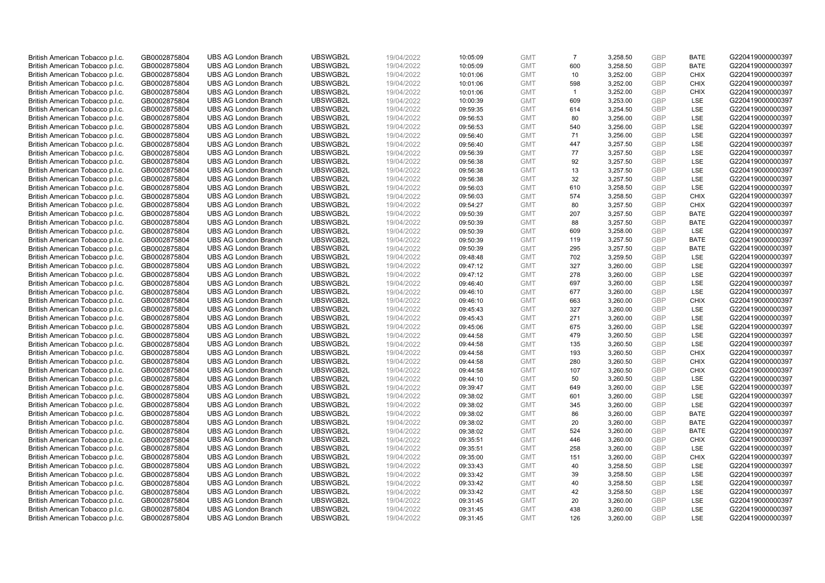| British American Tobacco p.l.c. | GB0002875804 | <b>UBS AG London Branch</b> | UBSWGB2L | 19/04/2022 | 10:05:09 | <b>GMT</b> | $\overline{7}$ | 3,258.50 | <b>GBP</b> | <b>BATE</b> | G220419000000397 |
|---------------------------------|--------------|-----------------------------|----------|------------|----------|------------|----------------|----------|------------|-------------|------------------|
| British American Tobacco p.l.c. | GB0002875804 | <b>UBS AG London Branch</b> | UBSWGB2L | 19/04/2022 | 10:05:09 | <b>GMT</b> | 600            | 3,258.50 | <b>GBP</b> | <b>BATE</b> | G220419000000397 |
| British American Tobacco p.l.c. | GB0002875804 | <b>UBS AG London Branch</b> | UBSWGB2L | 19/04/2022 | 10:01:06 | <b>GMT</b> | 10             | 3,252.00 | <b>GBP</b> | <b>CHIX</b> | G220419000000397 |
| British American Tobacco p.l.c. | GB0002875804 | <b>UBS AG London Branch</b> | UBSWGB2L | 19/04/2022 | 10:01:06 | <b>GMT</b> | 598            | 3,252.00 | <b>GBP</b> | <b>CHIX</b> | G220419000000397 |
| British American Tobacco p.l.c. | GB0002875804 | <b>UBS AG London Branch</b> | UBSWGB2L | 19/04/2022 | 10:01:06 | <b>GMT</b> | $\overline{1}$ | 3,252.00 | <b>GBP</b> | <b>CHIX</b> | G220419000000397 |
| British American Tobacco p.l.c. | GB0002875804 | <b>UBS AG London Branch</b> | UBSWGB2L | 19/04/2022 | 10:00:39 | <b>GMT</b> | 609            | 3,253.00 | <b>GBP</b> | LSE         | G220419000000397 |
| British American Tobacco p.l.c. | GB0002875804 | <b>UBS AG London Branch</b> | UBSWGB2L | 19/04/2022 | 09:59:35 | <b>GMT</b> | 614            | 3,254.50 | <b>GBP</b> | LSE         | G220419000000397 |
| British American Tobacco p.l.c. | GB0002875804 | <b>UBS AG London Branch</b> | UBSWGB2L | 19/04/2022 | 09:56:53 | <b>GMT</b> | 80             | 3,256.00 | <b>GBP</b> | LSE         | G220419000000397 |
| British American Tobacco p.l.c. | GB0002875804 | <b>UBS AG London Branch</b> | UBSWGB2L | 19/04/2022 | 09:56:53 | <b>GMT</b> | 540            | 3,256.00 | <b>GBP</b> | LSE         | G220419000000397 |
| British American Tobacco p.l.c. | GB0002875804 | <b>UBS AG London Branch</b> | UBSWGB2L | 19/04/2022 | 09:56:40 | <b>GMT</b> | 71             | 3,256.00 | <b>GBP</b> | LSE         | G220419000000397 |
| British American Tobacco p.l.c. | GB0002875804 | <b>UBS AG London Branch</b> | UBSWGB2L | 19/04/2022 | 09:56:40 | <b>GMT</b> | 447            | 3,257.50 | <b>GBP</b> | LSE         | G220419000000397 |
| British American Tobacco p.l.c. | GB0002875804 | <b>UBS AG London Branch</b> | UBSWGB2L | 19/04/2022 | 09:56:39 | <b>GMT</b> | 77             | 3,257.50 | <b>GBP</b> | LSE         | G220419000000397 |
| British American Tobacco p.l.c. | GB0002875804 | <b>UBS AG London Branch</b> | UBSWGB2L | 19/04/2022 | 09:56:38 | <b>GMT</b> | 92             | 3,257.50 | <b>GBP</b> | LSE         | G220419000000397 |
| British American Tobacco p.l.c. | GB0002875804 | <b>UBS AG London Branch</b> | UBSWGB2L | 19/04/2022 | 09:56:38 | <b>GMT</b> | 13             | 3,257.50 | <b>GBP</b> | LSE         | G220419000000397 |
| British American Tobacco p.l.c. | GB0002875804 | <b>UBS AG London Branch</b> | UBSWGB2L | 19/04/2022 | 09:56:38 | <b>GMT</b> | 32             | 3,257.50 | <b>GBP</b> | <b>LSE</b>  | G220419000000397 |
| British American Tobacco p.l.c. | GB0002875804 | <b>UBS AG London Branch</b> | UBSWGB2L | 19/04/2022 | 09:56:03 | <b>GMT</b> | 610            | 3,258.50 | <b>GBP</b> | LSE         | G220419000000397 |
|                                 | GB0002875804 | <b>UBS AG London Branch</b> | UBSWGB2L | 19/04/2022 | 09:56:03 | <b>GMT</b> | 574            | 3,258.50 | <b>GBP</b> | <b>CHIX</b> | G220419000000397 |
| British American Tobacco p.l.c. |              |                             |          |            |          |            | 80             |          | <b>GBP</b> | <b>CHIX</b> |                  |
| British American Tobacco p.l.c. | GB0002875804 | <b>UBS AG London Branch</b> | UBSWGB2L | 19/04/2022 | 09:54:27 | <b>GMT</b> |                | 3,257.50 |            |             | G220419000000397 |
| British American Tobacco p.l.c. | GB0002875804 | <b>UBS AG London Branch</b> | UBSWGB2L | 19/04/2022 | 09:50:39 | <b>GMT</b> | 207            | 3,257.50 | <b>GBP</b> | <b>BATE</b> | G220419000000397 |
| British American Tobacco p.l.c. | GB0002875804 | <b>UBS AG London Branch</b> | UBSWGB2L | 19/04/2022 | 09:50:39 | <b>GMT</b> | 88             | 3,257.50 | <b>GBP</b> | <b>BATE</b> | G220419000000397 |
| British American Tobacco p.l.c. | GB0002875804 | <b>UBS AG London Branch</b> | UBSWGB2L | 19/04/2022 | 09:50:39 | <b>GMT</b> | 609            | 3,258.00 | <b>GBP</b> | LSE         | G220419000000397 |
| British American Tobacco p.l.c. | GB0002875804 | <b>UBS AG London Branch</b> | UBSWGB2L | 19/04/2022 | 09:50:39 | <b>GMT</b> | 119            | 3,257.50 | <b>GBP</b> | <b>BATE</b> | G220419000000397 |
| British American Tobacco p.l.c. | GB0002875804 | <b>UBS AG London Branch</b> | UBSWGB2L | 19/04/2022 | 09:50:39 | <b>GMT</b> | 295            | 3,257.50 | <b>GBP</b> | <b>BATE</b> | G220419000000397 |
| British American Tobacco p.l.c. | GB0002875804 | <b>UBS AG London Branch</b> | UBSWGB2L | 19/04/2022 | 09:48:48 | <b>GMT</b> | 702            | 3,259.50 | <b>GBP</b> | <b>LSE</b>  | G220419000000397 |
| British American Tobacco p.l.c. | GB0002875804 | <b>UBS AG London Branch</b> | UBSWGB2L | 19/04/2022 | 09:47:12 | <b>GMT</b> | 327            | 3,260.00 | <b>GBP</b> | LSE         | G220419000000397 |
| British American Tobacco p.l.c. | GB0002875804 | <b>UBS AG London Branch</b> | UBSWGB2L | 19/04/2022 | 09:47:12 | <b>GMT</b> | 278            | 3,260.00 | <b>GBP</b> | LSE         | G220419000000397 |
| British American Tobacco p.l.c. | GB0002875804 | <b>UBS AG London Branch</b> | UBSWGB2L | 19/04/2022 | 09:46:40 | <b>GMT</b> | 697            | 3,260.00 | <b>GBP</b> | LSE         | G220419000000397 |
| British American Tobacco p.l.c. | GB0002875804 | <b>UBS AG London Branch</b> | UBSWGB2L | 19/04/2022 | 09:46:10 | <b>GMT</b> | 677            | 3,260.00 | <b>GBP</b> | <b>LSE</b>  | G220419000000397 |
| British American Tobacco p.l.c. | GB0002875804 | <b>UBS AG London Branch</b> | UBSWGB2L | 19/04/2022 | 09:46:10 | <b>GMT</b> | 663            | 3,260.00 | <b>GBP</b> | <b>CHIX</b> | G220419000000397 |
| British American Tobacco p.l.c. | GB0002875804 | <b>UBS AG London Branch</b> | UBSWGB2L | 19/04/2022 | 09:45:43 | <b>GMT</b> | 327            | 3,260.00 | <b>GBP</b> | LSE         | G220419000000397 |
| British American Tobacco p.l.c. | GB0002875804 | <b>UBS AG London Branch</b> | UBSWGB2L | 19/04/2022 | 09:45:43 | <b>GMT</b> | 271            | 3,260.00 | <b>GBP</b> | LSE         | G220419000000397 |
| British American Tobacco p.l.c. | GB0002875804 | <b>UBS AG London Branch</b> | UBSWGB2L | 19/04/2022 | 09:45:06 | <b>GMT</b> | 675            | 3,260.00 | <b>GBP</b> | <b>LSE</b>  | G220419000000397 |
| British American Tobacco p.l.c. | GB0002875804 | <b>UBS AG London Branch</b> | UBSWGB2L | 19/04/2022 | 09:44:58 | <b>GMT</b> | 479            | 3,260.50 | <b>GBP</b> | LSE         | G220419000000397 |
| British American Tobacco p.l.c. | GB0002875804 | <b>UBS AG London Branch</b> | UBSWGB2L | 19/04/2022 | 09:44:58 | <b>GMT</b> | 135            | 3,260.50 | <b>GBP</b> | LSE         | G220419000000397 |
| British American Tobacco p.l.c. | GB0002875804 | <b>UBS AG London Branch</b> | UBSWGB2L | 19/04/2022 | 09:44:58 | <b>GMT</b> | 193            | 3,260.50 | <b>GBP</b> | <b>CHIX</b> | G220419000000397 |
| British American Tobacco p.l.c. | GB0002875804 | <b>UBS AG London Branch</b> | UBSWGB2L | 19/04/2022 | 09:44:58 | <b>GMT</b> | 280            | 3,260.50 | <b>GBP</b> | <b>CHIX</b> | G220419000000397 |
| British American Tobacco p.l.c. | GB0002875804 | <b>UBS AG London Branch</b> | UBSWGB2L | 19/04/2022 | 09:44:58 | <b>GMT</b> | 107            | 3,260.50 | <b>GBP</b> | <b>CHIX</b> | G220419000000397 |
| British American Tobacco p.l.c. | GB0002875804 | <b>UBS AG London Branch</b> | UBSWGB2L | 19/04/2022 | 09:44:10 | <b>GMT</b> | 50             | 3,260.50 | <b>GBP</b> | LSE         | G220419000000397 |
| British American Tobacco p.l.c. | GB0002875804 | <b>UBS AG London Branch</b> | UBSWGB2L | 19/04/2022 | 09:39:47 | <b>GMT</b> | 649            | 3,260.00 | <b>GBP</b> | LSE         | G220419000000397 |
| British American Tobacco p.l.c. | GB0002875804 | <b>UBS AG London Branch</b> | UBSWGB2L | 19/04/2022 | 09:38:02 | <b>GMT</b> | 601            | 3,260.00 | <b>GBP</b> | LSE         | G220419000000397 |
| British American Tobacco p.l.c. | GB0002875804 | <b>UBS AG London Branch</b> | UBSWGB2L | 19/04/2022 | 09:38:02 | <b>GMT</b> | 345            | 3,260.00 | <b>GBP</b> | <b>LSE</b>  | G220419000000397 |
| British American Tobacco p.l.c. | GB0002875804 | <b>UBS AG London Branch</b> | UBSWGB2L | 19/04/2022 | 09:38:02 | <b>GMT</b> | 86             | 3,260.00 | <b>GBP</b> | <b>BATE</b> | G220419000000397 |
| British American Tobacco p.l.c. | GB0002875804 | <b>UBS AG London Branch</b> | UBSWGB2L | 19/04/2022 | 09:38:02 | <b>GMT</b> | 20             | 3,260.00 | <b>GBP</b> | <b>BATE</b> | G220419000000397 |
| British American Tobacco p.l.c. | GB0002875804 | <b>UBS AG London Branch</b> | UBSWGB2L | 19/04/2022 | 09:38:02 | <b>GMT</b> | 524            | 3,260.00 | <b>GBP</b> | <b>BATE</b> | G220419000000397 |
| British American Tobacco p.l.c. | GB0002875804 | <b>UBS AG London Branch</b> | UBSWGB2L | 19/04/2022 | 09:35:51 | <b>GMT</b> | 446            | 3,260.00 | <b>GBP</b> | <b>CHIX</b> | G220419000000397 |
| British American Tobacco p.l.c. | GB0002875804 | <b>UBS AG London Branch</b> | UBSWGB2L | 19/04/2022 | 09:35:51 | <b>GMT</b> | 258            | 3,260.00 | <b>GBP</b> | LSE         | G220419000000397 |
| British American Tobacco p.l.c. | GB0002875804 | <b>UBS AG London Branch</b> | UBSWGB2L | 19/04/2022 | 09:35:00 | <b>GMT</b> | 151            | 3,260.00 | <b>GBP</b> | <b>CHIX</b> | G220419000000397 |
| British American Tobacco p.l.c. | GB0002875804 | <b>UBS AG London Branch</b> | UBSWGB2L | 19/04/2022 | 09:33:43 | <b>GMT</b> | 40             | 3,258.50 | <b>GBP</b> | LSE         | G220419000000397 |
| British American Tobacco p.l.c. | GB0002875804 | <b>UBS AG London Branch</b> | UBSWGB2L | 19/04/2022 | 09:33:42 | <b>GMT</b> | 39             | 3,258.50 | <b>GBP</b> | LSE         | G220419000000397 |
| British American Tobacco p.l.c. | GB0002875804 | <b>UBS AG London Branch</b> | UBSWGB2L | 19/04/2022 | 09:33:42 | <b>GMT</b> | 40             | 3,258.50 | <b>GBP</b> | <b>LSE</b>  | G220419000000397 |
| British American Tobacco p.l.c. | GB0002875804 | <b>UBS AG London Branch</b> | UBSWGB2L | 19/04/2022 | 09:33:42 | <b>GMT</b> | 42             | 3,258.50 | <b>GBP</b> | LSE         | G220419000000397 |
| British American Tobacco p.l.c. | GB0002875804 | <b>UBS AG London Branch</b> | UBSWGB2L | 19/04/2022 | 09:31:45 | <b>GMT</b> | 20             | 3,260.00 | <b>GBP</b> | LSE         | G220419000000397 |
| British American Tobacco p.l.c. | GB0002875804 | <b>UBS AG London Branch</b> | UBSWGB2L | 19/04/2022 | 09:31:45 | <b>GMT</b> | 438            | 3,260.00 | <b>GBP</b> | LSE         | G220419000000397 |
| British American Tobacco p.l.c. | GB0002875804 | <b>UBS AG London Branch</b> | UBSWGB2L | 19/04/2022 | 09:31:45 | <b>GMT</b> | 126            | 3.260.00 | GBP        | <b>LSE</b>  | G220419000000397 |
|                                 |              |                             |          |            |          |            |                |          |            |             |                  |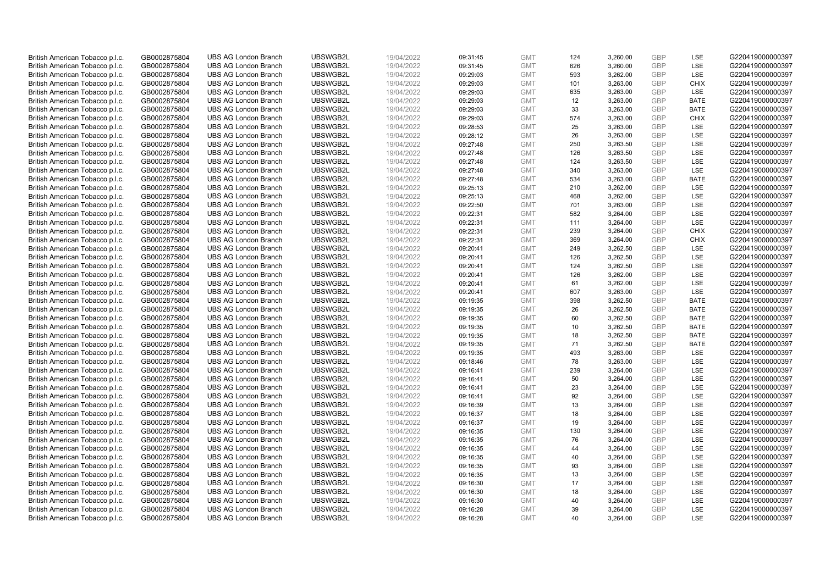| British American Tobacco p.l.c. | GB0002875804                 | <b>UBS AG London Branch</b> | UBSWGB2L | 19/04/2022 | 09:31:45 | <b>GMT</b> | 124 | 3,260.00 | <b>GBP</b> | LSE         | G220419000000397 |
|---------------------------------|------------------------------|-----------------------------|----------|------------|----------|------------|-----|----------|------------|-------------|------------------|
| British American Tobacco p.l.c. | GB0002875804                 | <b>UBS AG London Branch</b> | UBSWGB2L | 19/04/2022 | 09:31:45 | <b>GMT</b> | 626 | 3,260.00 | GBP        | LSE         | G220419000000397 |
| British American Tobacco p.l.c. | GB0002875804                 | <b>UBS AG London Branch</b> | UBSWGB2L | 19/04/2022 | 09:29:03 | <b>GMT</b> | 593 | 3,262.00 | GBP        | LSE         | G220419000000397 |
| British American Tobacco p.l.c. | GB0002875804                 | <b>UBS AG London Branch</b> | UBSWGB2L | 19/04/2022 | 09:29:03 | <b>GMT</b> | 101 | 3,263.00 | GBP        | <b>CHIX</b> | G220419000000397 |
| British American Tobacco p.l.c. | GB0002875804                 | <b>UBS AG London Branch</b> | UBSWGB2L | 19/04/2022 | 09:29:03 | <b>GMT</b> | 635 | 3,263.00 | <b>GBP</b> | LSE         | G220419000000397 |
| British American Tobacco p.l.c. | GB0002875804                 | <b>UBS AG London Branch</b> | UBSWGB2L | 19/04/2022 | 09:29:03 | <b>GMT</b> | 12  | 3,263.00 | <b>GBP</b> | <b>BATE</b> | G220419000000397 |
| British American Tobacco p.l.c. | GB0002875804                 | <b>UBS AG London Branch</b> | UBSWGB2L | 19/04/2022 | 09:29:03 | <b>GMT</b> | 33  | 3,263.00 | GBP        | <b>BATE</b> | G220419000000397 |
| British American Tobacco p.l.c. | GB0002875804                 | <b>UBS AG London Branch</b> | UBSWGB2L | 19/04/2022 | 09:29:03 | <b>GMT</b> | 574 | 3,263.00 | GBP        | <b>CHIX</b> | G220419000000397 |
| British American Tobacco p.l.c. | GB0002875804                 | <b>UBS AG London Branch</b> | UBSWGB2L | 19/04/2022 | 09:28:53 | <b>GMT</b> | 25  | 3,263.00 | GBP        | LSE         | G220419000000397 |
| British American Tobacco p.l.c. | GB0002875804                 | <b>UBS AG London Branch</b> | UBSWGB2L | 19/04/2022 | 09:28:12 | <b>GMT</b> | 26  | 3,263.00 | <b>GBP</b> | LSE         | G220419000000397 |
| British American Tobacco p.l.c. | GB0002875804                 | <b>UBS AG London Branch</b> | UBSWGB2L | 19/04/2022 | 09:27:48 | <b>GMT</b> | 250 | 3,263.50 | GBP        | LSE         | G220419000000397 |
| British American Tobacco p.l.c. | GB0002875804                 | <b>UBS AG London Branch</b> | UBSWGB2L | 19/04/2022 | 09:27:48 | <b>GMT</b> | 126 | 3,263.50 | <b>GBP</b> | LSE         | G220419000000397 |
| British American Tobacco p.l.c. | GB0002875804                 | <b>UBS AG London Branch</b> | UBSWGB2L | 19/04/2022 | 09:27:48 | <b>GMT</b> | 124 | 3,263.50 | GBP        | LSE         | G220419000000397 |
| British American Tobacco p.l.c. | GB0002875804                 | <b>UBS AG London Branch</b> | UBSWGB2L | 19/04/2022 | 09:27:48 | <b>GMT</b> | 340 | 3,263.00 | <b>GBP</b> | LSE         | G220419000000397 |
| British American Tobacco p.l.c. | GB0002875804                 | <b>UBS AG London Branch</b> | UBSWGB2L | 19/04/2022 | 09:27:48 | <b>GMT</b> | 534 | 3,263.00 | <b>GBP</b> | <b>BATE</b> | G220419000000397 |
| British American Tobacco p.l.c. | GB0002875804                 | <b>UBS AG London Branch</b> | UBSWGB2L | 19/04/2022 | 09:25:13 | <b>GMT</b> | 210 | 3,262.00 | <b>GBP</b> | LSE         | G220419000000397 |
| British American Tobacco p.l.c. | GB0002875804                 | <b>UBS AG London Branch</b> | UBSWGB2L | 19/04/2022 | 09:25:13 | <b>GMT</b> | 468 | 3,262.00 | GBP        | LSE         | G220419000000397 |
| British American Tobacco p.l.c. | GB0002875804                 | <b>UBS AG London Branch</b> | UBSWGB2L | 19/04/2022 | 09:22:50 | <b>GMT</b> | 701 | 3,263.00 | <b>GBP</b> | LSE         | G220419000000397 |
| British American Tobacco p.l.c. | GB0002875804                 | <b>UBS AG London Branch</b> | UBSWGB2L | 19/04/2022 | 09:22:31 | <b>GMT</b> | 582 | 3,264.00 | GBP        | <b>LSE</b>  | G220419000000397 |
| British American Tobacco p.l.c. | GB0002875804                 | <b>UBS AG London Branch</b> | UBSWGB2L | 19/04/2022 | 09:22:31 | <b>GMT</b> | 111 | 3,264.00 | <b>GBP</b> | LSE         | G220419000000397 |
| British American Tobacco p.l.c. | GB0002875804                 | <b>UBS AG London Branch</b> | UBSWGB2L | 19/04/2022 | 09:22:31 | <b>GMT</b> | 239 | 3,264.00 | GBP        | <b>CHIX</b> | G220419000000397 |
| British American Tobacco p.l.c. | GB0002875804                 | <b>UBS AG London Branch</b> | UBSWGB2L | 19/04/2022 | 09:22:31 | <b>GMT</b> | 369 | 3,264.00 | GBP        | <b>CHIX</b> | G220419000000397 |
| British American Tobacco p.l.c. | GB0002875804                 | <b>UBS AG London Branch</b> | UBSWGB2L | 19/04/2022 | 09:20:41 | <b>GMT</b> | 249 | 3,262.50 | GBP        | LSE         | G220419000000397 |
| British American Tobacco p.l.c. | GB0002875804                 | <b>UBS AG London Branch</b> | UBSWGB2L | 19/04/2022 | 09:20:41 | <b>GMT</b> | 126 | 3,262.50 | GBP        | LSE         | G220419000000397 |
| British American Tobacco p.l.c. | GB0002875804                 | <b>UBS AG London Branch</b> | UBSWGB2L | 19/04/2022 | 09:20:41 | <b>GMT</b> | 124 | 3,262.50 | <b>GBP</b> | LSE         | G220419000000397 |
| British American Tobacco p.l.c. | GB0002875804                 | <b>UBS AG London Branch</b> | UBSWGB2L | 19/04/2022 | 09:20:41 | <b>GMT</b> | 126 | 3,262.00 | <b>GBP</b> | LSE         | G220419000000397 |
| British American Tobacco p.l.c. | GB0002875804                 | <b>UBS AG London Branch</b> | UBSWGB2L | 19/04/2022 | 09:20:41 | <b>GMT</b> | 61  | 3,262.00 | <b>GBP</b> | LSE         | G220419000000397 |
| British American Tobacco p.l.c. | GB0002875804                 | <b>UBS AG London Branch</b> | UBSWGB2L | 19/04/2022 | 09:20:41 | <b>GMT</b> | 607 | 3,263.00 | <b>GBP</b> | <b>LSE</b>  | G220419000000397 |
| British American Tobacco p.l.c. | GB0002875804                 | <b>UBS AG London Branch</b> | UBSWGB2L | 19/04/2022 | 09:19:35 | <b>GMT</b> | 398 | 3,262.50 | <b>GBP</b> | <b>BATE</b> | G220419000000397 |
| British American Tobacco p.l.c. | GB0002875804                 | <b>UBS AG London Branch</b> | UBSWGB2L | 19/04/2022 | 09:19:35 | <b>GMT</b> | 26  | 3,262.50 | GBP        | <b>BATE</b> | G220419000000397 |
| British American Tobacco p.l.c. | GB0002875804                 | <b>UBS AG London Branch</b> | UBSWGB2L | 19/04/2022 | 09:19:35 | <b>GMT</b> | 60  | 3,262.50 | GBP        | <b>BATE</b> | G220419000000397 |
| British American Tobacco p.l.c. | GB0002875804                 | <b>UBS AG London Branch</b> | UBSWGB2L | 19/04/2022 | 09:19:35 | <b>GMT</b> | 10  | 3,262.50 | <b>GBP</b> | <b>BATE</b> | G220419000000397 |
| British American Tobacco p.l.c. | GB0002875804                 | <b>UBS AG London Branch</b> | UBSWGB2L | 19/04/2022 | 09:19:35 | <b>GMT</b> | 18  | 3,262.50 | GBP        | <b>BATE</b> | G220419000000397 |
| British American Tobacco p.l.c. | GB0002875804                 | <b>UBS AG London Branch</b> | UBSWGB2L | 19/04/2022 | 09:19:35 | <b>GMT</b> | 71  | 3,262.50 | GBP        | <b>BATE</b> | G220419000000397 |
| British American Tobacco p.l.c. | GB0002875804                 | <b>UBS AG London Branch</b> | UBSWGB2L | 19/04/2022 | 09:19:35 | <b>GMT</b> | 493 | 3,263.00 | <b>GBP</b> | LSE         | G220419000000397 |
| British American Tobacco p.l.c. | GB0002875804                 | <b>UBS AG London Branch</b> | UBSWGB2L | 19/04/2022 | 09:18:46 | <b>GMT</b> | 78  | 3,263.00 | GBP        | LSE         | G220419000000397 |
| British American Tobacco p.l.c. | GB0002875804                 | <b>UBS AG London Branch</b> | UBSWGB2L | 19/04/2022 | 09:16:41 | <b>GMT</b> | 239 | 3,264.00 | <b>GBP</b> | LSE         | G220419000000397 |
| British American Tobacco p.l.c. | GB0002875804                 | <b>UBS AG London Branch</b> | UBSWGB2L | 19/04/2022 | 09:16:41 | <b>GMT</b> | 50  | 3,264.00 | <b>GBP</b> | LSE         | G220419000000397 |
| British American Tobacco p.l.c. | GB0002875804                 | <b>UBS AG London Branch</b> | UBSWGB2L | 19/04/2022 | 09:16:41 | <b>GMT</b> | 23  | 3,264.00 | <b>GBP</b> | <b>LSE</b>  | G220419000000397 |
| British American Tobacco p.l.c. | GB0002875804                 | <b>UBS AG London Branch</b> | UBSWGB2L | 19/04/2022 | 09:16:41 | <b>GMT</b> | 92  | 3,264.00 | <b>GBP</b> | <b>LSE</b>  | G220419000000397 |
| British American Tobacco p.l.c. | GB0002875804                 | <b>UBS AG London Branch</b> | UBSWGB2L | 19/04/2022 | 09:16:39 | <b>GMT</b> | 13  | 3,264.00 | <b>GBP</b> | <b>LSE</b>  | G220419000000397 |
| British American Tobacco p.l.c. | GB0002875804                 | <b>UBS AG London Branch</b> | UBSWGB2L | 19/04/2022 | 09:16:37 | <b>GMT</b> | 18  | 3,264.00 | <b>GBP</b> | LSE         | G220419000000397 |
| British American Tobacco p.l.c. | GB0002875804                 | <b>UBS AG London Branch</b> | UBSWGB2L | 19/04/2022 | 09:16:37 | <b>GMT</b> | 19  | 3,264.00 | <b>GBP</b> | LSE         | G220419000000397 |
| British American Tobacco p.l.c. |                              | <b>UBS AG London Branch</b> | UBSWGB2L | 19/04/2022 | 09:16:35 | <b>GMT</b> | 130 | 3,264.00 | <b>GBP</b> | LSE         | G220419000000397 |
| British American Tobacco p.l.c. | GB0002875804<br>GB0002875804 | <b>UBS AG London Branch</b> | UBSWGB2L | 19/04/2022 | 09:16:35 | <b>GMT</b> | 76  | 3,264.00 | <b>GBP</b> | <b>LSE</b>  | G220419000000397 |
|                                 |                              | <b>UBS AG London Branch</b> | UBSWGB2L | 19/04/2022 |          | <b>GMT</b> |     |          | <b>GBP</b> | LSE         |                  |
| British American Tobacco p.l.c. | GB0002875804                 |                             |          |            | 09:16:35 |            | 44  | 3,264.00 |            |             | G220419000000397 |
| British American Tobacco p.l.c. | GB0002875804                 | <b>UBS AG London Branch</b> | UBSWGB2L | 19/04/2022 | 09:16:35 | <b>GMT</b> | 40  | 3,264.00 | <b>GBP</b> | LSE         | G220419000000397 |
| British American Tobacco p.l.c. | GB0002875804                 | <b>UBS AG London Branch</b> | UBSWGB2L | 19/04/2022 | 09:16:35 | <b>GMT</b> | 93  | 3,264.00 | <b>GBP</b> | LSE         | G220419000000397 |
| British American Tobacco p.l.c. | GB0002875804                 | <b>UBS AG London Branch</b> | UBSWGB2L | 19/04/2022 | 09:16:35 | <b>GMT</b> | 13  | 3,264.00 | <b>GBP</b> | LSE         | G220419000000397 |
| British American Tobacco p.l.c. | GB0002875804                 | <b>UBS AG London Branch</b> | UBSWGB2L | 19/04/2022 | 09:16:30 | <b>GMT</b> | 17  | 3,264.00 | <b>GBP</b> | LSE         | G220419000000397 |
| British American Tobacco p.l.c. | GB0002875804                 | <b>UBS AG London Branch</b> | UBSWGB2L | 19/04/2022 | 09:16:30 | <b>GMT</b> | 18  | 3,264.00 | <b>GBP</b> | LSE         | G220419000000397 |
| British American Tobacco p.l.c. | GB0002875804                 | <b>UBS AG London Branch</b> | UBSWGB2L | 19/04/2022 | 09:16:30 | <b>GMT</b> | 40  | 3,264.00 | <b>GBP</b> | LSE         | G220419000000397 |
| British American Tobacco p.l.c. | GB0002875804                 | <b>UBS AG London Branch</b> | UBSWGB2L | 19/04/2022 | 09:16:28 | <b>GMT</b> | 39  | 3,264.00 | GBP        | LSE         | G220419000000397 |
| British American Tobacco p.l.c. | GB0002875804                 | <b>UBS AG London Branch</b> | UBSWGB2L | 19/04/2022 | 09:16:28 | <b>GMT</b> | 40  | 3.264.00 | GBP        | <b>LSE</b>  | G220419000000397 |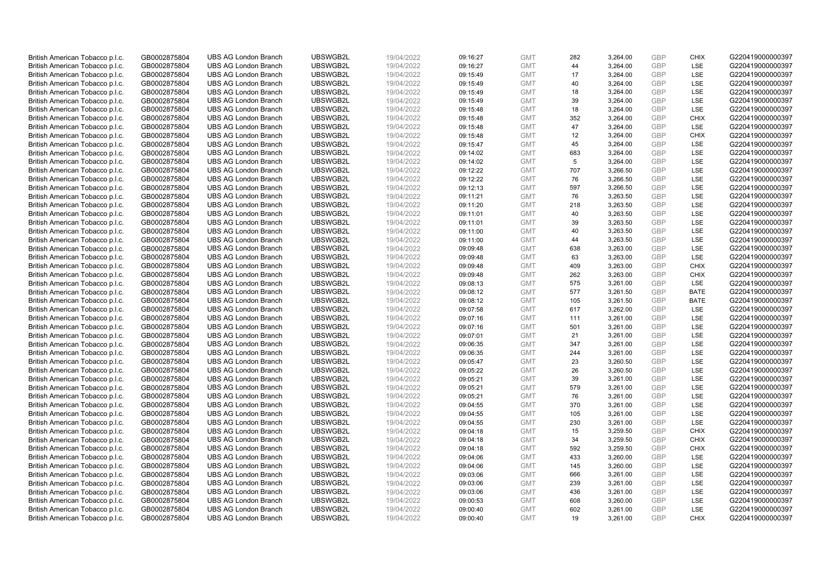| British American Tobacco p.l.c.                                    | GB0002875804 | <b>UBS AG London Branch</b> | UBSWGB2L | 19/04/2022 | 09:16:27 | <b>GMT</b> | 282 | 3,264.00             | <b>GBP</b>               | <b>CHIX</b> | G220419000000397 |
|--------------------------------------------------------------------|--------------|-----------------------------|----------|------------|----------|------------|-----|----------------------|--------------------------|-------------|------------------|
| British American Tobacco p.l.c.                                    | GB0002875804 | <b>UBS AG London Branch</b> | UBSWGB2L | 19/04/2022 | 09:16:27 | <b>GMT</b> | 44  | 3,264.00             | GBP                      | <b>LSE</b>  | G220419000000397 |
| British American Tobacco p.l.c.                                    | GB0002875804 | <b>UBS AG London Branch</b> | UBSWGB2L | 19/04/2022 | 09:15:49 | <b>GMT</b> | 17  | 3,264.00             | <b>GBP</b>               | LSE         | G220419000000397 |
| British American Tobacco p.l.c.                                    | GB0002875804 | <b>UBS AG London Branch</b> | UBSWGB2L | 19/04/2022 | 09:15:49 | <b>GMT</b> | 40  | 3,264.00             | <b>GBP</b>               | LSE         | G220419000000397 |
| British American Tobacco p.l.c.                                    | GB0002875804 | <b>UBS AG London Branch</b> | UBSWGB2L | 19/04/2022 | 09:15:49 | <b>GMT</b> | 18  | 3,264.00             | <b>GBP</b>               | LSE         | G220419000000397 |
| British American Tobacco p.l.c.                                    | GB0002875804 | <b>UBS AG London Branch</b> | UBSWGB2L | 19/04/2022 | 09:15:49 | <b>GMT</b> | 39  | 3,264.00             | <b>GBP</b>               | LSE         | G220419000000397 |
| British American Tobacco p.l.c.                                    | GB0002875804 | <b>UBS AG London Branch</b> | UBSWGB2L | 19/04/2022 | 09:15:48 | <b>GMT</b> | 18  | 3,264.00             | <b>GBP</b>               | LSE         | G220419000000397 |
| British American Tobacco p.l.c.                                    | GB0002875804 | <b>UBS AG London Branch</b> | UBSWGB2L | 19/04/2022 | 09:15:48 | <b>GMT</b> | 352 | 3,264.00             | <b>GBP</b>               | <b>CHIX</b> | G220419000000397 |
| British American Tobacco p.l.c.                                    | GB0002875804 | <b>UBS AG London Branch</b> | UBSWGB2L | 19/04/2022 | 09:15:48 | <b>GMT</b> | 47  | 3,264.00             | <b>GBP</b>               | LSE         | G220419000000397 |
| British American Tobacco p.l.c.                                    | GB0002875804 | <b>UBS AG London Branch</b> | UBSWGB2L | 19/04/2022 | 09:15:48 | <b>GMT</b> | 12  | 3,264.00             | <b>GBP</b>               | <b>CHIX</b> | G220419000000397 |
| British American Tobacco p.l.c.                                    | GB0002875804 | <b>UBS AG London Branch</b> | UBSWGB2L | 19/04/2022 | 09:15:47 | <b>GMT</b> | 45  | 3,264.00             | <b>GBP</b>               | <b>LSE</b>  | G220419000000397 |
| British American Tobacco p.l.c.                                    | GB0002875804 | <b>UBS AG London Branch</b> | UBSWGB2L | 19/04/2022 | 09:14:02 | <b>GMT</b> | 683 | 3,264.00             | <b>GBP</b>               | LSE         | G220419000000397 |
| British American Tobacco p.l.c.                                    | GB0002875804 | <b>UBS AG London Branch</b> | UBSWGB2L | 19/04/2022 | 09:14:02 | <b>GMT</b> | 5   | 3,264.00             | <b>GBP</b>               | LSE         | G220419000000397 |
| British American Tobacco p.l.c.                                    | GB0002875804 | <b>UBS AG London Branch</b> | UBSWGB2L | 19/04/2022 | 09:12:22 | <b>GMT</b> | 707 | 3,266.50             | <b>GBP</b>               | LSE         | G220419000000397 |
| British American Tobacco p.l.c.                                    | GB0002875804 | <b>UBS AG London Branch</b> | UBSWGB2L | 19/04/2022 | 09:12:22 | <b>GMT</b> | 76  | 3,266.50             | <b>GBP</b>               | <b>LSE</b>  | G220419000000397 |
| British American Tobacco p.l.c.                                    | GB0002875804 | <b>UBS AG London Branch</b> | UBSWGB2L | 19/04/2022 | 09:12:13 | <b>GMT</b> | 597 | 3,266.50             | <b>GBP</b>               | LSE         | G220419000000397 |
|                                                                    | GB0002875804 | <b>UBS AG London Branch</b> | UBSWGB2L | 19/04/2022 | 09:11:21 | <b>GMT</b> | 76  |                      | <b>GBP</b>               | LSE         | G220419000000397 |
| British American Tobacco p.l.c.<br>British American Tobacco p.l.c. | GB0002875804 | <b>UBS AG London Branch</b> | UBSWGB2L | 19/04/2022 |          | <b>GMT</b> | 218 | 3,263.50<br>3,263.50 | <b>GBP</b>               | LSE         | G220419000000397 |
|                                                                    |              |                             | UBSWGB2L |            | 09:11:20 |            | 40  |                      |                          | <b>LSE</b>  |                  |
| British American Tobacco p.l.c.                                    | GB0002875804 | <b>UBS AG London Branch</b> |          | 19/04/2022 | 09:11:01 | <b>GMT</b> |     | 3,263.50             | <b>GBP</b><br><b>GBP</b> |             | G220419000000397 |
| British American Tobacco p.l.c.                                    | GB0002875804 | <b>UBS AG London Branch</b> | UBSWGB2L | 19/04/2022 | 09:11:01 | <b>GMT</b> | 39  | 3,263.50             |                          | LSE         | G220419000000397 |
| British American Tobacco p.l.c.                                    | GB0002875804 | <b>UBS AG London Branch</b> | UBSWGB2L | 19/04/2022 | 09:11:00 | <b>GMT</b> | 40  | 3,263.50             | <b>GBP</b>               | LSE         | G220419000000397 |
| British American Tobacco p.l.c.                                    | GB0002875804 | <b>UBS AG London Branch</b> | UBSWGB2L | 19/04/2022 | 09:11:00 | <b>GMT</b> | 44  | 3,263.50             | <b>GBP</b>               | LSE         | G220419000000397 |
| British American Tobacco p.l.c.                                    | GB0002875804 | <b>UBS AG London Branch</b> | UBSWGB2L | 19/04/2022 | 09:09:48 | <b>GMT</b> | 638 | 3,263.00             | <b>GBP</b>               | LSE         | G220419000000397 |
| British American Tobacco p.l.c.                                    | GB0002875804 | <b>UBS AG London Branch</b> | UBSWGB2L | 19/04/2022 | 09:09:48 | <b>GMT</b> | 63  | 3,263.00             | <b>GBP</b>               | <b>LSE</b>  | G220419000000397 |
| British American Tobacco p.l.c.                                    | GB0002875804 | <b>UBS AG London Branch</b> | UBSWGB2L | 19/04/2022 | 09:09:48 | <b>GMT</b> | 409 | 3,263.00             | <b>GBP</b>               | <b>CHIX</b> | G220419000000397 |
| British American Tobacco p.l.c.                                    | GB0002875804 | <b>UBS AG London Branch</b> | UBSWGB2L | 19/04/2022 | 09:09:48 | <b>GMT</b> | 262 | 3,263.00             | <b>GBP</b>               | <b>CHIX</b> | G220419000000397 |
| British American Tobacco p.l.c.                                    | GB0002875804 | <b>UBS AG London Branch</b> | UBSWGB2L | 19/04/2022 | 09:08:13 | <b>GMT</b> | 575 | 3,261.00             | <b>GBP</b>               | LSE         | G220419000000397 |
| British American Tobacco p.l.c.                                    | GB0002875804 | <b>UBS AG London Branch</b> | UBSWGB2L | 19/04/2022 | 09:08:12 | <b>GMT</b> | 577 | 3,261.50             | <b>GBP</b>               | <b>BATE</b> | G220419000000397 |
| British American Tobacco p.l.c.                                    | GB0002875804 | <b>UBS AG London Branch</b> | UBSWGB2L | 19/04/2022 | 09:08:12 | <b>GMT</b> | 105 | 3,261.50             | <b>GBP</b>               | <b>BATE</b> | G220419000000397 |
| British American Tobacco p.l.c.                                    | GB0002875804 | <b>UBS AG London Branch</b> | UBSWGB2L | 19/04/2022 | 09:07:58 | <b>GMT</b> | 617 | 3,262.00             | <b>GBP</b>               | LSE         | G220419000000397 |
| British American Tobacco p.l.c.                                    | GB0002875804 | <b>UBS AG London Branch</b> | UBSWGB2L | 19/04/2022 | 09:07:16 | <b>GMT</b> | 111 | 3,261.00             | <b>GBP</b>               | LSE         | G220419000000397 |
| British American Tobacco p.l.c.                                    | GB0002875804 | <b>UBS AG London Branch</b> | UBSWGB2L | 19/04/2022 | 09:07:16 | <b>GMT</b> | 501 | 3,261.00             | <b>GBP</b>               | <b>LSE</b>  | G220419000000397 |
| British American Tobacco p.l.c.                                    | GB0002875804 | <b>UBS AG London Branch</b> | UBSWGB2L | 19/04/2022 | 09:07:01 | <b>GMT</b> | 21  | 3,261.00             | <b>GBP</b>               | LSE         | G220419000000397 |
| British American Tobacco p.l.c.                                    | GB0002875804 | <b>UBS AG London Branch</b> | UBSWGB2L | 19/04/2022 | 09:06:35 | <b>GMT</b> | 347 | 3,261.00             | <b>GBP</b>               | LSE         | G220419000000397 |
| British American Tobacco p.l.c.                                    | GB0002875804 | <b>UBS AG London Branch</b> | UBSWGB2L | 19/04/2022 | 09:06:35 | <b>GMT</b> | 244 | 3,261.00             | <b>GBP</b>               | LSE         | G220419000000397 |
| British American Tobacco p.l.c.                                    | GB0002875804 | <b>UBS AG London Branch</b> | UBSWGB2L | 19/04/2022 | 09:05:47 | <b>GMT</b> | 23  | 3,260.50             | <b>GBP</b>               | LSE         | G220419000000397 |
| British American Tobacco p.l.c.                                    | GB0002875804 | <b>UBS AG London Branch</b> | UBSWGB2L | 19/04/2022 | 09:05:22 | <b>GMT</b> | 26  | 3,260.50             | <b>GBP</b>               | <b>LSE</b>  | G220419000000397 |
| British American Tobacco p.l.c.                                    | GB0002875804 | <b>UBS AG London Branch</b> | UBSWGB2L | 19/04/2022 | 09:05:21 | <b>GMT</b> | 39  | 3,261.00             | <b>GBP</b>               | LSE         | G220419000000397 |
| British American Tobacco p.l.c.                                    | GB0002875804 | <b>UBS AG London Branch</b> | UBSWGB2L | 19/04/2022 | 09:05:21 | <b>GMT</b> | 579 | 3,261.00             | <b>GBP</b>               | LSE         | G220419000000397 |
| British American Tobacco p.l.c.                                    | GB0002875804 | <b>UBS AG London Branch</b> | UBSWGB2L | 19/04/2022 | 09:05:21 | <b>GMT</b> | 76  | 3,261.00             | <b>GBP</b>               | LSE         | G220419000000397 |
| British American Tobacco p.l.c.                                    |              |                             |          |            |          |            |     |                      |                          |             |                  |
| British American Tobacco p.l.c.                                    | GB0002875804 | <b>UBS AG London Branch</b> | UBSWGB2L | 19/04/2022 | 09:04:55 | <b>GMT</b> | 370 | 3,261.00             | <b>GBP</b>               | <b>LSE</b>  | G220419000000397 |
|                                                                    | GB0002875804 | <b>UBS AG London Branch</b> | UBSWGB2L | 19/04/2022 | 09:04:55 | <b>GMT</b> | 105 | 3,261.00             | <b>GBP</b>               | LSE         | G220419000000397 |
| British American Tobacco p.l.c.                                    | GB0002875804 | <b>UBS AG London Branch</b> | UBSWGB2L | 19/04/2022 | 09:04:55 | <b>GMT</b> | 230 | 3,261.00             | <b>GBP</b>               | LSE         | G220419000000397 |
| British American Tobacco p.l.c.                                    | GB0002875804 | <b>UBS AG London Branch</b> | UBSWGB2L | 19/04/2022 | 09:04:18 | <b>GMT</b> | 15  | 3,259.50             | <b>GBP</b>               | <b>CHIX</b> | G220419000000397 |
| British American Tobacco p.l.c.                                    | GB0002875804 | <b>UBS AG London Branch</b> | UBSWGB2L | 19/04/2022 | 09:04:18 | <b>GMT</b> | 34  | 3,259.50             | <b>GBP</b>               | <b>CHIX</b> | G220419000000397 |
| British American Tobacco p.l.c.                                    | GB0002875804 | <b>UBS AG London Branch</b> | UBSWGB2L | 19/04/2022 | 09:04:18 | <b>GMT</b> | 592 | 3,259.50             | <b>GBP</b>               | <b>CHIX</b> | G220419000000397 |
| British American Tobacco p.l.c.                                    | GB0002875804 | <b>UBS AG London Branch</b> | UBSWGB2L | 19/04/2022 | 09:04:06 | <b>GMT</b> | 433 | 3,260.00             | <b>GBP</b>               | LSE         | G220419000000397 |
| British American Tobacco p.l.c.                                    | GB0002875804 | <b>UBS AG London Branch</b> | UBSWGB2L | 19/04/2022 | 09:04:06 | <b>GMT</b> | 145 | 3,260.00             | <b>GBP</b>               | LSE         | G220419000000397 |
| British American Tobacco p.l.c.                                    | GB0002875804 | <b>UBS AG London Branch</b> | UBSWGB2L | 19/04/2022 | 09:03:06 | <b>GMT</b> | 666 | 3,261.00             | <b>GBP</b>               | LSE         | G220419000000397 |
| British American Tobacco p.l.c.                                    | GB0002875804 | <b>UBS AG London Branch</b> | UBSWGB2L | 19/04/2022 | 09:03:06 | <b>GMT</b> | 239 | 3,261.00             | <b>GBP</b>               | <b>LSE</b>  | G220419000000397 |
| British American Tobacco p.l.c.                                    | GB0002875804 | <b>UBS AG London Branch</b> | UBSWGB2L | 19/04/2022 | 09:03:06 | <b>GMT</b> | 436 | 3,261.00             | <b>GBP</b>               | LSE         | G220419000000397 |
| British American Tobacco p.l.c.                                    | GB0002875804 | <b>UBS AG London Branch</b> | UBSWGB2L | 19/04/2022 | 09:00:53 | <b>GMT</b> | 608 | 3,260.00             | <b>GBP</b>               | LSE         | G220419000000397 |
| British American Tobacco p.l.c.                                    | GB0002875804 | <b>UBS AG London Branch</b> | UBSWGB2L | 19/04/2022 | 09:00:40 | <b>GMT</b> | 602 | 3,261.00             | <b>GBP</b>               | LSE         | G220419000000397 |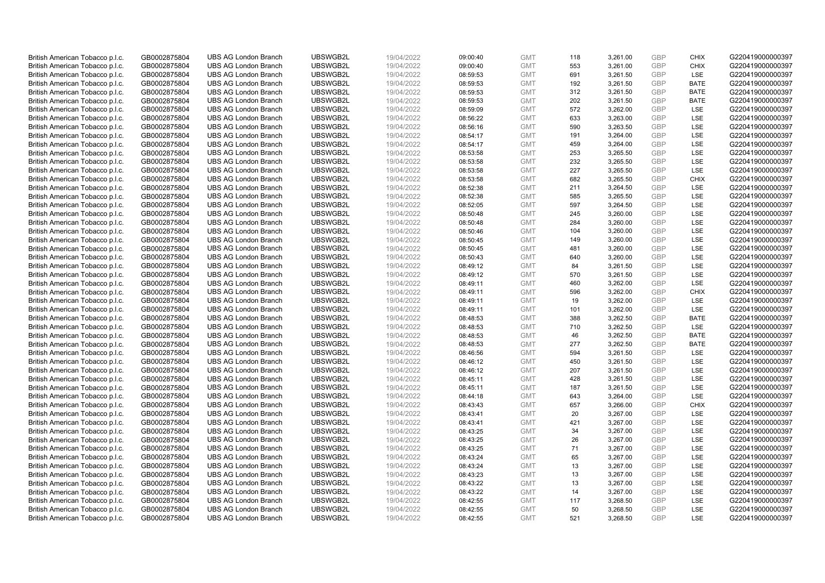| British American Tobacco p.l.c. | GB0002875804 | <b>UBS AG London Branch</b> | UBSWGB2L | 19/04/2022 | 09:00:40 | <b>GMT</b> | 118 | 3,261.00 | <b>GBP</b> | <b>CHIX</b> | G220419000000397 |
|---------------------------------|--------------|-----------------------------|----------|------------|----------|------------|-----|----------|------------|-------------|------------------|
| British American Tobacco p.l.c. | GB0002875804 | <b>UBS AG London Branch</b> | UBSWGB2L | 19/04/2022 | 09:00:40 | <b>GMT</b> | 553 | 3,261.00 | <b>GBP</b> | <b>CHIX</b> | G220419000000397 |
| British American Tobacco p.l.c. | GB0002875804 | <b>UBS AG London Branch</b> | UBSWGB2L | 19/04/2022 | 08:59:53 | <b>GMT</b> | 691 | 3,261.50 | <b>GBP</b> | LSE         | G220419000000397 |
| British American Tobacco p.l.c. | GB0002875804 | <b>UBS AG London Branch</b> | UBSWGB2L | 19/04/2022 | 08:59:53 | <b>GMT</b> | 192 | 3,261.50 | <b>GBP</b> | <b>BATE</b> | G220419000000397 |
| British American Tobacco p.l.c. | GB0002875804 | <b>UBS AG London Branch</b> | UBSWGB2L | 19/04/2022 | 08:59:53 | <b>GMT</b> | 312 | 3,261.50 | <b>GBP</b> | <b>BATE</b> | G220419000000397 |
| British American Tobacco p.l.c. | GB0002875804 | <b>UBS AG London Branch</b> | UBSWGB2L | 19/04/2022 | 08:59:53 | <b>GMT</b> | 202 | 3,261.50 | <b>GBP</b> | <b>BATE</b> | G220419000000397 |
| British American Tobacco p.l.c. | GB0002875804 | <b>UBS AG London Branch</b> | UBSWGB2L | 19/04/2022 | 08:59:09 | <b>GMT</b> | 572 | 3,262.00 | <b>GBP</b> | LSE         | G220419000000397 |
| British American Tobacco p.l.c. | GB0002875804 | <b>UBS AG London Branch</b> | UBSWGB2L | 19/04/2022 | 08:56:22 | <b>GMT</b> | 633 | 3,263.00 | <b>GBP</b> | LSE         | G220419000000397 |
| British American Tobacco p.l.c. | GB0002875804 | <b>UBS AG London Branch</b> | UBSWGB2L | 19/04/2022 | 08:56:16 | <b>GMT</b> | 590 | 3,263.50 | <b>GBP</b> | LSE         | G220419000000397 |
| British American Tobacco p.l.c. | GB0002875804 | <b>UBS AG London Branch</b> | UBSWGB2L | 19/04/2022 | 08:54:17 | <b>GMT</b> | 191 | 3,264.00 | <b>GBP</b> | LSE         | G220419000000397 |
| British American Tobacco p.l.c. | GB0002875804 | <b>UBS AG London Branch</b> | UBSWGB2L | 19/04/2022 | 08:54:17 | <b>GMT</b> | 459 | 3,264.00 | <b>GBP</b> | LSE         | G220419000000397 |
| British American Tobacco p.l.c. | GB0002875804 | <b>UBS AG London Branch</b> | UBSWGB2L | 19/04/2022 | 08:53:58 | <b>GMT</b> | 253 | 3,265.50 | <b>GBP</b> | LSE         | G220419000000397 |
| British American Tobacco p.l.c. | GB0002875804 | <b>UBS AG London Branch</b> | UBSWGB2L | 19/04/2022 | 08:53:58 | <b>GMT</b> | 232 | 3,265.50 | <b>GBP</b> | LSE         | G220419000000397 |
| British American Tobacco p.l.c. | GB0002875804 | <b>UBS AG London Branch</b> | UBSWGB2L | 19/04/2022 | 08:53:58 | <b>GMT</b> | 227 | 3,265.50 | <b>GBP</b> | LSE         | G220419000000397 |
| British American Tobacco p.l.c. | GB0002875804 | <b>UBS AG London Branch</b> | UBSWGB2L | 19/04/2022 | 08:53:58 | <b>GMT</b> | 682 | 3,265.50 | <b>GBP</b> | <b>CHIX</b> | G220419000000397 |
| British American Tobacco p.l.c. | GB0002875804 | <b>UBS AG London Branch</b> | UBSWGB2L | 19/04/2022 | 08:52:38 | <b>GMT</b> | 211 | 3,264.50 | <b>GBP</b> | LSE         | G220419000000397 |
|                                 |              | <b>UBS AG London Branch</b> | UBSWGB2L |            |          | <b>GMT</b> |     |          | <b>GBP</b> |             |                  |
| British American Tobacco p.l.c. | GB0002875804 |                             |          | 19/04/2022 | 08:52:38 |            | 585 | 3,265.50 |            | LSE<br>LSE  | G220419000000397 |
| British American Tobacco p.l.c. | GB0002875804 | <b>UBS AG London Branch</b> | UBSWGB2L | 19/04/2022 | 08:52:05 | <b>GMT</b> | 597 | 3,264.50 | <b>GBP</b> |             | G220419000000397 |
| British American Tobacco p.l.c. | GB0002875804 | <b>UBS AG London Branch</b> | UBSWGB2L | 19/04/2022 | 08:50:48 | <b>GMT</b> | 245 | 3,260.00 | <b>GBP</b> | <b>LSE</b>  | G220419000000397 |
| British American Tobacco p.l.c. | GB0002875804 | <b>UBS AG London Branch</b> | UBSWGB2L | 19/04/2022 | 08:50:48 | <b>GMT</b> | 284 | 3,260.00 | <b>GBP</b> | LSE         | G220419000000397 |
| British American Tobacco p.l.c. | GB0002875804 | <b>UBS AG London Branch</b> | UBSWGB2L | 19/04/2022 | 08:50:46 | <b>GMT</b> | 104 | 3,260.00 | <b>GBP</b> | LSE         | G220419000000397 |
| British American Tobacco p.l.c. | GB0002875804 | <b>UBS AG London Branch</b> | UBSWGB2L | 19/04/2022 | 08:50:45 | <b>GMT</b> | 149 | 3,260.00 | <b>GBP</b> | LSE         | G220419000000397 |
| British American Tobacco p.l.c. | GB0002875804 | <b>UBS AG London Branch</b> | UBSWGB2L | 19/04/2022 | 08:50:45 | <b>GMT</b> | 481 | 3,260.00 | <b>GBP</b> | LSE         | G220419000000397 |
| British American Tobacco p.l.c. | GB0002875804 | <b>UBS AG London Branch</b> | UBSWGB2L | 19/04/2022 | 08:50:43 | <b>GMT</b> | 640 | 3,260.00 | <b>GBP</b> | LSE         | G220419000000397 |
| British American Tobacco p.l.c. | GB0002875804 | <b>UBS AG London Branch</b> | UBSWGB2L | 19/04/2022 | 08:49:12 | <b>GMT</b> | 84  | 3,261.50 | <b>GBP</b> | LSE         | G220419000000397 |
| British American Tobacco p.l.c. | GB0002875804 | <b>UBS AG London Branch</b> | UBSWGB2L | 19/04/2022 | 08:49:12 | <b>GMT</b> | 570 | 3,261.50 | <b>GBP</b> | LSE         | G220419000000397 |
| British American Tobacco p.l.c. | GB0002875804 | <b>UBS AG London Branch</b> | UBSWGB2L | 19/04/2022 | 08:49:11 | <b>GMT</b> | 460 | 3,262.00 | <b>GBP</b> | LSE         | G220419000000397 |
| British American Tobacco p.l.c. | GB0002875804 | <b>UBS AG London Branch</b> | UBSWGB2L | 19/04/2022 | 08:49:11 | <b>GMT</b> | 596 | 3,262.00 | <b>GBP</b> | <b>CHIX</b> | G220419000000397 |
| British American Tobacco p.l.c. | GB0002875804 | <b>UBS AG London Branch</b> | UBSWGB2L | 19/04/2022 | 08:49:11 | <b>GMT</b> | 19  | 3,262.00 | <b>GBP</b> | LSE         | G220419000000397 |
| British American Tobacco p.l.c. | GB0002875804 | <b>UBS AG London Branch</b> | UBSWGB2L | 19/04/2022 | 08:49:11 | <b>GMT</b> | 101 | 3,262.00 | <b>GBP</b> | LSE         | G220419000000397 |
| British American Tobacco p.l.c. | GB0002875804 | <b>UBS AG London Branch</b> | UBSWGB2L | 19/04/2022 | 08:48:53 | <b>GMT</b> | 388 | 3,262.50 | <b>GBP</b> | <b>BATE</b> | G220419000000397 |
| British American Tobacco p.l.c. | GB0002875804 | <b>UBS AG London Branch</b> | UBSWGB2L | 19/04/2022 | 08:48:53 | <b>GMT</b> | 710 | 3,262.50 | <b>GBP</b> | LSE         | G220419000000397 |
| British American Tobacco p.l.c. | GB0002875804 | <b>UBS AG London Branch</b> | UBSWGB2L | 19/04/2022 | 08:48:53 | <b>GMT</b> | 46  | 3,262.50 | <b>GBP</b> | <b>BATE</b> | G220419000000397 |
| British American Tobacco p.l.c. | GB0002875804 | <b>UBS AG London Branch</b> | UBSWGB2L | 19/04/2022 | 08:48:53 | <b>GMT</b> | 277 | 3,262.50 | <b>GBP</b> | <b>BATE</b> | G220419000000397 |
| British American Tobacco p.l.c. | GB0002875804 | <b>UBS AG London Branch</b> | UBSWGB2L | 19/04/2022 | 08:46:56 | <b>GMT</b> | 594 | 3,261.50 | <b>GBP</b> | LSE         | G220419000000397 |
| British American Tobacco p.l.c. | GB0002875804 | <b>UBS AG London Branch</b> | UBSWGB2L | 19/04/2022 | 08:46:12 | <b>GMT</b> | 450 | 3,261.50 | <b>GBP</b> | LSE         | G220419000000397 |
| British American Tobacco p.l.c. | GB0002875804 | <b>UBS AG London Branch</b> | UBSWGB2L | 19/04/2022 | 08:46:12 | <b>GMT</b> | 207 | 3,261.50 | <b>GBP</b> | LSE         | G220419000000397 |
| British American Tobacco p.l.c. | GB0002875804 | <b>UBS AG London Branch</b> | UBSWGB2L | 19/04/2022 | 08:45:11 | <b>GMT</b> | 428 | 3,261.50 | <b>GBP</b> | LSE         | G220419000000397 |
| British American Tobacco p.l.c. | GB0002875804 | <b>UBS AG London Branch</b> | UBSWGB2L | 19/04/2022 | 08:45:11 | <b>GMT</b> | 187 | 3,261.50 | <b>GBP</b> | LSE         | G220419000000397 |
| British American Tobacco p.l.c. | GB0002875804 | <b>UBS AG London Branch</b> | UBSWGB2L | 19/04/2022 | 08:44:18 | <b>GMT</b> | 643 | 3,264.00 | <b>GBP</b> | LSE         | G220419000000397 |
| British American Tobacco p.l.c. | GB0002875804 | <b>UBS AG London Branch</b> | UBSWGB2L | 19/04/2022 | 08:43:43 | <b>GMT</b> | 657 | 3,266.00 | <b>GBP</b> | <b>CHIX</b> | G220419000000397 |
| British American Tobacco p.l.c. | GB0002875804 | <b>UBS AG London Branch</b> | UBSWGB2L | 19/04/2022 | 08:43:41 | <b>GMT</b> | 20  | 3,267.00 | <b>GBP</b> | LSE         | G220419000000397 |
| British American Tobacco p.l.c. | GB0002875804 | <b>UBS AG London Branch</b> | UBSWGB2L | 19/04/2022 | 08:43:41 | <b>GMT</b> | 421 | 3,267.00 | <b>GBP</b> | LSE         | G220419000000397 |
| British American Tobacco p.l.c. | GB0002875804 | <b>UBS AG London Branch</b> | UBSWGB2L | 19/04/2022 | 08:43:25 | <b>GMT</b> | 34  | 3,267.00 | <b>GBP</b> | LSE         | G220419000000397 |
| British American Tobacco p.l.c. | GB0002875804 | <b>UBS AG London Branch</b> | UBSWGB2L | 19/04/2022 | 08:43:25 | <b>GMT</b> | 26  | 3,267.00 | <b>GBP</b> | LSE         | G220419000000397 |
| British American Tobacco p.l.c. | GB0002875804 | <b>UBS AG London Branch</b> | UBSWGB2L | 19/04/2022 | 08:43:25 | <b>GMT</b> | 71  | 3,267.00 | <b>GBP</b> | LSE         | G220419000000397 |
| British American Tobacco p.l.c. | GB0002875804 | <b>UBS AG London Branch</b> | UBSWGB2L | 19/04/2022 | 08:43:24 | <b>GMT</b> | 65  | 3,267.00 | <b>GBP</b> | LSE         | G220419000000397 |
| British American Tobacco p.l.c. | GB0002875804 | <b>UBS AG London Branch</b> | UBSWGB2L | 19/04/2022 | 08:43:24 | <b>GMT</b> | 13  | 3,267.00 | <b>GBP</b> | LSE         | G220419000000397 |
| British American Tobacco p.l.c. | GB0002875804 | <b>UBS AG London Branch</b> | UBSWGB2L | 19/04/2022 | 08:43:23 | <b>GMT</b> | 13  | 3,267.00 | <b>GBP</b> | LSE         | G220419000000397 |
| British American Tobacco p.l.c. | GB0002875804 | <b>UBS AG London Branch</b> | UBSWGB2L | 19/04/2022 | 08:43:22 | <b>GMT</b> | 13  | 3,267.00 | <b>GBP</b> | LSE         | G220419000000397 |
| British American Tobacco p.l.c. | GB0002875804 | <b>UBS AG London Branch</b> | UBSWGB2L | 19/04/2022 | 08:43:22 | <b>GMT</b> | 14  | 3,267.00 | <b>GBP</b> | LSE         | G220419000000397 |
| British American Tobacco p.l.c. | GB0002875804 | <b>UBS AG London Branch</b> | UBSWGB2L | 19/04/2022 | 08:42:55 | <b>GMT</b> | 117 | 3,268.50 | <b>GBP</b> | LSE         | G220419000000397 |
| British American Tobacco p.l.c. | GB0002875804 | <b>UBS AG London Branch</b> | UBSWGB2L | 19/04/2022 | 08:42:55 | <b>GMT</b> | 50  | 3,268.50 | <b>GBP</b> | LSE         | G220419000000397 |
| British American Tobacco p.l.c. | GB0002875804 | <b>UBS AG London Branch</b> | UBSWGB2L | 19/04/2022 | 08:42:55 | <b>GMT</b> | 521 | 3.268.50 | GBP        | LSE         | G220419000000397 |
|                                 |              |                             |          |            |          |            |     |          |            |             |                  |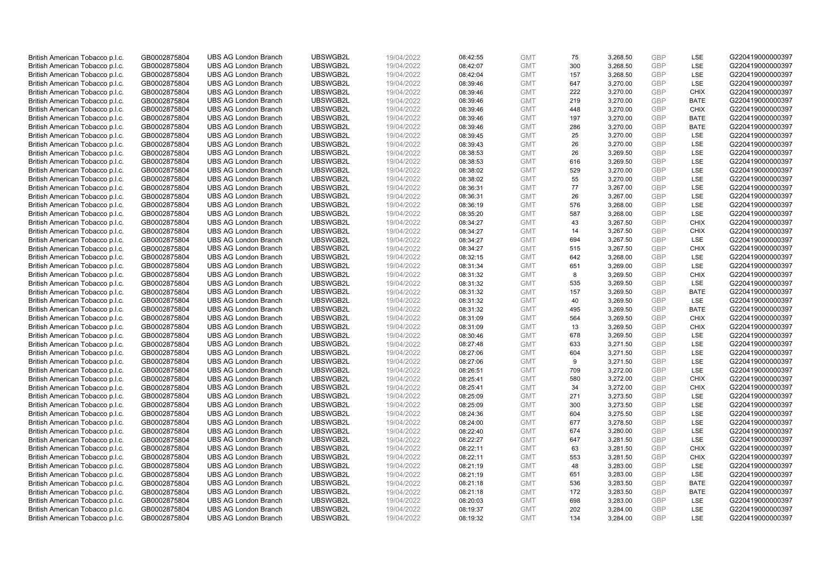| British American Tobacco p.l.c. | GB0002875804 | <b>UBS AG London Branch</b> | UBSWGB2L | 19/04/2022 | 08:42:55 | <b>GMT</b> | 75  | 3,268.50 | <b>GBP</b>               | LSE         | G220419000000397 |
|---------------------------------|--------------|-----------------------------|----------|------------|----------|------------|-----|----------|--------------------------|-------------|------------------|
| British American Tobacco p.l.c. | GB0002875804 | <b>UBS AG London Branch</b> | UBSWGB2L | 19/04/2022 | 08:42:07 | <b>GMT</b> | 300 | 3,268.50 | GBP                      | LSE         | G220419000000397 |
| British American Tobacco p.l.c. | GB0002875804 | <b>UBS AG London Branch</b> | UBSWGB2L | 19/04/2022 | 08:42:04 | <b>GMT</b> | 157 | 3,268.50 | <b>GBP</b>               | LSE         | G220419000000397 |
| British American Tobacco p.l.c. | GB0002875804 | <b>UBS AG London Branch</b> | UBSWGB2L | 19/04/2022 | 08:39:46 | <b>GMT</b> | 647 | 3,270.00 | <b>GBP</b>               | LSE         | G220419000000397 |
| British American Tobacco p.l.c. | GB0002875804 | <b>UBS AG London Branch</b> | UBSWGB2L | 19/04/2022 |          | <b>GMT</b> | 222 | 3,270.00 | <b>GBP</b>               | <b>CHIX</b> | G220419000000397 |
|                                 |              | <b>UBS AG London Branch</b> | UBSWGB2L |            | 08:39:46 |            |     |          |                          | <b>BATE</b> |                  |
| British American Tobacco p.l.c. | GB0002875804 |                             |          | 19/04/2022 | 08:39:46 | <b>GMT</b> | 219 | 3,270.00 | <b>GBP</b><br><b>GBP</b> |             | G220419000000397 |
| British American Tobacco p.l.c. | GB0002875804 | <b>UBS AG London Branch</b> | UBSWGB2L | 19/04/2022 | 08:39:46 | <b>GMT</b> | 448 | 3,270.00 |                          | <b>CHIX</b> | G220419000000397 |
| British American Tobacco p.l.c. | GB0002875804 | <b>UBS AG London Branch</b> | UBSWGB2L | 19/04/2022 | 08:39:46 | <b>GMT</b> | 197 | 3,270.00 | <b>GBP</b>               | <b>BATE</b> | G220419000000397 |
| British American Tobacco p.l.c. | GB0002875804 | <b>UBS AG London Branch</b> | UBSWGB2L | 19/04/2022 | 08:39:46 | <b>GMT</b> | 286 | 3,270.00 | <b>GBP</b>               | <b>BATE</b> | G220419000000397 |
| British American Tobacco p.l.c. | GB0002875804 | <b>UBS AG London Branch</b> | UBSWGB2L | 19/04/2022 | 08:39:45 | <b>GMT</b> | 25  | 3,270.00 | <b>GBP</b>               | LSE         | G220419000000397 |
| British American Tobacco p.l.c. | GB0002875804 | <b>UBS AG London Branch</b> | UBSWGB2L | 19/04/2022 | 08:39:43 | <b>GMT</b> | 26  | 3,270.00 | <b>GBP</b>               | LSE         | G220419000000397 |
| British American Tobacco p.l.c. | GB0002875804 | <b>UBS AG London Branch</b> | UBSWGB2L | 19/04/2022 | 08:38:53 | <b>GMT</b> | 26  | 3,269.50 | <b>GBP</b>               | LSE         | G220419000000397 |
| British American Tobacco p.l.c. | GB0002875804 | <b>UBS AG London Branch</b> | UBSWGB2L | 19/04/2022 | 08:38:53 | <b>GMT</b> | 616 | 3,269.50 | <b>GBP</b>               | LSE         | G220419000000397 |
| British American Tobacco p.l.c. | GB0002875804 | <b>UBS AG London Branch</b> | UBSWGB2L | 19/04/2022 | 08:38:02 | <b>GMT</b> | 529 | 3,270.00 | <b>GBP</b>               | LSE         | G220419000000397 |
| British American Tobacco p.l.c. | GB0002875804 | <b>UBS AG London Branch</b> | UBSWGB2L | 19/04/2022 | 08:38:02 | <b>GMT</b> | 55  | 3,270.00 | GBP                      | LSE         | G220419000000397 |
| British American Tobacco p.l.c. | GB0002875804 | <b>UBS AG London Branch</b> | UBSWGB2L | 19/04/2022 | 08:36:31 | <b>GMT</b> | 77  | 3,267.00 | <b>GBP</b>               | LSE         | G220419000000397 |
| British American Tobacco p.l.c. | GB0002875804 | <b>UBS AG London Branch</b> | UBSWGB2L | 19/04/2022 | 08:36:31 | <b>GMT</b> | 26  | 3,267.00 | <b>GBP</b>               | LSE         | G220419000000397 |
| British American Tobacco p.l.c. | GB0002875804 | <b>UBS AG London Branch</b> | UBSWGB2L | 19/04/2022 | 08:36:19 | <b>GMT</b> | 576 | 3,268.00 | <b>GBP</b>               | LSE         | G220419000000397 |
| British American Tobacco p.l.c. | GB0002875804 | <b>UBS AG London Branch</b> | UBSWGB2L | 19/04/2022 | 08:35:20 | <b>GMT</b> | 587 | 3,268.00 | <b>GBP</b>               | <b>LSE</b>  | G220419000000397 |
| British American Tobacco p.l.c. | GB0002875804 | <b>UBS AG London Branch</b> | UBSWGB2L | 19/04/2022 | 08:34:27 | <b>GMT</b> | 43  | 3,267.50 | <b>GBP</b>               | <b>CHIX</b> | G220419000000397 |
| British American Tobacco p.l.c. | GB0002875804 | <b>UBS AG London Branch</b> | UBSWGB2L | 19/04/2022 | 08:34:27 | <b>GMT</b> | 14  | 3,267.50 | <b>GBP</b>               | <b>CHIX</b> | G220419000000397 |
| British American Tobacco p.l.c. | GB0002875804 | <b>UBS AG London Branch</b> | UBSWGB2L | 19/04/2022 | 08:34:27 | <b>GMT</b> | 694 | 3,267.50 | <b>GBP</b>               | LSE         | G220419000000397 |
| British American Tobacco p.l.c. | GB0002875804 | <b>UBS AG London Branch</b> | UBSWGB2L | 19/04/2022 | 08:34:27 | <b>GMT</b> | 515 | 3,267.50 | <b>GBP</b>               | <b>CHIX</b> | G220419000000397 |
| British American Tobacco p.l.c. | GB0002875804 | <b>UBS AG London Branch</b> | UBSWGB2L | 19/04/2022 | 08:32:15 | <b>GMT</b> | 642 | 3,268.00 | <b>GBP</b>               | LSE         | G220419000000397 |
| British American Tobacco p.l.c. | GB0002875804 | <b>UBS AG London Branch</b> | UBSWGB2L | 19/04/2022 | 08:31:34 | <b>GMT</b> | 651 | 3,269.00 | <b>GBP</b>               | LSE         | G220419000000397 |
| British American Tobacco p.l.c. | GB0002875804 | <b>UBS AG London Branch</b> | UBSWGB2L | 19/04/2022 | 08:31:32 | <b>GMT</b> | 8   | 3,269.50 | <b>GBP</b>               | <b>CHIX</b> | G220419000000397 |
| British American Tobacco p.l.c. | GB0002875804 | <b>UBS AG London Branch</b> | UBSWGB2L | 19/04/2022 | 08:31:32 | <b>GMT</b> | 535 | 3,269.50 | <b>GBP</b>               | <b>LSE</b>  | G220419000000397 |
| British American Tobacco p.l.c. | GB0002875804 | <b>UBS AG London Branch</b> | UBSWGB2L | 19/04/2022 | 08:31:32 | <b>GMT</b> | 157 | 3,269.50 | <b>GBP</b>               | <b>BATE</b> | G220419000000397 |
| British American Tobacco p.l.c. | GB0002875804 | <b>UBS AG London Branch</b> | UBSWGB2L | 19/04/2022 | 08:31:32 | <b>GMT</b> | 40  | 3,269.50 | <b>GBP</b>               | LSE         | G220419000000397 |
| British American Tobacco p.l.c. | GB0002875804 | <b>UBS AG London Branch</b> | UBSWGB2L | 19/04/2022 | 08:31:32 | <b>GMT</b> | 495 | 3,269.50 | <b>GBP</b>               | <b>BATE</b> | G220419000000397 |
| British American Tobacco p.l.c. | GB0002875804 | <b>UBS AG London Branch</b> | UBSWGB2L | 19/04/2022 | 08:31:09 | <b>GMT</b> | 564 | 3,269.50 | <b>GBP</b>               | <b>CHIX</b> | G220419000000397 |
| British American Tobacco p.l.c. | GB0002875804 | <b>UBS AG London Branch</b> | UBSWGB2L | 19/04/2022 | 08:31:09 | <b>GMT</b> | 13  | 3,269.50 | <b>GBP</b>               | <b>CHIX</b> | G220419000000397 |
| British American Tobacco p.l.c. | GB0002875804 | <b>UBS AG London Branch</b> | UBSWGB2L | 19/04/2022 | 08:30:46 | <b>GMT</b> | 678 | 3,269.50 | <b>GBP</b>               | LSE         | G220419000000397 |
| British American Tobacco p.l.c. | GB0002875804 | <b>UBS AG London Branch</b> | UBSWGB2L | 19/04/2022 | 08:27:48 | <b>GMT</b> | 633 | 3,271.50 | <b>GBP</b>               | LSE         | G220419000000397 |
| British American Tobacco p.l.c. | GB0002875804 | <b>UBS AG London Branch</b> | UBSWGB2L | 19/04/2022 | 08:27:06 | <b>GMT</b> | 604 | 3,271.50 | <b>GBP</b>               | LSE         | G220419000000397 |
| British American Tobacco p.l.c. | GB0002875804 | <b>UBS AG London Branch</b> | UBSWGB2L | 19/04/2022 | 08:27:06 | <b>GMT</b> | 9   | 3,271.50 | <b>GBP</b>               | LSE         | G220419000000397 |
| British American Tobacco p.l.c. | GB0002875804 | <b>UBS AG London Branch</b> | UBSWGB2L | 19/04/2022 | 08:26:51 | <b>GMT</b> | 709 | 3,272.00 | <b>GBP</b>               | LSE         | G220419000000397 |
| British American Tobacco p.l.c. | GB0002875804 | <b>UBS AG London Branch</b> | UBSWGB2L | 19/04/2022 | 08:25:41 | <b>GMT</b> | 580 | 3,272.00 | <b>GBP</b>               | <b>CHIX</b> | G220419000000397 |
| British American Tobacco p.l.c. | GB0002875804 | <b>UBS AG London Branch</b> | UBSWGB2L | 19/04/2022 | 08:25:41 | <b>GMT</b> | 34  | 3,272.00 | <b>GBP</b>               | <b>CHIX</b> | G220419000000397 |
| British American Tobacco p.l.c. | GB0002875804 | <b>UBS AG London Branch</b> | UBSWGB2L | 19/04/2022 | 08:25:09 | <b>GMT</b> | 271 | 3,273.50 | <b>GBP</b>               | LSE         | G220419000000397 |
| British American Tobacco p.l.c. | GB0002875804 | <b>UBS AG London Branch</b> | UBSWGB2L | 19/04/2022 | 08:25:09 | <b>GMT</b> | 300 | 3,273.50 | <b>GBP</b>               | LSE         | G220419000000397 |
| British American Tobacco p.l.c. | GB0002875804 | <b>UBS AG London Branch</b> | UBSWGB2L | 19/04/2022 | 08:24:36 | <b>GMT</b> | 604 | 3,275.50 | <b>GBP</b>               | LSE         | G220419000000397 |
| British American Tobacco p.l.c. | GB0002875804 | <b>UBS AG London Branch</b> | UBSWGB2L | 19/04/2022 | 08:24:00 | <b>GMT</b> | 677 | 3,278.50 | <b>GBP</b>               | LSE         | G220419000000397 |
| British American Tobacco p.l.c. | GB0002875804 | <b>UBS AG London Branch</b> | UBSWGB2L | 19/04/2022 | 08:22:40 | <b>GMT</b> | 674 | 3,280.00 | <b>GBP</b>               | LSE         | G220419000000397 |
| British American Tobacco p.l.c. | GB0002875804 | <b>UBS AG London Branch</b> | UBSWGB2L | 19/04/2022 | 08:22:27 | <b>GMT</b> | 647 | 3,281.50 | <b>GBP</b>               | LSE         | G220419000000397 |
| British American Tobacco p.l.c. | GB0002875804 | <b>UBS AG London Branch</b> | UBSWGB2L | 19/04/2022 | 08:22:11 | <b>GMT</b> | 63  | 3,281.50 | <b>GBP</b>               | <b>CHIX</b> | G220419000000397 |
| British American Tobacco p.l.c. | GB0002875804 | <b>UBS AG London Branch</b> | UBSWGB2L | 19/04/2022 | 08:22:11 | <b>GMT</b> | 553 | 3,281.50 | <b>GBP</b>               | <b>CHIX</b> | G220419000000397 |
| British American Tobacco p.l.c. | GB0002875804 | <b>UBS AG London Branch</b> | UBSWGB2L | 19/04/2022 | 08:21:19 | <b>GMT</b> | 48  | 3,283.00 | <b>GBP</b>               | LSE         | G220419000000397 |
| British American Tobacco p.l.c. | GB0002875804 | <b>UBS AG London Branch</b> | UBSWGB2L | 19/04/2022 | 08:21:19 | <b>GMT</b> | 651 | 3,283.00 | <b>GBP</b>               | LSE         | G220419000000397 |
| British American Tobacco p.l.c. | GB0002875804 | <b>UBS AG London Branch</b> | UBSWGB2L | 19/04/2022 | 08:21:18 | <b>GMT</b> | 536 | 3,283.50 | <b>GBP</b>               | <b>BATE</b> | G220419000000397 |
| British American Tobacco p.l.c. | GB0002875804 | <b>UBS AG London Branch</b> | UBSWGB2L | 19/04/2022 | 08:21:18 | <b>GMT</b> | 172 | 3,283.50 | <b>GBP</b>               | <b>BATE</b> | G220419000000397 |
| British American Tobacco p.l.c. | GB0002875804 | <b>UBS AG London Branch</b> | UBSWGB2L | 19/04/2022 | 08:20:03 | <b>GMT</b> | 698 | 3,283.00 | <b>GBP</b>               | LSE         | G220419000000397 |
| British American Tobacco p.l.c. | GB0002875804 | <b>UBS AG London Branch</b> | UBSWGB2L | 19/04/2022 | 08:19:37 | <b>GMT</b> | 202 | 3,284.00 | <b>GBP</b>               | LSE         | G220419000000397 |
| British American Tobacco p.l.c. | GB0002875804 | <b>UBS AG London Branch</b> | UBSWGB2L | 19/04/2022 | 08:19:32 | <b>GMT</b> | 134 | 3.284.00 | GBP                      | LSE         | G220419000000397 |
|                                 |              |                             |          |            |          |            |     |          |                          |             |                  |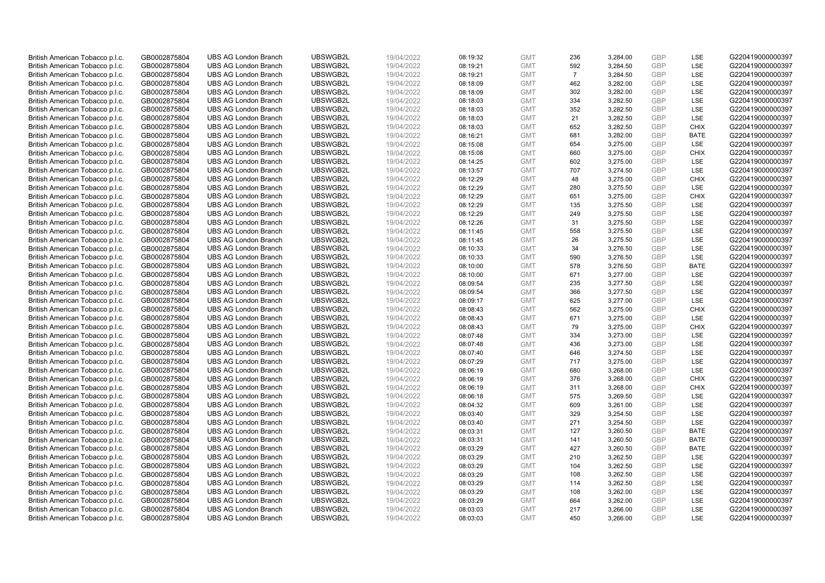| British American Tobacco p.l.c.                                    | GB0002875804                 | <b>UBS AG London Branch</b>                                | UBSWGB2L             | 19/04/2022               | 08:19:32             | <b>GMT</b>               | 236            | 3,284.00             | <b>GBP</b>               | <b>LSE</b>  | G220419000000397                     |
|--------------------------------------------------------------------|------------------------------|------------------------------------------------------------|----------------------|--------------------------|----------------------|--------------------------|----------------|----------------------|--------------------------|-------------|--------------------------------------|
| British American Tobacco p.l.c.                                    | GB0002875804                 | <b>UBS AG London Branch</b>                                | UBSWGB2L             | 19/04/2022               | 08:19:21             | <b>GMT</b>               | 592            | 3,284.50             | <b>GBP</b>               | LSE         | G220419000000397                     |
| British American Tobacco p.l.c.                                    | GB0002875804                 | <b>UBS AG London Branch</b>                                | UBSWGB2L             | 19/04/2022               | 08:19:21             | <b>GMT</b>               | $\overline{7}$ | 3,284.50             | <b>GBP</b>               | LSE         | G220419000000397                     |
| British American Tobacco p.l.c.                                    | GB0002875804                 | <b>UBS AG London Branch</b>                                | UBSWGB2L             | 19/04/2022               | 08:18:09             | <b>GMT</b>               | 462            | 3,282.00             | <b>GBP</b>               | LSE         | G220419000000397                     |
| British American Tobacco p.l.c.                                    | GB0002875804                 | <b>UBS AG London Branch</b>                                | UBSWGB2L             | 19/04/2022               | 08:18:09             | <b>GMT</b>               | 302            | 3,282.00             | <b>GBP</b>               | LSE         | G220419000000397                     |
| British American Tobacco p.l.c.                                    | GB0002875804                 | <b>UBS AG London Branch</b>                                | UBSWGB2L             | 19/04/2022               | 08:18:03             | <b>GMT</b>               | 334            | 3,282.50             | GBP                      | LSE         | G220419000000397                     |
| British American Tobacco p.l.c.                                    | GB0002875804                 | <b>UBS AG London Branch</b>                                | UBSWGB2L             | 19/04/2022               | 08:18:03             | <b>GMT</b>               | 352            | 3,282.50             | <b>GBP</b>               | LSE         | G220419000000397                     |
| British American Tobacco p.l.c.                                    | GB0002875804                 | <b>UBS AG London Branch</b>                                | UBSWGB2L             | 19/04/2022               | 08:18:03             | <b>GMT</b>               | 21             | 3,282.50             | <b>GBP</b>               | LSE         | G220419000000397                     |
| British American Tobacco p.l.c.                                    | GB0002875804                 | <b>UBS AG London Branch</b>                                | UBSWGB2L             | 19/04/2022               | 08:18:03             | <b>GMT</b>               | 652            | 3,282.50             | <b>GBP</b>               | <b>CHIX</b> | G220419000000397                     |
| British American Tobacco p.l.c.                                    | GB0002875804                 | <b>UBS AG London Branch</b>                                | UBSWGB2L             | 19/04/2022               | 08:16:21             | <b>GMT</b>               | 681            | 3,282.00             | <b>GBP</b>               | <b>BATE</b> | G220419000000397                     |
| British American Tobacco p.l.c.                                    | GB0002875804                 | <b>UBS AG London Branch</b>                                | UBSWGB2L             | 19/04/2022               | 08:15:08             | <b>GMT</b>               | 654            | 3,275.00             | <b>GBP</b>               | LSE         | G220419000000397                     |
| British American Tobacco p.l.c.                                    | GB0002875804                 | <b>UBS AG London Branch</b>                                | UBSWGB2L             | 19/04/2022               | 08:15:08             | <b>GMT</b>               | 660            | 3,275.00             | <b>GBP</b>               | <b>CHIX</b> | G220419000000397                     |
| British American Tobacco p.l.c.                                    | GB0002875804                 | <b>UBS AG London Branch</b>                                | UBSWGB2L             | 19/04/2022               | 08:14:25             | <b>GMT</b>               | 602            | 3,275.00             | <b>GBP</b>               | LSE         | G220419000000397                     |
| British American Tobacco p.l.c.                                    | GB0002875804                 | <b>UBS AG London Branch</b>                                | UBSWGB2L             | 19/04/2022               | 08:13:57             | <b>GMT</b>               | 707            | 3,274.50             | <b>GBP</b>               | LSE         | G220419000000397                     |
| British American Tobacco p.l.c.                                    | GB0002875804                 | <b>UBS AG London Branch</b>                                | UBSWGB2L             | 19/04/2022               | 08:12:29             | <b>GMT</b>               | 48             | 3,275.00             | <b>GBP</b>               | <b>CHIX</b> | G220419000000397                     |
| British American Tobacco p.l.c.                                    | GB0002875804                 | <b>UBS AG London Branch</b>                                | UBSWGB2L             | 19/04/2022               | 08:12:29             | <b>GMT</b>               | 280            | 3,275.50             | <b>GBP</b>               | LSE         | G220419000000397                     |
| British American Tobacco p.l.c.                                    | GB0002875804                 | <b>UBS AG London Branch</b>                                | UBSWGB2L             | 19/04/2022               | 08:12:29             | <b>GMT</b>               | 651            | 3,275.00             | <b>GBP</b>               | <b>CHIX</b> | G220419000000397                     |
| British American Tobacco p.l.c.                                    | GB0002875804                 | <b>UBS AG London Branch</b>                                | UBSWGB2L             | 19/04/2022               | 08:12:29             | <b>GMT</b>               | 135            | 3,275.50             | <b>GBP</b>               | LSE         | G220419000000397                     |
| British American Tobacco p.l.c.                                    | GB0002875804                 | <b>UBS AG London Branch</b>                                | UBSWGB2L             | 19/04/2022               | 08:12:29             | <b>GMT</b>               | 249            | 3,275.50             | <b>GBP</b>               | LSE         | G220419000000397                     |
| British American Tobacco p.l.c.                                    | GB0002875804                 | <b>UBS AG London Branch</b>                                | UBSWGB2L             | 19/04/2022               | 08:12:26             | <b>GMT</b>               | 31             | 3,275.50             | <b>GBP</b>               | LSE         | G220419000000397                     |
| British American Tobacco p.l.c.                                    | GB0002875804                 | <b>UBS AG London Branch</b>                                | UBSWGB2L             | 19/04/2022               | 08:11:45             | <b>GMT</b>               | 558            | 3,275.50             | <b>GBP</b>               | LSE         | G220419000000397                     |
| British American Tobacco p.l.c.                                    | GB0002875804                 | <b>UBS AG London Branch</b>                                | UBSWGB2L             | 19/04/2022               | 08:11:45             | <b>GMT</b>               | 26             | 3,275.50             | <b>GBP</b>               | LSE         | G220419000000397                     |
| British American Tobacco p.l.c.                                    | GB0002875804                 | <b>UBS AG London Branch</b>                                | UBSWGB2L             | 19/04/2022               | 08:10:33             | <b>GMT</b>               | 34             | 3,276.50             | <b>GBP</b>               | LSE         | G220419000000397                     |
| British American Tobacco p.l.c.                                    | GB0002875804                 | <b>UBS AG London Branch</b>                                | UBSWGB2L             | 19/04/2022               | 08:10:33             | <b>GMT</b>               | 590            | 3.276.50             | <b>GBP</b>               | LSE         | G220419000000397                     |
| British American Tobacco p.l.c.                                    | GB0002875804                 | <b>UBS AG London Branch</b>                                | UBSWGB2L             | 19/04/2022               | 08:10:00             | <b>GMT</b>               | 578            | 3,276.50             | <b>GBP</b>               | <b>BATE</b> | G220419000000397                     |
| British American Tobacco p.l.c.                                    | GB0002875804                 | <b>UBS AG London Branch</b>                                | UBSWGB2L             | 19/04/2022               | 08:10:00             | <b>GMT</b>               | 671            | 3,277.00             | <b>GBP</b>               | LSE         | G220419000000397                     |
| British American Tobacco p.l.c.                                    | GB0002875804                 | <b>UBS AG London Branch</b>                                | UBSWGB2L             | 19/04/2022               | 08:09:54             | <b>GMT</b>               | 235            | 3,277.50             | <b>GBP</b>               | LSE         | G220419000000397                     |
| British American Tobacco p.l.c.                                    | GB0002875804                 | <b>UBS AG London Branch</b>                                | UBSWGB2L             | 19/04/2022               | 08:09:54             | <b>GMT</b>               | 366            | 3,277.50             | <b>GBP</b>               | LSE         | G220419000000397                     |
| British American Tobacco p.l.c.                                    | GB0002875804                 | <b>UBS AG London Branch</b>                                | UBSWGB2L             | 19/04/2022               | 08:09:17             | <b>GMT</b>               | 625            | 3,277.00             | <b>GBP</b>               | LSE         | G220419000000397                     |
| British American Tobacco p.l.c.                                    | GB0002875804                 | <b>UBS AG London Branch</b>                                | UBSWGB2L             | 19/04/2022               | 08:08:43             | <b>GMT</b>               | 562            | 3,275.00             | <b>GBP</b>               | <b>CHIX</b> | G220419000000397                     |
| British American Tobacco p.l.c.                                    | GB0002875804                 | <b>UBS AG London Branch</b>                                | UBSWGB2L             | 19/04/2022               | 08:08:43             | <b>GMT</b>               | 671            | 3,275.00             | <b>GBP</b>               | LSE         | G220419000000397                     |
| British American Tobacco p.l.c.                                    | GB0002875804                 | <b>UBS AG London Branch</b>                                | UBSWGB2L             | 19/04/2022               | 08:08:43             | <b>GMT</b>               | 79             | 3,275.00             | <b>GBP</b>               | <b>CHIX</b> | G220419000000397                     |
| British American Tobacco p.l.c.                                    | GB0002875804                 | <b>UBS AG London Branch</b>                                | UBSWGB2L             | 19/04/2022               | 08:07:48             | <b>GMT</b>               | 334            | 3,273.00             | <b>GBP</b>               | LSE         | G220419000000397                     |
| British American Tobacco p.l.c.                                    | GB0002875804                 | <b>UBS AG London Branch</b>                                | UBSWGB2L             | 19/04/2022               | 08:07:48             | <b>GMT</b>               | 436            | 3,273.00             | <b>GBP</b>               | LSE         | G220419000000397                     |
| British American Tobacco p.l.c.                                    | GB0002875804                 | <b>UBS AG London Branch</b>                                | UBSWGB2L             | 19/04/2022               | 08:07:40             | <b>GMT</b>               | 646            | 3,274.50             | <b>GBP</b>               | LSE         | G220419000000397                     |
| British American Tobacco p.l.c.                                    | GB0002875804                 | <b>UBS AG London Branch</b>                                | UBSWGB2L             | 19/04/2022               | 08:07:29             | <b>GMT</b>               | 717            | 3,275.00             | <b>GBP</b>               | LSE         | G220419000000397                     |
| British American Tobacco p.l.c.                                    | GB0002875804                 | <b>UBS AG London Branch</b>                                | UBSWGB2L             | 19/04/2022               | 08:06:19             | <b>GMT</b>               | 680            | 3,268.00             | <b>GBP</b>               | LSE         | G220419000000397                     |
| British American Tobacco p.l.c.                                    | GB0002875804                 | <b>UBS AG London Branch</b>                                | UBSWGB2L             | 19/04/2022               | 08:06:19             | <b>GMT</b>               | 376            | 3,268.00             | <b>GBP</b>               | <b>CHIX</b> | G220419000000397                     |
| British American Tobacco p.l.c.                                    | GB0002875804                 | <b>UBS AG London Branch</b>                                | UBSWGB2L             | 19/04/2022               | 08:06:19             | <b>GMT</b>               | 311            | 3,268.00             | <b>GBP</b>               | <b>CHIX</b> | G220419000000397                     |
| British American Tobacco p.l.c.                                    | GB0002875804                 | <b>UBS AG London Branch</b>                                | UBSWGB2L             | 19/04/2022               | 08:06:18             | <b>GMT</b>               | 575            | 3,269.50             | <b>GBP</b>               | LSE         | G220419000000397                     |
| British American Tobacco p.l.c.                                    | GB0002875804                 | <b>UBS AG London Branch</b>                                | UBSWGB2L             | 19/04/2022               | 08:04:32             | <b>GMT</b>               | 609            | 3,261.00             | <b>GBP</b>               | LSE         | G220419000000397                     |
| British American Tobacco p.l.c.                                    | GB0002875804                 | <b>UBS AG London Branch</b>                                | UBSWGB2L             | 19/04/2022               | 08:03:40             | <b>GMT</b>               | 329            | 3,254.50             | <b>GBP</b>               | LSE         | G220419000000397                     |
| British American Tobacco p.l.c.                                    | GB0002875804                 | <b>UBS AG London Branch</b>                                | UBSWGB2L             | 19/04/2022               | 08:03:40             | <b>GMT</b>               | 271            | 3,254.50             | <b>GBP</b>               | LSE         | G220419000000397                     |
| British American Tobacco p.l.c.                                    | GB0002875804                 | <b>UBS AG London Branch</b>                                | UBSWGB2L             | 19/04/2022               | 08:03:31             | <b>GMT</b>               | 127            | 3,260.50             | <b>GBP</b>               | <b>BATE</b> | G220419000000397                     |
| British American Tobacco p.l.c.                                    | GB0002875804                 | <b>UBS AG London Branch</b>                                | UBSWGB2L             | 19/04/2022               | 08:03:31             | <b>GMT</b>               | 141            | 3,260.50             | <b>GBP</b>               | <b>BATE</b> | G220419000000397                     |
| British American Tobacco p.l.c.                                    | GB0002875804                 | <b>UBS AG London Branch</b>                                | UBSWGB2L             | 19/04/2022               | 08:03:29             | <b>GMT</b>               | 427            | 3,260.50             | <b>GBP</b>               | <b>BATE</b> | G220419000000397                     |
| British American Tobacco p.l.c.                                    | GB0002875804<br>GB0002875804 | <b>UBS AG London Branch</b><br><b>UBS AG London Branch</b> | UBSWGB2L<br>UBSWGB2L | 19/04/2022<br>19/04/2022 | 08:03:29<br>08:03:29 | <b>GMT</b><br><b>GMT</b> | 210<br>104     | 3,262.50             | <b>GBP</b><br><b>GBP</b> | LSE<br>LSE  | G220419000000397<br>G220419000000397 |
| British American Tobacco p.l.c.<br>British American Tobacco p.l.c. | GB0002875804                 | <b>UBS AG London Branch</b>                                | UBSWGB2L             | 19/04/2022               | 08:03:29             | <b>GMT</b>               | 108            | 3,262.50<br>3,262.50 | <b>GBP</b>               | LSE         | G220419000000397                     |
| British American Tobacco p.l.c.                                    | GB0002875804                 | <b>UBS AG London Branch</b>                                | UBSWGB2L             | 19/04/2022               | 08:03:29             | <b>GMT</b>               | 114            | 3,262.50             | <b>GBP</b>               | LSE         | G220419000000397                     |
| British American Tobacco p.l.c.                                    | GB0002875804                 | <b>UBS AG London Branch</b>                                | UBSWGB2L             | 19/04/2022               | 08:03:29             | <b>GMT</b>               | 108            | 3,262.00             | <b>GBP</b>               | LSE         | G220419000000397                     |
| British American Tobacco p.l.c.                                    | GB0002875804                 | <b>UBS AG London Branch</b>                                | UBSWGB2L             | 19/04/2022               | 08:03:29             | <b>GMT</b>               | 664            | 3,262.00             | <b>GBP</b>               | LSE         | G220419000000397                     |
| British American Tobacco p.l.c.                                    | GB0002875804                 | <b>UBS AG London Branch</b>                                | UBSWGB2L             | 19/04/2022               | 08:03:03             | <b>GMT</b>               | 217            | 3,266.00             | <b>GBP</b>               | LSE         | G220419000000397                     |
| British American Tobacco p.l.c.                                    | GB0002875804                 | <b>UBS AG London Branch</b>                                | UBSWGB2L             | 19/04/2022               | 08:03:03             | <b>GMT</b>               | 450            | 3,266.00             | GBP                      | <b>LSE</b>  | G220419000000397                     |
|                                                                    |                              |                                                            |                      |                          |                      |                          |                |                      |                          |             |                                      |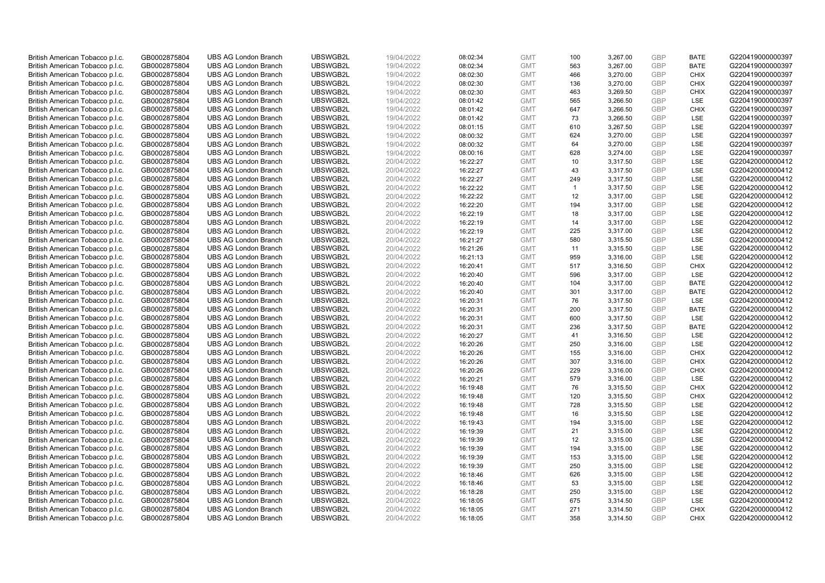| British American Tobacco p.l.c.                                    | GB0002875804                 | <b>UBS AG London Branch</b> | UBSWGB2L | 19/04/2022               | 08:02:34             | <b>GMT</b>               | 100          | 3,267.00 | <b>GBP</b>        | <b>BATE</b> | G220419000000397 |
|--------------------------------------------------------------------|------------------------------|-----------------------------|----------|--------------------------|----------------------|--------------------------|--------------|----------|-------------------|-------------|------------------|
| British American Tobacco p.l.c.                                    | GB0002875804                 | <b>UBS AG London Branch</b> | UBSWGB2L | 19/04/2022               | 08:02:34             | <b>GMT</b>               | 563          | 3,267.00 | GBP               | <b>BATE</b> | G220419000000397 |
| British American Tobacco p.l.c.                                    | GB0002875804                 | <b>UBS AG London Branch</b> | UBSWGB2L | 19/04/2022               | 08:02:30             | <b>GMT</b>               | 466          | 3,270.00 | GBP               | <b>CHIX</b> | G220419000000397 |
| British American Tobacco p.l.c.                                    | GB0002875804                 | <b>UBS AG London Branch</b> | UBSWGB2L | 19/04/2022               | 08:02:30             | <b>GMT</b>               | 136          | 3,270.00 | <b>GBP</b>        | <b>CHIX</b> | G220419000000397 |
| British American Tobacco p.l.c.                                    | GB0002875804                 | <b>UBS AG London Branch</b> | UBSWGB2L | 19/04/2022               | 08:02:30             | <b>GMT</b>               | 463          | 3,269.50 | GBP               | <b>CHIX</b> | G220419000000397 |
|                                                                    |                              | <b>UBS AG London Branch</b> | UBSWGB2L |                          |                      |                          | 565          |          |                   | <b>LSE</b>  | G220419000000397 |
| British American Tobacco p.l.c.<br>British American Tobacco p.l.c. | GB0002875804<br>GB0002875804 | <b>UBS AG London Branch</b> | UBSWGB2L | 19/04/2022<br>19/04/2022 | 08:01:42<br>08:01:42 | <b>GMT</b><br><b>GMT</b> | 647          | 3,266.50 | <b>GBP</b><br>GBP | <b>CHIX</b> | G220419000000397 |
|                                                                    |                              |                             |          |                          |                      |                          |              | 3,266.50 |                   |             |                  |
| British American Tobacco p.l.c.                                    | GB0002875804                 | <b>UBS AG London Branch</b> | UBSWGB2L | 19/04/2022               | 08:01:42             | <b>GMT</b>               | 73           | 3,266.50 | <b>GBP</b>        | <b>LSE</b>  | G220419000000397 |
| British American Tobacco p.l.c.                                    | GB0002875804                 | <b>UBS AG London Branch</b> | UBSWGB2L | 19/04/2022               | 08:01:15             | <b>GMT</b>               | 610          | 3,267.50 | GBP               | LSE         | G220419000000397 |
| British American Tobacco p.l.c.                                    | GB0002875804                 | <b>UBS AG London Branch</b> | UBSWGB2L | 19/04/2022               | 08:00:32             | <b>GMT</b>               | 624          | 3,270.00 | <b>GBP</b>        | LSE         | G220419000000397 |
| British American Tobacco p.l.c.                                    | GB0002875804                 | <b>UBS AG London Branch</b> | UBSWGB2L | 19/04/2022               | 08:00:32             | <b>GMT</b>               | 64           | 3,270.00 | GBP               | <b>LSE</b>  | G220419000000397 |
| British American Tobacco p.l.c.                                    | GB0002875804                 | <b>UBS AG London Branch</b> | UBSWGB2L | 19/04/2022               | 08:00:16             | <b>GMT</b>               | 628          | 3,274.00 | <b>GBP</b>        | LSE         | G220419000000397 |
| British American Tobacco p.l.c.                                    | GB0002875804                 | <b>UBS AG London Branch</b> | UBSWGB2L | 20/04/2022               | 16:22:27             | <b>GMT</b>               | 10           | 3,317.50 | <b>GBP</b>        | LSE         | G220420000000412 |
| British American Tobacco p.l.c.                                    | GB0002875804                 | <b>UBS AG London Branch</b> | UBSWGB2L | 20/04/2022               | 16:22:27             | <b>GMT</b>               | 43           | 3,317.50 | <b>GBP</b>        | LSE         | G220420000000412 |
| British American Tobacco p.l.c.                                    | GB0002875804                 | <b>UBS AG London Branch</b> | UBSWGB2L | 20/04/2022               | 16:22:27             | <b>GMT</b>               | 249          | 3,317.50 | GBP               | LSE         | G220420000000412 |
| British American Tobacco p.l.c.                                    | GB0002875804                 | <b>UBS AG London Branch</b> | UBSWGB2L | 20/04/2022               | 16:22:22             | <b>GMT</b>               | $\mathbf{1}$ | 3,317.50 | GBP               | LSE         | G220420000000412 |
| British American Tobacco p.l.c.                                    | GB0002875804                 | <b>UBS AG London Branch</b> | UBSWGB2L | 20/04/2022               | 16:22:22             | <b>GMT</b>               | 12           | 3,317.00 | GBP               | LSE         | G220420000000412 |
| British American Tobacco p.l.c.                                    | GB0002875804                 | <b>UBS AG London Branch</b> | UBSWGB2L | 20/04/2022               | 16:22:20             | <b>GMT</b>               | 194          | 3,317.00 | <b>GBP</b>        | LSE         | G220420000000412 |
| British American Tobacco p.l.c.                                    | GB0002875804                 | <b>UBS AG London Branch</b> | UBSWGB2L | 20/04/2022               | 16:22:19             | <b>GMT</b>               | 18           | 3,317.00 | <b>GBP</b>        | <b>LSE</b>  | G220420000000412 |
| British American Tobacco p.l.c.                                    | GB0002875804                 | <b>UBS AG London Branch</b> | UBSWGB2L | 20/04/2022               | 16:22:19             | <b>GMT</b>               | 14           | 3,317.00 | <b>GBP</b>        | LSE         | G220420000000412 |
| British American Tobacco p.l.c.                                    | GB0002875804                 | <b>UBS AG London Branch</b> | UBSWGB2L | 20/04/2022               | 16:22:19             | <b>GMT</b>               | 225          | 3,317.00 | <b>GBP</b>        | LSE         | G220420000000412 |
| British American Tobacco p.l.c.                                    | GB0002875804                 | <b>UBS AG London Branch</b> | UBSWGB2L | 20/04/2022               | 16:21:27             | <b>GMT</b>               | 580          | 3,315.50 | GBP               | LSE         | G220420000000412 |
| British American Tobacco p.l.c.                                    | GB0002875804                 | <b>UBS AG London Branch</b> | UBSWGB2L | 20/04/2022               | 16:21:26             | <b>GMT</b>               | 11           | 3,315.50 | <b>GBP</b>        | LSE         | G220420000000412 |
| British American Tobacco p.l.c.                                    | GB0002875804                 | <b>UBS AG London Branch</b> | UBSWGB2L | 20/04/2022               | 16:21:13             | <b>GMT</b>               | 959          | 3,316.00 | GBP               | <b>LSE</b>  | G220420000000412 |
| British American Tobacco p.l.c.                                    | GB0002875804                 | <b>UBS AG London Branch</b> | UBSWGB2L | 20/04/2022               | 16:20:41             | <b>GMT</b>               | 517          | 3,316.50 | <b>GBP</b>        | <b>CHIX</b> | G220420000000412 |
| British American Tobacco p.l.c.                                    | GB0002875804                 | <b>UBS AG London Branch</b> | UBSWGB2L | 20/04/2022               | 16:20:40             | <b>GMT</b>               | 596          | 3,317.00 | <b>GBP</b>        | LSE         | G220420000000412 |
| British American Tobacco p.l.c.                                    | GB0002875804                 | <b>UBS AG London Branch</b> | UBSWGB2L | 20/04/2022               | 16:20:40             | <b>GMT</b>               | 104          | 3,317.00 | <b>GBP</b>        | <b>BATE</b> | G220420000000412 |
| British American Tobacco p.l.c.                                    | GB0002875804                 | <b>UBS AG London Branch</b> | UBSWGB2L | 20/04/2022               | 16:20:40             | <b>GMT</b>               | 301          | 3,317.00 | GBP               | <b>BATE</b> | G220420000000412 |
| British American Tobacco p.l.c.                                    | GB0002875804                 | <b>UBS AG London Branch</b> | UBSWGB2L | 20/04/2022               | 16:20:31             | <b>GMT</b>               | 76           | 3,317.50 | <b>GBP</b>        | <b>LSE</b>  | G220420000000412 |
| British American Tobacco p.l.c.                                    | GB0002875804                 | <b>UBS AG London Branch</b> | UBSWGB2L | 20/04/2022               | 16:20:31             | <b>GMT</b>               | 200          | 3,317.50 | GBP               | <b>BATE</b> | G220420000000412 |
| British American Tobacco p.l.c.                                    | GB0002875804                 | <b>UBS AG London Branch</b> | UBSWGB2L | 20/04/2022               | 16:20:31             | <b>GMT</b>               | 600          | 3,317.50 | <b>GBP</b>        | LSE         | G220420000000412 |
| British American Tobacco p.l.c.                                    | GB0002875804                 | <b>UBS AG London Branch</b> | UBSWGB2L | 20/04/2022               | 16:20:31             | <b>GMT</b>               | 236          | 3,317.50 | GBP               | <b>BATE</b> | G220420000000412 |
| British American Tobacco p.l.c.                                    | GB0002875804                 | <b>UBS AG London Branch</b> | UBSWGB2L | 20/04/2022               | 16:20:27             | <b>GMT</b>               | 41           | 3,316.50 | <b>GBP</b>        | LSE         | G220420000000412 |
| British American Tobacco p.l.c.                                    | GB0002875804                 | <b>UBS AG London Branch</b> | UBSWGB2L | 20/04/2022               | 16:20:26             | <b>GMT</b>               | 250          | 3,316.00 | <b>GBP</b>        | LSE         | G220420000000412 |
| British American Tobacco p.l.c.                                    | GB0002875804                 | <b>UBS AG London Branch</b> | UBSWGB2L | 20/04/2022               | 16:20:26             | <b>GMT</b>               | 155          | 3,316.00 | GBP               | <b>CHIX</b> | G220420000000412 |
| British American Tobacco p.l.c.                                    | GB0002875804                 | <b>UBS AG London Branch</b> | UBSWGB2L | 20/04/2022               | 16:20:26             | <b>GMT</b>               | 307          | 3,316.00 | <b>GBP</b>        | <b>CHIX</b> | G220420000000412 |
| British American Tobacco p.l.c.                                    | GB0002875804                 | <b>UBS AG London Branch</b> | UBSWGB2L | 20/04/2022               | 16:20:26             | <b>GMT</b>               | 229          | 3,316.00 | GBP               | <b>CHIX</b> | G220420000000412 |
| British American Tobacco p.l.c.                                    | GB0002875804                 | <b>UBS AG London Branch</b> | UBSWGB2L | 20/04/2022               | 16:20:21             | <b>GMT</b>               | 579          | 3,316.00 | <b>GBP</b>        | LSE         | G220420000000412 |
| British American Tobacco p.l.c.                                    | GB0002875804                 | <b>UBS AG London Branch</b> | UBSWGB2L | 20/04/2022               | 16:19:48             | <b>GMT</b>               | 76           | 3,315.50 | GBP               | <b>CHIX</b> | G220420000000412 |
| British American Tobacco p.l.c.                                    | GB0002875804                 | <b>UBS AG London Branch</b> | UBSWGB2L | 20/04/2022               | 16:19:48             | <b>GMT</b>               | 120          | 3,315.50 | <b>GBP</b>        | <b>CHIX</b> | G220420000000412 |
| British American Tobacco p.l.c.                                    | GB0002875804                 | <b>UBS AG London Branch</b> | UBSWGB2L | 20/04/2022               | 16:19:48             | <b>GMT</b>               | 728          | 3,315.50 | GBP               | <b>LSE</b>  | G220420000000412 |
| British American Tobacco p.l.c.                                    | GB0002875804                 | <b>UBS AG London Branch</b> | UBSWGB2L | 20/04/2022               | 16:19:48             | <b>GMT</b>               | 16           | 3,315.50 | <b>GBP</b>        | LSE         | G220420000000412 |
| British American Tobacco p.l.c.                                    | GB0002875804                 | <b>UBS AG London Branch</b> | UBSWGB2L | 20/04/2022               | 16:19:43             | <b>GMT</b>               | 194          | 3,315.00 | <b>GBP</b>        | LSE         | G220420000000412 |
| British American Tobacco p.l.c.                                    | GB0002875804                 | <b>UBS AG London Branch</b> | UBSWGB2L | 20/04/2022               | 16:19:39             | <b>GMT</b>               | 21           | 3,315.00 | <b>GBP</b>        | LSE         | G220420000000412 |
| British American Tobacco p.l.c.                                    | GB0002875804                 | <b>UBS AG London Branch</b> | UBSWGB2L | 20/04/2022               | 16:19:39             | <b>GMT</b>               | 12           | 3,315.00 | GBP               | LSE         | G220420000000412 |
| British American Tobacco p.l.c.                                    | GB0002875804                 | <b>UBS AG London Branch</b> | UBSWGB2L | 20/04/2022               | 16:19:39             | <b>GMT</b>               | 194          | 3,315.00 | <b>GBP</b>        | LSE         | G220420000000412 |
| British American Tobacco p.l.c.                                    | GB0002875804                 | <b>UBS AG London Branch</b> | UBSWGB2L | 20/04/2022               | 16:19:39             | <b>GMT</b>               | 153          | 3,315.00 | <b>GBP</b>        | LSE         | G220420000000412 |
| British American Tobacco p.l.c.                                    | GB0002875804                 | <b>UBS AG London Branch</b> | UBSWGB2L | 20/04/2022               | 16:19:39             | <b>GMT</b>               | 250          | 3,315.00 | GBP               | LSE         | G220420000000412 |
| British American Tobacco p.l.c.                                    | GB0002875804                 | <b>UBS AG London Branch</b> | UBSWGB2L | 20/04/2022               | 16:18:46             | <b>GMT</b>               | 626          | 3,315.00 | <b>GBP</b>        | LSE         | G220420000000412 |
| British American Tobacco p.l.c.                                    | GB0002875804                 | <b>UBS AG London Branch</b> | UBSWGB2L | 20/04/2022               | 16:18:46             | <b>GMT</b>               | 53           | 3,315.00 | GBP               | <b>LSE</b>  | G220420000000412 |
| British American Tobacco p.l.c.                                    | GB0002875804                 | <b>UBS AG London Branch</b> | UBSWGB2L | 20/04/2022               | 16:18:28             | <b>GMT</b>               | 250          | 3,315.00 | <b>GBP</b>        | LSE         | G220420000000412 |
| British American Tobacco p.l.c.                                    | GB0002875804                 | <b>UBS AG London Branch</b> | UBSWGB2L | 20/04/2022               | 16:18:05             | <b>GMT</b>               | 675          | 3,314.50 | <b>GBP</b>        | LSE         | G220420000000412 |
| British American Tobacco p.l.c.                                    | GB0002875804                 | <b>UBS AG London Branch</b> | UBSWGB2L | 20/04/2022               | 16:18:05             | <b>GMT</b>               | 271          | 3,314.50 | <b>GBP</b>        | <b>CHIX</b> | G220420000000412 |
| British American Tobacco p.l.c.                                    | GB0002875804                 | <b>UBS AG London Branch</b> | UBSWGB2L | 20/04/2022               | 16:18:05             | <b>GMT</b>               | 358          | 3,314.50 | GBP               | CHIX        | G220420000000412 |
|                                                                    |                              |                             |          |                          |                      |                          |              |          |                   |             |                  |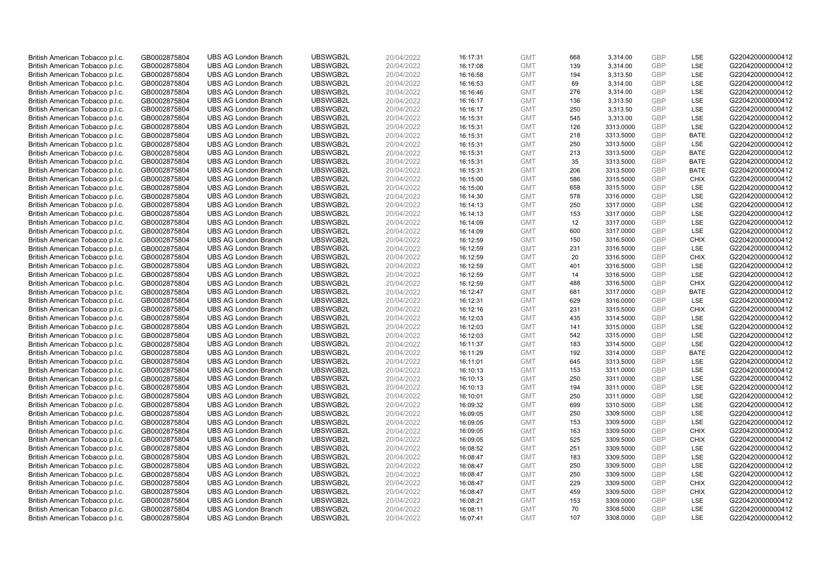| British American Tobacco p.l.c. | GB0002875804 | <b>UBS AG London Branch</b> | UBSWGB2L | 20/04/2022 | 16:17:31 | <b>GMT</b> | 668 | 3,314.00  | <b>GBP</b>               | LSE         | G220420000000412 |
|---------------------------------|--------------|-----------------------------|----------|------------|----------|------------|-----|-----------|--------------------------|-------------|------------------|
| British American Tobacco p.l.c. | GB0002875804 | <b>UBS AG London Branch</b> | UBSWGB2L | 20/04/2022 | 16:17:08 | <b>GMT</b> | 139 | 3,314.00  | GBP                      | LSE         | G220420000000412 |
| British American Tobacco p.l.c. | GB0002875804 | <b>UBS AG London Branch</b> | UBSWGB2L | 20/04/2022 | 16:16:58 | <b>GMT</b> | 194 | 3,313.50  | <b>GBP</b>               | LSE         | G220420000000412 |
| British American Tobacco p.l.c. | GB0002875804 | <b>UBS AG London Branch</b> | UBSWGB2L | 20/04/2022 | 16:16:53 | <b>GMT</b> | 69  | 3,314.00  | <b>GBP</b>               | LSE         | G220420000000412 |
| British American Tobacco p.l.c. | GB0002875804 | <b>UBS AG London Branch</b> | UBSWGB2L | 20/04/2022 |          | <b>GMT</b> | 276 | 3,314.00  | <b>GBP</b>               | LSE         |                  |
|                                 |              | <b>UBS AG London Branch</b> | UBSWGB2L |            | 16:16:46 |            | 136 |           |                          | LSE         | G220420000000412 |
| British American Tobacco p.l.c. | GB0002875804 |                             |          | 20/04/2022 | 16:16:17 | <b>GMT</b> |     | 3,313.50  | <b>GBP</b><br><b>GBP</b> |             | G220420000000412 |
| British American Tobacco p.l.c. | GB0002875804 | <b>UBS AG London Branch</b> | UBSWGB2L | 20/04/2022 | 16:16:17 | <b>GMT</b> | 250 | 3,313.50  |                          | LSE         | G220420000000412 |
| British American Tobacco p.l.c. | GB0002875804 | <b>UBS AG London Branch</b> | UBSWGB2L | 20/04/2022 | 16:15:31 | <b>GMT</b> | 545 | 3,313.00  | <b>GBP</b>               | LSE         | G220420000000412 |
| British American Tobacco p.l.c. | GB0002875804 | <b>UBS AG London Branch</b> | UBSWGB2L | 20/04/2022 | 16:15:31 | <b>GMT</b> | 126 | 3313.0000 | <b>GBP</b>               | LSE         | G220420000000412 |
| British American Tobacco p.l.c. | GB0002875804 | <b>UBS AG London Branch</b> | UBSWGB2L | 20/04/2022 | 16:15:31 | <b>GMT</b> | 218 | 3313.5000 | <b>GBP</b>               | <b>BATE</b> | G220420000000412 |
| British American Tobacco p.l.c. | GB0002875804 | <b>UBS AG London Branch</b> | UBSWGB2L | 20/04/2022 | 16:15:31 | <b>GMT</b> | 250 | 3313.5000 | <b>GBP</b>               | LSE         | G220420000000412 |
| British American Tobacco p.l.c. | GB0002875804 | <b>UBS AG London Branch</b> | UBSWGB2L | 20/04/2022 | 16:15:31 | <b>GMT</b> | 213 | 3313.5000 | <b>GBP</b>               | <b>BATE</b> | G220420000000412 |
| British American Tobacco p.l.c. | GB0002875804 | <b>UBS AG London Branch</b> | UBSWGB2L | 20/04/2022 | 16:15:31 | <b>GMT</b> | 35  | 3313.5000 | <b>GBP</b>               | <b>BATE</b> | G220420000000412 |
| British American Tobacco p.l.c. | GB0002875804 | <b>UBS AG London Branch</b> | UBSWGB2L | 20/04/2022 | 16:15:31 | <b>GMT</b> | 206 | 3313.5000 | <b>GBP</b>               | <b>BATE</b> | G220420000000412 |
| British American Tobacco p.l.c. | GB0002875804 | <b>UBS AG London Branch</b> | UBSWGB2L | 20/04/2022 | 16:15:00 | <b>GMT</b> | 586 | 3315.5000 | <b>GBP</b>               | <b>CHIX</b> | G220420000000412 |
| British American Tobacco p.l.c. | GB0002875804 | <b>UBS AG London Branch</b> | UBSWGB2L | 20/04/2022 | 16:15:00 | <b>GMT</b> | 658 | 3315.5000 | <b>GBP</b>               | LSE         | G220420000000412 |
| British American Tobacco p.l.c. | GB0002875804 | <b>UBS AG London Branch</b> | UBSWGB2L | 20/04/2022 | 16:14:30 | <b>GMT</b> | 578 | 3316.0000 | <b>GBP</b>               | LSE         | G220420000000412 |
| British American Tobacco p.l.c. | GB0002875804 | <b>UBS AG London Branch</b> | UBSWGB2L | 20/04/2022 | 16:14:13 | <b>GMT</b> | 250 | 3317.0000 | GBP                      | LSE         | G220420000000412 |
| British American Tobacco p.l.c. | GB0002875804 | <b>UBS AG London Branch</b> | UBSWGB2L | 20/04/2022 | 16:14:13 | <b>GMT</b> | 153 | 3317.0000 | <b>GBP</b>               | <b>LSE</b>  | G220420000000412 |
| British American Tobacco p.l.c. | GB0002875804 | <b>UBS AG London Branch</b> | UBSWGB2L | 20/04/2022 | 16:14:09 | <b>GMT</b> | 12  | 3317.0000 | <b>GBP</b>               | LSE         | G220420000000412 |
| British American Tobacco p.l.c. | GB0002875804 | <b>UBS AG London Branch</b> | UBSWGB2L | 20/04/2022 | 16:14:09 | <b>GMT</b> | 600 | 3317.0000 | <b>GBP</b>               | LSE         | G220420000000412 |
| British American Tobacco p.l.c. | GB0002875804 | <b>UBS AG London Branch</b> | UBSWGB2L | 20/04/2022 | 16:12:59 | <b>GMT</b> | 150 | 3316.5000 | <b>GBP</b>               | <b>CHIX</b> | G220420000000412 |
| British American Tobacco p.l.c. | GB0002875804 | <b>UBS AG London Branch</b> | UBSWGB2L | 20/04/2022 | 16:12:59 | <b>GMT</b> | 231 | 3316.5000 | <b>GBP</b>               | LSE         | G220420000000412 |
| British American Tobacco p.l.c. | GB0002875804 | <b>UBS AG London Branch</b> | UBSWGB2L | 20/04/2022 | 16:12:59 | <b>GMT</b> | 20  | 3316.5000 | <b>GBP</b>               | <b>CHIX</b> | G220420000000412 |
| British American Tobacco p.l.c. | GB0002875804 | <b>UBS AG London Branch</b> | UBSWGB2L | 20/04/2022 | 16:12:59 | <b>GMT</b> | 401 | 3316.5000 | <b>GBP</b>               | LSE         | G220420000000412 |
| British American Tobacco p.l.c. | GB0002875804 | <b>UBS AG London Branch</b> | UBSWGB2L | 20/04/2022 | 16:12:59 | <b>GMT</b> | 14  | 3316.5000 | <b>GBP</b>               | LSE         | G220420000000412 |
| British American Tobacco p.l.c. | GB0002875804 | <b>UBS AG London Branch</b> | UBSWGB2L | 20/04/2022 | 16:12:59 | <b>GMT</b> | 488 | 3316.5000 | <b>GBP</b>               | <b>CHIX</b> | G220420000000412 |
| British American Tobacco p.l.c. | GB0002875804 | <b>UBS AG London Branch</b> | UBSWGB2L | 20/04/2022 | 16:12:47 | <b>GMT</b> | 681 | 3317.0000 | <b>GBP</b>               | <b>BATE</b> | G220420000000412 |
| British American Tobacco p.l.c. | GB0002875804 | <b>UBS AG London Branch</b> | UBSWGB2L | 20/04/2022 | 16:12:31 | <b>GMT</b> | 629 | 3316.0000 | <b>GBP</b>               | LSE         | G220420000000412 |
| British American Tobacco p.l.c. | GB0002875804 | <b>UBS AG London Branch</b> | UBSWGB2L | 20/04/2022 | 16:12:16 | <b>GMT</b> | 231 | 3315.5000 | <b>GBP</b>               | <b>CHIX</b> | G220420000000412 |
| British American Tobacco p.l.c. | GB0002875804 | <b>UBS AG London Branch</b> | UBSWGB2L | 20/04/2022 | 16:12:03 | <b>GMT</b> | 435 | 3314.5000 | GBP                      | LSE         | G220420000000412 |
| British American Tobacco p.l.c. | GB0002875804 | <b>UBS AG London Branch</b> | UBSWGB2L | 20/04/2022 | 16:12:03 | <b>GMT</b> | 141 | 3315.0000 | <b>GBP</b>               | LSE         | G220420000000412 |
| British American Tobacco p.l.c. | GB0002875804 | <b>UBS AG London Branch</b> | UBSWGB2L | 20/04/2022 | 16:12:03 | <b>GMT</b> | 542 | 3315.0000 | <b>GBP</b>               | LSE         | G220420000000412 |
| British American Tobacco p.l.c. | GB0002875804 | <b>UBS AG London Branch</b> | UBSWGB2L | 20/04/2022 | 16:11:37 | <b>GMT</b> | 183 | 3314.5000 | <b>GBP</b>               | LSE         | G220420000000412 |
| British American Tobacco p.l.c. | GB0002875804 | <b>UBS AG London Branch</b> | UBSWGB2L | 20/04/2022 | 16:11:29 | <b>GMT</b> | 192 | 3314.0000 | <b>GBP</b>               | <b>BATE</b> | G220420000000412 |
| British American Tobacco p.l.c. | GB0002875804 | <b>UBS AG London Branch</b> | UBSWGB2L | 20/04/2022 | 16:11:01 | <b>GMT</b> | 645 | 3313.5000 | <b>GBP</b>               | LSE         | G220420000000412 |
| British American Tobacco p.l.c. | GB0002875804 | <b>UBS AG London Branch</b> | UBSWGB2L | 20/04/2022 | 16:10:13 | <b>GMT</b> | 153 | 3311.0000 | <b>GBP</b>               | LSE         | G220420000000412 |
| British American Tobacco p.l.c. | GB0002875804 | <b>UBS AG London Branch</b> | UBSWGB2L | 20/04/2022 | 16:10:13 | <b>GMT</b> | 250 | 3311.0000 | <b>GBP</b>               | LSE         | G220420000000412 |
| British American Tobacco p.l.c. | GB0002875804 | <b>UBS AG London Branch</b> | UBSWGB2L | 20/04/2022 | 16:10:13 | <b>GMT</b> | 194 | 3311.0000 | <b>GBP</b>               | LSE         | G220420000000412 |
| British American Tobacco p.l.c. | GB0002875804 | <b>UBS AG London Branch</b> | UBSWGB2L | 20/04/2022 | 16:10:01 | <b>GMT</b> | 250 | 3311.0000 | <b>GBP</b>               | LSE         | G220420000000412 |
| British American Tobacco p.l.c. | GB0002875804 | <b>UBS AG London Branch</b> | UBSWGB2L | 20/04/2022 | 16:09:32 | <b>GMT</b> | 699 | 3310.5000 | <b>GBP</b>               | LSE         | G220420000000412 |
| British American Tobacco p.l.c. | GB0002875804 | <b>UBS AG London Branch</b> | UBSWGB2L | 20/04/2022 | 16:09:05 | <b>GMT</b> | 250 | 3309.5000 | <b>GBP</b>               | LSE         | G220420000000412 |
| British American Tobacco p.l.c. | GB0002875804 | <b>UBS AG London Branch</b> | UBSWGB2L | 20/04/2022 | 16:09:05 | <b>GMT</b> | 153 | 3309.5000 | <b>GBP</b>               | LSE         | G220420000000412 |
| British American Tobacco p.l.c. | GB0002875804 | <b>UBS AG London Branch</b> | UBSWGB2L | 20/04/2022 | 16:09:05 | <b>GMT</b> | 163 | 3309.5000 | GBP                      | <b>CHIX</b> | G220420000000412 |
| British American Tobacco p.l.c. | GB0002875804 | <b>UBS AG London Branch</b> | UBSWGB2L | 20/04/2022 | 16:09:05 | <b>GMT</b> | 525 | 3309.5000 | <b>GBP</b>               | <b>CHIX</b> | G220420000000412 |
| British American Tobacco p.l.c. | GB0002875804 | <b>UBS AG London Branch</b> | UBSWGB2L | 20/04/2022 | 16:08:52 | <b>GMT</b> | 251 | 3309.5000 | <b>GBP</b>               | LSE         | G220420000000412 |
| British American Tobacco p.l.c. | GB0002875804 | <b>UBS AG London Branch</b> | UBSWGB2L | 20/04/2022 | 16:08:47 | <b>GMT</b> | 183 | 3309.5000 | <b>GBP</b>               | LSE         | G220420000000412 |
| British American Tobacco p.l.c. | GB0002875804 | <b>UBS AG London Branch</b> | UBSWGB2L | 20/04/2022 | 16:08:47 | <b>GMT</b> | 250 | 3309.5000 | GBP                      | LSE         | G220420000000412 |
| British American Tobacco p.l.c. | GB0002875804 | <b>UBS AG London Branch</b> | UBSWGB2L | 20/04/2022 | 16:08:47 | <b>GMT</b> | 250 | 3309.5000 | <b>GBP</b>               | <b>LSE</b>  | G220420000000412 |
| British American Tobacco p.l.c. | GB0002875804 | <b>UBS AG London Branch</b> | UBSWGB2L | 20/04/2022 | 16:08:47 | <b>GMT</b> | 229 | 3309.5000 | <b>GBP</b>               | <b>CHIX</b> | G220420000000412 |
| British American Tobacco p.l.c. | GB0002875804 | <b>UBS AG London Branch</b> | UBSWGB2L | 20/04/2022 | 16:08:47 | <b>GMT</b> | 459 | 3309.5000 | <b>GBP</b>               | <b>CHIX</b> | G220420000000412 |
| British American Tobacco p.l.c. | GB0002875804 | <b>UBS AG London Branch</b> | UBSWGB2L | 20/04/2022 | 16:08:21 | <b>GMT</b> | 153 | 3309.0000 | <b>GBP</b>               | LSE         | G220420000000412 |
| British American Tobacco p.l.c. | GB0002875804 | <b>UBS AG London Branch</b> | UBSWGB2L | 20/04/2022 | 16:08:11 | <b>GMT</b> | 70  | 3308.5000 | <b>GBP</b>               | LSE         | G220420000000412 |
| British American Tobacco p.l.c. | GB0002875804 | <b>UBS AG London Branch</b> | UBSWGB2L | 20/04/2022 | 16:07:41 | <b>GMT</b> | 107 | 3308.0000 | GBP                      | LSE         | G220420000000412 |
|                                 |              |                             |          |            |          |            |     |           |                          |             |                  |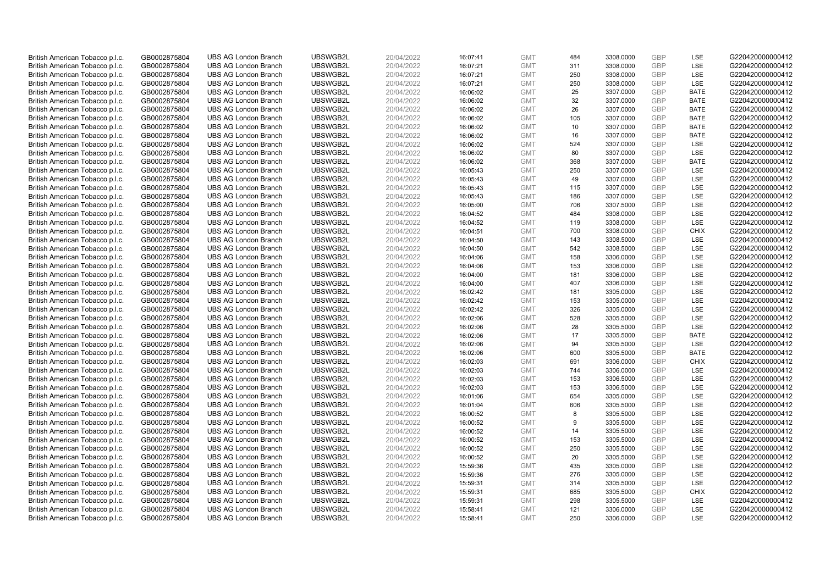| British American Tobacco p.l.c.                                    | GB0002875804                 | <b>UBS AG London Branch</b>                                | UBSWGB2L             | 20/04/2022               | 16:07:41             | <b>GMT</b>               | 484     | 3308.0000              | <b>GBP</b>               | <b>LSE</b>  | G220420000000412                     |
|--------------------------------------------------------------------|------------------------------|------------------------------------------------------------|----------------------|--------------------------|----------------------|--------------------------|---------|------------------------|--------------------------|-------------|--------------------------------------|
| British American Tobacco p.l.c.                                    | GB0002875804                 | <b>UBS AG London Branch</b>                                | UBSWGB2L             | 20/04/2022               | 16:07:21             | <b>GMT</b>               | 311     | 3308.0000              | <b>GBP</b>               | LSE         | G220420000000412                     |
| British American Tobacco p.l.c.                                    | GB0002875804                 | <b>UBS AG London Branch</b>                                | UBSWGB2L             | 20/04/2022               | 16:07:21             | <b>GMT</b>               | 250     | 3308.0000              | <b>GBP</b>               | LSE         | G220420000000412                     |
| British American Tobacco p.l.c.                                    | GB0002875804                 | <b>UBS AG London Branch</b>                                | UBSWGB2L             | 20/04/2022               | 16:07:21             | <b>GMT</b>               | 250     | 3308.0000              | <b>GBP</b>               | LSE         | G220420000000412                     |
| British American Tobacco p.l.c.                                    | GB0002875804                 | <b>UBS AG London Branch</b>                                | UBSWGB2L             | 20/04/2022               | 16:06:02             | <b>GMT</b>               | 25      | 3307.0000              | <b>GBP</b>               | <b>BATE</b> | G220420000000412                     |
| British American Tobacco p.l.c.                                    | GB0002875804                 | <b>UBS AG London Branch</b>                                | UBSWGB2L             | 20/04/2022               | 16:06:02             | <b>GMT</b>               | 32      | 3307.0000              | <b>GBP</b>               | <b>BATE</b> | G220420000000412                     |
| British American Tobacco p.l.c.                                    | GB0002875804                 | <b>UBS AG London Branch</b>                                | UBSWGB2L             | 20/04/2022               | 16:06:02             | <b>GMT</b>               | 26      | 3307.0000              | <b>GBP</b>               | <b>BATE</b> | G220420000000412                     |
| British American Tobacco p.l.c.                                    | GB0002875804                 | <b>UBS AG London Branch</b>                                | UBSWGB2L             | 20/04/2022               | 16:06:02             | <b>GMT</b>               | 105     | 3307.0000              | <b>GBP</b>               | <b>BATE</b> | G220420000000412                     |
| British American Tobacco p.l.c.                                    | GB0002875804                 | <b>UBS AG London Branch</b>                                | UBSWGB2L             | 20/04/2022               | 16:06:02             | <b>GMT</b>               | 10      | 3307.0000              | <b>GBP</b>               | <b>BATE</b> | G220420000000412                     |
| British American Tobacco p.l.c.                                    | GB0002875804                 | <b>UBS AG London Branch</b>                                | UBSWGB2L             | 20/04/2022               | 16:06:02             | <b>GMT</b>               | 16      | 3307.0000              | <b>GBP</b>               | <b>BATE</b> | G220420000000412                     |
| British American Tobacco p.l.c.                                    | GB0002875804                 | <b>UBS AG London Branch</b>                                | UBSWGB2L             | 20/04/2022               | 16:06:02             | <b>GMT</b>               | 524     | 3307.0000              | <b>GBP</b>               | LSE         | G220420000000412                     |
| British American Tobacco p.l.c.                                    | GB0002875804                 | <b>UBS AG London Branch</b>                                | UBSWGB2L             | 20/04/2022               | 16:06:02             | <b>GMT</b>               | 80      | 3307.0000              | <b>GBP</b>               | LSE         | G220420000000412                     |
| British American Tobacco p.l.c.                                    | GB0002875804                 | <b>UBS AG London Branch</b>                                | UBSWGB2L             | 20/04/2022               | 16:06:02             | <b>GMT</b>               | 368     | 3307.0000              | <b>GBP</b>               | <b>BATE</b> | G220420000000412                     |
| British American Tobacco p.l.c.                                    | GB0002875804                 | <b>UBS AG London Branch</b>                                | UBSWGB2L             | 20/04/2022               | 16:05:43             | <b>GMT</b>               | 250     | 3307.0000              | <b>GBP</b>               | LSE         | G220420000000412                     |
| British American Tobacco p.l.c.                                    | GB0002875804                 | <b>UBS AG London Branch</b>                                | UBSWGB2L             | 20/04/2022               | 16:05:43             | <b>GMT</b>               | 49      | 3307.0000              | <b>GBP</b>               | LSE         | G220420000000412                     |
| British American Tobacco p.l.c.                                    | GB0002875804                 | <b>UBS AG London Branch</b>                                | UBSWGB2L             | 20/04/2022               | 16:05:43             | <b>GMT</b>               | 115     | 3307.0000              | <b>GBP</b>               | LSE         | G220420000000412                     |
| British American Tobacco p.l.c.                                    | GB0002875804                 | <b>UBS AG London Branch</b>                                | UBSWGB2L             | 20/04/2022               | 16:05:43             | <b>GMT</b>               | 186     | 3307.0000              | <b>GBP</b>               | LSE         | G220420000000412                     |
| British American Tobacco p.l.c.                                    | GB0002875804                 | <b>UBS AG London Branch</b>                                | UBSWGB2L             | 20/04/2022               | 16:05:00             | <b>GMT</b>               | 706     | 3307.5000              | <b>GBP</b>               | LSE         | G220420000000412                     |
| British American Tobacco p.l.c.                                    | GB0002875804                 | <b>UBS AG London Branch</b>                                | UBSWGB2L             | 20/04/2022               | 16:04:52             | <b>GMT</b>               | 484     | 3308.0000              | <b>GBP</b>               | LSE         | G220420000000412                     |
| British American Tobacco p.l.c.                                    | GB0002875804                 | <b>UBS AG London Branch</b>                                | UBSWGB2L             | 20/04/2022               | 16:04:52             | <b>GMT</b>               | 119     | 3308.0000              | <b>GBP</b>               | LSE         | G220420000000412                     |
| British American Tobacco p.l.c.                                    | GB0002875804                 | <b>UBS AG London Branch</b>                                | UBSWGB2L             | 20/04/2022               | 16:04:51             | <b>GMT</b>               | 700     | 3308.0000              | <b>GBP</b>               | <b>CHIX</b> | G220420000000412                     |
| British American Tobacco p.l.c.                                    | GB0002875804                 | <b>UBS AG London Branch</b>                                | UBSWGB2L             | 20/04/2022               | 16:04:50             | <b>GMT</b>               | 143     | 3308.5000              | <b>GBP</b>               | LSE         | G220420000000412                     |
| British American Tobacco p.l.c.                                    | GB0002875804                 | <b>UBS AG London Branch</b>                                | UBSWGB2L             | 20/04/2022               | 16:04:50             | <b>GMT</b>               | 542     | 3308.5000              | <b>GBP</b>               | LSE         | G220420000000412                     |
| British American Tobacco p.l.c.                                    | GB0002875804                 | <b>UBS AG London Branch</b>                                | UBSWGB2L             | 20/04/2022               | 16:04:06             | <b>GMT</b>               | 158     | 3306.0000              | <b>GBP</b>               | LSE         | G220420000000412                     |
| British American Tobacco p.l.c.                                    | GB0002875804                 | <b>UBS AG London Branch</b>                                | UBSWGB2L             | 20/04/2022               | 16:04:06             | <b>GMT</b>               | 153     | 3306.0000              | <b>GBP</b>               | LSE         | G220420000000412                     |
| British American Tobacco p.l.c.                                    | GB0002875804                 | <b>UBS AG London Branch</b>                                | UBSWGB2L             | 20/04/2022               | 16:04:00             | <b>GMT</b>               | 181     | 3306.0000              | <b>GBP</b>               | LSE         | G220420000000412                     |
| British American Tobacco p.l.c.                                    | GB0002875804                 | <b>UBS AG London Branch</b>                                | UBSWGB2L             | 20/04/2022               | 16:04:00             | <b>GMT</b>               | 407     | 3306.0000              | <b>GBP</b>               | LSE         | G220420000000412                     |
| British American Tobacco p.l.c.                                    | GB0002875804                 | <b>UBS AG London Branch</b>                                | UBSWGB2L             | 20/04/2022               | 16:02:42             | <b>GMT</b>               | 181     | 3305.0000              | <b>GBP</b>               | LSE         | G220420000000412                     |
| British American Tobacco p.l.c.                                    | GB0002875804                 | <b>UBS AG London Branch</b>                                | UBSWGB2L             | 20/04/2022               | 16:02:42             | <b>GMT</b>               | 153     | 3305.0000              | <b>GBP</b>               | LSE         | G220420000000412                     |
| British American Tobacco p.l.c.                                    | GB0002875804                 | <b>UBS AG London Branch</b>                                | UBSWGB2L             | 20/04/2022               | 16:02:42             | <b>GMT</b>               | 326     | 3305.0000              | <b>GBP</b>               | LSE         | G220420000000412                     |
| British American Tobacco p.l.c.                                    | GB0002875804                 | <b>UBS AG London Branch</b>                                | UBSWGB2L             | 20/04/2022               | 16:02:06             | <b>GMT</b>               | 528     | 3305.5000              | <b>GBP</b>               | LSE         | G220420000000412                     |
| British American Tobacco p.l.c.                                    | GB0002875804                 | <b>UBS AG London Branch</b>                                | UBSWGB2L             | 20/04/2022               | 16:02:06             | <b>GMT</b>               | 28      | 3305.5000              | <b>GBP</b>               | LSE         | G220420000000412                     |
| British American Tobacco p.l.c.                                    | GB0002875804                 | <b>UBS AG London Branch</b>                                | UBSWGB2L             | 20/04/2022               | 16:02:06             | <b>GMT</b>               | 17      | 3305.5000              | <b>GBP</b>               | <b>BATE</b> | G220420000000412                     |
| British American Tobacco p.l.c.                                    | GB0002875804                 | <b>UBS AG London Branch</b>                                | UBSWGB2L             | 20/04/2022               | 16:02:06             | <b>GMT</b>               | 94      | 3305.5000              | <b>GBP</b>               | LSE         | G220420000000412                     |
| British American Tobacco p.l.c.                                    | GB0002875804                 | <b>UBS AG London Branch</b>                                | UBSWGB2L             | 20/04/2022               | 16:02:06             | <b>GMT</b>               | 600     | 3305.5000              | <b>GBP</b>               | <b>BATE</b> | G220420000000412                     |
| British American Tobacco p.l.c.                                    | GB0002875804                 | <b>UBS AG London Branch</b>                                | UBSWGB2L             | 20/04/2022               | 16:02:03             | <b>GMT</b>               | 691     | 3306.0000              | <b>GBP</b>               | <b>CHIX</b> | G220420000000412                     |
| British American Tobacco p.l.c.                                    | GB0002875804                 | <b>UBS AG London Branch</b>                                | UBSWGB2L             | 20/04/2022               | 16:02:03             | <b>GMT</b>               | 744     | 3306.0000              | <b>GBP</b>               | <b>LSE</b>  | G220420000000412                     |
| British American Tobacco p.l.c.                                    | GB0002875804                 | <b>UBS AG London Branch</b>                                | UBSWGB2L             | 20/04/2022               | 16:02:03             | <b>GMT</b>               | 153     | 3306.5000              | <b>GBP</b>               | LSE         | G220420000000412                     |
| British American Tobacco p.l.c.                                    | GB0002875804                 | <b>UBS AG London Branch</b>                                | UBSWGB2L             | 20/04/2022               | 16:02:03             | <b>GMT</b>               | 153     | 3306.5000              | <b>GBP</b>               | LSE         | G220420000000412                     |
| British American Tobacco p.l.c.                                    | GB0002875804                 | <b>UBS AG London Branch</b>                                | UBSWGB2L             | 20/04/2022               | 16:01:06             | <b>GMT</b>               | 654     | 3305.0000              | <b>GBP</b>               | LSE         | G220420000000412                     |
| British American Tobacco p.l.c.                                    | GB0002875804                 | <b>UBS AG London Branch</b>                                | UBSWGB2L             | 20/04/2022               | 16:01:04             | <b>GMT</b>               | 606     | 3305.5000              | <b>GBP</b>               | <b>LSE</b>  | G220420000000412                     |
| British American Tobacco p.l.c.                                    | GB0002875804                 | <b>UBS AG London Branch</b>                                | UBSWGB2L             | 20/04/2022               | 16:00:52             | <b>GMT</b>               | 8       | 3305.5000              | <b>GBP</b><br><b>GBP</b> | LSE         | G220420000000412                     |
| British American Tobacco p.l.c.                                    | GB0002875804                 | <b>UBS AG London Branch</b>                                | UBSWGB2L             | 20/04/2022               | 16:00:52             | <b>GMT</b>               | 9<br>14 | 3305.5000              | GBP                      | LSE<br>LSE  | G220420000000412                     |
| British American Tobacco p.l.c.                                    | GB0002875804                 | <b>UBS AG London Branch</b><br><b>UBS AG London Branch</b> | UBSWGB2L<br>UBSWGB2L | 20/04/2022               | 16:00:52             | <b>GMT</b>               | 153     | 3305.5000              | <b>GBP</b>               | <b>LSE</b>  | G220420000000412<br>G220420000000412 |
| British American Tobacco p.l.c.<br>British American Tobacco p.l.c. | GB0002875804<br>GB0002875804 | <b>UBS AG London Branch</b>                                | UBSWGB2L             | 20/04/2022<br>20/04/2022 | 16:00:52<br>16:00:52 | <b>GMT</b><br><b>GMT</b> | 250     | 3305.5000<br>3305.5000 | <b>GBP</b>               | LSE         | G220420000000412                     |
| British American Tobacco p.l.c.                                    | GB0002875804                 | <b>UBS AG London Branch</b>                                | UBSWGB2L             | 20/04/2022               | 16:00:52             | <b>GMT</b>               | 20      | 3305.5000              | <b>GBP</b>               | LSE         | G220420000000412                     |
| British American Tobacco p.l.c.                                    | GB0002875804                 | <b>UBS AG London Branch</b>                                | UBSWGB2L             | 20/04/2022               | 15:59:36             | <b>GMT</b>               | 435     | 3305.0000              | <b>GBP</b>               | LSE         | G220420000000412                     |
| British American Tobacco p.l.c.                                    | GB0002875804                 | <b>UBS AG London Branch</b>                                | UBSWGB2L             | 20/04/2022               | 15:59:36             | <b>GMT</b>               | 276     | 3305.0000              | <b>GBP</b>               | LSE         | G220420000000412                     |
| British American Tobacco p.l.c.                                    | GB0002875804                 | <b>UBS AG London Branch</b>                                | UBSWGB2L             | 20/04/2022               | 15:59:31             | <b>GMT</b>               | 314     | 3305.5000              | <b>GBP</b>               | <b>LSE</b>  | G220420000000412                     |
| British American Tobacco p.l.c.                                    | GB0002875804                 | <b>UBS AG London Branch</b>                                | UBSWGB2L             | 20/04/2022               | 15:59:31             | <b>GMT</b>               | 685     | 3305.5000              | <b>GBP</b>               | <b>CHIX</b> | G220420000000412                     |
| British American Tobacco p.l.c.                                    | GB0002875804                 | <b>UBS AG London Branch</b>                                | UBSWGB2L             | 20/04/2022               | 15:59:31             | <b>GMT</b>               | 298     | 3305.5000              | <b>GBP</b>               | LSE         | G220420000000412                     |
| British American Tobacco p.l.c.                                    | GB0002875804                 | <b>UBS AG London Branch</b>                                | UBSWGB2L             | 20/04/2022               | 15:58:41             | <b>GMT</b>               | 121     | 3306.0000              | <b>GBP</b>               | LSE         | G220420000000412                     |
| British American Tobacco p.l.c.                                    | GB0002875804                 | <b>UBS AG London Branch</b>                                | UBSWGB2L             | 20/04/2022               | 15:58:41             | <b>GMT</b>               | 250     | 3306.0000              | GBP                      | LSE         | G220420000000412                     |
|                                                                    |                              |                                                            |                      |                          |                      |                          |         |                        |                          |             |                                      |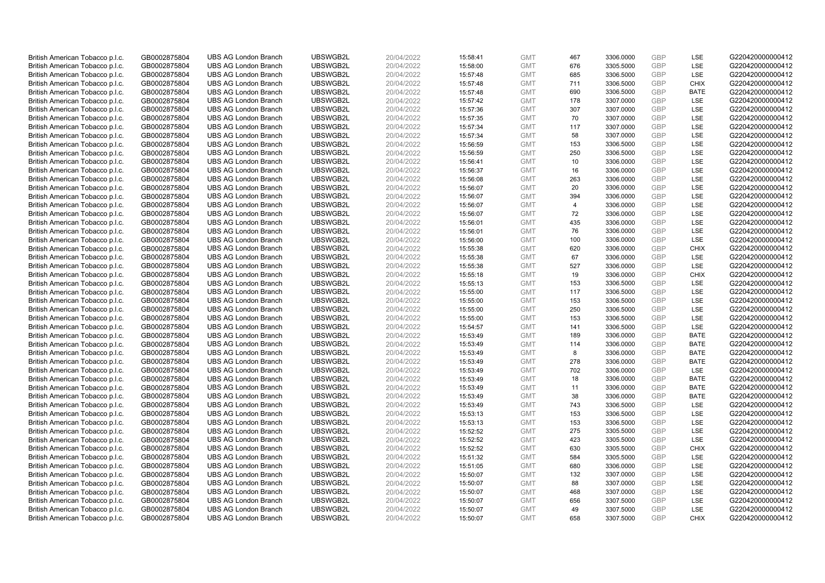| British American Tobacco p.l.c.                                    | GB0002875804                 | <b>UBS AG London Branch</b>                                | UBSWGB2L             | 20/04/2022               | 15:58:41             | <b>GMT</b>               | 467       | 3306.0000              | <b>GBP</b>               | <b>LSE</b>  | G220420000000412                     |
|--------------------------------------------------------------------|------------------------------|------------------------------------------------------------|----------------------|--------------------------|----------------------|--------------------------|-----------|------------------------|--------------------------|-------------|--------------------------------------|
| British American Tobacco p.l.c.                                    | GB0002875804                 | <b>UBS AG London Branch</b>                                | UBSWGB2L             | 20/04/2022               | 15:58:00             | <b>GMT</b>               | 676       | 3305.5000              | <b>GBP</b>               | LSE         | G220420000000412                     |
| British American Tobacco p.l.c.                                    | GB0002875804                 | <b>UBS AG London Branch</b>                                | UBSWGB2L             | 20/04/2022               | 15:57:48             | <b>GMT</b>               | 685       | 3306.5000              | <b>GBP</b>               | LSE         | G220420000000412                     |
| British American Tobacco p.l.c.                                    | GB0002875804                 | <b>UBS AG London Branch</b>                                | UBSWGB2L             | 20/04/2022               | 15:57:48             | <b>GMT</b>               | 711       | 3306.5000              | <b>GBP</b>               | <b>CHIX</b> | G220420000000412                     |
| British American Tobacco p.l.c.                                    | GB0002875804                 | <b>UBS AG London Branch</b>                                | UBSWGB2L             | 20/04/2022               | 15:57:48             | <b>GMT</b>               | 690       | 3306.5000              | <b>GBP</b>               | <b>BATE</b> | G220420000000412                     |
| British American Tobacco p.l.c.                                    | GB0002875804                 | <b>UBS AG London Branch</b>                                | UBSWGB2L             | 20/04/2022               | 15:57:42             | <b>GMT</b>               | 178       | 3307.0000              | <b>GBP</b>               | LSE         | G220420000000412                     |
| British American Tobacco p.l.c.                                    | GB0002875804                 | <b>UBS AG London Branch</b>                                | UBSWGB2L             | 20/04/2022               | 15:57:36             | <b>GMT</b>               | 307       | 3307.0000              | <b>GBP</b>               | LSE         | G220420000000412                     |
| British American Tobacco p.l.c.                                    | GB0002875804                 | <b>UBS AG London Branch</b>                                | UBSWGB2L             | 20/04/2022               | 15:57:35             | <b>GMT</b>               | 70        | 3307.0000              | <b>GBP</b>               | LSE         | G220420000000412                     |
| British American Tobacco p.l.c.                                    | GB0002875804                 | <b>UBS AG London Branch</b>                                | UBSWGB2L             | 20/04/2022               | 15:57:34             | <b>GMT</b>               | 117       | 3307.0000              | <b>GBP</b>               | LSE         | G220420000000412                     |
| British American Tobacco p.l.c.                                    | GB0002875804                 | <b>UBS AG London Branch</b>                                | UBSWGB2L             | 20/04/2022               | 15:57:34             | <b>GMT</b>               | 58        | 3307.0000              | <b>GBP</b>               | <b>LSE</b>  | G220420000000412                     |
| British American Tobacco p.l.c.                                    | GB0002875804                 | <b>UBS AG London Branch</b>                                | UBSWGB2L             | 20/04/2022               | 15:56:59             | <b>GMT</b>               | 153       | 3306.5000              | <b>GBP</b>               | LSE         | G220420000000412                     |
| British American Tobacco p.l.c.                                    | GB0002875804                 | <b>UBS AG London Branch</b>                                | UBSWGB2L             | 20/04/2022               | 15:56:59             | <b>GMT</b>               | 250       | 3306.5000              | <b>GBP</b>               | LSE         | G220420000000412                     |
| British American Tobacco p.l.c.                                    | GB0002875804                 | <b>UBS AG London Branch</b>                                | UBSWGB2L             | 20/04/2022               | 15:56:41             | <b>GMT</b>               | 10        | 3306.0000              | <b>GBP</b>               | LSE         | G220420000000412                     |
| British American Tobacco p.l.c.                                    | GB0002875804                 | <b>UBS AG London Branch</b>                                | UBSWGB2L             | 20/04/2022               | 15:56:37             | <b>GMT</b>               | 16        | 3306.0000              | <b>GBP</b>               | LSE         | G220420000000412                     |
| British American Tobacco p.l.c.                                    | GB0002875804                 | <b>UBS AG London Branch</b>                                | UBSWGB2L             | 20/04/2022               | 15:56:08             | <b>GMT</b>               | 263       | 3306.0000              | <b>GBP</b>               | LSE         | G220420000000412                     |
| British American Tobacco p.l.c.                                    | GB0002875804                 | <b>UBS AG London Branch</b>                                | UBSWGB2L             | 20/04/2022               | 15:56:07             | <b>GMT</b>               | 20        | 3306.0000              | <b>GBP</b>               | LSE         | G220420000000412                     |
| British American Tobacco p.l.c.                                    | GB0002875804                 | <b>UBS AG London Branch</b>                                | UBSWGB2L             | 20/04/2022               | 15:56:07             | <b>GMT</b>               | 394       | 3306.0000              | <b>GBP</b>               | LSE         | G220420000000412                     |
| British American Tobacco p.l.c.                                    | GB0002875804                 | <b>UBS AG London Branch</b>                                | UBSWGB2L             | 20/04/2022               | 15:56:07             | <b>GMT</b>               | 4         | 3306.0000              | <b>GBP</b>               | LSE         | G220420000000412                     |
| British American Tobacco p.l.c.                                    | GB0002875804                 | <b>UBS AG London Branch</b>                                | UBSWGB2L             | 20/04/2022               | 15:56:07             | <b>GMT</b>               | 72        | 3306.0000              | <b>GBP</b>               | LSE         | G220420000000412                     |
| British American Tobacco p.l.c.                                    | GB0002875804                 | <b>UBS AG London Branch</b>                                | UBSWGB2L             | 20/04/2022               | 15:56:01             | <b>GMT</b>               | 435       | 3306.0000              | <b>GBP</b>               | LSE         | G220420000000412                     |
| British American Tobacco p.l.c.                                    | GB0002875804                 | <b>UBS AG London Branch</b>                                | UBSWGB2L             | 20/04/2022               | 15:56:01             | <b>GMT</b>               | 76        | 3306.0000              | <b>GBP</b>               | LSE         | G220420000000412                     |
| British American Tobacco p.l.c.                                    | GB0002875804                 | <b>UBS AG London Branch</b>                                | UBSWGB2L             | 20/04/2022               | 15:56:00             | <b>GMT</b>               | 100       | 3306.0000              | <b>GBP</b>               | LSE         | G220420000000412                     |
| British American Tobacco p.l.c.                                    | GB0002875804                 | <b>UBS AG London Branch</b>                                | UBSWGB2L             | 20/04/2022               | 15:55:38             | <b>GMT</b>               | 620       | 3306.0000              | <b>GBP</b>               | <b>CHIX</b> | G220420000000412                     |
| British American Tobacco p.l.c.                                    | GB0002875804                 | <b>UBS AG London Branch</b>                                | UBSWGB2L             | 20/04/2022               | 15:55:38             | <b>GMT</b>               | 67        | 3306.0000              | <b>GBP</b>               | LSE         | G220420000000412                     |
| British American Tobacco p.l.c.                                    | GB0002875804                 | <b>UBS AG London Branch</b>                                | UBSWGB2L             | 20/04/2022               | 15:55:38             | <b>GMT</b>               | 527       | 3306.0000              | <b>GBP</b>               | LSE         | G220420000000412                     |
| British American Tobacco p.l.c.                                    | GB0002875804                 | <b>UBS AG London Branch</b>                                | UBSWGB2L             | 20/04/2022               | 15:55:18             | <b>GMT</b>               | 19        | 3306.0000              | <b>GBP</b>               | <b>CHIX</b> | G220420000000412                     |
| British American Tobacco p.l.c.                                    | GB0002875804                 | <b>UBS AG London Branch</b>                                | UBSWGB2L             | 20/04/2022               | 15:55:13             | <b>GMT</b>               | 153       | 3306.5000              | <b>GBP</b>               | LSE         | G220420000000412                     |
| British American Tobacco p.l.c.                                    | GB0002875804                 | <b>UBS AG London Branch</b>                                | UBSWGB2L             | 20/04/2022               | 15:55:00             | <b>GMT</b>               | 117       | 3306.5000              | <b>GBP</b>               | LSE         | G220420000000412                     |
| British American Tobacco p.l.c.                                    | GB0002875804                 | <b>UBS AG London Branch</b>                                | UBSWGB2L             | 20/04/2022               | 15:55:00             | <b>GMT</b>               | 153       | 3306.5000              | <b>GBP</b>               | LSE         | G220420000000412                     |
| British American Tobacco p.l.c.                                    | GB0002875804                 | <b>UBS AG London Branch</b>                                | UBSWGB2L             | 20/04/2022               | 15:55:00             | <b>GMT</b>               | 250       | 3306.5000              | <b>GBP</b>               | LSE         | G220420000000412                     |
| British American Tobacco p.l.c.                                    | GB0002875804                 | <b>UBS AG London Branch</b>                                | UBSWGB2L             | 20/04/2022               | 15:55:00             | <b>GMT</b>               | 153       | 3306.5000              | <b>GBP</b>               | LSE         | G220420000000412                     |
| British American Tobacco p.l.c.                                    | GB0002875804                 | <b>UBS AG London Branch</b>                                | UBSWGB2L             | 20/04/2022               | 15:54:57             | <b>GMT</b>               | 141       | 3306.5000              | <b>GBP</b>               | LSE         | G220420000000412                     |
| British American Tobacco p.l.c.                                    | GB0002875804                 | <b>UBS AG London Branch</b>                                | UBSWGB2L             | 20/04/2022               | 15:53:49             | <b>GMT</b>               | 189       | 3306.0000              | <b>GBP</b>               | <b>BATE</b> | G220420000000412                     |
| British American Tobacco p.l.c.                                    | GB0002875804                 | <b>UBS AG London Branch</b>                                | UBSWGB2L             | 20/04/2022               | 15:53:49             | <b>GMT</b>               | 114       | 3306.0000              | <b>GBP</b>               | <b>BATE</b> | G220420000000412                     |
| British American Tobacco p.l.c.                                    | GB0002875804                 | <b>UBS AG London Branch</b>                                | UBSWGB2L             | 20/04/2022               | 15:53:49             | <b>GMT</b>               | 8         | 3306.0000              | <b>GBP</b>               | <b>BATE</b> | G220420000000412                     |
| British American Tobacco p.l.c.                                    | GB0002875804                 | <b>UBS AG London Branch</b>                                | UBSWGB2L             | 20/04/2022               | 15:53:49             | <b>GMT</b>               | 278       | 3306.0000              | <b>GBP</b>               | <b>BATE</b> | G220420000000412                     |
| British American Tobacco p.l.c.                                    | GB0002875804                 | <b>UBS AG London Branch</b>                                | UBSWGB2L             | 20/04/2022               | 15:53:49             | <b>GMT</b>               | 702       | 3306.0000              | <b>GBP</b>               | LSE         | G220420000000412                     |
| British American Tobacco p.l.c.                                    | GB0002875804                 | <b>UBS AG London Branch</b>                                | UBSWGB2L             | 20/04/2022               | 15:53:49             | <b>GMT</b>               | 18        | 3306.0000              | <b>GBP</b>               | <b>BATE</b> | G220420000000412                     |
| British American Tobacco p.l.c.                                    | GB0002875804                 | <b>UBS AG London Branch</b>                                | UBSWGB2L             | 20/04/2022               | 15:53:49             | <b>GMT</b>               | 11        | 3306.0000              | <b>GBP</b>               | <b>BATE</b> | G220420000000412                     |
| British American Tobacco p.l.c.                                    | GB0002875804                 | <b>UBS AG London Branch</b>                                | UBSWGB2L             | 20/04/2022               | 15:53:49             | <b>GMT</b>               | 38        | 3306.0000              | <b>GBP</b>               | <b>BATE</b> | G220420000000412                     |
| British American Tobacco p.l.c.                                    | GB0002875804                 | <b>UBS AG London Branch</b>                                | UBSWGB2L             | 20/04/2022               | 15:53:49             | <b>GMT</b>               | 743       | 3306.5000              | <b>GBP</b>               | LSE         | G220420000000412                     |
| British American Tobacco p.l.c.                                    | GB0002875804                 | <b>UBS AG London Branch</b>                                | UBSWGB2L             | 20/04/2022               | 15:53:13             | <b>GMT</b>               | 153       | 3306.5000              | <b>GBP</b>               | LSE         | G220420000000412                     |
| British American Tobacco p.l.c.                                    | GB0002875804                 | <b>UBS AG London Branch</b>                                | UBSWGB2L             | 20/04/2022               | 15:53:13             | <b>GMT</b>               | 153       | 3306.5000              | <b>GBP</b>               | LSE         | G220420000000412                     |
| British American Tobacco p.l.c.                                    | GB0002875804                 | <b>UBS AG London Branch</b>                                | UBSWGB2L             | 20/04/2022               | 15:52:52             | <b>GMT</b>               | 275       | 3305.5000              | GBP                      | LSE         | G220420000000412                     |
| British American Tobacco p.l.c.                                    | GB0002875804                 | <b>UBS AG London Branch</b>                                | UBSWGB2L             | 20/04/2022               | 15:52:52             | <b>GMT</b>               | 423       | 3305.5000              | <b>GBP</b>               | <b>LSE</b>  | G220420000000412                     |
| British American Tobacco p.l.c.                                    | GB0002875804                 | <b>UBS AG London Branch</b>                                | UBSWGB2L             | 20/04/2022               | 15:52:52             | <b>GMT</b>               | 630       | 3305.5000              | <b>GBP</b>               | <b>CHIX</b> | G220420000000412                     |
| British American Tobacco p.l.c.                                    | GB0002875804                 | <b>UBS AG London Branch</b>                                | UBSWGB2L             | 20/04/2022               | 15:51:32             | <b>GMT</b>               | 584       | 3305.5000              | <b>GBP</b>               | LSE         | G220420000000412                     |
| British American Tobacco p.l.c.                                    | GB0002875804                 | <b>UBS AG London Branch</b>                                | UBSWGB2L             | 20/04/2022               | 15:51:05             | <b>GMT</b>               | 680       | 3306.0000              | <b>GBP</b>               | LSE         | G220420000000412                     |
| British American Tobacco p.l.c.                                    | GB0002875804                 | <b>UBS AG London Branch</b>                                | UBSWGB2L             | 20/04/2022               | 15:50:07             | <b>GMT</b><br><b>GMT</b> | 132       | 3307.0000              | <b>GBP</b><br><b>GBP</b> | LSE<br>LSE  | G220420000000412                     |
| British American Tobacco p.l.c.                                    | GB0002875804                 | <b>UBS AG London Branch</b><br><b>UBS AG London Branch</b> | UBSWGB2L<br>UBSWGB2L | 20/04/2022               | 15:50:07             |                          | 88<br>468 | 3307.0000<br>3307.0000 | <b>GBP</b>               | LSE         | G220420000000412<br>G220420000000412 |
| British American Tobacco p.l.c.<br>British American Tobacco p.l.c. | GB0002875804<br>GB0002875804 | <b>UBS AG London Branch</b>                                | UBSWGB2L             | 20/04/2022<br>20/04/2022 | 15:50:07<br>15:50:07 | <b>GMT</b><br><b>GMT</b> | 656       | 3307.5000              | <b>GBP</b>               | LSE         | G220420000000412                     |
| British American Tobacco p.l.c.                                    | GB0002875804                 | <b>UBS AG London Branch</b>                                | UBSWGB2L             | 20/04/2022               | 15:50:07             | <b>GMT</b>               | 49        | 3307.5000              | <b>GBP</b>               | LSE         | G220420000000412                     |
| British American Tobacco p.l.c.                                    | GB0002875804                 | <b>UBS AG London Branch</b>                                | UBSWGB2L             | 20/04/2022               | 15:50:07             | <b>GMT</b>               | 658       | 3307.5000              | GBP                      | <b>CHIX</b> | G220420000000412                     |
|                                                                    |                              |                                                            |                      |                          |                      |                          |           |                        |                          |             |                                      |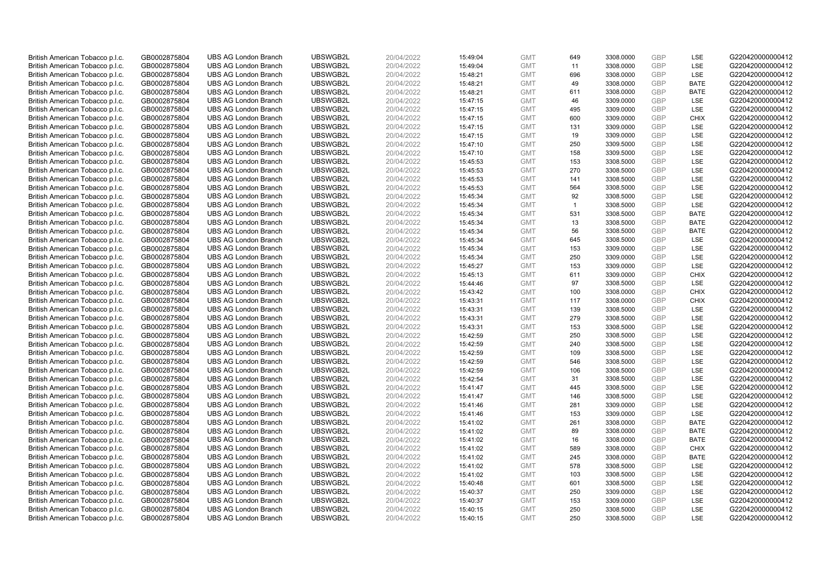| British American Tobacco p.l.c.                                    | GB0002875804                 | <b>UBS AG London Branch</b>                                | UBSWGB2L             | 20/04/2022               | 15:49:04             | <b>GMT</b>               | 649          | 3308.0000              | <b>GBP</b>               | LSE         | G220420000000412                     |
|--------------------------------------------------------------------|------------------------------|------------------------------------------------------------|----------------------|--------------------------|----------------------|--------------------------|--------------|------------------------|--------------------------|-------------|--------------------------------------|
| British American Tobacco p.l.c.                                    | GB0002875804                 | <b>UBS AG London Branch</b>                                | UBSWGB2L             | 20/04/2022               | 15:49:04             | <b>GMT</b>               | 11           | 3308.0000              | <b>GBP</b>               | LSE         | G220420000000412                     |
| British American Tobacco p.l.c.                                    | GB0002875804                 | <b>UBS AG London Branch</b>                                | UBSWGB2L             | 20/04/2022               | 15:48:21             | <b>GMT</b>               | 696          | 3308.0000              | <b>GBP</b>               | LSE         | G220420000000412                     |
| British American Tobacco p.l.c.                                    | GB0002875804                 | <b>UBS AG London Branch</b>                                | UBSWGB2L             | 20/04/2022               | 15:48:21             | <b>GMT</b>               | 49           | 3308.0000              | <b>GBP</b>               | <b>BATE</b> | G220420000000412                     |
| British American Tobacco p.l.c.                                    | GB0002875804                 | <b>UBS AG London Branch</b>                                | UBSWGB2L             | 20/04/2022               | 15:48:21             | <b>GMT</b>               | 611          | 3308.0000              | <b>GBP</b>               | <b>BATE</b> | G220420000000412                     |
| British American Tobacco p.l.c.                                    | GB0002875804                 | <b>UBS AG London Branch</b>                                | UBSWGB2L             | 20/04/2022               | 15:47:15             | <b>GMT</b>               | 46           | 3309.0000              | <b>GBP</b>               | LSE         | G220420000000412                     |
| British American Tobacco p.l.c.                                    | GB0002875804                 | <b>UBS AG London Branch</b>                                | UBSWGB2L             | 20/04/2022               | 15:47:15             | <b>GMT</b>               | 495          | 3309.0000              | <b>GBP</b>               | LSE         | G220420000000412                     |
| British American Tobacco p.l.c.                                    | GB0002875804                 | <b>UBS AG London Branch</b>                                | UBSWGB2L             | 20/04/2022               | 15:47:15             | <b>GMT</b>               | 600          | 3309.0000              | <b>GBP</b>               | <b>CHIX</b> | G220420000000412                     |
| British American Tobacco p.l.c.                                    | GB0002875804                 | <b>UBS AG London Branch</b>                                | UBSWGB2L             | 20/04/2022               | 15:47:15             | <b>GMT</b>               | 131          | 3309.0000              | <b>GBP</b>               | LSE         | G220420000000412                     |
| British American Tobacco p.l.c.                                    | GB0002875804                 | <b>UBS AG London Branch</b>                                | UBSWGB2L             | 20/04/2022               | 15:47:15             | <b>GMT</b>               | 19           | 3309.0000              | <b>GBP</b>               | <b>LSE</b>  | G220420000000412                     |
| British American Tobacco p.l.c.                                    | GB0002875804                 | <b>UBS AG London Branch</b>                                | UBSWGB2L             | 20/04/2022               | 15:47:10             | <b>GMT</b>               | 250          | 3309.5000              | <b>GBP</b>               | LSE         | G220420000000412                     |
| British American Tobacco p.l.c.                                    | GB0002875804                 | <b>UBS AG London Branch</b>                                | UBSWGB2L             | 20/04/2022               | 15:47:10             | <b>GMT</b>               | 158          | 3309.5000              | <b>GBP</b>               | LSE         | G220420000000412                     |
| British American Tobacco p.l.c.                                    | GB0002875804                 | <b>UBS AG London Branch</b>                                | UBSWGB2L             | 20/04/2022               | 15:45:53             | <b>GMT</b>               | 153          | 3308.5000              | <b>GBP</b>               | LSE         | G220420000000412                     |
| British American Tobacco p.l.c.                                    | GB0002875804                 | <b>UBS AG London Branch</b>                                | UBSWGB2L             | 20/04/2022               | 15:45:53             | <b>GMT</b>               | 270          | 3308.5000              | <b>GBP</b>               | LSE         | G220420000000412                     |
| British American Tobacco p.l.c.                                    | GB0002875804                 | <b>UBS AG London Branch</b>                                | UBSWGB2L             | 20/04/2022               | 15:45:53             | <b>GMT</b>               | 141          | 3308.5000              | <b>GBP</b>               | LSE         | G220420000000412                     |
| British American Tobacco p.l.c.                                    | GB0002875804                 | <b>UBS AG London Branch</b>                                | UBSWGB2L             | 20/04/2022               | 15:45:53             | <b>GMT</b>               | 564          | 3308.5000              | <b>GBP</b>               | LSE         | G220420000000412                     |
| British American Tobacco p.l.c.                                    | GB0002875804                 | <b>UBS AG London Branch</b>                                | UBSWGB2L             | 20/04/2022               | 15:45:34             | <b>GMT</b>               | 92           | 3308.5000              | <b>GBP</b>               | LSE         | G220420000000412                     |
| British American Tobacco p.l.c.                                    | GB0002875804                 | <b>UBS AG London Branch</b>                                | UBSWGB2L             | 20/04/2022               | 15:45:34             | <b>GMT</b>               | $\mathbf{1}$ | 3308.5000              | <b>GBP</b>               | LSE         | G220420000000412                     |
| British American Tobacco p.l.c.                                    | GB0002875804                 | <b>UBS AG London Branch</b>                                | UBSWGB2L             | 20/04/2022               | 15:45:34             | <b>GMT</b>               | 531          | 3308.5000              | <b>GBP</b>               | <b>BATE</b> | G220420000000412                     |
| British American Tobacco p.l.c.                                    | GB0002875804                 | <b>UBS AG London Branch</b>                                | UBSWGB2L             | 20/04/2022               | 15:45:34             | <b>GMT</b>               | 13           | 3308.5000              | <b>GBP</b>               | <b>BATE</b> | G220420000000412                     |
| British American Tobacco p.l.c.                                    | GB0002875804                 | <b>UBS AG London Branch</b>                                | UBSWGB2L             | 20/04/2022               | 15:45:34             | <b>GMT</b>               | 56           | 3308.5000              | <b>GBP</b>               | <b>BATE</b> | G220420000000412                     |
| British American Tobacco p.l.c.                                    | GB0002875804                 | <b>UBS AG London Branch</b>                                | UBSWGB2L             | 20/04/2022               | 15:45:34             | <b>GMT</b>               | 645          | 3308.5000              | <b>GBP</b>               | LSE         | G220420000000412                     |
| British American Tobacco p.l.c.                                    | GB0002875804                 | <b>UBS AG London Branch</b>                                | UBSWGB2L             | 20/04/2022               | 15:45:34             | <b>GMT</b>               | 153          | 3309.0000              | <b>GBP</b>               | LSE         | G220420000000412                     |
| British American Tobacco p.l.c.                                    | GB0002875804                 | <b>UBS AG London Branch</b>                                | UBSWGB2L             | 20/04/2022               | 15:45:34             | <b>GMT</b>               | 250          | 3309.0000              | <b>GBP</b>               | LSE         | G220420000000412                     |
| British American Tobacco p.l.c.                                    | GB0002875804                 | <b>UBS AG London Branch</b>                                | UBSWGB2L             | 20/04/2022               | 15:45:27             | <b>GMT</b>               | 153          | 3309.0000              | <b>GBP</b>               | LSE         | G220420000000412                     |
| British American Tobacco p.l.c.                                    | GB0002875804                 | <b>UBS AG London Branch</b>                                | UBSWGB2L             | 20/04/2022               | 15:45:13             | <b>GMT</b>               | 611          | 3309.0000              | <b>GBP</b>               | <b>CHIX</b> | G220420000000412                     |
| British American Tobacco p.l.c.                                    | GB0002875804                 | <b>UBS AG London Branch</b>                                | UBSWGB2L             | 20/04/2022               | 15:44:46             | <b>GMT</b>               | 97           | 3308.5000              | <b>GBP</b>               | LSE         | G220420000000412                     |
| British American Tobacco p.l.c.                                    | GB0002875804                 | <b>UBS AG London Branch</b>                                | UBSWGB2L             | 20/04/2022               | 15:43:42             | <b>GMT</b>               | 100          | 3308.0000              | <b>GBP</b>               | <b>CHIX</b> | G220420000000412                     |
| British American Tobacco p.l.c.                                    | GB0002875804                 | <b>UBS AG London Branch</b>                                | UBSWGB2L             | 20/04/2022               | 15:43:31             | <b>GMT</b>               | 117          | 3308.0000              | <b>GBP</b>               | <b>CHIX</b> | G220420000000412                     |
| British American Tobacco p.l.c.                                    | GB0002875804                 | <b>UBS AG London Branch</b>                                | UBSWGB2L             | 20/04/2022               | 15:43:31             | <b>GMT</b>               | 139          | 3308.5000              | <b>GBP</b>               | LSE         | G220420000000412                     |
| British American Tobacco p.l.c.                                    | GB0002875804                 | <b>UBS AG London Branch</b>                                | UBSWGB2L             | 20/04/2022               | 15:43:31             | <b>GMT</b>               | 279          | 3308.5000              | <b>GBP</b>               | LSE         | G220420000000412                     |
| British American Tobacco p.l.c.                                    | GB0002875804                 | <b>UBS AG London Branch</b>                                | UBSWGB2L             | 20/04/2022               | 15:43:31             | <b>GMT</b>               | 153          | 3308.5000              | <b>GBP</b>               | LSE         | G220420000000412                     |
| British American Tobacco p.l.c.                                    | GB0002875804                 | <b>UBS AG London Branch</b>                                | UBSWGB2L             | 20/04/2022               | 15:42:59             | <b>GMT</b>               | 250          | 3308.5000              | <b>GBP</b>               | LSE         | G220420000000412                     |
| British American Tobacco p.l.c.                                    | GB0002875804                 | <b>UBS AG London Branch</b>                                | UBSWGB2L             | 20/04/2022               | 15:42:59             | <b>GMT</b>               | 240          | 3308.5000              | <b>GBP</b>               | LSE         | G220420000000412                     |
| British American Tobacco p.l.c.                                    | GB0002875804                 | <b>UBS AG London Branch</b>                                | UBSWGB2L             | 20/04/2022               | 15:42:59             | <b>GMT</b>               | 109          | 3308.5000              | <b>GBP</b>               | LSE         | G220420000000412                     |
| British American Tobacco p.l.c.                                    | GB0002875804                 | <b>UBS AG London Branch</b>                                | UBSWGB2L             | 20/04/2022               | 15:42:59             | <b>GMT</b>               | 546          | 3308.5000              | <b>GBP</b>               | LSE         | G220420000000412                     |
| British American Tobacco p.l.c.                                    | GB0002875804                 | <b>UBS AG London Branch</b>                                | UBSWGB2L             | 20/04/2022               | 15:42:59             | <b>GMT</b>               | 106          | 3308.5000              | <b>GBP</b>               | LSE         | G220420000000412                     |
| British American Tobacco p.l.c.                                    | GB0002875804                 | <b>UBS AG London Branch</b>                                | UBSWGB2L             | 20/04/2022               | 15:42:54             | <b>GMT</b>               | 31           | 3308.5000              | <b>GBP</b>               | LSE         | G220420000000412                     |
| British American Tobacco p.l.c.                                    | GB0002875804                 | <b>UBS AG London Branch</b>                                | UBSWGB2L             | 20/04/2022               | 15:41:47             | <b>GMT</b>               | 445          | 3308.5000              | <b>GBP</b>               | LSE         | G220420000000412                     |
| British American Tobacco p.l.c.                                    | GB0002875804                 | <b>UBS AG London Branch</b>                                | UBSWGB2L             | 20/04/2022               | 15:41:47             | <b>GMT</b>               | 146<br>281   | 3308.5000              | <b>GBP</b><br><b>GBP</b> | LSE<br>LSE  | G220420000000412                     |
| British American Tobacco p.l.c.                                    | GB0002875804                 | <b>UBS AG London Branch</b><br><b>UBS AG London Branch</b> | UBSWGB2L<br>UBSWGB2L | 20/04/2022               | 15:41:46             | <b>GMT</b><br><b>GMT</b> | 153          | 3309.0000<br>3309.0000 | <b>GBP</b>               | LSE         | G220420000000412<br>G220420000000412 |
| British American Tobacco p.l.c.<br>British American Tobacco p.l.c. | GB0002875804<br>GB0002875804 | <b>UBS AG London Branch</b>                                | UBSWGB2L             | 20/04/2022<br>20/04/2022 | 15:41:46<br>15:41:02 | <b>GMT</b>               | 261          | 3308.0000              | <b>GBP</b>               | <b>BATE</b> | G220420000000412                     |
| British American Tobacco p.l.c.                                    | GB0002875804                 | <b>UBS AG London Branch</b>                                | UBSWGB2L             | 20/04/2022               | 15:41:02             | <b>GMT</b>               | 89           | 3308.0000              | <b>GBP</b>               | <b>BATE</b> | G220420000000412                     |
| British American Tobacco p.l.c.                                    | GB0002875804                 | <b>UBS AG London Branch</b>                                | UBSWGB2L             | 20/04/2022               | 15:41:02             | <b>GMT</b>               | 16           | 3308.0000              | <b>GBP</b>               | <b>BATE</b> | G220420000000412                     |
| British American Tobacco p.l.c.                                    | GB0002875804                 | <b>UBS AG London Branch</b>                                | UBSWGB2L             | 20/04/2022               | 15:41:02             | <b>GMT</b>               | 589          | 3308.0000              | <b>GBP</b>               | <b>CHIX</b> | G220420000000412                     |
| British American Tobacco p.l.c.                                    | GB0002875804                 | <b>UBS AG London Branch</b>                                | UBSWGB2L             | 20/04/2022               | 15:41:02             | <b>GMT</b>               | 245          | 3308.0000              | <b>GBP</b>               | <b>BATE</b> | G220420000000412                     |
| British American Tobacco p.l.c.                                    | GB0002875804                 | <b>UBS AG London Branch</b>                                | UBSWGB2L             | 20/04/2022               | 15:41:02             | <b>GMT</b>               | 578          | 3308.5000              | <b>GBP</b>               | LSE         | G220420000000412                     |
| British American Tobacco p.l.c.                                    | GB0002875804                 | <b>UBS AG London Branch</b>                                | UBSWGB2L             | 20/04/2022               | 15:41:02             | <b>GMT</b>               | 103          | 3308.5000              | <b>GBP</b>               | LSE         | G220420000000412                     |
| British American Tobacco p.l.c.                                    | GB0002875804                 | <b>UBS AG London Branch</b>                                | UBSWGB2L             | 20/04/2022               | 15:40:48             | <b>GMT</b>               | 601          | 3308.5000              | <b>GBP</b>               | LSE         | G220420000000412                     |
| British American Tobacco p.l.c.                                    | GB0002875804                 | <b>UBS AG London Branch</b>                                | UBSWGB2L             | 20/04/2022               | 15:40:37             | <b>GMT</b>               | 250          | 3309.0000              | <b>GBP</b>               | LSE         | G220420000000412                     |
| British American Tobacco p.l.c.                                    | GB0002875804                 | <b>UBS AG London Branch</b>                                | UBSWGB2L             | 20/04/2022               | 15:40:37             | <b>GMT</b>               | 153          | 3309.0000              | <b>GBP</b>               | LSE         | G220420000000412                     |
| British American Tobacco p.l.c.                                    | GB0002875804                 | <b>UBS AG London Branch</b>                                | UBSWGB2L             | 20/04/2022               | 15:40:15             | <b>GMT</b>               | 250          | 3308.5000              | <b>GBP</b>               | LSE         | G220420000000412                     |
| British American Tobacco p.l.c.                                    | GB0002875804                 | <b>UBS AG London Branch</b>                                | UBSWGB2L             | 20/04/2022               | 15:40:15             | <b>GMT</b>               | 250          | 3308.5000              | GBP                      | LSE         | G220420000000412                     |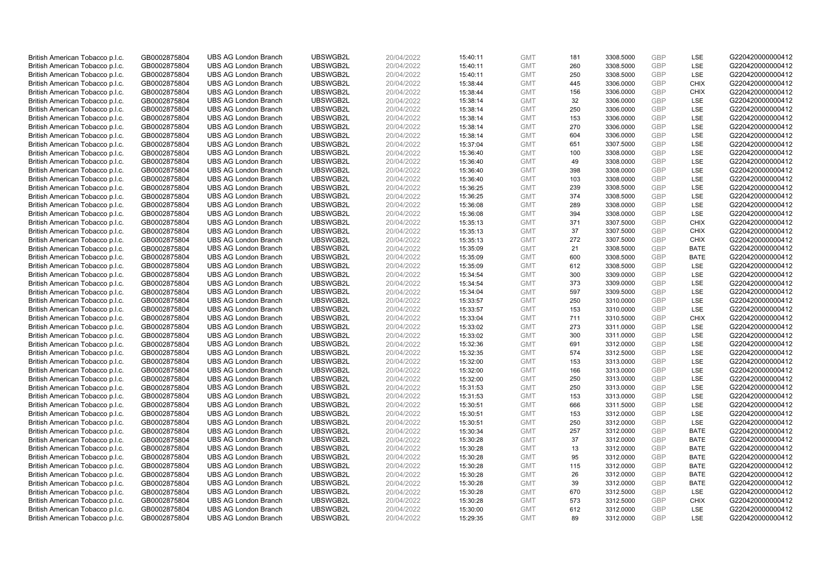| British American Tobacco p.l.c. | GB0002875804 | <b>UBS AG London Branch</b> | UBSWGB2L | 20/04/2022 | 15:40:11 | <b>GMT</b> | 181 | 3308.5000 | <b>GBP</b> | LSE         | G220420000000412 |
|---------------------------------|--------------|-----------------------------|----------|------------|----------|------------|-----|-----------|------------|-------------|------------------|
|                                 | GB0002875804 | <b>UBS AG London Branch</b> | UBSWGB2L | 20/04/2022 |          | <b>GMT</b> | 260 | 3308.5000 | GBP        | LSE         | G220420000000412 |
| British American Tobacco p.l.c. |              |                             | UBSWGB2L |            | 15:40:11 |            |     |           | GBP        | LSE         | G220420000000412 |
| British American Tobacco p.l.c. | GB0002875804 | <b>UBS AG London Branch</b> |          | 20/04/2022 | 15:40:11 | <b>GMT</b> | 250 | 3308.5000 |            |             |                  |
| British American Tobacco p.l.c. | GB0002875804 | <b>UBS AG London Branch</b> | UBSWGB2L | 20/04/2022 | 15:38:44 | <b>GMT</b> | 445 | 3306.0000 | GBP        | <b>CHIX</b> | G220420000000412 |
| British American Tobacco p.l.c. | GB0002875804 | <b>UBS AG London Branch</b> | UBSWGB2L | 20/04/2022 | 15:38:44 | <b>GMT</b> | 156 | 3306.0000 | GBP        | <b>CHIX</b> | G220420000000412 |
| British American Tobacco p.l.c. | GB0002875804 | <b>UBS AG London Branch</b> | UBSWGB2L | 20/04/2022 | 15:38:14 | <b>GMT</b> | 32  | 3306.0000 | <b>GBP</b> | <b>LSE</b>  | G220420000000412 |
| British American Tobacco p.l.c. | GB0002875804 | <b>UBS AG London Branch</b> | UBSWGB2L | 20/04/2022 | 15:38:14 | <b>GMT</b> | 250 | 3306.0000 | GBP        | LSE         | G220420000000412 |
| British American Tobacco p.l.c. | GB0002875804 | <b>UBS AG London Branch</b> | UBSWGB2L | 20/04/2022 | 15:38:14 | <b>GMT</b> | 153 | 3306.0000 | <b>GBP</b> | LSE         | G220420000000412 |
| British American Tobacco p.l.c. | GB0002875804 | <b>UBS AG London Branch</b> | UBSWGB2L | 20/04/2022 | 15:38:14 | <b>GMT</b> | 270 | 3306.0000 | GBP        | LSE         | G220420000000412 |
| British American Tobacco p.l.c. | GB0002875804 | <b>UBS AG London Branch</b> | UBSWGB2L | 20/04/2022 | 15:38:14 | <b>GMT</b> | 604 | 3306.0000 | <b>GBP</b> | LSE         | G220420000000412 |
| British American Tobacco p.l.c. | GB0002875804 | <b>UBS AG London Branch</b> | UBSWGB2L | 20/04/2022 | 15:37:04 | <b>GMT</b> | 651 | 3307.5000 | GBP        | <b>LSE</b>  | G220420000000412 |
| British American Tobacco p.l.c. | GB0002875804 | <b>UBS AG London Branch</b> | UBSWGB2L | 20/04/2022 | 15:36:40 | <b>GMT</b> | 100 | 3308.0000 | <b>GBP</b> | LSE         | G220420000000412 |
| British American Tobacco p.l.c. | GB0002875804 | <b>UBS AG London Branch</b> | UBSWGB2L | 20/04/2022 | 15:36:40 | <b>GMT</b> | 49  | 3308.0000 | GBP        | LSE         | G220420000000412 |
| British American Tobacco p.l.c. | GB0002875804 | <b>UBS AG London Branch</b> | UBSWGB2L | 20/04/2022 | 15:36:40 | <b>GMT</b> | 398 | 3308.0000 | <b>GBP</b> | LSE         | G220420000000412 |
| British American Tobacco p.l.c. | GB0002875804 | <b>UBS AG London Branch</b> | UBSWGB2L | 20/04/2022 | 15:36:40 | <b>GMT</b> | 103 | 3308.0000 | GBP        | <b>LSE</b>  | G220420000000412 |
| British American Tobacco p.l.c. | GB0002875804 | <b>UBS AG London Branch</b> | UBSWGB2L | 20/04/2022 | 15:36:25 | <b>GMT</b> | 239 | 3308.5000 | <b>GBP</b> | LSE         | G220420000000412 |
| British American Tobacco p.l.c. | GB0002875804 | <b>UBS AG London Branch</b> | UBSWGB2L | 20/04/2022 | 15:36:25 | <b>GMT</b> | 374 | 3308.5000 | GBP        | LSE         | G220420000000412 |
| British American Tobacco p.l.c. | GB0002875804 | <b>UBS AG London Branch</b> | UBSWGB2L | 20/04/2022 | 15:36:08 | <b>GMT</b> | 289 | 3308.0000 | <b>GBP</b> | LSE         | G220420000000412 |
| British American Tobacco p.l.c. | GB0002875804 | <b>UBS AG London Branch</b> | UBSWGB2L | 20/04/2022 | 15:36:08 | <b>GMT</b> | 394 | 3308.0000 | <b>GBP</b> | <b>LSE</b>  | G220420000000412 |
| British American Tobacco p.l.c. | GB0002875804 | <b>UBS AG London Branch</b> | UBSWGB2L | 20/04/2022 | 15:35:13 | <b>GMT</b> | 371 | 3307.5000 | <b>GBP</b> | <b>CHIX</b> | G220420000000412 |
| British American Tobacco p.l.c. | GB0002875804 | <b>UBS AG London Branch</b> | UBSWGB2L | 20/04/2022 | 15:35:13 | <b>GMT</b> | 37  | 3307.5000 | <b>GBP</b> | <b>CHIX</b> | G220420000000412 |
| British American Tobacco p.l.c. | GB0002875804 | <b>UBS AG London Branch</b> | UBSWGB2L | 20/04/2022 | 15:35:13 | <b>GMT</b> | 272 | 3307.5000 | GBP        | <b>CHIX</b> | G220420000000412 |
| British American Tobacco p.l.c. | GB0002875804 | <b>UBS AG London Branch</b> | UBSWGB2L | 20/04/2022 | 15:35:09 | <b>GMT</b> | 21  | 3308.5000 | <b>GBP</b> | <b>BATE</b> | G220420000000412 |
| British American Tobacco p.l.c. | GB0002875804 | <b>UBS AG London Branch</b> | UBSWGB2L | 20/04/2022 | 15:35:09 | <b>GMT</b> | 600 | 3308.5000 | <b>GBP</b> | <b>BATE</b> | G220420000000412 |
| British American Tobacco p.l.c. | GB0002875804 | <b>UBS AG London Branch</b> | UBSWGB2L | 20/04/2022 | 15:35:09 | <b>GMT</b> | 612 | 3308.5000 | <b>GBP</b> | LSE         | G220420000000412 |
| British American Tobacco p.l.c. | GB0002875804 | <b>UBS AG London Branch</b> | UBSWGB2L | 20/04/2022 | 15:34:54 | <b>GMT</b> | 300 | 3309.0000 | GBP        | LSE         | G220420000000412 |
| British American Tobacco p.l.c. | GB0002875804 | <b>UBS AG London Branch</b> | UBSWGB2L | 20/04/2022 | 15:34:54 | <b>GMT</b> | 373 | 3309.0000 | <b>GBP</b> | LSE         | G220420000000412 |
| British American Tobacco p.l.c. | GB0002875804 | <b>UBS AG London Branch</b> | UBSWGB2L | 20/04/2022 | 15:34:04 | <b>GMT</b> | 597 | 3309.5000 | GBP        | LSE         | G220420000000412 |
| British American Tobacco p.l.c. | GB0002875804 | <b>UBS AG London Branch</b> | UBSWGB2L | 20/04/2022 | 15:33:57 | <b>GMT</b> | 250 | 3310.0000 | <b>GBP</b> | LSE         | G220420000000412 |
| British American Tobacco p.l.c. | GB0002875804 | <b>UBS AG London Branch</b> | UBSWGB2L | 20/04/2022 | 15:33:57 | <b>GMT</b> | 153 | 3310.0000 | GBP        | LSE         | G220420000000412 |
| British American Tobacco p.l.c. | GB0002875804 | <b>UBS AG London Branch</b> | UBSWGB2L | 20/04/2022 | 15:33:04 | <b>GMT</b> | 711 | 3310.5000 | GBP        | <b>CHIX</b> | G220420000000412 |
| British American Tobacco p.l.c. | GB0002875804 | <b>UBS AG London Branch</b> | UBSWGB2L | 20/04/2022 | 15:33:02 | <b>GMT</b> | 273 | 3311.0000 | <b>GBP</b> | <b>LSE</b>  | G220420000000412 |
| British American Tobacco p.l.c. | GB0002875804 | <b>UBS AG London Branch</b> | UBSWGB2L | 20/04/2022 | 15:33:02 | <b>GMT</b> | 300 | 3311.0000 | <b>GBP</b> | LSE         | G220420000000412 |
| British American Tobacco p.l.c. | GB0002875804 | <b>UBS AG London Branch</b> | UBSWGB2L | 20/04/2022 | 15:32:36 | <b>GMT</b> | 691 | 3312.0000 | <b>GBP</b> | LSE         | G220420000000412 |
| British American Tobacco p.l.c. | GB0002875804 | <b>UBS AG London Branch</b> | UBSWGB2L | 20/04/2022 | 15:32:35 | <b>GMT</b> | 574 | 3312.5000 | GBP        | LSE         | G220420000000412 |
| British American Tobacco p.l.c. | GB0002875804 | <b>UBS AG London Branch</b> | UBSWGB2L | 20/04/2022 | 15:32:00 | <b>GMT</b> | 153 | 3313.0000 | <b>GBP</b> | LSE         | G220420000000412 |
| British American Tobacco p.l.c. | GB0002875804 | <b>UBS AG London Branch</b> | UBSWGB2L | 20/04/2022 | 15:32:00 | <b>GMT</b> | 166 | 3313.0000 | <b>GBP</b> | <b>LSE</b>  | G220420000000412 |
| British American Tobacco p.l.c. | GB0002875804 | <b>UBS AG London Branch</b> | UBSWGB2L | 20/04/2022 | 15:32:00 | <b>GMT</b> | 250 | 3313.0000 | <b>GBP</b> | LSE         | G220420000000412 |
| British American Tobacco p.l.c. | GB0002875804 | <b>UBS AG London Branch</b> | UBSWGB2L | 20/04/2022 | 15:31:53 | <b>GMT</b> | 250 | 3313.0000 | GBP        | LSE         | G220420000000412 |
| British American Tobacco p.l.c. | GB0002875804 | <b>UBS AG London Branch</b> | UBSWGB2L | 20/04/2022 | 15:31:53 | <b>GMT</b> | 153 | 3313.0000 | <b>GBP</b> | LSE         | G220420000000412 |
| British American Tobacco p.l.c. | GB0002875804 | <b>UBS AG London Branch</b> | UBSWGB2L | 20/04/2022 | 15:30:51 | <b>GMT</b> | 666 | 3311.5000 | GBP        | LSE         | G220420000000412 |
| British American Tobacco p.l.c. | GB0002875804 | <b>UBS AG London Branch</b> | UBSWGB2L | 20/04/2022 | 15:30:51 | <b>GMT</b> | 153 | 3312.0000 | <b>GBP</b> | LSE         | G220420000000412 |
| British American Tobacco p.l.c. | GB0002875804 | <b>UBS AG London Branch</b> | UBSWGB2L | 20/04/2022 | 15:30:51 | <b>GMT</b> | 250 | 3312.0000 | GBP        | LSE         | G220420000000412 |
| British American Tobacco p.l.c. | GB0002875804 | <b>UBS AG London Branch</b> | UBSWGB2L | 20/04/2022 | 15:30:34 | <b>GMT</b> | 257 | 3312.0000 | GBP        | <b>BATE</b> | G220420000000412 |
| British American Tobacco p.l.c. | GB0002875804 | <b>UBS AG London Branch</b> | UBSWGB2L | 20/04/2022 | 15:30:28 | <b>GMT</b> | 37  | 3312.0000 | GBP        | <b>BATE</b> | G220420000000412 |
| British American Tobacco p.l.c. | GB0002875804 | <b>UBS AG London Branch</b> | UBSWGB2L | 20/04/2022 | 15:30:28 | <b>GMT</b> | 13  | 3312.0000 | <b>GBP</b> | <b>BATE</b> | G220420000000412 |
| British American Tobacco p.l.c. | GB0002875804 | <b>UBS AG London Branch</b> | UBSWGB2L | 20/04/2022 | 15:30:28 | <b>GMT</b> | 95  | 3312.0000 | GBP        | <b>BATE</b> | G220420000000412 |
| British American Tobacco p.l.c. | GB0002875804 | <b>UBS AG London Branch</b> | UBSWGB2L | 20/04/2022 | 15:30:28 | <b>GMT</b> | 115 | 3312.0000 | GBP        | <b>BATE</b> | G220420000000412 |
| British American Tobacco p.l.c. | GB0002875804 | <b>UBS AG London Branch</b> | UBSWGB2L | 20/04/2022 | 15:30:28 | <b>GMT</b> | 26  | 3312.0000 | GBP        | <b>BATE</b> | G220420000000412 |
| British American Tobacco p.l.c. | GB0002875804 | <b>UBS AG London Branch</b> | UBSWGB2L | 20/04/2022 | 15:30:28 | <b>GMT</b> | 39  | 3312.0000 | GBP        | <b>BATE</b> | G220420000000412 |
| British American Tobacco p.l.c. | GB0002875804 | <b>UBS AG London Branch</b> | UBSWGB2L | 20/04/2022 | 15:30:28 | <b>GMT</b> | 670 | 3312.5000 | <b>GBP</b> | LSE         | G220420000000412 |
| British American Tobacco p.l.c. | GB0002875804 | <b>UBS AG London Branch</b> | UBSWGB2L | 20/04/2022 | 15:30:28 | <b>GMT</b> | 573 | 3312.5000 | GBP        | <b>CHIX</b> | G220420000000412 |
| British American Tobacco p.l.c. | GB0002875804 | <b>UBS AG London Branch</b> | UBSWGB2L | 20/04/2022 | 15:30:00 | <b>GMT</b> | 612 | 3312.0000 | <b>GBP</b> | <b>LSE</b>  | G220420000000412 |
| British American Tobacco p.l.c. | GB0002875804 | <b>UBS AG London Branch</b> | UBSWGB2L | 20/04/2022 | 15:29:35 | <b>GMT</b> | 89  | 3312.0000 | GBP        | <b>LSE</b>  | G220420000000412 |
|                                 |              |                             |          |            |          |            |     |           |            |             |                  |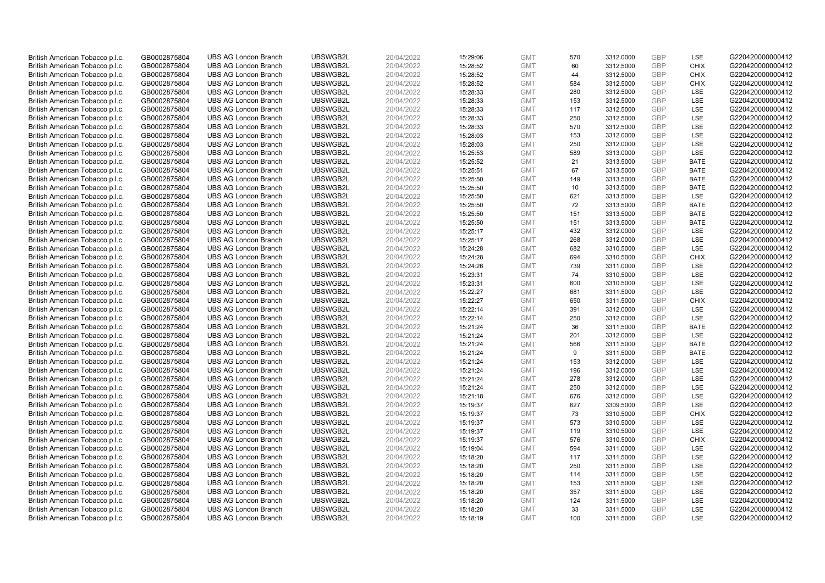| British American Tobacco p.l.c. | GB0002875804 | <b>UBS AG London Branch</b> | UBSWGB2L | 20/04/2022 | 15:29:06 | <b>GMT</b> | 570 | 3312.0000 | <b>GBP</b> | LSE         | G220420000000412 |
|---------------------------------|--------------|-----------------------------|----------|------------|----------|------------|-----|-----------|------------|-------------|------------------|
|                                 | GB0002875804 | <b>UBS AG London Branch</b> | UBSWGB2L | 20/04/2022 |          | <b>GMT</b> | 60  | 3312.5000 | <b>GBP</b> | <b>CHIX</b> | G220420000000412 |
| British American Tobacco p.l.c. |              |                             |          |            | 15:28:52 |            |     |           |            |             |                  |
| British American Tobacco p.l.c. | GB0002875804 | <b>UBS AG London Branch</b> | UBSWGB2L | 20/04/2022 | 15:28:52 | <b>GMT</b> | 44  | 3312.5000 | <b>GBP</b> | <b>CHIX</b> | G220420000000412 |
| British American Tobacco p.l.c. | GB0002875804 | <b>UBS AG London Branch</b> | UBSWGB2L | 20/04/2022 | 15:28:52 | <b>GMT</b> | 584 | 3312.5000 | GBP        | <b>CHIX</b> | G220420000000412 |
| British American Tobacco p.l.c. | GB0002875804 | <b>UBS AG London Branch</b> | UBSWGB2L | 20/04/2022 | 15:28:33 | <b>GMT</b> | 280 | 3312.5000 | <b>GBP</b> | <b>LSE</b>  | G220420000000412 |
| British American Tobacco p.l.c. | GB0002875804 | <b>UBS AG London Branch</b> | UBSWGB2L | 20/04/2022 | 15:28:33 | <b>GMT</b> | 153 | 3312.5000 | <b>GBP</b> | <b>LSE</b>  | G220420000000412 |
| British American Tobacco p.l.c. | GB0002875804 | <b>UBS AG London Branch</b> | UBSWGB2L | 20/04/2022 | 15:28:33 | <b>GMT</b> | 117 | 3312.5000 | <b>GBP</b> | LSE         | G220420000000412 |
| British American Tobacco p.l.c. | GB0002875804 | <b>UBS AG London Branch</b> | UBSWGB2L | 20/04/2022 | 15:28:33 | <b>GMT</b> | 250 | 3312.5000 | <b>GBP</b> | LSE         | G220420000000412 |
| British American Tobacco p.l.c. | GB0002875804 | <b>UBS AG London Branch</b> | UBSWGB2L | 20/04/2022 | 15:28:33 | <b>GMT</b> | 570 | 3312.5000 | GBP        | LSE         | G220420000000412 |
| British American Tobacco p.l.c. | GB0002875804 | <b>UBS AG London Branch</b> | UBSWGB2L | 20/04/2022 | 15:28:03 | <b>GMT</b> | 153 | 3312.0000 | <b>GBP</b> | LSE         | G220420000000412 |
| British American Tobacco p.l.c. | GB0002875804 | <b>UBS AG London Branch</b> | UBSWGB2L | 20/04/2022 | 15:28:03 | <b>GMT</b> | 250 | 3312.0000 | <b>GBP</b> | <b>LSE</b>  | G220420000000412 |
| British American Tobacco p.l.c. | GB0002875804 | <b>UBS AG London Branch</b> | UBSWGB2L | 20/04/2022 | 15:25:53 | <b>GMT</b> | 589 | 3313.0000 | <b>GBP</b> | LSE         | G220420000000412 |
| British American Tobacco p.l.c. | GB0002875804 | <b>UBS AG London Branch</b> | UBSWGB2L | 20/04/2022 | 15:25:52 | <b>GMT</b> | 21  | 3313.5000 | <b>GBP</b> | <b>BATE</b> | G220420000000412 |
| British American Tobacco p.l.c. | GB0002875804 | <b>UBS AG London Branch</b> | UBSWGB2L | 20/04/2022 | 15:25:51 | <b>GMT</b> | 67  | 3313.5000 | <b>GBP</b> | <b>BATE</b> | G220420000000412 |
| British American Tobacco p.l.c. | GB0002875804 | <b>UBS AG London Branch</b> | UBSWGB2L | 20/04/2022 | 15:25:50 | <b>GMT</b> | 149 | 3313.5000 | GBP        | <b>BATE</b> | G220420000000412 |
| British American Tobacco p.l.c. | GB0002875804 | <b>UBS AG London Branch</b> | UBSWGB2L | 20/04/2022 | 15:25:50 | <b>GMT</b> | 10  | 3313.5000 | <b>GBP</b> | <b>BATE</b> | G220420000000412 |
| British American Tobacco p.l.c. | GB0002875804 | <b>UBS AG London Branch</b> | UBSWGB2L | 20/04/2022 | 15:25:50 | <b>GMT</b> | 621 | 3313.5000 | GBP        | LSE         | G220420000000412 |
| British American Tobacco p.l.c. | GB0002875804 | <b>UBS AG London Branch</b> | UBSWGB2L | 20/04/2022 | 15:25:50 | <b>GMT</b> | 72  | 3313.5000 | GBP        | <b>BATE</b> | G220420000000412 |
| British American Tobacco p.l.c. | GB0002875804 | <b>UBS AG London Branch</b> | UBSWGB2L | 20/04/2022 | 15:25:50 | <b>GMT</b> | 151 | 3313.5000 | <b>GBP</b> | <b>BATE</b> | G220420000000412 |
| British American Tobacco p.l.c. | GB0002875804 | <b>UBS AG London Branch</b> | UBSWGB2L | 20/04/2022 | 15:25:50 | <b>GMT</b> | 151 | 3313.5000 | <b>GBP</b> | <b>BATE</b> | G220420000000412 |
| British American Tobacco p.l.c. | GB0002875804 | <b>UBS AG London Branch</b> | UBSWGB2L | 20/04/2022 | 15:25:17 | <b>GMT</b> | 432 | 3312.0000 | <b>GBP</b> | LSE         | G220420000000412 |
| British American Tobacco p.l.c. | GB0002875804 | <b>UBS AG London Branch</b> | UBSWGB2L | 20/04/2022 | 15:25:17 | <b>GMT</b> | 268 | 3312.0000 | GBP        | LSE         | G220420000000412 |
| British American Tobacco p.l.c. | GB0002875804 | <b>UBS AG London Branch</b> | UBSWGB2L | 20/04/2022 | 15:24:28 | <b>GMT</b> | 682 | 3310.5000 | <b>GBP</b> | LSE         | G220420000000412 |
| British American Tobacco p.l.c. | GB0002875804 | <b>UBS AG London Branch</b> | UBSWGB2L | 20/04/2022 | 15:24:28 | <b>GMT</b> | 694 | 3310.5000 | <b>GBP</b> | CHIX        | G220420000000412 |
| British American Tobacco p.l.c. | GB0002875804 | <b>UBS AG London Branch</b> | UBSWGB2L | 20/04/2022 |          | <b>GMT</b> | 739 | 3311.0000 | <b>GBP</b> | LSE         | G220420000000412 |
|                                 |              | <b>UBS AG London Branch</b> | UBSWGB2L | 20/04/2022 | 15:24:26 | <b>GMT</b> | 74  | 3310.5000 | GBP        | LSE         | G220420000000412 |
| British American Tobacco p.l.c. | GB0002875804 |                             |          |            | 15:23:31 |            |     |           |            |             |                  |
| British American Tobacco p.l.c. | GB0002875804 | <b>UBS AG London Branch</b> | UBSWGB2L | 20/04/2022 | 15:23:31 | <b>GMT</b> | 600 | 3310.5000 | <b>GBP</b> | LSE         | G220420000000412 |
| British American Tobacco p.l.c. | GB0002875804 | <b>UBS AG London Branch</b> | UBSWGB2L | 20/04/2022 | 15:22:27 | <b>GMT</b> | 681 | 3311.5000 | GBP        | LSE         | G220420000000412 |
| British American Tobacco p.l.c. | GB0002875804 | <b>UBS AG London Branch</b> | UBSWGB2L | 20/04/2022 | 15:22:27 | <b>GMT</b> | 650 | 3311.5000 | <b>GBP</b> | <b>CHIX</b> | G220420000000412 |
| British American Tobacco p.l.c. | GB0002875804 | <b>UBS AG London Branch</b> | UBSWGB2L | 20/04/2022 | 15:22:14 | <b>GMT</b> | 391 | 3312.0000 | GBP        | LSE         | G220420000000412 |
| British American Tobacco p.l.c. | GB0002875804 | <b>UBS AG London Branch</b> | UBSWGB2L | 20/04/2022 | 15:22:14 | <b>GMT</b> | 250 | 3312.0000 | GBP        | <b>LSE</b>  | G220420000000412 |
| British American Tobacco p.l.c. | GB0002875804 | <b>UBS AG London Branch</b> | UBSWGB2L | 20/04/2022 | 15:21:24 | <b>GMT</b> | 36  | 3311.5000 | GBP        | <b>BATE</b> | G220420000000412 |
| British American Tobacco p.l.c. | GB0002875804 | <b>UBS AG London Branch</b> | UBSWGB2L | 20/04/2022 | 15:21:24 | <b>GMT</b> | 201 | 3312.0000 | <b>GBP</b> | LSE         | G220420000000412 |
| British American Tobacco p.l.c. | GB0002875804 | <b>UBS AG London Branch</b> | UBSWGB2L | 20/04/2022 | 15:21:24 | <b>GMT</b> | 566 | 3311.5000 | <b>GBP</b> | <b>BATE</b> | G220420000000412 |
| British American Tobacco p.l.c. | GB0002875804 | <b>UBS AG London Branch</b> | UBSWGB2L | 20/04/2022 | 15:21:24 | <b>GMT</b> | 9   | 3311.5000 | GBP        | <b>BATE</b> | G220420000000412 |
| British American Tobacco p.l.c. | GB0002875804 | <b>UBS AG London Branch</b> | UBSWGB2L | 20/04/2022 | 15:21:24 | <b>GMT</b> | 153 | 3312.0000 | <b>GBP</b> | LSE         | G220420000000412 |
| British American Tobacco p.l.c. | GB0002875804 | <b>UBS AG London Branch</b> | UBSWGB2L | 20/04/2022 | 15:21:24 | <b>GMT</b> | 196 | 3312.0000 | GBP        | <b>LSE</b>  | G220420000000412 |
| British American Tobacco p.l.c. | GB0002875804 | <b>UBS AG London Branch</b> | UBSWGB2L | 20/04/2022 | 15:21:24 | <b>GMT</b> | 278 | 3312.0000 | <b>GBP</b> | LSE         | G220420000000412 |
| British American Tobacco p.l.c. | GB0002875804 | <b>UBS AG London Branch</b> | UBSWGB2L | 20/04/2022 | 15:21:24 | <b>GMT</b> | 250 | 3312.0000 | GBP        | LSE         | G220420000000412 |
| British American Tobacco p.l.c. | GB0002875804 | <b>UBS AG London Branch</b> | UBSWGB2L | 20/04/2022 | 15:21:18 | <b>GMT</b> | 676 | 3312.0000 | <b>GBP</b> | LSE         | G220420000000412 |
| British American Tobacco p.l.c. | GB0002875804 | <b>UBS AG London Branch</b> | UBSWGB2L | 20/04/2022 | 15:19:37 | <b>GMT</b> | 627 | 3309.5000 | GBP        | LSE         | G220420000000412 |
| British American Tobacco p.l.c. | GB0002875804 | <b>UBS AG London Branch</b> | UBSWGB2L | 20/04/2022 | 15:19:37 | <b>GMT</b> | 73  | 3310.5000 | <b>GBP</b> | <b>CHIX</b> | G220420000000412 |
| British American Tobacco p.l.c. | GB0002875804 | <b>UBS AG London Branch</b> | UBSWGB2L | 20/04/2022 | 15:19:37 | <b>GMT</b> | 573 | 3310.5000 | GBP        | LSE         | G220420000000412 |
| British American Tobacco p.l.c. | GB0002875804 | <b>UBS AG London Branch</b> | UBSWGB2L | 20/04/2022 | 15:19:37 | <b>GMT</b> | 119 | 3310.5000 | GBP        | <b>LSE</b>  | G220420000000412 |
| British American Tobacco p.l.c. | GB0002875804 | <b>UBS AG London Branch</b> | UBSWGB2L | 20/04/2022 | 15:19:37 | <b>GMT</b> | 576 | 3310.5000 | GBP        | <b>CHIX</b> | G220420000000412 |
| British American Tobacco p.l.c. | GB0002875804 | <b>UBS AG London Branch</b> | UBSWGB2L | 20/04/2022 | 15:19:04 | <b>GMT</b> | 594 | 3311.0000 | <b>GBP</b> | LSE         | G220420000000412 |
| British American Tobacco p.l.c. | GB0002875804 | <b>UBS AG London Branch</b> | UBSWGB2L | 20/04/2022 | 15:18:20 | <b>GMT</b> | 117 | 3311.5000 | <b>GBP</b> | LSE         | G220420000000412 |
| British American Tobacco p.l.c. | GB0002875804 | <b>UBS AG London Branch</b> | UBSWGB2L | 20/04/2022 | 15:18:20 | <b>GMT</b> | 250 | 3311.5000 | GBP        | LSE         | G220420000000412 |
| British American Tobacco p.l.c. | GB0002875804 | <b>UBS AG London Branch</b> | UBSWGB2L | 20/04/2022 | 15:18:20 | <b>GMT</b> | 114 | 3311.5000 | GBP        | LSE         | G220420000000412 |
| British American Tobacco p.l.c. | GB0002875804 | <b>UBS AG London Branch</b> | UBSWGB2L | 20/04/2022 | 15:18:20 | <b>GMT</b> | 153 | 3311.5000 | GBP        | <b>LSE</b>  | G220420000000412 |
| British American Tobacco p.l.c. | GB0002875804 | <b>UBS AG London Branch</b> | UBSWGB2L | 20/04/2022 | 15:18:20 | <b>GMT</b> | 357 | 3311.5000 | <b>GBP</b> | LSE         | G220420000000412 |
| British American Tobacco p.l.c. | GB0002875804 | <b>UBS AG London Branch</b> | UBSWGB2L | 20/04/2022 | 15:18:20 | <b>GMT</b> | 124 | 3311.5000 | GBP        | LSE         | G220420000000412 |
| British American Tobacco p.l.c. | GB0002875804 | <b>UBS AG London Branch</b> | UBSWGB2L | 20/04/2022 | 15:18:20 | <b>GMT</b> | 33  | 3311.5000 | <b>GBP</b> | LSE         | G220420000000412 |
| British American Tobacco p.l.c. | GB0002875804 | <b>UBS AG London Branch</b> | UBSWGB2L | 20/04/2022 | 15:18:19 | <b>GMT</b> | 100 | 3311.5000 | GBP        | <b>LSE</b>  | G220420000000412 |
|                                 |              |                             |          |            |          |            |     |           |            |             |                  |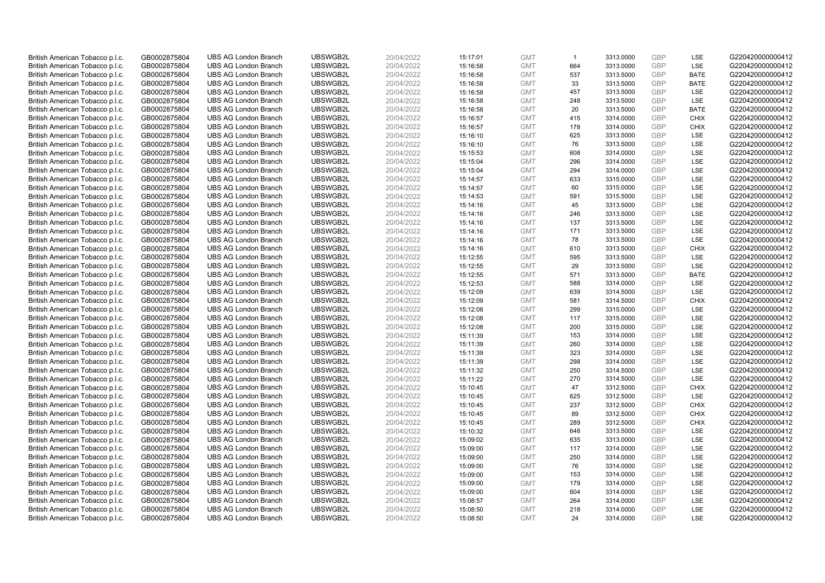| British American Tobacco p.l.c.                                    | GB0002875804                 | <b>UBS AG London Branch</b>                                | UBSWGB2L             | 20/04/2022               | 15:17:01             | <b>GMT</b>               | $\mathbf{1}$ | 3313.0000              | <b>GBP</b>        | LSE         | G220420000000412                     |
|--------------------------------------------------------------------|------------------------------|------------------------------------------------------------|----------------------|--------------------------|----------------------|--------------------------|--------------|------------------------|-------------------|-------------|--------------------------------------|
| British American Tobacco p.l.c.                                    | GB0002875804                 | <b>UBS AG London Branch</b>                                | UBSWGB2L             | 20/04/2022               | 15:16:58             | <b>GMT</b>               | 664          | 3313.0000              | GBP               | LSE         | G220420000000412                     |
| British American Tobacco p.l.c.                                    | GB0002875804                 | <b>UBS AG London Branch</b>                                | UBSWGB2L             | 20/04/2022               | 15:16:58             | <b>GMT</b>               | 537          | 3313.5000              | <b>GBP</b>        | <b>BATE</b> | G220420000000412                     |
| British American Tobacco p.l.c.                                    | GB0002875804                 | <b>UBS AG London Branch</b>                                | UBSWGB2L             | 20/04/2022               | 15:16:58             | <b>GMT</b>               | 33           | 3313.5000              | GBP               | <b>BATE</b> | G220420000000412                     |
| British American Tobacco p.l.c.                                    | GB0002875804                 | <b>UBS AG London Branch</b>                                | UBSWGB2L             | 20/04/2022               | 15:16:58             | <b>GMT</b>               | 457          | 3313.5000              | <b>GBP</b>        | LSE         | G220420000000412                     |
| British American Tobacco p.l.c.                                    | GB0002875804                 | <b>UBS AG London Branch</b>                                | UBSWGB2L             | 20/04/2022               | 15:16:58             | <b>GMT</b>               | 248          | 3313.5000              | GBP               | <b>LSE</b>  | G220420000000412                     |
| British American Tobacco p.l.c.                                    | GB0002875804                 | <b>UBS AG London Branch</b>                                | UBSWGB2L             | 20/04/2022               | 15:16:58             | <b>GMT</b>               | 20           | 3313.5000              | <b>GBP</b>        | <b>BATE</b> | G220420000000412                     |
| British American Tobacco p.l.c.                                    | GB0002875804                 | <b>UBS AG London Branch</b>                                | UBSWGB2L             | 20/04/2022               | 15:16:57             | <b>GMT</b>               | 415          | 3314.0000              | GBP               | <b>CHIX</b> | G220420000000412                     |
| British American Tobacco p.l.c.                                    | GB0002875804                 | <b>UBS AG London Branch</b>                                | UBSWGB2L             | 20/04/2022               | 15:16:57             | <b>GMT</b>               | 178          | 3314.0000              | GBP               | <b>CHIX</b> | G220420000000412                     |
| British American Tobacco p.l.c.                                    | GB0002875804                 | <b>UBS AG London Branch</b>                                | UBSWGB2L             | 20/04/2022               | 15:16:10             | <b>GMT</b>               | 625          | 3313.5000              | GBP               | <b>LSE</b>  | G220420000000412                     |
| British American Tobacco p.l.c.                                    | GB0002875804                 | <b>UBS AG London Branch</b>                                | UBSWGB2L             | 20/04/2022               | 15:16:10             | <b>GMT</b>               | 76           | 3313.5000              | <b>GBP</b>        | LSE         | G220420000000412                     |
| British American Tobacco p.l.c.                                    | GB0002875804                 | <b>UBS AG London Branch</b>                                | UBSWGB2L             | 20/04/2022               | 15:15:53             | <b>GMT</b>               | 608          | 3314.0000              | <b>GBP</b>        | LSE         | G220420000000412                     |
| British American Tobacco p.l.c.                                    | GB0002875804                 | <b>UBS AG London Branch</b>                                | UBSWGB2L             | 20/04/2022               | 15:15:04             | <b>GMT</b>               | 296          | 3314.0000              | GBP               | LSE         | G220420000000412                     |
| British American Tobacco p.l.c.                                    | GB0002875804                 | <b>UBS AG London Branch</b>                                | UBSWGB2L             | 20/04/2022               | 15:15:04             | <b>GMT</b>               | 294          | 3314.0000              | <b>GBP</b>        | LSE         | G220420000000412                     |
| British American Tobacco p.l.c.                                    | GB0002875804                 | <b>UBS AG London Branch</b>                                | UBSWGB2L             | 20/04/2022               | 15:14:57             | <b>GMT</b>               | 633          | 3315.0000              | GBP               | LSE         | G220420000000412                     |
| British American Tobacco p.l.c.                                    | GB0002875804                 | <b>UBS AG London Branch</b>                                | UBSWGB2L             | 20/04/2022               | 15:14:57             | <b>GMT</b>               | 60           | 3315.0000              | <b>GBP</b>        | LSE         | G220420000000412                     |
| British American Tobacco p.l.c.                                    | GB0002875804                 | <b>UBS AG London Branch</b>                                | UBSWGB2L             | 20/04/2022               | 15:14:53             | <b>GMT</b>               | 591          | 3315.5000              | GBP               | LSE         | G220420000000412                     |
| British American Tobacco p.l.c.                                    | GB0002875804                 | <b>UBS AG London Branch</b>                                | UBSWGB2L             | 20/04/2022               | 15:14:16             | <b>GMT</b>               | 45           | 3313.5000              | <b>GBP</b>        | LSE         | G220420000000412                     |
| British American Tobacco p.l.c.                                    | GB0002875804                 | <b>UBS AG London Branch</b>                                | UBSWGB2L             | 20/04/2022               | 15:14:16             | <b>GMT</b>               | 246          | 3313.5000              | GBP               | LSE         | G220420000000412                     |
| British American Tobacco p.l.c.                                    | GB0002875804                 | <b>UBS AG London Branch</b>                                | UBSWGB2L             | 20/04/2022               | 15:14:16             | <b>GMT</b>               | 137          | 3313.5000              | <b>GBP</b>        | LSE         | G220420000000412                     |
| British American Tobacco p.l.c.                                    | GB0002875804                 | <b>UBS AG London Branch</b>                                | UBSWGB2L             | 20/04/2022               | 15:14:16             | <b>GMT</b>               | 171          | 3313.5000              | GBP               | LSE         | G220420000000412                     |
| British American Tobacco p.l.c.                                    | GB0002875804                 | <b>UBS AG London Branch</b>                                | UBSWGB2L             | 20/04/2022               | 15:14:16             | <b>GMT</b>               | 78           | 3313.5000              | <b>GBP</b>        | <b>LSE</b>  | G220420000000412                     |
| British American Tobacco p.l.c.                                    | GB0002875804                 | <b>UBS AG London Branch</b>                                | UBSWGB2L             | 20/04/2022               | 15:14:16             | <b>GMT</b>               | 610          | 3313.5000              | GBP               | <b>CHIX</b> | G220420000000412                     |
| British American Tobacco p.l.c.                                    | GB0002875804                 | <b>UBS AG London Branch</b>                                | UBSWGB2L             | 20/04/2022               | 15:12:55             | <b>GMT</b>               | 595          | 3313.5000              | <b>GBP</b>        | LSE         | G220420000000412                     |
| British American Tobacco p.l.c.                                    | GB0002875804                 | <b>UBS AG London Branch</b>                                | UBSWGB2L             | 20/04/2022               | 15:12:55             | <b>GMT</b>               | 29           | 3313.5000              | <b>GBP</b>        | LSE         | G220420000000412                     |
| British American Tobacco p.l.c.                                    | GB0002875804                 | <b>UBS AG London Branch</b>                                | UBSWGB2L             | 20/04/2022               | 15:12:55             | <b>GMT</b>               | 571          | 3313.5000              | GBP               | <b>BATE</b> | G220420000000412                     |
| British American Tobacco p.l.c.                                    | GB0002875804                 | <b>UBS AG London Branch</b>                                | UBSWGB2L             | 20/04/2022               | 15:12:53             | <b>GMT</b>               | 588          | 3314.0000              | <b>GBP</b>        | LSE         | G220420000000412                     |
| British American Tobacco p.l.c.                                    | GB0002875804                 | <b>UBS AG London Branch</b>                                | UBSWGB2L             | 20/04/2022               | 15:12:09             | <b>GMT</b>               | 639          | 3314.5000              | GBP               | LSE         | G220420000000412                     |
| British American Tobacco p.l.c.                                    | GB0002875804                 | <b>UBS AG London Branch</b>                                | UBSWGB2L             | 20/04/2022               | 15:12:09             | <b>GMT</b>               | 581          | 3314.5000              | <b>GBP</b>        | <b>CHIX</b> | G220420000000412                     |
| British American Tobacco p.l.c.                                    | GB0002875804                 | <b>UBS AG London Branch</b>                                | UBSWGB2L             | 20/04/2022               | 15:12:08             | <b>GMT</b>               | 299          | 3315.0000              | <b>GBP</b>        | LSE         | G220420000000412                     |
| British American Tobacco p.l.c.                                    | GB0002875804                 | <b>UBS AG London Branch</b>                                | UBSWGB2L             | 20/04/2022               | 15:12:08             | <b>GMT</b>               | 117          | 3315.0000              | <b>GBP</b>        | LSE         | G220420000000412                     |
| British American Tobacco p.l.c.                                    | GB0002875804                 | <b>UBS AG London Branch</b>                                | UBSWGB2L             | 20/04/2022               | 15:12:08             | <b>GMT</b>               | 200          | 3315.0000              | GBP               | LSE         | G220420000000412                     |
| British American Tobacco p.l.c.                                    | GB0002875804                 | <b>UBS AG London Branch</b>                                | UBSWGB2L             | 20/04/2022               | 15:11:39             | <b>GMT</b>               | 153          | 3314.0000              | <b>GBP</b>        | LSE         | G220420000000412                     |
| British American Tobacco p.l.c.                                    | GB0002875804                 | <b>UBS AG London Branch</b>                                | UBSWGB2L             | 20/04/2022               | 15:11:39             | <b>GMT</b>               | 260          | 3314.0000              | <b>GBP</b>        | LSE         | G220420000000412                     |
| British American Tobacco p.l.c.                                    | GB0002875804                 | <b>UBS AG London Branch</b>                                | UBSWGB2L             | 20/04/2022               | 15:11:39             | <b>GMT</b>               | 323          | 3314.0000              | GBP               | <b>LSE</b>  | G220420000000412                     |
| British American Tobacco p.l.c.                                    | GB0002875804                 | <b>UBS AG London Branch</b>                                | UBSWGB2L             | 20/04/2022               | 15:11:39             | <b>GMT</b>               | 298          | 3314.0000              | <b>GBP</b>        | LSE         | G220420000000412                     |
| British American Tobacco p.l.c.                                    | GB0002875804                 | <b>UBS AG London Branch</b>                                | UBSWGB2L             | 20/04/2022               | 15:11:32             | <b>GMT</b>               | 250          | 3314.5000              | GBP               | <b>LSE</b>  | G220420000000412                     |
| British American Tobacco p.l.c.                                    | GB0002875804                 | <b>UBS AG London Branch</b>                                | UBSWGB2L             | 20/04/2022               | 15:11:22             | <b>GMT</b>               | 270          | 3314.5000              | <b>GBP</b>        | LSE         | G220420000000412                     |
| British American Tobacco p.l.c.                                    | GB0002875804                 | <b>UBS AG London Branch</b>                                | UBSWGB2L             | 20/04/2022               | 15:10:45             | <b>GMT</b>               | 47           | 3312.5000              | GBP               | <b>CHIX</b> | G220420000000412                     |
| British American Tobacco p.l.c.                                    | GB0002875804                 | <b>UBS AG London Branch</b>                                | UBSWGB2L             | 20/04/2022               | 15:10:45             | <b>GMT</b>               | 625<br>237   | 3312.5000              | <b>GBP</b><br>GBP | LSE<br>CHIX | G220420000000412                     |
| British American Tobacco p.l.c.                                    | GB0002875804                 | <b>UBS AG London Branch</b><br><b>UBS AG London Branch</b> | UBSWGB2L<br>UBSWGB2L | 20/04/2022               | 15:10:45             | <b>GMT</b><br><b>GMT</b> | 89           | 3312.5000<br>3312.5000 | <b>GBP</b>        | <b>CHIX</b> | G220420000000412<br>G220420000000412 |
| British American Tobacco p.l.c.                                    | GB0002875804<br>GB0002875804 | <b>UBS AG London Branch</b>                                | UBSWGB2L             | 20/04/2022<br>20/04/2022 | 15:10:45<br>15:10:45 | <b>GMT</b>               | 289          | 3312.5000              | GBP               | <b>CHIX</b> | G220420000000412                     |
| British American Tobacco p.l.c.<br>British American Tobacco p.l.c. | GB0002875804                 | <b>UBS AG London Branch</b>                                | UBSWGB2L             | 20/04/2022               | 15:10:32             | <b>GMT</b>               | 648          | 3313.5000              | GBP               | <b>LSE</b>  | G220420000000412                     |
| British American Tobacco p.l.c.                                    | GB0002875804                 | <b>UBS AG London Branch</b>                                | UBSWGB2L             | 20/04/2022               | 15:09:02             | <b>GMT</b>               | 635          | 3313.0000              | <b>GBP</b>        | <b>LSE</b>  | G220420000000412                     |
| British American Tobacco p.l.c.                                    | GB0002875804                 | <b>UBS AG London Branch</b>                                | UBSWGB2L             | 20/04/2022               | 15:09:00             | <b>GMT</b>               | 117          | 3314.0000              | GBP               | LSE         | G220420000000412                     |
| British American Tobacco p.l.c.                                    | GB0002875804                 | <b>UBS AG London Branch</b>                                | UBSWGB2L             | 20/04/2022               | 15:09:00             | <b>GMT</b>               | 250          | 3314.0000              | <b>GBP</b>        | LSE         | G220420000000412                     |
| British American Tobacco p.l.c.                                    | GB0002875804                 | <b>UBS AG London Branch</b>                                | UBSWGB2L             | 20/04/2022               | 15:09:00             | <b>GMT</b>               | 76           | 3314.0000              | GBP               | LSE         | G220420000000412                     |
| British American Tobacco p.l.c.                                    | GB0002875804                 | <b>UBS AG London Branch</b>                                | UBSWGB2L             | 20/04/2022               | 15:09:00             | <b>GMT</b>               | 153          | 3314.0000              | <b>GBP</b>        | LSE         | G220420000000412                     |
| British American Tobacco p.l.c.                                    | GB0002875804                 | <b>UBS AG London Branch</b>                                | UBSWGB2L             | 20/04/2022               | 15:09:00             | <b>GMT</b>               | 179          | 3314.0000              | GBP               | <b>LSE</b>  | G220420000000412                     |
| British American Tobacco p.l.c.                                    | GB0002875804                 | <b>UBS AG London Branch</b>                                | UBSWGB2L             | 20/04/2022               | 15:09:00             | <b>GMT</b>               | 604          | 3314.0000              | <b>GBP</b>        | LSE         | G220420000000412                     |
| British American Tobacco p.l.c.                                    | GB0002875804                 | <b>UBS AG London Branch</b>                                | UBSWGB2L             | 20/04/2022               | 15:08:57             | <b>GMT</b>               | 264          | 3314.0000              | GBP               | LSE         | G220420000000412                     |
| British American Tobacco p.l.c.                                    | GB0002875804                 | <b>UBS AG London Branch</b>                                | UBSWGB2L             | 20/04/2022               | 15:08:50             | <b>GMT</b>               | 218          | 3314.0000              | <b>GBP</b>        | LSE         | G220420000000412                     |
| British American Tobacco p.l.c.                                    | GB0002875804                 | <b>UBS AG London Branch</b>                                | UBSWGB2L             | 20/04/2022               | 15:08:50             | <b>GMT</b>               | 24           | 3314.0000              | GBP               | <b>LSE</b>  | G220420000000412                     |
|                                                                    |                              |                                                            |                      |                          |                      |                          |              |                        |                   |             |                                      |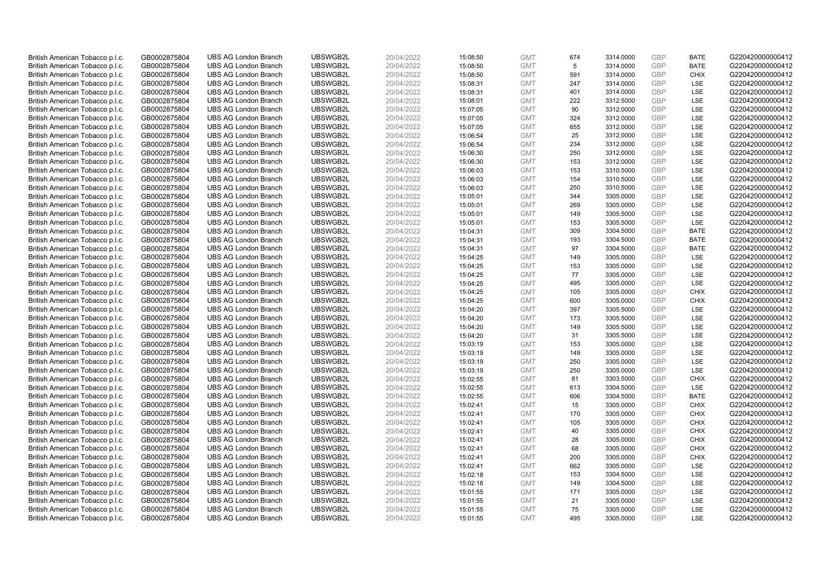| British American Tobacco p.l.c.                                    | GB0002875804                 | <b>UBS AG London Branch</b>                                | UBSWGB2L             | 20/04/2022               | 15:08:50             | <b>GMT</b>               | 674       | 3314.0000              | <b>GBP</b>        | <b>BATE</b>        | G220420000000412                     |
|--------------------------------------------------------------------|------------------------------|------------------------------------------------------------|----------------------|--------------------------|----------------------|--------------------------|-----------|------------------------|-------------------|--------------------|--------------------------------------|
| British American Tobacco p.l.c.                                    | GB0002875804                 | <b>UBS AG London Branch</b>                                | UBSWGB2L             | 20/04/2022               | 15:08:50             | <b>GMT</b>               | 5         | 3314.0000              | <b>GBP</b>        | <b>BATE</b>        | G220420000000412                     |
| British American Tobacco p.l.c.                                    | GB0002875804                 | <b>UBS AG London Branch</b>                                | UBSWGB2L             | 20/04/2022               | 15:08:50             | <b>GMT</b>               | 591       | 3314.0000              | <b>GBP</b>        | <b>CHIX</b>        | G220420000000412                     |
| British American Tobacco p.l.c.                                    | GB0002875804                 | <b>UBS AG London Branch</b>                                | UBSWGB2L             | 20/04/2022               | 15:08:31             | <b>GMT</b>               | 247       | 3314.0000              | <b>GBP</b>        | <b>LSE</b>         | G220420000000412                     |
| British American Tobacco p.l.c.                                    | GB0002875804                 | <b>UBS AG London Branch</b>                                | UBSWGB2L             | 20/04/2022               | 15:08:31             | <b>GMT</b>               | 401       | 3314.0000              | <b>GBP</b>        | LSE                | G220420000000412                     |
| British American Tobacco p.l.c.                                    | GB0002875804                 | <b>UBS AG London Branch</b>                                | UBSWGB2L             | 20/04/2022               | 15:08:01             | <b>GMT</b>               | 222       | 3312.5000              | GBP               | <b>LSE</b>         | G220420000000412                     |
| British American Tobacco p.l.c.                                    | GB0002875804                 | <b>UBS AG London Branch</b>                                | UBSWGB2L             | 20/04/2022               | 15:07:05             | <b>GMT</b>               | 90        | 3312.0000              | <b>GBP</b>        | LSE                | G220420000000412                     |
| British American Tobacco p.l.c.                                    | GB0002875804                 | <b>UBS AG London Branch</b>                                | UBSWGB2L             | 20/04/2022               | 15:07:05             | <b>GMT</b>               | 324       | 3312.0000              | GBP               | LSE                | G220420000000412                     |
| British American Tobacco p.l.c.                                    | GB0002875804                 | <b>UBS AG London Branch</b>                                | UBSWGB2L             | 20/04/2022               | 15:07:05             | <b>GMT</b>               | 655       | 3312.0000              | GBP               | LSE                | G220420000000412                     |
| British American Tobacco p.l.c.                                    | GB0002875804                 | <b>UBS AG London Branch</b>                                | UBSWGB2L             | 20/04/2022               | 15:06:54             | <b>GMT</b>               | 25        | 3312.0000              | GBP               | <b>LSE</b>         | G220420000000412                     |
| British American Tobacco p.l.c.                                    | GB0002875804                 | <b>UBS AG London Branch</b>                                | UBSWGB2L             | 20/04/2022               | 15:06:54             | <b>GMT</b>               | 234       | 3312.0000              | <b>GBP</b>        | LSE                | G220420000000412                     |
| British American Tobacco p.l.c.                                    | GB0002875804                 | <b>UBS AG London Branch</b>                                | UBSWGB2L             | 20/04/2022               | 15:06:30             | <b>GMT</b>               | 250       | 3312.0000              | <b>GBP</b>        | LSE                | G220420000000412                     |
| British American Tobacco p.l.c.                                    | GB0002875804                 | <b>UBS AG London Branch</b>                                | UBSWGB2L             | 20/04/2022               | 15:06:30             | <b>GMT</b>               | 153       | 3312.0000              | GBP               | LSE                | G220420000000412                     |
| British American Tobacco p.l.c.                                    | GB0002875804                 | <b>UBS AG London Branch</b>                                | UBSWGB2L             | 20/04/2022               | 15:06:03             | <b>GMT</b>               | 153       | 3310.5000              | <b>GBP</b>        | LSE                | G220420000000412                     |
| British American Tobacco p.l.c.                                    | GB0002875804                 | <b>UBS AG London Branch</b>                                | UBSWGB2L             | 20/04/2022               | 15:06:03             | <b>GMT</b>               | 154       | 3310.5000              | GBP               | LSE                | G220420000000412                     |
| British American Tobacco p.l.c.                                    | GB0002875804                 | <b>UBS AG London Branch</b>                                | UBSWGB2L             | 20/04/2022               | 15:06:03             | <b>GMT</b>               | 250       | 3310.5000              | <b>GBP</b>        | LSE                | G220420000000412                     |
| British American Tobacco p.l.c.                                    | GB0002875804                 | <b>UBS AG London Branch</b>                                | UBSWGB2L             | 20/04/2022               | 15:05:01             | <b>GMT</b>               | 344       | 3305.0000              | GBP               | LSE                | G220420000000412                     |
| British American Tobacco p.l.c.                                    | GB0002875804                 | <b>UBS AG London Branch</b>                                | UBSWGB2L             | 20/04/2022               | 15:05:01             | <b>GMT</b>               | 269       | 3305.0000              | <b>GBP</b>        | LSE                | G220420000000412                     |
| British American Tobacco p.l.c.                                    | GB0002875804                 | <b>UBS AG London Branch</b>                                | UBSWGB2L             | 20/04/2022               | 15:05:01             | <b>GMT</b>               | 149       | 3305.5000              | GBP               | LSE                | G220420000000412                     |
| British American Tobacco p.l.c.                                    | GB0002875804                 | <b>UBS AG London Branch</b>                                | UBSWGB2L             | 20/04/2022               | 15:05:01             | <b>GMT</b>               | 153       | 3305.5000              | <b>GBP</b>        | LSE                | G220420000000412                     |
| British American Tobacco p.l.c.                                    | GB0002875804                 | <b>UBS AG London Branch</b>                                | UBSWGB2L             | 20/04/2022               | 15:04:31             | <b>GMT</b>               | 309       | 3304.5000              | GBP               | <b>BATE</b>        | G220420000000412                     |
| British American Tobacco p.l.c.                                    | GB0002875804                 | <b>UBS AG London Branch</b>                                | UBSWGB2L             | 20/04/2022               | 15:04:31             | <b>GMT</b>               | 193       | 3304.5000              | <b>GBP</b>        | <b>BATE</b>        | G220420000000412                     |
| British American Tobacco p.l.c.                                    | GB0002875804                 | <b>UBS AG London Branch</b>                                | UBSWGB2L             | 20/04/2022               | 15:04:31             | <b>GMT</b>               | 97        | 3304.5000              | <b>GBP</b>        | <b>BATE</b>        | G220420000000412                     |
| British American Tobacco p.l.c.                                    | GB0002875804                 | <b>UBS AG London Branch</b>                                | UBSWGB2L             | 20/04/2022               | 15:04:25             | <b>GMT</b>               | 149       | 3305.0000              | <b>GBP</b>        | LSE                | G220420000000412                     |
| British American Tobacco p.l.c.                                    | GB0002875804                 | <b>UBS AG London Branch</b>                                | UBSWGB2L             | 20/04/2022               | 15:04:25             | <b>GMT</b>               | 153       | 3305.0000              | <b>GBP</b>        | LSE                | G220420000000412                     |
| British American Tobacco p.l.c.                                    | GB0002875804                 | <b>UBS AG London Branch</b>                                | UBSWGB2L             | 20/04/2022               | 15:04:25             | <b>GMT</b>               | 77        | 3305.0000              | GBP               | LSE                | G220420000000412                     |
| British American Tobacco p.l.c.                                    | GB0002875804                 | <b>UBS AG London Branch</b>                                | UBSWGB2L             | 20/04/2022               | 15:04:25             | <b>GMT</b>               | 495       | 3305.0000              | <b>GBP</b>        | LSE                | G220420000000412                     |
| British American Tobacco p.l.c.                                    | GB0002875804                 | <b>UBS AG London Branch</b>                                | UBSWGB2L             | 20/04/2022               | 15:04:25             | <b>GMT</b>               | 105       | 3305.0000              | GBP               | <b>CHIX</b>        | G220420000000412                     |
| British American Tobacco p.l.c.                                    | GB0002875804                 | <b>UBS AG London Branch</b>                                | UBSWGB2L             | 20/04/2022               | 15:04:25             | <b>GMT</b>               | 600       | 3305.0000              | <b>GBP</b>        | <b>CHIX</b>        | G220420000000412                     |
| British American Tobacco p.l.c.                                    | GB0002875804                 | <b>UBS AG London Branch</b>                                | UBSWGB2L             | 20/04/2022               | 15:04:20             | <b>GMT</b>               | 397       | 3305.5000              | <b>GBP</b>        | LSE                | G220420000000412                     |
| British American Tobacco p.l.c.                                    | GB0002875804                 | <b>UBS AG London Branch</b>                                | UBSWGB2L             | 20/04/2022               | 15:04:20             | <b>GMT</b>               | 173       | 3305.5000              | <b>GBP</b>        | LSE                | G220420000000412                     |
| British American Tobacco p.l.c.                                    | GB0002875804                 | <b>UBS AG London Branch</b>                                | UBSWGB2L             | 20/04/2022               | 15:04:20             | <b>GMT</b>               | 149       | 3305.5000              | GBP               | LSE                | G220420000000412                     |
| British American Tobacco p.l.c.                                    | GB0002875804                 | <b>UBS AG London Branch</b>                                | UBSWGB2L             | 20/04/2022               | 15:04:20             | <b>GMT</b>               | 31        | 3305.5000              | <b>GBP</b>        | LSE                | G220420000000412                     |
| British American Tobacco p.l.c.                                    | GB0002875804                 | <b>UBS AG London Branch</b>                                | UBSWGB2L             | 20/04/2022               | 15:03:19             | <b>GMT</b>               | 153       | 3305.0000              | <b>GBP</b>        | LSE                | G220420000000412                     |
| British American Tobacco p.l.c.                                    | GB0002875804                 | <b>UBS AG London Branch</b>                                | UBSWGB2L             | 20/04/2022               | 15:03:19             | <b>GMT</b>               | 149       | 3305.0000              | GBP               | <b>LSE</b>         | G220420000000412                     |
| British American Tobacco p.l.c.                                    | GB0002875804                 | <b>UBS AG London Branch</b>                                | UBSWGB2L             | 20/04/2022               | 15:03:19             | <b>GMT</b>               | 250       | 3305.0000              | <b>GBP</b>        | LSE                | G220420000000412                     |
| British American Tobacco p.l.c.                                    | GB0002875804                 | <b>UBS AG London Branch</b>                                | UBSWGB2L             | 20/04/2022               | 15:03:19             | <b>GMT</b>               | 250       | 3305.0000              | <b>GBP</b>        | <b>LSE</b>         | G220420000000412                     |
| British American Tobacco p.l.c.                                    | GB0002875804                 | <b>UBS AG London Branch</b><br><b>UBS AG London Branch</b> | UBSWGB2L<br>UBSWGB2L | 20/04/2022<br>20/04/2022 | 15:02:55             | <b>GMT</b>               | 81<br>613 | 3303.5000              | <b>GBP</b><br>GBP | <b>CHIX</b><br>LSE | G220420000000412<br>G220420000000412 |
| British American Tobacco p.l.c.<br>British American Tobacco p.l.c. | GB0002875804<br>GB0002875804 | <b>UBS AG London Branch</b>                                | UBSWGB2L             | 20/04/2022               | 15:02:55             | <b>GMT</b><br><b>GMT</b> | 606       | 3304.5000<br>3304.5000 | <b>GBP</b>        | <b>BATE</b>        | G220420000000412                     |
| British American Tobacco p.l.c.                                    | GB0002875804                 | <b>UBS AG London Branch</b>                                | UBSWGB2L             | 20/04/2022               | 15:02:55             | <b>GMT</b>               | 15        | 3305.0000              | GBP               | CHIX               | G220420000000412                     |
| British American Tobacco p.l.c.                                    | GB0002875804                 | <b>UBS AG London Branch</b>                                | UBSWGB2L             | 20/04/2022               | 15:02:41<br>15:02:41 | <b>GMT</b>               | 170       | 3305.0000              | <b>GBP</b>        | <b>CHIX</b>        | G220420000000412                     |
| British American Tobacco p.l.c.                                    | GB0002875804                 | <b>UBS AG London Branch</b>                                | UBSWGB2L             | 20/04/2022               | 15:02:41             | <b>GMT</b>               | 105       | 3305.0000              | GBP               | <b>CHIX</b>        | G220420000000412                     |
| British American Tobacco p.l.c.                                    | GB0002875804                 | <b>UBS AG London Branch</b>                                | UBSWGB2L             | 20/04/2022               | 15:02:41             | <b>GMT</b>               | 40        | 3305.0000              | GBP               | <b>CHIX</b>        | G220420000000412                     |
| British American Tobacco p.l.c.                                    | GB0002875804                 | <b>UBS AG London Branch</b>                                | UBSWGB2L             | 20/04/2022               | 15:02:41             | <b>GMT</b>               | 28        | 3305.0000              | <b>GBP</b>        | <b>CHIX</b>        | G220420000000412                     |
| British American Tobacco p.l.c.                                    | GB0002875804                 | <b>UBS AG London Branch</b>                                | UBSWGB2L             | 20/04/2022               | 15:02:41             | <b>GMT</b>               | 68        | 3305.0000              | GBP               | <b>CHIX</b>        | G220420000000412                     |
| British American Tobacco p.l.c.                                    | GB0002875804                 | <b>UBS AG London Branch</b>                                | UBSWGB2L             | 20/04/2022               | 15:02:41             | <b>GMT</b>               | 200       | 3305.0000              | <b>GBP</b>        | <b>CHIX</b>        | G220420000000412                     |
| British American Tobacco p.l.c.                                    | GB0002875804                 | <b>UBS AG London Branch</b>                                | UBSWGB2L             | 20/04/2022               | 15:02:41             | <b>GMT</b>               | 662       | 3305.0000              | GBP               | LSE                | G220420000000412                     |
| British American Tobacco p.l.c.                                    | GB0002875804                 | <b>UBS AG London Branch</b>                                | UBSWGB2L             | 20/04/2022               | 15:02:18             | <b>GMT</b>               | 153       | 3304.5000              | <b>GBP</b>        | LSE                | G220420000000412                     |
| British American Tobacco p.l.c.                                    | GB0002875804                 | <b>UBS AG London Branch</b>                                | UBSWGB2L             | 20/04/2022               | 15:02:18             | <b>GMT</b>               | 149       | 3304.5000              | GBP               | <b>LSE</b>         | G220420000000412                     |
| British American Tobacco p.l.c.                                    | GB0002875804                 | <b>UBS AG London Branch</b>                                | UBSWGB2L             | 20/04/2022               | 15:01:55             | <b>GMT</b>               | 171       | 3305.0000              | <b>GBP</b>        | LSE                | G220420000000412                     |
| British American Tobacco p.l.c.                                    | GB0002875804                 | <b>UBS AG London Branch</b>                                | UBSWGB2L             | 20/04/2022               | 15:01:55             | <b>GMT</b>               | 21        | 3305.0000              | GBP               | LSE                | G220420000000412                     |
| British American Tobacco p.l.c.                                    | GB0002875804                 | <b>UBS AG London Branch</b>                                | UBSWGB2L             | 20/04/2022               | 15:01:55             | <b>GMT</b>               | 75        | 3305.0000              | <b>GBP</b>        | LSE                | G220420000000412                     |
| British American Tobacco p.l.c.                                    | GB0002875804                 | <b>UBS AG London Branch</b>                                | UBSWGB2L             | 20/04/2022               | 15:01:55             | <b>GMT</b>               | 495       | 3305.0000              | GBP               | <b>LSE</b>         | G220420000000412                     |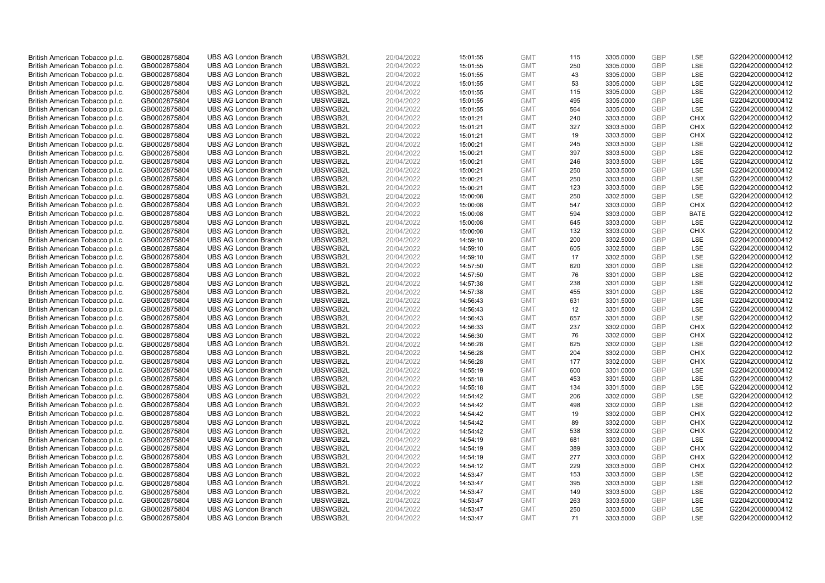| British American Tobacco p.l.c. | GB0002875804 | <b>UBS AG London Branch</b> | UBSWGB2L | 20/04/2022 | 15:01:55 | <b>GMT</b> | 115 | 3305.0000 | <b>GBP</b>               | LSE         | G220420000000412 |
|---------------------------------|--------------|-----------------------------|----------|------------|----------|------------|-----|-----------|--------------------------|-------------|------------------|
| British American Tobacco p.l.c. | GB0002875804 | <b>UBS AG London Branch</b> | UBSWGB2L | 20/04/2022 | 15:01:55 | <b>GMT</b> | 250 | 3305.0000 | <b>GBP</b>               | LSE         | G220420000000412 |
| British American Tobacco p.l.c. | GB0002875804 | <b>UBS AG London Branch</b> | UBSWGB2L | 20/04/2022 | 15:01:55 | <b>GMT</b> | 43  | 3305.0000 | <b>GBP</b>               | LSE         | G220420000000412 |
| British American Tobacco p.l.c. | GB0002875804 | <b>UBS AG London Branch</b> | UBSWGB2L | 20/04/2022 | 15:01:55 | <b>GMT</b> | 53  | 3305.0000 | <b>GBP</b>               | LSE         | G220420000000412 |
| British American Tobacco p.l.c. | GB0002875804 | <b>UBS AG London Branch</b> | UBSWGB2L | 20/04/2022 | 15:01:55 | <b>GMT</b> | 115 | 3305.0000 | <b>GBP</b>               | LSE         | G220420000000412 |
|                                 |              | <b>UBS AG London Branch</b> | UBSWGB2L |            |          |            |     |           |                          | LSE         |                  |
| British American Tobacco p.l.c. | GB0002875804 |                             |          | 20/04/2022 | 15:01:55 | <b>GMT</b> | 495 | 3305.0000 | <b>GBP</b><br><b>GBP</b> |             | G220420000000412 |
| British American Tobacco p.l.c. | GB0002875804 | <b>UBS AG London Branch</b> | UBSWGB2L | 20/04/2022 | 15:01:55 | <b>GMT</b> | 564 | 3305.0000 |                          | LSE         | G220420000000412 |
| British American Tobacco p.l.c. | GB0002875804 | <b>UBS AG London Branch</b> | UBSWGB2L | 20/04/2022 | 15:01:21 | <b>GMT</b> | 240 | 3303.5000 | <b>GBP</b>               | <b>CHIX</b> | G220420000000412 |
| British American Tobacco p.l.c. | GB0002875804 | <b>UBS AG London Branch</b> | UBSWGB2L | 20/04/2022 | 15:01:21 | <b>GMT</b> | 327 | 3303.5000 | <b>GBP</b>               | <b>CHIX</b> | G220420000000412 |
| British American Tobacco p.l.c. | GB0002875804 | <b>UBS AG London Branch</b> | UBSWGB2L | 20/04/2022 | 15:01:21 | <b>GMT</b> | 19  | 3303.5000 | <b>GBP</b>               | <b>CHIX</b> | G220420000000412 |
| British American Tobacco p.l.c. | GB0002875804 | <b>UBS AG London Branch</b> | UBSWGB2L | 20/04/2022 | 15:00:21 | <b>GMT</b> | 245 | 3303.5000 | <b>GBP</b>               | LSE         | G220420000000412 |
| British American Tobacco p.l.c. | GB0002875804 | <b>UBS AG London Branch</b> | UBSWGB2L | 20/04/2022 | 15:00:21 | <b>GMT</b> | 397 | 3303.5000 | <b>GBP</b>               | LSE         | G220420000000412 |
| British American Tobacco p.l.c. | GB0002875804 | <b>UBS AG London Branch</b> | UBSWGB2L | 20/04/2022 | 15:00:21 | <b>GMT</b> | 246 | 3303.5000 | <b>GBP</b>               | LSE         | G220420000000412 |
| British American Tobacco p.l.c. | GB0002875804 | <b>UBS AG London Branch</b> | UBSWGB2L | 20/04/2022 | 15:00:21 | <b>GMT</b> | 250 | 3303.5000 | <b>GBP</b>               | LSE         | G220420000000412 |
| British American Tobacco p.l.c. | GB0002875804 | <b>UBS AG London Branch</b> | UBSWGB2L | 20/04/2022 | 15:00:21 | <b>GMT</b> | 250 | 3303.5000 | <b>GBP</b>               | LSE         | G220420000000412 |
| British American Tobacco p.l.c. | GB0002875804 | <b>UBS AG London Branch</b> | UBSWGB2L | 20/04/2022 | 15:00:21 | <b>GMT</b> | 123 | 3303.5000 | <b>GBP</b>               | LSE         | G220420000000412 |
| British American Tobacco p.l.c. | GB0002875804 | <b>UBS AG London Branch</b> | UBSWGB2L | 20/04/2022 | 15:00:08 | <b>GMT</b> | 250 | 3302.5000 | <b>GBP</b>               | LSE         | G220420000000412 |
| British American Tobacco p.l.c. | GB0002875804 | <b>UBS AG London Branch</b> | UBSWGB2L | 20/04/2022 | 15:00:08 | <b>GMT</b> | 547 | 3303.0000 | <b>GBP</b>               | <b>CHIX</b> | G220420000000412 |
| British American Tobacco p.l.c. | GB0002875804 | <b>UBS AG London Branch</b> | UBSWGB2L | 20/04/2022 | 15:00:08 | <b>GMT</b> | 594 | 3303.0000 | <b>GBP</b>               | <b>BATE</b> | G220420000000412 |
| British American Tobacco p.l.c. | GB0002875804 | <b>UBS AG London Branch</b> | UBSWGB2L | 20/04/2022 | 15:00:08 | <b>GMT</b> | 645 | 3303.0000 | <b>GBP</b>               | LSE         | G220420000000412 |
| British American Tobacco p.l.c. | GB0002875804 | <b>UBS AG London Branch</b> | UBSWGB2L | 20/04/2022 | 15:00:08 | <b>GMT</b> | 132 | 3303.0000 | <b>GBP</b>               | <b>CHIX</b> | G220420000000412 |
| British American Tobacco p.l.c. | GB0002875804 | <b>UBS AG London Branch</b> | UBSWGB2L | 20/04/2022 | 14:59:10 | <b>GMT</b> | 200 | 3302.5000 | <b>GBP</b>               | LSE         | G220420000000412 |
| British American Tobacco p.l.c. | GB0002875804 | <b>UBS AG London Branch</b> | UBSWGB2L | 20/04/2022 | 14:59:10 | <b>GMT</b> | 605 | 3302.5000 | <b>GBP</b>               | LSE         | G220420000000412 |
| British American Tobacco p.l.c. | GB0002875804 | <b>UBS AG London Branch</b> | UBSWGB2L | 20/04/2022 | 14:59:10 | <b>GMT</b> | 17  | 3302.5000 | <b>GBP</b>               | LSE         | G220420000000412 |
| British American Tobacco p.l.c. | GB0002875804 | <b>UBS AG London Branch</b> | UBSWGB2L | 20/04/2022 | 14:57:50 | <b>GMT</b> | 620 | 3301.0000 | <b>GBP</b>               | LSE         | G220420000000412 |
| British American Tobacco p.l.c. | GB0002875804 | <b>UBS AG London Branch</b> | UBSWGB2L | 20/04/2022 | 14:57:50 | <b>GMT</b> | 76  | 3301.0000 | <b>GBP</b>               | LSE         | G220420000000412 |
| British American Tobacco p.l.c. | GB0002875804 | <b>UBS AG London Branch</b> | UBSWGB2L | 20/04/2022 | 14:57:38 | <b>GMT</b> | 238 | 3301.0000 | <b>GBP</b>               | LSE         | G220420000000412 |
| British American Tobacco p.l.c. | GB0002875804 | <b>UBS AG London Branch</b> | UBSWGB2L | 20/04/2022 | 14:57:38 | <b>GMT</b> | 455 | 3301.0000 | <b>GBP</b>               | LSE         | G220420000000412 |
| British American Tobacco p.l.c. | GB0002875804 | <b>UBS AG London Branch</b> | UBSWGB2L | 20/04/2022 | 14:56:43 | <b>GMT</b> | 631 | 3301.5000 | <b>GBP</b>               | LSE         | G220420000000412 |
| British American Tobacco p.l.c. | GB0002875804 | <b>UBS AG London Branch</b> | UBSWGB2L | 20/04/2022 | 14:56:43 | <b>GMT</b> | 12  | 3301.5000 | <b>GBP</b>               | LSE         | G220420000000412 |
| British American Tobacco p.l.c. | GB0002875804 | <b>UBS AG London Branch</b> | UBSWGB2L | 20/04/2022 | 14:56:43 | <b>GMT</b> | 657 | 3301.5000 | GBP                      | LSE         | G220420000000412 |
| British American Tobacco p.l.c. | GB0002875804 | <b>UBS AG London Branch</b> | UBSWGB2L | 20/04/2022 | 14:56:33 | <b>GMT</b> | 237 | 3302.0000 | <b>GBP</b>               | <b>CHIX</b> | G220420000000412 |
| British American Tobacco p.l.c. | GB0002875804 | <b>UBS AG London Branch</b> | UBSWGB2L | 20/04/2022 | 14:56:30 | <b>GMT</b> | 76  | 3302.0000 | <b>GBP</b>               | <b>CHIX</b> | G220420000000412 |
| British American Tobacco p.l.c. | GB0002875804 | <b>UBS AG London Branch</b> | UBSWGB2L | 20/04/2022 | 14:56:28 | <b>GMT</b> | 625 | 3302.0000 | <b>GBP</b>               | LSE         | G220420000000412 |
| British American Tobacco p.l.c. | GB0002875804 | <b>UBS AG London Branch</b> | UBSWGB2L | 20/04/2022 | 14:56:28 | <b>GMT</b> | 204 | 3302.0000 | <b>GBP</b>               | <b>CHIX</b> | G220420000000412 |
| British American Tobacco p.l.c. | GB0002875804 | <b>UBS AG London Branch</b> | UBSWGB2L | 20/04/2022 | 14:56:28 | <b>GMT</b> | 177 | 3302.0000 | <b>GBP</b>               | <b>CHIX</b> | G220420000000412 |
| British American Tobacco p.l.c. | GB0002875804 | <b>UBS AG London Branch</b> | UBSWGB2L | 20/04/2022 | 14:55:19 | <b>GMT</b> | 600 | 3301.0000 | <b>GBP</b>               | LSE         | G220420000000412 |
| British American Tobacco p.l.c. | GB0002875804 | <b>UBS AG London Branch</b> | UBSWGB2L | 20/04/2022 | 14:55:18 | <b>GMT</b> | 453 | 3301.5000 | <b>GBP</b>               | LSE         | G220420000000412 |
| British American Tobacco p.l.c. | GB0002875804 | <b>UBS AG London Branch</b> | UBSWGB2L | 20/04/2022 | 14:55:18 | <b>GMT</b> | 134 | 3301.5000 | <b>GBP</b>               | LSE         | G220420000000412 |
| British American Tobacco p.l.c. | GB0002875804 | <b>UBS AG London Branch</b> | UBSWGB2L | 20/04/2022 | 14:54:42 | <b>GMT</b> | 206 | 3302.0000 | <b>GBP</b>               | LSE         | G220420000000412 |
| British American Tobacco p.l.c. | GB0002875804 | <b>UBS AG London Branch</b> | UBSWGB2L | 20/04/2022 | 14:54:42 | <b>GMT</b> | 498 | 3302.0000 | <b>GBP</b>               | LSE         | G220420000000412 |
| British American Tobacco p.l.c. | GB0002875804 | <b>UBS AG London Branch</b> | UBSWGB2L | 20/04/2022 | 14:54:42 | <b>GMT</b> | 19  | 3302.0000 | <b>GBP</b>               | <b>CHIX</b> | G220420000000412 |
| British American Tobacco p.l.c. | GB0002875804 | <b>UBS AG London Branch</b> | UBSWGB2L | 20/04/2022 | 14:54:42 | <b>GMT</b> | 89  | 3302.0000 | <b>GBP</b>               | <b>CHIX</b> | G220420000000412 |
| British American Tobacco p.l.c. | GB0002875804 | <b>UBS AG London Branch</b> | UBSWGB2L | 20/04/2022 | 14:54:42 | <b>GMT</b> | 538 | 3302.0000 | GBP                      | <b>CHIX</b> | G220420000000412 |
| British American Tobacco p.l.c. | GB0002875804 | <b>UBS AG London Branch</b> | UBSWGB2L | 20/04/2022 | 14:54:19 | <b>GMT</b> | 681 | 3303.0000 | <b>GBP</b>               | LSE         | G220420000000412 |
| British American Tobacco p.l.c. | GB0002875804 | <b>UBS AG London Branch</b> | UBSWGB2L | 20/04/2022 | 14:54:19 | <b>GMT</b> | 389 | 3303.0000 | <b>GBP</b>               | <b>CHIX</b> | G220420000000412 |
| British American Tobacco p.l.c. | GB0002875804 | <b>UBS AG London Branch</b> | UBSWGB2L | 20/04/2022 | 14:54:19 | <b>GMT</b> | 277 | 3303.0000 | <b>GBP</b>               | <b>CHIX</b> | G220420000000412 |
| British American Tobacco p.l.c. | GB0002875804 | <b>UBS AG London Branch</b> | UBSWGB2L | 20/04/2022 | 14:54:12 | <b>GMT</b> | 229 | 3303.5000 | <b>GBP</b>               | <b>CHIX</b> | G220420000000412 |
| British American Tobacco p.l.c. | GB0002875804 | <b>UBS AG London Branch</b> | UBSWGB2L | 20/04/2022 | 14:53:47 | <b>GMT</b> | 153 | 3303.5000 | <b>GBP</b>               | LSE         | G220420000000412 |
| British American Tobacco p.l.c. | GB0002875804 | <b>UBS AG London Branch</b> | UBSWGB2L | 20/04/2022 | 14:53:47 | <b>GMT</b> | 395 | 3303.5000 | <b>GBP</b>               | LSE         | G220420000000412 |
| British American Tobacco p.l.c. | GB0002875804 | <b>UBS AG London Branch</b> | UBSWGB2L | 20/04/2022 | 14:53:47 | <b>GMT</b> | 149 | 3303.5000 | <b>GBP</b>               | LSE         | G220420000000412 |
| British American Tobacco p.l.c. | GB0002875804 | <b>UBS AG London Branch</b> | UBSWGB2L | 20/04/2022 | 14:53:47 | <b>GMT</b> | 263 | 3303.5000 | <b>GBP</b>               | LSE         | G220420000000412 |
| British American Tobacco p.l.c. | GB0002875804 | <b>UBS AG London Branch</b> | UBSWGB2L | 20/04/2022 | 14:53:47 | <b>GMT</b> | 250 | 3303.5000 | <b>GBP</b>               | LSE         | G220420000000412 |
| British American Tobacco p.l.c. | GB0002875804 | <b>UBS AG London Branch</b> | UBSWGB2L | 20/04/2022 | 14:53:47 | <b>GMT</b> | 71  | 3303.5000 | GBP                      | LSE         | G220420000000412 |
|                                 |              |                             |          |            |          |            |     |           |                          |             |                  |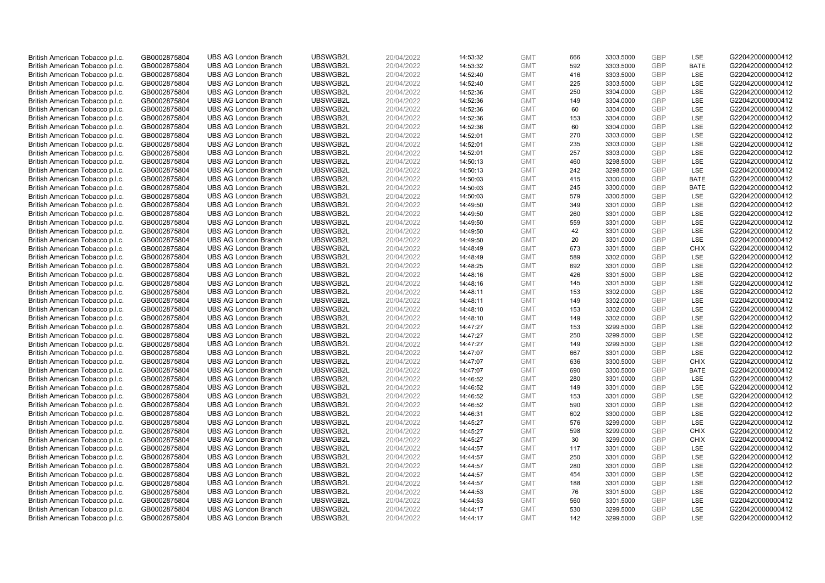| British American Tobacco p.l.c.                                    | GB0002875804                 | <b>UBS AG London Branch</b>                                | UBSWGB2L             | 20/04/2022               | 14:53:32             | <b>GMT</b>               | 666        | 3303.5000              | <b>GBP</b>               | LSE         | G220420000000412                     |
|--------------------------------------------------------------------|------------------------------|------------------------------------------------------------|----------------------|--------------------------|----------------------|--------------------------|------------|------------------------|--------------------------|-------------|--------------------------------------|
| British American Tobacco p.l.c.                                    | GB0002875804                 | <b>UBS AG London Branch</b>                                | UBSWGB2L             | 20/04/2022               | 14:53:32             | <b>GMT</b>               | 592        | 3303.5000              | <b>GBP</b>               | <b>BATE</b> | G220420000000412                     |
| British American Tobacco p.l.c.                                    | GB0002875804                 | <b>UBS AG London Branch</b>                                | UBSWGB2L             | 20/04/2022               | 14:52:40             | <b>GMT</b>               | 416        | 3303.5000              | <b>GBP</b>               | LSE         | G220420000000412                     |
| British American Tobacco p.l.c.                                    | GB0002875804                 | <b>UBS AG London Branch</b>                                | UBSWGB2L             | 20/04/2022               | 14:52:40             | <b>GMT</b>               | 225        | 3303.5000              | <b>GBP</b>               | LSE         | G220420000000412                     |
| British American Tobacco p.l.c.                                    | GB0002875804                 | <b>UBS AG London Branch</b>                                | UBSWGB2L             | 20/04/2022               | 14:52:36             | <b>GMT</b>               | 250        | 3304.0000              | <b>GBP</b>               | LSE         | G220420000000412                     |
| British American Tobacco p.l.c.                                    | GB0002875804                 | <b>UBS AG London Branch</b>                                | UBSWGB2L             | 20/04/2022               | 14:52:36             | <b>GMT</b>               | 149        | 3304.0000              | GBP                      | LSE         | G220420000000412                     |
| British American Tobacco p.l.c.                                    | GB0002875804                 | <b>UBS AG London Branch</b>                                | UBSWGB2L             | 20/04/2022               | 14:52:36             | <b>GMT</b>               | 60         | 3304.0000              | <b>GBP</b>               | LSE         | G220420000000412                     |
| British American Tobacco p.l.c.                                    | GB0002875804                 | <b>UBS AG London Branch</b>                                | UBSWGB2L             | 20/04/2022               | 14:52:36             | <b>GMT</b>               | 153        | 3304.0000              | <b>GBP</b>               | LSE         | G220420000000412                     |
| British American Tobacco p.l.c.                                    | GB0002875804                 | <b>UBS AG London Branch</b>                                | UBSWGB2L             | 20/04/2022               | 14:52:36             | <b>GMT</b>               | 60         | 3304.0000              | <b>GBP</b>               | LSE         | G220420000000412                     |
| British American Tobacco p.l.c.                                    | GB0002875804                 | <b>UBS AG London Branch</b>                                | UBSWGB2L             | 20/04/2022               | 14:52:01             | <b>GMT</b>               | 270        | 3303.0000              | <b>GBP</b>               | <b>LSE</b>  | G220420000000412                     |
| British American Tobacco p.l.c.                                    | GB0002875804                 | <b>UBS AG London Branch</b>                                | UBSWGB2L             | 20/04/2022               | 14:52:01             | <b>GMT</b>               | 235        | 3303.0000              | <b>GBP</b>               | LSE         | G220420000000412                     |
| British American Tobacco p.l.c.                                    | GB0002875804                 | <b>UBS AG London Branch</b>                                | UBSWGB2L             | 20/04/2022               | 14:52:01             | <b>GMT</b>               | 257        | 3303.0000              | <b>GBP</b>               | LSE         | G220420000000412                     |
| British American Tobacco p.l.c.                                    | GB0002875804                 | <b>UBS AG London Branch</b>                                | UBSWGB2L             | 20/04/2022               | 14:50:13             | <b>GMT</b>               | 460        | 3298.5000              | <b>GBP</b>               | LSE         | G220420000000412                     |
| British American Tobacco p.l.c.                                    | GB0002875804                 | <b>UBS AG London Branch</b>                                | UBSWGB2L             | 20/04/2022               | 14:50:13             | <b>GMT</b>               | 242        | 3298.5000              | <b>GBP</b>               | LSE         | G220420000000412                     |
| British American Tobacco p.l.c.                                    | GB0002875804                 | <b>UBS AG London Branch</b>                                | UBSWGB2L             | 20/04/2022               | 14:50:03             | <b>GMT</b>               | 415        | 3300.0000              | <b>GBP</b>               | <b>BATE</b> | G220420000000412                     |
| British American Tobacco p.l.c.                                    | GB0002875804                 | <b>UBS AG London Branch</b>                                | UBSWGB2L             | 20/04/2022               | 14:50:03             | <b>GMT</b>               | 245        | 3300.0000              | <b>GBP</b>               | <b>BATE</b> | G220420000000412                     |
| British American Tobacco p.l.c.                                    | GB0002875804                 | <b>UBS AG London Branch</b>                                | UBSWGB2L             | 20/04/2022               | 14:50:03             | <b>GMT</b>               | 579        | 3300.5000              | <b>GBP</b>               | LSE         | G220420000000412                     |
| British American Tobacco p.l.c.                                    | GB0002875804                 | <b>UBS AG London Branch</b>                                | UBSWGB2L             | 20/04/2022               | 14:49:50             | <b>GMT</b>               | 349        | 3301.0000              | <b>GBP</b>               | LSE         | G220420000000412                     |
| British American Tobacco p.l.c.                                    | GB0002875804                 | <b>UBS AG London Branch</b>                                | UBSWGB2L             | 20/04/2022               | 14:49:50             | <b>GMT</b>               | 260        | 3301.0000              | <b>GBP</b>               | LSE         | G220420000000412                     |
| British American Tobacco p.l.c.                                    | GB0002875804                 | <b>UBS AG London Branch</b>                                | UBSWGB2L             | 20/04/2022               | 14:49:50             | <b>GMT</b>               | 559        | 3301.0000              | <b>GBP</b>               | LSE         | G220420000000412                     |
| British American Tobacco p.l.c.                                    | GB0002875804                 | <b>UBS AG London Branch</b>                                | UBSWGB2L             | 20/04/2022               | 14:49:50             | <b>GMT</b>               | 42         | 3301.0000              | <b>GBP</b>               | LSE         | G220420000000412                     |
| British American Tobacco p.l.c.                                    | GB0002875804                 | <b>UBS AG London Branch</b>                                | UBSWGB2L             | 20/04/2022               | 14:49:50             | <b>GMT</b>               | 20         | 3301.0000              | <b>GBP</b>               | LSE         | G220420000000412                     |
| British American Tobacco p.l.c.                                    | GB0002875804                 | <b>UBS AG London Branch</b>                                | UBSWGB2L             | 20/04/2022               | 14:48:49             | <b>GMT</b>               | 673        | 3301.5000              | <b>GBP</b>               | <b>CHIX</b> | G220420000000412                     |
| British American Tobacco p.l.c.                                    | GB0002875804                 | <b>UBS AG London Branch</b>                                | UBSWGB2L             | 20/04/2022               | 14:48:49             | <b>GMT</b>               | 589        | 3302.0000              | <b>GBP</b>               | LSE         | G220420000000412                     |
| British American Tobacco p.l.c.                                    | GB0002875804                 | <b>UBS AG London Branch</b>                                | UBSWGB2L             | 20/04/2022               | 14:48:25             | <b>GMT</b>               | 692        | 3301.0000              | <b>GBP</b>               | LSE         | G220420000000412                     |
| British American Tobacco p.l.c.                                    | GB0002875804                 | <b>UBS AG London Branch</b>                                | UBSWGB2L             | 20/04/2022               | 14:48:16             | <b>GMT</b>               | 426        | 3301.5000              | <b>GBP</b>               | LSE         | G220420000000412                     |
| British American Tobacco p.l.c.                                    | GB0002875804                 | <b>UBS AG London Branch</b>                                | UBSWGB2L             | 20/04/2022               | 14:48:16             | <b>GMT</b>               | 145        | 3301.5000              | <b>GBP</b>               | LSE         | G220420000000412                     |
| British American Tobacco p.l.c.                                    | GB0002875804                 | <b>UBS AG London Branch</b>                                | UBSWGB2L             | 20/04/2022               | 14:48:11             | <b>GMT</b>               | 153        | 3302.0000              | <b>GBP</b>               | LSE         | G220420000000412                     |
| British American Tobacco p.l.c.                                    | GB0002875804                 | <b>UBS AG London Branch</b>                                | UBSWGB2L             | 20/04/2022               | 14:48:11             | <b>GMT</b>               | 149        | 3302.0000              | <b>GBP</b>               | LSE         | G220420000000412                     |
| British American Tobacco p.l.c.                                    | GB0002875804                 | <b>UBS AG London Branch</b>                                | UBSWGB2L             | 20/04/2022               | 14:48:10             | <b>GMT</b>               | 153        | 3302.0000              | <b>GBP</b>               | LSE         | G220420000000412                     |
| British American Tobacco p.l.c.                                    | GB0002875804                 | <b>UBS AG London Branch</b>                                | UBSWGB2L             | 20/04/2022               | 14:48:10             | <b>GMT</b>               | 149        | 3302.0000              | <b>GBP</b>               | LSE         | G220420000000412                     |
| British American Tobacco p.l.c.                                    | GB0002875804                 | <b>UBS AG London Branch</b>                                | UBSWGB2L             | 20/04/2022               | 14:47:27             | <b>GMT</b>               | 153        | 3299.5000              | <b>GBP</b>               | LSE         | G220420000000412                     |
| British American Tobacco p.l.c.                                    | GB0002875804                 | <b>UBS AG London Branch</b>                                | UBSWGB2L             | 20/04/2022               | 14:47:27             | <b>GMT</b>               | 250        | 3299.5000              | <b>GBP</b>               | LSE         | G220420000000412                     |
| British American Tobacco p.l.c.                                    | GB0002875804                 | <b>UBS AG London Branch</b>                                | UBSWGB2L             | 20/04/2022               | 14:47:27             | <b>GMT</b>               | 149        | 3299.5000              | <b>GBP</b>               | LSE         | G220420000000412                     |
| British American Tobacco p.l.c.                                    | GB0002875804                 | <b>UBS AG London Branch</b>                                | UBSWGB2L             | 20/04/2022               | 14:47:07             | <b>GMT</b>               | 667        | 3301.0000              | <b>GBP</b>               | LSE         | G220420000000412                     |
| British American Tobacco p.l.c.                                    | GB0002875804                 | <b>UBS AG London Branch</b>                                | UBSWGB2L             | 20/04/2022               | 14:47:07             | <b>GMT</b>               | 636        | 3300.5000              | <b>GBP</b>               | <b>CHIX</b> | G220420000000412                     |
| British American Tobacco p.l.c.                                    | GB0002875804                 | <b>UBS AG London Branch</b>                                | UBSWGB2L             | 20/04/2022               | 14:47:07             | <b>GMT</b>               | 690        | 3300.5000              | <b>GBP</b>               | <b>BATE</b> | G220420000000412                     |
| British American Tobacco p.l.c.                                    | GB0002875804                 | <b>UBS AG London Branch</b>                                | UBSWGB2L             | 20/04/2022               | 14:46:52             | <b>GMT</b>               | 280        | 3301.0000              | <b>GBP</b>               | LSE         | G220420000000412                     |
| British American Tobacco p.l.c.                                    | GB0002875804                 | <b>UBS AG London Branch</b>                                | UBSWGB2L             | 20/04/2022               | 14:46:52             | <b>GMT</b>               | 149        | 3301.0000              | <b>GBP</b>               | LSE         | G220420000000412                     |
| British American Tobacco p.l.c.                                    | GB0002875804                 | <b>UBS AG London Branch</b>                                | UBSWGB2L             | 20/04/2022               | 14:46:52             | <b>GMT</b>               | 153<br>590 | 3301.0000              | <b>GBP</b><br><b>GBP</b> | LSE<br>LSE  | G220420000000412                     |
| British American Tobacco p.l.c.                                    | GB0002875804                 | <b>UBS AG London Branch</b><br><b>UBS AG London Branch</b> | UBSWGB2L<br>UBSWGB2L | 20/04/2022               | 14:46:52             | <b>GMT</b>               |            | 3301.0000              |                          | LSE         | G220420000000412<br>G220420000000412 |
| British American Tobacco p.l.c.                                    | GB0002875804                 | <b>UBS AG London Branch</b>                                | UBSWGB2L             | 20/04/2022               | 14:46:31             | <b>GMT</b><br><b>GMT</b> | 602        | 3300.0000              | <b>GBP</b><br><b>GBP</b> | LSE         |                                      |
| British American Tobacco p.l.c.<br>British American Tobacco p.l.c. | GB0002875804<br>GB0002875804 | <b>UBS AG London Branch</b>                                | UBSWGB2L             | 20/04/2022<br>20/04/2022 | 14:45:27<br>14:45:27 | <b>GMT</b>               | 576<br>598 | 3299.0000<br>3299.0000 | <b>GBP</b>               | <b>CHIX</b> | G220420000000412<br>G220420000000412 |
| British American Tobacco p.l.c.                                    | GB0002875804                 | <b>UBS AG London Branch</b>                                | UBSWGB2L             | 20/04/2022               | 14:45:27             | <b>GMT</b>               | 30         | 3299.0000              | <b>GBP</b>               | <b>CHIX</b> | G220420000000412                     |
| British American Tobacco p.l.c.                                    | GB0002875804                 | <b>UBS AG London Branch</b>                                | UBSWGB2L             | 20/04/2022               | 14:44:57             | <b>GMT</b>               | 117        | 3301.0000              | <b>GBP</b>               | LSE         | G220420000000412                     |
| British American Tobacco p.l.c.                                    | GB0002875804                 | <b>UBS AG London Branch</b>                                | UBSWGB2L             | 20/04/2022               | 14:44:57             | <b>GMT</b>               | 250        | 3301.0000              | <b>GBP</b>               | LSE         | G220420000000412                     |
| British American Tobacco p.l.c.                                    | GB0002875804                 | <b>UBS AG London Branch</b>                                | UBSWGB2L             | 20/04/2022               | 14:44:57             | <b>GMT</b>               | 280        | 3301.0000              | <b>GBP</b>               | LSE         | G220420000000412                     |
| British American Tobacco p.l.c.                                    | GB0002875804                 | <b>UBS AG London Branch</b>                                | UBSWGB2L             | 20/04/2022               | 14:44:57             | <b>GMT</b>               | 454        | 3301.0000              | <b>GBP</b>               | LSE         | G220420000000412                     |
| British American Tobacco p.l.c.                                    | GB0002875804                 | <b>UBS AG London Branch</b>                                | UBSWGB2L             | 20/04/2022               | 14:44:57             | <b>GMT</b>               | 188        | 3301.0000              | <b>GBP</b>               | LSE         | G220420000000412                     |
| British American Tobacco p.l.c.                                    | GB0002875804                 | <b>UBS AG London Branch</b>                                | UBSWGB2L             | 20/04/2022               | 14:44:53             | <b>GMT</b>               | 76         | 3301.5000              | <b>GBP</b>               | LSE         | G220420000000412                     |
| British American Tobacco p.l.c.                                    | GB0002875804                 | <b>UBS AG London Branch</b>                                | UBSWGB2L             | 20/04/2022               | 14:44:53             | <b>GMT</b>               | 560        | 3301.5000              | <b>GBP</b>               | LSE         | G220420000000412                     |
| British American Tobacco p.l.c.                                    | GB0002875804                 | <b>UBS AG London Branch</b>                                | UBSWGB2L             | 20/04/2022               | 14:44:17             | <b>GMT</b>               | 530        | 3299.5000              | <b>GBP</b>               | LSE         | G220420000000412                     |
| British American Tobacco p.l.c.                                    | GB0002875804                 | <b>UBS AG London Branch</b>                                | UBSWGB2L             | 20/04/2022               | 14:44:17             | <b>GMT</b>               | 142        | 3299.5000              | GBP                      | LSE         | G220420000000412                     |
|                                                                    |                              |                                                            |                      |                          |                      |                          |            |                        |                          |             |                                      |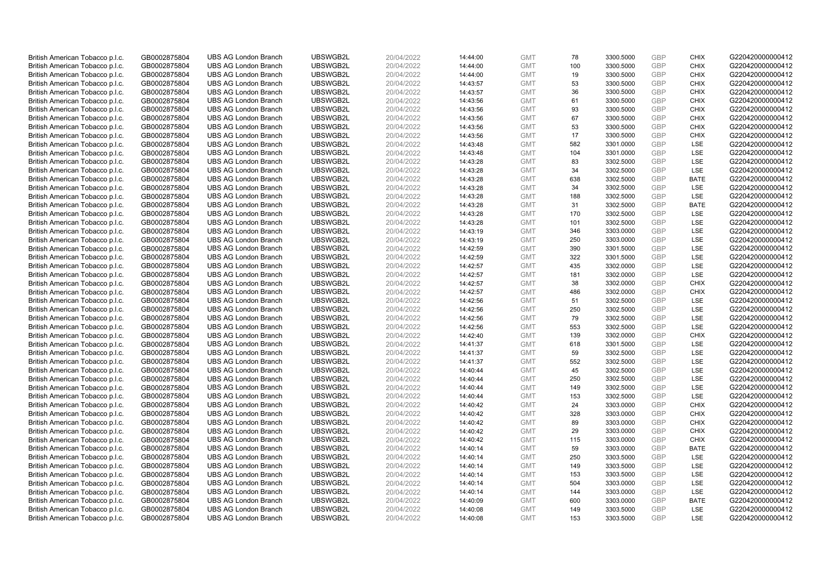| British American Tobacco p.l.c. | GB0002875804 | <b>UBS AG London Branch</b> | UBSWGB2L | 20/04/2022 | 14:44:00 | <b>GMT</b> | 78  | 3300.5000 | <b>GBP</b> | <b>CHIX</b> | G220420000000412 |
|---------------------------------|--------------|-----------------------------|----------|------------|----------|------------|-----|-----------|------------|-------------|------------------|
| British American Tobacco p.l.c. | GB0002875804 | <b>UBS AG London Branch</b> | UBSWGB2L | 20/04/2022 | 14:44:00 | <b>GMT</b> | 100 | 3300.5000 | <b>GBP</b> | <b>CHIX</b> | G220420000000412 |
| British American Tobacco p.l.c. | GB0002875804 | <b>UBS AG London Branch</b> | UBSWGB2L | 20/04/2022 | 14:44:00 | <b>GMT</b> | 19  | 3300.5000 | <b>GBP</b> | <b>CHIX</b> | G220420000000412 |
| British American Tobacco p.l.c. | GB0002875804 | <b>UBS AG London Branch</b> | UBSWGB2L | 20/04/2022 | 14:43:57 | <b>GMT</b> | 53  | 3300.5000 | <b>GBP</b> | <b>CHIX</b> | G220420000000412 |
| British American Tobacco p.l.c. | GB0002875804 | <b>UBS AG London Branch</b> | UBSWGB2L | 20/04/2022 | 14:43:57 | <b>GMT</b> | 36  | 3300.5000 | <b>GBP</b> | <b>CHIX</b> | G220420000000412 |
| British American Tobacco p.l.c. | GB0002875804 | <b>UBS AG London Branch</b> | UBSWGB2L | 20/04/2022 | 14:43:56 | <b>GMT</b> | 61  | 3300.5000 | <b>GBP</b> | <b>CHIX</b> | G220420000000412 |
| British American Tobacco p.l.c. | GB0002875804 | <b>UBS AG London Branch</b> | UBSWGB2L | 20/04/2022 | 14:43:56 | <b>GMT</b> | 93  | 3300.5000 | <b>GBP</b> | <b>CHIX</b> | G220420000000412 |
| British American Tobacco p.l.c. | GB0002875804 | <b>UBS AG London Branch</b> | UBSWGB2L | 20/04/2022 | 14:43:56 | <b>GMT</b> | 67  | 3300.5000 | GBP        | <b>CHIX</b> | G220420000000412 |
| British American Tobacco p.l.c. | GB0002875804 | <b>UBS AG London Branch</b> | UBSWGB2L | 20/04/2022 | 14:43:56 | <b>GMT</b> | 53  | 3300.5000 | GBP        | <b>CHIX</b> | G220420000000412 |
| British American Tobacco p.l.c. | GB0002875804 | <b>UBS AG London Branch</b> | UBSWGB2L | 20/04/2022 | 14:43:56 | <b>GMT</b> | 17  | 3300.5000 | GBP        | <b>CHIX</b> | G220420000000412 |
| British American Tobacco p.l.c. | GB0002875804 | <b>UBS AG London Branch</b> | UBSWGB2L | 20/04/2022 | 14:43:48 | <b>GMT</b> | 582 | 3301.0000 | <b>GBP</b> | LSE         | G220420000000412 |
| British American Tobacco p.l.c. | GB0002875804 | <b>UBS AG London Branch</b> | UBSWGB2L | 20/04/2022 | 14:43:48 | <b>GMT</b> | 104 | 3301.0000 | <b>GBP</b> | LSE         | G220420000000412 |
| British American Tobacco p.l.c. | GB0002875804 | <b>UBS AG London Branch</b> | UBSWGB2L | 20/04/2022 | 14:43:28 | <b>GMT</b> | 83  | 3302.5000 | GBP        | LSE         | G220420000000412 |
| British American Tobacco p.l.c. | GB0002875804 | <b>UBS AG London Branch</b> | UBSWGB2L | 20/04/2022 | 14:43:28 | <b>GMT</b> | 34  | 3302.5000 | <b>GBP</b> | LSE         | G220420000000412 |
| British American Tobacco p.l.c. | GB0002875804 | <b>UBS AG London Branch</b> | UBSWGB2L | 20/04/2022 | 14:43:28 | <b>GMT</b> | 638 | 3302.5000 | GBP        | <b>BATE</b> | G220420000000412 |
| British American Tobacco p.l.c. | GB0002875804 | <b>UBS AG London Branch</b> | UBSWGB2L | 20/04/2022 | 14:43:28 | <b>GMT</b> | 34  | 3302.5000 | <b>GBP</b> | LSE         | G220420000000412 |
| British American Tobacco p.l.c. | GB0002875804 | <b>UBS AG London Branch</b> | UBSWGB2L | 20/04/2022 | 14:43:28 | <b>GMT</b> | 188 | 3302.5000 | <b>GBP</b> | LSE         | G220420000000412 |
| British American Tobacco p.l.c. | GB0002875804 | <b>UBS AG London Branch</b> | UBSWGB2L | 20/04/2022 | 14:43:28 | <b>GMT</b> | 31  | 3302.5000 | <b>GBP</b> | <b>BATE</b> | G220420000000412 |
| British American Tobacco p.l.c. | GB0002875804 | <b>UBS AG London Branch</b> | UBSWGB2L | 20/04/2022 | 14:43:28 | <b>GMT</b> | 170 | 3302.5000 | GBP        | <b>LSE</b>  | G220420000000412 |
| British American Tobacco p.l.c. | GB0002875804 | <b>UBS AG London Branch</b> | UBSWGB2L | 20/04/2022 | 14:43:28 | <b>GMT</b> | 101 | 3302.5000 | <b>GBP</b> | LSE         | G220420000000412 |
| British American Tobacco p.l.c. | GB0002875804 | <b>UBS AG London Branch</b> | UBSWGB2L | 20/04/2022 | 14:43:19 | <b>GMT</b> | 346 | 3303.0000 | <b>GBP</b> | LSE         | G220420000000412 |
| British American Tobacco p.l.c. | GB0002875804 | <b>UBS AG London Branch</b> | UBSWGB2L | 20/04/2022 | 14:43:19 | <b>GMT</b> | 250 | 3303.0000 | GBP        | LSE         | G220420000000412 |
| British American Tobacco p.l.c. | GB0002875804 | <b>UBS AG London Branch</b> | UBSWGB2L | 20/04/2022 | 14:42:59 | <b>GMT</b> | 390 | 3301.5000 | <b>GBP</b> | LSE         | G220420000000412 |
| British American Tobacco p.l.c. | GB0002875804 | <b>UBS AG London Branch</b> | UBSWGB2L | 20/04/2022 | 14:42:59 | <b>GMT</b> | 322 | 3301.5000 | <b>GBP</b> | <b>LSE</b>  | G220420000000412 |
| British American Tobacco p.l.c. | GB0002875804 | <b>UBS AG London Branch</b> | UBSWGB2L | 20/04/2022 | 14:42:57 | <b>GMT</b> | 435 | 3302.0000 | <b>GBP</b> | LSE         | G220420000000412 |
| British American Tobacco p.l.c. | GB0002875804 | <b>UBS AG London Branch</b> | UBSWGB2L | 20/04/2022 | 14:42:57 | <b>GMT</b> | 181 | 3302.0000 | <b>GBP</b> | LSE         | G220420000000412 |
| British American Tobacco p.l.c. | GB0002875804 | <b>UBS AG London Branch</b> | UBSWGB2L | 20/04/2022 | 14:42:57 | <b>GMT</b> | 38  | 3302.0000 | <b>GBP</b> | <b>CHIX</b> | G220420000000412 |
| British American Tobacco p.l.c. | GB0002875804 | <b>UBS AG London Branch</b> | UBSWGB2L | 20/04/2022 | 14:42:57 | <b>GMT</b> | 486 | 3302.0000 | GBP        | <b>CHIX</b> | G220420000000412 |
| British American Tobacco p.l.c. | GB0002875804 | <b>UBS AG London Branch</b> | UBSWGB2L | 20/04/2022 | 14:42:56 | <b>GMT</b> | 51  | 3302.5000 | <b>GBP</b> | <b>LSE</b>  | G220420000000412 |
| British American Tobacco p.l.c. | GB0002875804 | <b>UBS AG London Branch</b> | UBSWGB2L | 20/04/2022 | 14:42:56 | <b>GMT</b> | 250 | 3302.5000 | GBP        | LSE         | G220420000000412 |
| British American Tobacco p.l.c. | GB0002875804 | <b>UBS AG London Branch</b> | UBSWGB2L | 20/04/2022 | 14:42:56 | <b>GMT</b> | 79  | 3302.5000 | GBP        | LSE         | G220420000000412 |
| British American Tobacco p.l.c. | GB0002875804 | <b>UBS AG London Branch</b> | UBSWGB2L | 20/04/2022 | 14:42:56 | <b>GMT</b> | 553 | 3302.5000 | <b>GBP</b> | LSE         | G220420000000412 |
| British American Tobacco p.l.c. | GB0002875804 | <b>UBS AG London Branch</b> | UBSWGB2L | 20/04/2022 | 14:42:40 | <b>GMT</b> | 139 | 3302.0000 | <b>GBP</b> | <b>CHIX</b> | G220420000000412 |
| British American Tobacco p.l.c. | GB0002875804 | <b>UBS AG London Branch</b> | UBSWGB2L | 20/04/2022 | 14:41:37 | <b>GMT</b> | 618 | 3301.5000 | <b>GBP</b> | <b>LSE</b>  | G220420000000412 |
| British American Tobacco p.l.c. | GB0002875804 | <b>UBS AG London Branch</b> | UBSWGB2L | 20/04/2022 | 14:41:37 | <b>GMT</b> | 59  | 3302.5000 | GBP        | LSE         | G220420000000412 |
| British American Tobacco p.l.c. | GB0002875804 | <b>UBS AG London Branch</b> | UBSWGB2L | 20/04/2022 | 14:41:37 | <b>GMT</b> | 552 | 3302.5000 | <b>GBP</b> | LSE         | G220420000000412 |
| British American Tobacco p.l.c. | GB0002875804 | <b>UBS AG London Branch</b> | UBSWGB2L | 20/04/2022 | 14:40:44 | <b>GMT</b> | 45  | 3302.5000 | <b>GBP</b> | LSE         | G220420000000412 |
| British American Tobacco p.l.c. | GB0002875804 | <b>UBS AG London Branch</b> | UBSWGB2L | 20/04/2022 | 14:40:44 | <b>GMT</b> | 250 | 3302.5000 | GBP        | LSE         | G220420000000412 |
| British American Tobacco p.l.c. | GB0002875804 | <b>UBS AG London Branch</b> | UBSWGB2L | 20/04/2022 | 14:40:44 | <b>GMT</b> | 149 | 3302.5000 | <b>GBP</b> | LSE         | G220420000000412 |
| British American Tobacco p.l.c. | GB0002875804 | <b>UBS AG London Branch</b> | UBSWGB2L | 20/04/2022 | 14:40:44 | <b>GMT</b> | 153 | 3302.5000 | <b>GBP</b> | LSE         | G220420000000412 |
| British American Tobacco p.l.c. | GB0002875804 | <b>UBS AG London Branch</b> | UBSWGB2L | 20/04/2022 | 14:40:42 | <b>GMT</b> | 24  | 3303.0000 | GBP        | <b>CHIX</b> | G220420000000412 |
| British American Tobacco p.l.c. | GB0002875804 | <b>UBS AG London Branch</b> | UBSWGB2L | 20/04/2022 | 14:40:42 | <b>GMT</b> | 328 | 3303.0000 | GBP        | <b>CHIX</b> | G220420000000412 |
| British American Tobacco p.l.c. | GB0002875804 | <b>UBS AG London Branch</b> | UBSWGB2L | 20/04/2022 | 14:40:42 | <b>GMT</b> | 89  | 3303.0000 | <b>GBP</b> | <b>CHIX</b> | G220420000000412 |
| British American Tobacco p.l.c. | GB0002875804 | <b>UBS AG London Branch</b> | UBSWGB2L | 20/04/2022 | 14:40:42 | <b>GMT</b> | 29  | 3303.0000 | GBP        | <b>CHIX</b> | G220420000000412 |
| British American Tobacco p.l.c. | GB0002875804 | <b>UBS AG London Branch</b> | UBSWGB2L | 20/04/2022 | 14:40:42 | <b>GMT</b> | 115 | 3303.0000 | <b>GBP</b> | <b>CHIX</b> | G220420000000412 |
| British American Tobacco p.l.c. | GB0002875804 | <b>UBS AG London Branch</b> | UBSWGB2L | 20/04/2022 | 14:40:14 | <b>GMT</b> | 59  | 3303.0000 | GBP        | <b>BATE</b> | G220420000000412 |
| British American Tobacco p.l.c. | GB0002875804 | <b>UBS AG London Branch</b> | UBSWGB2L | 20/04/2022 | 14:40:14 | <b>GMT</b> | 250 | 3303.5000 | <b>GBP</b> | LSE         | G220420000000412 |
| British American Tobacco p.l.c. | GB0002875804 | <b>UBS AG London Branch</b> | UBSWGB2L | 20/04/2022 | 14:40:14 | <b>GMT</b> | 149 | 3303.5000 | GBP        | LSE         | G220420000000412 |
| British American Tobacco p.l.c. | GB0002875804 | <b>UBS AG London Branch</b> | UBSWGB2L | 20/04/2022 | 14:40:14 | <b>GMT</b> | 153 | 3303.5000 | <b>GBP</b> | <b>LSE</b>  | G220420000000412 |
| British American Tobacco p.l.c. | GB0002875804 | <b>UBS AG London Branch</b> | UBSWGB2L | 20/04/2022 | 14:40:14 | <b>GMT</b> | 504 | 3303.0000 | GBP        | <b>LSE</b>  | G220420000000412 |
| British American Tobacco p.l.c. | GB0002875804 | <b>UBS AG London Branch</b> | UBSWGB2L | 20/04/2022 | 14:40:14 | <b>GMT</b> | 144 | 3303.0000 | <b>GBP</b> | LSE         | G220420000000412 |
| British American Tobacco p.l.c. | GB0002875804 | <b>UBS AG London Branch</b> | UBSWGB2L | 20/04/2022 | 14:40:09 | <b>GMT</b> | 600 | 3303.0000 | GBP        | <b>BATE</b> | G220420000000412 |
| British American Tobacco p.l.c. | GB0002875804 | <b>UBS AG London Branch</b> | UBSWGB2L | 20/04/2022 | 14:40:08 | <b>GMT</b> | 149 | 3303.5000 | <b>GBP</b> | LSE         | G220420000000412 |
| British American Tobacco p.l.c. | GB0002875804 | <b>UBS AG London Branch</b> | UBSWGB2L | 20/04/2022 | 14:40:08 | <b>GMT</b> | 153 | 3303.5000 | GBP        | <b>LSE</b>  | G220420000000412 |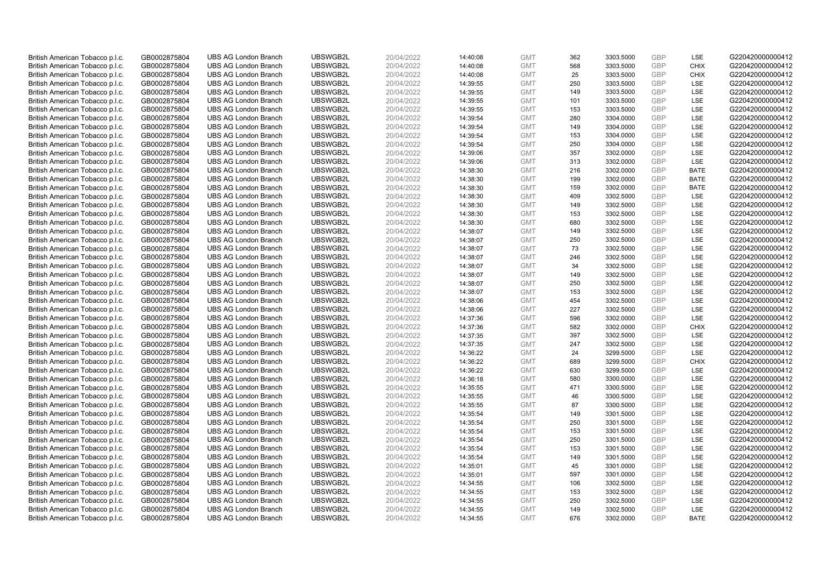| British American Tobacco p.l.c. | GB0002875804                 | <b>UBS AG London Branch</b> | UBSWGB2L | 20/04/2022               | 14:40:08 | <b>GMT</b> | 362 | 3303.5000 | <b>GBP</b> | LSE         | G220420000000412 |
|---------------------------------|------------------------------|-----------------------------|----------|--------------------------|----------|------------|-----|-----------|------------|-------------|------------------|
|                                 | GB0002875804                 | <b>UBS AG London Branch</b> | UBSWGB2L | 20/04/2022               |          | <b>GMT</b> | 568 | 3303.5000 | <b>GBP</b> | CHIX        | G220420000000412 |
| British American Tobacco p.l.c. |                              |                             |          |                          | 14:40:08 |            |     |           |            |             |                  |
| British American Tobacco p.l.c. | GB0002875804                 | <b>UBS AG London Branch</b> | UBSWGB2L | 20/04/2022               | 14:40:08 | <b>GMT</b> | 25  | 3303.5000 | <b>GBP</b> | <b>CHIX</b> | G220420000000412 |
| British American Tobacco p.l.c. | GB0002875804                 | <b>UBS AG London Branch</b> | UBSWGB2L | 20/04/2022               | 14:39:55 | <b>GMT</b> | 250 | 3303.5000 | GBP        | LSE         | G220420000000412 |
| British American Tobacco p.l.c. | GB0002875804                 | <b>UBS AG London Branch</b> | UBSWGB2L | 20/04/2022               | 14:39:55 | <b>GMT</b> | 149 | 3303.5000 | <b>GBP</b> | LSE         | G220420000000412 |
| British American Tobacco p.l.c. | GB0002875804                 | <b>UBS AG London Branch</b> | UBSWGB2L | 20/04/2022               | 14:39:55 | <b>GMT</b> | 101 | 3303.5000 | <b>GBP</b> | <b>LSE</b>  | G220420000000412 |
| British American Tobacco p.l.c. | GB0002875804                 | <b>UBS AG London Branch</b> | UBSWGB2L | 20/04/2022               | 14:39:55 | <b>GMT</b> | 153 | 3303.5000 | <b>GBP</b> | LSE         | G220420000000412 |
| British American Tobacco p.l.c. | GB0002875804                 | <b>UBS AG London Branch</b> | UBSWGB2L | 20/04/2022               | 14:39:54 | <b>GMT</b> | 280 | 3304.0000 | <b>GBP</b> | LSE         | G220420000000412 |
| British American Tobacco p.l.c. | GB0002875804                 | <b>UBS AG London Branch</b> | UBSWGB2L | 20/04/2022               | 14:39:54 | <b>GMT</b> | 149 | 3304.0000 | GBP        | LSE         | G220420000000412 |
| British American Tobacco p.l.c. | GB0002875804                 | <b>UBS AG London Branch</b> | UBSWGB2L | 20/04/2022               | 14:39:54 | <b>GMT</b> | 153 | 3304.0000 | <b>GBP</b> | LSE         | G220420000000412 |
| British American Tobacco p.l.c. | GB0002875804                 | <b>UBS AG London Branch</b> | UBSWGB2L | 20/04/2022               | 14:39:54 | <b>GMT</b> | 250 | 3304.0000 | <b>GBP</b> | <b>LSE</b>  | G220420000000412 |
| British American Tobacco p.l.c. | GB0002875804                 | <b>UBS AG London Branch</b> | UBSWGB2L | 20/04/2022               | 14:39:06 | <b>GMT</b> | 357 | 3302.0000 | <b>GBP</b> | LSE         | G220420000000412 |
| British American Tobacco p.l.c. | GB0002875804                 | <b>UBS AG London Branch</b> | UBSWGB2L | 20/04/2022               | 14:39:06 | <b>GMT</b> | 313 | 3302.0000 | <b>GBP</b> | LSE         | G220420000000412 |
| British American Tobacco p.l.c. | GB0002875804                 | <b>UBS AG London Branch</b> | UBSWGB2L | 20/04/2022               | 14:38:30 | <b>GMT</b> | 216 | 3302.0000 | <b>GBP</b> | <b>BATE</b> | G220420000000412 |
| British American Tobacco p.l.c. | GB0002875804                 | <b>UBS AG London Branch</b> | UBSWGB2L | 20/04/2022               | 14:38:30 | <b>GMT</b> | 199 | 3302.0000 | GBP        | <b>BATE</b> | G220420000000412 |
| British American Tobacco p.l.c. | GB0002875804                 | <b>UBS AG London Branch</b> | UBSWGB2L | 20/04/2022               | 14:38:30 | <b>GMT</b> | 159 | 3302.0000 | <b>GBP</b> | <b>BATE</b> | G220420000000412 |
| British American Tobacco p.l.c. | GB0002875804                 | <b>UBS AG London Branch</b> | UBSWGB2L | 20/04/2022               | 14:38:30 | <b>GMT</b> | 409 | 3302.5000 | GBP        | LSE         | G220420000000412 |
| British American Tobacco p.l.c. | GB0002875804                 | <b>UBS AG London Branch</b> | UBSWGB2L | 20/04/2022               | 14:38:30 | <b>GMT</b> | 149 | 3302.5000 | GBP        | LSE         | G220420000000412 |
|                                 |                              | <b>UBS AG London Branch</b> | UBSWGB2L |                          | 14:38:30 | <b>GMT</b> | 153 | 3302.5000 | <b>GBP</b> | <b>LSE</b>  | G220420000000412 |
| British American Tobacco p.l.c. | GB0002875804<br>GB0002875804 | <b>UBS AG London Branch</b> | UBSWGB2L | 20/04/2022<br>20/04/2022 | 14:38:30 | <b>GMT</b> |     |           | <b>GBP</b> | LSE         | G220420000000412 |
| British American Tobacco p.l.c. |                              |                             |          |                          |          |            | 680 | 3302.5000 |            |             |                  |
| British American Tobacco p.l.c. | GB0002875804                 | <b>UBS AG London Branch</b> | UBSWGB2L | 20/04/2022               | 14:38:07 | <b>GMT</b> | 149 | 3302.5000 | <b>GBP</b> | LSE         | G220420000000412 |
| British American Tobacco p.l.c. | GB0002875804                 | <b>UBS AG London Branch</b> | UBSWGB2L | 20/04/2022               | 14:38:07 | <b>GMT</b> | 250 | 3302.5000 | GBP        | LSE         | G220420000000412 |
| British American Tobacco p.l.c. | GB0002875804                 | <b>UBS AG London Branch</b> | UBSWGB2L | 20/04/2022               | 14:38:07 | <b>GMT</b> | 73  | 3302.5000 | <b>GBP</b> | LSE         | G220420000000412 |
| British American Tobacco p.l.c. | GB0002875804                 | <b>UBS AG London Branch</b> | UBSWGB2L | 20/04/2022               | 14:38:07 | <b>GMT</b> | 246 | 3302.5000 | <b>GBP</b> | <b>LSE</b>  | G220420000000412 |
| British American Tobacco p.l.c. | GB0002875804                 | <b>UBS AG London Branch</b> | UBSWGB2L | 20/04/2022               | 14:38:07 | <b>GMT</b> | 34  | 3302.5000 | <b>GBP</b> | LSE         | G220420000000412 |
| British American Tobacco p.l.c. | GB0002875804                 | <b>UBS AG London Branch</b> | UBSWGB2L | 20/04/2022               | 14:38:07 | <b>GMT</b> | 149 | 3302.5000 | GBP        | LSE         | G220420000000412 |
| British American Tobacco p.l.c. | GB0002875804                 | <b>UBS AG London Branch</b> | UBSWGB2L | 20/04/2022               | 14:38:07 | <b>GMT</b> | 250 | 3302.5000 | <b>GBP</b> | LSE         | G220420000000412 |
| British American Tobacco p.l.c. | GB0002875804                 | <b>UBS AG London Branch</b> | UBSWGB2L | 20/04/2022               | 14:38:07 | <b>GMT</b> | 153 | 3302.5000 | GBP        | LSE         | G220420000000412 |
| British American Tobacco p.l.c. | GB0002875804                 | <b>UBS AG London Branch</b> | UBSWGB2L | 20/04/2022               | 14:38:06 | <b>GMT</b> | 454 | 3302.5000 | <b>GBP</b> | LSE         | G220420000000412 |
| British American Tobacco p.l.c. | GB0002875804                 | <b>UBS AG London Branch</b> | UBSWGB2L | 20/04/2022               | 14:38:06 | <b>GMT</b> | 227 | 3302.5000 | GBP        | LSE         | G220420000000412 |
| British American Tobacco p.l.c. | GB0002875804                 | <b>UBS AG London Branch</b> | UBSWGB2L | 20/04/2022               | 14:37:36 | <b>GMT</b> | 596 | 3302.0000 | GBP        | LSE         | G220420000000412 |
| British American Tobacco p.l.c. | GB0002875804                 | <b>UBS AG London Branch</b> | UBSWGB2L | 20/04/2022               | 14:37:36 | <b>GMT</b> | 582 | 3302.0000 | <b>GBP</b> | CHIX        | G220420000000412 |
| British American Tobacco p.l.c. | GB0002875804                 | <b>UBS AG London Branch</b> | UBSWGB2L | 20/04/2022               | 14:37:35 | <b>GMT</b> | 397 | 3302.5000 | <b>GBP</b> | LSE         | G220420000000412 |
| British American Tobacco p.l.c. | GB0002875804                 | <b>UBS AG London Branch</b> | UBSWGB2L | 20/04/2022               | 14:37:35 | <b>GMT</b> | 247 | 3302.5000 | <b>GBP</b> | LSE         | G220420000000412 |
| British American Tobacco p.l.c. | GB0002875804                 | <b>UBS AG London Branch</b> | UBSWGB2L | 20/04/2022               | 14:36:22 | <b>GMT</b> | 24  | 3299.5000 | GBP        | LSE         | G220420000000412 |
| British American Tobacco p.l.c. | GB0002875804                 | <b>UBS AG London Branch</b> | UBSWGB2L | 20/04/2022               | 14:36:22 | <b>GMT</b> | 689 | 3299.5000 | <b>GBP</b> | <b>CHIX</b> | G220420000000412 |
| British American Tobacco p.l.c. | GB0002875804                 | <b>UBS AG London Branch</b> | UBSWGB2L | 20/04/2022               | 14:36:22 | <b>GMT</b> | 630 | 3299.5000 | <b>GBP</b> | <b>LSE</b>  | G220420000000412 |
| British American Tobacco p.l.c. | GB0002875804                 | <b>UBS AG London Branch</b> | UBSWGB2L | 20/04/2022               | 14:36:18 | <b>GMT</b> | 580 | 3300.0000 | <b>GBP</b> | LSE         | G220420000000412 |
| British American Tobacco p.l.c. | GB0002875804                 | <b>UBS AG London Branch</b> | UBSWGB2L | 20/04/2022               | 14:35:55 | <b>GMT</b> | 471 | 3300.5000 | GBP        | LSE         | G220420000000412 |
| British American Tobacco p.l.c. | GB0002875804                 | <b>UBS AG London Branch</b> | UBSWGB2L | 20/04/2022               | 14:35:55 | <b>GMT</b> | 46  | 3300.5000 | <b>GBP</b> | LSE         | G220420000000412 |
| British American Tobacco p.l.c. | GB0002875804                 | <b>UBS AG London Branch</b> | UBSWGB2L | 20/04/2022               | 14:35:55 | <b>GMT</b> | 87  | 3300.5000 | GBP        | LSE         | G220420000000412 |
| British American Tobacco p.l.c. | GB0002875804                 | <b>UBS AG London Branch</b> | UBSWGB2L | 20/04/2022               | 14:35:54 | <b>GMT</b> | 149 | 3301.5000 | <b>GBP</b> | LSE         | G220420000000412 |
| British American Tobacco p.l.c. | GB0002875804                 | <b>UBS AG London Branch</b> | UBSWGB2L | 20/04/2022               | 14:35:54 | <b>GMT</b> | 250 | 3301.5000 | GBP        | LSE         | G220420000000412 |
| British American Tobacco p.l.c. | GB0002875804                 | <b>UBS AG London Branch</b> | UBSWGB2L | 20/04/2022               |          | <b>GMT</b> | 153 | 3301.5000 | GBP        | LSE         | G220420000000412 |
|                                 |                              |                             | UBSWGB2L |                          | 14:35:54 |            | 250 |           | <b>GBP</b> | LSE         | G220420000000412 |
| British American Tobacco p.l.c. | GB0002875804                 | <b>UBS AG London Branch</b> |          | 20/04/2022               | 14:35:54 | <b>GMT</b> |     | 3301.5000 |            |             |                  |
| British American Tobacco p.l.c. | GB0002875804                 | <b>UBS AG London Branch</b> | UBSWGB2L | 20/04/2022               | 14:35:54 | <b>GMT</b> | 153 | 3301.5000 | <b>GBP</b> | LSE         | G220420000000412 |
| British American Tobacco p.l.c. | GB0002875804                 | <b>UBS AG London Branch</b> | UBSWGB2L | 20/04/2022               | 14:35:54 | <b>GMT</b> | 149 | 3301.5000 | <b>GBP</b> | LSE         | G220420000000412 |
| British American Tobacco p.l.c. | GB0002875804                 | <b>UBS AG London Branch</b> | UBSWGB2L | 20/04/2022               | 14:35:01 | <b>GMT</b> | 45  | 3301.0000 | GBP        | LSE         | G220420000000412 |
| British American Tobacco p.l.c. | GB0002875804                 | <b>UBS AG London Branch</b> | UBSWGB2L | 20/04/2022               | 14:35:01 | <b>GMT</b> | 597 | 3301.0000 | <b>GBP</b> | LSE         | G220420000000412 |
| British American Tobacco p.l.c. | GB0002875804                 | <b>UBS AG London Branch</b> | UBSWGB2L | 20/04/2022               | 14:34:55 | <b>GMT</b> | 106 | 3302.5000 | GBP        | <b>LSE</b>  | G220420000000412 |
| British American Tobacco p.l.c. | GB0002875804                 | <b>UBS AG London Branch</b> | UBSWGB2L | 20/04/2022               | 14:34:55 | <b>GMT</b> | 153 | 3302.5000 | <b>GBP</b> | LSE         | G220420000000412 |
| British American Tobacco p.l.c. | GB0002875804                 | <b>UBS AG London Branch</b> | UBSWGB2L | 20/04/2022               | 14:34:55 | <b>GMT</b> | 250 | 3302.5000 | <b>GBP</b> | LSE         | G220420000000412 |
| British American Tobacco p.l.c. | GB0002875804                 | <b>UBS AG London Branch</b> | UBSWGB2L | 20/04/2022               | 14:34:55 | <b>GMT</b> | 149 | 3302.5000 | <b>GBP</b> | LSE         | G220420000000412 |
| British American Tobacco p.l.c. | GB0002875804                 | <b>UBS AG London Branch</b> | UBSWGB2L | 20/04/2022               | 14:34:55 | <b>GMT</b> | 676 | 3302.0000 | GBP        | <b>BATE</b> | G220420000000412 |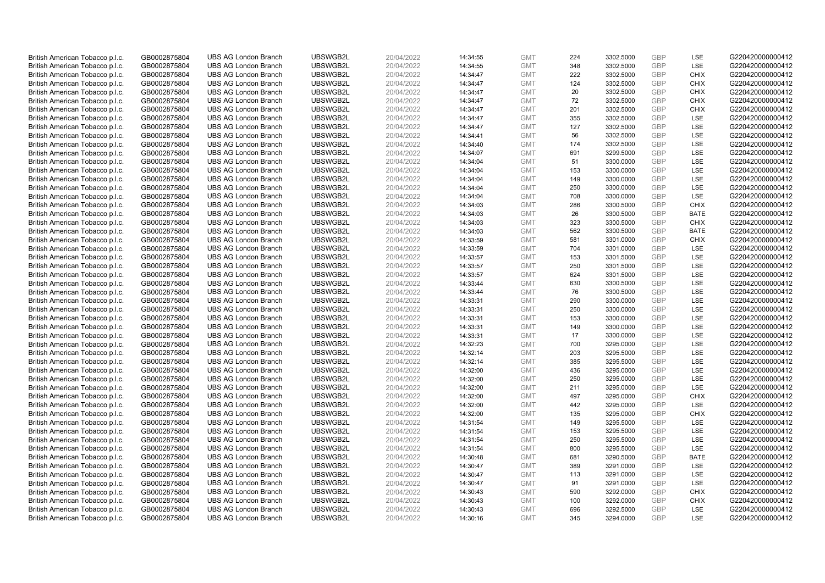| British American Tobacco p.l.c. | GB0002875804 | <b>UBS AG London Branch</b> | UBSWGB2L | 20/04/2022 | 14:34:55 | <b>GMT</b>               | 224        | 3302.5000 | <b>GBP</b> | LSE                      | G220420000000412                     |
|---------------------------------|--------------|-----------------------------|----------|------------|----------|--------------------------|------------|-----------|------------|--------------------------|--------------------------------------|
|                                 | GB0002875804 | <b>UBS AG London Branch</b> | UBSWGB2L | 20/04/2022 |          | <b>GMT</b>               | 348        | 3302.5000 | <b>GBP</b> | LSE                      | G220420000000412                     |
| British American Tobacco p.l.c. |              |                             | UBSWGB2L |            | 14:34:55 |                          | 222        |           |            | <b>CHIX</b>              | G220420000000412                     |
| British American Tobacco p.l.c. | GB0002875804 | <b>UBS AG London Branch</b> |          | 20/04/2022 | 14:34:47 | <b>GMT</b>               |            | 3302.5000 | <b>GBP</b> |                          |                                      |
| British American Tobacco p.l.c. | GB0002875804 | <b>UBS AG London Branch</b> | UBSWGB2L | 20/04/2022 | 14:34:47 | <b>GMT</b>               | 124        | 3302.5000 | <b>GBP</b> | <b>CHIX</b>              | G220420000000412                     |
| British American Tobacco p.l.c. | GB0002875804 | <b>UBS AG London Branch</b> | UBSWGB2L | 20/04/2022 | 14:34:47 | <b>GMT</b>               | 20         | 3302.5000 | GBP        | <b>CHIX</b>              | G220420000000412                     |
| British American Tobacco p.l.c. | GB0002875804 | <b>UBS AG London Branch</b> | UBSWGB2L | 20/04/2022 | 14:34:47 | <b>GMT</b>               | 72         | 3302.5000 | <b>GBP</b> | <b>CHIX</b>              | G220420000000412                     |
| British American Tobacco p.l.c. | GB0002875804 | <b>UBS AG London Branch</b> | UBSWGB2L | 20/04/2022 | 14:34:47 | <b>GMT</b>               | 201        | 3302.5000 | <b>GBP</b> | <b>CHIX</b>              | G220420000000412                     |
| British American Tobacco p.l.c. | GB0002875804 | <b>UBS AG London Branch</b> | UBSWGB2L | 20/04/2022 | 14:34:47 | <b>GMT</b>               | 355        | 3302.5000 | <b>GBP</b> | <b>LSE</b>               | G220420000000412                     |
| British American Tobacco p.l.c. | GB0002875804 | <b>UBS AG London Branch</b> | UBSWGB2L | 20/04/2022 | 14:34:47 | <b>GMT</b>               | 127        | 3302.5000 | GBP        | LSE                      | G220420000000412                     |
| British American Tobacco p.l.c. | GB0002875804 | <b>UBS AG London Branch</b> | UBSWGB2L | 20/04/2022 | 14:34:41 | <b>GMT</b>               | 56         | 3302.5000 | <b>GBP</b> | LSE                      | G220420000000412                     |
| British American Tobacco p.l.c. | GB0002875804 | <b>UBS AG London Branch</b> | UBSWGB2L | 20/04/2022 | 14:34:40 | <b>GMT</b>               | 174        | 3302.5000 | <b>GBP</b> | <b>LSE</b>               | G220420000000412                     |
| British American Tobacco p.l.c. | GB0002875804 | <b>UBS AG London Branch</b> | UBSWGB2L | 20/04/2022 | 14:34:07 | <b>GMT</b>               | 691        | 3299.5000 | <b>GBP</b> | LSE                      | G220420000000412                     |
| British American Tobacco p.l.c. | GB0002875804 | <b>UBS AG London Branch</b> | UBSWGB2L | 20/04/2022 | 14:34:04 | <b>GMT</b>               | 51         | 3300.0000 | GBP        | LSE                      | G220420000000412                     |
| British American Tobacco p.l.c. | GB0002875804 | <b>UBS AG London Branch</b> | UBSWGB2L | 20/04/2022 | 14:34:04 | <b>GMT</b>               | 153        | 3300.0000 | <b>GBP</b> | LSE                      | G220420000000412                     |
| British American Tobacco p.l.c. | GB0002875804 | <b>UBS AG London Branch</b> | UBSWGB2L | 20/04/2022 | 14:34:04 | <b>GMT</b>               | 149        | 3300.0000 | GBP        | <b>LSE</b>               | G220420000000412                     |
| British American Tobacco p.l.c. | GB0002875804 | <b>UBS AG London Branch</b> | UBSWGB2L | 20/04/2022 | 14:34:04 | <b>GMT</b>               | 250        | 3300.0000 | <b>GBP</b> | LSE                      | G220420000000412                     |
| British American Tobacco p.l.c. | GB0002875804 | <b>UBS AG London Branch</b> | UBSWGB2L | 20/04/2022 | 14:34:04 | <b>GMT</b>               | 708        | 3300.0000 | GBP        | LSE                      | G220420000000412                     |
| British American Tobacco p.l.c. | GB0002875804 | <b>UBS AG London Branch</b> | UBSWGB2L | 20/04/2022 | 14:34:03 | <b>GMT</b>               | 286        | 3300.5000 | GBP        | <b>CHIX</b>              | G220420000000412                     |
| British American Tobacco p.l.c. | GB0002875804 | <b>UBS AG London Branch</b> | UBSWGB2L | 20/04/2022 | 14:34:03 | <b>GMT</b>               | 26         | 3300.5000 | <b>GBP</b> | <b>BATE</b>              | G220420000000412                     |
| British American Tobacco p.l.c. | GB0002875804 | <b>UBS AG London Branch</b> | UBSWGB2L | 20/04/2022 | 14:34:03 | <b>GMT</b>               | 323        | 3300.5000 | <b>GBP</b> | <b>CHIX</b>              | G220420000000412                     |
| British American Tobacco p.l.c. | GB0002875804 | <b>UBS AG London Branch</b> | UBSWGB2L | 20/04/2022 | 14:34:03 | <b>GMT</b>               | 562        | 3300.5000 | <b>GBP</b> | <b>BATE</b>              | G220420000000412                     |
| British American Tobacco p.l.c. | GB0002875804 | <b>UBS AG London Branch</b> | UBSWGB2L | 20/04/2022 | 14:33:59 | <b>GMT</b>               | 581        | 3301.0000 | GBP        | <b>CHIX</b>              | G220420000000412                     |
| British American Tobacco p.l.c. | GB0002875804 | <b>UBS AG London Branch</b> | UBSWGB2L | 20/04/2022 | 14:33:59 | <b>GMT</b>               | 704        | 3301.0000 | <b>GBP</b> | LSE                      | G220420000000412                     |
| British American Tobacco p.l.c. | GB0002875804 | <b>UBS AG London Branch</b> | UBSWGB2L | 20/04/2022 | 14:33:57 | <b>GMT</b>               | 153        | 3301.5000 | <b>GBP</b> | <b>LSE</b>               | G220420000000412                     |
| British American Tobacco p.l.c. | GB0002875804 | <b>UBS AG London Branch</b> | UBSWGB2L | 20/04/2022 | 14:33:57 | <b>GMT</b>               | 250        | 3301.5000 | <b>GBP</b> | LSE                      | G220420000000412                     |
| British American Tobacco p.l.c. | GB0002875804 | <b>UBS AG London Branch</b> | UBSWGB2L | 20/04/2022 | 14:33:57 | <b>GMT</b>               | 624        | 3301.5000 | GBP        | LSE                      | G220420000000412                     |
| British American Tobacco p.l.c. | GB0002875804 | <b>UBS AG London Branch</b> | UBSWGB2L | 20/04/2022 | 14:33:44 | <b>GMT</b>               | 630        | 3300.5000 | <b>GBP</b> | LSE                      | G220420000000412                     |
| British American Tobacco p.l.c. | GB0002875804 | <b>UBS AG London Branch</b> | UBSWGB2L | 20/04/2022 | 14:33:44 | <b>GMT</b>               | 76         | 3300.5000 | GBP        | LSE                      | G220420000000412                     |
| British American Tobacco p.l.c. | GB0002875804 | <b>UBS AG London Branch</b> | UBSWGB2L | 20/04/2022 | 14:33:31 | <b>GMT</b>               | 290        | 3300.0000 | <b>GBP</b> | LSE                      | G220420000000412                     |
| British American Tobacco p.l.c. | GB0002875804 | <b>UBS AG London Branch</b> | UBSWGB2L | 20/04/2022 | 14:33:31 | <b>GMT</b>               | 250        | 3300.0000 | GBP        | LSE                      | G220420000000412                     |
| British American Tobacco p.l.c. | GB0002875804 | <b>UBS AG London Branch</b> | UBSWGB2L | 20/04/2022 | 14:33:31 | <b>GMT</b>               | 153        | 3300.0000 | GBP        | LSE                      | G220420000000412                     |
| British American Tobacco p.l.c. | GB0002875804 | <b>UBS AG London Branch</b> | UBSWGB2L | 20/04/2022 | 14:33:31 | <b>GMT</b>               | 149        | 3300.0000 | <b>GBP</b> | <b>LSE</b>               | G220420000000412                     |
| British American Tobacco p.l.c. | GB0002875804 | <b>UBS AG London Branch</b> | UBSWGB2L | 20/04/2022 | 14:33:31 | <b>GMT</b>               | 17         | 3300.0000 | <b>GBP</b> | LSE                      | G220420000000412                     |
| British American Tobacco p.l.c. | GB0002875804 | <b>UBS AG London Branch</b> | UBSWGB2L | 20/04/2022 | 14:32:23 | <b>GMT</b>               | 700        | 3295.0000 | <b>GBP</b> | LSE                      | G220420000000412                     |
| British American Tobacco p.l.c. | GB0002875804 | <b>UBS AG London Branch</b> | UBSWGB2L | 20/04/2022 | 14:32:14 | <b>GMT</b>               | 203        | 3295.5000 | GBP        | LSE                      | G220420000000412                     |
| British American Tobacco p.l.c. | GB0002875804 | <b>UBS AG London Branch</b> | UBSWGB2L | 20/04/2022 | 14:32:14 | <b>GMT</b>               | 385        | 3295.5000 | <b>GBP</b> | LSE                      | G220420000000412                     |
| British American Tobacco p.l.c. | GB0002875804 | <b>UBS AG London Branch</b> | UBSWGB2L | 20/04/2022 | 14:32:00 | <b>GMT</b>               | 436        | 3295.0000 | <b>GBP</b> | <b>LSE</b>               | G220420000000412                     |
| British American Tobacco p.l.c. | GB0002875804 | <b>UBS AG London Branch</b> | UBSWGB2L | 20/04/2022 | 14:32:00 | <b>GMT</b>               | 250        | 3295.0000 | <b>GBP</b> | LSE                      | G220420000000412                     |
| British American Tobacco p.l.c. | GB0002875804 | <b>UBS AG London Branch</b> | UBSWGB2L | 20/04/2022 | 14:32:00 | <b>GMT</b>               | 211        | 3295.0000 | GBP        | LSE                      | G220420000000412                     |
| British American Tobacco p.l.c. | GB0002875804 | <b>UBS AG London Branch</b> | UBSWGB2L | 20/04/2022 | 14:32:00 | <b>GMT</b>               | 497        | 3295.0000 | <b>GBP</b> | <b>CHIX</b>              | G220420000000412                     |
| British American Tobacco p.l.c. | GB0002875804 | <b>UBS AG London Branch</b> | UBSWGB2L | 20/04/2022 | 14:32:00 | <b>GMT</b>               | 442        | 3295.0000 | GBP        | LSE                      | G220420000000412                     |
| British American Tobacco p.l.c. | GB0002875804 | <b>UBS AG London Branch</b> | UBSWGB2L | 20/04/2022 | 14:32:00 | <b>GMT</b>               | 135        | 3295.0000 | <b>GBP</b> | <b>CHIX</b>              | G220420000000412                     |
| British American Tobacco p.l.c. | GB0002875804 | <b>UBS AG London Branch</b> | UBSWGB2L | 20/04/2022 | 14:31:54 | <b>GMT</b>               | 149        | 3295.5000 | GBP        | LSE                      | G220420000000412                     |
| British American Tobacco p.l.c. | GB0002875804 | <b>UBS AG London Branch</b> | UBSWGB2L | 20/04/2022 | 14:31:54 | <b>GMT</b>               | 153        | 3295.5000 | <b>GBP</b> | LSE                      | G220420000000412                     |
| British American Tobacco p.l.c. | GB0002875804 | <b>UBS AG London Branch</b> | UBSWGB2L | 20/04/2022 | 14:31:54 | <b>GMT</b>               | 250        | 3295.5000 | <b>GBP</b> | LSE                      | G220420000000412                     |
| British American Tobacco p.l.c. | GB0002875804 | <b>UBS AG London Branch</b> | UBSWGB2L | 20/04/2022 | 14:31:54 | <b>GMT</b>               | 800        | 3295.5000 | <b>GBP</b> | LSE                      | G220420000000412                     |
| British American Tobacco p.l.c. | GB0002875804 | <b>UBS AG London Branch</b> | UBSWGB2L | 20/04/2022 | 14:30:48 | <b>GMT</b>               | 681        | 3290.5000 | <b>GBP</b> | <b>BATE</b>              | G220420000000412                     |
| British American Tobacco p.l.c. | GB0002875804 | <b>UBS AG London Branch</b> | UBSWGB2L | 20/04/2022 | 14:30:47 | <b>GMT</b>               | 389        | 3291.0000 | GBP        | LSE                      | G220420000000412                     |
| British American Tobacco p.l.c. | GB0002875804 | <b>UBS AG London Branch</b> | UBSWGB2L | 20/04/2022 | 14:30:47 | <b>GMT</b>               | 113        | 3291.0000 | <b>GBP</b> | LSE                      | G220420000000412                     |
| British American Tobacco p.l.c. | GB0002875804 | <b>UBS AG London Branch</b> | UBSWGB2L | 20/04/2022 | 14:30:47 | <b>GMT</b>               | 91         | 3291.0000 | GBP        | <b>LSE</b>               | G220420000000412                     |
|                                 |              | <b>UBS AG London Branch</b> | UBSWGB2L |            |          |                          | 590        |           | <b>GBP</b> | <b>CHIX</b>              |                                      |
| British American Tobacco p.l.c. | GB0002875804 | <b>UBS AG London Branch</b> | UBSWGB2L | 20/04/2022 | 14:30:43 | <b>GMT</b>               | 100        | 3292.0000 | <b>GBP</b> | <b>CHIX</b>              | G220420000000412<br>G220420000000412 |
| British American Tobacco p.l.c. | GB0002875804 |                             |          | 20/04/2022 | 14:30:43 | <b>GMT</b>               |            | 3292.0000 | <b>GBP</b> |                          | G220420000000412                     |
| British American Tobacco p.l.c. | GB0002875804 | <b>UBS AG London Branch</b> | UBSWGB2L | 20/04/2022 | 14:30:43 | <b>GMT</b><br><b>GMT</b> | 696<br>345 | 3292.5000 | GBP        | <b>LSE</b><br><b>LSE</b> |                                      |
| British American Tobacco p.l.c. | GB0002875804 | <b>UBS AG London Branch</b> | UBSWGB2L | 20/04/2022 | 14:30:16 |                          |            | 3294.0000 |            |                          | G220420000000412                     |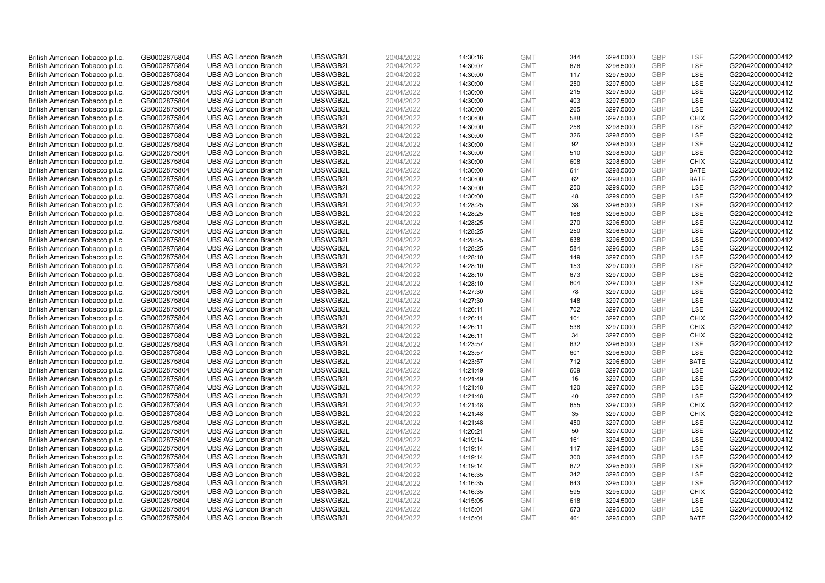| British American Tobacco p.l.c.                                    | GB0002875804                 | <b>UBS AG London Branch</b>                                | UBSWGB2L             | 20/04/2022               | 14:30:16             | <b>GMT</b>               | 344       | 3294.0000              | <b>GBP</b>               | <b>LSE</b>  | G220420000000412                     |
|--------------------------------------------------------------------|------------------------------|------------------------------------------------------------|----------------------|--------------------------|----------------------|--------------------------|-----------|------------------------|--------------------------|-------------|--------------------------------------|
| British American Tobacco p.l.c.                                    | GB0002875804                 | <b>UBS AG London Branch</b>                                | UBSWGB2L             | 20/04/2022               | 14:30:07             | <b>GMT</b>               | 676       | 3296.5000              | <b>GBP</b>               | LSE         | G220420000000412                     |
| British American Tobacco p.l.c.                                    | GB0002875804                 | <b>UBS AG London Branch</b>                                | UBSWGB2L             | 20/04/2022               | 14:30:00             | <b>GMT</b>               | 117       | 3297.5000              | <b>GBP</b>               | LSE         | G220420000000412                     |
| British American Tobacco p.l.c.                                    | GB0002875804                 | <b>UBS AG London Branch</b>                                | UBSWGB2L             | 20/04/2022               | 14:30:00             | <b>GMT</b>               | 250       | 3297.5000              | <b>GBP</b>               | LSE         | G220420000000412                     |
| British American Tobacco p.l.c.                                    | GB0002875804                 | <b>UBS AG London Branch</b>                                | UBSWGB2L             | 20/04/2022               | 14:30:00             | <b>GMT</b>               | 215       | 3297.5000              | <b>GBP</b>               | LSE         | G220420000000412                     |
| British American Tobacco p.l.c.                                    | GB0002875804                 | <b>UBS AG London Branch</b>                                | UBSWGB2L             | 20/04/2022               | 14:30:00             | <b>GMT</b>               | 403       | 3297.5000              | <b>GBP</b>               | LSE         | G220420000000412                     |
| British American Tobacco p.l.c.                                    | GB0002875804                 | <b>UBS AG London Branch</b>                                | UBSWGB2L             | 20/04/2022               | 14:30:00             | <b>GMT</b>               | 265       | 3297.5000              | <b>GBP</b>               | LSE         | G220420000000412                     |
| British American Tobacco p.l.c.                                    | GB0002875804                 | <b>UBS AG London Branch</b>                                | UBSWGB2L             | 20/04/2022               | 14:30:00             | <b>GMT</b>               | 588       | 3297.5000              | <b>GBP</b>               | <b>CHIX</b> | G220420000000412                     |
| British American Tobacco p.l.c.                                    | GB0002875804                 | <b>UBS AG London Branch</b>                                | UBSWGB2L             | 20/04/2022               | 14:30:00             | <b>GMT</b>               | 258       | 3298.5000              | <b>GBP</b>               | LSE         | G220420000000412                     |
| British American Tobacco p.l.c.                                    | GB0002875804                 | <b>UBS AG London Branch</b>                                | UBSWGB2L             | 20/04/2022               | 14:30:00             | <b>GMT</b>               | 326       | 3298.5000              | <b>GBP</b>               | <b>LSE</b>  | G220420000000412                     |
| British American Tobacco p.l.c.                                    | GB0002875804                 | <b>UBS AG London Branch</b>                                | UBSWGB2L             | 20/04/2022               | 14:30:00             | <b>GMT</b>               | 92        | 3298.5000              | <b>GBP</b>               | LSE         | G220420000000412                     |
| British American Tobacco p.l.c.                                    | GB0002875804                 | <b>UBS AG London Branch</b>                                | UBSWGB2L             | 20/04/2022               | 14:30:00             | <b>GMT</b>               | 510       | 3298.5000              | <b>GBP</b>               | LSE         | G220420000000412                     |
| British American Tobacco p.l.c.                                    | GB0002875804                 | <b>UBS AG London Branch</b>                                | UBSWGB2L             | 20/04/2022               | 14:30:00             | <b>GMT</b>               | 608       | 3298.5000              | <b>GBP</b>               | <b>CHIX</b> | G220420000000412                     |
| British American Tobacco p.l.c.                                    | GB0002875804                 | <b>UBS AG London Branch</b>                                | UBSWGB2L             | 20/04/2022               | 14:30:00             | <b>GMT</b>               | 611       | 3298.5000              | <b>GBP</b>               | <b>BATE</b> | G220420000000412                     |
| British American Tobacco p.l.c.                                    | GB0002875804                 | <b>UBS AG London Branch</b>                                | UBSWGB2L             | 20/04/2022               | 14:30:00             | <b>GMT</b>               | 62        | 3298.5000              | <b>GBP</b>               | <b>BATE</b> | G220420000000412                     |
| British American Tobacco p.l.c.                                    | GB0002875804                 | <b>UBS AG London Branch</b>                                | UBSWGB2L             | 20/04/2022               | 14:30:00             | <b>GMT</b>               | 250       | 3299.0000              | <b>GBP</b>               | LSE         | G220420000000412                     |
| British American Tobacco p.l.c.                                    | GB0002875804                 | <b>UBS AG London Branch</b>                                | UBSWGB2L             | 20/04/2022               | 14:30:00             | <b>GMT</b>               | 48        | 3299.0000              | <b>GBP</b>               | LSE         | G220420000000412                     |
| British American Tobacco p.l.c.                                    | GB0002875804                 | <b>UBS AG London Branch</b>                                | UBSWGB2L             | 20/04/2022               | 14:28:25             | <b>GMT</b>               | 38        | 3296.5000              | <b>GBP</b>               | LSE         | G220420000000412                     |
| British American Tobacco p.l.c.                                    | GB0002875804                 | <b>UBS AG London Branch</b>                                | UBSWGB2L             | 20/04/2022               | 14:28:25             | <b>GMT</b>               | 168       | 3296.5000              | <b>GBP</b>               | LSE         | G220420000000412                     |
| British American Tobacco p.l.c.                                    | GB0002875804                 | <b>UBS AG London Branch</b>                                | UBSWGB2L             | 20/04/2022               | 14:28:25             | <b>GMT</b>               | 270       | 3296.5000              | <b>GBP</b>               | LSE         | G220420000000412                     |
| British American Tobacco p.l.c.                                    | GB0002875804                 | <b>UBS AG London Branch</b>                                | UBSWGB2L             | 20/04/2022               | 14:28:25             | <b>GMT</b>               | 250       | 3296.5000              | <b>GBP</b>               | LSE         | G220420000000412                     |
| British American Tobacco p.l.c.                                    | GB0002875804                 | <b>UBS AG London Branch</b>                                | UBSWGB2L             | 20/04/2022               | 14:28:25             | <b>GMT</b>               | 638       | 3296.5000              | <b>GBP</b>               | LSE         | G220420000000412                     |
| British American Tobacco p.l.c.                                    | GB0002875804                 | <b>UBS AG London Branch</b>                                | UBSWGB2L             | 20/04/2022               | 14:28:25             | <b>GMT</b>               | 584       | 3296.5000              | <b>GBP</b>               | LSE         | G220420000000412                     |
| British American Tobacco p.l.c.                                    | GB0002875804                 | <b>UBS AG London Branch</b>                                | UBSWGB2L             | 20/04/2022               | 14:28:10             | <b>GMT</b>               | 149       | 3297.0000              | <b>GBP</b>               | LSE         | G220420000000412                     |
| British American Tobacco p.l.c.                                    | GB0002875804                 | <b>UBS AG London Branch</b>                                | UBSWGB2L             | 20/04/2022               | 14:28:10             | <b>GMT</b>               | 153       | 3297.0000              | <b>GBP</b>               | LSE         | G220420000000412                     |
| British American Tobacco p.l.c.                                    | GB0002875804                 | <b>UBS AG London Branch</b>                                | UBSWGB2L             | 20/04/2022               | 14:28:10             | <b>GMT</b>               | 673       | 3297.0000              | <b>GBP</b>               | LSE         | G220420000000412                     |
| British American Tobacco p.l.c.                                    | GB0002875804                 | <b>UBS AG London Branch</b>                                | UBSWGB2L             | 20/04/2022               | 14:28:10             | <b>GMT</b>               | 604       | 3297.0000              | <b>GBP</b>               | LSE         | G220420000000412                     |
| British American Tobacco p.l.c.                                    | GB0002875804                 | <b>UBS AG London Branch</b>                                | UBSWGB2L             | 20/04/2022               | 14:27:30             | <b>GMT</b>               | 78        | 3297.0000              | <b>GBP</b>               | LSE         | G220420000000412                     |
| British American Tobacco p.l.c.                                    | GB0002875804                 | <b>UBS AG London Branch</b>                                | UBSWGB2L             | 20/04/2022               | 14:27:30             | <b>GMT</b>               | 148       | 3297.0000              | <b>GBP</b>               | LSE         | G220420000000412                     |
| British American Tobacco p.l.c.                                    | GB0002875804                 | <b>UBS AG London Branch</b>                                | UBSWGB2L             | 20/04/2022               | 14:26:11             | <b>GMT</b>               | 702       | 3297.0000              | <b>GBP</b>               | LSE         | G220420000000412                     |
| British American Tobacco p.l.c.                                    | GB0002875804                 | <b>UBS AG London Branch</b>                                | UBSWGB2L             | 20/04/2022               | 14:26:11             | <b>GMT</b>               | 101       | 3297.0000              | <b>GBP</b>               | <b>CHIX</b> | G220420000000412                     |
| British American Tobacco p.l.c.                                    | GB0002875804                 | <b>UBS AG London Branch</b>                                | UBSWGB2L             | 20/04/2022               | 14:26:11             | <b>GMT</b>               | 538       | 3297.0000              | <b>GBP</b>               | <b>CHIX</b> | G220420000000412                     |
| British American Tobacco p.l.c.                                    | GB0002875804                 | <b>UBS AG London Branch</b>                                | UBSWGB2L             | 20/04/2022               | 14:26:11             | <b>GMT</b>               | 34        | 3297.0000              | <b>GBP</b>               | <b>CHIX</b> | G220420000000412                     |
| British American Tobacco p.l.c.                                    | GB0002875804                 | <b>UBS AG London Branch</b>                                | UBSWGB2L             | 20/04/2022               | 14:23:57             | <b>GMT</b>               | 632       | 3296.5000              | <b>GBP</b>               | LSE         | G220420000000412                     |
| British American Tobacco p.l.c.                                    | GB0002875804                 | <b>UBS AG London Branch</b>                                | UBSWGB2L             | 20/04/2022               | 14:23:57             | <b>GMT</b>               | 601       | 3296.5000              | <b>GBP</b>               | LSE         | G220420000000412                     |
| British American Tobacco p.l.c.                                    | GB0002875804                 | <b>UBS AG London Branch</b>                                | UBSWGB2L             | 20/04/2022               | 14:23:57             | <b>GMT</b>               | 712       | 3296.5000              | <b>GBP</b>               | <b>BATE</b> | G220420000000412                     |
| British American Tobacco p.l.c.                                    | GB0002875804                 | <b>UBS AG London Branch</b>                                | UBSWGB2L             | 20/04/2022               | 14:21:49             | <b>GMT</b>               | 609       | 3297.0000              | <b>GBP</b>               | LSE         | G220420000000412                     |
| British American Tobacco p.l.c.                                    | GB0002875804                 | <b>UBS AG London Branch</b>                                | UBSWGB2L             | 20/04/2022               | 14:21:49             | <b>GMT</b>               | 16        | 3297.0000              | <b>GBP</b>               | LSE         | G220420000000412                     |
| British American Tobacco p.l.c.                                    | GB0002875804                 | <b>UBS AG London Branch</b>                                | UBSWGB2L             | 20/04/2022               | 14:21:48             | <b>GMT</b>               | 120       | 3297.0000              | <b>GBP</b>               | LSE         | G220420000000412                     |
| British American Tobacco p.l.c.                                    | GB0002875804                 | <b>UBS AG London Branch</b>                                | UBSWGB2L             | 20/04/2022               | 14:21:48             | <b>GMT</b>               | 40        | 3297.0000              | <b>GBP</b>               | LSE         | G220420000000412                     |
| British American Tobacco p.l.c.                                    | GB0002875804                 | <b>UBS AG London Branch</b>                                | UBSWGB2L             | 20/04/2022               | 14:21:48             | <b>GMT</b>               | 655       | 3297.0000              | <b>GBP</b>               | <b>CHIX</b> | G220420000000412                     |
| British American Tobacco p.l.c.                                    | GB0002875804                 | <b>UBS AG London Branch</b>                                | UBSWGB2L             | 20/04/2022               | 14:21:48             | <b>GMT</b>               | 35        | 3297.0000              | <b>GBP</b><br><b>GBP</b> | <b>CHIX</b> | G220420000000412                     |
| British American Tobacco p.l.c.<br>British American Tobacco p.l.c. | GB0002875804<br>GB0002875804 | <b>UBS AG London Branch</b><br><b>UBS AG London Branch</b> | UBSWGB2L<br>UBSWGB2L | 20/04/2022<br>20/04/2022 | 14:21:48             | <b>GMT</b><br><b>GMT</b> | 450<br>50 | 3297.0000<br>3297.0000 | GBP                      | LSE<br>LSE  | G220420000000412<br>G220420000000412 |
|                                                                    |                              | <b>UBS AG London Branch</b>                                | UBSWGB2L             |                          | 14:20:21             |                          | 161       |                        | <b>GBP</b>               | <b>LSE</b>  | G220420000000412                     |
| British American Tobacco p.l.c.<br>British American Tobacco p.l.c. | GB0002875804<br>GB0002875804 | <b>UBS AG London Branch</b>                                | UBSWGB2L             | 20/04/2022<br>20/04/2022 | 14:19:14<br>14:19:14 | <b>GMT</b><br><b>GMT</b> | 117       | 3294.5000<br>3294.5000 | <b>GBP</b>               | LSE         | G220420000000412                     |
| British American Tobacco p.l.c.                                    | GB0002875804                 | <b>UBS AG London Branch</b>                                | UBSWGB2L             | 20/04/2022               | 14:19:14             | <b>GMT</b>               | 300       | 3294.5000              | <b>GBP</b>               | LSE         | G220420000000412                     |
| British American Tobacco p.l.c.                                    | GB0002875804                 | <b>UBS AG London Branch</b>                                | UBSWGB2L             | 20/04/2022               | 14:19:14             | <b>GMT</b>               | 672       | 3295.5000              | <b>GBP</b>               | LSE         | G220420000000412                     |
| British American Tobacco p.l.c.                                    | GB0002875804                 | <b>UBS AG London Branch</b>                                | UBSWGB2L             | 20/04/2022               | 14:16:35             | <b>GMT</b>               | 342       | 3295.0000              | <b>GBP</b>               | LSE         | G220420000000412                     |
| British American Tobacco p.l.c.                                    | GB0002875804                 | <b>UBS AG London Branch</b>                                | UBSWGB2L             | 20/04/2022               | 14:16:35             | <b>GMT</b>               | 643       | 3295.0000              | <b>GBP</b>               | LSE         | G220420000000412                     |
| British American Tobacco p.l.c.                                    | GB0002875804                 | <b>UBS AG London Branch</b>                                | UBSWGB2L             | 20/04/2022               | 14:16:35             | <b>GMT</b>               | 595       | 3295.0000              | <b>GBP</b>               | <b>CHIX</b> | G220420000000412                     |
| British American Tobacco p.l.c.                                    | GB0002875804                 | <b>UBS AG London Branch</b>                                | UBSWGB2L             | 20/04/2022               | 14:15:05             | <b>GMT</b>               | 618       | 3294.5000              | <b>GBP</b>               | LSE         | G220420000000412                     |
| British American Tobacco p.l.c.                                    | GB0002875804                 | <b>UBS AG London Branch</b>                                | UBSWGB2L             | 20/04/2022               | 14:15:01             | <b>GMT</b>               | 673       | 3295.0000              | <b>GBP</b>               | LSE         | G220420000000412                     |
| British American Tobacco p.l.c.                                    | GB0002875804                 | <b>UBS AG London Branch</b>                                | UBSWGB2L             | 20/04/2022               | 14:15:01             | <b>GMT</b>               | 461       | 3295.0000              | GBP                      | <b>BATE</b> | G220420000000412                     |
|                                                                    |                              |                                                            |                      |                          |                      |                          |           |                        |                          |             |                                      |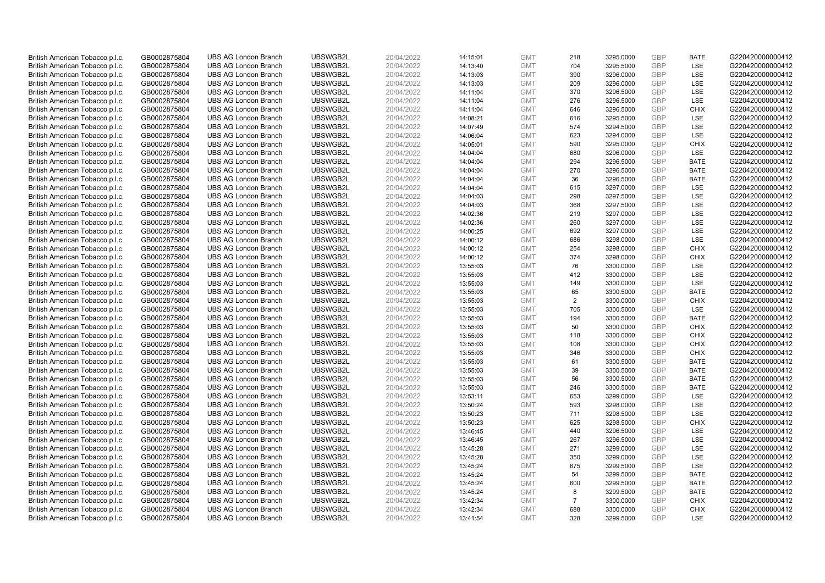| British American Tobacco p.l.c.                                    | GB0002875804                 | <b>UBS AG London Branch</b>                                | UBSWGB2L             | 20/04/2022               | 14:15:01             | <b>GMT</b>               | 218            | 3295.0000              | <b>GBP</b>        | <b>BATE</b>       | G220420000000412                     |
|--------------------------------------------------------------------|------------------------------|------------------------------------------------------------|----------------------|--------------------------|----------------------|--------------------------|----------------|------------------------|-------------------|-------------------|--------------------------------------|
| British American Tobacco p.l.c.                                    | GB0002875804                 | <b>UBS AG London Branch</b>                                | UBSWGB2L             | 20/04/2022               | 14:13:40             | <b>GMT</b>               | 704            | 3295.5000              | <b>GBP</b>        | LSE               | G220420000000412                     |
| British American Tobacco p.l.c.                                    | GB0002875804                 | <b>UBS AG London Branch</b>                                | UBSWGB2L             | 20/04/2022               | 14:13:03             | <b>GMT</b>               | 390            | 3296.0000              | <b>GBP</b>        | LSE               | G220420000000412                     |
| British American Tobacco p.l.c.                                    | GB0002875804                 | <b>UBS AG London Branch</b>                                | UBSWGB2L             | 20/04/2022               | 14:13:03             | <b>GMT</b>               | 209            | 3296.0000              | GBP               | <b>LSE</b>        | G220420000000412                     |
| British American Tobacco p.l.c.                                    | GB0002875804                 | <b>UBS AG London Branch</b>                                | UBSWGB2L             | 20/04/2022               | 14:11:04             | <b>GMT</b>               | 370            | 3296.5000              | <b>GBP</b>        | <b>LSE</b>        | G220420000000412                     |
| British American Tobacco p.l.c.                                    | GB0002875804                 | <b>UBS AG London Branch</b>                                | UBSWGB2L             | 20/04/2022               | 14:11:04             | <b>GMT</b>               | 276            | 3296.5000              | GBP               | <b>LSE</b>        | G220420000000412                     |
| British American Tobacco p.l.c.                                    | GB0002875804                 | <b>UBS AG London Branch</b>                                | UBSWGB2L             | 20/04/2022               | 14:11:04             | <b>GMT</b>               | 646            | 3296.5000              | <b>GBP</b>        | <b>CHIX</b>       | G220420000000412                     |
| British American Tobacco p.l.c.                                    | GB0002875804                 | <b>UBS AG London Branch</b>                                | UBSWGB2L             | 20/04/2022               | 14:08:21             | <b>GMT</b>               | 616            | 3295.5000              | GBP               | LSE               | G220420000000412                     |
| British American Tobacco p.l.c.                                    | GB0002875804                 | <b>UBS AG London Branch</b>                                | UBSWGB2L             | 20/04/2022               | 14:07:49             | <b>GMT</b>               | 574            | 3294.5000              | GBP               | LSE               | G220420000000412                     |
| British American Tobacco p.l.c.                                    | GB0002875804                 | <b>UBS AG London Branch</b>                                | UBSWGB2L             | 20/04/2022               | 14:06:04             | <b>GMT</b>               | 623            | 3294.0000              | GBP               | <b>LSE</b>        | G220420000000412                     |
| British American Tobacco p.l.c.                                    | GB0002875804                 | <b>UBS AG London Branch</b>                                | UBSWGB2L             | 20/04/2022               | 14:05:01             | <b>GMT</b>               | 590            | 3295.0000              | <b>GBP</b>        | <b>CHIX</b>       | G220420000000412                     |
| British American Tobacco p.l.c.                                    | GB0002875804                 | <b>UBS AG London Branch</b>                                | UBSWGB2L             | 20/04/2022               | 14:04:04             | <b>GMT</b>               | 680            | 3296.0000              | <b>GBP</b>        | LSE               | G220420000000412                     |
| British American Tobacco p.l.c.                                    | GB0002875804                 | <b>UBS AG London Branch</b>                                | UBSWGB2L             | 20/04/2022               | 14:04:04             | <b>GMT</b>               | 294            | 3296.5000              | GBP               | <b>BATE</b>       | G220420000000412                     |
| British American Tobacco p.l.c.                                    | GB0002875804                 | <b>UBS AG London Branch</b>                                | UBSWGB2L             | 20/04/2022               | 14:04:04             | <b>GMT</b>               | 270            | 3296.5000              | <b>GBP</b>        | <b>BATE</b>       | G220420000000412                     |
| British American Tobacco p.l.c.                                    | GB0002875804                 | <b>UBS AG London Branch</b>                                | UBSWGB2L             | 20/04/2022               | 14:04:04             | <b>GMT</b>               | 36             | 3296.5000              | <b>GBP</b>        | <b>BATE</b>       | G220420000000412                     |
| British American Tobacco p.l.c.                                    | GB0002875804                 | <b>UBS AG London Branch</b>                                | UBSWGB2L             | 20/04/2022               | 14:04:04             | <b>GMT</b>               | 615            | 3297.0000              | <b>GBP</b>        | LSE               | G220420000000412                     |
| British American Tobacco p.l.c.                                    | GB0002875804                 | <b>UBS AG London Branch</b>                                | UBSWGB2L             | 20/04/2022               | 14:04:03             | <b>GMT</b>               | 298            | 3297.5000              | GBP               | LSE               | G220420000000412                     |
| British American Tobacco p.l.c.                                    | GB0002875804                 | <b>UBS AG London Branch</b>                                | UBSWGB2L             | 20/04/2022               | 14:04:03             | <b>GMT</b>               | 368            | 3297.5000              | <b>GBP</b>        | LSE               | G220420000000412                     |
| British American Tobacco p.l.c.                                    | GB0002875804                 | <b>UBS AG London Branch</b>                                | UBSWGB2L             | 20/04/2022               | 14:02:36             | <b>GMT</b>               | 219            | 3297.0000              | GBP               | <b>LSE</b>        | G220420000000412                     |
| British American Tobacco p.l.c.                                    | GB0002875804                 | <b>UBS AG London Branch</b>                                | UBSWGB2L             | 20/04/2022               | 14:02:36             | <b>GMT</b>               | 260            | 3297.0000              | <b>GBP</b>        | LSE               | G220420000000412                     |
| British American Tobacco p.l.c.                                    | GB0002875804                 | <b>UBS AG London Branch</b>                                | UBSWGB2L             | 20/04/2022               | 14:00:25             | <b>GMT</b>               | 692            | 3297.0000              | GBP               | LSE               | G220420000000412                     |
| British American Tobacco p.l.c.                                    | GB0002875804                 | <b>UBS AG London Branch</b>                                | UBSWGB2L             | 20/04/2022               | 14:00:12             | <b>GMT</b>               | 686            | 3298.0000              | <b>GBP</b>        | <b>LSE</b>        | G220420000000412                     |
| British American Tobacco p.l.c.                                    | GB0002875804                 | <b>UBS AG London Branch</b>                                | UBSWGB2L             | 20/04/2022               | 14:00:12             | <b>GMT</b>               | 254            | 3298.0000              | GBP               | <b>CHIX</b>       | G220420000000412                     |
| British American Tobacco p.l.c.                                    | GB0002875804                 | <b>UBS AG London Branch</b>                                | UBSWGB2L             | 20/04/2022               | 14:00:12             | <b>GMT</b>               | 374            | 3298.0000              | <b>GBP</b>        | <b>CHIX</b>       | G220420000000412                     |
| British American Tobacco p.l.c.                                    | GB0002875804                 | <b>UBS AG London Branch</b>                                | UBSWGB2L             | 20/04/2022               | 13:55:03             | <b>GMT</b>               | 76             | 3300.0000              | <b>GBP</b>        | <b>LSE</b>        | G220420000000412                     |
| British American Tobacco p.l.c.                                    | GB0002875804                 | <b>UBS AG London Branch</b>                                | UBSWGB2L             | 20/04/2022               | 13:55:03             | <b>GMT</b>               | 412            | 3300.0000              | GBP               | LSE               | G220420000000412                     |
| British American Tobacco p.l.c.                                    | GB0002875804                 | <b>UBS AG London Branch</b>                                | UBSWGB2L             | 20/04/2022               | 13:55:03             | <b>GMT</b>               | 149            | 3300.0000              | <b>GBP</b>        | LSE               | G220420000000412                     |
| British American Tobacco p.l.c.                                    | GB0002875804                 | <b>UBS AG London Branch</b>                                | UBSWGB2L             | 20/04/2022               | 13:55:03             | <b>GMT</b>               | 65             | 3300.5000              | GBP               | <b>BATE</b>       | G220420000000412                     |
| British American Tobacco p.l.c.                                    | GB0002875804                 | <b>UBS AG London Branch</b>                                | UBSWGB2L             | 20/04/2022               | 13:55:03             | <b>GMT</b>               | 2              | 3300.0000              | <b>GBP</b>        | <b>CHIX</b>       | G220420000000412                     |
| British American Tobacco p.l.c.                                    | GB0002875804                 | <b>UBS AG London Branch</b>                                | UBSWGB2L             | 20/04/2022               | 13:55:03             | <b>GMT</b>               | 705            | 3300.5000              | <b>GBP</b>        | LSE               | G220420000000412                     |
| British American Tobacco p.l.c.                                    | GB0002875804                 | <b>UBS AG London Branch</b>                                | UBSWGB2L             | 20/04/2022               | 13:55:03             | <b>GMT</b>               | 194            | 3300.5000              | <b>GBP</b>        | <b>BATE</b>       | G220420000000412                     |
| British American Tobacco p.l.c.                                    | GB0002875804                 | <b>UBS AG London Branch</b>                                | UBSWGB2L             | 20/04/2022               | 13:55:03             | <b>GMT</b>               | 50             | 3300.0000              | <b>GBP</b>        | <b>CHIX</b>       | G220420000000412                     |
| British American Tobacco p.l.c.                                    | GB0002875804                 | <b>UBS AG London Branch</b>                                | UBSWGB2L             | 20/04/2022               | 13:55:03             | <b>GMT</b>               | 118            | 3300.0000              | <b>GBP</b>        | <b>CHIX</b>       | G220420000000412                     |
| British American Tobacco p.l.c.                                    | GB0002875804                 | <b>UBS AG London Branch</b>                                | UBSWGB2L             | 20/04/2022               | 13:55:03             | <b>GMT</b>               | 108            | 3300.0000              | <b>GBP</b>        | <b>CHIX</b>       | G220420000000412                     |
| British American Tobacco p.l.c.                                    | GB0002875804                 | <b>UBS AG London Branch</b>                                | UBSWGB2L             | 20/04/2022               | 13:55:03             | <b>GMT</b>               | 346            | 3300.0000              | <b>GBP</b>        | <b>CHIX</b>       | G220420000000412                     |
| British American Tobacco p.l.c.                                    | GB0002875804                 | <b>UBS AG London Branch</b>                                | UBSWGB2L             | 20/04/2022               | 13:55:03             | <b>GMT</b>               | 61             | 3300.5000              | <b>GBP</b>        | <b>BATE</b>       | G220420000000412                     |
| British American Tobacco p.l.c.                                    | GB0002875804                 | <b>UBS AG London Branch</b>                                | UBSWGB2L             | 20/04/2022               | 13:55:03             | <b>GMT</b>               | 39             | 3300.5000              | <b>GBP</b>        | <b>BATE</b>       | G220420000000412                     |
| British American Tobacco p.l.c.                                    | GB0002875804                 | <b>UBS AG London Branch</b>                                | UBSWGB2L             | 20/04/2022               | 13:55:03             | <b>GMT</b>               | 56             | 3300.5000              | <b>GBP</b>        | <b>BATE</b>       | G220420000000412                     |
| British American Tobacco p.l.c.                                    | GB0002875804                 | <b>UBS AG London Branch</b>                                | UBSWGB2L             | 20/04/2022               | 13:55:03             | <b>GMT</b>               | 246            | 3300.5000              | GBP               | <b>BATE</b>       | G220420000000412                     |
| British American Tobacco p.l.c.                                    | GB0002875804                 | <b>UBS AG London Branch</b>                                | UBSWGB2L             | 20/04/2022               | 13:53:11             | <b>GMT</b>               | 653<br>593     | 3299.0000              | <b>GBP</b><br>GBP | LSE<br><b>LSE</b> | G220420000000412                     |
| British American Tobacco p.l.c.                                    | GB0002875804                 | <b>UBS AG London Branch</b><br><b>UBS AG London Branch</b> | UBSWGB2L<br>UBSWGB2L | 20/04/2022               | 13:50:24             | <b>GMT</b><br><b>GMT</b> | 711            | 3298.0000<br>3298.5000 | <b>GBP</b>        | LSE               | G220420000000412<br>G220420000000412 |
| British American Tobacco p.l.c.                                    | GB0002875804<br>GB0002875804 | <b>UBS AG London Branch</b>                                | UBSWGB2L             | 20/04/2022<br>20/04/2022 | 13:50:23<br>13:50:23 | <b>GMT</b>               | 625            |                        | GBP               | <b>CHIX</b>       | G220420000000412                     |
| British American Tobacco p.l.c.<br>British American Tobacco p.l.c. | GB0002875804                 | <b>UBS AG London Branch</b>                                | UBSWGB2L             | 20/04/2022               | 13:46:45             | <b>GMT</b>               | 440            | 3298.5000<br>3296.5000 | <b>GBP</b>        | LSE               | G220420000000412                     |
| British American Tobacco p.l.c.                                    | GB0002875804                 | <b>UBS AG London Branch</b>                                | UBSWGB2L             | 20/04/2022               | 13:46:45             | <b>GMT</b>               | 267            | 3296.5000              | <b>GBP</b>        | <b>LSE</b>        | G220420000000412                     |
| British American Tobacco p.l.c.                                    | GB0002875804                 | <b>UBS AG London Branch</b>                                | UBSWGB2L             | 20/04/2022               | 13:45:28             | <b>GMT</b>               | 271            | 3299.0000              | <b>GBP</b>        | LSE               | G220420000000412                     |
| British American Tobacco p.l.c.                                    | GB0002875804                 | <b>UBS AG London Branch</b>                                | UBSWGB2L             | 20/04/2022               | 13:45:28             | <b>GMT</b>               | 350            | 3299.0000              | <b>GBP</b>        | LSE               | G220420000000412                     |
| British American Tobacco p.l.c.                                    | GB0002875804                 | <b>UBS AG London Branch</b>                                | UBSWGB2L             | 20/04/2022               | 13:45:24             | <b>GMT</b>               | 675            | 3299.5000              | <b>GBP</b>        | LSE               | G220420000000412                     |
| British American Tobacco p.l.c.                                    | GB0002875804                 | <b>UBS AG London Branch</b>                                | UBSWGB2L             | 20/04/2022               | 13:45:24             | <b>GMT</b>               | 54             | 3299.5000              | <b>GBP</b>        | <b>BATE</b>       | G220420000000412                     |
| British American Tobacco p.l.c.                                    | GB0002875804                 | <b>UBS AG London Branch</b>                                | UBSWGB2L             | 20/04/2022               | 13:45:24             | <b>GMT</b>               | 600            | 3299.5000              | <b>GBP</b>        | <b>BATE</b>       | G220420000000412                     |
| British American Tobacco p.l.c.                                    | GB0002875804                 | <b>UBS AG London Branch</b>                                | UBSWGB2L             | 20/04/2022               | 13:45:24             | <b>GMT</b>               | 8              | 3299.5000              | <b>GBP</b>        | <b>BATE</b>       | G220420000000412                     |
| British American Tobacco p.l.c.                                    | GB0002875804                 | <b>UBS AG London Branch</b>                                | UBSWGB2L             | 20/04/2022               | 13:42:34             | <b>GMT</b>               | $\overline{7}$ | 3300.0000              | <b>GBP</b>        | <b>CHIX</b>       | G220420000000412                     |
| British American Tobacco p.l.c.                                    | GB0002875804                 | <b>UBS AG London Branch</b>                                | UBSWGB2L             | 20/04/2022               | 13:42:34             | <b>GMT</b>               | 688            | 3300.0000              | <b>GBP</b>        | <b>CHIX</b>       | G220420000000412                     |
| British American Tobacco p.l.c.                                    | GB0002875804                 | <b>UBS AG London Branch</b>                                | UBSWGB2L             | 20/04/2022               | 13:41:54             | <b>GMT</b>               | 328            | 3299.5000              | GBP               | <b>LSE</b>        | G220420000000412                     |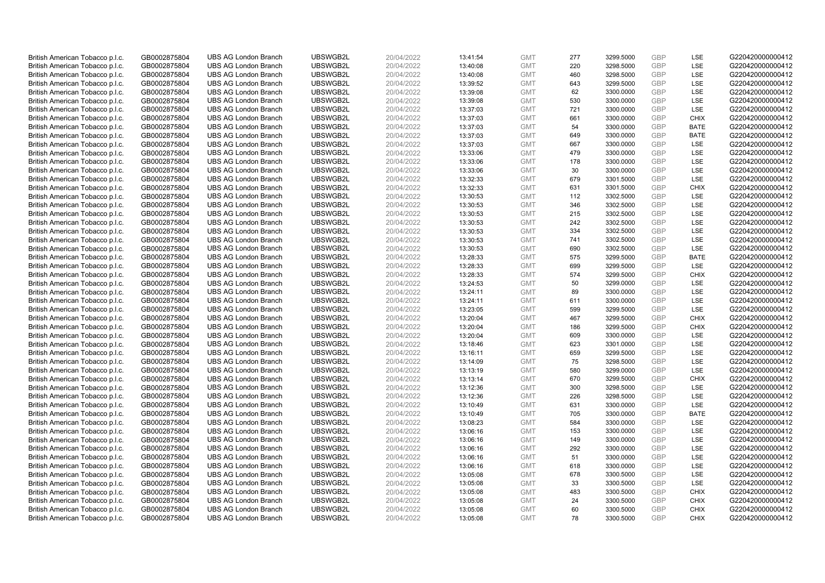| British American Tobacco p.l.c. | GB0002875804 | <b>UBS AG London Branch</b> | UBSWGB2L | 20/04/2022 | 13:41:54 | <b>GMT</b> | 277        | 3299.5000 | <b>GBP</b>               | LSE         | G220420000000412 |
|---------------------------------|--------------|-----------------------------|----------|------------|----------|------------|------------|-----------|--------------------------|-------------|------------------|
| British American Tobacco p.l.c. | GB0002875804 | <b>UBS AG London Branch</b> | UBSWGB2L | 20/04/2022 | 13:40:08 | <b>GMT</b> | 220        | 3298.5000 | GBP                      | LSE         | G220420000000412 |
| British American Tobacco p.l.c. | GB0002875804 | <b>UBS AG London Branch</b> | UBSWGB2L | 20/04/2022 | 13:40:08 | <b>GMT</b> | 460        | 3298.5000 | <b>GBP</b>               | LSE         | G220420000000412 |
| British American Tobacco p.l.c. | GB0002875804 | <b>UBS AG London Branch</b> | UBSWGB2L | 20/04/2022 | 13:39:52 | <b>GMT</b> | 643        | 3299.5000 | <b>GBP</b>               | LSE         | G220420000000412 |
| British American Tobacco p.l.c. | GB0002875804 | <b>UBS AG London Branch</b> | UBSWGB2L | 20/04/2022 | 13:39:08 | <b>GMT</b> | 62         | 3300.0000 | <b>GBP</b>               | LSE         | G220420000000412 |
|                                 |              |                             |          |            |          |            |            |           |                          |             |                  |
| British American Tobacco p.l.c. | GB0002875804 | <b>UBS AG London Branch</b> | UBSWGB2L | 20/04/2022 | 13:39:08 | <b>GMT</b> | 530        | 3300.0000 | <b>GBP</b>               | LSE         | G220420000000412 |
| British American Tobacco p.l.c. | GB0002875804 | <b>UBS AG London Branch</b> | UBSWGB2L | 20/04/2022 | 13:37:03 | <b>GMT</b> | 721        | 3300.0000 | <b>GBP</b>               | LSE         | G220420000000412 |
| British American Tobacco p.l.c. | GB0002875804 | <b>UBS AG London Branch</b> | UBSWGB2L | 20/04/2022 | 13:37:03 | <b>GMT</b> | 661        | 3300.0000 | <b>GBP</b>               | <b>CHIX</b> | G220420000000412 |
| British American Tobacco p.l.c. | GB0002875804 | <b>UBS AG London Branch</b> | UBSWGB2L | 20/04/2022 | 13:37:03 | <b>GMT</b> | 54         | 3300.0000 | <b>GBP</b>               | <b>BATE</b> | G220420000000412 |
| British American Tobacco p.l.c. | GB0002875804 | <b>UBS AG London Branch</b> | UBSWGB2L | 20/04/2022 | 13:37:03 | <b>GMT</b> | 649        | 3300.0000 | <b>GBP</b>               | <b>BATE</b> | G220420000000412 |
| British American Tobacco p.l.c. | GB0002875804 | <b>UBS AG London Branch</b> | UBSWGB2L | 20/04/2022 | 13:37:03 | <b>GMT</b> | 667        | 3300.0000 | <b>GBP</b>               | LSE         | G220420000000412 |
| British American Tobacco p.l.c. | GB0002875804 | <b>UBS AG London Branch</b> | UBSWGB2L | 20/04/2022 | 13:33:06 | <b>GMT</b> | 479        | 3300.0000 | <b>GBP</b>               | LSE         | G220420000000412 |
| British American Tobacco p.l.c. | GB0002875804 | <b>UBS AG London Branch</b> | UBSWGB2L | 20/04/2022 | 13:33:06 | <b>GMT</b> | 178        | 3300.0000 | <b>GBP</b>               | LSE         | G220420000000412 |
| British American Tobacco p.l.c. | GB0002875804 | <b>UBS AG London Branch</b> | UBSWGB2L | 20/04/2022 | 13:33:06 | <b>GMT</b> | 30         | 3300.0000 | <b>GBP</b>               | LSE         | G220420000000412 |
| British American Tobacco p.l.c. | GB0002875804 | <b>UBS AG London Branch</b> | UBSWGB2L | 20/04/2022 | 13:32:33 | <b>GMT</b> | 679        | 3301.5000 | <b>GBP</b>               | LSE         | G220420000000412 |
| British American Tobacco p.l.c. | GB0002875804 | <b>UBS AG London Branch</b> | UBSWGB2L | 20/04/2022 | 13:32:33 | <b>GMT</b> | 631        | 3301.5000 | <b>GBP</b>               | <b>CHIX</b> | G220420000000412 |
| British American Tobacco p.l.c. | GB0002875804 | <b>UBS AG London Branch</b> | UBSWGB2L | 20/04/2022 | 13:30:53 | <b>GMT</b> | 112        | 3302.5000 | <b>GBP</b>               | LSE         | G220420000000412 |
| British American Tobacco p.l.c. | GB0002875804 | <b>UBS AG London Branch</b> | UBSWGB2L | 20/04/2022 | 13:30:53 | <b>GMT</b> | 346        | 3302.5000 | GBP                      | LSE         | G220420000000412 |
| British American Tobacco p.l.c. | GB0002875804 | <b>UBS AG London Branch</b> | UBSWGB2L | 20/04/2022 | 13:30:53 | <b>GMT</b> | 215        | 3302.5000 | <b>GBP</b>               | <b>LSE</b>  | G220420000000412 |
| British American Tobacco p.l.c. | GB0002875804 | <b>UBS AG London Branch</b> | UBSWGB2L | 20/04/2022 | 13:30:53 | <b>GMT</b> | 242        | 3302.5000 | <b>GBP</b>               | LSE         | G220420000000412 |
| British American Tobacco p.l.c. | GB0002875804 | <b>UBS AG London Branch</b> | UBSWGB2L | 20/04/2022 | 13:30:53 | <b>GMT</b> | 334        | 3302.5000 | <b>GBP</b>               | LSE         | G220420000000412 |
| British American Tobacco p.l.c. | GB0002875804 | <b>UBS AG London Branch</b> | UBSWGB2L | 20/04/2022 | 13:30:53 | <b>GMT</b> | 741        | 3302.5000 | <b>GBP</b>               | LSE         | G220420000000412 |
| British American Tobacco p.l.c. | GB0002875804 | <b>UBS AG London Branch</b> | UBSWGB2L | 20/04/2022 | 13:30:53 | <b>GMT</b> | 690        | 3302.5000 | <b>GBP</b>               | LSE         | G220420000000412 |
| British American Tobacco p.l.c. | GB0002875804 | <b>UBS AG London Branch</b> | UBSWGB2L | 20/04/2022 | 13:28:33 | <b>GMT</b> | 575        | 3299.5000 | <b>GBP</b>               | <b>BATE</b> | G220420000000412 |
| British American Tobacco p.l.c. | GB0002875804 | <b>UBS AG London Branch</b> | UBSWGB2L | 20/04/2022 | 13:28:33 | <b>GMT</b> | 699        | 3299.5000 | <b>GBP</b>               | LSE         | G220420000000412 |
| British American Tobacco p.l.c. | GB0002875804 | <b>UBS AG London Branch</b> | UBSWGB2L | 20/04/2022 | 13:28:33 | <b>GMT</b> | 574        | 3299.5000 | <b>GBP</b>               | <b>CHIX</b> | G220420000000412 |
| British American Tobacco p.l.c. | GB0002875804 | <b>UBS AG London Branch</b> | UBSWGB2L | 20/04/2022 | 13:24:53 | <b>GMT</b> | 50         | 3299.0000 | <b>GBP</b>               | LSE         | G220420000000412 |
| British American Tobacco p.l.c. | GB0002875804 | <b>UBS AG London Branch</b> | UBSWGB2L | 20/04/2022 | 13:24:11 | <b>GMT</b> | 89         | 3300.0000 | <b>GBP</b>               | LSE         | G220420000000412 |
| British American Tobacco p.l.c. | GB0002875804 | <b>UBS AG London Branch</b> | UBSWGB2L | 20/04/2022 | 13:24:11 | <b>GMT</b> | 611        | 3300.0000 | <b>GBP</b>               | LSE         | G220420000000412 |
| British American Tobacco p.l.c. | GB0002875804 | <b>UBS AG London Branch</b> | UBSWGB2L | 20/04/2022 | 13:23:05 | <b>GMT</b> | 599        | 3299.5000 | <b>GBP</b>               | LSE         | G220420000000412 |
| British American Tobacco p.l.c. | GB0002875804 | <b>UBS AG London Branch</b> | UBSWGB2L | 20/04/2022 | 13:20:04 | <b>GMT</b> | 467        | 3299.5000 | <b>GBP</b>               | <b>CHIX</b> | G220420000000412 |
| British American Tobacco p.l.c. | GB0002875804 | <b>UBS AG London Branch</b> | UBSWGB2L | 20/04/2022 | 13:20:04 | <b>GMT</b> | 186        | 3299.5000 | <b>GBP</b>               | <b>CHIX</b> | G220420000000412 |
| British American Tobacco p.l.c. | GB0002875804 | <b>UBS AG London Branch</b> | UBSWGB2L | 20/04/2022 | 13:20:04 | <b>GMT</b> | 609        | 3300.0000 | <b>GBP</b>               | LSE         | G220420000000412 |
| British American Tobacco p.l.c. | GB0002875804 | <b>UBS AG London Branch</b> | UBSWGB2L | 20/04/2022 | 13:18:46 | <b>GMT</b> | 623        | 3301.0000 | <b>GBP</b>               | LSE         | G220420000000412 |
| British American Tobacco p.l.c. | GB0002875804 | <b>UBS AG London Branch</b> | UBSWGB2L | 20/04/2022 | 13:16:11 | <b>GMT</b> | 659        | 3299.5000 | <b>GBP</b>               | LSE         | G220420000000412 |
| British American Tobacco p.l.c. | GB0002875804 | <b>UBS AG London Branch</b> | UBSWGB2L | 20/04/2022 | 13:14:09 | <b>GMT</b> | 75         | 3298.5000 | <b>GBP</b>               | LSE         | G220420000000412 |
| British American Tobacco p.l.c. | GB0002875804 | <b>UBS AG London Branch</b> | UBSWGB2L | 20/04/2022 | 13:13:19 | <b>GMT</b> | 580        | 3299.0000 | <b>GBP</b>               | LSE         | G220420000000412 |
| British American Tobacco p.l.c. | GB0002875804 | <b>UBS AG London Branch</b> | UBSWGB2L | 20/04/2022 |          | <b>GMT</b> | 670        | 3299.5000 | <b>GBP</b>               | <b>CHIX</b> | G220420000000412 |
|                                 |              | <b>UBS AG London Branch</b> | UBSWGB2L |            | 13:13:14 | <b>GMT</b> | 300        | 3298.5000 | <b>GBP</b>               | LSE         | G220420000000412 |
| British American Tobacco p.l.c. | GB0002875804 |                             |          | 20/04/2022 | 13:12:36 |            |            |           |                          |             |                  |
| British American Tobacco p.l.c. | GB0002875804 | <b>UBS AG London Branch</b> | UBSWGB2L | 20/04/2022 | 13:12:36 | <b>GMT</b> | 226<br>631 | 3298.5000 | <b>GBP</b><br><b>GBP</b> | LSE<br>LSE  | G220420000000412 |
| British American Tobacco p.l.c. | GB0002875804 | <b>UBS AG London Branch</b> | UBSWGB2L | 20/04/2022 | 13:10:49 | <b>GMT</b> |            | 3300.0000 |                          |             | G220420000000412 |
| British American Tobacco p.l.c. | GB0002875804 | <b>UBS AG London Branch</b> | UBSWGB2L | 20/04/2022 | 13:10:49 | <b>GMT</b> | 705        | 3300.0000 | <b>GBP</b>               | <b>BATE</b> | G220420000000412 |
| British American Tobacco p.l.c. | GB0002875804 | <b>UBS AG London Branch</b> | UBSWGB2L | 20/04/2022 | 13:08:23 | <b>GMT</b> | 584        | 3300.0000 | <b>GBP</b>               | LSE         | G220420000000412 |
| British American Tobacco p.l.c. | GB0002875804 | <b>UBS AG London Branch</b> | UBSWGB2L | 20/04/2022 | 13:06:16 | <b>GMT</b> | 153        | 3300.0000 | GBP                      | LSE         | G220420000000412 |
| British American Tobacco p.l.c. | GB0002875804 | <b>UBS AG London Branch</b> | UBSWGB2L | 20/04/2022 | 13:06:16 | <b>GMT</b> | 149        | 3300.0000 | <b>GBP</b>               | LSE         | G220420000000412 |
| British American Tobacco p.l.c. | GB0002875804 | <b>UBS AG London Branch</b> | UBSWGB2L | 20/04/2022 | 13:06:16 | <b>GMT</b> | 292        | 3300.0000 | <b>GBP</b>               | LSE         | G220420000000412 |
| British American Tobacco p.l.c. | GB0002875804 | <b>UBS AG London Branch</b> | UBSWGB2L | 20/04/2022 | 13:06:16 | <b>GMT</b> | 51         | 3300.0000 | <b>GBP</b>               | LSE         | G220420000000412 |
| British American Tobacco p.l.c. | GB0002875804 | <b>UBS AG London Branch</b> | UBSWGB2L | 20/04/2022 | 13:06:16 | <b>GMT</b> | 618        | 3300.0000 | <b>GBP</b>               | LSE         | G220420000000412 |
| British American Tobacco p.l.c. | GB0002875804 | <b>UBS AG London Branch</b> | UBSWGB2L | 20/04/2022 | 13:05:08 | <b>GMT</b> | 678        | 3300.5000 | <b>GBP</b>               | LSE         | G220420000000412 |
| British American Tobacco p.l.c. | GB0002875804 | <b>UBS AG London Branch</b> | UBSWGB2L | 20/04/2022 | 13:05:08 | <b>GMT</b> | 33         | 3300.5000 | <b>GBP</b>               | LSE         | G220420000000412 |
| British American Tobacco p.l.c. | GB0002875804 | <b>UBS AG London Branch</b> | UBSWGB2L | 20/04/2022 | 13:05:08 | <b>GMT</b> | 483        | 3300.5000 | <b>GBP</b>               | <b>CHIX</b> | G220420000000412 |
| British American Tobacco p.l.c. | GB0002875804 | <b>UBS AG London Branch</b> | UBSWGB2L | 20/04/2022 | 13:05:08 | <b>GMT</b> | 24         | 3300.5000 | <b>GBP</b>               | <b>CHIX</b> | G220420000000412 |
| British American Tobacco p.l.c. | GB0002875804 | <b>UBS AG London Branch</b> | UBSWGB2L | 20/04/2022 | 13:05:08 | <b>GMT</b> | 60         | 3300.5000 | <b>GBP</b>               | <b>CHIX</b> | G220420000000412 |
| British American Tobacco p.l.c. | GB0002875804 | <b>UBS AG London Branch</b> | UBSWGB2L | 20/04/2022 | 13:05:08 | <b>GMT</b> | 78         | 3300.5000 | GBP                      | <b>CHIX</b> | G220420000000412 |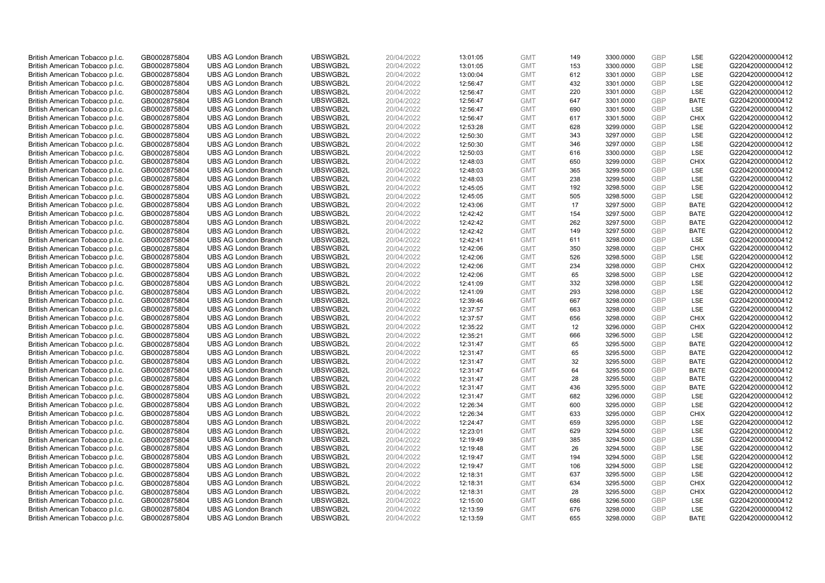| British American Tobacco p.l.c.                                    | GB0002875804                 | <b>UBS AG London Branch</b>                                | UBSWGB2L             | 20/04/2022               | 13:01:05             | <b>GMT</b>               | 149        | 3300.0000              | <b>GBP</b>               | <b>LSE</b>  | G220420000000412                     |
|--------------------------------------------------------------------|------------------------------|------------------------------------------------------------|----------------------|--------------------------|----------------------|--------------------------|------------|------------------------|--------------------------|-------------|--------------------------------------|
| British American Tobacco p.l.c.                                    | GB0002875804                 | <b>UBS AG London Branch</b>                                | UBSWGB2L             | 20/04/2022               | 13:01:05             | <b>GMT</b>               | 153        | 3300.0000              | <b>GBP</b>               | LSE         | G220420000000412                     |
| British American Tobacco p.l.c.                                    | GB0002875804                 | <b>UBS AG London Branch</b>                                | UBSWGB2L             | 20/04/2022               | 13:00:04             | <b>GMT</b>               | 612        | 3301.0000              | <b>GBP</b>               | LSE         | G220420000000412                     |
| British American Tobacco p.l.c.                                    | GB0002875804                 | <b>UBS AG London Branch</b>                                | UBSWGB2L             | 20/04/2022               | 12:56:47             | <b>GMT</b>               | 432        | 3301.0000              | <b>GBP</b>               | LSE         | G220420000000412                     |
| British American Tobacco p.l.c.                                    | GB0002875804                 | <b>UBS AG London Branch</b>                                | UBSWGB2L             | 20/04/2022               | 12:56:47             | <b>GMT</b>               | 220        | 3301.0000              | <b>GBP</b>               | LSE         | G220420000000412                     |
| British American Tobacco p.l.c.                                    | GB0002875804                 | <b>UBS AG London Branch</b>                                | UBSWGB2L             | 20/04/2022               | 12:56:47             | <b>GMT</b>               | 647        | 3301.0000              | <b>GBP</b>               | <b>BATE</b> | G220420000000412                     |
| British American Tobacco p.l.c.                                    | GB0002875804                 | <b>UBS AG London Branch</b>                                | UBSWGB2L             | 20/04/2022               | 12:56:47             | <b>GMT</b>               | 690        | 3301.5000              | <b>GBP</b>               | LSE         | G220420000000412                     |
| British American Tobacco p.l.c.                                    | GB0002875804                 | <b>UBS AG London Branch</b>                                | UBSWGB2L             | 20/04/2022               | 12:56:47             | <b>GMT</b>               | 617        | 3301.5000              | <b>GBP</b>               | <b>CHIX</b> | G220420000000412                     |
| British American Tobacco p.l.c.                                    | GB0002875804                 | <b>UBS AG London Branch</b>                                | UBSWGB2L             | 20/04/2022               | 12:53:28             | <b>GMT</b>               | 628        | 3299.0000              | <b>GBP</b>               | LSE         | G220420000000412                     |
| British American Tobacco p.l.c.                                    | GB0002875804                 | <b>UBS AG London Branch</b>                                | UBSWGB2L             | 20/04/2022               | 12:50:30             | <b>GMT</b>               | 343        | 3297.0000              | <b>GBP</b>               | <b>LSE</b>  | G220420000000412                     |
| British American Tobacco p.l.c.                                    | GB0002875804                 | <b>UBS AG London Branch</b>                                | UBSWGB2L             | 20/04/2022               | 12:50:30             | <b>GMT</b>               | 346        | 3297.0000              | <b>GBP</b>               | LSE         | G220420000000412                     |
| British American Tobacco p.l.c.                                    | GB0002875804                 | <b>UBS AG London Branch</b>                                | UBSWGB2L             | 20/04/2022               | 12:50:03             | <b>GMT</b>               | 616        | 3300.0000              | <b>GBP</b>               | LSE         | G220420000000412                     |
| British American Tobacco p.l.c.                                    | GB0002875804                 | <b>UBS AG London Branch</b>                                | UBSWGB2L             | 20/04/2022               | 12:48:03             | <b>GMT</b>               | 650        | 3299.0000              | <b>GBP</b>               | <b>CHIX</b> | G220420000000412                     |
| British American Tobacco p.l.c.                                    | GB0002875804                 | <b>UBS AG London Branch</b>                                | UBSWGB2L             | 20/04/2022               | 12:48:03             | <b>GMT</b>               | 365        | 3299.5000              | <b>GBP</b>               | LSE         | G220420000000412                     |
| British American Tobacco p.l.c.                                    | GB0002875804                 | <b>UBS AG London Branch</b>                                | UBSWGB2L             | 20/04/2022               | 12:48:03             | <b>GMT</b>               | 238        | 3299.5000              | <b>GBP</b>               | LSE         | G220420000000412                     |
| British American Tobacco p.l.c.                                    | GB0002875804                 | <b>UBS AG London Branch</b>                                | UBSWGB2L             | 20/04/2022               | 12:45:05             | <b>GMT</b>               | 192        | 3298.5000              | <b>GBP</b>               | LSE         | G220420000000412                     |
| British American Tobacco p.l.c.                                    | GB0002875804                 | <b>UBS AG London Branch</b>                                | UBSWGB2L             | 20/04/2022               | 12:45:05             | <b>GMT</b>               | 505        | 3298.5000              | <b>GBP</b>               | LSE         | G220420000000412                     |
| British American Tobacco p.l.c.                                    | GB0002875804                 | <b>UBS AG London Branch</b>                                | UBSWGB2L             | 20/04/2022               | 12:43:06             | <b>GMT</b>               | 17         | 3297.5000              | <b>GBP</b>               | <b>BATE</b> | G220420000000412                     |
| British American Tobacco p.l.c.                                    | GB0002875804                 | <b>UBS AG London Branch</b>                                | UBSWGB2L             | 20/04/2022               | 12:42:42             | <b>GMT</b>               | 154        | 3297.5000              | <b>GBP</b>               | <b>BATE</b> | G220420000000412                     |
| British American Tobacco p.l.c.                                    | GB0002875804                 | <b>UBS AG London Branch</b>                                | UBSWGB2L             | 20/04/2022               | 12:42:42             | <b>GMT</b>               | 262        | 3297.5000              | <b>GBP</b>               | <b>BATE</b> | G220420000000412                     |
| British American Tobacco p.l.c.                                    | GB0002875804                 | <b>UBS AG London Branch</b>                                | UBSWGB2L             | 20/04/2022               | 12:42:42             | <b>GMT</b>               | 149        | 3297.5000              | <b>GBP</b>               | <b>BATE</b> | G220420000000412                     |
| British American Tobacco p.l.c.                                    | GB0002875804                 | <b>UBS AG London Branch</b>                                | UBSWGB2L             | 20/04/2022               | 12:42:41             | <b>GMT</b>               | 611        | 3298.0000              | <b>GBP</b>               | LSE         | G220420000000412                     |
| British American Tobacco p.l.c.                                    | GB0002875804                 | <b>UBS AG London Branch</b>                                | UBSWGB2L             | 20/04/2022               | 12:42:06             | <b>GMT</b>               | 350        | 3298.0000              | <b>GBP</b>               | <b>CHIX</b> | G220420000000412                     |
| British American Tobacco p.l.c.                                    | GB0002875804                 | <b>UBS AG London Branch</b>                                | UBSWGB2L             | 20/04/2022               | 12:42:06             | <b>GMT</b>               | 526        | 3298.5000              | <b>GBP</b>               | LSE         | G220420000000412                     |
| British American Tobacco p.l.c.                                    | GB0002875804                 | <b>UBS AG London Branch</b>                                | UBSWGB2L             | 20/04/2022               | 12:42:06             | <b>GMT</b>               | 234        | 3298.0000              | <b>GBP</b>               | <b>CHIX</b> | G220420000000412                     |
| British American Tobacco p.l.c.                                    | GB0002875804                 | <b>UBS AG London Branch</b>                                | UBSWGB2L             | 20/04/2022               | 12:42:06             | <b>GMT</b>               | 65         | 3298.5000              | <b>GBP</b>               | LSE         | G220420000000412                     |
| British American Tobacco p.l.c.                                    | GB0002875804                 | <b>UBS AG London Branch</b>                                | UBSWGB2L             | 20/04/2022               | 12:41:09             | <b>GMT</b>               | 332        | 3298.0000              | <b>GBP</b>               | LSE         | G220420000000412                     |
| British American Tobacco p.l.c.                                    | GB0002875804                 | <b>UBS AG London Branch</b>                                | UBSWGB2L             | 20/04/2022               | 12:41:09             | <b>GMT</b>               | 293        | 3298.0000              | <b>GBP</b>               | LSE         | G220420000000412                     |
| British American Tobacco p.l.c.                                    | GB0002875804                 | <b>UBS AG London Branch</b>                                | UBSWGB2L             | 20/04/2022               | 12:39:46             | <b>GMT</b>               | 667        | 3298.0000              | <b>GBP</b>               | LSE         | G220420000000412                     |
| British American Tobacco p.l.c.                                    | GB0002875804                 | <b>UBS AG London Branch</b>                                | UBSWGB2L             | 20/04/2022               | 12:37:57             | <b>GMT</b>               | 663        | 3298.0000              | <b>GBP</b>               | LSE         | G220420000000412                     |
| British American Tobacco p.l.c.                                    | GB0002875804                 | <b>UBS AG London Branch</b>                                | UBSWGB2L             | 20/04/2022               | 12:37:57             | <b>GMT</b>               | 656        | 3298.0000              | <b>GBP</b>               | <b>CHIX</b> | G220420000000412                     |
| British American Tobacco p.l.c.                                    | GB0002875804                 | <b>UBS AG London Branch</b>                                | UBSWGB2L             | 20/04/2022               | 12:35:22             | <b>GMT</b>               | 12         | 3296.0000              | <b>GBP</b>               | <b>CHIX</b> | G220420000000412                     |
| British American Tobacco p.l.c.                                    | GB0002875804                 | <b>UBS AG London Branch</b>                                | UBSWGB2L             | 20/04/2022               | 12:35:21             | <b>GMT</b>               | 666        | 3296.5000              | <b>GBP</b>               | LSE         | G220420000000412                     |
| British American Tobacco p.l.c.                                    | GB0002875804                 | <b>UBS AG London Branch</b>                                | UBSWGB2L             | 20/04/2022               | 12:31:47             | <b>GMT</b>               | 65         | 3295.5000              | <b>GBP</b>               | <b>BATE</b> | G220420000000412                     |
| British American Tobacco p.l.c.                                    | GB0002875804                 | <b>UBS AG London Branch</b>                                | UBSWGB2L             | 20/04/2022               | 12:31:47             | <b>GMT</b>               | 65         | 3295.5000              | <b>GBP</b>               | <b>BATE</b> | G220420000000412                     |
| British American Tobacco p.l.c.                                    | GB0002875804                 | <b>UBS AG London Branch</b>                                | UBSWGB2L             | 20/04/2022               | 12:31:47             | <b>GMT</b>               | 32         | 3295.5000              | <b>GBP</b>               | <b>BATE</b> | G220420000000412                     |
| British American Tobacco p.l.c.                                    | GB0002875804                 | <b>UBS AG London Branch</b>                                | UBSWGB2L             | 20/04/2022               | 12:31:47             | <b>GMT</b>               | 64         | 3295.5000              | <b>GBP</b>               | <b>BATE</b> | G220420000000412                     |
| British American Tobacco p.l.c.                                    | GB0002875804                 | <b>UBS AG London Branch</b>                                | UBSWGB2L             | 20/04/2022               | 12:31:47             | <b>GMT</b>               | 28         | 3295.5000              | <b>GBP</b>               | <b>BATE</b> | G220420000000412                     |
| British American Tobacco p.l.c.                                    | GB0002875804                 | <b>UBS AG London Branch</b>                                | UBSWGB2L             | 20/04/2022               | 12:31:47             | <b>GMT</b>               | 436        | 3295.5000              | <b>GBP</b>               | <b>BATE</b> | G220420000000412                     |
| British American Tobacco p.l.c.                                    | GB0002875804                 | <b>UBS AG London Branch</b>                                | UBSWGB2L             | 20/04/2022               | 12:31:47             | <b>GMT</b>               | 682<br>600 | 3296.0000              | <b>GBP</b><br><b>GBP</b> | LSE<br>LSE  | G220420000000412                     |
| British American Tobacco p.l.c.                                    | GB0002875804                 | <b>UBS AG London Branch</b><br><b>UBS AG London Branch</b> | UBSWGB2L<br>UBSWGB2L | 20/04/2022               | 12:26:34             | <b>GMT</b><br><b>GMT</b> | 633        | 3295.0000<br>3295.0000 | <b>GBP</b>               | <b>CHIX</b> | G220420000000412<br>G220420000000412 |
| British American Tobacco p.l.c.                                    | GB0002875804<br>GB0002875804 | <b>UBS AG London Branch</b>                                | UBSWGB2L             | 20/04/2022<br>20/04/2022 | 12:26:34<br>12:24:47 | <b>GMT</b>               | 659        | 3295.0000              | <b>GBP</b>               | LSE         | G220420000000412                     |
| British American Tobacco p.l.c.<br>British American Tobacco p.l.c. | GB0002875804                 | <b>UBS AG London Branch</b>                                | UBSWGB2L             | 20/04/2022               | 12:23:01             | <b>GMT</b>               | 629        | 3294.5000              | GBP                      | LSE         | G220420000000412                     |
| British American Tobacco p.l.c.                                    | GB0002875804                 | <b>UBS AG London Branch</b>                                | UBSWGB2L             | 20/04/2022               | 12:19:49             | <b>GMT</b>               | 385        | 3294.5000              | <b>GBP</b>               | <b>LSE</b>  | G220420000000412                     |
| British American Tobacco p.l.c.                                    | GB0002875804                 | <b>UBS AG London Branch</b>                                | UBSWGB2L             | 20/04/2022               | 12:19:48             | <b>GMT</b>               | 26         | 3294.5000              | <b>GBP</b>               | LSE         | G220420000000412                     |
| British American Tobacco p.l.c.                                    | GB0002875804                 | <b>UBS AG London Branch</b>                                | UBSWGB2L             | 20/04/2022               | 12:19:47             | <b>GMT</b>               | 194        | 3294.5000              | <b>GBP</b>               | LSE         | G220420000000412                     |
| British American Tobacco p.l.c.                                    | GB0002875804                 | <b>UBS AG London Branch</b>                                | UBSWGB2L             | 20/04/2022               | 12:19:47             | <b>GMT</b>               | 106        | 3294.5000              | <b>GBP</b>               | LSE         | G220420000000412                     |
| British American Tobacco p.l.c.                                    | GB0002875804                 | <b>UBS AG London Branch</b>                                | UBSWGB2L             | 20/04/2022               | 12:18:31             | <b>GMT</b>               | 637        | 3295.5000              | <b>GBP</b>               | LSE         | G220420000000412                     |
| British American Tobacco p.l.c.                                    | GB0002875804                 | <b>UBS AG London Branch</b>                                | UBSWGB2L             | 20/04/2022               | 12:18:31             | <b>GMT</b>               | 634        | 3295.5000              | <b>GBP</b>               | <b>CHIX</b> | G220420000000412                     |
| British American Tobacco p.l.c.                                    | GB0002875804                 | <b>UBS AG London Branch</b>                                | UBSWGB2L             | 20/04/2022               | 12:18:31             | <b>GMT</b>               | 28         | 3295.5000              | <b>GBP</b>               | <b>CHIX</b> | G220420000000412                     |
| British American Tobacco p.l.c.                                    | GB0002875804                 | <b>UBS AG London Branch</b>                                | UBSWGB2L             | 20/04/2022               | 12:15:00             | <b>GMT</b>               | 686        | 3296.5000              | <b>GBP</b>               | LSE         | G220420000000412                     |
| British American Tobacco p.l.c.                                    | GB0002875804                 | <b>UBS AG London Branch</b>                                | UBSWGB2L             | 20/04/2022               | 12:13:59             | <b>GMT</b>               | 676        | 3298.0000              | <b>GBP</b>               | LSE         | G220420000000412                     |
| British American Tobacco p.l.c.                                    | GB0002875804                 | <b>UBS AG London Branch</b>                                | UBSWGB2L             | 20/04/2022               | 12:13:59             | <b>GMT</b>               | 655        | 3298.0000              | GBP                      | <b>BATE</b> | G220420000000412                     |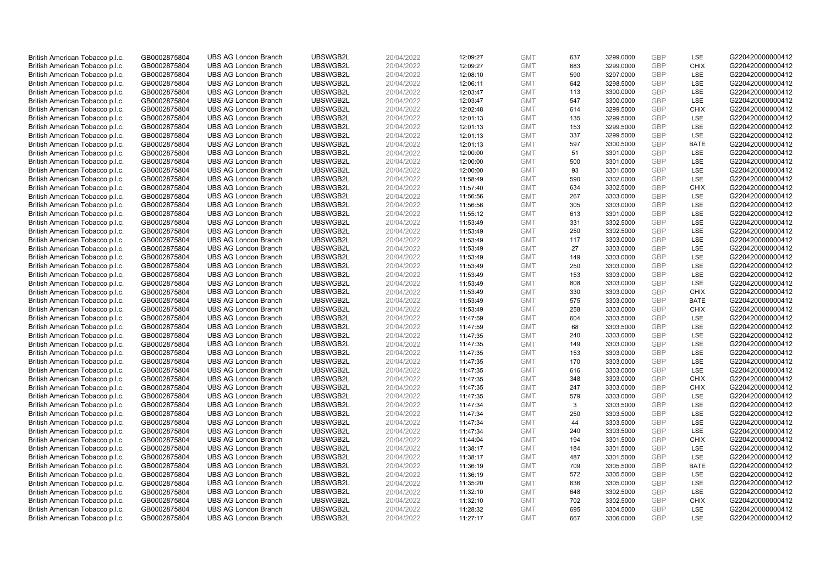| British American Tobacco p.l.c.                                    | GB0002875804                 | <b>UBS AG London Branch</b>                                | UBSWGB2L             | 20/04/2022               | 12:09:27             | <b>GMT</b>               | 637      | 3299.0000              | <b>GBP</b>               | LSE         | G220420000000412                     |
|--------------------------------------------------------------------|------------------------------|------------------------------------------------------------|----------------------|--------------------------|----------------------|--------------------------|----------|------------------------|--------------------------|-------------|--------------------------------------|
| British American Tobacco p.l.c.                                    | GB0002875804                 | <b>UBS AG London Branch</b>                                | UBSWGB2L             | 20/04/2022               | 12:09:27             | <b>GMT</b>               | 683      | 3299.0000              | <b>GBP</b>               | <b>CHIX</b> | G220420000000412                     |
| British American Tobacco p.l.c.                                    | GB0002875804                 | <b>UBS AG London Branch</b>                                | UBSWGB2L             | 20/04/2022               | 12:08:10             | <b>GMT</b>               | 590      | 3297.0000              | <b>GBP</b>               | LSE         | G220420000000412                     |
| British American Tobacco p.l.c.                                    | GB0002875804                 | <b>UBS AG London Branch</b>                                | UBSWGB2L             | 20/04/2022               | 12:06:11             | <b>GMT</b>               | 642      | 3298.5000              | <b>GBP</b>               | LSE         | G220420000000412                     |
| British American Tobacco p.l.c.                                    | GB0002875804                 | <b>UBS AG London Branch</b>                                | UBSWGB2L             | 20/04/2022               | 12:03:47             | <b>GMT</b>               | 113      | 3300.0000              | <b>GBP</b>               | LSE         | G220420000000412                     |
| British American Tobacco p.l.c.                                    | GB0002875804                 | <b>UBS AG London Branch</b>                                | UBSWGB2L             | 20/04/2022               | 12:03:47             | <b>GMT</b>               | 547      | 3300.0000              | <b>GBP</b>               | LSE         | G220420000000412                     |
| British American Tobacco p.l.c.                                    | GB0002875804                 | <b>UBS AG London Branch</b>                                | UBSWGB2L             | 20/04/2022               | 12:02:48             | <b>GMT</b>               | 614      | 3299.5000              | <b>GBP</b>               | <b>CHIX</b> | G220420000000412                     |
| British American Tobacco p.l.c.                                    | GB0002875804                 | <b>UBS AG London Branch</b>                                | UBSWGB2L             | 20/04/2022               | 12:01:13             | <b>GMT</b>               | 135      | 3299.5000              | <b>GBP</b>               | LSE         | G220420000000412                     |
| British American Tobacco p.l.c.                                    | GB0002875804                 | <b>UBS AG London Branch</b>                                | UBSWGB2L             | 20/04/2022               | 12:01:13             | <b>GMT</b>               | 153      | 3299.5000              | <b>GBP</b>               | LSE         | G220420000000412                     |
| British American Tobacco p.l.c.                                    | GB0002875804                 | <b>UBS AG London Branch</b>                                | UBSWGB2L             | 20/04/2022               | 12:01:13             | <b>GMT</b>               | 337      | 3299.5000              | <b>GBP</b>               | <b>LSE</b>  | G220420000000412                     |
| British American Tobacco p.l.c.                                    | GB0002875804                 | <b>UBS AG London Branch</b>                                | UBSWGB2L             | 20/04/2022               | 12:01:13             | <b>GMT</b>               | 597      | 3300.5000              | <b>GBP</b>               | <b>BATE</b> | G220420000000412                     |
| British American Tobacco p.l.c.                                    | GB0002875804                 | <b>UBS AG London Branch</b>                                | UBSWGB2L             | 20/04/2022               | 12:00:00             | <b>GMT</b>               | 51       | 3301.0000              | <b>GBP</b>               | LSE         | G220420000000412                     |
| British American Tobacco p.l.c.                                    | GB0002875804                 | <b>UBS AG London Branch</b>                                | UBSWGB2L             | 20/04/2022               | 12:00:00             | <b>GMT</b>               | 500      | 3301.0000              | <b>GBP</b>               | LSE         | G220420000000412                     |
| British American Tobacco p.l.c.                                    | GB0002875804                 | <b>UBS AG London Branch</b>                                | UBSWGB2L             | 20/04/2022               | 12:00:00             | <b>GMT</b>               | 93       | 3301.0000              | <b>GBP</b>               | LSE         | G220420000000412                     |
| British American Tobacco p.l.c.                                    | GB0002875804                 | <b>UBS AG London Branch</b>                                | UBSWGB2L             | 20/04/2022               | 11:58:49             | <b>GMT</b>               | 590      | 3302.0000              | <b>GBP</b>               | LSE         | G220420000000412                     |
| British American Tobacco p.l.c.                                    | GB0002875804                 | <b>UBS AG London Branch</b>                                | UBSWGB2L             | 20/04/2022               | 11:57:40             | <b>GMT</b>               | 634      | 3302.5000              | <b>GBP</b>               | <b>CHIX</b> | G220420000000412                     |
| British American Tobacco p.l.c.                                    | GB0002875804                 | <b>UBS AG London Branch</b>                                | UBSWGB2L             | 20/04/2022               | 11:56:56             | <b>GMT</b>               | 267      | 3303.0000              | <b>GBP</b>               | LSE         | G220420000000412                     |
| British American Tobacco p.l.c.                                    | GB0002875804                 | <b>UBS AG London Branch</b>                                | UBSWGB2L             | 20/04/2022               | 11:56:56             | <b>GMT</b>               | 305      | 3303.0000              | <b>GBP</b>               | LSE         | G220420000000412                     |
| British American Tobacco p.l.c.                                    | GB0002875804                 | <b>UBS AG London Branch</b>                                | UBSWGB2L             | 20/04/2022               | 11:55:12             | <b>GMT</b>               | 613      | 3301.0000              | <b>GBP</b>               | LSE         | G220420000000412                     |
| British American Tobacco p.l.c.                                    | GB0002875804                 | <b>UBS AG London Branch</b>                                | UBSWGB2L             | 20/04/2022               | 11:53:49             | <b>GMT</b>               | 331      | 3302.5000              | <b>GBP</b>               | LSE         | G220420000000412                     |
| British American Tobacco p.l.c.                                    | GB0002875804                 | <b>UBS AG London Branch</b>                                | UBSWGB2L             | 20/04/2022               | 11:53:49             | <b>GMT</b>               | 250      | 3302.5000              | <b>GBP</b>               | LSE         | G220420000000412                     |
| British American Tobacco p.l.c.                                    | GB0002875804                 | <b>UBS AG London Branch</b>                                | UBSWGB2L             | 20/04/2022               | 11:53:49             | <b>GMT</b>               | 117      | 3303.0000              | <b>GBP</b>               | LSE         | G220420000000412                     |
| British American Tobacco p.l.c.                                    | GB0002875804                 | <b>UBS AG London Branch</b>                                | UBSWGB2L             | 20/04/2022               | 11:53:49             | <b>GMT</b>               | 27       | 3303.0000              | <b>GBP</b>               | LSE         | G220420000000412                     |
| British American Tobacco p.l.c.                                    | GB0002875804                 | <b>UBS AG London Branch</b>                                | UBSWGB2L             | 20/04/2022               | 11:53:49             | <b>GMT</b>               | 149      | 3303.0000              | <b>GBP</b>               | LSE         | G220420000000412                     |
| British American Tobacco p.l.c.                                    | GB0002875804                 | <b>UBS AG London Branch</b>                                | UBSWGB2L             | 20/04/2022               | 11:53:49             | <b>GMT</b>               | 250      | 3303.0000              | <b>GBP</b>               | LSE         | G220420000000412                     |
| British American Tobacco p.l.c.                                    | GB0002875804                 | <b>UBS AG London Branch</b>                                | UBSWGB2L             | 20/04/2022               | 11:53:49             | <b>GMT</b>               | 153      | 3303.0000              | <b>GBP</b>               | LSE         | G220420000000412                     |
| British American Tobacco p.l.c.                                    | GB0002875804                 | <b>UBS AG London Branch</b>                                | UBSWGB2L             | 20/04/2022               | 11:53:49             | <b>GMT</b>               | 808      | 3303.0000              | <b>GBP</b>               | LSE         | G220420000000412                     |
| British American Tobacco p.l.c.                                    | GB0002875804                 | <b>UBS AG London Branch</b>                                | UBSWGB2L             | 20/04/2022               | 11:53:49             | <b>GMT</b>               | 330      | 3303.0000              | <b>GBP</b>               | <b>CHIX</b> | G220420000000412                     |
| British American Tobacco p.l.c.                                    | GB0002875804                 | <b>UBS AG London Branch</b>                                | UBSWGB2L             | 20/04/2022               | 11:53:49             | <b>GMT</b>               | 575      | 3303.0000              | <b>GBP</b>               | <b>BATE</b> | G220420000000412                     |
| British American Tobacco p.l.c.                                    | GB0002875804                 | <b>UBS AG London Branch</b>                                | UBSWGB2L             | 20/04/2022               | 11:53:49             | <b>GMT</b>               | 258      | 3303.0000              | <b>GBP</b>               | <b>CHIX</b> | G220420000000412                     |
| British American Tobacco p.l.c.                                    | GB0002875804                 | <b>UBS AG London Branch</b>                                | UBSWGB2L             | 20/04/2022               | 11:47:59             | <b>GMT</b>               | 604      | 3303.5000              | <b>GBP</b>               | LSE         | G220420000000412                     |
| British American Tobacco p.l.c.                                    | GB0002875804                 | <b>UBS AG London Branch</b>                                | UBSWGB2L             | 20/04/2022               | 11:47:59             | <b>GMT</b>               | 68       | 3303.5000              | <b>GBP</b>               | LSE         | G220420000000412                     |
| British American Tobacco p.l.c.                                    | GB0002875804                 | <b>UBS AG London Branch</b>                                | UBSWGB2L             | 20/04/2022               | 11:47:35             | <b>GMT</b>               | 240      | 3303.0000              | <b>GBP</b>               | LSE         | G220420000000412                     |
| British American Tobacco p.l.c.                                    | GB0002875804                 | <b>UBS AG London Branch</b>                                | UBSWGB2L             | 20/04/2022               | 11:47:35             | <b>GMT</b>               | 149      | 3303.0000              | <b>GBP</b>               | LSE         | G220420000000412                     |
| British American Tobacco p.l.c.                                    | GB0002875804                 | <b>UBS AG London Branch</b>                                | UBSWGB2L             | 20/04/2022               | 11:47:35             | <b>GMT</b>               | 153      | 3303.0000              | <b>GBP</b>               | LSE         | G220420000000412                     |
| British American Tobacco p.l.c.                                    | GB0002875804                 | <b>UBS AG London Branch</b>                                | UBSWGB2L             | 20/04/2022               | 11:47:35             | <b>GMT</b>               | 170      | 3303.0000              | <b>GBP</b>               | LSE         | G220420000000412                     |
| British American Tobacco p.l.c.                                    | GB0002875804                 | <b>UBS AG London Branch</b>                                | UBSWGB2L             | 20/04/2022               | 11:47:35             | <b>GMT</b>               | 616      | 3303.0000              | <b>GBP</b>               | LSE         | G220420000000412                     |
| British American Tobacco p.l.c.                                    | GB0002875804                 | <b>UBS AG London Branch</b>                                | UBSWGB2L             | 20/04/2022               | 11:47:35             | <b>GMT</b>               | 348      | 3303.0000              | <b>GBP</b>               | <b>CHIX</b> | G220420000000412                     |
| British American Tobacco p.l.c.                                    | GB0002875804                 | <b>UBS AG London Branch</b>                                | UBSWGB2L             | 20/04/2022               | 11:47:35             | <b>GMT</b>               | 247      | 3303.0000              | <b>GBP</b>               | <b>CHIX</b> | G220420000000412                     |
| British American Tobacco p.l.c.                                    | GB0002875804                 | <b>UBS AG London Branch</b>                                | UBSWGB2L             | 20/04/2022               | 11:47:35             | <b>GMT</b>               | 579<br>3 | 3303.0000              | <b>GBP</b><br><b>GBP</b> | LSE<br>LSE  | G220420000000412                     |
| British American Tobacco p.l.c.                                    | GB0002875804                 | <b>UBS AG London Branch</b><br><b>UBS AG London Branch</b> | UBSWGB2L<br>UBSWGB2L | 20/04/2022               | 11:47:34             | <b>GMT</b><br><b>GMT</b> | 250      | 3303.5000<br>3303.5000 | <b>GBP</b>               | LSE         | G220420000000412<br>G220420000000412 |
| British American Tobacco p.l.c.                                    | GB0002875804<br>GB0002875804 | <b>UBS AG London Branch</b>                                | UBSWGB2L             | 20/04/2022<br>20/04/2022 | 11:47:34<br>11:47:34 | <b>GMT</b>               | 44       | 3303.5000              | <b>GBP</b>               | LSE         | G220420000000412                     |
| British American Tobacco p.l.c.<br>British American Tobacco p.l.c. | GB0002875804                 | <b>UBS AG London Branch</b>                                | UBSWGB2L             | 20/04/2022               | 11:47:34             | <b>GMT</b>               | 240      | 3303.5000              | GBP                      | LSE         | G220420000000412                     |
| British American Tobacco p.l.c.                                    | GB0002875804                 | <b>UBS AG London Branch</b>                                | UBSWGB2L             | 20/04/2022               | 11:44:04             | <b>GMT</b>               | 194      | 3301.5000              | <b>GBP</b>               | <b>CHIX</b> | G220420000000412                     |
| British American Tobacco p.l.c.                                    | GB0002875804                 | <b>UBS AG London Branch</b>                                | UBSWGB2L             | 20/04/2022               | 11:38:17             | <b>GMT</b>               | 184      | 3301.5000              | <b>GBP</b>               | LSE         | G220420000000412                     |
| British American Tobacco p.l.c.                                    | GB0002875804                 | <b>UBS AG London Branch</b>                                | UBSWGB2L             | 20/04/2022               | 11:38:17             | <b>GMT</b>               | 487      | 3301.5000              | GBP                      | LSE         | G220420000000412                     |
| British American Tobacco p.l.c.                                    | GB0002875804                 | <b>UBS AG London Branch</b>                                | UBSWGB2L             | 20/04/2022               | 11:36:19             | <b>GMT</b>               | 709      | 3305.5000              | <b>GBP</b>               | <b>BATE</b> | G220420000000412                     |
| British American Tobacco p.l.c.                                    | GB0002875804                 | <b>UBS AG London Branch</b>                                | UBSWGB2L             | 20/04/2022               | 11:36:19             | <b>GMT</b>               | 572      | 3305.5000              | <b>GBP</b>               | LSE         | G220420000000412                     |
| British American Tobacco p.l.c.                                    | GB0002875804                 | <b>UBS AG London Branch</b>                                | UBSWGB2L             | 20/04/2022               | 11:35:20             | <b>GMT</b>               | 636      | 3305.0000              | <b>GBP</b>               | LSE         | G220420000000412                     |
| British American Tobacco p.l.c.                                    | GB0002875804                 | <b>UBS AG London Branch</b>                                | UBSWGB2L             | 20/04/2022               | 11:32:10             | <b>GMT</b>               | 648      | 3302.5000              | <b>GBP</b>               | LSE         | G220420000000412                     |
| British American Tobacco p.l.c.                                    | GB0002875804                 | <b>UBS AG London Branch</b>                                | UBSWGB2L             | 20/04/2022               | 11:32:10             | <b>GMT</b>               | 702      | 3302.5000              | <b>GBP</b>               | <b>CHIX</b> | G220420000000412                     |
| British American Tobacco p.l.c.                                    | GB0002875804                 | <b>UBS AG London Branch</b>                                | UBSWGB2L             | 20/04/2022               | 11:28:32             | <b>GMT</b>               | 695      | 3304.5000              | <b>GBP</b>               | LSE         | G220420000000412                     |
| British American Tobacco p.l.c.                                    | GB0002875804                 | <b>UBS AG London Branch</b>                                | UBSWGB2L             | 20/04/2022               | 11:27:17             | <b>GMT</b>               | 667      | 3306.0000              | GBP                      | LSE         | G220420000000412                     |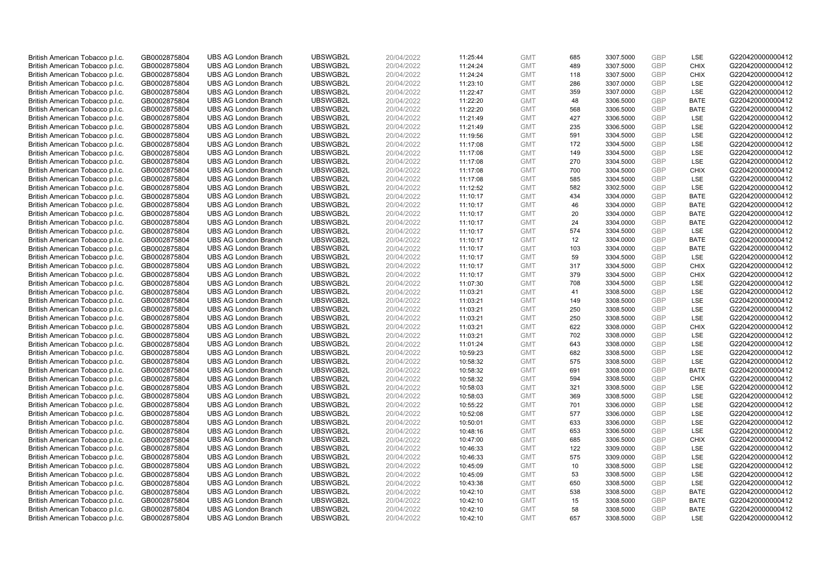| British American Tobacco p.l.c. | GB0002875804 | <b>UBS AG London Branch</b> | UBSWGB2L | 20/04/2022 |          | <b>GMT</b> | 685 | 3307.5000 | <b>GBP</b> | LSE         | G220420000000412 |
|---------------------------------|--------------|-----------------------------|----------|------------|----------|------------|-----|-----------|------------|-------------|------------------|
|                                 |              |                             |          |            | 11:25:44 |            | 489 |           | <b>GBP</b> | CHIX        |                  |
| British American Tobacco p.l.c. | GB0002875804 | <b>UBS AG London Branch</b> | UBSWGB2L | 20/04/2022 | 11:24:24 | <b>GMT</b> |     | 3307.5000 |            |             | G220420000000412 |
| British American Tobacco p.l.c. | GB0002875804 | <b>UBS AG London Branch</b> | UBSWGB2L | 20/04/2022 | 11:24:24 | <b>GMT</b> | 118 | 3307.5000 | <b>GBP</b> | <b>CHIX</b> | G220420000000412 |
| British American Tobacco p.l.c. | GB0002875804 | <b>UBS AG London Branch</b> | UBSWGB2L | 20/04/2022 | 11:23:10 | <b>GMT</b> | 286 | 3307.0000 | <b>GBP</b> | LSE         | G220420000000412 |
| British American Tobacco p.l.c. | GB0002875804 | <b>UBS AG London Branch</b> | UBSWGB2L | 20/04/2022 | 11:22:47 | <b>GMT</b> | 359 | 3307.0000 | <b>GBP</b> | LSE         | G220420000000412 |
| British American Tobacco p.l.c. | GB0002875804 | <b>UBS AG London Branch</b> | UBSWGB2L | 20/04/2022 | 11:22:20 | <b>GMT</b> | 48  | 3306.5000 | <b>GBP</b> | <b>BATE</b> | G220420000000412 |
| British American Tobacco p.l.c. | GB0002875804 | <b>UBS AG London Branch</b> | UBSWGB2L | 20/04/2022 | 11:22:20 | <b>GMT</b> | 568 | 3306.5000 | <b>GBP</b> | <b>BATE</b> | G220420000000412 |
| British American Tobacco p.l.c. | GB0002875804 | <b>UBS AG London Branch</b> | UBSWGB2L | 20/04/2022 | 11:21:49 | <b>GMT</b> | 427 | 3306.5000 | <b>GBP</b> | LSE         | G220420000000412 |
| British American Tobacco p.l.c. | GB0002875804 | <b>UBS AG London Branch</b> | UBSWGB2L | 20/04/2022 | 11:21:49 | <b>GMT</b> | 235 | 3306.5000 | GBP        | LSE         | G220420000000412 |
| British American Tobacco p.l.c. | GB0002875804 | <b>UBS AG London Branch</b> | UBSWGB2L | 20/04/2022 | 11:19:56 | <b>GMT</b> | 591 | 3304.5000 | <b>GBP</b> | LSE         | G220420000000412 |
| British American Tobacco p.l.c. | GB0002875804 | <b>UBS AG London Branch</b> | UBSWGB2L | 20/04/2022 | 11:17:08 | <b>GMT</b> | 172 | 3304.5000 | <b>GBP</b> | <b>LSE</b>  | G220420000000412 |
| British American Tobacco p.l.c. | GB0002875804 | <b>UBS AG London Branch</b> | UBSWGB2L | 20/04/2022 | 11:17:08 | <b>GMT</b> | 149 | 3304.5000 | <b>GBP</b> | LSE         | G220420000000412 |
| British American Tobacco p.l.c. | GB0002875804 | <b>UBS AG London Branch</b> | UBSWGB2L | 20/04/2022 | 11:17:08 | <b>GMT</b> | 270 | 3304.5000 | GBP        | LSE         | G220420000000412 |
| British American Tobacco p.l.c. | GB0002875804 | <b>UBS AG London Branch</b> | UBSWGB2L | 20/04/2022 | 11:17:08 | <b>GMT</b> | 700 | 3304.5000 | <b>GBP</b> | <b>CHIX</b> | G220420000000412 |
| British American Tobacco p.l.c. | GB0002875804 | <b>UBS AG London Branch</b> | UBSWGB2L | 20/04/2022 | 11:17:08 | <b>GMT</b> | 585 | 3304.5000 | GBP        | <b>LSE</b>  | G220420000000412 |
| British American Tobacco p.l.c. | GB0002875804 | <b>UBS AG London Branch</b> | UBSWGB2L | 20/04/2022 | 11:12:52 | <b>GMT</b> | 582 | 3302.5000 | <b>GBP</b> | LSE         | G220420000000412 |
| British American Tobacco p.l.c. | GB0002875804 | <b>UBS AG London Branch</b> | UBSWGB2L | 20/04/2022 | 11:10:17 | <b>GMT</b> | 434 | 3304.0000 | GBP        | <b>BATE</b> | G220420000000412 |
| British American Tobacco p.l.c. | GB0002875804 | <b>UBS AG London Branch</b> | UBSWGB2L | 20/04/2022 | 11:10:17 | <b>GMT</b> | 46  | 3304.0000 | GBP        | <b>BATE</b> | G220420000000412 |
| British American Tobacco p.l.c. | GB0002875804 | <b>UBS AG London Branch</b> | UBSWGB2L | 20/04/2022 | 11:10:17 | <b>GMT</b> | 20  | 3304.0000 | <b>GBP</b> | <b>BATE</b> | G220420000000412 |
| British American Tobacco p.l.c. | GB0002875804 | <b>UBS AG London Branch</b> | UBSWGB2L | 20/04/2022 | 11:10:17 | <b>GMT</b> | 24  | 3304.0000 | <b>GBP</b> | <b>BATE</b> | G220420000000412 |
| British American Tobacco p.l.c. | GB0002875804 | <b>UBS AG London Branch</b> | UBSWGB2L | 20/04/2022 | 11:10:17 | <b>GMT</b> | 574 | 3304.5000 | <b>GBP</b> | LSE         | G220420000000412 |
| British American Tobacco p.l.c. | GB0002875804 | <b>UBS AG London Branch</b> | UBSWGB2L | 20/04/2022 | 11:10:17 | <b>GMT</b> | 12  | 3304.0000 | GBP        | <b>BATE</b> | G220420000000412 |
| British American Tobacco p.l.c. | GB0002875804 | <b>UBS AG London Branch</b> | UBSWGB2L | 20/04/2022 | 11:10:17 | <b>GMT</b> | 103 | 3304.0000 | <b>GBP</b> | <b>BATE</b> | G220420000000412 |
| British American Tobacco p.l.c. | GB0002875804 | <b>UBS AG London Branch</b> | UBSWGB2L | 20/04/2022 | 11:10:17 | <b>GMT</b> | 59  | 3304.5000 | <b>GBP</b> | <b>LSE</b>  | G220420000000412 |
| British American Tobacco p.l.c. | GB0002875804 | <b>UBS AG London Branch</b> | UBSWGB2L | 20/04/2022 | 11:10:17 | <b>GMT</b> | 317 | 3304.5000 | <b>GBP</b> | <b>CHIX</b> | G220420000000412 |
| British American Tobacco p.l.c. | GB0002875804 | <b>UBS AG London Branch</b> | UBSWGB2L | 20/04/2022 | 11:10:17 | <b>GMT</b> | 379 | 3304.5000 | GBP        | <b>CHIX</b> | G220420000000412 |
| British American Tobacco p.l.c. | GB0002875804 | <b>UBS AG London Branch</b> | UBSWGB2L | 20/04/2022 | 11:07:30 | <b>GMT</b> | 708 | 3304.5000 | <b>GBP</b> | <b>LSE</b>  | G220420000000412 |
| British American Tobacco p.l.c. | GB0002875804 | <b>UBS AG London Branch</b> | UBSWGB2L | 20/04/2022 | 11:03:21 | <b>GMT</b> | 41  | 3308.5000 | GBP        | LSE         | G220420000000412 |
| British American Tobacco p.l.c. | GB0002875804 | <b>UBS AG London Branch</b> | UBSWGB2L | 20/04/2022 | 11:03:21 | <b>GMT</b> | 149 | 3308.5000 | <b>GBP</b> | LSE         | G220420000000412 |
| British American Tobacco p.l.c. | GB0002875804 | <b>UBS AG London Branch</b> | UBSWGB2L | 20/04/2022 | 11:03:21 | <b>GMT</b> | 250 | 3308.5000 | GBP        | LSE         | G220420000000412 |
| British American Tobacco p.l.c. | GB0002875804 | <b>UBS AG London Branch</b> | UBSWGB2L | 20/04/2022 | 11:03:21 | <b>GMT</b> | 250 | 3308.5000 | GBP        | LSE         | G220420000000412 |
| British American Tobacco p.l.c. | GB0002875804 | <b>UBS AG London Branch</b> | UBSWGB2L | 20/04/2022 | 11:03:21 | <b>GMT</b> | 622 | 3308.0000 | <b>GBP</b> | CHIX        | G220420000000412 |
| British American Tobacco p.l.c. | GB0002875804 | <b>UBS AG London Branch</b> | UBSWGB2L | 20/04/2022 | 11:03:21 | <b>GMT</b> | 702 | 3308.0000 | <b>GBP</b> | LSE         | G220420000000412 |
| British American Tobacco p.l.c. | GB0002875804 | <b>UBS AG London Branch</b> | UBSWGB2L | 20/04/2022 | 11:01:24 | <b>GMT</b> | 643 | 3308.0000 | <b>GBP</b> | LSE         | G220420000000412 |
| British American Tobacco p.l.c. | GB0002875804 | <b>UBS AG London Branch</b> | UBSWGB2L | 20/04/2022 | 10:59:23 | <b>GMT</b> | 682 | 3308.5000 | GBP        | LSE         | G220420000000412 |
| British American Tobacco p.l.c. | GB0002875804 | <b>UBS AG London Branch</b> | UBSWGB2L | 20/04/2022 | 10:58:32 | <b>GMT</b> | 575 | 3308.5000 | <b>GBP</b> | LSE         | G220420000000412 |
| British American Tobacco p.l.c. | GB0002875804 | <b>UBS AG London Branch</b> | UBSWGB2L | 20/04/2022 | 10:58:32 | <b>GMT</b> | 691 | 3308.0000 | GBP        | <b>BATE</b> | G220420000000412 |
| British American Tobacco p.l.c. | GB0002875804 | <b>UBS AG London Branch</b> | UBSWGB2L | 20/04/2022 | 10:58:32 | <b>GMT</b> | 594 | 3308.5000 | <b>GBP</b> | <b>CHIX</b> | G220420000000412 |
| British American Tobacco p.l.c. | GB0002875804 | <b>UBS AG London Branch</b> | UBSWGB2L | 20/04/2022 | 10:58:03 | <b>GMT</b> | 321 | 3308.5000 | GBP        | LSE         | G220420000000412 |
| British American Tobacco p.l.c. | GB0002875804 | <b>UBS AG London Branch</b> | UBSWGB2L | 20/04/2022 | 10:58:03 | <b>GMT</b> | 369 | 3308.5000 | <b>GBP</b> | <b>LSE</b>  | G220420000000412 |
| British American Tobacco p.l.c. | GB0002875804 | <b>UBS AG London Branch</b> | UBSWGB2L | 20/04/2022 | 10:55:22 | <b>GMT</b> | 701 | 3306.0000 | GBP        | LSE         | G220420000000412 |
| British American Tobacco p.l.c. | GB0002875804 | <b>UBS AG London Branch</b> | UBSWGB2L | 20/04/2022 | 10:52:08 | <b>GMT</b> | 577 | 3306.0000 | <b>GBP</b> | LSE         | G220420000000412 |
| British American Tobacco p.l.c. | GB0002875804 | <b>UBS AG London Branch</b> | UBSWGB2L | 20/04/2022 | 10:50:01 | <b>GMT</b> | 633 | 3306.0000 | GBP        | LSE         | G220420000000412 |
| British American Tobacco p.l.c. | GB0002875804 | <b>UBS AG London Branch</b> | UBSWGB2L | 20/04/2022 | 10:48:16 | <b>GMT</b> | 653 | 3306.5000 | GBP        | LSE         | G220420000000412 |
| British American Tobacco p.l.c. | GB0002875804 | <b>UBS AG London Branch</b> | UBSWGB2L | 20/04/2022 | 10:47:00 | <b>GMT</b> | 685 | 3306.5000 | GBP        | <b>CHIX</b> | G220420000000412 |
| British American Tobacco p.l.c. | GB0002875804 | <b>UBS AG London Branch</b> | UBSWGB2L | 20/04/2022 | 10:46:33 | <b>GMT</b> | 122 | 3309.0000 | <b>GBP</b> | LSE         | G220420000000412 |
| British American Tobacco p.l.c. | GB0002875804 | <b>UBS AG London Branch</b> | UBSWGB2L | 20/04/2022 | 10:46:33 | <b>GMT</b> | 575 | 3309.0000 | GBP        | LSE         | G220420000000412 |
| British American Tobacco p.l.c. | GB0002875804 | <b>UBS AG London Branch</b> | UBSWGB2L | 20/04/2022 | 10:45:09 | <b>GMT</b> | 10  | 3308.5000 | GBP        | LSE         | G220420000000412 |
| British American Tobacco p.l.c. | GB0002875804 | <b>UBS AG London Branch</b> | UBSWGB2L | 20/04/2022 | 10:45:09 | <b>GMT</b> | 53  | 3308.5000 | GBP        | LSE         | G220420000000412 |
| British American Tobacco p.l.c. | GB0002875804 | <b>UBS AG London Branch</b> | UBSWGB2L | 20/04/2022 | 10:43:38 | <b>GMT</b> | 650 | 3308.5000 | GBP        | LSE         | G220420000000412 |
| British American Tobacco p.l.c. | GB0002875804 | <b>UBS AG London Branch</b> | UBSWGB2L | 20/04/2022 | 10:42:10 | <b>GMT</b> | 538 | 3308.5000 | <b>GBP</b> | <b>BATE</b> | G220420000000412 |
| British American Tobacco p.l.c. | GB0002875804 | <b>UBS AG London Branch</b> | UBSWGB2L | 20/04/2022 | 10:42:10 | <b>GMT</b> | 15  | 3308.5000 | <b>GBP</b> | <b>BATE</b> | G220420000000412 |
| British American Tobacco p.l.c. | GB0002875804 | <b>UBS AG London Branch</b> | UBSWGB2L | 20/04/2022 | 10:42:10 | <b>GMT</b> | 58  | 3308.5000 | <b>GBP</b> | <b>BATE</b> | G220420000000412 |
| British American Tobacco p.l.c. | GB0002875804 | <b>UBS AG London Branch</b> | UBSWGB2L | 20/04/2022 | 10:42:10 | <b>GMT</b> | 657 | 3308.5000 | GBP        | <b>LSE</b>  | G220420000000412 |
|                                 |              |                             |          |            |          |            |     |           |            |             |                  |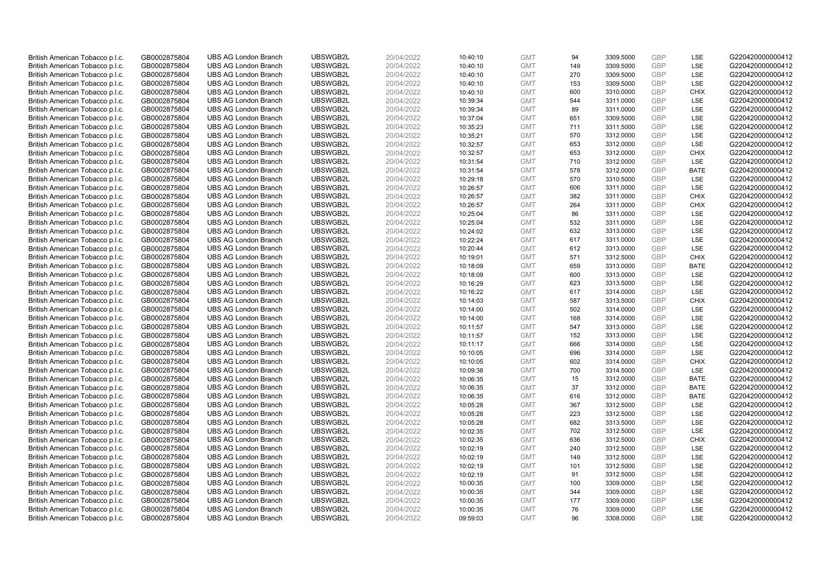| British American Tobacco p.l.c.                                    | GB0002875804                 | <b>UBS AG London Branch</b> | UBSWGB2L | 20/04/2022 | 10:40:10 | <b>GMT</b> | 94  | 3309.5000 | <b>GBP</b> | LSE         | G220420000000412 |
|--------------------------------------------------------------------|------------------------------|-----------------------------|----------|------------|----------|------------|-----|-----------|------------|-------------|------------------|
|                                                                    |                              |                             |          |            |          |            |     |           | GBP        | LSE         |                  |
| British American Tobacco p.l.c.                                    | GB0002875804                 | <b>UBS AG London Branch</b> | UBSWGB2L | 20/04/2022 | 10:40:10 | <b>GMT</b> | 149 | 3309.5000 |            |             | G220420000000412 |
| British American Tobacco p.l.c.                                    | GB0002875804                 | <b>UBS AG London Branch</b> | UBSWGB2L | 20/04/2022 | 10:40:10 | <b>GMT</b> | 270 | 3309.5000 | <b>GBP</b> | LSE         | G220420000000412 |
| British American Tobacco p.l.c.                                    | GB0002875804                 | <b>UBS AG London Branch</b> | UBSWGB2L | 20/04/2022 | 10:40:10 | <b>GMT</b> | 153 | 3309.5000 | GBP        | LSE         | G220420000000412 |
| British American Tobacco p.l.c.                                    | GB0002875804                 | <b>UBS AG London Branch</b> | UBSWGB2L | 20/04/2022 | 10:40:10 | <b>GMT</b> | 600 | 3310.0000 | <b>GBP</b> | <b>CHIX</b> | G220420000000412 |
| British American Tobacco p.l.c.                                    | GB0002875804                 | <b>UBS AG London Branch</b> | UBSWGB2L | 20/04/2022 | 10:39:34 | <b>GMT</b> | 544 | 3311.0000 | <b>GBP</b> | <b>LSE</b>  | G220420000000412 |
| British American Tobacco p.l.c.                                    | GB0002875804                 | <b>UBS AG London Branch</b> | UBSWGB2L | 20/04/2022 | 10:39:34 | <b>GMT</b> | 89  | 3311.0000 | <b>GBP</b> | LSE         | G220420000000412 |
| British American Tobacco p.l.c.                                    | GB0002875804                 | <b>UBS AG London Branch</b> | UBSWGB2L | 20/04/2022 | 10:37:04 | <b>GMT</b> | 651 | 3309.5000 | <b>GBP</b> | LSE         | G220420000000412 |
| British American Tobacco p.l.c.                                    | GB0002875804                 | <b>UBS AG London Branch</b> | UBSWGB2L | 20/04/2022 | 10:35:23 | <b>GMT</b> | 711 | 3311.5000 | GBP        | LSE         | G220420000000412 |
| British American Tobacco p.l.c.                                    | GB0002875804                 | <b>UBS AG London Branch</b> | UBSWGB2L | 20/04/2022 | 10:35:21 | <b>GMT</b> | 570 | 3312.0000 | <b>GBP</b> | LSE         | G220420000000412 |
| British American Tobacco p.l.c.                                    | GB0002875804                 | <b>UBS AG London Branch</b> | UBSWGB2L | 20/04/2022 | 10:32:57 | <b>GMT</b> | 653 | 3312.0000 | <b>GBP</b> | <b>LSE</b>  | G220420000000412 |
| British American Tobacco p.l.c.                                    | GB0002875804                 | <b>UBS AG London Branch</b> | UBSWGB2L | 20/04/2022 | 10:32:57 | <b>GMT</b> | 653 | 3312.0000 | <b>GBP</b> | <b>CHIX</b> | G220420000000412 |
| British American Tobacco p.l.c.                                    | GB0002875804                 | <b>UBS AG London Branch</b> | UBSWGB2L | 20/04/2022 | 10:31:54 | <b>GMT</b> | 710 | 3312.0000 | <b>GBP</b> | LSE         | G220420000000412 |
| British American Tobacco p.l.c.                                    | GB0002875804                 | <b>UBS AG London Branch</b> | UBSWGB2L | 20/04/2022 | 10:31:54 | <b>GMT</b> | 578 | 3312.0000 | <b>GBP</b> | <b>BATE</b> | G220420000000412 |
| British American Tobacco p.l.c.                                    | GB0002875804                 | <b>UBS AG London Branch</b> | UBSWGB2L | 20/04/2022 | 10:29:18 | <b>GMT</b> | 570 | 3310.5000 | GBP        | <b>LSE</b>  | G220420000000412 |
| British American Tobacco p.l.c.                                    | GB0002875804                 | <b>UBS AG London Branch</b> | UBSWGB2L | 20/04/2022 | 10:26:57 | <b>GMT</b> | 606 | 3311.0000 | <b>GBP</b> | LSE         | G220420000000412 |
| British American Tobacco p.l.c.                                    | GB0002875804                 | <b>UBS AG London Branch</b> | UBSWGB2L | 20/04/2022 | 10:26:57 | <b>GMT</b> | 382 | 3311.0000 | GBP        | <b>CHIX</b> | G220420000000412 |
| British American Tobacco p.l.c.                                    | GB0002875804                 | <b>UBS AG London Branch</b> | UBSWGB2L | 20/04/2022 | 10:26:57 | <b>GMT</b> | 264 | 3311.0000 | GBP        | <b>CHIX</b> | G220420000000412 |
| British American Tobacco p.l.c.                                    | GB0002875804                 | <b>UBS AG London Branch</b> | UBSWGB2L | 20/04/2022 | 10:25:04 | <b>GMT</b> | 86  | 3311.0000 | <b>GBP</b> | <b>LSE</b>  | G220420000000412 |
| British American Tobacco p.l.c.                                    | GB0002875804                 | <b>UBS AG London Branch</b> | UBSWGB2L | 20/04/2022 | 10:25:04 | <b>GMT</b> | 532 | 3311.0000 | <b>GBP</b> | LSE         | G220420000000412 |
| British American Tobacco p.l.c.                                    | GB0002875804                 | <b>UBS AG London Branch</b> | UBSWGB2L | 20/04/2022 | 10:24:02 | <b>GMT</b> | 632 | 3313.0000 | <b>GBP</b> | LSE         | G220420000000412 |
| British American Tobacco p.l.c.                                    | GB0002875804                 | <b>UBS AG London Branch</b> | UBSWGB2L | 20/04/2022 | 10:22:24 | <b>GMT</b> | 617 | 3311.0000 | GBP        | LSE         | G220420000000412 |
| British American Tobacco p.l.c.                                    | GB0002875804                 | <b>UBS AG London Branch</b> | UBSWGB2L | 20/04/2022 | 10:20:44 | <b>GMT</b> | 612 | 3313.0000 | <b>GBP</b> | LSE         | G220420000000412 |
| British American Tobacco p.l.c.                                    | GB0002875804                 | <b>UBS AG London Branch</b> | UBSWGB2L | 20/04/2022 | 10:19:01 | <b>GMT</b> | 571 | 3312.5000 | <b>GBP</b> | <b>CHIX</b> | G220420000000412 |
| British American Tobacco p.l.c.                                    | GB0002875804                 | <b>UBS AG London Branch</b> | UBSWGB2L | 20/04/2022 | 10:18:09 | <b>GMT</b> | 659 | 3313.0000 | <b>GBP</b> | <b>BATE</b> | G220420000000412 |
| British American Tobacco p.l.c.                                    | GB0002875804                 | <b>UBS AG London Branch</b> | UBSWGB2L | 20/04/2022 | 10:18:09 | <b>GMT</b> | 600 | 3313.0000 | GBP        | LSE         | G220420000000412 |
| British American Tobacco p.l.c.                                    | GB0002875804                 | <b>UBS AG London Branch</b> | UBSWGB2L | 20/04/2022 | 10:16:29 | <b>GMT</b> | 623 | 3313.5000 | <b>GBP</b> | LSE         | G220420000000412 |
| British American Tobacco p.l.c.                                    | GB0002875804                 | <b>UBS AG London Branch</b> | UBSWGB2L | 20/04/2022 | 10:16:22 | <b>GMT</b> | 617 | 3314.0000 | GBP        | LSE         | G220420000000412 |
| British American Tobacco p.l.c.                                    | GB0002875804                 | <b>UBS AG London Branch</b> | UBSWGB2L | 20/04/2022 | 10:14:03 | <b>GMT</b> | 587 | 3313.5000 | <b>GBP</b> | <b>CHIX</b> | G220420000000412 |
| British American Tobacco p.l.c.                                    | GB0002875804                 | <b>UBS AG London Branch</b> | UBSWGB2L | 20/04/2022 | 10:14:00 | <b>GMT</b> | 502 | 3314.0000 | GBP        | LSE         | G220420000000412 |
| British American Tobacco p.l.c.                                    | GB0002875804                 | <b>UBS AG London Branch</b> | UBSWGB2L | 20/04/2022 | 10:14:00 | <b>GMT</b> | 168 | 3314.0000 | <b>GBP</b> | <b>LSE</b>  | G220420000000412 |
| British American Tobacco p.l.c.                                    | GB0002875804                 | <b>UBS AG London Branch</b> | UBSWGB2L | 20/04/2022 | 10:11:57 | <b>GMT</b> | 547 | 3313.0000 | <b>GBP</b> | <b>LSE</b>  | G220420000000412 |
| British American Tobacco p.l.c.                                    | GB0002875804                 | <b>UBS AG London Branch</b> | UBSWGB2L | 20/04/2022 | 10:11:57 | <b>GMT</b> | 152 | 3313.0000 | <b>GBP</b> | LSE         | G220420000000412 |
| British American Tobacco p.l.c.                                    | GB0002875804                 | <b>UBS AG London Branch</b> | UBSWGB2L | 20/04/2022 | 10:11:17 | <b>GMT</b> | 666 | 3314.0000 | <b>GBP</b> | LSE         | G220420000000412 |
| British American Tobacco p.l.c.                                    | GB0002875804                 | <b>UBS AG London Branch</b> | UBSWGB2L | 20/04/2022 | 10:10:05 | <b>GMT</b> | 696 | 3314.0000 | GBP        | LSE         | G220420000000412 |
| British American Tobacco p.l.c.                                    | GB0002875804                 | <b>UBS AG London Branch</b> | UBSWGB2L | 20/04/2022 | 10:10:05 | <b>GMT</b> | 602 | 3314.0000 | <b>GBP</b> | <b>CHIX</b> | G220420000000412 |
| British American Tobacco p.l.c.                                    | GB0002875804                 | <b>UBS AG London Branch</b> | UBSWGB2L | 20/04/2022 | 10:09:38 | <b>GMT</b> | 700 | 3314.5000 | <b>GBP</b> | LSE         | G220420000000412 |
| British American Tobacco p.l.c.                                    | GB0002875804                 | <b>UBS AG London Branch</b> | UBSWGB2L | 20/04/2022 | 10:06:35 | <b>GMT</b> | 15  | 3312.0000 | <b>GBP</b> | <b>BATE</b> | G220420000000412 |
| British American Tobacco p.l.c.                                    | GB0002875804                 | <b>UBS AG London Branch</b> | UBSWGB2L | 20/04/2022 | 10:06:35 | <b>GMT</b> | 37  | 3312.0000 | GBP        | <b>BATE</b> | G220420000000412 |
| British American Tobacco p.l.c.                                    | GB0002875804                 | <b>UBS AG London Branch</b> | UBSWGB2L | 20/04/2022 | 10:06:35 | <b>GMT</b> | 616 | 3312.0000 | <b>GBP</b> | <b>BATE</b> | G220420000000412 |
| British American Tobacco p.l.c.                                    | GB0002875804                 | <b>UBS AG London Branch</b> | UBSWGB2L | 20/04/2022 | 10:05:28 | <b>GMT</b> | 367 | 3312.5000 | GBP        | LSE         | G220420000000412 |
| British American Tobacco p.l.c.                                    | GB0002875804                 | <b>UBS AG London Branch</b> | UBSWGB2L | 20/04/2022 | 10:05:28 | <b>GMT</b> | 223 | 3312.5000 | <b>GBP</b> | LSE         | G220420000000412 |
| British American Tobacco p.l.c.                                    | GB0002875804                 | <b>UBS AG London Branch</b> | UBSWGB2L | 20/04/2022 | 10:05:28 | <b>GMT</b> | 682 | 3313.5000 | GBP        | LSE         | G220420000000412 |
| British American Tobacco p.l.c.                                    | GB0002875804                 | <b>UBS AG London Branch</b> | UBSWGB2L | 20/04/2022 | 10:02:35 | <b>GMT</b> | 702 | 3312.5000 | GBP        | LSE         | G220420000000412 |
| British American Tobacco p.l.c.                                    | GB0002875804                 | <b>UBS AG London Branch</b> | UBSWGB2L | 20/04/2022 | 10:02:35 | <b>GMT</b> | 636 | 3312.5000 | GBP        | <b>CHIX</b> | G220420000000412 |
|                                                                    |                              | <b>UBS AG London Branch</b> | UBSWGB2L | 20/04/2022 | 10:02:19 | <b>GMT</b> | 240 | 3312.5000 | <b>GBP</b> | LSE         | G220420000000412 |
| British American Tobacco p.l.c.<br>British American Tobacco p.l.c. | GB0002875804<br>GB0002875804 | <b>UBS AG London Branch</b> | UBSWGB2L | 20/04/2022 | 10:02:19 | <b>GMT</b> | 149 | 3312.5000 | GBP        | LSE         | G220420000000412 |
|                                                                    |                              | <b>UBS AG London Branch</b> | UBSWGB2L |            |          | <b>GMT</b> | 101 |           | GBP        | LSE         | G220420000000412 |
| British American Tobacco p.l.c.                                    | GB0002875804                 |                             |          | 20/04/2022 | 10:02:19 | <b>GMT</b> |     | 3312.5000 | GBP        |             |                  |
| British American Tobacco p.l.c.                                    | GB0002875804                 | <b>UBS AG London Branch</b> | UBSWGB2L | 20/04/2022 | 10:02:19 |            | 91  | 3312.5000 | GBP        | LSE         | G220420000000412 |
| British American Tobacco p.l.c.                                    | GB0002875804                 | <b>UBS AG London Branch</b> | UBSWGB2L | 20/04/2022 | 10:00:35 | <b>GMT</b> | 100 | 3309.0000 |            | <b>LSE</b>  | G220420000000412 |
| British American Tobacco p.l.c.                                    | GB0002875804                 | <b>UBS AG London Branch</b> | UBSWGB2L | 20/04/2022 | 10:00:35 | <b>GMT</b> | 344 | 3309.0000 | <b>GBP</b> | LSE         | G220420000000412 |
| British American Tobacco p.l.c.                                    | GB0002875804                 | <b>UBS AG London Branch</b> | UBSWGB2L | 20/04/2022 | 10:00:35 | <b>GMT</b> | 177 | 3309.0000 | GBP        | LSE         | G220420000000412 |
| British American Tobacco p.l.c.                                    | GB0002875804                 | <b>UBS AG London Branch</b> | UBSWGB2L | 20/04/2022 | 10:00:35 | <b>GMT</b> | 76  | 3309.0000 | <b>GBP</b> | LSE         | G220420000000412 |
| British American Tobacco p.l.c.                                    | GB0002875804                 | <b>UBS AG London Branch</b> | UBSWGB2L | 20/04/2022 | 09:59:03 | <b>GMT</b> | 96  | 3308.0000 | GBP        | <b>LSE</b>  | G220420000000412 |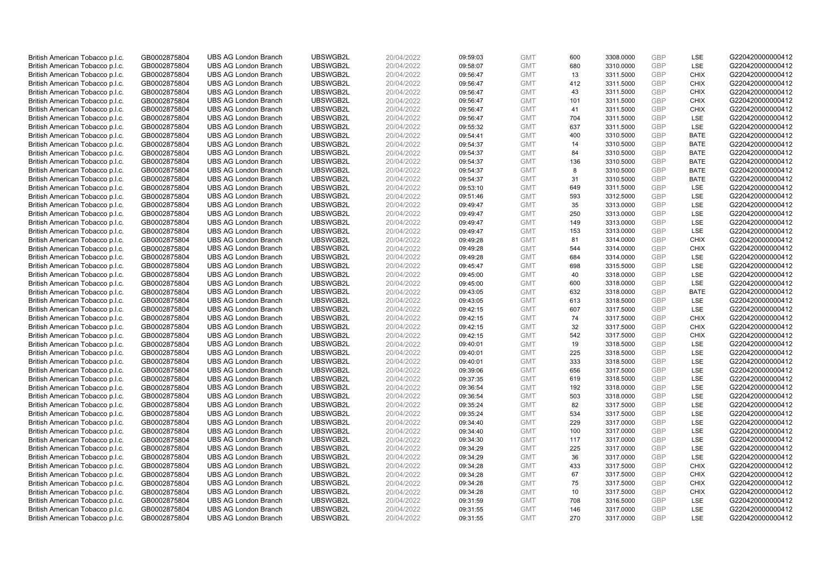| British American Tobacco p.l.c. | GB0002875804 | <b>UBS AG London Branch</b> | UBSWGB2L | 20/04/2022 | 09:59:03 | <b>GMT</b> | 600 | 3308.0000 | <b>GBP</b> | LSE         | G220420000000412 |
|---------------------------------|--------------|-----------------------------|----------|------------|----------|------------|-----|-----------|------------|-------------|------------------|
| British American Tobacco p.l.c. | GB0002875804 | <b>UBS AG London Branch</b> | UBSWGB2L | 20/04/2022 | 09:58:07 | <b>GMT</b> | 680 | 3310.0000 | <b>GBP</b> | LSE         | G220420000000412 |
| British American Tobacco p.l.c. | GB0002875804 | <b>UBS AG London Branch</b> | UBSWGB2L | 20/04/2022 | 09:56:47 | <b>GMT</b> | 13  | 3311.5000 | <b>GBP</b> | <b>CHIX</b> | G220420000000412 |
| British American Tobacco p.l.c. | GB0002875804 | <b>UBS AG London Branch</b> | UBSWGB2L | 20/04/2022 | 09:56:47 | <b>GMT</b> | 412 | 3311.5000 | <b>GBP</b> | CHIX        | G220420000000412 |
| British American Tobacco p.l.c. | GB0002875804 | <b>UBS AG London Branch</b> | UBSWGB2L | 20/04/2022 | 09:56:47 | <b>GMT</b> | 43  | 3311.5000 | <b>GBP</b> | <b>CHIX</b> | G220420000000412 |
| British American Tobacco p.l.c. | GB0002875804 | <b>UBS AG London Branch</b> | UBSWGB2L | 20/04/2022 | 09:56:47 | <b>GMT</b> | 101 | 3311.5000 | GBP        | <b>CHIX</b> | G220420000000412 |
| British American Tobacco p.l.c. | GB0002875804 | <b>UBS AG London Branch</b> | UBSWGB2L | 20/04/2022 | 09:56:47 | <b>GMT</b> | 41  | 3311.5000 | <b>GBP</b> | <b>CHIX</b> | G220420000000412 |
| British American Tobacco p.l.c. | GB0002875804 | <b>UBS AG London Branch</b> | UBSWGB2L | 20/04/2022 | 09:56:47 | <b>GMT</b> | 704 | 3311.5000 | GBP        | LSE         | G220420000000412 |
| British American Tobacco p.l.c. | GB0002875804 | <b>UBS AG London Branch</b> | UBSWGB2L | 20/04/2022 | 09:55:32 | <b>GMT</b> | 637 | 3311.5000 | <b>GBP</b> | LSE         | G220420000000412 |
| British American Tobacco p.l.c. | GB0002875804 | <b>UBS AG London Branch</b> | UBSWGB2L | 20/04/2022 | 09:54:41 | <b>GMT</b> | 400 | 3310.5000 | <b>GBP</b> | <b>BATE</b> | G220420000000412 |
| British American Tobacco p.l.c. | GB0002875804 | <b>UBS AG London Branch</b> | UBSWGB2L | 20/04/2022 | 09:54:37 | <b>GMT</b> | 14  | 3310.5000 | <b>GBP</b> | <b>BATE</b> | G220420000000412 |
| British American Tobacco p.l.c. | GB0002875804 | <b>UBS AG London Branch</b> | UBSWGB2L | 20/04/2022 | 09:54:37 | <b>GMT</b> | 84  | 3310.5000 | <b>GBP</b> | <b>BATE</b> | G220420000000412 |
| British American Tobacco p.l.c. | GB0002875804 | <b>UBS AG London Branch</b> | UBSWGB2L | 20/04/2022 | 09:54:37 | <b>GMT</b> | 136 | 3310.5000 | GBP        | <b>BATE</b> | G220420000000412 |
| British American Tobacco p.l.c. | GB0002875804 | <b>UBS AG London Branch</b> | UBSWGB2L | 20/04/2022 | 09:54:37 | <b>GMT</b> | 8   | 3310.5000 | <b>GBP</b> | <b>BATE</b> | G220420000000412 |
| British American Tobacco p.l.c. | GB0002875804 | <b>UBS AG London Branch</b> | UBSWGB2L | 20/04/2022 | 09:54:37 | <b>GMT</b> | 31  | 3310.5000 | <b>GBP</b> | <b>BATE</b> | G220420000000412 |
| British American Tobacco p.l.c. | GB0002875804 | <b>UBS AG London Branch</b> | UBSWGB2L | 20/04/2022 | 09:53:10 | <b>GMT</b> | 649 | 3311.5000 | <b>GBP</b> | LSE         | G220420000000412 |
| British American Tobacco p.l.c. | GB0002875804 | <b>UBS AG London Branch</b> | UBSWGB2L | 20/04/2022 | 09:51:46 | <b>GMT</b> | 593 | 3312.5000 | GBP        | LSE         | G220420000000412 |
| British American Tobacco p.l.c. | GB0002875804 | <b>UBS AG London Branch</b> | UBSWGB2L | 20/04/2022 | 09:49:47 | <b>GMT</b> | 35  | 3313.0000 | <b>GBP</b> | LSE         | G220420000000412 |
| British American Tobacco p.l.c. | GB0002875804 | <b>UBS AG London Branch</b> | UBSWGB2L | 20/04/2022 | 09:49:47 | <b>GMT</b> | 250 | 3313.0000 | GBP        | <b>LSE</b>  | G220420000000412 |
| British American Tobacco p.l.c. | GB0002875804 | <b>UBS AG London Branch</b> | UBSWGB2L | 20/04/2022 | 09:49:47 | <b>GMT</b> | 149 | 3313.0000 | <b>GBP</b> | LSE         | G220420000000412 |
| British American Tobacco p.l.c. | GB0002875804 | <b>UBS AG London Branch</b> | UBSWGB2L | 20/04/2022 | 09:49:47 | <b>GMT</b> | 153 | 3313.0000 | GBP        | LSE         | G220420000000412 |
| British American Tobacco p.l.c. | GB0002875804 | <b>UBS AG London Branch</b> | UBSWGB2L | 20/04/2022 | 09:49:28 | <b>GMT</b> | 81  | 3314.0000 | <b>GBP</b> | <b>CHIX</b> | G220420000000412 |
| British American Tobacco p.l.c. | GB0002875804 | <b>UBS AG London Branch</b> | UBSWGB2L | 20/04/2022 | 09:49:28 | <b>GMT</b> | 544 | 3314.0000 | GBP        | <b>CHIX</b> | G220420000000412 |
| British American Tobacco p.l.c. | GB0002875804 | <b>UBS AG London Branch</b> | UBSWGB2L | 20/04/2022 | 09:49:28 | <b>GMT</b> | 684 | 3314.0000 | <b>GBP</b> | LSE         | G220420000000412 |
| British American Tobacco p.l.c. | GB0002875804 | <b>UBS AG London Branch</b> | UBSWGB2L | 20/04/2022 | 09:45:47 | <b>GMT</b> | 698 | 3315.5000 | <b>GBP</b> | <b>LSE</b>  | G220420000000412 |
| British American Tobacco p.l.c. | GB0002875804 | <b>UBS AG London Branch</b> | UBSWGB2L | 20/04/2022 | 09:45:00 | <b>GMT</b> | 40  | 3318.0000 | GBP        | LSE         | G220420000000412 |
| British American Tobacco p.l.c. | GB0002875804 | <b>UBS AG London Branch</b> | UBSWGB2L | 20/04/2022 | 09:45:00 | <b>GMT</b> | 600 | 3318.0000 | <b>GBP</b> | LSE         | G220420000000412 |
| British American Tobacco p.l.c. | GB0002875804 | <b>UBS AG London Branch</b> | UBSWGB2L | 20/04/2022 | 09:43:05 | <b>GMT</b> | 632 | 3318.0000 | GBP        | <b>BATE</b> | G220420000000412 |
| British American Tobacco p.l.c. | GB0002875804 | <b>UBS AG London Branch</b> | UBSWGB2L | 20/04/2022 | 09:43:05 | <b>GMT</b> | 613 | 3318.5000 | <b>GBP</b> | LSE         | G220420000000412 |
| British American Tobacco p.l.c. | GB0002875804 | <b>UBS AG London Branch</b> | UBSWGB2L | 20/04/2022 | 09:42:15 | <b>GMT</b> | 607 | 3317.5000 | <b>GBP</b> | LSE         | G220420000000412 |
| British American Tobacco p.l.c. | GB0002875804 | <b>UBS AG London Branch</b> | UBSWGB2L | 20/04/2022 | 09:42:15 | <b>GMT</b> | 74  | 3317.5000 | <b>GBP</b> | <b>CHIX</b> | G220420000000412 |
| British American Tobacco p.l.c. | GB0002875804 | <b>UBS AG London Branch</b> | UBSWGB2L | 20/04/2022 | 09:42:15 | <b>GMT</b> | 32  | 3317.5000 | GBP        | <b>CHIX</b> | G220420000000412 |
| British American Tobacco p.l.c. | GB0002875804 | <b>UBS AG London Branch</b> | UBSWGB2L | 20/04/2022 | 09:42:15 | <b>GMT</b> | 542 | 3317.5000 | <b>GBP</b> | CHIX        | G220420000000412 |
| British American Tobacco p.l.c. | GB0002875804 | <b>UBS AG London Branch</b> | UBSWGB2L | 20/04/2022 | 09:40:01 | <b>GMT</b> | 19  | 3318.5000 | <b>GBP</b> | LSE         | G220420000000412 |
| British American Tobacco p.l.c. | GB0002875804 | <b>UBS AG London Branch</b> | UBSWGB2L | 20/04/2022 | 09:40:01 | <b>GMT</b> | 225 | 3318.5000 | GBP        | <b>LSE</b>  | G220420000000412 |
| British American Tobacco p.l.c. | GB0002875804 | <b>UBS AG London Branch</b> | UBSWGB2L | 20/04/2022 | 09:40:01 | <b>GMT</b> | 333 | 3318.5000 | <b>GBP</b> | LSE         | G220420000000412 |
| British American Tobacco p.l.c. | GB0002875804 | <b>UBS AG London Branch</b> | UBSWGB2L | 20/04/2022 | 09:39:06 | <b>GMT</b> | 656 | 3317.5000 | <b>GBP</b> | <b>LSE</b>  | G220420000000412 |
| British American Tobacco p.l.c. | GB0002875804 | <b>UBS AG London Branch</b> | UBSWGB2L | 20/04/2022 | 09:37:35 | <b>GMT</b> | 619 | 3318.5000 | <b>GBP</b> | LSE         | G220420000000412 |
| British American Tobacco p.l.c. | GB0002875804 | <b>UBS AG London Branch</b> | UBSWGB2L | 20/04/2022 | 09:36:54 | <b>GMT</b> | 192 | 3318.0000 | <b>GBP</b> | LSE         | G220420000000412 |
| British American Tobacco p.l.c. | GB0002875804 | <b>UBS AG London Branch</b> | UBSWGB2L | 20/04/2022 | 09:36:54 | <b>GMT</b> | 503 | 3318.0000 | <b>GBP</b> | LSE         | G220420000000412 |
| British American Tobacco p.l.c. | GB0002875804 | <b>UBS AG London Branch</b> | UBSWGB2L | 20/04/2022 | 09:35:24 | <b>GMT</b> | 82  | 3317.5000 | GBP        | <b>LSE</b>  | G220420000000412 |
| British American Tobacco p.l.c. | GB0002875804 | <b>UBS AG London Branch</b> | UBSWGB2L | 20/04/2022 | 09:35:24 | <b>GMT</b> | 534 | 3317.5000 | GBP        | LSE         | G220420000000412 |
| British American Tobacco p.l.c. | GB0002875804 | <b>UBS AG London Branch</b> | UBSWGB2L | 20/04/2022 | 09:34:40 | <b>GMT</b> | 229 | 3317.0000 | GBP        | LSE         | G220420000000412 |
| British American Tobacco p.l.c. | GB0002875804 | <b>UBS AG London Branch</b> | UBSWGB2L | 20/04/2022 | 09:34:40 | <b>GMT</b> | 100 | 3317.0000 | GBP        | LSE         | G220420000000412 |
| British American Tobacco p.l.c. | GB0002875804 | <b>UBS AG London Branch</b> | UBSWGB2L | 20/04/2022 | 09:34:30 | <b>GMT</b> | 117 | 3317.0000 | <b>GBP</b> | <b>LSE</b>  | G220420000000412 |
| British American Tobacco p.l.c. | GB0002875804 | <b>UBS AG London Branch</b> | UBSWGB2L | 20/04/2022 | 09:34:29 | <b>GMT</b> | 225 | 3317.0000 | GBP        | LSE         | G220420000000412 |
| British American Tobacco p.l.c. | GB0002875804 | <b>UBS AG London Branch</b> | UBSWGB2L | 20/04/2022 | 09:34:29 | <b>GMT</b> | 36  | 3317.0000 | <b>GBP</b> | LSE         | G220420000000412 |
| British American Tobacco p.l.c. | GB0002875804 | <b>UBS AG London Branch</b> | UBSWGB2L | 20/04/2022 | 09:34:28 | <b>GMT</b> | 433 | 3317.5000 | GBP        | <b>CHIX</b> | G220420000000412 |
| British American Tobacco p.l.c. | GB0002875804 | <b>UBS AG London Branch</b> | UBSWGB2L | 20/04/2022 | 09:34:28 | <b>GMT</b> | 67  | 3317.5000 | <b>GBP</b> | <b>CHIX</b> | G220420000000412 |
| British American Tobacco p.l.c. | GB0002875804 | <b>UBS AG London Branch</b> | UBSWGB2L | 20/04/2022 | 09:34:28 | <b>GMT</b> | 75  | 3317.5000 | GBP        | <b>CHIX</b> | G220420000000412 |
| British American Tobacco p.l.c. | GB0002875804 | <b>UBS AG London Branch</b> | UBSWGB2L | 20/04/2022 | 09:34:28 | <b>GMT</b> | 10  | 3317.5000 | <b>GBP</b> | <b>CHIX</b> | G220420000000412 |
| British American Tobacco p.l.c. | GB0002875804 | <b>UBS AG London Branch</b> | UBSWGB2L | 20/04/2022 | 09:31:59 | <b>GMT</b> | 708 | 3316.5000 | GBP        | LSE         | G220420000000412 |
| British American Tobacco p.l.c. | GB0002875804 | <b>UBS AG London Branch</b> | UBSWGB2L | 20/04/2022 | 09:31:55 | <b>GMT</b> | 146 | 3317.0000 | <b>GBP</b> | LSE         | G220420000000412 |
| British American Tobacco p.l.c. | GB0002875804 | <b>UBS AG London Branch</b> | UBSWGB2L | 20/04/2022 | 09:31:55 | <b>GMT</b> | 270 | 3317.0000 | GBP        | <b>LSE</b>  | G220420000000412 |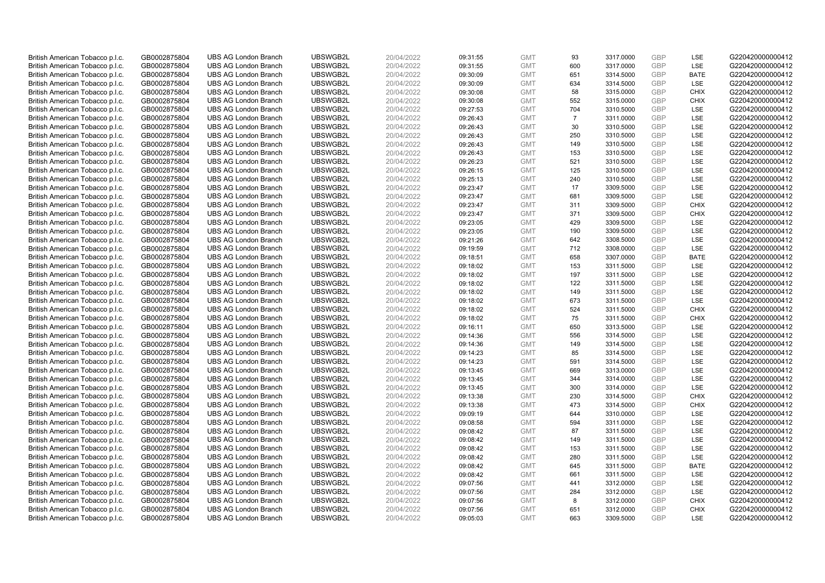| British American Tobacco p.l.c. | GB0002875804 | <b>UBS AG London Branch</b> | UBSWGB2L | 20/04/2022 | 09:31:55 | <b>GMT</b> | 93             | 3317.0000 | <b>GBP</b>               | LSE         | G220420000000412 |
|---------------------------------|--------------|-----------------------------|----------|------------|----------|------------|----------------|-----------|--------------------------|-------------|------------------|
| British American Tobacco p.l.c. | GB0002875804 | <b>UBS AG London Branch</b> | UBSWGB2L | 20/04/2022 | 09:31:55 | <b>GMT</b> | 600            | 3317.0000 | <b>GBP</b>               | LSE         | G220420000000412 |
| British American Tobacco p.l.c. | GB0002875804 | <b>UBS AG London Branch</b> | UBSWGB2L | 20/04/2022 | 09:30:09 | <b>GMT</b> | 651            | 3314.5000 | <b>GBP</b>               | <b>BATE</b> | G220420000000412 |
| British American Tobacco p.l.c. | GB0002875804 | <b>UBS AG London Branch</b> | UBSWGB2L | 20/04/2022 | 09:30:09 | <b>GMT</b> | 634            | 3314.5000 | <b>GBP</b>               | LSE         | G220420000000412 |
| British American Tobacco p.l.c. | GB0002875804 | <b>UBS AG London Branch</b> | UBSWGB2L | 20/04/2022 | 09:30:08 | <b>GMT</b> | 58             | 3315.0000 | <b>GBP</b>               | <b>CHIX</b> | G220420000000412 |
|                                 |              | <b>UBS AG London Branch</b> | UBSWGB2L |            |          |            |                |           |                          | <b>CHIX</b> |                  |
| British American Tobacco p.l.c. | GB0002875804 |                             |          | 20/04/2022 | 09:30:08 | <b>GMT</b> | 552            | 3315.0000 | <b>GBP</b><br><b>GBP</b> |             | G220420000000412 |
| British American Tobacco p.l.c. | GB0002875804 | <b>UBS AG London Branch</b> | UBSWGB2L | 20/04/2022 | 09:27:53 | <b>GMT</b> | 704            | 3310.5000 |                          | LSE         | G220420000000412 |
| British American Tobacco p.l.c. | GB0002875804 | <b>UBS AG London Branch</b> | UBSWGB2L | 20/04/2022 | 09:26:43 | <b>GMT</b> | $\overline{7}$ | 3311.0000 | <b>GBP</b>               | LSE         | G220420000000412 |
| British American Tobacco p.l.c. | GB0002875804 | <b>UBS AG London Branch</b> | UBSWGB2L | 20/04/2022 | 09:26:43 | <b>GMT</b> | 30             | 3310.5000 | <b>GBP</b>               | LSE         | G220420000000412 |
| British American Tobacco p.l.c. | GB0002875804 | <b>UBS AG London Branch</b> | UBSWGB2L | 20/04/2022 | 09:26:43 | <b>GMT</b> | 250            | 3310.5000 | <b>GBP</b>               | LSE         | G220420000000412 |
| British American Tobacco p.l.c. | GB0002875804 | <b>UBS AG London Branch</b> | UBSWGB2L | 20/04/2022 | 09:26:43 | <b>GMT</b> | 149            | 3310.5000 | <b>GBP</b>               | LSE         | G220420000000412 |
| British American Tobacco p.l.c. | GB0002875804 | <b>UBS AG London Branch</b> | UBSWGB2L | 20/04/2022 | 09:26:43 | <b>GMT</b> | 153            | 3310.5000 | <b>GBP</b>               | LSE         | G220420000000412 |
| British American Tobacco p.l.c. | GB0002875804 | <b>UBS AG London Branch</b> | UBSWGB2L | 20/04/2022 | 09:26:23 | <b>GMT</b> | 521            | 3310.5000 | <b>GBP</b>               | LSE         | G220420000000412 |
| British American Tobacco p.l.c. | GB0002875804 | <b>UBS AG London Branch</b> | UBSWGB2L | 20/04/2022 | 09:26:15 | <b>GMT</b> | 125            | 3310.5000 | <b>GBP</b>               | LSE         | G220420000000412 |
| British American Tobacco p.l.c. | GB0002875804 | <b>UBS AG London Branch</b> | UBSWGB2L | 20/04/2022 | 09:25:13 | <b>GMT</b> | 240            | 3310.5000 | <b>GBP</b>               | LSE         | G220420000000412 |
| British American Tobacco p.l.c. | GB0002875804 | <b>UBS AG London Branch</b> | UBSWGB2L | 20/04/2022 | 09:23:47 | <b>GMT</b> | 17             | 3309.5000 | <b>GBP</b>               | LSE         | G220420000000412 |
| British American Tobacco p.l.c. | GB0002875804 | <b>UBS AG London Branch</b> | UBSWGB2L | 20/04/2022 | 09:23:47 | <b>GMT</b> | 681            | 3309.5000 | <b>GBP</b>               | LSE         | G220420000000412 |
| British American Tobacco p.l.c. | GB0002875804 | <b>UBS AG London Branch</b> | UBSWGB2L | 20/04/2022 | 09:23:47 | <b>GMT</b> | 311            | 3309.5000 | <b>GBP</b>               | <b>CHIX</b> | G220420000000412 |
| British American Tobacco p.l.c. | GB0002875804 | <b>UBS AG London Branch</b> | UBSWGB2L | 20/04/2022 | 09:23:47 | <b>GMT</b> | 371            | 3309.5000 | <b>GBP</b>               | <b>CHIX</b> | G220420000000412 |
| British American Tobacco p.l.c. | GB0002875804 | <b>UBS AG London Branch</b> | UBSWGB2L | 20/04/2022 | 09:23:05 | <b>GMT</b> | 429            | 3309.5000 | <b>GBP</b>               | LSE         | G220420000000412 |
| British American Tobacco p.l.c. | GB0002875804 | <b>UBS AG London Branch</b> | UBSWGB2L | 20/04/2022 | 09:23:05 | <b>GMT</b> | 190            | 3309.5000 | <b>GBP</b>               | LSE         | G220420000000412 |
| British American Tobacco p.l.c. | GB0002875804 | <b>UBS AG London Branch</b> | UBSWGB2L | 20/04/2022 | 09:21:26 | <b>GMT</b> | 642            | 3308.5000 | <b>GBP</b>               | LSE         | G220420000000412 |
| British American Tobacco p.l.c. | GB0002875804 | <b>UBS AG London Branch</b> | UBSWGB2L | 20/04/2022 | 09:19:59 | <b>GMT</b> | 712            | 3308.0000 | <b>GBP</b>               | LSE         | G220420000000412 |
| British American Tobacco p.l.c. | GB0002875804 | <b>UBS AG London Branch</b> | UBSWGB2L | 20/04/2022 | 09:18:51 | <b>GMT</b> | 658            | 3307.0000 | <b>GBP</b>               | <b>BATE</b> | G220420000000412 |
| British American Tobacco p.l.c. | GB0002875804 | <b>UBS AG London Branch</b> | UBSWGB2L | 20/04/2022 | 09:18:02 | <b>GMT</b> | 153            | 3311.5000 | <b>GBP</b>               | LSE         | G220420000000412 |
| British American Tobacco p.l.c. | GB0002875804 | <b>UBS AG London Branch</b> | UBSWGB2L | 20/04/2022 | 09:18:02 | <b>GMT</b> | 197            | 3311.5000 | <b>GBP</b>               | LSE         | G220420000000412 |
| British American Tobacco p.l.c. | GB0002875804 | <b>UBS AG London Branch</b> | UBSWGB2L | 20/04/2022 | 09:18:02 | <b>GMT</b> | 122            | 3311.5000 | <b>GBP</b>               | LSE         | G220420000000412 |
| British American Tobacco p.l.c. | GB0002875804 | <b>UBS AG London Branch</b> | UBSWGB2L | 20/04/2022 | 09:18:02 | <b>GMT</b> | 149            | 3311.5000 | <b>GBP</b>               | LSE         | G220420000000412 |
| British American Tobacco p.l.c. | GB0002875804 | <b>UBS AG London Branch</b> | UBSWGB2L | 20/04/2022 | 09:18:02 | <b>GMT</b> | 673            | 3311.5000 | <b>GBP</b>               | LSE         | G220420000000412 |
| British American Tobacco p.l.c. | GB0002875804 | <b>UBS AG London Branch</b> | UBSWGB2L | 20/04/2022 | 09:18:02 | <b>GMT</b> | 524            | 3311.5000 | <b>GBP</b>               | <b>CHIX</b> | G220420000000412 |
| British American Tobacco p.l.c. | GB0002875804 | <b>UBS AG London Branch</b> | UBSWGB2L | 20/04/2022 | 09:18:02 | <b>GMT</b> | 75             | 3311.5000 | GBP                      | <b>CHIX</b> | G220420000000412 |
| British American Tobacco p.l.c. | GB0002875804 | <b>UBS AG London Branch</b> | UBSWGB2L | 20/04/2022 | 09:16:11 | <b>GMT</b> | 650            | 3313.5000 | <b>GBP</b>               | LSE         | G220420000000412 |
| British American Tobacco p.l.c. | GB0002875804 | <b>UBS AG London Branch</b> | UBSWGB2L | 20/04/2022 | 09:14:36 | <b>GMT</b> | 556            | 3314.5000 | <b>GBP</b>               | LSE         | G220420000000412 |
| British American Tobacco p.l.c. | GB0002875804 | <b>UBS AG London Branch</b> | UBSWGB2L | 20/04/2022 | 09:14:36 | <b>GMT</b> | 149            | 3314.5000 | <b>GBP</b>               | LSE         | G220420000000412 |
| British American Tobacco p.l.c. | GB0002875804 | <b>UBS AG London Branch</b> | UBSWGB2L | 20/04/2022 | 09:14:23 | <b>GMT</b> | 85             | 3314.5000 | <b>GBP</b>               | LSE         | G220420000000412 |
| British American Tobacco p.l.c. | GB0002875804 | <b>UBS AG London Branch</b> | UBSWGB2L | 20/04/2022 | 09:14:23 | <b>GMT</b> | 591            | 3314.5000 | <b>GBP</b>               | LSE         | G220420000000412 |
| British American Tobacco p.l.c. | GB0002875804 | <b>UBS AG London Branch</b> | UBSWGB2L | 20/04/2022 | 09:13:45 | <b>GMT</b> | 669            | 3313.0000 | <b>GBP</b>               | LSE         | G220420000000412 |
| British American Tobacco p.l.c. | GB0002875804 | <b>UBS AG London Branch</b> | UBSWGB2L | 20/04/2022 | 09:13:45 | <b>GMT</b> | 344            | 3314.0000 | <b>GBP</b>               | LSE         | G220420000000412 |
| British American Tobacco p.l.c. | GB0002875804 | <b>UBS AG London Branch</b> | UBSWGB2L | 20/04/2022 | 09:13:45 | <b>GMT</b> | 300            | 3314.0000 | <b>GBP</b>               | LSE         | G220420000000412 |
| British American Tobacco p.l.c. | GB0002875804 | <b>UBS AG London Branch</b> | UBSWGB2L | 20/04/2022 | 09:13:38 | <b>GMT</b> | 230            | 3314.5000 | <b>GBP</b>               | <b>CHIX</b> | G220420000000412 |
| British American Tobacco p.l.c. | GB0002875804 | <b>UBS AG London Branch</b> | UBSWGB2L | 20/04/2022 | 09:13:38 | <b>GMT</b> | 473            | 3314.5000 | <b>GBP</b>               | <b>CHIX</b> | G220420000000412 |
| British American Tobacco p.l.c. | GB0002875804 | <b>UBS AG London Branch</b> | UBSWGB2L | 20/04/2022 | 09:09:19 | <b>GMT</b> | 644            | 3310.0000 | <b>GBP</b>               | LSE         | G220420000000412 |
| British American Tobacco p.l.c. | GB0002875804 | <b>UBS AG London Branch</b> | UBSWGB2L | 20/04/2022 | 09:08:58 | <b>GMT</b> | 594            | 3311.0000 | <b>GBP</b>               | LSE         | G220420000000412 |
| British American Tobacco p.l.c. | GB0002875804 | <b>UBS AG London Branch</b> | UBSWGB2L | 20/04/2022 | 09:08:42 | <b>GMT</b> | 87             | 3311.5000 | GBP                      | LSE         | G220420000000412 |
| British American Tobacco p.l.c. | GB0002875804 | <b>UBS AG London Branch</b> | UBSWGB2L | 20/04/2022 | 09:08:42 | <b>GMT</b> | 149            | 3311.5000 | <b>GBP</b>               | LSE         | G220420000000412 |
| British American Tobacco p.l.c. | GB0002875804 | <b>UBS AG London Branch</b> | UBSWGB2L | 20/04/2022 | 09:08:42 | <b>GMT</b> | 153            | 3311.5000 | <b>GBP</b>               | LSE         | G220420000000412 |
| British American Tobacco p.l.c. | GB0002875804 | <b>UBS AG London Branch</b> | UBSWGB2L | 20/04/2022 | 09:08:42 | <b>GMT</b> | 280            | 3311.5000 | <b>GBP</b>               | LSE         | G220420000000412 |
| British American Tobacco p.l.c. | GB0002875804 | <b>UBS AG London Branch</b> | UBSWGB2L | 20/04/2022 | 09:08:42 | <b>GMT</b> | 645            | 3311.5000 | <b>GBP</b>               | <b>BATE</b> | G220420000000412 |
| British American Tobacco p.l.c. | GB0002875804 | <b>UBS AG London Branch</b> | UBSWGB2L | 20/04/2022 | 09:08:42 | <b>GMT</b> | 661            | 3311.5000 | <b>GBP</b>               | LSE         | G220420000000412 |
| British American Tobacco p.l.c. | GB0002875804 | <b>UBS AG London Branch</b> | UBSWGB2L | 20/04/2022 | 09:07:56 | <b>GMT</b> | 441            | 3312.0000 | <b>GBP</b>               | LSE         | G220420000000412 |
| British American Tobacco p.l.c. | GB0002875804 | <b>UBS AG London Branch</b> | UBSWGB2L | 20/04/2022 | 09:07:56 | <b>GMT</b> | 284            | 3312.0000 | <b>GBP</b>               | LSE         | G220420000000412 |
| British American Tobacco p.l.c. | GB0002875804 | <b>UBS AG London Branch</b> | UBSWGB2L | 20/04/2022 | 09:07:56 | <b>GMT</b> | 8              | 3312.0000 | <b>GBP</b>               | <b>CHIX</b> | G220420000000412 |
| British American Tobacco p.l.c. | GB0002875804 | <b>UBS AG London Branch</b> | UBSWGB2L | 20/04/2022 | 09:07:56 | <b>GMT</b> | 651            | 3312.0000 | <b>GBP</b>               | <b>CHIX</b> | G220420000000412 |
| British American Tobacco p.l.c. | GB0002875804 | <b>UBS AG London Branch</b> | UBSWGB2L | 20/04/2022 | 09:05:03 | <b>GMT</b> | 663            | 3309.5000 | GBP                      | LSE         | G220420000000412 |
|                                 |              |                             |          |            |          |            |                |           |                          |             |                  |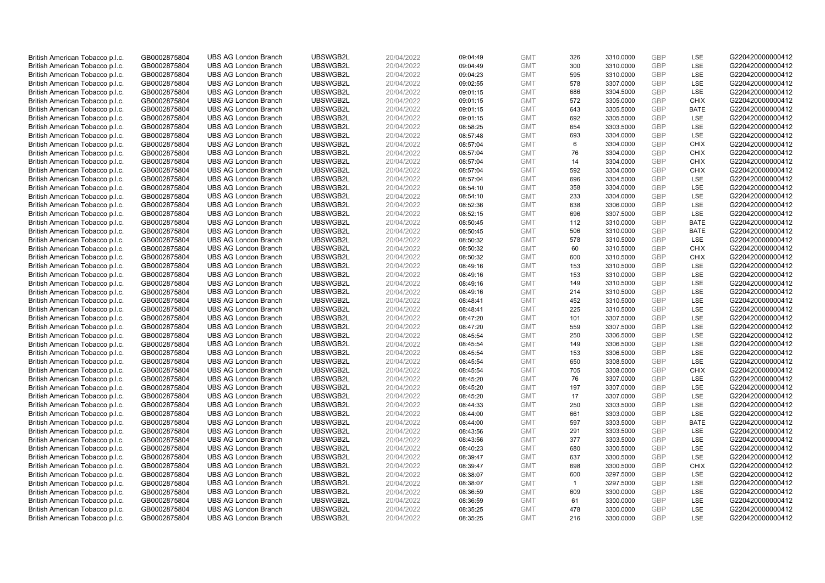| British American Tobacco p.l.c.                                    | GB0002875804                 | <b>UBS AG London Branch</b>                                | UBSWGB2L             | 20/04/2022               | 09:04:49             | <b>GMT</b>               | 326            | 3310.0000              | <b>GBP</b>               | <b>LSE</b>         | G220420000000412                     |
|--------------------------------------------------------------------|------------------------------|------------------------------------------------------------|----------------------|--------------------------|----------------------|--------------------------|----------------|------------------------|--------------------------|--------------------|--------------------------------------|
| British American Tobacco p.l.c.                                    | GB0002875804                 | <b>UBS AG London Branch</b>                                | UBSWGB2L             | 20/04/2022               | 09:04:49             | <b>GMT</b>               | 300            | 3310.0000              | <b>GBP</b>               | LSE                | G220420000000412                     |
| British American Tobacco p.l.c.                                    | GB0002875804                 | <b>UBS AG London Branch</b>                                | UBSWGB2L             | 20/04/2022               | 09:04:23             | <b>GMT</b>               | 595            | 3310.0000              | <b>GBP</b>               | LSE                | G220420000000412                     |
| British American Tobacco p.l.c.                                    | GB0002875804                 | <b>UBS AG London Branch</b>                                | UBSWGB2L             | 20/04/2022               | 09:02:55             | <b>GMT</b>               | 578            | 3307.0000              | <b>GBP</b>               | LSE                | G220420000000412                     |
| British American Tobacco p.l.c.                                    | GB0002875804                 | <b>UBS AG London Branch</b>                                | UBSWGB2L             | 20/04/2022               | 09:01:15             | <b>GMT</b>               | 686            | 3304.5000              | <b>GBP</b>               | LSE                | G220420000000412                     |
| British American Tobacco p.l.c.                                    | GB0002875804                 | <b>UBS AG London Branch</b>                                | UBSWGB2L             | 20/04/2022               | 09:01:15             | <b>GMT</b>               | 572            | 3305.0000              | <b>GBP</b>               | <b>CHIX</b>        | G220420000000412                     |
| British American Tobacco p.l.c.                                    | GB0002875804                 | <b>UBS AG London Branch</b>                                | UBSWGB2L             | 20/04/2022               | 09:01:15             | <b>GMT</b>               | 643            | 3305.5000              | <b>GBP</b>               | <b>BATE</b>        | G220420000000412                     |
| British American Tobacco p.l.c.                                    | GB0002875804                 | <b>UBS AG London Branch</b>                                | UBSWGB2L             | 20/04/2022               | 09:01:15             | <b>GMT</b>               | 692            | 3305.5000              | <b>GBP</b>               | LSE                | G220420000000412                     |
| British American Tobacco p.l.c.                                    | GB0002875804                 | <b>UBS AG London Branch</b>                                | UBSWGB2L             | 20/04/2022               | 08:58:25             | <b>GMT</b>               | 654            | 3303.5000              | <b>GBP</b>               | LSE                | G220420000000412                     |
| British American Tobacco p.l.c.                                    | GB0002875804                 | <b>UBS AG London Branch</b>                                | UBSWGB2L             | 20/04/2022               | 08:57:48             | <b>GMT</b>               | 693            | 3304.0000              | <b>GBP</b>               | <b>LSE</b>         | G220420000000412                     |
| British American Tobacco p.l.c.                                    | GB0002875804                 | <b>UBS AG London Branch</b>                                | UBSWGB2L             | 20/04/2022               | 08:57:04             | <b>GMT</b>               | 6              | 3304.0000              | <b>GBP</b>               | <b>CHIX</b>        | G220420000000412                     |
| British American Tobacco p.l.c.                                    | GB0002875804                 | <b>UBS AG London Branch</b>                                | UBSWGB2L             | 20/04/2022               | 08:57:04             | <b>GMT</b>               | 76             | 3304.0000              | <b>GBP</b>               | <b>CHIX</b>        | G220420000000412                     |
| British American Tobacco p.l.c.                                    | GB0002875804                 | <b>UBS AG London Branch</b>                                | UBSWGB2L             | 20/04/2022               | 08:57:04             | <b>GMT</b>               | 14             | 3304.0000              | <b>GBP</b>               | <b>CHIX</b>        | G220420000000412                     |
| British American Tobacco p.l.c.                                    | GB0002875804                 | <b>UBS AG London Branch</b>                                | UBSWGB2L             | 20/04/2022               | 08:57:04             | <b>GMT</b>               | 592            | 3304.0000              | <b>GBP</b>               | <b>CHIX</b>        | G220420000000412                     |
| British American Tobacco p.l.c.                                    | GB0002875804                 | <b>UBS AG London Branch</b>                                | UBSWGB2L             | 20/04/2022               | 08:57:04             | <b>GMT</b>               | 696            | 3304.5000              | <b>GBP</b>               | LSE                | G220420000000412                     |
| British American Tobacco p.l.c.                                    | GB0002875804                 | <b>UBS AG London Branch</b>                                | UBSWGB2L             | 20/04/2022               | 08:54:10             | <b>GMT</b>               | 358            | 3304.0000              | <b>GBP</b>               | LSE                | G220420000000412                     |
| British American Tobacco p.l.c.                                    | GB0002875804                 | <b>UBS AG London Branch</b>                                | UBSWGB2L             | 20/04/2022               | 08:54:10             | <b>GMT</b>               | 233            | 3304.0000              | <b>GBP</b>               | LSE                | G220420000000412                     |
| British American Tobacco p.l.c.                                    | GB0002875804                 | <b>UBS AG London Branch</b>                                | UBSWGB2L             | 20/04/2022               | 08:52:36             | <b>GMT</b>               | 638            | 3306.0000              | <b>GBP</b>               | LSE                | G220420000000412                     |
| British American Tobacco p.l.c.                                    | GB0002875804                 | <b>UBS AG London Branch</b>                                | UBSWGB2L             | 20/04/2022               | 08:52:15             | <b>GMT</b>               | 696            | 3307.5000              | <b>GBP</b>               | LSE                | G220420000000412                     |
| British American Tobacco p.l.c.                                    | GB0002875804                 | <b>UBS AG London Branch</b>                                | UBSWGB2L             | 20/04/2022               | 08:50:45             | <b>GMT</b>               | 112            | 3310.0000              | <b>GBP</b>               | <b>BATE</b>        | G220420000000412                     |
| British American Tobacco p.l.c.                                    | GB0002875804                 | <b>UBS AG London Branch</b>                                | UBSWGB2L             | 20/04/2022               | 08:50:45             | <b>GMT</b>               | 506            | 3310.0000              | <b>GBP</b>               | <b>BATE</b>        | G220420000000412                     |
| British American Tobacco p.l.c.                                    | GB0002875804                 | <b>UBS AG London Branch</b>                                | UBSWGB2L             | 20/04/2022               | 08:50:32             | <b>GMT</b>               | 578            | 3310.5000              | <b>GBP</b>               | LSE                | G220420000000412                     |
| British American Tobacco p.l.c.                                    | GB0002875804                 | <b>UBS AG London Branch</b>                                | UBSWGB2L             | 20/04/2022               | 08:50:32             | <b>GMT</b>               | 60             | 3310.5000              | <b>GBP</b>               | <b>CHIX</b>        | G220420000000412                     |
| British American Tobacco p.l.c.                                    | GB0002875804                 | <b>UBS AG London Branch</b>                                | UBSWGB2L             | 20/04/2022               | 08:50:32             | <b>GMT</b>               | 600            | 3310.5000              | <b>GBP</b>               | <b>CHIX</b>        | G220420000000412                     |
| British American Tobacco p.l.c.                                    | GB0002875804                 | <b>UBS AG London Branch</b>                                | UBSWGB2L             | 20/04/2022               | 08:49:16             | <b>GMT</b>               | 153            | 3310.5000              | <b>GBP</b>               | LSE                | G220420000000412                     |
| British American Tobacco p.l.c.                                    | GB0002875804                 | <b>UBS AG London Branch</b>                                | UBSWGB2L             | 20/04/2022               | 08:49:16             | <b>GMT</b>               | 153            | 3310.0000              | <b>GBP</b>               | LSE                | G220420000000412                     |
| British American Tobacco p.l.c.                                    | GB0002875804                 | <b>UBS AG London Branch</b>                                | UBSWGB2L             | 20/04/2022               | 08:49:16             | <b>GMT</b>               | 149            | 3310.5000              | <b>GBP</b>               | LSE                | G220420000000412                     |
| British American Tobacco p.l.c.                                    | GB0002875804                 | <b>UBS AG London Branch</b>                                | UBSWGB2L             | 20/04/2022               | 08:49:16             | <b>GMT</b>               | 214            | 3310.5000              | <b>GBP</b>               | LSE                | G220420000000412                     |
| British American Tobacco p.l.c.                                    | GB0002875804                 | <b>UBS AG London Branch</b>                                | UBSWGB2L             | 20/04/2022               | 08:48:41             | <b>GMT</b>               | 452            | 3310.5000              | <b>GBP</b>               | LSE                | G220420000000412                     |
| British American Tobacco p.l.c.                                    | GB0002875804                 | <b>UBS AG London Branch</b>                                | UBSWGB2L             | 20/04/2022               | 08:48:41             | <b>GMT</b>               | 225            | 3310.5000              | <b>GBP</b>               | LSE                | G220420000000412                     |
| British American Tobacco p.l.c.                                    | GB0002875804                 | <b>UBS AG London Branch</b>                                | UBSWGB2L             | 20/04/2022               | 08:47:20             | <b>GMT</b>               | 101            | 3307.5000              | <b>GBP</b>               | LSE                | G220420000000412                     |
| British American Tobacco p.l.c.                                    | GB0002875804                 | <b>UBS AG London Branch</b>                                | UBSWGB2L             | 20/04/2022               | 08:47:20             | <b>GMT</b>               | 559            | 3307.5000              | <b>GBP</b>               | LSE                | G220420000000412                     |
| British American Tobacco p.l.c.                                    | GB0002875804                 | <b>UBS AG London Branch</b>                                | UBSWGB2L             | 20/04/2022               | 08:45:54             | <b>GMT</b>               | 250            | 3306.5000              | <b>GBP</b>               | LSE                | G220420000000412                     |
| British American Tobacco p.l.c.                                    | GB0002875804                 | <b>UBS AG London Branch</b>                                | UBSWGB2L             | 20/04/2022               | 08:45:54             | <b>GMT</b>               | 149            | 3306.5000              | <b>GBP</b>               | LSE                | G220420000000412                     |
| British American Tobacco p.l.c.                                    | GB0002875804                 | <b>UBS AG London Branch</b>                                | UBSWGB2L             | 20/04/2022               | 08:45:54             | <b>GMT</b>               | 153            | 3306.5000              | <b>GBP</b>               | LSE                | G220420000000412                     |
| British American Tobacco p.l.c.                                    | GB0002875804                 | <b>UBS AG London Branch</b>                                | UBSWGB2L             | 20/04/2022               | 08:45:54             | <b>GMT</b>               | 650            | 3308.5000              | <b>GBP</b>               | LSE                | G220420000000412                     |
| British American Tobacco p.l.c.                                    | GB0002875804                 | <b>UBS AG London Branch</b>                                | UBSWGB2L             | 20/04/2022               | 08:45:54             | <b>GMT</b>               | 705            | 3308.0000              | <b>GBP</b>               | <b>CHIX</b>        | G220420000000412                     |
| British American Tobacco p.l.c.                                    | GB0002875804                 | <b>UBS AG London Branch</b>                                | UBSWGB2L             | 20/04/2022               | 08:45:20             | <b>GMT</b>               | 76             | 3307.0000              | <b>GBP</b>               | LSE                | G220420000000412                     |
| British American Tobacco p.l.c.                                    | GB0002875804                 | <b>UBS AG London Branch</b>                                | UBSWGB2L             | 20/04/2022               | 08:45:20             | <b>GMT</b>               | 197            | 3307.0000              | <b>GBP</b>               | LSE                | G220420000000412                     |
| British American Tobacco p.l.c.                                    | GB0002875804                 | <b>UBS AG London Branch</b>                                | UBSWGB2L             | 20/04/2022               | 08:45:20             | <b>GMT</b>               | 17             | 3307.0000              | <b>GBP</b>               | LSE                | G220420000000412                     |
| British American Tobacco p.l.c.                                    | GB0002875804                 | <b>UBS AG London Branch</b>                                | UBSWGB2L             | 20/04/2022               | 08:44:33             | <b>GMT</b>               | 250            | 3303.5000              | <b>GBP</b>               | LSE                | G220420000000412                     |
| British American Tobacco p.l.c.                                    | GB0002875804                 | <b>UBS AG London Branch</b>                                | UBSWGB2L             | 20/04/2022               | 08:44:00             | <b>GMT</b>               | 661            | 3303.0000              | <b>GBP</b><br><b>GBP</b> | LSE<br><b>BATE</b> | G220420000000412                     |
| British American Tobacco p.l.c.                                    | GB0002875804                 | <b>UBS AG London Branch</b>                                | UBSWGB2L             | 20/04/2022               | 08:44:00             | <b>GMT</b>               | 597<br>291     | 3303.5000              | <b>GBP</b>               | LSE                | G220420000000412                     |
| British American Tobacco p.l.c.                                    | GB0002875804                 | <b>UBS AG London Branch</b><br><b>UBS AG London Branch</b> | UBSWGB2L<br>UBSWGB2L | 20/04/2022               | 08:43:56             | <b>GMT</b>               | 377            | 3303.5000              | <b>GBP</b>               | <b>LSE</b>         | G220420000000412<br>G220420000000412 |
| British American Tobacco p.l.c.<br>British American Tobacco p.l.c. | GB0002875804<br>GB0002875804 | <b>UBS AG London Branch</b>                                | UBSWGB2L             | 20/04/2022<br>20/04/2022 | 08:43:56<br>08:40:23 | <b>GMT</b><br><b>GMT</b> | 680            | 3303.5000<br>3300.5000 | <b>GBP</b>               | LSE                | G220420000000412                     |
| British American Tobacco p.l.c.                                    | GB0002875804                 | <b>UBS AG London Branch</b>                                | UBSWGB2L             | 20/04/2022               | 08:39:47             | <b>GMT</b>               | 637            | 3300.5000              | <b>GBP</b>               | LSE                | G220420000000412                     |
| British American Tobacco p.l.c.                                    | GB0002875804                 | <b>UBS AG London Branch</b>                                | UBSWGB2L             | 20/04/2022               | 08:39:47             | <b>GMT</b>               | 698            | 3300.5000              | <b>GBP</b>               | <b>CHIX</b>        | G220420000000412                     |
| British American Tobacco p.l.c.                                    | GB0002875804                 | <b>UBS AG London Branch</b>                                | UBSWGB2L             | 20/04/2022               | 08:38:07             | <b>GMT</b>               | 600            | 3297.5000              | <b>GBP</b>               | LSE                | G220420000000412                     |
| British American Tobacco p.l.c.                                    | GB0002875804                 | <b>UBS AG London Branch</b>                                | UBSWGB2L             | 20/04/2022               | 08:38:07             | <b>GMT</b>               | $\overline{1}$ | 3297.5000              | <b>GBP</b>               | LSE                | G220420000000412                     |
| British American Tobacco p.l.c.                                    | GB0002875804                 | <b>UBS AG London Branch</b>                                | UBSWGB2L             | 20/04/2022               | 08:36:59             | <b>GMT</b>               | 609            | 3300.0000              | <b>GBP</b>               | LSE                | G220420000000412                     |
| British American Tobacco p.l.c.                                    | GB0002875804                 | <b>UBS AG London Branch</b>                                | UBSWGB2L             | 20/04/2022               | 08:36:59             | <b>GMT</b>               | 61             | 3300.0000              | <b>GBP</b>               | LSE                | G220420000000412                     |
| British American Tobacco p.l.c.                                    | GB0002875804                 | <b>UBS AG London Branch</b>                                | UBSWGB2L             | 20/04/2022               | 08:35:25             | <b>GMT</b>               | 478            | 3300.0000              | <b>GBP</b>               | LSE                | G220420000000412                     |
| British American Tobacco p.l.c.                                    | GB0002875804                 | <b>UBS AG London Branch</b>                                | UBSWGB2L             | 20/04/2022               | 08:35:25             | <b>GMT</b>               | 216            | 3300.0000              | GBP                      | LSE                | G220420000000412                     |
|                                                                    |                              |                                                            |                      |                          |                      |                          |                |                        |                          |                    |                                      |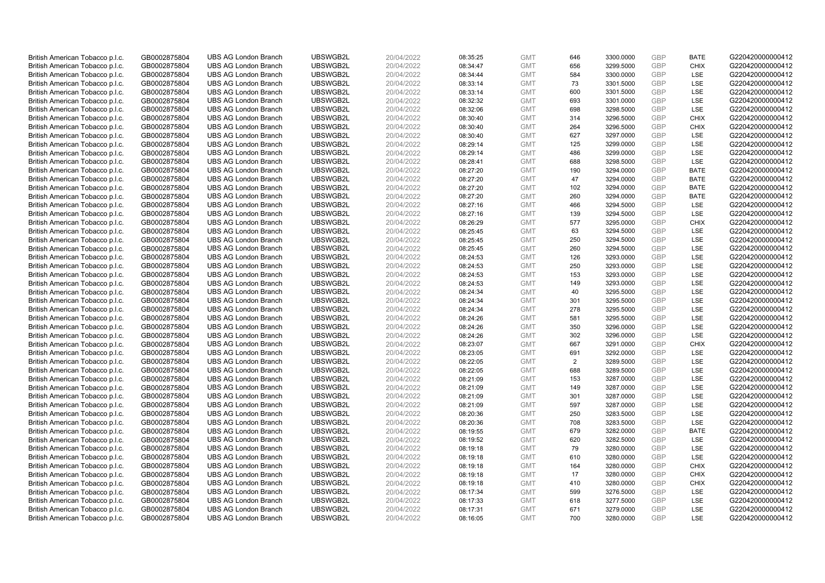| British American Tobacco p.l.c.                                    | GB0002875804                 | <b>UBS AG London Branch</b>                                | UBSWGB2L             | 20/04/2022               | 08:35:25             | <b>GMT</b>               | 646            | 3300.0000              | <b>GBP</b>        | <b>BATE</b>       | G220420000000412                     |
|--------------------------------------------------------------------|------------------------------|------------------------------------------------------------|----------------------|--------------------------|----------------------|--------------------------|----------------|------------------------|-------------------|-------------------|--------------------------------------|
| British American Tobacco p.l.c.                                    | GB0002875804                 | <b>UBS AG London Branch</b>                                | UBSWGB2L             | 20/04/2022               | 08:34:47             | <b>GMT</b>               | 656            | 3299.5000              | GBP               | <b>CHIX</b>       | G220420000000412                     |
| British American Tobacco p.l.c.                                    | GB0002875804                 | <b>UBS AG London Branch</b>                                | UBSWGB2L             | 20/04/2022               | 08:34:44             | <b>GMT</b>               | 584            | 3300.0000              | <b>GBP</b>        | LSE               | G220420000000412                     |
| British American Tobacco p.l.c.                                    | GB0002875804                 | <b>UBS AG London Branch</b>                                | UBSWGB2L             | 20/04/2022               | 08:33:14             | <b>GMT</b>               | 73             | 3301.5000              | GBP               | <b>LSE</b>        | G220420000000412                     |
| British American Tobacco p.l.c.                                    | GB0002875804                 | <b>UBS AG London Branch</b>                                | UBSWGB2L             | 20/04/2022               | 08:33:14             | <b>GMT</b>               | 600            | 3301.5000              | <b>GBP</b>        | <b>LSE</b>        | G220420000000412                     |
| British American Tobacco p.l.c.                                    | GB0002875804                 | <b>UBS AG London Branch</b>                                | UBSWGB2L             | 20/04/2022               | 08:32:32             | <b>GMT</b>               | 693            | 3301.0000              | GBP               | <b>LSE</b>        | G220420000000412                     |
| British American Tobacco p.l.c.                                    | GB0002875804                 | <b>UBS AG London Branch</b>                                | UBSWGB2L             | 20/04/2022               | 08:32:06             | <b>GMT</b>               | 698            | 3298.5000              | <b>GBP</b>        | LSE               | G220420000000412                     |
| British American Tobacco p.l.c.                                    | GB0002875804                 | <b>UBS AG London Branch</b>                                | UBSWGB2L             | 20/04/2022               | 08:30:40             | <b>GMT</b>               | 314            | 3296.5000              | GBP               | <b>CHIX</b>       | G220420000000412                     |
| British American Tobacco p.l.c.                                    | GB0002875804                 | <b>UBS AG London Branch</b>                                | UBSWGB2L             | 20/04/2022               | 08:30:40             | <b>GMT</b>               | 264            | 3296.5000              | GBP               | <b>CHIX</b>       | G220420000000412                     |
| British American Tobacco p.l.c.                                    | GB0002875804                 | <b>UBS AG London Branch</b>                                | UBSWGB2L             | 20/04/2022               | 08:30:40             | <b>GMT</b>               | 627            | 3297.0000              | GBP               | <b>LSE</b>        | G220420000000412                     |
| British American Tobacco p.l.c.                                    | GB0002875804                 | <b>UBS AG London Branch</b>                                | UBSWGB2L             | 20/04/2022               | 08:29:14             | <b>GMT</b>               | 125            | 3299.0000              | <b>GBP</b>        | LSE               | G220420000000412                     |
| British American Tobacco p.l.c.                                    | GB0002875804                 | <b>UBS AG London Branch</b>                                | UBSWGB2L             | 20/04/2022               | 08:29:14             | <b>GMT</b>               | 486            | 3299.0000              | <b>GBP</b>        | LSE               | G220420000000412                     |
| British American Tobacco p.l.c.                                    | GB0002875804                 | <b>UBS AG London Branch</b>                                | UBSWGB2L             | 20/04/2022               | 08:28:41             | <b>GMT</b>               | 688            | 3298.5000              | GBP               | LSE               | G220420000000412                     |
| British American Tobacco p.l.c.                                    | GB0002875804                 | <b>UBS AG London Branch</b>                                | UBSWGB2L             | 20/04/2022               | 08:27:20             | <b>GMT</b>               | 190            | 3294.0000              | <b>GBP</b>        | <b>BATE</b>       | G220420000000412                     |
| British American Tobacco p.l.c.                                    | GB0002875804                 | <b>UBS AG London Branch</b>                                | UBSWGB2L             | 20/04/2022               | 08:27:20             | <b>GMT</b>               | 47             | 3294.0000              | GBP               | <b>BATE</b>       | G220420000000412                     |
| British American Tobacco p.l.c.                                    | GB0002875804                 | <b>UBS AG London Branch</b>                                | UBSWGB2L             | 20/04/2022               | 08:27:20             | <b>GMT</b>               | 102            | 3294.0000              | <b>GBP</b>        | <b>BATE</b>       | G220420000000412                     |
| British American Tobacco p.l.c.                                    | GB0002875804                 | <b>UBS AG London Branch</b>                                | UBSWGB2L             | 20/04/2022               | 08:27:20             | <b>GMT</b>               | 260            | 3294.0000              | GBP               | <b>BATE</b>       | G220420000000412                     |
| British American Tobacco p.l.c.                                    | GB0002875804                 | <b>UBS AG London Branch</b>                                | UBSWGB2L             | 20/04/2022               | 08:27:16             | <b>GMT</b>               | 466            | 3294.5000              | <b>GBP</b>        | LSE               | G220420000000412                     |
| British American Tobacco p.l.c.                                    | GB0002875804                 | <b>UBS AG London Branch</b>                                | UBSWGB2L             | 20/04/2022               | 08:27:16             | <b>GMT</b>               | 139            | 3294.5000              | GBP               | <b>LSE</b>        | G220420000000412                     |
| British American Tobacco p.l.c.                                    | GB0002875804                 | <b>UBS AG London Branch</b>                                | UBSWGB2L             | 20/04/2022               | 08:26:29             | <b>GMT</b>               | 577            | 3295.0000              | <b>GBP</b>        | <b>CHIX</b>       | G220420000000412                     |
| British American Tobacco p.l.c.                                    | GB0002875804                 | <b>UBS AG London Branch</b>                                | UBSWGB2L             | 20/04/2022               | 08:25:45             | <b>GMT</b>               | 63             | 3294.5000              | GBP               | LSE               | G220420000000412                     |
| British American Tobacco p.l.c.                                    | GB0002875804                 | <b>UBS AG London Branch</b>                                | UBSWGB2L             | 20/04/2022               | 08:25:45             | <b>GMT</b>               | 250            | 3294.5000              | GBP               | <b>LSE</b>        | G220420000000412                     |
| British American Tobacco p.l.c.                                    | GB0002875804                 | <b>UBS AG London Branch</b>                                | UBSWGB2L             | 20/04/2022               | 08:25:45             | <b>GMT</b>               | 260            | 3294.5000              | GBP               | LSE               | G220420000000412                     |
| British American Tobacco p.l.c.                                    | GB0002875804                 | <b>UBS AG London Branch</b>                                | UBSWGB2L             | 20/04/2022               | 08:24:53             | <b>GMT</b>               | 126            | 3293.0000              | <b>GBP</b>        | LSE               | G220420000000412                     |
| British American Tobacco p.l.c.                                    | GB0002875804                 | <b>UBS AG London Branch</b>                                | UBSWGB2L             | 20/04/2022               | 08:24:53             | <b>GMT</b>               | 250            | 3293.0000              | GBP               | LSE               | G220420000000412                     |
| British American Tobacco p.l.c.                                    | GB0002875804                 | <b>UBS AG London Branch</b>                                | UBSWGB2L             | 20/04/2022               | 08:24:53             | <b>GMT</b>               | 153            | 3293.0000              | GBP               | LSE               | G220420000000412                     |
| British American Tobacco p.l.c.                                    | GB0002875804                 | <b>UBS AG London Branch</b>                                | UBSWGB2L             | 20/04/2022               | 08:24:53             | <b>GMT</b>               | 149            | 3293.0000              | <b>GBP</b>        | LSE               | G220420000000412                     |
| British American Tobacco p.l.c.                                    | GB0002875804                 | <b>UBS AG London Branch</b>                                | UBSWGB2L             | 20/04/2022               | 08:24:34             | <b>GMT</b>               | 40             | 3295.5000              | GBP               | LSE               | G220420000000412                     |
| British American Tobacco p.l.c.                                    | GB0002875804                 | <b>UBS AG London Branch</b>                                | UBSWGB2L             | 20/04/2022               | 08:24:34             | <b>GMT</b>               | 301            | 3295.5000              | <b>GBP</b>        | LSE               | G220420000000412                     |
| British American Tobacco p.l.c.                                    | GB0002875804                 | <b>UBS AG London Branch</b>                                | UBSWGB2L             | 20/04/2022               | 08:24:34             | <b>GMT</b>               | 278            | 3295.5000              | GBP               | LSE               | G220420000000412                     |
| British American Tobacco p.l.c.                                    | GB0002875804                 | <b>UBS AG London Branch</b>                                | UBSWGB2L             | 20/04/2022               | 08:24:26             | <b>GMT</b>               | 581            | 3295.5000              | <b>GBP</b>        | LSE               | G220420000000412                     |
| British American Tobacco p.l.c.                                    | GB0002875804                 | <b>UBS AG London Branch</b>                                | UBSWGB2L             | 20/04/2022               | 08:24:26             | <b>GMT</b>               | 350            | 3296.0000              | GBP               | LSE               | G220420000000412                     |
| British American Tobacco p.l.c.                                    | GB0002875804                 | <b>UBS AG London Branch</b>                                | UBSWGB2L             | 20/04/2022               | 08:24:26             | <b>GMT</b>               | 302            | 3296.0000              | <b>GBP</b>        | LSE               | G220420000000412                     |
| British American Tobacco p.l.c.                                    | GB0002875804                 | <b>UBS AG London Branch</b>                                | UBSWGB2L             | 20/04/2022               | 08:23:07             | <b>GMT</b>               | 667            | 3291.0000              | <b>GBP</b>        | <b>CHIX</b>       | G220420000000412                     |
| British American Tobacco p.l.c.                                    | GB0002875804                 | <b>UBS AG London Branch</b>                                | UBSWGB2L             | 20/04/2022               | 08:23:05             | <b>GMT</b>               | 691            | 3292.0000              | <b>GBP</b>        | <b>LSE</b>        | G220420000000412                     |
| British American Tobacco p.l.c.                                    | GB0002875804                 | <b>UBS AG London Branch</b>                                | UBSWGB2L             | 20/04/2022               | 08:22:05             | <b>GMT</b>               | $\overline{2}$ | 3289.5000              | <b>GBP</b>        | LSE               | G220420000000412                     |
| British American Tobacco p.l.c.                                    | GB0002875804                 | <b>UBS AG London Branch</b>                                | UBSWGB2L             | 20/04/2022               | 08:22:05             | <b>GMT</b>               | 688            | 3289.5000              | <b>GBP</b>        | <b>LSE</b>        | G220420000000412                     |
| British American Tobacco p.l.c.                                    | GB0002875804                 | <b>UBS AG London Branch</b>                                | UBSWGB2L             | 20/04/2022               | 08:21:09             | <b>GMT</b>               | 153            | 3287.0000              | <b>GBP</b>        | LSE<br>LSE        | G220420000000412<br>G220420000000412 |
| British American Tobacco p.l.c.                                    | GB0002875804                 | <b>UBS AG London Branch</b>                                | UBSWGB2L             | 20/04/2022               | 08:21:09             | <b>GMT</b>               | 149            | 3287.0000              | <b>GBP</b>        |                   |                                      |
| British American Tobacco p.l.c.                                    | GB0002875804<br>GB0002875804 | <b>UBS AG London Branch</b><br><b>UBS AG London Branch</b> | UBSWGB2L<br>UBSWGB2L | 20/04/2022<br>20/04/2022 | 08:21:09             | <b>GMT</b><br><b>GMT</b> | 301<br>597     | 3287.0000<br>3287.0000 | <b>GBP</b><br>GBP | LSE<br><b>LSE</b> | G220420000000412<br>G220420000000412 |
| British American Tobacco p.l.c.<br>British American Tobacco p.l.c. | GB0002875804                 | <b>UBS AG London Branch</b>                                | UBSWGB2L             | 20/04/2022               | 08:21:09<br>08:20:36 | <b>GMT</b>               | 250            | 3283.5000              | <b>GBP</b>        | LSE               | G220420000000412                     |
| British American Tobacco p.l.c.                                    | GB0002875804                 | <b>UBS AG London Branch</b>                                | UBSWGB2L             | 20/04/2022               | 08:20:36             | <b>GMT</b>               | 708            | 3283.5000              | GBP               | LSE               | G220420000000412                     |
| British American Tobacco p.l.c.                                    | GB0002875804                 | <b>UBS AG London Branch</b>                                | UBSWGB2L             | 20/04/2022               | 08:19:55             | <b>GMT</b>               | 679            | 3282.0000              | GBP               | <b>BATE</b>       | G220420000000412                     |
| British American Tobacco p.l.c.                                    | GB0002875804                 | <b>UBS AG London Branch</b>                                | UBSWGB2L             | 20/04/2022               | 08:19:52             | <b>GMT</b>               | 620            | 3282.5000              | <b>GBP</b>        | <b>LSE</b>        | G220420000000412                     |
| British American Tobacco p.l.c.                                    | GB0002875804                 | <b>UBS AG London Branch</b>                                | UBSWGB2L             | 20/04/2022               | 08:19:18             | <b>GMT</b>               | 79             | 3280.0000              | <b>GBP</b>        | LSE               | G220420000000412                     |
| British American Tobacco p.l.c.                                    | GB0002875804                 | <b>UBS AG London Branch</b>                                | UBSWGB2L             | 20/04/2022               | 08:19:18             | <b>GMT</b>               | 610            | 3280.0000              | <b>GBP</b>        | LSE               | G220420000000412                     |
| British American Tobacco p.l.c.                                    | GB0002875804                 | <b>UBS AG London Branch</b>                                | UBSWGB2L             | 20/04/2022               | 08:19:18             | <b>GMT</b>               | 164            | 3280.0000              | GBP               | <b>CHIX</b>       | G220420000000412                     |
| British American Tobacco p.l.c.                                    | GB0002875804                 | <b>UBS AG London Branch</b>                                | UBSWGB2L             | 20/04/2022               | 08:19:18             | <b>GMT</b>               | 17             | 3280.0000              | <b>GBP</b>        | <b>CHIX</b>       | G220420000000412                     |
| British American Tobacco p.l.c.                                    | GB0002875804                 | <b>UBS AG London Branch</b>                                | UBSWGB2L             | 20/04/2022               | 08:19:18             | <b>GMT</b>               | 410            | 3280.0000              | <b>GBP</b>        | <b>CHIX</b>       | G220420000000412                     |
| British American Tobacco p.l.c.                                    | GB0002875804                 | <b>UBS AG London Branch</b>                                | UBSWGB2L             | 20/04/2022               | 08:17:34             | <b>GMT</b>               | 599            | 3276.5000              | <b>GBP</b>        | LSE               | G220420000000412                     |
| British American Tobacco p.l.c.                                    | GB0002875804                 | <b>UBS AG London Branch</b>                                | UBSWGB2L             | 20/04/2022               | 08:17:33             | <b>GMT</b>               | 618            | 3277.5000              | <b>GBP</b>        | LSE               | G220420000000412                     |
| British American Tobacco p.l.c.                                    | GB0002875804                 | <b>UBS AG London Branch</b>                                | UBSWGB2L             | 20/04/2022               | 08:17:31             | <b>GMT</b>               | 671            | 3279.0000              | <b>GBP</b>        | LSE               | G220420000000412                     |
| British American Tobacco p.l.c.                                    | GB0002875804                 | <b>UBS AG London Branch</b>                                | UBSWGB2L             | 20/04/2022               | 08:16:05             | <b>GMT</b>               | 700            | 3280.0000              | GBP               | <b>LSE</b>        | G220420000000412                     |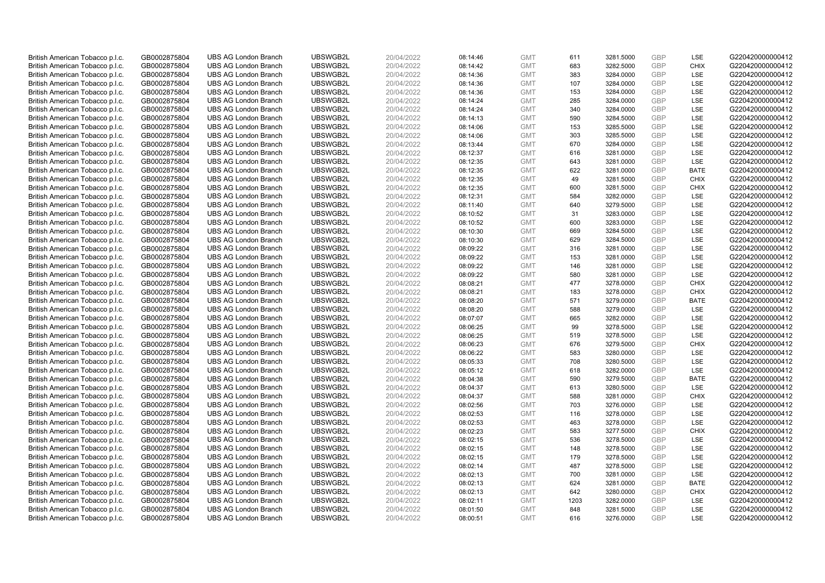| British American Tobacco p.l.c.                                    | GB0002875804                 | <b>UBS AG London Branch</b>                                | UBSWGB2L             | 20/04/2022               | 08:14:46             | <b>GMT</b>               | 611        | 3281.5000              | <b>GBP</b>               | LSE                | G220420000000412                     |
|--------------------------------------------------------------------|------------------------------|------------------------------------------------------------|----------------------|--------------------------|----------------------|--------------------------|------------|------------------------|--------------------------|--------------------|--------------------------------------|
| British American Tobacco p.l.c.                                    | GB0002875804                 | <b>UBS AG London Branch</b>                                | UBSWGB2L             | 20/04/2022               | 08:14:42             | <b>GMT</b>               | 683        | 3282.5000              | <b>GBP</b>               | <b>CHIX</b>        | G220420000000412                     |
| British American Tobacco p.l.c.                                    | GB0002875804                 | <b>UBS AG London Branch</b>                                | UBSWGB2L             | 20/04/2022               | 08:14:36             | <b>GMT</b>               | 383        | 3284.0000              | <b>GBP</b>               | LSE                | G220420000000412                     |
| British American Tobacco p.l.c.                                    | GB0002875804                 | <b>UBS AG London Branch</b>                                | UBSWGB2L             | 20/04/2022               | 08:14:36             | <b>GMT</b>               | 107        | 3284.0000              | <b>GBP</b>               | LSE                | G220420000000412                     |
| British American Tobacco p.l.c.                                    | GB0002875804                 | <b>UBS AG London Branch</b>                                | UBSWGB2L             | 20/04/2022               | 08:14:36             | <b>GMT</b>               | 153        | 3284.0000              | <b>GBP</b>               | LSE                | G220420000000412                     |
| British American Tobacco p.l.c.                                    | GB0002875804                 | <b>UBS AG London Branch</b>                                | UBSWGB2L             | 20/04/2022               | 08:14:24             | <b>GMT</b>               | 285        | 3284.0000              | GBP                      | LSE                | G220420000000412                     |
| British American Tobacco p.l.c.                                    | GB0002875804                 | <b>UBS AG London Branch</b>                                | UBSWGB2L             | 20/04/2022               | 08:14:24             | <b>GMT</b>               | 340        | 3284.0000              | <b>GBP</b>               | LSE                | G220420000000412                     |
| British American Tobacco p.l.c.                                    | GB0002875804                 | <b>UBS AG London Branch</b>                                | UBSWGB2L             | 20/04/2022               | 08:14:13             | <b>GMT</b>               | 590        | 3284.5000              | <b>GBP</b>               | LSE                | G220420000000412                     |
| British American Tobacco p.l.c.                                    | GB0002875804                 | <b>UBS AG London Branch</b>                                | UBSWGB2L             | 20/04/2022               | 08:14:06             | <b>GMT</b>               | 153        | 3285.5000              | <b>GBP</b>               | LSE                | G220420000000412                     |
| British American Tobacco p.l.c.                                    | GB0002875804                 | <b>UBS AG London Branch</b>                                | UBSWGB2L             | 20/04/2022               | 08:14:06             | <b>GMT</b>               | 303        | 3285.5000              | <b>GBP</b>               | <b>LSE</b>         | G220420000000412                     |
| British American Tobacco p.l.c.                                    | GB0002875804                 | <b>UBS AG London Branch</b>                                | UBSWGB2L             | 20/04/2022               | 08:13:44             | <b>GMT</b>               | 670        | 3284.0000              | <b>GBP</b>               | LSE                | G220420000000412                     |
| British American Tobacco p.l.c.                                    | GB0002875804                 | <b>UBS AG London Branch</b>                                | UBSWGB2L             | 20/04/2022               | 08:12:37             | <b>GMT</b>               | 616        | 3281.0000              | <b>GBP</b>               | LSE                | G220420000000412                     |
| British American Tobacco p.l.c.                                    | GB0002875804                 | <b>UBS AG London Branch</b>                                | UBSWGB2L             | 20/04/2022               | 08:12:35             | <b>GMT</b>               | 643        | 3281.0000              | <b>GBP</b>               | LSE                | G220420000000412                     |
| British American Tobacco p.l.c.                                    | GB0002875804                 | <b>UBS AG London Branch</b>                                | UBSWGB2L             | 20/04/2022               | 08:12:35             | <b>GMT</b>               | 622        | 3281.0000              | <b>GBP</b>               | <b>BATE</b>        | G220420000000412                     |
| British American Tobacco p.l.c.                                    | GB0002875804                 | <b>UBS AG London Branch</b>                                | UBSWGB2L             | 20/04/2022               | 08:12:35             | <b>GMT</b>               | 49         | 3281.5000              | <b>GBP</b>               | <b>CHIX</b>        | G220420000000412                     |
| British American Tobacco p.l.c.                                    | GB0002875804                 | <b>UBS AG London Branch</b>                                | UBSWGB2L             | 20/04/2022               | 08:12:35             | <b>GMT</b>               | 600        | 3281.5000              | <b>GBP</b>               | <b>CHIX</b>        | G220420000000412                     |
| British American Tobacco p.l.c.                                    | GB0002875804                 | <b>UBS AG London Branch</b>                                | UBSWGB2L             | 20/04/2022               | 08:12:31             | <b>GMT</b>               | 584        | 3282.0000              | <b>GBP</b>               | LSE                | G220420000000412                     |
| British American Tobacco p.l.c.                                    | GB0002875804                 | <b>UBS AG London Branch</b>                                | UBSWGB2L             | 20/04/2022               | 08:11:40             | <b>GMT</b>               | 640        | 3279.5000              | <b>GBP</b>               | LSE                | G220420000000412                     |
| British American Tobacco p.l.c.                                    | GB0002875804                 | <b>UBS AG London Branch</b>                                | UBSWGB2L             | 20/04/2022               | 08:10:52             | <b>GMT</b>               | 31         | 3283.0000              | <b>GBP</b>               | LSE                | G220420000000412                     |
| British American Tobacco p.l.c.                                    | GB0002875804                 | <b>UBS AG London Branch</b>                                | UBSWGB2L             | 20/04/2022               | 08:10:52             | <b>GMT</b>               | 600        | 3283.0000              | <b>GBP</b>               | LSE                | G220420000000412                     |
| British American Tobacco p.l.c.                                    | GB0002875804                 | <b>UBS AG London Branch</b>                                | UBSWGB2L             | 20/04/2022               | 08:10:30             | <b>GMT</b>               | 669        | 3284.5000              | <b>GBP</b>               | LSE                | G220420000000412                     |
| British American Tobacco p.l.c.                                    | GB0002875804                 | <b>UBS AG London Branch</b>                                | UBSWGB2L             | 20/04/2022               | 08:10:30             | <b>GMT</b>               | 629        | 3284.5000              | <b>GBP</b>               | LSE                | G220420000000412                     |
| British American Tobacco p.l.c.                                    | GB0002875804                 | <b>UBS AG London Branch</b>                                | UBSWGB2L             | 20/04/2022               | 08:09:22             | <b>GMT</b>               | 316        | 3281.0000              | <b>GBP</b>               | LSE                | G220420000000412                     |
| British American Tobacco p.l.c.                                    | GB0002875804                 | <b>UBS AG London Branch</b>                                | UBSWGB2L             | 20/04/2022               | 08:09:22             | <b>GMT</b>               | 153        | 3281.0000              | <b>GBP</b>               | LSE                | G220420000000412                     |
| British American Tobacco p.l.c.                                    | GB0002875804                 | <b>UBS AG London Branch</b>                                | UBSWGB2L             | 20/04/2022               | 08:09:22             | <b>GMT</b>               | 146        | 3281.0000              | <b>GBP</b>               | LSE                | G220420000000412                     |
| British American Tobacco p.l.c.                                    | GB0002875804                 | <b>UBS AG London Branch</b>                                | UBSWGB2L             | 20/04/2022               | 08:09:22             | <b>GMT</b>               | 580        | 3281.0000              | <b>GBP</b>               | LSE                | G220420000000412                     |
| British American Tobacco p.l.c.                                    | GB0002875804                 | <b>UBS AG London Branch</b>                                | UBSWGB2L             | 20/04/2022               | 08:08:21             | <b>GMT</b>               | 477        | 3278.0000              | <b>GBP</b>               | <b>CHIX</b>        | G220420000000412                     |
| British American Tobacco p.l.c.                                    | GB0002875804                 | <b>UBS AG London Branch</b>                                | UBSWGB2L             | 20/04/2022               | 08:08:21             | <b>GMT</b>               | 183        | 3278.0000              | <b>GBP</b>               | <b>CHIX</b>        | G220420000000412                     |
| British American Tobacco p.l.c.                                    | GB0002875804                 | <b>UBS AG London Branch</b>                                | UBSWGB2L             | 20/04/2022               | 08:08:20             | <b>GMT</b>               | 571        | 3279.0000              | <b>GBP</b>               | <b>BATE</b>        | G220420000000412                     |
| British American Tobacco p.l.c.                                    | GB0002875804                 | <b>UBS AG London Branch</b>                                | UBSWGB2L             | 20/04/2022               | 08:08:20             | <b>GMT</b>               | 588        | 3279.0000              | <b>GBP</b>               | LSE                | G220420000000412                     |
| British American Tobacco p.l.c.                                    | GB0002875804                 | <b>UBS AG London Branch</b>                                | UBSWGB2L             | 20/04/2022               | 08:07:07             | <b>GMT</b>               | 665        | 3282.0000              | <b>GBP</b>               | LSE                | G220420000000412                     |
| British American Tobacco p.l.c.                                    | GB0002875804                 | <b>UBS AG London Branch</b>                                | UBSWGB2L             | 20/04/2022               | 08:06:25             | <b>GMT</b>               | 99         | 3278.5000              | <b>GBP</b>               | LSE                | G220420000000412                     |
| British American Tobacco p.l.c.                                    | GB0002875804                 | <b>UBS AG London Branch</b>                                | UBSWGB2L             | 20/04/2022               | 08:06:25             | <b>GMT</b>               | 519        | 3278.5000              | <b>GBP</b>               | LSE                | G220420000000412                     |
| British American Tobacco p.l.c.                                    | GB0002875804                 | <b>UBS AG London Branch</b>                                | UBSWGB2L             | 20/04/2022               | 08:06:23             | <b>GMT</b>               | 676        | 3279.5000              | <b>GBP</b>               | <b>CHIX</b>        | G220420000000412                     |
| British American Tobacco p.l.c.                                    | GB0002875804                 | <b>UBS AG London Branch</b>                                | UBSWGB2L             | 20/04/2022               | 08:06:22             | <b>GMT</b>               | 583        | 3280.0000              | <b>GBP</b>               | LSE                | G220420000000412                     |
| British American Tobacco p.l.c.                                    | GB0002875804                 | <b>UBS AG London Branch</b>                                | UBSWGB2L             | 20/04/2022               | 08:05:33             | <b>GMT</b>               | 708        | 3280.5000              | <b>GBP</b>               | LSE                | G220420000000412                     |
| British American Tobacco p.l.c.                                    | GB0002875804                 | <b>UBS AG London Branch</b>                                | UBSWGB2L             | 20/04/2022               | 08:05:12             | <b>GMT</b>               | 618        | 3282.0000              | <b>GBP</b>               | LSE                | G220420000000412                     |
| British American Tobacco p.l.c.                                    | GB0002875804                 | <b>UBS AG London Branch</b>                                | UBSWGB2L             | 20/04/2022               | 08:04:38             | <b>GMT</b>               | 590        | 3279.5000              | <b>GBP</b>               | <b>BATE</b>        | G220420000000412                     |
| British American Tobacco p.l.c.                                    | GB0002875804                 | <b>UBS AG London Branch</b>                                | UBSWGB2L             | 20/04/2022               | 08:04:37             | <b>GMT</b>               | 613        | 3280.5000              | <b>GBP</b>               | LSE                | G220420000000412                     |
| British American Tobacco p.l.c.                                    | GB0002875804                 | <b>UBS AG London Branch</b>                                | UBSWGB2L             | 20/04/2022               | 08:04:37             | <b>GMT</b>               | 588        | 3281.0000              | <b>GBP</b>               | <b>CHIX</b>        | G220420000000412                     |
| British American Tobacco p.l.c.                                    | GB0002875804                 | <b>UBS AG London Branch</b>                                | UBSWGB2L             | 20/04/2022               | 08:02:56             | <b>GMT</b>               | 703        | 3276.0000              | <b>GBP</b>               | LSE                | G220420000000412                     |
| British American Tobacco p.l.c.                                    | GB0002875804                 | <b>UBS AG London Branch</b>                                | UBSWGB2L             | 20/04/2022               | 08:02:53             | <b>GMT</b>               | 116        | 3278.0000              | <b>GBP</b><br><b>GBP</b> | LSE                | G220420000000412                     |
| British American Tobacco p.l.c.                                    | GB0002875804                 | <b>UBS AG London Branch</b>                                | UBSWGB2L             | 20/04/2022               | 08:02:53             | <b>GMT</b>               | 463<br>583 | 3278.0000              | <b>GBP</b>               | LSE<br><b>CHIX</b> | G220420000000412                     |
| British American Tobacco p.l.c.                                    | GB0002875804                 | <b>UBS AG London Branch</b><br><b>UBS AG London Branch</b> | UBSWGB2L<br>UBSWGB2L | 20/04/2022               | 08:02:23             | <b>GMT</b>               | 536        | 3277.5000              | <b>GBP</b>               | <b>LSE</b>         | G220420000000412<br>G220420000000412 |
| British American Tobacco p.l.c.                                    | GB0002875804<br>GB0002875804 | <b>UBS AG London Branch</b>                                | UBSWGB2L             | 20/04/2022<br>20/04/2022 | 08:02:15<br>08:02:15 | <b>GMT</b><br><b>GMT</b> | 148        | 3278.5000<br>3278.5000 | <b>GBP</b>               | LSE                | G220420000000412                     |
| British American Tobacco p.l.c.<br>British American Tobacco p.l.c. | GB0002875804                 | <b>UBS AG London Branch</b>                                | UBSWGB2L             | 20/04/2022               | 08:02:15             | <b>GMT</b>               | 179        | 3278.5000              | <b>GBP</b>               | LSE                | G220420000000412                     |
| British American Tobacco p.l.c.                                    | GB0002875804                 | <b>UBS AG London Branch</b>                                | UBSWGB2L             | 20/04/2022               | 08:02:14             | <b>GMT</b>               | 487        | 3278.5000              | <b>GBP</b>               | LSE                | G220420000000412                     |
| British American Tobacco p.l.c.                                    | GB0002875804                 | <b>UBS AG London Branch</b>                                | UBSWGB2L             | 20/04/2022               | 08:02:13             | <b>GMT</b>               | 700        | 3281.0000              | <b>GBP</b>               | LSE                | G220420000000412                     |
| British American Tobacco p.l.c.                                    | GB0002875804                 | <b>UBS AG London Branch</b>                                | UBSWGB2L             | 20/04/2022               | 08:02:13             | <b>GMT</b>               | 624        | 3281.0000              | <b>GBP</b>               | <b>BATE</b>        | G220420000000412                     |
| British American Tobacco p.l.c.                                    | GB0002875804                 | <b>UBS AG London Branch</b>                                | UBSWGB2L             | 20/04/2022               | 08:02:13             | <b>GMT</b>               | 642        | 3280.0000              | <b>GBP</b>               | <b>CHIX</b>        | G220420000000412                     |
| British American Tobacco p.l.c.                                    | GB0002875804                 | <b>UBS AG London Branch</b>                                | UBSWGB2L             | 20/04/2022               | 08:02:11             | <b>GMT</b>               | 1203       | 3282.0000              | <b>GBP</b>               | LSE                | G220420000000412                     |
| British American Tobacco p.l.c.                                    | GB0002875804                 | <b>UBS AG London Branch</b>                                | UBSWGB2L             | 20/04/2022               | 08:01:50             | <b>GMT</b>               | 848        | 3281.5000              | <b>GBP</b>               | LSE                | G220420000000412                     |
| British American Tobacco p.l.c.                                    | GB0002875804                 | <b>UBS AG London Branch</b>                                | UBSWGB2L             | 20/04/2022               | 08:00:51             | <b>GMT</b>               | 616        | 3276.0000              | GBP                      | LSE                | G220420000000412                     |
|                                                                    |                              |                                                            |                      |                          |                      |                          |            |                        |                          |                    |                                      |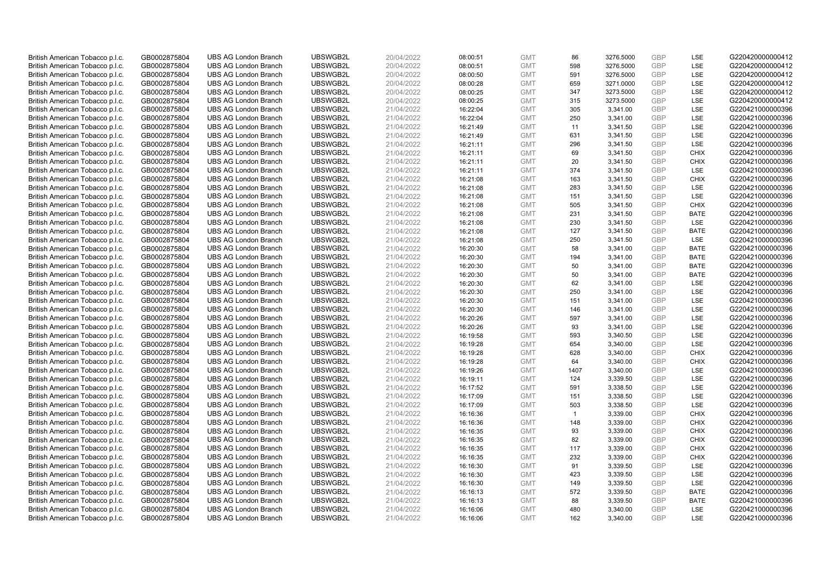| British American Tobacco p.l.c. | GB0002875804 | <b>UBS AG London Branch</b> | UBSWGB2L | 20/04/2022 | 08:00:51 | <b>GMT</b> | 86             | 3276.5000 | <b>GBP</b>               | LSE         | G220420000000412 |
|---------------------------------|--------------|-----------------------------|----------|------------|----------|------------|----------------|-----------|--------------------------|-------------|------------------|
| British American Tobacco p.l.c. | GB0002875804 | <b>UBS AG London Branch</b> | UBSWGB2L | 20/04/2022 | 08:00:51 | <b>GMT</b> | 598            | 3276.5000 | GBP                      | <b>LSE</b>  | G220420000000412 |
| British American Tobacco p.l.c. | GB0002875804 | <b>UBS AG London Branch</b> | UBSWGB2L | 20/04/2022 | 08:00:50 | <b>GMT</b> | 591            | 3276.5000 | <b>GBP</b>               | LSE         | G220420000000412 |
| British American Tobacco p.l.c. | GB0002875804 | <b>UBS AG London Branch</b> | UBSWGB2L | 20/04/2022 | 08:00:28 | <b>GMT</b> | 659            | 3271.0000 | <b>GBP</b>               | LSE         | G220420000000412 |
| British American Tobacco p.l.c. | GB0002875804 | <b>UBS AG London Branch</b> | UBSWGB2L | 20/04/2022 | 08:00:25 | <b>GMT</b> | 347            | 3273.5000 | <b>GBP</b>               | LSE         | G220420000000412 |
|                                 |              | <b>UBS AG London Branch</b> | UBSWGB2L |            |          |            |                |           |                          | LSE         |                  |
| British American Tobacco p.l.c. | GB0002875804 |                             |          | 20/04/2022 | 08:00:25 | <b>GMT</b> | 315            | 3273.5000 | <b>GBP</b><br><b>GBP</b> |             | G220420000000412 |
| British American Tobacco p.l.c. | GB0002875804 | <b>UBS AG London Branch</b> | UBSWGB2L | 21/04/2022 | 16:22:04 | <b>GMT</b> | 305            | 3,341.00  |                          | LSE         | G220421000000396 |
| British American Tobacco p.l.c. | GB0002875804 | <b>UBS AG London Branch</b> | UBSWGB2L | 21/04/2022 | 16:22:04 | <b>GMT</b> | 250            | 3,341.00  | <b>GBP</b>               | LSE         | G220421000000396 |
| British American Tobacco p.l.c. | GB0002875804 | <b>UBS AG London Branch</b> | UBSWGB2L | 21/04/2022 | 16:21:49 | <b>GMT</b> | 11             | 3,341.50  | <b>GBP</b>               | LSE         | G220421000000396 |
| British American Tobacco p.l.c. | GB0002875804 | <b>UBS AG London Branch</b> | UBSWGB2L | 21/04/2022 | 16:21:49 | <b>GMT</b> | 631            | 3,341.50  | <b>GBP</b>               | LSE         | G220421000000396 |
| British American Tobacco p.l.c. | GB0002875804 | <b>UBS AG London Branch</b> | UBSWGB2L | 21/04/2022 | 16:21:11 | <b>GMT</b> | 296            | 3,341.50  | <b>GBP</b>               | LSE         | G220421000000396 |
| British American Tobacco p.l.c. | GB0002875804 | <b>UBS AG London Branch</b> | UBSWGB2L | 21/04/2022 | 16:21:11 | <b>GMT</b> | 69             | 3,341.50  | <b>GBP</b>               | <b>CHIX</b> | G220421000000396 |
| British American Tobacco p.l.c. | GB0002875804 | <b>UBS AG London Branch</b> | UBSWGB2L | 21/04/2022 | 16:21:11 | <b>GMT</b> | 20             | 3,341.50  | <b>GBP</b>               | <b>CHIX</b> | G220421000000396 |
| British American Tobacco p.l.c. | GB0002875804 | <b>UBS AG London Branch</b> | UBSWGB2L | 21/04/2022 | 16:21:11 | <b>GMT</b> | 374            | 3,341.50  | <b>GBP</b>               | <b>LSE</b>  | G220421000000396 |
| British American Tobacco p.l.c. | GB0002875804 | <b>UBS AG London Branch</b> | UBSWGB2L | 21/04/2022 | 16:21:08 | <b>GMT</b> | 163            | 3,341.50  | <b>GBP</b>               | <b>CHIX</b> | G220421000000396 |
| British American Tobacco p.l.c. | GB0002875804 | <b>UBS AG London Branch</b> | UBSWGB2L | 21/04/2022 | 16:21:08 | <b>GMT</b> | 283            | 3,341.50  | <b>GBP</b>               | LSE         | G220421000000396 |
| British American Tobacco p.l.c. | GB0002875804 | <b>UBS AG London Branch</b> | UBSWGB2L | 21/04/2022 | 16:21:08 | <b>GMT</b> | 151            | 3,341.50  | <b>GBP</b>               | LSE         | G220421000000396 |
| British American Tobacco p.l.c. | GB0002875804 | <b>UBS AG London Branch</b> | UBSWGB2L | 21/04/2022 | 16:21:08 | <b>GMT</b> | 505            | 3,341.50  | <b>GBP</b>               | <b>CHIX</b> | G220421000000396 |
| British American Tobacco p.l.c. | GB0002875804 | <b>UBS AG London Branch</b> | UBSWGB2L | 21/04/2022 | 16:21:08 | <b>GMT</b> | 231            | 3,341.50  | <b>GBP</b>               | <b>BATE</b> | G220421000000396 |
| British American Tobacco p.l.c. | GB0002875804 | <b>UBS AG London Branch</b> | UBSWGB2L | 21/04/2022 | 16:21:08 | <b>GMT</b> | 230            | 3,341.50  | <b>GBP</b>               | LSE         | G220421000000396 |
| British American Tobacco p.l.c. | GB0002875804 | <b>UBS AG London Branch</b> | UBSWGB2L | 21/04/2022 | 16:21:08 | <b>GMT</b> | 127            | 3,341.50  | <b>GBP</b>               | <b>BATE</b> | G220421000000396 |
| British American Tobacco p.l.c. | GB0002875804 | <b>UBS AG London Branch</b> | UBSWGB2L | 21/04/2022 | 16:21:08 | <b>GMT</b> | 250            | 3,341.50  | <b>GBP</b>               | LSE         | G220421000000396 |
| British American Tobacco p.l.c. | GB0002875804 | <b>UBS AG London Branch</b> | UBSWGB2L | 21/04/2022 | 16:20:30 | <b>GMT</b> | 58             | 3,341.00  | <b>GBP</b>               | <b>BATE</b> | G220421000000396 |
| British American Tobacco p.l.c. | GB0002875804 | <b>UBS AG London Branch</b> | UBSWGB2L | 21/04/2022 | 16:20:30 | <b>GMT</b> | 194            | 3,341.00  | <b>GBP</b>               | <b>BATE</b> | G220421000000396 |
| British American Tobacco p.l.c. | GB0002875804 | <b>UBS AG London Branch</b> | UBSWGB2L | 21/04/2022 | 16:20:30 | <b>GMT</b> | 50             | 3,341.00  | <b>GBP</b>               | <b>BATE</b> | G220421000000396 |
| British American Tobacco p.l.c. | GB0002875804 | <b>UBS AG London Branch</b> | UBSWGB2L | 21/04/2022 | 16:20:30 | <b>GMT</b> | 50             | 3,341.00  | <b>GBP</b>               | <b>BATE</b> | G220421000000396 |
| British American Tobacco p.l.c. | GB0002875804 | <b>UBS AG London Branch</b> | UBSWGB2L | 21/04/2022 | 16:20:30 | <b>GMT</b> | 62             | 3,341.00  | <b>GBP</b>               | LSE         | G220421000000396 |
| British American Tobacco p.l.c. | GB0002875804 | <b>UBS AG London Branch</b> | UBSWGB2L | 21/04/2022 | 16:20:30 | <b>GMT</b> | 250            | 3,341.00  | <b>GBP</b>               | LSE         | G220421000000396 |
| British American Tobacco p.l.c. | GB0002875804 | <b>UBS AG London Branch</b> | UBSWGB2L | 21/04/2022 | 16:20:30 | <b>GMT</b> | 151            | 3,341.00  | <b>GBP</b>               | LSE         | G220421000000396 |
| British American Tobacco p.l.c. | GB0002875804 | <b>UBS AG London Branch</b> | UBSWGB2L | 21/04/2022 | 16:20:30 | <b>GMT</b> | 146            | 3,341.00  | <b>GBP</b>               | LSE         | G220421000000396 |
| British American Tobacco p.l.c. | GB0002875804 | <b>UBS AG London Branch</b> | UBSWGB2L | 21/04/2022 | 16:20:26 | <b>GMT</b> | 597            | 3,341.00  | <b>GBP</b>               | LSE         | G220421000000396 |
| British American Tobacco p.l.c. | GB0002875804 | <b>UBS AG London Branch</b> | UBSWGB2L | 21/04/2022 | 16:20:26 | <b>GMT</b> | 93             | 3,341.00  | <b>GBP</b>               | LSE         | G220421000000396 |
| British American Tobacco p.l.c. | GB0002875804 | <b>UBS AG London Branch</b> | UBSWGB2L | 21/04/2022 | 16:19:58 | <b>GMT</b> | 593            | 3,340.50  | <b>GBP</b>               | LSE         | G220421000000396 |
| British American Tobacco p.l.c. | GB0002875804 | <b>UBS AG London Branch</b> | UBSWGB2L | 21/04/2022 | 16:19:28 | <b>GMT</b> | 654            | 3,340.00  | <b>GBP</b>               | LSE         | G220421000000396 |
| British American Tobacco p.l.c. | GB0002875804 | <b>UBS AG London Branch</b> | UBSWGB2L | 21/04/2022 | 16:19:28 | <b>GMT</b> | 628            | 3,340.00  | <b>GBP</b>               | <b>CHIX</b> | G220421000000396 |
| British American Tobacco p.l.c. | GB0002875804 | <b>UBS AG London Branch</b> | UBSWGB2L | 21/04/2022 | 16:19:28 | <b>GMT</b> | 64             | 3,340.00  | <b>GBP</b>               | <b>CHIX</b> | G220421000000396 |
| British American Tobacco p.l.c. | GB0002875804 | <b>UBS AG London Branch</b> | UBSWGB2L | 21/04/2022 | 16:19:26 | <b>GMT</b> | 1407           | 3,340.00  | <b>GBP</b>               | LSE         | G220421000000396 |
| British American Tobacco p.l.c. | GB0002875804 | <b>UBS AG London Branch</b> | UBSWGB2L | 21/04/2022 | 16:19:11 | <b>GMT</b> | 124            | 3,339.50  | <b>GBP</b>               | LSE         | G220421000000396 |
| British American Tobacco p.l.c. | GB0002875804 | <b>UBS AG London Branch</b> | UBSWGB2L | 21/04/2022 | 16:17:52 | <b>GMT</b> | 591            | 3,338.50  | <b>GBP</b>               | LSE         | G220421000000396 |
| British American Tobacco p.l.c. | GB0002875804 | <b>UBS AG London Branch</b> | UBSWGB2L | 21/04/2022 | 16:17:09 | <b>GMT</b> | 151            | 3,338.50  | <b>GBP</b>               | LSE         | G220421000000396 |
| British American Tobacco p.l.c. | GB0002875804 | <b>UBS AG London Branch</b> | UBSWGB2L | 21/04/2022 | 16:17:09 | <b>GMT</b> | 503            | 3,338.50  | <b>GBP</b>               | LSE         | G220421000000396 |
| British American Tobacco p.l.c. | GB0002875804 | <b>UBS AG London Branch</b> | UBSWGB2L | 21/04/2022 | 16:16:36 | <b>GMT</b> | $\overline{1}$ | 3,339.00  | <b>GBP</b>               | <b>CHIX</b> | G220421000000396 |
| British American Tobacco p.l.c. | GB0002875804 | <b>UBS AG London Branch</b> | UBSWGB2L | 21/04/2022 | 16:16:36 | <b>GMT</b> | 148            | 3,339.00  | <b>GBP</b>               | <b>CHIX</b> | G220421000000396 |
| British American Tobacco p.l.c. | GB0002875804 | <b>UBS AG London Branch</b> | UBSWGB2L | 21/04/2022 | 16:16:35 | <b>GMT</b> | 93             | 3,339.00  | <b>GBP</b>               | <b>CHIX</b> | G220421000000396 |
| British American Tobacco p.l.c. | GB0002875804 | <b>UBS AG London Branch</b> | UBSWGB2L | 21/04/2022 | 16:16:35 | <b>GMT</b> | 82             | 3,339.00  | <b>GBP</b>               | <b>CHIX</b> | G220421000000396 |
| British American Tobacco p.l.c. | GB0002875804 | <b>UBS AG London Branch</b> | UBSWGB2L | 21/04/2022 | 16:16:35 | <b>GMT</b> | 117            | 3,339.00  | <b>GBP</b>               | <b>CHIX</b> | G220421000000396 |
| British American Tobacco p.l.c. | GB0002875804 | <b>UBS AG London Branch</b> | UBSWGB2L | 21/04/2022 | 16:16:35 | <b>GMT</b> | 232            | 3,339.00  | <b>GBP</b>               | <b>CHIX</b> | G220421000000396 |
| British American Tobacco p.l.c. | GB0002875804 | <b>UBS AG London Branch</b> | UBSWGB2L | 21/04/2022 | 16:16:30 | <b>GMT</b> | 91             | 3,339.50  | <b>GBP</b>               | LSE         | G220421000000396 |
| British American Tobacco p.l.c. | GB0002875804 | <b>UBS AG London Branch</b> | UBSWGB2L | 21/04/2022 | 16:16:30 | <b>GMT</b> | 423            | 3,339.50  | <b>GBP</b>               | LSE         | G220421000000396 |
| British American Tobacco p.l.c. | GB0002875804 | <b>UBS AG London Branch</b> | UBSWGB2L | 21/04/2022 | 16:16:30 | <b>GMT</b> | 149            | 3,339.50  | <b>GBP</b>               | LSE         | G220421000000396 |
| British American Tobacco p.l.c. | GB0002875804 | <b>UBS AG London Branch</b> | UBSWGB2L | 21/04/2022 | 16:16:13 | <b>GMT</b> | 572            | 3,339.50  | <b>GBP</b>               | <b>BATE</b> | G220421000000396 |
| British American Tobacco p.l.c. | GB0002875804 | <b>UBS AG London Branch</b> | UBSWGB2L | 21/04/2022 | 16:16:13 | <b>GMT</b> | 88             | 3,339.50  | <b>GBP</b>               | <b>BATE</b> | G220421000000396 |
| British American Tobacco p.l.c. | GB0002875804 | <b>UBS AG London Branch</b> | UBSWGB2L | 21/04/2022 | 16:16:06 | <b>GMT</b> | 480            | 3,340.00  | <b>GBP</b>               | LSE         | G220421000000396 |
| British American Tobacco p.l.c. | GB0002875804 | <b>UBS AG London Branch</b> | UBSWGB2L | 21/04/2022 | 16:16:06 | <b>GMT</b> | 162            | 3.340.00  | GBP                      | LSE         | G220421000000396 |
|                                 |              |                             |          |            |          |            |                |           |                          |             |                  |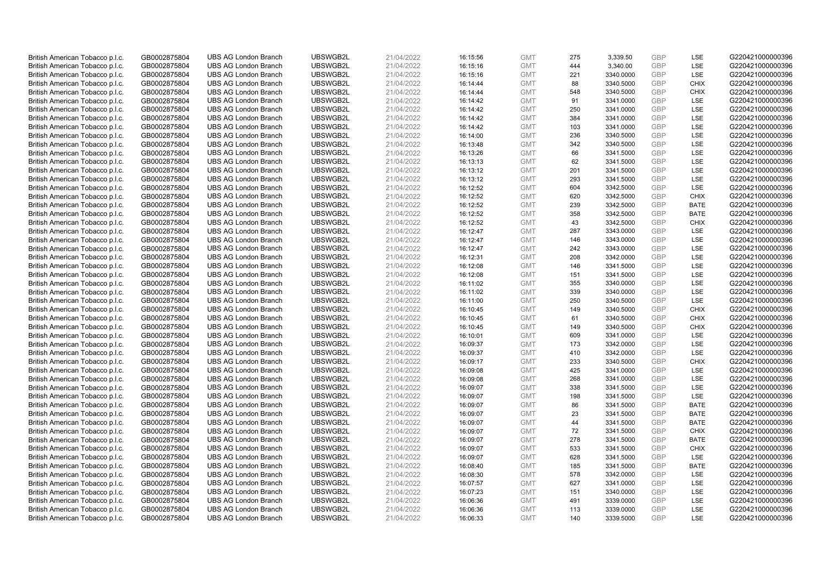| British American Tobacco p.l.c. | GB0002875804 | <b>UBS AG London Branch</b> | UBSWGB2L             | 21/04/2022 |          | <b>GMT</b> | 275 | 3,339.50               | <b>GBP</b>               | LSE                | G220421000000396 |
|---------------------------------|--------------|-----------------------------|----------------------|------------|----------|------------|-----|------------------------|--------------------------|--------------------|------------------|
|                                 |              |                             |                      |            | 16:15:56 |            | 444 |                        | <b>GBP</b>               | LSE                |                  |
| British American Tobacco p.l.c. | GB0002875804 | <b>UBS AG London Branch</b> | UBSWGB2L             | 21/04/2022 | 16:15:16 | <b>GMT</b> |     | 3,340.00               |                          |                    | G220421000000396 |
| British American Tobacco p.l.c. | GB0002875804 | <b>UBS AG London Branch</b> | UBSWGB2L             | 21/04/2022 | 16:15:16 | <b>GMT</b> | 221 | 3340.0000              | <b>GBP</b>               | LSE                | G220421000000396 |
| British American Tobacco p.l.c. | GB0002875804 | <b>UBS AG London Branch</b> | UBSWGB2L             | 21/04/2022 | 16:14:44 | <b>GMT</b> | 88  | 3340.5000              | <b>GBP</b>               | <b>CHIX</b>        | G220421000000396 |
| British American Tobacco p.l.c. | GB0002875804 | <b>UBS AG London Branch</b> | UBSWGB2L             | 21/04/2022 | 16:14:44 | <b>GMT</b> | 548 | 3340.5000              | <b>GBP</b>               | <b>CHIX</b>        | G220421000000396 |
| British American Tobacco p.l.c. | GB0002875804 | <b>UBS AG London Branch</b> | UBSWGB2L             | 21/04/2022 | 16:14:42 | <b>GMT</b> | 91  | 3341.0000              | <b>GBP</b>               | LSE                | G220421000000396 |
| British American Tobacco p.l.c. | GB0002875804 | <b>UBS AG London Branch</b> | UBSWGB2L             | 21/04/2022 | 16:14:42 | <b>GMT</b> | 250 | 3341.0000              | <b>GBP</b>               | LSE                | G220421000000396 |
| British American Tobacco p.l.c. | GB0002875804 | <b>UBS AG London Branch</b> | UBSWGB2L             | 21/04/2022 | 16:14:42 | <b>GMT</b> | 384 | 3341.0000              | <b>GBP</b>               | LSE                | G220421000000396 |
| British American Tobacco p.l.c. | GB0002875804 | <b>UBS AG London Branch</b> | UBSWGB2L             | 21/04/2022 | 16:14:42 | <b>GMT</b> | 103 | 3341.0000              | <b>GBP</b>               | LSE                | G220421000000396 |
| British American Tobacco p.l.c. | GB0002875804 | <b>UBS AG London Branch</b> | UBSWGB2L             | 21/04/2022 | 16:14:00 | <b>GMT</b> | 236 | 3340.5000              | <b>GBP</b>               | LSE                | G220421000000396 |
| British American Tobacco p.l.c. | GB0002875804 | <b>UBS AG London Branch</b> | UBSWGB2L             | 21/04/2022 | 16:13:48 | <b>GMT</b> | 342 | 3340.5000              | <b>GBP</b>               | LSE                | G220421000000396 |
| British American Tobacco p.l.c. | GB0002875804 | <b>UBS AG London Branch</b> | UBSWGB2L             | 21/04/2022 | 16:13:26 | <b>GMT</b> | 66  | 3341.5000              | <b>GBP</b>               | LSE                | G220421000000396 |
| British American Tobacco p.l.c. | GB0002875804 | <b>UBS AG London Branch</b> | UBSWGB2L             | 21/04/2022 | 16:13:13 | <b>GMT</b> | 62  | 3341.5000              | <b>GBP</b>               | LSE                | G220421000000396 |
| British American Tobacco p.l.c. | GB0002875804 | <b>UBS AG London Branch</b> | UBSWGB2L             | 21/04/2022 | 16:13:12 | <b>GMT</b> | 201 | 3341.5000              | <b>GBP</b>               | LSE                | G220421000000396 |
| British American Tobacco p.l.c. | GB0002875804 | <b>UBS AG London Branch</b> | UBSWGB2L             | 21/04/2022 | 16:13:12 | <b>GMT</b> | 293 | 3341.5000              | <b>GBP</b>               | LSE                | G220421000000396 |
| British American Tobacco p.l.c. | GB0002875804 | <b>UBS AG London Branch</b> | UBSWGB2L             | 21/04/2022 | 16:12:52 | <b>GMT</b> | 604 | 3342.5000              | <b>GBP</b>               | LSE                | G220421000000396 |
| British American Tobacco p.l.c. | GB0002875804 | <b>UBS AG London Branch</b> | UBSWGB2L             | 21/04/2022 | 16:12:52 | <b>GMT</b> | 620 | 3342.5000              | <b>GBP</b>               | <b>CHIX</b>        | G220421000000396 |
| British American Tobacco p.l.c. | GB0002875804 | <b>UBS AG London Branch</b> | UBSWGB2L             | 21/04/2022 | 16:12:52 | <b>GMT</b> | 239 | 3342.5000              | <b>GBP</b>               | <b>BATE</b>        | G220421000000396 |
| British American Tobacco p.l.c. | GB0002875804 | <b>UBS AG London Branch</b> | UBSWGB2L             | 21/04/2022 | 16:12:52 | <b>GMT</b> | 358 | 3342.5000              | <b>GBP</b>               | <b>BATE</b>        | G220421000000396 |
| British American Tobacco p.l.c. | GB0002875804 | <b>UBS AG London Branch</b> | UBSWGB2L             | 21/04/2022 | 16:12:52 | <b>GMT</b> | 43  | 3342.5000              | <b>GBP</b>               | <b>CHIX</b>        | G220421000000396 |
| British American Tobacco p.l.c. | GB0002875804 | <b>UBS AG London Branch</b> | UBSWGB2L             | 21/04/2022 | 16:12:47 | <b>GMT</b> | 287 | 3343.0000              | <b>GBP</b>               | LSE                | G220421000000396 |
| British American Tobacco p.l.c. | GB0002875804 | <b>UBS AG London Branch</b> | UBSWGB2L             | 21/04/2022 | 16:12:47 | <b>GMT</b> | 146 | 3343.0000              | <b>GBP</b>               | LSE                | G220421000000396 |
| British American Tobacco p.l.c. | GB0002875804 | <b>UBS AG London Branch</b> | UBSWGB2L             | 21/04/2022 | 16:12:47 | <b>GMT</b> | 242 | 3343.0000              | <b>GBP</b>               | LSE                | G220421000000396 |
| British American Tobacco p.l.c. | GB0002875804 | <b>UBS AG London Branch</b> | UBSWGB2L             | 21/04/2022 | 16:12:31 | <b>GMT</b> | 208 | 3342.0000              | <b>GBP</b>               | LSE                | G220421000000396 |
| British American Tobacco p.l.c. | GB0002875804 | <b>UBS AG London Branch</b> | UBSWGB2L             | 21/04/2022 | 16:12:08 | <b>GMT</b> | 146 | 3341.5000              | <b>GBP</b>               | LSE                | G220421000000396 |
| British American Tobacco p.l.c. | GB0002875804 | <b>UBS AG London Branch</b> | UBSWGB2L             | 21/04/2022 | 16:12:08 | <b>GMT</b> | 151 | 3341.5000              | <b>GBP</b>               | LSE                | G220421000000396 |
| British American Tobacco p.l.c. | GB0002875804 | <b>UBS AG London Branch</b> | UBSWGB2L             | 21/04/2022 | 16:11:02 | <b>GMT</b> | 355 | 3340.0000              | <b>GBP</b>               | LSE                | G220421000000396 |
| British American Tobacco p.l.c. | GB0002875804 | <b>UBS AG London Branch</b> | UBSWGB2L             | 21/04/2022 | 16:11:02 | <b>GMT</b> | 339 | 3340.0000              | <b>GBP</b>               | LSE                | G220421000000396 |
| British American Tobacco p.l.c. | GB0002875804 | <b>UBS AG London Branch</b> | UBSWGB2L             | 21/04/2022 | 16:11:00 | <b>GMT</b> | 250 | 3340.5000              | <b>GBP</b>               | LSE                | G220421000000396 |
| British American Tobacco p.l.c. | GB0002875804 | <b>UBS AG London Branch</b> | UBSWGB2L             | 21/04/2022 | 16:10:45 | <b>GMT</b> | 149 | 3340.5000              | <b>GBP</b>               | <b>CHIX</b>        | G220421000000396 |
| British American Tobacco p.l.c. | GB0002875804 | <b>UBS AG London Branch</b> | UBSWGB2L             | 21/04/2022 | 16:10:45 | <b>GMT</b> | 61  | 3340.5000              | <b>GBP</b>               | <b>CHIX</b>        | G220421000000396 |
| British American Tobacco p.l.c. | GB0002875804 | <b>UBS AG London Branch</b> | UBSWGB2L             | 21/04/2022 | 16:10:45 | <b>GMT</b> | 149 | 3340.5000              | <b>GBP</b>               | <b>CHIX</b>        | G220421000000396 |
| British American Tobacco p.l.c. | GB0002875804 | <b>UBS AG London Branch</b> | UBSWGB2L             | 21/04/2022 | 16:10:01 | <b>GMT</b> | 609 | 3341.0000              | <b>GBP</b>               | LSE                | G220421000000396 |
| British American Tobacco p.l.c. | GB0002875804 | <b>UBS AG London Branch</b> | UBSWGB2L             | 21/04/2022 | 16:09:37 | <b>GMT</b> | 173 | 3342.0000              | <b>GBP</b>               | LSE                | G220421000000396 |
| British American Tobacco p.l.c. | GB0002875804 | <b>UBS AG London Branch</b> | UBSWGB2L             | 21/04/2022 | 16:09:37 | <b>GMT</b> | 410 | 3342.0000              | <b>GBP</b>               | LSE                | G220421000000396 |
| British American Tobacco p.l.c. | GB0002875804 | <b>UBS AG London Branch</b> | UBSWGB2L             | 21/04/2022 | 16:09:17 | <b>GMT</b> | 233 | 3340.5000              | <b>GBP</b>               | <b>CHIX</b>        | G220421000000396 |
| British American Tobacco p.l.c. | GB0002875804 | <b>UBS AG London Branch</b> | UBSWGB2L             | 21/04/2022 | 16:09:08 | <b>GMT</b> | 425 | 3341.0000              | <b>GBP</b>               | LSE                | G220421000000396 |
| British American Tobacco p.l.c. | GB0002875804 | <b>UBS AG London Branch</b> | UBSWGB2L             | 21/04/2022 | 16:09:08 | <b>GMT</b> | 268 | 3341.0000              | <b>GBP</b>               | LSE                | G220421000000396 |
| British American Tobacco p.l.c. | GB0002875804 | <b>UBS AG London Branch</b> | UBSWGB2L             | 21/04/2022 | 16:09:07 | <b>GMT</b> | 338 | 3341.5000              | <b>GBP</b>               | LSE                | G220421000000396 |
| British American Tobacco p.l.c. | GB0002875804 | <b>UBS AG London Branch</b> | UBSWGB2L             | 21/04/2022 | 16:09:07 | <b>GMT</b> | 198 | 3341.5000              | <b>GBP</b>               | LSE                | G220421000000396 |
| British American Tobacco p.l.c. | GB0002875804 | <b>UBS AG London Branch</b> | UBSWGB2L             | 21/04/2022 | 16:09:07 | <b>GMT</b> | 86  | 3341.5000              | <b>GBP</b>               | <b>BATE</b>        | G220421000000396 |
| British American Tobacco p.l.c. | GB0002875804 | <b>UBS AG London Branch</b> | UBSWGB2L             | 21/04/2022 | 16:09:07 | <b>GMT</b> | 23  | 3341.5000              | <b>GBP</b>               | <b>BATE</b>        | G220421000000396 |
| British American Tobacco p.l.c. | GB0002875804 | <b>UBS AG London Branch</b> | UBSWGB2L             | 21/04/2022 | 16:09:07 | <b>GMT</b> | 44  | 3341.5000              | <b>GBP</b>               | <b>BATE</b>        | G220421000000396 |
| British American Tobacco p.l.c. | GB0002875804 | <b>UBS AG London Branch</b> | UBSWGB2L             | 21/04/2022 | 16:09:07 | <b>GMT</b> | 72  | 3341.5000              | GBP                      | <b>CHIX</b>        | G220421000000396 |
| British American Tobacco p.l.c. | GB0002875804 | <b>UBS AG London Branch</b> | UBSWGB2L             | 21/04/2022 | 16:09:07 | <b>GMT</b> | 278 | 3341.5000              | <b>GBP</b>               | <b>BATE</b>        | G220421000000396 |
|                                 |              | <b>UBS AG London Branch</b> | UBSWGB2L             | 21/04/2022 |          | <b>GMT</b> | 533 |                        | <b>GBP</b>               |                    | G220421000000396 |
| British American Tobacco p.l.c. | GB0002875804 |                             |                      |            | 16:09:07 | <b>GMT</b> | 628 | 3341.5000<br>3341.5000 |                          | <b>CHIX</b><br>LSE |                  |
| British American Tobacco p.l.c. | GB0002875804 | <b>UBS AG London Branch</b> | UBSWGB2L<br>UBSWGB2L | 21/04/2022 | 16:09:07 |            |     |                        | <b>GBP</b><br><b>GBP</b> | <b>BATE</b>        | G220421000000396 |
| British American Tobacco p.l.c. | GB0002875804 | <b>UBS AG London Branch</b> |                      | 21/04/2022 | 16:08:40 | <b>GMT</b> | 185 | 3341.5000              | <b>GBP</b>               |                    | G220421000000396 |
| British American Tobacco p.l.c. | GB0002875804 | <b>UBS AG London Branch</b> | UBSWGB2L             | 21/04/2022 | 16:08:30 | <b>GMT</b> | 578 | 3342.0000              |                          | LSE                | G220421000000396 |
| British American Tobacco p.l.c. | GB0002875804 | <b>UBS AG London Branch</b> | UBSWGB2L             | 21/04/2022 | 16:07:57 | <b>GMT</b> | 627 | 3341.0000              | <b>GBP</b>               | LSE                | G220421000000396 |
| British American Tobacco p.l.c. | GB0002875804 | <b>UBS AG London Branch</b> | UBSWGB2L             | 21/04/2022 | 16:07:23 | <b>GMT</b> | 151 | 3340.0000              | <b>GBP</b>               | LSE                | G220421000000396 |
| British American Tobacco p.l.c. | GB0002875804 | <b>UBS AG London Branch</b> | UBSWGB2L             | 21/04/2022 | 16:06:36 | <b>GMT</b> | 491 | 3339.0000              | <b>GBP</b>               | LSE                | G220421000000396 |
| British American Tobacco p.l.c. | GB0002875804 | <b>UBS AG London Branch</b> | UBSWGB2L             | 21/04/2022 | 16:06:36 | <b>GMT</b> | 113 | 3339.0000              | <b>GBP</b>               | LSE                | G220421000000396 |
| British American Tobacco p.l.c. | GB0002875804 | <b>UBS AG London Branch</b> | UBSWGB2L             | 21/04/2022 | 16:06:33 | <b>GMT</b> | 140 | 3339.5000              | GBP                      | LSE                | G220421000000396 |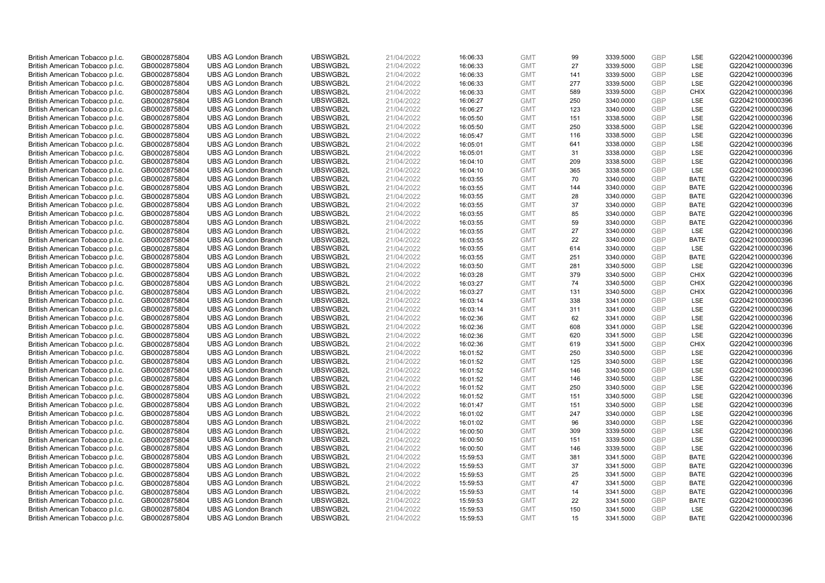| British American Tobacco p.l.c.                                    | GB0002875804                 | <b>UBS AG London Branch</b> | UBSWGB2L | 21/04/2022 | 16:06:33 | <b>GMT</b> | 99  | 3339.5000 | <b>GBP</b> | LSE         | G220421000000396 |
|--------------------------------------------------------------------|------------------------------|-----------------------------|----------|------------|----------|------------|-----|-----------|------------|-------------|------------------|
| British American Tobacco p.l.c.                                    | GB0002875804                 | <b>UBS AG London Branch</b> | UBSWGB2L | 21/04/2022 | 16:06:33 | <b>GMT</b> | 27  | 3339.5000 | GBP        | LSE         | G220421000000396 |
| British American Tobacco p.l.c.                                    | GB0002875804                 | <b>UBS AG London Branch</b> | UBSWGB2L | 21/04/2022 | 16:06:33 | <b>GMT</b> | 141 | 3339.5000 | <b>GBP</b> | LSE         | G220421000000396 |
| British American Tobacco p.l.c.                                    | GB0002875804                 | <b>UBS AG London Branch</b> | UBSWGB2L | 21/04/2022 | 16:06:33 | <b>GMT</b> | 277 | 3339.5000 | <b>GBP</b> | LSE         | G220421000000396 |
| British American Tobacco p.l.c.                                    | GB0002875804                 | <b>UBS AG London Branch</b> | UBSWGB2L | 21/04/2022 | 16:06:33 | <b>GMT</b> | 589 | 3339.5000 | <b>GBP</b> | <b>CHIX</b> | G220421000000396 |
| British American Tobacco p.l.c.                                    | GB0002875804                 | <b>UBS AG London Branch</b> | UBSWGB2L | 21/04/2022 | 16:06:27 | <b>GMT</b> | 250 | 3340.0000 | <b>GBP</b> | LSE         | G220421000000396 |
| British American Tobacco p.l.c.                                    | GB0002875804                 | <b>UBS AG London Branch</b> | UBSWGB2L | 21/04/2022 | 16:06:27 | <b>GMT</b> | 123 | 3340.0000 | <b>GBP</b> | LSE         | G220421000000396 |
| British American Tobacco p.l.c.                                    | GB0002875804                 | <b>UBS AG London Branch</b> | UBSWGB2L | 21/04/2022 | 16:05:50 | <b>GMT</b> | 151 | 3338.5000 | <b>GBP</b> | LSE         | G220421000000396 |
| British American Tobacco p.l.c.                                    | GB0002875804                 | <b>UBS AG London Branch</b> | UBSWGB2L | 21/04/2022 | 16:05:50 | <b>GMT</b> | 250 | 3338.5000 | <b>GBP</b> | LSE         | G220421000000396 |
| British American Tobacco p.l.c.                                    | GB0002875804                 | <b>UBS AG London Branch</b> | UBSWGB2L | 21/04/2022 | 16:05:47 | <b>GMT</b> | 116 | 3338.5000 | <b>GBP</b> | LSE         | G220421000000396 |
| British American Tobacco p.l.c.                                    | GB0002875804                 | <b>UBS AG London Branch</b> | UBSWGB2L | 21/04/2022 | 16:05:01 | <b>GMT</b> | 641 | 3338.0000 | <b>GBP</b> | LSE         | G220421000000396 |
| British American Tobacco p.l.c.                                    | GB0002875804                 | <b>UBS AG London Branch</b> | UBSWGB2L | 21/04/2022 | 16:05:01 | <b>GMT</b> | 31  | 3338.0000 | <b>GBP</b> | LSE         | G220421000000396 |
| British American Tobacco p.l.c.                                    | GB0002875804                 | <b>UBS AG London Branch</b> | UBSWGB2L | 21/04/2022 | 16:04:10 | <b>GMT</b> | 209 | 3338.5000 | <b>GBP</b> | LSE         | G220421000000396 |
| British American Tobacco p.l.c.                                    | GB0002875804                 | <b>UBS AG London Branch</b> | UBSWGB2L | 21/04/2022 | 16:04:10 | <b>GMT</b> | 365 | 3338.5000 | <b>GBP</b> | LSE         | G220421000000396 |
| British American Tobacco p.l.c.                                    | GB0002875804                 | <b>UBS AG London Branch</b> | UBSWGB2L | 21/04/2022 | 16:03:55 | <b>GMT</b> | 70  | 3340.0000 | <b>GBP</b> | <b>BATE</b> | G220421000000396 |
| British American Tobacco p.l.c.                                    | GB0002875804                 | <b>UBS AG London Branch</b> | UBSWGB2L | 21/04/2022 | 16:03:55 | <b>GMT</b> | 144 | 3340.0000 | <b>GBP</b> | <b>BATE</b> | G220421000000396 |
| British American Tobacco p.l.c.                                    | GB0002875804                 | <b>UBS AG London Branch</b> | UBSWGB2L | 21/04/2022 | 16:03:55 | <b>GMT</b> | 28  | 3340.0000 | <b>GBP</b> | <b>BATE</b> | G220421000000396 |
| British American Tobacco p.l.c.                                    | GB0002875804                 | <b>UBS AG London Branch</b> | UBSWGB2L | 21/04/2022 | 16:03:55 | <b>GMT</b> | 37  | 3340.0000 | <b>GBP</b> | <b>BATE</b> | G220421000000396 |
| British American Tobacco p.l.c.                                    | GB0002875804                 | <b>UBS AG London Branch</b> | UBSWGB2L | 21/04/2022 | 16:03:55 | <b>GMT</b> | 85  | 3340.0000 | <b>GBP</b> | <b>BATE</b> | G220421000000396 |
| British American Tobacco p.l.c.                                    | GB0002875804                 | <b>UBS AG London Branch</b> | UBSWGB2L | 21/04/2022 | 16:03:55 | <b>GMT</b> | 59  | 3340.0000 | <b>GBP</b> | <b>BATE</b> | G220421000000396 |
| British American Tobacco p.l.c.                                    | GB0002875804                 | <b>UBS AG London Branch</b> | UBSWGB2L | 21/04/2022 | 16:03:55 | <b>GMT</b> | 27  | 3340.0000 | <b>GBP</b> | LSE         | G220421000000396 |
| British American Tobacco p.l.c.                                    | GB0002875804                 | <b>UBS AG London Branch</b> | UBSWGB2L | 21/04/2022 | 16:03:55 | <b>GMT</b> | 22  | 3340.0000 | <b>GBP</b> | <b>BATE</b> | G220421000000396 |
| British American Tobacco p.l.c.                                    | GB0002875804                 | <b>UBS AG London Branch</b> | UBSWGB2L | 21/04/2022 | 16:03:55 | <b>GMT</b> | 614 | 3340.0000 | <b>GBP</b> | LSE         | G220421000000396 |
| British American Tobacco p.l.c.                                    | GB0002875804                 | <b>UBS AG London Branch</b> | UBSWGB2L | 21/04/2022 | 16:03:55 | <b>GMT</b> | 251 | 3340.0000 | <b>GBP</b> | <b>BATE</b> | G220421000000396 |
| British American Tobacco p.l.c.                                    | GB0002875804                 | <b>UBS AG London Branch</b> | UBSWGB2L | 21/04/2022 | 16:03:50 | <b>GMT</b> | 281 | 3340.5000 | <b>GBP</b> | LSE         | G220421000000396 |
| British American Tobacco p.l.c.                                    | GB0002875804                 | <b>UBS AG London Branch</b> | UBSWGB2L | 21/04/2022 | 16:03:28 | <b>GMT</b> | 379 | 3340.5000 | <b>GBP</b> | <b>CHIX</b> | G220421000000396 |
| British American Tobacco p.l.c.                                    | GB0002875804                 | <b>UBS AG London Branch</b> | UBSWGB2L | 21/04/2022 | 16:03:27 | <b>GMT</b> | 74  | 3340.5000 | <b>GBP</b> | <b>CHIX</b> | G220421000000396 |
| British American Tobacco p.l.c.                                    | GB0002875804                 | <b>UBS AG London Branch</b> | UBSWGB2L | 21/04/2022 | 16:03:27 | <b>GMT</b> | 131 | 3340.5000 | <b>GBP</b> | <b>CHIX</b> | G220421000000396 |
| British American Tobacco p.l.c.                                    | GB0002875804                 | <b>UBS AG London Branch</b> | UBSWGB2L | 21/04/2022 | 16:03:14 | <b>GMT</b> | 338 | 3341.0000 | <b>GBP</b> | LSE         | G220421000000396 |
| British American Tobacco p.l.c.                                    | GB0002875804                 | <b>UBS AG London Branch</b> | UBSWGB2L | 21/04/2022 | 16:03:14 | <b>GMT</b> | 311 | 3341.0000 | <b>GBP</b> | LSE         | G220421000000396 |
| British American Tobacco p.l.c.                                    | GB0002875804                 | <b>UBS AG London Branch</b> | UBSWGB2L | 21/04/2022 | 16:02:36 | <b>GMT</b> | 62  | 3341.0000 | GBP        | LSE         | G220421000000396 |
| British American Tobacco p.l.c.                                    | GB0002875804                 | <b>UBS AG London Branch</b> | UBSWGB2L | 21/04/2022 | 16:02:36 | <b>GMT</b> | 608 | 3341.0000 | <b>GBP</b> | LSE         | G220421000000396 |
| British American Tobacco p.l.c.                                    | GB0002875804                 | <b>UBS AG London Branch</b> | UBSWGB2L | 21/04/2022 | 16:02:36 | <b>GMT</b> | 620 | 3341.5000 | <b>GBP</b> | LSE         | G220421000000396 |
| British American Tobacco p.l.c.                                    | GB0002875804                 | <b>UBS AG London Branch</b> | UBSWGB2L | 21/04/2022 | 16:02:36 | <b>GMT</b> | 619 | 3341.5000 | <b>GBP</b> | <b>CHIX</b> | G220421000000396 |
| British American Tobacco p.l.c.                                    | GB0002875804                 | <b>UBS AG London Branch</b> | UBSWGB2L | 21/04/2022 | 16:01:52 | <b>GMT</b> | 250 | 3340.5000 | <b>GBP</b> | LSE         | G220421000000396 |
| British American Tobacco p.l.c.                                    | GB0002875804                 | <b>UBS AG London Branch</b> | UBSWGB2L | 21/04/2022 | 16:01:52 | <b>GMT</b> | 125 | 3340.5000 | <b>GBP</b> | LSE         | G220421000000396 |
| British American Tobacco p.l.c.                                    | GB0002875804                 | <b>UBS AG London Branch</b> | UBSWGB2L | 21/04/2022 | 16:01:52 | <b>GMT</b> | 146 | 3340.5000 | <b>GBP</b> | LSE         | G220421000000396 |
| British American Tobacco p.l.c.                                    | GB0002875804                 | <b>UBS AG London Branch</b> | UBSWGB2L | 21/04/2022 | 16:01:52 | <b>GMT</b> | 146 | 3340.5000 | <b>GBP</b> | LSE         | G220421000000396 |
| British American Tobacco p.l.c.                                    | GB0002875804                 | <b>UBS AG London Branch</b> | UBSWGB2L | 21/04/2022 | 16:01:52 | <b>GMT</b> | 250 | 3340.5000 | <b>GBP</b> | LSE         | G220421000000396 |
| British American Tobacco p.l.c.                                    | GB0002875804                 | <b>UBS AG London Branch</b> | UBSWGB2L | 21/04/2022 | 16:01:52 | <b>GMT</b> | 151 | 3340.5000 | <b>GBP</b> | LSE         | G220421000000396 |
| British American Tobacco p.l.c.                                    | GB0002875804                 | <b>UBS AG London Branch</b> | UBSWGB2L | 21/04/2022 | 16:01:47 | <b>GMT</b> | 151 | 3340.5000 | <b>GBP</b> | LSE         | G220421000000396 |
| British American Tobacco p.l.c.                                    | GB0002875804                 | <b>UBS AG London Branch</b> | UBSWGB2L | 21/04/2022 | 16:01:02 | <b>GMT</b> | 247 | 3340.0000 | <b>GBP</b> | LSE         | G220421000000396 |
| British American Tobacco p.l.c.                                    | GB0002875804                 | <b>UBS AG London Branch</b> | UBSWGB2L | 21/04/2022 | 16:01:02 | <b>GMT</b> | 96  | 3340.0000 | <b>GBP</b> | LSE         | G220421000000396 |
| British American Tobacco p.l.c.                                    | GB0002875804                 | <b>UBS AG London Branch</b> | UBSWGB2L | 21/04/2022 | 16:00:50 | <b>GMT</b> | 309 | 3339.5000 | GBP        | LSE         | G220421000000396 |
| British American Tobacco p.l.c.                                    | GB0002875804                 | <b>UBS AG London Branch</b> | UBSWGB2L | 21/04/2022 | 16:00:50 | <b>GMT</b> | 151 | 3339.5000 | <b>GBP</b> | LSE         | G220421000000396 |
|                                                                    |                              | <b>UBS AG London Branch</b> | UBSWGB2L | 21/04/2022 |          | <b>GMT</b> | 146 | 3339.5000 | <b>GBP</b> | LSE         | G220421000000396 |
| British American Tobacco p.l.c.<br>British American Tobacco p.l.c. | GB0002875804<br>GB0002875804 | <b>UBS AG London Branch</b> | UBSWGB2L | 21/04/2022 | 16:00:50 | <b>GMT</b> | 381 | 3341.5000 | <b>GBP</b> | <b>BATE</b> | G220421000000396 |
|                                                                    |                              | <b>UBS AG London Branch</b> | UBSWGB2L |            | 15:59:53 | <b>GMT</b> | 37  | 3341.5000 | <b>GBP</b> | <b>BATE</b> | G220421000000396 |
| British American Tobacco p.l.c.                                    | GB0002875804                 |                             |          | 21/04/2022 | 15:59:53 | <b>GMT</b> |     |           | <b>GBP</b> |             |                  |
| British American Tobacco p.l.c.                                    | GB0002875804                 | <b>UBS AG London Branch</b> | UBSWGB2L | 21/04/2022 | 15:59:53 |            | 25  | 3341.5000 | <b>GBP</b> | <b>BATE</b> | G220421000000396 |
| British American Tobacco p.l.c.                                    | GB0002875804                 | <b>UBS AG London Branch</b> | UBSWGB2L | 21/04/2022 | 15:59:53 | <b>GMT</b> | 47  | 3341.5000 |            | <b>BATE</b> | G220421000000396 |
| British American Tobacco p.l.c.                                    | GB0002875804                 | <b>UBS AG London Branch</b> | UBSWGB2L | 21/04/2022 | 15:59:53 | <b>GMT</b> | 14  | 3341.5000 | <b>GBP</b> | <b>BATE</b> | G220421000000396 |
| British American Tobacco p.l.c.                                    | GB0002875804                 | <b>UBS AG London Branch</b> | UBSWGB2L | 21/04/2022 | 15:59:53 | <b>GMT</b> | 22  | 3341.5000 | <b>GBP</b> | <b>BATE</b> | G220421000000396 |
| British American Tobacco p.l.c.                                    | GB0002875804                 | <b>UBS AG London Branch</b> | UBSWGB2L | 21/04/2022 | 15:59:53 | <b>GMT</b> | 150 | 3341.5000 | <b>GBP</b> | <b>LSE</b>  | G220421000000396 |
| British American Tobacco p.l.c.                                    | GB0002875804                 | <b>UBS AG London Branch</b> | UBSWGB2L | 21/04/2022 | 15:59:53 | <b>GMT</b> | 15  | 3341.5000 | GBP        | <b>BATE</b> | G220421000000396 |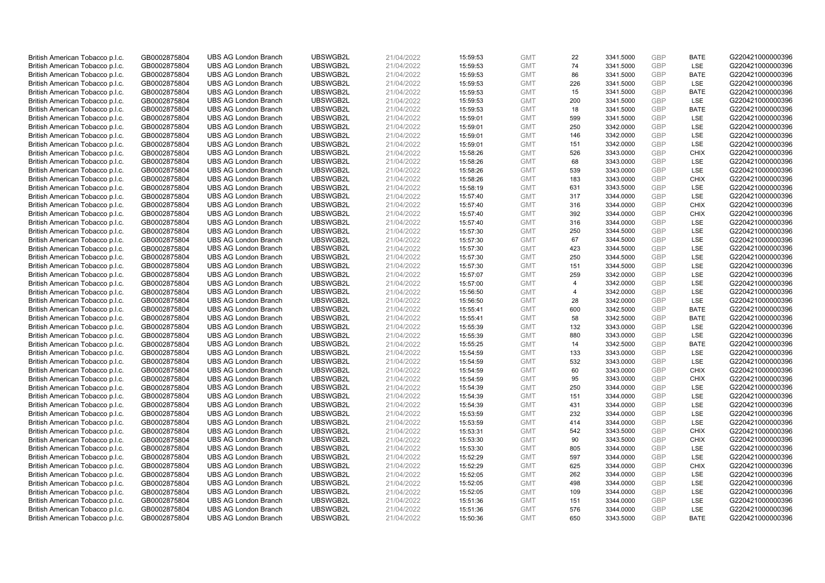| British American Tobacco p.l.c. | GB0002875804 | <b>UBS AG London Branch</b> | UBSWGB2L | 21/04/2022 | 15:59:53 | <b>GMT</b> | 22             | 3341.5000 | <b>GBP</b> | <b>BATE</b> | G220421000000396 |
|---------------------------------|--------------|-----------------------------|----------|------------|----------|------------|----------------|-----------|------------|-------------|------------------|
| British American Tobacco p.l.c. | GB0002875804 | <b>UBS AG London Branch</b> | UBSWGB2L | 21/04/2022 | 15:59:53 | <b>GMT</b> | 74             | 3341.5000 | <b>GBP</b> | LSE         | G220421000000396 |
| British American Tobacco p.l.c. | GB0002875804 | <b>UBS AG London Branch</b> | UBSWGB2L | 21/04/2022 | 15:59:53 | <b>GMT</b> | 86             | 3341.5000 | <b>GBP</b> | <b>BATE</b> | G220421000000396 |
| British American Tobacco p.l.c. | GB0002875804 | <b>UBS AG London Branch</b> | UBSWGB2L | 21/04/2022 | 15:59:53 | <b>GMT</b> | 226            | 3341.5000 | <b>GBP</b> | LSE         | G220421000000396 |
| British American Tobacco p.l.c. | GB0002875804 | <b>UBS AG London Branch</b> | UBSWGB2L | 21/04/2022 | 15:59:53 | <b>GMT</b> | 15             | 3341.5000 | <b>GBP</b> | <b>BATE</b> | G220421000000396 |
| British American Tobacco p.l.c. | GB0002875804 | <b>UBS AG London Branch</b> | UBSWGB2L | 21/04/2022 | 15:59:53 | <b>GMT</b> | 200            | 3341.5000 | <b>GBP</b> | LSE         | G220421000000396 |
| British American Tobacco p.l.c. | GB0002875804 | <b>UBS AG London Branch</b> | UBSWGB2L | 21/04/2022 | 15:59:53 | <b>GMT</b> | 18             | 3341.5000 | <b>GBP</b> | <b>BATE</b> | G220421000000396 |
| British American Tobacco p.l.c. | GB0002875804 | <b>UBS AG London Branch</b> | UBSWGB2L | 21/04/2022 | 15:59:01 | <b>GMT</b> | 599            | 3341.5000 | <b>GBP</b> | LSE         | G220421000000396 |
| British American Tobacco p.l.c. | GB0002875804 | <b>UBS AG London Branch</b> | UBSWGB2L | 21/04/2022 | 15:59:01 | <b>GMT</b> | 250            | 3342.0000 | <b>GBP</b> | LSE         | G220421000000396 |
| British American Tobacco p.l.c. | GB0002875804 | <b>UBS AG London Branch</b> | UBSWGB2L | 21/04/2022 | 15:59:01 | <b>GMT</b> | 146            | 3342.0000 | <b>GBP</b> | <b>LSE</b>  | G220421000000396 |
| British American Tobacco p.l.c. | GB0002875804 | <b>UBS AG London Branch</b> | UBSWGB2L | 21/04/2022 | 15:59:01 | <b>GMT</b> | 151            | 3342.0000 | <b>GBP</b> | LSE         | G220421000000396 |
| British American Tobacco p.l.c. | GB0002875804 | <b>UBS AG London Branch</b> | UBSWGB2L | 21/04/2022 | 15:58:26 | <b>GMT</b> | 526            | 3343.0000 | <b>GBP</b> | <b>CHIX</b> | G220421000000396 |
| British American Tobacco p.l.c. | GB0002875804 | <b>UBS AG London Branch</b> | UBSWGB2L | 21/04/2022 | 15:58:26 | <b>GMT</b> | 68             | 3343.0000 | <b>GBP</b> | LSE         | G220421000000396 |
| British American Tobacco p.l.c. | GB0002875804 | <b>UBS AG London Branch</b> | UBSWGB2L | 21/04/2022 | 15:58:26 | <b>GMT</b> | 539            | 3343.0000 | <b>GBP</b> | LSE         | G220421000000396 |
| British American Tobacco p.l.c. | GB0002875804 | <b>UBS AG London Branch</b> | UBSWGB2L | 21/04/2022 | 15:58:26 | <b>GMT</b> | 183            | 3343.0000 | <b>GBP</b> | <b>CHIX</b> | G220421000000396 |
| British American Tobacco p.l.c. | GB0002875804 | <b>UBS AG London Branch</b> | UBSWGB2L | 21/04/2022 | 15:58:19 | <b>GMT</b> | 631            | 3343.5000 | <b>GBP</b> | LSE         | G220421000000396 |
| British American Tobacco p.l.c. | GB0002875804 | <b>UBS AG London Branch</b> | UBSWGB2L | 21/04/2022 | 15:57:40 | <b>GMT</b> | 317            | 3344.0000 | <b>GBP</b> | LSE         | G220421000000396 |
| British American Tobacco p.l.c. | GB0002875804 | <b>UBS AG London Branch</b> | UBSWGB2L | 21/04/2022 | 15:57:40 | <b>GMT</b> | 316            | 3344.0000 | <b>GBP</b> | <b>CHIX</b> | G220421000000396 |
| British American Tobacco p.l.c. | GB0002875804 | <b>UBS AG London Branch</b> | UBSWGB2L | 21/04/2022 | 15:57:40 | <b>GMT</b> | 392            | 3344.0000 | <b>GBP</b> | <b>CHIX</b> | G220421000000396 |
| British American Tobacco p.l.c. | GB0002875804 | <b>UBS AG London Branch</b> | UBSWGB2L | 21/04/2022 | 15:57:40 | <b>GMT</b> | 316            | 3344.0000 | <b>GBP</b> | LSE         | G220421000000396 |
| British American Tobacco p.l.c. | GB0002875804 | <b>UBS AG London Branch</b> | UBSWGB2L | 21/04/2022 | 15:57:30 | <b>GMT</b> | 250            | 3344.5000 | <b>GBP</b> | LSE         | G220421000000396 |
| British American Tobacco p.l.c. | GB0002875804 | <b>UBS AG London Branch</b> | UBSWGB2L | 21/04/2022 | 15:57:30 | <b>GMT</b> | 67             | 3344.5000 | <b>GBP</b> | LSE         | G220421000000396 |
| British American Tobacco p.l.c. | GB0002875804 | <b>UBS AG London Branch</b> | UBSWGB2L | 21/04/2022 | 15:57:30 | <b>GMT</b> | 423            | 3344.5000 | <b>GBP</b> | LSE         | G220421000000396 |
| British American Tobacco p.l.c. | GB0002875804 | <b>UBS AG London Branch</b> | UBSWGB2L | 21/04/2022 | 15:57:30 | <b>GMT</b> | 250            | 3344.5000 | <b>GBP</b> | LSE         | G220421000000396 |
| British American Tobacco p.l.c. | GB0002875804 | <b>UBS AG London Branch</b> | UBSWGB2L | 21/04/2022 | 15:57:30 | <b>GMT</b> | 151            | 3344.5000 | <b>GBP</b> | LSE         | G220421000000396 |
| British American Tobacco p.l.c. | GB0002875804 | <b>UBS AG London Branch</b> | UBSWGB2L | 21/04/2022 | 15:57:07 | <b>GMT</b> | 259            | 3342.0000 | <b>GBP</b> | LSE         | G220421000000396 |
| British American Tobacco p.l.c. | GB0002875804 | <b>UBS AG London Branch</b> | UBSWGB2L | 21/04/2022 | 15:57:00 | <b>GMT</b> | $\overline{4}$ | 3342.0000 | <b>GBP</b> | LSE         | G220421000000396 |
| British American Tobacco p.l.c. | GB0002875804 | <b>UBS AG London Branch</b> | UBSWGB2L | 21/04/2022 | 15:56:50 | <b>GMT</b> | $\overline{4}$ | 3342.0000 | <b>GBP</b> | LSE         | G220421000000396 |
| British American Tobacco p.l.c. | GB0002875804 | <b>UBS AG London Branch</b> | UBSWGB2L | 21/04/2022 | 15:56:50 | <b>GMT</b> | 28             | 3342.0000 | <b>GBP</b> | LSE         | G220421000000396 |
| British American Tobacco p.l.c. | GB0002875804 | <b>UBS AG London Branch</b> | UBSWGB2L | 21/04/2022 | 15:55:41 | <b>GMT</b> | 600            | 3342.5000 | <b>GBP</b> | <b>BATE</b> | G220421000000396 |
| British American Tobacco p.l.c. | GB0002875804 | <b>UBS AG London Branch</b> | UBSWGB2L | 21/04/2022 | 15:55:41 | <b>GMT</b> | 58             | 3342.5000 | <b>GBP</b> | <b>BATE</b> | G220421000000396 |
| British American Tobacco p.l.c. | GB0002875804 | <b>UBS AG London Branch</b> | UBSWGB2L | 21/04/2022 | 15:55:39 | <b>GMT</b> | 132            | 3343.0000 | <b>GBP</b> | LSE         | G220421000000396 |
| British American Tobacco p.l.c. | GB0002875804 | <b>UBS AG London Branch</b> | UBSWGB2L | 21/04/2022 | 15:55:39 | <b>GMT</b> | 880            | 3343.0000 | <b>GBP</b> | LSE         | G220421000000396 |
| British American Tobacco p.l.c. | GB0002875804 | <b>UBS AG London Branch</b> | UBSWGB2L | 21/04/2022 | 15:55:25 | <b>GMT</b> | 14             | 3342.5000 | <b>GBP</b> | <b>BATE</b> | G220421000000396 |
| British American Tobacco p.l.c. | GB0002875804 | <b>UBS AG London Branch</b> | UBSWGB2L | 21/04/2022 | 15:54:59 | <b>GMT</b> | 133            | 3343.0000 | <b>GBP</b> | LSE         | G220421000000396 |
| British American Tobacco p.l.c. | GB0002875804 | <b>UBS AG London Branch</b> | UBSWGB2L | 21/04/2022 | 15:54:59 | <b>GMT</b> | 532            | 3343.0000 | <b>GBP</b> | LSE         | G220421000000396 |
| British American Tobacco p.l.c. | GB0002875804 | <b>UBS AG London Branch</b> | UBSWGB2L | 21/04/2022 | 15:54:59 | <b>GMT</b> | 60             | 3343.0000 | <b>GBP</b> | <b>CHIX</b> | G220421000000396 |
| British American Tobacco p.l.c. | GB0002875804 | <b>UBS AG London Branch</b> | UBSWGB2L | 21/04/2022 | 15:54:59 | <b>GMT</b> | 95             | 3343.0000 | <b>GBP</b> | <b>CHIX</b> | G220421000000396 |
| British American Tobacco p.l.c. | GB0002875804 | <b>UBS AG London Branch</b> | UBSWGB2L | 21/04/2022 | 15:54:39 | <b>GMT</b> | 250            | 3344.0000 | <b>GBP</b> | LSE         | G220421000000396 |
| British American Tobacco p.l.c. | GB0002875804 | <b>UBS AG London Branch</b> | UBSWGB2L | 21/04/2022 | 15:54:39 | <b>GMT</b> | 151            | 3344.0000 | <b>GBP</b> | LSE         | G220421000000396 |
| British American Tobacco p.l.c. | GB0002875804 | <b>UBS AG London Branch</b> | UBSWGB2L | 21/04/2022 | 15:54:39 | <b>GMT</b> | 431            | 3344.0000 | GBP        | LSE         | G220421000000396 |
| British American Tobacco p.l.c. | GB0002875804 | <b>UBS AG London Branch</b> | UBSWGB2L | 21/04/2022 | 15:53:59 | <b>GMT</b> | 232            | 3344.0000 | <b>GBP</b> | LSE         | G220421000000396 |
| British American Tobacco p.l.c. | GB0002875804 | <b>UBS AG London Branch</b> | UBSWGB2L | 21/04/2022 | 15:53:59 | <b>GMT</b> | 414            | 3344.0000 | <b>GBP</b> | LSE         | G220421000000396 |
| British American Tobacco p.l.c. | GB0002875804 | <b>UBS AG London Branch</b> | UBSWGB2L | 21/04/2022 | 15:53:31 | <b>GMT</b> | 542            | 3343.5000 | <b>GBP</b> | <b>CHIX</b> | G220421000000396 |
| British American Tobacco p.l.c. | GB0002875804 | UBS AG London Branch        | UBSWGB2L | 21/04/2022 | 15:53:30 | <b>GMT</b> | 90             | 3343.5000 | <b>GBP</b> | <b>CHIX</b> | G220421000000396 |
| British American Tobacco p.l.c. | GB0002875804 | <b>UBS AG London Branch</b> | UBSWGB2L | 21/04/2022 | 15:53:30 | <b>GMT</b> | 805            | 3344.0000 | <b>GBP</b> | LSE         | G220421000000396 |
| British American Tobacco p.l.c. | GB0002875804 | <b>UBS AG London Branch</b> | UBSWGB2L | 21/04/2022 | 15:52:29 | <b>GMT</b> | 597            | 3344.0000 | <b>GBP</b> | LSE         | G220421000000396 |
| British American Tobacco p.l.c. | GB0002875804 | <b>UBS AG London Branch</b> | UBSWGB2L | 21/04/2022 | 15:52:29 | <b>GMT</b> | 625            | 3344.0000 | <b>GBP</b> | <b>CHIX</b> | G220421000000396 |
| British American Tobacco p.l.c. | GB0002875804 | <b>UBS AG London Branch</b> | UBSWGB2L | 21/04/2022 | 15:52:05 | <b>GMT</b> | 262            | 3344.0000 | <b>GBP</b> | LSE         | G220421000000396 |
| British American Tobacco p.l.c. | GB0002875804 | <b>UBS AG London Branch</b> | UBSWGB2L | 21/04/2022 | 15:52:05 | <b>GMT</b> | 498            | 3344.0000 | <b>GBP</b> | LSE         | G220421000000396 |
| British American Tobacco p.l.c. | GB0002875804 | <b>UBS AG London Branch</b> | UBSWGB2L | 21/04/2022 | 15:52:05 | <b>GMT</b> | 109            | 3344.0000 | <b>GBP</b> | LSE         | G220421000000396 |
| British American Tobacco p.l.c. | GB0002875804 | <b>UBS AG London Branch</b> | UBSWGB2L | 21/04/2022 | 15:51:36 | <b>GMT</b> | 151            | 3344.0000 | <b>GBP</b> | LSE         | G220421000000396 |
| British American Tobacco p.l.c. | GB0002875804 | <b>UBS AG London Branch</b> | UBSWGB2L | 21/04/2022 | 15:51:36 | <b>GMT</b> | 576            | 3344.0000 | <b>GBP</b> | LSE         | G220421000000396 |
| British American Tobacco p.l.c. | GB0002875804 | <b>UBS AG London Branch</b> | UBSWGB2L | 21/04/2022 | 15:50:36 | <b>GMT</b> | 650            | 3343.5000 | GBP        | <b>BATE</b> | G220421000000396 |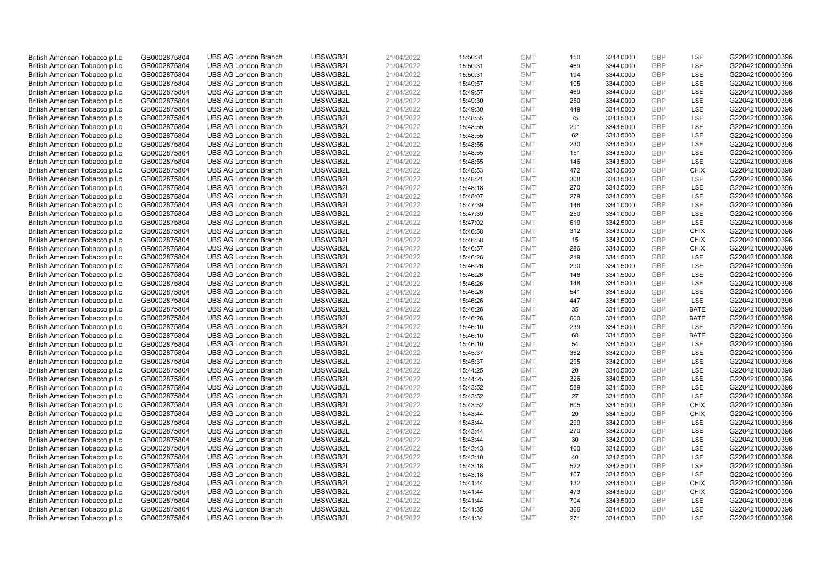| British American Tobacco p.l.c. | GB0002875804 | <b>UBS AG London Branch</b>                                | UBSWGB2L             | 21/04/2022 | 15:50:31 | <b>GMT</b>               | 150        | 3344.0000              | <b>GBP</b>               | LSE                | G220421000000396                     |
|---------------------------------|--------------|------------------------------------------------------------|----------------------|------------|----------|--------------------------|------------|------------------------|--------------------------|--------------------|--------------------------------------|
|                                 |              |                                                            |                      |            |          |                          | 469        |                        | GBP                      | LSE                |                                      |
| British American Tobacco p.l.c. | GB0002875804 | <b>UBS AG London Branch</b>                                | UBSWGB2L             | 21/04/2022 | 15:50:31 | <b>GMT</b>               |            | 3344.0000              |                          |                    | G220421000000396                     |
| British American Tobacco p.l.c. | GB0002875804 | <b>UBS AG London Branch</b>                                | UBSWGB2L             | 21/04/2022 | 15:50:31 | <b>GMT</b>               | 194        | 3344.0000              | <b>GBP</b>               | LSE                | G220421000000396                     |
| British American Tobacco p.l.c. | GB0002875804 | <b>UBS AG London Branch</b>                                | UBSWGB2L             | 21/04/2022 | 15:49:57 | <b>GMT</b>               | 105        | 3344.0000              | <b>GBP</b>               | LSE                | G220421000000396                     |
| British American Tobacco p.l.c. | GB0002875804 | <b>UBS AG London Branch</b>                                | UBSWGB2L             | 21/04/2022 | 15:49:57 | <b>GMT</b>               | 469        | 3344.0000              | <b>GBP</b>               | LSE                | G220421000000396                     |
| British American Tobacco p.l.c. | GB0002875804 | <b>UBS AG London Branch</b>                                | UBSWGB2L             | 21/04/2022 | 15:49:30 | <b>GMT</b>               | 250        | 3344.0000              | <b>GBP</b>               | LSE                | G220421000000396                     |
| British American Tobacco p.l.c. | GB0002875804 | <b>UBS AG London Branch</b>                                | UBSWGB2L             | 21/04/2022 | 15:49:30 | <b>GMT</b>               | 449        | 3344.0000              | <b>GBP</b>               | LSE                | G220421000000396                     |
| British American Tobacco p.l.c. | GB0002875804 | <b>UBS AG London Branch</b>                                | UBSWGB2L             | 21/04/2022 | 15:48:55 | <b>GMT</b>               | 75         | 3343.5000              | <b>GBP</b>               | LSE                | G220421000000396                     |
| British American Tobacco p.l.c. | GB0002875804 | <b>UBS AG London Branch</b>                                | UBSWGB2L             | 21/04/2022 | 15:48:55 | <b>GMT</b>               | 201        | 3343.5000              | <b>GBP</b>               | LSE                | G220421000000396                     |
| British American Tobacco p.l.c. | GB0002875804 | <b>UBS AG London Branch</b>                                | UBSWGB2L             | 21/04/2022 | 15:48:55 | <b>GMT</b>               | 62         | 3343.5000              | <b>GBP</b>               | LSE                | G220421000000396                     |
| British American Tobacco p.l.c. | GB0002875804 | <b>UBS AG London Branch</b>                                | UBSWGB2L             | 21/04/2022 | 15:48:55 | <b>GMT</b>               | 230        | 3343.5000              | <b>GBP</b>               | LSE                | G220421000000396                     |
| British American Tobacco p.l.c. | GB0002875804 | <b>UBS AG London Branch</b>                                | UBSWGB2L             | 21/04/2022 | 15:48:55 | <b>GMT</b>               | 151        | 3343.5000              | <b>GBP</b>               | LSE                | G220421000000396                     |
| British American Tobacco p.l.c. | GB0002875804 | <b>UBS AG London Branch</b>                                | UBSWGB2L             | 21/04/2022 | 15:48:55 | <b>GMT</b>               | 146        | 3343.5000              | <b>GBP</b>               | LSE                | G220421000000396                     |
| British American Tobacco p.l.c. | GB0002875804 | <b>UBS AG London Branch</b>                                | UBSWGB2L             | 21/04/2022 | 15:48:53 | <b>GMT</b>               | 472        | 3343.0000              | <b>GBP</b>               | <b>CHIX</b>        | G220421000000396                     |
| British American Tobacco p.l.c. | GB0002875804 | <b>UBS AG London Branch</b>                                | UBSWGB2L             | 21/04/2022 | 15:48:21 | <b>GMT</b>               | 308        | 3343.5000              | <b>GBP</b>               | LSE                | G220421000000396                     |
| British American Tobacco p.l.c. | GB0002875804 | <b>UBS AG London Branch</b>                                | UBSWGB2L             | 21/04/2022 | 15:48:18 | <b>GMT</b>               | 270        | 3343.5000              | <b>GBP</b>               | LSE                | G220421000000396                     |
| British American Tobacco p.l.c. | GB0002875804 | <b>UBS AG London Branch</b>                                | UBSWGB2L             | 21/04/2022 | 15:48:07 | <b>GMT</b>               | 279        | 3343.0000              | <b>GBP</b>               | LSE                | G220421000000396                     |
| British American Tobacco p.l.c. | GB0002875804 | <b>UBS AG London Branch</b>                                | UBSWGB2L             | 21/04/2022 | 15:47:39 | <b>GMT</b>               | 146        | 3341.0000              | <b>GBP</b>               | LSE                | G220421000000396                     |
| British American Tobacco p.l.c. | GB0002875804 | <b>UBS AG London Branch</b>                                | UBSWGB2L             | 21/04/2022 | 15:47:39 | <b>GMT</b>               | 250        | 3341.0000              | <b>GBP</b>               | <b>LSE</b>         | G220421000000396                     |
| British American Tobacco p.l.c. | GB0002875804 | <b>UBS AG London Branch</b>                                | UBSWGB2L             | 21/04/2022 | 15:47:02 | <b>GMT</b>               | 619        | 3342.5000              | <b>GBP</b>               | LSE                | G220421000000396                     |
| British American Tobacco p.l.c. | GB0002875804 | <b>UBS AG London Branch</b>                                | UBSWGB2L             | 21/04/2022 | 15:46:58 | <b>GMT</b>               | 312        | 3343.0000              | <b>GBP</b>               | <b>CHIX</b>        | G220421000000396                     |
| British American Tobacco p.l.c. | GB0002875804 | <b>UBS AG London Branch</b>                                | UBSWGB2L             | 21/04/2022 | 15:46:58 | <b>GMT</b>               | 15         | 3343.0000              | <b>GBP</b>               | <b>CHIX</b>        | G220421000000396                     |
| British American Tobacco p.l.c. | GB0002875804 | <b>UBS AG London Branch</b>                                | UBSWGB2L             | 21/04/2022 | 15:46:57 | <b>GMT</b>               | 286        | 3343.0000              | <b>GBP</b>               | <b>CHIX</b>        | G220421000000396                     |
| British American Tobacco p.l.c. | GB0002875804 | <b>UBS AG London Branch</b>                                | UBSWGB2L             | 21/04/2022 | 15:46:26 | <b>GMT</b>               | 219        | 3341.5000              | <b>GBP</b>               | LSE                | G220421000000396                     |
| British American Tobacco p.l.c. | GB0002875804 | <b>UBS AG London Branch</b>                                | UBSWGB2L             | 21/04/2022 | 15:46:26 | <b>GMT</b>               | 290        | 3341.5000              | <b>GBP</b>               | LSE                | G220421000000396                     |
| British American Tobacco p.l.c. | GB0002875804 | <b>UBS AG London Branch</b>                                | UBSWGB2L             | 21/04/2022 | 15:46:26 | <b>GMT</b>               | 146        | 3341.5000              | <b>GBP</b>               | LSE                | G220421000000396                     |
| British American Tobacco p.l.c. | GB0002875804 | <b>UBS AG London Branch</b>                                | UBSWGB2L             | 21/04/2022 | 15:46:26 | <b>GMT</b>               | 148        | 3341.5000              | <b>GBP</b>               | LSE                | G220421000000396                     |
| British American Tobacco p.l.c. | GB0002875804 | <b>UBS AG London Branch</b>                                | UBSWGB2L             | 21/04/2022 | 15:46:26 | <b>GMT</b>               | 541        | 3341.5000              | <b>GBP</b>               | LSE                | G220421000000396                     |
| British American Tobacco p.l.c. | GB0002875804 | <b>UBS AG London Branch</b>                                | UBSWGB2L             | 21/04/2022 | 15:46:26 | <b>GMT</b>               | 447        | 3341.5000              | <b>GBP</b>               | LSE                | G220421000000396                     |
| British American Tobacco p.l.c. | GB0002875804 | <b>UBS AG London Branch</b>                                | UBSWGB2L             | 21/04/2022 | 15:46:26 | <b>GMT</b>               | 35         | 3341.5000              | <b>GBP</b>               | <b>BATE</b>        | G220421000000396                     |
| British American Tobacco p.l.c. | GB0002875804 | <b>UBS AG London Branch</b>                                | UBSWGB2L             | 21/04/2022 | 15:46:26 | <b>GMT</b>               | 600        | 3341.5000              | <b>GBP</b>               | <b>BATE</b>        | G220421000000396                     |
| British American Tobacco p.l.c. | GB0002875804 | <b>UBS AG London Branch</b>                                | UBSWGB2L             | 21/04/2022 | 15:46:10 | <b>GMT</b>               | 239        | 3341.5000              | <b>GBP</b>               | LSE                | G220421000000396                     |
| British American Tobacco p.l.c. | GB0002875804 | <b>UBS AG London Branch</b>                                | UBSWGB2L             | 21/04/2022 | 15:46:10 | <b>GMT</b>               | 68         | 3341.5000              | <b>GBP</b>               | <b>BATE</b>        | G220421000000396                     |
| British American Tobacco p.l.c. | GB0002875804 | <b>UBS AG London Branch</b>                                | UBSWGB2L             | 21/04/2022 | 15:46:10 | <b>GMT</b>               | 54         | 3341.5000              | <b>GBP</b>               | LSE                | G220421000000396                     |
| British American Tobacco p.l.c. | GB0002875804 | <b>UBS AG London Branch</b>                                | UBSWGB2L             | 21/04/2022 | 15:45:37 | <b>GMT</b>               | 362        | 3342.0000              | <b>GBP</b>               | LSE                | G220421000000396                     |
| British American Tobacco p.l.c. | GB0002875804 | <b>UBS AG London Branch</b>                                | UBSWGB2L             | 21/04/2022 | 15:45:37 | <b>GMT</b>               | 295        | 3342.0000              | <b>GBP</b>               | LSE                | G220421000000396                     |
| British American Tobacco p.l.c. | GB0002875804 | <b>UBS AG London Branch</b>                                | UBSWGB2L             | 21/04/2022 | 15:44:25 | <b>GMT</b>               | 20         | 3340.5000              | <b>GBP</b>               | LSE                | G220421000000396                     |
| British American Tobacco p.l.c. | GB0002875804 | <b>UBS AG London Branch</b>                                | UBSWGB2L             | 21/04/2022 | 15:44:25 | <b>GMT</b>               | 326        | 3340.5000              | <b>GBP</b>               | LSE                | G220421000000396                     |
| British American Tobacco p.l.c. | GB0002875804 | <b>UBS AG London Branch</b>                                | UBSWGB2L             | 21/04/2022 | 15:43:52 | <b>GMT</b>               | 589        | 3341.5000              | <b>GBP</b>               | LSE                | G220421000000396                     |
| British American Tobacco p.l.c. | GB0002875804 | <b>UBS AG London Branch</b>                                | UBSWGB2L             | 21/04/2022 | 15:43:52 | <b>GMT</b>               | 27         | 3341.5000              | <b>GBP</b>               | LSE                | G220421000000396                     |
| British American Tobacco p.l.c. | GB0002875804 | <b>UBS AG London Branch</b>                                | UBSWGB2L             | 21/04/2022 | 15:43:52 | <b>GMT</b>               | 605        | 3341.5000              | <b>GBP</b>               | <b>CHIX</b>        | G220421000000396                     |
| British American Tobacco p.l.c. | GB0002875804 | <b>UBS AG London Branch</b>                                | UBSWGB2L             | 21/04/2022 | 15:43:44 | <b>GMT</b>               | 20         | 3341.5000              | <b>GBP</b>               | <b>CHIX</b>        | G220421000000396                     |
| British American Tobacco p.l.c. | GB0002875804 | <b>UBS AG London Branch</b>                                | UBSWGB2L             | 21/04/2022 | 15:43:44 | <b>GMT</b>               | 299        | 3342.0000              | <b>GBP</b>               | LSE                | G220421000000396                     |
| British American Tobacco p.l.c. | GB0002875804 | <b>UBS AG London Branch</b>                                | UBSWGB2L             | 21/04/2022 | 15:43:44 | <b>GMT</b>               | 270        | 3342.0000              | GBP                      | LSE                | G220421000000396                     |
| British American Tobacco p.l.c. | GB0002875804 | <b>UBS AG London Branch</b>                                | UBSWGB2L             | 21/04/2022 | 15:43:44 | <b>GMT</b>               | 30         | 3342.0000              | <b>GBP</b>               | LSE                | G220421000000396                     |
| British American Tobacco p.l.c. | GB0002875804 | <b>UBS AG London Branch</b>                                | UBSWGB2L             | 21/04/2022 | 15:43:43 | <b>GMT</b>               | 100        | 3342.0000              | <b>GBP</b>               | LSE                | G220421000000396                     |
| British American Tobacco p.l.c. | GB0002875804 | <b>UBS AG London Branch</b>                                | UBSWGB2L             | 21/04/2022 | 15:43:18 | <b>GMT</b>               | 40         | 3342.5000              | <b>GBP</b>               | LSE                | G220421000000396                     |
| British American Tobacco p.l.c. | GB0002875804 | <b>UBS AG London Branch</b>                                | UBSWGB2L             | 21/04/2022 | 15:43:18 | <b>GMT</b>               | 522        | 3342.5000              | <b>GBP</b>               | LSE                | G220421000000396                     |
| British American Tobacco p.l.c. | GB0002875804 | <b>UBS AG London Branch</b>                                | UBSWGB2L             | 21/04/2022 |          | <b>GMT</b>               | 107        | 3342.5000              | <b>GBP</b>               | LSE                | G220421000000396                     |
| British American Tobacco p.l.c. |              |                                                            | UBSWGB2L             | 21/04/2022 | 15:43:18 | <b>GMT</b>               |            |                        | <b>GBP</b>               | <b>CHIX</b>        | G220421000000396                     |
|                                 | GB0002875804 | <b>UBS AG London Branch</b>                                |                      |            | 15:41:44 |                          | 132        | 3343.5000              |                          |                    |                                      |
| British American Tobacco p.l.c. | GB0002875804 | <b>UBS AG London Branch</b><br><b>UBS AG London Branch</b> | UBSWGB2L<br>UBSWGB2L | 21/04/2022 | 15:41:44 | <b>GMT</b><br><b>GMT</b> | 473<br>704 | 3343.5000              | <b>GBP</b><br><b>GBP</b> | <b>CHIX</b><br>LSE | G220421000000396<br>G220421000000396 |
| British American Tobacco p.l.c. | GB0002875804 |                                                            |                      | 21/04/2022 | 15:41:44 |                          |            | 3343.5000              | <b>GBP</b>               | LSE                | G220421000000396                     |
| British American Tobacco p.l.c. | GB0002875804 | <b>UBS AG London Branch</b>                                | UBSWGB2L             | 21/04/2022 | 15:41:35 | <b>GMT</b><br><b>GMT</b> | 366<br>271 | 3344.0000<br>3344.0000 | GBP                      | LSE                |                                      |
| British American Tobacco p.l.c. | GB0002875804 | <b>UBS AG London Branch</b>                                | UBSWGB2L             | 21/04/2022 | 15:41:34 |                          |            |                        |                          |                    | G220421000000396                     |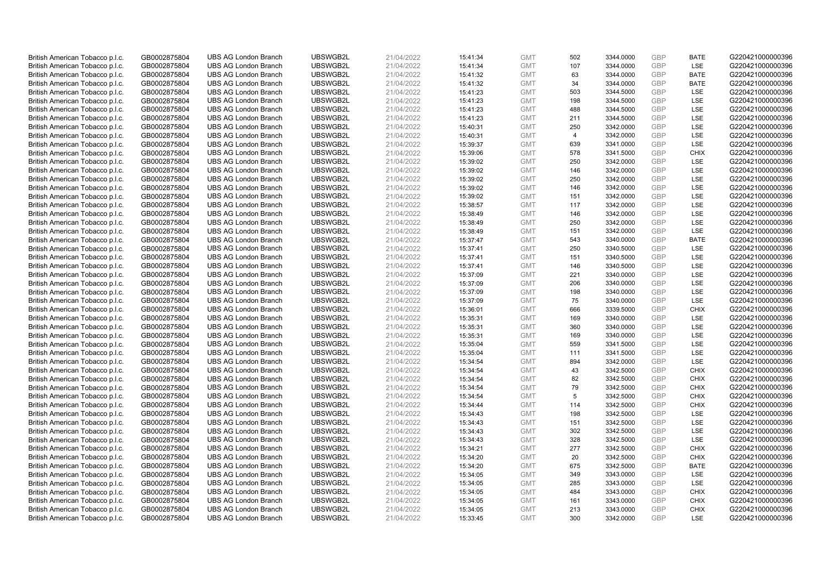| British American Tobacco p.l.c. | GB0002875804 |                                                            | UBSWGB2L             | 21/04/2022 |          | <b>GMT</b>               |                |                        | <b>GBP</b>               |                    | G220421000000396                     |
|---------------------------------|--------------|------------------------------------------------------------|----------------------|------------|----------|--------------------------|----------------|------------------------|--------------------------|--------------------|--------------------------------------|
|                                 |              | <b>UBS AG London Branch</b>                                |                      |            | 15:41:34 |                          | 502            | 3344.0000              | <b>GBP</b>               | <b>BATE</b><br>LSE |                                      |
| British American Tobacco p.l.c. | GB0002875804 | <b>UBS AG London Branch</b>                                | UBSWGB2L             | 21/04/2022 | 15:41:34 | <b>GMT</b>               | 107            | 3344.0000              |                          |                    | G220421000000396                     |
| British American Tobacco p.l.c. | GB0002875804 | <b>UBS AG London Branch</b>                                | UBSWGB2L             | 21/04/2022 | 15:41:32 | <b>GMT</b>               | 63             | 3344.0000              | <b>GBP</b>               | <b>BATE</b>        | G220421000000396                     |
| British American Tobacco p.l.c. | GB0002875804 | <b>UBS AG London Branch</b>                                | UBSWGB2L             | 21/04/2022 | 15:41:32 | <b>GMT</b>               | 34             | 3344.0000              | <b>GBP</b>               | <b>BATE</b>        | G220421000000396                     |
| British American Tobacco p.l.c. | GB0002875804 | <b>UBS AG London Branch</b>                                | UBSWGB2L             | 21/04/2022 | 15:41:23 | <b>GMT</b>               | 503            | 3344.5000              | <b>GBP</b>               | LSE                | G220421000000396                     |
| British American Tobacco p.l.c. | GB0002875804 | <b>UBS AG London Branch</b>                                | UBSWGB2L             | 21/04/2022 | 15:41:23 | <b>GMT</b>               | 198            | 3344.5000              | <b>GBP</b>               | LSE                | G220421000000396                     |
| British American Tobacco p.l.c. | GB0002875804 | <b>UBS AG London Branch</b>                                | UBSWGB2L             | 21/04/2022 | 15:41:23 | <b>GMT</b>               | 488            | 3344.5000              | <b>GBP</b>               | LSE                | G220421000000396                     |
| British American Tobacco p.l.c. | GB0002875804 | <b>UBS AG London Branch</b>                                | UBSWGB2L             | 21/04/2022 | 15:41:23 | <b>GMT</b>               | 211            | 3344.5000              | <b>GBP</b>               | LSE                | G220421000000396                     |
| British American Tobacco p.l.c. | GB0002875804 | <b>UBS AG London Branch</b>                                | UBSWGB2L             | 21/04/2022 | 15:40:31 | <b>GMT</b>               | 250            | 3342.0000              | <b>GBP</b>               | LSE                | G220421000000396                     |
| British American Tobacco p.l.c. | GB0002875804 | <b>UBS AG London Branch</b>                                | UBSWGB2L             | 21/04/2022 | 15:40:31 | <b>GMT</b>               | $\overline{4}$ | 3342.0000              | <b>GBP</b>               | LSE                | G220421000000396                     |
| British American Tobacco p.l.c. | GB0002875804 | <b>UBS AG London Branch</b>                                | UBSWGB2L             | 21/04/2022 | 15:39:37 | <b>GMT</b>               | 639            | 3341.0000              | <b>GBP</b>               | LSE                | G220421000000396                     |
| British American Tobacco p.l.c. | GB0002875804 | <b>UBS AG London Branch</b>                                | UBSWGB2L             | 21/04/2022 | 15:39:06 | <b>GMT</b>               | 578            | 3341.5000              | <b>GBP</b>               | <b>CHIX</b>        | G220421000000396                     |
| British American Tobacco p.l.c. | GB0002875804 | <b>UBS AG London Branch</b>                                | UBSWGB2L             | 21/04/2022 | 15:39:02 | <b>GMT</b>               | 250            | 3342.0000              | <b>GBP</b>               | LSE                | G220421000000396                     |
| British American Tobacco p.l.c. | GB0002875804 | <b>UBS AG London Branch</b>                                | UBSWGB2L             | 21/04/2022 | 15:39:02 | <b>GMT</b>               | 146            | 3342.0000              | <b>GBP</b>               | LSE                | G220421000000396                     |
| British American Tobacco p.l.c. | GB0002875804 | <b>UBS AG London Branch</b>                                | UBSWGB2L             | 21/04/2022 | 15:39:02 | <b>GMT</b>               | 250            | 3342.0000              | <b>GBP</b>               | LSE                | G220421000000396                     |
| British American Tobacco p.l.c. | GB0002875804 | <b>UBS AG London Branch</b>                                | UBSWGB2L             | 21/04/2022 | 15:39:02 | <b>GMT</b>               | 146            | 3342.0000              | <b>GBP</b>               | LSE                | G220421000000396                     |
| British American Tobacco p.l.c. | GB0002875804 | <b>UBS AG London Branch</b>                                | UBSWGB2L             | 21/04/2022 | 15:39:02 | <b>GMT</b>               | 151            | 3342.0000              | <b>GBP</b>               | LSE                | G220421000000396                     |
| British American Tobacco p.l.c. | GB0002875804 | <b>UBS AG London Branch</b>                                | UBSWGB2L             | 21/04/2022 | 15:38:57 | <b>GMT</b>               | 117            | 3342.0000              | <b>GBP</b>               | LSE                | G220421000000396                     |
| British American Tobacco p.l.c. | GB0002875804 | <b>UBS AG London Branch</b>                                | UBSWGB2L             | 21/04/2022 | 15:38:49 | <b>GMT</b>               | 146            | 3342.0000              | <b>GBP</b>               | <b>LSE</b>         | G220421000000396                     |
| British American Tobacco p.l.c. | GB0002875804 | <b>UBS AG London Branch</b>                                | UBSWGB2L             | 21/04/2022 | 15:38:49 | <b>GMT</b>               | 250            | 3342.0000              | <b>GBP</b>               | LSE                | G220421000000396                     |
| British American Tobacco p.l.c. | GB0002875804 | <b>UBS AG London Branch</b>                                | UBSWGB2L             | 21/04/2022 | 15:38:49 | <b>GMT</b>               | 151            | 3342.0000              | <b>GBP</b>               | LSE                | G220421000000396                     |
| British American Tobacco p.l.c. | GB0002875804 | <b>UBS AG London Branch</b>                                | UBSWGB2L             | 21/04/2022 | 15:37:47 | <b>GMT</b>               | 543            | 3340.0000              | <b>GBP</b>               | <b>BATE</b>        | G220421000000396                     |
| British American Tobacco p.l.c. | GB0002875804 | <b>UBS AG London Branch</b>                                | UBSWGB2L             | 21/04/2022 | 15:37:41 | <b>GMT</b>               | 250            | 3340.5000              | <b>GBP</b>               | LSE                | G220421000000396                     |
| British American Tobacco p.l.c. | GB0002875804 | <b>UBS AG London Branch</b>                                | UBSWGB2L             | 21/04/2022 | 15:37:41 | <b>GMT</b>               | 151            | 3340.5000              | <b>GBP</b>               | LSE                | G220421000000396                     |
| British American Tobacco p.l.c. | GB0002875804 | <b>UBS AG London Branch</b>                                | UBSWGB2L             | 21/04/2022 | 15:37:41 | <b>GMT</b>               | 146            | 3340.5000              | <b>GBP</b>               | LSE                | G220421000000396                     |
| British American Tobacco p.l.c. | GB0002875804 | <b>UBS AG London Branch</b>                                | UBSWGB2L             | 21/04/2022 | 15:37:09 | <b>GMT</b>               | 221            | 3340.0000              | <b>GBP</b>               | LSE                | G220421000000396                     |
| British American Tobacco p.l.c. | GB0002875804 | <b>UBS AG London Branch</b>                                | UBSWGB2L             | 21/04/2022 | 15:37:09 | <b>GMT</b>               | 206            | 3340.0000              | <b>GBP</b>               | LSE                | G220421000000396                     |
| British American Tobacco p.l.c. | GB0002875804 | <b>UBS AG London Branch</b>                                | UBSWGB2L             | 21/04/2022 | 15:37:09 | <b>GMT</b>               | 198            | 3340.0000              | <b>GBP</b>               | LSE                | G220421000000396                     |
| British American Tobacco p.l.c. | GB0002875804 | <b>UBS AG London Branch</b>                                | UBSWGB2L             | 21/04/2022 | 15:37:09 | <b>GMT</b>               | 75             | 3340.0000              | <b>GBP</b>               | LSE                | G220421000000396                     |
| British American Tobacco p.l.c. | GB0002875804 | <b>UBS AG London Branch</b>                                | UBSWGB2L             | 21/04/2022 | 15:36:01 | <b>GMT</b>               | 666            | 3339.5000              | <b>GBP</b>               | <b>CHIX</b>        | G220421000000396                     |
| British American Tobacco p.l.c. | GB0002875804 | <b>UBS AG London Branch</b>                                | UBSWGB2L             | 21/04/2022 | 15:35:31 | <b>GMT</b>               | 169            | 3340.0000              | GBP                      | LSE                | G220421000000396                     |
| British American Tobacco p.l.c. | GB0002875804 | <b>UBS AG London Branch</b>                                | UBSWGB2L             | 21/04/2022 | 15:35:31 | <b>GMT</b>               | 360            | 3340.0000              | <b>GBP</b>               | LSE                | G220421000000396                     |
| British American Tobacco p.l.c. | GB0002875804 | <b>UBS AG London Branch</b>                                | UBSWGB2L             | 21/04/2022 | 15:35:31 | <b>GMT</b>               | 169            | 3340.0000              | <b>GBP</b>               | LSE                | G220421000000396                     |
|                                 |              |                                                            |                      |            |          |                          | 559            |                        |                          | LSE                |                                      |
| British American Tobacco p.l.c. | GB0002875804 | <b>UBS AG London Branch</b><br><b>UBS AG London Branch</b> | UBSWGB2L<br>UBSWGB2L | 21/04/2022 | 15:35:04 | <b>GMT</b><br><b>GMT</b> | 111            | 3341.5000<br>3341.5000 | <b>GBP</b><br><b>GBP</b> | LSE                | G220421000000396<br>G220421000000396 |
| British American Tobacco p.l.c. | GB0002875804 |                                                            |                      | 21/04/2022 | 15:35:04 |                          |                |                        |                          |                    |                                      |
| British American Tobacco p.l.c. | GB0002875804 | <b>UBS AG London Branch</b>                                | UBSWGB2L             | 21/04/2022 | 15:34:54 | <b>GMT</b>               | 894            | 3342.0000              | <b>GBP</b>               | LSE                | G220421000000396                     |
| British American Tobacco p.l.c. | GB0002875804 | <b>UBS AG London Branch</b>                                | UBSWGB2L             | 21/04/2022 | 15:34:54 | <b>GMT</b>               | 43             | 3342.5000              | <b>GBP</b>               | <b>CHIX</b>        | G220421000000396                     |
| British American Tobacco p.l.c. | GB0002875804 | <b>UBS AG London Branch</b>                                | UBSWGB2L             | 21/04/2022 | 15:34:54 | <b>GMT</b>               | 82             | 3342.5000              | <b>GBP</b>               | <b>CHIX</b>        | G220421000000396                     |
| British American Tobacco p.l.c. | GB0002875804 | <b>UBS AG London Branch</b>                                | UBSWGB2L             | 21/04/2022 | 15:34:54 | <b>GMT</b>               | 79             | 3342.5000              | <b>GBP</b>               | <b>CHIX</b>        | G220421000000396                     |
| British American Tobacco p.l.c. | GB0002875804 | <b>UBS AG London Branch</b>                                | UBSWGB2L             | 21/04/2022 | 15:34:54 | <b>GMT</b>               | 5              | 3342.5000              | <b>GBP</b>               | <b>CHIX</b>        | G220421000000396                     |
| British American Tobacco p.l.c. | GB0002875804 | <b>UBS AG London Branch</b>                                | UBSWGB2L             | 21/04/2022 | 15:34:44 | <b>GMT</b>               | 114            | 3342.5000              | <b>GBP</b>               | <b>CHIX</b>        | G220421000000396                     |
| British American Tobacco p.l.c. | GB0002875804 | <b>UBS AG London Branch</b>                                | UBSWGB2L             | 21/04/2022 | 15:34:43 | <b>GMT</b>               | 198            | 3342.5000              | <b>GBP</b>               | LSE                | G220421000000396                     |
| British American Tobacco p.l.c. | GB0002875804 | <b>UBS AG London Branch</b>                                | UBSWGB2L             | 21/04/2022 | 15:34:43 | <b>GMT</b>               | 151            | 3342.5000              | <b>GBP</b>               | LSE                | G220421000000396                     |
| British American Tobacco p.l.c. | GB0002875804 | <b>UBS AG London Branch</b>                                | UBSWGB2L             | 21/04/2022 | 15:34:43 | <b>GMT</b>               | 302            | 3342.5000              | GBP                      | LSE                | G220421000000396                     |
| British American Tobacco p.l.c. | GB0002875804 | <b>UBS AG London Branch</b>                                | UBSWGB2L             | 21/04/2022 | 15:34:43 | <b>GMT</b>               | 328            | 3342.5000              | <b>GBP</b>               | LSE                | G220421000000396                     |
| British American Tobacco p.l.c. | GB0002875804 | <b>UBS AG London Branch</b>                                | UBSWGB2L             | 21/04/2022 | 15:34:21 | <b>GMT</b>               | 277            | 3342.5000              | <b>GBP</b>               | <b>CHIX</b>        | G220421000000396                     |
| British American Tobacco p.l.c. | GB0002875804 | <b>UBS AG London Branch</b>                                | UBSWGB2L             | 21/04/2022 | 15:34:20 | <b>GMT</b>               | 20             | 3342.5000              | <b>GBP</b>               | <b>CHIX</b>        | G220421000000396                     |
| British American Tobacco p.l.c. | GB0002875804 | <b>UBS AG London Branch</b>                                | UBSWGB2L             | 21/04/2022 | 15:34:20 | <b>GMT</b>               | 675            | 3342.5000              | <b>GBP</b>               | <b>BATE</b>        | G220421000000396                     |
| British American Tobacco p.l.c. | GB0002875804 | <b>UBS AG London Branch</b>                                | UBSWGB2L             | 21/04/2022 | 15:34:05 | <b>GMT</b>               | 349            | 3343.0000              | <b>GBP</b>               | LSE                | G220421000000396                     |
| British American Tobacco p.l.c. | GB0002875804 | <b>UBS AG London Branch</b>                                | UBSWGB2L             | 21/04/2022 | 15:34:05 | <b>GMT</b>               | 285            | 3343.0000              | <b>GBP</b>               | LSE                | G220421000000396                     |
| British American Tobacco p.l.c. | GB0002875804 | <b>UBS AG London Branch</b>                                | UBSWGB2L             | 21/04/2022 | 15:34:05 | <b>GMT</b>               | 484            | 3343.0000              | <b>GBP</b>               | <b>CHIX</b>        | G220421000000396                     |
| British American Tobacco p.l.c. | GB0002875804 | <b>UBS AG London Branch</b>                                | UBSWGB2L             | 21/04/2022 | 15:34:05 | <b>GMT</b>               | 161            | 3343.0000              | <b>GBP</b>               | <b>CHIX</b>        | G220421000000396                     |
| British American Tobacco p.l.c. | GB0002875804 | <b>UBS AG London Branch</b>                                | UBSWGB2L             | 21/04/2022 | 15:34:05 | <b>GMT</b>               | 213            | 3343.0000              | <b>GBP</b>               | <b>CHIX</b>        | G220421000000396                     |
| British American Tobacco p.l.c. | GB0002875804 | <b>UBS AG London Branch</b>                                | UBSWGB2L             | 21/04/2022 | 15:33:45 | <b>GMT</b>               | 300            | 3342.0000              | GBP                      | LSE                | G220421000000396                     |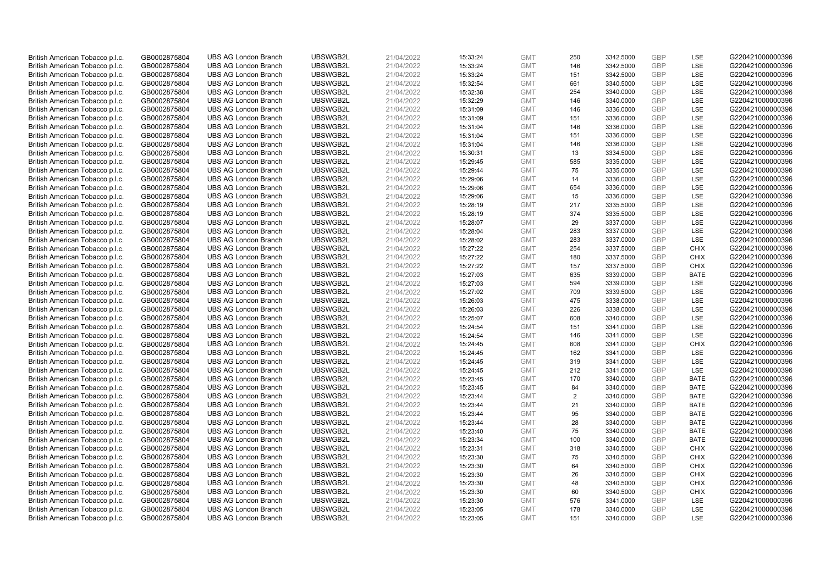| British American Tobacco p.l.c. | GB0002875804 | <b>UBS AG London Branch</b> | UBSWGB2L | 21/04/2022 |          | <b>GMT</b> | 250            | 3342.5000 | <b>GBP</b> | LSE         | G220421000000396 |
|---------------------------------|--------------|-----------------------------|----------|------------|----------|------------|----------------|-----------|------------|-------------|------------------|
|                                 |              |                             |          |            | 15:33:24 |            | 146            |           | GBP        | LSE         |                  |
| British American Tobacco p.l.c. | GB0002875804 | <b>UBS AG London Branch</b> | UBSWGB2L | 21/04/2022 | 15:33:24 | <b>GMT</b> |                | 3342.5000 |            |             | G220421000000396 |
| British American Tobacco p.l.c. | GB0002875804 | <b>UBS AG London Branch</b> | UBSWGB2L | 21/04/2022 | 15:33:24 | <b>GMT</b> | 151            | 3342.5000 | <b>GBP</b> | LSE         | G220421000000396 |
| British American Tobacco p.l.c. | GB0002875804 | <b>UBS AG London Branch</b> | UBSWGB2L | 21/04/2022 | 15:32:54 | <b>GMT</b> | 661            | 3340.5000 | <b>GBP</b> | LSE         | G220421000000396 |
| British American Tobacco p.l.c. | GB0002875804 | <b>UBS AG London Branch</b> | UBSWGB2L | 21/04/2022 | 15:32:38 | <b>GMT</b> | 254            | 3340.0000 | <b>GBP</b> | LSE         | G220421000000396 |
| British American Tobacco p.l.c. | GB0002875804 | <b>UBS AG London Branch</b> | UBSWGB2L | 21/04/2022 | 15:32:29 | <b>GMT</b> | 146            | 3340.0000 | <b>GBP</b> | LSE         | G220421000000396 |
| British American Tobacco p.l.c. | GB0002875804 | <b>UBS AG London Branch</b> | UBSWGB2L | 21/04/2022 | 15:31:09 | <b>GMT</b> | 146            | 3336.0000 | <b>GBP</b> | LSE         | G220421000000396 |
| British American Tobacco p.l.c. | GB0002875804 | <b>UBS AG London Branch</b> | UBSWGB2L | 21/04/2022 | 15:31:09 | <b>GMT</b> | 151            | 3336.0000 | <b>GBP</b> | LSE         | G220421000000396 |
| British American Tobacco p.l.c. | GB0002875804 | <b>UBS AG London Branch</b> | UBSWGB2L | 21/04/2022 | 15:31:04 | <b>GMT</b> | 146            | 3336.0000 | <b>GBP</b> | LSE         | G220421000000396 |
| British American Tobacco p.l.c. | GB0002875804 | <b>UBS AG London Branch</b> | UBSWGB2L | 21/04/2022 | 15:31:04 | <b>GMT</b> | 151            | 3336.0000 | <b>GBP</b> | LSE         | G220421000000396 |
| British American Tobacco p.l.c. | GB0002875804 | <b>UBS AG London Branch</b> | UBSWGB2L | 21/04/2022 | 15:31:04 | <b>GMT</b> | 146            | 3336.0000 | <b>GBP</b> | LSE         | G220421000000396 |
| British American Tobacco p.l.c. | GB0002875804 | <b>UBS AG London Branch</b> | UBSWGB2L | 21/04/2022 | 15:30:31 | <b>GMT</b> | 13             | 3334.5000 | <b>GBP</b> | LSE         | G220421000000396 |
| British American Tobacco p.l.c. | GB0002875804 | <b>UBS AG London Branch</b> | UBSWGB2L | 21/04/2022 | 15:29:45 | <b>GMT</b> | 585            | 3335.0000 | <b>GBP</b> | LSE         | G220421000000396 |
| British American Tobacco p.l.c. | GB0002875804 | <b>UBS AG London Branch</b> | UBSWGB2L | 21/04/2022 | 15:29:44 | <b>GMT</b> | 75             | 3335.0000 | <b>GBP</b> | LSE         | G220421000000396 |
| British American Tobacco p.l.c. | GB0002875804 | <b>UBS AG London Branch</b> | UBSWGB2L | 21/04/2022 | 15:29:06 | <b>GMT</b> | 14             | 3336.0000 | <b>GBP</b> | LSE         | G220421000000396 |
| British American Tobacco p.l.c. | GB0002875804 | <b>UBS AG London Branch</b> | UBSWGB2L | 21/04/2022 | 15:29:06 | <b>GMT</b> | 654            | 3336.0000 | <b>GBP</b> | LSE         | G220421000000396 |
| British American Tobacco p.l.c. | GB0002875804 | <b>UBS AG London Branch</b> | UBSWGB2L | 21/04/2022 | 15:29:06 | <b>GMT</b> | 15             | 3336.0000 | <b>GBP</b> | LSE         | G220421000000396 |
| British American Tobacco p.l.c. | GB0002875804 | <b>UBS AG London Branch</b> | UBSWGB2L | 21/04/2022 | 15:28:19 | <b>GMT</b> | 217            | 3335.5000 | <b>GBP</b> | LSE         | G220421000000396 |
| British American Tobacco p.l.c. | GB0002875804 | <b>UBS AG London Branch</b> | UBSWGB2L | 21/04/2022 | 15:28:19 | <b>GMT</b> | 374            | 3335.5000 | <b>GBP</b> | <b>LSE</b>  | G220421000000396 |
| British American Tobacco p.l.c. | GB0002875804 | <b>UBS AG London Branch</b> | UBSWGB2L | 21/04/2022 | 15:28:07 | <b>GMT</b> | 29             | 3337.0000 | <b>GBP</b> | LSE         | G220421000000396 |
| British American Tobacco p.l.c. | GB0002875804 | <b>UBS AG London Branch</b> | UBSWGB2L | 21/04/2022 | 15:28:04 | <b>GMT</b> | 283            | 3337.0000 | <b>GBP</b> | LSE         | G220421000000396 |
| British American Tobacco p.l.c. | GB0002875804 | <b>UBS AG London Branch</b> | UBSWGB2L | 21/04/2022 | 15:28:02 | <b>GMT</b> | 283            | 3337.0000 | <b>GBP</b> | LSE         | G220421000000396 |
| British American Tobacco p.l.c. | GB0002875804 | <b>UBS AG London Branch</b> | UBSWGB2L | 21/04/2022 | 15:27:22 | <b>GMT</b> | 254            | 3337.5000 | <b>GBP</b> | <b>CHIX</b> | G220421000000396 |
| British American Tobacco p.l.c. | GB0002875804 | <b>UBS AG London Branch</b> | UBSWGB2L | 21/04/2022 | 15:27:22 | <b>GMT</b> | 180            | 3337.5000 | <b>GBP</b> | <b>CHIX</b> | G220421000000396 |
| British American Tobacco p.l.c. | GB0002875804 | <b>UBS AG London Branch</b> | UBSWGB2L | 21/04/2022 | 15:27:22 | <b>GMT</b> | 157            | 3337.5000 | <b>GBP</b> | <b>CHIX</b> | G220421000000396 |
| British American Tobacco p.l.c. | GB0002875804 | <b>UBS AG London Branch</b> | UBSWGB2L | 21/04/2022 | 15:27:03 | <b>GMT</b> | 635            | 3339.0000 | <b>GBP</b> | <b>BATE</b> | G220421000000396 |
| British American Tobacco p.l.c. | GB0002875804 | <b>UBS AG London Branch</b> | UBSWGB2L | 21/04/2022 | 15:27:03 | <b>GMT</b> | 594            | 3339.0000 | <b>GBP</b> | LSE         | G220421000000396 |
| British American Tobacco p.l.c. | GB0002875804 | <b>UBS AG London Branch</b> | UBSWGB2L | 21/04/2022 | 15:27:02 | <b>GMT</b> | 709            | 3339.5000 | <b>GBP</b> | LSE         | G220421000000396 |
| British American Tobacco p.l.c. | GB0002875804 | <b>UBS AG London Branch</b> | UBSWGB2L | 21/04/2022 | 15:26:03 | <b>GMT</b> | 475            | 3338.0000 | <b>GBP</b> | LSE         | G220421000000396 |
| British American Tobacco p.l.c. | GB0002875804 | <b>UBS AG London Branch</b> | UBSWGB2L | 21/04/2022 | 15:26:03 | <b>GMT</b> | 226            | 3338.0000 | <b>GBP</b> | LSE         | G220421000000396 |
| British American Tobacco p.l.c. | GB0002875804 | <b>UBS AG London Branch</b> | UBSWGB2L | 21/04/2022 | 15:25:07 | <b>GMT</b> | 608            | 3340.0000 | GBP        | LSE         | G220421000000396 |
| British American Tobacco p.l.c. | GB0002875804 | <b>UBS AG London Branch</b> | UBSWGB2L | 21/04/2022 | 15:24:54 | <b>GMT</b> | 151            | 3341.0000 | <b>GBP</b> | LSE         | G220421000000396 |
| British American Tobacco p.l.c. | GB0002875804 | <b>UBS AG London Branch</b> | UBSWGB2L | 21/04/2022 | 15:24:54 | <b>GMT</b> | 146            | 3341.0000 | <b>GBP</b> | LSE         | G220421000000396 |
| British American Tobacco p.l.c. | GB0002875804 | <b>UBS AG London Branch</b> | UBSWGB2L | 21/04/2022 | 15:24:45 | <b>GMT</b> | 608            | 3341.0000 | <b>GBP</b> | <b>CHIX</b> | G220421000000396 |
| British American Tobacco p.l.c. | GB0002875804 | <b>UBS AG London Branch</b> | UBSWGB2L | 21/04/2022 | 15:24:45 | <b>GMT</b> | 162            | 3341.0000 | <b>GBP</b> | LSE         | G220421000000396 |
| British American Tobacco p.l.c. | GB0002875804 | <b>UBS AG London Branch</b> | UBSWGB2L | 21/04/2022 | 15:24:45 | <b>GMT</b> | 319            | 3341.0000 | <b>GBP</b> | LSE         | G220421000000396 |
| British American Tobacco p.l.c. | GB0002875804 | <b>UBS AG London Branch</b> | UBSWGB2L | 21/04/2022 | 15:24:45 | <b>GMT</b> | 212            | 3341.0000 | <b>GBP</b> | LSE         | G220421000000396 |
| British American Tobacco p.l.c. | GB0002875804 | <b>UBS AG London Branch</b> | UBSWGB2L | 21/04/2022 | 15:23:45 | <b>GMT</b> | 170            | 3340.0000 | <b>GBP</b> | <b>BATE</b> | G220421000000396 |
| British American Tobacco p.l.c. | GB0002875804 | <b>UBS AG London Branch</b> | UBSWGB2L | 21/04/2022 | 15:23:45 | <b>GMT</b> | 84             | 3340.0000 | <b>GBP</b> | <b>BATE</b> | G220421000000396 |
| British American Tobacco p.l.c. | GB0002875804 | <b>UBS AG London Branch</b> | UBSWGB2L | 21/04/2022 | 15:23:44 | <b>GMT</b> | $\overline{2}$ | 3340.0000 | <b>GBP</b> | <b>BATE</b> | G220421000000396 |
| British American Tobacco p.l.c. | GB0002875804 | <b>UBS AG London Branch</b> | UBSWGB2L | 21/04/2022 | 15:23:44 | <b>GMT</b> | 21             | 3340.0000 | <b>GBP</b> | <b>BATE</b> | G220421000000396 |
| British American Tobacco p.l.c. | GB0002875804 | <b>UBS AG London Branch</b> | UBSWGB2L | 21/04/2022 | 15:23:44 | <b>GMT</b> | 95             | 3340.0000 | <b>GBP</b> | <b>BATE</b> | G220421000000396 |
|                                 |              |                             | UBSWGB2L | 21/04/2022 | 15:23:44 | <b>GMT</b> | 28             |           | <b>GBP</b> | <b>BATE</b> | G220421000000396 |
| British American Tobacco p.l.c. | GB0002875804 | <b>UBS AG London Branch</b> |          |            |          |            |                | 3340.0000 | <b>GBP</b> | <b>BATE</b> |                  |
| British American Tobacco p.l.c. | GB0002875804 | <b>UBS AG London Branch</b> | UBSWGB2L | 21/04/2022 | 15:23:40 | <b>GMT</b> | 75             | 3340.0000 |            |             | G220421000000396 |
| British American Tobacco p.l.c. | GB0002875804 | <b>UBS AG London Branch</b> | UBSWGB2L | 21/04/2022 | 15:23:34 | <b>GMT</b> | 100            | 3340.0000 | <b>GBP</b> | <b>BATE</b> | G220421000000396 |
| British American Tobacco p.l.c. | GB0002875804 | <b>UBS AG London Branch</b> | UBSWGB2L | 21/04/2022 | 15:23:31 | <b>GMT</b> | 318            | 3340.5000 | <b>GBP</b> | <b>CHIX</b> | G220421000000396 |
| British American Tobacco p.l.c. | GB0002875804 | <b>UBS AG London Branch</b> | UBSWGB2L | 21/04/2022 | 15:23:30 | <b>GMT</b> | 75             | 3340.5000 | <b>GBP</b> | <b>CHIX</b> | G220421000000396 |
| British American Tobacco p.l.c. | GB0002875804 | <b>UBS AG London Branch</b> | UBSWGB2L | 21/04/2022 | 15:23:30 | <b>GMT</b> | 64             | 3340.5000 | <b>GBP</b> | <b>CHIX</b> | G220421000000396 |
| British American Tobacco p.l.c. | GB0002875804 | <b>UBS AG London Branch</b> | UBSWGB2L | 21/04/2022 | 15:23:30 | <b>GMT</b> | 26             | 3340.5000 | <b>GBP</b> | <b>CHIX</b> | G220421000000396 |
| British American Tobacco p.l.c. | GB0002875804 | <b>UBS AG London Branch</b> | UBSWGB2L | 21/04/2022 | 15:23:30 | <b>GMT</b> | 48             | 3340.5000 | <b>GBP</b> | <b>CHIX</b> | G220421000000396 |
| British American Tobacco p.l.c. | GB0002875804 | <b>UBS AG London Branch</b> | UBSWGB2L | 21/04/2022 | 15:23:30 | <b>GMT</b> | 60             | 3340.5000 | <b>GBP</b> | <b>CHIX</b> | G220421000000396 |
| British American Tobacco p.l.c. | GB0002875804 | <b>UBS AG London Branch</b> | UBSWGB2L | 21/04/2022 | 15:23:30 | <b>GMT</b> | 576            | 3341.0000 | <b>GBP</b> | LSE         | G220421000000396 |
| British American Tobacco p.l.c. | GB0002875804 | <b>UBS AG London Branch</b> | UBSWGB2L | 21/04/2022 | 15:23:05 | <b>GMT</b> | 178            | 3340.0000 | <b>GBP</b> | LSE         | G220421000000396 |
| British American Tobacco p.l.c. | GB0002875804 | <b>UBS AG London Branch</b> | UBSWGB2L | 21/04/2022 | 15:23:05 | <b>GMT</b> | 151            | 3340.0000 | GBP        | LSE         | G220421000000396 |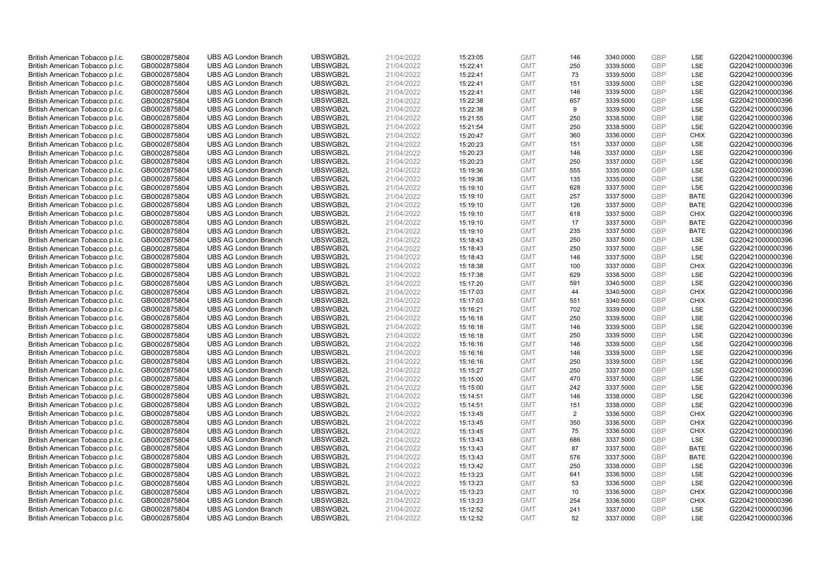| British American Tobacco p.l.c. | GB0002875804 | <b>UBS AG London Branch</b> | UBSWGB2L | 21/04/2022 | 15:23:05 | <b>GMT</b> | 146 | 3340.0000 | <b>GBP</b> | LSE         | G220421000000396 |
|---------------------------------|--------------|-----------------------------|----------|------------|----------|------------|-----|-----------|------------|-------------|------------------|
| British American Tobacco p.l.c. | GB0002875804 | <b>UBS AG London Branch</b> | UBSWGB2L | 21/04/2022 | 15:22:41 | <b>GMT</b> | 250 | 3339.5000 | GBP        | LSE         | G220421000000396 |
| British American Tobacco p.l.c. | GB0002875804 | <b>UBS AG London Branch</b> | UBSWGB2L | 21/04/2022 | 15:22:41 | <b>GMT</b> | 73  | 3339.5000 | GBP        | LSE         | G220421000000396 |
| British American Tobacco p.l.c. | GB0002875804 | <b>UBS AG London Branch</b> | UBSWGB2L | 21/04/2022 | 15:22:41 | <b>GMT</b> | 151 | 3339.5000 | GBP        | LSE         | G220421000000396 |
| British American Tobacco p.l.c. | GB0002875804 | <b>UBS AG London Branch</b> | UBSWGB2L | 21/04/2022 | 15:22:41 | <b>GMT</b> | 146 | 3339.5000 | <b>GBP</b> | LSE         | G220421000000396 |
| British American Tobacco p.l.c. | GB0002875804 | <b>UBS AG London Branch</b> | UBSWGB2L | 21/04/2022 | 15:22:38 | <b>GMT</b> | 657 | 3339.5000 | <b>GBP</b> | LSE         | G220421000000396 |
| British American Tobacco p.l.c. | GB0002875804 | <b>UBS AG London Branch</b> | UBSWGB2L | 21/04/2022 | 15:22:38 | <b>GMT</b> | 9   | 3339.5000 | GBP        | LSE         | G220421000000396 |
| British American Tobacco p.l.c. | GB0002875804 | <b>UBS AG London Branch</b> | UBSWGB2L | 21/04/2022 | 15:21:55 | <b>GMT</b> | 250 | 3338.5000 | <b>GBP</b> | <b>LSE</b>  | G220421000000396 |
| British American Tobacco p.l.c. | GB0002875804 | <b>UBS AG London Branch</b> | UBSWGB2L | 21/04/2022 | 15:21:54 | <b>GMT</b> | 250 | 3338.5000 | <b>GBP</b> | <b>LSE</b>  | G220421000000396 |
| British American Tobacco p.l.c. | GB0002875804 | <b>UBS AG London Branch</b> | UBSWGB2L | 21/04/2022 | 15:20:47 | <b>GMT</b> | 360 | 3336.0000 | <b>GBP</b> | <b>CHIX</b> | G220421000000396 |
| British American Tobacco p.l.c. | GB0002875804 | <b>UBS AG London Branch</b> | UBSWGB2L | 21/04/2022 | 15:20:23 | <b>GMT</b> | 151 | 3337.0000 | GBP        | <b>LSE</b>  | G220421000000396 |
| British American Tobacco p.l.c. | GB0002875804 | <b>UBS AG London Branch</b> | UBSWGB2L | 21/04/2022 | 15:20:23 | <b>GMT</b> | 146 | 3337.0000 | <b>GBP</b> | LSE         | G220421000000396 |
| British American Tobacco p.l.c. | GB0002875804 | <b>UBS AG London Branch</b> | UBSWGB2L | 21/04/2022 | 15:20:23 | <b>GMT</b> | 250 | 3337.0000 | <b>GBP</b> | LSE         | G220421000000396 |
| British American Tobacco p.l.c. | GB0002875804 | <b>UBS AG London Branch</b> | UBSWGB2L | 21/04/2022 | 15:19:36 | <b>GMT</b> | 555 | 3335.0000 | <b>GBP</b> | LSE         | G220421000000396 |
| British American Tobacco p.l.c. | GB0002875804 | <b>UBS AG London Branch</b> | UBSWGB2L | 21/04/2022 | 15:19:36 | <b>GMT</b> | 135 | 3335.0000 | <b>GBP</b> | <b>LSE</b>  | G220421000000396 |
| British American Tobacco p.l.c. | GB0002875804 | <b>UBS AG London Branch</b> | UBSWGB2L | 21/04/2022 | 15:19:10 | <b>GMT</b> | 628 | 3337.5000 | GBP        | LSE         | G220421000000396 |
| British American Tobacco p.l.c. | GB0002875804 | <b>UBS AG London Branch</b> | UBSWGB2L | 21/04/2022 | 15:19:10 | <b>GMT</b> | 257 | 3337.5000 | GBP        | <b>BATE</b> | G220421000000396 |
| British American Tobacco p.l.c. | GB0002875804 | <b>UBS AG London Branch</b> | UBSWGB2L | 21/04/2022 | 15:19:10 | <b>GMT</b> | 126 | 3337.5000 | GBP        | <b>BATE</b> | G220421000000396 |
| British American Tobacco p.l.c. | GB0002875804 | <b>UBS AG London Branch</b> | UBSWGB2L | 21/04/2022 | 15:19:10 | <b>GMT</b> | 618 | 3337.5000 | <b>GBP</b> | <b>CHIX</b> | G220421000000396 |
| British American Tobacco p.l.c. | GB0002875804 | <b>UBS AG London Branch</b> | UBSWGB2L | 21/04/2022 | 15:19:10 | <b>GMT</b> | 17  | 3337.5000 | <b>GBP</b> | <b>BATE</b> | G220421000000396 |
| British American Tobacco p.l.c. | GB0002875804 | <b>UBS AG London Branch</b> | UBSWGB2L | 21/04/2022 | 15:19:10 | <b>GMT</b> | 235 | 3337.5000 | <b>GBP</b> | <b>BATE</b> | G220421000000396 |
| British American Tobacco p.l.c. | GB0002875804 | <b>UBS AG London Branch</b> | UBSWGB2L | 21/04/2022 | 15:18:43 | <b>GMT</b> | 250 | 3337.5000 | <b>GBP</b> | LSE         | G220421000000396 |
| British American Tobacco p.l.c. | GB0002875804 | <b>UBS AG London Branch</b> | UBSWGB2L | 21/04/2022 | 15:18:43 | <b>GMT</b> | 250 | 3337.5000 | <b>GBP</b> | LSE         | G220421000000396 |
| British American Tobacco p.l.c. | GB0002875804 | <b>UBS AG London Branch</b> | UBSWGB2L | 21/04/2022 | 15:18:43 | <b>GMT</b> | 146 | 3337.5000 | GBP        | LSE         | G220421000000396 |
| British American Tobacco p.l.c. | GB0002875804 | <b>UBS AG London Branch</b> | UBSWGB2L | 21/04/2022 | 15:18:38 | <b>GMT</b> | 100 | 3337.0000 | <b>GBP</b> | <b>CHIX</b> | G220421000000396 |
| British American Tobacco p.l.c. | GB0002875804 | <b>UBS AG London Branch</b> | UBSWGB2L | 21/04/2022 | 15:17:38 | <b>GMT</b> | 629 | 3338.5000 | <b>GBP</b> | <b>LSE</b>  | G220421000000396 |
| British American Tobacco p.l.c. | GB0002875804 | <b>UBS AG London Branch</b> | UBSWGB2L | 21/04/2022 | 15:17:20 | <b>GMT</b> | 591 | 3340.5000 | GBP        | <b>LSE</b>  | G220421000000396 |
| British American Tobacco p.l.c. | GB0002875804 | <b>UBS AG London Branch</b> | UBSWGB2L | 21/04/2022 | 15:17:03 | <b>GMT</b> | 44  | 3340.5000 | <b>GBP</b> | <b>CHIX</b> | G220421000000396 |
| British American Tobacco p.l.c. | GB0002875804 | <b>UBS AG London Branch</b> | UBSWGB2L | 21/04/2022 | 15:17:03 | <b>GMT</b> | 551 | 3340.5000 | GBP        | <b>CHIX</b> | G220421000000396 |
| British American Tobacco p.l.c. | GB0002875804 | <b>UBS AG London Branch</b> | UBSWGB2L | 21/04/2022 | 15:16:21 | <b>GMT</b> | 702 | 3339.0000 | GBP        | LSE         | G220421000000396 |
| British American Tobacco p.l.c. | GB0002875804 | <b>UBS AG London Branch</b> | UBSWGB2L | 21/04/2022 | 15:16:18 | <b>GMT</b> | 250 | 3339.5000 | <b>GBP</b> | <b>LSE</b>  | G220421000000396 |
| British American Tobacco p.l.c. | GB0002875804 | <b>UBS AG London Branch</b> | UBSWGB2L | 21/04/2022 | 15:16:18 | <b>GMT</b> | 146 | 3339.5000 | <b>GBP</b> | <b>LSE</b>  | G220421000000396 |
| British American Tobacco p.l.c. | GB0002875804 | <b>UBS AG London Branch</b> | UBSWGB2L | 21/04/2022 | 15:16:18 | <b>GMT</b> | 250 | 3339.5000 | <b>GBP</b> | LSE         | G220421000000396 |
| British American Tobacco p.l.c. | GB0002875804 | <b>UBS AG London Branch</b> | UBSWGB2L | 21/04/2022 | 15:16:16 | <b>GMT</b> | 146 | 3339.5000 | GBP        | LSE         | G220421000000396 |
| British American Tobacco p.l.c. | GB0002875804 | <b>UBS AG London Branch</b> | UBSWGB2L | 21/04/2022 | 15:16:16 | <b>GMT</b> | 146 | 3339.5000 | <b>GBP</b> | LSE         | G220421000000396 |
| British American Tobacco p.l.c. | GB0002875804 | <b>UBS AG London Branch</b> | UBSWGB2L | 21/04/2022 | 15:16:16 | <b>GMT</b> | 250 | 3339.5000 | <b>GBP</b> | LSE         | G220421000000396 |
| British American Tobacco p.l.c. | GB0002875804 | <b>UBS AG London Branch</b> | UBSWGB2L | 21/04/2022 | 15:15:27 | <b>GMT</b> | 250 | 3337.5000 | GBP        | LSE         | G220421000000396 |
| British American Tobacco p.l.c. | GB0002875804 | <b>UBS AG London Branch</b> | UBSWGB2L | 21/04/2022 | 15:15:00 | <b>GMT</b> | 470 | 3337.5000 | <b>GBP</b> | LSE         | G220421000000396 |
| British American Tobacco p.l.c. | GB0002875804 | <b>UBS AG London Branch</b> | UBSWGB2L | 21/04/2022 | 15:15:00 | <b>GMT</b> | 242 | 3337.5000 | <b>GBP</b> | LSE         | G220421000000396 |
| British American Tobacco p.l.c. | GB0002875804 | <b>UBS AG London Branch</b> | UBSWGB2L | 21/04/2022 | 15:14:51 | <b>GMT</b> | 146 | 3338.0000 | GBP        | <b>LSE</b>  | G220421000000396 |
| British American Tobacco p.l.c. | GB0002875804 | <b>UBS AG London Branch</b> | UBSWGB2L | 21/04/2022 | 15:14:51 | <b>GMT</b> | 151 | 3338.0000 | <b>GBP</b> | <b>LSE</b>  | G220421000000396 |
| British American Tobacco p.l.c. | GB0002875804 | <b>UBS AG London Branch</b> | UBSWGB2L | 21/04/2022 | 15:13:45 | <b>GMT</b> | 2   | 3336.5000 | GBP        | <b>CHIX</b> | G220421000000396 |
| British American Tobacco p.l.c. | GB0002875804 | <b>UBS AG London Branch</b> | UBSWGB2L | 21/04/2022 | 15:13:45 | <b>GMT</b> | 350 | 3336.5000 | GBP        | <b>CHIX</b> | G220421000000396 |
| British American Tobacco p.l.c. | GB0002875804 | <b>UBS AG London Branch</b> | UBSWGB2L | 21/04/2022 | 15:13:45 | <b>GMT</b> | 75  | 3336.5000 | GBP        | <b>CHIX</b> | G220421000000396 |
| British American Tobacco p.l.c. | GB0002875804 | <b>UBS AG London Branch</b> | UBSWGB2L | 21/04/2022 | 15:13:43 | <b>GMT</b> | 686 | 3337.5000 | GBP        | <b>LSE</b>  | G220421000000396 |
| British American Tobacco p.l.c. | GB0002875804 | <b>UBS AG London Branch</b> | UBSWGB2L | 21/04/2022 | 15:13:43 | <b>GMT</b> | 87  | 3337.5000 | GBP        | <b>BATE</b> | G220421000000396 |
| British American Tobacco p.l.c. | GB0002875804 | <b>UBS AG London Branch</b> | UBSWGB2L | 21/04/2022 | 15:13:43 | <b>GMT</b> | 576 | 3337.5000 | <b>GBP</b> | <b>BATE</b> | G220421000000396 |
| British American Tobacco p.l.c. | GB0002875804 | <b>UBS AG London Branch</b> | UBSWGB2L | 21/04/2022 | 15:13:42 | <b>GMT</b> | 250 | 3338.0000 | <b>GBP</b> | LSE         | G220421000000396 |
| British American Tobacco p.l.c. | GB0002875804 | <b>UBS AG London Branch</b> | UBSWGB2L | 21/04/2022 | 15:13:23 | <b>GMT</b> | 641 | 3336.5000 | GBP        | LSE         | G220421000000396 |
| British American Tobacco p.l.c. | GB0002875804 | <b>UBS AG London Branch</b> | UBSWGB2L | 21/04/2022 | 15:13:23 | <b>GMT</b> | 53  | 3336.5000 | GBP        | LSE         | G220421000000396 |
| British American Tobacco p.l.c. | GB0002875804 | <b>UBS AG London Branch</b> | UBSWGB2L | 21/04/2022 | 15:13:23 | <b>GMT</b> | 10  | 3336.5000 | <b>GBP</b> | <b>CHIX</b> | G220421000000396 |
| British American Tobacco p.l.c. | GB0002875804 | <b>UBS AG London Branch</b> | UBSWGB2L | 21/04/2022 | 15:13:23 | <b>GMT</b> | 254 | 3336.5000 | <b>GBP</b> | <b>CHIX</b> | G220421000000396 |
| British American Tobacco p.l.c. | GB0002875804 | <b>UBS AG London Branch</b> | UBSWGB2L | 21/04/2022 | 15:12:52 | <b>GMT</b> | 241 | 3337.0000 | GBP        | <b>LSE</b>  | G220421000000396 |
| British American Tobacco p.l.c. | GB0002875804 | <b>UBS AG London Branch</b> | UBSWGB2L | 21/04/2022 | 15:12:52 | <b>GMT</b> | 52  | 3337.0000 | GBP        | <b>LSE</b>  | G220421000000396 |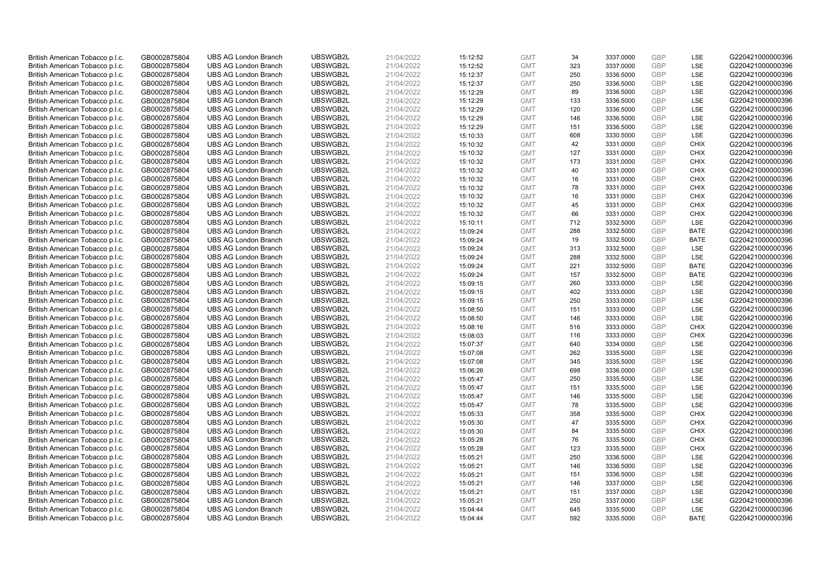| British American Tobacco p.l.c.                                    | GB0002875804                 | <b>UBS AG London Branch</b>                                | UBSWGB2L             | 21/04/2022               | 15:12:52             | <b>GMT</b>               | 34        | 3337.0000              | <b>GBP</b>               | <b>LSE</b>  | G220421000000396                     |
|--------------------------------------------------------------------|------------------------------|------------------------------------------------------------|----------------------|--------------------------|----------------------|--------------------------|-----------|------------------------|--------------------------|-------------|--------------------------------------|
| British American Tobacco p.l.c.                                    | GB0002875804                 | <b>UBS AG London Branch</b>                                | UBSWGB2L             | 21/04/2022               | 15:12:52             | <b>GMT</b>               | 323       | 3337.0000              | <b>GBP</b>               | LSE         | G220421000000396                     |
| British American Tobacco p.l.c.                                    | GB0002875804                 | <b>UBS AG London Branch</b>                                | UBSWGB2L             | 21/04/2022               | 15:12:37             | <b>GMT</b>               | 250       | 3336.5000              | <b>GBP</b>               | LSE         | G220421000000396                     |
| British American Tobacco p.l.c.                                    | GB0002875804                 | <b>UBS AG London Branch</b>                                | UBSWGB2L             | 21/04/2022               | 15:12:37             | <b>GMT</b>               | 250       | 3336.5000              | <b>GBP</b>               | LSE         | G220421000000396                     |
| British American Tobacco p.l.c.                                    | GB0002875804                 | <b>UBS AG London Branch</b>                                | UBSWGB2L             | 21/04/2022               | 15:12:29             | <b>GMT</b>               | 89        | 3336.5000              | <b>GBP</b>               | LSE         | G220421000000396                     |
| British American Tobacco p.l.c.                                    | GB0002875804                 | <b>UBS AG London Branch</b>                                | UBSWGB2L             | 21/04/2022               | 15:12:29             | <b>GMT</b>               | 133       | 3336.5000              | GBP                      | LSE         | G220421000000396                     |
| British American Tobacco p.l.c.                                    | GB0002875804                 | <b>UBS AG London Branch</b>                                | UBSWGB2L             | 21/04/2022               | 15:12:29             | <b>GMT</b>               | 120       | 3336.5000              | <b>GBP</b>               | LSE         | G220421000000396                     |
| British American Tobacco p.l.c.                                    | GB0002875804                 | <b>UBS AG London Branch</b>                                | UBSWGB2L             | 21/04/2022               | 15:12:29             | <b>GMT</b>               | 146       | 3336.5000              | <b>GBP</b>               | LSE         | G220421000000396                     |
| British American Tobacco p.l.c.                                    | GB0002875804                 | <b>UBS AG London Branch</b>                                | UBSWGB2L             | 21/04/2022               | 15:12:29             | <b>GMT</b>               | 151       | 3336.5000              | <b>GBP</b>               | LSE         | G220421000000396                     |
| British American Tobacco p.l.c.                                    | GB0002875804                 | <b>UBS AG London Branch</b>                                | UBSWGB2L             | 21/04/2022               | 15:10:33             | <b>GMT</b>               | 608       | 3330.5000              | <b>GBP</b>               | <b>LSE</b>  | G220421000000396                     |
| British American Tobacco p.l.c.                                    | GB0002875804                 | <b>UBS AG London Branch</b>                                | UBSWGB2L             | 21/04/2022               | 15:10:32             | <b>GMT</b>               | 42        | 3331.0000              | <b>GBP</b>               | <b>CHIX</b> | G220421000000396                     |
| British American Tobacco p.l.c.                                    | GB0002875804                 | <b>UBS AG London Branch</b>                                | UBSWGB2L             | 21/04/2022               | 15:10:32             | <b>GMT</b>               | 127       | 3331.0000              | <b>GBP</b>               | <b>CHIX</b> | G220421000000396                     |
| British American Tobacco p.l.c.                                    | GB0002875804                 | <b>UBS AG London Branch</b>                                | UBSWGB2L             | 21/04/2022               | 15:10:32             | <b>GMT</b>               | 173       | 3331.0000              | <b>GBP</b>               | <b>CHIX</b> | G220421000000396                     |
| British American Tobacco p.l.c.                                    | GB0002875804                 | <b>UBS AG London Branch</b>                                | UBSWGB2L             | 21/04/2022               | 15:10:32             | <b>GMT</b>               | 40        | 3331.0000              | <b>GBP</b>               | <b>CHIX</b> | G220421000000396                     |
| British American Tobacco p.l.c.                                    | GB0002875804                 | <b>UBS AG London Branch</b>                                | UBSWGB2L             | 21/04/2022               | 15:10:32             | <b>GMT</b>               | 16        | 3331.0000              | <b>GBP</b>               | <b>CHIX</b> | G220421000000396                     |
| British American Tobacco p.l.c.                                    | GB0002875804                 | <b>UBS AG London Branch</b>                                | UBSWGB2L             | 21/04/2022               | 15:10:32             | <b>GMT</b>               | 78        | 3331.0000              | <b>GBP</b>               | <b>CHIX</b> | G220421000000396                     |
| British American Tobacco p.l.c.                                    | GB0002875804                 | <b>UBS AG London Branch</b>                                | UBSWGB2L             | 21/04/2022               | 15:10:32             | <b>GMT</b>               | 16        | 3331.0000              | <b>GBP</b>               | <b>CHIX</b> | G220421000000396                     |
| British American Tobacco p.l.c.                                    | GB0002875804                 | <b>UBS AG London Branch</b>                                | UBSWGB2L             | 21/04/2022               | 15:10:32             | <b>GMT</b>               | 45        | 3331.0000              | <b>GBP</b>               | <b>CHIX</b> | G220421000000396                     |
| British American Tobacco p.l.c.                                    | GB0002875804                 | <b>UBS AG London Branch</b>                                | UBSWGB2L             | 21/04/2022               | 15:10:32             | <b>GMT</b>               | 66        | 3331.0000              | <b>GBP</b>               | <b>CHIX</b> | G220421000000396                     |
| British American Tobacco p.l.c.                                    | GB0002875804                 | <b>UBS AG London Branch</b>                                | UBSWGB2L             | 21/04/2022               | 15:10:11             | <b>GMT</b>               | 712       | 3332.5000              | <b>GBP</b>               | LSE         | G220421000000396                     |
| British American Tobacco p.l.c.                                    | GB0002875804                 | <b>UBS AG London Branch</b>                                | UBSWGB2L             | 21/04/2022               | 15:09:24             | <b>GMT</b>               | 288       | 3332.5000              | <b>GBP</b>               | <b>BATE</b> | G220421000000396                     |
| British American Tobacco p.l.c.                                    | GB0002875804                 | <b>UBS AG London Branch</b>                                | UBSWGB2L             | 21/04/2022               | 15:09:24             | <b>GMT</b>               | 19        | 3332.5000              | <b>GBP</b>               | <b>BATE</b> | G220421000000396                     |
| British American Tobacco p.l.c.                                    | GB0002875804                 | <b>UBS AG London Branch</b>                                | UBSWGB2L             | 21/04/2022               | 15:09:24             | <b>GMT</b>               | 313       | 3332.5000              | <b>GBP</b>               | <b>LSE</b>  | G220421000000396                     |
| British American Tobacco p.l.c.                                    | GB0002875804                 | <b>UBS AG London Branch</b>                                | UBSWGB2L             | 21/04/2022               | 15:09:24             | <b>GMT</b>               | 288       | 3332.5000              | <b>GBP</b>               | LSE         | G220421000000396                     |
| British American Tobacco p.l.c.                                    | GB0002875804                 | <b>UBS AG London Branch</b>                                | UBSWGB2L             | 21/04/2022               | 15:09:24             | <b>GMT</b>               | 221       | 3332.5000              | <b>GBP</b>               | <b>BATE</b> | G220421000000396                     |
| British American Tobacco p.l.c.                                    | GB0002875804                 | <b>UBS AG London Branch</b>                                | UBSWGB2L             | 21/04/2022               | 15:09:24             | <b>GMT</b>               | 157       | 3332.5000              | <b>GBP</b>               | <b>BATE</b> | G220421000000396                     |
| British American Tobacco p.l.c.                                    | GB0002875804                 | <b>UBS AG London Branch</b>                                | UBSWGB2L             | 21/04/2022               | 15:09:15             | <b>GMT</b>               | 260       | 3333.0000              | <b>GBP</b>               | LSE         | G220421000000396                     |
| British American Tobacco p.l.c.                                    | GB0002875804                 | <b>UBS AG London Branch</b>                                | UBSWGB2L             | 21/04/2022               | 15:09:15             | <b>GMT</b>               | 402       | 3333.0000              | <b>GBP</b>               | LSE         | G220421000000396                     |
| British American Tobacco p.l.c.                                    | GB0002875804                 | <b>UBS AG London Branch</b>                                | UBSWGB2L             | 21/04/2022               | 15:09:15             | <b>GMT</b>               | 250       | 3333.0000              | <b>GBP</b>               | LSE         | G220421000000396                     |
| British American Tobacco p.l.c.                                    | GB0002875804                 | <b>UBS AG London Branch</b>                                | UBSWGB2L             | 21/04/2022               | 15:08:50             | <b>GMT</b>               | 151       | 3333.0000              | <b>GBP</b>               | LSE         | G220421000000396                     |
| British American Tobacco p.l.c.                                    | GB0002875804                 | <b>UBS AG London Branch</b>                                | UBSWGB2L             | 21/04/2022               | 15:08:50             | <b>GMT</b>               | 146       | 3333.0000              | <b>GBP</b>               | LSE         | G220421000000396                     |
| British American Tobacco p.l.c.                                    | GB0002875804                 | <b>UBS AG London Branch</b>                                | UBSWGB2L             | 21/04/2022               | 15:08:16             | <b>GMT</b>               | 516       | 3333.0000              | <b>GBP</b>               | <b>CHIX</b> | G220421000000396                     |
| British American Tobacco p.l.c.                                    | GB0002875804                 | <b>UBS AG London Branch</b>                                | UBSWGB2L             | 21/04/2022               | 15:08:03             | <b>GMT</b>               | 116       | 3333.0000              | <b>GBP</b>               | <b>CHIX</b> | G220421000000396                     |
| British American Tobacco p.l.c.                                    | GB0002875804                 | <b>UBS AG London Branch</b>                                | UBSWGB2L             | 21/04/2022               | 15:07:37             | <b>GMT</b>               | 640       | 3334.0000              | <b>GBP</b>               | LSE         | G220421000000396                     |
| British American Tobacco p.l.c.                                    | GB0002875804                 | <b>UBS AG London Branch</b>                                | UBSWGB2L             | 21/04/2022               | 15:07:08             | <b>GMT</b>               | 262       | 3335.5000              | <b>GBP</b>               | LSE         | G220421000000396                     |
| British American Tobacco p.l.c.                                    | GB0002875804                 | <b>UBS AG London Branch</b>                                | UBSWGB2L             | 21/04/2022               | 15:07:08             | <b>GMT</b>               | 345       | 3335.5000              | <b>GBP</b>               | LSE         | G220421000000396                     |
| British American Tobacco p.l.c.                                    | GB0002875804                 | <b>UBS AG London Branch</b>                                | UBSWGB2L             | 21/04/2022               | 15:06:26             | <b>GMT</b>               | 698       | 3336.0000              | <b>GBP</b>               | LSE         | G220421000000396                     |
| British American Tobacco p.l.c.                                    | GB0002875804                 | <b>UBS AG London Branch</b>                                | UBSWGB2L             | 21/04/2022               | 15:05:47             | <b>GMT</b>               | 250       | 3335.5000              | <b>GBP</b>               | LSE         | G220421000000396                     |
| British American Tobacco p.l.c.                                    | GB0002875804                 | <b>UBS AG London Branch</b>                                | UBSWGB2L             | 21/04/2022               | 15:05:47             | <b>GMT</b>               | 151       | 3335.5000              | <b>GBP</b>               | LSE         | G220421000000396                     |
| British American Tobacco p.l.c.                                    | GB0002875804                 | <b>UBS AG London Branch</b>                                | UBSWGB2L             | 21/04/2022               | 15:05:47             | <b>GMT</b>               | 146<br>78 | 3335.5000              | <b>GBP</b><br><b>GBP</b> | LSE<br>LSE  | G220421000000396                     |
| British American Tobacco p.l.c.                                    | GB0002875804                 | <b>UBS AG London Branch</b><br><b>UBS AG London Branch</b> | UBSWGB2L<br>UBSWGB2L | 21/04/2022               | 15:05:47             | <b>GMT</b><br><b>GMT</b> | 358       | 3335.5000<br>3335.5000 | <b>GBP</b>               | <b>CHIX</b> | G220421000000396<br>G220421000000396 |
| British American Tobacco p.l.c.                                    | GB0002875804<br>GB0002875804 | <b>UBS AG London Branch</b>                                | UBSWGB2L             | 21/04/2022<br>21/04/2022 | 15:05:33<br>15:05:30 | <b>GMT</b>               | 47        | 3335.5000              | <b>GBP</b>               | <b>CHIX</b> | G220421000000396                     |
| British American Tobacco p.l.c.<br>British American Tobacco p.l.c. | GB0002875804                 | <b>UBS AG London Branch</b>                                | UBSWGB2L             | 21/04/2022               | 15:05:30             | <b>GMT</b>               | 84        | 3335.5000              | <b>GBP</b>               | <b>CHIX</b> | G220421000000396                     |
| British American Tobacco p.l.c.                                    | GB0002875804                 | <b>UBS AG London Branch</b>                                | UBSWGB2L             | 21/04/2022               | 15:05:28             | <b>GMT</b>               | 76        | 3335.5000              | <b>GBP</b>               | <b>CHIX</b> | G220421000000396                     |
| British American Tobacco p.l.c.                                    | GB0002875804                 | <b>UBS AG London Branch</b>                                | UBSWGB2L             | 21/04/2022               | 15:05:28             | <b>GMT</b>               | 123       | 3335.5000              | <b>GBP</b>               | <b>CHIX</b> | G220421000000396                     |
| British American Tobacco p.l.c.                                    | GB0002875804                 | <b>UBS AG London Branch</b>                                | UBSWGB2L             | 21/04/2022               | 15:05:21             | <b>GMT</b>               | 250       | 3336.5000              | <b>GBP</b>               | LSE         | G220421000000396                     |
| British American Tobacco p.l.c.                                    | GB0002875804                 | <b>UBS AG London Branch</b>                                | UBSWGB2L             | 21/04/2022               | 15:05:21             | <b>GMT</b>               | 146       | 3336.5000              | <b>GBP</b>               | LSE         | G220421000000396                     |
| British American Tobacco p.l.c.                                    | GB0002875804                 | <b>UBS AG London Branch</b>                                | UBSWGB2L             | 21/04/2022               | 15:05:21             | <b>GMT</b>               | 151       | 3336.5000              | <b>GBP</b>               | LSE         | G220421000000396                     |
| British American Tobacco p.l.c.                                    | GB0002875804                 | <b>UBS AG London Branch</b>                                | UBSWGB2L             | 21/04/2022               | 15:05:21             | <b>GMT</b>               | 146       | 3337.0000              | <b>GBP</b>               | <b>LSE</b>  | G220421000000396                     |
| British American Tobacco p.l.c.                                    | GB0002875804                 | <b>UBS AG London Branch</b>                                | UBSWGB2L             | 21/04/2022               | 15:05:21             | <b>GMT</b>               | 151       | 3337.0000              | <b>GBP</b>               | LSE         | G220421000000396                     |
| British American Tobacco p.l.c.                                    | GB0002875804                 | <b>UBS AG London Branch</b>                                | UBSWGB2L             | 21/04/2022               | 15:05:21             | <b>GMT</b>               | 250       | 3337.0000              | <b>GBP</b>               | LSE         | G220421000000396                     |
| British American Tobacco p.l.c.                                    | GB0002875804                 | <b>UBS AG London Branch</b>                                | UBSWGB2L             | 21/04/2022               | 15:04:44             | <b>GMT</b>               | 645       | 3335.5000              | <b>GBP</b>               | LSE         | G220421000000396                     |
| British American Tobacco p.l.c.                                    | GB0002875804                 | <b>UBS AG London Branch</b>                                | UBSWGB2L             | 21/04/2022               | 15:04:44             | <b>GMT</b>               | 592       | 3335.5000              | GBP                      | <b>BATE</b> | G220421000000396                     |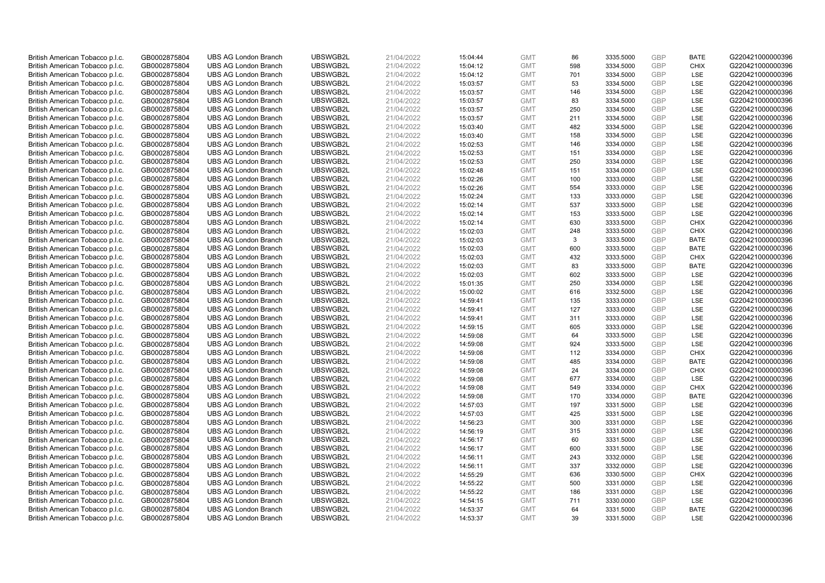| British American Tobacco p.l.c. | GB0002875804 | <b>UBS AG London Branch</b> | UBSWGB2L | 21/04/2022 | 15:04:44 | <b>GMT</b> | 86        | 3335.5000 | <b>GBP</b> | <b>BATE</b> | G220421000000396 |
|---------------------------------|--------------|-----------------------------|----------|------------|----------|------------|-----------|-----------|------------|-------------|------------------|
| British American Tobacco p.l.c. | GB0002875804 | <b>UBS AG London Branch</b> | UBSWGB2L | 21/04/2022 | 15:04:12 | <b>GMT</b> | 598       | 3334.5000 | <b>GBP</b> | <b>CHIX</b> | G220421000000396 |
| British American Tobacco p.l.c. | GB0002875804 | <b>UBS AG London Branch</b> | UBSWGB2L | 21/04/2022 | 15:04:12 | <b>GMT</b> | 701       | 3334.5000 | <b>GBP</b> | LSE         | G220421000000396 |
|                                 |              |                             | UBSWGB2L | 21/04/2022 |          |            |           |           | <b>GBP</b> |             |                  |
| British American Tobacco p.l.c. | GB0002875804 | <b>UBS AG London Branch</b> |          |            | 15:03:57 | <b>GMT</b> | 53        | 3334.5000 |            | LSE         | G220421000000396 |
| British American Tobacco p.l.c. | GB0002875804 | <b>UBS AG London Branch</b> | UBSWGB2L | 21/04/2022 | 15:03:57 | <b>GMT</b> | 146       | 3334.5000 | <b>GBP</b> | LSE         | G220421000000396 |
| British American Tobacco p.l.c. | GB0002875804 | <b>UBS AG London Branch</b> | UBSWGB2L | 21/04/2022 | 15:03:57 | <b>GMT</b> | 83        | 3334.5000 | <b>GBP</b> | LSE         | G220421000000396 |
| British American Tobacco p.l.c. | GB0002875804 | <b>UBS AG London Branch</b> | UBSWGB2L | 21/04/2022 | 15:03:57 | <b>GMT</b> | 250       | 3334.5000 | <b>GBP</b> | LSE         | G220421000000396 |
| British American Tobacco p.l.c. | GB0002875804 | <b>UBS AG London Branch</b> | UBSWGB2L | 21/04/2022 | 15:03:57 | <b>GMT</b> | 211       | 3334.5000 | <b>GBP</b> | LSE         | G220421000000396 |
| British American Tobacco p.l.c. | GB0002875804 | <b>UBS AG London Branch</b> | UBSWGB2L | 21/04/2022 | 15:03:40 | <b>GMT</b> | 482       | 3334.5000 | <b>GBP</b> | LSE         | G220421000000396 |
| British American Tobacco p.l.c. | GB0002875804 | <b>UBS AG London Branch</b> | UBSWGB2L | 21/04/2022 | 15:03:40 | <b>GMT</b> | 158       | 3334.5000 | <b>GBP</b> | LSE         | G220421000000396 |
| British American Tobacco p.l.c. | GB0002875804 | <b>UBS AG London Branch</b> | UBSWGB2L | 21/04/2022 | 15:02:53 | <b>GMT</b> | 146       | 3334.0000 | <b>GBP</b> | LSE         | G220421000000396 |
| British American Tobacco p.l.c. | GB0002875804 | <b>UBS AG London Branch</b> | UBSWGB2L | 21/04/2022 | 15:02:53 | <b>GMT</b> | 151       | 3334.0000 | <b>GBP</b> | LSE         | G220421000000396 |
| British American Tobacco p.l.c. | GB0002875804 | <b>UBS AG London Branch</b> | UBSWGB2L | 21/04/2022 | 15:02:53 | <b>GMT</b> | 250       | 3334.0000 | <b>GBP</b> | LSE         | G220421000000396 |
| British American Tobacco p.l.c. | GB0002875804 | <b>UBS AG London Branch</b> | UBSWGB2L | 21/04/2022 | 15:02:48 | <b>GMT</b> | 151       | 3334.0000 | <b>GBP</b> | LSE         | G220421000000396 |
| British American Tobacco p.l.c. | GB0002875804 | <b>UBS AG London Branch</b> | UBSWGB2L | 21/04/2022 | 15:02:26 | <b>GMT</b> | 100       | 3333.0000 | <b>GBP</b> | LSE         | G220421000000396 |
| British American Tobacco p.l.c. | GB0002875804 | <b>UBS AG London Branch</b> | UBSWGB2L | 21/04/2022 | 15:02:26 | <b>GMT</b> | 554       | 3333.0000 | <b>GBP</b> | LSE         | G220421000000396 |
| British American Tobacco p.l.c. | GB0002875804 | <b>UBS AG London Branch</b> | UBSWGB2L | 21/04/2022 | 15:02:24 | <b>GMT</b> | 133       | 3333.0000 | <b>GBP</b> | LSE         | G220421000000396 |
| British American Tobacco p.l.c. | GB0002875804 | <b>UBS AG London Branch</b> | UBSWGB2L | 21/04/2022 | 15:02:14 | <b>GMT</b> | 537       | 3333.5000 | GBP        | LSE         | G220421000000396 |
| British American Tobacco p.l.c. | GB0002875804 | <b>UBS AG London Branch</b> | UBSWGB2L | 21/04/2022 | 15:02:14 | <b>GMT</b> | 153       | 3333.5000 | <b>GBP</b> | <b>LSE</b>  | G220421000000396 |
| British American Tobacco p.l.c. | GB0002875804 | <b>UBS AG London Branch</b> | UBSWGB2L | 21/04/2022 | 15:02:14 | <b>GMT</b> | 630       | 3333.5000 | <b>GBP</b> | <b>CHIX</b> | G220421000000396 |
| British American Tobacco p.l.c. | GB0002875804 | <b>UBS AG London Branch</b> | UBSWGB2L | 21/04/2022 | 15:02:03 | <b>GMT</b> | 248       | 3333.5000 | <b>GBP</b> | <b>CHIX</b> | G220421000000396 |
| British American Tobacco p.l.c. | GB0002875804 | <b>UBS AG London Branch</b> | UBSWGB2L | 21/04/2022 | 15:02:03 | <b>GMT</b> | 3         | 3333.5000 | <b>GBP</b> | <b>BATE</b> | G220421000000396 |
| British American Tobacco p.l.c. | GB0002875804 | <b>UBS AG London Branch</b> | UBSWGB2L | 21/04/2022 | 15:02:03 | <b>GMT</b> | 600       | 3333.5000 | <b>GBP</b> | <b>BATE</b> | G220421000000396 |
| British American Tobacco p.l.c. | GB0002875804 | <b>UBS AG London Branch</b> | UBSWGB2L | 21/04/2022 | 15:02:03 | <b>GMT</b> | 432       | 3333.5000 | <b>GBP</b> | <b>CHIX</b> | G220421000000396 |
| British American Tobacco p.l.c. | GB0002875804 | <b>UBS AG London Branch</b> | UBSWGB2L | 21/04/2022 | 15:02:03 | <b>GMT</b> | 83        | 3333.5000 | <b>GBP</b> | <b>BATE</b> | G220421000000396 |
| British American Tobacco p.l.c. | GB0002875804 | <b>UBS AG London Branch</b> | UBSWGB2L | 21/04/2022 | 15:02:03 | <b>GMT</b> | 602       | 3333.5000 | <b>GBP</b> | LSE         | G220421000000396 |
| British American Tobacco p.l.c. | GB0002875804 | <b>UBS AG London Branch</b> | UBSWGB2L | 21/04/2022 | 15:01:35 | <b>GMT</b> | 250       | 3334.0000 | <b>GBP</b> | LSE         | G220421000000396 |
| British American Tobacco p.l.c. | GB0002875804 | <b>UBS AG London Branch</b> | UBSWGB2L | 21/04/2022 | 15:00:02 | <b>GMT</b> | 616       | 3332.5000 | <b>GBP</b> | LSE         | G220421000000396 |
| British American Tobacco p.l.c. | GB0002875804 | <b>UBS AG London Branch</b> | UBSWGB2L | 21/04/2022 | 14:59:41 | <b>GMT</b> | 135       | 3333.0000 | <b>GBP</b> | LSE         | G220421000000396 |
| British American Tobacco p.l.c. | GB0002875804 | <b>UBS AG London Branch</b> | UBSWGB2L | 21/04/2022 | 14:59:41 | <b>GMT</b> | 127       | 3333.0000 | <b>GBP</b> | LSE         | G220421000000396 |
| British American Tobacco p.l.c. | GB0002875804 | <b>UBS AG London Branch</b> | UBSWGB2L | 21/04/2022 | 14:59:41 | <b>GMT</b> | 311       | 3333.0000 | GBP        | LSE         | G220421000000396 |
| British American Tobacco p.l.c. | GB0002875804 | <b>UBS AG London Branch</b> | UBSWGB2L | 21/04/2022 | 14:59:15 | <b>GMT</b> | 605       | 3333.0000 | <b>GBP</b> | LSE         | G220421000000396 |
| British American Tobacco p.l.c. | GB0002875804 | <b>UBS AG London Branch</b> | UBSWGB2L | 21/04/2022 | 14:59:08 | <b>GMT</b> | 64        | 3333.5000 | <b>GBP</b> | LSE         | G220421000000396 |
| British American Tobacco p.l.c. | GB0002875804 | <b>UBS AG London Branch</b> | UBSWGB2L | 21/04/2022 | 14:59:08 | <b>GMT</b> | 924       | 3333.5000 | <b>GBP</b> | LSE         | G220421000000396 |
| British American Tobacco p.l.c. | GB0002875804 | <b>UBS AG London Branch</b> | UBSWGB2L | 21/04/2022 | 14:59:08 | <b>GMT</b> | 112       | 3334.0000 | <b>GBP</b> | <b>CHIX</b> | G220421000000396 |
| British American Tobacco p.l.c. | GB0002875804 | <b>UBS AG London Branch</b> | UBSWGB2L | 21/04/2022 | 14:59:08 | <b>GMT</b> | 485       | 3334.0000 | <b>GBP</b> | <b>BATE</b> | G220421000000396 |
| British American Tobacco p.l.c. | GB0002875804 | <b>UBS AG London Branch</b> | UBSWGB2L | 21/04/2022 | 14:59:08 | <b>GMT</b> | 24        | 3334.0000 | <b>GBP</b> | <b>CHIX</b> | G220421000000396 |
| British American Tobacco p.l.c. | GB0002875804 | <b>UBS AG London Branch</b> | UBSWGB2L | 21/04/2022 | 14:59:08 | <b>GMT</b> | 677       | 3334.0000 | <b>GBP</b> | LSE         | G220421000000396 |
| British American Tobacco p.l.c. | GB0002875804 | <b>UBS AG London Branch</b> | UBSWGB2L | 21/04/2022 | 14:59:08 | <b>GMT</b> | 549       | 3334.0000 | <b>GBP</b> | <b>CHIX</b> | G220421000000396 |
| British American Tobacco p.l.c. | GB0002875804 | <b>UBS AG London Branch</b> | UBSWGB2L | 21/04/2022 | 14:59:08 | <b>GMT</b> | 170       | 3334.0000 | <b>GBP</b> | <b>BATE</b> | G220421000000396 |
| British American Tobacco p.l.c. | GB0002875804 | <b>UBS AG London Branch</b> | UBSWGB2L | 21/04/2022 | 14:57:03 | <b>GMT</b> | 197       | 3331.5000 | <b>GBP</b> | LSE         | G220421000000396 |
| British American Tobacco p.l.c. | GB0002875804 | <b>UBS AG London Branch</b> | UBSWGB2L | 21/04/2022 | 14:57:03 | <b>GMT</b> | 425       | 3331.5000 | <b>GBP</b> | LSE         | G220421000000396 |
|                                 | GB0002875804 |                             | UBSWGB2L | 21/04/2022 | 14:56:23 | <b>GMT</b> | 300       |           | <b>GBP</b> | LSE         | G220421000000396 |
| British American Tobacco p.l.c. |              | <b>UBS AG London Branch</b> |          |            |          |            |           | 3331.0000 |            | LSE         |                  |
| British American Tobacco p.l.c. | GB0002875804 | <b>UBS AG London Branch</b> | UBSWGB2L | 21/04/2022 | 14:56:19 | <b>GMT</b> | 315<br>60 | 3331.0000 | GBP        | LSE         | G220421000000396 |
| British American Tobacco p.l.c. | GB0002875804 | <b>UBS AG London Branch</b> | UBSWGB2L | 21/04/2022 | 14:56:17 | <b>GMT</b> |           | 3331.5000 | <b>GBP</b> |             | G220421000000396 |
| British American Tobacco p.l.c. | GB0002875804 | <b>UBS AG London Branch</b> | UBSWGB2L | 21/04/2022 | 14:56:17 | <b>GMT</b> | 600       | 3331.5000 | <b>GBP</b> | LSE         | G220421000000396 |
| British American Tobacco p.l.c. | GB0002875804 | <b>UBS AG London Branch</b> | UBSWGB2L | 21/04/2022 | 14:56:11 | <b>GMT</b> | 243       | 3332.0000 | <b>GBP</b> | LSE         | G220421000000396 |
| British American Tobacco p.l.c. | GB0002875804 | <b>UBS AG London Branch</b> | UBSWGB2L | 21/04/2022 | 14:56:11 | <b>GMT</b> | 337       | 3332.0000 | <b>GBP</b> | LSE         | G220421000000396 |
| British American Tobacco p.l.c. | GB0002875804 | <b>UBS AG London Branch</b> | UBSWGB2L | 21/04/2022 | 14:55:29 | <b>GMT</b> | 636       | 3330.5000 | <b>GBP</b> | <b>CHIX</b> | G220421000000396 |
| British American Tobacco p.l.c. | GB0002875804 | <b>UBS AG London Branch</b> | UBSWGB2L | 21/04/2022 | 14:55:22 | <b>GMT</b> | 500       | 3331.0000 | <b>GBP</b> | LSE         | G220421000000396 |
| British American Tobacco p.l.c. | GB0002875804 | <b>UBS AG London Branch</b> | UBSWGB2L | 21/04/2022 | 14:55:22 | <b>GMT</b> | 186       | 3331.0000 | <b>GBP</b> | LSE         | G220421000000396 |
| British American Tobacco p.l.c. | GB0002875804 | <b>UBS AG London Branch</b> | UBSWGB2L | 21/04/2022 | 14:54:15 | <b>GMT</b> | 711       | 3330.0000 | <b>GBP</b> | LSE         | G220421000000396 |
| British American Tobacco p.l.c. | GB0002875804 | <b>UBS AG London Branch</b> | UBSWGB2L | 21/04/2022 | 14:53:37 | <b>GMT</b> | 64        | 3331.5000 | <b>GBP</b> | <b>BATE</b> | G220421000000396 |
| British American Tobacco p.l.c. | GB0002875804 | <b>UBS AG London Branch</b> | UBSWGB2L | 21/04/2022 | 14:53:37 | <b>GMT</b> | 39        | 3331.5000 | GBP        | LSE         | G220421000000396 |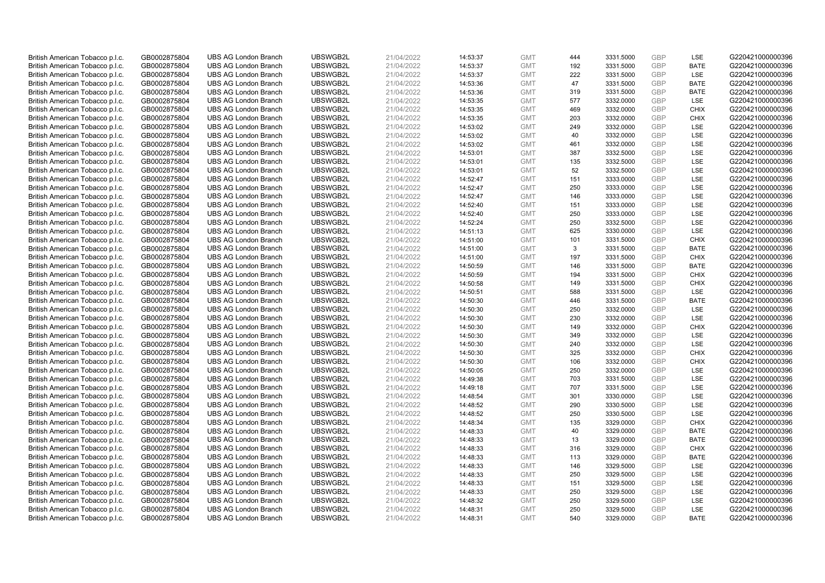| British American Tobacco p.l.c. | GB0002875804 | <b>UBS AG London Branch</b> | UBSWGB2L             | 21/04/2022 |          | <b>GMT</b> | 444 | 3331.5000 | <b>GBP</b>               | LSE         | G220421000000396 |
|---------------------------------|--------------|-----------------------------|----------------------|------------|----------|------------|-----|-----------|--------------------------|-------------|------------------|
|                                 |              |                             |                      |            | 14:53:37 |            | 192 |           | <b>GBP</b>               | <b>BATE</b> |                  |
| British American Tobacco p.l.c. | GB0002875804 | <b>UBS AG London Branch</b> | UBSWGB2L             | 21/04/2022 | 14:53:37 | <b>GMT</b> |     | 3331.5000 |                          |             | G220421000000396 |
| British American Tobacco p.l.c. | GB0002875804 | <b>UBS AG London Branch</b> | UBSWGB2L             | 21/04/2022 | 14:53:37 | <b>GMT</b> | 222 | 3331.5000 | <b>GBP</b>               | LSE         | G220421000000396 |
| British American Tobacco p.l.c. | GB0002875804 | <b>UBS AG London Branch</b> | UBSWGB2L             | 21/04/2022 | 14:53:36 | <b>GMT</b> | 47  | 3331.5000 | <b>GBP</b>               | <b>BATE</b> | G220421000000396 |
| British American Tobacco p.l.c. | GB0002875804 | <b>UBS AG London Branch</b> | UBSWGB2L             | 21/04/2022 | 14:53:36 | <b>GMT</b> | 319 | 3331.5000 | <b>GBP</b>               | <b>BATE</b> | G220421000000396 |
| British American Tobacco p.l.c. | GB0002875804 | <b>UBS AG London Branch</b> | UBSWGB2L             | 21/04/2022 | 14:53:35 | <b>GMT</b> | 577 | 3332.0000 | <b>GBP</b>               | LSE         | G220421000000396 |
| British American Tobacco p.l.c. | GB0002875804 | <b>UBS AG London Branch</b> | UBSWGB2L             | 21/04/2022 | 14:53:35 | <b>GMT</b> | 469 | 3332.0000 | <b>GBP</b>               | <b>CHIX</b> | G220421000000396 |
| British American Tobacco p.l.c. | GB0002875804 | <b>UBS AG London Branch</b> | UBSWGB2L             | 21/04/2022 | 14:53:35 | <b>GMT</b> | 203 | 3332.0000 | <b>GBP</b>               | <b>CHIX</b> | G220421000000396 |
| British American Tobacco p.l.c. | GB0002875804 | <b>UBS AG London Branch</b> | UBSWGB2L             | 21/04/2022 | 14:53:02 | <b>GMT</b> | 249 | 3332.0000 | <b>GBP</b>               | LSE         | G220421000000396 |
| British American Tobacco p.l.c. | GB0002875804 | <b>UBS AG London Branch</b> | UBSWGB2L             | 21/04/2022 | 14:53:02 | <b>GMT</b> | 40  | 3332.0000 | <b>GBP</b>               | LSE         | G220421000000396 |
| British American Tobacco p.l.c. | GB0002875804 | <b>UBS AG London Branch</b> | UBSWGB2L             | 21/04/2022 | 14:53:02 | <b>GMT</b> | 461 | 3332.0000 | <b>GBP</b>               | LSE         | G220421000000396 |
| British American Tobacco p.l.c. | GB0002875804 | <b>UBS AG London Branch</b> | UBSWGB2L             | 21/04/2022 | 14:53:01 | <b>GMT</b> | 387 | 3332.5000 | <b>GBP</b>               | LSE         | G220421000000396 |
| British American Tobacco p.l.c. | GB0002875804 | <b>UBS AG London Branch</b> | UBSWGB2L             | 21/04/2022 | 14:53:01 | <b>GMT</b> | 135 | 3332.5000 | <b>GBP</b>               | LSE         | G220421000000396 |
| British American Tobacco p.l.c. | GB0002875804 | <b>UBS AG London Branch</b> | UBSWGB2L             | 21/04/2022 | 14:53:01 | <b>GMT</b> | 52  | 3332.5000 | <b>GBP</b>               | LSE         | G220421000000396 |
| British American Tobacco p.l.c. | GB0002875804 | <b>UBS AG London Branch</b> | UBSWGB2L             | 21/04/2022 | 14:52:47 | <b>GMT</b> | 151 | 3333.0000 | <b>GBP</b>               | LSE         | G220421000000396 |
| British American Tobacco p.l.c. | GB0002875804 | <b>UBS AG London Branch</b> | UBSWGB2L             | 21/04/2022 | 14:52:47 | <b>GMT</b> | 250 | 3333.0000 | <b>GBP</b>               | LSE         | G220421000000396 |
| British American Tobacco p.l.c. | GB0002875804 | <b>UBS AG London Branch</b> | UBSWGB2L             | 21/04/2022 | 14:52:47 | <b>GMT</b> | 146 | 3333.0000 | <b>GBP</b>               | LSE         | G220421000000396 |
| British American Tobacco p.l.c. | GB0002875804 | <b>UBS AG London Branch</b> | UBSWGB2L             | 21/04/2022 | 14:52:40 | <b>GMT</b> | 151 | 3333.0000 | GBP                      | LSE         | G220421000000396 |
| British American Tobacco p.l.c. | GB0002875804 | <b>UBS AG London Branch</b> | UBSWGB2L             | 21/04/2022 | 14:52:40 | <b>GMT</b> | 250 | 3333.0000 | <b>GBP</b>               | <b>LSE</b>  | G220421000000396 |
| British American Tobacco p.l.c. | GB0002875804 | <b>UBS AG London Branch</b> | UBSWGB2L             | 21/04/2022 | 14:52:24 | <b>GMT</b> | 250 | 3332.5000 | <b>GBP</b>               | LSE         | G220421000000396 |
| British American Tobacco p.l.c. | GB0002875804 | <b>UBS AG London Branch</b> | UBSWGB2L             | 21/04/2022 | 14:51:13 | <b>GMT</b> | 625 | 3330.0000 | <b>GBP</b>               | LSE         | G220421000000396 |
| British American Tobacco p.l.c. | GB0002875804 | <b>UBS AG London Branch</b> | UBSWGB2L             | 21/04/2022 | 14:51:00 | <b>GMT</b> | 101 | 3331.5000 | <b>GBP</b>               | <b>CHIX</b> | G220421000000396 |
| British American Tobacco p.l.c. | GB0002875804 | <b>UBS AG London Branch</b> | UBSWGB2L             | 21/04/2022 | 14:51:00 | <b>GMT</b> | 3   | 3331.5000 | <b>GBP</b>               | <b>BATE</b> | G220421000000396 |
| British American Tobacco p.l.c. | GB0002875804 | <b>UBS AG London Branch</b> | UBSWGB2L             | 21/04/2022 | 14:51:00 | <b>GMT</b> | 197 | 3331.5000 | <b>GBP</b>               | <b>CHIX</b> | G220421000000396 |
| British American Tobacco p.l.c. | GB0002875804 | <b>UBS AG London Branch</b> | UBSWGB2L             | 21/04/2022 | 14:50:59 | <b>GMT</b> | 146 | 3331.5000 | <b>GBP</b>               | <b>BATE</b> | G220421000000396 |
| British American Tobacco p.l.c. | GB0002875804 | <b>UBS AG London Branch</b> | UBSWGB2L             | 21/04/2022 | 14:50:59 | <b>GMT</b> | 194 | 3331.5000 | <b>GBP</b>               | <b>CHIX</b> | G220421000000396 |
| British American Tobacco p.l.c. | GB0002875804 | <b>UBS AG London Branch</b> | UBSWGB2L             | 21/04/2022 | 14:50:58 | <b>GMT</b> | 149 | 3331.5000 | <b>GBP</b>               | <b>CHIX</b> | G220421000000396 |
| British American Tobacco p.l.c. | GB0002875804 | <b>UBS AG London Branch</b> | UBSWGB2L             | 21/04/2022 | 14:50:51 | <b>GMT</b> | 588 | 3331.5000 | <b>GBP</b>               | LSE         | G220421000000396 |
| British American Tobacco p.l.c. | GB0002875804 | <b>UBS AG London Branch</b> | UBSWGB2L             | 21/04/2022 | 14:50:30 | <b>GMT</b> | 446 | 3331.5000 | <b>GBP</b>               | <b>BATE</b> | G220421000000396 |
| British American Tobacco p.l.c. | GB0002875804 | <b>UBS AG London Branch</b> | UBSWGB2L             | 21/04/2022 | 14:50:30 | <b>GMT</b> | 250 | 3332.0000 | <b>GBP</b>               | LSE         | G220421000000396 |
| British American Tobacco p.l.c. | GB0002875804 | <b>UBS AG London Branch</b> | UBSWGB2L             | 21/04/2022 | 14:50:30 | <b>GMT</b> | 230 | 3332.0000 | GBP                      | LSE         | G220421000000396 |
| British American Tobacco p.l.c. | GB0002875804 | <b>UBS AG London Branch</b> | UBSWGB2L             | 21/04/2022 | 14:50:30 | <b>GMT</b> | 149 | 3332.0000 | <b>GBP</b>               | <b>CHIX</b> | G220421000000396 |
| British American Tobacco p.l.c. | GB0002875804 | <b>UBS AG London Branch</b> | UBSWGB2L             | 21/04/2022 | 14:50:30 | <b>GMT</b> | 349 | 3332.0000 | <b>GBP</b>               | LSE         | G220421000000396 |
| British American Tobacco p.l.c. | GB0002875804 | <b>UBS AG London Branch</b> | UBSWGB2L             | 21/04/2022 | 14:50:30 | <b>GMT</b> | 240 | 3332.0000 | <b>GBP</b>               | LSE         | G220421000000396 |
| British American Tobacco p.l.c. | GB0002875804 | <b>UBS AG London Branch</b> | UBSWGB2L             | 21/04/2022 | 14:50:30 | <b>GMT</b> | 325 | 3332.0000 | <b>GBP</b>               | <b>CHIX</b> | G220421000000396 |
| British American Tobacco p.l.c. | GB0002875804 | <b>UBS AG London Branch</b> | UBSWGB2L             | 21/04/2022 | 14:50:30 | <b>GMT</b> | 106 | 3332.0000 | <b>GBP</b>               | <b>CHIX</b> | G220421000000396 |
| British American Tobacco p.l.c. | GB0002875804 | <b>UBS AG London Branch</b> | UBSWGB2L             | 21/04/2022 | 14:50:05 | <b>GMT</b> | 250 | 3332.0000 | <b>GBP</b>               | LSE         | G220421000000396 |
| British American Tobacco p.l.c. | GB0002875804 | <b>UBS AG London Branch</b> | UBSWGB2L             | 21/04/2022 | 14:49:38 | <b>GMT</b> | 703 | 3331.5000 | <b>GBP</b>               | LSE         | G220421000000396 |
| British American Tobacco p.l.c. | GB0002875804 | <b>UBS AG London Branch</b> | UBSWGB2L             | 21/04/2022 | 14:49:18 | <b>GMT</b> | 707 | 3331.5000 | <b>GBP</b>               | LSE         | G220421000000396 |
| British American Tobacco p.l.c. | GB0002875804 | <b>UBS AG London Branch</b> | UBSWGB2L             | 21/04/2022 | 14:48:54 | <b>GMT</b> | 301 | 3330.0000 | <b>GBP</b>               | LSE         | G220421000000396 |
| British American Tobacco p.l.c. | GB0002875804 | <b>UBS AG London Branch</b> | UBSWGB2L             | 21/04/2022 | 14:48:52 | <b>GMT</b> | 290 | 3330.5000 | <b>GBP</b>               | LSE         | G220421000000396 |
| British American Tobacco p.l.c. | GB0002875804 | <b>UBS AG London Branch</b> | UBSWGB2L             | 21/04/2022 | 14:48:52 | <b>GMT</b> | 250 | 3330.5000 | <b>GBP</b>               | LSE         | G220421000000396 |
| British American Tobacco p.l.c. | GB0002875804 | <b>UBS AG London Branch</b> | UBSWGB2L             | 21/04/2022 | 14:48:34 | <b>GMT</b> | 135 | 3329.0000 | <b>GBP</b>               | <b>CHIX</b> | G220421000000396 |
| British American Tobacco p.l.c. | GB0002875804 | <b>UBS AG London Branch</b> | UBSWGB2L             | 21/04/2022 | 14:48:33 | <b>GMT</b> | 40  | 3329.0000 | <b>GBP</b>               | <b>BATE</b> | G220421000000396 |
| British American Tobacco p.l.c. | GB0002875804 | <b>UBS AG London Branch</b> | UBSWGB2L             | 21/04/2022 | 14:48:33 | <b>GMT</b> | 13  | 3329.0000 | <b>GBP</b>               | <b>BATE</b> | G220421000000396 |
|                                 |              | <b>UBS AG London Branch</b> | UBSWGB2L             | 21/04/2022 | 14:48:33 | <b>GMT</b> | 316 | 3329.0000 | <b>GBP</b>               | <b>CHIX</b> | G220421000000396 |
| British American Tobacco p.l.c. | GB0002875804 |                             |                      |            |          |            | 113 |           |                          | <b>BATE</b> |                  |
| British American Tobacco p.l.c. | GB0002875804 | <b>UBS AG London Branch</b> | UBSWGB2L<br>UBSWGB2L | 21/04/2022 | 14:48:33 | <b>GMT</b> |     | 3329.0000 | <b>GBP</b><br><b>GBP</b> | LSE         | G220421000000396 |
| British American Tobacco p.l.c. | GB0002875804 | <b>UBS AG London Branch</b> |                      | 21/04/2022 | 14:48:33 | <b>GMT</b> | 146 | 3329.5000 | <b>GBP</b>               |             | G220421000000396 |
| British American Tobacco p.l.c. | GB0002875804 | <b>UBS AG London Branch</b> | UBSWGB2L             | 21/04/2022 | 14:48:33 | <b>GMT</b> | 250 | 3329.5000 |                          | LSE         | G220421000000396 |
| British American Tobacco p.l.c. | GB0002875804 | <b>UBS AG London Branch</b> | UBSWGB2L             | 21/04/2022 | 14:48:33 | <b>GMT</b> | 151 | 3329.5000 | <b>GBP</b>               | LSE         | G220421000000396 |
| British American Tobacco p.l.c. | GB0002875804 | <b>UBS AG London Branch</b> | UBSWGB2L             | 21/04/2022 | 14:48:33 | <b>GMT</b> | 250 | 3329.5000 | <b>GBP</b>               | LSE         | G220421000000396 |
| British American Tobacco p.l.c. | GB0002875804 | <b>UBS AG London Branch</b> | UBSWGB2L             | 21/04/2022 | 14:48:32 | <b>GMT</b> | 250 | 3329.5000 | <b>GBP</b>               | LSE         | G220421000000396 |
| British American Tobacco p.l.c. | GB0002875804 | <b>UBS AG London Branch</b> | UBSWGB2L             | 21/04/2022 | 14:48:31 | <b>GMT</b> | 250 | 3329.5000 | <b>GBP</b>               | LSE         | G220421000000396 |
| British American Tobacco p.l.c. | GB0002875804 | <b>UBS AG London Branch</b> | UBSWGB2L             | 21/04/2022 | 14:48:31 | <b>GMT</b> | 540 | 3329.0000 | GBP                      | <b>BATE</b> | G220421000000396 |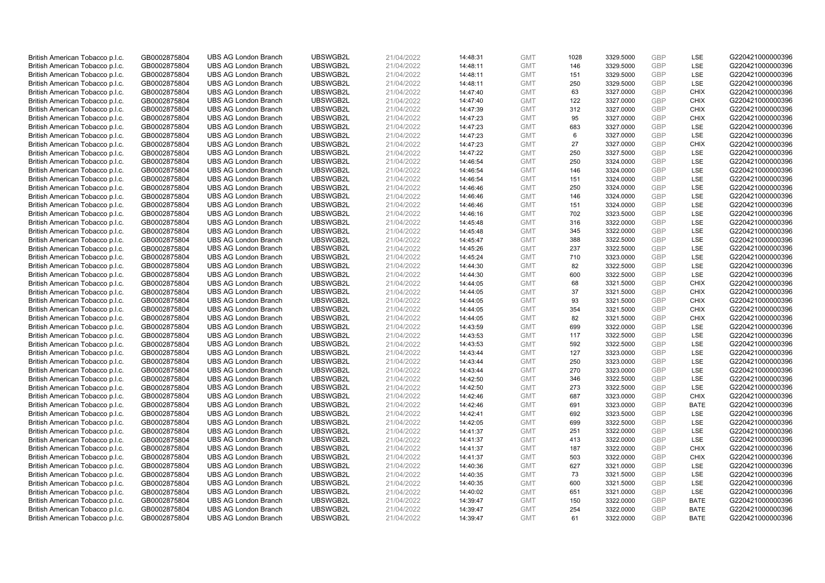| British American Tobacco p.l.c. | GB0002875804 | <b>UBS AG London Branch</b>                                | UBSWGB2L             | 21/04/2022 |          | <b>GMT</b>               | 1028 | 3329.5000              | <b>GBP</b>               | LSE         | G220421000000396                     |
|---------------------------------|--------------|------------------------------------------------------------|----------------------|------------|----------|--------------------------|------|------------------------|--------------------------|-------------|--------------------------------------|
|                                 |              |                                                            |                      |            | 14:48:31 |                          |      |                        | GBP                      |             |                                      |
| British American Tobacco p.l.c. | GB0002875804 | <b>UBS AG London Branch</b>                                | UBSWGB2L             | 21/04/2022 | 14:48:11 | <b>GMT</b>               | 146  | 3329.5000              |                          | LSE         | G220421000000396                     |
| British American Tobacco p.l.c. | GB0002875804 | <b>UBS AG London Branch</b>                                | UBSWGB2L             | 21/04/2022 | 14:48:11 | <b>GMT</b>               | 151  | 3329.5000              | <b>GBP</b>               | LSE         | G220421000000396                     |
| British American Tobacco p.l.c. | GB0002875804 | <b>UBS AG London Branch</b>                                | UBSWGB2L             | 21/04/2022 | 14:48:11 | <b>GMT</b>               | 250  | 3329.5000              | <b>GBP</b>               | LSE         | G220421000000396                     |
| British American Tobacco p.l.c. | GB0002875804 | <b>UBS AG London Branch</b>                                | UBSWGB2L             | 21/04/2022 | 14:47:40 | <b>GMT</b>               | 63   | 3327.0000              | <b>GBP</b>               | <b>CHIX</b> | G220421000000396                     |
| British American Tobacco p.l.c. | GB0002875804 | <b>UBS AG London Branch</b>                                | UBSWGB2L             | 21/04/2022 | 14:47:40 | <b>GMT</b>               | 122  | 3327.0000              | <b>GBP</b>               | <b>CHIX</b> | G220421000000396                     |
| British American Tobacco p.l.c. | GB0002875804 | <b>UBS AG London Branch</b>                                | UBSWGB2L             | 21/04/2022 | 14:47:39 | <b>GMT</b>               | 312  | 3327.0000              | <b>GBP</b>               | <b>CHIX</b> | G220421000000396                     |
| British American Tobacco p.l.c. | GB0002875804 | <b>UBS AG London Branch</b>                                | UBSWGB2L             | 21/04/2022 | 14:47:23 | <b>GMT</b>               | 95   | 3327.0000              | <b>GBP</b>               | <b>CHIX</b> | G220421000000396                     |
| British American Tobacco p.l.c. | GB0002875804 | <b>UBS AG London Branch</b>                                | UBSWGB2L             | 21/04/2022 | 14:47:23 | <b>GMT</b>               | 683  | 3327.0000              | <b>GBP</b>               | LSE         | G220421000000396                     |
| British American Tobacco p.l.c. | GB0002875804 | <b>UBS AG London Branch</b>                                | UBSWGB2L             | 21/04/2022 | 14:47:23 | <b>GMT</b>               | 6    | 3327.0000              | <b>GBP</b>               | LSE         | G220421000000396                     |
| British American Tobacco p.l.c. | GB0002875804 | <b>UBS AG London Branch</b>                                | UBSWGB2L             | 21/04/2022 | 14:47:23 | <b>GMT</b>               | 27   | 3327.0000              | <b>GBP</b>               | <b>CHIX</b> | G220421000000396                     |
| British American Tobacco p.l.c. | GB0002875804 | <b>UBS AG London Branch</b>                                | UBSWGB2L             | 21/04/2022 | 14:47:22 | <b>GMT</b>               | 250  | 3327.5000              | <b>GBP</b>               | LSE         | G220421000000396                     |
| British American Tobacco p.l.c. | GB0002875804 | <b>UBS AG London Branch</b>                                | UBSWGB2L             | 21/04/2022 | 14:46:54 | <b>GMT</b>               | 250  | 3324.0000              | <b>GBP</b>               | LSE         | G220421000000396                     |
| British American Tobacco p.l.c. | GB0002875804 | <b>UBS AG London Branch</b>                                | UBSWGB2L             | 21/04/2022 | 14:46:54 | <b>GMT</b>               | 146  | 3324.0000              | <b>GBP</b>               | LSE         | G220421000000396                     |
| British American Tobacco p.l.c. | GB0002875804 | <b>UBS AG London Branch</b>                                | UBSWGB2L             | 21/04/2022 | 14:46:54 | <b>GMT</b>               | 151  | 3324.0000              | <b>GBP</b>               | LSE         | G220421000000396                     |
| British American Tobacco p.l.c. | GB0002875804 | <b>UBS AG London Branch</b>                                | UBSWGB2L             | 21/04/2022 | 14:46:46 | <b>GMT</b>               | 250  | 3324.0000              | <b>GBP</b>               | LSE         | G220421000000396                     |
| British American Tobacco p.l.c. | GB0002875804 | <b>UBS AG London Branch</b>                                | UBSWGB2L             | 21/04/2022 | 14:46:46 | <b>GMT</b>               | 146  | 3324.0000              | <b>GBP</b>               | LSE         | G220421000000396                     |
| British American Tobacco p.l.c. | GB0002875804 | <b>UBS AG London Branch</b>                                | UBSWGB2L             | 21/04/2022 | 14:46:46 | <b>GMT</b>               | 151  | 3324.0000              | <b>GBP</b>               | LSE         | G220421000000396                     |
| British American Tobacco p.l.c. | GB0002875804 | <b>UBS AG London Branch</b>                                | UBSWGB2L             | 21/04/2022 | 14:46:16 | <b>GMT</b>               | 702  | 3323.5000              | <b>GBP</b>               | <b>LSE</b>  | G220421000000396                     |
| British American Tobacco p.l.c. | GB0002875804 | <b>UBS AG London Branch</b>                                | UBSWGB2L             | 21/04/2022 | 14:45:48 | <b>GMT</b>               | 316  | 3322.0000              | <b>GBP</b>               | LSE         | G220421000000396                     |
| British American Tobacco p.l.c. | GB0002875804 | <b>UBS AG London Branch</b>                                | UBSWGB2L             | 21/04/2022 | 14:45:48 | <b>GMT</b>               | 345  | 3322.0000              | <b>GBP</b>               | LSE         | G220421000000396                     |
| British American Tobacco p.l.c. | GB0002875804 | <b>UBS AG London Branch</b>                                | UBSWGB2L             | 21/04/2022 | 14:45:47 | <b>GMT</b>               | 388  | 3322.5000              | <b>GBP</b>               | LSE         | G220421000000396                     |
| British American Tobacco p.l.c. | GB0002875804 | <b>UBS AG London Branch</b>                                | UBSWGB2L             | 21/04/2022 | 14:45:26 | <b>GMT</b>               | 237  | 3322.5000              | <b>GBP</b>               | LSE         | G220421000000396                     |
| British American Tobacco p.l.c. | GB0002875804 | <b>UBS AG London Branch</b>                                | UBSWGB2L             | 21/04/2022 | 14:45:24 | <b>GMT</b>               | 710  | 3323.0000              | <b>GBP</b>               | LSE         | G220421000000396                     |
| British American Tobacco p.l.c. | GB0002875804 | <b>UBS AG London Branch</b>                                | UBSWGB2L             | 21/04/2022 | 14:44:30 | <b>GMT</b>               | 82   | 3322.5000              | <b>GBP</b>               | LSE         | G220421000000396                     |
| British American Tobacco p.l.c. | GB0002875804 | <b>UBS AG London Branch</b>                                | UBSWGB2L             | 21/04/2022 | 14:44:30 | <b>GMT</b>               | 600  | 3322.5000              | <b>GBP</b>               | LSE         | G220421000000396                     |
| British American Tobacco p.l.c. | GB0002875804 | <b>UBS AG London Branch</b>                                | UBSWGB2L             | 21/04/2022 | 14:44:05 | <b>GMT</b>               | 68   | 3321.5000              | <b>GBP</b>               | <b>CHIX</b> | G220421000000396                     |
| British American Tobacco p.l.c. | GB0002875804 | <b>UBS AG London Branch</b>                                | UBSWGB2L             | 21/04/2022 | 14:44:05 | <b>GMT</b>               | 37   | 3321.5000              | <b>GBP</b>               | <b>CHIX</b> | G220421000000396                     |
| British American Tobacco p.l.c. | GB0002875804 | <b>UBS AG London Branch</b>                                | UBSWGB2L             | 21/04/2022 | 14:44:05 | <b>GMT</b>               | 93   | 3321.5000              | <b>GBP</b>               | <b>CHIX</b> | G220421000000396                     |
| British American Tobacco p.l.c. | GB0002875804 | <b>UBS AG London Branch</b>                                | UBSWGB2L             | 21/04/2022 | 14:44:05 | <b>GMT</b>               | 354  | 3321.5000              | <b>GBP</b>               | <b>CHIX</b> | G220421000000396                     |
| British American Tobacco p.l.c. | GB0002875804 | <b>UBS AG London Branch</b>                                | UBSWGB2L             | 21/04/2022 | 14:44:05 | <b>GMT</b>               | 82   | 3321.5000              | GBP                      | <b>CHIX</b> | G220421000000396                     |
| British American Tobacco p.l.c. | GB0002875804 | <b>UBS AG London Branch</b>                                | UBSWGB2L             | 21/04/2022 | 14:43:59 | <b>GMT</b>               | 699  | 3322.0000              | <b>GBP</b>               | LSE         | G220421000000396                     |
| British American Tobacco p.l.c. | GB0002875804 | <b>UBS AG London Branch</b>                                | UBSWGB2L             | 21/04/2022 | 14:43:53 | <b>GMT</b>               | 117  | 3322.5000              | <b>GBP</b>               | LSE         | G220421000000396                     |
|                                 |              |                                                            |                      |            |          |                          | 592  |                        |                          | LSE         |                                      |
| British American Tobacco p.l.c. | GB0002875804 | <b>UBS AG London Branch</b><br><b>UBS AG London Branch</b> | UBSWGB2L<br>UBSWGB2L | 21/04/2022 | 14:43:53 | <b>GMT</b><br><b>GMT</b> | 127  | 3322.5000<br>3323.0000 | <b>GBP</b><br><b>GBP</b> | LSE         | G220421000000396<br>G220421000000396 |
| British American Tobacco p.l.c. | GB0002875804 |                                                            |                      | 21/04/2022 | 14:43:44 |                          |      |                        |                          |             |                                      |
| British American Tobacco p.l.c. | GB0002875804 | <b>UBS AG London Branch</b>                                | UBSWGB2L             | 21/04/2022 | 14:43:44 | <b>GMT</b>               | 250  | 3323.0000              | <b>GBP</b>               | LSE         | G220421000000396                     |
| British American Tobacco p.l.c. | GB0002875804 | <b>UBS AG London Branch</b>                                | UBSWGB2L             | 21/04/2022 | 14:43:44 | <b>GMT</b>               | 270  | 3323.0000              | <b>GBP</b>               | LSE         | G220421000000396                     |
| British American Tobacco p.l.c. | GB0002875804 | <b>UBS AG London Branch</b>                                | UBSWGB2L             | 21/04/2022 | 14:42:50 | <b>GMT</b>               | 346  | 3322.5000              | <b>GBP</b>               | LSE         | G220421000000396                     |
| British American Tobacco p.l.c. | GB0002875804 | <b>UBS AG London Branch</b>                                | UBSWGB2L             | 21/04/2022 | 14:42:50 | <b>GMT</b>               | 273  | 3322.5000              | <b>GBP</b>               | LSE         | G220421000000396                     |
| British American Tobacco p.l.c. | GB0002875804 | <b>UBS AG London Branch</b>                                | UBSWGB2L             | 21/04/2022 | 14:42:46 | <b>GMT</b>               | 687  | 3323.0000              | <b>GBP</b>               | <b>CHIX</b> | G220421000000396                     |
| British American Tobacco p.l.c. | GB0002875804 | <b>UBS AG London Branch</b>                                | UBSWGB2L             | 21/04/2022 | 14:42:46 | <b>GMT</b>               | 691  | 3323.0000              | <b>GBP</b>               | <b>BATE</b> | G220421000000396                     |
| British American Tobacco p.l.c. | GB0002875804 | <b>UBS AG London Branch</b>                                | UBSWGB2L             | 21/04/2022 | 14:42:41 | <b>GMT</b>               | 692  | 3323.5000              | <b>GBP</b>               | LSE         | G220421000000396                     |
| British American Tobacco p.l.c. | GB0002875804 | <b>UBS AG London Branch</b>                                | UBSWGB2L             | 21/04/2022 | 14:42:05 | <b>GMT</b>               | 699  | 3322.5000              | <b>GBP</b>               | LSE         | G220421000000396                     |
| British American Tobacco p.l.c. | GB0002875804 | <b>UBS AG London Branch</b>                                | UBSWGB2L             | 21/04/2022 | 14:41:37 | <b>GMT</b>               | 251  | 3322.0000              | GBP                      | LSE         | G220421000000396                     |
| British American Tobacco p.l.c. | GB0002875804 | <b>UBS AG London Branch</b>                                | UBSWGB2L             | 21/04/2022 | 14:41:37 | <b>GMT</b>               | 413  | 3322.0000              | <b>GBP</b>               | LSE         | G220421000000396                     |
| British American Tobacco p.l.c. | GB0002875804 | <b>UBS AG London Branch</b>                                | UBSWGB2L             | 21/04/2022 | 14:41:37 | <b>GMT</b>               | 187  | 3322.0000              | <b>GBP</b>               | <b>CHIX</b> | G220421000000396                     |
| British American Tobacco p.l.c. | GB0002875804 | <b>UBS AG London Branch</b>                                | UBSWGB2L             | 21/04/2022 | 14:41:37 | <b>GMT</b>               | 503  | 3322.0000              | <b>GBP</b>               | <b>CHIX</b> | G220421000000396                     |
| British American Tobacco p.l.c. | GB0002875804 | <b>UBS AG London Branch</b>                                | UBSWGB2L             | 21/04/2022 | 14:40:36 | <b>GMT</b>               | 627  | 3321.0000              | GBP                      | LSE         | G220421000000396                     |
| British American Tobacco p.l.c. | GB0002875804 | <b>UBS AG London Branch</b>                                | UBSWGB2L             | 21/04/2022 | 14:40:35 | <b>GMT</b>               | 73   | 3321.5000              | <b>GBP</b>               | LSE         | G220421000000396                     |
| British American Tobacco p.l.c. | GB0002875804 | <b>UBS AG London Branch</b>                                | UBSWGB2L             | 21/04/2022 | 14:40:35 | <b>GMT</b>               | 600  | 3321.5000              | <b>GBP</b>               | LSE         | G220421000000396                     |
| British American Tobacco p.l.c. | GB0002875804 | <b>UBS AG London Branch</b>                                | UBSWGB2L             | 21/04/2022 | 14:40:02 | <b>GMT</b>               | 651  | 3321.0000              | <b>GBP</b>               | LSE         | G220421000000396                     |
| British American Tobacco p.l.c. | GB0002875804 | <b>UBS AG London Branch</b>                                | UBSWGB2L             | 21/04/2022 | 14:39:47 | <b>GMT</b>               | 150  | 3322.0000              | <b>GBP</b>               | <b>BATE</b> | G220421000000396                     |
| British American Tobacco p.l.c. | GB0002875804 | <b>UBS AG London Branch</b>                                | UBSWGB2L             | 21/04/2022 | 14:39:47 | <b>GMT</b>               | 254  | 3322.0000              | <b>GBP</b>               | <b>BATE</b> | G220421000000396                     |
| British American Tobacco p.l.c. | GB0002875804 | <b>UBS AG London Branch</b>                                | UBSWGB2L             | 21/04/2022 | 14:39:47 | <b>GMT</b>               | 61   | 3322.0000              | <b>GBP</b>               | <b>BATE</b> | G220421000000396                     |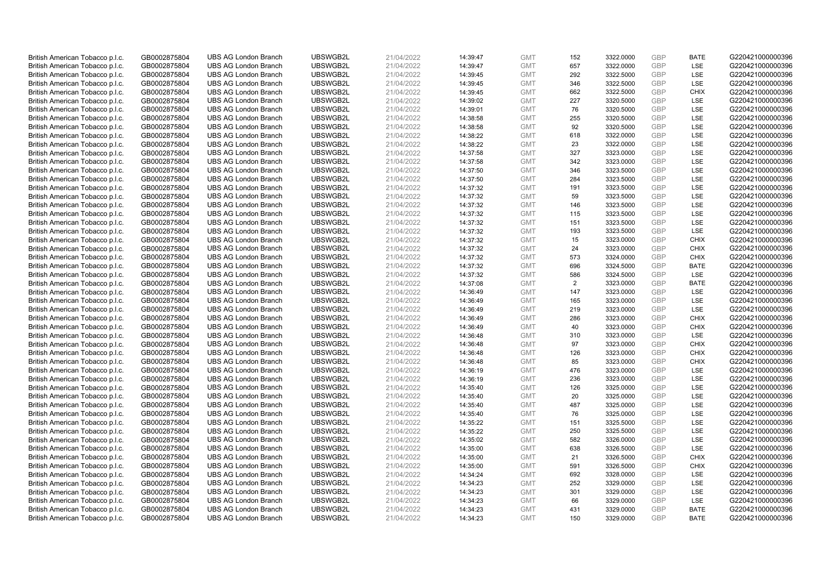| British American Tobacco p.l.c. | GB0002875804                 | <b>UBS AG London Branch</b> | UBSWGB2L             | 21/04/2022               | 14:39:47             | <b>GMT</b>               | 152 | 3322.0000 | <b>GBP</b> | <b>BATE</b> | G220421000000396                     |
|---------------------------------|------------------------------|-----------------------------|----------------------|--------------------------|----------------------|--------------------------|-----|-----------|------------|-------------|--------------------------------------|
|                                 |                              |                             |                      |                          |                      |                          |     |           | <b>GBP</b> | LSE         |                                      |
| British American Tobacco p.l.c. | GB0002875804                 | <b>UBS AG London Branch</b> | UBSWGB2L             | 21/04/2022               | 14:39:47             | <b>GMT</b>               | 657 | 3322.0000 |            |             | G220421000000396                     |
| British American Tobacco p.l.c. | GB0002875804                 | <b>UBS AG London Branch</b> | UBSWGB2L             | 21/04/2022               | 14:39:45             | <b>GMT</b>               | 292 | 3322.5000 | <b>GBP</b> | LSE         | G220421000000396                     |
| British American Tobacco p.l.c. | GB0002875804                 | <b>UBS AG London Branch</b> | UBSWGB2L             | 21/04/2022               | 14:39:45             | <b>GMT</b>               | 346 | 3322.5000 | <b>GBP</b> | LSE         | G220421000000396                     |
| British American Tobacco p.l.c. | GB0002875804                 | <b>UBS AG London Branch</b> | UBSWGB2L             | 21/04/2022               | 14:39:45             | <b>GMT</b>               | 662 | 3322.5000 | <b>GBP</b> | <b>CHIX</b> | G220421000000396                     |
| British American Tobacco p.l.c. | GB0002875804                 | <b>UBS AG London Branch</b> | UBSWGB2L             | 21/04/2022               | 14:39:02             | <b>GMT</b>               | 227 | 3320.5000 | <b>GBP</b> | LSE         | G220421000000396                     |
| British American Tobacco p.l.c. | GB0002875804                 | <b>UBS AG London Branch</b> | UBSWGB2L             | 21/04/2022               | 14:39:01             | <b>GMT</b>               | 76  | 3320.5000 | <b>GBP</b> | LSE         | G220421000000396                     |
| British American Tobacco p.l.c. | GB0002875804                 | <b>UBS AG London Branch</b> | UBSWGB2L             | 21/04/2022               | 14:38:58             | <b>GMT</b>               | 255 | 3320.5000 | <b>GBP</b> | LSE         | G220421000000396                     |
| British American Tobacco p.l.c. | GB0002875804                 | <b>UBS AG London Branch</b> | UBSWGB2L             | 21/04/2022               | 14:38:58             | <b>GMT</b>               | 92  | 3320.5000 | <b>GBP</b> | LSE         | G220421000000396                     |
| British American Tobacco p.l.c. | GB0002875804                 | <b>UBS AG London Branch</b> | UBSWGB2L             | 21/04/2022               | 14:38:22             | <b>GMT</b>               | 618 | 3322.0000 | <b>GBP</b> | LSE         | G220421000000396                     |
| British American Tobacco p.l.c. | GB0002875804                 | <b>UBS AG London Branch</b> | UBSWGB2L             | 21/04/2022               | 14:38:22             | <b>GMT</b>               | 23  | 3322.0000 | <b>GBP</b> | LSE         | G220421000000396                     |
| British American Tobacco p.l.c. | GB0002875804                 | <b>UBS AG London Branch</b> | UBSWGB2L             | 21/04/2022               | 14:37:58             | <b>GMT</b>               | 327 | 3323.0000 | <b>GBP</b> | LSE         | G220421000000396                     |
| British American Tobacco p.l.c. | GB0002875804                 | <b>UBS AG London Branch</b> | UBSWGB2L             | 21/04/2022               | 14:37:58             | <b>GMT</b>               | 342 | 3323.0000 | <b>GBP</b> | LSE         | G220421000000396                     |
| British American Tobacco p.l.c. | GB0002875804                 | <b>UBS AG London Branch</b> | UBSWGB2L             | 21/04/2022               | 14:37:50             | <b>GMT</b>               | 346 | 3323.5000 | <b>GBP</b> | LSE         | G220421000000396                     |
| British American Tobacco p.l.c. | GB0002875804                 | <b>UBS AG London Branch</b> | UBSWGB2L             | 21/04/2022               | 14:37:50             | <b>GMT</b>               | 284 | 3323.5000 | <b>GBP</b> | LSE         | G220421000000396                     |
| British American Tobacco p.l.c. | GB0002875804                 | <b>UBS AG London Branch</b> | UBSWGB2L             | 21/04/2022               | 14:37:32             | <b>GMT</b>               | 191 | 3323.5000 | <b>GBP</b> | LSE         | G220421000000396                     |
| British American Tobacco p.l.c. | GB0002875804                 | <b>UBS AG London Branch</b> | UBSWGB2L             | 21/04/2022               | 14:37:32             | <b>GMT</b>               | 59  | 3323.5000 | <b>GBP</b> | LSE         | G220421000000396                     |
| British American Tobacco p.l.c. | GB0002875804                 | <b>UBS AG London Branch</b> | UBSWGB2L             | 21/04/2022               | 14:37:32             | <b>GMT</b>               | 146 | 3323.5000 | GBP        | LSE         | G220421000000396                     |
| British American Tobacco p.l.c. | GB0002875804                 | <b>UBS AG London Branch</b> | UBSWGB2L             | 21/04/2022               | 14:37:32             | <b>GMT</b>               | 115 | 3323.5000 | <b>GBP</b> | <b>LSE</b>  | G220421000000396                     |
| British American Tobacco p.l.c. | GB0002875804                 | <b>UBS AG London Branch</b> | UBSWGB2L             | 21/04/2022               | 14:37:32             | <b>GMT</b>               | 151 | 3323.5000 | <b>GBP</b> | LSE         | G220421000000396                     |
| British American Tobacco p.l.c. | GB0002875804                 | <b>UBS AG London Branch</b> | UBSWGB2L             | 21/04/2022               | 14:37:32             | <b>GMT</b>               | 193 | 3323.5000 | <b>GBP</b> | LSE         | G220421000000396                     |
| British American Tobacco p.l.c. | GB0002875804                 | <b>UBS AG London Branch</b> | UBSWGB2L             | 21/04/2022               | 14:37:32             | <b>GMT</b>               | 15  | 3323.0000 | <b>GBP</b> | <b>CHIX</b> | G220421000000396                     |
| British American Tobacco p.l.c. | GB0002875804                 | <b>UBS AG London Branch</b> | UBSWGB2L             | 21/04/2022               | 14:37:32             | <b>GMT</b>               | 24  | 3323.0000 | <b>GBP</b> | <b>CHIX</b> | G220421000000396                     |
| British American Tobacco p.l.c. | GB0002875804                 | <b>UBS AG London Branch</b> | UBSWGB2L             | 21/04/2022               | 14:37:32             | <b>GMT</b>               | 573 | 3324.0000 | <b>GBP</b> | <b>CHIX</b> | G220421000000396                     |
| British American Tobacco p.l.c. | GB0002875804                 | <b>UBS AG London Branch</b> | UBSWGB2L             | 21/04/2022               | 14:37:32             | <b>GMT</b>               | 696 | 3324.5000 | <b>GBP</b> | <b>BATE</b> | G220421000000396                     |
| British American Tobacco p.l.c. | GB0002875804                 | <b>UBS AG London Branch</b> | UBSWGB2L             | 21/04/2022               | 14:37:32             | <b>GMT</b>               | 586 | 3324.5000 | <b>GBP</b> | LSE         | G220421000000396                     |
| British American Tobacco p.l.c. | GB0002875804                 | <b>UBS AG London Branch</b> | UBSWGB2L             | 21/04/2022               | 14:37:08             | <b>GMT</b>               | 2   | 3323.0000 | <b>GBP</b> | <b>BATE</b> | G220421000000396                     |
| British American Tobacco p.l.c. | GB0002875804                 | <b>UBS AG London Branch</b> | UBSWGB2L             | 21/04/2022               | 14:36:49             | <b>GMT</b>               | 147 | 3323.0000 | <b>GBP</b> | LSE         | G220421000000396                     |
| British American Tobacco p.l.c. | GB0002875804                 | <b>UBS AG London Branch</b> | UBSWGB2L             | 21/04/2022               | 14:36:49             | <b>GMT</b>               | 165 | 3323.0000 | <b>GBP</b> | LSE         | G220421000000396                     |
| British American Tobacco p.l.c. | GB0002875804                 | <b>UBS AG London Branch</b> | UBSWGB2L             | 21/04/2022               | 14:36:49             | <b>GMT</b>               | 219 | 3323.0000 | <b>GBP</b> | LSE         | G220421000000396                     |
| British American Tobacco p.l.c. | GB0002875804                 | <b>UBS AG London Branch</b> | UBSWGB2L             | 21/04/2022               | 14:36:49             | <b>GMT</b>               | 286 | 3323.0000 | <b>GBP</b> | <b>CHIX</b> | G220421000000396                     |
| British American Tobacco p.l.c. | GB0002875804                 | <b>UBS AG London Branch</b> | UBSWGB2L             | 21/04/2022               | 14:36:49             | <b>GMT</b>               | 40  | 3323.0000 | <b>GBP</b> | <b>CHIX</b> | G220421000000396                     |
| British American Tobacco p.l.c. | GB0002875804                 | <b>UBS AG London Branch</b> | UBSWGB2L             | 21/04/2022               | 14:36:48             | <b>GMT</b>               | 310 | 3323.0000 | <b>GBP</b> | LSE         | G220421000000396                     |
| British American Tobacco p.l.c. | GB0002875804                 | <b>UBS AG London Branch</b> | UBSWGB2L             | 21/04/2022               | 14:36:48             | <b>GMT</b>               | 97  | 3323.0000 | <b>GBP</b> | <b>CHIX</b> | G220421000000396                     |
| British American Tobacco p.l.c. | GB0002875804                 | <b>UBS AG London Branch</b> | UBSWGB2L             | 21/04/2022               | 14:36:48             | <b>GMT</b>               | 126 | 3323.0000 | <b>GBP</b> | <b>CHIX</b> | G220421000000396                     |
| British American Tobacco p.l.c. | GB0002875804                 | <b>UBS AG London Branch</b> | UBSWGB2L             | 21/04/2022               | 14:36:48             | <b>GMT</b>               | 85  | 3323.0000 | <b>GBP</b> | <b>CHIX</b> | G220421000000396                     |
| British American Tobacco p.l.c. | GB0002875804                 | <b>UBS AG London Branch</b> | UBSWGB2L             | 21/04/2022               | 14:36:19             | <b>GMT</b>               | 476 | 3323.0000 | <b>GBP</b> | LSE         | G220421000000396                     |
| British American Tobacco p.l.c. | GB0002875804                 | <b>UBS AG London Branch</b> | UBSWGB2L             | 21/04/2022               | 14:36:19             | <b>GMT</b>               | 236 | 3323.0000 | <b>GBP</b> | LSE         | G220421000000396                     |
| British American Tobacco p.l.c. | GB0002875804                 | <b>UBS AG London Branch</b> | UBSWGB2L             | 21/04/2022               | 14:35:40             | <b>GMT</b>               | 126 | 3325.0000 | <b>GBP</b> | LSE         | G220421000000396                     |
| British American Tobacco p.l.c. | GB0002875804                 | <b>UBS AG London Branch</b> | UBSWGB2L             | 21/04/2022               | 14:35:40             | <b>GMT</b>               | 20  | 3325.0000 | <b>GBP</b> | LSE         | G220421000000396                     |
| British American Tobacco p.l.c. |                              | <b>UBS AG London Branch</b> | UBSWGB2L             | 21/04/2022               |                      | <b>GMT</b>               | 487 | 3325.0000 | <b>GBP</b> | LSE         | G220421000000396                     |
|                                 | GB0002875804                 |                             |                      |                          | 14:35:40             |                          | 76  |           | <b>GBP</b> | LSE         |                                      |
| British American Tobacco p.l.c. | GB0002875804<br>GB0002875804 | <b>UBS AG London Branch</b> | UBSWGB2L<br>UBSWGB2L | 21/04/2022<br>21/04/2022 | 14:35:40<br>14:35:22 | <b>GMT</b><br><b>GMT</b> | 151 | 3325.0000 | <b>GBP</b> | LSE         | G220421000000396<br>G220421000000396 |
| British American Tobacco p.l.c. |                              | <b>UBS AG London Branch</b> |                      |                          |                      |                          |     | 3325.5000 |            | LSE         |                                      |
| British American Tobacco p.l.c. | GB0002875804                 | <b>UBS AG London Branch</b> | UBSWGB2L             | 21/04/2022               | 14:35:22             | <b>GMT</b>               | 250 | 3325.5000 | GBP        | LSE         | G220421000000396                     |
| British American Tobacco p.l.c. | GB0002875804                 | <b>UBS AG London Branch</b> | UBSWGB2L             | 21/04/2022               | 14:35:02             | <b>GMT</b>               | 582 | 3326.0000 | <b>GBP</b> |             | G220421000000396                     |
| British American Tobacco p.l.c. | GB0002875804                 | <b>UBS AG London Branch</b> | UBSWGB2L             | 21/04/2022               | 14:35:00             | <b>GMT</b>               | 638 | 3326.5000 | <b>GBP</b> | LSE         | G220421000000396                     |
| British American Tobacco p.l.c. | GB0002875804                 | <b>UBS AG London Branch</b> | UBSWGB2L             | 21/04/2022               | 14:35:00             | <b>GMT</b>               | 21  | 3326.5000 | <b>GBP</b> | <b>CHIX</b> | G220421000000396                     |
| British American Tobacco p.l.c. | GB0002875804                 | <b>UBS AG London Branch</b> | UBSWGB2L             | 21/04/2022               | 14:35:00             | <b>GMT</b>               | 591 | 3326.5000 | <b>GBP</b> | <b>CHIX</b> | G220421000000396                     |
| British American Tobacco p.l.c. | GB0002875804                 | <b>UBS AG London Branch</b> | UBSWGB2L             | 21/04/2022               | 14:34:24             | <b>GMT</b>               | 692 | 3328.0000 | <b>GBP</b> | LSE         | G220421000000396                     |
| British American Tobacco p.l.c. | GB0002875804                 | <b>UBS AG London Branch</b> | UBSWGB2L             | 21/04/2022               | 14:34:23             | <b>GMT</b>               | 252 | 3329.0000 | <b>GBP</b> | LSE         | G220421000000396                     |
| British American Tobacco p.l.c. | GB0002875804                 | <b>UBS AG London Branch</b> | UBSWGB2L             | 21/04/2022               | 14:34:23             | <b>GMT</b>               | 301 | 3329.0000 | <b>GBP</b> | LSE         | G220421000000396                     |
| British American Tobacco p.l.c. | GB0002875804                 | <b>UBS AG London Branch</b> | UBSWGB2L             | 21/04/2022               | 14:34:23             | <b>GMT</b>               | 66  | 3329.0000 | <b>GBP</b> | LSE         | G220421000000396                     |
| British American Tobacco p.l.c. | GB0002875804                 | <b>UBS AG London Branch</b> | UBSWGB2L             | 21/04/2022               | 14:34:23             | <b>GMT</b>               | 431 | 3329.0000 | <b>GBP</b> | <b>BATE</b> | G220421000000396                     |
| British American Tobacco p.l.c. | GB0002875804                 | <b>UBS AG London Branch</b> | UBSWGB2L             | 21/04/2022               | 14:34:23             | <b>GMT</b>               | 150 | 3329.0000 | GBP        | <b>BATE</b> | G220421000000396                     |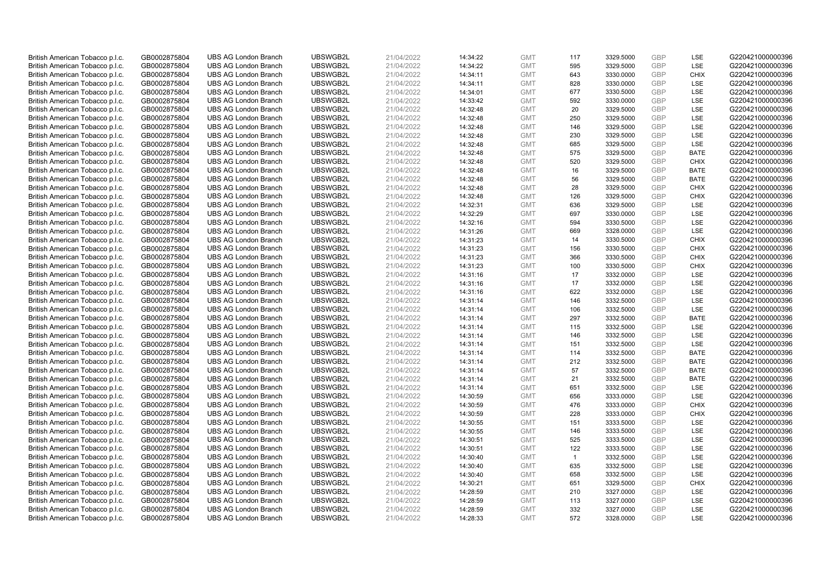| British American Tobacco p.l.c. | GB0002875804 | <b>UBS AG London Branch</b> | UBSWGB2L             | 21/04/2022 |          | <b>GMT</b> | 117          | 3329.5000              | <b>GBP</b> | LSE         | G220421000000396 |
|---------------------------------|--------------|-----------------------------|----------------------|------------|----------|------------|--------------|------------------------|------------|-------------|------------------|
|                                 |              |                             |                      |            | 14:34:22 |            | 595          |                        | <b>GBP</b> | LSE         |                  |
| British American Tobacco p.l.c. | GB0002875804 | <b>UBS AG London Branch</b> | UBSWGB2L             | 21/04/2022 | 14:34:22 | <b>GMT</b> |              | 3329.5000              |            |             | G220421000000396 |
| British American Tobacco p.l.c. | GB0002875804 | <b>UBS AG London Branch</b> | UBSWGB2L             | 21/04/2022 | 14:34:11 | <b>GMT</b> | 643          | 3330.0000              | <b>GBP</b> | <b>CHIX</b> | G220421000000396 |
| British American Tobacco p.l.c. | GB0002875804 | <b>UBS AG London Branch</b> | UBSWGB2L             | 21/04/2022 | 14:34:11 | <b>GMT</b> | 828          | 3330.0000              | <b>GBP</b> | LSE         | G220421000000396 |
| British American Tobacco p.l.c. | GB0002875804 | <b>UBS AG London Branch</b> | UBSWGB2L             | 21/04/2022 | 14:34:01 | <b>GMT</b> | 677          | 3330.5000              | <b>GBP</b> | LSE         | G220421000000396 |
| British American Tobacco p.l.c. | GB0002875804 | <b>UBS AG London Branch</b> | UBSWGB2L             | 21/04/2022 | 14:33:42 | <b>GMT</b> | 592          | 3330.0000              | <b>GBP</b> | LSE         | G220421000000396 |
| British American Tobacco p.l.c. | GB0002875804 | <b>UBS AG London Branch</b> | UBSWGB2L             | 21/04/2022 | 14:32:48 | <b>GMT</b> | 20           | 3329.5000              | <b>GBP</b> | LSE         | G220421000000396 |
| British American Tobacco p.l.c. | GB0002875804 | <b>UBS AG London Branch</b> | UBSWGB2L             | 21/04/2022 | 14:32:48 | <b>GMT</b> | 250          | 3329.5000              | <b>GBP</b> | LSE         | G220421000000396 |
| British American Tobacco p.l.c. | GB0002875804 | <b>UBS AG London Branch</b> | UBSWGB2L             | 21/04/2022 | 14:32:48 | <b>GMT</b> | 146          | 3329.5000              | <b>GBP</b> | LSE         | G220421000000396 |
| British American Tobacco p.l.c. | GB0002875804 | <b>UBS AG London Branch</b> | UBSWGB2L             | 21/04/2022 | 14:32:48 | <b>GMT</b> | 230          | 3329.5000              | <b>GBP</b> | LSE         | G220421000000396 |
| British American Tobacco p.l.c. | GB0002875804 | <b>UBS AG London Branch</b> | UBSWGB2L             | 21/04/2022 | 14:32:48 | <b>GMT</b> | 685          | 3329.5000              | <b>GBP</b> | LSE         | G220421000000396 |
| British American Tobacco p.l.c. | GB0002875804 | <b>UBS AG London Branch</b> | UBSWGB2L             | 21/04/2022 | 14:32:48 | <b>GMT</b> | 575          | 3329.5000              | <b>GBP</b> | <b>BATE</b> | G220421000000396 |
| British American Tobacco p.l.c. | GB0002875804 | <b>UBS AG London Branch</b> | UBSWGB2L             | 21/04/2022 | 14:32:48 | <b>GMT</b> | 520          | 3329.5000              | <b>GBP</b> | <b>CHIX</b> | G220421000000396 |
| British American Tobacco p.l.c. | GB0002875804 | <b>UBS AG London Branch</b> | UBSWGB2L             | 21/04/2022 | 14:32:48 | <b>GMT</b> | 16           | 3329.5000              | <b>GBP</b> | <b>BATE</b> | G220421000000396 |
| British American Tobacco p.l.c. | GB0002875804 | <b>UBS AG London Branch</b> | UBSWGB2L             | 21/04/2022 | 14:32:48 | <b>GMT</b> | 56           | 3329.5000              | <b>GBP</b> | <b>BATE</b> | G220421000000396 |
| British American Tobacco p.l.c. | GB0002875804 | <b>UBS AG London Branch</b> | UBSWGB2L             | 21/04/2022 | 14:32:48 | <b>GMT</b> | 28           | 3329.5000              | <b>GBP</b> | <b>CHIX</b> | G220421000000396 |
| British American Tobacco p.l.c. | GB0002875804 | <b>UBS AG London Branch</b> | UBSWGB2L             | 21/04/2022 | 14:32:48 | <b>GMT</b> | 126          | 3329.5000              | <b>GBP</b> | <b>CHIX</b> | G220421000000396 |
| British American Tobacco p.l.c. | GB0002875804 | <b>UBS AG London Branch</b> | UBSWGB2L             | 21/04/2022 | 14:32:31 | <b>GMT</b> | 636          | 3329.5000              | GBP        | LSE         | G220421000000396 |
| British American Tobacco p.l.c. | GB0002875804 | <b>UBS AG London Branch</b> | UBSWGB2L             | 21/04/2022 | 14:32:29 | <b>GMT</b> | 697          | 3330.0000              | <b>GBP</b> | <b>LSE</b>  | G220421000000396 |
| British American Tobacco p.l.c. | GB0002875804 | <b>UBS AG London Branch</b> | UBSWGB2L             | 21/04/2022 | 14:32:16 | <b>GMT</b> | 594          | 3330.5000              | <b>GBP</b> | LSE         | G220421000000396 |
| British American Tobacco p.l.c. | GB0002875804 | <b>UBS AG London Branch</b> | UBSWGB2L             | 21/04/2022 | 14:31:26 | <b>GMT</b> | 669          | 3328.0000              | <b>GBP</b> | LSE         | G220421000000396 |
| British American Tobacco p.l.c. | GB0002875804 | <b>UBS AG London Branch</b> | UBSWGB2L             | 21/04/2022 | 14:31:23 | <b>GMT</b> | 14           | 3330.5000              | <b>GBP</b> | <b>CHIX</b> | G220421000000396 |
| British American Tobacco p.l.c. | GB0002875804 | <b>UBS AG London Branch</b> | UBSWGB2L             | 21/04/2022 | 14:31:23 | <b>GMT</b> | 156          | 3330.5000              | <b>GBP</b> | <b>CHIX</b> | G220421000000396 |
| British American Tobacco p.l.c. | GB0002875804 | <b>UBS AG London Branch</b> | UBSWGB2L             | 21/04/2022 | 14:31:23 | <b>GMT</b> | 366          | 3330.5000              | <b>GBP</b> | <b>CHIX</b> | G220421000000396 |
| British American Tobacco p.l.c. | GB0002875804 | <b>UBS AG London Branch</b> | UBSWGB2L             | 21/04/2022 | 14:31:23 | <b>GMT</b> | 100          | 3330.5000              | <b>GBP</b> | <b>CHIX</b> | G220421000000396 |
| British American Tobacco p.l.c. | GB0002875804 | <b>UBS AG London Branch</b> | UBSWGB2L             | 21/04/2022 | 14:31:16 | <b>GMT</b> | 17           | 3332.0000              | <b>GBP</b> | LSE         | G220421000000396 |
| British American Tobacco p.l.c. | GB0002875804 | <b>UBS AG London Branch</b> | UBSWGB2L             | 21/04/2022 | 14:31:16 | <b>GMT</b> | 17           | 3332.0000              | <b>GBP</b> | LSE         | G220421000000396 |
| British American Tobacco p.l.c. | GB0002875804 | <b>UBS AG London Branch</b> | UBSWGB2L             | 21/04/2022 | 14:31:16 | <b>GMT</b> | 622          | 3332.0000              | <b>GBP</b> | LSE         | G220421000000396 |
| British American Tobacco p.l.c. | GB0002875804 | <b>UBS AG London Branch</b> | UBSWGB2L             | 21/04/2022 | 14:31:14 | <b>GMT</b> | 146          | 3332.5000              | <b>GBP</b> | LSE         | G220421000000396 |
| British American Tobacco p.l.c. | GB0002875804 | <b>UBS AG London Branch</b> | UBSWGB2L             | 21/04/2022 | 14:31:14 | <b>GMT</b> | 106          | 3332.5000              | <b>GBP</b> | LSE         | G220421000000396 |
| British American Tobacco p.l.c. | GB0002875804 | <b>UBS AG London Branch</b> | UBSWGB2L             | 21/04/2022 | 14:31:14 | <b>GMT</b> | 297          | 3332.5000              | <b>GBP</b> | <b>BATE</b> | G220421000000396 |
| British American Tobacco p.l.c. | GB0002875804 | <b>UBS AG London Branch</b> | UBSWGB2L             | 21/04/2022 | 14:31:14 | <b>GMT</b> | 115          | 3332.5000              | <b>GBP</b> | LSE         | G220421000000396 |
| British American Tobacco p.l.c. | GB0002875804 | <b>UBS AG London Branch</b> | UBSWGB2L             | 21/04/2022 | 14:31:14 | <b>GMT</b> | 146          | 3332.5000              | <b>GBP</b> | LSE         | G220421000000396 |
| British American Tobacco p.l.c. | GB0002875804 | <b>UBS AG London Branch</b> | UBSWGB2L             | 21/04/2022 | 14:31:14 | <b>GMT</b> | 151          | 3332.5000              | GBP        | LSE         | G220421000000396 |
| British American Tobacco p.l.c. | GB0002875804 | <b>UBS AG London Branch</b> | UBSWGB2L             | 21/04/2022 | 14:31:14 | <b>GMT</b> | 114          | 3332.5000              | <b>GBP</b> | <b>BATE</b> | G220421000000396 |
| British American Tobacco p.l.c. | GB0002875804 | <b>UBS AG London Branch</b> | UBSWGB2L             | 21/04/2022 | 14:31:14 | <b>GMT</b> | 212          | 3332.5000              | <b>GBP</b> | <b>BATE</b> | G220421000000396 |
| British American Tobacco p.l.c. | GB0002875804 | <b>UBS AG London Branch</b> | UBSWGB2L             | 21/04/2022 | 14:31:14 | <b>GMT</b> | 57           | 3332.5000              | <b>GBP</b> | <b>BATE</b> | G220421000000396 |
| British American Tobacco p.l.c. | GB0002875804 | <b>UBS AG London Branch</b> | UBSWGB2L             | 21/04/2022 | 14:31:14 | <b>GMT</b> | 21           | 3332.5000              | <b>GBP</b> | <b>BATE</b> | G220421000000396 |
| British American Tobacco p.l.c. | GB0002875804 | <b>UBS AG London Branch</b> | UBSWGB2L             | 21/04/2022 | 14:31:14 | <b>GMT</b> | 651          | 3332.5000              | <b>GBP</b> | LSE         | G220421000000396 |
| British American Tobacco p.l.c. | GB0002875804 | <b>UBS AG London Branch</b> | UBSWGB2L             | 21/04/2022 | 14:30:59 | <b>GMT</b> | 656          | 3333.0000              | <b>GBP</b> | LSE         | G220421000000396 |
| British American Tobacco p.l.c. | GB0002875804 | <b>UBS AG London Branch</b> | UBSWGB2L             | 21/04/2022 | 14:30:59 | <b>GMT</b> | 476          | 3333.0000              | <b>GBP</b> | <b>CHIX</b> | G220421000000396 |
| British American Tobacco p.l.c. | GB0002875804 | <b>UBS AG London Branch</b> | UBSWGB2L             | 21/04/2022 | 14:30:59 | <b>GMT</b> | 228          | 3333.0000              | <b>GBP</b> | <b>CHIX</b> | G220421000000396 |
| British American Tobacco p.l.c. | GB0002875804 | <b>UBS AG London Branch</b> | UBSWGB2L             | 21/04/2022 | 14:30:55 | <b>GMT</b> | 151          | 3333.5000              | <b>GBP</b> | LSE         | G220421000000396 |
| British American Tobacco p.l.c. | GB0002875804 | <b>UBS AG London Branch</b> | UBSWGB2L             | 21/04/2022 | 14:30:55 | <b>GMT</b> | 146          | 3333.5000              | GBP        | LSE         | G220421000000396 |
| British American Tobacco p.l.c. | GB0002875804 | <b>UBS AG London Branch</b> | UBSWGB2L             | 21/04/2022 | 14:30:51 | <b>GMT</b> | 525          | 3333.5000              | <b>GBP</b> | <b>LSE</b>  | G220421000000396 |
|                                 |              | <b>UBS AG London Branch</b> | UBSWGB2L             | 21/04/2022 |          | <b>GMT</b> | 122          |                        | <b>GBP</b> | LSE         | G220421000000396 |
| British American Tobacco p.l.c. | GB0002875804 |                             |                      |            | 14:30:51 | <b>GMT</b> | $\mathbf{1}$ | 3333.5000<br>3332.5000 | <b>GBP</b> | LSE         |                  |
| British American Tobacco p.l.c. | GB0002875804 | <b>UBS AG London Branch</b> | UBSWGB2L<br>UBSWGB2L | 21/04/2022 | 14:30:40 |            | 635          |                        | <b>GBP</b> | LSE         | G220421000000396 |
| British American Tobacco p.l.c. | GB0002875804 | <b>UBS AG London Branch</b> |                      | 21/04/2022 | 14:30:40 | <b>GMT</b> |              | 3332.5000              | <b>GBP</b> |             | G220421000000396 |
| British American Tobacco p.l.c. | GB0002875804 | <b>UBS AG London Branch</b> | UBSWGB2L             | 21/04/2022 | 14:30:40 | <b>GMT</b> | 658          | 3332.5000              |            | LSE         | G220421000000396 |
| British American Tobacco p.l.c. | GB0002875804 | <b>UBS AG London Branch</b> | UBSWGB2L             | 21/04/2022 | 14:30:21 | <b>GMT</b> | 651          | 3329.5000              | <b>GBP</b> | <b>CHIX</b> | G220421000000396 |
| British American Tobacco p.l.c. | GB0002875804 | <b>UBS AG London Branch</b> | UBSWGB2L             | 21/04/2022 | 14:28:59 | <b>GMT</b> | 210          | 3327.0000              | <b>GBP</b> | LSE         | G220421000000396 |
| British American Tobacco p.l.c. | GB0002875804 | <b>UBS AG London Branch</b> | UBSWGB2L             | 21/04/2022 | 14:28:59 | <b>GMT</b> | 113          | 3327.0000              | <b>GBP</b> | LSE         | G220421000000396 |
| British American Tobacco p.l.c. | GB0002875804 | <b>UBS AG London Branch</b> | UBSWGB2L             | 21/04/2022 | 14:28:59 | <b>GMT</b> | 332          | 3327.0000              | <b>GBP</b> | LSE         | G220421000000396 |
| British American Tobacco p.l.c. | GB0002875804 | <b>UBS AG London Branch</b> | UBSWGB2L             | 21/04/2022 | 14:28:33 | <b>GMT</b> | 572          | 3328.0000              | GBP        | <b>LSE</b>  | G220421000000396 |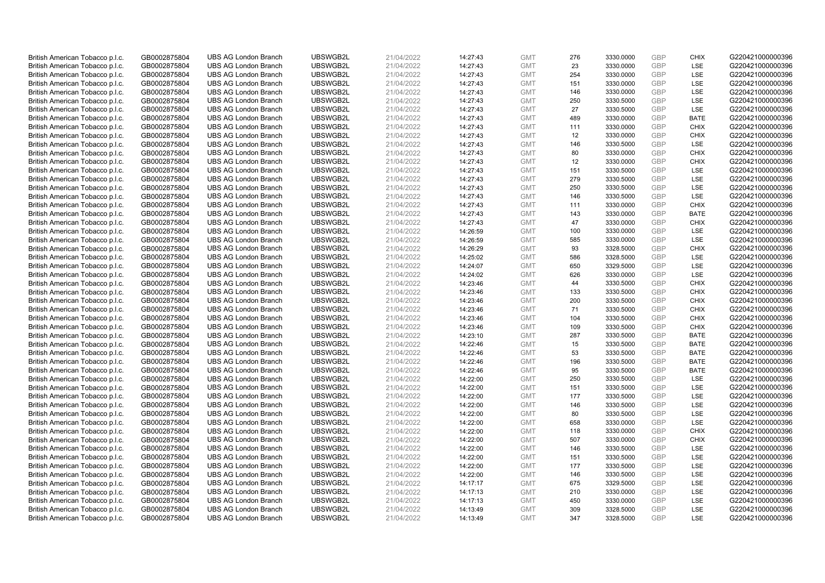| British American Tobacco p.l.c. | GB0002875804 | <b>UBS AG London Branch</b> | UBSWGB2L | 21/04/2022 | 14:27:43 | <b>GMT</b> | 276 | 3330.0000 | <b>GBP</b> | <b>CHIX</b> | G220421000000396 |
|---------------------------------|--------------|-----------------------------|----------|------------|----------|------------|-----|-----------|------------|-------------|------------------|
|                                 |              |                             |          |            |          |            | 23  |           | GBP        | <b>LSE</b>  |                  |
| British American Tobacco p.l.c. | GB0002875804 | <b>UBS AG London Branch</b> | UBSWGB2L | 21/04/2022 | 14:27:43 | <b>GMT</b> |     | 3330.0000 |            |             | G220421000000396 |
| British American Tobacco p.l.c. | GB0002875804 | <b>UBS AG London Branch</b> | UBSWGB2L | 21/04/2022 | 14:27:43 | <b>GMT</b> | 254 | 3330.0000 | <b>GBP</b> | LSE         | G220421000000396 |
| British American Tobacco p.l.c. | GB0002875804 | <b>UBS AG London Branch</b> | UBSWGB2L | 21/04/2022 | 14:27:43 | <b>GMT</b> | 151 | 3330.0000 | <b>GBP</b> | LSE         | G220421000000396 |
| British American Tobacco p.l.c. | GB0002875804 | <b>UBS AG London Branch</b> | UBSWGB2L | 21/04/2022 | 14:27:43 | <b>GMT</b> | 146 | 3330.0000 | <b>GBP</b> | LSE         | G220421000000396 |
| British American Tobacco p.l.c. | GB0002875804 | <b>UBS AG London Branch</b> | UBSWGB2L | 21/04/2022 | 14:27:43 | <b>GMT</b> | 250 | 3330.5000 | <b>GBP</b> | LSE         | G220421000000396 |
| British American Tobacco p.l.c. | GB0002875804 | <b>UBS AG London Branch</b> | UBSWGB2L | 21/04/2022 | 14:27:43 | <b>GMT</b> | 27  | 3330.5000 | <b>GBP</b> | LSE         | G220421000000396 |
| British American Tobacco p.l.c. | GB0002875804 | <b>UBS AG London Branch</b> | UBSWGB2L | 21/04/2022 | 14:27:43 | <b>GMT</b> | 489 | 3330.0000 | <b>GBP</b> | <b>BATE</b> | G220421000000396 |
| British American Tobacco p.l.c. | GB0002875804 | <b>UBS AG London Branch</b> | UBSWGB2L | 21/04/2022 | 14:27:43 | <b>GMT</b> | 111 | 3330.0000 | <b>GBP</b> | <b>CHIX</b> | G220421000000396 |
| British American Tobacco p.l.c. | GB0002875804 | <b>UBS AG London Branch</b> | UBSWGB2L | 21/04/2022 | 14:27:43 | <b>GMT</b> | 12  | 3330.0000 | <b>GBP</b> | <b>CHIX</b> | G220421000000396 |
| British American Tobacco p.l.c. | GB0002875804 | <b>UBS AG London Branch</b> | UBSWGB2L | 21/04/2022 | 14:27:43 | <b>GMT</b> | 146 | 3330.5000 | <b>GBP</b> | <b>LSE</b>  | G220421000000396 |
| British American Tobacco p.l.c. | GB0002875804 | <b>UBS AG London Branch</b> | UBSWGB2L | 21/04/2022 | 14:27:43 | <b>GMT</b> | 80  | 3330.0000 | <b>GBP</b> | <b>CHIX</b> | G220421000000396 |
| British American Tobacco p.l.c. | GB0002875804 | <b>UBS AG London Branch</b> | UBSWGB2L | 21/04/2022 | 14:27:43 | <b>GMT</b> | 12  | 3330.0000 | <b>GBP</b> | <b>CHIX</b> | G220421000000396 |
| British American Tobacco p.l.c. | GB0002875804 | <b>UBS AG London Branch</b> | UBSWGB2L | 21/04/2022 | 14:27:43 | <b>GMT</b> | 151 | 3330.5000 | <b>GBP</b> | LSE         | G220421000000396 |
| British American Tobacco p.l.c. | GB0002875804 | <b>UBS AG London Branch</b> | UBSWGB2L | 21/04/2022 | 14:27:43 | <b>GMT</b> | 279 | 3330.5000 | <b>GBP</b> | <b>LSE</b>  | G220421000000396 |
| British American Tobacco p.l.c. | GB0002875804 | <b>UBS AG London Branch</b> | UBSWGB2L | 21/04/2022 | 14:27:43 | <b>GMT</b> | 250 | 3330.5000 | <b>GBP</b> | LSE         | G220421000000396 |
| British American Tobacco p.l.c. | GB0002875804 | <b>UBS AG London Branch</b> | UBSWGB2L | 21/04/2022 | 14:27:43 | <b>GMT</b> | 146 | 3330.5000 | <b>GBP</b> | LSE         | G220421000000396 |
| British American Tobacco p.l.c. | GB0002875804 | <b>UBS AG London Branch</b> | UBSWGB2L | 21/04/2022 | 14:27:43 | <b>GMT</b> | 111 | 3330.0000 | <b>GBP</b> | <b>CHIX</b> | G220421000000396 |
|                                 |              | <b>UBS AG London Branch</b> |          |            |          |            | 143 |           |            | <b>BATE</b> |                  |
| British American Tobacco p.l.c. | GB0002875804 |                             | UBSWGB2L | 21/04/2022 | 14:27:43 | <b>GMT</b> |     | 3330.0000 | <b>GBP</b> |             | G220421000000396 |
| British American Tobacco p.l.c. | GB0002875804 | <b>UBS AG London Branch</b> | UBSWGB2L | 21/04/2022 | 14:27:43 | <b>GMT</b> | 47  | 3330.0000 | <b>GBP</b> | <b>CHIX</b> | G220421000000396 |
| British American Tobacco p.l.c. | GB0002875804 | <b>UBS AG London Branch</b> | UBSWGB2L | 21/04/2022 | 14:26:59 | <b>GMT</b> | 100 | 3330.0000 | <b>GBP</b> | LSE         | G220421000000396 |
| British American Tobacco p.l.c. | GB0002875804 | <b>UBS AG London Branch</b> | UBSWGB2L | 21/04/2022 | 14:26:59 | <b>GMT</b> | 585 | 3330.0000 | <b>GBP</b> | LSE         | G220421000000396 |
| British American Tobacco p.l.c. | GB0002875804 | <b>UBS AG London Branch</b> | UBSWGB2L | 21/04/2022 | 14:26:29 | <b>GMT</b> | 93  | 3328.5000 | <b>GBP</b> | <b>CHIX</b> | G220421000000396 |
| British American Tobacco p.l.c. | GB0002875804 | <b>UBS AG London Branch</b> | UBSWGB2L | 21/04/2022 | 14:25:02 | <b>GMT</b> | 586 | 3328.5000 | <b>GBP</b> | <b>LSE</b>  | G220421000000396 |
| British American Tobacco p.l.c. | GB0002875804 | <b>UBS AG London Branch</b> | UBSWGB2L | 21/04/2022 | 14:24:07 | <b>GMT</b> | 650 | 3329.5000 | <b>GBP</b> | LSE         | G220421000000396 |
| British American Tobacco p.l.c. | GB0002875804 | <b>UBS AG London Branch</b> | UBSWGB2L | 21/04/2022 | 14:24:02 | <b>GMT</b> | 626 | 3330.0000 | <b>GBP</b> | LSE         | G220421000000396 |
| British American Tobacco p.l.c. | GB0002875804 | <b>UBS AG London Branch</b> | UBSWGB2L | 21/04/2022 | 14:23:46 | <b>GMT</b> | 44  | 3330.5000 | <b>GBP</b> | <b>CHIX</b> | G220421000000396 |
| British American Tobacco p.l.c. | GB0002875804 | <b>UBS AG London Branch</b> | UBSWGB2L | 21/04/2022 | 14:23:46 | <b>GMT</b> | 133 | 3330.5000 | <b>GBP</b> | <b>CHIX</b> | G220421000000396 |
| British American Tobacco p.l.c. | GB0002875804 | <b>UBS AG London Branch</b> | UBSWGB2L | 21/04/2022 | 14:23:46 | <b>GMT</b> | 200 | 3330.5000 | <b>GBP</b> | <b>CHIX</b> | G220421000000396 |
| British American Tobacco p.l.c. | GB0002875804 | <b>UBS AG London Branch</b> | UBSWGB2L | 21/04/2022 | 14:23:46 | <b>GMT</b> | 71  | 3330.5000 | <b>GBP</b> | <b>CHIX</b> | G220421000000396 |
| British American Tobacco p.l.c. | GB0002875804 | <b>UBS AG London Branch</b> | UBSWGB2L | 21/04/2022 | 14:23:46 | <b>GMT</b> | 104 | 3330.5000 | <b>GBP</b> | <b>CHIX</b> | G220421000000396 |
| British American Tobacco p.l.c. | GB0002875804 | <b>UBS AG London Branch</b> | UBSWGB2L | 21/04/2022 | 14:23:46 | <b>GMT</b> | 109 | 3330.5000 | <b>GBP</b> | <b>CHIX</b> | G220421000000396 |
| British American Tobacco p.l.c. | GB0002875804 | <b>UBS AG London Branch</b> | UBSWGB2L | 21/04/2022 | 14:23:10 | <b>GMT</b> | 287 | 3330.5000 | <b>GBP</b> | <b>BATE</b> | G220421000000396 |
| British American Tobacco p.l.c. | GB0002875804 | <b>UBS AG London Branch</b> | UBSWGB2L | 21/04/2022 | 14:22:46 | <b>GMT</b> | 15  | 3330.5000 | <b>GBP</b> | <b>BATE</b> | G220421000000396 |
| British American Tobacco p.l.c. | GB0002875804 | <b>UBS AG London Branch</b> | UBSWGB2L | 21/04/2022 | 14:22:46 | <b>GMT</b> | 53  | 3330.5000 | <b>GBP</b> | <b>BATE</b> | G220421000000396 |
| British American Tobacco p.l.c. | GB0002875804 | <b>UBS AG London Branch</b> | UBSWGB2L | 21/04/2022 | 14:22:46 | <b>GMT</b> | 196 | 3330.5000 | <b>GBP</b> | <b>BATE</b> | G220421000000396 |
| British American Tobacco p.l.c. | GB0002875804 | <b>UBS AG London Branch</b> | UBSWGB2L | 21/04/2022 | 14:22:46 | <b>GMT</b> | 95  | 3330.5000 | <b>GBP</b> | <b>BATE</b> | G220421000000396 |
| British American Tobacco p.l.c. | GB0002875804 | <b>UBS AG London Branch</b> | UBSWGB2L | 21/04/2022 | 14:22:00 | <b>GMT</b> | 250 | 3330.5000 | <b>GBP</b> | LSE         | G220421000000396 |
| British American Tobacco p.l.c. | GB0002875804 | <b>UBS AG London Branch</b> | UBSWGB2L | 21/04/2022 | 14:22:00 | <b>GMT</b> | 151 | 3330.5000 | <b>GBP</b> | LSE         | G220421000000396 |
| British American Tobacco p.l.c. | GB0002875804 | <b>UBS AG London Branch</b> | UBSWGB2L | 21/04/2022 | 14:22:00 | <b>GMT</b> | 177 | 3330.5000 | <b>GBP</b> | LSE         | G220421000000396 |
| British American Tobacco p.l.c. | GB0002875804 | <b>UBS AG London Branch</b> | UBSWGB2L | 21/04/2022 | 14:22:00 | <b>GMT</b> | 146 | 3330.5000 | <b>GBP</b> | LSE         | G220421000000396 |
| British American Tobacco p.l.c. | GB0002875804 | <b>UBS AG London Branch</b> | UBSWGB2L | 21/04/2022 | 14:22:00 | <b>GMT</b> | 80  | 3330.5000 | <b>GBP</b> | LSE         | G220421000000396 |
| British American Tobacco p.l.c. | GB0002875804 | <b>UBS AG London Branch</b> | UBSWGB2L | 21/04/2022 | 14:22:00 | <b>GMT</b> | 658 | 3330.0000 | <b>GBP</b> | LSE         | G220421000000396 |
| British American Tobacco p.l.c. | GB0002875804 | <b>UBS AG London Branch</b> | UBSWGB2L | 21/04/2022 | 14:22:00 | <b>GMT</b> | 118 | 3330.0000 | <b>GBP</b> | <b>CHIX</b> | G220421000000396 |
| British American Tobacco p.l.c. | GB0002875804 | <b>UBS AG London Branch</b> | UBSWGB2L | 21/04/2022 | 14:22:00 | <b>GMT</b> | 507 | 3330.0000 | <b>GBP</b> | <b>CHIX</b> | G220421000000396 |
| British American Tobacco p.l.c. | GB0002875804 | <b>UBS AG London Branch</b> | UBSWGB2L | 21/04/2022 | 14:22:00 | <b>GMT</b> | 146 | 3330.5000 | <b>GBP</b> | LSE         | G220421000000396 |
| British American Tobacco p.l.c. | GB0002875804 | <b>UBS AG London Branch</b> | UBSWGB2L | 21/04/2022 | 14:22:00 | <b>GMT</b> | 151 | 3330.5000 | <b>GBP</b> | LSE         | G220421000000396 |
| British American Tobacco p.l.c. | GB0002875804 | <b>UBS AG London Branch</b> | UBSWGB2L | 21/04/2022 | 14:22:00 | <b>GMT</b> | 177 | 3330.5000 | <b>GBP</b> | LSE         | G220421000000396 |
|                                 |              |                             |          |            |          | <b>GMT</b> |     |           | <b>GBP</b> |             |                  |
| British American Tobacco p.l.c. | GB0002875804 | <b>UBS AG London Branch</b> | UBSWGB2L | 21/04/2022 | 14:22:00 |            | 146 | 3330.5000 | <b>GBP</b> | LSE         | G220421000000396 |
| British American Tobacco p.l.c. | GB0002875804 | <b>UBS AG London Branch</b> | UBSWGB2L | 21/04/2022 | 14:17:17 | <b>GMT</b> | 675 | 3329.5000 |            | LSE         | G220421000000396 |
| British American Tobacco p.l.c. | GB0002875804 | <b>UBS AG London Branch</b> | UBSWGB2L | 21/04/2022 | 14:17:13 | <b>GMT</b> | 210 | 3330.0000 | <b>GBP</b> | LSE         | G220421000000396 |
| British American Tobacco p.l.c. | GB0002875804 | <b>UBS AG London Branch</b> | UBSWGB2L | 21/04/2022 | 14:17:13 | <b>GMT</b> | 450 | 3330.0000 | <b>GBP</b> | LSE         | G220421000000396 |
| British American Tobacco p.l.c. | GB0002875804 | <b>UBS AG London Branch</b> | UBSWGB2L | 21/04/2022 | 14:13:49 | <b>GMT</b> | 309 | 3328.5000 | <b>GBP</b> | LSE         | G220421000000396 |
| British American Tobacco p.l.c. | GB0002875804 | <b>UBS AG London Branch</b> | UBSWGB2L | 21/04/2022 | 14:13:49 | <b>GMT</b> | 347 | 3328.5000 | GBP        | LSE         | G220421000000396 |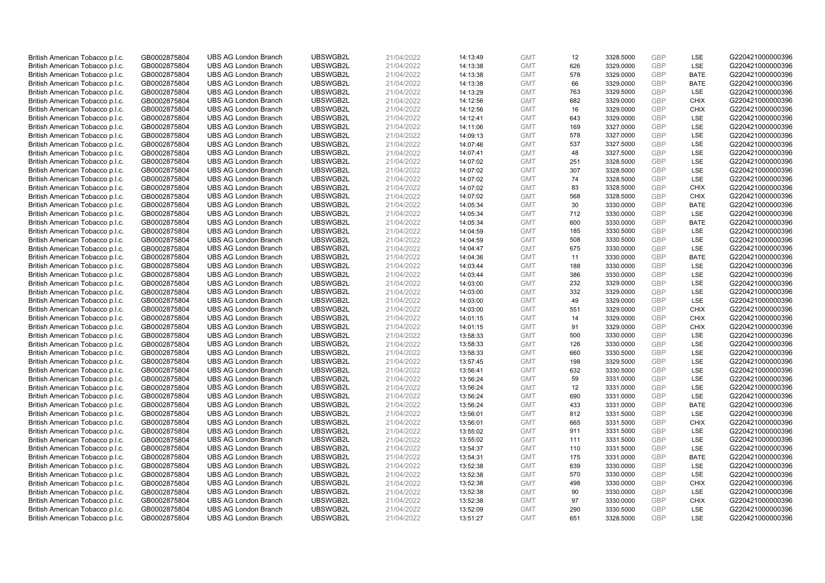| British American Tobacco p.l.c. | GB0002875804 | <b>UBS AG London Branch</b> | UBSWGB2L | 21/04/2022 | 14:13:49 | <b>GMT</b> | 12  | 3328.5000 | <b>GBP</b> | LSE         | G220421000000396 |
|---------------------------------|--------------|-----------------------------|----------|------------|----------|------------|-----|-----------|------------|-------------|------------------|
| British American Tobacco p.l.c. | GB0002875804 | <b>UBS AG London Branch</b> | UBSWGB2L | 21/04/2022 | 14:13:38 | <b>GMT</b> | 626 | 3329.0000 | <b>GBP</b> | LSE         | G220421000000396 |
| British American Tobacco p.l.c. | GB0002875804 | <b>UBS AG London Branch</b> | UBSWGB2L | 21/04/2022 | 14:13:38 | <b>GMT</b> | 578 | 3329.0000 | <b>GBP</b> | <b>BATE</b> | G220421000000396 |
| British American Tobacco p.l.c. | GB0002875804 | <b>UBS AG London Branch</b> | UBSWGB2L | 21/04/2022 | 14:13:38 | <b>GMT</b> | 66  | 3329.0000 | <b>GBP</b> | <b>BATE</b> | G220421000000396 |
| British American Tobacco p.l.c. | GB0002875804 | <b>UBS AG London Branch</b> | UBSWGB2L | 21/04/2022 | 14:13:29 | <b>GMT</b> | 763 | 3329.5000 | <b>GBP</b> | LSE         | G220421000000396 |
| British American Tobacco p.l.c. | GB0002875804 | <b>UBS AG London Branch</b> | UBSWGB2L | 21/04/2022 | 14:12:56 | <b>GMT</b> | 682 | 3329.0000 | <b>GBP</b> | <b>CHIX</b> | G220421000000396 |
| British American Tobacco p.l.c. | GB0002875804 | <b>UBS AG London Branch</b> | UBSWGB2L | 21/04/2022 | 14:12:56 | <b>GMT</b> | 16  | 3329.0000 | <b>GBP</b> | <b>CHIX</b> | G220421000000396 |
| British American Tobacco p.l.c. | GB0002875804 | <b>UBS AG London Branch</b> | UBSWGB2L | 21/04/2022 | 14:12:41 | <b>GMT</b> | 643 | 3329.0000 | <b>GBP</b> | LSE         | G220421000000396 |
| British American Tobacco p.l.c. | GB0002875804 | <b>UBS AG London Branch</b> | UBSWGB2L | 21/04/2022 | 14:11:06 | <b>GMT</b> | 169 | 3327.0000 | <b>GBP</b> | LSE         | G220421000000396 |
| British American Tobacco p.l.c. | GB0002875804 | <b>UBS AG London Branch</b> | UBSWGB2L | 21/04/2022 | 14:09:13 | <b>GMT</b> | 578 | 3327.0000 | <b>GBP</b> | LSE         | G220421000000396 |
| British American Tobacco p.l.c. | GB0002875804 | <b>UBS AG London Branch</b> | UBSWGB2L | 21/04/2022 | 14:07:46 | <b>GMT</b> | 537 | 3327.5000 | <b>GBP</b> | LSE         | G220421000000396 |
| British American Tobacco p.l.c. | GB0002875804 | <b>UBS AG London Branch</b> | UBSWGB2L | 21/04/2022 | 14:07:41 | <b>GMT</b> | 48  | 3327.5000 | <b>GBP</b> | LSE         | G220421000000396 |
| British American Tobacco p.l.c. | GB0002875804 | <b>UBS AG London Branch</b> | UBSWGB2L | 21/04/2022 | 14:07:02 | <b>GMT</b> | 251 | 3328.5000 | <b>GBP</b> | LSE         | G220421000000396 |
| British American Tobacco p.l.c. | GB0002875804 | <b>UBS AG London Branch</b> | UBSWGB2L | 21/04/2022 | 14:07:02 | <b>GMT</b> | 307 | 3328.5000 | <b>GBP</b> | LSE         | G220421000000396 |
| British American Tobacco p.l.c. | GB0002875804 | <b>UBS AG London Branch</b> | UBSWGB2L | 21/04/2022 | 14:07:02 | <b>GMT</b> | 74  | 3328.5000 | <b>GBP</b> | LSE         | G220421000000396 |
| British American Tobacco p.l.c. | GB0002875804 | <b>UBS AG London Branch</b> | UBSWGB2L | 21/04/2022 | 14:07:02 | <b>GMT</b> | 83  | 3328.5000 | <b>GBP</b> | <b>CHIX</b> | G220421000000396 |
| British American Tobacco p.l.c. | GB0002875804 | <b>UBS AG London Branch</b> | UBSWGB2L | 21/04/2022 | 14:07:02 | <b>GMT</b> | 568 | 3328.5000 | <b>GBP</b> | <b>CHIX</b> | G220421000000396 |
| British American Tobacco p.l.c. | GB0002875804 | <b>UBS AG London Branch</b> | UBSWGB2L | 21/04/2022 | 14:05:34 | <b>GMT</b> | 30  | 3330.0000 | <b>GBP</b> | <b>BATE</b> | G220421000000396 |
| British American Tobacco p.l.c. | GB0002875804 | <b>UBS AG London Branch</b> | UBSWGB2L | 21/04/2022 | 14:05:34 | <b>GMT</b> | 712 | 3330.0000 | <b>GBP</b> | <b>LSE</b>  | G220421000000396 |
| British American Tobacco p.l.c. | GB0002875804 | <b>UBS AG London Branch</b> | UBSWGB2L | 21/04/2022 | 14:05:34 | <b>GMT</b> | 600 | 3330.0000 | <b>GBP</b> | <b>BATE</b> | G220421000000396 |
| British American Tobacco p.l.c. | GB0002875804 | <b>UBS AG London Branch</b> | UBSWGB2L | 21/04/2022 | 14:04:59 | <b>GMT</b> | 185 | 3330.5000 | <b>GBP</b> | LSE         | G220421000000396 |
| British American Tobacco p.l.c. | GB0002875804 | <b>UBS AG London Branch</b> | UBSWGB2L | 21/04/2022 | 14:04:59 | <b>GMT</b> | 508 | 3330.5000 | <b>GBP</b> | LSE         | G220421000000396 |
| British American Tobacco p.l.c. | GB0002875804 | <b>UBS AG London Branch</b> | UBSWGB2L | 21/04/2022 | 14:04:47 | <b>GMT</b> | 675 | 3330.0000 | <b>GBP</b> | LSE         | G220421000000396 |
| British American Tobacco p.l.c. | GB0002875804 | <b>UBS AG London Branch</b> | UBSWGB2L | 21/04/2022 | 14:04:36 | <b>GMT</b> | 11  | 3330.0000 | <b>GBP</b> | <b>BATE</b> | G220421000000396 |
| British American Tobacco p.l.c. | GB0002875804 | <b>UBS AG London Branch</b> | UBSWGB2L | 21/04/2022 | 14:03:44 | <b>GMT</b> | 188 | 3330.0000 | <b>GBP</b> | LSE         | G220421000000396 |
| British American Tobacco p.l.c. | GB0002875804 | <b>UBS AG London Branch</b> | UBSWGB2L | 21/04/2022 | 14:03:44 | <b>GMT</b> | 386 | 3330.0000 | <b>GBP</b> | LSE         | G220421000000396 |
| British American Tobacco p.l.c. | GB0002875804 | <b>UBS AG London Branch</b> | UBSWGB2L | 21/04/2022 | 14:03:00 | <b>GMT</b> | 232 | 3329.0000 | <b>GBP</b> | LSE         | G220421000000396 |
| British American Tobacco p.l.c. | GB0002875804 | <b>UBS AG London Branch</b> | UBSWGB2L | 21/04/2022 | 14:03:00 | <b>GMT</b> | 332 | 3329.0000 | <b>GBP</b> | LSE         | G220421000000396 |
| British American Tobacco p.l.c. | GB0002875804 | <b>UBS AG London Branch</b> | UBSWGB2L | 21/04/2022 | 14:03:00 | <b>GMT</b> | 49  | 3329.0000 | <b>GBP</b> | LSE         | G220421000000396 |
| British American Tobacco p.l.c. | GB0002875804 | <b>UBS AG London Branch</b> | UBSWGB2L | 21/04/2022 | 14:03:00 | <b>GMT</b> | 551 | 3329.0000 | <b>GBP</b> | <b>CHIX</b> | G220421000000396 |
| British American Tobacco p.l.c. | GB0002875804 | <b>UBS AG London Branch</b> | UBSWGB2L | 21/04/2022 | 14:01:15 | <b>GMT</b> | 14  | 3329.0000 | <b>GBP</b> | <b>CHIX</b> | G220421000000396 |
| British American Tobacco p.l.c. | GB0002875804 | <b>UBS AG London Branch</b> | UBSWGB2L | 21/04/2022 | 14:01:15 | <b>GMT</b> | 91  | 3329.0000 | <b>GBP</b> | <b>CHIX</b> | G220421000000396 |
| British American Tobacco p.l.c. | GB0002875804 | <b>UBS AG London Branch</b> | UBSWGB2L | 21/04/2022 | 13:58:33 | <b>GMT</b> | 500 | 3330.0000 | <b>GBP</b> | LSE         | G220421000000396 |
| British American Tobacco p.l.c. | GB0002875804 | <b>UBS AG London Branch</b> | UBSWGB2L | 21/04/2022 | 13:58:33 | <b>GMT</b> | 126 | 3330.0000 | <b>GBP</b> | LSE         | G220421000000396 |
| British American Tobacco p.l.c. | GB0002875804 | <b>UBS AG London Branch</b> | UBSWGB2L | 21/04/2022 | 13:58:33 | <b>GMT</b> | 660 | 3330.5000 | <b>GBP</b> | LSE         | G220421000000396 |
| British American Tobacco p.l.c. | GB0002875804 | <b>UBS AG London Branch</b> | UBSWGB2L | 21/04/2022 | 13:57:45 | <b>GMT</b> | 198 | 3329.5000 | <b>GBP</b> | LSE         | G220421000000396 |
| British American Tobacco p.l.c. | GB0002875804 | <b>UBS AG London Branch</b> | UBSWGB2L | 21/04/2022 | 13:56:41 | <b>GMT</b> | 632 | 3330.5000 | <b>GBP</b> | LSE         | G220421000000396 |
| British American Tobacco p.l.c. | GB0002875804 | <b>UBS AG London Branch</b> | UBSWGB2L | 21/04/2022 | 13:56:24 | <b>GMT</b> | 59  | 3331.0000 | <b>GBP</b> | LSE         | G220421000000396 |
| British American Tobacco p.l.c. | GB0002875804 | <b>UBS AG London Branch</b> | UBSWGB2L | 21/04/2022 | 13:56:24 | <b>GMT</b> | 12  | 3331.0000 | <b>GBP</b> | LSE         | G220421000000396 |
| British American Tobacco p.l.c. | GB0002875804 | <b>UBS AG London Branch</b> | UBSWGB2L | 21/04/2022 | 13:56:24 | <b>GMT</b> | 690 | 3331.0000 | <b>GBP</b> | LSE         | G220421000000396 |
| British American Tobacco p.l.c. | GB0002875804 | <b>UBS AG London Branch</b> | UBSWGB2L | 21/04/2022 | 13:56:24 | <b>GMT</b> | 433 | 3331.0000 | <b>GBP</b> | <b>BATE</b> | G220421000000396 |
| British American Tobacco p.l.c. | GB0002875804 | <b>UBS AG London Branch</b> | UBSWGB2L | 21/04/2022 | 13:56:01 | <b>GMT</b> | 812 | 3331.5000 | <b>GBP</b> | LSE         | G220421000000396 |
| British American Tobacco p.l.c. | GB0002875804 | <b>UBS AG London Branch</b> | UBSWGB2L | 21/04/2022 | 13:56:01 | <b>GMT</b> | 665 | 3331.5000 | <b>GBP</b> | <b>CHIX</b> | G220421000000396 |
| British American Tobacco p.l.c. | GB0002875804 | <b>UBS AG London Branch</b> | UBSWGB2L | 21/04/2022 | 13:55:02 | <b>GMT</b> | 911 | 3331.5000 | GBP        | LSE         | G220421000000396 |
| British American Tobacco p.l.c. | GB0002875804 | <b>UBS AG London Branch</b> | UBSWGB2L | 21/04/2022 | 13:55:02 | <b>GMT</b> | 111 | 3331.5000 | <b>GBP</b> | LSE         | G220421000000396 |
| British American Tobacco p.l.c. | GB0002875804 | <b>UBS AG London Branch</b> | UBSWGB2L | 21/04/2022 | 13:54:37 | <b>GMT</b> | 110 | 3331.5000 | <b>GBP</b> | LSE         | G220421000000396 |
| British American Tobacco p.l.c. | GB0002875804 | <b>UBS AG London Branch</b> | UBSWGB2L | 21/04/2022 | 13:54:31 | <b>GMT</b> | 175 | 3331.0000 | <b>GBP</b> | <b>BATE</b> | G220421000000396 |
| British American Tobacco p.l.c. | GB0002875804 | <b>UBS AG London Branch</b> | UBSWGB2L | 21/04/2022 | 13:52:38 | <b>GMT</b> | 639 | 3330.0000 | <b>GBP</b> | LSE         | G220421000000396 |
| British American Tobacco p.l.c. | GB0002875804 | <b>UBS AG London Branch</b> | UBSWGB2L | 21/04/2022 | 13:52:38 | <b>GMT</b> | 570 | 3330.0000 | <b>GBP</b> | LSE         | G220421000000396 |
| British American Tobacco p.l.c. | GB0002875804 | <b>UBS AG London Branch</b> | UBSWGB2L | 21/04/2022 | 13:52:38 | <b>GMT</b> | 498 | 3330.0000 | <b>GBP</b> | <b>CHIX</b> | G220421000000396 |
| British American Tobacco p.l.c. | GB0002875804 | <b>UBS AG London Branch</b> | UBSWGB2L | 21/04/2022 | 13:52:38 | <b>GMT</b> | 90  | 3330.0000 | <b>GBP</b> | LSE         | G220421000000396 |
| British American Tobacco p.l.c. | GB0002875804 | <b>UBS AG London Branch</b> | UBSWGB2L | 21/04/2022 | 13:52:38 | <b>GMT</b> | 97  | 3330.0000 | <b>GBP</b> | <b>CHIX</b> | G220421000000396 |
| British American Tobacco p.l.c. | GB0002875804 | <b>UBS AG London Branch</b> | UBSWGB2L | 21/04/2022 | 13:52:09 | <b>GMT</b> | 290 | 3330.5000 | <b>GBP</b> | LSE         | G220421000000396 |
| British American Tobacco p.l.c. | GB0002875804 | <b>UBS AG London Branch</b> | UBSWGB2L | 21/04/2022 | 13:51:27 | <b>GMT</b> | 651 | 3328.5000 | GBP        | LSE         | G220421000000396 |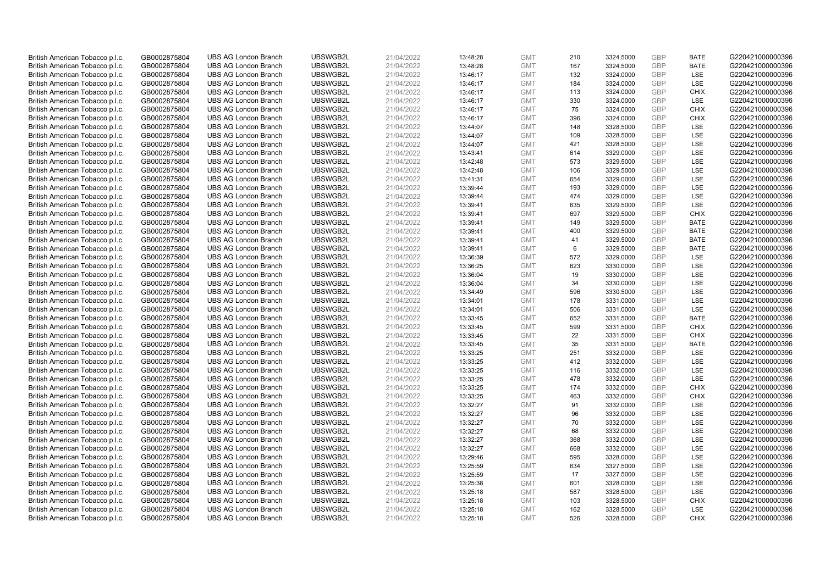| British American Tobacco p.l.c. | GB0002875804 | <b>UBS AG London Branch</b> | UBSWGB2L | 21/04/2022 | 13:48:28 | <b>GMT</b> | 210 | 3324.5000 | <b>GBP</b> | <b>BATE</b> | G220421000000396 |
|---------------------------------|--------------|-----------------------------|----------|------------|----------|------------|-----|-----------|------------|-------------|------------------|
|                                 |              |                             |          |            |          |            |     |           | <b>GBP</b> | <b>BATE</b> |                  |
| British American Tobacco p.l.c. | GB0002875804 | <b>UBS AG London Branch</b> | UBSWGB2L | 21/04/2022 | 13:48:28 | <b>GMT</b> | 167 | 3324.5000 |            |             | G220421000000396 |
| British American Tobacco p.l.c. | GB0002875804 | <b>UBS AG London Branch</b> | UBSWGB2L | 21/04/2022 | 13:46:17 | <b>GMT</b> | 132 | 3324.0000 | <b>GBP</b> | LSE         | G220421000000396 |
| British American Tobacco p.l.c. | GB0002875804 | <b>UBS AG London Branch</b> | UBSWGB2L | 21/04/2022 | 13:46:17 | <b>GMT</b> | 184 | 3324.0000 | <b>GBP</b> | LSE         | G220421000000396 |
| British American Tobacco p.l.c. | GB0002875804 | <b>UBS AG London Branch</b> | UBSWGB2L | 21/04/2022 | 13:46:17 | <b>GMT</b> | 113 | 3324.0000 | <b>GBP</b> | <b>CHIX</b> | G220421000000396 |
| British American Tobacco p.l.c. | GB0002875804 | <b>UBS AG London Branch</b> | UBSWGB2L | 21/04/2022 | 13:46:17 | <b>GMT</b> | 330 | 3324.0000 | <b>GBP</b> | LSE         | G220421000000396 |
| British American Tobacco p.l.c. | GB0002875804 | <b>UBS AG London Branch</b> | UBSWGB2L | 21/04/2022 | 13:46:17 | <b>GMT</b> | 75  | 3324.0000 | <b>GBP</b> | <b>CHIX</b> | G220421000000396 |
| British American Tobacco p.l.c. | GB0002875804 | <b>UBS AG London Branch</b> | UBSWGB2L | 21/04/2022 | 13:46:17 | <b>GMT</b> | 396 | 3324.0000 | <b>GBP</b> | <b>CHIX</b> | G220421000000396 |
| British American Tobacco p.l.c. | GB0002875804 | <b>UBS AG London Branch</b> | UBSWGB2L | 21/04/2022 | 13:44:07 | <b>GMT</b> | 148 | 3328.5000 | <b>GBP</b> | LSE         | G220421000000396 |
| British American Tobacco p.l.c. | GB0002875804 | <b>UBS AG London Branch</b> | UBSWGB2L | 21/04/2022 | 13:44:07 | <b>GMT</b> | 109 | 3328.5000 | <b>GBP</b> | LSE         | G220421000000396 |
| British American Tobacco p.l.c. | GB0002875804 | <b>UBS AG London Branch</b> | UBSWGB2L | 21/04/2022 | 13:44:07 | <b>GMT</b> | 421 | 3328.5000 | <b>GBP</b> | LSE         | G220421000000396 |
| British American Tobacco p.l.c. | GB0002875804 | <b>UBS AG London Branch</b> | UBSWGB2L | 21/04/2022 | 13:43:41 | <b>GMT</b> | 614 | 3329.0000 | <b>GBP</b> | LSE         | G220421000000396 |
| British American Tobacco p.l.c. | GB0002875804 | <b>UBS AG London Branch</b> | UBSWGB2L | 21/04/2022 | 13:42:48 | <b>GMT</b> | 573 | 3329.5000 | <b>GBP</b> | <b>LSE</b>  | G220421000000396 |
| British American Tobacco p.l.c. | GB0002875804 | <b>UBS AG London Branch</b> | UBSWGB2L | 21/04/2022 | 13:42:48 | <b>GMT</b> | 106 | 3329.5000 | <b>GBP</b> | LSE         | G220421000000396 |
| British American Tobacco p.l.c. | GB0002875804 | <b>UBS AG London Branch</b> | UBSWGB2L | 21/04/2022 | 13:41:31 | <b>GMT</b> | 654 | 3329.0000 | <b>GBP</b> | <b>LSE</b>  | G220421000000396 |
| British American Tobacco p.l.c. | GB0002875804 | <b>UBS AG London Branch</b> | UBSWGB2L | 21/04/2022 | 13:39:44 | <b>GMT</b> | 193 | 3329.0000 | <b>GBP</b> | LSE         | G220421000000396 |
| British American Tobacco p.l.c. | GB0002875804 | <b>UBS AG London Branch</b> | UBSWGB2L | 21/04/2022 | 13:39:44 | <b>GMT</b> | 474 | 3329.0000 | <b>GBP</b> | LSE         | G220421000000396 |
| British American Tobacco p.l.c. | GB0002875804 | <b>UBS AG London Branch</b> | UBSWGB2L | 21/04/2022 | 13:39:41 | <b>GMT</b> | 635 | 3329.5000 | <b>GBP</b> | LSE         | G220421000000396 |
| British American Tobacco p.l.c. | GB0002875804 | <b>UBS AG London Branch</b> | UBSWGB2L | 21/04/2022 | 13:39:41 | <b>GMT</b> | 697 | 3329.5000 | <b>GBP</b> | <b>CHIX</b> | G220421000000396 |
| British American Tobacco p.l.c. | GB0002875804 | <b>UBS AG London Branch</b> | UBSWGB2L | 21/04/2022 | 13:39:41 | <b>GMT</b> | 149 | 3329.5000 | <b>GBP</b> | <b>BATE</b> | G220421000000396 |
| British American Tobacco p.l.c. | GB0002875804 | <b>UBS AG London Branch</b> | UBSWGB2L | 21/04/2022 | 13:39:41 | <b>GMT</b> | 400 | 3329.5000 | <b>GBP</b> | <b>BATE</b> | G220421000000396 |
| British American Tobacco p.l.c. | GB0002875804 | <b>UBS AG London Branch</b> | UBSWGB2L | 21/04/2022 | 13:39:41 | <b>GMT</b> | 41  | 3329.5000 | <b>GBP</b> | <b>BATE</b> | G220421000000396 |
|                                 |              |                             |          |            |          |            |     |           | <b>GBP</b> |             |                  |
| British American Tobacco p.l.c. | GB0002875804 | <b>UBS AG London Branch</b> | UBSWGB2L | 21/04/2022 | 13:39:41 | <b>GMT</b> | 6   | 3329.5000 | <b>GBP</b> | <b>BATE</b> | G220421000000396 |
| British American Tobacco p.l.c. | GB0002875804 | <b>UBS AG London Branch</b> | UBSWGB2L | 21/04/2022 | 13:36:39 | <b>GMT</b> | 572 | 3329.0000 |            | <b>LSE</b>  | G220421000000396 |
| British American Tobacco p.l.c. | GB0002875804 | <b>UBS AG London Branch</b> | UBSWGB2L | 21/04/2022 | 13:36:25 | <b>GMT</b> | 623 | 3330.0000 | <b>GBP</b> | LSE         | G220421000000396 |
| British American Tobacco p.l.c. | GB0002875804 | <b>UBS AG London Branch</b> | UBSWGB2L | 21/04/2022 | 13:36:04 | <b>GMT</b> | 19  | 3330.0000 | <b>GBP</b> | LSE         | G220421000000396 |
| British American Tobacco p.l.c. | GB0002875804 | <b>UBS AG London Branch</b> | UBSWGB2L | 21/04/2022 | 13:36:04 | <b>GMT</b> | 34  | 3330.0000 | <b>GBP</b> | LSE         | G220421000000396 |
| British American Tobacco p.l.c. | GB0002875804 | <b>UBS AG London Branch</b> | UBSWGB2L | 21/04/2022 | 13:34:49 | <b>GMT</b> | 596 | 3330.5000 | <b>GBP</b> | <b>LSE</b>  | G220421000000396 |
| British American Tobacco p.l.c. | GB0002875804 | <b>UBS AG London Branch</b> | UBSWGB2L | 21/04/2022 | 13:34:01 | <b>GMT</b> | 178 | 3331.0000 | <b>GBP</b> | LSE         | G220421000000396 |
| British American Tobacco p.l.c. | GB0002875804 | <b>UBS AG London Branch</b> | UBSWGB2L | 21/04/2022 | 13:34:01 | <b>GMT</b> | 506 | 3331.0000 | <b>GBP</b> | LSE         | G220421000000396 |
| British American Tobacco p.l.c. | GB0002875804 | <b>UBS AG London Branch</b> | UBSWGB2L | 21/04/2022 | 13:33:45 | <b>GMT</b> | 652 | 3331.5000 | <b>GBP</b> | <b>BATE</b> | G220421000000396 |
| British American Tobacco p.l.c. | GB0002875804 | <b>UBS AG London Branch</b> | UBSWGB2L | 21/04/2022 | 13:33:45 | <b>GMT</b> | 599 | 3331.5000 | <b>GBP</b> | <b>CHIX</b> | G220421000000396 |
| British American Tobacco p.l.c. | GB0002875804 | <b>UBS AG London Branch</b> | UBSWGB2L | 21/04/2022 | 13:33:45 | <b>GMT</b> | 22  | 3331.5000 | <b>GBP</b> | <b>CHIX</b> | G220421000000396 |
| British American Tobacco p.l.c. | GB0002875804 | <b>UBS AG London Branch</b> | UBSWGB2L | 21/04/2022 | 13:33:45 | <b>GMT</b> | 35  | 3331.5000 | <b>GBP</b> | <b>BATE</b> | G220421000000396 |
| British American Tobacco p.l.c. | GB0002875804 | <b>UBS AG London Branch</b> | UBSWGB2L | 21/04/2022 | 13:33:25 | <b>GMT</b> | 251 | 3332.0000 | <b>GBP</b> | LSE         | G220421000000396 |
| British American Tobacco p.l.c. | GB0002875804 | <b>UBS AG London Branch</b> | UBSWGB2L | 21/04/2022 | 13:33:25 | <b>GMT</b> | 412 | 3332.0000 | <b>GBP</b> | LSE         | G220421000000396 |
| British American Tobacco p.l.c. | GB0002875804 | <b>UBS AG London Branch</b> | UBSWGB2L | 21/04/2022 | 13:33:25 | <b>GMT</b> | 116 | 3332.0000 | <b>GBP</b> | <b>LSE</b>  | G220421000000396 |
| British American Tobacco p.l.c. | GB0002875804 | <b>UBS AG London Branch</b> | UBSWGB2L | 21/04/2022 | 13:33:25 | <b>GMT</b> | 478 | 3332.0000 | <b>GBP</b> | LSE         | G220421000000396 |
| British American Tobacco p.l.c. | GB0002875804 | <b>UBS AG London Branch</b> | UBSWGB2L | 21/04/2022 | 13:33:25 | <b>GMT</b> | 174 | 3332.0000 | <b>GBP</b> | <b>CHIX</b> | G220421000000396 |
| British American Tobacco p.l.c. | GB0002875804 | <b>UBS AG London Branch</b> | UBSWGB2L | 21/04/2022 | 13:33:25 | <b>GMT</b> | 463 | 3332.0000 | <b>GBP</b> | <b>CHIX</b> | G220421000000396 |
| British American Tobacco p.l.c. | GB0002875804 | <b>UBS AG London Branch</b> | UBSWGB2L | 21/04/2022 | 13:32:27 | <b>GMT</b> | 91  | 3332.0000 | <b>GBP</b> | <b>LSE</b>  | G220421000000396 |
| British American Tobacco p.l.c. | GB0002875804 | <b>UBS AG London Branch</b> | UBSWGB2L | 21/04/2022 | 13:32:27 | <b>GMT</b> | 96  | 3332.0000 | <b>GBP</b> | LSE         | G220421000000396 |
| British American Tobacco p.l.c. | GB0002875804 | <b>UBS AG London Branch</b> | UBSWGB2L | 21/04/2022 | 13:32:27 | <b>GMT</b> | 70  | 3332.0000 | <b>GBP</b> | LSE         | G220421000000396 |
| British American Tobacco p.l.c. | GB0002875804 | <b>UBS AG London Branch</b> | UBSWGB2L | 21/04/2022 | 13:32:27 | <b>GMT</b> | 68  | 3332.0000 | GBP        | LSE         | G220421000000396 |
| British American Tobacco p.l.c. | GB0002875804 | <b>UBS AG London Branch</b> | UBSWGB2L | 21/04/2022 | 13:32:27 | <b>GMT</b> | 368 | 3332.0000 | <b>GBP</b> | <b>LSE</b>  | G220421000000396 |
| British American Tobacco p.l.c. | GB0002875804 | <b>UBS AG London Branch</b> | UBSWGB2L | 21/04/2022 | 13:32:27 | <b>GMT</b> | 668 | 3332.0000 | <b>GBP</b> | LSE         | G220421000000396 |
| British American Tobacco p.l.c. | GB0002875804 | <b>UBS AG London Branch</b> | UBSWGB2L | 21/04/2022 | 13:29:46 | <b>GMT</b> | 595 | 3328.0000 | <b>GBP</b> | LSE         | G220421000000396 |
| British American Tobacco p.l.c. | GB0002875804 | <b>UBS AG London Branch</b> | UBSWGB2L | 21/04/2022 | 13:25:59 | <b>GMT</b> | 634 | 3327.5000 | <b>GBP</b> | LSE         | G220421000000396 |
|                                 |              |                             |          |            |          | <b>GMT</b> |     |           | <b>GBP</b> |             |                  |
| British American Tobacco p.l.c. | GB0002875804 | <b>UBS AG London Branch</b> | UBSWGB2L | 21/04/2022 | 13:25:59 |            | 17  | 3327.5000 | <b>GBP</b> | LSE         | G220421000000396 |
| British American Tobacco p.l.c. | GB0002875804 | <b>UBS AG London Branch</b> | UBSWGB2L | 21/04/2022 | 13:25:38 | <b>GMT</b> | 601 | 3328.0000 |            | LSE         | G220421000000396 |
| British American Tobacco p.l.c. | GB0002875804 | <b>UBS AG London Branch</b> | UBSWGB2L | 21/04/2022 | 13:25:18 | <b>GMT</b> | 587 | 3328.5000 | <b>GBP</b> | LSE         | G220421000000396 |
| British American Tobacco p.l.c. | GB0002875804 | <b>UBS AG London Branch</b> | UBSWGB2L | 21/04/2022 | 13:25:18 | <b>GMT</b> | 103 | 3328.5000 | <b>GBP</b> | <b>CHIX</b> | G220421000000396 |
| British American Tobacco p.l.c. | GB0002875804 | <b>UBS AG London Branch</b> | UBSWGB2L | 21/04/2022 | 13:25:18 | <b>GMT</b> | 162 | 3328.5000 | <b>GBP</b> | LSE         | G220421000000396 |
| British American Tobacco p.l.c. | GB0002875804 | <b>UBS AG London Branch</b> | UBSWGB2L | 21/04/2022 | 13:25:18 | <b>GMT</b> | 526 | 3328.5000 | GBP        | <b>CHIX</b> | G220421000000396 |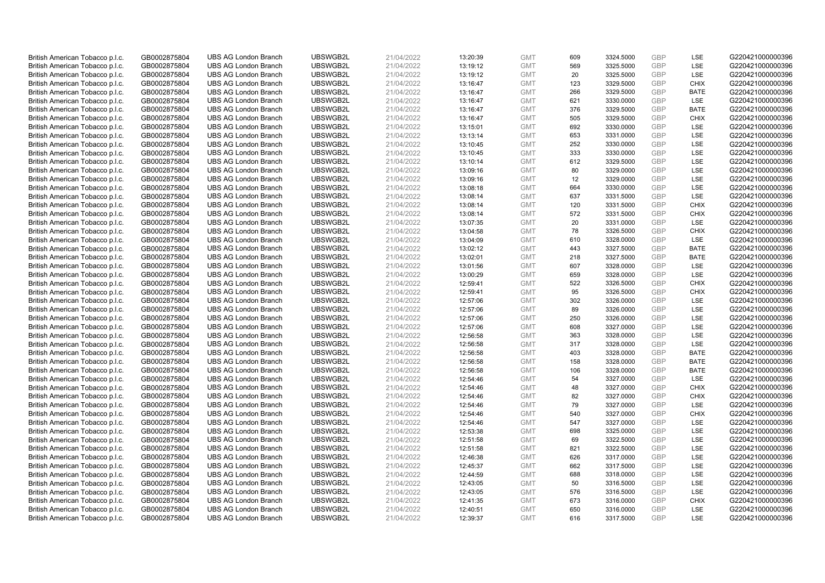| British American Tobacco p.l.c.                                    | GB0002875804                 | <b>UBS AG London Branch</b>                                | UBSWGB2L             | 21/04/2022               | 13:20:39             | <b>GMT</b>               | 609      | 3324.5000              | <b>GBP</b>               | <b>LSE</b>         | G220421000000396                     |
|--------------------------------------------------------------------|------------------------------|------------------------------------------------------------|----------------------|--------------------------|----------------------|--------------------------|----------|------------------------|--------------------------|--------------------|--------------------------------------|
| British American Tobacco p.l.c.                                    | GB0002875804                 | <b>UBS AG London Branch</b>                                | UBSWGB2L             | 21/04/2022               | 13:19:12             | <b>GMT</b>               | 569      | 3325.5000              | <b>GBP</b>               | LSE                | G220421000000396                     |
| British American Tobacco p.l.c.                                    | GB0002875804                 | <b>UBS AG London Branch</b>                                | UBSWGB2L             | 21/04/2022               | 13:19:12             | <b>GMT</b>               | 20       | 3325.5000              | <b>GBP</b>               | LSE                | G220421000000396                     |
| British American Tobacco p.l.c.                                    | GB0002875804                 | <b>UBS AG London Branch</b>                                | UBSWGB2L             | 21/04/2022               | 13:16:47             | <b>GMT</b>               | 123      | 3329.5000              | <b>GBP</b>               | <b>CHIX</b>        | G220421000000396                     |
| British American Tobacco p.l.c.                                    | GB0002875804                 | <b>UBS AG London Branch</b>                                | UBSWGB2L             | 21/04/2022               | 13:16:47             | <b>GMT</b>               | 266      | 3329.5000              | <b>GBP</b>               | <b>BATE</b>        | G220421000000396                     |
| British American Tobacco p.l.c.                                    | GB0002875804                 | <b>UBS AG London Branch</b>                                | UBSWGB2L             | 21/04/2022               | 13:16:47             | <b>GMT</b>               | 621      | 3330.0000              | <b>GBP</b>               | LSE                | G220421000000396                     |
| British American Tobacco p.l.c.                                    | GB0002875804                 | <b>UBS AG London Branch</b>                                | UBSWGB2L             | 21/04/2022               | 13:16:47             | <b>GMT</b>               | 376      | 3329.5000              | <b>GBP</b>               | <b>BATE</b>        | G220421000000396                     |
| British American Tobacco p.l.c.                                    | GB0002875804                 | <b>UBS AG London Branch</b>                                | UBSWGB2L             | 21/04/2022               | 13:16:47             | <b>GMT</b>               | 505      | 3329.5000              | <b>GBP</b>               | <b>CHIX</b>        | G220421000000396                     |
| British American Tobacco p.l.c.                                    | GB0002875804                 | <b>UBS AG London Branch</b>                                | UBSWGB2L             | 21/04/2022               | 13:15:01             | <b>GMT</b>               | 692      | 3330.0000              | <b>GBP</b>               | LSE                | G220421000000396                     |
| British American Tobacco p.l.c.                                    | GB0002875804                 | <b>UBS AG London Branch</b>                                | UBSWGB2L             | 21/04/2022               | 13:13:14             | <b>GMT</b>               | 653      | 3331.0000              | GBP                      | <b>LSE</b>         | G220421000000396                     |
| British American Tobacco p.l.c.                                    | GB0002875804                 | <b>UBS AG London Branch</b>                                | UBSWGB2L             | 21/04/2022               | 13:10:45             | <b>GMT</b>               | 252      | 3330.0000              | <b>GBP</b>               | LSE                | G220421000000396                     |
| British American Tobacco p.l.c.                                    | GB0002875804                 | <b>UBS AG London Branch</b>                                | UBSWGB2L             | 21/04/2022               | 13:10:45             | <b>GMT</b>               | 333      | 3330.0000              | <b>GBP</b>               | LSE                | G220421000000396                     |
| British American Tobacco p.l.c.                                    | GB0002875804                 | <b>UBS AG London Branch</b>                                | UBSWGB2L             | 21/04/2022               | 13:10:14             | <b>GMT</b>               | 612      | 3329.5000              | <b>GBP</b>               | LSE                | G220421000000396                     |
| British American Tobacco p.l.c.                                    | GB0002875804                 | <b>UBS AG London Branch</b>                                | UBSWGB2L             | 21/04/2022               | 13:09:16             | <b>GMT</b>               | 80       | 3329.0000              | <b>GBP</b>               | LSE                | G220421000000396                     |
| British American Tobacco p.l.c.                                    | GB0002875804                 | <b>UBS AG London Branch</b>                                | UBSWGB2L             | 21/04/2022               | 13:09:16             | <b>GMT</b>               | 12       | 3329.0000              | <b>GBP</b>               | LSE                | G220421000000396                     |
| British American Tobacco p.l.c.                                    | GB0002875804                 | <b>UBS AG London Branch</b>                                | UBSWGB2L             | 21/04/2022               | 13:08:18             | <b>GMT</b>               | 664      | 3330.0000              | <b>GBP</b>               | LSE                | G220421000000396                     |
| British American Tobacco p.l.c.                                    | GB0002875804                 | <b>UBS AG London Branch</b>                                | UBSWGB2L             | 21/04/2022               | 13:08:14             | <b>GMT</b>               | 637      | 3331.5000              | <b>GBP</b>               | LSE                | G220421000000396                     |
| British American Tobacco p.l.c.                                    | GB0002875804                 | <b>UBS AG London Branch</b>                                | UBSWGB2L             | 21/04/2022               | 13:08:14             | <b>GMT</b>               | 120      | 3331.5000              | <b>GBP</b>               | <b>CHIX</b>        | G220421000000396                     |
| British American Tobacco p.l.c.                                    | GB0002875804                 | <b>UBS AG London Branch</b>                                | UBSWGB2L             | 21/04/2022               | 13:08:14             | <b>GMT</b>               | 572      | 3331.5000              | <b>GBP</b>               | <b>CHIX</b>        | G220421000000396                     |
| British American Tobacco p.l.c.                                    | GB0002875804                 | <b>UBS AG London Branch</b>                                | UBSWGB2L             | 21/04/2022               | 13:07:35             | <b>GMT</b>               | 20       | 3331.0000              | <b>GBP</b>               | LSE                | G220421000000396                     |
| British American Tobacco p.l.c.                                    | GB0002875804                 | <b>UBS AG London Branch</b>                                | UBSWGB2L             | 21/04/2022               | 13:04:58             | <b>GMT</b>               | 78       | 3326.5000              | <b>GBP</b>               | <b>CHIX</b>        | G220421000000396                     |
| British American Tobacco p.l.c.                                    | GB0002875804                 | <b>UBS AG London Branch</b>                                | UBSWGB2L             | 21/04/2022               | 13:04:09             | <b>GMT</b>               | 610      | 3328.0000              | <b>GBP</b>               | LSE                | G220421000000396                     |
| British American Tobacco p.l.c.                                    | GB0002875804                 | <b>UBS AG London Branch</b>                                | UBSWGB2L             | 21/04/2022               | 13:02:12             | <b>GMT</b>               | 443      | 3327.5000              | <b>GBP</b>               | <b>BATE</b>        | G220421000000396                     |
| British American Tobacco p.l.c.                                    | GB0002875804                 | <b>UBS AG London Branch</b>                                | UBSWGB2L             | 21/04/2022               | 13:02:01             | <b>GMT</b>               | 218      | 3327.5000              | <b>GBP</b>               | <b>BATE</b>        | G220421000000396                     |
| British American Tobacco p.l.c.                                    | GB0002875804                 | <b>UBS AG London Branch</b>                                | UBSWGB2L             | 21/04/2022               | 13:01:56             | <b>GMT</b>               | 607      | 3328.0000              | <b>GBP</b>               | LSE                | G220421000000396                     |
| British American Tobacco p.l.c.                                    | GB0002875804                 | <b>UBS AG London Branch</b>                                | UBSWGB2L             | 21/04/2022               | 13:00:29             | <b>GMT</b>               | 659      | 3328.0000              | <b>GBP</b>               | LSE                | G220421000000396                     |
| British American Tobacco p.l.c.                                    | GB0002875804                 | <b>UBS AG London Branch</b>                                | UBSWGB2L             | 21/04/2022               | 12:59:41             | <b>GMT</b>               | 522      | 3326.5000              | <b>GBP</b>               | <b>CHIX</b>        | G220421000000396                     |
| British American Tobacco p.l.c.                                    | GB0002875804                 | <b>UBS AG London Branch</b>                                | UBSWGB2L             | 21/04/2022               | 12:59:41             | <b>GMT</b>               | 95       | 3326.5000              | <b>GBP</b>               | <b>CHIX</b>        | G220421000000396                     |
| British American Tobacco p.l.c.                                    | GB0002875804                 | <b>UBS AG London Branch</b>                                | UBSWGB2L             | 21/04/2022               | 12:57:06             | <b>GMT</b>               | 302      | 3326.0000              | <b>GBP</b>               | LSE                | G220421000000396                     |
| British American Tobacco p.l.c.                                    | GB0002875804                 | <b>UBS AG London Branch</b>                                | UBSWGB2L             | 21/04/2022               | 12:57:06             | <b>GMT</b>               | 89       | 3326.0000              | <b>GBP</b>               | LSE                | G220421000000396                     |
| British American Tobacco p.l.c.                                    | GB0002875804                 | <b>UBS AG London Branch</b>                                | UBSWGB2L             | 21/04/2022               | 12:57:06             | <b>GMT</b>               | 250      | 3326.0000              | <b>GBP</b>               | LSE                | G220421000000396                     |
| British American Tobacco p.l.c.                                    | GB0002875804                 | <b>UBS AG London Branch</b>                                | UBSWGB2L             | 21/04/2022               | 12:57:06             | <b>GMT</b>               | 608      | 3327.0000              | <b>GBP</b>               | LSE                | G220421000000396                     |
| British American Tobacco p.l.c.                                    | GB0002875804                 | <b>UBS AG London Branch</b>                                | UBSWGB2L             | 21/04/2022               | 12:56:58             | <b>GMT</b>               | 363      | 3328.0000              | <b>GBP</b>               | LSE                | G220421000000396                     |
| British American Tobacco p.l.c.                                    | GB0002875804                 | <b>UBS AG London Branch</b>                                | UBSWGB2L             | 21/04/2022               | 12:56:58             | <b>GMT</b>               | 317      | 3328.0000              | <b>GBP</b>               | LSE                | G220421000000396                     |
| British American Tobacco p.l.c.                                    | GB0002875804                 | <b>UBS AG London Branch</b>                                | UBSWGB2L             | 21/04/2022               | 12:56:58             | <b>GMT</b>               | 403      | 3328.0000              | <b>GBP</b>               | <b>BATE</b>        | G220421000000396                     |
| British American Tobacco p.l.c.                                    | GB0002875804                 | <b>UBS AG London Branch</b>                                | UBSWGB2L             | 21/04/2022               | 12:56:58             | <b>GMT</b>               | 158      | 3328.0000              | <b>GBP</b>               | <b>BATE</b>        | G220421000000396                     |
| British American Tobacco p.l.c.                                    | GB0002875804                 | <b>UBS AG London Branch</b>                                | UBSWGB2L             | 21/04/2022               | 12:56:58             | <b>GMT</b>               | 106      | 3328.0000              | <b>GBP</b>               | <b>BATE</b>        | G220421000000396                     |
| British American Tobacco p.l.c.                                    | GB0002875804                 | <b>UBS AG London Branch</b>                                | UBSWGB2L             | 21/04/2022               | 12:54:46             | <b>GMT</b>               | 54       | 3327.0000              | <b>GBP</b>               | LSE                | G220421000000396                     |
| British American Tobacco p.l.c.                                    | GB0002875804                 | <b>UBS AG London Branch</b>                                | UBSWGB2L             | 21/04/2022               | 12:54:46             | <b>GMT</b>               | 48       | 3327.0000              | <b>GBP</b>               | <b>CHIX</b>        | G220421000000396                     |
| British American Tobacco p.l.c.                                    | GB0002875804                 | <b>UBS AG London Branch</b>                                | UBSWGB2L             | 21/04/2022               | 12:54:46             | <b>GMT</b>               | 82<br>79 | 3327.0000              | <b>GBP</b><br><b>GBP</b> | <b>CHIX</b><br>LSE | G220421000000396                     |
| British American Tobacco p.l.c.                                    | GB0002875804                 | <b>UBS AG London Branch</b><br><b>UBS AG London Branch</b> | UBSWGB2L<br>UBSWGB2L | 21/04/2022               | 12:54:46<br>12:54:46 | <b>GMT</b><br><b>GMT</b> | 540      | 3327.0000<br>3327.0000 | <b>GBP</b>               | <b>CHIX</b>        | G220421000000396<br>G220421000000396 |
| British American Tobacco p.l.c.                                    | GB0002875804<br>GB0002875804 | <b>UBS AG London Branch</b>                                | UBSWGB2L             | 21/04/2022<br>21/04/2022 | 12:54:46             | <b>GMT</b>               | 547      | 3327.0000              | <b>GBP</b>               | LSE                | G220421000000396                     |
| British American Tobacco p.l.c.<br>British American Tobacco p.l.c. | GB0002875804                 | <b>UBS AG London Branch</b>                                | UBSWGB2L             | 21/04/2022               | 12:53:38             | <b>GMT</b>               | 698      | 3325.0000              | GBP                      | LSE                | G220421000000396                     |
| British American Tobacco p.l.c.                                    | GB0002875804                 | <b>UBS AG London Branch</b>                                | UBSWGB2L             | 21/04/2022               | 12:51:58             | <b>GMT</b>               | 69       | 3322.5000              | <b>GBP</b>               | <b>LSE</b>         | G220421000000396                     |
| British American Tobacco p.l.c.                                    | GB0002875804                 | <b>UBS AG London Branch</b>                                | UBSWGB2L             | 21/04/2022               | 12:51:58             | <b>GMT</b>               | 821      | 3322.5000              | <b>GBP</b>               | LSE                | G220421000000396                     |
| British American Tobacco p.l.c.                                    | GB0002875804                 | <b>UBS AG London Branch</b>                                | UBSWGB2L             | 21/04/2022               | 12:46:38             | <b>GMT</b>               | 626      | 3317.0000              | <b>GBP</b>               | LSE                | G220421000000396                     |
| British American Tobacco p.l.c.                                    | GB0002875804                 | <b>UBS AG London Branch</b>                                | UBSWGB2L             | 21/04/2022               | 12:45:37             | <b>GMT</b>               | 662      | 3317.5000              | <b>GBP</b>               | LSE                | G220421000000396                     |
| British American Tobacco p.l.c.                                    | GB0002875804                 | <b>UBS AG London Branch</b>                                | UBSWGB2L             | 21/04/2022               | 12:44:59             | <b>GMT</b>               | 688      | 3318.0000              | <b>GBP</b>               | LSE                | G220421000000396                     |
| British American Tobacco p.l.c.                                    | GB0002875804                 | <b>UBS AG London Branch</b>                                | UBSWGB2L             | 21/04/2022               | 12:43:05             | <b>GMT</b>               | 50       | 3316.5000              | <b>GBP</b>               | <b>LSE</b>         | G220421000000396                     |
| British American Tobacco p.l.c.                                    | GB0002875804                 | <b>UBS AG London Branch</b>                                | UBSWGB2L             | 21/04/2022               | 12:43:05             | <b>GMT</b>               | 576      | 3316.5000              | <b>GBP</b>               | LSE                | G220421000000396                     |
| British American Tobacco p.l.c.                                    | GB0002875804                 | <b>UBS AG London Branch</b>                                | UBSWGB2L             | 21/04/2022               | 12:41:35             | <b>GMT</b>               | 673      | 3316.0000              | <b>GBP</b>               | <b>CHIX</b>        | G220421000000396                     |
| British American Tobacco p.l.c.                                    | GB0002875804                 | <b>UBS AG London Branch</b>                                | UBSWGB2L             | 21/04/2022               | 12:40:51             | <b>GMT</b>               | 650      | 3316.0000              | <b>GBP</b>               | LSE                | G220421000000396                     |
| British American Tobacco p.l.c.                                    | GB0002875804                 | <b>UBS AG London Branch</b>                                | UBSWGB2L             | 21/04/2022               | 12:39:37             | <b>GMT</b>               | 616      | 3317.5000              | GBP                      | <b>LSE</b>         | G220421000000396                     |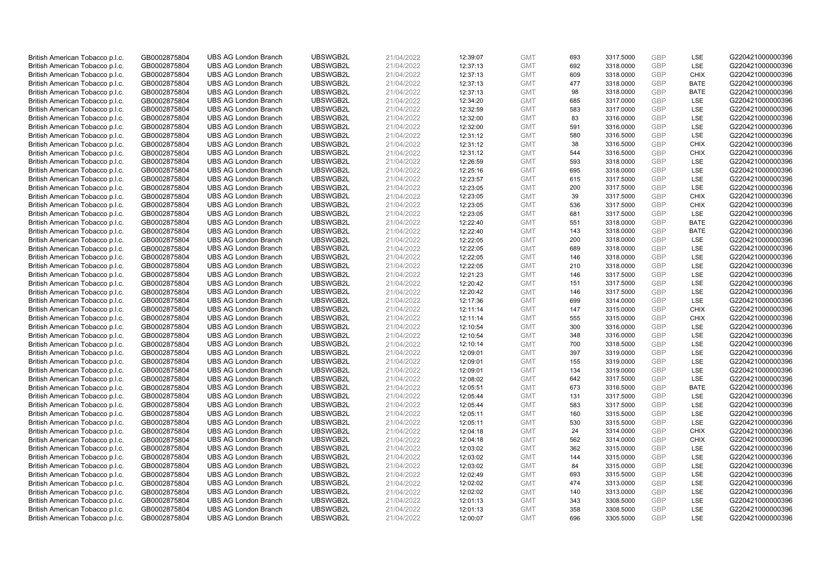| British American Tobacco p.l.c. | GB0002875804 | <b>UBS AG London Branch</b> | UBSWGB2L | 21/04/2022 | 12:39:07 | <b>GMT</b> | 693 | 3317.5000 | <b>GBP</b> | LSE         | G220421000000396 |
|---------------------------------|--------------|-----------------------------|----------|------------|----------|------------|-----|-----------|------------|-------------|------------------|
|                                 |              |                             |          |            |          |            |     |           | <b>GBP</b> | <b>LSE</b>  |                  |
| British American Tobacco p.l.c. | GB0002875804 | <b>UBS AG London Branch</b> | UBSWGB2L | 21/04/2022 | 12:37:13 | <b>GMT</b> | 692 | 3318.0000 |            |             | G220421000000396 |
| British American Tobacco p.l.c. | GB0002875804 | <b>UBS AG London Branch</b> | UBSWGB2L | 21/04/2022 | 12:37:13 | <b>GMT</b> | 609 | 3318.0000 | <b>GBP</b> | <b>CHIX</b> | G220421000000396 |
| British American Tobacco p.l.c. | GB0002875804 | <b>UBS AG London Branch</b> | UBSWGB2L | 21/04/2022 | 12:37:13 | <b>GMT</b> | 477 | 3318.0000 | <b>GBP</b> | <b>BATE</b> | G220421000000396 |
| British American Tobacco p.l.c. | GB0002875804 | <b>UBS AG London Branch</b> | UBSWGB2L | 21/04/2022 | 12:37:13 | <b>GMT</b> | 98  | 3318.0000 | <b>GBP</b> | <b>BATE</b> | G220421000000396 |
| British American Tobacco p.l.c. | GB0002875804 | <b>UBS AG London Branch</b> | UBSWGB2L | 21/04/2022 | 12:34:20 | <b>GMT</b> | 685 | 3317.0000 | <b>GBP</b> | LSE         | G220421000000396 |
| British American Tobacco p.l.c. | GB0002875804 | <b>UBS AG London Branch</b> | UBSWGB2L | 21/04/2022 | 12:32:59 | <b>GMT</b> | 583 | 3317.0000 | <b>GBP</b> | LSE         | G220421000000396 |
| British American Tobacco p.l.c. | GB0002875804 | <b>UBS AG London Branch</b> | UBSWGB2L | 21/04/2022 | 12:32:00 | <b>GMT</b> | 83  | 3316.0000 | <b>GBP</b> | LSE         | G220421000000396 |
| British American Tobacco p.l.c. | GB0002875804 | <b>UBS AG London Branch</b> | UBSWGB2L | 21/04/2022 | 12:32:00 | <b>GMT</b> | 591 | 3316.0000 | <b>GBP</b> | LSE         | G220421000000396 |
| British American Tobacco p.l.c. | GB0002875804 | <b>UBS AG London Branch</b> | UBSWGB2L | 21/04/2022 | 12:31:12 | <b>GMT</b> | 580 | 3316.5000 | <b>GBP</b> | LSE         | G220421000000396 |
| British American Tobacco p.l.c. | GB0002875804 | <b>UBS AG London Branch</b> | UBSWGB2L | 21/04/2022 | 12:31:12 | <b>GMT</b> | 38  | 3316.5000 | <b>GBP</b> | <b>CHIX</b> | G220421000000396 |
| British American Tobacco p.l.c. | GB0002875804 | <b>UBS AG London Branch</b> | UBSWGB2L | 21/04/2022 | 12:31:12 | <b>GMT</b> | 544 | 3316.5000 | <b>GBP</b> | <b>CHIX</b> | G220421000000396 |
| British American Tobacco p.l.c. | GB0002875804 | <b>UBS AG London Branch</b> | UBSWGB2L | 21/04/2022 | 12:26:59 | <b>GMT</b> | 593 | 3318.0000 | <b>GBP</b> | LSE         | G220421000000396 |
| British American Tobacco p.l.c. | GB0002875804 | <b>UBS AG London Branch</b> | UBSWGB2L | 21/04/2022 | 12:25:16 | <b>GMT</b> | 695 | 3318.0000 | <b>GBP</b> | LSE         | G220421000000396 |
| British American Tobacco p.l.c. | GB0002875804 | <b>UBS AG London Branch</b> | UBSWGB2L | 21/04/2022 | 12:23:57 | <b>GMT</b> | 615 | 3317.5000 | <b>GBP</b> | <b>LSE</b>  | G220421000000396 |
| British American Tobacco p.l.c. | GB0002875804 | <b>UBS AG London Branch</b> | UBSWGB2L | 21/04/2022 | 12:23:05 | <b>GMT</b> | 200 | 3317.5000 | <b>GBP</b> | LSE         | G220421000000396 |
| British American Tobacco p.l.c. | GB0002875804 | <b>UBS AG London Branch</b> | UBSWGB2L | 21/04/2022 | 12:23:05 | <b>GMT</b> | 39  | 3317.5000 | <b>GBP</b> | <b>CHIX</b> | G220421000000396 |
| British American Tobacco p.l.c. | GB0002875804 | <b>UBS AG London Branch</b> | UBSWGB2L | 21/04/2022 | 12:23:05 | <b>GMT</b> | 536 | 3317.5000 | <b>GBP</b> | <b>CHIX</b> | G220421000000396 |
| British American Tobacco p.l.c. | GB0002875804 | <b>UBS AG London Branch</b> | UBSWGB2L | 21/04/2022 | 12:23:05 | <b>GMT</b> | 681 | 3317.5000 | <b>GBP</b> | <b>LSE</b>  | G220421000000396 |
| British American Tobacco p.l.c. | GB0002875804 | <b>UBS AG London Branch</b> | UBSWGB2L | 21/04/2022 | 12:22:40 | <b>GMT</b> | 551 | 3318.0000 | <b>GBP</b> | <b>BATE</b> | G220421000000396 |
|                                 |              |                             |          |            |          |            |     |           |            |             |                  |
| British American Tobacco p.l.c. | GB0002875804 | <b>UBS AG London Branch</b> | UBSWGB2L | 21/04/2022 | 12:22:40 | <b>GMT</b> | 143 | 3318.0000 | <b>GBP</b> | <b>BATE</b> | G220421000000396 |
| British American Tobacco p.l.c. | GB0002875804 | <b>UBS AG London Branch</b> | UBSWGB2L | 21/04/2022 | 12:22:05 | <b>GMT</b> | 200 | 3318.0000 | <b>GBP</b> | LSE         | G220421000000396 |
| British American Tobacco p.l.c. | GB0002875804 | <b>UBS AG London Branch</b> | UBSWGB2L | 21/04/2022 | 12:22:05 | <b>GMT</b> | 689 | 3318.0000 | <b>GBP</b> | LSE         | G220421000000396 |
| British American Tobacco p.l.c. | GB0002875804 | <b>UBS AG London Branch</b> | UBSWGB2L | 21/04/2022 | 12:22:05 | <b>GMT</b> | 146 | 3318.0000 | <b>GBP</b> | <b>LSE</b>  | G220421000000396 |
| British American Tobacco p.l.c. | GB0002875804 | <b>UBS AG London Branch</b> | UBSWGB2L | 21/04/2022 | 12:22:05 | <b>GMT</b> | 210 | 3318.0000 | <b>GBP</b> | LSE         | G220421000000396 |
| British American Tobacco p.l.c. | GB0002875804 | <b>UBS AG London Branch</b> | UBSWGB2L | 21/04/2022 | 12:21:23 | <b>GMT</b> | 146 | 3317.5000 | <b>GBP</b> | LSE         | G220421000000396 |
| British American Tobacco p.l.c. | GB0002875804 | <b>UBS AG London Branch</b> | UBSWGB2L | 21/04/2022 | 12:20:42 | <b>GMT</b> | 151 | 3317.5000 | <b>GBP</b> | LSE         | G220421000000396 |
| British American Tobacco p.l.c. | GB0002875804 | <b>UBS AG London Branch</b> | UBSWGB2L | 21/04/2022 | 12:20:42 | <b>GMT</b> | 146 | 3317.5000 | <b>GBP</b> | LSE         | G220421000000396 |
| British American Tobacco p.l.c. | GB0002875804 | <b>UBS AG London Branch</b> | UBSWGB2L | 21/04/2022 | 12:17:36 | <b>GMT</b> | 699 | 3314.0000 | <b>GBP</b> | LSE         | G220421000000396 |
| British American Tobacco p.l.c. | GB0002875804 | <b>UBS AG London Branch</b> | UBSWGB2L | 21/04/2022 | 12:11:14 | <b>GMT</b> | 147 | 3315.0000 | <b>GBP</b> | <b>CHIX</b> | G220421000000396 |
| British American Tobacco p.l.c. | GB0002875804 | <b>UBS AG London Branch</b> | UBSWGB2L | 21/04/2022 | 12:11:14 | <b>GMT</b> | 555 | 3315.0000 | GBP        | <b>CHIX</b> | G220421000000396 |
| British American Tobacco p.l.c. | GB0002875804 | <b>UBS AG London Branch</b> | UBSWGB2L | 21/04/2022 | 12:10:54 | <b>GMT</b> | 300 | 3316.0000 | <b>GBP</b> | LSE         | G220421000000396 |
| British American Tobacco p.l.c. | GB0002875804 | <b>UBS AG London Branch</b> | UBSWGB2L | 21/04/2022 | 12:10:54 | <b>GMT</b> | 348 | 3316.0000 | <b>GBP</b> | LSE         | G220421000000396 |
| British American Tobacco p.l.c. | GB0002875804 | <b>UBS AG London Branch</b> | UBSWGB2L | 21/04/2022 | 12:10:14 | <b>GMT</b> | 700 | 3318.5000 | <b>GBP</b> | LSE         | G220421000000396 |
| British American Tobacco p.l.c. | GB0002875804 | <b>UBS AG London Branch</b> | UBSWGB2L | 21/04/2022 | 12:09:01 | <b>GMT</b> | 397 | 3319.0000 | <b>GBP</b> | LSE         | G220421000000396 |
| British American Tobacco p.l.c. | GB0002875804 | <b>UBS AG London Branch</b> | UBSWGB2L | 21/04/2022 | 12:09:01 | <b>GMT</b> | 155 | 3319.0000 | <b>GBP</b> | LSE         | G220421000000396 |
| British American Tobacco p.l.c. | GB0002875804 | <b>UBS AG London Branch</b> | UBSWGB2L | 21/04/2022 | 12:09:01 | <b>GMT</b> | 134 | 3319.0000 | <b>GBP</b> | LSE         | G220421000000396 |
| British American Tobacco p.l.c. | GB0002875804 | <b>UBS AG London Branch</b> | UBSWGB2L | 21/04/2022 | 12:08:02 | <b>GMT</b> | 642 | 3317.5000 | <b>GBP</b> | LSE         | G220421000000396 |
| British American Tobacco p.l.c. | GB0002875804 | <b>UBS AG London Branch</b> | UBSWGB2L | 21/04/2022 | 12:05:51 | <b>GMT</b> | 673 | 3316.5000 | <b>GBP</b> | <b>BATE</b> | G220421000000396 |
| British American Tobacco p.l.c. | GB0002875804 | <b>UBS AG London Branch</b> | UBSWGB2L | 21/04/2022 | 12:05:44 | <b>GMT</b> | 131 | 3317.5000 | <b>GBP</b> | LSE         | G220421000000396 |
| British American Tobacco p.l.c. | GB0002875804 | <b>UBS AG London Branch</b> | UBSWGB2L | 21/04/2022 | 12:05:44 | <b>GMT</b> | 583 | 3317.5000 | <b>GBP</b> | LSE         | G220421000000396 |
| British American Tobacco p.l.c. | GB0002875804 | <b>UBS AG London Branch</b> | UBSWGB2L | 21/04/2022 | 12:05:11 | <b>GMT</b> | 160 | 3315.5000 | <b>GBP</b> | LSE         | G220421000000396 |
| British American Tobacco p.l.c. | GB0002875804 | <b>UBS AG London Branch</b> | UBSWGB2L | 21/04/2022 | 12:05:11 | <b>GMT</b> | 530 | 3315.5000 | <b>GBP</b> | LSE         | G220421000000396 |
| British American Tobacco p.l.c. | GB0002875804 | <b>UBS AG London Branch</b> | UBSWGB2L | 21/04/2022 |          | <b>GMT</b> | 24  | 3314.0000 | GBP        | <b>CHIX</b> | G220421000000396 |
|                                 |              |                             | UBSWGB2L |            | 12:04:18 |            | 562 |           | <b>GBP</b> | <b>CHIX</b> | G220421000000396 |
| British American Tobacco p.l.c. | GB0002875804 | <b>UBS AG London Branch</b> |          | 21/04/2022 | 12:04:18 | <b>GMT</b> |     | 3314.0000 |            |             |                  |
| British American Tobacco p.l.c. | GB0002875804 | <b>UBS AG London Branch</b> | UBSWGB2L | 21/04/2022 | 12:03:02 | <b>GMT</b> | 362 | 3315.0000 | <b>GBP</b> | LSE         | G220421000000396 |
| British American Tobacco p.l.c. | GB0002875804 | <b>UBS AG London Branch</b> | UBSWGB2L | 21/04/2022 | 12:03:02 | <b>GMT</b> | 144 | 3315.0000 | <b>GBP</b> | LSE         | G220421000000396 |
| British American Tobacco p.l.c. | GB0002875804 | <b>UBS AG London Branch</b> | UBSWGB2L | 21/04/2022 | 12:03:02 | <b>GMT</b> | 84  | 3315.0000 | <b>GBP</b> | LSE         | G220421000000396 |
| British American Tobacco p.l.c. | GB0002875804 | <b>UBS AG London Branch</b> | UBSWGB2L | 21/04/2022 | 12:02:49 | <b>GMT</b> | 693 | 3315.5000 | <b>GBP</b> | LSE         | G220421000000396 |
| British American Tobacco p.l.c. | GB0002875804 | <b>UBS AG London Branch</b> | UBSWGB2L | 21/04/2022 | 12:02:02 | <b>GMT</b> | 474 | 3313.0000 | <b>GBP</b> | LSE         | G220421000000396 |
| British American Tobacco p.l.c. | GB0002875804 | <b>UBS AG London Branch</b> | UBSWGB2L | 21/04/2022 | 12:02:02 | <b>GMT</b> | 140 | 3313.0000 | <b>GBP</b> | LSE         | G220421000000396 |
| British American Tobacco p.l.c. | GB0002875804 | <b>UBS AG London Branch</b> | UBSWGB2L | 21/04/2022 | 12:01:13 | <b>GMT</b> | 343 | 3308.5000 | <b>GBP</b> | LSE         | G220421000000396 |
| British American Tobacco p.l.c. | GB0002875804 | <b>UBS AG London Branch</b> | UBSWGB2L | 21/04/2022 | 12:01:13 | <b>GMT</b> | 358 | 3308.5000 | <b>GBP</b> | LSE         | G220421000000396 |
| British American Tobacco p.l.c. | GB0002875804 | <b>UBS AG London Branch</b> | UBSWGB2L | 21/04/2022 | 12:00:07 | <b>GMT</b> | 696 | 3305.5000 | GBP        | LSE         | G220421000000396 |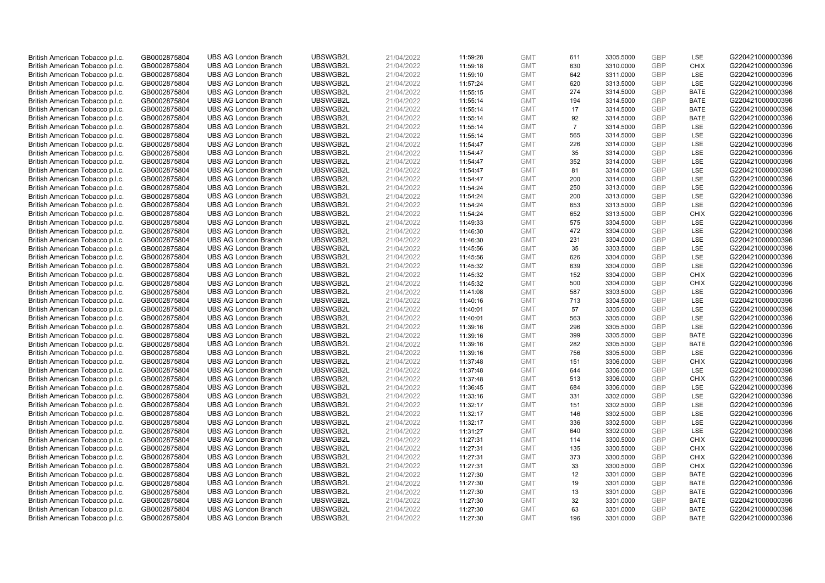| British American Tobacco p.l.c. | GB0002875804 | <b>UBS AG London Branch</b> | UBSWGB2L | 21/04/2022 | 11:59:28 | <b>GMT</b> | 611            | 3305.5000 | <b>GBP</b> | LSE         | G220421000000396 |
|---------------------------------|--------------|-----------------------------|----------|------------|----------|------------|----------------|-----------|------------|-------------|------------------|
|                                 |              |                             |          |            |          |            | 630            |           | <b>GBP</b> | <b>CHIX</b> |                  |
| British American Tobacco p.l.c. | GB0002875804 | <b>UBS AG London Branch</b> | UBSWGB2L | 21/04/2022 | 11:59:18 | <b>GMT</b> |                | 3310.0000 |            |             | G220421000000396 |
| British American Tobacco p.l.c. | GB0002875804 | <b>UBS AG London Branch</b> | UBSWGB2L | 21/04/2022 | 11:59:10 | <b>GMT</b> | 642            | 3311.0000 | <b>GBP</b> | LSE         | G220421000000396 |
| British American Tobacco p.l.c. | GB0002875804 | <b>UBS AG London Branch</b> | UBSWGB2L | 21/04/2022 | 11:57:24 | <b>GMT</b> | 620            | 3313.5000 | <b>GBP</b> | LSE         | G220421000000396 |
| British American Tobacco p.l.c. | GB0002875804 | <b>UBS AG London Branch</b> | UBSWGB2L | 21/04/2022 | 11:55:15 | <b>GMT</b> | 274            | 3314.5000 | <b>GBP</b> | <b>BATE</b> | G220421000000396 |
| British American Tobacco p.l.c. | GB0002875804 | <b>UBS AG London Branch</b> | UBSWGB2L | 21/04/2022 | 11:55:14 | <b>GMT</b> | 194            | 3314.5000 | <b>GBP</b> | <b>BATE</b> | G220421000000396 |
| British American Tobacco p.l.c. | GB0002875804 | <b>UBS AG London Branch</b> | UBSWGB2L | 21/04/2022 | 11:55:14 | <b>GMT</b> | 17             | 3314.5000 | <b>GBP</b> | <b>BATE</b> | G220421000000396 |
| British American Tobacco p.l.c. | GB0002875804 | <b>UBS AG London Branch</b> | UBSWGB2L | 21/04/2022 | 11:55:14 | <b>GMT</b> | 92             | 3314.5000 | <b>GBP</b> | <b>BATE</b> | G220421000000396 |
| British American Tobacco p.l.c. | GB0002875804 | <b>UBS AG London Branch</b> | UBSWGB2L | 21/04/2022 | 11:55:14 | <b>GMT</b> | $\overline{7}$ | 3314.5000 | <b>GBP</b> | LSE         | G220421000000396 |
| British American Tobacco p.l.c. | GB0002875804 | <b>UBS AG London Branch</b> | UBSWGB2L | 21/04/2022 | 11:55:14 | <b>GMT</b> | 565            | 3314.5000 | <b>GBP</b> | LSE         | G220421000000396 |
| British American Tobacco p.l.c. | GB0002875804 | <b>UBS AG London Branch</b> | UBSWGB2L | 21/04/2022 | 11:54:47 | <b>GMT</b> | 226            | 3314.0000 | <b>GBP</b> | LSE         | G220421000000396 |
| British American Tobacco p.l.c. | GB0002875804 | <b>UBS AG London Branch</b> | UBSWGB2L | 21/04/2022 | 11:54:47 | <b>GMT</b> | 35             | 3314.0000 | <b>GBP</b> | LSE         | G220421000000396 |
| British American Tobacco p.l.c. | GB0002875804 | <b>UBS AG London Branch</b> | UBSWGB2L | 21/04/2022 | 11:54:47 | <b>GMT</b> | 352            | 3314.0000 | <b>GBP</b> | LSE         | G220421000000396 |
| British American Tobacco p.l.c. | GB0002875804 | <b>UBS AG London Branch</b> | UBSWGB2L | 21/04/2022 | 11:54:47 | <b>GMT</b> | 81             | 3314.0000 | <b>GBP</b> | LSE         | G220421000000396 |
| British American Tobacco p.l.c. | GB0002875804 | <b>UBS AG London Branch</b> | UBSWGB2L | 21/04/2022 | 11:54:47 | <b>GMT</b> | 200            | 3314.0000 | <b>GBP</b> | LSE         | G220421000000396 |
| British American Tobacco p.l.c. | GB0002875804 | <b>UBS AG London Branch</b> | UBSWGB2L | 21/04/2022 | 11:54:24 | <b>GMT</b> | 250            | 3313.0000 | <b>GBP</b> | LSE         | G220421000000396 |
| British American Tobacco p.l.c. | GB0002875804 | <b>UBS AG London Branch</b> | UBSWGB2L | 21/04/2022 | 11:54:24 | <b>GMT</b> | 200            | 3313.0000 | <b>GBP</b> | LSE         | G220421000000396 |
| British American Tobacco p.l.c. | GB0002875804 | <b>UBS AG London Branch</b> | UBSWGB2L | 21/04/2022 | 11:54:24 | <b>GMT</b> | 653            | 3313.5000 | GBP        | LSE         | G220421000000396 |
| British American Tobacco p.l.c. | GB0002875804 | <b>UBS AG London Branch</b> | UBSWGB2L | 21/04/2022 | 11:54:24 | <b>GMT</b> | 652            | 3313.5000 | <b>GBP</b> | <b>CHIX</b> | G220421000000396 |
| British American Tobacco p.l.c. | GB0002875804 | <b>UBS AG London Branch</b> | UBSWGB2L | 21/04/2022 | 11:49:33 | <b>GMT</b> | 575            | 3304.5000 | <b>GBP</b> | LSE         | G220421000000396 |
|                                 |              |                             |          |            |          |            |                |           |            |             |                  |
| British American Tobacco p.l.c. | GB0002875804 | <b>UBS AG London Branch</b> | UBSWGB2L | 21/04/2022 | 11:46:30 | <b>GMT</b> | 472            | 3304.0000 | <b>GBP</b> | LSE         | G220421000000396 |
| British American Tobacco p.l.c. | GB0002875804 | <b>UBS AG London Branch</b> | UBSWGB2L | 21/04/2022 | 11:46:30 | <b>GMT</b> | 231            | 3304.0000 | <b>GBP</b> | LSE         | G220421000000396 |
| British American Tobacco p.l.c. | GB0002875804 | <b>UBS AG London Branch</b> | UBSWGB2L | 21/04/2022 | 11:45:56 | <b>GMT</b> | 35             | 3303.5000 | <b>GBP</b> | LSE         | G220421000000396 |
| British American Tobacco p.l.c. | GB0002875804 | <b>UBS AG London Branch</b> | UBSWGB2L | 21/04/2022 | 11:45:56 | <b>GMT</b> | 626            | 3304.0000 | <b>GBP</b> | LSE         | G220421000000396 |
| British American Tobacco p.l.c. | GB0002875804 | <b>UBS AG London Branch</b> | UBSWGB2L | 21/04/2022 | 11:45:32 | <b>GMT</b> | 639            | 3304.0000 | <b>GBP</b> | LSE         | G220421000000396 |
| British American Tobacco p.l.c. | GB0002875804 | <b>UBS AG London Branch</b> | UBSWGB2L | 21/04/2022 | 11:45:32 | <b>GMT</b> | 152            | 3304.0000 | <b>GBP</b> | <b>CHIX</b> | G220421000000396 |
| British American Tobacco p.l.c. | GB0002875804 | <b>UBS AG London Branch</b> | UBSWGB2L | 21/04/2022 | 11:45:32 | <b>GMT</b> | 500            | 3304.0000 | <b>GBP</b> | <b>CHIX</b> | G220421000000396 |
| British American Tobacco p.l.c. | GB0002875804 | <b>UBS AG London Branch</b> | UBSWGB2L | 21/04/2022 | 11:41:08 | <b>GMT</b> | 587            | 3303.5000 | <b>GBP</b> | LSE         | G220421000000396 |
| British American Tobacco p.l.c. | GB0002875804 | <b>UBS AG London Branch</b> | UBSWGB2L | 21/04/2022 | 11:40:16 | <b>GMT</b> | 713            | 3304.5000 | <b>GBP</b> | LSE         | G220421000000396 |
| British American Tobacco p.l.c. | GB0002875804 | <b>UBS AG London Branch</b> | UBSWGB2L | 21/04/2022 | 11:40:01 | <b>GMT</b> | 57             | 3305.0000 | <b>GBP</b> | LSE         | G220421000000396 |
| British American Tobacco p.l.c. | GB0002875804 | <b>UBS AG London Branch</b> | UBSWGB2L | 21/04/2022 | 11:40:01 | <b>GMT</b> | 563            | 3305.0000 | GBP        | LSE         | G220421000000396 |
| British American Tobacco p.l.c. | GB0002875804 | <b>UBS AG London Branch</b> | UBSWGB2L | 21/04/2022 | 11:39:16 | <b>GMT</b> | 296            | 3305.5000 | <b>GBP</b> | LSE         | G220421000000396 |
| British American Tobacco p.l.c. | GB0002875804 | <b>UBS AG London Branch</b> | UBSWGB2L | 21/04/2022 | 11:39:16 | <b>GMT</b> | 399            | 3305.5000 | <b>GBP</b> | <b>BATE</b> | G220421000000396 |
| British American Tobacco p.l.c. | GB0002875804 | <b>UBS AG London Branch</b> | UBSWGB2L | 21/04/2022 | 11:39:16 | <b>GMT</b> | 282            | 3305.5000 | GBP        | <b>BATE</b> | G220421000000396 |
| British American Tobacco p.l.c. | GB0002875804 | <b>UBS AG London Branch</b> | UBSWGB2L | 21/04/2022 | 11:39:16 | <b>GMT</b> | 756            | 3305.5000 | <b>GBP</b> | LSE         | G220421000000396 |
| British American Tobacco p.l.c. | GB0002875804 | <b>UBS AG London Branch</b> | UBSWGB2L | 21/04/2022 | 11:37:48 | <b>GMT</b> | 151            | 3306.0000 | <b>GBP</b> | <b>CHIX</b> | G220421000000396 |
| British American Tobacco p.l.c. | GB0002875804 | <b>UBS AG London Branch</b> | UBSWGB2L | 21/04/2022 | 11:37:48 | <b>GMT</b> | 644            | 3306.0000 | <b>GBP</b> | LSE         | G220421000000396 |
| British American Tobacco p.l.c. | GB0002875804 | <b>UBS AG London Branch</b> | UBSWGB2L | 21/04/2022 | 11:37:48 | <b>GMT</b> | 513            | 3306.0000 | <b>GBP</b> | <b>CHIX</b> | G220421000000396 |
| British American Tobacco p.l.c. | GB0002875804 | <b>UBS AG London Branch</b> | UBSWGB2L | 21/04/2022 | 11:36:45 | <b>GMT</b> | 684            | 3306.0000 | <b>GBP</b> | LSE         | G220421000000396 |
| British American Tobacco p.l.c. | GB0002875804 | <b>UBS AG London Branch</b> | UBSWGB2L | 21/04/2022 | 11:33:16 | <b>GMT</b> | 331            | 3302.0000 | <b>GBP</b> | LSE         | G220421000000396 |
| British American Tobacco p.l.c. | GB0002875804 | <b>UBS AG London Branch</b> | UBSWGB2L | 21/04/2022 | 11:32:17 | <b>GMT</b> | 151            | 3302.5000 | <b>GBP</b> | LSE         | G220421000000396 |
| British American Tobacco p.l.c. | GB0002875804 | <b>UBS AG London Branch</b> | UBSWGB2L | 21/04/2022 | 11:32:17 | <b>GMT</b> | 146            | 3302.5000 | <b>GBP</b> | LSE         | G220421000000396 |
| British American Tobacco p.l.c. | GB0002875804 | <b>UBS AG London Branch</b> | UBSWGB2L | 21/04/2022 | 11:32:17 | <b>GMT</b> | 336            | 3302.5000 | <b>GBP</b> | LSE         | G220421000000396 |
| British American Tobacco p.l.c. | GB0002875804 | <b>UBS AG London Branch</b> | UBSWGB2L | 21/04/2022 | 11:31:27 | <b>GMT</b> | 640            | 3302.0000 | GBP        | LSE         | G220421000000396 |
| British American Tobacco p.l.c. | GB0002875804 | <b>UBS AG London Branch</b> | UBSWGB2L | 21/04/2022 | 11:27:31 | <b>GMT</b> | 114            | 3300.5000 | <b>GBP</b> | <b>CHIX</b> | G220421000000396 |
|                                 |              |                             |          |            |          |            |                |           |            |             |                  |
| British American Tobacco p.l.c. | GB0002875804 | <b>UBS AG London Branch</b> | UBSWGB2L | 21/04/2022 | 11:27:31 | <b>GMT</b> | 135            | 3300.5000 | <b>GBP</b> | <b>CHIX</b> | G220421000000396 |
| British American Tobacco p.l.c. | GB0002875804 | <b>UBS AG London Branch</b> | UBSWGB2L | 21/04/2022 | 11:27:31 | <b>GMT</b> | 373            | 3300.5000 | <b>GBP</b> | <b>CHIX</b> | G220421000000396 |
| British American Tobacco p.l.c. | GB0002875804 | <b>UBS AG London Branch</b> | UBSWGB2L | 21/04/2022 | 11:27:31 | <b>GMT</b> | 33             | 3300.5000 | <b>GBP</b> | <b>CHIX</b> | G220421000000396 |
| British American Tobacco p.l.c. | GB0002875804 | <b>UBS AG London Branch</b> | UBSWGB2L | 21/04/2022 | 11:27:30 | <b>GMT</b> | 12             | 3301.0000 | <b>GBP</b> | <b>BATE</b> | G220421000000396 |
| British American Tobacco p.l.c. | GB0002875804 | <b>UBS AG London Branch</b> | UBSWGB2L | 21/04/2022 | 11:27:30 | <b>GMT</b> | 19             | 3301.0000 | <b>GBP</b> | <b>BATE</b> | G220421000000396 |
| British American Tobacco p.l.c. | GB0002875804 | <b>UBS AG London Branch</b> | UBSWGB2L | 21/04/2022 | 11:27:30 | <b>GMT</b> | 13             | 3301.0000 | <b>GBP</b> | <b>BATE</b> | G220421000000396 |
| British American Tobacco p.l.c. | GB0002875804 | <b>UBS AG London Branch</b> | UBSWGB2L | 21/04/2022 | 11:27:30 | <b>GMT</b> | 32             | 3301.0000 | <b>GBP</b> | <b>BATE</b> | G220421000000396 |
| British American Tobacco p.l.c. | GB0002875804 | <b>UBS AG London Branch</b> | UBSWGB2L | 21/04/2022 | 11:27:30 | <b>GMT</b> | 63             | 3301.0000 | <b>GBP</b> | <b>BATE</b> | G220421000000396 |
| British American Tobacco p.l.c. | GB0002875804 | <b>UBS AG London Branch</b> | UBSWGB2L | 21/04/2022 | 11:27:30 | <b>GMT</b> | 196            | 3301.0000 | GBP        | <b>BATE</b> | G220421000000396 |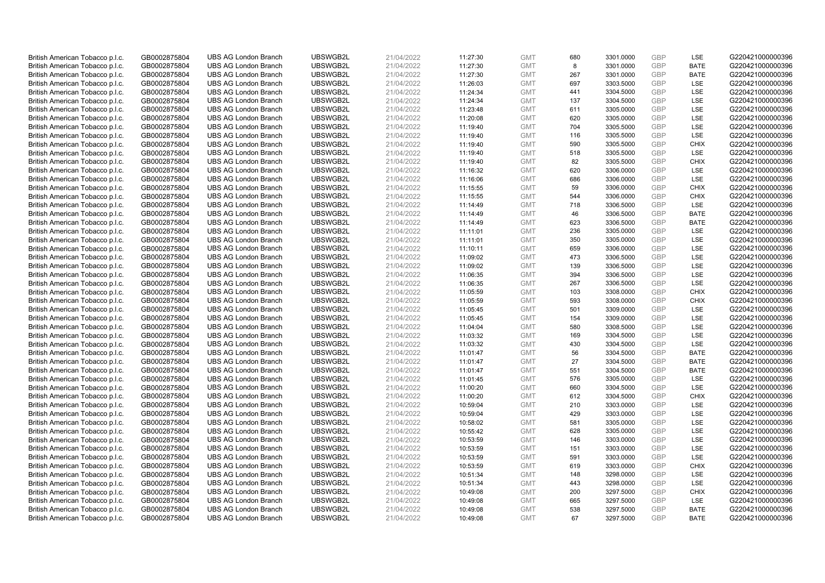| British American Tobacco p.l.c. | GB0002875804                 | <b>UBS AG London Branch</b> | UBSWGB2L             | 21/04/2022               | 11:27:30 | <b>GMT</b>               | 680       | 3301.0000              | <b>GBP</b> | <b>LSE</b>                 | G220421000000396 |
|---------------------------------|------------------------------|-----------------------------|----------------------|--------------------------|----------|--------------------------|-----------|------------------------|------------|----------------------------|------------------|
| British American Tobacco p.l.c. | GB0002875804                 | <b>UBS AG London Branch</b> | UBSWGB2L             | 21/04/2022               | 11:27:30 | <b>GMT</b>               | 8         | 3301.0000              | GBP        | <b>BATE</b>                | G220421000000396 |
| British American Tobacco p.l.c. | GB0002875804                 | <b>UBS AG London Branch</b> | UBSWGB2L             | 21/04/2022               | 11:27:30 | <b>GMT</b>               | 267       | 3301.0000              | <b>GBP</b> | <b>BATE</b>                | G220421000000396 |
| British American Tobacco p.l.c. | GB0002875804                 | <b>UBS AG London Branch</b> | UBSWGB2L             | 21/04/2022               | 11:26:03 | <b>GMT</b>               | 697       | 3303.5000              | GBP        | <b>LSE</b>                 | G220421000000396 |
| British American Tobacco p.l.c. | GB0002875804                 | <b>UBS AG London Branch</b> | UBSWGB2L             | 21/04/2022               | 11:24:34 | <b>GMT</b>               | 441       | 3304.5000              | <b>GBP</b> | <b>LSE</b>                 | G220421000000396 |
| British American Tobacco p.l.c. | GB0002875804                 | <b>UBS AG London Branch</b> | UBSWGB2L             | 21/04/2022               | 11:24:34 | <b>GMT</b>               | 137       | 3304.5000              | <b>GBP</b> | LSE                        | G220421000000396 |
| British American Tobacco p.l.c. | GB0002875804                 | <b>UBS AG London Branch</b> | UBSWGB2L             | 21/04/2022               | 11:23:48 | <b>GMT</b>               | 611       | 3305.0000              | <b>GBP</b> | LSE                        | G220421000000396 |
| British American Tobacco p.l.c. | GB0002875804                 | <b>UBS AG London Branch</b> | UBSWGB2L             | 21/04/2022               | 11:20:08 | <b>GMT</b>               | 620       | 3305.0000              | <b>GBP</b> | LSE                        | G220421000000396 |
| British American Tobacco p.l.c. | GB0002875804                 | <b>UBS AG London Branch</b> | UBSWGB2L             | 21/04/2022               | 11:19:40 | <b>GMT</b>               | 704       | 3305.5000              | <b>GBP</b> | LSE                        | G220421000000396 |
| British American Tobacco p.l.c. | GB0002875804                 | <b>UBS AG London Branch</b> | UBSWGB2L             | 21/04/2022               | 11:19:40 | <b>GMT</b>               | 116       | 3305.5000              | <b>GBP</b> | <b>LSE</b>                 | G220421000000396 |
| British American Tobacco p.l.c. | GB0002875804                 | <b>UBS AG London Branch</b> | UBSWGB2L             | 21/04/2022               | 11:19:40 | <b>GMT</b>               | 590       | 3305.5000              | <b>GBP</b> | <b>CHIX</b>                | G220421000000396 |
| British American Tobacco p.l.c. | GB0002875804                 | <b>UBS AG London Branch</b> | UBSWGB2L             | 21/04/2022               | 11:19:40 | <b>GMT</b>               | 518       | 3305.5000              | <b>GBP</b> | <b>LSE</b>                 | G220421000000396 |
| British American Tobacco p.l.c. | GB0002875804                 | <b>UBS AG London Branch</b> | UBSWGB2L             | 21/04/2022               | 11:19:40 | <b>GMT</b>               | 82        | 3305.5000              | <b>GBP</b> | <b>CHIX</b>                | G220421000000396 |
| British American Tobacco p.l.c. | GB0002875804                 | <b>UBS AG London Branch</b> | UBSWGB2L             | 21/04/2022               | 11:16:32 | <b>GMT</b>               | 620       | 3306.0000              | <b>GBP</b> | <b>LSE</b>                 | G220421000000396 |
| British American Tobacco p.l.c. | GB0002875804                 | <b>UBS AG London Branch</b> | UBSWGB2L             | 21/04/2022               | 11:16:06 | <b>GMT</b>               | 686       | 3306.0000              | GBP        | LSE                        | G220421000000396 |
| British American Tobacco p.l.c. | GB0002875804                 | <b>UBS AG London Branch</b> | UBSWGB2L             | 21/04/2022               | 11:15:55 | <b>GMT</b>               | 59        | 3306.0000              | <b>GBP</b> | <b>CHIX</b>                | G220421000000396 |
| British American Tobacco p.l.c. | GB0002875804                 | <b>UBS AG London Branch</b> | UBSWGB2L             | 21/04/2022               | 11:15:55 | <b>GMT</b>               | 544       | 3306.0000              | GBP        | <b>CHIX</b>                | G220421000000396 |
| British American Tobacco p.l.c. | GB0002875804                 | <b>UBS AG London Branch</b> | UBSWGB2L             | 21/04/2022               | 11:14:49 | <b>GMT</b>               | 718       | 3306.5000              | GBP        | LSE                        | G220421000000396 |
| British American Tobacco p.l.c. | GB0002875804                 | <b>UBS AG London Branch</b> | UBSWGB2L             | 21/04/2022               | 11:14:49 | <b>GMT</b>               | 46        | 3306.5000              | <b>GBP</b> | <b>BATE</b>                | G220421000000396 |
| British American Tobacco p.l.c. | GB0002875804                 | <b>UBS AG London Branch</b> | UBSWGB2L             | 21/04/2022               | 11:14:49 | <b>GMT</b>               | 623       | 3306.5000              | <b>GBP</b> | <b>BATE</b>                | G220421000000396 |
| British American Tobacco p.l.c. | GB0002875804                 | <b>UBS AG London Branch</b> | UBSWGB2L             | 21/04/2022               | 11:11:01 | <b>GMT</b>               | 236       | 3305.0000              | <b>GBP</b> | LSE                        | G220421000000396 |
| British American Tobacco p.l.c. | GB0002875804                 | <b>UBS AG London Branch</b> | UBSWGB2L             | 21/04/2022               | 11:11:01 | <b>GMT</b>               | 350       | 3305.0000              | GBP        | <b>LSE</b>                 | G220421000000396 |
| British American Tobacco p.l.c. | GB0002875804                 | <b>UBS AG London Branch</b> | UBSWGB2L             | 21/04/2022               | 11:10:11 | <b>GMT</b>               | 659       | 3306.0000              | <b>GBP</b> | LSE                        | G220421000000396 |
| British American Tobacco p.l.c. | GB0002875804                 | <b>UBS AG London Branch</b> | UBSWGB2L             | 21/04/2022               | 11:09:02 | <b>GMT</b>               | 473       | 3306.5000              | <b>GBP</b> | LSE                        | G220421000000396 |
| British American Tobacco p.l.c. | GB0002875804                 | <b>UBS AG London Branch</b> | UBSWGB2L             | 21/04/2022               | 11:09:02 | <b>GMT</b>               | 139       | 3306.5000              | <b>GBP</b> | LSE                        | G220421000000396 |
| British American Tobacco p.l.c. | GB0002875804                 | <b>UBS AG London Branch</b> | UBSWGB2L             | 21/04/2022               | 11:06:35 | <b>GMT</b>               | 394       | 3306.5000              | <b>GBP</b> | LSE                        | G220421000000396 |
| British American Tobacco p.l.c. | GB0002875804                 | <b>UBS AG London Branch</b> | UBSWGB2L             | 21/04/2022               | 11:06:35 | <b>GMT</b>               | 267       | 3306.5000              | <b>GBP</b> | LSE                        | G220421000000396 |
| British American Tobacco p.l.c. | GB0002875804                 | <b>UBS AG London Branch</b> | UBSWGB2L             | 21/04/2022               | 11:05:59 | <b>GMT</b>               | 103       | 3308.0000              | <b>GBP</b> | <b>CHIX</b>                | G220421000000396 |
| British American Tobacco p.l.c. | GB0002875804                 | <b>UBS AG London Branch</b> | UBSWGB2L             | 21/04/2022               | 11:05:59 | <b>GMT</b>               | 593       | 3308.0000              | <b>GBP</b> | <b>CHIX</b>                | G220421000000396 |
| British American Tobacco p.l.c. | GB0002875804                 | <b>UBS AG London Branch</b> | UBSWGB2L             | 21/04/2022               | 11:05:45 | <b>GMT</b>               | 501       | 3309.0000              | <b>GBP</b> | LSE                        | G220421000000396 |
| British American Tobacco p.l.c. | GB0002875804                 | <b>UBS AG London Branch</b> | UBSWGB2L             | 21/04/2022               | 11:05:45 | <b>GMT</b>               | 154       | 3309.0000              | <b>GBP</b> | LSE                        | G220421000000396 |
| British American Tobacco p.l.c. | GB0002875804                 | <b>UBS AG London Branch</b> | UBSWGB2L             | 21/04/2022               | 11:04:04 | <b>GMT</b>               | 580       | 3308.5000              | <b>GBP</b> | <b>LSE</b>                 | G220421000000396 |
| British American Tobacco p.l.c. | GB0002875804                 | <b>UBS AG London Branch</b> | UBSWGB2L             | 21/04/2022               | 11:03:32 | <b>GMT</b>               | 169       | 3304.5000              | <b>GBP</b> | LSE                        | G220421000000396 |
| British American Tobacco p.l.c. | GB0002875804                 | <b>UBS AG London Branch</b> | UBSWGB2L             | 21/04/2022               | 11:03:32 | <b>GMT</b>               | 430       | 3304.5000              | <b>GBP</b> | LSE                        | G220421000000396 |
| British American Tobacco p.l.c. | GB0002875804                 | <b>UBS AG London Branch</b> | UBSWGB2L             | 21/04/2022               | 11:01:47 | <b>GMT</b>               | 56        | 3304.5000              | <b>GBP</b> | <b>BATE</b>                | G220421000000396 |
| British American Tobacco p.l.c. | GB0002875804                 | <b>UBS AG London Branch</b> | UBSWGB2L             | 21/04/2022               | 11:01:47 | <b>GMT</b>               | 27        | 3304.5000              | <b>GBP</b> | <b>BATE</b>                | G220421000000396 |
| British American Tobacco p.l.c. | GB0002875804                 | <b>UBS AG London Branch</b> | UBSWGB2L             | 21/04/2022               | 11:01:47 | <b>GMT</b>               | 551       | 3304.5000              | GBP        | <b>BATE</b>                | G220421000000396 |
| British American Tobacco p.l.c. | GB0002875804                 | <b>UBS AG London Branch</b> | UBSWGB2L             | 21/04/2022               | 11:01:45 | <b>GMT</b>               | 576       | 3305.0000              | <b>GBP</b> | LSE                        | G220421000000396 |
| British American Tobacco p.l.c. | GB0002875804                 | <b>UBS AG London Branch</b> | UBSWGB2L             | 21/04/2022               | 11:00:20 | <b>GMT</b>               | 660       | 3304.5000              | <b>GBP</b> | <b>LSE</b>                 | G220421000000396 |
| British American Tobacco p.l.c. | GB0002875804                 | <b>UBS AG London Branch</b> | UBSWGB2L             | 21/04/2022               | 11:00:20 | <b>GMT</b>               | 612       | 3304.5000              | <b>GBP</b> | <b>CHIX</b>                | G220421000000396 |
| British American Tobacco p.l.c. | GB0002875804                 | <b>UBS AG London Branch</b> | UBSWGB2L             | 21/04/2022               | 10:59:04 | <b>GMT</b>               | 210       | 3303.0000              | GBP        | <b>LSE</b>                 | G220421000000396 |
| British American Tobacco p.l.c. | GB0002875804                 | <b>UBS AG London Branch</b> | UBSWGB2L             | 21/04/2022               | 10:59:04 | <b>GMT</b>               | 429       | 3303.0000              | <b>GBP</b> | LSE                        | G220421000000396 |
| British American Tobacco p.l.c. | GB0002875804                 | <b>UBS AG London Branch</b> | UBSWGB2L             | 21/04/2022               | 10:58:02 | <b>GMT</b>               | 581       | 3305.0000              | <b>GBP</b> | <b>LSE</b>                 | G220421000000396 |
| British American Tobacco p.l.c. | GB0002875804                 | <b>UBS AG London Branch</b> | UBSWGB2L             | 21/04/2022               | 10:55:42 | <b>GMT</b>               | 628       | 3305.0000              | <b>GBP</b> | LSE                        | G220421000000396 |
| British American Tobacco p.l.c. | GB0002875804                 | <b>UBS AG London Branch</b> | UBSWGB2L             | 21/04/2022               | 10:53:59 | <b>GMT</b>               | 146       | 3303.0000              | GBP        | <b>LSE</b>                 | G220421000000396 |
| British American Tobacco p.l.c. | GB0002875804                 | <b>UBS AG London Branch</b> | UBSWGB2L             | 21/04/2022               | 10:53:59 | <b>GMT</b>               | 151       | 3303.0000              | <b>GBP</b> | LSE                        | G220421000000396 |
| British American Tobacco p.l.c. | GB0002875804                 | <b>UBS AG London Branch</b> | UBSWGB2L             | 21/04/2022               | 10:53:59 | <b>GMT</b>               | 591       | 3303.0000              | <b>GBP</b> | LSE                        | G220421000000396 |
| British American Tobacco p.l.c. | GB0002875804                 | <b>UBS AG London Branch</b> | UBSWGB2L             | 21/04/2022               | 10:53:59 | <b>GMT</b>               | 619       | 3303.0000              | <b>GBP</b> | <b>CHIX</b>                | G220421000000396 |
| British American Tobacco p.l.c. | GB0002875804                 | <b>UBS AG London Branch</b> | UBSWGB2L             | 21/04/2022               | 10:51:34 | <b>GMT</b>               | 148       | 3298.0000              | <b>GBP</b> | LSE                        | G220421000000396 |
| British American Tobacco p.l.c. | GB0002875804                 | <b>UBS AG London Branch</b> | UBSWGB2L             | 21/04/2022               | 10:51:34 | <b>GMT</b>               | 443       | 3298.0000              | <b>GBP</b> | <b>LSE</b>                 | G220421000000396 |
| British American Tobacco p.l.c. | GB0002875804                 | <b>UBS AG London Branch</b> | UBSWGB2L             | 21/04/2022               | 10:49:08 | <b>GMT</b>               | 200       | 3297.5000              | GBP        | <b>CHIX</b>                | G220421000000396 |
| British American Tobacco p.l.c. | GB0002875804                 | <b>UBS AG London Branch</b> | UBSWGB2L             | 21/04/2022               | 10:49:08 | <b>GMT</b>               | 665       | 3297.5000              | <b>GBP</b> | LSE                        | G220421000000396 |
| British American Tobacco p.l.c. | GB0002875804<br>GB0002875804 | <b>UBS AG London Branch</b> | UBSWGB2L<br>UBSWGB2L | 21/04/2022<br>21/04/2022 | 10:49:08 | <b>GMT</b><br><b>GMT</b> | 538<br>67 | 3297.5000<br>3297.5000 | GBP<br>GBP | <b>BATE</b><br><b>BATE</b> | G220421000000396 |
| British American Tobacco p.l.c. |                              | <b>UBS AG London Branch</b> |                      |                          | 10:49:08 |                          |           |                        |            |                            | G220421000000396 |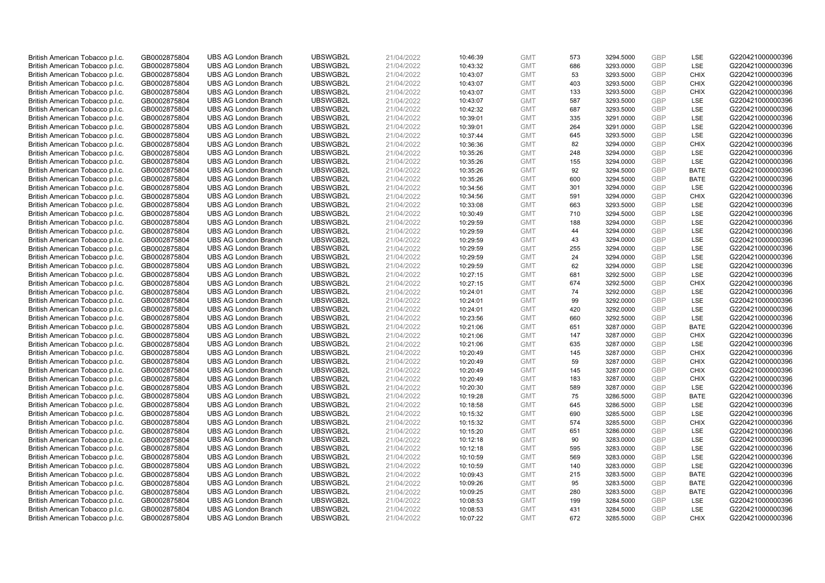| British American Tobacco p.l.c. | GB0002875804 | <b>UBS AG London Branch</b> | UBSWGB2L | 21/04/2022 | 10:46:39 | <b>GMT</b> | 573 | 3294.5000 | <b>GBP</b> | LSE         | G220421000000396 |
|---------------------------------|--------------|-----------------------------|----------|------------|----------|------------|-----|-----------|------------|-------------|------------------|
|                                 |              |                             |          |            |          |            |     |           |            |             |                  |
| British American Tobacco p.l.c. | GB0002875804 | <b>UBS AG London Branch</b> | UBSWGB2L | 21/04/2022 | 10:43:32 | <b>GMT</b> | 686 | 3293.0000 | <b>GBP</b> | LSE         | G220421000000396 |
| British American Tobacco p.l.c. | GB0002875804 | <b>UBS AG London Branch</b> | UBSWGB2L | 21/04/2022 | 10:43:07 | <b>GMT</b> | 53  | 3293.5000 | <b>GBP</b> | <b>CHIX</b> | G220421000000396 |
| British American Tobacco p.l.c. | GB0002875804 | <b>UBS AG London Branch</b> | UBSWGB2L | 21/04/2022 | 10:43:07 | <b>GMT</b> | 403 | 3293.5000 | <b>GBP</b> | <b>CHIX</b> | G220421000000396 |
| British American Tobacco p.l.c. | GB0002875804 | <b>UBS AG London Branch</b> | UBSWGB2L | 21/04/2022 | 10:43:07 | <b>GMT</b> | 133 | 3293.5000 | <b>GBP</b> | <b>CHIX</b> | G220421000000396 |
| British American Tobacco p.l.c. | GB0002875804 | <b>UBS AG London Branch</b> | UBSWGB2L | 21/04/2022 | 10:43:07 | <b>GMT</b> | 587 | 3293.5000 | <b>GBP</b> | LSE         | G220421000000396 |
| British American Tobacco p.l.c. | GB0002875804 | <b>UBS AG London Branch</b> | UBSWGB2L | 21/04/2022 | 10:42:32 | <b>GMT</b> | 687 | 3293.5000 | <b>GBP</b> | LSE         | G220421000000396 |
| British American Tobacco p.l.c. | GB0002875804 | <b>UBS AG London Branch</b> | UBSWGB2L | 21/04/2022 | 10:39:01 | <b>GMT</b> | 335 | 3291.0000 | <b>GBP</b> | LSE         | G220421000000396 |
| British American Tobacco p.l.c. | GB0002875804 | <b>UBS AG London Branch</b> | UBSWGB2L | 21/04/2022 | 10:39:01 | <b>GMT</b> | 264 | 3291.0000 | <b>GBP</b> | LSE         | G220421000000396 |
| British American Tobacco p.l.c. | GB0002875804 | <b>UBS AG London Branch</b> | UBSWGB2L | 21/04/2022 | 10:37:44 | <b>GMT</b> | 645 | 3293.5000 | <b>GBP</b> | LSE         | G220421000000396 |
| British American Tobacco p.l.c. | GB0002875804 | <b>UBS AG London Branch</b> | UBSWGB2L | 21/04/2022 | 10:36:36 | <b>GMT</b> | 82  | 3294.0000 | <b>GBP</b> | <b>CHIX</b> | G220421000000396 |
| British American Tobacco p.l.c. | GB0002875804 | <b>UBS AG London Branch</b> | UBSWGB2L | 21/04/2022 | 10:35:26 | <b>GMT</b> | 248 | 3294.0000 | <b>GBP</b> | LSE         | G220421000000396 |
| British American Tobacco p.l.c. | GB0002875804 | <b>UBS AG London Branch</b> | UBSWGB2L | 21/04/2022 | 10:35:26 | <b>GMT</b> | 155 | 3294.0000 | <b>GBP</b> | LSE         | G220421000000396 |
|                                 | GB0002875804 | <b>UBS AG London Branch</b> | UBSWGB2L |            |          |            | 92  |           | <b>GBP</b> |             | G220421000000396 |
| British American Tobacco p.l.c. |              |                             |          | 21/04/2022 | 10:35:26 | <b>GMT</b> |     | 3294.5000 |            | <b>BATE</b> |                  |
| British American Tobacco p.l.c. | GB0002875804 | <b>UBS AG London Branch</b> | UBSWGB2L | 21/04/2022 | 10:35:26 | <b>GMT</b> | 600 | 3294.5000 | <b>GBP</b> | <b>BATE</b> | G220421000000396 |
| British American Tobacco p.l.c. | GB0002875804 | <b>UBS AG London Branch</b> | UBSWGB2L | 21/04/2022 | 10:34:56 | <b>GMT</b> | 301 | 3294.0000 | <b>GBP</b> | LSE         | G220421000000396 |
| British American Tobacco p.l.c. | GB0002875804 | <b>UBS AG London Branch</b> | UBSWGB2L | 21/04/2022 | 10:34:56 | <b>GMT</b> | 591 | 3294.0000 | <b>GBP</b> | <b>CHIX</b> | G220421000000396 |
| British American Tobacco p.l.c. | GB0002875804 | <b>UBS AG London Branch</b> | UBSWGB2L | 21/04/2022 | 10:33:08 | <b>GMT</b> | 663 | 3293.5000 | <b>GBP</b> | LSE         | G220421000000396 |
| British American Tobacco p.l.c. | GB0002875804 | <b>UBS AG London Branch</b> | UBSWGB2L | 21/04/2022 | 10:30:49 | <b>GMT</b> | 710 | 3294.5000 | <b>GBP</b> | <b>LSE</b>  | G220421000000396 |
| British American Tobacco p.l.c. | GB0002875804 | <b>UBS AG London Branch</b> | UBSWGB2L | 21/04/2022 | 10:29:59 | <b>GMT</b> | 188 | 3294.0000 | <b>GBP</b> | LSE         | G220421000000396 |
| British American Tobacco p.l.c. | GB0002875804 | <b>UBS AG London Branch</b> | UBSWGB2L | 21/04/2022 | 10:29:59 | <b>GMT</b> | 44  | 3294.0000 | <b>GBP</b> | LSE         | G220421000000396 |
| British American Tobacco p.l.c. | GB0002875804 | <b>UBS AG London Branch</b> | UBSWGB2L | 21/04/2022 | 10:29:59 | <b>GMT</b> | 43  | 3294.0000 | <b>GBP</b> | LSE         | G220421000000396 |
| British American Tobacco p.l.c. | GB0002875804 | <b>UBS AG London Branch</b> | UBSWGB2L | 21/04/2022 | 10:29:59 | <b>GMT</b> | 255 | 3294.0000 | <b>GBP</b> | LSE         | G220421000000396 |
| British American Tobacco p.l.c. | GB0002875804 | <b>UBS AG London Branch</b> | UBSWGB2L | 21/04/2022 | 10:29:59 | <b>GMT</b> | 24  | 3294.0000 | <b>GBP</b> | LSE         | G220421000000396 |
| British American Tobacco p.l.c. | GB0002875804 | <b>UBS AG London Branch</b> | UBSWGB2L | 21/04/2022 | 10:29:59 | <b>GMT</b> | 62  | 3294.0000 | <b>GBP</b> | LSE         | G220421000000396 |
| British American Tobacco p.l.c. | GB0002875804 | <b>UBS AG London Branch</b> | UBSWGB2L | 21/04/2022 | 10:27:15 | <b>GMT</b> | 681 | 3292.5000 | <b>GBP</b> | LSE         | G220421000000396 |
| British American Tobacco p.l.c. | GB0002875804 | <b>UBS AG London Branch</b> | UBSWGB2L | 21/04/2022 | 10:27:15 | <b>GMT</b> | 674 | 3292.5000 | <b>GBP</b> | <b>CHIX</b> | G220421000000396 |
| British American Tobacco p.l.c. | GB0002875804 | <b>UBS AG London Branch</b> | UBSWGB2L | 21/04/2022 | 10:24:01 | <b>GMT</b> | 74  | 3292.0000 | <b>GBP</b> | LSE         | G220421000000396 |
|                                 |              |                             |          |            |          |            |     |           |            |             |                  |
| British American Tobacco p.l.c. | GB0002875804 | <b>UBS AG London Branch</b> | UBSWGB2L | 21/04/2022 | 10:24:01 | <b>GMT</b> | 99  | 3292.0000 | <b>GBP</b> | LSE         | G220421000000396 |
| British American Tobacco p.l.c. | GB0002875804 | <b>UBS AG London Branch</b> | UBSWGB2L | 21/04/2022 | 10:24:01 | <b>GMT</b> | 420 | 3292.0000 | <b>GBP</b> | LSE         | G220421000000396 |
| British American Tobacco p.l.c. | GB0002875804 | <b>UBS AG London Branch</b> | UBSWGB2L | 21/04/2022 | 10:23:56 | <b>GMT</b> | 660 | 3292.5000 | GBP        | LSE         | G220421000000396 |
| British American Tobacco p.l.c. | GB0002875804 | <b>UBS AG London Branch</b> | UBSWGB2L | 21/04/2022 | 10:21:06 | <b>GMT</b> | 651 | 3287.0000 | <b>GBP</b> | BATE        | G220421000000396 |
| British American Tobacco p.l.c. | GB0002875804 | <b>UBS AG London Branch</b> | UBSWGB2L | 21/04/2022 | 10:21:06 | <b>GMT</b> | 147 | 3287.0000 | <b>GBP</b> | <b>CHIX</b> | G220421000000396 |
| British American Tobacco p.l.c. | GB0002875804 | <b>UBS AG London Branch</b> | UBSWGB2L | 21/04/2022 | 10:21:06 | <b>GMT</b> | 635 | 3287.0000 | GBP        | LSE         | G220421000000396 |
| British American Tobacco p.l.c. | GB0002875804 | <b>UBS AG London Branch</b> | UBSWGB2L | 21/04/2022 | 10:20:49 | <b>GMT</b> | 145 | 3287.0000 | <b>GBP</b> | <b>CHIX</b> | G220421000000396 |
| British American Tobacco p.l.c. | GB0002875804 | <b>UBS AG London Branch</b> | UBSWGB2L | 21/04/2022 | 10:20:49 | <b>GMT</b> | 59  | 3287.0000 | <b>GBP</b> | <b>CHIX</b> | G220421000000396 |
| British American Tobacco p.l.c. | GB0002875804 | <b>UBS AG London Branch</b> | UBSWGB2L | 21/04/2022 | 10:20:49 | <b>GMT</b> | 145 | 3287.0000 | <b>GBP</b> | <b>CHIX</b> | G220421000000396 |
| British American Tobacco p.l.c. | GB0002875804 | <b>UBS AG London Branch</b> | UBSWGB2L | 21/04/2022 | 10:20:49 | <b>GMT</b> | 183 | 3287.0000 | <b>GBP</b> | <b>CHIX</b> | G220421000000396 |
| British American Tobacco p.l.c. | GB0002875804 | <b>UBS AG London Branch</b> | UBSWGB2L | 21/04/2022 | 10:20:30 | <b>GMT</b> | 589 | 3287.0000 | <b>GBP</b> | LSE         | G220421000000396 |
| British American Tobacco p.l.c. | GB0002875804 | <b>UBS AG London Branch</b> | UBSWGB2L | 21/04/2022 | 10:19:28 | <b>GMT</b> | 75  | 3286.5000 | <b>GBP</b> | <b>BATE</b> | G220421000000396 |
| British American Tobacco p.l.c. | GB0002875804 | <b>UBS AG London Branch</b> | UBSWGB2L | 21/04/2022 | 10:18:58 | <b>GMT</b> | 645 | 3286.5000 | <b>GBP</b> | LSE         | G220421000000396 |
| British American Tobacco p.l.c. | GB0002875804 | <b>UBS AG London Branch</b> | UBSWGB2L | 21/04/2022 | 10:15:32 | <b>GMT</b> | 690 | 3285.5000 | <b>GBP</b> | LSE         | G220421000000396 |
| British American Tobacco p.l.c. | GB0002875804 | <b>UBS AG London Branch</b> | UBSWGB2L | 21/04/2022 | 10:15:32 | <b>GMT</b> | 574 | 3285.5000 | <b>GBP</b> | <b>CHIX</b> | G220421000000396 |
|                                 |              |                             |          |            |          |            |     |           |            | LSE         |                  |
| British American Tobacco p.l.c. | GB0002875804 | <b>UBS AG London Branch</b> | UBSWGB2L | 21/04/2022 | 10:15:20 | <b>GMT</b> | 651 | 3286.0000 | GBP        |             | G220421000000396 |
| British American Tobacco p.l.c. | GB0002875804 | <b>UBS AG London Branch</b> | UBSWGB2L | 21/04/2022 | 10:12:18 | <b>GMT</b> | 90  | 3283.0000 | <b>GBP</b> | LSE         | G220421000000396 |
| British American Tobacco p.l.c. | GB0002875804 | <b>UBS AG London Branch</b> | UBSWGB2L | 21/04/2022 | 10:12:18 | <b>GMT</b> | 595 | 3283.0000 | <b>GBP</b> | LSE         | G220421000000396 |
| British American Tobacco p.l.c. | GB0002875804 | <b>UBS AG London Branch</b> | UBSWGB2L | 21/04/2022 | 10:10:59 | <b>GMT</b> | 569 | 3283.0000 | <b>GBP</b> | LSE         | G220421000000396 |
| British American Tobacco p.l.c. | GB0002875804 | <b>UBS AG London Branch</b> | UBSWGB2L | 21/04/2022 | 10:10:59 | <b>GMT</b> | 140 | 3283.0000 | <b>GBP</b> | LSE         | G220421000000396 |
| British American Tobacco p.l.c. | GB0002875804 | <b>UBS AG London Branch</b> | UBSWGB2L | 21/04/2022 | 10:09:43 | <b>GMT</b> | 215 | 3283.5000 | <b>GBP</b> | <b>BATE</b> | G220421000000396 |
| British American Tobacco p.l.c. | GB0002875804 | <b>UBS AG London Branch</b> | UBSWGB2L | 21/04/2022 | 10:09:26 | <b>GMT</b> | 95  | 3283.5000 | <b>GBP</b> | <b>BATE</b> | G220421000000396 |
| British American Tobacco p.l.c. | GB0002875804 | <b>UBS AG London Branch</b> | UBSWGB2L | 21/04/2022 | 10:09:25 | <b>GMT</b> | 280 | 3283.5000 | <b>GBP</b> | <b>BATE</b> | G220421000000396 |
| British American Tobacco p.l.c. | GB0002875804 | <b>UBS AG London Branch</b> | UBSWGB2L | 21/04/2022 | 10:08:53 | <b>GMT</b> | 199 | 3284.5000 | <b>GBP</b> | LSE         | G220421000000396 |
| British American Tobacco p.l.c. | GB0002875804 | <b>UBS AG London Branch</b> | UBSWGB2L | 21/04/2022 | 10:08:53 | <b>GMT</b> | 431 | 3284.5000 | <b>GBP</b> | LSE         | G220421000000396 |
| British American Tobacco p.l.c. | GB0002875804 | <b>UBS AG London Branch</b> | UBSWGB2L | 21/04/2022 | 10:07:22 | <b>GMT</b> | 672 | 3285.5000 | GBP        | <b>CHIX</b> | G220421000000396 |
|                                 |              |                             |          |            |          |            |     |           |            |             |                  |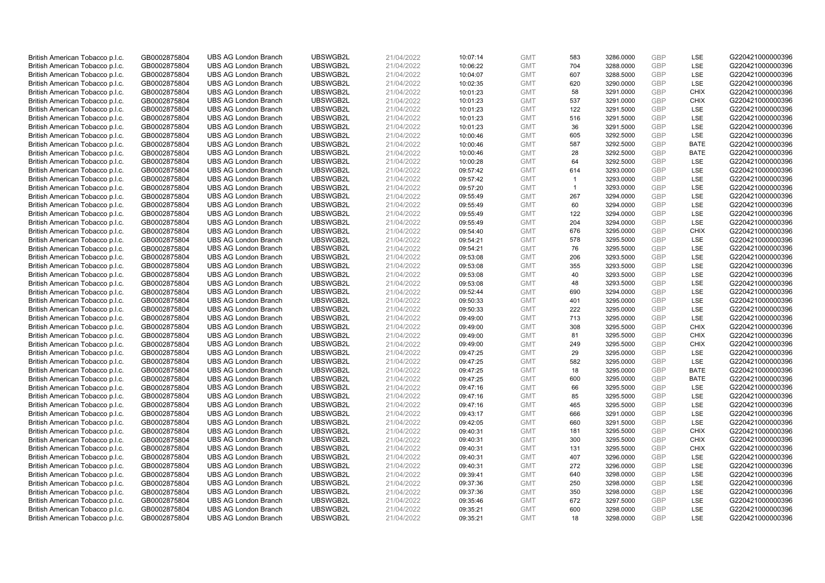| British American Tobacco p.l.c. | GB0002875804 | <b>UBS AG London Branch</b> | UBSWGB2L | 21/04/2022 | 10:07:14 | <b>GMT</b> | 583          | 3286.0000 | <b>GBP</b> | LSE         | G220421000000396 |
|---------------------------------|--------------|-----------------------------|----------|------------|----------|------------|--------------|-----------|------------|-------------|------------------|
| British American Tobacco p.l.c. | GB0002875804 | <b>UBS AG London Branch</b> | UBSWGB2L | 21/04/2022 | 10:06:22 | <b>GMT</b> | 704          | 3288.0000 | GBP        | LSE         | G220421000000396 |
| British American Tobacco p.l.c. | GB0002875804 | <b>UBS AG London Branch</b> | UBSWGB2L | 21/04/2022 | 10:04:07 | <b>GMT</b> | 607          | 3288.5000 | <b>GBP</b> | LSE         | G220421000000396 |
| British American Tobacco p.l.c. | GB0002875804 | <b>UBS AG London Branch</b> | UBSWGB2L | 21/04/2022 | 10:02:35 | <b>GMT</b> | 620          | 3290.0000 | <b>GBP</b> | LSE         | G220421000000396 |
| British American Tobacco p.l.c. | GB0002875804 | <b>UBS AG London Branch</b> | UBSWGB2L | 21/04/2022 | 10:01:23 | <b>GMT</b> | 58           | 3291.0000 | <b>GBP</b> | <b>CHIX</b> | G220421000000396 |
| British American Tobacco p.l.c. | GB0002875804 | <b>UBS AG London Branch</b> | UBSWGB2L | 21/04/2022 | 10:01:23 | <b>GMT</b> | 537          | 3291.0000 | <b>GBP</b> | <b>CHIX</b> | G220421000000396 |
| British American Tobacco p.l.c. | GB0002875804 | <b>UBS AG London Branch</b> | UBSWGB2L | 21/04/2022 | 10:01:23 | <b>GMT</b> | 122          | 3291.5000 | <b>GBP</b> | LSE         | G220421000000396 |
| British American Tobacco p.l.c. | GB0002875804 | <b>UBS AG London Branch</b> | UBSWGB2L | 21/04/2022 | 10:01:23 | <b>GMT</b> | 516          | 3291.5000 | <b>GBP</b> | LSE         | G220421000000396 |
| British American Tobacco p.l.c. | GB0002875804 | <b>UBS AG London Branch</b> | UBSWGB2L | 21/04/2022 | 10:01:23 | <b>GMT</b> | 36           | 3291.5000 | <b>GBP</b> | LSE         | G220421000000396 |
| British American Tobacco p.l.c. | GB0002875804 | <b>UBS AG London Branch</b> | UBSWGB2L | 21/04/2022 | 10:00:46 | <b>GMT</b> | 605          | 3292.5000 | <b>GBP</b> | LSE         | G220421000000396 |
| British American Tobacco p.l.c. | GB0002875804 | <b>UBS AG London Branch</b> | UBSWGB2L | 21/04/2022 | 10:00:46 | <b>GMT</b> | 587          | 3292.5000 | <b>GBP</b> | <b>BATE</b> | G220421000000396 |
| British American Tobacco p.l.c. | GB0002875804 | <b>UBS AG London Branch</b> | UBSWGB2L | 21/04/2022 | 10:00:46 | <b>GMT</b> | 28           | 3292.5000 | <b>GBP</b> | <b>BATE</b> | G220421000000396 |
| British American Tobacco p.l.c. | GB0002875804 | <b>UBS AG London Branch</b> | UBSWGB2L | 21/04/2022 | 10:00:28 | <b>GMT</b> | 64           | 3292.5000 | <b>GBP</b> | LSE         | G220421000000396 |
| British American Tobacco p.l.c. | GB0002875804 | <b>UBS AG London Branch</b> | UBSWGB2L | 21/04/2022 | 09:57:42 | <b>GMT</b> | 614          | 3293.0000 | <b>GBP</b> | LSE         | G220421000000396 |
| British American Tobacco p.l.c. | GB0002875804 | <b>UBS AG London Branch</b> | UBSWGB2L | 21/04/2022 | 09:57:42 | <b>GMT</b> | $\mathbf{1}$ | 3293.0000 | <b>GBP</b> | LSE         | G220421000000396 |
| British American Tobacco p.l.c. | GB0002875804 | <b>UBS AG London Branch</b> | UBSWGB2L | 21/04/2022 | 09:57:20 | <b>GMT</b> | $\mathbf{1}$ | 3293.0000 | <b>GBP</b> | LSE         | G220421000000396 |
| British American Tobacco p.l.c. | GB0002875804 | <b>UBS AG London Branch</b> | UBSWGB2L | 21/04/2022 | 09:55:49 | <b>GMT</b> | 267          | 3294.0000 | <b>GBP</b> | LSE         | G220421000000396 |
| British American Tobacco p.l.c. | GB0002875804 | <b>UBS AG London Branch</b> | UBSWGB2L | 21/04/2022 | 09:55:49 | <b>GMT</b> | 60           | 3294.0000 | <b>GBP</b> | LSE         | G220421000000396 |
| British American Tobacco p.l.c. | GB0002875804 | <b>UBS AG London Branch</b> | UBSWGB2L | 21/04/2022 | 09:55:49 | <b>GMT</b> | 122          | 3294.0000 | <b>GBP</b> | <b>LSE</b>  | G220421000000396 |
| British American Tobacco p.l.c. | GB0002875804 | <b>UBS AG London Branch</b> | UBSWGB2L | 21/04/2022 | 09:55:49 | <b>GMT</b> | 204          | 3294.0000 | <b>GBP</b> | LSE         | G220421000000396 |
| British American Tobacco p.l.c. | GB0002875804 | <b>UBS AG London Branch</b> | UBSWGB2L | 21/04/2022 | 09:54:40 | <b>GMT</b> | 676          | 3295.0000 | <b>GBP</b> | <b>CHIX</b> | G220421000000396 |
| British American Tobacco p.l.c. | GB0002875804 | <b>UBS AG London Branch</b> | UBSWGB2L | 21/04/2022 | 09:54:21 | <b>GMT</b> | 578          | 3295.5000 | <b>GBP</b> | LSE         | G220421000000396 |
| British American Tobacco p.l.c. | GB0002875804 | <b>UBS AG London Branch</b> | UBSWGB2L | 21/04/2022 | 09:54:21 | <b>GMT</b> | 76           | 3295.5000 | <b>GBP</b> | LSE         | G220421000000396 |
| British American Tobacco p.l.c. | GB0002875804 | <b>UBS AG London Branch</b> | UBSWGB2L | 21/04/2022 | 09:53:08 | <b>GMT</b> | 206          | 3293.5000 | <b>GBP</b> | LSE         | G220421000000396 |
| British American Tobacco p.l.c. | GB0002875804 | <b>UBS AG London Branch</b> | UBSWGB2L | 21/04/2022 | 09:53:08 | <b>GMT</b> | 355          | 3293.5000 | <b>GBP</b> | LSE         | G220421000000396 |
| British American Tobacco p.l.c. | GB0002875804 | <b>UBS AG London Branch</b> | UBSWGB2L | 21/04/2022 | 09:53:08 | <b>GMT</b> | 40           | 3293.5000 | <b>GBP</b> | LSE         | G220421000000396 |
| British American Tobacco p.l.c. | GB0002875804 | <b>UBS AG London Branch</b> | UBSWGB2L | 21/04/2022 | 09:53:08 | <b>GMT</b> | 48           | 3293.5000 | <b>GBP</b> | LSE         | G220421000000396 |
| British American Tobacco p.l.c. | GB0002875804 | <b>UBS AG London Branch</b> | UBSWGB2L | 21/04/2022 | 09:52:44 | <b>GMT</b> | 690          | 3294.0000 | <b>GBP</b> | LSE         | G220421000000396 |
| British American Tobacco p.l.c. | GB0002875804 | <b>UBS AG London Branch</b> | UBSWGB2L | 21/04/2022 | 09:50:33 | <b>GMT</b> | 401          | 3295.0000 | <b>GBP</b> | LSE         | G220421000000396 |
| British American Tobacco p.l.c. | GB0002875804 | <b>UBS AG London Branch</b> | UBSWGB2L | 21/04/2022 | 09:50:33 | <b>GMT</b> | 222          | 3295.0000 | <b>GBP</b> | LSE         | G220421000000396 |
| British American Tobacco p.l.c. | GB0002875804 | <b>UBS AG London Branch</b> | UBSWGB2L | 21/04/2022 | 09:49:00 | <b>GMT</b> | 713          | 3295.0000 | GBP        | LSE         | G220421000000396 |
| British American Tobacco p.l.c. | GB0002875804 | <b>UBS AG London Branch</b> | UBSWGB2L | 21/04/2022 | 09:49:00 | <b>GMT</b> | 308          | 3295.5000 | <b>GBP</b> | <b>CHIX</b> | G220421000000396 |
| British American Tobacco p.l.c. | GB0002875804 | <b>UBS AG London Branch</b> | UBSWGB2L | 21/04/2022 | 09:49:00 | <b>GMT</b> | 81           | 3295.5000 | <b>GBP</b> | <b>CHIX</b> | G220421000000396 |
| British American Tobacco p.l.c. | GB0002875804 | <b>UBS AG London Branch</b> | UBSWGB2L | 21/04/2022 | 09:49:00 | <b>GMT</b> | 249          | 3295.5000 | <b>GBP</b> | <b>CHIX</b> | G220421000000396 |
| British American Tobacco p.l.c. | GB0002875804 | <b>UBS AG London Branch</b> | UBSWGB2L | 21/04/2022 | 09:47:25 | <b>GMT</b> | 29           | 3295.0000 | <b>GBP</b> | LSE         | G220421000000396 |
| British American Tobacco p.l.c. | GB0002875804 | <b>UBS AG London Branch</b> | UBSWGB2L | 21/04/2022 | 09:47:25 | <b>GMT</b> | 582          | 3295.0000 | <b>GBP</b> | LSE         | G220421000000396 |
| British American Tobacco p.l.c. | GB0002875804 | <b>UBS AG London Branch</b> | UBSWGB2L | 21/04/2022 | 09:47:25 | <b>GMT</b> | 18           | 3295.0000 | <b>GBP</b> | <b>BATE</b> | G220421000000396 |
| British American Tobacco p.l.c. | GB0002875804 | <b>UBS AG London Branch</b> | UBSWGB2L | 21/04/2022 | 09:47:25 | <b>GMT</b> | 600          | 3295.0000 | <b>GBP</b> | <b>BATE</b> | G220421000000396 |
| British American Tobacco p.l.c. | GB0002875804 | <b>UBS AG London Branch</b> | UBSWGB2L | 21/04/2022 | 09:47:16 | <b>GMT</b> | 66           | 3295.5000 | <b>GBP</b> | LSE         | G220421000000396 |
| British American Tobacco p.l.c. | GB0002875804 | <b>UBS AG London Branch</b> | UBSWGB2L | 21/04/2022 | 09:47:16 | <b>GMT</b> | 85           | 3295.5000 | <b>GBP</b> | LSE         | G220421000000396 |
| British American Tobacco p.l.c. | GB0002875804 | <b>UBS AG London Branch</b> | UBSWGB2L | 21/04/2022 | 09:47:16 | <b>GMT</b> | 465          | 3295.5000 | <b>GBP</b> | LSE         | G220421000000396 |
| British American Tobacco p.l.c. | GB0002875804 | <b>UBS AG London Branch</b> | UBSWGB2L | 21/04/2022 | 09:43:17 | <b>GMT</b> | 666          | 3291.0000 | <b>GBP</b> | LSE         | G220421000000396 |
| British American Tobacco p.l.c. | GB0002875804 | <b>UBS AG London Branch</b> | UBSWGB2L | 21/04/2022 | 09:42:05 | <b>GMT</b> | 660          | 3291.5000 | <b>GBP</b> | LSE         | G220421000000396 |
| British American Tobacco p.l.c. |              | <b>UBS AG London Branch</b> | UBSWGB2L | 21/04/2022 |          | <b>GMT</b> | 181          | 3295.5000 | <b>GBP</b> | <b>CHIX</b> |                  |
|                                 | GB0002875804 |                             | UBSWGB2L |            | 09:40:31 |            | 300          |           | <b>GBP</b> | <b>CHIX</b> | G220421000000396 |
| British American Tobacco p.l.c. | GB0002875804 | <b>UBS AG London Branch</b> |          | 21/04/2022 | 09:40:31 | <b>GMT</b> |              | 3295.5000 |            |             | G220421000000396 |
| British American Tobacco p.l.c. | GB0002875804 | <b>UBS AG London Branch</b> | UBSWGB2L | 21/04/2022 | 09:40:31 | <b>GMT</b> | 131          | 3295.5000 | <b>GBP</b> | <b>CHIX</b> | G220421000000396 |
| British American Tobacco p.l.c. | GB0002875804 | <b>UBS AG London Branch</b> | UBSWGB2L | 21/04/2022 | 09:40:31 | <b>GMT</b> | 407          | 3296.0000 | <b>GBP</b> | LSE         | G220421000000396 |
| British American Tobacco p.l.c. | GB0002875804 | <b>UBS AG London Branch</b> | UBSWGB2L | 21/04/2022 | 09:40:31 | <b>GMT</b> | 272          | 3296.0000 | <b>GBP</b> | LSE         | G220421000000396 |
| British American Tobacco p.l.c. | GB0002875804 | <b>UBS AG London Branch</b> | UBSWGB2L | 21/04/2022 | 09:39:41 | <b>GMT</b> | 640          | 3298.0000 | <b>GBP</b> | LSE         | G220421000000396 |
| British American Tobacco p.l.c. | GB0002875804 | <b>UBS AG London Branch</b> | UBSWGB2L | 21/04/2022 | 09:37:36 | <b>GMT</b> | 250          | 3298.0000 | <b>GBP</b> | LSE         | G220421000000396 |
| British American Tobacco p.l.c. | GB0002875804 | <b>UBS AG London Branch</b> | UBSWGB2L | 21/04/2022 | 09:37:36 | <b>GMT</b> | 350          | 3298.0000 | <b>GBP</b> | LSE         | G220421000000396 |
| British American Tobacco p.l.c. | GB0002875804 | <b>UBS AG London Branch</b> | UBSWGB2L | 21/04/2022 | 09:35:46 | <b>GMT</b> | 672          | 3297.5000 | <b>GBP</b> | LSE         | G220421000000396 |
| British American Tobacco p.l.c. | GB0002875804 | <b>UBS AG London Branch</b> | UBSWGB2L | 21/04/2022 | 09:35:21 | <b>GMT</b> | 600          | 3298.0000 | <b>GBP</b> | LSE         | G220421000000396 |
| British American Tobacco p.l.c. | GB0002875804 | <b>UBS AG London Branch</b> | UBSWGB2L | 21/04/2022 | 09:35:21 | <b>GMT</b> | 18           | 3298.0000 | GBP        | LSE         | G220421000000396 |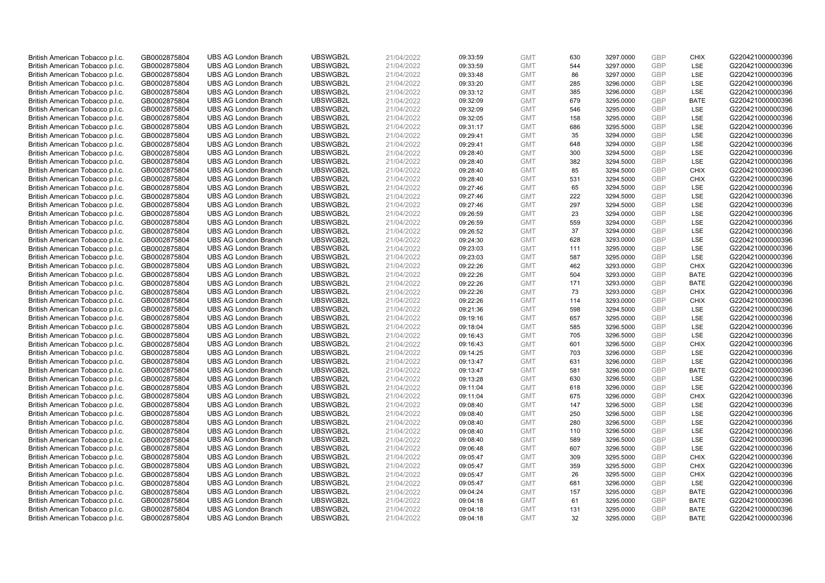| British American Tobacco p.l.c. | GB0002875804 | <b>UBS AG London Branch</b> | UBSWGB2L | 21/04/2022 | 09:33:59 | <b>GMT</b> | 630 | 3297.0000 | <b>GBP</b> | <b>CHIX</b> | G220421000000396 |
|---------------------------------|--------------|-----------------------------|----------|------------|----------|------------|-----|-----------|------------|-------------|------------------|
| British American Tobacco p.l.c. | GB0002875804 | <b>UBS AG London Branch</b> | UBSWGB2L | 21/04/2022 | 09:33:59 | <b>GMT</b> | 544 | 3297.0000 | GBP        | LSE         | G220421000000396 |
| British American Tobacco p.l.c. | GB0002875804 | <b>UBS AG London Branch</b> | UBSWGB2L | 21/04/2022 | 09:33:48 | <b>GMT</b> | 86  | 3297.0000 | <b>GBP</b> | <b>LSE</b>  | G220421000000396 |
| British American Tobacco p.l.c. | GB0002875804 | <b>UBS AG London Branch</b> | UBSWGB2L | 21/04/2022 | 09:33:20 | <b>GMT</b> | 285 | 3296.0000 | GBP        | LSE         | G220421000000396 |
| British American Tobacco p.l.c. | GB0002875804 | <b>UBS AG London Branch</b> | UBSWGB2L | 21/04/2022 | 09:33:12 | <b>GMT</b> | 385 | 3296.0000 | <b>GBP</b> | <b>LSE</b>  | G220421000000396 |
| British American Tobacco p.l.c. | GB0002875804 | <b>UBS AG London Branch</b> | UBSWGB2L | 21/04/2022 | 09:32:09 | <b>GMT</b> | 679 | 3295.0000 | GBP        | <b>BATE</b> | G220421000000396 |
| British American Tobacco p.l.c. | GB0002875804 | <b>UBS AG London Branch</b> | UBSWGB2L | 21/04/2022 | 09:32:09 | <b>GMT</b> | 546 | 3295.0000 | <b>GBP</b> | LSE         | G220421000000396 |
| British American Tobacco p.l.c. | GB0002875804 | <b>UBS AG London Branch</b> | UBSWGB2L | 21/04/2022 | 09:32:05 | <b>GMT</b> | 158 | 3295.0000 | <b>GBP</b> | LSE         | G220421000000396 |
| British American Tobacco p.l.c. | GB0002875804 | <b>UBS AG London Branch</b> | UBSWGB2L | 21/04/2022 | 09:31:17 | <b>GMT</b> | 686 | 3295.5000 | <b>GBP</b> | <b>LSE</b>  | G220421000000396 |
| British American Tobacco p.l.c. | GB0002875804 | <b>UBS AG London Branch</b> | UBSWGB2L | 21/04/2022 | 09:29:41 | <b>GMT</b> | 35  | 3294.0000 | GBP        | <b>LSE</b>  | G220421000000396 |
| British American Tobacco p.l.c. | GB0002875804 | <b>UBS AG London Branch</b> | UBSWGB2L | 21/04/2022 | 09:29:41 | <b>GMT</b> | 648 | 3294.0000 | <b>GBP</b> | LSE         | G220421000000396 |
| British American Tobacco p.l.c. | GB0002875804 | <b>UBS AG London Branch</b> | UBSWGB2L | 21/04/2022 | 09:28:40 | <b>GMT</b> | 300 | 3294.5000 | <b>GBP</b> | LSE         | G220421000000396 |
| British American Tobacco p.l.c. | GB0002875804 | <b>UBS AG London Branch</b> | UBSWGB2L | 21/04/2022 | 09:28:40 | <b>GMT</b> | 382 | 3294.5000 | <b>GBP</b> | LSE         | G220421000000396 |
| British American Tobacco p.l.c. | GB0002875804 | <b>UBS AG London Branch</b> | UBSWGB2L | 21/04/2022 | 09:28:40 | <b>GMT</b> | 85  | 3294.5000 | <b>GBP</b> | <b>CHIX</b> | G220421000000396 |
| British American Tobacco p.l.c. | GB0002875804 | <b>UBS AG London Branch</b> | UBSWGB2L | 21/04/2022 | 09:28:40 | <b>GMT</b> | 531 | 3294.5000 | GBP        | <b>CHIX</b> | G220421000000396 |
| British American Tobacco p.l.c. | GB0002875804 | <b>UBS AG London Branch</b> | UBSWGB2L | 21/04/2022 | 09:27:46 | <b>GMT</b> | 65  | 3294.5000 | <b>GBP</b> | LSE         | G220421000000396 |
| British American Tobacco p.l.c. | GB0002875804 | <b>UBS AG London Branch</b> | UBSWGB2L | 21/04/2022 | 09:27:46 | <b>GMT</b> | 222 | 3294.5000 | <b>GBP</b> | <b>LSE</b>  | G220421000000396 |
| British American Tobacco p.l.c. | GB0002875804 | <b>UBS AG London Branch</b> | UBSWGB2L | 21/04/2022 | 09:27:46 | <b>GMT</b> | 297 | 3294.5000 | GBP        | LSE         | G220421000000396 |
| British American Tobacco p.l.c. | GB0002875804 | <b>UBS AG London Branch</b> | UBSWGB2L | 21/04/2022 | 09:26:59 | <b>GMT</b> | 23  | 3294.0000 | <b>GBP</b> | <b>LSE</b>  | G220421000000396 |
| British American Tobacco p.l.c. | GB0002875804 | <b>UBS AG London Branch</b> | UBSWGB2L | 21/04/2022 | 09:26:59 | <b>GMT</b> | 559 | 3294.0000 | <b>GBP</b> | LSE         | G220421000000396 |
| British American Tobacco p.l.c. | GB0002875804 | <b>UBS AG London Branch</b> | UBSWGB2L | 21/04/2022 | 09:26:52 | <b>GMT</b> | 37  | 3294.0000 | <b>GBP</b> | LSE         | G220421000000396 |
| British American Tobacco p.l.c. | GB0002875804 | <b>UBS AG London Branch</b> | UBSWGB2L | 21/04/2022 | 09:24:30 | <b>GMT</b> | 628 | 3293.0000 | GBP        | <b>LSE</b>  | G220421000000396 |
| British American Tobacco p.l.c. | GB0002875804 | <b>UBS AG London Branch</b> | UBSWGB2L | 21/04/2022 | 09:23:03 | <b>GMT</b> | 111 | 3295.0000 | <b>GBP</b> | LSE         | G220421000000396 |
| British American Tobacco p.l.c. | GB0002875804 | <b>UBS AG London Branch</b> | UBSWGB2L | 21/04/2022 | 09:23:03 | <b>GMT</b> | 587 | 3295.0000 | <b>GBP</b> | LSE         | G220421000000396 |
| British American Tobacco p.l.c. | GB0002875804 | <b>UBS AG London Branch</b> | UBSWGB2L | 21/04/2022 | 09:22:26 | <b>GMT</b> | 462 | 3293.0000 | <b>GBP</b> | <b>CHIX</b> | G220421000000396 |
| British American Tobacco p.l.c. | GB0002875804 | <b>UBS AG London Branch</b> | UBSWGB2L | 21/04/2022 | 09:22:26 | <b>GMT</b> | 504 | 3293.0000 | GBP        | <b>BATE</b> | G220421000000396 |
| British American Tobacco p.l.c. | GB0002875804 | <b>UBS AG London Branch</b> | UBSWGB2L | 21/04/2022 | 09:22:26 | <b>GMT</b> | 171 | 3293.0000 | <b>GBP</b> | <b>BATE</b> | G220421000000396 |
| British American Tobacco p.l.c. | GB0002875804 | <b>UBS AG London Branch</b> | UBSWGB2L | 21/04/2022 | 09:22:26 | <b>GMT</b> | 73  | 3293.0000 | <b>GBP</b> | <b>CHIX</b> | G220421000000396 |
| British American Tobacco p.l.c. | GB0002875804 | <b>UBS AG London Branch</b> | UBSWGB2L | 21/04/2022 | 09:22:26 | <b>GMT</b> | 114 | 3293.0000 | GBP        | <b>CHIX</b> | G220421000000396 |
| British American Tobacco p.l.c. | GB0002875804 | <b>UBS AG London Branch</b> | UBSWGB2L | 21/04/2022 | 09:21:36 | <b>GMT</b> | 598 | 3294.5000 | <b>GBP</b> | LSE         | G220421000000396 |
| British American Tobacco p.l.c. | GB0002875804 | <b>UBS AG London Branch</b> | UBSWGB2L | 21/04/2022 | 09:19:16 | <b>GMT</b> | 657 | 3295.0000 | <b>GBP</b> | LSE         | G220421000000396 |
| British American Tobacco p.l.c. | GB0002875804 | <b>UBS AG London Branch</b> | UBSWGB2L | 21/04/2022 | 09:18:04 | <b>GMT</b> | 585 | 3296.5000 | <b>GBP</b> | <b>LSE</b>  | G220421000000396 |
| British American Tobacco p.l.c. | GB0002875804 | <b>UBS AG London Branch</b> | UBSWGB2L | 21/04/2022 | 09:16:43 | <b>GMT</b> | 705 | 3296.5000 | GBP        | <b>LSE</b>  | G220421000000396 |
| British American Tobacco p.l.c. | GB0002875804 | <b>UBS AG London Branch</b> | UBSWGB2L | 21/04/2022 | 09:16:43 | <b>GMT</b> | 601 | 3296.5000 | <b>GBP</b> | <b>CHIX</b> | G220421000000396 |
| British American Tobacco p.l.c. | GB0002875804 | <b>UBS AG London Branch</b> | UBSWGB2L | 21/04/2022 | 09:14:25 | <b>GMT</b> | 703 | 3296.0000 | <b>GBP</b> | LSE         | G220421000000396 |
| British American Tobacco p.l.c. | GB0002875804 | <b>UBS AG London Branch</b> | UBSWGB2L | 21/04/2022 | 09:13:47 | <b>GMT</b> | 631 | 3296.0000 | <b>GBP</b> | <b>LSE</b>  | G220421000000396 |
| British American Tobacco p.l.c. | GB0002875804 | <b>UBS AG London Branch</b> | UBSWGB2L | 21/04/2022 | 09:13:47 | <b>GMT</b> | 581 | 3296.0000 | GBP        | <b>BATE</b> | G220421000000396 |
| British American Tobacco p.l.c. | GB0002875804 | <b>UBS AG London Branch</b> | UBSWGB2L | 21/04/2022 | 09:13:28 | <b>GMT</b> | 630 | 3296.5000 | <b>GBP</b> | LSE         | G220421000000396 |
| British American Tobacco p.l.c. | GB0002875804 | <b>UBS AG London Branch</b> | UBSWGB2L | 21/04/2022 | 09:11:04 | <b>GMT</b> | 618 | 3296.0000 | <b>GBP</b> | LSE         | G220421000000396 |
| British American Tobacco p.l.c. | GB0002875804 | <b>UBS AG London Branch</b> | UBSWGB2L | 21/04/2022 | 09:11:04 | <b>GMT</b> | 675 | 3296.0000 | <b>GBP</b> | <b>CHIX</b> | G220421000000396 |
| British American Tobacco p.l.c. | GB0002875804 | <b>UBS AG London Branch</b> | UBSWGB2L | 21/04/2022 | 09:08:40 | <b>GMT</b> | 147 | 3296.5000 | GBP        | <b>LSE</b>  | G220421000000396 |
| British American Tobacco p.l.c. | GB0002875804 | <b>UBS AG London Branch</b> | UBSWGB2L | 21/04/2022 | 09:08:40 | <b>GMT</b> | 250 | 3296.5000 | <b>GBP</b> | LSE         | G220421000000396 |
| British American Tobacco p.l.c. | GB0002875804 | <b>UBS AG London Branch</b> | UBSWGB2L | 21/04/2022 | 09:08:40 | <b>GMT</b> | 280 | 3296.5000 | <b>GBP</b> | <b>LSE</b>  | G220421000000396 |
| British American Tobacco p.l.c. | GB0002875804 | <b>UBS AG London Branch</b> | UBSWGB2L | 21/04/2022 | 09:08:40 | <b>GMT</b> | 110 | 3296.5000 | <b>GBP</b> | LSE         | G220421000000396 |
| British American Tobacco p.l.c. | GB0002875804 | <b>UBS AG London Branch</b> | UBSWGB2L | 21/04/2022 | 09:08:40 | <b>GMT</b> | 589 | 3296.5000 | <b>GBP</b> | <b>LSE</b>  | G220421000000396 |
| British American Tobacco p.l.c. | GB0002875804 | <b>UBS AG London Branch</b> | UBSWGB2L | 21/04/2022 | 09:06:48 | <b>GMT</b> | 607 | 3296.5000 | <b>GBP</b> | LSE         | G220421000000396 |
| British American Tobacco p.l.c. | GB0002875804 | <b>UBS AG London Branch</b> | UBSWGB2L | 21/04/2022 | 09:05:47 | <b>GMT</b> | 309 | 3295.5000 | <b>GBP</b> | <b>CHIX</b> | G220421000000396 |
| British American Tobacco p.l.c. | GB0002875804 | <b>UBS AG London Branch</b> | UBSWGB2L | 21/04/2022 | 09:05:47 | <b>GMT</b> | 359 | 3295.5000 | <b>GBP</b> | <b>CHIX</b> | G220421000000396 |
| British American Tobacco p.l.c. | GB0002875804 | <b>UBS AG London Branch</b> | UBSWGB2L | 21/04/2022 | 09:05:47 | <b>GMT</b> | 26  | 3295.5000 | <b>GBP</b> | <b>CHIX</b> | G220421000000396 |
| British American Tobacco p.l.c. | GB0002875804 | <b>UBS AG London Branch</b> | UBSWGB2L | 21/04/2022 | 09:05:47 | <b>GMT</b> | 681 | 3296.0000 | <b>GBP</b> | <b>LSE</b>  | G220421000000396 |
| British American Tobacco p.l.c. | GB0002875804 | <b>UBS AG London Branch</b> | UBSWGB2L | 21/04/2022 | 09:04:24 | <b>GMT</b> | 157 | 3295.0000 | <b>GBP</b> | <b>BATE</b> | G220421000000396 |
| British American Tobacco p.l.c. | GB0002875804 | <b>UBS AG London Branch</b> | UBSWGB2L | 21/04/2022 | 09:04:18 | <b>GMT</b> | 61  | 3295.0000 | <b>GBP</b> | <b>BATE</b> | G220421000000396 |
| British American Tobacco p.l.c. | GB0002875804 | <b>UBS AG London Branch</b> | UBSWGB2L | 21/04/2022 | 09:04:18 | <b>GMT</b> | 131 | 3295.0000 | GBP        | <b>BATE</b> | G220421000000396 |
| British American Tobacco p.l.c. | GB0002875804 | <b>UBS AG London Branch</b> | UBSWGB2L | 21/04/2022 | 09:04:18 | <b>GMT</b> | 32  | 3295.0000 | GBP        | <b>BATE</b> | G220421000000396 |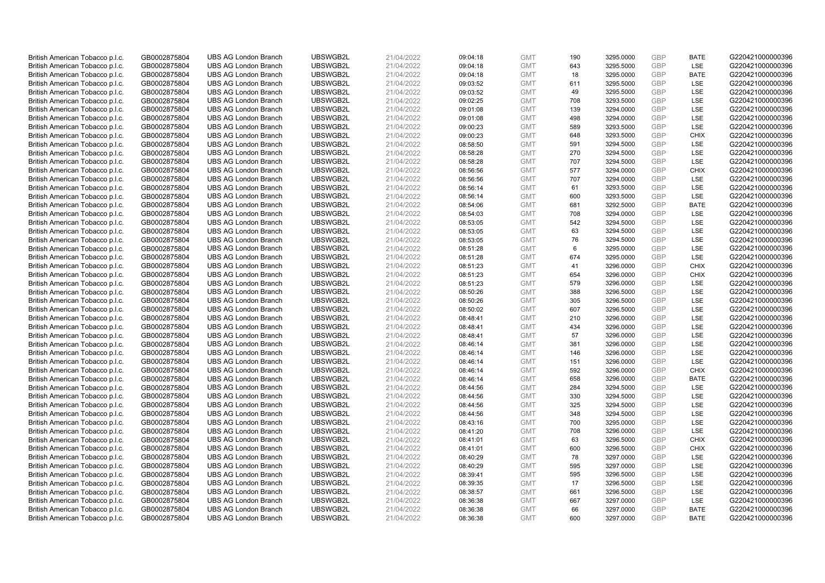| British American Tobacco p.l.c. | GB0002875804 | <b>UBS AG London Branch</b> | UBSWGB2L | 21/04/2022 | 09:04:18 | <b>GMT</b> | 190 | 3295.0000 | <b>GBP</b> | <b>BATE</b> | G220421000000396 |
|---------------------------------|--------------|-----------------------------|----------|------------|----------|------------|-----|-----------|------------|-------------|------------------|
| British American Tobacco p.l.c. | GB0002875804 | <b>UBS AG London Branch</b> | UBSWGB2L | 21/04/2022 | 09:04:18 | <b>GMT</b> | 643 | 3295.5000 | <b>GBP</b> | LSE         | G220421000000396 |
| British American Tobacco p.l.c. | GB0002875804 | <b>UBS AG London Branch</b> | UBSWGB2L | 21/04/2022 | 09:04:18 | <b>GMT</b> | 18  | 3295.0000 | <b>GBP</b> | <b>BATE</b> | G220421000000396 |
| British American Tobacco p.l.c. | GB0002875804 | <b>UBS AG London Branch</b> | UBSWGB2L | 21/04/2022 | 09:03:52 | <b>GMT</b> | 611 | 3295.5000 | <b>GBP</b> | <b>LSE</b>  | G220421000000396 |
| British American Tobacco p.l.c. | GB0002875804 | <b>UBS AG London Branch</b> | UBSWGB2L | 21/04/2022 | 09:03:52 | <b>GMT</b> | 49  | 3295.5000 | <b>GBP</b> | <b>LSE</b>  | G220421000000396 |
| British American Tobacco p.l.c. | GB0002875804 | <b>UBS AG London Branch</b> | UBSWGB2L | 21/04/2022 | 09:02:25 | <b>GMT</b> | 708 | 3293.5000 | GBP        | LSE         | G220421000000396 |
| British American Tobacco p.l.c. | GB0002875804 | <b>UBS AG London Branch</b> | UBSWGB2L | 21/04/2022 | 09:01:08 | <b>GMT</b> | 139 | 3294.0000 | <b>GBP</b> | LSE         | G220421000000396 |
| British American Tobacco p.l.c. | GB0002875804 | <b>UBS AG London Branch</b> | UBSWGB2L | 21/04/2022 | 09:01:08 | <b>GMT</b> | 498 | 3294.0000 | <b>GBP</b> | LSE         | G220421000000396 |
| British American Tobacco p.l.c. | GB0002875804 | <b>UBS AG London Branch</b> | UBSWGB2L | 21/04/2022 | 09:00:23 | <b>GMT</b> | 589 | 3293.5000 | <b>GBP</b> | LSE         | G220421000000396 |
| British American Tobacco p.l.c. | GB0002875804 | <b>UBS AG London Branch</b> | UBSWGB2L | 21/04/2022 | 09:00:23 | <b>GMT</b> | 648 | 3293.5000 | <b>GBP</b> | <b>CHIX</b> | G220421000000396 |
| British American Tobacco p.l.c. | GB0002875804 | <b>UBS AG London Branch</b> | UBSWGB2L | 21/04/2022 | 08:58:50 | <b>GMT</b> | 591 | 3294.5000 | <b>GBP</b> | LSE         | G220421000000396 |
| British American Tobacco p.l.c. | GB0002875804 | <b>UBS AG London Branch</b> | UBSWGB2L | 21/04/2022 | 08:58:28 | <b>GMT</b> | 270 | 3294.5000 | <b>GBP</b> | LSE         | G220421000000396 |
| British American Tobacco p.l.c. | GB0002875804 | <b>UBS AG London Branch</b> | UBSWGB2L | 21/04/2022 | 08:58:28 | <b>GMT</b> | 707 | 3294.5000 | <b>GBP</b> | LSE         | G220421000000396 |
| British American Tobacco p.l.c. | GB0002875804 | <b>UBS AG London Branch</b> | UBSWGB2L | 21/04/2022 | 08:56:56 | <b>GMT</b> | 577 | 3294.0000 | <b>GBP</b> | <b>CHIX</b> | G220421000000396 |
| British American Tobacco p.l.c. | GB0002875804 | <b>UBS AG London Branch</b> | UBSWGB2L | 21/04/2022 | 08:56:56 | <b>GMT</b> | 707 | 3294.0000 | <b>GBP</b> | LSE         | G220421000000396 |
| British American Tobacco p.l.c. | GB0002875804 | <b>UBS AG London Branch</b> | UBSWGB2L | 21/04/2022 | 08:56:14 | <b>GMT</b> | 61  | 3293.5000 | <b>GBP</b> | LSE         | G220421000000396 |
| British American Tobacco p.l.c. | GB0002875804 | <b>UBS AG London Branch</b> | UBSWGB2L | 21/04/2022 | 08:56:14 | <b>GMT</b> | 600 | 3293.5000 | <b>GBP</b> | <b>LSE</b>  | G220421000000396 |
| British American Tobacco p.l.c. | GB0002875804 | <b>UBS AG London Branch</b> | UBSWGB2L | 21/04/2022 | 08:54:06 | <b>GMT</b> | 681 | 3292.5000 | GBP        | <b>BATE</b> | G220421000000396 |
| British American Tobacco p.l.c. | GB0002875804 | <b>UBS AG London Branch</b> | UBSWGB2L | 21/04/2022 | 08:54:03 | <b>GMT</b> | 708 | 3294.0000 | <b>GBP</b> | <b>LSE</b>  | G220421000000396 |
| British American Tobacco p.l.c. | GB0002875804 | <b>UBS AG London Branch</b> | UBSWGB2L | 21/04/2022 | 08:53:05 | <b>GMT</b> | 542 | 3294.5000 | <b>GBP</b> | <b>LSE</b>  | G220421000000396 |
| British American Tobacco p.l.c. | GB0002875804 | <b>UBS AG London Branch</b> | UBSWGB2L | 21/04/2022 | 08:53:05 | <b>GMT</b> | 63  | 3294.5000 | <b>GBP</b> | LSE         | G220421000000396 |
| British American Tobacco p.l.c. | GB0002875804 | <b>UBS AG London Branch</b> | UBSWGB2L | 21/04/2022 | 08:53:05 | <b>GMT</b> | 76  | 3294.5000 | GBP        | <b>LSE</b>  | G220421000000396 |
| British American Tobacco p.l.c. | GB0002875804 | <b>UBS AG London Branch</b> | UBSWGB2L | 21/04/2022 | 08:51:28 | <b>GMT</b> | 6   | 3295.0000 | <b>GBP</b> | LSE         | G220421000000396 |
| British American Tobacco p.l.c. | GB0002875804 | <b>UBS AG London Branch</b> | UBSWGB2L | 21/04/2022 | 08:51:28 | <b>GMT</b> | 674 | 3295.0000 | <b>GBP</b> | LSE         | G220421000000396 |
| British American Tobacco p.l.c. | GB0002875804 | <b>UBS AG London Branch</b> | UBSWGB2L | 21/04/2022 | 08:51:23 | <b>GMT</b> | 41  | 3296.0000 | <b>GBP</b> | <b>CHIX</b> | G220421000000396 |
| British American Tobacco p.l.c. | GB0002875804 | <b>UBS AG London Branch</b> | UBSWGB2L | 21/04/2022 | 08:51:23 | <b>GMT</b> | 654 | 3296.0000 | <b>GBP</b> | <b>CHIX</b> | G220421000000396 |
| British American Tobacco p.l.c. | GB0002875804 | <b>UBS AG London Branch</b> | UBSWGB2L | 21/04/2022 | 08:51:23 | <b>GMT</b> | 579 | 3296.0000 | <b>GBP</b> | LSE         | G220421000000396 |
| British American Tobacco p.l.c. | GB0002875804 | <b>UBS AG London Branch</b> | UBSWGB2L | 21/04/2022 | 08:50:26 | <b>GMT</b> | 388 | 3296.5000 | <b>GBP</b> | LSE         | G220421000000396 |
| British American Tobacco p.l.c. | GB0002875804 | <b>UBS AG London Branch</b> | UBSWGB2L | 21/04/2022 | 08:50:26 | <b>GMT</b> | 305 | 3296.5000 | GBP        | LSE         | G220421000000396 |
| British American Tobacco p.l.c. | GB0002875804 | <b>UBS AG London Branch</b> | UBSWGB2L | 21/04/2022 | 08:50:02 | <b>GMT</b> | 607 | 3296.5000 | <b>GBP</b> | LSE         | G220421000000396 |
| British American Tobacco p.l.c. | GB0002875804 | <b>UBS AG London Branch</b> | UBSWGB2L | 21/04/2022 | 08:48:41 | <b>GMT</b> | 210 | 3296.0000 | <b>GBP</b> | LSE         | G220421000000396 |
| British American Tobacco p.l.c. | GB0002875804 | <b>UBS AG London Branch</b> | UBSWGB2L | 21/04/2022 | 08:48:41 | <b>GMT</b> | 434 | 3296.0000 | <b>GBP</b> | <b>LSE</b>  | G220421000000396 |
| British American Tobacco p.l.c. | GB0002875804 | <b>UBS AG London Branch</b> | UBSWGB2L | 21/04/2022 | 08:48:41 | <b>GMT</b> | 57  | 3296.0000 | GBP        | LSE         | G220421000000396 |
| British American Tobacco p.l.c. | GB0002875804 | <b>UBS AG London Branch</b> | UBSWGB2L | 21/04/2022 | 08:46:14 | <b>GMT</b> | 381 | 3296.0000 | <b>GBP</b> | LSE         | G220421000000396 |
| British American Tobacco p.l.c. | GB0002875804 | <b>UBS AG London Branch</b> | UBSWGB2L | 21/04/2022 | 08:46:14 | <b>GMT</b> | 146 | 3296.0000 | <b>GBP</b> | LSE         | G220421000000396 |
| British American Tobacco p.l.c. | GB0002875804 | <b>UBS AG London Branch</b> | UBSWGB2L | 21/04/2022 | 08:46:14 | <b>GMT</b> | 151 | 3296.0000 | <b>GBP</b> | <b>LSE</b>  | G220421000000396 |
| British American Tobacco p.l.c. | GB0002875804 | <b>UBS AG London Branch</b> | UBSWGB2L | 21/04/2022 | 08:46:14 | <b>GMT</b> | 592 | 3296.0000 | GBP        | <b>CHIX</b> | G220421000000396 |
| British American Tobacco p.l.c. | GB0002875804 | <b>UBS AG London Branch</b> | UBSWGB2L | 21/04/2022 | 08:46:14 | <b>GMT</b> | 658 | 3296.0000 | <b>GBP</b> | <b>BATE</b> | G220421000000396 |
| British American Tobacco p.l.c. | GB0002875804 | <b>UBS AG London Branch</b> | UBSWGB2L | 21/04/2022 | 08:44:56 | <b>GMT</b> | 284 | 3294.5000 | <b>GBP</b> | <b>LSE</b>  | G220421000000396 |
| British American Tobacco p.l.c. | GB0002875804 | <b>UBS AG London Branch</b> | UBSWGB2L | 21/04/2022 | 08:44:56 | <b>GMT</b> | 330 | 3294.5000 | <b>GBP</b> | LSE         | G220421000000396 |
| British American Tobacco p.l.c. | GB0002875804 | <b>UBS AG London Branch</b> | UBSWGB2L | 21/04/2022 | 08:44:56 | <b>GMT</b> | 325 | 3294.5000 | GBP        | <b>LSE</b>  | G220421000000396 |
| British American Tobacco p.l.c. | GB0002875804 | <b>UBS AG London Branch</b> | UBSWGB2L | 21/04/2022 | 08:44:56 | <b>GMT</b> | 348 | 3294.5000 | GBP        | LSE         | G220421000000396 |
| British American Tobacco p.l.c. | GB0002875804 | <b>UBS AG London Branch</b> | UBSWGB2L | 21/04/2022 | 08:43:16 | <b>GMT</b> | 700 | 3295.0000 | <b>GBP</b> | LSE         | G220421000000396 |
| British American Tobacco p.l.c. | GB0002875804 | <b>UBS AG London Branch</b> | UBSWGB2L | 21/04/2022 | 08:41:20 | <b>GMT</b> | 708 | 3296.0000 | <b>GBP</b> | LSE         | G220421000000396 |
| British American Tobacco p.l.c. | GB0002875804 | <b>UBS AG London Branch</b> | UBSWGB2L | 21/04/2022 | 08:41:01 | <b>GMT</b> | 63  | 3296.5000 | <b>GBP</b> | <b>CHIX</b> | G220421000000396 |
| British American Tobacco p.l.c. | GB0002875804 | <b>UBS AG London Branch</b> | UBSWGB2L | 21/04/2022 | 08:41:01 | <b>GMT</b> | 600 | 3296.5000 | <b>GBP</b> | <b>CHIX</b> | G220421000000396 |
| British American Tobacco p.l.c. | GB0002875804 | <b>UBS AG London Branch</b> | UBSWGB2L | 21/04/2022 | 08:40:29 | <b>GMT</b> | 78  | 3297.0000 | GBP        | <b>LSE</b>  | G220421000000396 |
| British American Tobacco p.l.c. | GB0002875804 | <b>UBS AG London Branch</b> | UBSWGB2L | 21/04/2022 | 08:40:29 | <b>GMT</b> | 595 | 3297.0000 | <b>GBP</b> | LSE         | G220421000000396 |
| British American Tobacco p.l.c. | GB0002875804 | <b>UBS AG London Branch</b> | UBSWGB2L | 21/04/2022 | 08:39:41 | <b>GMT</b> | 595 | 3296.5000 | <b>GBP</b> | LSE         | G220421000000396 |
| British American Tobacco p.l.c. | GB0002875804 | <b>UBS AG London Branch</b> | UBSWGB2L | 21/04/2022 | 08:39:35 | <b>GMT</b> | 17  | 3296.5000 | <b>GBP</b> | LSE         | G220421000000396 |
| British American Tobacco p.l.c. | GB0002875804 | <b>UBS AG London Branch</b> | UBSWGB2L | 21/04/2022 | 08:38:57 | <b>GMT</b> | 661 | 3296.5000 | GBP        | LSE         | G220421000000396 |
| British American Tobacco p.l.c. | GB0002875804 | <b>UBS AG London Branch</b> | UBSWGB2L | 21/04/2022 | 08:36:38 | <b>GMT</b> | 667 | 3297.0000 | <b>GBP</b> | LSE         | G220421000000396 |
| British American Tobacco p.l.c. | GB0002875804 | <b>UBS AG London Branch</b> | UBSWGB2L | 21/04/2022 | 08:36:38 | <b>GMT</b> | 66  | 3297.0000 | GBP        | <b>BATE</b> | G220421000000396 |
| British American Tobacco p.l.c. | GB0002875804 | <b>UBS AG London Branch</b> | UBSWGB2L | 21/04/2022 | 08:36:38 | <b>GMT</b> | 600 | 3297.0000 | GBP        | <b>BATE</b> | G220421000000396 |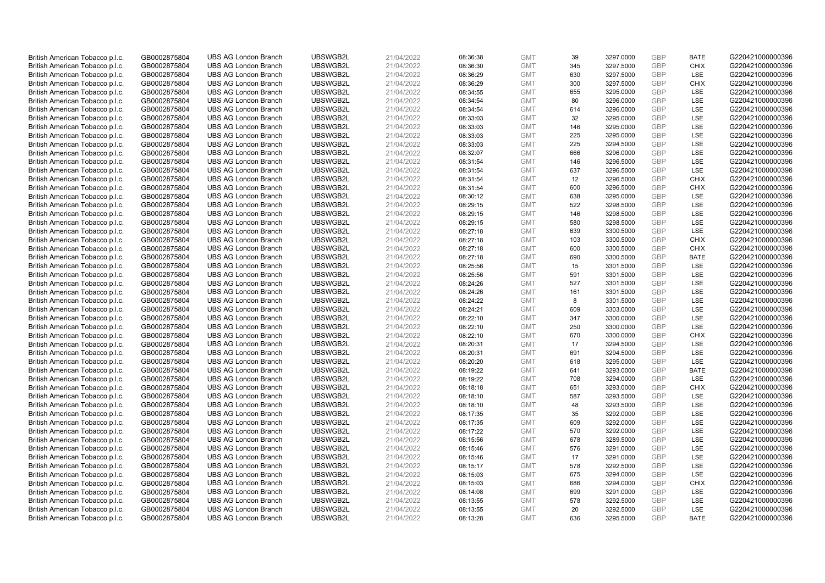| British American Tobacco p.l.c. | GB0002875804 | <b>UBS AG London Branch</b> | UBSWGB2L | 21/04/2022 | 08:36:38 | <b>GMT</b> | 39  | 3297.0000 | <b>GBP</b> | <b>BATE</b> | G220421000000396 |
|---------------------------------|--------------|-----------------------------|----------|------------|----------|------------|-----|-----------|------------|-------------|------------------|
|                                 |              |                             |          |            |          |            |     |           | <b>GBP</b> | <b>CHIX</b> |                  |
| British American Tobacco p.l.c. | GB0002875804 | <b>UBS AG London Branch</b> | UBSWGB2L | 21/04/2022 | 08:36:30 | <b>GMT</b> | 345 | 3297.5000 |            |             | G220421000000396 |
| British American Tobacco p.l.c. | GB0002875804 | <b>UBS AG London Branch</b> | UBSWGB2L | 21/04/2022 | 08:36:29 | <b>GMT</b> | 630 | 3297.5000 | <b>GBP</b> | LSE         | G220421000000396 |
| British American Tobacco p.l.c. | GB0002875804 | <b>UBS AG London Branch</b> | UBSWGB2L | 21/04/2022 | 08:36:29 | <b>GMT</b> | 300 | 3297.5000 | <b>GBP</b> | <b>CHIX</b> | G220421000000396 |
| British American Tobacco p.l.c. | GB0002875804 | <b>UBS AG London Branch</b> | UBSWGB2L | 21/04/2022 | 08:34:55 | <b>GMT</b> | 655 | 3295.0000 | <b>GBP</b> | LSE         | G220421000000396 |
| British American Tobacco p.l.c. | GB0002875804 | <b>UBS AG London Branch</b> | UBSWGB2L | 21/04/2022 | 08:34:54 | <b>GMT</b> | 80  | 3296.0000 | <b>GBP</b> | LSE         | G220421000000396 |
| British American Tobacco p.l.c. | GB0002875804 | <b>UBS AG London Branch</b> | UBSWGB2L | 21/04/2022 | 08:34:54 | <b>GMT</b> | 614 | 3296.0000 | <b>GBP</b> | LSE         | G220421000000396 |
| British American Tobacco p.l.c. | GB0002875804 | <b>UBS AG London Branch</b> | UBSWGB2L | 21/04/2022 | 08:33:03 | <b>GMT</b> | 32  | 3295.0000 | <b>GBP</b> | LSE         | G220421000000396 |
| British American Tobacco p.l.c. | GB0002875804 | <b>UBS AG London Branch</b> | UBSWGB2L | 21/04/2022 | 08:33:03 | <b>GMT</b> | 146 | 3295.0000 | <b>GBP</b> | LSE         | G220421000000396 |
| British American Tobacco p.l.c. | GB0002875804 | <b>UBS AG London Branch</b> | UBSWGB2L | 21/04/2022 | 08:33:03 | <b>GMT</b> | 225 | 3295.0000 | <b>GBP</b> | LSE         | G220421000000396 |
| British American Tobacco p.l.c. | GB0002875804 | <b>UBS AG London Branch</b> | UBSWGB2L | 21/04/2022 | 08:33:03 | <b>GMT</b> | 225 | 3294.5000 | <b>GBP</b> | LSE         | G220421000000396 |
| British American Tobacco p.l.c. | GB0002875804 | <b>UBS AG London Branch</b> | UBSWGB2L | 21/04/2022 | 08:32:07 | <b>GMT</b> | 666 | 3296.0000 | <b>GBP</b> | LSE         | G220421000000396 |
| British American Tobacco p.l.c. | GB0002875804 | <b>UBS AG London Branch</b> | UBSWGB2L | 21/04/2022 | 08:31:54 | <b>GMT</b> | 146 | 3296.5000 | <b>GBP</b> | LSE         | G220421000000396 |
| British American Tobacco p.l.c. | GB0002875804 | <b>UBS AG London Branch</b> | UBSWGB2L | 21/04/2022 | 08:31:54 | <b>GMT</b> | 637 | 3296.5000 | <b>GBP</b> | LSE         | G220421000000396 |
| British American Tobacco p.l.c. | GB0002875804 | <b>UBS AG London Branch</b> | UBSWGB2L | 21/04/2022 | 08:31:54 | <b>GMT</b> | 12  | 3296.5000 | <b>GBP</b> | <b>CHIX</b> | G220421000000396 |
| British American Tobacco p.l.c. | GB0002875804 | <b>UBS AG London Branch</b> | UBSWGB2L | 21/04/2022 | 08:31:54 | <b>GMT</b> | 600 | 3296.5000 | <b>GBP</b> | <b>CHIX</b> | G220421000000396 |
|                                 | GB0002875804 | <b>UBS AG London Branch</b> | UBSWGB2L | 21/04/2022 | 08:30:12 | <b>GMT</b> | 638 |           | <b>GBP</b> | LSE         | G220421000000396 |
| British American Tobacco p.l.c. |              |                             |          |            |          |            | 522 | 3295.0000 | GBP        | LSE         |                  |
| British American Tobacco p.l.c. | GB0002875804 | <b>UBS AG London Branch</b> | UBSWGB2L | 21/04/2022 | 08:29:15 | <b>GMT</b> |     | 3298.5000 |            |             | G220421000000396 |
| British American Tobacco p.l.c. | GB0002875804 | <b>UBS AG London Branch</b> | UBSWGB2L | 21/04/2022 | 08:29:15 | <b>GMT</b> | 146 | 3298.5000 | <b>GBP</b> | <b>LSE</b>  | G220421000000396 |
| British American Tobacco p.l.c. | GB0002875804 | <b>UBS AG London Branch</b> | UBSWGB2L | 21/04/2022 | 08:29:15 | <b>GMT</b> | 580 | 3298.5000 | <b>GBP</b> | LSE         | G220421000000396 |
| British American Tobacco p.l.c. | GB0002875804 | <b>UBS AG London Branch</b> | UBSWGB2L | 21/04/2022 | 08:27:18 | <b>GMT</b> | 639 | 3300.5000 | <b>GBP</b> | LSE         | G220421000000396 |
| British American Tobacco p.l.c. | GB0002875804 | <b>UBS AG London Branch</b> | UBSWGB2L | 21/04/2022 | 08:27:18 | <b>GMT</b> | 103 | 3300.5000 | <b>GBP</b> | <b>CHIX</b> | G220421000000396 |
| British American Tobacco p.l.c. | GB0002875804 | <b>UBS AG London Branch</b> | UBSWGB2L | 21/04/2022 | 08:27:18 | <b>GMT</b> | 600 | 3300.5000 | <b>GBP</b> | <b>CHIX</b> | G220421000000396 |
| British American Tobacco p.l.c. | GB0002875804 | <b>UBS AG London Branch</b> | UBSWGB2L | 21/04/2022 | 08:27:18 | <b>GMT</b> | 690 | 3300.5000 | <b>GBP</b> | <b>BATE</b> | G220421000000396 |
| British American Tobacco p.l.c. | GB0002875804 | <b>UBS AG London Branch</b> | UBSWGB2L | 21/04/2022 | 08:25:56 | <b>GMT</b> | 15  | 3301.5000 | <b>GBP</b> | LSE         | G220421000000396 |
| British American Tobacco p.l.c. | GB0002875804 | <b>UBS AG London Branch</b> | UBSWGB2L | 21/04/2022 | 08:25:56 | <b>GMT</b> | 591 | 3301.5000 | <b>GBP</b> | LSE         | G220421000000396 |
| British American Tobacco p.l.c. | GB0002875804 | <b>UBS AG London Branch</b> | UBSWGB2L | 21/04/2022 | 08:24:26 | <b>GMT</b> | 527 | 3301.5000 | <b>GBP</b> | LSE         | G220421000000396 |
| British American Tobacco p.l.c. | GB0002875804 | <b>UBS AG London Branch</b> | UBSWGB2L | 21/04/2022 | 08:24:26 | <b>GMT</b> | 161 | 3301.5000 | <b>GBP</b> | LSE         | G220421000000396 |
| British American Tobacco p.l.c. | GB0002875804 | <b>UBS AG London Branch</b> | UBSWGB2L | 21/04/2022 | 08:24:22 | <b>GMT</b> | 8   | 3301.5000 | <b>GBP</b> | LSE         | G220421000000396 |
| British American Tobacco p.l.c. | GB0002875804 | <b>UBS AG London Branch</b> | UBSWGB2L | 21/04/2022 | 08:24:21 | <b>GMT</b> | 609 | 3303.0000 | <b>GBP</b> | LSE         | G220421000000396 |
| British American Tobacco p.l.c. | GB0002875804 | <b>UBS AG London Branch</b> | UBSWGB2L | 21/04/2022 | 08:22:10 | <b>GMT</b> | 347 | 3300.0000 | GBP        | LSE         | G220421000000396 |
| British American Tobacco p.l.c. | GB0002875804 | <b>UBS AG London Branch</b> | UBSWGB2L | 21/04/2022 | 08:22:10 | <b>GMT</b> | 250 | 3300.0000 | <b>GBP</b> | <b>LSE</b>  | G220421000000396 |
| British American Tobacco p.l.c. | GB0002875804 | <b>UBS AG London Branch</b> | UBSWGB2L | 21/04/2022 | 08:22:10 | <b>GMT</b> | 670 | 3300.0000 | <b>GBP</b> | <b>CHIX</b> | G220421000000396 |
| British American Tobacco p.l.c. | GB0002875804 | <b>UBS AG London Branch</b> | UBSWGB2L | 21/04/2022 | 08:20:31 | <b>GMT</b> | 17  | 3294.5000 | <b>GBP</b> | LSE         | G220421000000396 |
| British American Tobacco p.l.c. | GB0002875804 | <b>UBS AG London Branch</b> | UBSWGB2L | 21/04/2022 | 08:20:31 | <b>GMT</b> | 691 | 3294.5000 | <b>GBP</b> | LSE         | G220421000000396 |
| British American Tobacco p.l.c. | GB0002875804 | <b>UBS AG London Branch</b> | UBSWGB2L | 21/04/2022 | 08:20:20 | <b>GMT</b> | 618 | 3295.0000 | <b>GBP</b> | LSE         | G220421000000396 |
| British American Tobacco p.l.c. | GB0002875804 | <b>UBS AG London Branch</b> | UBSWGB2L | 21/04/2022 | 08:19:22 | <b>GMT</b> | 641 | 3293.0000 | <b>GBP</b> | <b>BATE</b> | G220421000000396 |
| British American Tobacco p.l.c. | GB0002875804 | <b>UBS AG London Branch</b> | UBSWGB2L | 21/04/2022 | 08:19:22 | <b>GMT</b> | 708 | 3294.0000 | <b>GBP</b> | LSE         | G220421000000396 |
| British American Tobacco p.l.c. | GB0002875804 | <b>UBS AG London Branch</b> | UBSWGB2L | 21/04/2022 | 08:18:18 | <b>GMT</b> | 651 | 3293.0000 | <b>GBP</b> | <b>CHIX</b> | G220421000000396 |
| British American Tobacco p.l.c. | GB0002875804 | <b>UBS AG London Branch</b> | UBSWGB2L | 21/04/2022 | 08:18:10 | <b>GMT</b> | 587 | 3293.5000 | <b>GBP</b> | LSE         | G220421000000396 |
| British American Tobacco p.l.c. | GB0002875804 | <b>UBS AG London Branch</b> | UBSWGB2L | 21/04/2022 | 08:18:10 | <b>GMT</b> | 48  | 3293.5000 | <b>GBP</b> | <b>LSE</b>  | G220421000000396 |
| British American Tobacco p.l.c. | GB0002875804 | <b>UBS AG London Branch</b> | UBSWGB2L | 21/04/2022 | 08:17:35 | <b>GMT</b> | 35  | 3292.0000 | <b>GBP</b> | LSE         | G220421000000396 |
|                                 |              |                             | UBSWGB2L | 21/04/2022 | 08:17:35 | <b>GMT</b> | 609 |           | <b>GBP</b> | LSE         | G220421000000396 |
| British American Tobacco p.l.c. | GB0002875804 | <b>UBS AG London Branch</b> |          |            |          |            |     | 3292.0000 |            |             |                  |
| British American Tobacco p.l.c. | GB0002875804 | <b>UBS AG London Branch</b> | UBSWGB2L | 21/04/2022 | 08:17:22 | <b>GMT</b> | 570 | 3292.0000 | GBP        | LSE         | G220421000000396 |
| British American Tobacco p.l.c. | GB0002875804 | <b>UBS AG London Branch</b> | UBSWGB2L | 21/04/2022 | 08:15:56 | <b>GMT</b> | 678 | 3289.5000 | <b>GBP</b> | <b>LSE</b>  | G220421000000396 |
| British American Tobacco p.l.c. | GB0002875804 | <b>UBS AG London Branch</b> | UBSWGB2L | 21/04/2022 | 08:15:46 | <b>GMT</b> | 576 | 3291.0000 | <b>GBP</b> | LSE         | G220421000000396 |
| British American Tobacco p.l.c. | GB0002875804 | <b>UBS AG London Branch</b> | UBSWGB2L | 21/04/2022 | 08:15:46 | <b>GMT</b> | 17  | 3291.0000 | <b>GBP</b> | LSE         | G220421000000396 |
| British American Tobacco p.l.c. | GB0002875804 | <b>UBS AG London Branch</b> | UBSWGB2L | 21/04/2022 | 08:15:17 | <b>GMT</b> | 578 | 3292.5000 | <b>GBP</b> | LSE         | G220421000000396 |
| British American Tobacco p.l.c. | GB0002875804 | <b>UBS AG London Branch</b> | UBSWGB2L | 21/04/2022 | 08:15:03 | <b>GMT</b> | 675 | 3294.0000 | <b>GBP</b> | LSE         | G220421000000396 |
| British American Tobacco p.l.c. | GB0002875804 | <b>UBS AG London Branch</b> | UBSWGB2L | 21/04/2022 | 08:15:03 | <b>GMT</b> | 686 | 3294.0000 | <b>GBP</b> | <b>CHIX</b> | G220421000000396 |
| British American Tobacco p.l.c. | GB0002875804 | <b>UBS AG London Branch</b> | UBSWGB2L | 21/04/2022 | 08:14:08 | <b>GMT</b> | 699 | 3291.0000 | <b>GBP</b> | LSE         | G220421000000396 |
| British American Tobacco p.l.c. | GB0002875804 | <b>UBS AG London Branch</b> | UBSWGB2L | 21/04/2022 | 08:13:55 | <b>GMT</b> | 578 | 3292.5000 | <b>GBP</b> | LSE         | G220421000000396 |
| British American Tobacco p.l.c. | GB0002875804 | <b>UBS AG London Branch</b> | UBSWGB2L | 21/04/2022 | 08:13:55 | <b>GMT</b> | 20  | 3292.5000 | <b>GBP</b> | LSE         | G220421000000396 |
| British American Tobacco p.l.c. | GB0002875804 | <b>UBS AG London Branch</b> | UBSWGB2L | 21/04/2022 | 08:13:28 | <b>GMT</b> | 636 | 3295.5000 | GBP        | <b>BATE</b> | G220421000000396 |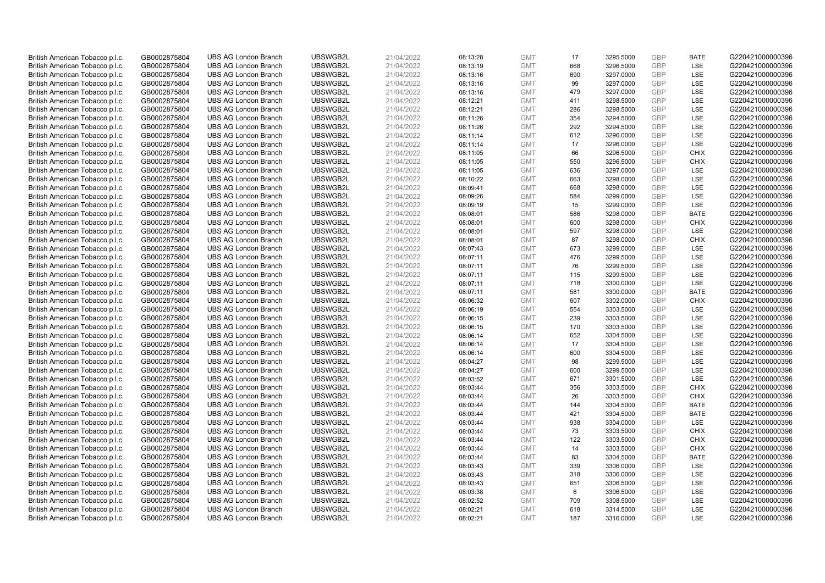| British American Tobacco p.l.c. | GB0002875804 | <b>UBS AG London Branch</b> | UBSWGB2L | 21/04/2022 | 08:13:28 | <b>GMT</b> | 17  | 3295.5000 | <b>GBP</b> | <b>BATE</b> | G220421000000396 |
|---------------------------------|--------------|-----------------------------|----------|------------|----------|------------|-----|-----------|------------|-------------|------------------|
| British American Tobacco p.l.c. | GB0002875804 | <b>UBS AG London Branch</b> | UBSWGB2L | 21/04/2022 | 08:13:19 | <b>GMT</b> | 668 | 3296.5000 | <b>GBP</b> | LSE         | G220421000000396 |
| British American Tobacco p.l.c. | GB0002875804 | <b>UBS AG London Branch</b> | UBSWGB2L | 21/04/2022 | 08:13:16 | <b>GMT</b> | 690 | 3297.0000 | <b>GBP</b> | LSE         | G220421000000396 |
| British American Tobacco p.l.c. | GB0002875804 | <b>UBS AG London Branch</b> | UBSWGB2L | 21/04/2022 | 08:13:16 | <b>GMT</b> | 99  | 3297.0000 | <b>GBP</b> | LSE         | G220421000000396 |
| British American Tobacco p.l.c. | GB0002875804 | <b>UBS AG London Branch</b> | UBSWGB2L | 21/04/2022 | 08:13:16 | <b>GMT</b> | 479 | 3297.0000 | <b>GBP</b> | LSE         | G220421000000396 |
| British American Tobacco p.l.c. | GB0002875804 | <b>UBS AG London Branch</b> | UBSWGB2L | 21/04/2022 | 08:12:21 | <b>GMT</b> | 411 | 3298.5000 | GBP        | LSE         | G220421000000396 |
| British American Tobacco p.l.c. | GB0002875804 | <b>UBS AG London Branch</b> | UBSWGB2L | 21/04/2022 | 08:12:21 | <b>GMT</b> | 286 | 3298.5000 | <b>GBP</b> | LSE         | G220421000000396 |
| British American Tobacco p.l.c. | GB0002875804 | <b>UBS AG London Branch</b> | UBSWGB2L | 21/04/2022 | 08:11:26 | <b>GMT</b> | 354 | 3294.5000 | <b>GBP</b> | LSE         | G220421000000396 |
| British American Tobacco p.l.c. | GB0002875804 | <b>UBS AG London Branch</b> | UBSWGB2L | 21/04/2022 | 08:11:26 | <b>GMT</b> | 292 | 3294.5000 | <b>GBP</b> | LSE         | G220421000000396 |
| British American Tobacco p.l.c. | GB0002875804 | <b>UBS AG London Branch</b> | UBSWGB2L | 21/04/2022 | 08:11:14 | <b>GMT</b> | 612 | 3296.0000 | <b>GBP</b> | <b>LSE</b>  | G220421000000396 |
| British American Tobacco p.l.c. | GB0002875804 | <b>UBS AG London Branch</b> | UBSWGB2L | 21/04/2022 | 08:11:14 | <b>GMT</b> | 17  | 3296.0000 | <b>GBP</b> | LSE         | G220421000000396 |
| British American Tobacco p.l.c. | GB0002875804 | <b>UBS AG London Branch</b> | UBSWGB2L | 21/04/2022 | 08:11:05 | <b>GMT</b> | 66  | 3296.5000 | <b>GBP</b> | <b>CHIX</b> | G220421000000396 |
| British American Tobacco p.l.c. | GB0002875804 | <b>UBS AG London Branch</b> | UBSWGB2L | 21/04/2022 | 08:11:05 | <b>GMT</b> | 550 | 3296.5000 | <b>GBP</b> | <b>CHIX</b> | G220421000000396 |
| British American Tobacco p.l.c. | GB0002875804 | <b>UBS AG London Branch</b> | UBSWGB2L | 21/04/2022 | 08:11:05 | <b>GMT</b> | 636 | 3297.0000 | <b>GBP</b> | LSE         | G220421000000396 |
| British American Tobacco p.l.c. | GB0002875804 | <b>UBS AG London Branch</b> | UBSWGB2L | 21/04/2022 | 08:10:22 | <b>GMT</b> | 663 | 3298.0000 | <b>GBP</b> | LSE         | G220421000000396 |
| British American Tobacco p.l.c. | GB0002875804 | <b>UBS AG London Branch</b> | UBSWGB2L | 21/04/2022 | 08:09:41 | <b>GMT</b> | 668 | 3298.0000 | <b>GBP</b> | LSE         | G220421000000396 |
| British American Tobacco p.l.c. | GB0002875804 | <b>UBS AG London Branch</b> | UBSWGB2L | 21/04/2022 | 08:09:26 | <b>GMT</b> | 584 | 3299.0000 | <b>GBP</b> | <b>LSE</b>  | G220421000000396 |
| British American Tobacco p.l.c. | GB0002875804 | <b>UBS AG London Branch</b> | UBSWGB2L | 21/04/2022 | 08:09:19 | <b>GMT</b> | 15  | 3299.0000 | <b>GBP</b> | LSE         | G220421000000396 |
| British American Tobacco p.l.c. | GB0002875804 | <b>UBS AG London Branch</b> | UBSWGB2L | 21/04/2022 | 08:08:01 | <b>GMT</b> | 586 | 3298.0000 | <b>GBP</b> | <b>BATE</b> | G220421000000396 |
| British American Tobacco p.l.c. | GB0002875804 | <b>UBS AG London Branch</b> | UBSWGB2L | 21/04/2022 | 08:08:01 | <b>GMT</b> | 600 | 3298.0000 | <b>GBP</b> | <b>CHIX</b> | G220421000000396 |
| British American Tobacco p.l.c. | GB0002875804 | <b>UBS AG London Branch</b> | UBSWGB2L | 21/04/2022 | 08:08:01 | <b>GMT</b> | 597 | 3298.0000 | <b>GBP</b> | LSE         | G220421000000396 |
| British American Tobacco p.l.c. | GB0002875804 | <b>UBS AG London Branch</b> | UBSWGB2L | 21/04/2022 | 08:08:01 | <b>GMT</b> | 87  | 3298.0000 | <b>GBP</b> | <b>CHIX</b> | G220421000000396 |
| British American Tobacco p.l.c. | GB0002875804 | <b>UBS AG London Branch</b> | UBSWGB2L | 21/04/2022 | 08:07:43 | <b>GMT</b> | 673 | 3299.0000 | <b>GBP</b> | <b>LSE</b>  | G220421000000396 |
| British American Tobacco p.l.c. | GB0002875804 | <b>UBS AG London Branch</b> | UBSWGB2L | 21/04/2022 | 08:07:11 | <b>GMT</b> | 476 | 3299.5000 | <b>GBP</b> | LSE         | G220421000000396 |
| British American Tobacco p.l.c. | GB0002875804 | <b>UBS AG London Branch</b> | UBSWGB2L | 21/04/2022 | 08:07:11 | <b>GMT</b> | 76  | 3299.5000 | <b>GBP</b> | LSE         | G220421000000396 |
| British American Tobacco p.l.c. | GB0002875804 | <b>UBS AG London Branch</b> | UBSWGB2L | 21/04/2022 | 08:07:11 | <b>GMT</b> | 115 | 3299.5000 | <b>GBP</b> | LSE         | G220421000000396 |
| British American Tobacco p.l.c. | GB0002875804 | <b>UBS AG London Branch</b> | UBSWGB2L | 21/04/2022 | 08:07:11 | <b>GMT</b> | 718 | 3300.0000 | <b>GBP</b> | LSE         | G220421000000396 |
| British American Tobacco p.l.c. | GB0002875804 | <b>UBS AG London Branch</b> | UBSWGB2L | 21/04/2022 | 08:07:11 | <b>GMT</b> | 581 | 3300.0000 | <b>GBP</b> | <b>BATE</b> | G220421000000396 |
| British American Tobacco p.l.c. | GB0002875804 | <b>UBS AG London Branch</b> | UBSWGB2L | 21/04/2022 | 08:06:32 | <b>GMT</b> | 607 | 3302.0000 | <b>GBP</b> | <b>CHIX</b> | G220421000000396 |
| British American Tobacco p.l.c. | GB0002875804 | <b>UBS AG London Branch</b> | UBSWGB2L | 21/04/2022 | 08:06:19 | <b>GMT</b> | 554 | 3303.5000 | <b>GBP</b> | LSE         | G220421000000396 |
| British American Tobacco p.l.c. | GB0002875804 | <b>UBS AG London Branch</b> | UBSWGB2L | 21/04/2022 | 08:06:15 | <b>GMT</b> | 239 | 3303.5000 | <b>GBP</b> | LSE         | G220421000000396 |
| British American Tobacco p.l.c. | GB0002875804 | <b>UBS AG London Branch</b> | UBSWGB2L | 21/04/2022 | 08:06:15 | <b>GMT</b> | 170 | 3303.5000 | <b>GBP</b> | LSE         | G220421000000396 |
| British American Tobacco p.l.c. | GB0002875804 | <b>UBS AG London Branch</b> | UBSWGB2L | 21/04/2022 | 08:06:14 | <b>GMT</b> | 652 | 3304.5000 | <b>GBP</b> | LSE         | G220421000000396 |
| British American Tobacco p.l.c. | GB0002875804 | <b>UBS AG London Branch</b> | UBSWGB2L | 21/04/2022 | 08:06:14 | <b>GMT</b> | 17  | 3304.5000 | <b>GBP</b> | LSE         | G220421000000396 |
| British American Tobacco p.l.c. | GB0002875804 | <b>UBS AG London Branch</b> | UBSWGB2L | 21/04/2022 | 08:06:14 | <b>GMT</b> | 600 | 3304.5000 | <b>GBP</b> | LSE         | G220421000000396 |
| British American Tobacco p.l.c. | GB0002875804 | <b>UBS AG London Branch</b> | UBSWGB2L | 21/04/2022 | 08:04:27 | <b>GMT</b> | 98  | 3299.5000 | <b>GBP</b> | LSE         | G220421000000396 |
| British American Tobacco p.l.c. | GB0002875804 | <b>UBS AG London Branch</b> | UBSWGB2L | 21/04/2022 | 08:04:27 | <b>GMT</b> | 600 | 3299.5000 | <b>GBP</b> | LSE         | G220421000000396 |
| British American Tobacco p.l.c. | GB0002875804 | <b>UBS AG London Branch</b> | UBSWGB2L | 21/04/2022 | 08:03:52 | <b>GMT</b> | 671 | 3301.5000 | <b>GBP</b> | LSE         | G220421000000396 |
| British American Tobacco p.l.c. | GB0002875804 | <b>UBS AG London Branch</b> | UBSWGB2L | 21/04/2022 | 08:03:44 | <b>GMT</b> | 356 | 3303.5000 | <b>GBP</b> | <b>CHIX</b> | G220421000000396 |
| British American Tobacco p.l.c. | GB0002875804 | <b>UBS AG London Branch</b> | UBSWGB2L | 21/04/2022 | 08:03:44 | <b>GMT</b> | 26  | 3303.5000 | <b>GBP</b> | <b>CHIX</b> | G220421000000396 |
| British American Tobacco p.l.c. | GB0002875804 | <b>UBS AG London Branch</b> | UBSWGB2L | 21/04/2022 | 08:03:44 | <b>GMT</b> | 144 | 3304.5000 | <b>GBP</b> | <b>BATE</b> | G220421000000396 |
| British American Tobacco p.l.c. | GB0002875804 | <b>UBS AG London Branch</b> | UBSWGB2L | 21/04/2022 | 08:03:44 | <b>GMT</b> | 421 | 3304.5000 | <b>GBP</b> | <b>BATE</b> | G220421000000396 |
| British American Tobacco p.l.c. | GB0002875804 | <b>UBS AG London Branch</b> | UBSWGB2L | 21/04/2022 | 08:03:44 | <b>GMT</b> | 938 | 3304.0000 | <b>GBP</b> | LSE         | G220421000000396 |
| British American Tobacco p.l.c. | GB0002875804 | <b>UBS AG London Branch</b> | UBSWGB2L | 21/04/2022 | 08:03:44 | <b>GMT</b> | 73  | 3303.5000 | <b>GBP</b> | <b>CHIX</b> | G220421000000396 |
| British American Tobacco p.l.c. | GB0002875804 | <b>UBS AG London Branch</b> | UBSWGB2L | 21/04/2022 | 08:03:44 | <b>GMT</b> | 122 | 3303.5000 | <b>GBP</b> | <b>CHIX</b> | G220421000000396 |
| British American Tobacco p.l.c. | GB0002875804 | <b>UBS AG London Branch</b> | UBSWGB2L | 21/04/2022 | 08:03:44 | <b>GMT</b> | 14  | 3303.5000 | <b>GBP</b> | <b>CHIX</b> | G220421000000396 |
| British American Tobacco p.l.c. | GB0002875804 | <b>UBS AG London Branch</b> | UBSWGB2L | 21/04/2022 | 08:03:44 | <b>GMT</b> | 83  | 3304.5000 | <b>GBP</b> | <b>BATE</b> | G220421000000396 |
| British American Tobacco p.l.c. | GB0002875804 | <b>UBS AG London Branch</b> | UBSWGB2L | 21/04/2022 | 08:03:43 | <b>GMT</b> | 339 | 3306.0000 | <b>GBP</b> | LSE         | G220421000000396 |
| British American Tobacco p.l.c. | GB0002875804 | <b>UBS AG London Branch</b> | UBSWGB2L | 21/04/2022 | 08:03:43 | <b>GMT</b> | 318 | 3306.0000 | <b>GBP</b> | LSE         | G220421000000396 |
| British American Tobacco p.l.c. | GB0002875804 | <b>UBS AG London Branch</b> | UBSWGB2L | 21/04/2022 | 08:03:43 | <b>GMT</b> | 651 | 3306.5000 | <b>GBP</b> | LSE         | G220421000000396 |
| British American Tobacco p.l.c. | GB0002875804 | <b>UBS AG London Branch</b> | UBSWGB2L | 21/04/2022 | 08:03:38 | <b>GMT</b> | 6   | 3306.5000 | <b>GBP</b> | LSE         | G220421000000396 |
| British American Tobacco p.l.c. | GB0002875804 | <b>UBS AG London Branch</b> | UBSWGB2L | 21/04/2022 | 08:02:52 | <b>GMT</b> | 709 | 3308.5000 | <b>GBP</b> | LSE         | G220421000000396 |
| British American Tobacco p.l.c. | GB0002875804 | <b>UBS AG London Branch</b> | UBSWGB2L | 21/04/2022 | 08:02:21 | <b>GMT</b> | 618 | 3314.5000 | <b>GBP</b> | LSE         | G220421000000396 |
| British American Tobacco p.l.c. | GB0002875804 | <b>UBS AG London Branch</b> | UBSWGB2L | 21/04/2022 | 08:02:21 | <b>GMT</b> | 187 | 3316.0000 | GBP        | <b>LSE</b>  | G220421000000396 |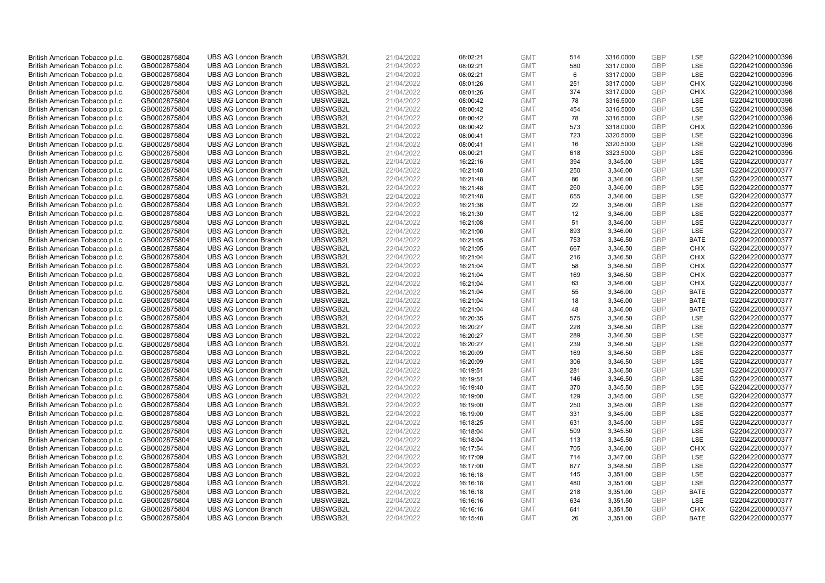| British American Tobacco p.l.c. | GB0002875804 | <b>UBS AG London Branch</b> | UBSWGB2L | 21/04/2022 | 08:02:21 | <b>GMT</b> | 514 | 3316.0000 | <b>GBP</b> | LSE         | G220421000000396 |
|---------------------------------|--------------|-----------------------------|----------|------------|----------|------------|-----|-----------|------------|-------------|------------------|
|                                 | GB0002875804 | <b>UBS AG London Branch</b> | UBSWGB2L | 21/04/2022 |          | <b>GMT</b> | 580 | 3317.0000 | GBP        | LSE         | G220421000000396 |
| British American Tobacco p.l.c. |              |                             |          |            | 08:02:21 |            |     |           |            |             |                  |
| British American Tobacco p.l.c. | GB0002875804 | <b>UBS AG London Branch</b> | UBSWGB2L | 21/04/2022 | 08:02:21 | <b>GMT</b> | 6   | 3317.0000 | <b>GBP</b> | LSE         | G220421000000396 |
| British American Tobacco p.l.c. | GB0002875804 | <b>UBS AG London Branch</b> | UBSWGB2L | 21/04/2022 | 08:01:26 | <b>GMT</b> | 251 | 3317.0000 | GBP        | <b>CHIX</b> | G220421000000396 |
| British American Tobacco p.l.c. | GB0002875804 | <b>UBS AG London Branch</b> | UBSWGB2L | 21/04/2022 | 08:01:26 | <b>GMT</b> | 374 | 3317.0000 | GBP        | <b>CHIX</b> | G220421000000396 |
| British American Tobacco p.l.c. | GB0002875804 | <b>UBS AG London Branch</b> | UBSWGB2L | 21/04/2022 | 08:00:42 | <b>GMT</b> | 78  | 3316.5000 | <b>GBP</b> | <b>LSE</b>  | G220421000000396 |
| British American Tobacco p.l.c. | GB0002875804 | <b>UBS AG London Branch</b> | UBSWGB2L | 21/04/2022 | 08:00:42 | <b>GMT</b> | 454 | 3316.5000 | <b>GBP</b> | LSE         | G220421000000396 |
| British American Tobacco p.l.c. | GB0002875804 | <b>UBS AG London Branch</b> | UBSWGB2L | 21/04/2022 | 08:00:42 | <b>GMT</b> | 78  | 3316.5000 | <b>GBP</b> | LSE         | G220421000000396 |
| British American Tobacco p.l.c. | GB0002875804 | <b>UBS AG London Branch</b> | UBSWGB2L | 21/04/2022 | 08:00:42 | <b>GMT</b> | 573 | 3318.0000 | GBP        | <b>CHIX</b> | G220421000000396 |
| British American Tobacco p.l.c. | GB0002875804 | <b>UBS AG London Branch</b> | UBSWGB2L | 21/04/2022 | 08:00:41 | <b>GMT</b> | 723 | 3320.5000 | <b>GBP</b> | LSE         | G220421000000396 |
| British American Tobacco p.l.c. | GB0002875804 | <b>UBS AG London Branch</b> | UBSWGB2L | 21/04/2022 | 08:00:41 | <b>GMT</b> | 16  | 3320.5000 | <b>GBP</b> | <b>LSE</b>  | G220421000000396 |
| British American Tobacco p.l.c. | GB0002875804 | <b>UBS AG London Branch</b> | UBSWGB2L | 21/04/2022 | 08:00:21 | <b>GMT</b> | 618 | 3323.5000 | <b>GBP</b> | LSE         | G220421000000396 |
| British American Tobacco p.l.c. | GB0002875804 | <b>UBS AG London Branch</b> | UBSWGB2L | 22/04/2022 | 16:22:16 | <b>GMT</b> | 394 | 3,345.00  | <b>GBP</b> | LSE         | G220422000000377 |
| British American Tobacco p.l.c. | GB0002875804 | <b>UBS AG London Branch</b> | UBSWGB2L | 22/04/2022 | 16:21:48 | <b>GMT</b> | 250 | 3,346.00  | <b>GBP</b> | LSE         | G220422000000377 |
| British American Tobacco p.l.c. | GB0002875804 | <b>UBS AG London Branch</b> | UBSWGB2L | 22/04/2022 | 16:21:48 | <b>GMT</b> | 86  | 3,346.00  | GBP        | <b>LSE</b>  | G220422000000377 |
| British American Tobacco p.l.c. | GB0002875804 | <b>UBS AG London Branch</b> | UBSWGB2L | 22/04/2022 | 16:21:48 | <b>GMT</b> | 260 | 3,346.00  | <b>GBP</b> | LSE         | G220422000000377 |
| British American Tobacco p.l.c. | GB0002875804 | <b>UBS AG London Branch</b> | UBSWGB2L | 22/04/2022 | 16:21:48 | <b>GMT</b> | 655 | 3,346.00  | GBP        | LSE         | G220422000000377 |
| British American Tobacco p.l.c. | GB0002875804 | <b>UBS AG London Branch</b> | UBSWGB2L | 22/04/2022 | 16:21:36 | <b>GMT</b> | 22  | 3,346.00  | <b>GBP</b> | LSE         | G220422000000377 |
|                                 |              | <b>UBS AG London Branch</b> | UBSWGB2L |            |          |            |     |           |            | <b>LSE</b>  |                  |
| British American Tobacco p.l.c. | GB0002875804 |                             |          | 22/04/2022 | 16:21:30 | <b>GMT</b> | 12  | 3,346.00  | <b>GBP</b> |             | G220422000000377 |
| British American Tobacco p.l.c. | GB0002875804 | <b>UBS AG London Branch</b> | UBSWGB2L | 22/04/2022 | 16:21:08 | <b>GMT</b> | 51  | 3,346.00  | <b>GBP</b> | LSE         | G220422000000377 |
| British American Tobacco p.l.c. | GB0002875804 | <b>UBS AG London Branch</b> | UBSWGB2L | 22/04/2022 | 16:21:08 | <b>GMT</b> | 893 | 3,346.00  | <b>GBP</b> | LSE         | G220422000000377 |
| British American Tobacco p.l.c. | GB0002875804 | <b>UBS AG London Branch</b> | UBSWGB2L | 22/04/2022 | 16:21:05 | <b>GMT</b> | 753 | 3,346.50  | <b>GBP</b> | <b>BATE</b> | G220422000000377 |
| British American Tobacco p.l.c. | GB0002875804 | <b>UBS AG London Branch</b> | UBSWGB2L | 22/04/2022 | 16:21:05 | <b>GMT</b> | 667 | 3,346.50  | <b>GBP</b> | <b>CHIX</b> | G220422000000377 |
| British American Tobacco p.l.c. | GB0002875804 | <b>UBS AG London Branch</b> | UBSWGB2L | 22/04/2022 | 16:21:04 | <b>GMT</b> | 216 | 3,346.50  | <b>GBP</b> | <b>CHIX</b> | G220422000000377 |
| British American Tobacco p.l.c. | GB0002875804 | <b>UBS AG London Branch</b> | UBSWGB2L | 22/04/2022 | 16:21:04 | <b>GMT</b> | 58  | 3,346.50  | <b>GBP</b> | <b>CHIX</b> | G220422000000377 |
| British American Tobacco p.l.c. | GB0002875804 | <b>UBS AG London Branch</b> | UBSWGB2L | 22/04/2022 | 16:21:04 | <b>GMT</b> | 169 | 3,346.50  | <b>GBP</b> | <b>CHIX</b> | G220422000000377 |
| British American Tobacco p.l.c. | GB0002875804 | <b>UBS AG London Branch</b> | UBSWGB2L | 22/04/2022 | 16:21:04 | <b>GMT</b> | 63  | 3,346.00  | <b>GBP</b> | <b>CHIX</b> | G220422000000377 |
| British American Tobacco p.l.c. | GB0002875804 | <b>UBS AG London Branch</b> | UBSWGB2L | 22/04/2022 | 16:21:04 | <b>GMT</b> | 55  | 3,346.00  | GBP        | <b>BATE</b> | G220422000000377 |
| British American Tobacco p.l.c. | GB0002875804 | <b>UBS AG London Branch</b> | UBSWGB2L | 22/04/2022 | 16:21:04 | <b>GMT</b> | 18  | 3,346.00  | <b>GBP</b> | <b>BATE</b> | G220422000000377 |
| British American Tobacco p.l.c. | GB0002875804 | <b>UBS AG London Branch</b> | UBSWGB2L | 22/04/2022 | 16:21:04 | <b>GMT</b> | 48  | 3,346.00  | GBP        | <b>BATE</b> | G220422000000377 |
| British American Tobacco p.l.c. | GB0002875804 | <b>UBS AG London Branch</b> | UBSWGB2L | 22/04/2022 | 16:20:35 | <b>GMT</b> | 575 | 3,346.50  | <b>GBP</b> | LSE         | G220422000000377 |
| British American Tobacco p.l.c. | GB0002875804 | <b>UBS AG London Branch</b> | UBSWGB2L | 22/04/2022 | 16:20:27 | <b>GMT</b> | 228 | 3,346.50  | GBP        | <b>LSE</b>  | G220422000000377 |
| British American Tobacco p.l.c. | GB0002875804 | <b>UBS AG London Branch</b> | UBSWGB2L | 22/04/2022 | 16:20:27 | <b>GMT</b> | 289 | 3,346.50  | <b>GBP</b> | LSE         | G220422000000377 |
| British American Tobacco p.l.c. | GB0002875804 | <b>UBS AG London Branch</b> | UBSWGB2L | 22/04/2022 | 16:20:27 | <b>GMT</b> | 239 | 3,346.50  | <b>GBP</b> | LSE         | G220422000000377 |
| British American Tobacco p.l.c. | GB0002875804 | <b>UBS AG London Branch</b> | UBSWGB2L | 22/04/2022 | 16:20:09 | <b>GMT</b> | 169 | 3,346.50  | GBP        | LSE         | G220422000000377 |
| British American Tobacco p.l.c. | GB0002875804 | <b>UBS AG London Branch</b> | UBSWGB2L | 22/04/2022 | 16:20:09 | <b>GMT</b> | 306 | 3,346.50  | <b>GBP</b> | LSE         | G220422000000377 |
| British American Tobacco p.l.c. | GB0002875804 | <b>UBS AG London Branch</b> | UBSWGB2L | 22/04/2022 | 16:19:51 | <b>GMT</b> | 281 | 3,346.50  | GBP        | <b>LSE</b>  | G220422000000377 |
| British American Tobacco p.l.c. | GB0002875804 | <b>UBS AG London Branch</b> | UBSWGB2L | 22/04/2022 | 16:19:51 | <b>GMT</b> | 146 | 3,346.50  | <b>GBP</b> | LSE         | G220422000000377 |
| British American Tobacco p.l.c. | GB0002875804 | <b>UBS AG London Branch</b> | UBSWGB2L | 22/04/2022 | 16:19:40 | <b>GMT</b> | 370 | 3,345.50  | <b>GBP</b> | LSE         | G220422000000377 |
| British American Tobacco p.l.c. | GB0002875804 | <b>UBS AG London Branch</b> | UBSWGB2L | 22/04/2022 | 16:19:00 | <b>GMT</b> | 129 | 3,345.00  | <b>GBP</b> | LSE         | G220422000000377 |
| British American Tobacco p.l.c. | GB0002875804 | <b>UBS AG London Branch</b> | UBSWGB2L | 22/04/2022 | 16:19:00 | <b>GMT</b> | 250 | 3,345.00  | GBP        | LSE         | G220422000000377 |
| British American Tobacco p.l.c. | GB0002875804 | <b>UBS AG London Branch</b> | UBSWGB2L | 22/04/2022 | 16:19:00 | <b>GMT</b> | 331 | 3,345.00  | <b>GBP</b> | LSE         | G220422000000377 |
| British American Tobacco p.l.c. | GB0002875804 | <b>UBS AG London Branch</b> | UBSWGB2L | 22/04/2022 | 16:18:25 | <b>GMT</b> | 631 | 3,345.00  | <b>GBP</b> | LSE         | G220422000000377 |
| British American Tobacco p.l.c. | GB0002875804 | <b>UBS AG London Branch</b> | UBSWGB2L | 22/04/2022 | 16:18:04 | <b>GMT</b> | 509 | 3,345.50  | <b>GBP</b> | <b>LSE</b>  | G220422000000377 |
| British American Tobacco p.l.c. | GB0002875804 | <b>UBS AG London Branch</b> | UBSWGB2L | 22/04/2022 | 16:18:04 | <b>GMT</b> | 113 | 3,345.50  | <b>GBP</b> | LSE         | G220422000000377 |
|                                 |              | <b>UBS AG London Branch</b> | UBSWGB2L | 22/04/2022 |          | <b>GMT</b> | 705 |           | <b>GBP</b> | <b>CHIX</b> | G220422000000377 |
| British American Tobacco p.l.c. | GB0002875804 |                             |          |            | 16:17:54 |            |     | 3,346.00  |            |             |                  |
| British American Tobacco p.l.c. | GB0002875804 | <b>UBS AG London Branch</b> | UBSWGB2L | 22/04/2022 | 16:17:09 | <b>GMT</b> | 714 | 3,347.00  | <b>GBP</b> | LSE         | G220422000000377 |
| British American Tobacco p.l.c. | GB0002875804 | <b>UBS AG London Branch</b> | UBSWGB2L | 22/04/2022 | 16:17:00 | <b>GMT</b> | 677 | 3,348.50  | <b>GBP</b> | LSE         | G220422000000377 |
| British American Tobacco p.l.c. | GB0002875804 | <b>UBS AG London Branch</b> | UBSWGB2L | 22/04/2022 | 16:16:18 | <b>GMT</b> | 145 | 3,351.00  | <b>GBP</b> | LSE         | G220422000000377 |
| British American Tobacco p.l.c. | GB0002875804 | <b>UBS AG London Branch</b> | UBSWGB2L | 22/04/2022 | 16:16:18 | <b>GMT</b> | 480 | 3,351.00  | <b>GBP</b> | <b>LSE</b>  | G220422000000377 |
| British American Tobacco p.l.c. | GB0002875804 | <b>UBS AG London Branch</b> | UBSWGB2L | 22/04/2022 | 16:16:18 | <b>GMT</b> | 218 | 3,351.00  | <b>GBP</b> | <b>BATE</b> | G220422000000377 |
| British American Tobacco p.l.c. | GB0002875804 | <b>UBS AG London Branch</b> | UBSWGB2L | 22/04/2022 | 16:16:16 | <b>GMT</b> | 634 | 3,351.50  | <b>GBP</b> | LSE         | G220422000000377 |
| British American Tobacco p.l.c. | GB0002875804 | <b>UBS AG London Branch</b> | UBSWGB2L | 22/04/2022 | 16:16:16 | <b>GMT</b> | 641 | 3,351.50  | <b>GBP</b> | <b>CHIX</b> | G220422000000377 |
| British American Tobacco p.l.c. | GB0002875804 | <b>UBS AG London Branch</b> | UBSWGB2L | 22/04/2022 | 16:15:48 | <b>GMT</b> | 26  | 3.351.00  | GBP        | <b>BATE</b> | G220422000000377 |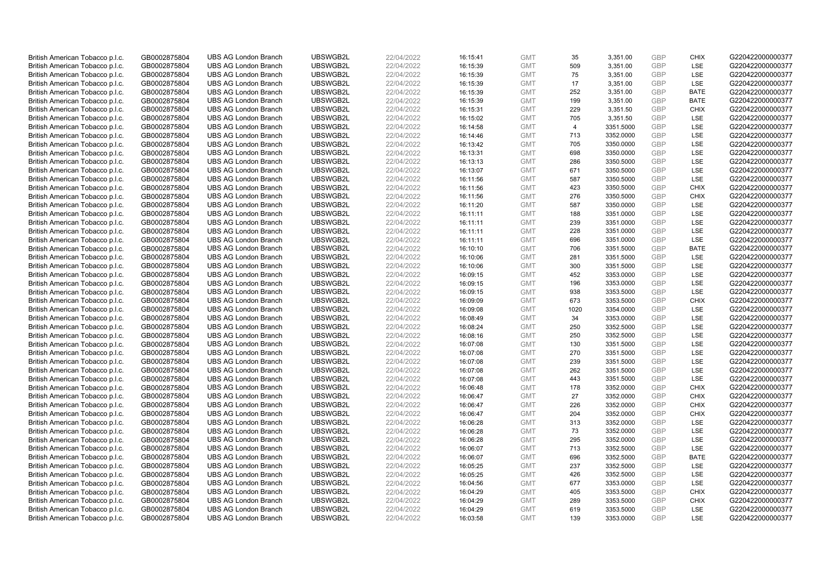| British American Tobacco p.l.c. | GB0002875804                 | <b>UBS AG London Branch</b> | UBSWGB2L | 22/04/2022 | 16:15:41 | <b>GMT</b> | 35             | 3,351.00  | <b>GBP</b> | <b>CHIX</b>       | G220422000000377 |
|---------------------------------|------------------------------|-----------------------------|----------|------------|----------|------------|----------------|-----------|------------|-------------------|------------------|
| British American Tobacco p.l.c. | GB0002875804                 | <b>UBS AG London Branch</b> | UBSWGB2L | 22/04/2022 | 16:15:39 | <b>GMT</b> | 509            | 3,351.00  | GBP        | <b>LSE</b>        | G220422000000377 |
| British American Tobacco p.l.c. | GB0002875804                 | <b>UBS AG London Branch</b> | UBSWGB2L | 22/04/2022 | 16:15:39 | <b>GMT</b> | 75             | 3,351.00  | <b>GBP</b> | LSE               | G220422000000377 |
| British American Tobacco p.l.c. | GB0002875804                 | <b>UBS AG London Branch</b> | UBSWGB2L | 22/04/2022 | 16:15:39 | <b>GMT</b> | 17             | 3,351.00  | <b>GBP</b> | LSE               | G220422000000377 |
| British American Tobacco p.l.c. | GB0002875804                 | <b>UBS AG London Branch</b> | UBSWGB2L | 22/04/2022 | 16:15:39 | <b>GMT</b> | 252            | 3,351.00  | <b>GBP</b> | <b>BATE</b>       | G220422000000377 |
|                                 |                              |                             |          |            |          |            |                |           |            |                   |                  |
| British American Tobacco p.l.c. | GB0002875804                 | <b>UBS AG London Branch</b> | UBSWGB2L | 22/04/2022 | 16:15:39 | <b>GMT</b> | 199            | 3,351.00  | <b>GBP</b> | <b>BATE</b>       | G220422000000377 |
| British American Tobacco p.l.c. | GB0002875804                 | <b>UBS AG London Branch</b> | UBSWGB2L | 22/04/2022 | 16:15:31 | <b>GMT</b> | 229            | 3,351.50  | <b>GBP</b> | <b>CHIX</b>       | G220422000000377 |
| British American Tobacco p.l.c. | GB0002875804                 | <b>UBS AG London Branch</b> | UBSWGB2L | 22/04/2022 | 16:15:02 | <b>GMT</b> | 705            | 3,351.50  | <b>GBP</b> | LSE               | G220422000000377 |
| British American Tobacco p.l.c. | GB0002875804                 | <b>UBS AG London Branch</b> | UBSWGB2L | 22/04/2022 | 16:14:58 | <b>GMT</b> | $\overline{4}$ | 3351.5000 | <b>GBP</b> | LSE               | G220422000000377 |
| British American Tobacco p.l.c. | GB0002875804                 | <b>UBS AG London Branch</b> | UBSWGB2L | 22/04/2022 | 16:14:46 | <b>GMT</b> | 713            | 3352.0000 | <b>GBP</b> | LSE               | G220422000000377 |
| British American Tobacco p.l.c. | GB0002875804                 | <b>UBS AG London Branch</b> | UBSWGB2L | 22/04/2022 | 16:13:42 | <b>GMT</b> | 705            | 3350.0000 | <b>GBP</b> | LSE               | G220422000000377 |
| British American Tobacco p.l.c. | GB0002875804                 | <b>UBS AG London Branch</b> | UBSWGB2L | 22/04/2022 | 16:13:31 | <b>GMT</b> | 698            | 3350.0000 | <b>GBP</b> | LSE               | G220422000000377 |
| British American Tobacco p.l.c. | GB0002875804                 | <b>UBS AG London Branch</b> | UBSWGB2L | 22/04/2022 | 16:13:13 | <b>GMT</b> | 286            | 3350.5000 | <b>GBP</b> | <b>LSE</b>        | G220422000000377 |
| British American Tobacco p.l.c. | GB0002875804                 | <b>UBS AG London Branch</b> | UBSWGB2L | 22/04/2022 | 16:13:07 | <b>GMT</b> | 671            | 3350.5000 | <b>GBP</b> | LSE               | G220422000000377 |
| British American Tobacco p.l.c. | GB0002875804                 | <b>UBS AG London Branch</b> | UBSWGB2L | 22/04/2022 | 16:11:56 | <b>GMT</b> | 587            | 3350.5000 | <b>GBP</b> | <b>LSE</b>        | G220422000000377 |
| British American Tobacco p.l.c. | GB0002875804                 | <b>UBS AG London Branch</b> | UBSWGB2L | 22/04/2022 | 16:11:56 | <b>GMT</b> | 423            | 3350.5000 | <b>GBP</b> | <b>CHIX</b>       | G220422000000377 |
| British American Tobacco p.l.c. | GB0002875804                 | <b>UBS AG London Branch</b> | UBSWGB2L | 22/04/2022 | 16:11:56 | <b>GMT</b> | 276            | 3350.5000 | <b>GBP</b> | <b>CHIX</b>       | G220422000000377 |
| British American Tobacco p.l.c. | GB0002875804                 | <b>UBS AG London Branch</b> | UBSWGB2L | 22/04/2022 | 16:11:20 | <b>GMT</b> | 587            | 3350.0000 | GBP        | LSE               | G220422000000377 |
| British American Tobacco p.l.c. | GB0002875804                 | <b>UBS AG London Branch</b> | UBSWGB2L | 22/04/2022 | 16:11:11 | <b>GMT</b> | 188            | 3351.0000 | <b>GBP</b> | <b>LSE</b>        | G220422000000377 |
| British American Tobacco p.l.c. | GB0002875804                 | <b>UBS AG London Branch</b> | UBSWGB2L | 22/04/2022 | 16:11:11 | <b>GMT</b> | 239            | 3351.0000 | <b>GBP</b> | LSE               | G220422000000377 |
| British American Tobacco p.l.c. | GB0002875804                 | <b>UBS AG London Branch</b> | UBSWGB2L | 22/04/2022 | 16:11:11 | <b>GMT</b> | 228            | 3351.0000 | <b>GBP</b> | LSE               | G220422000000377 |
| British American Tobacco p.l.c. | GB0002875804                 | <b>UBS AG London Branch</b> | UBSWGB2L | 22/04/2022 | 16:11:11 | <b>GMT</b> | 696            | 3351.0000 | <b>GBP</b> | LSE               | G220422000000377 |
| British American Tobacco p.l.c. | GB0002875804                 | <b>UBS AG London Branch</b> | UBSWGB2L | 22/04/2022 | 16:10:10 | <b>GMT</b> | 706            | 3351.5000 | <b>GBP</b> | <b>BATE</b>       | G220422000000377 |
| British American Tobacco p.l.c. | GB0002875804                 | <b>UBS AG London Branch</b> | UBSWGB2L | 22/04/2022 | 16:10:06 | <b>GMT</b> | 281            | 3351.5000 | <b>GBP</b> | <b>LSE</b>        | G220422000000377 |
| British American Tobacco p.l.c. | GB0002875804                 | <b>UBS AG London Branch</b> | UBSWGB2L | 22/04/2022 | 16:10:06 | <b>GMT</b> | 300            | 3351.5000 | <b>GBP</b> | LSE               | G220422000000377 |
| British American Tobacco p.l.c. | GB0002875804                 | <b>UBS AG London Branch</b> | UBSWGB2L | 22/04/2022 | 16:09:15 | <b>GMT</b> | 452            | 3353.0000 | <b>GBP</b> | LSE               | G220422000000377 |
| British American Tobacco p.l.c. | GB0002875804                 | <b>UBS AG London Branch</b> | UBSWGB2L | 22/04/2022 | 16:09:15 | <b>GMT</b> | 196            | 3353.0000 | <b>GBP</b> | LSE               | G220422000000377 |
| British American Tobacco p.l.c. | GB0002875804                 | <b>UBS AG London Branch</b> | UBSWGB2L | 22/04/2022 | 16:09:15 | <b>GMT</b> | 938            | 3353.5000 | <b>GBP</b> | <b>LSE</b>        | G220422000000377 |
| British American Tobacco p.l.c. | GB0002875804                 | <b>UBS AG London Branch</b> | UBSWGB2L | 22/04/2022 | 16:09:09 | <b>GMT</b> | 673            | 3353.5000 | <b>GBP</b> | <b>CHIX</b>       | G220422000000377 |
| British American Tobacco p.l.c. | GB0002875804                 | <b>UBS AG London Branch</b> | UBSWGB2L | 22/04/2022 | 16:09:08 | <b>GMT</b> | 1020           | 3354.0000 | <b>GBP</b> | LSE               | G220422000000377 |
| British American Tobacco p.l.c. | GB0002875804                 | <b>UBS AG London Branch</b> | UBSWGB2L | 22/04/2022 | 16:08:49 | <b>GMT</b> | 34             | 3353.0000 | GBP        | LSE               | G220422000000377 |
| British American Tobacco p.l.c. | GB0002875804                 | <b>UBS AG London Branch</b> | UBSWGB2L | 22/04/2022 | 16:08:24 | <b>GMT</b> | 250            | 3352.5000 | <b>GBP</b> | <b>LSE</b>        | G220422000000377 |
| British American Tobacco p.l.c. | GB0002875804                 | <b>UBS AG London Branch</b> | UBSWGB2L | 22/04/2022 | 16:08:16 | <b>GMT</b> | 250            | 3352.5000 | <b>GBP</b> | LSE               | G220422000000377 |
| British American Tobacco p.l.c. | GB0002875804                 | <b>UBS AG London Branch</b> | UBSWGB2L | 22/04/2022 | 16:07:08 | <b>GMT</b> | 130            | 3351.5000 | <b>GBP</b> | LSE               | G220422000000377 |
| British American Tobacco p.l.c. | GB0002875804                 | <b>UBS AG London Branch</b> | UBSWGB2L | 22/04/2022 | 16:07:08 | <b>GMT</b> | 270            | 3351.5000 | <b>GBP</b> | LSE               | G220422000000377 |
| British American Tobacco p.l.c. | GB0002875804                 | <b>UBS AG London Branch</b> | UBSWGB2L | 22/04/2022 | 16:07:08 | <b>GMT</b> | 239            | 3351.5000 | <b>GBP</b> | LSE               | G220422000000377 |
| British American Tobacco p.l.c. | GB0002875804                 | <b>UBS AG London Branch</b> | UBSWGB2L | 22/04/2022 | 16:07:08 | <b>GMT</b> | 262            | 3351.5000 | <b>GBP</b> | <b>LSE</b>        | G220422000000377 |
| British American Tobacco p.l.c. | GB0002875804                 | <b>UBS AG London Branch</b> | UBSWGB2L | 22/04/2022 | 16:07:08 | <b>GMT</b> | 443            | 3351.5000 | <b>GBP</b> | LSE               | G220422000000377 |
| British American Tobacco p.l.c. | GB0002875804                 | <b>UBS AG London Branch</b> | UBSWGB2L | 22/04/2022 | 16:06:48 | <b>GMT</b> | 178            | 3352.0000 | <b>GBP</b> | <b>CHIX</b>       | G220422000000377 |
| British American Tobacco p.l.c. | GB0002875804                 | <b>UBS AG London Branch</b> | UBSWGB2L | 22/04/2022 | 16:06:47 | <b>GMT</b> | 27             | 3352.0000 | <b>GBP</b> | <b>CHIX</b>       | G220422000000377 |
| British American Tobacco p.l.c. | GB0002875804                 | <b>UBS AG London Branch</b> | UBSWGB2L | 22/04/2022 | 16:06:47 | <b>GMT</b> | 226            | 3352.0000 | <b>GBP</b> | <b>CHIX</b>       | G220422000000377 |
| British American Tobacco p.l.c. |                              | <b>UBS AG London Branch</b> | UBSWGB2L | 22/04/2022 | 16:06:47 | <b>GMT</b> | 204            | 3352.0000 | <b>GBP</b> | <b>CHIX</b>       | G220422000000377 |
|                                 | GB0002875804<br>GB0002875804 |                             | UBSWGB2L | 22/04/2022 | 16:06:28 | <b>GMT</b> | 313            |           | <b>GBP</b> | LSE               | G220422000000377 |
| British American Tobacco p.l.c. |                              | <b>UBS AG London Branch</b> |          |            |          |            |                | 3352.0000 | GBP        |                   |                  |
| British American Tobacco p.l.c. | GB0002875804                 | <b>UBS AG London Branch</b> | UBSWGB2L | 22/04/2022 | 16:06:28 | <b>GMT</b> | 73             | 3352.0000 |            | LSE<br><b>LSE</b> | G220422000000377 |
| British American Tobacco p.l.c. | GB0002875804                 | <b>UBS AG London Branch</b> | UBSWGB2L | 22/04/2022 | 16:06:28 | <b>GMT</b> | 295            | 3352.0000 | <b>GBP</b> |                   | G220422000000377 |
| British American Tobacco p.l.c. | GB0002875804                 | <b>UBS AG London Branch</b> | UBSWGB2L | 22/04/2022 | 16:06:07 | <b>GMT</b> | 713            | 3352.5000 | <b>GBP</b> | LSE               | G220422000000377 |
| British American Tobacco p.l.c. | GB0002875804                 | <b>UBS AG London Branch</b> | UBSWGB2L | 22/04/2022 | 16:06:07 | <b>GMT</b> | 696            | 3352.5000 | <b>GBP</b> | <b>BATE</b>       | G220422000000377 |
| British American Tobacco p.l.c. | GB0002875804                 | <b>UBS AG London Branch</b> | UBSWGB2L | 22/04/2022 | 16:05:25 | <b>GMT</b> | 237            | 3352.5000 | <b>GBP</b> | LSE               | G220422000000377 |
| British American Tobacco p.l.c. | GB0002875804                 | <b>UBS AG London Branch</b> | UBSWGB2L | 22/04/2022 | 16:05:25 | <b>GMT</b> | 426            | 3352.5000 | <b>GBP</b> | LSE               | G220422000000377 |
| British American Tobacco p.l.c. | GB0002875804                 | <b>UBS AG London Branch</b> | UBSWGB2L | 22/04/2022 | 16:04:56 | <b>GMT</b> | 677            | 3353.0000 | <b>GBP</b> | <b>LSE</b>        | G220422000000377 |
| British American Tobacco p.l.c. | GB0002875804                 | <b>UBS AG London Branch</b> | UBSWGB2L | 22/04/2022 | 16:04:29 | <b>GMT</b> | 405            | 3353.5000 | <b>GBP</b> | <b>CHIX</b>       | G220422000000377 |
| British American Tobacco p.l.c. | GB0002875804                 | <b>UBS AG London Branch</b> | UBSWGB2L | 22/04/2022 | 16:04:29 | <b>GMT</b> | 289            | 3353.5000 | <b>GBP</b> | <b>CHIX</b>       | G220422000000377 |
| British American Tobacco p.l.c. | GB0002875804                 | <b>UBS AG London Branch</b> | UBSWGB2L | 22/04/2022 | 16:04:29 | <b>GMT</b> | 619            | 3353.5000 | <b>GBP</b> | <b>LSE</b>        | G220422000000377 |
| British American Tobacco p.l.c. | GB0002875804                 | <b>UBS AG London Branch</b> | UBSWGB2L | 22/04/2022 | 16:03:58 | <b>GMT</b> | 139            | 3353.0000 | GBP        | <b>LSE</b>        | G220422000000377 |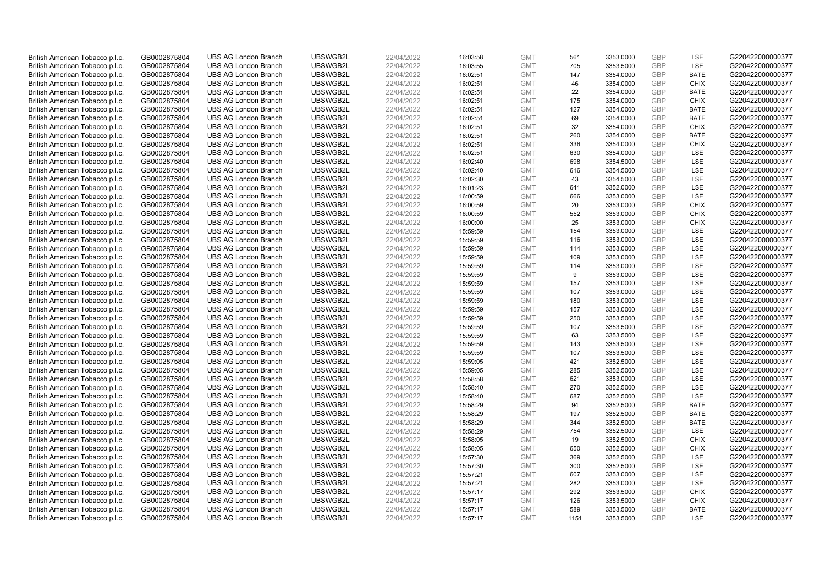| British American Tobacco p.l.c. | GB0002875804 | <b>UBS AG London Branch</b> | UBSWGB2L | 22/04/2022 | 16:03:58 | <b>GMT</b> | 561  | 3353.0000 | <b>GBP</b> | LSE         | G220422000000377 |
|---------------------------------|--------------|-----------------------------|----------|------------|----------|------------|------|-----------|------------|-------------|------------------|
|                                 | GB0002875804 | <b>UBS AG London Branch</b> | UBSWGB2L | 22/04/2022 |          | <b>GMT</b> | 705  | 3353.5000 | GBP        | LSE         | G220422000000377 |
| British American Tobacco p.l.c. |              |                             |          |            | 16:03:55 |            |      |           | GBP        | <b>BATE</b> |                  |
| British American Tobacco p.l.c. | GB0002875804 | <b>UBS AG London Branch</b> | UBSWGB2L | 22/04/2022 | 16:02:51 | <b>GMT</b> | 147  | 3354.0000 |            |             | G220422000000377 |
| British American Tobacco p.l.c. | GB0002875804 | <b>UBS AG London Branch</b> | UBSWGB2L | 22/04/2022 | 16:02:51 | <b>GMT</b> | 46   | 3354.0000 | <b>GBP</b> | <b>CHIX</b> | G220422000000377 |
| British American Tobacco p.l.c. | GB0002875804 | <b>UBS AG London Branch</b> | UBSWGB2L | 22/04/2022 | 16:02:51 | <b>GMT</b> | 22   | 3354.0000 | <b>GBP</b> | <b>BATE</b> | G220422000000377 |
| British American Tobacco p.l.c. | GB0002875804 | <b>UBS AG London Branch</b> | UBSWGB2L | 22/04/2022 | 16:02:51 | <b>GMT</b> | 175  | 3354.0000 | <b>GBP</b> | <b>CHIX</b> | G220422000000377 |
| British American Tobacco p.l.c. | GB0002875804 | <b>UBS AG London Branch</b> | UBSWGB2L | 22/04/2022 | 16:02:51 | <b>GMT</b> | 127  | 3354.0000 | <b>GBP</b> | <b>BATE</b> | G220422000000377 |
| British American Tobacco p.l.c. | GB0002875804 | <b>UBS AG London Branch</b> | UBSWGB2L | 22/04/2022 | 16:02:51 | <b>GMT</b> | 69   | 3354.0000 | <b>GBP</b> | <b>BATE</b> | G220422000000377 |
| British American Tobacco p.l.c. | GB0002875804 | <b>UBS AG London Branch</b> | UBSWGB2L | 22/04/2022 | 16:02:51 | <b>GMT</b> | 32   | 3354.0000 | <b>GBP</b> | <b>CHIX</b> | G220422000000377 |
| British American Tobacco p.l.c. | GB0002875804 | <b>UBS AG London Branch</b> | UBSWGB2L | 22/04/2022 | 16:02:51 | <b>GMT</b> | 260  | 3354.0000 | <b>GBP</b> | <b>BATE</b> | G220422000000377 |
| British American Tobacco p.l.c. | GB0002875804 | <b>UBS AG London Branch</b> | UBSWGB2L | 22/04/2022 | 16:02:51 | <b>GMT</b> | 336  | 3354.0000 | <b>GBP</b> | <b>CHIX</b> | G220422000000377 |
| British American Tobacco p.l.c. | GB0002875804 | <b>UBS AG London Branch</b> | UBSWGB2L | 22/04/2022 | 16:02:51 | <b>GMT</b> | 630  | 3354.0000 | <b>GBP</b> | LSE         | G220422000000377 |
| British American Tobacco p.l.c. | GB0002875804 | <b>UBS AG London Branch</b> | UBSWGB2L | 22/04/2022 | 16:02:40 | <b>GMT</b> | 698  | 3354.5000 | GBP        | LSE         | G220422000000377 |
| British American Tobacco p.l.c. | GB0002875804 | <b>UBS AG London Branch</b> | UBSWGB2L | 22/04/2022 | 16:02:40 | <b>GMT</b> | 616  | 3354.5000 | <b>GBP</b> | LSE         | G220422000000377 |
| British American Tobacco p.l.c. | GB0002875804 | <b>UBS AG London Branch</b> | UBSWGB2L | 22/04/2022 | 16:02:30 | <b>GMT</b> | 43   | 3354.5000 | GBP        | <b>LSE</b>  | G220422000000377 |
| British American Tobacco p.l.c. | GB0002875804 | <b>UBS AG London Branch</b> | UBSWGB2L | 22/04/2022 | 16:01:23 | <b>GMT</b> | 641  | 3352.0000 | <b>GBP</b> | LSE         | G220422000000377 |
| British American Tobacco p.l.c. | GB0002875804 | <b>UBS AG London Branch</b> | UBSWGB2L | 22/04/2022 | 16:00:59 | <b>GMT</b> | 666  | 3353.0000 | GBP        | LSE         | G220422000000377 |
| British American Tobacco p.l.c. | GB0002875804 | <b>UBS AG London Branch</b> | UBSWGB2L | 22/04/2022 | 16:00:59 | <b>GMT</b> | 20   | 3353.0000 | GBP        | <b>CHIX</b> | G220422000000377 |
| British American Tobacco p.l.c. | GB0002875804 | <b>UBS AG London Branch</b> | UBSWGB2L | 22/04/2022 | 16:00:59 | <b>GMT</b> | 552  | 3353.0000 | <b>GBP</b> | <b>CHIX</b> | G220422000000377 |
| British American Tobacco p.l.c. | GB0002875804 | <b>UBS AG London Branch</b> | UBSWGB2L | 22/04/2022 | 16:00:00 | <b>GMT</b> | 25   | 3353.0000 | <b>GBP</b> | <b>CHIX</b> | G220422000000377 |
| British American Tobacco p.l.c. | GB0002875804 | <b>UBS AG London Branch</b> | UBSWGB2L | 22/04/2022 | 15:59:59 | <b>GMT</b> | 154  | 3353.0000 | <b>GBP</b> | LSE         | G220422000000377 |
| British American Tobacco p.l.c. | GB0002875804 | <b>UBS AG London Branch</b> | UBSWGB2L | 22/04/2022 | 15:59:59 | <b>GMT</b> | 116  | 3353.0000 | GBP        | LSE         | G220422000000377 |
| British American Tobacco p.l.c. | GB0002875804 | <b>UBS AG London Branch</b> | UBSWGB2L | 22/04/2022 | 15:59:59 | <b>GMT</b> | 114  | 3353.0000 | <b>GBP</b> | LSE         | G220422000000377 |
| British American Tobacco p.l.c. | GB0002875804 | <b>UBS AG London Branch</b> | UBSWGB2L | 22/04/2022 | 15:59:59 | <b>GMT</b> | 109  | 3353.0000 | <b>GBP</b> | <b>LSE</b>  | G220422000000377 |
| British American Tobacco p.l.c. | GB0002875804 | <b>UBS AG London Branch</b> | UBSWGB2L | 22/04/2022 | 15:59:59 | <b>GMT</b> | 114  | 3353.0000 | <b>GBP</b> | LSE         | G220422000000377 |
| British American Tobacco p.l.c. | GB0002875804 | <b>UBS AG London Branch</b> | UBSWGB2L | 22/04/2022 | 15:59:59 | <b>GMT</b> | 9    | 3353.0000 | GBP        | LSE         | G220422000000377 |
| British American Tobacco p.l.c. | GB0002875804 | <b>UBS AG London Branch</b> | UBSWGB2L | 22/04/2022 | 15:59:59 | <b>GMT</b> | 157  | 3353.0000 | <b>GBP</b> | LSE         | G220422000000377 |
| British American Tobacco p.l.c. | GB0002875804 | <b>UBS AG London Branch</b> | UBSWGB2L | 22/04/2022 | 15:59:59 | <b>GMT</b> | 107  | 3353.0000 | GBP        | LSE         | G220422000000377 |
| British American Tobacco p.l.c. | GB0002875804 | <b>UBS AG London Branch</b> | UBSWGB2L | 22/04/2022 | 15:59:59 | <b>GMT</b> | 180  | 3353.0000 | <b>GBP</b> | LSE         | G220422000000377 |
| British American Tobacco p.l.c. | GB0002875804 | <b>UBS AG London Branch</b> | UBSWGB2L | 22/04/2022 | 15:59:59 | <b>GMT</b> | 157  | 3353.0000 | GBP        | LSE         | G220422000000377 |
| British American Tobacco p.l.c. | GB0002875804 | <b>UBS AG London Branch</b> | UBSWGB2L | 22/04/2022 | 15:59:59 | <b>GMT</b> | 250  | 3353.5000 | <b>GBP</b> | LSE         | G220422000000377 |
| British American Tobacco p.l.c. | GB0002875804 | <b>UBS AG London Branch</b> | UBSWGB2L | 22/04/2022 | 15:59:59 | <b>GMT</b> | 107  | 3353.5000 | GBP        | <b>LSE</b>  | G220422000000377 |
| British American Tobacco p.l.c. | GB0002875804 | <b>UBS AG London Branch</b> | UBSWGB2L | 22/04/2022 | 15:59:59 | <b>GMT</b> | 63   | 3353.5000 | <b>GBP</b> | LSE         | G220422000000377 |
| British American Tobacco p.l.c. | GB0002875804 | <b>UBS AG London Branch</b> | UBSWGB2L | 22/04/2022 | 15:59:59 | <b>GMT</b> | 143  | 3353.5000 | <b>GBP</b> | LSE         | G220422000000377 |
| British American Tobacco p.l.c. | GB0002875804 | <b>UBS AG London Branch</b> | UBSWGB2L | 22/04/2022 | 15:59:59 | <b>GMT</b> | 107  | 3353.5000 | GBP        | LSE         | G220422000000377 |
| British American Tobacco p.l.c. | GB0002875804 | <b>UBS AG London Branch</b> | UBSWGB2L | 22/04/2022 | 15:59:05 | <b>GMT</b> | 421  | 3352.5000 | <b>GBP</b> | LSE         | G220422000000377 |
| British American Tobacco p.l.c. | GB0002875804 | <b>UBS AG London Branch</b> | UBSWGB2L | 22/04/2022 | 15:59:05 | <b>GMT</b> | 285  | 3352.5000 | GBP        | <b>LSE</b>  | G220422000000377 |
| British American Tobacco p.l.c. | GB0002875804 | <b>UBS AG London Branch</b> | UBSWGB2L | 22/04/2022 | 15:58:58 | <b>GMT</b> | 621  | 3353.0000 | <b>GBP</b> | LSE         | G220422000000377 |
| British American Tobacco p.l.c. | GB0002875804 | <b>UBS AG London Branch</b> | UBSWGB2L | 22/04/2022 | 15:58:40 | <b>GMT</b> | 270  | 3352.5000 | GBP        | LSE         | G220422000000377 |
| British American Tobacco p.l.c. | GB0002875804 | <b>UBS AG London Branch</b> | UBSWGB2L | 22/04/2022 | 15:58:40 | <b>GMT</b> | 687  | 3352.5000 | <b>GBP</b> | LSE         | G220422000000377 |
| British American Tobacco p.l.c. | GB0002875804 | <b>UBS AG London Branch</b> | UBSWGB2L | 22/04/2022 | 15:58:29 | <b>GMT</b> | 94   | 3352.5000 | GBP        | <b>BATE</b> | G220422000000377 |
| British American Tobacco p.l.c. | GB0002875804 | <b>UBS AG London Branch</b> | UBSWGB2L | 22/04/2022 | 15:58:29 | <b>GMT</b> | 197  | 3352.5000 | <b>GBP</b> | <b>BATE</b> | G220422000000377 |
| British American Tobacco p.l.c. | GB0002875804 | <b>UBS AG London Branch</b> | UBSWGB2L | 22/04/2022 | 15:58:29 | <b>GMT</b> | 344  | 3352.5000 | GBP        | <b>BATE</b> | G220422000000377 |
| British American Tobacco p.l.c. | GB0002875804 | <b>UBS AG London Branch</b> | UBSWGB2L | 22/04/2022 | 15:58:29 | <b>GMT</b> | 754  | 3352.5000 | GBP        | LSE         | G220422000000377 |
| British American Tobacco p.l.c. | GB0002875804 | <b>UBS AG London Branch</b> | UBSWGB2L | 22/04/2022 | 15:58:05 | <b>GMT</b> | 19   | 3352.5000 | GBP        | <b>CHIX</b> | G220422000000377 |
| British American Tobacco p.l.c. | GB0002875804 | <b>UBS AG London Branch</b> | UBSWGB2L | 22/04/2022 | 15:58:05 | <b>GMT</b> | 650  | 3352.5000 | <b>GBP</b> | <b>CHIX</b> | G220422000000377 |
| British American Tobacco p.l.c. | GB0002875804 | <b>UBS AG London Branch</b> | UBSWGB2L | 22/04/2022 | 15:57:30 | <b>GMT</b> | 369  | 3352.5000 | GBP        | LSE         | G220422000000377 |
| British American Tobacco p.l.c. | GB0002875804 | <b>UBS AG London Branch</b> | UBSWGB2L | 22/04/2022 | 15:57:30 | <b>GMT</b> | 300  | 3352.5000 | GBP        | LSE         | G220422000000377 |
| British American Tobacco p.l.c. | GB0002875804 | <b>UBS AG London Branch</b> | UBSWGB2L | 22/04/2022 | 15:57:21 | <b>GMT</b> | 607  | 3353.0000 | GBP        | LSE         | G220422000000377 |
| British American Tobacco p.l.c. | GB0002875804 | <b>UBS AG London Branch</b> | UBSWGB2L | 22/04/2022 | 15:57:21 | <b>GMT</b> | 282  | 3353.0000 | GBP        | <b>LSE</b>  | G220422000000377 |
| British American Tobacco p.l.c. | GB0002875804 | <b>UBS AG London Branch</b> | UBSWGB2L | 22/04/2022 | 15:57:17 | <b>GMT</b> | 292  | 3353.5000 | <b>GBP</b> | <b>CHIX</b> | G220422000000377 |
| British American Tobacco p.l.c. | GB0002875804 | <b>UBS AG London Branch</b> | UBSWGB2L | 22/04/2022 | 15:57:17 | <b>GMT</b> | 126  | 3353.5000 | GBP        | <b>CHIX</b> | G220422000000377 |
| British American Tobacco p.l.c. | GB0002875804 | <b>UBS AG London Branch</b> | UBSWGB2L | 22/04/2022 | 15:57:17 | <b>GMT</b> | 589  | 3353.5000 | <b>GBP</b> | <b>BATE</b> | G220422000000377 |
| British American Tobacco p.l.c. | GB0002875804 | <b>UBS AG London Branch</b> | UBSWGB2L | 22/04/2022 | 15:57:17 | <b>GMT</b> | 1151 | 3353.5000 | GBP        | <b>LSE</b>  | G220422000000377 |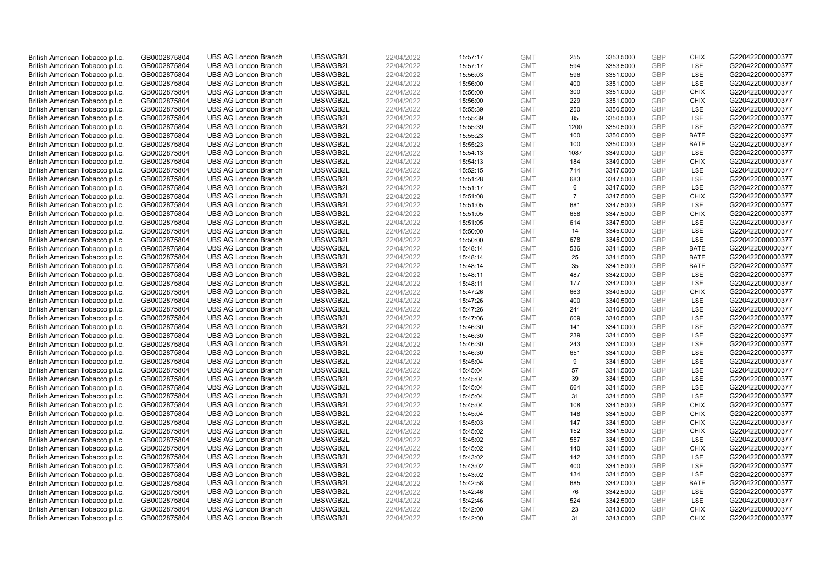| British American Tobacco p.l.c.                                    | GB0002875804                 |                             | UBSWGB2L | 22/04/2022 |          | <b>GMT</b> |                |           | <b>GBP</b> |                           | G220422000000377 |
|--------------------------------------------------------------------|------------------------------|-----------------------------|----------|------------|----------|------------|----------------|-----------|------------|---------------------------|------------------|
|                                                                    |                              | <b>UBS AG London Branch</b> |          |            | 15:57:17 |            | 255<br>594     | 3353.5000 | GBP        | <b>CHIX</b><br><b>LSE</b> |                  |
| British American Tobacco p.l.c.                                    | GB0002875804                 | <b>UBS AG London Branch</b> | UBSWGB2L | 22/04/2022 | 15:57:17 | <b>GMT</b> |                | 3353.5000 |            |                           | G220422000000377 |
| British American Tobacco p.l.c.                                    | GB0002875804                 | <b>UBS AG London Branch</b> | UBSWGB2L | 22/04/2022 | 15:56:03 | <b>GMT</b> | 596            | 3351.0000 | GBP        | LSE                       | G220422000000377 |
| British American Tobacco p.l.c.                                    | GB0002875804                 | <b>UBS AG London Branch</b> | UBSWGB2L | 22/04/2022 | 15:56:00 | <b>GMT</b> | 400            | 3351.0000 | <b>GBP</b> | LSE                       | G220422000000377 |
| British American Tobacco p.l.c.                                    | GB0002875804                 | <b>UBS AG London Branch</b> | UBSWGB2L | 22/04/2022 | 15:56:00 | <b>GMT</b> | 300            | 3351.0000 | <b>GBP</b> | <b>CHIX</b>               | G220422000000377 |
| British American Tobacco p.l.c.                                    | GB0002875804                 | <b>UBS AG London Branch</b> | UBSWGB2L | 22/04/2022 | 15:56:00 | <b>GMT</b> | 229            | 3351.0000 | <b>GBP</b> | <b>CHIX</b>               | G220422000000377 |
| British American Tobacco p.l.c.                                    | GB0002875804                 | <b>UBS AG London Branch</b> | UBSWGB2L | 22/04/2022 | 15:55:39 | <b>GMT</b> | 250            | 3350.5000 | <b>GBP</b> | LSE                       | G220422000000377 |
| British American Tobacco p.l.c.                                    | GB0002875804                 | <b>UBS AG London Branch</b> | UBSWGB2L | 22/04/2022 | 15:55:39 | <b>GMT</b> | 85             | 3350.5000 | <b>GBP</b> | LSE                       | G220422000000377 |
| British American Tobacco p.l.c.                                    | GB0002875804                 | <b>UBS AG London Branch</b> | UBSWGB2L | 22/04/2022 | 15:55:39 | <b>GMT</b> | 1200           | 3350.5000 | <b>GBP</b> | LSE                       | G220422000000377 |
| British American Tobacco p.l.c.                                    | GB0002875804                 | <b>UBS AG London Branch</b> | UBSWGB2L | 22/04/2022 | 15:55:23 | <b>GMT</b> | 100            | 3350.0000 | <b>GBP</b> | <b>BATE</b>               | G220422000000377 |
| British American Tobacco p.l.c.                                    | GB0002875804                 | <b>UBS AG London Branch</b> | UBSWGB2L | 22/04/2022 | 15:55:23 | <b>GMT</b> | 100            | 3350.0000 | <b>GBP</b> | <b>BATE</b>               | G220422000000377 |
| British American Tobacco p.l.c.                                    | GB0002875804                 | <b>UBS AG London Branch</b> | UBSWGB2L | 22/04/2022 | 15:54:13 | <b>GMT</b> | 1087           | 3349.0000 | <b>GBP</b> | LSE                       | G220422000000377 |
| British American Tobacco p.l.c.                                    | GB0002875804                 | <b>UBS AG London Branch</b> | UBSWGB2L | 22/04/2022 | 15:54:13 | <b>GMT</b> | 184            | 3349.0000 | GBP        | <b>CHIX</b>               | G220422000000377 |
| British American Tobacco p.l.c.                                    | GB0002875804                 | <b>UBS AG London Branch</b> | UBSWGB2L | 22/04/2022 | 15:52:15 | <b>GMT</b> | 714            | 3347.0000 | <b>GBP</b> | LSE                       | G220422000000377 |
| British American Tobacco p.l.c.                                    | GB0002875804                 | <b>UBS AG London Branch</b> | UBSWGB2L | 22/04/2022 | 15:51:28 | <b>GMT</b> | 683            | 3347.5000 | GBP        | LSE                       | G220422000000377 |
| British American Tobacco p.l.c.                                    | GB0002875804                 | <b>UBS AG London Branch</b> | UBSWGB2L | 22/04/2022 | 15:51:17 | <b>GMT</b> | 6              | 3347.0000 | <b>GBP</b> | LSE                       | G220422000000377 |
| British American Tobacco p.l.c.                                    | GB0002875804                 | <b>UBS AG London Branch</b> | UBSWGB2L | 22/04/2022 | 15:51:08 | <b>GMT</b> | $\overline{7}$ | 3347.5000 | GBP        | <b>CHIX</b>               | G220422000000377 |
| British American Tobacco p.l.c.                                    | GB0002875804                 | <b>UBS AG London Branch</b> | UBSWGB2L | 22/04/2022 | 15:51:05 | <b>GMT</b> | 681            | 3347.5000 | GBP        | <b>LSE</b>                | G220422000000377 |
| British American Tobacco p.l.c.                                    | GB0002875804                 | <b>UBS AG London Branch</b> | UBSWGB2L | 22/04/2022 | 15:51:05 | <b>GMT</b> | 658            | 3347.5000 | <b>GBP</b> | <b>CHIX</b>               | G220422000000377 |
| British American Tobacco p.l.c.                                    | GB0002875804                 | <b>UBS AG London Branch</b> | UBSWGB2L | 22/04/2022 | 15:51:05 | <b>GMT</b> | 614            | 3347.5000 | <b>GBP</b> | LSE                       | G220422000000377 |
| British American Tobacco p.l.c.                                    | GB0002875804                 | <b>UBS AG London Branch</b> | UBSWGB2L | 22/04/2022 | 15:50:00 | <b>GMT</b> | 14             | 3345.0000 | <b>GBP</b> | LSE                       | G220422000000377 |
| British American Tobacco p.l.c.                                    | GB0002875804                 | <b>UBS AG London Branch</b> | UBSWGB2L | 22/04/2022 | 15:50:00 | <b>GMT</b> | 678            | 3345.0000 | GBP        | LSE                       | G220422000000377 |
| British American Tobacco p.l.c.                                    | GB0002875804                 | <b>UBS AG London Branch</b> | UBSWGB2L | 22/04/2022 | 15:48:14 | <b>GMT</b> | 536            | 3341.5000 | <b>GBP</b> | <b>BATE</b>               | G220422000000377 |
| British American Tobacco p.l.c.                                    | GB0002875804                 | <b>UBS AG London Branch</b> | UBSWGB2L | 22/04/2022 | 15:48:14 | <b>GMT</b> | 25             | 3341.5000 | <b>GBP</b> | <b>BATE</b>               | G220422000000377 |
| British American Tobacco p.l.c.                                    | GB0002875804                 | <b>UBS AG London Branch</b> | UBSWGB2L | 22/04/2022 | 15:48:14 | <b>GMT</b> | 35             | 3341.5000 | <b>GBP</b> | <b>BATE</b>               | G220422000000377 |
| British American Tobacco p.l.c.                                    | GB0002875804                 | <b>UBS AG London Branch</b> | UBSWGB2L | 22/04/2022 | 15:48:11 | <b>GMT</b> | 487            | 3342.0000 | GBP        | LSE                       | G220422000000377 |
| British American Tobacco p.l.c.                                    | GB0002875804                 | <b>UBS AG London Branch</b> | UBSWGB2L | 22/04/2022 | 15:48:11 | <b>GMT</b> | 177            | 3342.0000 | <b>GBP</b> | LSE                       | G220422000000377 |
| British American Tobacco p.l.c.                                    | GB0002875804                 | <b>UBS AG London Branch</b> | UBSWGB2L | 22/04/2022 | 15:47:26 | <b>GMT</b> | 663            | 3340.5000 | GBP        | CHIX                      | G220422000000377 |
| British American Tobacco p.l.c.                                    | GB0002875804                 | <b>UBS AG London Branch</b> | UBSWGB2L | 22/04/2022 | 15:47:26 | <b>GMT</b> | 400            | 3340.5000 | <b>GBP</b> | <b>LSE</b>                | G220422000000377 |
| British American Tobacco p.l.c.                                    | GB0002875804                 | <b>UBS AG London Branch</b> | UBSWGB2L | 22/04/2022 | 15:47:26 | <b>GMT</b> | 241            | 3340.5000 | GBP        | LSE                       | G220422000000377 |
| British American Tobacco p.l.c.                                    | GB0002875804                 | <b>UBS AG London Branch</b> | UBSWGB2L | 22/04/2022 | 15:47:06 | <b>GMT</b> | 609            | 3340.5000 | <b>GBP</b> | LSE                       | G220422000000377 |
| British American Tobacco p.l.c.                                    | GB0002875804                 | <b>UBS AG London Branch</b> | UBSWGB2L | 22/04/2022 | 15:46:30 | <b>GMT</b> | 141            | 3341.0000 | GBP        | <b>LSE</b>                | G220422000000377 |
| British American Tobacco p.l.c.                                    | GB0002875804                 | <b>UBS AG London Branch</b> | UBSWGB2L | 22/04/2022 | 15:46:30 | <b>GMT</b> | 239            | 3341.0000 | <b>GBP</b> | LSE                       | G220422000000377 |
| British American Tobacco p.l.c.                                    | GB0002875804                 | <b>UBS AG London Branch</b> | UBSWGB2L | 22/04/2022 | 15:46:30 | <b>GMT</b> | 243            | 3341.0000 | <b>GBP</b> | LSE                       | G220422000000377 |
| British American Tobacco p.l.c.                                    | GB0002875804                 | <b>UBS AG London Branch</b> | UBSWGB2L | 22/04/2022 | 15:46:30 | <b>GMT</b> | 651            | 3341.0000 | GBP        | LSE                       | G220422000000377 |
| British American Tobacco p.l.c.                                    | GB0002875804                 | <b>UBS AG London Branch</b> | UBSWGB2L | 22/04/2022 | 15:45:04 | <b>GMT</b> | 9              | 3341.5000 | <b>GBP</b> | LSE                       | G220422000000377 |
| British American Tobacco p.l.c.                                    | GB0002875804                 | <b>UBS AG London Branch</b> | UBSWGB2L | 22/04/2022 | 15:45:04 | <b>GMT</b> | 57             | 3341.5000 | GBP        | <b>LSE</b>                | G220422000000377 |
| British American Tobacco p.l.c.                                    | GB0002875804                 | <b>UBS AG London Branch</b> | UBSWGB2L | 22/04/2022 | 15:45:04 | <b>GMT</b> | 39             | 3341.5000 | <b>GBP</b> | LSE                       | G220422000000377 |
| British American Tobacco p.l.c.                                    | GB0002875804                 | <b>UBS AG London Branch</b> | UBSWGB2L | 22/04/2022 | 15:45:04 | <b>GMT</b> | 664            | 3341.5000 | GBP        | LSE                       | G220422000000377 |
| British American Tobacco p.l.c.                                    | GB0002875804                 | <b>UBS AG London Branch</b> | UBSWGB2L | 22/04/2022 | 15:45:04 | <b>GMT</b> | 31             | 3341.5000 | <b>GBP</b> | LSE                       | G220422000000377 |
| British American Tobacco p.l.c.                                    | GB0002875804                 | <b>UBS AG London Branch</b> | UBSWGB2L | 22/04/2022 | 15:45:04 | <b>GMT</b> | 108            | 3341.5000 | GBP        | <b>CHIX</b>               | G220422000000377 |
| British American Tobacco p.l.c.                                    | GB0002875804                 | <b>UBS AG London Branch</b> | UBSWGB2L | 22/04/2022 | 15:45:04 | <b>GMT</b> | 148            | 3341.5000 | <b>GBP</b> | <b>CHIX</b>               | G220422000000377 |
| British American Tobacco p.l.c.                                    | GB0002875804                 | <b>UBS AG London Branch</b> | UBSWGB2L | 22/04/2022 | 15:45:03 | <b>GMT</b> | 147            | 3341.5000 | GBP        | <b>CHIX</b>               | G220422000000377 |
| British American Tobacco p.l.c.                                    | GB0002875804                 | <b>UBS AG London Branch</b> | UBSWGB2L | 22/04/2022 | 15:45:02 | <b>GMT</b> | 152            | 3341.5000 | GBP        | <b>CHIX</b>               | G220422000000377 |
| British American Tobacco p.l.c.                                    | GB0002875804                 | <b>UBS AG London Branch</b> | UBSWGB2L | 22/04/2022 | 15:45:02 | <b>GMT</b> | 557            | 3341.5000 | GBP        | LSE                       | G220422000000377 |
|                                                                    |                              | <b>UBS AG London Branch</b> | UBSWGB2L | 22/04/2022 | 15:45:02 | <b>GMT</b> | 140            | 3341.5000 | <b>GBP</b> | <b>CHIX</b>               | G220422000000377 |
| British American Tobacco p.l.c.<br>British American Tobacco p.l.c. | GB0002875804<br>GB0002875804 | <b>UBS AG London Branch</b> | UBSWGB2L | 22/04/2022 | 15:43:02 | <b>GMT</b> | 142            | 3341.5000 | GBP        | LSE                       | G220422000000377 |
|                                                                    |                              | <b>UBS AG London Branch</b> | UBSWGB2L |            |          | <b>GMT</b> | 400            | 3341.5000 | GBP        | LSE                       | G220422000000377 |
| British American Tobacco p.l.c.                                    | GB0002875804                 |                             |          | 22/04/2022 | 15:43:02 |            |                |           | GBP        |                           |                  |
| British American Tobacco p.l.c.                                    | GB0002875804                 | <b>UBS AG London Branch</b> | UBSWGB2L | 22/04/2022 | 15:43:02 | <b>GMT</b> | 134            | 3341.5000 | GBP        | LSE                       | G220422000000377 |
| British American Tobacco p.l.c.                                    | GB0002875804                 | <b>UBS AG London Branch</b> | UBSWGB2L | 22/04/2022 | 15:42:58 | <b>GMT</b> | 685            | 3342.0000 |            | <b>BATE</b>               | G220422000000377 |
| British American Tobacco p.l.c.                                    | GB0002875804                 | <b>UBS AG London Branch</b> | UBSWGB2L | 22/04/2022 | 15:42:46 | <b>GMT</b> | 76             | 3342.5000 | <b>GBP</b> | LSE                       | G220422000000377 |
| British American Tobacco p.l.c.                                    | GB0002875804                 | <b>UBS AG London Branch</b> | UBSWGB2L | 22/04/2022 | 15:42:46 | <b>GMT</b> | 524            | 3342.5000 | GBP        | LSE                       | G220422000000377 |
| British American Tobacco p.l.c.                                    | GB0002875804                 | <b>UBS AG London Branch</b> | UBSWGB2L | 22/04/2022 | 15:42:00 | <b>GMT</b> | 23             | 3343.0000 | <b>GBP</b> | <b>CHIX</b>               | G220422000000377 |
| British American Tobacco p.l.c.                                    | GB0002875804                 | <b>UBS AG London Branch</b> | UBSWGB2L | 22/04/2022 | 15:42:00 | <b>GMT</b> | 31             | 3343.0000 | GBP        | CHIX                      | G220422000000377 |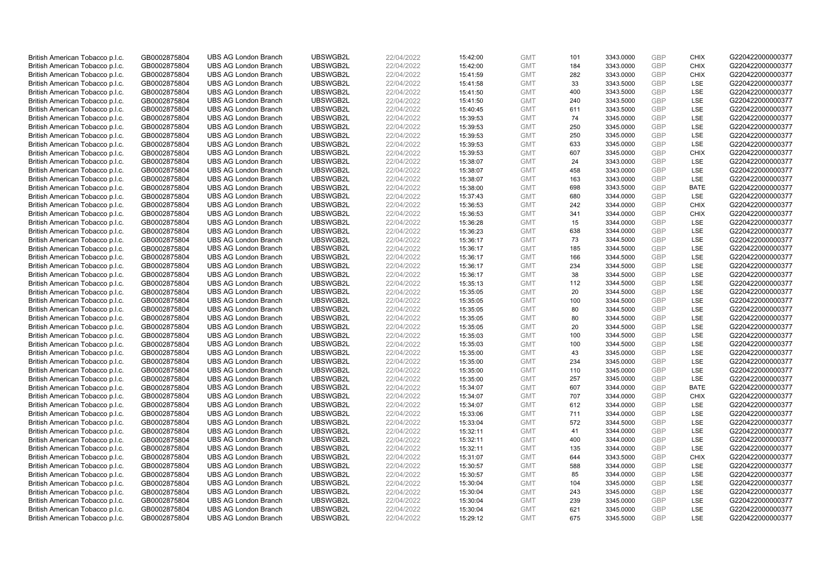| British American Tobacco p.l.c. | GB0002875804 | <b>UBS AG London Branch</b> | UBSWGB2L | 22/04/2022 | 15:42:00 | <b>GMT</b> | 101 | 3343.0000 | <b>GBP</b> | <b>CHIX</b> | G220422000000377 |
|---------------------------------|--------------|-----------------------------|----------|------------|----------|------------|-----|-----------|------------|-------------|------------------|
|                                 |              |                             |          |            |          |            |     |           | GBP        | CHIX        |                  |
| British American Tobacco p.l.c. | GB0002875804 | <b>UBS AG London Branch</b> | UBSWGB2L | 22/04/2022 | 15:42:00 | <b>GMT</b> | 184 | 3343.0000 |            |             | G220422000000377 |
| British American Tobacco p.l.c. | GB0002875804 | <b>UBS AG London Branch</b> | UBSWGB2L | 22/04/2022 | 15:41:59 | <b>GMT</b> | 282 | 3343.0000 | GBP        | <b>CHIX</b> | G220422000000377 |
| British American Tobacco p.l.c. | GB0002875804 | <b>UBS AG London Branch</b> | UBSWGB2L | 22/04/2022 | 15:41:58 | <b>GMT</b> | 33  | 3343.5000 | <b>GBP</b> | LSE         | G220422000000377 |
| British American Tobacco p.l.c. | GB0002875804 | <b>UBS AG London Branch</b> | UBSWGB2L | 22/04/2022 | 15:41:50 | <b>GMT</b> | 400 | 3343.5000 | <b>GBP</b> | LSE         | G220422000000377 |
| British American Tobacco p.l.c. | GB0002875804 | <b>UBS AG London Branch</b> | UBSWGB2L | 22/04/2022 | 15:41:50 | <b>GMT</b> | 240 | 3343.5000 | <b>GBP</b> | <b>LSE</b>  | G220422000000377 |
| British American Tobacco p.l.c. | GB0002875804 | <b>UBS AG London Branch</b> | UBSWGB2L | 22/04/2022 | 15:40:45 | <b>GMT</b> | 611 | 3343.5000 | <b>GBP</b> | LSE         | G220422000000377 |
| British American Tobacco p.l.c. | GB0002875804 | <b>UBS AG London Branch</b> | UBSWGB2L | 22/04/2022 | 15:39:53 | <b>GMT</b> | 74  | 3345.0000 | <b>GBP</b> | LSE         | G220422000000377 |
| British American Tobacco p.l.c. | GB0002875804 | <b>UBS AG London Branch</b> | UBSWGB2L | 22/04/2022 | 15:39:53 | <b>GMT</b> | 250 | 3345.0000 | GBP        | LSE         | G220422000000377 |
| British American Tobacco p.l.c. | GB0002875804 | <b>UBS AG London Branch</b> | UBSWGB2L | 22/04/2022 | 15:39:53 | <b>GMT</b> | 250 | 3345.0000 | <b>GBP</b> | LSE         | G220422000000377 |
| British American Tobacco p.l.c. | GB0002875804 | <b>UBS AG London Branch</b> | UBSWGB2L | 22/04/2022 | 15:39:53 | <b>GMT</b> | 633 | 3345.0000 | <b>GBP</b> | <b>LSE</b>  | G220422000000377 |
| British American Tobacco p.l.c. | GB0002875804 | <b>UBS AG London Branch</b> | UBSWGB2L | 22/04/2022 | 15:39:53 | <b>GMT</b> | 607 | 3345.0000 | <b>GBP</b> | <b>CHIX</b> | G220422000000377 |
| British American Tobacco p.l.c. | GB0002875804 | <b>UBS AG London Branch</b> | UBSWGB2L | 22/04/2022 | 15:38:07 | <b>GMT</b> | 24  | 3343.0000 | <b>GBP</b> | LSE         | G220422000000377 |
| British American Tobacco p.l.c. | GB0002875804 | <b>UBS AG London Branch</b> | UBSWGB2L | 22/04/2022 | 15:38:07 | <b>GMT</b> | 458 | 3343.0000 | <b>GBP</b> | LSE         | G220422000000377 |
| British American Tobacco p.l.c. | GB0002875804 | <b>UBS AG London Branch</b> | UBSWGB2L | 22/04/2022 | 15:38:07 | <b>GMT</b> | 163 | 3343.0000 | GBP        | <b>LSE</b>  | G220422000000377 |
| British American Tobacco p.l.c. | GB0002875804 | <b>UBS AG London Branch</b> | UBSWGB2L | 22/04/2022 | 15:38:00 | <b>GMT</b> | 698 | 3343.5000 | <b>GBP</b> | <b>BATE</b> | G220422000000377 |
| British American Tobacco p.l.c. | GB0002875804 | <b>UBS AG London Branch</b> | UBSWGB2L | 22/04/2022 | 15:37:43 | <b>GMT</b> | 680 | 3344.0000 | GBP        | LSE         | G220422000000377 |
| British American Tobacco p.l.c. | GB0002875804 | <b>UBS AG London Branch</b> | UBSWGB2L | 22/04/2022 | 15:36:53 | <b>GMT</b> | 242 | 3344.0000 | GBP        | <b>CHIX</b> | G220422000000377 |
| British American Tobacco p.l.c. | GB0002875804 | <b>UBS AG London Branch</b> | UBSWGB2L | 22/04/2022 | 15:36:53 | <b>GMT</b> | 341 | 3344.0000 | <b>GBP</b> | <b>CHIX</b> | G220422000000377 |
| British American Tobacco p.l.c. | GB0002875804 | <b>UBS AG London Branch</b> | UBSWGB2L | 22/04/2022 | 15:36:28 | <b>GMT</b> | 15  | 3344.0000 | <b>GBP</b> | LSE         | G220422000000377 |
| British American Tobacco p.l.c. | GB0002875804 | <b>UBS AG London Branch</b> | UBSWGB2L | 22/04/2022 | 15:36:23 | <b>GMT</b> | 638 | 3344.0000 | <b>GBP</b> | LSE         | G220422000000377 |
| British American Tobacco p.l.c. | GB0002875804 | <b>UBS AG London Branch</b> | UBSWGB2L | 22/04/2022 | 15:36:17 | <b>GMT</b> | 73  | 3344.5000 | GBP        | LSE         | G220422000000377 |
| British American Tobacco p.l.c. | GB0002875804 | <b>UBS AG London Branch</b> | UBSWGB2L | 22/04/2022 | 15:36:17 | <b>GMT</b> | 185 | 3344.5000 | <b>GBP</b> | LSE         | G220422000000377 |
| British American Tobacco p.l.c. | GB0002875804 | <b>UBS AG London Branch</b> | UBSWGB2L | 22/04/2022 | 15:36:17 | <b>GMT</b> | 166 | 3344.5000 | <b>GBP</b> | <b>LSE</b>  | G220422000000377 |
| British American Tobacco p.l.c. | GB0002875804 | <b>UBS AG London Branch</b> | UBSWGB2L | 22/04/2022 | 15:36:17 | <b>GMT</b> | 234 | 3344.5000 | <b>GBP</b> | LSE         | G220422000000377 |
| British American Tobacco p.l.c. | GB0002875804 | <b>UBS AG London Branch</b> | UBSWGB2L | 22/04/2022 | 15:36:17 | <b>GMT</b> | 38  | 3344.5000 | GBP        | LSE         | G220422000000377 |
| British American Tobacco p.l.c. | GB0002875804 | <b>UBS AG London Branch</b> | UBSWGB2L | 22/04/2022 | 15:35:13 | <b>GMT</b> | 112 | 3344.5000 | <b>GBP</b> | LSE         | G220422000000377 |
| British American Tobacco p.l.c. | GB0002875804 | <b>UBS AG London Branch</b> | UBSWGB2L | 22/04/2022 | 15:35:05 | <b>GMT</b> | 20  | 3344.5000 | GBP        | LSE         | G220422000000377 |
| British American Tobacco p.l.c. | GB0002875804 | <b>UBS AG London Branch</b> | UBSWGB2L | 22/04/2022 | 15:35:05 | <b>GMT</b> | 100 | 3344.5000 | <b>GBP</b> | LSE         | G220422000000377 |
| British American Tobacco p.l.c. | GB0002875804 | <b>UBS AG London Branch</b> | UBSWGB2L | 22/04/2022 | 15:35:05 | <b>GMT</b> | 80  | 3344.5000 | GBP        | LSE         | G220422000000377 |
| British American Tobacco p.l.c. | GB0002875804 | <b>UBS AG London Branch</b> | UBSWGB2L | 22/04/2022 | 15:35:05 | <b>GMT</b> | 80  | 3344.5000 | <b>GBP</b> | LSE         | G220422000000377 |
| British American Tobacco p.l.c. | GB0002875804 | <b>UBS AG London Branch</b> | UBSWGB2L | 22/04/2022 | 15:35:05 | <b>GMT</b> | 20  | 3344.5000 | <b>GBP</b> | <b>LSE</b>  | G220422000000377 |
| British American Tobacco p.l.c. | GB0002875804 | <b>UBS AG London Branch</b> | UBSWGB2L | 22/04/2022 | 15:35:03 | <b>GMT</b> | 100 | 3344.5000 | <b>GBP</b> | LSE         | G220422000000377 |
| British American Tobacco p.l.c. | GB0002875804 | <b>UBS AG London Branch</b> | UBSWGB2L | 22/04/2022 | 15:35:03 | <b>GMT</b> | 100 | 3344.5000 | <b>GBP</b> | LSE         | G220422000000377 |
| British American Tobacco p.l.c. | GB0002875804 | <b>UBS AG London Branch</b> | UBSWGB2L | 22/04/2022 | 15:35:00 | <b>GMT</b> | 43  | 3345.0000 | GBP        | LSE         | G220422000000377 |
| British American Tobacco p.l.c. | GB0002875804 | <b>UBS AG London Branch</b> | UBSWGB2L | 22/04/2022 | 15:35:00 | <b>GMT</b> | 234 | 3345.0000 | <b>GBP</b> | LSE         | G220422000000377 |
| British American Tobacco p.l.c. | GB0002875804 | <b>UBS AG London Branch</b> | UBSWGB2L | 22/04/2022 | 15:35:00 | <b>GMT</b> | 110 | 3345.0000 | <b>GBP</b> | <b>LSE</b>  | G220422000000377 |
| British American Tobacco p.l.c. | GB0002875804 | <b>UBS AG London Branch</b> | UBSWGB2L | 22/04/2022 | 15:35:00 | <b>GMT</b> | 257 | 3345.0000 | <b>GBP</b> | LSE         | G220422000000377 |
| British American Tobacco p.l.c. | GB0002875804 | <b>UBS AG London Branch</b> | UBSWGB2L | 22/04/2022 | 15:34:07 | <b>GMT</b> | 607 | 3344.0000 | GBP        | <b>BATE</b> | G220422000000377 |
| British American Tobacco p.l.c. | GB0002875804 | <b>UBS AG London Branch</b> | UBSWGB2L | 22/04/2022 | 15:34:07 | <b>GMT</b> | 707 | 3344.0000 | <b>GBP</b> | <b>CHIX</b> | G220422000000377 |
| British American Tobacco p.l.c. | GB0002875804 | <b>UBS AG London Branch</b> | UBSWGB2L | 22/04/2022 | 15:34:07 | <b>GMT</b> | 612 | 3344.0000 | GBP        | <b>LSE</b>  | G220422000000377 |
| British American Tobacco p.l.c. | GB0002875804 | <b>UBS AG London Branch</b> | UBSWGB2L | 22/04/2022 | 15:33:06 | <b>GMT</b> | 711 | 3344.0000 | GBP        | LSE         | G220422000000377 |
| British American Tobacco p.l.c. | GB0002875804 | <b>UBS AG London Branch</b> | UBSWGB2L | 22/04/2022 | 15:33:04 | <b>GMT</b> | 572 | 3344.5000 | GBP        | LSE         | G220422000000377 |
| British American Tobacco p.l.c. | GB0002875804 | <b>UBS AG London Branch</b> | UBSWGB2L | 22/04/2022 | 15:32:11 | <b>GMT</b> | 41  | 3344.0000 | <b>GBP</b> | LSE         | G220422000000377 |
| British American Tobacco p.l.c. | GB0002875804 | <b>UBS AG London Branch</b> | UBSWGB2L | 22/04/2022 | 15:32:11 | <b>GMT</b> | 400 | 3344.0000 | GBP        | LSE         | G220422000000377 |
| British American Tobacco p.l.c. | GB0002875804 | <b>UBS AG London Branch</b> | UBSWGB2L | 22/04/2022 | 15:32:11 | <b>GMT</b> | 135 | 3344.0000 | <b>GBP</b> | LSE         | G220422000000377 |
| British American Tobacco p.l.c. | GB0002875804 | <b>UBS AG London Branch</b> | UBSWGB2L | 22/04/2022 | 15:31:07 | <b>GMT</b> | 644 | 3343.5000 | GBP        | <b>CHIX</b> | G220422000000377 |
| British American Tobacco p.l.c. | GB0002875804 | <b>UBS AG London Branch</b> | UBSWGB2L | 22/04/2022 | 15:30:57 | <b>GMT</b> | 588 | 3344.0000 | GBP        | LSE         | G220422000000377 |
| British American Tobacco p.l.c. | GB0002875804 | <b>UBS AG London Branch</b> | UBSWGB2L | 22/04/2022 | 15:30:57 | <b>GMT</b> | 85  | 3344.0000 | <b>GBP</b> | LSE         | G220422000000377 |
| British American Tobacco p.l.c. | GB0002875804 | <b>UBS AG London Branch</b> | UBSWGB2L | 22/04/2022 | 15:30:04 | <b>GMT</b> | 104 | 3345.0000 | GBP        | <b>LSE</b>  | G220422000000377 |
| British American Tobacco p.l.c. | GB0002875804 | <b>UBS AG London Branch</b> | UBSWGB2L | 22/04/2022 | 15:30:04 | <b>GMT</b> | 243 | 3345.0000 | <b>GBP</b> | LSE         | G220422000000377 |
| British American Tobacco p.l.c. | GB0002875804 | <b>UBS AG London Branch</b> | UBSWGB2L | 22/04/2022 | 15:30:04 | <b>GMT</b> | 239 | 3345.0000 | GBP        | LSE         | G220422000000377 |
| British American Tobacco p.l.c. | GB0002875804 | <b>UBS AG London Branch</b> | UBSWGB2L | 22/04/2022 | 15:30:04 | <b>GMT</b> | 621 | 3345.0000 | <b>GBP</b> | LSE         | G220422000000377 |
| British American Tobacco p.l.c. | GB0002875804 | <b>UBS AG London Branch</b> | UBSWGB2L | 22/04/2022 | 15:29:12 | <b>GMT</b> | 675 | 3345.5000 | GBP        | <b>LSE</b>  | G220422000000377 |
|                                 |              |                             |          |            |          |            |     |           |            |             |                  |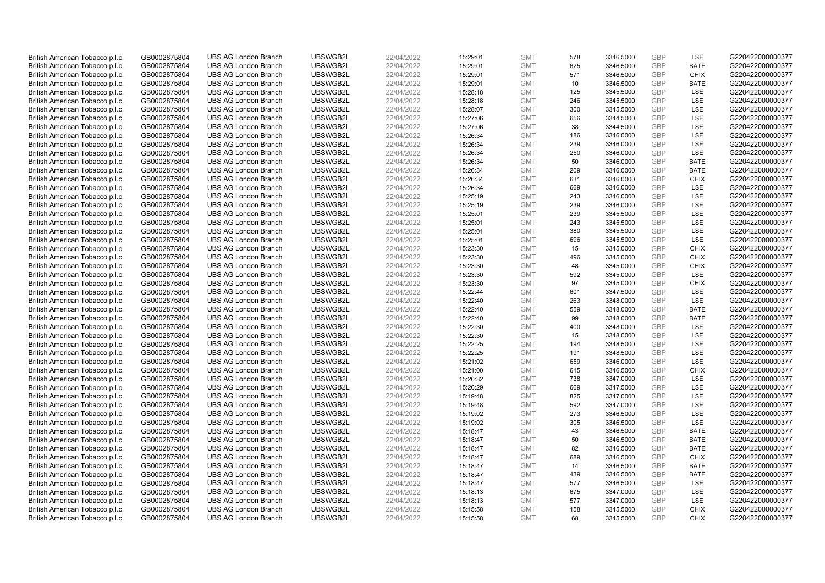| British American Tobacco p.l.c. | GB0002875804 | <b>UBS AG London Branch</b> | UBSWGB2L | 22/04/2022 | 15:29:01 | <b>GMT</b> | 578 | 3346.5000 | <b>GBP</b> | LSE         | G220422000000377 |
|---------------------------------|--------------|-----------------------------|----------|------------|----------|------------|-----|-----------|------------|-------------|------------------|
|                                 |              |                             |          |            |          |            | 625 |           | GBP        | <b>BATE</b> |                  |
| British American Tobacco p.l.c. | GB0002875804 | <b>UBS AG London Branch</b> | UBSWGB2L | 22/04/2022 | 15:29:01 | <b>GMT</b> |     | 3346.5000 |            |             | G220422000000377 |
| British American Tobacco p.l.c. | GB0002875804 | <b>UBS AG London Branch</b> | UBSWGB2L | 22/04/2022 | 15:29:01 | <b>GMT</b> | 571 | 3346.5000 | <b>GBP</b> | <b>CHIX</b> | G220422000000377 |
| British American Tobacco p.l.c. | GB0002875804 | <b>UBS AG London Branch</b> | UBSWGB2L | 22/04/2022 | 15:29:01 | <b>GMT</b> | 10  | 3346.5000 | <b>GBP</b> | <b>BATE</b> | G220422000000377 |
| British American Tobacco p.l.c. | GB0002875804 | <b>UBS AG London Branch</b> | UBSWGB2L | 22/04/2022 | 15:28:18 | <b>GMT</b> | 125 | 3345.5000 | <b>GBP</b> | LSE         | G220422000000377 |
| British American Tobacco p.l.c. | GB0002875804 | <b>UBS AG London Branch</b> | UBSWGB2L | 22/04/2022 | 15:28:18 | <b>GMT</b> | 246 | 3345.5000 | <b>GBP</b> | <b>LSE</b>  | G220422000000377 |
| British American Tobacco p.l.c. | GB0002875804 | <b>UBS AG London Branch</b> | UBSWGB2L | 22/04/2022 | 15:28:07 | <b>GMT</b> | 300 | 3345.5000 | <b>GBP</b> | LSE         | G220422000000377 |
| British American Tobacco p.l.c. | GB0002875804 | <b>UBS AG London Branch</b> | UBSWGB2L | 22/04/2022 | 15:27:06 | <b>GMT</b> | 656 | 3344.5000 | <b>GBP</b> | LSE         | G220422000000377 |
| British American Tobacco p.l.c. | GB0002875804 | <b>UBS AG London Branch</b> | UBSWGB2L | 22/04/2022 | 15:27:06 | <b>GMT</b> | 38  | 3344.5000 | GBP        | LSE         | G220422000000377 |
| British American Tobacco p.l.c. | GB0002875804 | <b>UBS AG London Branch</b> | UBSWGB2L | 22/04/2022 | 15:26:34 | <b>GMT</b> | 186 | 3346.0000 | <b>GBP</b> | LSE         | G220422000000377 |
| British American Tobacco p.l.c. | GB0002875804 | <b>UBS AG London Branch</b> | UBSWGB2L | 22/04/2022 | 15:26:34 | <b>GMT</b> | 239 | 3346.0000 | <b>GBP</b> | <b>LSE</b>  | G220422000000377 |
| British American Tobacco p.l.c. | GB0002875804 | <b>UBS AG London Branch</b> | UBSWGB2L | 22/04/2022 | 15:26:34 | <b>GMT</b> | 250 | 3346.0000 | <b>GBP</b> | LSE         | G220422000000377 |
| British American Tobacco p.l.c. | GB0002875804 | <b>UBS AG London Branch</b> | UBSWGB2L | 22/04/2022 | 15:26:34 | <b>GMT</b> | 50  | 3346.0000 | <b>GBP</b> | <b>BATE</b> | G220422000000377 |
| British American Tobacco p.l.c. | GB0002875804 | <b>UBS AG London Branch</b> | UBSWGB2L | 22/04/2022 | 15:26:34 | <b>GMT</b> | 209 | 3346.0000 | <b>GBP</b> | <b>BATE</b> | G220422000000377 |
| British American Tobacco p.l.c. | GB0002875804 | <b>UBS AG London Branch</b> | UBSWGB2L | 22/04/2022 | 15:26:34 | <b>GMT</b> | 631 | 3346.0000 | GBP        | <b>CHIX</b> | G220422000000377 |
| British American Tobacco p.l.c. | GB0002875804 | <b>UBS AG London Branch</b> | UBSWGB2L | 22/04/2022 | 15:26:34 | <b>GMT</b> | 669 | 3346.0000 | <b>GBP</b> | <b>LSE</b>  | G220422000000377 |
| British American Tobacco p.l.c. | GB0002875804 | <b>UBS AG London Branch</b> | UBSWGB2L | 22/04/2022 | 15:25:19 | <b>GMT</b> | 243 | 3346.0000 | GBP        | LSE         | G220422000000377 |
| British American Tobacco p.l.c. | GB0002875804 | <b>UBS AG London Branch</b> | UBSWGB2L | 22/04/2022 | 15:25:19 | <b>GMT</b> | 239 | 3346.0000 | <b>GBP</b> | LSE         | G220422000000377 |
| British American Tobacco p.l.c. | GB0002875804 | <b>UBS AG London Branch</b> | UBSWGB2L | 22/04/2022 | 15:25:01 | <b>GMT</b> | 239 | 3345.5000 | <b>GBP</b> | <b>LSE</b>  | G220422000000377 |
| British American Tobacco p.l.c. | GB0002875804 | <b>UBS AG London Branch</b> | UBSWGB2L | 22/04/2022 | 15:25:01 | <b>GMT</b> | 243 | 3345.5000 | <b>GBP</b> | LSE         | G220422000000377 |
| British American Tobacco p.l.c. | GB0002875804 | <b>UBS AG London Branch</b> | UBSWGB2L | 22/04/2022 | 15:25:01 | <b>GMT</b> | 380 | 3345.5000 | <b>GBP</b> | LSE         | G220422000000377 |
| British American Tobacco p.l.c. | GB0002875804 | <b>UBS AG London Branch</b> | UBSWGB2L | 22/04/2022 | 15:25:01 | <b>GMT</b> | 696 | 3345.5000 | GBP        | LSE         | G220422000000377 |
| British American Tobacco p.l.c. | GB0002875804 | <b>UBS AG London Branch</b> | UBSWGB2L | 22/04/2022 | 15:23:30 | <b>GMT</b> | 15  | 3345.0000 | <b>GBP</b> | <b>CHIX</b> | G220422000000377 |
| British American Tobacco p.l.c. | GB0002875804 | <b>UBS AG London Branch</b> | UBSWGB2L | 22/04/2022 | 15:23:30 | <b>GMT</b> | 496 | 3345.0000 | <b>GBP</b> | <b>CHIX</b> | G220422000000377 |
| British American Tobacco p.l.c. | GB0002875804 | <b>UBS AG London Branch</b> | UBSWGB2L | 22/04/2022 | 15:23:30 | <b>GMT</b> | 48  | 3345.0000 | <b>GBP</b> | <b>CHIX</b> | G220422000000377 |
| British American Tobacco p.l.c. | GB0002875804 | <b>UBS AG London Branch</b> | UBSWGB2L | 22/04/2022 | 15:23:30 | <b>GMT</b> | 592 | 3345.0000 | GBP        | LSE         | G220422000000377 |
| British American Tobacco p.l.c. | GB0002875804 | <b>UBS AG London Branch</b> | UBSWGB2L | 22/04/2022 | 15:23:30 | <b>GMT</b> | 97  | 3345.0000 | <b>GBP</b> | <b>CHIX</b> | G220422000000377 |
| British American Tobacco p.l.c. | GB0002875804 | <b>UBS AG London Branch</b> | UBSWGB2L | 22/04/2022 | 15:22:44 | <b>GMT</b> | 601 | 3347.5000 | GBP        | LSE         | G220422000000377 |
| British American Tobacco p.l.c. | GB0002875804 | <b>UBS AG London Branch</b> | UBSWGB2L | 22/04/2022 | 15:22:40 | <b>GMT</b> | 263 | 3348.0000 | <b>GBP</b> | LSE         | G220422000000377 |
| British American Tobacco p.l.c. | GB0002875804 | <b>UBS AG London Branch</b> | UBSWGB2L | 22/04/2022 | 15:22:40 | <b>GMT</b> | 559 | 3348.0000 | GBP        | <b>BATE</b> | G220422000000377 |
| British American Tobacco p.l.c. | GB0002875804 | <b>UBS AG London Branch</b> | UBSWGB2L | 22/04/2022 | 15:22:40 | <b>GMT</b> | 99  | 3348.0000 | GBP        | <b>BATE</b> | G220422000000377 |
| British American Tobacco p.l.c. | GB0002875804 | <b>UBS AG London Branch</b> | UBSWGB2L | 22/04/2022 | 15:22:30 | <b>GMT</b> | 400 | 3348.0000 | <b>GBP</b> | <b>LSE</b>  | G220422000000377 |
| British American Tobacco p.l.c. | GB0002875804 | <b>UBS AG London Branch</b> | UBSWGB2L | 22/04/2022 | 15:22:30 | <b>GMT</b> | 15  | 3348.0000 | <b>GBP</b> | LSE         | G220422000000377 |
| British American Tobacco p.l.c. | GB0002875804 | <b>UBS AG London Branch</b> | UBSWGB2L | 22/04/2022 | 15:22:25 | <b>GMT</b> | 194 | 3348.5000 | <b>GBP</b> | LSE         | G220422000000377 |
| British American Tobacco p.l.c. | GB0002875804 | <b>UBS AG London Branch</b> | UBSWGB2L | 22/04/2022 | 15:22:25 | <b>GMT</b> | 191 | 3348.5000 | GBP        | LSE         | G220422000000377 |
| British American Tobacco p.l.c. | GB0002875804 | <b>UBS AG London Branch</b> | UBSWGB2L | 22/04/2022 | 15:21:02 | <b>GMT</b> | 659 | 3346.0000 | <b>GBP</b> | LSE         | G220422000000377 |
| British American Tobacco p.l.c. | GB0002875804 | <b>UBS AG London Branch</b> | UBSWGB2L | 22/04/2022 | 15:21:00 | <b>GMT</b> | 615 | 3346.5000 | <b>GBP</b> | <b>CHIX</b> | G220422000000377 |
| British American Tobacco p.l.c. | GB0002875804 | <b>UBS AG London Branch</b> | UBSWGB2L | 22/04/2022 | 15:20:32 | <b>GMT</b> | 738 | 3347.0000 | <b>GBP</b> | LSE         | G220422000000377 |
| British American Tobacco p.l.c. | GB0002875804 | <b>UBS AG London Branch</b> | UBSWGB2L | 22/04/2022 | 15:20:29 | <b>GMT</b> | 669 | 3347.5000 | GBP        | LSE         | G220422000000377 |
| British American Tobacco p.l.c. | GB0002875804 | <b>UBS AG London Branch</b> | UBSWGB2L | 22/04/2022 | 15:19:48 | <b>GMT</b> | 825 | 3347.0000 | <b>GBP</b> | <b>LSE</b>  | G220422000000377 |
| British American Tobacco p.l.c. | GB0002875804 | <b>UBS AG London Branch</b> | UBSWGB2L | 22/04/2022 | 15:19:48 | <b>GMT</b> | 592 | 3347.0000 | GBP        | LSE         | G220422000000377 |
| British American Tobacco p.l.c. | GB0002875804 | <b>UBS AG London Branch</b> | UBSWGB2L | 22/04/2022 | 15:19:02 | <b>GMT</b> | 273 | 3346.5000 | <b>GBP</b> | LSE         | G220422000000377 |
| British American Tobacco p.l.c. | GB0002875804 | <b>UBS AG London Branch</b> | UBSWGB2L | 22/04/2022 | 15:19:02 | <b>GMT</b> | 305 | 3346.5000 | GBP        | LSE         | G220422000000377 |
| British American Tobacco p.l.c. | GB0002875804 | <b>UBS AG London Branch</b> | UBSWGB2L | 22/04/2022 | 15:18:47 | <b>GMT</b> | 43  | 3346.5000 | <b>GBP</b> | <b>BATE</b> | G220422000000377 |
| British American Tobacco p.l.c. | GB0002875804 | <b>UBS AG London Branch</b> | UBSWGB2L | 22/04/2022 | 15:18:47 | <b>GMT</b> | 50  | 3346.5000 | GBP        | <b>BATE</b> | G220422000000377 |
| British American Tobacco p.l.c. | GB0002875804 | <b>UBS AG London Branch</b> | UBSWGB2L | 22/04/2022 | 15:18:47 | <b>GMT</b> | 82  | 3346.5000 | <b>GBP</b> | <b>BATE</b> | G220422000000377 |
| British American Tobacco p.l.c. | GB0002875804 | <b>UBS AG London Branch</b> | UBSWGB2L | 22/04/2022 | 15:18:47 | <b>GMT</b> | 689 | 3346.5000 | GBP        | <b>CHIX</b> | G220422000000377 |
| British American Tobacco p.l.c. | GB0002875804 | <b>UBS AG London Branch</b> | UBSWGB2L | 22/04/2022 | 15:18:47 | <b>GMT</b> | 14  | 3346.5000 | GBP        | <b>BATE</b> | G220422000000377 |
| British American Tobacco p.l.c. | GB0002875804 | <b>UBS AG London Branch</b> | UBSWGB2L | 22/04/2022 | 15:18:47 | <b>GMT</b> | 439 | 3346.5000 | GBP        | <b>BATE</b> | G220422000000377 |
| British American Tobacco p.l.c. | GB0002875804 | <b>UBS AG London Branch</b> | UBSWGB2L | 22/04/2022 | 15:18:47 | <b>GMT</b> | 577 | 3346.5000 | GBP        | <b>LSE</b>  | G220422000000377 |
| British American Tobacco p.l.c. | GB0002875804 | <b>UBS AG London Branch</b> | UBSWGB2L | 22/04/2022 | 15:18:13 | <b>GMT</b> | 675 | 3347.0000 | <b>GBP</b> | LSE         | G220422000000377 |
| British American Tobacco p.l.c. | GB0002875804 | <b>UBS AG London Branch</b> | UBSWGB2L | 22/04/2022 | 15:18:13 | <b>GMT</b> | 577 | 3347.0000 | GBP        | LSE         | G220422000000377 |
| British American Tobacco p.l.c. | GB0002875804 | <b>UBS AG London Branch</b> | UBSWGB2L | 22/04/2022 | 15:15:58 | <b>GMT</b> | 158 | 3345.5000 | <b>GBP</b> | <b>CHIX</b> | G220422000000377 |
| British American Tobacco p.l.c. | GB0002875804 | <b>UBS AG London Branch</b> | UBSWGB2L | 22/04/2022 | 15:15:58 | <b>GMT</b> | 68  | 3345.5000 | GBP        | CHIX        | G220422000000377 |
|                                 |              |                             |          |            |          |            |     |           |            |             |                  |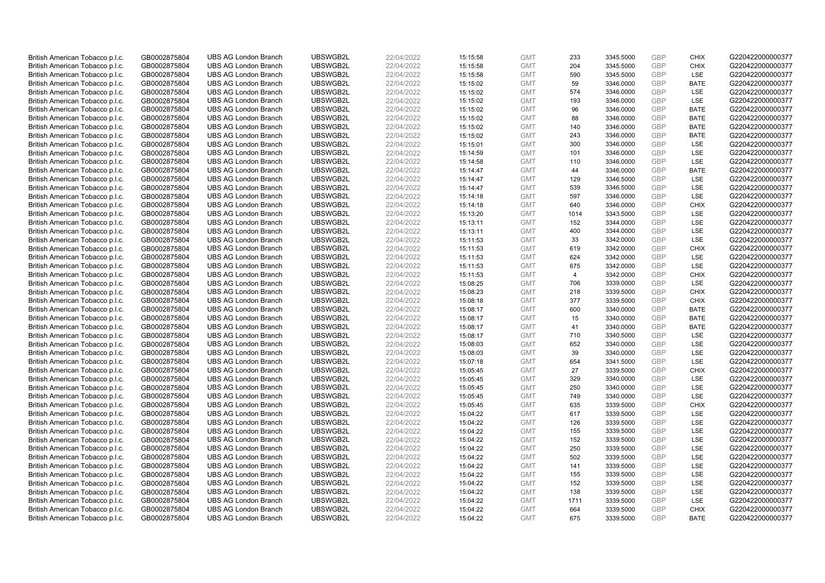| British American Tobacco p.l.c. | GB0002875804 | <b>UBS AG London Branch</b> | UBSWGB2L | 22/04/2022 | 15:15:58 | <b>GMT</b> | 233            | 3345.5000 | <b>GBP</b> | <b>CHIX</b> | G220422000000377 |
|---------------------------------|--------------|-----------------------------|----------|------------|----------|------------|----------------|-----------|------------|-------------|------------------|
| British American Tobacco p.l.c. | GB0002875804 | <b>UBS AG London Branch</b> | UBSWGB2L | 22/04/2022 | 15:15:58 | <b>GMT</b> | 204            | 3345.5000 | GBP        | CHIX        | G220422000000377 |
| British American Tobacco p.l.c. | GB0002875804 | <b>UBS AG London Branch</b> | UBSWGB2L | 22/04/2022 | 15:15:58 | <b>GMT</b> | 590            | 3345.5000 | <b>GBP</b> | <b>LSE</b>  | G220422000000377 |
| British American Tobacco p.l.c. | GB0002875804 | <b>UBS AG London Branch</b> | UBSWGB2L | 22/04/2022 | 15:15:02 | <b>GMT</b> | 59             | 3346.0000 | <b>GBP</b> | <b>BATE</b> | G220422000000377 |
| British American Tobacco p.l.c. | GB0002875804 | <b>UBS AG London Branch</b> | UBSWGB2L | 22/04/2022 | 15:15:02 | <b>GMT</b> | 574            | 3346.0000 | <b>GBP</b> | LSE         | G220422000000377 |
| British American Tobacco p.l.c. | GB0002875804 | <b>UBS AG London Branch</b> | UBSWGB2L | 22/04/2022 | 15:15:02 | <b>GMT</b> | 193            | 3346.0000 | <b>GBP</b> | <b>LSE</b>  | G220422000000377 |
| British American Tobacco p.l.c. | GB0002875804 | <b>UBS AG London Branch</b> | UBSWGB2L | 22/04/2022 | 15:15:02 | <b>GMT</b> | 96             | 3346.0000 | <b>GBP</b> | <b>BATE</b> | G220422000000377 |
| British American Tobacco p.l.c. | GB0002875804 | <b>UBS AG London Branch</b> | UBSWGB2L | 22/04/2022 | 15:15:02 | <b>GMT</b> | 88             | 3346.0000 | <b>GBP</b> | <b>BATE</b> | G220422000000377 |
| British American Tobacco p.l.c. | GB0002875804 | <b>UBS AG London Branch</b> | UBSWGB2L | 22/04/2022 | 15:15:02 | <b>GMT</b> | 140            | 3346.0000 | <b>GBP</b> | <b>BATE</b> | G220422000000377 |
| British American Tobacco p.l.c. | GB0002875804 | <b>UBS AG London Branch</b> | UBSWGB2L | 22/04/2022 | 15:15:02 | <b>GMT</b> | 243            | 3346.0000 | <b>GBP</b> | <b>BATE</b> | G220422000000377 |
| British American Tobacco p.l.c. | GB0002875804 | <b>UBS AG London Branch</b> | UBSWGB2L | 22/04/2022 | 15:15:01 | <b>GMT</b> | 300            | 3346.0000 | <b>GBP</b> | <b>LSE</b>  | G220422000000377 |
| British American Tobacco p.l.c. | GB0002875804 | <b>UBS AG London Branch</b> | UBSWGB2L | 22/04/2022 | 15:14:59 | <b>GMT</b> | 101            | 3346.0000 | <b>GBP</b> | LSE         | G220422000000377 |
| British American Tobacco p.l.c. | GB0002875804 | <b>UBS AG London Branch</b> | UBSWGB2L | 22/04/2022 | 15:14:58 | <b>GMT</b> | 110            | 3346.0000 | <b>GBP</b> | LSE         | G220422000000377 |
| British American Tobacco p.l.c. | GB0002875804 | <b>UBS AG London Branch</b> | UBSWGB2L | 22/04/2022 | 15:14:47 | <b>GMT</b> | 44             | 3346.0000 | <b>GBP</b> | <b>BATE</b> | G220422000000377 |
| British American Tobacco p.l.c. | GB0002875804 | <b>UBS AG London Branch</b> | UBSWGB2L | 22/04/2022 | 15:14:47 | <b>GMT</b> | 129            | 3346.5000 | GBP        | <b>LSE</b>  | G220422000000377 |
| British American Tobacco p.l.c. | GB0002875804 | <b>UBS AG London Branch</b> | UBSWGB2L | 22/04/2022 | 15:14:47 | <b>GMT</b> | 539            | 3346.5000 | <b>GBP</b> | LSE         | G220422000000377 |
| British American Tobacco p.l.c. | GB0002875804 | <b>UBS AG London Branch</b> | UBSWGB2L | 22/04/2022 | 15:14:18 | <b>GMT</b> | 597            | 3346.0000 | GBP        | LSE         | G220422000000377 |
| British American Tobacco p.l.c. | GB0002875804 | <b>UBS AG London Branch</b> | UBSWGB2L | 22/04/2022 | 15:14:18 | <b>GMT</b> | 640            | 3346.0000 | GBP        | <b>CHIX</b> | G220422000000377 |
| British American Tobacco p.l.c. | GB0002875804 | <b>UBS AG London Branch</b> | UBSWGB2L | 22/04/2022 | 15:13:20 | <b>GMT</b> | 1014           | 3343.5000 | <b>GBP</b> | <b>LSE</b>  | G220422000000377 |
| British American Tobacco p.l.c. | GB0002875804 | <b>UBS AG London Branch</b> | UBSWGB2L | 22/04/2022 | 15:13:11 | <b>GMT</b> | 152            | 3344.0000 | <b>GBP</b> | LSE         | G220422000000377 |
| British American Tobacco p.l.c. | GB0002875804 | <b>UBS AG London Branch</b> | UBSWGB2L | 22/04/2022 | 15:13:11 | <b>GMT</b> | 400            | 3344.0000 | <b>GBP</b> | LSE         | G220422000000377 |
| British American Tobacco p.l.c. | GB0002875804 | <b>UBS AG London Branch</b> | UBSWGB2L | 22/04/2022 | 15:11:53 | <b>GMT</b> | 33             | 3342.0000 | GBP        | LSE         | G220422000000377 |
| British American Tobacco p.l.c. | GB0002875804 | <b>UBS AG London Branch</b> | UBSWGB2L | 22/04/2022 | 15:11:53 | <b>GMT</b> | 619            | 3342.0000 | <b>GBP</b> | <b>CHIX</b> | G220422000000377 |
| British American Tobacco p.l.c. | GB0002875804 | <b>UBS AG London Branch</b> | UBSWGB2L | 22/04/2022 | 15:11:53 | <b>GMT</b> | 624            | 3342.0000 | <b>GBP</b> | <b>LSE</b>  | G220422000000377 |
| British American Tobacco p.l.c. | GB0002875804 | <b>UBS AG London Branch</b> | UBSWGB2L | 22/04/2022 | 15:11:53 | <b>GMT</b> | 675            | 3342.0000 | <b>GBP</b> | LSE         | G220422000000377 |
| British American Tobacco p.l.c. | GB0002875804 | <b>UBS AG London Branch</b> | UBSWGB2L | 22/04/2022 | 15:11:53 | <b>GMT</b> | $\overline{4}$ | 3342.0000 | GBP        | <b>CHIX</b> | G220422000000377 |
| British American Tobacco p.l.c. | GB0002875804 | <b>UBS AG London Branch</b> | UBSWGB2L | 22/04/2022 | 15:08:25 | <b>GMT</b> | 706            | 3339.0000 | <b>GBP</b> | LSE         | G220422000000377 |
| British American Tobacco p.l.c. | GB0002875804 | <b>UBS AG London Branch</b> | UBSWGB2L | 22/04/2022 | 15:08:23 | <b>GMT</b> | 218            | 3339.5000 | GBP        | <b>CHIX</b> | G220422000000377 |
| British American Tobacco p.l.c. | GB0002875804 | <b>UBS AG London Branch</b> | UBSWGB2L | 22/04/2022 | 15:08:18 | <b>GMT</b> | 377            | 3339.5000 | <b>GBP</b> | <b>CHIX</b> | G220422000000377 |
| British American Tobacco p.l.c. | GB0002875804 | <b>UBS AG London Branch</b> | UBSWGB2L | 22/04/2022 | 15:08:17 | <b>GMT</b> | 600            | 3340.0000 | GBP        | <b>BATE</b> | G220422000000377 |
| British American Tobacco p.l.c. | GB0002875804 | <b>UBS AG London Branch</b> | UBSWGB2L | 22/04/2022 | 15:08:17 | <b>GMT</b> | 15             | 3340.0000 | GBP        | <b>BATE</b> | G220422000000377 |
| British American Tobacco p.l.c. | GB0002875804 | <b>UBS AG London Branch</b> | UBSWGB2L | 22/04/2022 | 15:08:17 | <b>GMT</b> | 41             | 3340.0000 | GBP        | <b>BATE</b> | G220422000000377 |
| British American Tobacco p.l.c. | GB0002875804 | <b>UBS AG London Branch</b> | UBSWGB2L | 22/04/2022 | 15:08:17 | <b>GMT</b> | 710            | 3340.5000 | GBP        | LSE         | G220422000000377 |
| British American Tobacco p.l.c. | GB0002875804 | <b>UBS AG London Branch</b> | UBSWGB2L | 22/04/2022 | 15:08:03 | <b>GMT</b> | 652            | 3340.0000 | <b>GBP</b> | LSE         | G220422000000377 |
| British American Tobacco p.l.c. | GB0002875804 | <b>UBS AG London Branch</b> | UBSWGB2L | 22/04/2022 | 15:08:03 | <b>GMT</b> | 39             | 3340.0000 | GBP        | LSE         | G220422000000377 |
| British American Tobacco p.l.c. | GB0002875804 | <b>UBS AG London Branch</b> | UBSWGB2L | 22/04/2022 | 15:07:18 | <b>GMT</b> | 654            | 3341.5000 | <b>GBP</b> | LSE         | G220422000000377 |
| British American Tobacco p.l.c. | GB0002875804 | <b>UBS AG London Branch</b> | UBSWGB2L | 22/04/2022 | 15:05:45 | <b>GMT</b> | 27             | 3339.5000 | GBP        | <b>CHIX</b> | G220422000000377 |
| British American Tobacco p.l.c. | GB0002875804 | <b>UBS AG London Branch</b> | UBSWGB2L | 22/04/2022 | 15:05:45 | <b>GMT</b> | 329            | 3340.0000 | <b>GBP</b> | LSE         | G220422000000377 |
| British American Tobacco p.l.c. | GB0002875804 | <b>UBS AG London Branch</b> | UBSWGB2L | 22/04/2022 | 15:05:45 | <b>GMT</b> | 250            | 3340.0000 | GBP        | LSE         | G220422000000377 |
| British American Tobacco p.l.c. | GB0002875804 | <b>UBS AG London Branch</b> | UBSWGB2L | 22/04/2022 | 15:05:45 | <b>GMT</b> | 749            | 3340.0000 | <b>GBP</b> | LSE         | G220422000000377 |
| British American Tobacco p.l.c. | GB0002875804 | <b>UBS AG London Branch</b> | UBSWGB2L | 22/04/2022 | 15:05:45 | <b>GMT</b> | 635            | 3339.5000 | GBP        | CHIX        | G220422000000377 |
| British American Tobacco p.l.c. | GB0002875804 | <b>UBS AG London Branch</b> | UBSWGB2L | 22/04/2022 | 15:04:22 | <b>GMT</b> | 617            | 3339.5000 | <b>GBP</b> | <b>LSE</b>  | G220422000000377 |
| British American Tobacco p.l.c. | GB0002875804 | <b>UBS AG London Branch</b> | UBSWGB2L | 22/04/2022 | 15:04:22 | <b>GMT</b> | 126            | 3339.5000 | GBP        | LSE         | G220422000000377 |
| British American Tobacco p.l.c. | GB0002875804 | <b>UBS AG London Branch</b> | UBSWGB2L | 22/04/2022 | 15:04:22 | <b>GMT</b> | 155            | 3339.5000 | <b>GBP</b> | <b>LSE</b>  | G220422000000377 |
| British American Tobacco p.l.c. | GB0002875804 | <b>UBS AG London Branch</b> | UBSWGB2L | 22/04/2022 | 15:04:22 | <b>GMT</b> | 152            | 3339.5000 | GBP        | LSE         | G220422000000377 |
| British American Tobacco p.l.c. | GB0002875804 | <b>UBS AG London Branch</b> | UBSWGB2L | 22/04/2022 | 15:04:22 | <b>GMT</b> | 250            | 3339.5000 | <b>GBP</b> | LSE         | G220422000000377 |
| British American Tobacco p.l.c. | GB0002875804 | <b>UBS AG London Branch</b> | UBSWGB2L | 22/04/2022 | 15:04:22 | <b>GMT</b> | 502            | 3339.5000 | <b>GBP</b> | LSE         | G220422000000377 |
| British American Tobacco p.l.c. | GB0002875804 | <b>UBS AG London Branch</b> | UBSWGB2L | 22/04/2022 | 15:04:22 | <b>GMT</b> | 141            | 3339.5000 | GBP        | LSE         | G220422000000377 |
| British American Tobacco p.l.c. | GB0002875804 | <b>UBS AG London Branch</b> | UBSWGB2L | 22/04/2022 | 15:04:22 | <b>GMT</b> | 155            | 3339.5000 | <b>GBP</b> | LSE         | G220422000000377 |
| British American Tobacco p.l.c. | GB0002875804 | <b>UBS AG London Branch</b> | UBSWGB2L | 22/04/2022 | 15:04:22 | <b>GMT</b> | 152            | 3339.5000 | GBP        | <b>LSE</b>  | G220422000000377 |
| British American Tobacco p.l.c. | GB0002875804 | <b>UBS AG London Branch</b> | UBSWGB2L | 22/04/2022 | 15:04:22 | <b>GMT</b> | 138            | 3339.5000 | <b>GBP</b> | LSE         | G220422000000377 |
| British American Tobacco p.l.c. | GB0002875804 | <b>UBS AG London Branch</b> | UBSWGB2L | 22/04/2022 | 15:04:22 | <b>GMT</b> | 1711           | 3339.5000 | GBP        | LSE         | G220422000000377 |
| British American Tobacco p.l.c. | GB0002875804 | <b>UBS AG London Branch</b> | UBSWGB2L | 22/04/2022 | 15:04:22 | <b>GMT</b> | 664            | 3339.5000 | <b>GBP</b> | <b>CHIX</b> | G220422000000377 |
| British American Tobacco p.l.c. | GB0002875804 | <b>UBS AG London Branch</b> | UBSWGB2L | 22/04/2022 | 15:04:22 | <b>GMT</b> | 675            | 3339.5000 | GBP        | <b>BATE</b> | G220422000000377 |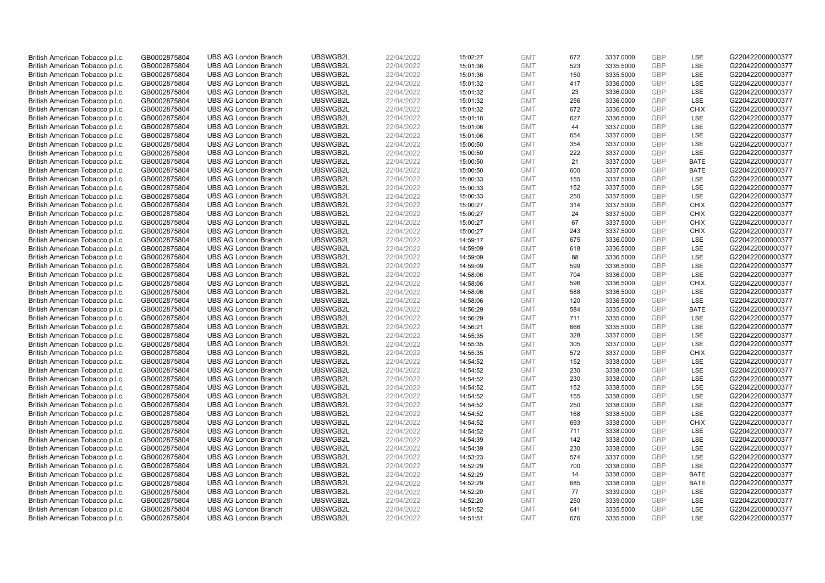| British American Tobacco p.l.c.                                    | GB0002875804                 | <b>UBS AG London Branch</b>                                | UBSWGB2L             | 22/04/2022               | 15:02:27             | <b>GMT</b>               | 672        | 3337.0000              | <b>GBP</b>        | LSE                       | G220422000000377                     |
|--------------------------------------------------------------------|------------------------------|------------------------------------------------------------|----------------------|--------------------------|----------------------|--------------------------|------------|------------------------|-------------------|---------------------------|--------------------------------------|
| British American Tobacco p.l.c.                                    | GB0002875804                 | <b>UBS AG London Branch</b>                                | UBSWGB2L             | 22/04/2022               | 15:01:36             | <b>GMT</b>               | 523        | 3335.5000              | GBP               | <b>LSE</b>                | G220422000000377                     |
| British American Tobacco p.l.c.                                    | GB0002875804                 | <b>UBS AG London Branch</b>                                | UBSWGB2L             | 22/04/2022               | 15:01:36             | <b>GMT</b>               | 150        | 3335.5000              | <b>GBP</b>        | LSE                       | G220422000000377                     |
| British American Tobacco p.l.c.                                    | GB0002875804                 | <b>UBS AG London Branch</b>                                | UBSWGB2L             | 22/04/2022               | 15:01:32             | <b>GMT</b>               | 417        | 3336.0000              | <b>GBP</b>        | LSE                       | G220422000000377                     |
| British American Tobacco p.l.c.                                    | GB0002875804                 | <b>UBS AG London Branch</b>                                | UBSWGB2L             | 22/04/2022               | 15:01:32             | <b>GMT</b>               | 23         | 3336.0000              | <b>GBP</b>        | LSE                       | G220422000000377                     |
| British American Tobacco p.l.c.                                    | GB0002875804                 | <b>UBS AG London Branch</b>                                | UBSWGB2L             | 22/04/2022               | 15:01:32             | <b>GMT</b>               | 256        | 3336.0000              | <b>GBP</b>        | <b>LSE</b>                | G220422000000377                     |
| British American Tobacco p.l.c.                                    | GB0002875804                 | <b>UBS AG London Branch</b>                                | UBSWGB2L             | 22/04/2022               | 15:01:32             | <b>GMT</b>               | 672        | 3336.0000              | <b>GBP</b>        | <b>CHIX</b>               | G220422000000377                     |
| British American Tobacco p.l.c.                                    | GB0002875804                 | <b>UBS AG London Branch</b>                                | UBSWGB2L             | 22/04/2022               | 15:01:18             | <b>GMT</b>               | 627        | 3336.5000              | <b>GBP</b>        | <b>LSE</b>                | G220422000000377                     |
| British American Tobacco p.l.c.                                    | GB0002875804                 | <b>UBS AG London Branch</b>                                | UBSWGB2L             | 22/04/2022               | 15:01:06             | <b>GMT</b>               | 44         | 3337.0000              | GBP               | LSE                       | G220422000000377                     |
| British American Tobacco p.l.c.                                    | GB0002875804                 | <b>UBS AG London Branch</b>                                | UBSWGB2L             | 22/04/2022               | 15:01:06             | <b>GMT</b>               | 654        | 3337.0000              | <b>GBP</b>        | LSE                       | G220422000000377                     |
| British American Tobacco p.l.c.                                    | GB0002875804                 | <b>UBS AG London Branch</b>                                | UBSWGB2L             | 22/04/2022               | 15:00:50             | <b>GMT</b>               | 354        | 3337.0000              | <b>GBP</b>        | <b>LSE</b>                | G220422000000377                     |
| British American Tobacco p.l.c.                                    | GB0002875804                 | <b>UBS AG London Branch</b>                                | UBSWGB2L             | 22/04/2022               | 15:00:50             | <b>GMT</b>               | 222        | 3337.0000              | <b>GBP</b>        | LSE                       | G220422000000377                     |
| British American Tobacco p.l.c.                                    | GB0002875804                 | <b>UBS AG London Branch</b>                                | UBSWGB2L             | 22/04/2022               | 15:00:50             | <b>GMT</b>               | 21         | 3337.0000              | <b>GBP</b>        | <b>BATE</b>               | G220422000000377                     |
| British American Tobacco p.l.c.                                    | GB0002875804                 | <b>UBS AG London Branch</b>                                | UBSWGB2L             | 22/04/2022               | 15:00:50             | <b>GMT</b>               | 600<br>155 | 3337.0000              | <b>GBP</b><br>GBP | <b>BATE</b><br><b>LSE</b> | G220422000000377                     |
| British American Tobacco p.l.c.                                    | GB0002875804                 | <b>UBS AG London Branch</b>                                | UBSWGB2L             | 22/04/2022               | 15:00:33             | <b>GMT</b>               |            | 3337.5000              |                   |                           | G220422000000377                     |
| British American Tobacco p.l.c.                                    | GB0002875804                 | <b>UBS AG London Branch</b>                                | UBSWGB2L<br>UBSWGB2L | 22/04/2022               | 15:00:33             | <b>GMT</b>               | 152        | 3337.5000              | <b>GBP</b><br>GBP | LSE                       | G220422000000377                     |
| British American Tobacco p.l.c.                                    | GB0002875804                 | <b>UBS AG London Branch</b>                                |                      | 22/04/2022               | 15:00:33             | <b>GMT</b>               | 250        | 3337.5000              |                   | LSE<br><b>CHIX</b>        | G220422000000377                     |
| British American Tobacco p.l.c.                                    | GB0002875804                 | <b>UBS AG London Branch</b>                                | UBSWGB2L             | 22/04/2022               | 15:00:27             | <b>GMT</b>               | 314        | 3337.5000              | GBP               |                           | G220422000000377                     |
| British American Tobacco p.l.c.                                    | GB0002875804                 | <b>UBS AG London Branch</b>                                | UBSWGB2L             | 22/04/2022               | 15:00:27             | <b>GMT</b>               | 24         | 3337.5000              | <b>GBP</b>        | <b>CHIX</b>               | G220422000000377                     |
| British American Tobacco p.l.c.                                    | GB0002875804                 | <b>UBS AG London Branch</b>                                | UBSWGB2L             | 22/04/2022               | 15:00:27             | <b>GMT</b>               | 67         | 3337.5000              | <b>GBP</b>        | <b>CHIX</b>               | G220422000000377                     |
| British American Tobacco p.l.c.                                    | GB0002875804                 | <b>UBS AG London Branch</b><br><b>UBS AG London Branch</b> | UBSWGB2L<br>UBSWGB2L | 22/04/2022<br>22/04/2022 | 15:00:27<br>14:59:17 | <b>GMT</b>               | 243<br>675 | 3337.5000              | <b>GBP</b><br>GBP | <b>CHIX</b><br>LSE        | G220422000000377<br>G220422000000377 |
| British American Tobacco p.l.c.                                    | GB0002875804                 |                                                            |                      |                          |                      | <b>GMT</b>               |            | 3336.0000              | <b>GBP</b>        |                           |                                      |
| British American Tobacco p.l.c.<br>British American Tobacco p.l.c. | GB0002875804<br>GB0002875804 | <b>UBS AG London Branch</b><br><b>UBS AG London Branch</b> | UBSWGB2L<br>UBSWGB2L | 22/04/2022<br>22/04/2022 | 14:59:09             | <b>GMT</b><br><b>GMT</b> | 618<br>88  | 3336.5000              | <b>GBP</b>        | LSE<br><b>LSE</b>         | G220422000000377<br>G220422000000377 |
|                                                                    |                              | <b>UBS AG London Branch</b>                                | UBSWGB2L             | 22/04/2022               | 14:59:09             |                          | 599        | 3336.5000<br>3336.5000 | <b>GBP</b>        | LSE                       | G220422000000377                     |
| British American Tobacco p.l.c.<br>British American Tobacco p.l.c. | GB0002875804<br>GB0002875804 | <b>UBS AG London Branch</b>                                | UBSWGB2L             | 22/04/2022               | 14:59:09<br>14:58:06 | <b>GMT</b><br><b>GMT</b> | 704        | 3336.0000              | GBP               | LSE                       | G220422000000377                     |
| British American Tobacco p.l.c.                                    | GB0002875804                 | <b>UBS AG London Branch</b>                                | UBSWGB2L             | 22/04/2022               | 14:58:06             | <b>GMT</b>               | 596        | 3336.5000              | <b>GBP</b>        | <b>CHIX</b>               | G220422000000377                     |
| British American Tobacco p.l.c.                                    | GB0002875804                 | <b>UBS AG London Branch</b>                                | UBSWGB2L             | 22/04/2022               | 14:58:06             | <b>GMT</b>               | 588        | 3336.5000              | GBP               | LSE                       | G220422000000377                     |
| British American Tobacco p.l.c.                                    | GB0002875804                 | <b>UBS AG London Branch</b>                                | UBSWGB2L             | 22/04/2022               | 14:58:06             | <b>GMT</b>               | 120        | 3336.5000              | <b>GBP</b>        | LSE                       | G220422000000377                     |
| British American Tobacco p.l.c.                                    | GB0002875804                 | <b>UBS AG London Branch</b>                                | UBSWGB2L             | 22/04/2022               | 14:56:29             | <b>GMT</b>               | 584        | 3335.0000              | GBP               | <b>BATE</b>               | G220422000000377                     |
| British American Tobacco p.l.c.                                    | GB0002875804                 | <b>UBS AG London Branch</b>                                | UBSWGB2L             | 22/04/2022               | 14:56:29             | <b>GMT</b>               | 711        | 3335.0000              | <b>GBP</b>        | LSE                       | G220422000000377                     |
| British American Tobacco p.l.c.                                    | GB0002875804                 | <b>UBS AG London Branch</b>                                | UBSWGB2L             | 22/04/2022               | 14:56:21             | <b>GMT</b>               | 666        | 3335.5000              | GBP               | <b>LSE</b>                | G220422000000377                     |
| British American Tobacco p.l.c.                                    | GB0002875804                 | <b>UBS AG London Branch</b>                                | UBSWGB2L             | 22/04/2022               | 14:55:35             | <b>GMT</b>               | 328        | 3337.0000              | <b>GBP</b>        | LSE                       | G220422000000377                     |
| British American Tobacco p.l.c.                                    | GB0002875804                 | <b>UBS AG London Branch</b>                                | UBSWGB2L             | 22/04/2022               | 14:55:35             | <b>GMT</b>               | 305        | 3337.0000              | <b>GBP</b>        | LSE                       | G220422000000377                     |
| British American Tobacco p.l.c.                                    | GB0002875804                 | <b>UBS AG London Branch</b>                                | UBSWGB2L             | 22/04/2022               | 14:55:35             | <b>GMT</b>               | 572        | 3337.0000              | GBP               | <b>CHIX</b>               | G220422000000377                     |
| British American Tobacco p.l.c.                                    | GB0002875804                 | <b>UBS AG London Branch</b>                                | UBSWGB2L             | 22/04/2022               | 14:54:52             | <b>GMT</b>               | 152        | 3338.0000              | <b>GBP</b>        | LSE                       | G220422000000377                     |
| British American Tobacco p.l.c.                                    | GB0002875804                 | <b>UBS AG London Branch</b>                                | UBSWGB2L             | 22/04/2022               | 14:54:52             | <b>GMT</b>               | 230        | 3338.0000              | GBP               | <b>LSE</b>                | G220422000000377                     |
| British American Tobacco p.l.c.                                    | GB0002875804                 | <b>UBS AG London Branch</b>                                | UBSWGB2L             | 22/04/2022               | 14:54:52             | <b>GMT</b>               | 230        | 3338.0000              | <b>GBP</b>        | LSE                       | G220422000000377                     |
| British American Tobacco p.l.c.                                    | GB0002875804                 | <b>UBS AG London Branch</b>                                | UBSWGB2L             | 22/04/2022               | 14:54:52             | <b>GMT</b>               | 152        | 3338.5000              | GBP               | LSE                       | G220422000000377                     |
| British American Tobacco p.l.c.                                    | GB0002875804                 | <b>UBS AG London Branch</b>                                | UBSWGB2L             | 22/04/2022               | 14:54:52             | <b>GMT</b>               | 155        | 3338.0000              | <b>GBP</b>        | LSE                       | G220422000000377                     |
| British American Tobacco p.l.c.                                    | GB0002875804                 | <b>UBS AG London Branch</b>                                | UBSWGB2L             | 22/04/2022               | 14:54:52             | <b>GMT</b>               | 250        | 3338.0000              | GBP               | LSE                       | G220422000000377                     |
| British American Tobacco p.l.c.                                    | GB0002875804                 | <b>UBS AG London Branch</b>                                | UBSWGB2L             | 22/04/2022               | 14:54:52             | <b>GMT</b>               | 168        | 3338.5000              | <b>GBP</b>        | LSE                       | G220422000000377                     |
| British American Tobacco p.l.c.                                    | GB0002875804                 | <b>UBS AG London Branch</b>                                | UBSWGB2L             | 22/04/2022               | 14:54:52             | <b>GMT</b>               | 693        | 3338.0000              | GBP               | <b>CHIX</b>               | G220422000000377                     |
| British American Tobacco p.l.c.                                    | GB0002875804                 | <b>UBS AG London Branch</b>                                | UBSWGB2L             | 22/04/2022               | 14:54:52             | <b>GMT</b>               | 711        | 3338.0000              | GBP               | <b>LSE</b>                | G220422000000377                     |
| British American Tobacco p.l.c.                                    | GB0002875804                 | <b>UBS AG London Branch</b>                                | UBSWGB2L             | 22/04/2022               | 14:54:39             | <b>GMT</b>               | 142        | 3338.0000              | GBP               | LSE                       | G220422000000377                     |
| British American Tobacco p.l.c.                                    | GB0002875804                 | <b>UBS AG London Branch</b>                                | UBSWGB2L             | 22/04/2022               | 14:54:39             | <b>GMT</b>               | 230        | 3338.0000              | GBP               | LSE                       | G220422000000377                     |
| British American Tobacco p.l.c.                                    | GB0002875804                 | <b>UBS AG London Branch</b>                                | UBSWGB2L             | 22/04/2022               | 14:53:23             | <b>GMT</b>               | 574        | 3337.0000              | GBP               | LSE                       | G220422000000377                     |
| British American Tobacco p.l.c.                                    | GB0002875804                 | <b>UBS AG London Branch</b>                                | UBSWGB2L             | 22/04/2022               | 14:52:29             | <b>GMT</b>               | 700        | 3338.0000              | GBP               | LSE                       | G220422000000377                     |
| British American Tobacco p.l.c.                                    | GB0002875804                 | <b>UBS AG London Branch</b>                                | UBSWGB2L             | 22/04/2022               | 14:52:29             | <b>GMT</b>               | 14         | 3338.0000              | GBP               | <b>BATE</b>               | G220422000000377                     |
| British American Tobacco p.l.c.                                    | GB0002875804                 | <b>UBS AG London Branch</b>                                | UBSWGB2L             | 22/04/2022               | 14:52:29             | <b>GMT</b>               | 685        | 3338.0000              | GBP               | <b>BATE</b>               | G220422000000377                     |
| British American Tobacco p.l.c.                                    | GB0002875804                 | <b>UBS AG London Branch</b>                                | UBSWGB2L             | 22/04/2022               | 14:52:20             | <b>GMT</b>               | 77         | 3339.0000              | <b>GBP</b>        | LSE                       | G220422000000377                     |
| British American Tobacco p.l.c.                                    | GB0002875804                 | <b>UBS AG London Branch</b>                                | UBSWGB2L             | 22/04/2022               | 14:52:20             | <b>GMT</b>               | 250        | 3339.0000              | <b>GBP</b>        | LSE                       | G220422000000377                     |
| British American Tobacco p.l.c.                                    | GB0002875804                 | <b>UBS AG London Branch</b>                                | UBSWGB2L             | 22/04/2022               | 14:51:52             | <b>GMT</b>               | 641        | 3335.5000              | <b>GBP</b>        | LSE                       | G220422000000377                     |
| British American Tobacco p.l.c.                                    | GB0002875804                 | <b>UBS AG London Branch</b>                                | UBSWGB2L             | 22/04/2022               | 14:51:51             | <b>GMT</b>               | 676        | 3335.5000              | GBP               | <b>LSE</b>                | G220422000000377                     |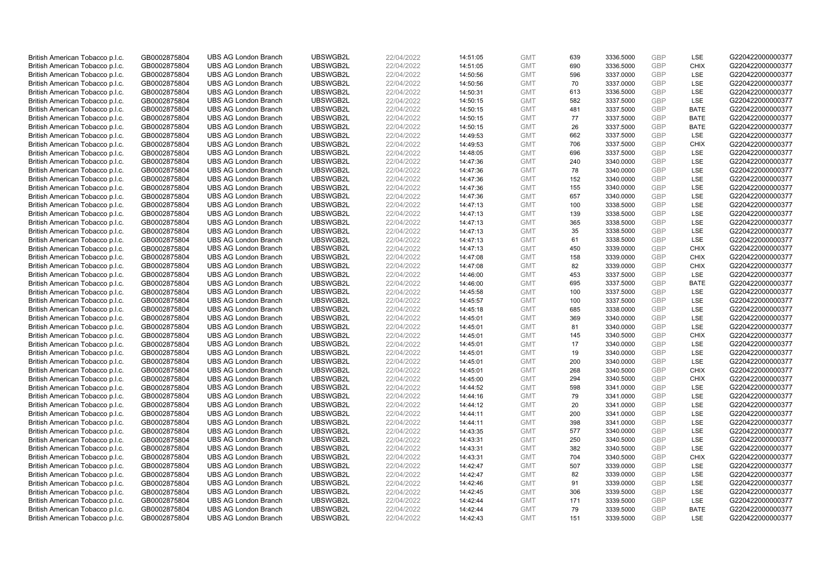| British American Tobacco p.l.c.                                    | GB0002875804                 |                             | UBSWGB2L | 22/04/2022 |          | <b>GMT</b> |            |           | <b>GBP</b>        | LSE         | G220422000000377 |
|--------------------------------------------------------------------|------------------------------|-----------------------------|----------|------------|----------|------------|------------|-----------|-------------------|-------------|------------------|
|                                                                    |                              | <b>UBS AG London Branch</b> |          |            | 14:51:05 |            | 639<br>690 | 3336.5000 | GBP               | CHIX        |                  |
| British American Tobacco p.l.c.                                    | GB0002875804                 | <b>UBS AG London Branch</b> | UBSWGB2L | 22/04/2022 | 14:51:05 | <b>GMT</b> |            | 3336.5000 |                   |             | G220422000000377 |
| British American Tobacco p.l.c.                                    | GB0002875804                 | <b>UBS AG London Branch</b> | UBSWGB2L | 22/04/2022 | 14:50:56 | <b>GMT</b> | 596        | 3337.0000 | <b>GBP</b>        | LSE         | G220422000000377 |
| British American Tobacco p.l.c.                                    | GB0002875804                 | <b>UBS AG London Branch</b> | UBSWGB2L | 22/04/2022 | 14:50:56 | <b>GMT</b> | 70         | 3337.0000 | GBP               | LSE         | G220422000000377 |
| British American Tobacco p.l.c.                                    | GB0002875804                 | <b>UBS AG London Branch</b> | UBSWGB2L | 22/04/2022 | 14:50:31 | <b>GMT</b> | 613        | 3336.5000 | <b>GBP</b>        | LSE         | G220422000000377 |
| British American Tobacco p.l.c.                                    | GB0002875804                 | <b>UBS AG London Branch</b> | UBSWGB2L | 22/04/2022 | 14:50:15 | <b>GMT</b> | 582        | 3337.5000 | <b>GBP</b>        | <b>LSE</b>  | G220422000000377 |
| British American Tobacco p.l.c.                                    | GB0002875804                 | <b>UBS AG London Branch</b> | UBSWGB2L | 22/04/2022 | 14:50:15 | <b>GMT</b> | 481        | 3337.5000 | <b>GBP</b>        | <b>BATE</b> | G220422000000377 |
| British American Tobacco p.l.c.                                    | GB0002875804                 | <b>UBS AG London Branch</b> | UBSWGB2L | 22/04/2022 | 14:50:15 | <b>GMT</b> | 77         | 3337.5000 | <b>GBP</b>        | <b>BATE</b> | G220422000000377 |
| British American Tobacco p.l.c.                                    | GB0002875804                 | <b>UBS AG London Branch</b> | UBSWGB2L | 22/04/2022 | 14:50:15 | <b>GMT</b> | 26         | 3337.5000 | GBP               | <b>BATE</b> | G220422000000377 |
| British American Tobacco p.l.c.                                    | GB0002875804                 | <b>UBS AG London Branch</b> | UBSWGB2L | 22/04/2022 | 14:49:53 | <b>GMT</b> | 662        | 3337.5000 | <b>GBP</b>        | LSE         | G220422000000377 |
| British American Tobacco p.l.c.                                    | GB0002875804                 | <b>UBS AG London Branch</b> | UBSWGB2L | 22/04/2022 | 14:49:53 | <b>GMT</b> | 706        | 3337.5000 | <b>GBP</b>        | CHIX        | G220422000000377 |
| British American Tobacco p.l.c.                                    | GB0002875804                 | <b>UBS AG London Branch</b> | UBSWGB2L | 22/04/2022 | 14:48:05 | <b>GMT</b> | 696        | 3337.5000 | <b>GBP</b>        | LSE         | G220422000000377 |
| British American Tobacco p.l.c.                                    | GB0002875804                 | <b>UBS AG London Branch</b> | UBSWGB2L | 22/04/2022 | 14:47:36 | <b>GMT</b> | 240        | 3340.0000 | GBP               | LSE         | G220422000000377 |
| British American Tobacco p.l.c.                                    | GB0002875804                 | <b>UBS AG London Branch</b> | UBSWGB2L | 22/04/2022 | 14:47:36 | <b>GMT</b> | 78         | 3340.0000 | <b>GBP</b>        | LSE         | G220422000000377 |
| British American Tobacco p.l.c.                                    | GB0002875804                 | <b>UBS AG London Branch</b> | UBSWGB2L | 22/04/2022 | 14:47:36 | <b>GMT</b> | 152        | 3340.0000 | GBP               | <b>LSE</b>  | G220422000000377 |
| British American Tobacco p.l.c.                                    | GB0002875804                 | <b>UBS AG London Branch</b> | UBSWGB2L | 22/04/2022 | 14:47:36 | <b>GMT</b> | 155        | 3340.0000 | <b>GBP</b>        | LSE         | G220422000000377 |
| British American Tobacco p.l.c.                                    | GB0002875804                 | <b>UBS AG London Branch</b> | UBSWGB2L | 22/04/2022 | 14:47:36 | <b>GMT</b> | 657        | 3340.0000 | GBP               | LSE         | G220422000000377 |
| British American Tobacco p.l.c.                                    | GB0002875804                 | <b>UBS AG London Branch</b> | UBSWGB2L | 22/04/2022 | 14:47:13 | <b>GMT</b> | 100        | 3338.5000 | <b>GBP</b>        | LSE         | G220422000000377 |
| British American Tobacco p.l.c.                                    | GB0002875804                 | <b>UBS AG London Branch</b> | UBSWGB2L | 22/04/2022 | 14:47:13 | <b>GMT</b> | 139        | 3338.5000 | <b>GBP</b>        | <b>LSE</b>  | G220422000000377 |
| British American Tobacco p.l.c.                                    | GB0002875804                 | <b>UBS AG London Branch</b> | UBSWGB2L | 22/04/2022 | 14:47:13 | <b>GMT</b> | 365        | 3338.5000 | <b>GBP</b>        | LSE         | G220422000000377 |
| British American Tobacco p.l.c.                                    | GB0002875804                 | <b>UBS AG London Branch</b> | UBSWGB2L | 22/04/2022 | 14:47:13 | <b>GMT</b> | 35         | 3338.5000 | <b>GBP</b>        | LSE         | G220422000000377 |
| British American Tobacco p.l.c.                                    | GB0002875804                 | <b>UBS AG London Branch</b> | UBSWGB2L | 22/04/2022 | 14:47:13 | <b>GMT</b> | 61         | 3338.5000 | GBP               | LSE         | G220422000000377 |
| British American Tobacco p.l.c.                                    | GB0002875804                 | <b>UBS AG London Branch</b> | UBSWGB2L | 22/04/2022 | 14:47:13 | <b>GMT</b> | 450        | 3339.0000 | <b>GBP</b>        | <b>CHIX</b> | G220422000000377 |
| British American Tobacco p.l.c.                                    | GB0002875804                 | <b>UBS AG London Branch</b> | UBSWGB2L | 22/04/2022 | 14:47:08 | <b>GMT</b> | 158        | 3339.0000 | <b>GBP</b>        | <b>CHIX</b> | G220422000000377 |
| British American Tobacco p.l.c.                                    | GB0002875804                 | <b>UBS AG London Branch</b> | UBSWGB2L | 22/04/2022 | 14:47:08 | <b>GMT</b> | 82         | 3339.0000 | <b>GBP</b>        | <b>CHIX</b> | G220422000000377 |
| British American Tobacco p.l.c.                                    | GB0002875804                 | <b>UBS AG London Branch</b> | UBSWGB2L | 22/04/2022 | 14:46:00 | <b>GMT</b> | 453        | 3337.5000 | GBP               | LSE         | G220422000000377 |
| British American Tobacco p.l.c.                                    | GB0002875804                 | <b>UBS AG London Branch</b> | UBSWGB2L | 22/04/2022 | 14:46:00 | <b>GMT</b> | 695        | 3337.5000 | <b>GBP</b>        | <b>BATE</b> | G220422000000377 |
| British American Tobacco p.l.c.                                    | GB0002875804                 | <b>UBS AG London Branch</b> | UBSWGB2L | 22/04/2022 | 14:45:58 | <b>GMT</b> | 100        | 3337.5000 | GBP               | <b>LSE</b>  | G220422000000377 |
| British American Tobacco p.l.c.                                    | GB0002875804                 | <b>UBS AG London Branch</b> | UBSWGB2L | 22/04/2022 | 14:45:57 | <b>GMT</b> | 100        | 3337.5000 | GBP               | LSE         | G220422000000377 |
| British American Tobacco p.l.c.                                    | GB0002875804                 | <b>UBS AG London Branch</b> | UBSWGB2L | 22/04/2022 | 14:45:18 | <b>GMT</b> | 685        | 3338.0000 | GBP               | LSE         | G220422000000377 |
| British American Tobacco p.l.c.                                    | GB0002875804                 | <b>UBS AG London Branch</b> | UBSWGB2L | 22/04/2022 | 14:45:01 | <b>GMT</b> | 369        | 3340.0000 | <b>GBP</b>        | LSE         | G220422000000377 |
| British American Tobacco p.l.c.                                    | GB0002875804                 | <b>UBS AG London Branch</b> | UBSWGB2L | 22/04/2022 | 14:45:01 | <b>GMT</b> | 81         | 3340.0000 | GBP               | <b>LSE</b>  | G220422000000377 |
| British American Tobacco p.l.c.                                    | GB0002875804                 | <b>UBS AG London Branch</b> | UBSWGB2L | 22/04/2022 | 14:45:01 | <b>GMT</b> | 145        | 3340.5000 | <b>GBP</b>        | <b>CHIX</b> | G220422000000377 |
| British American Tobacco p.l.c.                                    | GB0002875804                 | <b>UBS AG London Branch</b> | UBSWGB2L | 22/04/2022 | 14:45:01 | <b>GMT</b> | 17         | 3340.0000 | <b>GBP</b>        | LSE         | G220422000000377 |
| British American Tobacco p.l.c.                                    | GB0002875804                 | <b>UBS AG London Branch</b> | UBSWGB2L | 22/04/2022 | 14:45:01 | <b>GMT</b> | 19         | 3340.0000 | GBP               | LSE         | G220422000000377 |
| British American Tobacco p.l.c.                                    | GB0002875804                 | <b>UBS AG London Branch</b> | UBSWGB2L | 22/04/2022 | 14:45:01 | <b>GMT</b> | 200        | 3340.0000 | <b>GBP</b>        | LSE         | G220422000000377 |
| British American Tobacco p.l.c.                                    | GB0002875804                 | <b>UBS AG London Branch</b> | UBSWGB2L | 22/04/2022 | 14:45:01 | <b>GMT</b> | 268        | 3340.5000 | GBP               | <b>CHIX</b> | G220422000000377 |
| British American Tobacco p.l.c.                                    | GB0002875804                 | <b>UBS AG London Branch</b> | UBSWGB2L | 22/04/2022 | 14:45:00 | <b>GMT</b> | 294        | 3340.5000 | <b>GBP</b>        | <b>CHIX</b> | G220422000000377 |
| British American Tobacco p.l.c.                                    | GB0002875804                 | <b>UBS AG London Branch</b> | UBSWGB2L | 22/04/2022 | 14:44:52 | <b>GMT</b> | 598        | 3341.0000 | GBP               | LSE         | G220422000000377 |
| British American Tobacco p.l.c.                                    | GB0002875804                 | <b>UBS AG London Branch</b> | UBSWGB2L | 22/04/2022 | 14:44:16 | <b>GMT</b> | 79         | 3341.0000 | <b>GBP</b>        | <b>LSE</b>  | G220422000000377 |
| British American Tobacco p.l.c.                                    | GB0002875804                 | <b>UBS AG London Branch</b> | UBSWGB2L | 22/04/2022 | 14:44:12 | <b>GMT</b> | 20         | 3341.0000 | GBP               | LSE         | G220422000000377 |
| British American Tobacco p.l.c.                                    | GB0002875804                 | <b>UBS AG London Branch</b> | UBSWGB2L | 22/04/2022 | 14:44:11 | <b>GMT</b> | 200        | 3341.0000 | <b>GBP</b>        | LSE         | G220422000000377 |
| British American Tobacco p.l.c.                                    | GB0002875804                 | <b>UBS AG London Branch</b> | UBSWGB2L | 22/04/2022 | 14:44:11 | <b>GMT</b> | 398        | 3341.0000 | GBP               | LSE         | G220422000000377 |
| British American Tobacco p.l.c.                                    | GB0002875804                 | <b>UBS AG London Branch</b> | UBSWGB2L | 22/04/2022 | 14:43:35 | <b>GMT</b> | 577        | 3340.0000 | <b>GBP</b>        | LSE         | G220422000000377 |
| British American Tobacco p.l.c.                                    | GB0002875804                 | <b>UBS AG London Branch</b> | UBSWGB2L | 22/04/2022 | 14:43:31 | <b>GMT</b> | 250        | 3340.5000 | <b>GBP</b>        | LSE         | G220422000000377 |
|                                                                    |                              | <b>UBS AG London Branch</b> | UBSWGB2L | 22/04/2022 | 14:43:31 | <b>GMT</b> | 382        | 3340.5000 | <b>GBP</b>        | LSE         | G220422000000377 |
| British American Tobacco p.l.c.<br>British American Tobacco p.l.c. | GB0002875804<br>GB0002875804 | <b>UBS AG London Branch</b> | UBSWGB2L | 22/04/2022 | 14:43:31 | <b>GMT</b> | 704        | 3340.5000 | <b>GBP</b>        | <b>CHIX</b> | G220422000000377 |
|                                                                    |                              | <b>UBS AG London Branch</b> | UBSWGB2L |            |          | <b>GMT</b> | 507        | 3339.0000 | GBP               | LSE         | G220422000000377 |
| British American Tobacco p.l.c.                                    | GB0002875804                 |                             |          | 22/04/2022 | 14:42:47 |            |            |           |                   |             |                  |
| British American Tobacco p.l.c.                                    | GB0002875804                 | <b>UBS AG London Branch</b> | UBSWGB2L | 22/04/2022 | 14:42:47 | <b>GMT</b> | 82         | 3339.0000 | <b>GBP</b><br>GBP | LSE         | G220422000000377 |
| British American Tobacco p.l.c.                                    | GB0002875804                 | <b>UBS AG London Branch</b> | UBSWGB2L | 22/04/2022 | 14:42:46 | <b>GMT</b> | 91         | 3339.0000 |                   | <b>LSE</b>  | G220422000000377 |
| British American Tobacco p.l.c.                                    | GB0002875804                 | <b>UBS AG London Branch</b> | UBSWGB2L | 22/04/2022 | 14:42:45 | <b>GMT</b> | 306        | 3339.5000 | <b>GBP</b>        | LSE         | G220422000000377 |
| British American Tobacco p.l.c.                                    | GB0002875804                 | <b>UBS AG London Branch</b> | UBSWGB2L | 22/04/2022 | 14:42:44 | <b>GMT</b> | 171        | 3339.5000 | <b>GBP</b>        | LSE         | G220422000000377 |
| British American Tobacco p.l.c.                                    | GB0002875804                 | <b>UBS AG London Branch</b> | UBSWGB2L | 22/04/2022 | 14:42:44 | <b>GMT</b> | 79         | 3339.5000 | <b>GBP</b>        | <b>BATE</b> | G220422000000377 |
| British American Tobacco p.l.c.                                    | GB0002875804                 | <b>UBS AG London Branch</b> | UBSWGB2L | 22/04/2022 | 14:42:43 | <b>GMT</b> | 151        | 3339.5000 | GBP               | <b>LSE</b>  | G220422000000377 |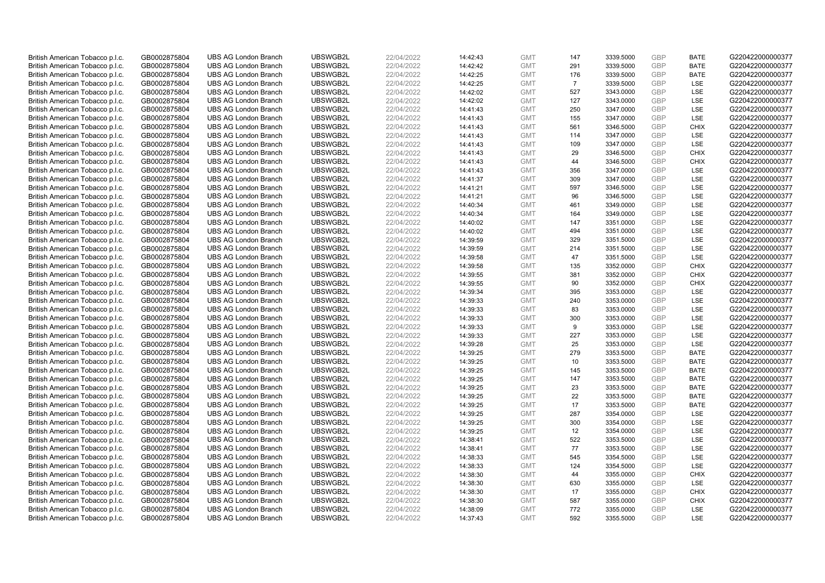| British American Tobacco p.l.c.                                    | GB0002875804                 | <b>UBS AG London Branch</b>                                | UBSWGB2L             | 22/04/2022               | 14:42:43             | <b>GMT</b>               | 147            | 3339.5000              | <b>GBP</b>               | <b>BATE</b>              | G220422000000377                     |
|--------------------------------------------------------------------|------------------------------|------------------------------------------------------------|----------------------|--------------------------|----------------------|--------------------------|----------------|------------------------|--------------------------|--------------------------|--------------------------------------|
| British American Tobacco p.l.c.                                    | GB0002875804                 | <b>UBS AG London Branch</b>                                | UBSWGB2L             | 22/04/2022               | 14:42:42             | <b>GMT</b>               | 291            | 3339.5000              | GBP                      | <b>BATE</b>              | G220422000000377                     |
| British American Tobacco p.l.c.                                    | GB0002875804                 | <b>UBS AG London Branch</b>                                | UBSWGB2L             | 22/04/2022               | 14:42:25             | <b>GMT</b>               | 176            | 3339.5000              | <b>GBP</b>               | <b>BATE</b>              | G220422000000377                     |
| British American Tobacco p.l.c.                                    | GB0002875804                 | <b>UBS AG London Branch</b>                                | UBSWGB2L             | 22/04/2022               | 14:42:25             | <b>GMT</b>               | $\overline{7}$ | 3339.5000              | <b>GBP</b>               | LSE                      | G220422000000377                     |
| British American Tobacco p.l.c.                                    | GB0002875804                 | <b>UBS AG London Branch</b>                                | UBSWGB2L             | 22/04/2022               | 14:42:02             | <b>GMT</b>               | 527            | 3343.0000              | <b>GBP</b>               | LSE                      | G220422000000377                     |
| British American Tobacco p.l.c.                                    | GB0002875804                 | <b>UBS AG London Branch</b>                                | UBSWGB2L             | 22/04/2022               | 14:42:02             | <b>GMT</b>               | 127            | 3343.0000              | <b>GBP</b>               | <b>LSE</b>               | G220422000000377                     |
| British American Tobacco p.l.c.                                    | GB0002875804                 | <b>UBS AG London Branch</b>                                | UBSWGB2L             | 22/04/2022               | 14:41:43             | <b>GMT</b>               | 250            | 3347.0000              | <b>GBP</b>               | LSE                      | G220422000000377                     |
| British American Tobacco p.l.c.                                    | GB0002875804                 | <b>UBS AG London Branch</b>                                | UBSWGB2L             | 22/04/2022               | 14:41:43             | <b>GMT</b>               | 155            | 3347.0000              | <b>GBP</b>               | LSE                      | G220422000000377                     |
| British American Tobacco p.l.c.                                    | GB0002875804                 | <b>UBS AG London Branch</b>                                | UBSWGB2L             | 22/04/2022               | 14:41:43             | <b>GMT</b>               | 561            | 3346.5000              | GBP                      | <b>CHIX</b>              | G220422000000377                     |
| British American Tobacco p.l.c.                                    | GB0002875804                 | <b>UBS AG London Branch</b>                                | UBSWGB2L             | 22/04/2022               | 14:41:43             | <b>GMT</b>               | 114            | 3347.0000              | <b>GBP</b>               | LSE                      | G220422000000377                     |
| British American Tobacco p.l.c.                                    | GB0002875804                 | <b>UBS AG London Branch</b>                                | UBSWGB2L             | 22/04/2022               | 14:41:43             | <b>GMT</b>               | 109            | 3347.0000              | <b>GBP</b>               | <b>LSE</b>               | G220422000000377                     |
| British American Tobacco p.l.c.                                    | GB0002875804                 | <b>UBS AG London Branch</b>                                | UBSWGB2L             | 22/04/2022               | 14:41:43             | <b>GMT</b>               | 29             | 3346.5000              | <b>GBP</b>               | <b>CHIX</b>              | G220422000000377                     |
| British American Tobacco p.l.c.                                    | GB0002875804                 | <b>UBS AG London Branch</b>                                | UBSWGB2L             | 22/04/2022               | 14:41:43             | <b>GMT</b>               | 44             | 3346.5000              | <b>GBP</b>               | <b>CHIX</b>              | G220422000000377                     |
| British American Tobacco p.l.c.                                    | GB0002875804                 | <b>UBS AG London Branch</b>                                | UBSWGB2L             | 22/04/2022               | 14:41:43             | <b>GMT</b>               | 356            | 3347.0000              | <b>GBP</b><br>GBP        | <b>LSE</b><br><b>LSE</b> | G220422000000377                     |
| British American Tobacco p.l.c.                                    | GB0002875804                 | <b>UBS AG London Branch</b>                                | UBSWGB2L             | 22/04/2022               | 14:41:37             | <b>GMT</b>               | 309            | 3347.0000              |                          |                          | G220422000000377                     |
| British American Tobacco p.l.c.                                    | GB0002875804                 | <b>UBS AG London Branch</b>                                | UBSWGB2L<br>UBSWGB2L | 22/04/2022               | 14:41:21             | <b>GMT</b>               | 597            | 3346.5000              | <b>GBP</b><br>GBP        | LSE                      | G220422000000377                     |
| British American Tobacco p.l.c.                                    | GB0002875804                 | <b>UBS AG London Branch</b>                                |                      | 22/04/2022               | 14:41:21             | <b>GMT</b>               | 96             | 3346.5000              |                          | LSE                      | G220422000000377                     |
| British American Tobacco p.l.c.                                    | GB0002875804                 | <b>UBS AG London Branch</b>                                | UBSWGB2L             | 22/04/2022               | 14:40:34             | <b>GMT</b>               | 461            | 3349.0000              | <b>GBP</b>               | LSE                      | G220422000000377                     |
| British American Tobacco p.l.c.                                    | GB0002875804                 | <b>UBS AG London Branch</b>                                | UBSWGB2L             | 22/04/2022               | 14:40:34             | <b>GMT</b>               | 164            | 3349.0000              | <b>GBP</b><br><b>GBP</b> | <b>LSE</b>               | G220422000000377                     |
| British American Tobacco p.l.c.                                    | GB0002875804                 | <b>UBS AG London Branch</b>                                | UBSWGB2L             | 22/04/2022               | 14:40:02             | <b>GMT</b>               | 147            | 3351.0000              |                          | LSE                      | G220422000000377                     |
| British American Tobacco p.l.c.                                    | GB0002875804                 | <b>UBS AG London Branch</b><br><b>UBS AG London Branch</b> | UBSWGB2L<br>UBSWGB2L | 22/04/2022<br>22/04/2022 | 14:40:02<br>14:39:59 | <b>GMT</b>               | 494<br>329     | 3351.0000              | <b>GBP</b><br>GBP        | LSE<br>LSE               | G220422000000377<br>G220422000000377 |
| British American Tobacco p.l.c.                                    | GB0002875804                 |                                                            |                      |                          |                      | <b>GMT</b>               |                | 3351.5000              |                          |                          |                                      |
| British American Tobacco p.l.c.<br>British American Tobacco p.l.c. | GB0002875804<br>GB0002875804 | <b>UBS AG London Branch</b><br><b>UBS AG London Branch</b> | UBSWGB2L<br>UBSWGB2L | 22/04/2022<br>22/04/2022 | 14:39:59             | <b>GMT</b><br><b>GMT</b> | 214<br>47      | 3351.5000              | GBP<br><b>GBP</b>        | LSE<br><b>LSE</b>        | G220422000000377<br>G220422000000377 |
|                                                                    |                              | <b>UBS AG London Branch</b>                                | UBSWGB2L             | 22/04/2022               | 14:39:58             |                          | 135            | 3351.5000<br>3352.0000 | <b>GBP</b>               | <b>CHIX</b>              | G220422000000377                     |
| British American Tobacco p.l.c.<br>British American Tobacco p.l.c. | GB0002875804<br>GB0002875804 | <b>UBS AG London Branch</b>                                | UBSWGB2L             | 22/04/2022               | 14:39:58<br>14:39:55 | <b>GMT</b><br><b>GMT</b> | 381            | 3352.0000              | GBP                      | <b>CHIX</b>              | G220422000000377                     |
| British American Tobacco p.l.c.                                    | GB0002875804                 | <b>UBS AG London Branch</b>                                | UBSWGB2L             | 22/04/2022               | 14:39:55             | <b>GMT</b>               | 90             | 3352.0000              | <b>GBP</b>               | <b>CHIX</b>              | G220422000000377                     |
| British American Tobacco p.l.c.                                    | GB0002875804                 | <b>UBS AG London Branch</b>                                | UBSWGB2L             | 22/04/2022               | 14:39:34             | <b>GMT</b>               | 395            | 3353.0000              | GBP                      | <b>LSE</b>               | G220422000000377                     |
| British American Tobacco p.l.c.                                    | GB0002875804                 | <b>UBS AG London Branch</b>                                | UBSWGB2L             | 22/04/2022               | 14:39:33             | <b>GMT</b>               | 240            | 3353.0000              | GBP                      | LSE                      | G220422000000377                     |
| British American Tobacco p.l.c.                                    | GB0002875804                 | <b>UBS AG London Branch</b>                                | UBSWGB2L             | 22/04/2022               | 14:39:33             | <b>GMT</b>               | 83             | 3353.0000              | GBP                      | LSE                      | G220422000000377                     |
| British American Tobacco p.l.c.                                    | GB0002875804                 | <b>UBS AG London Branch</b>                                | UBSWGB2L             | 22/04/2022               | 14:39:33             | <b>GMT</b>               | 300            | 3353.0000              | <b>GBP</b>               | LSE                      | G220422000000377                     |
| British American Tobacco p.l.c.                                    | GB0002875804                 | <b>UBS AG London Branch</b>                                | UBSWGB2L             | 22/04/2022               | 14:39:33             | <b>GMT</b>               | 9              | 3353.0000              | GBP                      | <b>LSE</b>               | G220422000000377                     |
| British American Tobacco p.l.c.                                    | GB0002875804                 | <b>UBS AG London Branch</b>                                | UBSWGB2L             | 22/04/2022               | 14:39:33             | <b>GMT</b>               | 227            | 3353.0000              | <b>GBP</b>               | LSE                      | G220422000000377                     |
| British American Tobacco p.l.c.                                    | GB0002875804                 | <b>UBS AG London Branch</b>                                | UBSWGB2L             | 22/04/2022               | 14:39:28             | <b>GMT</b>               | 25             | 3353.0000              | <b>GBP</b>               | LSE                      | G220422000000377                     |
| British American Tobacco p.l.c.                                    | GB0002875804                 | <b>UBS AG London Branch</b>                                | UBSWGB2L             | 22/04/2022               | 14:39:25             | <b>GMT</b>               | 279            | 3353.5000              | GBP                      | <b>BATE</b>              | G220422000000377                     |
| British American Tobacco p.l.c.                                    | GB0002875804                 | <b>UBS AG London Branch</b>                                | UBSWGB2L             | 22/04/2022               | 14:39:25             | <b>GMT</b>               | 10             | 3353.5000              | <b>GBP</b>               | <b>BATE</b>              | G220422000000377                     |
| British American Tobacco p.l.c.                                    | GB0002875804                 | <b>UBS AG London Branch</b>                                | UBSWGB2L             | 22/04/2022               | 14:39:25             | <b>GMT</b>               | 145            | 3353.5000              | GBP                      | <b>BATE</b>              | G220422000000377                     |
| British American Tobacco p.l.c.                                    | GB0002875804                 | <b>UBS AG London Branch</b>                                | UBSWGB2L             | 22/04/2022               | 14:39:25             | <b>GMT</b>               | 147            | 3353.5000              | <b>GBP</b>               | <b>BATE</b>              | G220422000000377                     |
| British American Tobacco p.l.c.                                    | GB0002875804                 | <b>UBS AG London Branch</b>                                | UBSWGB2L             | 22/04/2022               | 14:39:25             | <b>GMT</b>               | 23             | 3353.5000              | GBP                      | <b>BATE</b>              | G220422000000377                     |
| British American Tobacco p.l.c.                                    | GB0002875804                 | <b>UBS AG London Branch</b>                                | UBSWGB2L             | 22/04/2022               | 14:39:25             | <b>GMT</b>               | 22             | 3353.5000              | <b>GBP</b>               | <b>BATE</b>              | G220422000000377                     |
| British American Tobacco p.l.c.                                    | GB0002875804                 | <b>UBS AG London Branch</b>                                | UBSWGB2L             | 22/04/2022               | 14:39:25             | <b>GMT</b>               | 17             | 3353.5000              | GBP                      | <b>BATE</b>              | G220422000000377                     |
| British American Tobacco p.l.c.                                    | GB0002875804                 | <b>UBS AG London Branch</b>                                | UBSWGB2L             | 22/04/2022               | 14:39:25             | <b>GMT</b>               | 287            | 3354.0000              | GBP                      | <b>LSE</b>               | G220422000000377                     |
| British American Tobacco p.l.c.                                    | GB0002875804                 | <b>UBS AG London Branch</b>                                | UBSWGB2L             | 22/04/2022               | 14:39:25             | <b>GMT</b>               | 300            | 3354.0000              | GBP                      | LSE                      | G220422000000377                     |
| British American Tobacco p.l.c.                                    | GB0002875804                 | <b>UBS AG London Branch</b>                                | UBSWGB2L             | 22/04/2022               | 14:39:25             | <b>GMT</b>               | 12             | 3354.0000              | <b>GBP</b>               | LSE                      | G220422000000377                     |
| British American Tobacco p.l.c.                                    | GB0002875804                 | <b>UBS AG London Branch</b>                                | UBSWGB2L             | 22/04/2022               | 14:38:41             | <b>GMT</b>               | 522            | 3353.5000              | GBP                      | LSE                      | G220422000000377                     |
| British American Tobacco p.l.c.                                    | GB0002875804                 | <b>UBS AG London Branch</b>                                | UBSWGB2L             | 22/04/2022               | 14:38:41             | <b>GMT</b>               | 77             | 3353.5000              | <b>GBP</b>               | LSE                      | G220422000000377                     |
| British American Tobacco p.l.c.                                    | GB0002875804                 | <b>UBS AG London Branch</b>                                | UBSWGB2L             | 22/04/2022               | 14:38:33             | <b>GMT</b>               | 545            | 3354.5000              | GBP                      | LSE                      | G220422000000377                     |
| British American Tobacco p.l.c.                                    | GB0002875804                 | <b>UBS AG London Branch</b>                                | UBSWGB2L             | 22/04/2022               | 14:38:33             | <b>GMT</b>               | 124            | 3354.5000              | GBP                      | LSE                      | G220422000000377                     |
| British American Tobacco p.l.c.                                    | GB0002875804                 | <b>UBS AG London Branch</b>                                | UBSWGB2L             | 22/04/2022               | 14:38:30             | <b>GMT</b>               | 44             | 3355.0000              | GBP                      | <b>CHIX</b>              | G220422000000377                     |
| British American Tobacco p.l.c.                                    | GB0002875804                 | <b>UBS AG London Branch</b>                                | UBSWGB2L             | 22/04/2022               | 14:38:30             | <b>GMT</b>               | 630            | 3355.0000              | GBP                      | <b>LSE</b>               | G220422000000377                     |
| British American Tobacco p.l.c.                                    | GB0002875804                 | <b>UBS AG London Branch</b>                                | UBSWGB2L             | 22/04/2022               | 14:38:30             | <b>GMT</b>               | 17             | 3355.0000              | <b>GBP</b>               | <b>CHIX</b>              | G220422000000377                     |
| British American Tobacco p.l.c.                                    | GB0002875804                 | <b>UBS AG London Branch</b>                                | UBSWGB2L             | 22/04/2022               | 14:38:30             | <b>GMT</b>               | 587            | 3355.0000              | GBP                      | <b>CHIX</b>              | G220422000000377                     |
| British American Tobacco p.l.c.                                    | GB0002875804                 | <b>UBS AG London Branch</b>                                | UBSWGB2L             | 22/04/2022               | 14:38:09             | <b>GMT</b>               | 772            | 3355.0000              | <b>GBP</b>               | <b>LSE</b>               | G220422000000377                     |
| British American Tobacco p.l.c.                                    | GB0002875804                 | <b>UBS AG London Branch</b>                                | UBSWGB2L             | 22/04/2022               | 14:37:43             | <b>GMT</b>               | 592            | 3355.5000              | GBP                      | <b>LSE</b>               | G220422000000377                     |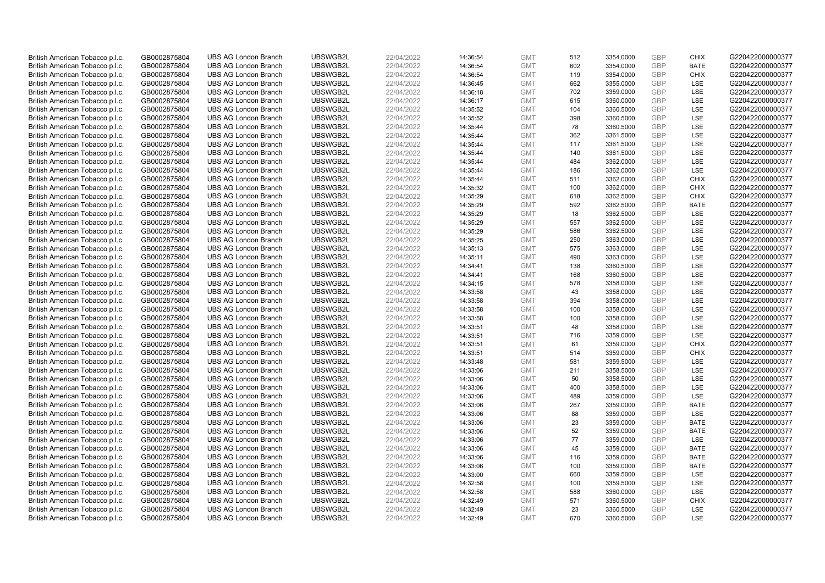| British American Tobacco p.l.c. | GB0002875804                 | <b>UBS AG London Branch</b> | UBSWGB2L | 22/04/2022 | 14:36:54 | <b>GMT</b> | 512 | 3354.0000              | <b>GBP</b>        | <b>CHIX</b> | G220422000000377 |
|---------------------------------|------------------------------|-----------------------------|----------|------------|----------|------------|-----|------------------------|-------------------|-------------|------------------|
| British American Tobacco p.l.c. | GB0002875804                 | <b>UBS AG London Branch</b> | UBSWGB2L | 22/04/2022 | 14:36:54 | <b>GMT</b> | 602 | 3354.0000              | GBP               | <b>BATE</b> | G220422000000377 |
| British American Tobacco p.l.c. | GB0002875804                 | <b>UBS AG London Branch</b> | UBSWGB2L | 22/04/2022 | 14:36:54 | <b>GMT</b> | 119 | 3354.0000              | GBP               | <b>CHIX</b> | G220422000000377 |
| British American Tobacco p.l.c. | GB0002875804                 | <b>UBS AG London Branch</b> | UBSWGB2L | 22/04/2022 | 14:36:45 | <b>GMT</b> | 662 | 3355.0000              | <b>GBP</b>        | LSE         | G220422000000377 |
| British American Tobacco p.l.c. | GB0002875804                 | <b>UBS AG London Branch</b> | UBSWGB2L | 22/04/2022 | 14:36:18 | <b>GMT</b> | 702 | 3359.0000              | GBP               | LSE         | G220422000000377 |
| British American Tobacco p.l.c. | GB0002875804                 | <b>UBS AG London Branch</b> | UBSWGB2L | 22/04/2022 | 14:36:17 | <b>GMT</b> | 615 | 3360.0000              | <b>GBP</b>        | <b>LSE</b>  | G220422000000377 |
| British American Tobacco p.l.c. | GB0002875804                 | <b>UBS AG London Branch</b> | UBSWGB2L | 22/04/2022 | 14:35:52 | <b>GMT</b> | 104 | 3360.5000              | GBP               | LSE         | G220422000000377 |
| British American Tobacco p.l.c. | GB0002875804                 | <b>UBS AG London Branch</b> | UBSWGB2L | 22/04/2022 | 14:35:52 | <b>GMT</b> | 398 | 3360.5000              | <b>GBP</b>        | LSE         | G220422000000377 |
| British American Tobacco p.l.c. | GB0002875804                 | <b>UBS AG London Branch</b> | UBSWGB2L | 22/04/2022 | 14:35:44 | <b>GMT</b> | 78  | 3360.5000              | GBP               | LSE         | G220422000000377 |
| British American Tobacco p.l.c. | GB0002875804                 | <b>UBS AG London Branch</b> | UBSWGB2L | 22/04/2022 | 14:35:44 | <b>GMT</b> | 362 | 3361.5000              | <b>GBP</b>        | LSE         | G220422000000377 |
| British American Tobacco p.l.c. | GB0002875804                 | <b>UBS AG London Branch</b> | UBSWGB2L | 22/04/2022 | 14:35:44 | <b>GMT</b> | 117 | 3361.5000              | GBP               | <b>LSE</b>  | G220422000000377 |
| British American Tobacco p.l.c. | GB0002875804                 | <b>UBS AG London Branch</b> | UBSWGB2L | 22/04/2022 | 14:35:44 | <b>GMT</b> | 140 | 3361.5000              | <b>GBP</b>        | LSE         | G220422000000377 |
| British American Tobacco p.l.c. | GB0002875804                 | <b>UBS AG London Branch</b> | UBSWGB2L | 22/04/2022 | 14:35:44 | <b>GMT</b> | 484 | 3362.0000              | GBP               | LSE         | G220422000000377 |
| British American Tobacco p.l.c. | GB0002875804                 | <b>UBS AG London Branch</b> | UBSWGB2L | 22/04/2022 | 14:35:44 | <b>GMT</b> | 186 | 3362.0000              | <b>GBP</b>        | LSE         | G220422000000377 |
| British American Tobacco p.l.c. | GB0002875804                 | <b>UBS AG London Branch</b> | UBSWGB2L | 22/04/2022 | 14:35:44 | <b>GMT</b> | 511 | 3362.0000              | GBP               | CHIX        | G220422000000377 |
| British American Tobacco p.l.c. | GB0002875804                 | <b>UBS AG London Branch</b> | UBSWGB2L | 22/04/2022 | 14:35:32 | <b>GMT</b> | 100 | 3362.0000              | GBP               | <b>CHIX</b> | G220422000000377 |
| British American Tobacco p.l.c. | GB0002875804                 | <b>UBS AG London Branch</b> | UBSWGB2L | 22/04/2022 | 14:35:29 | <b>GMT</b> | 618 | 3362.5000              | GBP               | <b>CHIX</b> | G220422000000377 |
| British American Tobacco p.l.c. | GB0002875804                 | <b>UBS AG London Branch</b> | UBSWGB2L | 22/04/2022 | 14:35:29 | <b>GMT</b> | 592 | 3362.5000              | GBP               | <b>BATE</b> | G220422000000377 |
| British American Tobacco p.l.c. | GB0002875804                 | <b>UBS AG London Branch</b> | UBSWGB2L | 22/04/2022 | 14:35:29 | <b>GMT</b> | 18  | 3362.5000              | <b>GBP</b>        | <b>LSE</b>  | G220422000000377 |
| British American Tobacco p.l.c. | GB0002875804                 | <b>UBS AG London Branch</b> | UBSWGB2L | 22/04/2022 | 14:35:29 | <b>GMT</b> | 557 | 3362.5000              | GBP               | LSE         | G220422000000377 |
| British American Tobacco p.l.c. | GB0002875804                 | <b>UBS AG London Branch</b> | UBSWGB2L | 22/04/2022 | 14:35:29 | <b>GMT</b> | 586 | 3362.5000              | <b>GBP</b>        | LSE         | G220422000000377 |
| British American Tobacco p.l.c. | GB0002875804                 | <b>UBS AG London Branch</b> | UBSWGB2L | 22/04/2022 | 14:35:25 | <b>GMT</b> | 250 | 3363.0000              | GBP               | LSE         | G220422000000377 |
| British American Tobacco p.l.c. | GB0002875804                 | <b>UBS AG London Branch</b> | UBSWGB2L | 22/04/2022 | 14:35:13 | <b>GMT</b> | 575 | 3363.0000              | <b>GBP</b>        | LSE         | G220422000000377 |
| British American Tobacco p.l.c. | GB0002875804                 | <b>UBS AG London Branch</b> | UBSWGB2L | 22/04/2022 | 14:35:11 | <b>GMT</b> | 490 | 3363.0000              | GBP               | <b>LSE</b>  | G220422000000377 |
| British American Tobacco p.l.c. | GB0002875804                 | <b>UBS AG London Branch</b> | UBSWGB2L | 22/04/2022 | 14:34:41 | <b>GMT</b> | 138 | 3360.5000              | <b>GBP</b>        | LSE         | G220422000000377 |
| British American Tobacco p.l.c. | GB0002875804                 | <b>UBS AG London Branch</b> | UBSWGB2L | 22/04/2022 | 14:34:41 | <b>GMT</b> | 168 | 3360.5000              | GBP               | LSE         | G220422000000377 |
| British American Tobacco p.l.c. | GB0002875804                 | <b>UBS AG London Branch</b> | UBSWGB2L | 22/04/2022 | 14:34:15 | <b>GMT</b> | 578 | 3358.0000              | <b>GBP</b>        | LSE         | G220422000000377 |
| British American Tobacco p.l.c. | GB0002875804                 | <b>UBS AG London Branch</b> | UBSWGB2L | 22/04/2022 | 14:33:58 | <b>GMT</b> | 43  | 3358.0000              | GBP               | LSE         | G220422000000377 |
| British American Tobacco p.l.c. | GB0002875804                 | <b>UBS AG London Branch</b> | UBSWGB2L | 22/04/2022 | 14:33:58 | <b>GMT</b> | 394 | 3358.0000              | GBP               | LSE         | G220422000000377 |
| British American Tobacco p.l.c. | GB0002875804                 | <b>UBS AG London Branch</b> | UBSWGB2L | 22/04/2022 | 14:33:58 | <b>GMT</b> | 100 | 3358.0000              | GBP               | LSE         | G220422000000377 |
| British American Tobacco p.l.c. | GB0002875804                 | <b>UBS AG London Branch</b> | UBSWGB2L | 22/04/2022 | 14:33:58 | <b>GMT</b> | 100 | 3358.0000              | <b>GBP</b>        | LSE         | G220422000000377 |
| British American Tobacco p.l.c. | GB0002875804                 | <b>UBS AG London Branch</b> | UBSWGB2L | 22/04/2022 | 14:33:51 | <b>GMT</b> | 48  | 3358.0000              | GBP               | <b>LSE</b>  | G220422000000377 |
| British American Tobacco p.l.c. | GB0002875804                 | <b>UBS AG London Branch</b> | UBSWGB2L | 22/04/2022 | 14:33:51 | <b>GMT</b> | 716 | 3359.0000              | <b>GBP</b>        | LSE         | G220422000000377 |
| British American Tobacco p.l.c. | GB0002875804                 | <b>UBS AG London Branch</b> | UBSWGB2L | 22/04/2022 | 14:33:51 | <b>GMT</b> | 61  | 3359.0000              | <b>GBP</b>        | <b>CHIX</b> | G220422000000377 |
| British American Tobacco p.l.c. | GB0002875804                 | <b>UBS AG London Branch</b> | UBSWGB2L | 22/04/2022 | 14:33:51 | <b>GMT</b> | 514 | 3359.0000              | GBP               | <b>CHIX</b> | G220422000000377 |
| British American Tobacco p.l.c. | GB0002875804                 | <b>UBS AG London Branch</b> | UBSWGB2L | 22/04/2022 | 14:33:48 | <b>GMT</b> | 581 | 3359.5000              | <b>GBP</b>        | LSE         | G220422000000377 |
| British American Tobacco p.l.c. | GB0002875804                 | <b>UBS AG London Branch</b> | UBSWGB2L | 22/04/2022 | 14:33:06 | <b>GMT</b> | 211 | 3358.5000              | GBP               | <b>LSE</b>  | G220422000000377 |
| British American Tobacco p.l.c. |                              | <b>UBS AG London Branch</b> | UBSWGB2L | 22/04/2022 | 14:33:06 | <b>GMT</b> | 50  | 3358.5000              | <b>GBP</b>        | LSE         | G220422000000377 |
| British American Tobacco p.l.c. | GB0002875804<br>GB0002875804 | <b>UBS AG London Branch</b> | UBSWGB2L | 22/04/2022 | 14:33:06 | <b>GMT</b> | 400 | 3358.5000              | GBP               | LSE         | G220422000000377 |
|                                 |                              | <b>UBS AG London Branch</b> | UBSWGB2L | 22/04/2022 |          | <b>GMT</b> | 489 |                        | <b>GBP</b>        | LSE         | G220422000000377 |
| British American Tobacco p.l.c. | GB0002875804                 | <b>UBS AG London Branch</b> | UBSWGB2L | 22/04/2022 | 14:33:06 |            | 267 | 3359.0000<br>3359.0000 | GBP               | <b>BATE</b> | G220422000000377 |
| British American Tobacco p.l.c. | GB0002875804                 |                             |          |            | 14:33:06 | <b>GMT</b> |     |                        |                   |             |                  |
| British American Tobacco p.l.c. | GB0002875804                 | <b>UBS AG London Branch</b> | UBSWGB2L | 22/04/2022 | 14:33:06 | <b>GMT</b> | 88  | 3359.0000              | <b>GBP</b><br>GBP | <b>LSE</b>  | G220422000000377 |
| British American Tobacco p.l.c. | GB0002875804                 | <b>UBS AG London Branch</b> | UBSWGB2L | 22/04/2022 | 14:33:06 | <b>GMT</b> | 23  | 3359.0000              |                   | <b>BATE</b> | G220422000000377 |
| British American Tobacco p.l.c. | GB0002875804                 | <b>UBS AG London Branch</b> | UBSWGB2L | 22/04/2022 | 14:33:06 | <b>GMT</b> | 52  | 3359.0000              | <b>GBP</b>        | <b>BATE</b> | G220422000000377 |
| British American Tobacco p.l.c. | GB0002875804                 | <b>UBS AG London Branch</b> | UBSWGB2L | 22/04/2022 | 14:33:06 | <b>GMT</b> | 77  | 3359.0000              | GBP               | LSE         | G220422000000377 |
| British American Tobacco p.l.c. | GB0002875804                 | <b>UBS AG London Branch</b> | UBSWGB2L | 22/04/2022 | 14:33:06 | <b>GMT</b> | 45  | 3359.0000              | <b>GBP</b>        | <b>BATE</b> | G220422000000377 |
| British American Tobacco p.l.c. | GB0002875804                 | <b>UBS AG London Branch</b> | UBSWGB2L | 22/04/2022 | 14:33:06 | <b>GMT</b> | 116 | 3359.0000              | GBP               | <b>BATE</b> | G220422000000377 |
| British American Tobacco p.l.c. | GB0002875804                 | <b>UBS AG London Branch</b> | UBSWGB2L | 22/04/2022 | 14:33:06 | <b>GMT</b> | 100 | 3359.0000              | GBP               | <b>BATE</b> | G220422000000377 |
| British American Tobacco p.l.c. | GB0002875804                 | <b>UBS AG London Branch</b> | UBSWGB2L | 22/04/2022 | 14:33:00 | <b>GMT</b> | 660 | 3359.5000              | GBP               | LSE         | G220422000000377 |
| British American Tobacco p.l.c. | GB0002875804                 | <b>UBS AG London Branch</b> | UBSWGB2L | 22/04/2022 | 14:32:58 | <b>GMT</b> | 100 | 3359.5000              | GBP               | <b>LSE</b>  | G220422000000377 |
| British American Tobacco p.l.c. | GB0002875804                 | <b>UBS AG London Branch</b> | UBSWGB2L | 22/04/2022 | 14:32:58 | <b>GMT</b> | 588 | 3360.0000              | <b>GBP</b>        | LSE         | G220422000000377 |
| British American Tobacco p.l.c. | GB0002875804                 | <b>UBS AG London Branch</b> | UBSWGB2L | 22/04/2022 | 14:32:49 | <b>GMT</b> | 571 | 3360.5000              | GBP               | <b>CHIX</b> | G220422000000377 |
| British American Tobacco p.l.c. | GB0002875804                 | <b>UBS AG London Branch</b> | UBSWGB2L | 22/04/2022 | 14:32:49 | <b>GMT</b> | 23  | 3360.5000              | <b>GBP</b>        | <b>LSE</b>  | G220422000000377 |
| British American Tobacco p.l.c. | GB0002875804                 | <b>UBS AG London Branch</b> | UBSWGB2L | 22/04/2022 | 14:32:49 | <b>GMT</b> | 670 | 3360.5000              | GBP               | <b>LSE</b>  | G220422000000377 |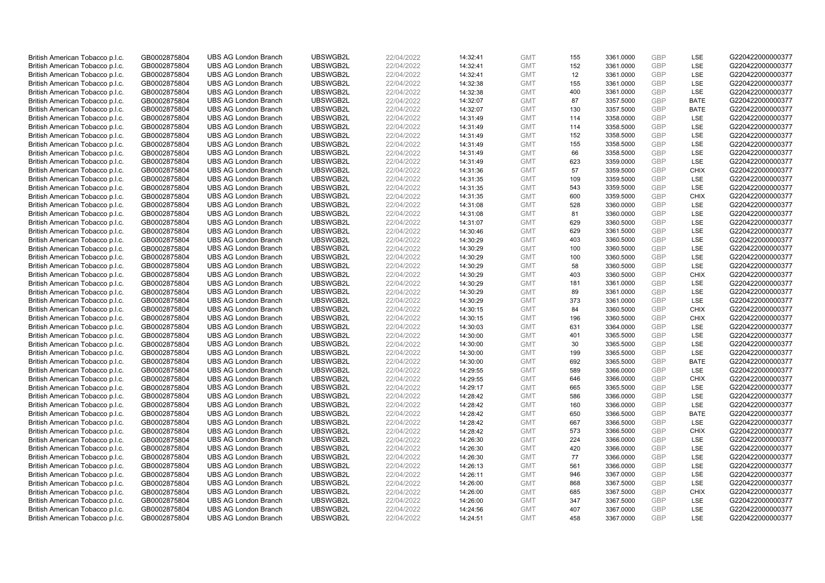| British American Tobacco p.l.c. | GB0002875804 | <b>UBS AG London Branch</b> | UBSWGB2L | 22/04/2022 | 14:32:41 | <b>GMT</b> | 155 | 3361.0000 | <b>GBP</b><br>GBP | LSE         | G220422000000377 |
|---------------------------------|--------------|-----------------------------|----------|------------|----------|------------|-----|-----------|-------------------|-------------|------------------|
| British American Tobacco p.l.c. | GB0002875804 | <b>UBS AG London Branch</b> | UBSWGB2L | 22/04/2022 | 14:32:41 | <b>GMT</b> | 152 | 3361.0000 |                   | <b>LSE</b>  | G220422000000377 |
| British American Tobacco p.l.c. | GB0002875804 | <b>UBS AG London Branch</b> | UBSWGB2L | 22/04/2022 | 14:32:41 | <b>GMT</b> | 12  | 3361.0000 | <b>GBP</b>        | LSE         | G220422000000377 |
| British American Tobacco p.l.c. | GB0002875804 | <b>UBS AG London Branch</b> | UBSWGB2L | 22/04/2022 | 14:32:38 | <b>GMT</b> | 155 | 3361.0000 | <b>GBP</b>        | LSE         | G220422000000377 |
| British American Tobacco p.l.c. | GB0002875804 | <b>UBS AG London Branch</b> | UBSWGB2L | 22/04/2022 | 14:32:38 | <b>GMT</b> | 400 | 3361.0000 | <b>GBP</b>        | LSE         | G220422000000377 |
| British American Tobacco p.l.c. | GB0002875804 | <b>UBS AG London Branch</b> | UBSWGB2L | 22/04/2022 | 14:32:07 | <b>GMT</b> | 87  | 3357.5000 | <b>GBP</b>        | <b>BATE</b> | G220422000000377 |
| British American Tobacco p.l.c. | GB0002875804 | <b>UBS AG London Branch</b> | UBSWGB2L | 22/04/2022 | 14:32:07 | <b>GMT</b> | 130 | 3357.5000 | <b>GBP</b>        | <b>BATE</b> | G220422000000377 |
| British American Tobacco p.l.c. | GB0002875804 | <b>UBS AG London Branch</b> | UBSWGB2L | 22/04/2022 | 14:31:49 | <b>GMT</b> | 114 | 3358.0000 | <b>GBP</b>        | LSE         | G220422000000377 |
| British American Tobacco p.l.c. | GB0002875804 | <b>UBS AG London Branch</b> | UBSWGB2L | 22/04/2022 | 14:31:49 | <b>GMT</b> | 114 | 3358.5000 | GBP               | LSE         | G220422000000377 |
| British American Tobacco p.l.c. | GB0002875804 | <b>UBS AG London Branch</b> | UBSWGB2L | 22/04/2022 | 14:31:49 | <b>GMT</b> | 152 | 3358.5000 | <b>GBP</b>        | LSE         | G220422000000377 |
| British American Tobacco p.l.c. | GB0002875804 | <b>UBS AG London Branch</b> | UBSWGB2L | 22/04/2022 | 14:31:49 | <b>GMT</b> | 155 | 3358.5000 | <b>GBP</b>        | <b>LSE</b>  | G220422000000377 |
| British American Tobacco p.l.c. | GB0002875804 | <b>UBS AG London Branch</b> | UBSWGB2L | 22/04/2022 | 14:31:49 | <b>GMT</b> | 66  | 3358.5000 | <b>GBP</b>        | LSE         | G220422000000377 |
| British American Tobacco p.l.c. | GB0002875804 | <b>UBS AG London Branch</b> | UBSWGB2L | 22/04/2022 | 14:31:49 | <b>GMT</b> | 623 | 3359.0000 | <b>GBP</b>        | LSE         | G220422000000377 |
| British American Tobacco p.l.c. | GB0002875804 | <b>UBS AG London Branch</b> | UBSWGB2L | 22/04/2022 | 14:31:36 | <b>GMT</b> | 57  | 3359.5000 | <b>GBP</b>        | <b>CHIX</b> | G220422000000377 |
| British American Tobacco p.l.c. | GB0002875804 | <b>UBS AG London Branch</b> | UBSWGB2L | 22/04/2022 | 14:31:35 | <b>GMT</b> | 109 | 3359.5000 | GBP               | <b>LSE</b>  | G220422000000377 |
| British American Tobacco p.l.c. | GB0002875804 | <b>UBS AG London Branch</b> | UBSWGB2L | 22/04/2022 | 14:31:35 | <b>GMT</b> | 543 | 3359.5000 | <b>GBP</b>        | LSE         | G220422000000377 |
| British American Tobacco p.l.c. | GB0002875804 | <b>UBS AG London Branch</b> | UBSWGB2L | 22/04/2022 | 14:31:35 | <b>GMT</b> | 600 | 3359.5000 | GBP               | <b>CHIX</b> | G220422000000377 |
| British American Tobacco p.l.c. | GB0002875804 | <b>UBS AG London Branch</b> | UBSWGB2L | 22/04/2022 | 14:31:08 | <b>GMT</b> | 528 | 3360.0000 | <b>GBP</b>        | <b>LSE</b>  | G220422000000377 |
| British American Tobacco p.l.c. | GB0002875804 | <b>UBS AG London Branch</b> | UBSWGB2L | 22/04/2022 | 14:31:08 | <b>GMT</b> | 81  | 3360.0000 | <b>GBP</b>        | <b>LSE</b>  | G220422000000377 |
| British American Tobacco p.l.c. | GB0002875804 | <b>UBS AG London Branch</b> | UBSWGB2L | 22/04/2022 | 14:31:07 | <b>GMT</b> | 629 | 3360.5000 | <b>GBP</b>        | LSE         | G220422000000377 |
| British American Tobacco p.l.c. | GB0002875804 | <b>UBS AG London Branch</b> | UBSWGB2L | 22/04/2022 | 14:30:46 | <b>GMT</b> | 629 | 3361.5000 | <b>GBP</b>        | LSE         | G220422000000377 |
| British American Tobacco p.l.c. | GB0002875804 | <b>UBS AG London Branch</b> | UBSWGB2L | 22/04/2022 | 14:30:29 | <b>GMT</b> | 403 | 3360.5000 | GBP               | LSE         | G220422000000377 |
| British American Tobacco p.l.c. | GB0002875804 | <b>UBS AG London Branch</b> | UBSWGB2L | 22/04/2022 | 14:30:29 | <b>GMT</b> | 100 | 3360.5000 | <b>GBP</b>        | LSE         | G220422000000377 |
| British American Tobacco p.l.c. | GB0002875804 | <b>UBS AG London Branch</b> | UBSWGB2L | 22/04/2022 | 14:30:29 | <b>GMT</b> | 100 | 3360.5000 | GBP               | <b>LSE</b>  | G220422000000377 |
| British American Tobacco p.l.c. | GB0002875804 | <b>UBS AG London Branch</b> | UBSWGB2L | 22/04/2022 | 14:30:29 | <b>GMT</b> | 58  | 3360.5000 | <b>GBP</b>        | LSE         | G220422000000377 |
| British American Tobacco p.l.c. | GB0002875804 | <b>UBS AG London Branch</b> | UBSWGB2L | 22/04/2022 | 14:30:29 | <b>GMT</b> | 403 | 3360.5000 | GBP               | <b>CHIX</b> | G220422000000377 |
| British American Tobacco p.l.c. | GB0002875804 | <b>UBS AG London Branch</b> | UBSWGB2L | 22/04/2022 | 14:30:29 | <b>GMT</b> | 181 | 3361.0000 | <b>GBP</b>        | <b>LSE</b>  | G220422000000377 |
| British American Tobacco p.l.c. | GB0002875804 | <b>UBS AG London Branch</b> | UBSWGB2L | 22/04/2022 | 14:30:29 | <b>GMT</b> | 89  | 3361.0000 | GBP               | LSE         | G220422000000377 |
| British American Tobacco p.l.c. | GB0002875804 | <b>UBS AG London Branch</b> | UBSWGB2L | 22/04/2022 | 14:30:29 | <b>GMT</b> | 373 | 3361.0000 | <b>GBP</b>        | LSE         | G220422000000377 |
| British American Tobacco p.l.c. | GB0002875804 | <b>UBS AG London Branch</b> | UBSWGB2L | 22/04/2022 | 14:30:15 | <b>GMT</b> | 84  | 3360.5000 | GBP               | <b>CHIX</b> | G220422000000377 |
| British American Tobacco p.l.c. | GB0002875804 | <b>UBS AG London Branch</b> | UBSWGB2L | 22/04/2022 | 14:30:15 | <b>GMT</b> | 196 | 3360.5000 | GBP               | <b>CHIX</b> | G220422000000377 |
| British American Tobacco p.l.c. | GB0002875804 | <b>UBS AG London Branch</b> | UBSWGB2L | 22/04/2022 | 14:30:03 | <b>GMT</b> | 631 | 3364.0000 | GBP               | <b>LSE</b>  | G220422000000377 |
| British American Tobacco p.l.c. | GB0002875804 | <b>UBS AG London Branch</b> | UBSWGB2L | 22/04/2022 | 14:30:00 | <b>GMT</b> | 401 | 3365.5000 | GBP               | LSE         | G220422000000377 |
| British American Tobacco p.l.c. | GB0002875804 | <b>UBS AG London Branch</b> | UBSWGB2L | 22/04/2022 | 14:30:00 | <b>GMT</b> | 30  | 3365.5000 | <b>GBP</b>        | LSE         | G220422000000377 |
| British American Tobacco p.l.c. | GB0002875804 | <b>UBS AG London Branch</b> | UBSWGB2L | 22/04/2022 | 14:30:00 | <b>GMT</b> | 199 | 3365.5000 | GBP               | LSE         | G220422000000377 |
| British American Tobacco p.l.c. | GB0002875804 | <b>UBS AG London Branch</b> | UBSWGB2L | 22/04/2022 | 14:30:00 | <b>GMT</b> | 692 | 3365.5000 | <b>GBP</b>        | <b>BATE</b> | G220422000000377 |
| British American Tobacco p.l.c. | GB0002875804 | <b>UBS AG London Branch</b> | UBSWGB2L | 22/04/2022 | 14:29:55 | <b>GMT</b> | 589 | 3366.0000 | GBP               | <b>LSE</b>  | G220422000000377 |
| British American Tobacco p.l.c. | GB0002875804 | <b>UBS AG London Branch</b> | UBSWGB2L | 22/04/2022 | 14:29:55 | <b>GMT</b> | 646 | 3366.0000 | <b>GBP</b>        | <b>CHIX</b> | G220422000000377 |
| British American Tobacco p.l.c. | GB0002875804 | <b>UBS AG London Branch</b> | UBSWGB2L | 22/04/2022 | 14:29:17 | <b>GMT</b> | 665 | 3365.5000 | GBP               | LSE         | G220422000000377 |
| British American Tobacco p.l.c. | GB0002875804 | <b>UBS AG London Branch</b> | UBSWGB2L | 22/04/2022 | 14:28:42 | <b>GMT</b> | 586 | 3366.0000 | <b>GBP</b>        | <b>LSE</b>  | G220422000000377 |
| British American Tobacco p.l.c. | GB0002875804 | <b>UBS AG London Branch</b> | UBSWGB2L | 22/04/2022 | 14:28:42 | <b>GMT</b> | 160 | 3366.0000 | GBP               | LSE         | G220422000000377 |
| British American Tobacco p.l.c. | GB0002875804 | <b>UBS AG London Branch</b> | UBSWGB2L | 22/04/2022 | 14:28:42 | <b>GMT</b> | 650 | 3366.5000 | <b>GBP</b>        | <b>BATE</b> | G220422000000377 |
| British American Tobacco p.l.c. | GB0002875804 | <b>UBS AG London Branch</b> | UBSWGB2L | 22/04/2022 | 14:28:42 | <b>GMT</b> | 667 | 3366.5000 | GBP               | LSE         | G220422000000377 |
| British American Tobacco p.l.c. | GB0002875804 | <b>UBS AG London Branch</b> | UBSWGB2L | 22/04/2022 | 14:28:42 | <b>GMT</b> | 573 | 3366.5000 | <b>GBP</b>        | <b>CHIX</b> | G220422000000377 |
| British American Tobacco p.l.c. | GB0002875804 | <b>UBS AG London Branch</b> | UBSWGB2L | 22/04/2022 | 14:26:30 | <b>GMT</b> | 224 | 3366.0000 | GBP               | LSE         | G220422000000377 |
| British American Tobacco p.l.c. | GB0002875804 | <b>UBS AG London Branch</b> | UBSWGB2L | 22/04/2022 | 14:26:30 | <b>GMT</b> | 420 | 3366.0000 | GBP               | LSE         | G220422000000377 |
| British American Tobacco p.l.c. | GB0002875804 | <b>UBS AG London Branch</b> | UBSWGB2L | 22/04/2022 | 14:26:30 | <b>GMT</b> | 77  | 3366.0000 | GBP               | LSE         | G220422000000377 |
| British American Tobacco p.l.c. | GB0002875804 | <b>UBS AG London Branch</b> | UBSWGB2L | 22/04/2022 | 14:26:13 | <b>GMT</b> | 561 | 3366.0000 | GBP               | LSE         | G220422000000377 |
| British American Tobacco p.l.c. | GB0002875804 | <b>UBS AG London Branch</b> | UBSWGB2L | 22/04/2022 | 14:26:11 | <b>GMT</b> | 946 | 3367.0000 | GBP               | LSE         | G220422000000377 |
| British American Tobacco p.l.c. | GB0002875804 | <b>UBS AG London Branch</b> | UBSWGB2L | 22/04/2022 | 14:26:00 | <b>GMT</b> | 868 | 3367.5000 | GBP               | <b>LSE</b>  | G220422000000377 |
| British American Tobacco p.l.c. | GB0002875804 | <b>UBS AG London Branch</b> | UBSWGB2L | 22/04/2022 | 14:26:00 | <b>GMT</b> | 685 | 3367.5000 | GBP               | <b>CHIX</b> | G220422000000377 |
| British American Tobacco p.l.c. | GB0002875804 | <b>UBS AG London Branch</b> | UBSWGB2L | 22/04/2022 | 14:26:00 | <b>GMT</b> | 347 | 3367.5000 | GBP               | LSE         | G220422000000377 |
| British American Tobacco p.l.c. | GB0002875804 | <b>UBS AG London Branch</b> | UBSWGB2L | 22/04/2022 | 14:24:56 | <b>GMT</b> | 407 | 3367.0000 | <b>GBP</b>        | LSE         | G220422000000377 |
| British American Tobacco p.l.c. | GB0002875804 | <b>UBS AG London Branch</b> | UBSWGB2L | 22/04/2022 | 14:24:51 | <b>GMT</b> | 458 | 3367.0000 | GBP               | <b>LSE</b>  | G220422000000377 |
|                                 |              |                             |          |            |          |            |     |           |                   |             |                  |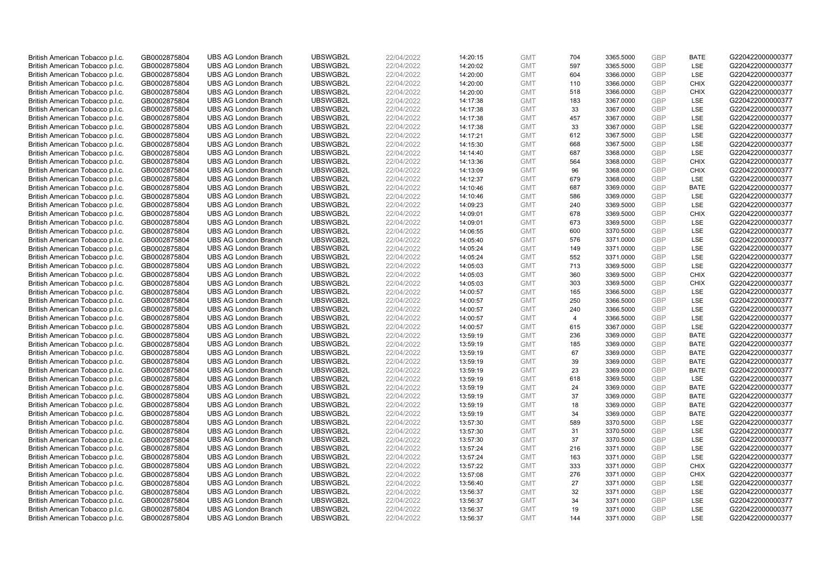| British American Tobacco p.l.c. | GB0002875804 | <b>UBS AG London Branch</b> | UBSWGB2L | 22/04/2022 | 14:20:15 | <b>GMT</b> | 704            | 3365.5000 | <b>GBP</b> | <b>BATE</b> | G220422000000377 |
|---------------------------------|--------------|-----------------------------|----------|------------|----------|------------|----------------|-----------|------------|-------------|------------------|
|                                 | GB0002875804 | <b>UBS AG London Branch</b> | UBSWGB2L | 22/04/2022 |          | <b>GMT</b> | 597            | 3365.5000 | GBP        | LSE         | G220422000000377 |
| British American Tobacco p.l.c. |              |                             |          |            | 14:20:02 |            |                |           | <b>GBP</b> | LSE         |                  |
| British American Tobacco p.l.c. | GB0002875804 | <b>UBS AG London Branch</b> | UBSWGB2L | 22/04/2022 | 14:20:00 | <b>GMT</b> | 604            | 3366.0000 |            |             | G220422000000377 |
| British American Tobacco p.l.c. | GB0002875804 | <b>UBS AG London Branch</b> | UBSWGB2L | 22/04/2022 | 14:20:00 | <b>GMT</b> | 110            | 3366.0000 | <b>GBP</b> | <b>CHIX</b> | G220422000000377 |
| British American Tobacco p.l.c. | GB0002875804 | <b>UBS AG London Branch</b> | UBSWGB2L | 22/04/2022 | 14:20:00 | <b>GMT</b> | 518            | 3366.0000 | <b>GBP</b> | <b>CHIX</b> | G220422000000377 |
| British American Tobacco p.l.c. | GB0002875804 | <b>UBS AG London Branch</b> | UBSWGB2L | 22/04/2022 | 14:17:38 | <b>GMT</b> | 183            | 3367.0000 | <b>GBP</b> | <b>LSE</b>  | G220422000000377 |
| British American Tobacco p.l.c. | GB0002875804 | <b>UBS AG London Branch</b> | UBSWGB2L | 22/04/2022 | 14:17:38 | <b>GMT</b> | 33             | 3367.0000 | <b>GBP</b> | LSE         | G220422000000377 |
| British American Tobacco p.l.c. | GB0002875804 | <b>UBS AG London Branch</b> | UBSWGB2L | 22/04/2022 | 14:17:38 | <b>GMT</b> | 457            | 3367.0000 | <b>GBP</b> | LSE         | G220422000000377 |
| British American Tobacco p.l.c. | GB0002875804 | <b>UBS AG London Branch</b> | UBSWGB2L | 22/04/2022 | 14:17:38 | <b>GMT</b> | 33             | 3367.0000 | GBP        | LSE         | G220422000000377 |
| British American Tobacco p.l.c. | GB0002875804 | <b>UBS AG London Branch</b> | UBSWGB2L | 22/04/2022 | 14:17:21 | <b>GMT</b> | 612            | 3367.5000 | <b>GBP</b> | LSE         | G220422000000377 |
| British American Tobacco p.l.c. | GB0002875804 | <b>UBS AG London Branch</b> | UBSWGB2L | 22/04/2022 | 14:15:30 | <b>GMT</b> | 668            | 3367.5000 | <b>GBP</b> | <b>LSE</b>  | G220422000000377 |
| British American Tobacco p.l.c. | GB0002875804 | <b>UBS AG London Branch</b> | UBSWGB2L | 22/04/2022 | 14:14:40 | <b>GMT</b> | 687            | 3368.0000 | <b>GBP</b> | LSE         | G220422000000377 |
| British American Tobacco p.l.c. | GB0002875804 | <b>UBS AG London Branch</b> | UBSWGB2L | 22/04/2022 | 14:13:36 | <b>GMT</b> | 564            | 3368.0000 | <b>GBP</b> | <b>CHIX</b> | G220422000000377 |
| British American Tobacco p.l.c. | GB0002875804 | <b>UBS AG London Branch</b> | UBSWGB2L | 22/04/2022 | 14:13:09 | <b>GMT</b> | 96             | 3368.0000 | <b>GBP</b> | <b>CHIX</b> | G220422000000377 |
| British American Tobacco p.l.c. | GB0002875804 | <b>UBS AG London Branch</b> | UBSWGB2L | 22/04/2022 | 14:12:37 | <b>GMT</b> | 679            | 3368.0000 | GBP        | <b>LSE</b>  | G220422000000377 |
| British American Tobacco p.l.c. | GB0002875804 | <b>UBS AG London Branch</b> | UBSWGB2L | 22/04/2022 | 14:10:46 | <b>GMT</b> | 687            | 3369.0000 | <b>GBP</b> | <b>BATE</b> | G220422000000377 |
| British American Tobacco p.l.c. | GB0002875804 | <b>UBS AG London Branch</b> | UBSWGB2L | 22/04/2022 | 14:10:46 | <b>GMT</b> | 586            | 3369.0000 | GBP        | LSE         | G220422000000377 |
| British American Tobacco p.l.c. | GB0002875804 | <b>UBS AG London Branch</b> | UBSWGB2L | 22/04/2022 | 14:09:23 | <b>GMT</b> | 240            | 3369.5000 | <b>GBP</b> | LSE         | G220422000000377 |
| British American Tobacco p.l.c. | GB0002875804 | <b>UBS AG London Branch</b> | UBSWGB2L | 22/04/2022 | 14:09:01 | <b>GMT</b> | 678            | 3369.5000 | <b>GBP</b> | <b>CHIX</b> | G220422000000377 |
| British American Tobacco p.l.c. | GB0002875804 | <b>UBS AG London Branch</b> | UBSWGB2L | 22/04/2022 | 14:09:01 | <b>GMT</b> | 673            | 3369.5000 | <b>GBP</b> | LSE         | G220422000000377 |
| British American Tobacco p.l.c. | GB0002875804 | <b>UBS AG London Branch</b> | UBSWGB2L | 22/04/2022 | 14:06:55 | <b>GMT</b> | 600            | 3370.5000 | <b>GBP</b> | LSE         | G220422000000377 |
| British American Tobacco p.l.c. | GB0002875804 | <b>UBS AG London Branch</b> | UBSWGB2L | 22/04/2022 | 14:05:40 | <b>GMT</b> | 576            | 3371.0000 | GBP        | LSE         | G220422000000377 |
| British American Tobacco p.l.c. | GB0002875804 | <b>UBS AG London Branch</b> | UBSWGB2L | 22/04/2022 | 14:05:24 | <b>GMT</b> | 149            | 3371.0000 | GBP        | LSE         | G220422000000377 |
| British American Tobacco p.l.c. | GB0002875804 | <b>UBS AG London Branch</b> | UBSWGB2L | 22/04/2022 | 14:05:24 | <b>GMT</b> | 552            | 3371.0000 | <b>GBP</b> | <b>LSE</b>  | G220422000000377 |
| British American Tobacco p.l.c. | GB0002875804 | <b>UBS AG London Branch</b> | UBSWGB2L | 22/04/2022 | 14:05:03 | <b>GMT</b> | 713            | 3369.5000 | <b>GBP</b> | LSE         | G220422000000377 |
| British American Tobacco p.l.c. | GB0002875804 | <b>UBS AG London Branch</b> | UBSWGB2L | 22/04/2022 | 14:05:03 | <b>GMT</b> | 360            | 3369.5000 | GBP        | <b>CHIX</b> | G220422000000377 |
| British American Tobacco p.l.c. | GB0002875804 | <b>UBS AG London Branch</b> | UBSWGB2L | 22/04/2022 | 14:05:03 | <b>GMT</b> | 303            | 3369.5000 | <b>GBP</b> | <b>CHIX</b> | G220422000000377 |
| British American Tobacco p.l.c. | GB0002875804 | <b>UBS AG London Branch</b> | UBSWGB2L | 22/04/2022 | 14:00:57 | <b>GMT</b> | 165            | 3366.5000 | GBP        | <b>LSE</b>  | G220422000000377 |
| British American Tobacco p.l.c. | GB0002875804 | <b>UBS AG London Branch</b> | UBSWGB2L | 22/04/2022 | 14:00:57 | <b>GMT</b> | 250            | 3366.5000 | GBP        | LSE         | G220422000000377 |
| British American Tobacco p.l.c. | GB0002875804 | <b>UBS AG London Branch</b> | UBSWGB2L | 22/04/2022 | 14:00:57 | <b>GMT</b> | 240            | 3366.5000 | GBP        | LSE         | G220422000000377 |
| British American Tobacco p.l.c. | GB0002875804 | <b>UBS AG London Branch</b> | UBSWGB2L | 22/04/2022 | 14:00:57 | <b>GMT</b> | $\overline{4}$ | 3366.5000 | <b>GBP</b> | <b>LSE</b>  | G220422000000377 |
| British American Tobacco p.l.c. | GB0002875804 | <b>UBS AG London Branch</b> | UBSWGB2L | 22/04/2022 | 14:00:57 | <b>GMT</b> | 615            | 3367.0000 | GBP        | <b>LSE</b>  | G220422000000377 |
| British American Tobacco p.l.c. | GB0002875804 | <b>UBS AG London Branch</b> | UBSWGB2L | 22/04/2022 | 13:59:19 | <b>GMT</b> | 236            | 3369.0000 | <b>GBP</b> | <b>BATE</b> | G220422000000377 |
| British American Tobacco p.l.c. | GB0002875804 | <b>UBS AG London Branch</b> | UBSWGB2L | 22/04/2022 | 13:59:19 | <b>GMT</b> | 185            | 3369.0000 | <b>GBP</b> | <b>BATE</b> | G220422000000377 |
| British American Tobacco p.l.c. | GB0002875804 | <b>UBS AG London Branch</b> | UBSWGB2L | 22/04/2022 | 13:59:19 | <b>GMT</b> | 67             | 3369.0000 | GBP        | <b>BATE</b> | G220422000000377 |
| British American Tobacco p.l.c. | GB0002875804 | <b>UBS AG London Branch</b> | UBSWGB2L | 22/04/2022 | 13:59:19 | <b>GMT</b> | 39             | 3369.0000 | <b>GBP</b> | <b>BATE</b> | G220422000000377 |
| British American Tobacco p.l.c. | GB0002875804 | <b>UBS AG London Branch</b> | UBSWGB2L | 22/04/2022 | 13:59:19 | <b>GMT</b> | 23             | 3369.0000 | GBP        | <b>BATE</b> | G220422000000377 |
| British American Tobacco p.l.c. | GB0002875804 | <b>UBS AG London Branch</b> | UBSWGB2L | 22/04/2022 | 13:59:19 | <b>GMT</b> | 618            | 3369.5000 | <b>GBP</b> | LSE         | G220422000000377 |
| British American Tobacco p.l.c. | GB0002875804 | <b>UBS AG London Branch</b> | UBSWGB2L | 22/04/2022 | 13:59:19 | <b>GMT</b> | 24             | 3369.0000 | GBP        | <b>BATE</b> | G220422000000377 |
| British American Tobacco p.l.c. | GB0002875804 | <b>UBS AG London Branch</b> | UBSWGB2L | 22/04/2022 | 13:59:19 | <b>GMT</b> | 37             | 3369.0000 | <b>GBP</b> | <b>BATE</b> | G220422000000377 |
| British American Tobacco p.l.c. | GB0002875804 | <b>UBS AG London Branch</b> | UBSWGB2L | 22/04/2022 | 13:59:19 | <b>GMT</b> | 18             | 3369.0000 | GBP        | <b>BATE</b> | G220422000000377 |
| British American Tobacco p.l.c. | GB0002875804 | <b>UBS AG London Branch</b> | UBSWGB2L | 22/04/2022 | 13:59:19 | <b>GMT</b> | 34             | 3369.0000 | <b>GBP</b> | <b>BATE</b> | G220422000000377 |
| British American Tobacco p.l.c. | GB0002875804 | <b>UBS AG London Branch</b> | UBSWGB2L | 22/04/2022 | 13:57:30 | <b>GMT</b> | 589            | 3370.5000 | <b>GBP</b> | LSE         | G220422000000377 |
| British American Tobacco p.l.c. |              | <b>UBS AG London Branch</b> | UBSWGB2L | 22/04/2022 |          | <b>GMT</b> | 31             | 3370.5000 | <b>GBP</b> | <b>LSE</b>  | G220422000000377 |
|                                 | GB0002875804 |                             | UBSWGB2L |            | 13:57:30 |            | 37             |           | <b>GBP</b> | LSE         | G220422000000377 |
| British American Tobacco p.l.c. | GB0002875804 | <b>UBS AG London Branch</b> |          | 22/04/2022 | 13:57:30 | <b>GMT</b> |                | 3370.5000 | <b>GBP</b> |             |                  |
| British American Tobacco p.l.c. | GB0002875804 | <b>UBS AG London Branch</b> | UBSWGB2L | 22/04/2022 | 13:57:24 | <b>GMT</b> | 216            | 3371.0000 |            | LSE         | G220422000000377 |
| British American Tobacco p.l.c. | GB0002875804 | <b>UBS AG London Branch</b> | UBSWGB2L | 22/04/2022 | 13:57:24 | <b>GMT</b> | 163            | 3371.0000 | <b>GBP</b> | LSE         | G220422000000377 |
| British American Tobacco p.l.c. | GB0002875804 | <b>UBS AG London Branch</b> | UBSWGB2L | 22/04/2022 | 13:57:22 | <b>GMT</b> | 333            | 3371.0000 | GBP        | <b>CHIX</b> | G220422000000377 |
| British American Tobacco p.l.c. | GB0002875804 | <b>UBS AG London Branch</b> | UBSWGB2L | 22/04/2022 | 13:57:08 | <b>GMT</b> | 276            | 3371.0000 | <b>GBP</b> | <b>CHIX</b> | G220422000000377 |
| British American Tobacco p.l.c. | GB0002875804 | <b>UBS AG London Branch</b> | UBSWGB2L | 22/04/2022 | 13:56:40 | <b>GMT</b> | 27             | 3371.0000 | GBP        | <b>LSE</b>  | G220422000000377 |
| British American Tobacco p.l.c. | GB0002875804 | <b>UBS AG London Branch</b> | UBSWGB2L | 22/04/2022 | 13:56:37 | <b>GMT</b> | 32             | 3371.0000 | <b>GBP</b> | LSE         | G220422000000377 |
| British American Tobacco p.l.c. | GB0002875804 | <b>UBS AG London Branch</b> | UBSWGB2L | 22/04/2022 | 13:56:37 | <b>GMT</b> | 34             | 3371.0000 | <b>GBP</b> | LSE         | G220422000000377 |
| British American Tobacco p.l.c. | GB0002875804 | <b>UBS AG London Branch</b> | UBSWGB2L | 22/04/2022 | 13:56:37 | <b>GMT</b> | 19             | 3371.0000 | <b>GBP</b> | LSE         | G220422000000377 |
| British American Tobacco p.l.c. | GB0002875804 | <b>UBS AG London Branch</b> | UBSWGB2L | 22/04/2022 | 13:56:37 | <b>GMT</b> | 144            | 3371.0000 | GBP        | <b>LSE</b>  | G220422000000377 |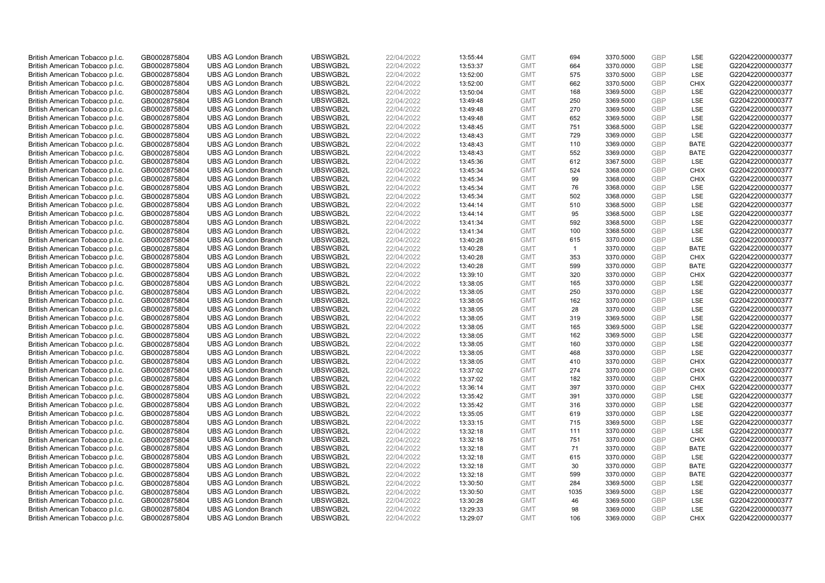| British American Tobacco p.l.c. | GB0002875804 | <b>UBS AG London Branch</b> | UBSWGB2L | 22/04/2022 | 13:55:44 | <b>GMT</b> | 694          | 3370.5000 | <b>GBP</b> | LSE         | G220422000000377 |
|---------------------------------|--------------|-----------------------------|----------|------------|----------|------------|--------------|-----------|------------|-------------|------------------|
| British American Tobacco p.l.c. | GB0002875804 | <b>UBS AG London Branch</b> | UBSWGB2L | 22/04/2022 | 13:53:37 | <b>GMT</b> | 664          | 3370.0000 | <b>GBP</b> | LSE         | G220422000000377 |
| British American Tobacco p.l.c. | GB0002875804 | <b>UBS AG London Branch</b> | UBSWGB2L | 22/04/2022 | 13:52:00 | <b>GMT</b> | 575          | 3370.5000 | <b>GBP</b> | LSE         | G220422000000377 |
| British American Tobacco p.l.c. | GB0002875804 | <b>UBS AG London Branch</b> | UBSWGB2L | 22/04/2022 | 13:52:00 | <b>GMT</b> | 662          | 3370.5000 | <b>GBP</b> | <b>CHIX</b> | G220422000000377 |
| British American Tobacco p.l.c. | GB0002875804 | <b>UBS AG London Branch</b> | UBSWGB2L | 22/04/2022 | 13:50:04 | <b>GMT</b> | 168          | 3369.5000 | <b>GBP</b> | <b>LSE</b>  | G220422000000377 |
| British American Tobacco p.l.c. | GB0002875804 | <b>UBS AG London Branch</b> | UBSWGB2L | 22/04/2022 | 13:49:48 | <b>GMT</b> | 250          | 3369.5000 | GBP        | <b>LSE</b>  | G220422000000377 |
| British American Tobacco p.l.c. | GB0002875804 | <b>UBS AG London Branch</b> | UBSWGB2L | 22/04/2022 | 13:49:48 | <b>GMT</b> | 270          | 3369.5000 | <b>GBP</b> | LSE         | G220422000000377 |
| British American Tobacco p.l.c. | GB0002875804 | <b>UBS AG London Branch</b> | UBSWGB2L | 22/04/2022 | 13:49:48 | <b>GMT</b> | 652          | 3369.5000 | GBP        | LSE         | G220422000000377 |
| British American Tobacco p.l.c. | GB0002875804 | <b>UBS AG London Branch</b> | UBSWGB2L | 22/04/2022 | 13:48:45 | <b>GMT</b> | 751          | 3368.5000 | <b>GBP</b> | LSE         | G220422000000377 |
| British American Tobacco p.l.c. | GB0002875804 | <b>UBS AG London Branch</b> | UBSWGB2L | 22/04/2022 | 13:48:43 | <b>GMT</b> | 729          | 3369.0000 | <b>GBP</b> | <b>LSE</b>  | G220422000000377 |
| British American Tobacco p.l.c. | GB0002875804 | <b>UBS AG London Branch</b> | UBSWGB2L | 22/04/2022 | 13:48:43 | <b>GMT</b> | 110          | 3369.0000 | <b>GBP</b> | <b>BATE</b> | G220422000000377 |
| British American Tobacco p.l.c. | GB0002875804 | <b>UBS AG London Branch</b> | UBSWGB2L | 22/04/2022 | 13:48:43 | <b>GMT</b> | 552          | 3369.0000 | <b>GBP</b> | <b>BATE</b> | G220422000000377 |
| British American Tobacco p.l.c. | GB0002875804 | <b>UBS AG London Branch</b> | UBSWGB2L | 22/04/2022 | 13:45:36 | <b>GMT</b> | 612          | 3367.5000 | GBP        | LSE         | G220422000000377 |
| British American Tobacco p.l.c. | GB0002875804 | <b>UBS AG London Branch</b> | UBSWGB2L | 22/04/2022 | 13:45:34 | <b>GMT</b> | 524          | 3368.0000 | <b>GBP</b> | <b>CHIX</b> | G220422000000377 |
| British American Tobacco p.l.c. | GB0002875804 | <b>UBS AG London Branch</b> | UBSWGB2L | 22/04/2022 | 13:45:34 | <b>GMT</b> | 99           | 3368.0000 | <b>GBP</b> | <b>CHIX</b> | G220422000000377 |
| British American Tobacco p.l.c. | GB0002875804 | <b>UBS AG London Branch</b> | UBSWGB2L | 22/04/2022 | 13:45:34 | <b>GMT</b> | 76           | 3368.0000 | <b>GBP</b> | LSE         | G220422000000377 |
| British American Tobacco p.l.c. | GB0002875804 | <b>UBS AG London Branch</b> | UBSWGB2L | 22/04/2022 | 13:45:34 | <b>GMT</b> | 502          | 3368.0000 | GBP        | LSE         | G220422000000377 |
| British American Tobacco p.l.c. | GB0002875804 | <b>UBS AG London Branch</b> | UBSWGB2L | 22/04/2022 | 13:44:14 | <b>GMT</b> | 510          | 3368.5000 | <b>GBP</b> | LSE         | G220422000000377 |
| British American Tobacco p.l.c. | GB0002875804 | <b>UBS AG London Branch</b> | UBSWGB2L | 22/04/2022 | 13:44:14 | <b>GMT</b> | 95           | 3368.5000 | GBP        | <b>LSE</b>  | G220422000000377 |
| British American Tobacco p.l.c. | GB0002875804 | <b>UBS AG London Branch</b> | UBSWGB2L | 22/04/2022 | 13:41:34 | <b>GMT</b> | 592          | 3368.5000 | <b>GBP</b> | LSE         | G220422000000377 |
| British American Tobacco p.l.c. | GB0002875804 | <b>UBS AG London Branch</b> | UBSWGB2L | 22/04/2022 | 13:41:34 | <b>GMT</b> | 100          | 3368.5000 | GBP        | LSE         | G220422000000377 |
| British American Tobacco p.l.c. | GB0002875804 | <b>UBS AG London Branch</b> | UBSWGB2L | 22/04/2022 | 13:40:28 | <b>GMT</b> | 615          | 3370.0000 | <b>GBP</b> | <b>LSE</b>  | G220422000000377 |
| British American Tobacco p.l.c. | GB0002875804 | <b>UBS AG London Branch</b> | UBSWGB2L | 22/04/2022 | 13:40:28 | <b>GMT</b> | $\mathbf{1}$ | 3370.0000 | <b>GBP</b> | <b>BATE</b> | G220422000000377 |
| British American Tobacco p.l.c. | GB0002875804 | <b>UBS AG London Branch</b> | UBSWGB2L | 22/04/2022 | 13:40:28 | <b>GMT</b> | 353          | 3370.0000 | <b>GBP</b> | <b>CHIX</b> | G220422000000377 |
| British American Tobacco p.l.c. | GB0002875804 | <b>UBS AG London Branch</b> | UBSWGB2L | 22/04/2022 | 13:40:28 | <b>GMT</b> | 599          | 3370.0000 | GBP        | <b>BATE</b> | G220422000000377 |
| British American Tobacco p.l.c. | GB0002875804 | <b>UBS AG London Branch</b> | UBSWGB2L | 22/04/2022 | 13:39:10 | <b>GMT</b> | 320          | 3370.0000 | GBP        | <b>CHIX</b> | G220422000000377 |
| British American Tobacco p.l.c. | GB0002875804 | <b>UBS AG London Branch</b> | UBSWGB2L | 22/04/2022 | 13:38:05 | <b>GMT</b> | 165          | 3370.0000 | <b>GBP</b> | LSE         | G220422000000377 |
| British American Tobacco p.l.c. | GB0002875804 | <b>UBS AG London Branch</b> | UBSWGB2L | 22/04/2022 | 13:38:05 | <b>GMT</b> | 250          | 3370.0000 | GBP        | LSE         | G220422000000377 |
| British American Tobacco p.l.c. | GB0002875804 | <b>UBS AG London Branch</b> | UBSWGB2L | 22/04/2022 | 13:38:05 | <b>GMT</b> | 162          | 3370.0000 | GBP        | LSE         | G220422000000377 |
| British American Tobacco p.l.c. | GB0002875804 | <b>UBS AG London Branch</b> | UBSWGB2L | 22/04/2022 | 13:38:05 | <b>GMT</b> | 28           | 3370.0000 | <b>GBP</b> | LSE         | G220422000000377 |
| British American Tobacco p.l.c. | GB0002875804 | <b>UBS AG London Branch</b> | UBSWGB2L | 22/04/2022 | 13:38:05 | <b>GMT</b> | 319          | 3369.5000 | GBP        | LSE         | G220422000000377 |
| British American Tobacco p.l.c. | GB0002875804 | <b>UBS AG London Branch</b> | UBSWGB2L | 22/04/2022 | 13:38:05 | <b>GMT</b> | 165          | 3369.5000 | GBP        | LSE         | G220422000000377 |
| British American Tobacco p.l.c. | GB0002875804 | <b>UBS AG London Branch</b> | UBSWGB2L | 22/04/2022 | 13:38:05 | <b>GMT</b> | 162          | 3369.5000 | GBP        | LSE         | G220422000000377 |
| British American Tobacco p.l.c. | GB0002875804 | <b>UBS AG London Branch</b> | UBSWGB2L | 22/04/2022 | 13:38:05 | <b>GMT</b> | 160          | 3370.0000 | <b>GBP</b> | LSE         | G220422000000377 |
| British American Tobacco p.l.c. | GB0002875804 | <b>UBS AG London Branch</b> | UBSWGB2L | 22/04/2022 | 13:38:05 | <b>GMT</b> | 468          | 3370.0000 | GBP        | <b>LSE</b>  | G220422000000377 |
| British American Tobacco p.l.c. | GB0002875804 | <b>UBS AG London Branch</b> | UBSWGB2L | 22/04/2022 | 13:38:05 | <b>GMT</b> | 410          | 3370.0000 | <b>GBP</b> | <b>CHIX</b> | G220422000000377 |
| British American Tobacco p.l.c. | GB0002875804 | <b>UBS AG London Branch</b> | UBSWGB2L | 22/04/2022 | 13:37:02 | <b>GMT</b> | 274          | 3370.0000 | <b>GBP</b> | <b>CHIX</b> | G220422000000377 |
| British American Tobacco p.l.c. | GB0002875804 | <b>UBS AG London Branch</b> | UBSWGB2L | 22/04/2022 | 13:37:02 | <b>GMT</b> | 182          | 3370.0000 | <b>GBP</b> | <b>CHIX</b> | G220422000000377 |
| British American Tobacco p.l.c. | GB0002875804 | <b>UBS AG London Branch</b> | UBSWGB2L | 22/04/2022 | 13:36:14 | <b>GMT</b> | 397          | 3370.0000 | GBP        | <b>CHIX</b> | G220422000000377 |
| British American Tobacco p.l.c. | GB0002875804 | <b>UBS AG London Branch</b> | UBSWGB2L | 22/04/2022 | 13:35:42 | <b>GMT</b> | 391          | 3370.0000 | <b>GBP</b> | <b>LSE</b>  | G220422000000377 |
| British American Tobacco p.l.c. | GB0002875804 | <b>UBS AG London Branch</b> | UBSWGB2L | 22/04/2022 | 13:35:42 | <b>GMT</b> | 316          | 3370.0000 | GBP        | <b>LSE</b>  | G220422000000377 |
| British American Tobacco p.l.c. | GB0002875804 | <b>UBS AG London Branch</b> | UBSWGB2L | 22/04/2022 | 13:35:05 | <b>GMT</b> | 619          | 3370.0000 | <b>GBP</b> | LSE         | G220422000000377 |
| British American Tobacco p.l.c. | GB0002875804 | <b>UBS AG London Branch</b> | UBSWGB2L | 22/04/2022 | 13:33:15 | <b>GMT</b> | 715          | 3369.5000 | GBP        | LSE         | G220422000000377 |
| British American Tobacco p.l.c. | GB0002875804 | <b>UBS AG London Branch</b> | UBSWGB2L | 22/04/2022 | 13:32:18 | <b>GMT</b> | 111          | 3370.0000 | <b>GBP</b> | LSE         | G220422000000377 |
| British American Tobacco p.l.c. | GB0002875804 | <b>UBS AG London Branch</b> | UBSWGB2L | 22/04/2022 | 13:32:18 | <b>GMT</b> | 751          | 3370.0000 | <b>GBP</b> | <b>CHIX</b> | G220422000000377 |
| British American Tobacco p.l.c. | GB0002875804 | <b>UBS AG London Branch</b> | UBSWGB2L | 22/04/2022 | 13:32:18 | <b>GMT</b> | 71           | 3370.0000 | <b>GBP</b> | <b>BATE</b> | G220422000000377 |
| British American Tobacco p.l.c. | GB0002875804 | <b>UBS AG London Branch</b> | UBSWGB2L | 22/04/2022 | 13:32:18 | <b>GMT</b> | 615          | 3370.0000 | <b>GBP</b> | LSE         | G220422000000377 |
| British American Tobacco p.l.c. | GB0002875804 | <b>UBS AG London Branch</b> | UBSWGB2L | 22/04/2022 | 13:32:18 | <b>GMT</b> | 30           | 3370.0000 | <b>GBP</b> | <b>BATE</b> | G220422000000377 |
| British American Tobacco p.l.c. | GB0002875804 | <b>UBS AG London Branch</b> | UBSWGB2L | 22/04/2022 | 13:32:18 | <b>GMT</b> | 599          | 3370.0000 | <b>GBP</b> | <b>BATE</b> | G220422000000377 |
| British American Tobacco p.l.c. | GB0002875804 | <b>UBS AG London Branch</b> | UBSWGB2L | 22/04/2022 | 13:30:50 | <b>GMT</b> | 284          | 3369.5000 | <b>GBP</b> | <b>LSE</b>  | G220422000000377 |
| British American Tobacco p.l.c. | GB0002875804 | <b>UBS AG London Branch</b> | UBSWGB2L | 22/04/2022 | 13:30:50 | <b>GMT</b> | 1035         | 3369.5000 | <b>GBP</b> | LSE         | G220422000000377 |
| British American Tobacco p.l.c. | GB0002875804 | <b>UBS AG London Branch</b> | UBSWGB2L | 22/04/2022 | 13:30:28 | <b>GMT</b> | 46           | 3369.5000 | <b>GBP</b> | LSE         | G220422000000377 |
| British American Tobacco p.l.c. | GB0002875804 | <b>UBS AG London Branch</b> | UBSWGB2L | 22/04/2022 | 13:29:33 | <b>GMT</b> | 98           | 3369.0000 | <b>GBP</b> | LSE         | G220422000000377 |
| British American Tobacco p.l.c. | GB0002875804 | <b>UBS AG London Branch</b> | UBSWGB2L | 22/04/2022 | 13:29:07 | <b>GMT</b> | 106          | 3369.0000 | GBP        | CHIX        | G220422000000377 |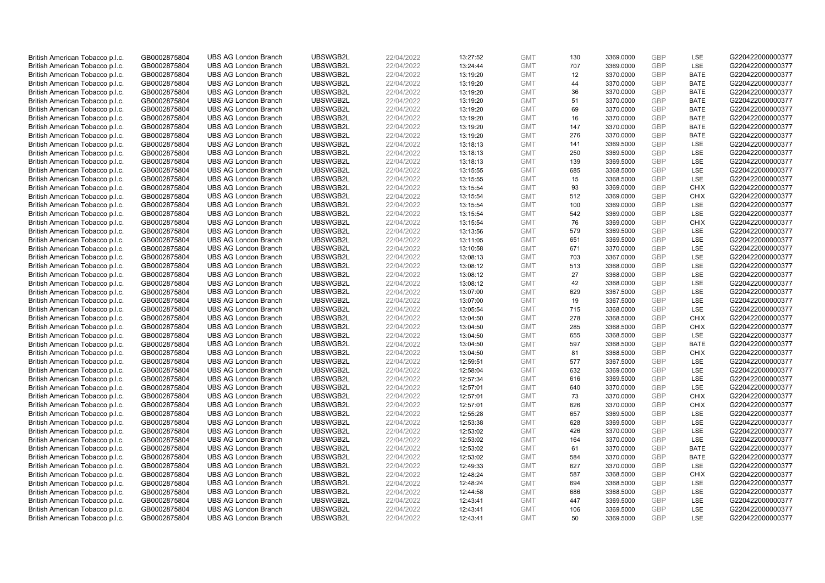| British American Tobacco p.l.c. | GB0002875804 | <b>UBS AG London Branch</b> | UBSWGB2L | 22/04/2022               | 13:27:52 | <b>GMT</b> | 130 | 3369.0000 | <b>GBP</b> | LSE         | G220422000000377 |
|---------------------------------|--------------|-----------------------------|----------|--------------------------|----------|------------|-----|-----------|------------|-------------|------------------|
|                                 |              |                             |          |                          |          |            |     |           | GBP        |             |                  |
| British American Tobacco p.l.c. | GB0002875804 | <b>UBS AG London Branch</b> | UBSWGB2L | 22/04/2022               | 13:24:44 | <b>GMT</b> | 707 | 3369.0000 |            | LSE         | G220422000000377 |
| British American Tobacco p.l.c. | GB0002875804 | <b>UBS AG London Branch</b> | UBSWGB2L | 22/04/2022               | 13:19:20 | <b>GMT</b> | 12  | 3370.0000 | <b>GBP</b> | <b>BATE</b> | G220422000000377 |
| British American Tobacco p.l.c. | GB0002875804 | <b>UBS AG London Branch</b> | UBSWGB2L | 22/04/2022               | 13:19:20 | <b>GMT</b> | 44  | 3370.0000 | <b>GBP</b> | <b>BATE</b> | G220422000000377 |
| British American Tobacco p.l.c. | GB0002875804 | <b>UBS AG London Branch</b> | UBSWGB2L | 22/04/2022               | 13:19:20 | <b>GMT</b> | 36  | 3370.0000 | <b>GBP</b> | <b>BATE</b> | G220422000000377 |
| British American Tobacco p.l.c. | GB0002875804 | <b>UBS AG London Branch</b> | UBSWGB2L | 22/04/2022               | 13:19:20 | <b>GMT</b> | 51  | 3370.0000 | <b>GBP</b> | <b>BATE</b> | G220422000000377 |
| British American Tobacco p.l.c. | GB0002875804 | <b>UBS AG London Branch</b> | UBSWGB2L | 22/04/2022               | 13:19:20 | <b>GMT</b> | 69  | 3370.0000 | <b>GBP</b> | <b>BATE</b> | G220422000000377 |
| British American Tobacco p.l.c. | GB0002875804 | <b>UBS AG London Branch</b> | UBSWGB2L | 22/04/2022               | 13:19:20 | <b>GMT</b> | 16  | 3370.0000 | <b>GBP</b> | <b>BATE</b> | G220422000000377 |
| British American Tobacco p.l.c. | GB0002875804 | <b>UBS AG London Branch</b> | UBSWGB2L | 22/04/2022               | 13:19:20 | <b>GMT</b> | 147 | 3370.0000 | <b>GBP</b> | <b>BATE</b> | G220422000000377 |
| British American Tobacco p.l.c. | GB0002875804 | <b>UBS AG London Branch</b> | UBSWGB2L | 22/04/2022               | 13:19:20 | <b>GMT</b> | 276 | 3370.0000 | <b>GBP</b> | <b>BATE</b> | G220422000000377 |
| British American Tobacco p.l.c. | GB0002875804 | <b>UBS AG London Branch</b> | UBSWGB2L | 22/04/2022               | 13:18:13 | <b>GMT</b> | 141 | 3369.5000 | <b>GBP</b> | <b>LSE</b>  | G220422000000377 |
| British American Tobacco p.l.c. | GB0002875804 | <b>UBS AG London Branch</b> | UBSWGB2L | 22/04/2022               | 13:18:13 | <b>GMT</b> | 250 | 3369.5000 | <b>GBP</b> | LSE         | G220422000000377 |
| British American Tobacco p.l.c. | GB0002875804 | <b>UBS AG London Branch</b> | UBSWGB2L | 22/04/2022               | 13:18:13 | <b>GMT</b> | 139 | 3369.5000 | <b>GBP</b> | LSE         | G220422000000377 |
| British American Tobacco p.l.c. | GB0002875804 | <b>UBS AG London Branch</b> | UBSWGB2L | 22/04/2022               | 13:15:55 | <b>GMT</b> | 685 | 3368.5000 | <b>GBP</b> | LSE         | G220422000000377 |
| British American Tobacco p.l.c. | GB0002875804 | <b>UBS AG London Branch</b> | UBSWGB2L | 22/04/2022               | 13:15:55 | <b>GMT</b> | 15  | 3368.5000 | GBP        | <b>LSE</b>  | G220422000000377 |
| British American Tobacco p.l.c. | GB0002875804 | <b>UBS AG London Branch</b> | UBSWGB2L | 22/04/2022               | 13:15:54 | <b>GMT</b> | 93  | 3369.0000 | <b>GBP</b> | <b>CHIX</b> | G220422000000377 |
| British American Tobacco p.l.c. | GB0002875804 | <b>UBS AG London Branch</b> | UBSWGB2L | 22/04/2022               | 13:15:54 | <b>GMT</b> | 512 |           | GBP        | <b>CHIX</b> | G220422000000377 |
|                                 |              |                             |          |                          |          |            | 100 | 3369.0000 | GBP        | <b>LSE</b>  |                  |
| British American Tobacco p.l.c. | GB0002875804 | <b>UBS AG London Branch</b> | UBSWGB2L | 22/04/2022               | 13:15:54 | <b>GMT</b> |     | 3369.0000 |            |             | G220422000000377 |
| British American Tobacco p.l.c. | GB0002875804 | <b>UBS AG London Branch</b> | UBSWGB2L | 22/04/2022               | 13:15:54 | <b>GMT</b> | 542 | 3369.0000 | <b>GBP</b> | <b>LSE</b>  | G220422000000377 |
| British American Tobacco p.l.c. | GB0002875804 | <b>UBS AG London Branch</b> | UBSWGB2L | 22/04/2022               | 13:15:54 | <b>GMT</b> | 76  | 3369.0000 | GBP        | <b>CHIX</b> | G220422000000377 |
| British American Tobacco p.l.c. | GB0002875804 | <b>UBS AG London Branch</b> | UBSWGB2L | 22/04/2022               | 13:13:56 | <b>GMT</b> | 579 | 3369.5000 | <b>GBP</b> | LSE         | G220422000000377 |
| British American Tobacco p.l.c. | GB0002875804 | <b>UBS AG London Branch</b> | UBSWGB2L | 22/04/2022               | 13:11:05 | <b>GMT</b> | 651 | 3369.5000 | GBP        | LSE         | G220422000000377 |
| British American Tobacco p.l.c. | GB0002875804 | <b>UBS AG London Branch</b> | UBSWGB2L | 22/04/2022               | 13:10:58 | <b>GMT</b> | 671 | 3370.0000 | <b>GBP</b> | LSE         | G220422000000377 |
| British American Tobacco p.l.c. | GB0002875804 | <b>UBS AG London Branch</b> | UBSWGB2L | 22/04/2022               | 13:08:13 | <b>GMT</b> | 703 | 3367.0000 | GBP        | <b>LSE</b>  | G220422000000377 |
| British American Tobacco p.l.c. | GB0002875804 | <b>UBS AG London Branch</b> | UBSWGB2L | 22/04/2022               | 13:08:12 | <b>GMT</b> | 513 | 3368.0000 | <b>GBP</b> | LSE         | G220422000000377 |
| British American Tobacco p.l.c. | GB0002875804 | <b>UBS AG London Branch</b> | UBSWGB2L | 22/04/2022               | 13:08:12 | <b>GMT</b> | 27  | 3368.0000 | GBP        | LSE         | G220422000000377 |
| British American Tobacco p.l.c. | GB0002875804 | <b>UBS AG London Branch</b> | UBSWGB2L | 22/04/2022               | 13:08:12 | <b>GMT</b> | 42  | 3368.0000 | <b>GBP</b> | LSE         | G220422000000377 |
| British American Tobacco p.l.c. | GB0002875804 | <b>UBS AG London Branch</b> | UBSWGB2L | 22/04/2022               | 13:07:00 | <b>GMT</b> | 629 | 3367.5000 | GBP        | LSE         | G220422000000377 |
| British American Tobacco p.l.c. | GB0002875804 | <b>UBS AG London Branch</b> | UBSWGB2L | 22/04/2022               | 13:07:00 | <b>GMT</b> | 19  | 3367.5000 | GBP        | LSE         | G220422000000377 |
| British American Tobacco p.l.c. | GB0002875804 | <b>UBS AG London Branch</b> | UBSWGB2L | 22/04/2022               | 13:05:54 | <b>GMT</b> | 715 | 3368.0000 | GBP        | LSE         | G220422000000377 |
| British American Tobacco p.l.c. | GB0002875804 | <b>UBS AG London Branch</b> | UBSWGB2L | 22/04/2022               | 13:04:50 | <b>GMT</b> | 278 | 3368.5000 | <b>GBP</b> | <b>CHIX</b> | G220422000000377 |
| British American Tobacco p.l.c. | GB0002875804 | <b>UBS AG London Branch</b> | UBSWGB2L | 22/04/2022               | 13:04:50 | <b>GMT</b> | 285 | 3368.5000 | GBP        | CHIX        | G220422000000377 |
| British American Tobacco p.l.c. | GB0002875804 | <b>UBS AG London Branch</b> | UBSWGB2L | 22/04/2022               | 13:04:50 | <b>GMT</b> | 655 | 3368.5000 | <b>GBP</b> | LSE         | G220422000000377 |
| British American Tobacco p.l.c. | GB0002875804 | <b>UBS AG London Branch</b> | UBSWGB2L | 22/04/2022               | 13:04:50 | <b>GMT</b> | 597 | 3368.5000 | <b>GBP</b> | <b>BATE</b> | G220422000000377 |
| British American Tobacco p.l.c. | GB0002875804 | <b>UBS AG London Branch</b> | UBSWGB2L | 22/04/2022               | 13:04:50 | <b>GMT</b> | 81  | 3368.5000 | GBP        | <b>CHIX</b> | G220422000000377 |
| British American Tobacco p.l.c. | GB0002875804 | <b>UBS AG London Branch</b> | UBSWGB2L | 22/04/2022               | 12:59:51 | <b>GMT</b> | 577 | 3367.5000 | <b>GBP</b> | LSE         | G220422000000377 |
| British American Tobacco p.l.c. | GB0002875804 | <b>UBS AG London Branch</b> | UBSWGB2L | 22/04/2022               | 12:58:04 | <b>GMT</b> | 632 | 3369.0000 | GBP        | <b>LSE</b>  | G220422000000377 |
| British American Tobacco p.l.c. | GB0002875804 | <b>UBS AG London Branch</b> | UBSWGB2L | 22/04/2022               | 12:57:34 | <b>GMT</b> | 616 | 3369.5000 | <b>GBP</b> | LSE         | G220422000000377 |
| British American Tobacco p.l.c. | GB0002875804 | <b>UBS AG London Branch</b> | UBSWGB2L | 22/04/2022               | 12:57:01 | <b>GMT</b> | 640 | 3370.0000 | GBP        | LSE         | G220422000000377 |
| British American Tobacco p.l.c. | GB0002875804 | <b>UBS AG London Branch</b> | UBSWGB2L | 22/04/2022               | 12:57:01 | <b>GMT</b> | 73  | 3370.0000 | <b>GBP</b> | <b>CHIX</b> | G220422000000377 |
| British American Tobacco p.l.c. | GB0002875804 | <b>UBS AG London Branch</b> | UBSWGB2L | 22/04/2022               | 12:57:01 | <b>GMT</b> | 626 | 3370.0000 | GBP        | CHIX        | G220422000000377 |
| British American Tobacco p.l.c. | GB0002875804 | <b>UBS AG London Branch</b> | UBSWGB2L |                          | 12:55:28 | <b>GMT</b> | 657 | 3369.5000 | GBP        | <b>LSE</b>  | G220422000000377 |
|                                 | GB0002875804 | <b>UBS AG London Branch</b> | UBSWGB2L | 22/04/2022<br>22/04/2022 | 12:53:38 | <b>GMT</b> | 628 |           | GBP        | LSE         | G220422000000377 |
| British American Tobacco p.l.c. |              |                             |          |                          |          |            |     | 3369.5000 | <b>GBP</b> | <b>LSE</b>  |                  |
| British American Tobacco p.l.c. | GB0002875804 | <b>UBS AG London Branch</b> | UBSWGB2L | 22/04/2022               | 12:53:02 | <b>GMT</b> | 426 | 3370.0000 |            |             | G220422000000377 |
| British American Tobacco p.l.c. | GB0002875804 | <b>UBS AG London Branch</b> | UBSWGB2L | 22/04/2022               | 12:53:02 | <b>GMT</b> | 164 | 3370.0000 | GBP        | LSE         | G220422000000377 |
| British American Tobacco p.l.c. | GB0002875804 | <b>UBS AG London Branch</b> | UBSWGB2L | 22/04/2022               | 12:53:02 | <b>GMT</b> | 61  | 3370.0000 | <b>GBP</b> | <b>BATE</b> | G220422000000377 |
| British American Tobacco p.l.c. | GB0002875804 | <b>UBS AG London Branch</b> | UBSWGB2L | 22/04/2022               | 12:53:02 | <b>GMT</b> | 584 | 3370.0000 | GBP        | <b>BATE</b> | G220422000000377 |
| British American Tobacco p.l.c. | GB0002875804 | <b>UBS AG London Branch</b> | UBSWGB2L | 22/04/2022               | 12:49:33 | <b>GMT</b> | 627 | 3370.0000 | GBP        | LSE         | G220422000000377 |
| British American Tobacco p.l.c. | GB0002875804 | <b>UBS AG London Branch</b> | UBSWGB2L | 22/04/2022               | 12:48:24 | <b>GMT</b> | 587 | 3368.5000 | <b>GBP</b> | <b>CHIX</b> | G220422000000377 |
| British American Tobacco p.l.c. | GB0002875804 | <b>UBS AG London Branch</b> | UBSWGB2L | 22/04/2022               | 12:48:24 | <b>GMT</b> | 694 | 3368.5000 | GBP        | <b>LSE</b>  | G220422000000377 |
| British American Tobacco p.l.c. | GB0002875804 | <b>UBS AG London Branch</b> | UBSWGB2L | 22/04/2022               | 12:44:58 | <b>GMT</b> | 686 | 3368.5000 | <b>GBP</b> | LSE         | G220422000000377 |
| British American Tobacco p.l.c. | GB0002875804 | <b>UBS AG London Branch</b> | UBSWGB2L | 22/04/2022               | 12:43:41 | <b>GMT</b> | 447 | 3369.5000 | GBP        | LSE         | G220422000000377 |
| British American Tobacco p.l.c. | GB0002875804 | <b>UBS AG London Branch</b> | UBSWGB2L | 22/04/2022               | 12:43:41 | <b>GMT</b> | 106 | 3369.5000 | <b>GBP</b> | LSE         | G220422000000377 |
| British American Tobacco p.l.c. | GB0002875804 | <b>UBS AG London Branch</b> | UBSWGB2L | 22/04/2022               | 12:43:41 | <b>GMT</b> | 50  | 3369.5000 | GBP        | <b>LSE</b>  | G220422000000377 |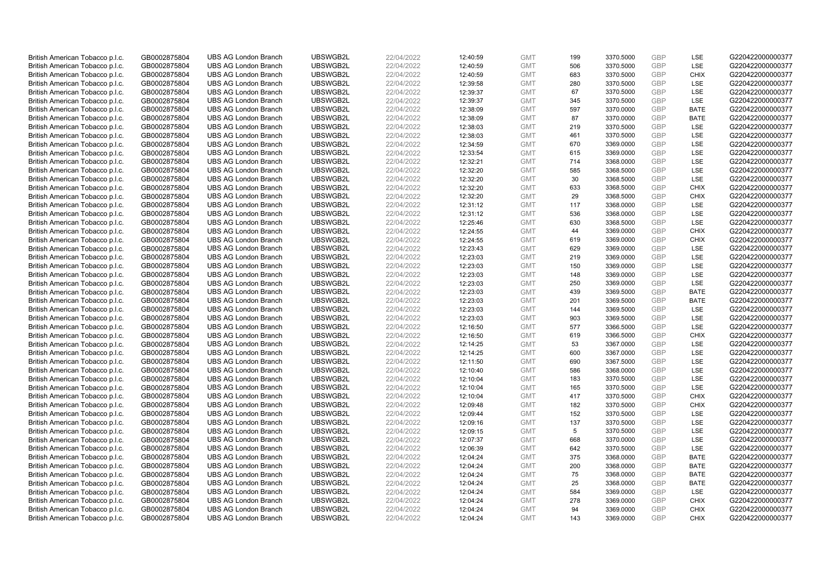| British American Tobacco p.l.c. | GB0002875804 | <b>UBS AG London Branch</b> | UBSWGB2L | 22/04/2022 | 12:40:59 | <b>GMT</b> | 199        | 3370.5000 | <b>GBP</b>        | LSE                | G220422000000377 |
|---------------------------------|--------------|-----------------------------|----------|------------|----------|------------|------------|-----------|-------------------|--------------------|------------------|
| British American Tobacco p.l.c. | GB0002875804 | <b>UBS AG London Branch</b> | UBSWGB2L | 22/04/2022 | 12:40:59 | <b>GMT</b> | 506        | 3370.5000 | GBP               | <b>LSE</b>         | G220422000000377 |
| British American Tobacco p.l.c. | GB0002875804 | <b>UBS AG London Branch</b> | UBSWGB2L | 22/04/2022 | 12:40:59 | <b>GMT</b> | 683        | 3370.5000 | GBP               | <b>CHIX</b>        | G220422000000377 |
| British American Tobacco p.l.c. | GB0002875804 | <b>UBS AG London Branch</b> | UBSWGB2L | 22/04/2022 | 12:39:58 | <b>GMT</b> | 280        | 3370.5000 | <b>GBP</b>        | LSE                | G220422000000377 |
| British American Tobacco p.l.c. | GB0002875804 | <b>UBS AG London Branch</b> | UBSWGB2L | 22/04/2022 | 12:39:37 | <b>GMT</b> | 67         | 3370.5000 | GBP               | LSE                | G220422000000377 |
| British American Tobacco p.l.c. | GB0002875804 | <b>UBS AG London Branch</b> | UBSWGB2L | 22/04/2022 | 12:39:37 | <b>GMT</b> | 345        | 3370.5000 | <b>GBP</b>        | <b>LSE</b>         | G220422000000377 |
| British American Tobacco p.l.c. | GB0002875804 | <b>UBS AG London Branch</b> | UBSWGB2L | 22/04/2022 | 12:38:09 | <b>GMT</b> | 597        | 3370.0000 | GBP               | <b>BATE</b>        | G220422000000377 |
| British American Tobacco p.l.c. | GB0002875804 | <b>UBS AG London Branch</b> | UBSWGB2L | 22/04/2022 | 12:38:09 | <b>GMT</b> | 87         | 3370.0000 | <b>GBP</b>        | <b>BATE</b>        | G220422000000377 |
| British American Tobacco p.l.c. | GB0002875804 | <b>UBS AG London Branch</b> | UBSWGB2L | 22/04/2022 | 12:38:03 | <b>GMT</b> | 219        | 3370.5000 | GBP               | LSE                | G220422000000377 |
| British American Tobacco p.l.c. | GB0002875804 | <b>UBS AG London Branch</b> | UBSWGB2L | 22/04/2022 | 12:38:03 | <b>GMT</b> | 461        | 3370.5000 | <b>GBP</b>        | LSE                | G220422000000377 |
| British American Tobacco p.l.c. | GB0002875804 | <b>UBS AG London Branch</b> | UBSWGB2L | 22/04/2022 | 12:34:59 | <b>GMT</b> | 670        | 3369.0000 | GBP               | <b>LSE</b>         | G220422000000377 |
| British American Tobacco p.l.c. | GB0002875804 | <b>UBS AG London Branch</b> | UBSWGB2L | 22/04/2022 | 12:33:54 | <b>GMT</b> | 615        | 3369.0000 | <b>GBP</b>        | LSE                | G220422000000377 |
| British American Tobacco p.l.c. | GB0002875804 | <b>UBS AG London Branch</b> | UBSWGB2L | 22/04/2022 | 12:32:21 | <b>GMT</b> | 714        | 3368.0000 | GBP               | LSE                | G220422000000377 |
| British American Tobacco p.l.c. | GB0002875804 | <b>UBS AG London Branch</b> | UBSWGB2L | 22/04/2022 | 12:32:20 | <b>GMT</b> | 585        | 3368.5000 | <b>GBP</b>        | LSE                | G220422000000377 |
| British American Tobacco p.l.c. | GB0002875804 | <b>UBS AG London Branch</b> | UBSWGB2L | 22/04/2022 | 12:32:20 | <b>GMT</b> | 30         | 3368.5000 | GBP               | <b>LSE</b>         | G220422000000377 |
| British American Tobacco p.l.c. | GB0002875804 | <b>UBS AG London Branch</b> | UBSWGB2L | 22/04/2022 | 12:32:20 | <b>GMT</b> | 633        | 3368.5000 | GBP               | <b>CHIX</b>        | G220422000000377 |
| British American Tobacco p.l.c. | GB0002875804 | <b>UBS AG London Branch</b> | UBSWGB2L | 22/04/2022 | 12:32:20 | <b>GMT</b> | 29         | 3368.5000 | GBP               | <b>CHIX</b>        | G220422000000377 |
| British American Tobacco p.l.c. | GB0002875804 | <b>UBS AG London Branch</b> | UBSWGB2L | 22/04/2022 | 12:31:12 | <b>GMT</b> | 117        | 3368.0000 | <b>GBP</b>        | <b>LSE</b>         | G220422000000377 |
| British American Tobacco p.l.c. | GB0002875804 | <b>UBS AG London Branch</b> | UBSWGB2L | 22/04/2022 | 12:31:12 | <b>GMT</b> | 536        | 3368.0000 | <b>GBP</b>        | <b>LSE</b>         | G220422000000377 |
| British American Tobacco p.l.c. | GB0002875804 | <b>UBS AG London Branch</b> | UBSWGB2L | 22/04/2022 | 12:25:46 | <b>GMT</b> | 630        | 3368.5000 | <b>GBP</b>        | LSE                | G220422000000377 |
| British American Tobacco p.l.c. | GB0002875804 | <b>UBS AG London Branch</b> | UBSWGB2L | 22/04/2022 | 12:24:55 | <b>GMT</b> | 44         | 3369.0000 | <b>GBP</b>        | <b>CHIX</b>        | G220422000000377 |
| British American Tobacco p.l.c. | GB0002875804 | <b>UBS AG London Branch</b> | UBSWGB2L | 22/04/2022 | 12:24:55 | <b>GMT</b> | 619        | 3369.0000 | GBP               | <b>CHIX</b>        | G220422000000377 |
| British American Tobacco p.l.c. | GB0002875804 | <b>UBS AG London Branch</b> | UBSWGB2L | 22/04/2022 | 12:23:43 | <b>GMT</b> | 629        | 3369.0000 | <b>GBP</b>        | LSE                | G220422000000377 |
| British American Tobacco p.l.c. | GB0002875804 | <b>UBS AG London Branch</b> | UBSWGB2L | 22/04/2022 | 12:23:03 | <b>GMT</b> | 219        | 3369.0000 | <b>GBP</b>        | <b>LSE</b>         | G220422000000377 |
| British American Tobacco p.l.c. | GB0002875804 | <b>UBS AG London Branch</b> | UBSWGB2L | 22/04/2022 | 12:23:03 | <b>GMT</b> | 150        | 3369.0000 | <b>GBP</b>        | LSE                | G220422000000377 |
| British American Tobacco p.l.c. | GB0002875804 | <b>UBS AG London Branch</b> | UBSWGB2L | 22/04/2022 | 12:23:03 | <b>GMT</b> | 148        | 3369.0000 | GBP               | LSE                | G220422000000377 |
| British American Tobacco p.l.c. | GB0002875804 | <b>UBS AG London Branch</b> | UBSWGB2L | 22/04/2022 | 12:23:03 | <b>GMT</b> | 250        | 3369.0000 | <b>GBP</b>        | LSE                | G220422000000377 |
| British American Tobacco p.l.c. | GB0002875804 | <b>UBS AG London Branch</b> | UBSWGB2L | 22/04/2022 | 12:23:03 | <b>GMT</b> | 439        | 3369.5000 | GBP               | <b>BATE</b>        | G220422000000377 |
| British American Tobacco p.l.c. | GB0002875804 | <b>UBS AG London Branch</b> | UBSWGB2L | 22/04/2022 | 12:23:03 | <b>GMT</b> | 201        | 3369.5000 | <b>GBP</b>        | <b>BATE</b>        | G220422000000377 |
| British American Tobacco p.l.c. | GB0002875804 | <b>UBS AG London Branch</b> | UBSWGB2L | 22/04/2022 | 12:23:03 | <b>GMT</b> | 144        | 3369.5000 | GBP               | LSE                | G220422000000377 |
| British American Tobacco p.l.c. | GB0002875804 | <b>UBS AG London Branch</b> | UBSWGB2L | 22/04/2022 | 12:23:03 | <b>GMT</b> | 903        | 3369.5000 | <b>GBP</b>        | <b>LSE</b>         | G220422000000377 |
| British American Tobacco p.l.c. | GB0002875804 | <b>UBS AG London Branch</b> | UBSWGB2L | 22/04/2022 | 12:16:50 | <b>GMT</b> | 577        | 3366.5000 | <b>GBP</b>        | <b>LSE</b>         | G220422000000377 |
| British American Tobacco p.l.c. | GB0002875804 | <b>UBS AG London Branch</b> | UBSWGB2L | 22/04/2022 | 12:16:50 | <b>GMT</b> | 619        | 3366.5000 | <b>GBP</b>        | <b>CHIX</b>        | G220422000000377 |
| British American Tobacco p.l.c. | GB0002875804 | <b>UBS AG London Branch</b> | UBSWGB2L | 22/04/2022 | 12:14:25 | <b>GMT</b> | 53         | 3367.0000 | <b>GBP</b>        | LSE                | G220422000000377 |
| British American Tobacco p.l.c. | GB0002875804 | <b>UBS AG London Branch</b> | UBSWGB2L | 22/04/2022 | 12:14:25 | <b>GMT</b> | 600        | 3367.0000 | GBP               | LSE                | G220422000000377 |
| British American Tobacco p.l.c. | GB0002875804 | <b>UBS AG London Branch</b> | UBSWGB2L | 22/04/2022 | 12:11:50 | <b>GMT</b> | 690        | 3367.5000 | <b>GBP</b>        | LSE                | G220422000000377 |
| British American Tobacco p.l.c. | GB0002875804 | <b>UBS AG London Branch</b> | UBSWGB2L | 22/04/2022 | 12:10:40 | <b>GMT</b> | 586        | 3368.0000 | <b>GBP</b>        | <b>LSE</b>         | G220422000000377 |
| British American Tobacco p.l.c. | GB0002875804 | <b>UBS AG London Branch</b> | UBSWGB2L | 22/04/2022 | 12:10:04 | <b>GMT</b> | 183        | 3370.5000 | <b>GBP</b>        | LSE                | G220422000000377 |
| British American Tobacco p.l.c. | GB0002875804 | <b>UBS AG London Branch</b> | UBSWGB2L | 22/04/2022 | 12:10:04 | <b>GMT</b> | 165        | 3370.5000 | GBP               | LSE                | G220422000000377 |
| British American Tobacco p.l.c. | GB0002875804 | <b>UBS AG London Branch</b> | UBSWGB2L | 22/04/2022 | 12:10:04 | <b>GMT</b> | 417        | 3370.5000 | <b>GBP</b>        | <b>CHIX</b>        | G220422000000377 |
| British American Tobacco p.l.c. | GB0002875804 | <b>UBS AG London Branch</b> | UBSWGB2L | 22/04/2022 | 12:09:48 | <b>GMT</b> | 182        | 3370.5000 | GBP               | CHIX               | G220422000000377 |
| British American Tobacco p.l.c. | GB0002875804 | <b>UBS AG London Branch</b> | UBSWGB2L | 22/04/2022 | 12:09:44 | <b>GMT</b> | 152        | 3370.5000 | GBP               | <b>LSE</b>         | G220422000000377 |
| British American Tobacco p.l.c. | GB0002875804 | <b>UBS AG London Branch</b> | UBSWGB2L | 22/04/2022 | 12:09:16 | <b>GMT</b> | 137        | 3370.5000 | GBP               | LSE                | G220422000000377 |
| British American Tobacco p.l.c. |              | <b>UBS AG London Branch</b> | UBSWGB2L | 22/04/2022 |          | <b>GMT</b> | 5          | 3370.5000 | <b>GBP</b>        | <b>LSE</b>         | G220422000000377 |
|                                 | GB0002875804 |                             | UBSWGB2L |            | 12:09:15 |            |            |           | GBP               | LSE                |                  |
| British American Tobacco p.l.c. | GB0002875804 | <b>UBS AG London Branch</b> |          | 22/04/2022 | 12:07:37 | <b>GMT</b> | 668        | 3370.0000 |                   |                    | G220422000000377 |
| British American Tobacco p.l.c. | GB0002875804 | <b>UBS AG London Branch</b> | UBSWGB2L | 22/04/2022 | 12:06:39 | <b>GMT</b> | 642<br>375 | 3370.5000 | <b>GBP</b><br>GBP | LSE<br><b>BATE</b> | G220422000000377 |
| British American Tobacco p.l.c. | GB0002875804 | <b>UBS AG London Branch</b> | UBSWGB2L | 22/04/2022 | 12:04:24 | <b>GMT</b> |            | 3368.0000 |                   |                    | G220422000000377 |
| British American Tobacco p.l.c. | GB0002875804 | <b>UBS AG London Branch</b> | UBSWGB2L | 22/04/2022 | 12:04:24 | <b>GMT</b> | 200        | 3368.0000 | GBP               | <b>BATE</b>        | G220422000000377 |
| British American Tobacco p.l.c. | GB0002875804 | <b>UBS AG London Branch</b> | UBSWGB2L | 22/04/2022 | 12:04:24 | <b>GMT</b> | 75         | 3368.0000 | GBP               | <b>BATE</b>        | G220422000000377 |
| British American Tobacco p.l.c. | GB0002875804 | <b>UBS AG London Branch</b> | UBSWGB2L | 22/04/2022 | 12:04:24 | <b>GMT</b> | 25         | 3368.0000 | GBP               | <b>BATE</b>        | G220422000000377 |
| British American Tobacco p.l.c. | GB0002875804 | <b>UBS AG London Branch</b> | UBSWGB2L | 22/04/2022 | 12:04:24 | <b>GMT</b> | 584        | 3369.0000 | <b>GBP</b>        | LSE                | G220422000000377 |
| British American Tobacco p.l.c. | GB0002875804 | <b>UBS AG London Branch</b> | UBSWGB2L | 22/04/2022 | 12:04:24 | <b>GMT</b> | 278        | 3369.0000 | GBP               | <b>CHIX</b>        | G220422000000377 |
| British American Tobacco p.l.c. | GB0002875804 | <b>UBS AG London Branch</b> | UBSWGB2L | 22/04/2022 | 12:04:24 | <b>GMT</b> | 94         | 3369.0000 | <b>GBP</b>        | <b>CHIX</b>        | G220422000000377 |
| British American Tobacco p.l.c. | GB0002875804 | <b>UBS AG London Branch</b> | UBSWGB2L | 22/04/2022 | 12:04:24 | <b>GMT</b> | 143        | 3369.0000 | GBP               | CHIX               | G220422000000377 |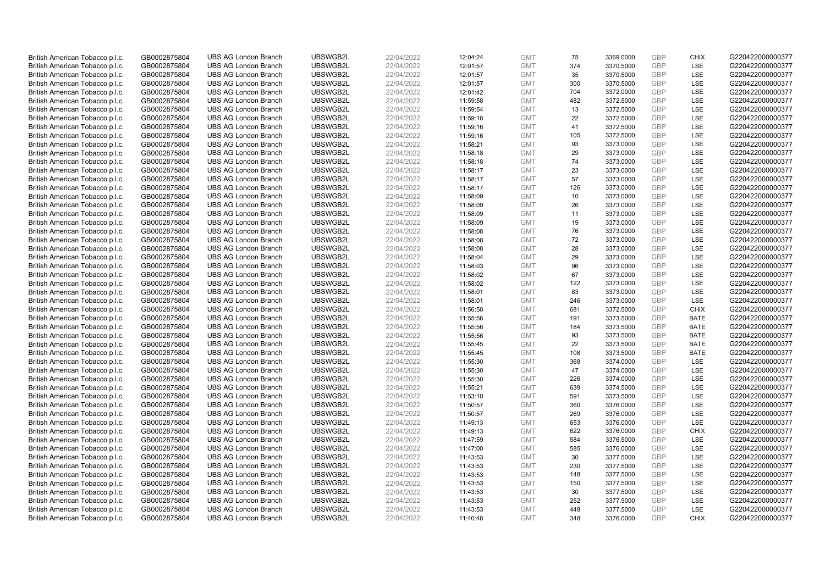| British American Tobacco p.l.c.                                    | GB0002875804                 | <b>UBS AG London Branch</b> | UBSWGB2L | 22/04/2022 | 12:04:24 | <b>GMT</b> | 75  | 3369.0000 | <b>GBP</b> | <b>CHIX</b> | G220422000000377 |
|--------------------------------------------------------------------|------------------------------|-----------------------------|----------|------------|----------|------------|-----|-----------|------------|-------------|------------------|
|                                                                    |                              |                             |          |            |          |            | 374 |           | GBP        | <b>LSE</b>  |                  |
| British American Tobacco p.l.c.                                    | GB0002875804                 | <b>UBS AG London Branch</b> | UBSWGB2L | 22/04/2022 | 12:01:57 | <b>GMT</b> |     | 3370.5000 |            |             | G220422000000377 |
| British American Tobacco p.l.c.                                    | GB0002875804                 | <b>UBS AG London Branch</b> | UBSWGB2L | 22/04/2022 | 12:01:57 | <b>GMT</b> | 35  | 3370.5000 | GBP        | LSE         | G220422000000377 |
| British American Tobacco p.l.c.                                    | GB0002875804                 | <b>UBS AG London Branch</b> | UBSWGB2L | 22/04/2022 | 12:01:57 | <b>GMT</b> | 300 | 3370.5000 | GBP        | LSE         | G220422000000377 |
| British American Tobacco p.l.c.                                    | GB0002875804                 | <b>UBS AG London Branch</b> | UBSWGB2L | 22/04/2022 | 12:01:42 | <b>GMT</b> | 704 | 3372.0000 | GBP        | LSE         | G220422000000377 |
| British American Tobacco p.l.c.                                    | GB0002875804                 | <b>UBS AG London Branch</b> | UBSWGB2L | 22/04/2022 | 11:59:58 | <b>GMT</b> | 482 | 3372.5000 | <b>GBP</b> | <b>LSE</b>  | G220422000000377 |
| British American Tobacco p.l.c.                                    | GB0002875804                 | <b>UBS AG London Branch</b> | UBSWGB2L | 22/04/2022 | 11:59:54 | <b>GMT</b> | 13  | 3372.5000 | GBP        | LSE         | G220422000000377 |
| British American Tobacco p.l.c.                                    | GB0002875804                 | <b>UBS AG London Branch</b> | UBSWGB2L | 22/04/2022 | 11:59:18 | <b>GMT</b> | 22  | 3372.5000 | <b>GBP</b> | LSE         | G220422000000377 |
| British American Tobacco p.l.c.                                    | GB0002875804                 | <b>UBS AG London Branch</b> | UBSWGB2L | 22/04/2022 | 11:59:16 | <b>GMT</b> | 41  | 3372.5000 | GBP        | LSE         | G220422000000377 |
| British American Tobacco p.l.c.                                    | GB0002875804                 | <b>UBS AG London Branch</b> | UBSWGB2L | 22/04/2022 | 11:59:16 | <b>GMT</b> | 105 | 3372.5000 | <b>GBP</b> | LSE         | G220422000000377 |
| British American Tobacco p.l.c.                                    | GB0002875804                 | <b>UBS AG London Branch</b> | UBSWGB2L | 22/04/2022 | 11:58:21 | <b>GMT</b> | 93  | 3373.0000 | GBP        | <b>LSE</b>  | G220422000000377 |
| British American Tobacco p.l.c.                                    | GB0002875804                 | <b>UBS AG London Branch</b> | UBSWGB2L | 22/04/2022 | 11:58:18 | <b>GMT</b> | 29  | 3373.0000 | <b>GBP</b> | LSE         | G220422000000377 |
| British American Tobacco p.l.c.                                    | GB0002875804                 | <b>UBS AG London Branch</b> | UBSWGB2L | 22/04/2022 | 11:58:18 | <b>GMT</b> | 74  | 3373.0000 | GBP        | LSE         | G220422000000377 |
| British American Tobacco p.l.c.                                    | GB0002875804                 | <b>UBS AG London Branch</b> | UBSWGB2L | 22/04/2022 | 11:58:17 | <b>GMT</b> | 23  | 3373.0000 | <b>GBP</b> | LSE         | G220422000000377 |
| British American Tobacco p.l.c.                                    | GB0002875804                 | <b>UBS AG London Branch</b> | UBSWGB2L | 22/04/2022 | 11:58:17 | <b>GMT</b> | 57  | 3373.0000 | GBP        | <b>LSE</b>  | G220422000000377 |
| British American Tobacco p.l.c.                                    | GB0002875804                 | <b>UBS AG London Branch</b> | UBSWGB2L | 22/04/2022 | 11:58:17 | <b>GMT</b> | 126 | 3373.0000 | GBP        | LSE         | G220422000000377 |
| British American Tobacco p.l.c.                                    | GB0002875804                 | <b>UBS AG London Branch</b> | UBSWGB2L | 22/04/2022 | 11:58:09 | <b>GMT</b> | 10  | 3373.0000 | GBP        | LSE         | G220422000000377 |
| British American Tobacco p.l.c.                                    | GB0002875804                 | <b>UBS AG London Branch</b> | UBSWGB2L | 22/04/2022 | 11:58:09 | <b>GMT</b> | 26  | 3373.0000 | GBP        | LSE         | G220422000000377 |
|                                                                    |                              | <b>UBS AG London Branch</b> | UBSWGB2L |            |          |            | 11  |           |            | <b>LSE</b>  |                  |
| British American Tobacco p.l.c.                                    | GB0002875804                 |                             |          | 22/04/2022 | 11:58:09 | <b>GMT</b> |     | 3373.0000 | <b>GBP</b> |             | G220422000000377 |
| British American Tobacco p.l.c.                                    | GB0002875804                 | <b>UBS AG London Branch</b> | UBSWGB2L | 22/04/2022 | 11:58:09 | <b>GMT</b> | 19  | 3373.0000 | GBP        | LSE         | G220422000000377 |
| British American Tobacco p.l.c.                                    | GB0002875804                 | <b>UBS AG London Branch</b> | UBSWGB2L | 22/04/2022 | 11:58:08 | <b>GMT</b> | 76  | 3373.0000 | <b>GBP</b> | LSE         | G220422000000377 |
| British American Tobacco p.l.c.                                    | GB0002875804                 | <b>UBS AG London Branch</b> | UBSWGB2L | 22/04/2022 | 11:58:08 | <b>GMT</b> | 72  | 3373.0000 | GBP        | LSE         | G220422000000377 |
| British American Tobacco p.l.c.                                    | GB0002875804                 | <b>UBS AG London Branch</b> | UBSWGB2L | 22/04/2022 | 11:58:08 | <b>GMT</b> | 28  | 3373.0000 | <b>GBP</b> | LSE         | G220422000000377 |
| British American Tobacco p.l.c.                                    | GB0002875804                 | <b>UBS AG London Branch</b> | UBSWGB2L | 22/04/2022 | 11:58:04 | <b>GMT</b> | 29  | 3373.0000 | GBP        | <b>LSE</b>  | G220422000000377 |
| British American Tobacco p.l.c.                                    | GB0002875804                 | <b>UBS AG London Branch</b> | UBSWGB2L | 22/04/2022 | 11:58:03 | <b>GMT</b> | 96  | 3373.0000 | <b>GBP</b> | LSE         | G220422000000377 |
| British American Tobacco p.l.c.                                    | GB0002875804                 | <b>UBS AG London Branch</b> | UBSWGB2L | 22/04/2022 | 11:58:02 | <b>GMT</b> | 67  | 3373.0000 | GBP        | LSE         | G220422000000377 |
| British American Tobacco p.l.c.                                    | GB0002875804                 | <b>UBS AG London Branch</b> | UBSWGB2L | 22/04/2022 | 11:58:02 | <b>GMT</b> | 122 | 3373.0000 | <b>GBP</b> | LSE         | G220422000000377 |
| British American Tobacco p.l.c.                                    | GB0002875804                 | <b>UBS AG London Branch</b> | UBSWGB2L | 22/04/2022 | 11:58:01 | <b>GMT</b> | 83  | 3373.0000 | GBP        | LSE         | G220422000000377 |
| British American Tobacco p.l.c.                                    | GB0002875804                 | <b>UBS AG London Branch</b> | UBSWGB2L | 22/04/2022 | 11:58:01 | <b>GMT</b> | 246 | 3373.0000 | <b>GBP</b> | LSE         | G220422000000377 |
| British American Tobacco p.l.c.                                    | GB0002875804                 | <b>UBS AG London Branch</b> | UBSWGB2L | 22/04/2022 | 11:56:50 | <b>GMT</b> | 681 | 3372.5000 | GBP        | <b>CHIX</b> | G220422000000377 |
| British American Tobacco p.l.c.                                    | GB0002875804                 | <b>UBS AG London Branch</b> | UBSWGB2L | 22/04/2022 | 11:55:56 | <b>GMT</b> | 191 | 3373.5000 | GBP        | <b>BATE</b> | G220422000000377 |
| British American Tobacco p.l.c.                                    | GB0002875804                 | <b>UBS AG London Branch</b> | UBSWGB2L | 22/04/2022 | 11:55:56 | <b>GMT</b> | 184 | 3373.5000 | GBP        | <b>BATE</b> | G220422000000377 |
| British American Tobacco p.l.c.                                    | GB0002875804                 | <b>UBS AG London Branch</b> | UBSWGB2L | 22/04/2022 | 11:55:56 | <b>GMT</b> | 93  | 3373.5000 | <b>GBP</b> | <b>BATE</b> | G220422000000377 |
| British American Tobacco p.l.c.                                    | GB0002875804                 | <b>UBS AG London Branch</b> | UBSWGB2L | 22/04/2022 | 11:55:45 | <b>GMT</b> | 22  | 3373.5000 | <b>GBP</b> | <b>BATE</b> | G220422000000377 |
| British American Tobacco p.l.c.                                    | GB0002875804                 | <b>UBS AG London Branch</b> | UBSWGB2L | 22/04/2022 | 11:55:45 | <b>GMT</b> | 108 | 3373.5000 | GBP        | <b>BATE</b> | G220422000000377 |
| British American Tobacco p.l.c.                                    | GB0002875804                 | <b>UBS AG London Branch</b> | UBSWGB2L | 22/04/2022 | 11:55:30 | <b>GMT</b> | 368 | 3374.0000 | <b>GBP</b> | LSE         | G220422000000377 |
| British American Tobacco p.l.c.                                    | GB0002875804                 | <b>UBS AG London Branch</b> | UBSWGB2L | 22/04/2022 | 11:55:30 | <b>GMT</b> | 47  | 3374.0000 | GBP        | <b>LSE</b>  | G220422000000377 |
| British American Tobacco p.l.c.                                    | GB0002875804                 | <b>UBS AG London Branch</b> | UBSWGB2L | 22/04/2022 | 11:55:30 | <b>GMT</b> | 226 | 3374.0000 | <b>GBP</b> | LSE         | G220422000000377 |
| British American Tobacco p.l.c.                                    | GB0002875804                 | <b>UBS AG London Branch</b> | UBSWGB2L | 22/04/2022 | 11:55:21 | <b>GMT</b> | 639 | 3374.5000 | GBP        | LSE         | G220422000000377 |
| British American Tobacco p.l.c.                                    | GB0002875804                 | <b>UBS AG London Branch</b> | UBSWGB2L | 22/04/2022 | 11:53:10 | <b>GMT</b> | 591 | 3373.5000 | <b>GBP</b> | LSE         | G220422000000377 |
| British American Tobacco p.l.c.                                    | GB0002875804                 | <b>UBS AG London Branch</b> | UBSWGB2L | 22/04/2022 | 11:50:57 | <b>GMT</b> | 360 | 3376.0000 | GBP        | LSE         | G220422000000377 |
| British American Tobacco p.l.c.                                    | GB0002875804                 | <b>UBS AG London Branch</b> | UBSWGB2L | 22/04/2022 | 11:50:57 | <b>GMT</b> | 269 | 3376.0000 | <b>GBP</b> | LSE         | G220422000000377 |
| British American Tobacco p.l.c.                                    | GB0002875804                 | <b>UBS AG London Branch</b> | UBSWGB2L | 22/04/2022 | 11:49:13 | <b>GMT</b> | 653 | 3376.0000 | GBP        | LSE         | G220422000000377 |
| British American Tobacco p.l.c.                                    | GB0002875804                 | <b>UBS AG London Branch</b> | UBSWGB2L | 22/04/2022 | 11:49:13 | <b>GMT</b> | 622 | 3376.0000 | GBP        | <b>CHIX</b> | G220422000000377 |
| British American Tobacco p.l.c.                                    | GB0002875804                 | <b>UBS AG London Branch</b> | UBSWGB2L | 22/04/2022 | 11:47:59 | <b>GMT</b> | 584 | 3376.5000 | GBP        | LSE         | G220422000000377 |
|                                                                    |                              | <b>UBS AG London Branch</b> | UBSWGB2L | 22/04/2022 | 11:47:00 | <b>GMT</b> | 585 | 3376.0000 | GBP        | LSE         | G220422000000377 |
| British American Tobacco p.l.c.<br>British American Tobacco p.l.c. | GB0002875804<br>GB0002875804 | <b>UBS AG London Branch</b> | UBSWGB2L | 22/04/2022 | 11:43:53 | <b>GMT</b> | 30  | 3377.5000 | <b>GBP</b> | LSE         | G220422000000377 |
|                                                                    |                              | <b>UBS AG London Branch</b> | UBSWGB2L |            |          | <b>GMT</b> | 230 | 3377.5000 | GBP        | LSE         | G220422000000377 |
| British American Tobacco p.l.c.                                    | GB0002875804                 |                             |          | 22/04/2022 | 11:43:53 |            |     |           |            |             |                  |
| British American Tobacco p.l.c.                                    | GB0002875804                 | <b>UBS AG London Branch</b> | UBSWGB2L | 22/04/2022 | 11:43:53 | <b>GMT</b> | 148 | 3377.5000 | <b>GBP</b> | LSE         | G220422000000377 |
| British American Tobacco p.l.c.                                    | GB0002875804                 | <b>UBS AG London Branch</b> | UBSWGB2L | 22/04/2022 | 11:43:53 | <b>GMT</b> | 150 | 3377.5000 | GBP        | <b>LSE</b>  | G220422000000377 |
| British American Tobacco p.l.c.                                    | GB0002875804                 | <b>UBS AG London Branch</b> | UBSWGB2L | 22/04/2022 | 11:43:53 | <b>GMT</b> | 30  | 3377.5000 | <b>GBP</b> | LSE         | G220422000000377 |
| British American Tobacco p.l.c.                                    | GB0002875804                 | <b>UBS AG London Branch</b> | UBSWGB2L | 22/04/2022 | 11:43:53 | <b>GMT</b> | 252 | 3377.5000 | GBP        | LSE         | G220422000000377 |
| British American Tobacco p.l.c.                                    | GB0002875804                 | <b>UBS AG London Branch</b> | UBSWGB2L | 22/04/2022 | 11:43:53 | <b>GMT</b> | 448 | 3377.5000 | <b>GBP</b> | LSE         | G220422000000377 |
| British American Tobacco p.l.c.                                    | GB0002875804                 | <b>UBS AG London Branch</b> | UBSWGB2L | 22/04/2022 | 11:40:48 | <b>GMT</b> | 348 | 3376.0000 | GBP        | CHIX        | G220422000000377 |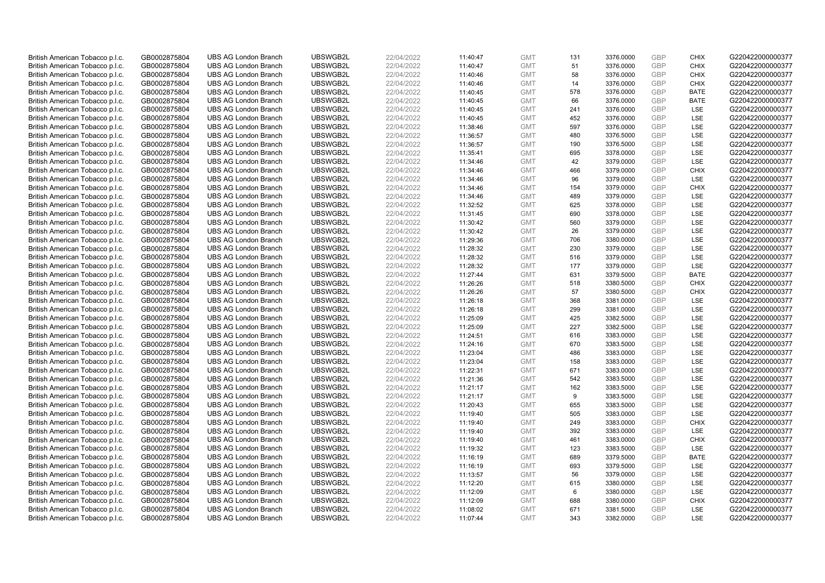| British American Tobacco p.l.c.                                    | GB0002875804                 | <b>UBS AG London Branch</b>                                | UBSWGB2L             | 22/04/2022               | 11:40:47             | <b>GMT</b>               | 131        | 3376.0000              | <b>GBP</b>               | <b>CHIX</b>               | G220422000000377                     |
|--------------------------------------------------------------------|------------------------------|------------------------------------------------------------|----------------------|--------------------------|----------------------|--------------------------|------------|------------------------|--------------------------|---------------------------|--------------------------------------|
| British American Tobacco p.l.c.                                    | GB0002875804                 | <b>UBS AG London Branch</b>                                | UBSWGB2L             | 22/04/2022               | 11:40:47             | <b>GMT</b>               | 51         | 3376.0000              | <b>GBP</b>               | CHIX                      | G220422000000377                     |
| British American Tobacco p.l.c.                                    | GB0002875804                 | <b>UBS AG London Branch</b>                                | UBSWGB2L             | 22/04/2022               | 11:40:46             | <b>GMT</b>               | 58         | 3376.0000              | GBP                      | <b>CHIX</b>               | G220422000000377                     |
| British American Tobacco p.l.c.                                    | GB0002875804                 | <b>UBS AG London Branch</b>                                | UBSWGB2L             | 22/04/2022               | 11:40:46             | <b>GMT</b>               | 14         | 3376.0000              | <b>GBP</b>               | <b>CHIX</b>               | G220422000000377                     |
| British American Tobacco p.l.c.                                    | GB0002875804                 | <b>UBS AG London Branch</b>                                | UBSWGB2L             | 22/04/2022               | 11:40:45             | <b>GMT</b>               | 578        | 3376.0000              | GBP                      | <b>BATE</b>               | G220422000000377                     |
| British American Tobacco p.l.c.                                    | GB0002875804                 | <b>UBS AG London Branch</b>                                | UBSWGB2L             | 22/04/2022               | 11:40:45             | <b>GMT</b>               | 66         | 3376.0000              | <b>GBP</b>               | <b>BATE</b>               | G220422000000377                     |
| British American Tobacco p.l.c.                                    | GB0002875804                 | <b>UBS AG London Branch</b>                                | UBSWGB2L             | 22/04/2022               | 11:40:45             | <b>GMT</b>               | 241        | 3376.0000              | GBP                      | LSE                       | G220422000000377                     |
| British American Tobacco p.l.c.                                    | GB0002875804                 | <b>UBS AG London Branch</b>                                | UBSWGB2L             | 22/04/2022               | 11:40:45             | <b>GMT</b>               | 452        | 3376.0000              | <b>GBP</b>               | LSE                       | G220422000000377                     |
| British American Tobacco p.l.c.                                    | GB0002875804                 | <b>UBS AG London Branch</b>                                | UBSWGB2L             | 22/04/2022               | 11:38:46             | <b>GMT</b>               | 597        | 3376.0000              | GBP                      | LSE                       | G220422000000377                     |
| British American Tobacco p.l.c.                                    | GB0002875804                 | <b>UBS AG London Branch</b>                                | UBSWGB2L             | 22/04/2022               | 11:36:57             | <b>GMT</b>               | 480        | 3376.5000              | <b>GBP</b>               | LSE                       | G220422000000377                     |
| British American Tobacco p.l.c.                                    | GB0002875804                 | <b>UBS AG London Branch</b>                                | UBSWGB2L             | 22/04/2022               | 11:36:57             | <b>GMT</b>               | 190        | 3376.5000              | GBP                      | <b>LSE</b>                | G220422000000377                     |
| British American Tobacco p.l.c.                                    | GB0002875804                 | <b>UBS AG London Branch</b>                                | UBSWGB2L             | 22/04/2022               | 11:35:41             | <b>GMT</b>               | 695        | 3378.0000              | <b>GBP</b>               | LSE                       | G220422000000377                     |
| British American Tobacco p.l.c.                                    | GB0002875804                 | <b>UBS AG London Branch</b>                                | UBSWGB2L             | 22/04/2022               | 11:34:46             | <b>GMT</b>               | 42         | 3379.0000              | GBP                      | LSE                       | G220422000000377                     |
| British American Tobacco p.l.c.                                    | GB0002875804                 | <b>UBS AG London Branch</b>                                | UBSWGB2L             | 22/04/2022               | 11:34:46             | <b>GMT</b>               | 466        | 3379.0000              | <b>GBP</b>               | <b>CHIX</b><br><b>LSE</b> | G220422000000377                     |
| British American Tobacco p.l.c.                                    | GB0002875804                 | <b>UBS AG London Branch</b>                                | UBSWGB2L             | 22/04/2022               | 11:34:46             | <b>GMT</b>               | 96         | 3379.0000              | GBP                      |                           | G220422000000377                     |
| British American Tobacco p.l.c.                                    | GB0002875804                 | <b>UBS AG London Branch</b>                                | UBSWGB2L<br>UBSWGB2L | 22/04/2022               | 11:34:46             | <b>GMT</b>               | 154        | 3379.0000              | GBP<br>GBP               | <b>CHIX</b>               | G220422000000377                     |
| British American Tobacco p.l.c.                                    | GB0002875804                 | <b>UBS AG London Branch</b>                                |                      | 22/04/2022               | 11:34:46             | <b>GMT</b>               | 489        | 3379.0000              | GBP                      | <b>LSE</b><br>LSE         | G220422000000377                     |
| British American Tobacco p.l.c.                                    | GB0002875804                 | <b>UBS AG London Branch</b>                                | UBSWGB2L             | 22/04/2022               | 11:32:52             | <b>GMT</b>               | 625        | 3378.0000              |                          |                           | G220422000000377                     |
| British American Tobacco p.l.c.                                    | GB0002875804                 | <b>UBS AG London Branch</b>                                | UBSWGB2L             | 22/04/2022               | 11:31:45             | <b>GMT</b>               | 690        | 3378.0000              | <b>GBP</b><br><b>GBP</b> | <b>LSE</b>                | G220422000000377                     |
| British American Tobacco p.l.c.                                    | GB0002875804                 | <b>UBS AG London Branch</b>                                | UBSWGB2L             | 22/04/2022               | 11:30:42             | <b>GMT</b>               | 560        | 3379.0000              |                          | LSE                       | G220422000000377                     |
| British American Tobacco p.l.c.                                    | GB0002875804                 | <b>UBS AG London Branch</b><br><b>UBS AG London Branch</b> | UBSWGB2L<br>UBSWGB2L | 22/04/2022<br>22/04/2022 | 11:30:42             | <b>GMT</b>               | 26<br>706  | 3379.0000              | <b>GBP</b><br>GBP        | LSE<br>LSE                | G220422000000377<br>G220422000000377 |
| British American Tobacco p.l.c.                                    | GB0002875804                 |                                                            |                      |                          | 11:29:36             | <b>GMT</b>               |            | 3380.0000              | <b>GBP</b>               |                           |                                      |
| British American Tobacco p.l.c.<br>British American Tobacco p.l.c. | GB0002875804<br>GB0002875804 | <b>UBS AG London Branch</b><br><b>UBS AG London Branch</b> | UBSWGB2L<br>UBSWGB2L | 22/04/2022<br>22/04/2022 | 11:28:32             | <b>GMT</b><br><b>GMT</b> | 230        | 3379.0000              | <b>GBP</b>               | LSE<br><b>LSE</b>         | G220422000000377<br>G220422000000377 |
|                                                                    |                              | <b>UBS AG London Branch</b>                                | UBSWGB2L             | 22/04/2022               | 11:28:32             |                          | 516<br>177 | 3379.0000<br>3379.0000 | <b>GBP</b>               | LSE                       | G220422000000377                     |
| British American Tobacco p.l.c.<br>British American Tobacco p.l.c. | GB0002875804<br>GB0002875804 | <b>UBS AG London Branch</b>                                | UBSWGB2L             | 22/04/2022               | 11:28:32<br>11:27:44 | <b>GMT</b><br><b>GMT</b> | 631        | 3379.5000              | GBP                      | <b>BATE</b>               | G220422000000377                     |
| British American Tobacco p.l.c.                                    | GB0002875804                 | <b>UBS AG London Branch</b>                                | UBSWGB2L             | 22/04/2022               | 11:26:26             | <b>GMT</b>               | 518        | 3380.5000              | <b>GBP</b>               | <b>CHIX</b>               | G220422000000377                     |
| British American Tobacco p.l.c.                                    | GB0002875804                 | <b>UBS AG London Branch</b>                                | UBSWGB2L             | 22/04/2022               | 11:26:26             | <b>GMT</b>               | 57         | 3380.5000              | GBP                      | CHIX                      | G220422000000377                     |
| British American Tobacco p.l.c.                                    | GB0002875804                 | <b>UBS AG London Branch</b>                                | UBSWGB2L             | 22/04/2022               | 11:26:18             | <b>GMT</b>               | 368        | 3381.0000              | <b>GBP</b>               | <b>LSE</b>                | G220422000000377                     |
| British American Tobacco p.l.c.                                    | GB0002875804                 | <b>UBS AG London Branch</b>                                | UBSWGB2L             | 22/04/2022               | 11:26:18             | <b>GMT</b>               | 299        | 3381.0000              | GBP                      | LSE                       | G220422000000377                     |
| British American Tobacco p.l.c.                                    | GB0002875804                 | <b>UBS AG London Branch</b>                                | UBSWGB2L             | 22/04/2022               | 11:25:09             | <b>GMT</b>               | 425        | 3382.5000              | <b>GBP</b>               | LSE                       | G220422000000377                     |
| British American Tobacco p.l.c.                                    | GB0002875804                 | <b>UBS AG London Branch</b>                                | UBSWGB2L             | 22/04/2022               | 11:25:09             | <b>GMT</b>               | 227        | 3382.5000              | <b>GBP</b>               | <b>LSE</b>                | G220422000000377                     |
| British American Tobacco p.l.c.                                    | GB0002875804                 | <b>UBS AG London Branch</b>                                | UBSWGB2L             | 22/04/2022               | 11:24:51             | <b>GMT</b>               | 616        | 3383.0000              | <b>GBP</b>               | LSE                       | G220422000000377                     |
| British American Tobacco p.l.c.                                    | GB0002875804                 | <b>UBS AG London Branch</b>                                | UBSWGB2L             | 22/04/2022               | 11:24:16             | <b>GMT</b>               | 670        | 3383.5000              | <b>GBP</b>               | LSE                       | G220422000000377                     |
| British American Tobacco p.l.c.                                    | GB0002875804                 | <b>UBS AG London Branch</b>                                | UBSWGB2L             | 22/04/2022               | 11:23:04             | <b>GMT</b>               | 486        | 3383.0000              | GBP                      | LSE                       | G220422000000377                     |
| British American Tobacco p.l.c.                                    | GB0002875804                 | <b>UBS AG London Branch</b>                                | UBSWGB2L             | 22/04/2022               | 11:23:04             | <b>GMT</b>               | 158        | 3383.0000              | <b>GBP</b>               | LSE                       | G220422000000377                     |
| British American Tobacco p.l.c.                                    | GB0002875804                 | <b>UBS AG London Branch</b>                                | UBSWGB2L             | 22/04/2022               | 11:22:31             | <b>GMT</b>               | 671        | 3383.0000              | <b>GBP</b>               | <b>LSE</b>                | G220422000000377                     |
| British American Tobacco p.l.c.                                    | GB0002875804                 | <b>UBS AG London Branch</b>                                | UBSWGB2L             | 22/04/2022               | 11:21:36             | <b>GMT</b>               | 542        | 3383.5000              | <b>GBP</b>               | LSE                       | G220422000000377                     |
| British American Tobacco p.l.c.                                    | GB0002875804                 | <b>UBS AG London Branch</b>                                | UBSWGB2L             | 22/04/2022               | 11:21:17             | <b>GMT</b>               | 162        | 3383.5000              | GBP                      | LSE                       | G220422000000377                     |
| British American Tobacco p.l.c.                                    | GB0002875804                 | <b>UBS AG London Branch</b>                                | UBSWGB2L             | 22/04/2022               | 11:21:17             | <b>GMT</b>               | 9          | 3383.5000              | <b>GBP</b>               | LSE                       | G220422000000377                     |
| British American Tobacco p.l.c.                                    | GB0002875804                 | <b>UBS AG London Branch</b>                                | UBSWGB2L             | 22/04/2022               | 11:20:43             | <b>GMT</b>               | 655        | 3383.5000              | GBP                      | LSE                       | G220422000000377                     |
| British American Tobacco p.l.c.                                    | GB0002875804                 | <b>UBS AG London Branch</b>                                | UBSWGB2L             | 22/04/2022               | 11:19:40             | <b>GMT</b>               | 505        | 3383.0000              | <b>GBP</b>               | LSE                       | G220422000000377                     |
| British American Tobacco p.l.c.                                    | GB0002875804                 | <b>UBS AG London Branch</b>                                | UBSWGB2L             | 22/04/2022               | 11:19:40             | <b>GMT</b>               | 249        | 3383.0000              | GBP                      | <b>CHIX</b>               | G220422000000377                     |
| British American Tobacco p.l.c.                                    | GB0002875804                 | <b>UBS AG London Branch</b>                                | UBSWGB2L             | 22/04/2022               | 11:19:40             | <b>GMT</b>               | 392        | 3383.0000              | GBP                      | <b>LSE</b>                | G220422000000377                     |
| British American Tobacco p.l.c.                                    | GB0002875804                 | <b>UBS AG London Branch</b>                                | UBSWGB2L             | 22/04/2022               | 11:19:40             | <b>GMT</b>               | 461        | 3383.0000              | <b>GBP</b>               | <b>CHIX</b>               | G220422000000377                     |
| British American Tobacco p.l.c.                                    | GB0002875804                 | <b>UBS AG London Branch</b>                                | UBSWGB2L             | 22/04/2022               | 11:19:32             | <b>GMT</b>               | 123        | 3383.5000              | <b>GBP</b>               | LSE                       | G220422000000377                     |
| British American Tobacco p.l.c.                                    | GB0002875804                 | <b>UBS AG London Branch</b>                                | UBSWGB2L             | 22/04/2022               | 11:16:19             | <b>GMT</b>               | 689        | 3379.5000              | <b>GBP</b>               | <b>BATE</b>               | G220422000000377                     |
| British American Tobacco p.l.c.                                    | GB0002875804                 | <b>UBS AG London Branch</b>                                | UBSWGB2L             | 22/04/2022               | 11:16:19             | <b>GMT</b>               | 693        | 3379.5000              | GBP                      | LSE                       | G220422000000377                     |
| British American Tobacco p.l.c.                                    | GB0002875804                 | <b>UBS AG London Branch</b>                                | UBSWGB2L             | 22/04/2022               | 11:13:57             | <b>GMT</b>               | 56         | 3379.0000              | <b>GBP</b>               | LSE                       | G220422000000377                     |
| British American Tobacco p.l.c.                                    | GB0002875804                 | <b>UBS AG London Branch</b>                                | UBSWGB2L             | 22/04/2022               | 11:12:20             | <b>GMT</b>               | 615        | 3380.0000              | GBP                      | <b>LSE</b>                | G220422000000377                     |
| British American Tobacco p.l.c.                                    | GB0002875804                 | <b>UBS AG London Branch</b>                                | UBSWGB2L             | 22/04/2022               | 11:12:09             | <b>GMT</b>               | 6          | 3380.0000              | <b>GBP</b>               | LSE                       | G220422000000377                     |
| British American Tobacco p.l.c.                                    | GB0002875804                 | <b>UBS AG London Branch</b>                                | UBSWGB2L             | 22/04/2022               | 11:12:09             | <b>GMT</b>               | 688        | 3380.0000              | <b>GBP</b>               | <b>CHIX</b>               | G220422000000377                     |
| British American Tobacco p.l.c.                                    | GB0002875804                 | <b>UBS AG London Branch</b>                                | UBSWGB2L             | 22/04/2022               | 11:08:02             | <b>GMT</b>               | 671        | 3381.5000              | <b>GBP</b>               | <b>LSE</b>                | G220422000000377                     |
| British American Tobacco p.l.c.                                    | GB0002875804                 | <b>UBS AG London Branch</b>                                | UBSWGB2L             | 22/04/2022               | 11:07:44             | <b>GMT</b>               | 343        | 3382.0000              | GBP                      | <b>LSE</b>                | G220422000000377                     |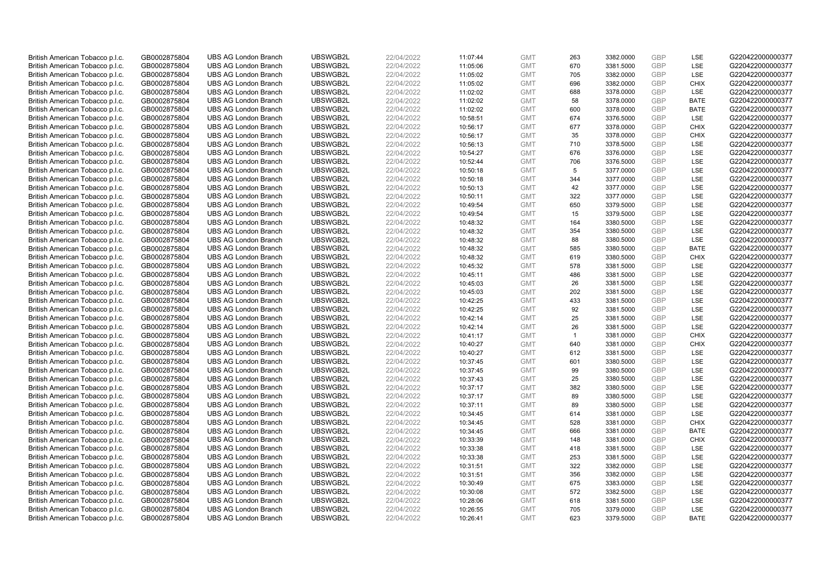| British American Tobacco p.l.c. | GB0002875804 | <b>UBS AG London Branch</b> | UBSWGB2L             | 22/04/2022 | 11:07:44 | <b>GMT</b> | 263          | 3382.0000 | <b>GBP</b>               | LSE         | G220422000000377                     |
|---------------------------------|--------------|-----------------------------|----------------------|------------|----------|------------|--------------|-----------|--------------------------|-------------|--------------------------------------|
|                                 |              |                             |                      |            |          |            | 670          |           | GBP                      | <b>LSE</b>  |                                      |
| British American Tobacco p.l.c. | GB0002875804 | <b>UBS AG London Branch</b> | UBSWGB2L             | 22/04/2022 | 11:05:06 | <b>GMT</b> |              | 3381.5000 |                          |             | G220422000000377                     |
| British American Tobacco p.l.c. | GB0002875804 | <b>UBS AG London Branch</b> | UBSWGB2L             | 22/04/2022 | 11:05:02 | <b>GMT</b> | 705          | 3382.0000 | <b>GBP</b>               | LSE         | G220422000000377                     |
| British American Tobacco p.l.c. | GB0002875804 | <b>UBS AG London Branch</b> | UBSWGB2L             | 22/04/2022 | 11:05:02 | <b>GMT</b> | 696          | 3382.0000 | <b>GBP</b>               | <b>CHIX</b> | G220422000000377                     |
| British American Tobacco p.l.c. | GB0002875804 | <b>UBS AG London Branch</b> | UBSWGB2L             | 22/04/2022 | 11:02:02 | <b>GMT</b> | 688          | 3378.0000 | GBP                      | LSE         | G220422000000377                     |
| British American Tobacco p.l.c. | GB0002875804 | <b>UBS AG London Branch</b> | UBSWGB2L             | 22/04/2022 | 11:02:02 | <b>GMT</b> | 58           | 3378.0000 | <b>GBP</b>               | <b>BATE</b> | G220422000000377                     |
| British American Tobacco p.l.c. | GB0002875804 | <b>UBS AG London Branch</b> | UBSWGB2L             | 22/04/2022 | 11:02:02 | <b>GMT</b> | 600          | 3378.0000 | GBP                      | <b>BATE</b> | G220422000000377                     |
| British American Tobacco p.l.c. | GB0002875804 | <b>UBS AG London Branch</b> | UBSWGB2L             | 22/04/2022 | 10:58:51 | <b>GMT</b> | 674          | 3376.5000 | <b>GBP</b>               | LSE         | G220422000000377                     |
| British American Tobacco p.l.c. | GB0002875804 | <b>UBS AG London Branch</b> | UBSWGB2L             | 22/04/2022 | 10:56:17 | <b>GMT</b> | 677          | 3378.0000 | GBP                      | <b>CHIX</b> | G220422000000377                     |
| British American Tobacco p.l.c. | GB0002875804 | <b>UBS AG London Branch</b> | UBSWGB2L             | 22/04/2022 | 10:56:17 | <b>GMT</b> | 35           | 3378.0000 | <b>GBP</b>               | <b>CHIX</b> | G220422000000377                     |
| British American Tobacco p.l.c. | GB0002875804 | <b>UBS AG London Branch</b> | UBSWGB2L             | 22/04/2022 | 10:56:13 | <b>GMT</b> | 710          | 3378.5000 | GBP                      | <b>LSE</b>  | G220422000000377                     |
| British American Tobacco p.l.c. | GB0002875804 | <b>UBS AG London Branch</b> | UBSWGB2L             | 22/04/2022 | 10:54:27 | <b>GMT</b> | 676          | 3376.0000 | <b>GBP</b>               | LSE         | G220422000000377                     |
| British American Tobacco p.l.c. | GB0002875804 | <b>UBS AG London Branch</b> | UBSWGB2L             | 22/04/2022 | 10:52:44 | <b>GMT</b> | 706          | 3376.5000 | GBP                      | LSE         | G220422000000377                     |
| British American Tobacco p.l.c. | GB0002875804 | <b>UBS AG London Branch</b> | UBSWGB2L             | 22/04/2022 | 10:50:18 | <b>GMT</b> | 5            | 3377.0000 | <b>GBP</b>               | LSE         | G220422000000377                     |
| British American Tobacco p.l.c. | GB0002875804 | <b>UBS AG London Branch</b> | UBSWGB2L             | 22/04/2022 | 10:50:18 | <b>GMT</b> | 344          | 3377.0000 | GBP                      | <b>LSE</b>  | G220422000000377                     |
| British American Tobacco p.l.c. | GB0002875804 | <b>UBS AG London Branch</b> | UBSWGB2L             | 22/04/2022 | 10:50:13 | <b>GMT</b> | 42           | 3377.0000 | GBP                      | LSE         | G220422000000377                     |
| British American Tobacco p.l.c. | GB0002875804 | <b>UBS AG London Branch</b> | UBSWGB2L             | 22/04/2022 | 10:50:11 | <b>GMT</b> | 322          | 3377.0000 | GBP                      | LSE         | G220422000000377                     |
| British American Tobacco p.l.c. | GB0002875804 | <b>UBS AG London Branch</b> | UBSWGB2L             | 22/04/2022 | 10:49:54 | <b>GMT</b> | 650          | 3379.5000 | GBP                      | LSE         | G220422000000377                     |
| British American Tobacco p.l.c. | GB0002875804 | <b>UBS AG London Branch</b> | UBSWGB2L             | 22/04/2022 | 10:49:54 | <b>GMT</b> | 15           | 3379.5000 | <b>GBP</b>               | <b>LSE</b>  | G220422000000377                     |
| British American Tobacco p.l.c. | GB0002875804 | <b>UBS AG London Branch</b> | UBSWGB2L             | 22/04/2022 | 10:48:32 | <b>GMT</b> | 164          | 3380.5000 | <b>GBP</b>               | LSE         | G220422000000377                     |
| British American Tobacco p.l.c. | GB0002875804 | <b>UBS AG London Branch</b> | UBSWGB2L             | 22/04/2022 | 10:48:32 | <b>GMT</b> | 354          | 3380.5000 | <b>GBP</b>               | LSE         | G220422000000377                     |
| British American Tobacco p.l.c. | GB0002875804 | <b>UBS AG London Branch</b> | UBSWGB2L             | 22/04/2022 | 10:48:32 | <b>GMT</b> | 88           | 3380.5000 | GBP                      | LSE         | G220422000000377                     |
| British American Tobacco p.l.c. | GB0002875804 | <b>UBS AG London Branch</b> | UBSWGB2L             | 22/04/2022 | 10:48:32 | <b>GMT</b> | 585          | 3380.5000 | <b>GBP</b>               | <b>BATE</b> | G220422000000377                     |
| British American Tobacco p.l.c. | GB0002875804 | <b>UBS AG London Branch</b> | UBSWGB2L             | 22/04/2022 | 10:48:32 | <b>GMT</b> | 619          | 3380.5000 | <b>GBP</b>               | <b>CHIX</b> | G220422000000377                     |
| British American Tobacco p.l.c. | GB0002875804 | <b>UBS AG London Branch</b> | UBSWGB2L             | 22/04/2022 | 10:45:32 | <b>GMT</b> | 578          | 3381.5000 | <b>GBP</b>               | LSE         | G220422000000377                     |
| British American Tobacco p.l.c. | GB0002875804 | <b>UBS AG London Branch</b> | UBSWGB2L             | 22/04/2022 | 10:45:11 | <b>GMT</b> | 486          | 3381.5000 | GBP                      | LSE         | G220422000000377                     |
| British American Tobacco p.l.c. | GB0002875804 | <b>UBS AG London Branch</b> | UBSWGB2L             | 22/04/2022 | 10:45:03 | <b>GMT</b> | 26           | 3381.5000 | <b>GBP</b>               | LSE         | G220422000000377                     |
| British American Tobacco p.l.c. | GB0002875804 | <b>UBS AG London Branch</b> | UBSWGB2L             | 22/04/2022 | 10:45:03 | <b>GMT</b> | 202          | 3381.5000 | GBP                      | LSE         | G220422000000377                     |
| British American Tobacco p.l.c. | GB0002875804 | <b>UBS AG London Branch</b> | UBSWGB2L             | 22/04/2022 | 10:42:25 | <b>GMT</b> | 433          | 3381.5000 | <b>GBP</b>               | LSE         | G220422000000377                     |
| British American Tobacco p.l.c. | GB0002875804 | <b>UBS AG London Branch</b> | UBSWGB2L             | 22/04/2022 | 10:42:25 | <b>GMT</b> | 92           | 3381.5000 | GBP                      | LSE         | G220422000000377                     |
| British American Tobacco p.l.c. | GB0002875804 | <b>UBS AG London Branch</b> | UBSWGB2L             | 22/04/2022 | 10:42:14 | <b>GMT</b> | 25           | 3381.5000 | <b>GBP</b>               | LSE         | G220422000000377                     |
| British American Tobacco p.l.c. | GB0002875804 | <b>UBS AG London Branch</b> | UBSWGB2L             | 22/04/2022 | 10:42:14 | <b>GMT</b> | 26           | 3381.5000 | <b>GBP</b>               | <b>LSE</b>  | G220422000000377                     |
| British American Tobacco p.l.c. | GB0002875804 | <b>UBS AG London Branch</b> | UBSWGB2L             | 22/04/2022 | 10:41:17 | <b>GMT</b> | $\mathbf{1}$ | 3381.0000 | <b>GBP</b>               | <b>CHIX</b> | G220422000000377                     |
| British American Tobacco p.l.c. | GB0002875804 | <b>UBS AG London Branch</b> | UBSWGB2L             | 22/04/2022 | 10:40:27 | <b>GMT</b> | 640          | 3381.0000 | <b>GBP</b>               | <b>CHIX</b> | G220422000000377                     |
| British American Tobacco p.l.c. | GB0002875804 | <b>UBS AG London Branch</b> | UBSWGB2L             | 22/04/2022 | 10:40:27 | <b>GMT</b> | 612          | 3381.5000 | GBP                      | LSE         | G220422000000377                     |
| British American Tobacco p.l.c. | GB0002875804 | <b>UBS AG London Branch</b> | UBSWGB2L             | 22/04/2022 | 10:37:45 | <b>GMT</b> | 601          | 3380.5000 | <b>GBP</b>               | LSE         | G220422000000377                     |
| British American Tobacco p.l.c. | GB0002875804 | <b>UBS AG London Branch</b> | UBSWGB2L             | 22/04/2022 | 10:37:45 | <b>GMT</b> | 99           | 3380.5000 | <b>GBP</b>               | <b>LSE</b>  | G220422000000377                     |
| British American Tobacco p.l.c. | GB0002875804 | <b>UBS AG London Branch</b> | UBSWGB2L             | 22/04/2022 | 10:37:43 | <b>GMT</b> | 25           | 3380.5000 | <b>GBP</b>               | LSE         | G220422000000377                     |
| British American Tobacco p.l.c. | GB0002875804 | <b>UBS AG London Branch</b> | UBSWGB2L             | 22/04/2022 | 10:37:17 | <b>GMT</b> | 382          | 3380.5000 | GBP                      | LSE         | G220422000000377                     |
| British American Tobacco p.l.c. | GB0002875804 | <b>UBS AG London Branch</b> | UBSWGB2L             | 22/04/2022 | 10:37:17 | <b>GMT</b> | 89           | 3380.5000 | <b>GBP</b>               | LSE         | G220422000000377                     |
| British American Tobacco p.l.c. | GB0002875804 | <b>UBS AG London Branch</b> | UBSWGB2L             | 22/04/2022 | 10:37:11 | <b>GMT</b> | 89           | 3380.5000 | GBP                      | LSE         | G220422000000377                     |
| British American Tobacco p.l.c. | GB0002875804 | <b>UBS AG London Branch</b> | UBSWGB2L             | 22/04/2022 | 10:34:45 | <b>GMT</b> | 614          | 3381.0000 | <b>GBP</b>               | LSE         | G220422000000377                     |
| British American Tobacco p.l.c. | GB0002875804 | <b>UBS AG London Branch</b> | UBSWGB2L             | 22/04/2022 | 10:34:45 | <b>GMT</b> | 528          | 3381.0000 | GBP                      | <b>CHIX</b> | G220422000000377                     |
| British American Tobacco p.l.c. | GB0002875804 | <b>UBS AG London Branch</b> | UBSWGB2L             | 22/04/2022 | 10:34:45 | <b>GMT</b> | 666          | 3381.0000 | GBP                      | <b>BATE</b> | G220422000000377                     |
| British American Tobacco p.l.c. | GB0002875804 | <b>UBS AG London Branch</b> | UBSWGB2L             | 22/04/2022 | 10:33:39 | <b>GMT</b> | 148          | 3381.0000 | <b>GBP</b>               | <b>CHIX</b> | G220422000000377                     |
| British American Tobacco p.l.c. | GB0002875804 | <b>UBS AG London Branch</b> | UBSWGB2L             | 22/04/2022 | 10:33:38 | <b>GMT</b> | 418          | 3381.5000 | <b>GBP</b>               | LSE         | G220422000000377                     |
| British American Tobacco p.l.c. | GB0002875804 | <b>UBS AG London Branch</b> | UBSWGB2L             | 22/04/2022 | 10:33:38 | <b>GMT</b> | 253          | 3381.5000 | <b>GBP</b>               | LSE         | G220422000000377                     |
| British American Tobacco p.l.c. | GB0002875804 | <b>UBS AG London Branch</b> | UBSWGB2L             | 22/04/2022 | 10:31:51 | <b>GMT</b> | 322          | 3382.0000 | GBP                      | LSE         | G220422000000377                     |
| British American Tobacco p.l.c. | GB0002875804 | <b>UBS AG London Branch</b> | UBSWGB2L             | 22/04/2022 |          | <b>GMT</b> | 356          |           | <b>GBP</b>               | LSE         | G220422000000377                     |
| British American Tobacco p.l.c. |              | <b>UBS AG London Branch</b> | UBSWGB2L             | 22/04/2022 | 10:31:51 | <b>GMT</b> | 675          | 3382.0000 | GBP                      | <b>LSE</b>  | G220422000000377                     |
|                                 | GB0002875804 |                             |                      |            | 10:30:49 |            |              | 3383.0000 |                          |             |                                      |
| British American Tobacco p.l.c. | GB0002875804 | <b>UBS AG London Branch</b> | UBSWGB2L<br>UBSWGB2L | 22/04/2022 | 10:30:08 | <b>GMT</b> | 572          | 3382.5000 | <b>GBP</b><br><b>GBP</b> | LSE<br>LSE  | G220422000000377<br>G220422000000377 |
| British American Tobacco p.l.c. | GB0002875804 | <b>UBS AG London Branch</b> |                      | 22/04/2022 | 10:28:06 | <b>GMT</b> | 618          | 3381.5000 |                          |             |                                      |
| British American Tobacco p.l.c. | GB0002875804 | <b>UBS AG London Branch</b> | UBSWGB2L             | 22/04/2022 | 10:26:55 | <b>GMT</b> | 705          | 3379.0000 | <b>GBP</b>               | LSE         | G220422000000377                     |
| British American Tobacco p.l.c. | GB0002875804 | <b>UBS AG London Branch</b> | UBSWGB2L             | 22/04/2022 | 10:26:41 | <b>GMT</b> | 623          | 3379.5000 | GBP                      | <b>BATE</b> | G220422000000377                     |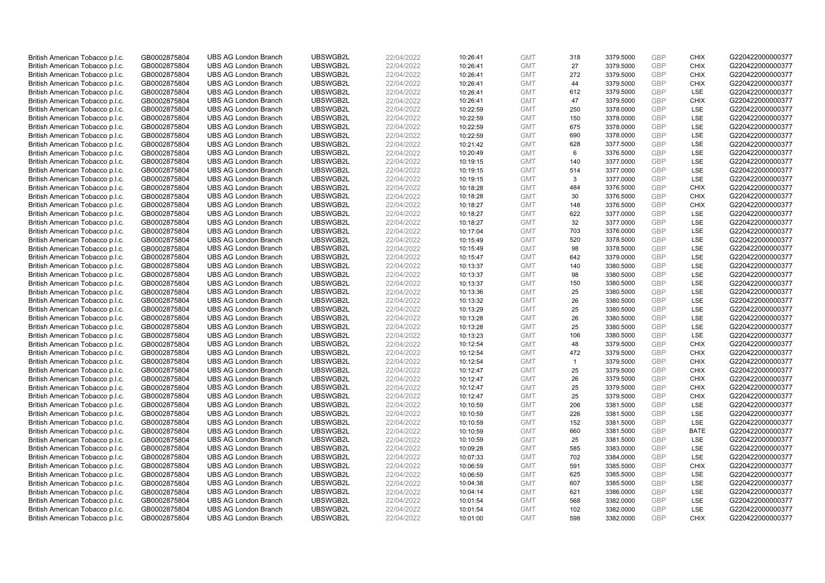| British American Tobacco p.l.c.<br>GB0002875804<br>UBSWGB2L<br>22/04/2022<br><b>GMT</b><br><b>GBP</b><br><b>UBS AG London Branch</b><br>10:26:41<br>318<br>3379.5000<br><b>CHIX</b><br><b>GBP</b><br>27<br>CHIX<br>British American Tobacco p.l.c.<br>GB0002875804<br><b>UBS AG London Branch</b><br>UBSWGB2L<br>22/04/2022<br><b>GMT</b><br>3379.5000<br>10:26:41<br>UBSWGB2L<br><b>GBP</b><br>British American Tobacco p.l.c.<br>GB0002875804<br><b>UBS AG London Branch</b><br>22/04/2022<br>10:26:41<br><b>GMT</b><br>272<br>3379.5000<br><b>CHIX</b><br>UBSWGB2L<br>22/04/2022<br><b>GBP</b><br>British American Tobacco p.l.c.<br>GB0002875804<br><b>UBS AG London Branch</b><br>10:26:41<br><b>GMT</b><br>44<br>3379.5000<br><b>CHIX</b><br><b>GBP</b><br>British American Tobacco p.l.c.<br>GB0002875804<br><b>UBS AG London Branch</b><br>UBSWGB2L<br>22/04/2022<br><b>GMT</b><br>612<br>3379.5000<br><b>LSE</b><br>10:26:41<br><b>UBS AG London Branch</b><br>UBSWGB2L<br>47<br><b>GBP</b><br><b>CHIX</b><br>British American Tobacco p.l.c.<br>GB0002875804<br>22/04/2022<br>10:26:41<br><b>GMT</b><br>3379.5000<br><b>GBP</b><br>British American Tobacco p.l.c.<br>GB0002875804<br><b>UBS AG London Branch</b><br>UBSWGB2L<br>22/04/2022<br>10:22:59<br><b>GMT</b><br>LSE<br>250<br>3378.0000<br>150<br><b>GBP</b><br>LSE<br>British American Tobacco p.l.c.<br>GB0002875804<br><b>UBS AG London Branch</b><br>UBSWGB2L<br>22/04/2022<br>10:22:59<br><b>GMT</b><br>3378.0000<br><b>UBS AG London Branch</b><br>UBSWGB2L<br>22/04/2022<br>10:22:59<br>675<br>GBP<br>LSE<br>British American Tobacco p.l.c.<br>GB0002875804<br><b>GMT</b><br>3378.0000<br><b>GBP</b><br>British American Tobacco p.l.c.<br>GB0002875804<br><b>UBS AG London Branch</b><br>UBSWGB2L<br>22/04/2022<br>10:22:59<br><b>GMT</b><br>690<br>3378.0000<br>LSE<br><b>GBP</b><br>British American Tobacco p.l.c.<br>GB0002875804<br><b>UBS AG London Branch</b><br>UBSWGB2L<br>22/04/2022<br><b>GMT</b><br><b>LSE</b><br>10:21:42<br>628<br>3377.5000<br>British American Tobacco p.l.c.<br>GB0002875804<br><b>UBS AG London Branch</b><br>UBSWGB2L<br>22/04/2022<br><b>GMT</b><br>3376.5000<br><b>GBP</b><br>LSE<br>10:20:49<br>6<br>LSE<br><b>UBS AG London Branch</b><br>UBSWGB2L<br>22/04/2022<br>GBP<br>British American Tobacco p.l.c.<br>GB0002875804<br>10:19:15<br><b>GMT</b><br>140<br>3377.0000<br><b>UBS AG London Branch</b><br>UBSWGB2L<br>22/04/2022<br><b>GBP</b><br>LSE<br>British American Tobacco p.l.c.<br>GB0002875804<br>10:19:15<br><b>GMT</b><br>514<br>3377.0000<br>British American Tobacco p.l.c.<br>GBP<br><b>LSE</b><br><b>UBS AG London Branch</b><br>UBSWGB2L<br>22/04/2022<br><b>GMT</b><br>3<br>3377.0000<br>GB0002875804<br>10:19:15<br><b>UBS AG London Branch</b><br>UBSWGB2L<br><b>GBP</b><br><b>CHIX</b><br>British American Tobacco p.l.c.<br>GB0002875804<br>22/04/2022<br>10:18:28<br><b>GMT</b><br>484<br>3376.5000<br>UBSWGB2L<br>22/04/2022<br>GBP<br>British American Tobacco p.l.c.<br>GB0002875804<br><b>UBS AG London Branch</b><br>10:18:28<br><b>GMT</b><br>30<br><b>CHIX</b><br>3376.5000<br>GBP<br>British American Tobacco p.l.c.<br>GB0002875804<br><b>UBS AG London Branch</b><br>UBSWGB2L<br>22/04/2022<br><b>GMT</b><br>148<br>3376.5000<br><b>CHIX</b><br>10:18:27<br><b>UBS AG London Branch</b><br>UBSWGB2L<br>622<br><b>GBP</b><br><b>LSE</b><br>British American Tobacco p.l.c.<br>GB0002875804<br>22/04/2022<br>10:18:27<br><b>GMT</b><br>3377.0000<br><b>GBP</b><br>GB0002875804<br><b>UBS AG London Branch</b><br>UBSWGB2L<br>22/04/2022<br><b>GMT</b><br>32<br>LSE<br>British American Tobacco p.l.c.<br>10:18:27<br>3377.0000<br>703<br><b>GBP</b><br>LSE<br>British American Tobacco p.l.c.<br>GB0002875804<br><b>UBS AG London Branch</b><br>UBSWGB2L<br>22/04/2022<br>10:17:04<br><b>GMT</b><br>3376.0000<br><b>UBS AG London Branch</b><br>UBSWGB2L<br>22/04/2022<br>520<br>GBP<br>LSE<br>British American Tobacco p.l.c.<br>GB0002875804<br>10:15:49<br><b>GMT</b><br>3378.5000<br><b>GBP</b><br>British American Tobacco p.l.c.<br>GB0002875804<br><b>UBS AG London Branch</b><br>UBSWGB2L<br>22/04/2022<br>10:15:49<br><b>GMT</b><br>98<br>3378.5000<br>LSE<br><b>GBP</b><br>British American Tobacco p.l.c.<br>GB0002875804<br><b>UBS AG London Branch</b><br>UBSWGB2L<br>22/04/2022<br><b>GMT</b><br><b>LSE</b><br>10:15:47<br>642<br>3379.0000<br>British American Tobacco p.l.c.<br><b>UBS AG London Branch</b><br>UBSWGB2L<br>22/04/2022<br>140<br>3380.5000<br><b>GBP</b><br>LSE<br>GB0002875804<br>10:13:37<br><b>GMT</b><br>LSE<br><b>UBS AG London Branch</b><br>UBSWGB2L<br>22/04/2022<br>98<br>GBP<br>British American Tobacco p.l.c.<br>GB0002875804<br>10:13:37<br><b>GMT</b><br>3380.5000<br><b>UBS AG London Branch</b><br>UBSWGB2L<br><b>GBP</b><br>LSE<br>British American Tobacco p.l.c.<br>GB0002875804<br>22/04/2022<br>10:13:37<br><b>GMT</b><br>150<br>3380.5000<br>25<br>GBP<br>LSE<br>British American Tobacco p.l.c.<br>GB0002875804<br><b>UBS AG London Branch</b><br>UBSWGB2L<br>22/04/2022<br><b>GMT</b><br>3380.5000<br>10:13:36<br><b>UBS AG London Branch</b><br>UBSWGB2L<br><b>GBP</b><br>LSE<br>British American Tobacco p.l.c.<br>GB0002875804<br>22/04/2022<br>10:13:32<br><b>GMT</b><br>26<br>3380.5000<br>UBSWGB2L<br>GBP<br>GB0002875804<br><b>UBS AG London Branch</b><br>22/04/2022<br>10:13:29<br><b>GMT</b><br>25<br>LSE<br>British American Tobacco p.l.c.<br>3380.5000<br><b>GBP</b><br>LSE<br>British American Tobacco p.l.c.<br>GB0002875804<br><b>UBS AG London Branch</b><br>UBSWGB2L<br>22/04/2022<br><b>GMT</b><br>26<br>3380.5000<br>10:13:28<br><b>UBS AG London Branch</b><br>UBSWGB2L<br>25<br><b>GBP</b><br><b>LSE</b><br>British American Tobacco p.l.c.<br>GB0002875804<br>22/04/2022<br>10:13:28<br><b>GMT</b><br>3380.5000<br><b>GBP</b><br>British American Tobacco p.l.c.<br><b>UBS AG London Branch</b><br>UBSWGB2L<br>22/04/2022<br><b>GMT</b><br>106<br>LSE<br>GB0002875804<br>10:13:23<br>3380.5000<br>48<br><b>GBP</b><br><b>CHIX</b><br>British American Tobacco p.l.c.<br>GB0002875804<br><b>UBS AG London Branch</b><br>UBSWGB2L<br>22/04/2022<br>10:12:54<br><b>GMT</b><br>3379.5000<br><b>UBS AG London Branch</b><br>UBSWGB2L<br>22/04/2022<br>10:12:54<br>472<br>GBP<br><b>CHIX</b><br>British American Tobacco p.l.c.<br>GB0002875804<br><b>GMT</b><br>3379.5000<br><b>GBP</b><br>British American Tobacco p.l.c.<br>GB0002875804<br><b>UBS AG London Branch</b><br>UBSWGB2L<br>22/04/2022<br>10:12:54<br><b>GMT</b><br>3379.5000<br><b>CHIX</b><br>$\mathbf{1}$<br><b>GBP</b><br>British American Tobacco p.l.c.<br><b>UBS AG London Branch</b><br>UBSWGB2L<br>22/04/2022<br><b>GMT</b><br>25<br>GB0002875804<br>10:12:47<br>3379.5000<br><b>CHIX</b><br>British American Tobacco p.l.c.<br><b>UBS AG London Branch</b><br>UBSWGB2L<br>22/04/2022<br>26<br>3379.5000<br><b>GBP</b><br><b>CHIX</b><br>GB0002875804<br>10:12:47<br><b>GMT</b><br>25<br><b>UBS AG London Branch</b><br>UBSWGB2L<br>GBP<br><b>CHIX</b><br>British American Tobacco p.l.c.<br>GB0002875804<br>22/04/2022<br>10:12:47<br><b>GMT</b><br>3379.5000<br><b>UBS AG London Branch</b><br>25<br><b>GBP</b><br>British American Tobacco p.l.c.<br>GB0002875804<br>UBSWGB2L<br>22/04/2022<br>10:12:47<br><b>GMT</b><br>3379.5000<br><b>CHIX</b><br>206<br>GBP<br>British American Tobacco p.l.c.<br><b>UBS AG London Branch</b><br>UBSWGB2L<br>22/04/2022<br>3381.5000<br><b>LSE</b><br>GB0002875804<br>10:10:59<br><b>GMT</b><br>UBSWGB2L<br><b>GBP</b><br>LSE<br>British American Tobacco p.l.c.<br>GB0002875804<br><b>UBS AG London Branch</b><br>10:10:59<br><b>GMT</b><br>226<br>3381.5000<br>22/04/2022<br>GBP<br>GB0002875804<br><b>UBS AG London Branch</b><br>UBSWGB2L<br>22/04/2022<br>10:10:59<br><b>GMT</b><br>152<br>LSE<br>British American Tobacco p.l.c.<br>3381.5000<br>GBP<br>British American Tobacco p.l.c.<br>GB0002875804<br><b>UBS AG London Branch</b><br>UBSWGB2L<br>22/04/2022<br><b>GMT</b><br>660<br>3381.5000<br><b>BATE</b><br>10:10:59<br>UBSWGB2L<br>25<br><b>GBP</b><br>LSE<br>British American Tobacco p.l.c.<br>GB0002875804<br><b>UBS AG London Branch</b><br>22/04/2022<br>10:10:59<br><b>GMT</b><br>3381.5000<br><b>GBP</b><br><b>UBS AG London Branch</b><br>UBSWGB2L<br>22/04/2022<br><b>GMT</b><br>585<br>LSE<br>British American Tobacco p.l.c.<br>GB0002875804<br>10:09:28<br>3383.0000<br>702<br>LSE<br>British American Tobacco p.l.c.<br>GB0002875804<br><b>UBS AG London Branch</b><br>UBSWGB2L<br>22/04/2022<br>10:07:33<br><b>GMT</b><br>3384.0000<br><b>GBP</b><br>UBSWGB2L<br>GBP<br><b>CHIX</b><br>British American Tobacco p.l.c.<br>GB0002875804<br><b>UBS AG London Branch</b><br>22/04/2022<br>10:06:59<br><b>GMT</b><br>591<br>3385.5000<br><b>GBP</b><br>British American Tobacco p.l.c.<br>GB0002875804<br><b>UBS AG London Branch</b><br>UBSWGB2L<br>22/04/2022<br><b>GMT</b><br>625<br>LSE<br>10:06:59<br>3385.5000 |                  |
|-----------------------------------------------------------------------------------------------------------------------------------------------------------------------------------------------------------------------------------------------------------------------------------------------------------------------------------------------------------------------------------------------------------------------------------------------------------------------------------------------------------------------------------------------------------------------------------------------------------------------------------------------------------------------------------------------------------------------------------------------------------------------------------------------------------------------------------------------------------------------------------------------------------------------------------------------------------------------------------------------------------------------------------------------------------------------------------------------------------------------------------------------------------------------------------------------------------------------------------------------------------------------------------------------------------------------------------------------------------------------------------------------------------------------------------------------------------------------------------------------------------------------------------------------------------------------------------------------------------------------------------------------------------------------------------------------------------------------------------------------------------------------------------------------------------------------------------------------------------------------------------------------------------------------------------------------------------------------------------------------------------------------------------------------------------------------------------------------------------------------------------------------------------------------------------------------------------------------------------------------------------------------------------------------------------------------------------------------------------------------------------------------------------------------------------------------------------------------------------------------------------------------------------------------------------------------------------------------------------------------------------------------------------------------------------------------------------------------------------------------------------------------------------------------------------------------------------------------------------------------------------------------------------------------------------------------------------------------------------------------------------------------------------------------------------------------------------------------------------------------------------------------------------------------------------------------------------------------------------------------------------------------------------------------------------------------------------------------------------------------------------------------------------------------------------------------------------------------------------------------------------------------------------------------------------------------------------------------------------------------------------------------------------------------------------------------------------------------------------------------------------------------------------------------------------------------------------------------------------------------------------------------------------------------------------------------------------------------------------------------------------------------------------------------------------------------------------------------------------------------------------------------------------------------------------------------------------------------------------------------------------------------------------------------------------------------------------------------------------------------------------------------------------------------------------------------------------------------------------------------------------------------------------------------------------------------------------------------------------------------------------------------------------------------------------------------------------------------------------------------------------------------------------------------------------------------------------------------------------------------------------------------------------------------------------------------------------------------------------------------------------------------------------------------------------------------------------------------------------------------------------------------------------------------------------------------------------------------------------------------------------------------------------------------------------------------------------------------------------------------------------------------------------------------------------------------------------------------------------------------------------------------------------------------------------------------------------------------------------------------------------------------------------------------------------------------------------------------------------------------------------------------------------------------------------------------------------------------------------------------------------------------------------------------------------------------------------------------------------------------------------------------------------------------------------------------------------------------------------------------------------------------------------------------------------------------------------------------------------------------------------------------------------------------------------------------------------------------------------------------------------------------------------------------------------------------------------------------------------------------------------------------------------------------------------------------------------------------------------------------------------------------------------------------------------------------------------------------------------------------------------------------------------------------------------------------------------------------------------------------------------------------------------------------------------------------------------------------------------------------------------------------------------------------------------------------------------------------------------------------------------------------------------------------------------------------------------------------------------------------------------------------------------------------------------------------------------------------------------------------------------------------------------------------------------------------------------------------------------------------------------------------------------------------------------------------------------------------------------------------------------------------------------------------------------------------------------------------------------------------------------------------------------------------------------------------------------------------------------------------------------------------------------------------------------------------------------------------------------------------------------------------------------------------------------------------------------------------------------------------------------------------------------------------------------------------------------------------------------------------------------------------------------------------------------------------------------------------------------------------------------------------------------------------------------------------------------------------------------------------------------------------------------------------------------------------------------------------------------------------------------------------------------------------------------------------------------------------------------------------------------------------------------------------------------------------------------------------------------------------------------------------------------------------------------------------------------------------------------------|------------------|
|                                                                                                                                                                                                                                                                                                                                                                                                                                                                                                                                                                                                                                                                                                                                                                                                                                                                                                                                                                                                                                                                                                                                                                                                                                                                                                                                                                                                                                                                                                                                                                                                                                                                                                                                                                                                                                                                                                                                                                                                                                                                                                                                                                                                                                                                                                                                                                                                                                                                                                                                                                                                                                                                                                                                                                                                                                                                                                                                                                                                                                                                                                                                                                                                                                                                                                                                                                                                                                                                                                                                                                                                                                                                                                                                                                                                                                                                                                                                                                                                                                                                                                                                                                                                                                                                                                                                                                                                                                                                                                                                                                                                                                                                                                                                                                                                                                                                                                                                                                                                                                                                                                                                                                                                                                                                                                                                                                                                                                                                                                                                                                                                                                                                                                                                                                                                                                                                                                                                                                                                                                                                                                                                                                                                                                                                                                                                                                                                                                                                                                                                                                                                                                                                                                                                                                                                                                                                                                                                                                                                                                                                                                                                                                                                                                                                                                                                                                                                                                                                                                                                                                                                                                                                                                                                                                                                                                                                                                                                                                                                                                                                                                                                                                                                                                                                                                                                                                                                                                                                                                                                                                                                                                                                                                                                                                                                                                                                                                                                                                                         | G220422000000377 |
|                                                                                                                                                                                                                                                                                                                                                                                                                                                                                                                                                                                                                                                                                                                                                                                                                                                                                                                                                                                                                                                                                                                                                                                                                                                                                                                                                                                                                                                                                                                                                                                                                                                                                                                                                                                                                                                                                                                                                                                                                                                                                                                                                                                                                                                                                                                                                                                                                                                                                                                                                                                                                                                                                                                                                                                                                                                                                                                                                                                                                                                                                                                                                                                                                                                                                                                                                                                                                                                                                                                                                                                                                                                                                                                                                                                                                                                                                                                                                                                                                                                                                                                                                                                                                                                                                                                                                                                                                                                                                                                                                                                                                                                                                                                                                                                                                                                                                                                                                                                                                                                                                                                                                                                                                                                                                                                                                                                                                                                                                                                                                                                                                                                                                                                                                                                                                                                                                                                                                                                                                                                                                                                                                                                                                                                                                                                                                                                                                                                                                                                                                                                                                                                                                                                                                                                                                                                                                                                                                                                                                                                                                                                                                                                                                                                                                                                                                                                                                                                                                                                                                                                                                                                                                                                                                                                                                                                                                                                                                                                                                                                                                                                                                                                                                                                                                                                                                                                                                                                                                                                                                                                                                                                                                                                                                                                                                                                                                                                                                                                         | G220422000000377 |
|                                                                                                                                                                                                                                                                                                                                                                                                                                                                                                                                                                                                                                                                                                                                                                                                                                                                                                                                                                                                                                                                                                                                                                                                                                                                                                                                                                                                                                                                                                                                                                                                                                                                                                                                                                                                                                                                                                                                                                                                                                                                                                                                                                                                                                                                                                                                                                                                                                                                                                                                                                                                                                                                                                                                                                                                                                                                                                                                                                                                                                                                                                                                                                                                                                                                                                                                                                                                                                                                                                                                                                                                                                                                                                                                                                                                                                                                                                                                                                                                                                                                                                                                                                                                                                                                                                                                                                                                                                                                                                                                                                                                                                                                                                                                                                                                                                                                                                                                                                                                                                                                                                                                                                                                                                                                                                                                                                                                                                                                                                                                                                                                                                                                                                                                                                                                                                                                                                                                                                                                                                                                                                                                                                                                                                                                                                                                                                                                                                                                                                                                                                                                                                                                                                                                                                                                                                                                                                                                                                                                                                                                                                                                                                                                                                                                                                                                                                                                                                                                                                                                                                                                                                                                                                                                                                                                                                                                                                                                                                                                                                                                                                                                                                                                                                                                                                                                                                                                                                                                                                                                                                                                                                                                                                                                                                                                                                                                                                                                                                                         | G220422000000377 |
|                                                                                                                                                                                                                                                                                                                                                                                                                                                                                                                                                                                                                                                                                                                                                                                                                                                                                                                                                                                                                                                                                                                                                                                                                                                                                                                                                                                                                                                                                                                                                                                                                                                                                                                                                                                                                                                                                                                                                                                                                                                                                                                                                                                                                                                                                                                                                                                                                                                                                                                                                                                                                                                                                                                                                                                                                                                                                                                                                                                                                                                                                                                                                                                                                                                                                                                                                                                                                                                                                                                                                                                                                                                                                                                                                                                                                                                                                                                                                                                                                                                                                                                                                                                                                                                                                                                                                                                                                                                                                                                                                                                                                                                                                                                                                                                                                                                                                                                                                                                                                                                                                                                                                                                                                                                                                                                                                                                                                                                                                                                                                                                                                                                                                                                                                                                                                                                                                                                                                                                                                                                                                                                                                                                                                                                                                                                                                                                                                                                                                                                                                                                                                                                                                                                                                                                                                                                                                                                                                                                                                                                                                                                                                                                                                                                                                                                                                                                                                                                                                                                                                                                                                                                                                                                                                                                                                                                                                                                                                                                                                                                                                                                                                                                                                                                                                                                                                                                                                                                                                                                                                                                                                                                                                                                                                                                                                                                                                                                                                                                         | G220422000000377 |
|                                                                                                                                                                                                                                                                                                                                                                                                                                                                                                                                                                                                                                                                                                                                                                                                                                                                                                                                                                                                                                                                                                                                                                                                                                                                                                                                                                                                                                                                                                                                                                                                                                                                                                                                                                                                                                                                                                                                                                                                                                                                                                                                                                                                                                                                                                                                                                                                                                                                                                                                                                                                                                                                                                                                                                                                                                                                                                                                                                                                                                                                                                                                                                                                                                                                                                                                                                                                                                                                                                                                                                                                                                                                                                                                                                                                                                                                                                                                                                                                                                                                                                                                                                                                                                                                                                                                                                                                                                                                                                                                                                                                                                                                                                                                                                                                                                                                                                                                                                                                                                                                                                                                                                                                                                                                                                                                                                                                                                                                                                                                                                                                                                                                                                                                                                                                                                                                                                                                                                                                                                                                                                                                                                                                                                                                                                                                                                                                                                                                                                                                                                                                                                                                                                                                                                                                                                                                                                                                                                                                                                                                                                                                                                                                                                                                                                                                                                                                                                                                                                                                                                                                                                                                                                                                                                                                                                                                                                                                                                                                                                                                                                                                                                                                                                                                                                                                                                                                                                                                                                                                                                                                                                                                                                                                                                                                                                                                                                                                                                                         | G220422000000377 |
|                                                                                                                                                                                                                                                                                                                                                                                                                                                                                                                                                                                                                                                                                                                                                                                                                                                                                                                                                                                                                                                                                                                                                                                                                                                                                                                                                                                                                                                                                                                                                                                                                                                                                                                                                                                                                                                                                                                                                                                                                                                                                                                                                                                                                                                                                                                                                                                                                                                                                                                                                                                                                                                                                                                                                                                                                                                                                                                                                                                                                                                                                                                                                                                                                                                                                                                                                                                                                                                                                                                                                                                                                                                                                                                                                                                                                                                                                                                                                                                                                                                                                                                                                                                                                                                                                                                                                                                                                                                                                                                                                                                                                                                                                                                                                                                                                                                                                                                                                                                                                                                                                                                                                                                                                                                                                                                                                                                                                                                                                                                                                                                                                                                                                                                                                                                                                                                                                                                                                                                                                                                                                                                                                                                                                                                                                                                                                                                                                                                                                                                                                                                                                                                                                                                                                                                                                                                                                                                                                                                                                                                                                                                                                                                                                                                                                                                                                                                                                                                                                                                                                                                                                                                                                                                                                                                                                                                                                                                                                                                                                                                                                                                                                                                                                                                                                                                                                                                                                                                                                                                                                                                                                                                                                                                                                                                                                                                                                                                                                                                         | G220422000000377 |
|                                                                                                                                                                                                                                                                                                                                                                                                                                                                                                                                                                                                                                                                                                                                                                                                                                                                                                                                                                                                                                                                                                                                                                                                                                                                                                                                                                                                                                                                                                                                                                                                                                                                                                                                                                                                                                                                                                                                                                                                                                                                                                                                                                                                                                                                                                                                                                                                                                                                                                                                                                                                                                                                                                                                                                                                                                                                                                                                                                                                                                                                                                                                                                                                                                                                                                                                                                                                                                                                                                                                                                                                                                                                                                                                                                                                                                                                                                                                                                                                                                                                                                                                                                                                                                                                                                                                                                                                                                                                                                                                                                                                                                                                                                                                                                                                                                                                                                                                                                                                                                                                                                                                                                                                                                                                                                                                                                                                                                                                                                                                                                                                                                                                                                                                                                                                                                                                                                                                                                                                                                                                                                                                                                                                                                                                                                                                                                                                                                                                                                                                                                                                                                                                                                                                                                                                                                                                                                                                                                                                                                                                                                                                                                                                                                                                                                                                                                                                                                                                                                                                                                                                                                                                                                                                                                                                                                                                                                                                                                                                                                                                                                                                                                                                                                                                                                                                                                                                                                                                                                                                                                                                                                                                                                                                                                                                                                                                                                                                                                                         | G220422000000377 |
|                                                                                                                                                                                                                                                                                                                                                                                                                                                                                                                                                                                                                                                                                                                                                                                                                                                                                                                                                                                                                                                                                                                                                                                                                                                                                                                                                                                                                                                                                                                                                                                                                                                                                                                                                                                                                                                                                                                                                                                                                                                                                                                                                                                                                                                                                                                                                                                                                                                                                                                                                                                                                                                                                                                                                                                                                                                                                                                                                                                                                                                                                                                                                                                                                                                                                                                                                                                                                                                                                                                                                                                                                                                                                                                                                                                                                                                                                                                                                                                                                                                                                                                                                                                                                                                                                                                                                                                                                                                                                                                                                                                                                                                                                                                                                                                                                                                                                                                                                                                                                                                                                                                                                                                                                                                                                                                                                                                                                                                                                                                                                                                                                                                                                                                                                                                                                                                                                                                                                                                                                                                                                                                                                                                                                                                                                                                                                                                                                                                                                                                                                                                                                                                                                                                                                                                                                                                                                                                                                                                                                                                                                                                                                                                                                                                                                                                                                                                                                                                                                                                                                                                                                                                                                                                                                                                                                                                                                                                                                                                                                                                                                                                                                                                                                                                                                                                                                                                                                                                                                                                                                                                                                                                                                                                                                                                                                                                                                                                                                                                         | G220422000000377 |
|                                                                                                                                                                                                                                                                                                                                                                                                                                                                                                                                                                                                                                                                                                                                                                                                                                                                                                                                                                                                                                                                                                                                                                                                                                                                                                                                                                                                                                                                                                                                                                                                                                                                                                                                                                                                                                                                                                                                                                                                                                                                                                                                                                                                                                                                                                                                                                                                                                                                                                                                                                                                                                                                                                                                                                                                                                                                                                                                                                                                                                                                                                                                                                                                                                                                                                                                                                                                                                                                                                                                                                                                                                                                                                                                                                                                                                                                                                                                                                                                                                                                                                                                                                                                                                                                                                                                                                                                                                                                                                                                                                                                                                                                                                                                                                                                                                                                                                                                                                                                                                                                                                                                                                                                                                                                                                                                                                                                                                                                                                                                                                                                                                                                                                                                                                                                                                                                                                                                                                                                                                                                                                                                                                                                                                                                                                                                                                                                                                                                                                                                                                                                                                                                                                                                                                                                                                                                                                                                                                                                                                                                                                                                                                                                                                                                                                                                                                                                                                                                                                                                                                                                                                                                                                                                                                                                                                                                                                                                                                                                                                                                                                                                                                                                                                                                                                                                                                                                                                                                                                                                                                                                                                                                                                                                                                                                                                                                                                                                                                                         | G220422000000377 |
|                                                                                                                                                                                                                                                                                                                                                                                                                                                                                                                                                                                                                                                                                                                                                                                                                                                                                                                                                                                                                                                                                                                                                                                                                                                                                                                                                                                                                                                                                                                                                                                                                                                                                                                                                                                                                                                                                                                                                                                                                                                                                                                                                                                                                                                                                                                                                                                                                                                                                                                                                                                                                                                                                                                                                                                                                                                                                                                                                                                                                                                                                                                                                                                                                                                                                                                                                                                                                                                                                                                                                                                                                                                                                                                                                                                                                                                                                                                                                                                                                                                                                                                                                                                                                                                                                                                                                                                                                                                                                                                                                                                                                                                                                                                                                                                                                                                                                                                                                                                                                                                                                                                                                                                                                                                                                                                                                                                                                                                                                                                                                                                                                                                                                                                                                                                                                                                                                                                                                                                                                                                                                                                                                                                                                                                                                                                                                                                                                                                                                                                                                                                                                                                                                                                                                                                                                                                                                                                                                                                                                                                                                                                                                                                                                                                                                                                                                                                                                                                                                                                                                                                                                                                                                                                                                                                                                                                                                                                                                                                                                                                                                                                                                                                                                                                                                                                                                                                                                                                                                                                                                                                                                                                                                                                                                                                                                                                                                                                                                                                         | G220422000000377 |
|                                                                                                                                                                                                                                                                                                                                                                                                                                                                                                                                                                                                                                                                                                                                                                                                                                                                                                                                                                                                                                                                                                                                                                                                                                                                                                                                                                                                                                                                                                                                                                                                                                                                                                                                                                                                                                                                                                                                                                                                                                                                                                                                                                                                                                                                                                                                                                                                                                                                                                                                                                                                                                                                                                                                                                                                                                                                                                                                                                                                                                                                                                                                                                                                                                                                                                                                                                                                                                                                                                                                                                                                                                                                                                                                                                                                                                                                                                                                                                                                                                                                                                                                                                                                                                                                                                                                                                                                                                                                                                                                                                                                                                                                                                                                                                                                                                                                                                                                                                                                                                                                                                                                                                                                                                                                                                                                                                                                                                                                                                                                                                                                                                                                                                                                                                                                                                                                                                                                                                                                                                                                                                                                                                                                                                                                                                                                                                                                                                                                                                                                                                                                                                                                                                                                                                                                                                                                                                                                                                                                                                                                                                                                                                                                                                                                                                                                                                                                                                                                                                                                                                                                                                                                                                                                                                                                                                                                                                                                                                                                                                                                                                                                                                                                                                                                                                                                                                                                                                                                                                                                                                                                                                                                                                                                                                                                                                                                                                                                                                                         | G220422000000377 |
|                                                                                                                                                                                                                                                                                                                                                                                                                                                                                                                                                                                                                                                                                                                                                                                                                                                                                                                                                                                                                                                                                                                                                                                                                                                                                                                                                                                                                                                                                                                                                                                                                                                                                                                                                                                                                                                                                                                                                                                                                                                                                                                                                                                                                                                                                                                                                                                                                                                                                                                                                                                                                                                                                                                                                                                                                                                                                                                                                                                                                                                                                                                                                                                                                                                                                                                                                                                                                                                                                                                                                                                                                                                                                                                                                                                                                                                                                                                                                                                                                                                                                                                                                                                                                                                                                                                                                                                                                                                                                                                                                                                                                                                                                                                                                                                                                                                                                                                                                                                                                                                                                                                                                                                                                                                                                                                                                                                                                                                                                                                                                                                                                                                                                                                                                                                                                                                                                                                                                                                                                                                                                                                                                                                                                                                                                                                                                                                                                                                                                                                                                                                                                                                                                                                                                                                                                                                                                                                                                                                                                                                                                                                                                                                                                                                                                                                                                                                                                                                                                                                                                                                                                                                                                                                                                                                                                                                                                                                                                                                                                                                                                                                                                                                                                                                                                                                                                                                                                                                                                                                                                                                                                                                                                                                                                                                                                                                                                                                                                                                         | G220422000000377 |
|                                                                                                                                                                                                                                                                                                                                                                                                                                                                                                                                                                                                                                                                                                                                                                                                                                                                                                                                                                                                                                                                                                                                                                                                                                                                                                                                                                                                                                                                                                                                                                                                                                                                                                                                                                                                                                                                                                                                                                                                                                                                                                                                                                                                                                                                                                                                                                                                                                                                                                                                                                                                                                                                                                                                                                                                                                                                                                                                                                                                                                                                                                                                                                                                                                                                                                                                                                                                                                                                                                                                                                                                                                                                                                                                                                                                                                                                                                                                                                                                                                                                                                                                                                                                                                                                                                                                                                                                                                                                                                                                                                                                                                                                                                                                                                                                                                                                                                                                                                                                                                                                                                                                                                                                                                                                                                                                                                                                                                                                                                                                                                                                                                                                                                                                                                                                                                                                                                                                                                                                                                                                                                                                                                                                                                                                                                                                                                                                                                                                                                                                                                                                                                                                                                                                                                                                                                                                                                                                                                                                                                                                                                                                                                                                                                                                                                                                                                                                                                                                                                                                                                                                                                                                                                                                                                                                                                                                                                                                                                                                                                                                                                                                                                                                                                                                                                                                                                                                                                                                                                                                                                                                                                                                                                                                                                                                                                                                                                                                                                                         | G220422000000377 |
|                                                                                                                                                                                                                                                                                                                                                                                                                                                                                                                                                                                                                                                                                                                                                                                                                                                                                                                                                                                                                                                                                                                                                                                                                                                                                                                                                                                                                                                                                                                                                                                                                                                                                                                                                                                                                                                                                                                                                                                                                                                                                                                                                                                                                                                                                                                                                                                                                                                                                                                                                                                                                                                                                                                                                                                                                                                                                                                                                                                                                                                                                                                                                                                                                                                                                                                                                                                                                                                                                                                                                                                                                                                                                                                                                                                                                                                                                                                                                                                                                                                                                                                                                                                                                                                                                                                                                                                                                                                                                                                                                                                                                                                                                                                                                                                                                                                                                                                                                                                                                                                                                                                                                                                                                                                                                                                                                                                                                                                                                                                                                                                                                                                                                                                                                                                                                                                                                                                                                                                                                                                                                                                                                                                                                                                                                                                                                                                                                                                                                                                                                                                                                                                                                                                                                                                                                                                                                                                                                                                                                                                                                                                                                                                                                                                                                                                                                                                                                                                                                                                                                                                                                                                                                                                                                                                                                                                                                                                                                                                                                                                                                                                                                                                                                                                                                                                                                                                                                                                                                                                                                                                                                                                                                                                                                                                                                                                                                                                                                                                         | G220422000000377 |
|                                                                                                                                                                                                                                                                                                                                                                                                                                                                                                                                                                                                                                                                                                                                                                                                                                                                                                                                                                                                                                                                                                                                                                                                                                                                                                                                                                                                                                                                                                                                                                                                                                                                                                                                                                                                                                                                                                                                                                                                                                                                                                                                                                                                                                                                                                                                                                                                                                                                                                                                                                                                                                                                                                                                                                                                                                                                                                                                                                                                                                                                                                                                                                                                                                                                                                                                                                                                                                                                                                                                                                                                                                                                                                                                                                                                                                                                                                                                                                                                                                                                                                                                                                                                                                                                                                                                                                                                                                                                                                                                                                                                                                                                                                                                                                                                                                                                                                                                                                                                                                                                                                                                                                                                                                                                                                                                                                                                                                                                                                                                                                                                                                                                                                                                                                                                                                                                                                                                                                                                                                                                                                                                                                                                                                                                                                                                                                                                                                                                                                                                                                                                                                                                                                                                                                                                                                                                                                                                                                                                                                                                                                                                                                                                                                                                                                                                                                                                                                                                                                                                                                                                                                                                                                                                                                                                                                                                                                                                                                                                                                                                                                                                                                                                                                                                                                                                                                                                                                                                                                                                                                                                                                                                                                                                                                                                                                                                                                                                                                                         | G220422000000377 |
|                                                                                                                                                                                                                                                                                                                                                                                                                                                                                                                                                                                                                                                                                                                                                                                                                                                                                                                                                                                                                                                                                                                                                                                                                                                                                                                                                                                                                                                                                                                                                                                                                                                                                                                                                                                                                                                                                                                                                                                                                                                                                                                                                                                                                                                                                                                                                                                                                                                                                                                                                                                                                                                                                                                                                                                                                                                                                                                                                                                                                                                                                                                                                                                                                                                                                                                                                                                                                                                                                                                                                                                                                                                                                                                                                                                                                                                                                                                                                                                                                                                                                                                                                                                                                                                                                                                                                                                                                                                                                                                                                                                                                                                                                                                                                                                                                                                                                                                                                                                                                                                                                                                                                                                                                                                                                                                                                                                                                                                                                                                                                                                                                                                                                                                                                                                                                                                                                                                                                                                                                                                                                                                                                                                                                                                                                                                                                                                                                                                                                                                                                                                                                                                                                                                                                                                                                                                                                                                                                                                                                                                                                                                                                                                                                                                                                                                                                                                                                                                                                                                                                                                                                                                                                                                                                                                                                                                                                                                                                                                                                                                                                                                                                                                                                                                                                                                                                                                                                                                                                                                                                                                                                                                                                                                                                                                                                                                                                                                                                                                         | G220422000000377 |
|                                                                                                                                                                                                                                                                                                                                                                                                                                                                                                                                                                                                                                                                                                                                                                                                                                                                                                                                                                                                                                                                                                                                                                                                                                                                                                                                                                                                                                                                                                                                                                                                                                                                                                                                                                                                                                                                                                                                                                                                                                                                                                                                                                                                                                                                                                                                                                                                                                                                                                                                                                                                                                                                                                                                                                                                                                                                                                                                                                                                                                                                                                                                                                                                                                                                                                                                                                                                                                                                                                                                                                                                                                                                                                                                                                                                                                                                                                                                                                                                                                                                                                                                                                                                                                                                                                                                                                                                                                                                                                                                                                                                                                                                                                                                                                                                                                                                                                                                                                                                                                                                                                                                                                                                                                                                                                                                                                                                                                                                                                                                                                                                                                                                                                                                                                                                                                                                                                                                                                                                                                                                                                                                                                                                                                                                                                                                                                                                                                                                                                                                                                                                                                                                                                                                                                                                                                                                                                                                                                                                                                                                                                                                                                                                                                                                                                                                                                                                                                                                                                                                                                                                                                                                                                                                                                                                                                                                                                                                                                                                                                                                                                                                                                                                                                                                                                                                                                                                                                                                                                                                                                                                                                                                                                                                                                                                                                                                                                                                                                                         | G220422000000377 |
|                                                                                                                                                                                                                                                                                                                                                                                                                                                                                                                                                                                                                                                                                                                                                                                                                                                                                                                                                                                                                                                                                                                                                                                                                                                                                                                                                                                                                                                                                                                                                                                                                                                                                                                                                                                                                                                                                                                                                                                                                                                                                                                                                                                                                                                                                                                                                                                                                                                                                                                                                                                                                                                                                                                                                                                                                                                                                                                                                                                                                                                                                                                                                                                                                                                                                                                                                                                                                                                                                                                                                                                                                                                                                                                                                                                                                                                                                                                                                                                                                                                                                                                                                                                                                                                                                                                                                                                                                                                                                                                                                                                                                                                                                                                                                                                                                                                                                                                                                                                                                                                                                                                                                                                                                                                                                                                                                                                                                                                                                                                                                                                                                                                                                                                                                                                                                                                                                                                                                                                                                                                                                                                                                                                                                                                                                                                                                                                                                                                                                                                                                                                                                                                                                                                                                                                                                                                                                                                                                                                                                                                                                                                                                                                                                                                                                                                                                                                                                                                                                                                                                                                                                                                                                                                                                                                                                                                                                                                                                                                                                                                                                                                                                                                                                                                                                                                                                                                                                                                                                                                                                                                                                                                                                                                                                                                                                                                                                                                                                                                         | G220422000000377 |
|                                                                                                                                                                                                                                                                                                                                                                                                                                                                                                                                                                                                                                                                                                                                                                                                                                                                                                                                                                                                                                                                                                                                                                                                                                                                                                                                                                                                                                                                                                                                                                                                                                                                                                                                                                                                                                                                                                                                                                                                                                                                                                                                                                                                                                                                                                                                                                                                                                                                                                                                                                                                                                                                                                                                                                                                                                                                                                                                                                                                                                                                                                                                                                                                                                                                                                                                                                                                                                                                                                                                                                                                                                                                                                                                                                                                                                                                                                                                                                                                                                                                                                                                                                                                                                                                                                                                                                                                                                                                                                                                                                                                                                                                                                                                                                                                                                                                                                                                                                                                                                                                                                                                                                                                                                                                                                                                                                                                                                                                                                                                                                                                                                                                                                                                                                                                                                                                                                                                                                                                                                                                                                                                                                                                                                                                                                                                                                                                                                                                                                                                                                                                                                                                                                                                                                                                                                                                                                                                                                                                                                                                                                                                                                                                                                                                                                                                                                                                                                                                                                                                                                                                                                                                                                                                                                                                                                                                                                                                                                                                                                                                                                                                                                                                                                                                                                                                                                                                                                                                                                                                                                                                                                                                                                                                                                                                                                                                                                                                                                                         | G220422000000377 |
|                                                                                                                                                                                                                                                                                                                                                                                                                                                                                                                                                                                                                                                                                                                                                                                                                                                                                                                                                                                                                                                                                                                                                                                                                                                                                                                                                                                                                                                                                                                                                                                                                                                                                                                                                                                                                                                                                                                                                                                                                                                                                                                                                                                                                                                                                                                                                                                                                                                                                                                                                                                                                                                                                                                                                                                                                                                                                                                                                                                                                                                                                                                                                                                                                                                                                                                                                                                                                                                                                                                                                                                                                                                                                                                                                                                                                                                                                                                                                                                                                                                                                                                                                                                                                                                                                                                                                                                                                                                                                                                                                                                                                                                                                                                                                                                                                                                                                                                                                                                                                                                                                                                                                                                                                                                                                                                                                                                                                                                                                                                                                                                                                                                                                                                                                                                                                                                                                                                                                                                                                                                                                                                                                                                                                                                                                                                                                                                                                                                                                                                                                                                                                                                                                                                                                                                                                                                                                                                                                                                                                                                                                                                                                                                                                                                                                                                                                                                                                                                                                                                                                                                                                                                                                                                                                                                                                                                                                                                                                                                                                                                                                                                                                                                                                                                                                                                                                                                                                                                                                                                                                                                                                                                                                                                                                                                                                                                                                                                                                                                         | G220422000000377 |
|                                                                                                                                                                                                                                                                                                                                                                                                                                                                                                                                                                                                                                                                                                                                                                                                                                                                                                                                                                                                                                                                                                                                                                                                                                                                                                                                                                                                                                                                                                                                                                                                                                                                                                                                                                                                                                                                                                                                                                                                                                                                                                                                                                                                                                                                                                                                                                                                                                                                                                                                                                                                                                                                                                                                                                                                                                                                                                                                                                                                                                                                                                                                                                                                                                                                                                                                                                                                                                                                                                                                                                                                                                                                                                                                                                                                                                                                                                                                                                                                                                                                                                                                                                                                                                                                                                                                                                                                                                                                                                                                                                                                                                                                                                                                                                                                                                                                                                                                                                                                                                                                                                                                                                                                                                                                                                                                                                                                                                                                                                                                                                                                                                                                                                                                                                                                                                                                                                                                                                                                                                                                                                                                                                                                                                                                                                                                                                                                                                                                                                                                                                                                                                                                                                                                                                                                                                                                                                                                                                                                                                                                                                                                                                                                                                                                                                                                                                                                                                                                                                                                                                                                                                                                                                                                                                                                                                                                                                                                                                                                                                                                                                                                                                                                                                                                                                                                                                                                                                                                                                                                                                                                                                                                                                                                                                                                                                                                                                                                                                                         | G220422000000377 |
|                                                                                                                                                                                                                                                                                                                                                                                                                                                                                                                                                                                                                                                                                                                                                                                                                                                                                                                                                                                                                                                                                                                                                                                                                                                                                                                                                                                                                                                                                                                                                                                                                                                                                                                                                                                                                                                                                                                                                                                                                                                                                                                                                                                                                                                                                                                                                                                                                                                                                                                                                                                                                                                                                                                                                                                                                                                                                                                                                                                                                                                                                                                                                                                                                                                                                                                                                                                                                                                                                                                                                                                                                                                                                                                                                                                                                                                                                                                                                                                                                                                                                                                                                                                                                                                                                                                                                                                                                                                                                                                                                                                                                                                                                                                                                                                                                                                                                                                                                                                                                                                                                                                                                                                                                                                                                                                                                                                                                                                                                                                                                                                                                                                                                                                                                                                                                                                                                                                                                                                                                                                                                                                                                                                                                                                                                                                                                                                                                                                                                                                                                                                                                                                                                                                                                                                                                                                                                                                                                                                                                                                                                                                                                                                                                                                                                                                                                                                                                                                                                                                                                                                                                                                                                                                                                                                                                                                                                                                                                                                                                                                                                                                                                                                                                                                                                                                                                                                                                                                                                                                                                                                                                                                                                                                                                                                                                                                                                                                                                                                         | G220422000000377 |
|                                                                                                                                                                                                                                                                                                                                                                                                                                                                                                                                                                                                                                                                                                                                                                                                                                                                                                                                                                                                                                                                                                                                                                                                                                                                                                                                                                                                                                                                                                                                                                                                                                                                                                                                                                                                                                                                                                                                                                                                                                                                                                                                                                                                                                                                                                                                                                                                                                                                                                                                                                                                                                                                                                                                                                                                                                                                                                                                                                                                                                                                                                                                                                                                                                                                                                                                                                                                                                                                                                                                                                                                                                                                                                                                                                                                                                                                                                                                                                                                                                                                                                                                                                                                                                                                                                                                                                                                                                                                                                                                                                                                                                                                                                                                                                                                                                                                                                                                                                                                                                                                                                                                                                                                                                                                                                                                                                                                                                                                                                                                                                                                                                                                                                                                                                                                                                                                                                                                                                                                                                                                                                                                                                                                                                                                                                                                                                                                                                                                                                                                                                                                                                                                                                                                                                                                                                                                                                                                                                                                                                                                                                                                                                                                                                                                                                                                                                                                                                                                                                                                                                                                                                                                                                                                                                                                                                                                                                                                                                                                                                                                                                                                                                                                                                                                                                                                                                                                                                                                                                                                                                                                                                                                                                                                                                                                                                                                                                                                                                                         | G220422000000377 |
|                                                                                                                                                                                                                                                                                                                                                                                                                                                                                                                                                                                                                                                                                                                                                                                                                                                                                                                                                                                                                                                                                                                                                                                                                                                                                                                                                                                                                                                                                                                                                                                                                                                                                                                                                                                                                                                                                                                                                                                                                                                                                                                                                                                                                                                                                                                                                                                                                                                                                                                                                                                                                                                                                                                                                                                                                                                                                                                                                                                                                                                                                                                                                                                                                                                                                                                                                                                                                                                                                                                                                                                                                                                                                                                                                                                                                                                                                                                                                                                                                                                                                                                                                                                                                                                                                                                                                                                                                                                                                                                                                                                                                                                                                                                                                                                                                                                                                                                                                                                                                                                                                                                                                                                                                                                                                                                                                                                                                                                                                                                                                                                                                                                                                                                                                                                                                                                                                                                                                                                                                                                                                                                                                                                                                                                                                                                                                                                                                                                                                                                                                                                                                                                                                                                                                                                                                                                                                                                                                                                                                                                                                                                                                                                                                                                                                                                                                                                                                                                                                                                                                                                                                                                                                                                                                                                                                                                                                                                                                                                                                                                                                                                                                                                                                                                                                                                                                                                                                                                                                                                                                                                                                                                                                                                                                                                                                                                                                                                                                                                         | G220422000000377 |
|                                                                                                                                                                                                                                                                                                                                                                                                                                                                                                                                                                                                                                                                                                                                                                                                                                                                                                                                                                                                                                                                                                                                                                                                                                                                                                                                                                                                                                                                                                                                                                                                                                                                                                                                                                                                                                                                                                                                                                                                                                                                                                                                                                                                                                                                                                                                                                                                                                                                                                                                                                                                                                                                                                                                                                                                                                                                                                                                                                                                                                                                                                                                                                                                                                                                                                                                                                                                                                                                                                                                                                                                                                                                                                                                                                                                                                                                                                                                                                                                                                                                                                                                                                                                                                                                                                                                                                                                                                                                                                                                                                                                                                                                                                                                                                                                                                                                                                                                                                                                                                                                                                                                                                                                                                                                                                                                                                                                                                                                                                                                                                                                                                                                                                                                                                                                                                                                                                                                                                                                                                                                                                                                                                                                                                                                                                                                                                                                                                                                                                                                                                                                                                                                                                                                                                                                                                                                                                                                                                                                                                                                                                                                                                                                                                                                                                                                                                                                                                                                                                                                                                                                                                                                                                                                                                                                                                                                                                                                                                                                                                                                                                                                                                                                                                                                                                                                                                                                                                                                                                                                                                                                                                                                                                                                                                                                                                                                                                                                                                                         | G220422000000377 |
|                                                                                                                                                                                                                                                                                                                                                                                                                                                                                                                                                                                                                                                                                                                                                                                                                                                                                                                                                                                                                                                                                                                                                                                                                                                                                                                                                                                                                                                                                                                                                                                                                                                                                                                                                                                                                                                                                                                                                                                                                                                                                                                                                                                                                                                                                                                                                                                                                                                                                                                                                                                                                                                                                                                                                                                                                                                                                                                                                                                                                                                                                                                                                                                                                                                                                                                                                                                                                                                                                                                                                                                                                                                                                                                                                                                                                                                                                                                                                                                                                                                                                                                                                                                                                                                                                                                                                                                                                                                                                                                                                                                                                                                                                                                                                                                                                                                                                                                                                                                                                                                                                                                                                                                                                                                                                                                                                                                                                                                                                                                                                                                                                                                                                                                                                                                                                                                                                                                                                                                                                                                                                                                                                                                                                                                                                                                                                                                                                                                                                                                                                                                                                                                                                                                                                                                                                                                                                                                                                                                                                                                                                                                                                                                                                                                                                                                                                                                                                                                                                                                                                                                                                                                                                                                                                                                                                                                                                                                                                                                                                                                                                                                                                                                                                                                                                                                                                                                                                                                                                                                                                                                                                                                                                                                                                                                                                                                                                                                                                                                         | G220422000000377 |
|                                                                                                                                                                                                                                                                                                                                                                                                                                                                                                                                                                                                                                                                                                                                                                                                                                                                                                                                                                                                                                                                                                                                                                                                                                                                                                                                                                                                                                                                                                                                                                                                                                                                                                                                                                                                                                                                                                                                                                                                                                                                                                                                                                                                                                                                                                                                                                                                                                                                                                                                                                                                                                                                                                                                                                                                                                                                                                                                                                                                                                                                                                                                                                                                                                                                                                                                                                                                                                                                                                                                                                                                                                                                                                                                                                                                                                                                                                                                                                                                                                                                                                                                                                                                                                                                                                                                                                                                                                                                                                                                                                                                                                                                                                                                                                                                                                                                                                                                                                                                                                                                                                                                                                                                                                                                                                                                                                                                                                                                                                                                                                                                                                                                                                                                                                                                                                                                                                                                                                                                                                                                                                                                                                                                                                                                                                                                                                                                                                                                                                                                                                                                                                                                                                                                                                                                                                                                                                                                                                                                                                                                                                                                                                                                                                                                                                                                                                                                                                                                                                                                                                                                                                                                                                                                                                                                                                                                                                                                                                                                                                                                                                                                                                                                                                                                                                                                                                                                                                                                                                                                                                                                                                                                                                                                                                                                                                                                                                                                                                                         |                  |
|                                                                                                                                                                                                                                                                                                                                                                                                                                                                                                                                                                                                                                                                                                                                                                                                                                                                                                                                                                                                                                                                                                                                                                                                                                                                                                                                                                                                                                                                                                                                                                                                                                                                                                                                                                                                                                                                                                                                                                                                                                                                                                                                                                                                                                                                                                                                                                                                                                                                                                                                                                                                                                                                                                                                                                                                                                                                                                                                                                                                                                                                                                                                                                                                                                                                                                                                                                                                                                                                                                                                                                                                                                                                                                                                                                                                                                                                                                                                                                                                                                                                                                                                                                                                                                                                                                                                                                                                                                                                                                                                                                                                                                                                                                                                                                                                                                                                                                                                                                                                                                                                                                                                                                                                                                                                                                                                                                                                                                                                                                                                                                                                                                                                                                                                                                                                                                                                                                                                                                                                                                                                                                                                                                                                                                                                                                                                                                                                                                                                                                                                                                                                                                                                                                                                                                                                                                                                                                                                                                                                                                                                                                                                                                                                                                                                                                                                                                                                                                                                                                                                                                                                                                                                                                                                                                                                                                                                                                                                                                                                                                                                                                                                                                                                                                                                                                                                                                                                                                                                                                                                                                                                                                                                                                                                                                                                                                                                                                                                                                                         | G220422000000377 |
|                                                                                                                                                                                                                                                                                                                                                                                                                                                                                                                                                                                                                                                                                                                                                                                                                                                                                                                                                                                                                                                                                                                                                                                                                                                                                                                                                                                                                                                                                                                                                                                                                                                                                                                                                                                                                                                                                                                                                                                                                                                                                                                                                                                                                                                                                                                                                                                                                                                                                                                                                                                                                                                                                                                                                                                                                                                                                                                                                                                                                                                                                                                                                                                                                                                                                                                                                                                                                                                                                                                                                                                                                                                                                                                                                                                                                                                                                                                                                                                                                                                                                                                                                                                                                                                                                                                                                                                                                                                                                                                                                                                                                                                                                                                                                                                                                                                                                                                                                                                                                                                                                                                                                                                                                                                                                                                                                                                                                                                                                                                                                                                                                                                                                                                                                                                                                                                                                                                                                                                                                                                                                                                                                                                                                                                                                                                                                                                                                                                                                                                                                                                                                                                                                                                                                                                                                                                                                                                                                                                                                                                                                                                                                                                                                                                                                                                                                                                                                                                                                                                                                                                                                                                                                                                                                                                                                                                                                                                                                                                                                                                                                                                                                                                                                                                                                                                                                                                                                                                                                                                                                                                                                                                                                                                                                                                                                                                                                                                                                                                         | G220422000000377 |
|                                                                                                                                                                                                                                                                                                                                                                                                                                                                                                                                                                                                                                                                                                                                                                                                                                                                                                                                                                                                                                                                                                                                                                                                                                                                                                                                                                                                                                                                                                                                                                                                                                                                                                                                                                                                                                                                                                                                                                                                                                                                                                                                                                                                                                                                                                                                                                                                                                                                                                                                                                                                                                                                                                                                                                                                                                                                                                                                                                                                                                                                                                                                                                                                                                                                                                                                                                                                                                                                                                                                                                                                                                                                                                                                                                                                                                                                                                                                                                                                                                                                                                                                                                                                                                                                                                                                                                                                                                                                                                                                                                                                                                                                                                                                                                                                                                                                                                                                                                                                                                                                                                                                                                                                                                                                                                                                                                                                                                                                                                                                                                                                                                                                                                                                                                                                                                                                                                                                                                                                                                                                                                                                                                                                                                                                                                                                                                                                                                                                                                                                                                                                                                                                                                                                                                                                                                                                                                                                                                                                                                                                                                                                                                                                                                                                                                                                                                                                                                                                                                                                                                                                                                                                                                                                                                                                                                                                                                                                                                                                                                                                                                                                                                                                                                                                                                                                                                                                                                                                                                                                                                                                                                                                                                                                                                                                                                                                                                                                                                                         | G220422000000377 |
|                                                                                                                                                                                                                                                                                                                                                                                                                                                                                                                                                                                                                                                                                                                                                                                                                                                                                                                                                                                                                                                                                                                                                                                                                                                                                                                                                                                                                                                                                                                                                                                                                                                                                                                                                                                                                                                                                                                                                                                                                                                                                                                                                                                                                                                                                                                                                                                                                                                                                                                                                                                                                                                                                                                                                                                                                                                                                                                                                                                                                                                                                                                                                                                                                                                                                                                                                                                                                                                                                                                                                                                                                                                                                                                                                                                                                                                                                                                                                                                                                                                                                                                                                                                                                                                                                                                                                                                                                                                                                                                                                                                                                                                                                                                                                                                                                                                                                                                                                                                                                                                                                                                                                                                                                                                                                                                                                                                                                                                                                                                                                                                                                                                                                                                                                                                                                                                                                                                                                                                                                                                                                                                                                                                                                                                                                                                                                                                                                                                                                                                                                                                                                                                                                                                                                                                                                                                                                                                                                                                                                                                                                                                                                                                                                                                                                                                                                                                                                                                                                                                                                                                                                                                                                                                                                                                                                                                                                                                                                                                                                                                                                                                                                                                                                                                                                                                                                                                                                                                                                                                                                                                                                                                                                                                                                                                                                                                                                                                                                                                         | G220422000000377 |
|                                                                                                                                                                                                                                                                                                                                                                                                                                                                                                                                                                                                                                                                                                                                                                                                                                                                                                                                                                                                                                                                                                                                                                                                                                                                                                                                                                                                                                                                                                                                                                                                                                                                                                                                                                                                                                                                                                                                                                                                                                                                                                                                                                                                                                                                                                                                                                                                                                                                                                                                                                                                                                                                                                                                                                                                                                                                                                                                                                                                                                                                                                                                                                                                                                                                                                                                                                                                                                                                                                                                                                                                                                                                                                                                                                                                                                                                                                                                                                                                                                                                                                                                                                                                                                                                                                                                                                                                                                                                                                                                                                                                                                                                                                                                                                                                                                                                                                                                                                                                                                                                                                                                                                                                                                                                                                                                                                                                                                                                                                                                                                                                                                                                                                                                                                                                                                                                                                                                                                                                                                                                                                                                                                                                                                                                                                                                                                                                                                                                                                                                                                                                                                                                                                                                                                                                                                                                                                                                                                                                                                                                                                                                                                                                                                                                                                                                                                                                                                                                                                                                                                                                                                                                                                                                                                                                                                                                                                                                                                                                                                                                                                                                                                                                                                                                                                                                                                                                                                                                                                                                                                                                                                                                                                                                                                                                                                                                                                                                                                                         | G220422000000377 |
|                                                                                                                                                                                                                                                                                                                                                                                                                                                                                                                                                                                                                                                                                                                                                                                                                                                                                                                                                                                                                                                                                                                                                                                                                                                                                                                                                                                                                                                                                                                                                                                                                                                                                                                                                                                                                                                                                                                                                                                                                                                                                                                                                                                                                                                                                                                                                                                                                                                                                                                                                                                                                                                                                                                                                                                                                                                                                                                                                                                                                                                                                                                                                                                                                                                                                                                                                                                                                                                                                                                                                                                                                                                                                                                                                                                                                                                                                                                                                                                                                                                                                                                                                                                                                                                                                                                                                                                                                                                                                                                                                                                                                                                                                                                                                                                                                                                                                                                                                                                                                                                                                                                                                                                                                                                                                                                                                                                                                                                                                                                                                                                                                                                                                                                                                                                                                                                                                                                                                                                                                                                                                                                                                                                                                                                                                                                                                                                                                                                                                                                                                                                                                                                                                                                                                                                                                                                                                                                                                                                                                                                                                                                                                                                                                                                                                                                                                                                                                                                                                                                                                                                                                                                                                                                                                                                                                                                                                                                                                                                                                                                                                                                                                                                                                                                                                                                                                                                                                                                                                                                                                                                                                                                                                                                                                                                                                                                                                                                                                                                         | G220422000000377 |
|                                                                                                                                                                                                                                                                                                                                                                                                                                                                                                                                                                                                                                                                                                                                                                                                                                                                                                                                                                                                                                                                                                                                                                                                                                                                                                                                                                                                                                                                                                                                                                                                                                                                                                                                                                                                                                                                                                                                                                                                                                                                                                                                                                                                                                                                                                                                                                                                                                                                                                                                                                                                                                                                                                                                                                                                                                                                                                                                                                                                                                                                                                                                                                                                                                                                                                                                                                                                                                                                                                                                                                                                                                                                                                                                                                                                                                                                                                                                                                                                                                                                                                                                                                                                                                                                                                                                                                                                                                                                                                                                                                                                                                                                                                                                                                                                                                                                                                                                                                                                                                                                                                                                                                                                                                                                                                                                                                                                                                                                                                                                                                                                                                                                                                                                                                                                                                                                                                                                                                                                                                                                                                                                                                                                                                                                                                                                                                                                                                                                                                                                                                                                                                                                                                                                                                                                                                                                                                                                                                                                                                                                                                                                                                                                                                                                                                                                                                                                                                                                                                                                                                                                                                                                                                                                                                                                                                                                                                                                                                                                                                                                                                                                                                                                                                                                                                                                                                                                                                                                                                                                                                                                                                                                                                                                                                                                                                                                                                                                                                                         | G220422000000377 |
|                                                                                                                                                                                                                                                                                                                                                                                                                                                                                                                                                                                                                                                                                                                                                                                                                                                                                                                                                                                                                                                                                                                                                                                                                                                                                                                                                                                                                                                                                                                                                                                                                                                                                                                                                                                                                                                                                                                                                                                                                                                                                                                                                                                                                                                                                                                                                                                                                                                                                                                                                                                                                                                                                                                                                                                                                                                                                                                                                                                                                                                                                                                                                                                                                                                                                                                                                                                                                                                                                                                                                                                                                                                                                                                                                                                                                                                                                                                                                                                                                                                                                                                                                                                                                                                                                                                                                                                                                                                                                                                                                                                                                                                                                                                                                                                                                                                                                                                                                                                                                                                                                                                                                                                                                                                                                                                                                                                                                                                                                                                                                                                                                                                                                                                                                                                                                                                                                                                                                                                                                                                                                                                                                                                                                                                                                                                                                                                                                                                                                                                                                                                                                                                                                                                                                                                                                                                                                                                                                                                                                                                                                                                                                                                                                                                                                                                                                                                                                                                                                                                                                                                                                                                                                                                                                                                                                                                                                                                                                                                                                                                                                                                                                                                                                                                                                                                                                                                                                                                                                                                                                                                                                                                                                                                                                                                                                                                                                                                                                                                         | G220422000000377 |
|                                                                                                                                                                                                                                                                                                                                                                                                                                                                                                                                                                                                                                                                                                                                                                                                                                                                                                                                                                                                                                                                                                                                                                                                                                                                                                                                                                                                                                                                                                                                                                                                                                                                                                                                                                                                                                                                                                                                                                                                                                                                                                                                                                                                                                                                                                                                                                                                                                                                                                                                                                                                                                                                                                                                                                                                                                                                                                                                                                                                                                                                                                                                                                                                                                                                                                                                                                                                                                                                                                                                                                                                                                                                                                                                                                                                                                                                                                                                                                                                                                                                                                                                                                                                                                                                                                                                                                                                                                                                                                                                                                                                                                                                                                                                                                                                                                                                                                                                                                                                                                                                                                                                                                                                                                                                                                                                                                                                                                                                                                                                                                                                                                                                                                                                                                                                                                                                                                                                                                                                                                                                                                                                                                                                                                                                                                                                                                                                                                                                                                                                                                                                                                                                                                                                                                                                                                                                                                                                                                                                                                                                                                                                                                                                                                                                                                                                                                                                                                                                                                                                                                                                                                                                                                                                                                                                                                                                                                                                                                                                                                                                                                                                                                                                                                                                                                                                                                                                                                                                                                                                                                                                                                                                                                                                                                                                                                                                                                                                                                                         | G220422000000377 |
|                                                                                                                                                                                                                                                                                                                                                                                                                                                                                                                                                                                                                                                                                                                                                                                                                                                                                                                                                                                                                                                                                                                                                                                                                                                                                                                                                                                                                                                                                                                                                                                                                                                                                                                                                                                                                                                                                                                                                                                                                                                                                                                                                                                                                                                                                                                                                                                                                                                                                                                                                                                                                                                                                                                                                                                                                                                                                                                                                                                                                                                                                                                                                                                                                                                                                                                                                                                                                                                                                                                                                                                                                                                                                                                                                                                                                                                                                                                                                                                                                                                                                                                                                                                                                                                                                                                                                                                                                                                                                                                                                                                                                                                                                                                                                                                                                                                                                                                                                                                                                                                                                                                                                                                                                                                                                                                                                                                                                                                                                                                                                                                                                                                                                                                                                                                                                                                                                                                                                                                                                                                                                                                                                                                                                                                                                                                                                                                                                                                                                                                                                                                                                                                                                                                                                                                                                                                                                                                                                                                                                                                                                                                                                                                                                                                                                                                                                                                                                                                                                                                                                                                                                                                                                                                                                                                                                                                                                                                                                                                                                                                                                                                                                                                                                                                                                                                                                                                                                                                                                                                                                                                                                                                                                                                                                                                                                                                                                                                                                                                         | G220422000000377 |
|                                                                                                                                                                                                                                                                                                                                                                                                                                                                                                                                                                                                                                                                                                                                                                                                                                                                                                                                                                                                                                                                                                                                                                                                                                                                                                                                                                                                                                                                                                                                                                                                                                                                                                                                                                                                                                                                                                                                                                                                                                                                                                                                                                                                                                                                                                                                                                                                                                                                                                                                                                                                                                                                                                                                                                                                                                                                                                                                                                                                                                                                                                                                                                                                                                                                                                                                                                                                                                                                                                                                                                                                                                                                                                                                                                                                                                                                                                                                                                                                                                                                                                                                                                                                                                                                                                                                                                                                                                                                                                                                                                                                                                                                                                                                                                                                                                                                                                                                                                                                                                                                                                                                                                                                                                                                                                                                                                                                                                                                                                                                                                                                                                                                                                                                                                                                                                                                                                                                                                                                                                                                                                                                                                                                                                                                                                                                                                                                                                                                                                                                                                                                                                                                                                                                                                                                                                                                                                                                                                                                                                                                                                                                                                                                                                                                                                                                                                                                                                                                                                                                                                                                                                                                                                                                                                                                                                                                                                                                                                                                                                                                                                                                                                                                                                                                                                                                                                                                                                                                                                                                                                                                                                                                                                                                                                                                                                                                                                                                                                                         | G220422000000377 |
|                                                                                                                                                                                                                                                                                                                                                                                                                                                                                                                                                                                                                                                                                                                                                                                                                                                                                                                                                                                                                                                                                                                                                                                                                                                                                                                                                                                                                                                                                                                                                                                                                                                                                                                                                                                                                                                                                                                                                                                                                                                                                                                                                                                                                                                                                                                                                                                                                                                                                                                                                                                                                                                                                                                                                                                                                                                                                                                                                                                                                                                                                                                                                                                                                                                                                                                                                                                                                                                                                                                                                                                                                                                                                                                                                                                                                                                                                                                                                                                                                                                                                                                                                                                                                                                                                                                                                                                                                                                                                                                                                                                                                                                                                                                                                                                                                                                                                                                                                                                                                                                                                                                                                                                                                                                                                                                                                                                                                                                                                                                                                                                                                                                                                                                                                                                                                                                                                                                                                                                                                                                                                                                                                                                                                                                                                                                                                                                                                                                                                                                                                                                                                                                                                                                                                                                                                                                                                                                                                                                                                                                                                                                                                                                                                                                                                                                                                                                                                                                                                                                                                                                                                                                                                                                                                                                                                                                                                                                                                                                                                                                                                                                                                                                                                                                                                                                                                                                                                                                                                                                                                                                                                                                                                                                                                                                                                                                                                                                                                                                         | G220422000000377 |
|                                                                                                                                                                                                                                                                                                                                                                                                                                                                                                                                                                                                                                                                                                                                                                                                                                                                                                                                                                                                                                                                                                                                                                                                                                                                                                                                                                                                                                                                                                                                                                                                                                                                                                                                                                                                                                                                                                                                                                                                                                                                                                                                                                                                                                                                                                                                                                                                                                                                                                                                                                                                                                                                                                                                                                                                                                                                                                                                                                                                                                                                                                                                                                                                                                                                                                                                                                                                                                                                                                                                                                                                                                                                                                                                                                                                                                                                                                                                                                                                                                                                                                                                                                                                                                                                                                                                                                                                                                                                                                                                                                                                                                                                                                                                                                                                                                                                                                                                                                                                                                                                                                                                                                                                                                                                                                                                                                                                                                                                                                                                                                                                                                                                                                                                                                                                                                                                                                                                                                                                                                                                                                                                                                                                                                                                                                                                                                                                                                                                                                                                                                                                                                                                                                                                                                                                                                                                                                                                                                                                                                                                                                                                                                                                                                                                                                                                                                                                                                                                                                                                                                                                                                                                                                                                                                                                                                                                                                                                                                                                                                                                                                                                                                                                                                                                                                                                                                                                                                                                                                                                                                                                                                                                                                                                                                                                                                                                                                                                                                                         | G220422000000377 |
|                                                                                                                                                                                                                                                                                                                                                                                                                                                                                                                                                                                                                                                                                                                                                                                                                                                                                                                                                                                                                                                                                                                                                                                                                                                                                                                                                                                                                                                                                                                                                                                                                                                                                                                                                                                                                                                                                                                                                                                                                                                                                                                                                                                                                                                                                                                                                                                                                                                                                                                                                                                                                                                                                                                                                                                                                                                                                                                                                                                                                                                                                                                                                                                                                                                                                                                                                                                                                                                                                                                                                                                                                                                                                                                                                                                                                                                                                                                                                                                                                                                                                                                                                                                                                                                                                                                                                                                                                                                                                                                                                                                                                                                                                                                                                                                                                                                                                                                                                                                                                                                                                                                                                                                                                                                                                                                                                                                                                                                                                                                                                                                                                                                                                                                                                                                                                                                                                                                                                                                                                                                                                                                                                                                                                                                                                                                                                                                                                                                                                                                                                                                                                                                                                                                                                                                                                                                                                                                                                                                                                                                                                                                                                                                                                                                                                                                                                                                                                                                                                                                                                                                                                                                                                                                                                                                                                                                                                                                                                                                                                                                                                                                                                                                                                                                                                                                                                                                                                                                                                                                                                                                                                                                                                                                                                                                                                                                                                                                                                                                         | G220422000000377 |
|                                                                                                                                                                                                                                                                                                                                                                                                                                                                                                                                                                                                                                                                                                                                                                                                                                                                                                                                                                                                                                                                                                                                                                                                                                                                                                                                                                                                                                                                                                                                                                                                                                                                                                                                                                                                                                                                                                                                                                                                                                                                                                                                                                                                                                                                                                                                                                                                                                                                                                                                                                                                                                                                                                                                                                                                                                                                                                                                                                                                                                                                                                                                                                                                                                                                                                                                                                                                                                                                                                                                                                                                                                                                                                                                                                                                                                                                                                                                                                                                                                                                                                                                                                                                                                                                                                                                                                                                                                                                                                                                                                                                                                                                                                                                                                                                                                                                                                                                                                                                                                                                                                                                                                                                                                                                                                                                                                                                                                                                                                                                                                                                                                                                                                                                                                                                                                                                                                                                                                                                                                                                                                                                                                                                                                                                                                                                                                                                                                                                                                                                                                                                                                                                                                                                                                                                                                                                                                                                                                                                                                                                                                                                                                                                                                                                                                                                                                                                                                                                                                                                                                                                                                                                                                                                                                                                                                                                                                                                                                                                                                                                                                                                                                                                                                                                                                                                                                                                                                                                                                                                                                                                                                                                                                                                                                                                                                                                                                                                                                                         | G220422000000377 |
|                                                                                                                                                                                                                                                                                                                                                                                                                                                                                                                                                                                                                                                                                                                                                                                                                                                                                                                                                                                                                                                                                                                                                                                                                                                                                                                                                                                                                                                                                                                                                                                                                                                                                                                                                                                                                                                                                                                                                                                                                                                                                                                                                                                                                                                                                                                                                                                                                                                                                                                                                                                                                                                                                                                                                                                                                                                                                                                                                                                                                                                                                                                                                                                                                                                                                                                                                                                                                                                                                                                                                                                                                                                                                                                                                                                                                                                                                                                                                                                                                                                                                                                                                                                                                                                                                                                                                                                                                                                                                                                                                                                                                                                                                                                                                                                                                                                                                                                                                                                                                                                                                                                                                                                                                                                                                                                                                                                                                                                                                                                                                                                                                                                                                                                                                                                                                                                                                                                                                                                                                                                                                                                                                                                                                                                                                                                                                                                                                                                                                                                                                                                                                                                                                                                                                                                                                                                                                                                                                                                                                                                                                                                                                                                                                                                                                                                                                                                                                                                                                                                                                                                                                                                                                                                                                                                                                                                                                                                                                                                                                                                                                                                                                                                                                                                                                                                                                                                                                                                                                                                                                                                                                                                                                                                                                                                                                                                                                                                                                                                         | G220422000000377 |
|                                                                                                                                                                                                                                                                                                                                                                                                                                                                                                                                                                                                                                                                                                                                                                                                                                                                                                                                                                                                                                                                                                                                                                                                                                                                                                                                                                                                                                                                                                                                                                                                                                                                                                                                                                                                                                                                                                                                                                                                                                                                                                                                                                                                                                                                                                                                                                                                                                                                                                                                                                                                                                                                                                                                                                                                                                                                                                                                                                                                                                                                                                                                                                                                                                                                                                                                                                                                                                                                                                                                                                                                                                                                                                                                                                                                                                                                                                                                                                                                                                                                                                                                                                                                                                                                                                                                                                                                                                                                                                                                                                                                                                                                                                                                                                                                                                                                                                                                                                                                                                                                                                                                                                                                                                                                                                                                                                                                                                                                                                                                                                                                                                                                                                                                                                                                                                                                                                                                                                                                                                                                                                                                                                                                                                                                                                                                                                                                                                                                                                                                                                                                                                                                                                                                                                                                                                                                                                                                                                                                                                                                                                                                                                                                                                                                                                                                                                                                                                                                                                                                                                                                                                                                                                                                                                                                                                                                                                                                                                                                                                                                                                                                                                                                                                                                                                                                                                                                                                                                                                                                                                                                                                                                                                                                                                                                                                                                                                                                                                                         | G220422000000377 |
|                                                                                                                                                                                                                                                                                                                                                                                                                                                                                                                                                                                                                                                                                                                                                                                                                                                                                                                                                                                                                                                                                                                                                                                                                                                                                                                                                                                                                                                                                                                                                                                                                                                                                                                                                                                                                                                                                                                                                                                                                                                                                                                                                                                                                                                                                                                                                                                                                                                                                                                                                                                                                                                                                                                                                                                                                                                                                                                                                                                                                                                                                                                                                                                                                                                                                                                                                                                                                                                                                                                                                                                                                                                                                                                                                                                                                                                                                                                                                                                                                                                                                                                                                                                                                                                                                                                                                                                                                                                                                                                                                                                                                                                                                                                                                                                                                                                                                                                                                                                                                                                                                                                                                                                                                                                                                                                                                                                                                                                                                                                                                                                                                                                                                                                                                                                                                                                                                                                                                                                                                                                                                                                                                                                                                                                                                                                                                                                                                                                                                                                                                                                                                                                                                                                                                                                                                                                                                                                                                                                                                                                                                                                                                                                                                                                                                                                                                                                                                                                                                                                                                                                                                                                                                                                                                                                                                                                                                                                                                                                                                                                                                                                                                                                                                                                                                                                                                                                                                                                                                                                                                                                                                                                                                                                                                                                                                                                                                                                                                                                         | G220422000000377 |
|                                                                                                                                                                                                                                                                                                                                                                                                                                                                                                                                                                                                                                                                                                                                                                                                                                                                                                                                                                                                                                                                                                                                                                                                                                                                                                                                                                                                                                                                                                                                                                                                                                                                                                                                                                                                                                                                                                                                                                                                                                                                                                                                                                                                                                                                                                                                                                                                                                                                                                                                                                                                                                                                                                                                                                                                                                                                                                                                                                                                                                                                                                                                                                                                                                                                                                                                                                                                                                                                                                                                                                                                                                                                                                                                                                                                                                                                                                                                                                                                                                                                                                                                                                                                                                                                                                                                                                                                                                                                                                                                                                                                                                                                                                                                                                                                                                                                                                                                                                                                                                                                                                                                                                                                                                                                                                                                                                                                                                                                                                                                                                                                                                                                                                                                                                                                                                                                                                                                                                                                                                                                                                                                                                                                                                                                                                                                                                                                                                                                                                                                                                                                                                                                                                                                                                                                                                                                                                                                                                                                                                                                                                                                                                                                                                                                                                                                                                                                                                                                                                                                                                                                                                                                                                                                                                                                                                                                                                                                                                                                                                                                                                                                                                                                                                                                                                                                                                                                                                                                                                                                                                                                                                                                                                                                                                                                                                                                                                                                                                                         | G220422000000377 |
|                                                                                                                                                                                                                                                                                                                                                                                                                                                                                                                                                                                                                                                                                                                                                                                                                                                                                                                                                                                                                                                                                                                                                                                                                                                                                                                                                                                                                                                                                                                                                                                                                                                                                                                                                                                                                                                                                                                                                                                                                                                                                                                                                                                                                                                                                                                                                                                                                                                                                                                                                                                                                                                                                                                                                                                                                                                                                                                                                                                                                                                                                                                                                                                                                                                                                                                                                                                                                                                                                                                                                                                                                                                                                                                                                                                                                                                                                                                                                                                                                                                                                                                                                                                                                                                                                                                                                                                                                                                                                                                                                                                                                                                                                                                                                                                                                                                                                                                                                                                                                                                                                                                                                                                                                                                                                                                                                                                                                                                                                                                                                                                                                                                                                                                                                                                                                                                                                                                                                                                                                                                                                                                                                                                                                                                                                                                                                                                                                                                                                                                                                                                                                                                                                                                                                                                                                                                                                                                                                                                                                                                                                                                                                                                                                                                                                                                                                                                                                                                                                                                                                                                                                                                                                                                                                                                                                                                                                                                                                                                                                                                                                                                                                                                                                                                                                                                                                                                                                                                                                                                                                                                                                                                                                                                                                                                                                                                                                                                                                                                         | G220422000000377 |
|                                                                                                                                                                                                                                                                                                                                                                                                                                                                                                                                                                                                                                                                                                                                                                                                                                                                                                                                                                                                                                                                                                                                                                                                                                                                                                                                                                                                                                                                                                                                                                                                                                                                                                                                                                                                                                                                                                                                                                                                                                                                                                                                                                                                                                                                                                                                                                                                                                                                                                                                                                                                                                                                                                                                                                                                                                                                                                                                                                                                                                                                                                                                                                                                                                                                                                                                                                                                                                                                                                                                                                                                                                                                                                                                                                                                                                                                                                                                                                                                                                                                                                                                                                                                                                                                                                                                                                                                                                                                                                                                                                                                                                                                                                                                                                                                                                                                                                                                                                                                                                                                                                                                                                                                                                                                                                                                                                                                                                                                                                                                                                                                                                                                                                                                                                                                                                                                                                                                                                                                                                                                                                                                                                                                                                                                                                                                                                                                                                                                                                                                                                                                                                                                                                                                                                                                                                                                                                                                                                                                                                                                                                                                                                                                                                                                                                                                                                                                                                                                                                                                                                                                                                                                                                                                                                                                                                                                                                                                                                                                                                                                                                                                                                                                                                                                                                                                                                                                                                                                                                                                                                                                                                                                                                                                                                                                                                                                                                                                                                                         | G220422000000377 |
|                                                                                                                                                                                                                                                                                                                                                                                                                                                                                                                                                                                                                                                                                                                                                                                                                                                                                                                                                                                                                                                                                                                                                                                                                                                                                                                                                                                                                                                                                                                                                                                                                                                                                                                                                                                                                                                                                                                                                                                                                                                                                                                                                                                                                                                                                                                                                                                                                                                                                                                                                                                                                                                                                                                                                                                                                                                                                                                                                                                                                                                                                                                                                                                                                                                                                                                                                                                                                                                                                                                                                                                                                                                                                                                                                                                                                                                                                                                                                                                                                                                                                                                                                                                                                                                                                                                                                                                                                                                                                                                                                                                                                                                                                                                                                                                                                                                                                                                                                                                                                                                                                                                                                                                                                                                                                                                                                                                                                                                                                                                                                                                                                                                                                                                                                                                                                                                                                                                                                                                                                                                                                                                                                                                                                                                                                                                                                                                                                                                                                                                                                                                                                                                                                                                                                                                                                                                                                                                                                                                                                                                                                                                                                                                                                                                                                                                                                                                                                                                                                                                                                                                                                                                                                                                                                                                                                                                                                                                                                                                                                                                                                                                                                                                                                                                                                                                                                                                                                                                                                                                                                                                                                                                                                                                                                                                                                                                                                                                                                                                         | G220422000000377 |
|                                                                                                                                                                                                                                                                                                                                                                                                                                                                                                                                                                                                                                                                                                                                                                                                                                                                                                                                                                                                                                                                                                                                                                                                                                                                                                                                                                                                                                                                                                                                                                                                                                                                                                                                                                                                                                                                                                                                                                                                                                                                                                                                                                                                                                                                                                                                                                                                                                                                                                                                                                                                                                                                                                                                                                                                                                                                                                                                                                                                                                                                                                                                                                                                                                                                                                                                                                                                                                                                                                                                                                                                                                                                                                                                                                                                                                                                                                                                                                                                                                                                                                                                                                                                                                                                                                                                                                                                                                                                                                                                                                                                                                                                                                                                                                                                                                                                                                                                                                                                                                                                                                                                                                                                                                                                                                                                                                                                                                                                                                                                                                                                                                                                                                                                                                                                                                                                                                                                                                                                                                                                                                                                                                                                                                                                                                                                                                                                                                                                                                                                                                                                                                                                                                                                                                                                                                                                                                                                                                                                                                                                                                                                                                                                                                                                                                                                                                                                                                                                                                                                                                                                                                                                                                                                                                                                                                                                                                                                                                                                                                                                                                                                                                                                                                                                                                                                                                                                                                                                                                                                                                                                                                                                                                                                                                                                                                                                                                                                                                                         | G220422000000377 |
| GBP<br>British American Tobacco p.l.c.<br><b>UBS AG London Branch</b><br>UBSWGB2L<br>22/04/2022<br>607<br><b>LSE</b><br>GB0002875804<br>10:04:38<br><b>GMT</b><br>3385.5000                                                                                                                                                                                                                                                                                                                                                                                                                                                                                                                                                                                                                                                                                                                                                                                                                                                                                                                                                                                                                                                                                                                                                                                                                                                                                                                                                                                                                                                                                                                                                                                                                                                                                                                                                                                                                                                                                                                                                                                                                                                                                                                                                                                                                                                                                                                                                                                                                                                                                                                                                                                                                                                                                                                                                                                                                                                                                                                                                                                                                                                                                                                                                                                                                                                                                                                                                                                                                                                                                                                                                                                                                                                                                                                                                                                                                                                                                                                                                                                                                                                                                                                                                                                                                                                                                                                                                                                                                                                                                                                                                                                                                                                                                                                                                                                                                                                                                                                                                                                                                                                                                                                                                                                                                                                                                                                                                                                                                                                                                                                                                                                                                                                                                                                                                                                                                                                                                                                                                                                                                                                                                                                                                                                                                                                                                                                                                                                                                                                                                                                                                                                                                                                                                                                                                                                                                                                                                                                                                                                                                                                                                                                                                                                                                                                                                                                                                                                                                                                                                                                                                                                                                                                                                                                                                                                                                                                                                                                                                                                                                                                                                                                                                                                                                                                                                                                                                                                                                                                                                                                                                                                                                                                                                                                                                                                                             | G220422000000377 |
| British American Tobacco p.l.c.<br><b>UBS AG London Branch</b><br>UBSWGB2L<br>621<br><b>GBP</b><br>LSE<br>GB0002875804<br>22/04/2022<br>10:04:14<br><b>GMT</b><br>3386.0000                                                                                                                                                                                                                                                                                                                                                                                                                                                                                                                                                                                                                                                                                                                                                                                                                                                                                                                                                                                                                                                                                                                                                                                                                                                                                                                                                                                                                                                                                                                                                                                                                                                                                                                                                                                                                                                                                                                                                                                                                                                                                                                                                                                                                                                                                                                                                                                                                                                                                                                                                                                                                                                                                                                                                                                                                                                                                                                                                                                                                                                                                                                                                                                                                                                                                                                                                                                                                                                                                                                                                                                                                                                                                                                                                                                                                                                                                                                                                                                                                                                                                                                                                                                                                                                                                                                                                                                                                                                                                                                                                                                                                                                                                                                                                                                                                                                                                                                                                                                                                                                                                                                                                                                                                                                                                                                                                                                                                                                                                                                                                                                                                                                                                                                                                                                                                                                                                                                                                                                                                                                                                                                                                                                                                                                                                                                                                                                                                                                                                                                                                                                                                                                                                                                                                                                                                                                                                                                                                                                                                                                                                                                                                                                                                                                                                                                                                                                                                                                                                                                                                                                                                                                                                                                                                                                                                                                                                                                                                                                                                                                                                                                                                                                                                                                                                                                                                                                                                                                                                                                                                                                                                                                                                                                                                                                                             | G220422000000377 |
| UBSWGB2L<br>568<br><b>GBP</b><br>LSE<br>British American Tobacco p.l.c.<br><b>UBS AG London Branch</b><br>22/04/2022<br>10:01:54<br>3382.0000<br>GB0002875804<br><b>GMT</b>                                                                                                                                                                                                                                                                                                                                                                                                                                                                                                                                                                                                                                                                                                                                                                                                                                                                                                                                                                                                                                                                                                                                                                                                                                                                                                                                                                                                                                                                                                                                                                                                                                                                                                                                                                                                                                                                                                                                                                                                                                                                                                                                                                                                                                                                                                                                                                                                                                                                                                                                                                                                                                                                                                                                                                                                                                                                                                                                                                                                                                                                                                                                                                                                                                                                                                                                                                                                                                                                                                                                                                                                                                                                                                                                                                                                                                                                                                                                                                                                                                                                                                                                                                                                                                                                                                                                                                                                                                                                                                                                                                                                                                                                                                                                                                                                                                                                                                                                                                                                                                                                                                                                                                                                                                                                                                                                                                                                                                                                                                                                                                                                                                                                                                                                                                                                                                                                                                                                                                                                                                                                                                                                                                                                                                                                                                                                                                                                                                                                                                                                                                                                                                                                                                                                                                                                                                                                                                                                                                                                                                                                                                                                                                                                                                                                                                                                                                                                                                                                                                                                                                                                                                                                                                                                                                                                                                                                                                                                                                                                                                                                                                                                                                                                                                                                                                                                                                                                                                                                                                                                                                                                                                                                                                                                                                                                             | G220422000000377 |
| <b>GBP</b><br>LSE<br>British American Tobacco p.l.c.<br>GB0002875804<br><b>UBS AG London Branch</b><br>UBSWGB2L<br>22/04/2022<br>10:01:54<br><b>GMT</b><br>102<br>3382.0000                                                                                                                                                                                                                                                                                                                                                                                                                                                                                                                                                                                                                                                                                                                                                                                                                                                                                                                                                                                                                                                                                                                                                                                                                                                                                                                                                                                                                                                                                                                                                                                                                                                                                                                                                                                                                                                                                                                                                                                                                                                                                                                                                                                                                                                                                                                                                                                                                                                                                                                                                                                                                                                                                                                                                                                                                                                                                                                                                                                                                                                                                                                                                                                                                                                                                                                                                                                                                                                                                                                                                                                                                                                                                                                                                                                                                                                                                                                                                                                                                                                                                                                                                                                                                                                                                                                                                                                                                                                                                                                                                                                                                                                                                                                                                                                                                                                                                                                                                                                                                                                                                                                                                                                                                                                                                                                                                                                                                                                                                                                                                                                                                                                                                                                                                                                                                                                                                                                                                                                                                                                                                                                                                                                                                                                                                                                                                                                                                                                                                                                                                                                                                                                                                                                                                                                                                                                                                                                                                                                                                                                                                                                                                                                                                                                                                                                                                                                                                                                                                                                                                                                                                                                                                                                                                                                                                                                                                                                                                                                                                                                                                                                                                                                                                                                                                                                                                                                                                                                                                                                                                                                                                                                                                                                                                                                                             | G220422000000377 |
| GBP<br>CHIX<br>British American Tobacco p.l.c.<br>GB0002875804<br><b>UBS AG London Branch</b><br>UBSWGB2L<br>22/04/2022<br><b>GMT</b><br>598<br>3382.0000<br>10:01:00                                                                                                                                                                                                                                                                                                                                                                                                                                                                                                                                                                                                                                                                                                                                                                                                                                                                                                                                                                                                                                                                                                                                                                                                                                                                                                                                                                                                                                                                                                                                                                                                                                                                                                                                                                                                                                                                                                                                                                                                                                                                                                                                                                                                                                                                                                                                                                                                                                                                                                                                                                                                                                                                                                                                                                                                                                                                                                                                                                                                                                                                                                                                                                                                                                                                                                                                                                                                                                                                                                                                                                                                                                                                                                                                                                                                                                                                                                                                                                                                                                                                                                                                                                                                                                                                                                                                                                                                                                                                                                                                                                                                                                                                                                                                                                                                                                                                                                                                                                                                                                                                                                                                                                                                                                                                                                                                                                                                                                                                                                                                                                                                                                                                                                                                                                                                                                                                                                                                                                                                                                                                                                                                                                                                                                                                                                                                                                                                                                                                                                                                                                                                                                                                                                                                                                                                                                                                                                                                                                                                                                                                                                                                                                                                                                                                                                                                                                                                                                                                                                                                                                                                                                                                                                                                                                                                                                                                                                                                                                                                                                                                                                                                                                                                                                                                                                                                                                                                                                                                                                                                                                                                                                                                                                                                                                                                                   | G220422000000377 |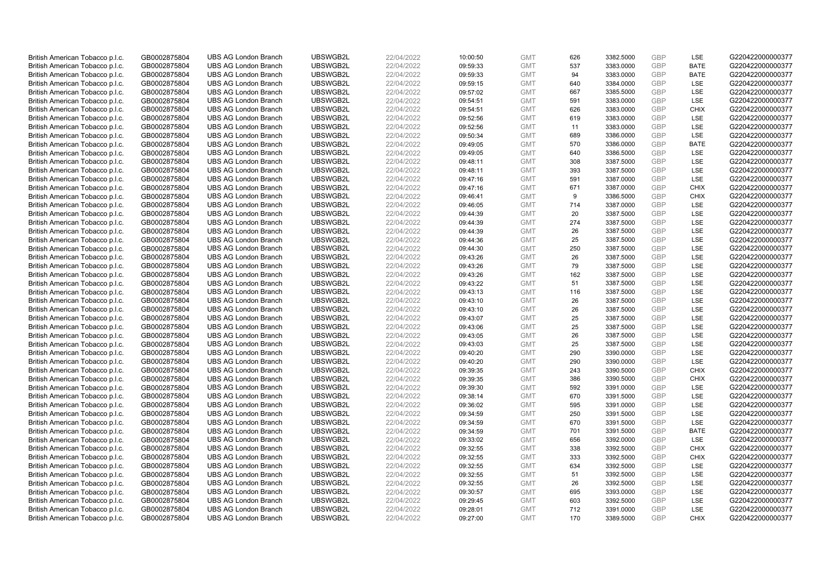| British American Tobacco p.l.c. | GB0002875804 |                             | UBSWGB2L | 22/04/2022 |          | <b>GMT</b> |            |           | <b>GBP</b> | LSE         | G220422000000377 |
|---------------------------------|--------------|-----------------------------|----------|------------|----------|------------|------------|-----------|------------|-------------|------------------|
|                                 |              | <b>UBS AG London Branch</b> |          |            | 10:00:50 |            | 626<br>537 | 3382.5000 | GBP        | <b>BATE</b> |                  |
| British American Tobacco p.l.c. | GB0002875804 | <b>UBS AG London Branch</b> | UBSWGB2L | 22/04/2022 | 09:59:33 | <b>GMT</b> |            | 3383.0000 |            |             | G220422000000377 |
| British American Tobacco p.l.c. | GB0002875804 | <b>UBS AG London Branch</b> | UBSWGB2L | 22/04/2022 | 09:59:33 | <b>GMT</b> | 94         | 3383.0000 | <b>GBP</b> | <b>BATE</b> | G220422000000377 |
| British American Tobacco p.l.c. | GB0002875804 | <b>UBS AG London Branch</b> | UBSWGB2L | 22/04/2022 | 09:59:15 | <b>GMT</b> | 640        | 3384.0000 | <b>GBP</b> | LSE         | G220422000000377 |
| British American Tobacco p.l.c. | GB0002875804 | <b>UBS AG London Branch</b> | UBSWGB2L | 22/04/2022 | 09:57:02 | <b>GMT</b> | 667        | 3385.5000 | <b>GBP</b> | LSE         | G220422000000377 |
| British American Tobacco p.l.c. | GB0002875804 | <b>UBS AG London Branch</b> | UBSWGB2L | 22/04/2022 | 09:54:51 | <b>GMT</b> | 591        | 3383.0000 | <b>GBP</b> | <b>LSE</b>  | G220422000000377 |
| British American Tobacco p.l.c. | GB0002875804 | <b>UBS AG London Branch</b> | UBSWGB2L | 22/04/2022 | 09:54:51 | <b>GMT</b> | 626        | 3383.0000 | <b>GBP</b> | <b>CHIX</b> | G220422000000377 |
| British American Tobacco p.l.c. | GB0002875804 | <b>UBS AG London Branch</b> | UBSWGB2L | 22/04/2022 | 09:52:56 | <b>GMT</b> | 619        | 3383.0000 | <b>GBP</b> | <b>LSE</b>  | G220422000000377 |
| British American Tobacco p.l.c. | GB0002875804 | <b>UBS AG London Branch</b> | UBSWGB2L | 22/04/2022 | 09:52:56 | <b>GMT</b> | 11         | 3383.0000 | GBP        | LSE         | G220422000000377 |
| British American Tobacco p.l.c. | GB0002875804 | <b>UBS AG London Branch</b> | UBSWGB2L | 22/04/2022 | 09:50:34 | <b>GMT</b> | 689        | 3386.0000 | <b>GBP</b> | LSE         | G220422000000377 |
| British American Tobacco p.l.c. | GB0002875804 | <b>UBS AG London Branch</b> | UBSWGB2L | 22/04/2022 | 09:49:05 | <b>GMT</b> | 570        | 3386.0000 | <b>GBP</b> | <b>BATE</b> | G220422000000377 |
| British American Tobacco p.l.c. | GB0002875804 | <b>UBS AG London Branch</b> | UBSWGB2L | 22/04/2022 | 09:49:05 | <b>GMT</b> | 640        | 3386.5000 | <b>GBP</b> | LSE         | G220422000000377 |
| British American Tobacco p.l.c. | GB0002875804 | <b>UBS AG London Branch</b> | UBSWGB2L | 22/04/2022 | 09:48:11 | <b>GMT</b> | 308        | 3387.5000 | GBP        | LSE         | G220422000000377 |
| British American Tobacco p.l.c. | GB0002875804 | <b>UBS AG London Branch</b> | UBSWGB2L | 22/04/2022 | 09:48:11 | <b>GMT</b> | 393        | 3387.5000 | <b>GBP</b> | LSE         | G220422000000377 |
| British American Tobacco p.l.c. | GB0002875804 | <b>UBS AG London Branch</b> | UBSWGB2L | 22/04/2022 | 09:47:16 | <b>GMT</b> | 591        | 3387.0000 | GBP        | <b>LSE</b>  | G220422000000377 |
| British American Tobacco p.l.c. | GB0002875804 | <b>UBS AG London Branch</b> | UBSWGB2L | 22/04/2022 | 09:47:16 | <b>GMT</b> | 671        | 3387.0000 | <b>GBP</b> | <b>CHIX</b> | G220422000000377 |
| British American Tobacco p.l.c. | GB0002875804 | <b>UBS AG London Branch</b> | UBSWGB2L | 22/04/2022 | 09:46:41 | <b>GMT</b> | 9          | 3386.5000 | GBP        | <b>CHIX</b> | G220422000000377 |
| British American Tobacco p.l.c. | GB0002875804 | <b>UBS AG London Branch</b> | UBSWGB2L | 22/04/2022 | 09:46:05 | <b>GMT</b> | 714        | 3387.0000 | GBP        | <b>LSE</b>  | G220422000000377 |
| British American Tobacco p.l.c. | GB0002875804 | <b>UBS AG London Branch</b> | UBSWGB2L | 22/04/2022 | 09:44:39 | <b>GMT</b> | 20         | 3387.5000 | <b>GBP</b> | <b>LSE</b>  | G220422000000377 |
| British American Tobacco p.l.c. | GB0002875804 | <b>UBS AG London Branch</b> | UBSWGB2L | 22/04/2022 | 09:44:39 | <b>GMT</b> | 274        | 3387.5000 | <b>GBP</b> | LSE         | G220422000000377 |
| British American Tobacco p.l.c. | GB0002875804 | <b>UBS AG London Branch</b> | UBSWGB2L | 22/04/2022 | 09:44:39 | <b>GMT</b> | 26         | 3387.5000 | <b>GBP</b> | LSE         | G220422000000377 |
| British American Tobacco p.l.c. | GB0002875804 | <b>UBS AG London Branch</b> | UBSWGB2L | 22/04/2022 | 09:44:36 | <b>GMT</b> | 25         | 3387.5000 | GBP        | LSE         | G220422000000377 |
| British American Tobacco p.l.c. | GB0002875804 | <b>UBS AG London Branch</b> | UBSWGB2L | 22/04/2022 | 09:44:30 | <b>GMT</b> | 250        | 3387.5000 | <b>GBP</b> | LSE         | G220422000000377 |
| British American Tobacco p.l.c. | GB0002875804 | <b>UBS AG London Branch</b> | UBSWGB2L | 22/04/2022 | 09:43:26 | <b>GMT</b> | 26         | 3387.5000 | <b>GBP</b> | <b>LSE</b>  | G220422000000377 |
| British American Tobacco p.l.c. | GB0002875804 | <b>UBS AG London Branch</b> | UBSWGB2L | 22/04/2022 | 09:43:26 | <b>GMT</b> | 79         | 3387.5000 | <b>GBP</b> | LSE         | G220422000000377 |
| British American Tobacco p.l.c. | GB0002875804 | <b>UBS AG London Branch</b> | UBSWGB2L | 22/04/2022 | 09:43:26 | <b>GMT</b> | 162        | 3387.5000 | GBP        | LSE         | G220422000000377 |
| British American Tobacco p.l.c. | GB0002875804 | <b>UBS AG London Branch</b> | UBSWGB2L | 22/04/2022 | 09:43:22 | <b>GMT</b> | 51         | 3387.5000 | <b>GBP</b> | LSE         | G220422000000377 |
| British American Tobacco p.l.c. | GB0002875804 | <b>UBS AG London Branch</b> | UBSWGB2L | 22/04/2022 | 09:43:13 | <b>GMT</b> | 116        | 3387.5000 | GBP        | LSE         | G220422000000377 |
| British American Tobacco p.l.c. | GB0002875804 | <b>UBS AG London Branch</b> | UBSWGB2L | 22/04/2022 | 09:43:10 | <b>GMT</b> | 26         | 3387.5000 | <b>GBP</b> | LSE         | G220422000000377 |
| British American Tobacco p.l.c. | GB0002875804 | <b>UBS AG London Branch</b> | UBSWGB2L | 22/04/2022 | 09:43:10 | <b>GMT</b> | 26         | 3387.5000 | GBP        | LSE         | G220422000000377 |
| British American Tobacco p.l.c. | GB0002875804 | <b>UBS AG London Branch</b> | UBSWGB2L | 22/04/2022 | 09:43:07 | <b>GMT</b> | 25         | 3387.5000 | GBP        | LSE         | G220422000000377 |
| British American Tobacco p.l.c. | GB0002875804 | <b>UBS AG London Branch</b> | UBSWGB2L | 22/04/2022 | 09:43:06 | <b>GMT</b> | 25         | 3387.5000 | <b>GBP</b> | <b>LSE</b>  | G220422000000377 |
| British American Tobacco p.l.c. | GB0002875804 | <b>UBS AG London Branch</b> | UBSWGB2L | 22/04/2022 | 09:43:05 | <b>GMT</b> | 26         | 3387.5000 | <b>GBP</b> | LSE         | G220422000000377 |
| British American Tobacco p.l.c. | GB0002875804 | <b>UBS AG London Branch</b> | UBSWGB2L | 22/04/2022 | 09:43:03 | <b>GMT</b> | 25         | 3387.5000 | <b>GBP</b> | LSE         | G220422000000377 |
| British American Tobacco p.l.c. | GB0002875804 | <b>UBS AG London Branch</b> | UBSWGB2L | 22/04/2022 | 09:40:20 | <b>GMT</b> | 290        | 3390.0000 | GBP        | LSE         | G220422000000377 |
| British American Tobacco p.l.c. | GB0002875804 | <b>UBS AG London Branch</b> | UBSWGB2L | 22/04/2022 | 09:40:20 | <b>GMT</b> | 290        | 3390.0000 | <b>GBP</b> | LSE         | G220422000000377 |
| British American Tobacco p.l.c. | GB0002875804 | <b>UBS AG London Branch</b> | UBSWGB2L | 22/04/2022 | 09:39:35 | <b>GMT</b> | 243        | 3390.5000 | <b>GBP</b> | <b>CHIX</b> | G220422000000377 |
| British American Tobacco p.l.c. | GB0002875804 | <b>UBS AG London Branch</b> | UBSWGB2L | 22/04/2022 | 09:39:35 | <b>GMT</b> | 386        | 3390.5000 | <b>GBP</b> | <b>CHIX</b> | G220422000000377 |
| British American Tobacco p.l.c. | GB0002875804 | <b>UBS AG London Branch</b> | UBSWGB2L | 22/04/2022 | 09:39:30 | <b>GMT</b> | 592        | 3391.0000 | GBP        | LSE         | G220422000000377 |
| British American Tobacco p.l.c. | GB0002875804 | <b>UBS AG London Branch</b> | UBSWGB2L | 22/04/2022 | 09:38:14 | <b>GMT</b> | 670        | 3391.5000 | <b>GBP</b> | <b>LSE</b>  | G220422000000377 |
| British American Tobacco p.l.c. | GB0002875804 | <b>UBS AG London Branch</b> | UBSWGB2L | 22/04/2022 | 09:36:02 | <b>GMT</b> | 595        | 3391.0000 | GBP        | LSE         | G220422000000377 |
| British American Tobacco p.l.c. | GB0002875804 | <b>UBS AG London Branch</b> | UBSWGB2L | 22/04/2022 | 09:34:59 | <b>GMT</b> | 250        | 3391.5000 | <b>GBP</b> | LSE         | G220422000000377 |
| British American Tobacco p.l.c. | GB0002875804 | <b>UBS AG London Branch</b> | UBSWGB2L | 22/04/2022 | 09:34:59 | <b>GMT</b> | 670        | 3391.5000 | GBP        | LSE         | G220422000000377 |
| British American Tobacco p.l.c. | GB0002875804 | <b>UBS AG London Branch</b> | UBSWGB2L | 22/04/2022 | 09:34:59 | <b>GMT</b> | 701        | 3391.5000 | GBP        | <b>BATE</b> | G220422000000377 |
| British American Tobacco p.l.c. | GB0002875804 | <b>UBS AG London Branch</b> | UBSWGB2L | 22/04/2022 | 09:33:02 | <b>GMT</b> | 656        | 3392.0000 | <b>GBP</b> | LSE         | G220422000000377 |
| British American Tobacco p.l.c. | GB0002875804 | <b>UBS AG London Branch</b> | UBSWGB2L | 22/04/2022 | 09:32:55 | <b>GMT</b> | 338        | 3392.5000 | <b>GBP</b> | <b>CHIX</b> | G220422000000377 |
| British American Tobacco p.l.c. | GB0002875804 | <b>UBS AG London Branch</b> | UBSWGB2L | 22/04/2022 | 09:32:55 | <b>GMT</b> | 333        | 3392.5000 | <b>GBP</b> | <b>CHIX</b> | G220422000000377 |
| British American Tobacco p.l.c. | GB0002875804 | <b>UBS AG London Branch</b> | UBSWGB2L | 22/04/2022 | 09:32:55 | <b>GMT</b> | 634        | 3392.5000 | GBP        | LSE         | G220422000000377 |
|                                 |              |                             |          |            |          | <b>GMT</b> |            |           | <b>GBP</b> |             |                  |
| British American Tobacco p.l.c. | GB0002875804 | <b>UBS AG London Branch</b> | UBSWGB2L | 22/04/2022 | 09:32:55 |            | 51         | 3392.5000 | GBP        | LSE         | G220422000000377 |
| British American Tobacco p.l.c. | GB0002875804 | <b>UBS AG London Branch</b> | UBSWGB2L | 22/04/2022 | 09:32:55 | <b>GMT</b> | 26         | 3392.5000 |            | <b>LSE</b>  | G220422000000377 |
| British American Tobacco p.l.c. | GB0002875804 | <b>UBS AG London Branch</b> | UBSWGB2L | 22/04/2022 | 09:30:57 | <b>GMT</b> | 695        | 3393.0000 | <b>GBP</b> | LSE         | G220422000000377 |
| British American Tobacco p.l.c. | GB0002875804 | <b>UBS AG London Branch</b> | UBSWGB2L | 22/04/2022 | 09:29:45 | <b>GMT</b> | 603        | 3392.5000 | <b>GBP</b> | LSE         | G220422000000377 |
| British American Tobacco p.l.c. | GB0002875804 | <b>UBS AG London Branch</b> | UBSWGB2L | 22/04/2022 | 09:28:01 | <b>GMT</b> | 712        | 3391.0000 | <b>GBP</b> | LSE         | G220422000000377 |
| British American Tobacco p.l.c. | GB0002875804 | <b>UBS AG London Branch</b> | UBSWGB2L | 22/04/2022 | 09:27:00 | <b>GMT</b> | 170        | 3389.5000 | GBP        | CHIX        | G220422000000377 |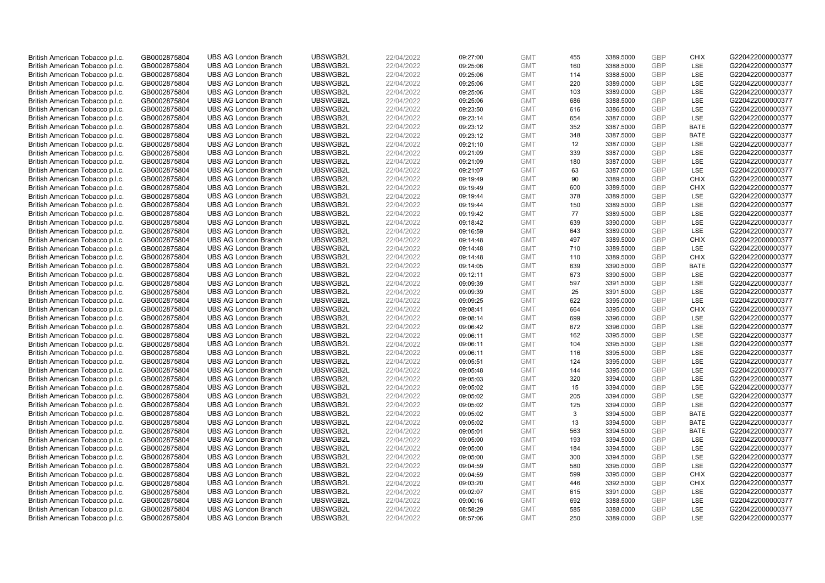| British American Tobacco p.l.c. | GB0002875804 | <b>UBS AG London Branch</b> | UBSWGB2L | 22/04/2022 | 09:27:00 | <b>GMT</b> | 455 | 3389.5000 | <b>GBP</b> | <b>CHIX</b> | G220422000000377 |
|---------------------------------|--------------|-----------------------------|----------|------------|----------|------------|-----|-----------|------------|-------------|------------------|
|                                 |              |                             |          |            |          |            | 160 |           | GBP        | <b>LSE</b>  |                  |
| British American Tobacco p.l.c. | GB0002875804 | <b>UBS AG London Branch</b> | UBSWGB2L | 22/04/2022 | 09:25:06 | <b>GMT</b> |     | 3388.5000 |            |             | G220422000000377 |
| British American Tobacco p.l.c. | GB0002875804 | <b>UBS AG London Branch</b> | UBSWGB2L | 22/04/2022 | 09:25:06 | <b>GMT</b> | 114 | 3388.5000 | <b>GBP</b> | LSE         | G220422000000377 |
| British American Tobacco p.l.c. | GB0002875804 | <b>UBS AG London Branch</b> | UBSWGB2L | 22/04/2022 | 09:25:06 | <b>GMT</b> | 220 | 3389.0000 | GBP        | LSE         | G220422000000377 |
| British American Tobacco p.l.c. | GB0002875804 | <b>UBS AG London Branch</b> | UBSWGB2L | 22/04/2022 | 09:25:06 | <b>GMT</b> | 103 | 3389.0000 | <b>GBP</b> | LSE         | G220422000000377 |
| British American Tobacco p.l.c. | GB0002875804 | <b>UBS AG London Branch</b> | UBSWGB2L | 22/04/2022 | 09:25:06 | <b>GMT</b> | 686 | 3388.5000 | <b>GBP</b> | <b>LSE</b>  | G220422000000377 |
| British American Tobacco p.l.c. | GB0002875804 | <b>UBS AG London Branch</b> | UBSWGB2L | 22/04/2022 | 09:23:50 | <b>GMT</b> | 616 | 3386.5000 | <b>GBP</b> | LSE         | G220422000000377 |
| British American Tobacco p.l.c. | GB0002875804 | <b>UBS AG London Branch</b> | UBSWGB2L | 22/04/2022 | 09:23:14 | <b>GMT</b> | 654 | 3387.0000 | <b>GBP</b> | LSE         | G220422000000377 |
| British American Tobacco p.l.c. | GB0002875804 | <b>UBS AG London Branch</b> | UBSWGB2L | 22/04/2022 | 09:23:12 | <b>GMT</b> | 352 | 3387.5000 | GBP        | <b>BATE</b> | G220422000000377 |
| British American Tobacco p.l.c. | GB0002875804 | <b>UBS AG London Branch</b> | UBSWGB2L | 22/04/2022 | 09:23:12 | <b>GMT</b> | 348 | 3387.5000 | <b>GBP</b> | <b>BATE</b> | G220422000000377 |
| British American Tobacco p.l.c. | GB0002875804 | <b>UBS AG London Branch</b> | UBSWGB2L | 22/04/2022 | 09:21:10 | <b>GMT</b> | 12  | 3387.0000 | GBP        | <b>LSE</b>  | G220422000000377 |
| British American Tobacco p.l.c. | GB0002875804 | <b>UBS AG London Branch</b> | UBSWGB2L | 22/04/2022 | 09:21:09 | <b>GMT</b> | 339 | 3387.0000 | <b>GBP</b> | LSE         | G220422000000377 |
| British American Tobacco p.l.c. | GB0002875804 | <b>UBS AG London Branch</b> | UBSWGB2L | 22/04/2022 | 09:21:09 | <b>GMT</b> | 180 | 3387.0000 | GBP        | LSE         | G220422000000377 |
| British American Tobacco p.l.c. | GB0002875804 | <b>UBS AG London Branch</b> | UBSWGB2L | 22/04/2022 | 09:21:07 | <b>GMT</b> | 63  | 3387.0000 | <b>GBP</b> | LSE         | G220422000000377 |
| British American Tobacco p.l.c. | GB0002875804 | <b>UBS AG London Branch</b> | UBSWGB2L | 22/04/2022 | 09:19:49 | <b>GMT</b> | 90  | 3389.5000 | GBP        | CHIX        | G220422000000377 |
| British American Tobacco p.l.c. | GB0002875804 | <b>UBS AG London Branch</b> | UBSWGB2L | 22/04/2022 | 09:19:49 | <b>GMT</b> | 600 | 3389.5000 | GBP        | <b>CHIX</b> | G220422000000377 |
| British American Tobacco p.l.c. | GB0002875804 | <b>UBS AG London Branch</b> | UBSWGB2L | 22/04/2022 | 09:19:44 | <b>GMT</b> | 378 | 3389.5000 | GBP        | LSE         | G220422000000377 |
| British American Tobacco p.l.c. | GB0002875804 | <b>UBS AG London Branch</b> | UBSWGB2L | 22/04/2022 | 09:19:44 | <b>GMT</b> | 150 | 3389.5000 | GBP        | LSE         | G220422000000377 |
| British American Tobacco p.l.c. | GB0002875804 | <b>UBS AG London Branch</b> | UBSWGB2L | 22/04/2022 | 09:19:42 | <b>GMT</b> | 77  | 3389.5000 | <b>GBP</b> | <b>LSE</b>  | G220422000000377 |
| British American Tobacco p.l.c. | GB0002875804 | <b>UBS AG London Branch</b> | UBSWGB2L | 22/04/2022 | 09:18:42 | <b>GMT</b> | 639 | 3390.0000 | <b>GBP</b> | LSE         | G220422000000377 |
| British American Tobacco p.l.c. | GB0002875804 | <b>UBS AG London Branch</b> | UBSWGB2L | 22/04/2022 | 09:16:59 | <b>GMT</b> | 643 | 3389.0000 | <b>GBP</b> | LSE         | G220422000000377 |
| British American Tobacco p.l.c. | GB0002875804 | <b>UBS AG London Branch</b> | UBSWGB2L | 22/04/2022 | 09:14:48 | <b>GMT</b> | 497 | 3389.5000 | GBP        | <b>CHIX</b> | G220422000000377 |
| British American Tobacco p.l.c. | GB0002875804 | <b>UBS AG London Branch</b> | UBSWGB2L | 22/04/2022 | 09:14:48 | <b>GMT</b> | 710 | 3389.5000 | GBP        | LSE         | G220422000000377 |
| British American Tobacco p.l.c. | GB0002875804 | <b>UBS AG London Branch</b> | UBSWGB2L | 22/04/2022 | 09:14:48 | <b>GMT</b> | 110 | 3389.5000 | GBP        | <b>CHIX</b> | G220422000000377 |
| British American Tobacco p.l.c. | GB0002875804 | <b>UBS AG London Branch</b> | UBSWGB2L | 22/04/2022 | 09:14:05 | <b>GMT</b> | 639 | 3390.5000 | <b>GBP</b> | <b>BATE</b> | G220422000000377 |
| British American Tobacco p.l.c. | GB0002875804 | <b>UBS AG London Branch</b> | UBSWGB2L | 22/04/2022 | 09:12:11 | <b>GMT</b> | 673 | 3390.5000 | GBP        | LSE         | G220422000000377 |
| British American Tobacco p.l.c. | GB0002875804 | <b>UBS AG London Branch</b> | UBSWGB2L | 22/04/2022 | 09:09:39 | <b>GMT</b> | 597 | 3391.5000 | <b>GBP</b> | LSE         | G220422000000377 |
| British American Tobacco p.l.c. | GB0002875804 | <b>UBS AG London Branch</b> | UBSWGB2L | 22/04/2022 | 09:09:39 | <b>GMT</b> | 25  | 3391.5000 | GBP        | LSE         | G220422000000377 |
| British American Tobacco p.l.c. | GB0002875804 | <b>UBS AG London Branch</b> | UBSWGB2L | 22/04/2022 | 09:09:25 | <b>GMT</b> | 622 | 3395.0000 | <b>GBP</b> | LSE         | G220422000000377 |
| British American Tobacco p.l.c. | GB0002875804 | <b>UBS AG London Branch</b> | UBSWGB2L | 22/04/2022 | 09:08:41 | <b>GMT</b> | 664 | 3395.0000 | GBP        | <b>CHIX</b> | G220422000000377 |
| British American Tobacco p.l.c. | GB0002875804 | <b>UBS AG London Branch</b> | UBSWGB2L | 22/04/2022 | 09:08:14 | <b>GMT</b> | 699 | 3396.0000 | <b>GBP</b> | <b>LSE</b>  | G220422000000377 |
| British American Tobacco p.l.c. | GB0002875804 | <b>UBS AG London Branch</b> | UBSWGB2L | 22/04/2022 | 09:06:42 | <b>GMT</b> | 672 | 3396.0000 | GBP        | <b>LSE</b>  | G220422000000377 |
| British American Tobacco p.l.c. | GB0002875804 | <b>UBS AG London Branch</b> | UBSWGB2L | 22/04/2022 | 09:06:11 | <b>GMT</b> | 162 | 3395.5000 | GBP        | LSE         | G220422000000377 |
| British American Tobacco p.l.c. | GB0002875804 | <b>UBS AG London Branch</b> | UBSWGB2L | 22/04/2022 | 09:06:11 | <b>GMT</b> | 104 | 3395.5000 | <b>GBP</b> | LSE         | G220422000000377 |
| British American Tobacco p.l.c. | GB0002875804 | <b>UBS AG London Branch</b> | UBSWGB2L | 22/04/2022 | 09:06:11 | <b>GMT</b> | 116 | 3395.5000 | GBP        | LSE         | G220422000000377 |
| British American Tobacco p.l.c. | GB0002875804 | <b>UBS AG London Branch</b> | UBSWGB2L | 22/04/2022 | 09:05:51 | <b>GMT</b> | 124 | 3395.0000 | <b>GBP</b> | LSE         | G220422000000377 |
| British American Tobacco p.l.c. | GB0002875804 | <b>UBS AG London Branch</b> | UBSWGB2L | 22/04/2022 | 09:05:48 | <b>GMT</b> | 144 | 3395.0000 | GBP        | <b>LSE</b>  | G220422000000377 |
| British American Tobacco p.l.c. | GB0002875804 | <b>UBS AG London Branch</b> | UBSWGB2L | 22/04/2022 | 09:05:03 | <b>GMT</b> | 320 | 3394.0000 | <b>GBP</b> | LSE         | G220422000000377 |
| British American Tobacco p.l.c. | GB0002875804 | <b>UBS AG London Branch</b> | UBSWGB2L | 22/04/2022 | 09:05:02 | <b>GMT</b> | 15  | 3394.0000 | GBP        | LSE         | G220422000000377 |
| British American Tobacco p.l.c. | GB0002875804 | <b>UBS AG London Branch</b> | UBSWGB2L | 22/04/2022 | 09:05:02 | <b>GMT</b> | 205 | 3394.0000 | <b>GBP</b> | LSE         | G220422000000377 |
| British American Tobacco p.l.c. | GB0002875804 | <b>UBS AG London Branch</b> | UBSWGB2L | 22/04/2022 | 09:05:02 | <b>GMT</b> | 125 | 3394.0000 | GBP        | LSE         | G220422000000377 |
| British American Tobacco p.l.c. | GB0002875804 | <b>UBS AG London Branch</b> | UBSWGB2L | 22/04/2022 | 09:05:02 | <b>GMT</b> | 3   | 3394.5000 | <b>GBP</b> | <b>BATE</b> | G220422000000377 |
| British American Tobacco p.l.c. | GB0002875804 | <b>UBS AG London Branch</b> | UBSWGB2L | 22/04/2022 | 09:05:02 | <b>GMT</b> | 13  | 3394.5000 | GBP        | <b>BATE</b> | G220422000000377 |
| British American Tobacco p.l.c. | GB0002875804 | <b>UBS AG London Branch</b> | UBSWGB2L | 22/04/2022 | 09:05:01 | <b>GMT</b> | 563 | 3394.5000 | GBP        | <b>BATE</b> | G220422000000377 |
| British American Tobacco p.l.c. | GB0002875804 | <b>UBS AG London Branch</b> | UBSWGB2L | 22/04/2022 | 09:05:00 | <b>GMT</b> | 193 | 3394.5000 | GBP        | LSE         | G220422000000377 |
| British American Tobacco p.l.c. | GB0002875804 | <b>UBS AG London Branch</b> | UBSWGB2L | 22/04/2022 | 09:05:00 | <b>GMT</b> | 184 | 3394.5000 | GBP        | LSE         | G220422000000377 |
| British American Tobacco p.l.c. | GB0002875804 | <b>UBS AG London Branch</b> | UBSWGB2L | 22/04/2022 | 09:05:00 | <b>GMT</b> | 300 | 3394.5000 | <b>GBP</b> | LSE         | G220422000000377 |
| British American Tobacco p.l.c. | GB0002875804 | <b>UBS AG London Branch</b> | UBSWGB2L | 22/04/2022 | 09:04:59 | <b>GMT</b> | 580 | 3395.0000 | GBP        | LSE         | G220422000000377 |
| British American Tobacco p.l.c. | GB0002875804 | <b>UBS AG London Branch</b> | UBSWGB2L | 22/04/2022 | 09:04:59 | <b>GMT</b> | 599 | 3395.0000 | GBP        | <b>CHIX</b> | G220422000000377 |
| British American Tobacco p.l.c. | GB0002875804 | <b>UBS AG London Branch</b> | UBSWGB2L | 22/04/2022 | 09:03:20 | <b>GMT</b> | 446 | 3392.5000 | GBP        | <b>CHIX</b> | G220422000000377 |
| British American Tobacco p.l.c. | GB0002875804 | <b>UBS AG London Branch</b> | UBSWGB2L | 22/04/2022 | 09:02:07 | <b>GMT</b> | 615 | 3391.0000 | <b>GBP</b> | LSE         | G220422000000377 |
| British American Tobacco p.l.c. | GB0002875804 | <b>UBS AG London Branch</b> | UBSWGB2L | 22/04/2022 | 09:00:16 | <b>GMT</b> | 692 | 3388.5000 | GBP        | LSE         | G220422000000377 |
| British American Tobacco p.l.c. | GB0002875804 | <b>UBS AG London Branch</b> | UBSWGB2L | 22/04/2022 | 08:58:29 | <b>GMT</b> | 585 | 3388.0000 | <b>GBP</b> | LSE         | G220422000000377 |
| British American Tobacco p.l.c. | GB0002875804 | <b>UBS AG London Branch</b> | UBSWGB2L | 22/04/2022 | 08:57:06 | <b>GMT</b> | 250 | 3389.0000 | GBP        | <b>LSE</b>  | G220422000000377 |
|                                 |              |                             |          |            |          |            |     |           |            |             |                  |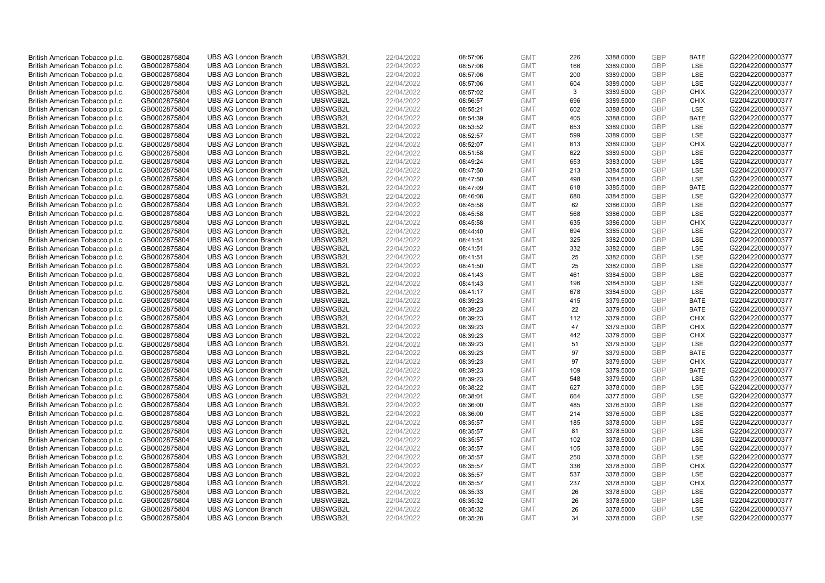| British American Tobacco p.l.c.                                    | GB0002875804                 | <b>UBS AG London Branch</b>                                | UBSWGB2L             | 22/04/2022               | 08:57:06             | <b>GMT</b>               | 226        | 3388.0000              | <b>GBP</b>        | <b>BATE</b>       | G220422000000377                     |
|--------------------------------------------------------------------|------------------------------|------------------------------------------------------------|----------------------|--------------------------|----------------------|--------------------------|------------|------------------------|-------------------|-------------------|--------------------------------------|
| British American Tobacco p.l.c.                                    | GB0002875804                 | <b>UBS AG London Branch</b>                                | UBSWGB2L             | 22/04/2022               | 08:57:06             | <b>GMT</b>               | 166        | 3389.0000              | GBP               | LSE               | G220422000000377                     |
| British American Tobacco p.l.c.                                    | GB0002875804                 | <b>UBS AG London Branch</b>                                | UBSWGB2L             | 22/04/2022               | 08:57:06             | <b>GMT</b>               | 200        | 3389.0000              | <b>GBP</b>        | LSE               | G220422000000377                     |
| British American Tobacco p.l.c.                                    | GB0002875804                 | <b>UBS AG London Branch</b>                                | UBSWGB2L             | 22/04/2022               | 08:57:06             | <b>GMT</b>               | 604        | 3389.0000              | GBP               | <b>LSE</b>        | G220422000000377                     |
| British American Tobacco p.l.c.                                    | GB0002875804                 | <b>UBS AG London Branch</b>                                | UBSWGB2L             | 22/04/2022               | 08:57:02             | <b>GMT</b>               | 3          | 3389.5000              | <b>GBP</b>        | <b>CHIX</b>       | G220422000000377                     |
| British American Tobacco p.l.c.                                    | GB0002875804                 | <b>UBS AG London Branch</b>                                | UBSWGB2L             | 22/04/2022               | 08:56:57             | <b>GMT</b>               | 696        | 3389.5000              | GBP               | CHIX              | G220422000000377                     |
| British American Tobacco p.l.c.                                    | GB0002875804                 | <b>UBS AG London Branch</b>                                | UBSWGB2L             | 22/04/2022               | 08:55:21             | <b>GMT</b>               | 602        | 3388.5000              | <b>GBP</b>        | LSE               | G220422000000377                     |
| British American Tobacco p.l.c.                                    | GB0002875804                 | <b>UBS AG London Branch</b>                                | UBSWGB2L             | 22/04/2022               | 08:54:39             | <b>GMT</b>               | 405        | 3388.0000              | GBP               | <b>BATE</b>       | G220422000000377                     |
| British American Tobacco p.l.c.                                    | GB0002875804                 | <b>UBS AG London Branch</b>                                | UBSWGB2L             | 22/04/2022               | 08:53:52             | <b>GMT</b>               | 653        | 3389.0000              | GBP               | LSE               | G220422000000377                     |
| British American Tobacco p.l.c.                                    | GB0002875804                 | <b>UBS AG London Branch</b>                                | UBSWGB2L             | 22/04/2022               | 08:52:57             | <b>GMT</b>               | 599        | 3389.0000              | GBP               | <b>LSE</b>        | G220422000000377                     |
| British American Tobacco p.l.c.                                    | GB0002875804                 | <b>UBS AG London Branch</b>                                | UBSWGB2L             | 22/04/2022               | 08:52:07             | <b>GMT</b>               | 613        | 3389.0000              | <b>GBP</b>        | <b>CHIX</b>       | G220422000000377                     |
| British American Tobacco p.l.c.                                    | GB0002875804                 | <b>UBS AG London Branch</b>                                | UBSWGB2L             | 22/04/2022               | 08:51:58             | <b>GMT</b>               | 622        | 3389.5000              | <b>GBP</b>        | LSE               | G220422000000377                     |
| British American Tobacco p.l.c.                                    | GB0002875804                 | <b>UBS AG London Branch</b>                                | UBSWGB2L             | 22/04/2022               | 08:49:24             | <b>GMT</b>               | 653        | 3383.0000              | GBP               | LSE               | G220422000000377                     |
| British American Tobacco p.l.c.                                    | GB0002875804                 | <b>UBS AG London Branch</b>                                | UBSWGB2L             | 22/04/2022               | 08:47:50             | <b>GMT</b>               | 213        | 3384.5000              | <b>GBP</b>        | LSE               | G220422000000377                     |
| British American Tobacco p.l.c.                                    | GB0002875804                 | <b>UBS AG London Branch</b>                                | UBSWGB2L             | 22/04/2022               | 08:47:50             | <b>GMT</b>               | 498        | 3384.5000              | GBP               | LSE               | G220422000000377                     |
| British American Tobacco p.l.c.                                    | GB0002875804                 | <b>UBS AG London Branch</b>                                | UBSWGB2L             | 22/04/2022               | 08:47:09             | <b>GMT</b>               | 618        | 3385.5000              | <b>GBP</b>        | <b>BATE</b>       | G220422000000377                     |
| British American Tobacco p.l.c.                                    | GB0002875804                 | <b>UBS AG London Branch</b>                                | UBSWGB2L             | 22/04/2022               | 08:46:08             | <b>GMT</b>               | 680        | 3384.5000              | GBP               | LSE               | G220422000000377                     |
| British American Tobacco p.l.c.                                    | GB0002875804                 | <b>UBS AG London Branch</b>                                | UBSWGB2L             | 22/04/2022               | 08:45:58             | <b>GMT</b>               | 62         | 3386.0000              | <b>GBP</b>        | LSE               | G220422000000377                     |
| British American Tobacco p.l.c.                                    | GB0002875804                 | <b>UBS AG London Branch</b>                                | UBSWGB2L             | 22/04/2022               | 08:45:58             | <b>GMT</b>               | 568        | 3386.0000              | GBP               | <b>LSE</b>        | G220422000000377                     |
| British American Tobacco p.l.c.                                    | GB0002875804                 | <b>UBS AG London Branch</b>                                | UBSWGB2L             | 22/04/2022               | 08:45:58             | <b>GMT</b>               | 635        | 3386.0000              | <b>GBP</b>        | <b>CHIX</b>       | G220422000000377                     |
| British American Tobacco p.l.c.                                    | GB0002875804                 | <b>UBS AG London Branch</b>                                | UBSWGB2L             | 22/04/2022               | 08:44:40             | <b>GMT</b>               | 694        | 3385.0000              | GBP               | LSE               | G220422000000377                     |
| British American Tobacco p.l.c.                                    | GB0002875804                 | <b>UBS AG London Branch</b>                                | UBSWGB2L             | 22/04/2022               | 08:41:51             | <b>GMT</b>               | 325        | 3382.0000              | <b>GBP</b>        | <b>LSE</b>        | G220422000000377                     |
| British American Tobacco p.l.c.                                    | GB0002875804                 | <b>UBS AG London Branch</b>                                | UBSWGB2L             | 22/04/2022               | 08:41:51             | <b>GMT</b>               | 332        | 3382.0000              | GBP               | <b>LSE</b>        | G220422000000377                     |
| British American Tobacco p.l.c.                                    | GB0002875804                 | <b>UBS AG London Branch</b>                                | UBSWGB2L             | 22/04/2022               | 08:41:51             | <b>GMT</b>               | 25         | 3382.0000              | <b>GBP</b>        | LSE               | G220422000000377                     |
| British American Tobacco p.l.c.                                    | GB0002875804                 | <b>UBS AG London Branch</b>                                | UBSWGB2L             | 22/04/2022               | 08:41:50             | <b>GMT</b>               | 25         | 3382.0000              | <b>GBP</b>        | LSE               | G220422000000377                     |
| British American Tobacco p.l.c.                                    | GB0002875804                 | <b>UBS AG London Branch</b>                                | UBSWGB2L             | 22/04/2022               | 08:41:43             | <b>GMT</b>               | 461        | 3384.5000              | GBP               | LSE               | G220422000000377                     |
| British American Tobacco p.l.c.                                    | GB0002875804                 | <b>UBS AG London Branch</b>                                | UBSWGB2L             | 22/04/2022               | 08:41:43             | <b>GMT</b>               | 196        | 3384.5000              | <b>GBP</b>        | LSE               | G220422000000377                     |
| British American Tobacco p.l.c.                                    | GB0002875804                 | <b>UBS AG London Branch</b>                                | UBSWGB2L             | 22/04/2022               | 08:41:17             | <b>GMT</b>               | 678        | 3384.5000              | <b>GBP</b>        | LSE               | G220422000000377                     |
| British American Tobacco p.l.c.                                    | GB0002875804                 | <b>UBS AG London Branch</b>                                | UBSWGB2L             | 22/04/2022               | 08:39:23             | <b>GMT</b>               | 415        | 3379.5000              | <b>GBP</b>        | <b>BATE</b>       | G220422000000377                     |
| British American Tobacco p.l.c.                                    | GB0002875804                 | <b>UBS AG London Branch</b>                                | UBSWGB2L             | 22/04/2022               | 08:39:23             | <b>GMT</b>               | 22         | 3379.5000              | <b>GBP</b>        | <b>BATE</b>       | G220422000000377                     |
| British American Tobacco p.l.c.                                    | GB0002875804                 | <b>UBS AG London Branch</b>                                | UBSWGB2L             | 22/04/2022               | 08:39:23             | <b>GMT</b>               | 112        | 3379.5000              | GBP               | <b>CHIX</b>       | G220422000000377                     |
| British American Tobacco p.l.c.                                    | GB0002875804                 | <b>UBS AG London Branch</b>                                | UBSWGB2L             | 22/04/2022               | 08:39:23             | <b>GMT</b>               | 47         | 3379.5000              | <b>GBP</b>        | <b>CHIX</b>       | G220422000000377                     |
| British American Tobacco p.l.c.                                    | GB0002875804                 | <b>UBS AG London Branch</b>                                | UBSWGB2L             | 22/04/2022               | 08:39:23             | <b>GMT</b>               | 442        | 3379.5000              | <b>GBP</b>        | CHIX              | G220422000000377                     |
| British American Tobacco p.l.c.                                    | GB0002875804                 | <b>UBS AG London Branch</b>                                | UBSWGB2L             | 22/04/2022               | 08:39:23             | <b>GMT</b>               | 51         | 3379.5000              | <b>GBP</b>        | LSE               | G220422000000377                     |
| British American Tobacco p.l.c.                                    | GB0002875804                 | <b>UBS AG London Branch</b>                                | UBSWGB2L             | 22/04/2022               | 08:39:23             | <b>GMT</b>               | 97         | 3379.5000              | <b>GBP</b>        | <b>BATE</b>       | G220422000000377                     |
| British American Tobacco p.l.c.                                    | GB0002875804                 | <b>UBS AG London Branch</b>                                | UBSWGB2L             | 22/04/2022               | 08:39:23             | <b>GMT</b>               | 97         | 3379.5000              | <b>GBP</b>        | <b>CHIX</b>       | G220422000000377                     |
| British American Tobacco p.l.c.                                    | GB0002875804                 | <b>UBS AG London Branch</b>                                | UBSWGB2L             | 22/04/2022               | 08:39:23             | <b>GMT</b>               | 109        | 3379.5000              | <b>GBP</b>        | <b>BATE</b>       | G220422000000377                     |
| British American Tobacco p.l.c.                                    | GB0002875804                 | <b>UBS AG London Branch</b>                                | UBSWGB2L             | 22/04/2022               | 08:39:23             | <b>GMT</b>               | 548        | 3379.5000              | <b>GBP</b>        | LSE               | G220422000000377                     |
| British American Tobacco p.l.c.                                    | GB0002875804                 | <b>UBS AG London Branch</b>                                | UBSWGB2L             | 22/04/2022               | 08:38:22             | <b>GMT</b>               | 627        | 3378.0000              | GBP               | LSE               | G220422000000377                     |
| British American Tobacco p.l.c.                                    | GB0002875804                 | <b>UBS AG London Branch</b>                                | UBSWGB2L             | 22/04/2022               | 08:38:01             | <b>GMT</b>               | 664<br>485 | 3377.5000              | <b>GBP</b><br>GBP | LSE<br><b>LSE</b> | G220422000000377                     |
| British American Tobacco p.l.c.                                    | GB0002875804                 | <b>UBS AG London Branch</b><br><b>UBS AG London Branch</b> | UBSWGB2L<br>UBSWGB2L | 22/04/2022               | 08:36:00             | <b>GMT</b>               |            | 3376.5000              | <b>GBP</b>        | LSE               | G220422000000377<br>G220422000000377 |
| British American Tobacco p.l.c.                                    | GB0002875804                 | <b>UBS AG London Branch</b>                                | UBSWGB2L             | 22/04/2022               | 08:36:00             | <b>GMT</b><br><b>GMT</b> | 214<br>185 | 3376.5000              | GBP               |                   |                                      |
| British American Tobacco p.l.c.<br>British American Tobacco p.l.c. | GB0002875804<br>GB0002875804 | <b>UBS AG London Branch</b>                                | UBSWGB2L             | 22/04/2022<br>22/04/2022 | 08:35:57<br>08:35:57 | <b>GMT</b>               | 81         | 3378.5000<br>3378.5000 | <b>GBP</b>        | LSE<br>LSE        | G220422000000377<br>G220422000000377 |
| British American Tobacco p.l.c.                                    | GB0002875804                 | <b>UBS AG London Branch</b>                                | UBSWGB2L             | 22/04/2022               | 08:35:57             | <b>GMT</b>               | 102        | 3378.5000              | <b>GBP</b>        | <b>LSE</b>        | G220422000000377                     |
| British American Tobacco p.l.c.                                    | GB0002875804                 | <b>UBS AG London Branch</b>                                | UBSWGB2L             | 22/04/2022               | 08:35:57             | <b>GMT</b>               | 105        | 3378.5000              | <b>GBP</b>        | LSE               | G220422000000377                     |
| British American Tobacco p.l.c.                                    | GB0002875804                 | <b>UBS AG London Branch</b>                                | UBSWGB2L             | 22/04/2022               | 08:35:57             | <b>GMT</b>               | 250        | 3378.5000              | <b>GBP</b>        | LSE               | G220422000000377                     |
| British American Tobacco p.l.c.                                    | GB0002875804                 | <b>UBS AG London Branch</b>                                | UBSWGB2L             | 22/04/2022               | 08:35:57             | <b>GMT</b>               | 336        | 3378.5000              | GBP               | <b>CHIX</b>       | G220422000000377                     |
| British American Tobacco p.l.c.                                    | GB0002875804                 | <b>UBS AG London Branch</b>                                | UBSWGB2L             | 22/04/2022               | 08:35:57             | <b>GMT</b>               | 537        | 3378.5000              | <b>GBP</b>        | LSE               | G220422000000377                     |
| British American Tobacco p.l.c.                                    | GB0002875804                 | <b>UBS AG London Branch</b>                                | UBSWGB2L             | 22/04/2022               | 08:35:57             | <b>GMT</b>               | 237        | 3378.5000              | GBP               | <b>CHIX</b>       | G220422000000377                     |
| British American Tobacco p.l.c.                                    | GB0002875804                 | <b>UBS AG London Branch</b>                                | UBSWGB2L             | 22/04/2022               | 08:35:33             | <b>GMT</b>               | 26         | 3378.5000              | <b>GBP</b>        | LSE               | G220422000000377                     |
| British American Tobacco p.l.c.                                    | GB0002875804                 | <b>UBS AG London Branch</b>                                | UBSWGB2L             | 22/04/2022               | 08:35:32             | <b>GMT</b>               | 26         | 3378.5000              | <b>GBP</b>        | LSE               | G220422000000377                     |
| British American Tobacco p.l.c.                                    | GB0002875804                 | <b>UBS AG London Branch</b>                                | UBSWGB2L             | 22/04/2022               | 08:35:32             | <b>GMT</b>               | 26         | 3378.5000              | <b>GBP</b>        | LSE               | G220422000000377                     |
| British American Tobacco p.l.c.                                    | GB0002875804                 | <b>UBS AG London Branch</b>                                | UBSWGB2L             | 22/04/2022               | 08:35:28             | <b>GMT</b>               | 34         | 3378.5000              | GBP               | <b>LSE</b>        | G220422000000377                     |
|                                                                    |                              |                                                            |                      |                          |                      |                          |            |                        |                   |                   |                                      |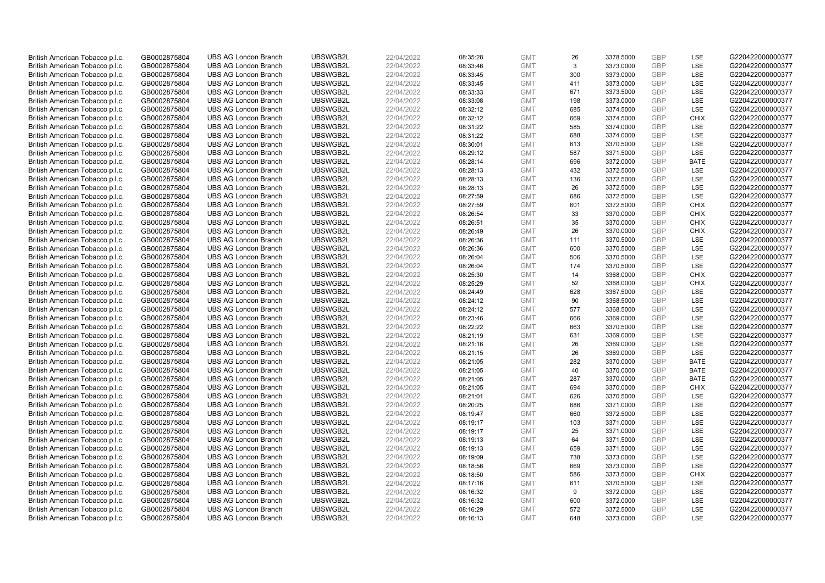| British American Tobacco p.l.c. | GB0002875804 | <b>UBS AG London Branch</b> | UBSWGB2L             | 22/04/2022 |          | <b>GMT</b> | 26  | 3378.5000 | <b>GBP</b> | LSE         | G220422000000377                     |
|---------------------------------|--------------|-----------------------------|----------------------|------------|----------|------------|-----|-----------|------------|-------------|--------------------------------------|
|                                 |              |                             |                      |            | 08:35:28 |            | 3   |           | GBP        | <b>LSE</b>  |                                      |
| British American Tobacco p.l.c. | GB0002875804 | <b>UBS AG London Branch</b> | UBSWGB2L             | 22/04/2022 | 08:33:46 | <b>GMT</b> |     | 3373.0000 |            |             | G220422000000377                     |
| British American Tobacco p.l.c. | GB0002875804 | <b>UBS AG London Branch</b> | UBSWGB2L             | 22/04/2022 | 08:33:45 | <b>GMT</b> | 300 | 3373.0000 | GBP        | LSE         | G220422000000377                     |
| British American Tobacco p.l.c. | GB0002875804 | <b>UBS AG London Branch</b> | UBSWGB2L             | 22/04/2022 | 08:33:45 | <b>GMT</b> | 411 | 3373.0000 | <b>GBP</b> | LSE         | G220422000000377                     |
| British American Tobacco p.l.c. | GB0002875804 | <b>UBS AG London Branch</b> | UBSWGB2L             | 22/04/2022 | 08:33:33 | <b>GMT</b> | 671 | 3373.5000 | GBP        | LSE         | G220422000000377                     |
| British American Tobacco p.l.c. | GB0002875804 | <b>UBS AG London Branch</b> | UBSWGB2L             | 22/04/2022 | 08:33:08 | <b>GMT</b> | 198 | 3373.0000 | <b>GBP</b> | <b>LSE</b>  | G220422000000377                     |
| British American Tobacco p.l.c. | GB0002875804 | <b>UBS AG London Branch</b> | UBSWGB2L             | 22/04/2022 | 08:32:12 | <b>GMT</b> | 685 | 3374.5000 | GBP        | LSE         | G220422000000377                     |
| British American Tobacco p.l.c. | GB0002875804 | <b>UBS AG London Branch</b> | UBSWGB2L             | 22/04/2022 | 08:32:12 | <b>GMT</b> | 669 | 3374.5000 | <b>GBP</b> | <b>CHIX</b> | G220422000000377                     |
| British American Tobacco p.l.c. | GB0002875804 | <b>UBS AG London Branch</b> | UBSWGB2L             | 22/04/2022 | 08:31:22 | <b>GMT</b> | 585 | 3374.0000 | GBP        | LSE         | G220422000000377                     |
| British American Tobacco p.l.c. | GB0002875804 | <b>UBS AG London Branch</b> | UBSWGB2L             | 22/04/2022 | 08:31:22 | <b>GMT</b> | 688 | 3374.0000 | <b>GBP</b> | LSE         | G220422000000377                     |
| British American Tobacco p.l.c. | GB0002875804 | <b>UBS AG London Branch</b> | UBSWGB2L             | 22/04/2022 | 08:30:01 | <b>GMT</b> | 613 | 3370.5000 | GBP        | <b>LSE</b>  | G220422000000377                     |
| British American Tobacco p.l.c. | GB0002875804 | <b>UBS AG London Branch</b> | UBSWGB2L             | 22/04/2022 | 08:29:12 | <b>GMT</b> | 587 | 3371.5000 | <b>GBP</b> | LSE         | G220422000000377                     |
| British American Tobacco p.l.c. | GB0002875804 | <b>UBS AG London Branch</b> | UBSWGB2L             | 22/04/2022 | 08:28:14 | <b>GMT</b> | 696 | 3372.0000 | GBP        | <b>BATE</b> | G220422000000377                     |
| British American Tobacco p.l.c. | GB0002875804 | <b>UBS AG London Branch</b> | UBSWGB2L             | 22/04/2022 | 08:28:13 | <b>GMT</b> | 432 | 3372.5000 | <b>GBP</b> | LSE         | G220422000000377                     |
| British American Tobacco p.l.c. | GB0002875804 | <b>UBS AG London Branch</b> | UBSWGB2L             | 22/04/2022 | 08:28:13 | <b>GMT</b> | 136 | 3372.5000 | GBP        | <b>LSE</b>  | G220422000000377                     |
| British American Tobacco p.l.c. | GB0002875804 | <b>UBS AG London Branch</b> | UBSWGB2L             | 22/04/2022 | 08:28:13 | <b>GMT</b> | 26  | 3372.5000 | <b>GBP</b> | LSE         | G220422000000377                     |
| British American Tobacco p.l.c. | GB0002875804 | <b>UBS AG London Branch</b> | UBSWGB2L             | 22/04/2022 | 08:27:59 | <b>GMT</b> | 686 | 3372.5000 | GBP        | LSE         | G220422000000377                     |
| British American Tobacco p.l.c. | GB0002875804 | <b>UBS AG London Branch</b> | UBSWGB2L             | 22/04/2022 | 08:27:59 | <b>GMT</b> | 601 | 3372.5000 | GBP        | <b>CHIX</b> | G220422000000377                     |
| British American Tobacco p.l.c. | GB0002875804 | <b>UBS AG London Branch</b> | UBSWGB2L             | 22/04/2022 | 08:26:54 | <b>GMT</b> | 33  | 3370.0000 | <b>GBP</b> | <b>CHIX</b> | G220422000000377                     |
| British American Tobacco p.l.c. | GB0002875804 | <b>UBS AG London Branch</b> | UBSWGB2L             | 22/04/2022 | 08:26:51 | <b>GMT</b> | 35  | 3370.0000 | <b>GBP</b> | <b>CHIX</b> | G220422000000377                     |
| British American Tobacco p.l.c. | GB0002875804 | <b>UBS AG London Branch</b> | UBSWGB2L             | 22/04/2022 | 08:26:49 | <b>GMT</b> | 26  | 3370.0000 | <b>GBP</b> | <b>CHIX</b> | G220422000000377                     |
| British American Tobacco p.l.c. | GB0002875804 | <b>UBS AG London Branch</b> | UBSWGB2L             | 22/04/2022 | 08:26:36 | <b>GMT</b> | 111 | 3370.5000 | GBP        | LSE         | G220422000000377                     |
| British American Tobacco p.l.c. | GB0002875804 | <b>UBS AG London Branch</b> | UBSWGB2L             | 22/04/2022 | 08:26:36 | <b>GMT</b> | 600 | 3370.5000 | <b>GBP</b> | LSE         | G220422000000377                     |
| British American Tobacco p.l.c. | GB0002875804 | <b>UBS AG London Branch</b> | UBSWGB2L             | 22/04/2022 | 08:26:04 | <b>GMT</b> | 506 | 3370.5000 | <b>GBP</b> | <b>LSE</b>  | G220422000000377                     |
| British American Tobacco p.l.c. | GB0002875804 | <b>UBS AG London Branch</b> | UBSWGB2L             | 22/04/2022 | 08:26:04 | <b>GMT</b> | 174 | 3370.5000 | <b>GBP</b> | LSE         | G220422000000377                     |
| British American Tobacco p.l.c. | GB0002875804 | <b>UBS AG London Branch</b> | UBSWGB2L             | 22/04/2022 | 08:25:30 | <b>GMT</b> | 14  | 3368.0000 | GBP        | <b>CHIX</b> | G220422000000377                     |
| British American Tobacco p.l.c. | GB0002875804 | <b>UBS AG London Branch</b> | UBSWGB2L             | 22/04/2022 | 08:25:29 | <b>GMT</b> | 52  | 3368.0000 | <b>GBP</b> | <b>CHIX</b> | G220422000000377                     |
| British American Tobacco p.l.c. | GB0002875804 | <b>UBS AG London Branch</b> | UBSWGB2L             | 22/04/2022 | 08:24:49 | <b>GMT</b> | 628 | 3367.5000 | GBP        | <b>LSE</b>  | G220422000000377                     |
| British American Tobacco p.l.c. | GB0002875804 | <b>UBS AG London Branch</b> | UBSWGB2L             | 22/04/2022 | 08:24:12 | <b>GMT</b> | 90  | 3368.5000 | <b>GBP</b> | LSE         | G220422000000377                     |
| British American Tobacco p.l.c. | GB0002875804 | <b>UBS AG London Branch</b> | UBSWGB2L             | 22/04/2022 | 08:24:12 | <b>GMT</b> | 577 | 3368.5000 | GBP        | LSE         | G220422000000377                     |
| British American Tobacco p.l.c. | GB0002875804 | <b>UBS AG London Branch</b> | UBSWGB2L             | 22/04/2022 | 08:23:46 | <b>GMT</b> | 666 | 3369.0000 | <b>GBP</b> | LSE         | G220422000000377                     |
| British American Tobacco p.l.c. | GB0002875804 | <b>UBS AG London Branch</b> | UBSWGB2L             | 22/04/2022 | 08:22:22 | <b>GMT</b> | 663 | 3370.5000 | <b>GBP</b> | <b>LSE</b>  | G220422000000377                     |
| British American Tobacco p.l.c. | GB0002875804 | <b>UBS AG London Branch</b> | UBSWGB2L             | 22/04/2022 | 08:21:19 | <b>GMT</b> | 631 | 3369.0000 | <b>GBP</b> | LSE         | G220422000000377                     |
| British American Tobacco p.l.c. | GB0002875804 | <b>UBS AG London Branch</b> | UBSWGB2L             | 22/04/2022 | 08:21:16 | <b>GMT</b> | 26  | 3369.0000 | <b>GBP</b> | LSE         | G220422000000377                     |
| British American Tobacco p.l.c. | GB0002875804 | <b>UBS AG London Branch</b> | UBSWGB2L             | 22/04/2022 | 08:21:15 | <b>GMT</b> | 26  | 3369.0000 | GBP        | LSE         | G220422000000377                     |
| British American Tobacco p.l.c. | GB0002875804 | <b>UBS AG London Branch</b> | UBSWGB2L             | 22/04/2022 | 08:21:05 | <b>GMT</b> | 282 | 3370.0000 | <b>GBP</b> | <b>BATE</b> | G220422000000377                     |
| British American Tobacco p.l.c. | GB0002875804 | <b>UBS AG London Branch</b> | UBSWGB2L             | 22/04/2022 | 08:21:05 | <b>GMT</b> | 40  | 3370.0000 | <b>GBP</b> | <b>BATE</b> | G220422000000377                     |
| British American Tobacco p.l.c. | GB0002875804 | <b>UBS AG London Branch</b> | UBSWGB2L             | 22/04/2022 | 08:21:05 | <b>GMT</b> | 287 | 3370.0000 | <b>GBP</b> | <b>BATE</b> | G220422000000377                     |
| British American Tobacco p.l.c. | GB0002875804 | <b>UBS AG London Branch</b> | UBSWGB2L             | 22/04/2022 | 08:21:05 | <b>GMT</b> | 694 | 3370.0000 | GBP        | <b>CHIX</b> | G220422000000377                     |
| British American Tobacco p.l.c. | GB0002875804 | <b>UBS AG London Branch</b> | UBSWGB2L             | 22/04/2022 | 08:21:01 | <b>GMT</b> | 626 | 3370.5000 | <b>GBP</b> | <b>LSE</b>  | G220422000000377                     |
| British American Tobacco p.l.c. | GB0002875804 | <b>UBS AG London Branch</b> | UBSWGB2L             | 22/04/2022 | 08:20:25 | <b>GMT</b> | 686 | 3371.0000 | GBP        | LSE         | G220422000000377                     |
| British American Tobacco p.l.c. | GB0002875804 | <b>UBS AG London Branch</b> | UBSWGB2L             | 22/04/2022 | 08:19:47 | <b>GMT</b> | 660 | 3372.5000 | <b>GBP</b> | LSE         | G220422000000377                     |
| British American Tobacco p.l.c. | GB0002875804 | <b>UBS AG London Branch</b> | UBSWGB2L             | 22/04/2022 | 08:19:17 | <b>GMT</b> | 103 | 3371.0000 | GBP        | LSE         | G220422000000377                     |
| British American Tobacco p.l.c. | GB0002875804 | <b>UBS AG London Branch</b> | UBSWGB2L             | 22/04/2022 | 08:19:17 | <b>GMT</b> | 25  | 3371.0000 | <b>GBP</b> | LSE         | G220422000000377                     |
| British American Tobacco p.l.c. | GB0002875804 | <b>UBS AG London Branch</b> | UBSWGB2L             | 22/04/2022 | 08:19:13 | <b>GMT</b> | 64  | 3371.5000 | <b>GBP</b> | LSE         | G220422000000377                     |
|                                 |              | <b>UBS AG London Branch</b> | UBSWGB2L             | 22/04/2022 |          | <b>GMT</b> | 659 |           | <b>GBP</b> | LSE         | G220422000000377                     |
| British American Tobacco p.l.c. | GB0002875804 |                             |                      |            | 08:19:13 | <b>GMT</b> | 738 | 3371.5000 | <b>GBP</b> | LSE         |                                      |
| British American Tobacco p.l.c. | GB0002875804 | <b>UBS AG London Branch</b> | UBSWGB2L<br>UBSWGB2L | 22/04/2022 | 08:19:09 |            |     | 3373.0000 | GBP        | LSE         | G220422000000377<br>G220422000000377 |
| British American Tobacco p.l.c. | GB0002875804 | <b>UBS AG London Branch</b> |                      | 22/04/2022 | 08:18:56 | <b>GMT</b> | 669 | 3373.0000 | <b>GBP</b> |             |                                      |
| British American Tobacco p.l.c. | GB0002875804 | <b>UBS AG London Branch</b> | UBSWGB2L             | 22/04/2022 | 08:18:50 | <b>GMT</b> | 586 | 3373.5000 |            | <b>CHIX</b> | G220422000000377                     |
| British American Tobacco p.l.c. | GB0002875804 | <b>UBS AG London Branch</b> | UBSWGB2L             | 22/04/2022 | 08:17:16 | <b>GMT</b> | 611 | 3370.5000 | GBP        | <b>LSE</b>  | G220422000000377                     |
| British American Tobacco p.l.c. | GB0002875804 | <b>UBS AG London Branch</b> | UBSWGB2L             | 22/04/2022 | 08:16:32 | <b>GMT</b> | 9   | 3372.0000 | <b>GBP</b> | LSE         | G220422000000377                     |
| British American Tobacco p.l.c. | GB0002875804 | <b>UBS AG London Branch</b> | UBSWGB2L             | 22/04/2022 | 08:16:32 | <b>GMT</b> | 600 | 3372.0000 | <b>GBP</b> | LSE         | G220422000000377                     |
| British American Tobacco p.l.c. | GB0002875804 | <b>UBS AG London Branch</b> | UBSWGB2L             | 22/04/2022 | 08:16:29 | <b>GMT</b> | 572 | 3372.5000 | <b>GBP</b> | LSE         | G220422000000377                     |
| British American Tobacco p.l.c. | GB0002875804 | <b>UBS AG London Branch</b> | UBSWGB2L             | 22/04/2022 | 08:16:13 | <b>GMT</b> | 648 | 3373.0000 | GBP        | <b>LSE</b>  | G220422000000377                     |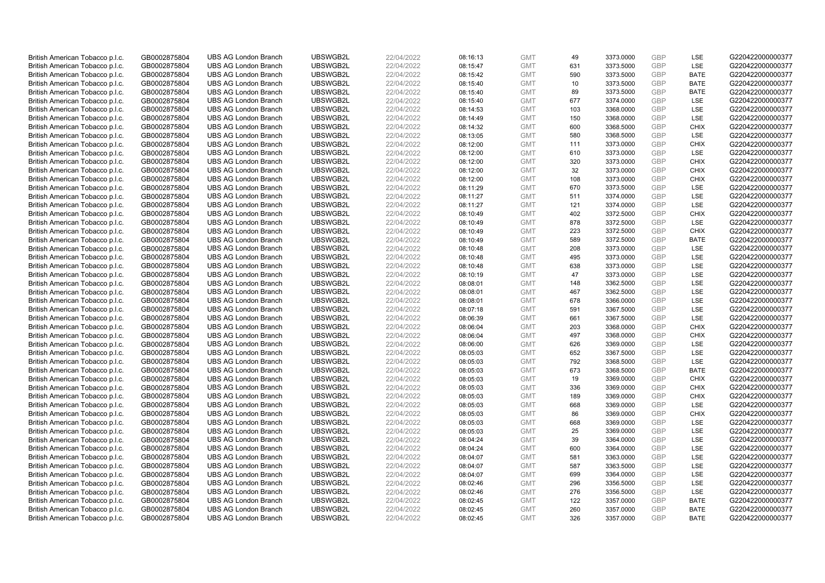| British American Tobacco p.l.c. | GB0002875804 | <b>UBS AG London Branch</b> | UBSWGB2L | 22/04/2022 | 08:16:13 | <b>GMT</b> | 49  | 3373.0000 | <b>GBP</b> | LSE         | G220422000000377 |
|---------------------------------|--------------|-----------------------------|----------|------------|----------|------------|-----|-----------|------------|-------------|------------------|
| British American Tobacco p.l.c. | GB0002875804 | <b>UBS AG London Branch</b> | UBSWGB2L | 22/04/2022 | 08:15:47 | <b>GMT</b> | 631 | 3373.5000 | GBP        | LSE         | G220422000000377 |
| British American Tobacco p.l.c. | GB0002875804 | <b>UBS AG London Branch</b> | UBSWGB2L | 22/04/2022 | 08:15:42 | <b>GMT</b> | 590 | 3373.5000 | GBP        | <b>BATE</b> | G220422000000377 |
| British American Tobacco p.l.c. | GB0002875804 | <b>UBS AG London Branch</b> | UBSWGB2L | 22/04/2022 | 08:15:40 | <b>GMT</b> | 10  | 3373.5000 | <b>GBP</b> | <b>BATE</b> | G220422000000377 |
| British American Tobacco p.l.c. | GB0002875804 | <b>UBS AG London Branch</b> | UBSWGB2L | 22/04/2022 | 08:15:40 | <b>GMT</b> | 89  | 3373.5000 | GBP        | <b>BATE</b> | G220422000000377 |
| British American Tobacco p.l.c. | GB0002875804 | <b>UBS AG London Branch</b> | UBSWGB2L | 22/04/2022 | 08:15:40 | <b>GMT</b> | 677 | 3374.0000 | <b>GBP</b> | <b>LSE</b>  | G220422000000377 |
| British American Tobacco p.l.c. | GB0002875804 | <b>UBS AG London Branch</b> | UBSWGB2L | 22/04/2022 | 08:14:53 | <b>GMT</b> | 103 | 3368.0000 | GBP        | LSE         | G220422000000377 |
| British American Tobacco p.l.c. | GB0002875804 | <b>UBS AG London Branch</b> | UBSWGB2L | 22/04/2022 | 08:14:49 | <b>GMT</b> | 150 | 3368.0000 | <b>GBP</b> | LSE         | G220422000000377 |
| British American Tobacco p.l.c. | GB0002875804 | <b>UBS AG London Branch</b> | UBSWGB2L | 22/04/2022 | 08:14:32 | <b>GMT</b> | 600 | 3368.5000 | GBP        | <b>CHIX</b> | G220422000000377 |
| British American Tobacco p.l.c. | GB0002875804 | <b>UBS AG London Branch</b> | UBSWGB2L | 22/04/2022 | 08:13:05 | <b>GMT</b> | 580 | 3368.5000 | <b>GBP</b> | LSE         | G220422000000377 |
| British American Tobacco p.l.c. | GB0002875804 | <b>UBS AG London Branch</b> | UBSWGB2L | 22/04/2022 | 08:12:00 | <b>GMT</b> | 111 | 3373.0000 | GBP        | <b>CHIX</b> | G220422000000377 |
| British American Tobacco p.l.c. | GB0002875804 | <b>UBS AG London Branch</b> | UBSWGB2L | 22/04/2022 | 08:12:00 | <b>GMT</b> | 610 | 3373.0000 | <b>GBP</b> | LSE         | G220422000000377 |
| British American Tobacco p.l.c. | GB0002875804 | <b>UBS AG London Branch</b> | UBSWGB2L | 22/04/2022 | 08:12:00 | <b>GMT</b> | 320 | 3373.0000 | GBP        | <b>CHIX</b> | G220422000000377 |
| British American Tobacco p.l.c. | GB0002875804 | <b>UBS AG London Branch</b> | UBSWGB2L | 22/04/2022 | 08:12:00 | <b>GMT</b> | 32  | 3373.0000 | <b>GBP</b> | <b>CHIX</b> | G220422000000377 |
| British American Tobacco p.l.c. | GB0002875804 | <b>UBS AG London Branch</b> | UBSWGB2L | 22/04/2022 | 08:12:00 | <b>GMT</b> | 108 | 3373.0000 | GBP        | <b>CHIX</b> | G220422000000377 |
| British American Tobacco p.l.c. | GB0002875804 | <b>UBS AG London Branch</b> | UBSWGB2L | 22/04/2022 | 08:11:29 | <b>GMT</b> | 670 | 3373.5000 | <b>GBP</b> | <b>LSE</b>  | G220422000000377 |
| British American Tobacco p.l.c. | GB0002875804 | <b>UBS AG London Branch</b> | UBSWGB2L | 22/04/2022 | 08:11:27 | <b>GMT</b> | 511 | 3374.0000 | GBP        | LSE         | G220422000000377 |
| British American Tobacco p.l.c. | GB0002875804 | <b>UBS AG London Branch</b> | UBSWGB2L | 22/04/2022 | 08:11:27 | <b>GMT</b> | 121 | 3374.0000 | <b>GBP</b> | LSE         | G220422000000377 |
| British American Tobacco p.l.c. | GB0002875804 | <b>UBS AG London Branch</b> | UBSWGB2L | 22/04/2022 | 08:10:49 | <b>GMT</b> | 402 | 3372.5000 | <b>GBP</b> | <b>CHIX</b> | G220422000000377 |
| British American Tobacco p.l.c. | GB0002875804 | <b>UBS AG London Branch</b> | UBSWGB2L | 22/04/2022 | 08:10:49 | <b>GMT</b> | 878 | 3372.5000 | <b>GBP</b> | LSE         | G220422000000377 |
| British American Tobacco p.l.c. | GB0002875804 | <b>UBS AG London Branch</b> | UBSWGB2L | 22/04/2022 | 08:10:49 | <b>GMT</b> | 223 | 3372.5000 | <b>GBP</b> | <b>CHIX</b> | G220422000000377 |
| British American Tobacco p.l.c. | GB0002875804 | <b>UBS AG London Branch</b> | UBSWGB2L | 22/04/2022 | 08:10:49 | <b>GMT</b> | 589 | 3372.5000 | GBP        | <b>BATE</b> | G220422000000377 |
| British American Tobacco p.l.c. | GB0002875804 | <b>UBS AG London Branch</b> | UBSWGB2L | 22/04/2022 | 08:10:48 | <b>GMT</b> | 208 | 3373.0000 | <b>GBP</b> | LSE         | G220422000000377 |
| British American Tobacco p.l.c. | GB0002875804 | <b>UBS AG London Branch</b> | UBSWGB2L | 22/04/2022 |          | <b>GMT</b> | 495 |           | <b>GBP</b> | <b>LSE</b>  | G220422000000377 |
|                                 |              |                             |          |            | 08:10:48 |            |     | 3373.0000 |            |             |                  |
| British American Tobacco p.l.c. | GB0002875804 | <b>UBS AG London Branch</b> | UBSWGB2L | 22/04/2022 | 08:10:48 | <b>GMT</b> | 638 | 3373.0000 | <b>GBP</b> | LSE<br>LSE  | G220422000000377 |
| British American Tobacco p.l.c. | GB0002875804 | <b>UBS AG London Branch</b> | UBSWGB2L | 22/04/2022 | 08:10:19 | <b>GMT</b> | 47  | 3373.0000 | GBP        |             | G220422000000377 |
| British American Tobacco p.l.c. | GB0002875804 | <b>UBS AG London Branch</b> | UBSWGB2L | 22/04/2022 | 08:08:01 | <b>GMT</b> | 148 | 3362.5000 | <b>GBP</b> | LSE         | G220422000000377 |
| British American Tobacco p.l.c. | GB0002875804 | <b>UBS AG London Branch</b> | UBSWGB2L | 22/04/2022 | 08:08:01 | <b>GMT</b> | 467 | 3362.5000 | GBP        | LSE         | G220422000000377 |
| British American Tobacco p.l.c. | GB0002875804 | <b>UBS AG London Branch</b> | UBSWGB2L | 22/04/2022 | 08:08:01 | <b>GMT</b> | 678 | 3366.0000 | <b>GBP</b> | LSE         | G220422000000377 |
| British American Tobacco p.l.c. | GB0002875804 | <b>UBS AG London Branch</b> | UBSWGB2L | 22/04/2022 | 08:07:18 | <b>GMT</b> | 591 | 3367.5000 | GBP        | LSE         | G220422000000377 |
| British American Tobacco p.l.c. | GB0002875804 | <b>UBS AG London Branch</b> | UBSWGB2L | 22/04/2022 | 08:06:39 | <b>GMT</b> | 661 | 3367.5000 | GBP        | LSE         | G220422000000377 |
| British American Tobacco p.l.c. | GB0002875804 | <b>UBS AG London Branch</b> | UBSWGB2L | 22/04/2022 | 08:06:04 | <b>GMT</b> | 203 | 3368.0000 | <b>GBP</b> | CHIX        | G220422000000377 |
| British American Tobacco p.l.c. | GB0002875804 | <b>UBS AG London Branch</b> | UBSWGB2L | 22/04/2022 | 08:06:04 | <b>GMT</b> | 497 | 3368.0000 | <b>GBP</b> | <b>CHIX</b> | G220422000000377 |
| British American Tobacco p.l.c. | GB0002875804 | <b>UBS AG London Branch</b> | UBSWGB2L | 22/04/2022 | 08:06:00 | <b>GMT</b> | 626 | 3369.0000 | <b>GBP</b> | LSE         | G220422000000377 |
| British American Tobacco p.l.c. | GB0002875804 | <b>UBS AG London Branch</b> | UBSWGB2L | 22/04/2022 | 08:05:03 | <b>GMT</b> | 652 | 3367.5000 | GBP        | LSE         | G220422000000377 |
| British American Tobacco p.l.c. | GB0002875804 | <b>UBS AG London Branch</b> | UBSWGB2L | 22/04/2022 | 08:05:03 | <b>GMT</b> | 792 | 3368.5000 | <b>GBP</b> | LSE         | G220422000000377 |
| British American Tobacco p.l.c. | GB0002875804 | <b>UBS AG London Branch</b> | UBSWGB2L | 22/04/2022 | 08:05:03 | <b>GMT</b> | 673 | 3368.5000 | <b>GBP</b> | <b>BATE</b> | G220422000000377 |
| British American Tobacco p.l.c. | GB0002875804 | <b>UBS AG London Branch</b> | UBSWGB2L | 22/04/2022 | 08:05:03 | <b>GMT</b> | 19  | 3369.0000 | <b>GBP</b> | <b>CHIX</b> | G220422000000377 |
| British American Tobacco p.l.c. | GB0002875804 | <b>UBS AG London Branch</b> | UBSWGB2L | 22/04/2022 | 08:05:03 | <b>GMT</b> | 336 | 3369.0000 | GBP        | <b>CHIX</b> | G220422000000377 |
| British American Tobacco p.l.c. | GB0002875804 | <b>UBS AG London Branch</b> | UBSWGB2L | 22/04/2022 | 08:05:03 | <b>GMT</b> | 189 | 3369.0000 | <b>GBP</b> | <b>CHIX</b> | G220422000000377 |
| British American Tobacco p.l.c. | GB0002875804 | <b>UBS AG London Branch</b> | UBSWGB2L | 22/04/2022 | 08:05:03 | <b>GMT</b> | 668 | 3369.0000 | GBP        | LSE         | G220422000000377 |
| British American Tobacco p.l.c. | GB0002875804 | <b>UBS AG London Branch</b> | UBSWGB2L | 22/04/2022 | 08:05:03 | <b>GMT</b> | 86  | 3369.0000 | <b>GBP</b> | <b>CHIX</b> | G220422000000377 |
| British American Tobacco p.l.c. | GB0002875804 | <b>UBS AG London Branch</b> | UBSWGB2L | 22/04/2022 | 08:05:03 | <b>GMT</b> | 668 | 3369.0000 | <b>GBP</b> | LSE         | G220422000000377 |
| British American Tobacco p.l.c. | GB0002875804 | <b>UBS AG London Branch</b> | UBSWGB2L | 22/04/2022 | 08:05:03 | <b>GMT</b> | 25  | 3369.0000 | <b>GBP</b> | <b>LSE</b>  | G220422000000377 |
| British American Tobacco p.l.c. | GB0002875804 | <b>UBS AG London Branch</b> | UBSWGB2L | 22/04/2022 | 08:04:24 | <b>GMT</b> | 39  | 3364.0000 | <b>GBP</b> | LSE         | G220422000000377 |
| British American Tobacco p.l.c. | GB0002875804 | <b>UBS AG London Branch</b> | UBSWGB2L | 22/04/2022 | 08:04:24 | <b>GMT</b> | 600 | 3364.0000 | <b>GBP</b> | LSE         | G220422000000377 |
| British American Tobacco p.l.c. | GB0002875804 | <b>UBS AG London Branch</b> | UBSWGB2L | 22/04/2022 | 08:04:07 | <b>GMT</b> | 581 | 3363.0000 | <b>GBP</b> | LSE         | G220422000000377 |
| British American Tobacco p.l.c. | GB0002875804 | <b>UBS AG London Branch</b> | UBSWGB2L | 22/04/2022 | 08:04:07 | <b>GMT</b> | 587 | 3363.5000 | GBP        | LSE         | G220422000000377 |
| British American Tobacco p.l.c. | GB0002875804 | <b>UBS AG London Branch</b> | UBSWGB2L | 22/04/2022 | 08:04:07 | <b>GMT</b> | 699 | 3364.0000 | <b>GBP</b> | LSE         | G220422000000377 |
| British American Tobacco p.l.c. | GB0002875804 | <b>UBS AG London Branch</b> | UBSWGB2L | 22/04/2022 | 08:02:46 | <b>GMT</b> | 296 | 3356.5000 | GBP        | <b>LSE</b>  | G220422000000377 |
| British American Tobacco p.l.c. | GB0002875804 | <b>UBS AG London Branch</b> | UBSWGB2L | 22/04/2022 | 08:02:46 | <b>GMT</b> | 276 | 3356.5000 | <b>GBP</b> | LSE         | G220422000000377 |
| British American Tobacco p.l.c. | GB0002875804 | <b>UBS AG London Branch</b> | UBSWGB2L | 22/04/2022 | 08:02:45 | <b>GMT</b> | 122 | 3357.0000 | <b>GBP</b> | <b>BATE</b> | G220422000000377 |
| British American Tobacco p.l.c. | GB0002875804 | <b>UBS AG London Branch</b> | UBSWGB2L | 22/04/2022 | 08:02:45 | <b>GMT</b> | 260 | 3357.0000 | <b>GBP</b> | <b>BATE</b> | G220422000000377 |
| British American Tobacco p.l.c. | GB0002875804 | <b>UBS AG London Branch</b> | UBSWGB2L | 22/04/2022 | 08:02:45 | <b>GMT</b> | 326 | 3357.0000 | GBP        | <b>BATE</b> | G220422000000377 |
|                                 |              |                             |          |            |          |            |     |           |            |             |                  |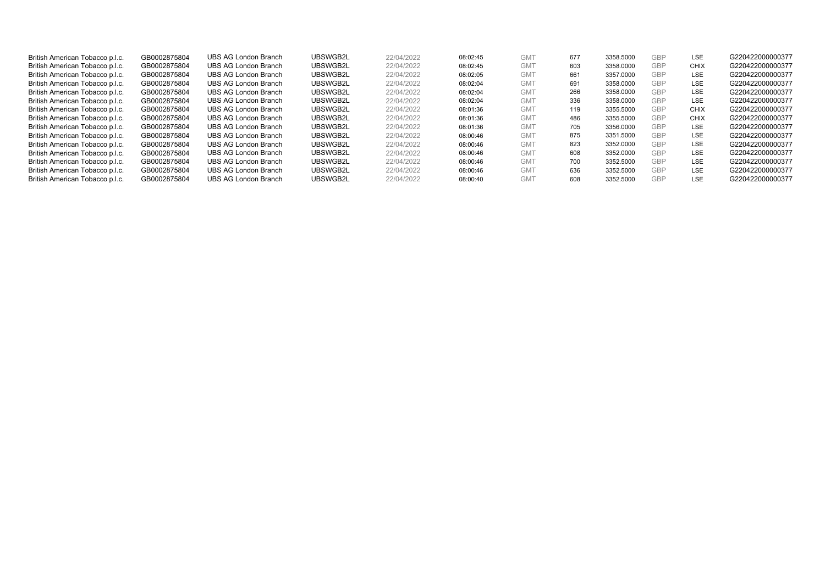| British American Tobacco p.l.c. | GB0002875804 | UBS AG London Branch | UBSWGB2L | 22/04/2022 | 08:02:45 | GM <sub>1</sub> | 677 | 3358,5000 | GBP        | <b>LSE</b>  | G220422000000377 |
|---------------------------------|--------------|----------------------|----------|------------|----------|-----------------|-----|-----------|------------|-------------|------------------|
| British American Tobacco p.l.c. | GB0002875804 | UBS AG London Branch | UBSWGB2L | 22/04/2022 | 08:02:45 | GM <sub>1</sub> | 603 | 3358,0000 | <b>GBP</b> | CHIX        | G220422000000377 |
| British American Tobacco p.l.c. | GB0002875804 | UBS AG London Branch | UBSWGB2L | 22/04/2022 | 08:02:05 | GM <sub>1</sub> | 661 | 3357.0000 | <b>GBP</b> | <b>LSE</b>  | G220422000000377 |
| British American Tobacco p.l.c. | GB0002875804 | UBS AG London Branch | UBSWGB2L | 22/04/2022 | 08:02:04 | <b>GMT</b>      | 691 | 3358,0000 | <b>GBP</b> | <b>LSE</b>  | G220422000000377 |
| British American Tobacco p.l.c. | GB0002875804 | UBS AG London Branch | UBSWGB2L | 22/04/2022 | 08:02:04 | <b>GMT</b>      | 266 | 3358,0000 | <b>GBP</b> | <b>LSE</b>  | G220422000000377 |
| British American Tobacco p.l.c. | GB0002875804 | UBS AG London Branch | UBSWGB2L | 22/04/2022 | 08:02:04 | <b>GMT</b>      | 336 | 3358,0000 | <b>GBP</b> | <b>LSE</b>  | G220422000000377 |
| British American Tobacco p.l.c. | GB0002875804 | UBS AG London Branch | UBSWGB2L | 22/04/2022 | 08:01:36 | <b>GMT</b>      | 119 | 3355.5000 | <b>GBP</b> | <b>CHIX</b> | G220422000000377 |
| British American Tobacco p.l.c. | GB0002875804 | UBS AG London Branch | UBSWGB2L | 22/04/2022 | 08:01:36 | <b>GMT</b>      | 486 | 3355.5000 | <b>GBP</b> | <b>CHIX</b> | G220422000000377 |
| British American Tobacco p.l.c. | GB0002875804 | UBS AG London Branch | UBSWGB2L | 22/04/2022 | 08:01:36 | <b>GMT</b>      | 705 | 3356,0000 | <b>GBP</b> | <b>LSE</b>  | G220422000000377 |
| British American Tobacco p.l.c. | GB0002875804 | UBS AG London Branch | UBSWGB2L | 22/04/2022 | 08:00:46 | <b>GMT</b>      | 875 | 3351.5000 | <b>GBP</b> | <b>LSE</b>  | G220422000000377 |
| British American Tobacco p.l.c. | GB0002875804 | UBS AG London Branch | UBSWGB2L | 22/04/2022 | 08:00:46 | <b>GMT</b>      | 823 | 3352,0000 | <b>GBP</b> | <b>LSE</b>  | G220422000000377 |
| British American Tobacco p.l.c. | GB0002875804 | UBS AG London Branch | UBSWGB2L | 22/04/2022 | 08:00:46 | <b>GMT</b>      | 608 | 3352,0000 | <b>GBP</b> | <b>LSE</b>  | G220422000000377 |
| British American Tobacco p.l.c. | GB0002875804 | UBS AG London Branch | UBSWGB2L | 22/04/2022 | 08:00:46 | <b>GMT</b>      | 700 | 3352.5000 | <b>GBP</b> | <b>LSE</b>  | G220422000000377 |
| British American Tobacco p.l.c. | GB0002875804 | UBS AG London Branch | UBSWGB2L | 22/04/2022 | 08:00:46 | GM <sub>1</sub> | 636 | 3352.5000 | <b>GBP</b> | <b>LSE</b>  | G220422000000377 |
| British American Tobacco p.l.c. | GB0002875804 | UBS AG London Branch | UBSWGB2L | 22/04/2022 | 08:00:40 | GM <sub>1</sub> | 608 | 3352.5000 | <b>GBP</b> | <b>LSE</b>  | G220422000000377 |